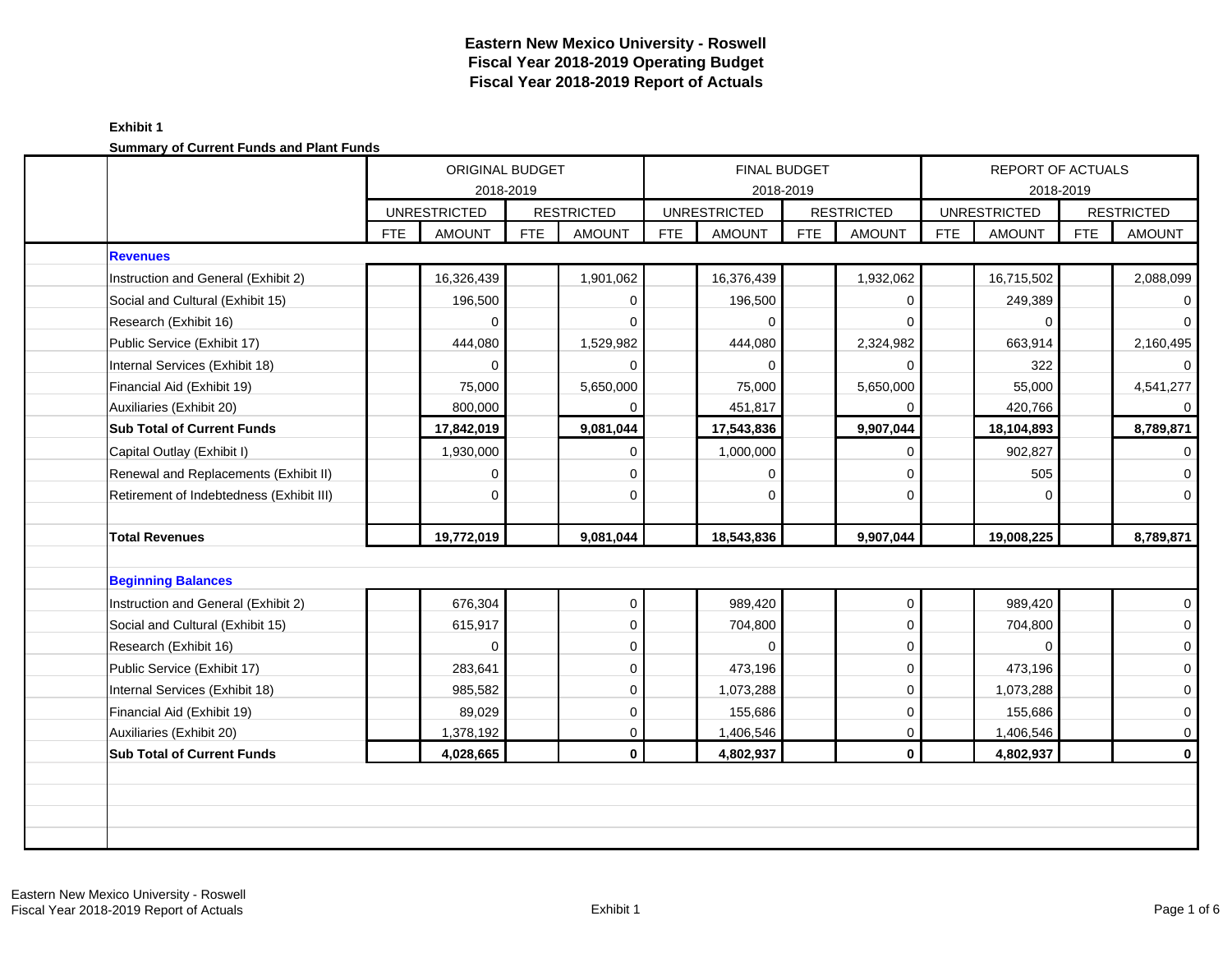|                                          | ORIGINAL BUDGET<br>2018-2019<br><b>UNRESTRICTED</b><br><b>AMOUNT</b><br><b>FTE</b> |            |     |                   |            | <b>FINAL BUDGET</b><br>2018-2019 |            |                   |            | <b>REPORT OF ACTUALS</b><br>2018-2019 |            |                     |
|------------------------------------------|------------------------------------------------------------------------------------|------------|-----|-------------------|------------|----------------------------------|------------|-------------------|------------|---------------------------------------|------------|---------------------|
|                                          |                                                                                    |            |     | <b>RESTRICTED</b> |            | <b>UNRESTRICTED</b>              |            | <b>RESTRICTED</b> |            | <b>UNRESTRICTED</b>                   |            | <b>RESTRICTED</b>   |
|                                          |                                                                                    |            | FTE | <b>AMOUNT</b>     | <b>FTE</b> | <b>AMOUNT</b>                    | <b>FTE</b> | <b>AMOUNT</b>     | <b>FTE</b> | <b>AMOUNT</b>                         | <b>FTE</b> | <b>AMOUNT</b>       |
| <b>Revenues</b>                          |                                                                                    |            |     |                   |            |                                  |            |                   |            |                                       |            |                     |
| Instruction and General (Exhibit 2)      |                                                                                    | 16,326,439 |     | 1,901,062         |            | 16,376,439                       |            | 1,932,062         |            | 16,715,502                            |            | 2,088,099           |
| Social and Cultural (Exhibit 15)         |                                                                                    | 196,500    |     | $\Omega$          |            | 196,500                          |            | 0                 |            | 249,389                               |            | $\overline{0}$      |
| Research (Exhibit 16)                    |                                                                                    | 0          |     | $\Omega$          |            | $\Omega$                         |            | $\Omega$          |            | $\Omega$                              |            | $\overline{0}$      |
| Public Service (Exhibit 17)              |                                                                                    | 444,080    |     | 1,529,982         |            | 444,080                          |            | 2,324,982         |            | 663,914                               |            | 2,160,495           |
| Internal Services (Exhibit 18)           |                                                                                    | $\Omega$   |     | $\Omega$          |            | $\Omega$                         |            | 0                 |            | 322                                   |            | $\overline{0}$      |
| Financial Aid (Exhibit 19)               |                                                                                    | 75,000     |     | 5,650,000         |            | 75,000                           |            | 5,650,000         |            | 55,000                                |            | 4,541,277           |
| Auxiliaries (Exhibit 20)                 |                                                                                    | 800,000    |     |                   |            | 451,817                          |            |                   |            | 420,766                               |            | $\overline{0}$      |
| <b>Sub Total of Current Funds</b>        |                                                                                    | 17,842,019 |     | 9,081,044         |            | 17,543,836                       |            | 9,907,044         |            | 18,104,893                            |            | 8,789,871           |
| Capital Outlay (Exhibit I)               |                                                                                    | 1,930,000  |     | 0                 |            | 1,000,000                        |            | 0                 |            | 902,827                               |            | $\overline{0}$      |
| Renewal and Replacements (Exhibit II)    |                                                                                    | 0          |     | $\mathbf 0$       |            | $\Omega$                         |            | 0                 |            | 505                                   |            | $\mathbf 0$         |
| Retirement of Indebtedness (Exhibit III) |                                                                                    | $\Omega$   |     | $\Omega$          |            | $\Omega$                         |            | 0                 |            | $\Omega$                              |            | $\mathbf{0}$        |
| <b>Total Revenues</b>                    |                                                                                    | 19,772,019 |     | 9,081,044         |            | 18,543,836                       |            | 9,907,044         |            | 19,008,225                            |            | 8,789,871           |
|                                          |                                                                                    |            |     |                   |            |                                  |            |                   |            |                                       |            |                     |
| <b>Beginning Balances</b>                |                                                                                    |            |     |                   |            |                                  |            |                   |            |                                       |            |                     |
| Instruction and General (Exhibit 2)      |                                                                                    | 676,304    |     | $\mathbf 0$       |            | 989,420                          |            | $\mathbf 0$       |            | 989,420                               |            | $\mathbf{0}$        |
| Social and Cultural (Exhibit 15)         |                                                                                    | 615,917    |     | $\mathbf 0$       |            | 704,800                          |            | $\Omega$          |            | 704,800                               |            | $\mathsf{O}\xspace$ |
| Research (Exhibit 16)                    |                                                                                    | 0          |     | $\Omega$          |            | $\Omega$                         |            | 0                 |            | $\Omega$                              |            | $\mathbf 0$         |
|                                          |                                                                                    |            |     |                   |            | 473,196                          |            | 0                 |            | 473,196                               |            | $\mathbf 0$         |
| Public Service (Exhibit 17)              |                                                                                    | 283,641    |     | $\mathbf 0$       |            |                                  |            |                   |            |                                       |            |                     |
| Internal Services (Exhibit 18)           |                                                                                    | 985,582    |     | $\mathbf 0$       |            | 1,073,288                        |            | 0                 |            | 1,073,288                             |            | $\mathbf 0$         |
| Financial Aid (Exhibit 19)               |                                                                                    | 89,029     |     | $\mathbf 0$       |            | 155,686                          |            | 0                 |            | 155,686                               |            | $\mathbf{O}$        |
| Auxiliaries (Exhibit 20)                 |                                                                                    | 1,378,192  |     | 0                 |            | 1,406,546                        |            | 0                 |            | 1,406,546                             |            | $\mathsf{O}\xspace$ |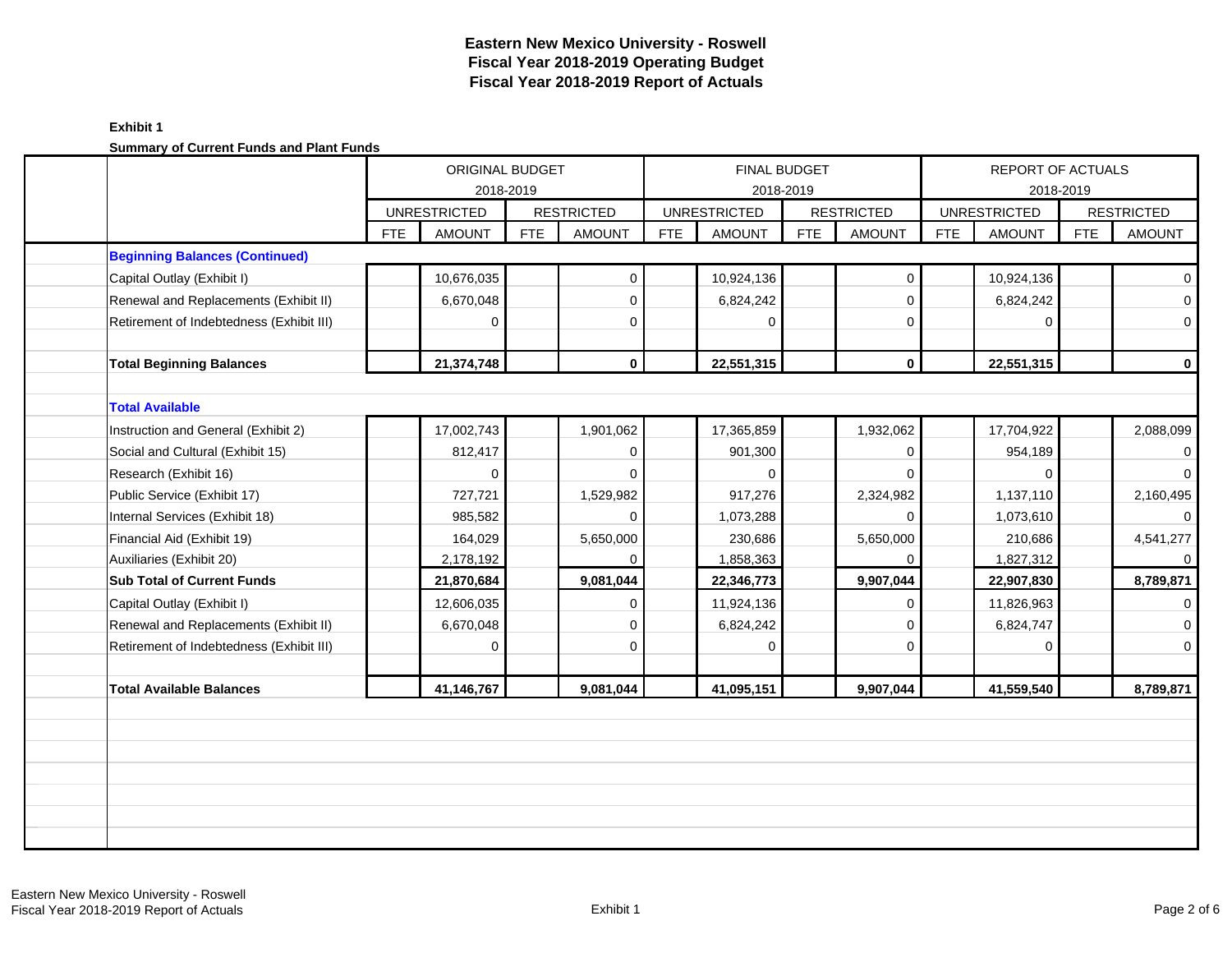| Summary of Current Funds and Flant Funds | ORIGINAL BUDGET             |            |                   |            |                     |                     |                   |            |                          |            |                   |
|------------------------------------------|-----------------------------|------------|-------------------|------------|---------------------|---------------------|-------------------|------------|--------------------------|------------|-------------------|
|                                          |                             |            |                   |            |                     | <b>FINAL BUDGET</b> |                   |            | <b>REPORT OF ACTUALS</b> |            |                   |
|                                          |                             | 2018-2019  |                   |            |                     | 2018-2019           |                   |            |                          | 2018-2019  |                   |
|                                          | <b>UNRESTRICTED</b>         |            | <b>RESTRICTED</b> |            | <b>UNRESTRICTED</b> |                     | <b>RESTRICTED</b> |            | <b>UNRESTRICTED</b>      |            | <b>RESTRICTED</b> |
|                                          | <b>FTE</b><br><b>AMOUNT</b> | <b>FTE</b> | <b>AMOUNT</b>     | <b>FTE</b> | <b>AMOUNT</b>       | <b>FTE</b>          | <b>AMOUNT</b>     | <b>FTE</b> | <b>AMOUNT</b>            | <b>FTE</b> | <b>AMOUNT</b>     |
| <b>Beginning Balances (Continued)</b>    |                             |            |                   |            |                     |                     |                   |            |                          |            |                   |
| Capital Outlay (Exhibit I)               | 10,676,035                  |            | 0                 |            | 10,924,136          |                     | $\mathbf 0$       |            | 10,924,136               |            | $\overline{0}$    |
| Renewal and Replacements (Exhibit II)    | 6,670,048                   |            | $\mathbf 0$       |            | 6,824,242           |                     | $\mathbf 0$       |            | 6,824,242                |            | $\overline{0}$    |
| Retirement of Indebtedness (Exhibit III) | $\mathbf 0$                 |            | 0                 |            | $\Omega$            |                     | $\mathbf 0$       |            | $\Omega$                 |            | $\overline{0}$    |
| <b>Total Beginning Balances</b>          | 21,374,748                  |            | $\mathbf 0$       |            | 22,551,315          |                     | $\mathbf 0$       |            | 22,551,315               |            | $\mathbf{0}$      |
| <b>Total Available</b>                   |                             |            |                   |            |                     |                     |                   |            |                          |            |                   |
| Instruction and General (Exhibit 2)      | 17,002,743                  |            | 1,901,062         |            | 17,365,859          |                     | 1,932,062         |            | 17,704,922               |            | 2,088,099         |
| Social and Cultural (Exhibit 15)         | 812,417                     |            | $\mathbf 0$       |            | 901,300             |                     | $\mathbf{0}$      |            | 954,189                  |            | $\overline{0}$    |
| Research (Exhibit 16)                    | 0                           |            | $\Omega$          |            | $\Omega$            |                     | $\Omega$          |            | $\Omega$                 |            | $\overline{0}$    |
| Public Service (Exhibit 17)              | 727,721                     |            | 1,529,982         |            | 917,276             |                     | 2,324,982         |            | 1,137,110                |            | 2,160,495         |
| Internal Services (Exhibit 18)           | 985,582                     |            | 0                 |            | 1,073,288           |                     | $\Omega$          |            | 1,073,610                |            | $\overline{0}$    |
| Financial Aid (Exhibit 19)               | 164,029                     |            | 5,650,000         |            | 230,686             |                     | 5,650,000         |            | 210,686                  |            | 4,541,277         |
| Auxiliaries (Exhibit 20)                 | 2,178,192                   |            | 0                 |            | 1,858,363           |                     | 0                 |            | 1,827,312                |            | $\overline{0}$    |
| <b>Sub Total of Current Funds</b>        | 21,870,684                  |            | 9,081,044         |            | 22,346,773          |                     | 9,907,044         |            | 22,907,830               |            | 8,789,871         |
| Capital Outlay (Exhibit I)               | 12,606,035                  |            | 0                 |            | 11,924,136          |                     | $\mathbf 0$       |            | 11,826,963               |            | $\overline{0}$    |
| Renewal and Replacements (Exhibit II)    | 6,670,048                   |            | $\Omega$          |            | 6,824,242           |                     | $\Omega$          |            | 6,824,747                |            | $\overline{0}$    |
| Retirement of Indebtedness (Exhibit III) | $\Omega$                    |            | $\Omega$          |            | $\Omega$            |                     | $\mathbf 0$       |            | $\mathbf 0$              |            | $\overline{0}$    |
| <b>Total Available Balances</b>          | 41,146,767                  |            | 9,081,044         |            | 41,095,151          |                     | 9,907,044         |            | 41,559,540               |            | 8,789,871         |
|                                          |                             |            |                   |            |                     |                     |                   |            |                          |            |                   |
|                                          |                             |            |                   |            |                     |                     |                   |            |                          |            |                   |
|                                          |                             |            |                   |            |                     |                     |                   |            |                          |            |                   |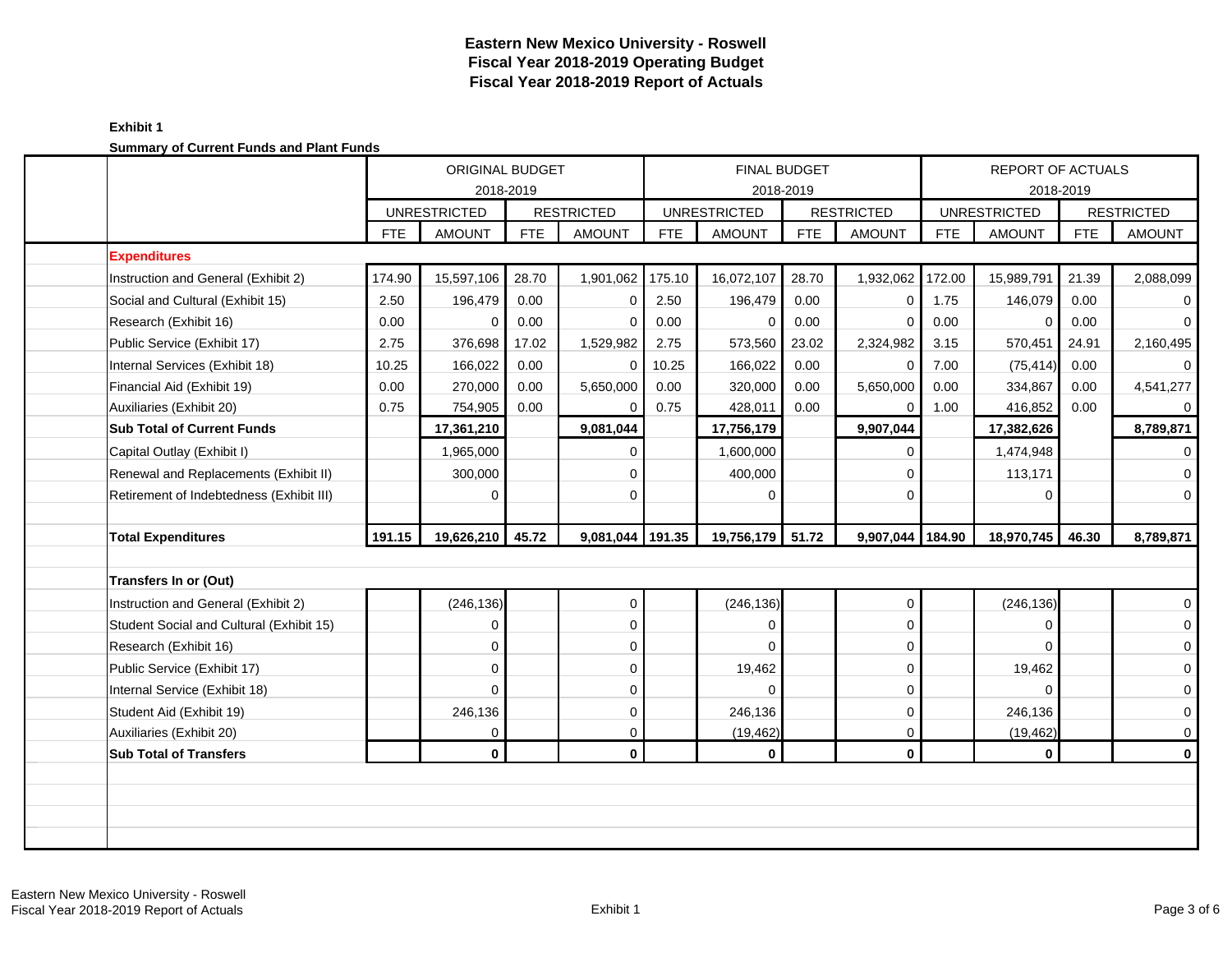| <u>Udininaly Or UditCht Funds and Flant Funds</u> |            | ORIGINAL BUDGET     | 2018-2019  |                   | FINAL BUDGET<br>2018-2019 |                     |            |                   |            |                     | REPORT OF ACTUALS<br>2018-2019 |                   |
|---------------------------------------------------|------------|---------------------|------------|-------------------|---------------------------|---------------------|------------|-------------------|------------|---------------------|--------------------------------|-------------------|
|                                                   |            | <b>UNRESTRICTED</b> |            | <b>RESTRICTED</b> |                           | <b>UNRESTRICTED</b> |            | <b>RESTRICTED</b> |            | <b>UNRESTRICTED</b> |                                | <b>RESTRICTED</b> |
|                                                   | <b>FTE</b> | <b>AMOUNT</b>       | <b>FTE</b> | <b>AMOUNT</b>     | <b>FTE</b>                | <b>AMOUNT</b>       | <b>FTE</b> | <b>AMOUNT</b>     | <b>FTE</b> | <b>AMOUNT</b>       | <b>FTE</b>                     | <b>AMOUNT</b>     |
| <b>Expenditures</b>                               |            |                     |            |                   |                           |                     |            |                   |            |                     |                                |                   |
| Instruction and General (Exhibit 2)               | 174.90     | 15,597,106          | 28.70      | 1,901,062         | 175.10                    | 16,072,107          | 28.70      | 1,932,062         | 172.00     | 15,989,791          | 21.39                          | 2,088,099         |
| Social and Cultural (Exhibit 15)                  | 2.50       | 196,479             | 0.00       | $\Omega$          | 2.50                      | 196,479             | 0.00       | 0                 | 1.75       | 146,079             | 0.00                           | 0                 |
| Research (Exhibit 16)                             | 0.00       | 0                   | 0.00       | $\Omega$          | 0.00                      | 0                   | 0.00       | 0                 | 0.00       | 0                   | 0.00                           | $\mathbf 0$       |
| Public Service (Exhibit 17)                       | 2.75       | 376,698             | 17.02      | 1,529,982         | 2.75                      | 573,560             | 23.02      | 2,324,982         | 3.15       | 570,451             | 24.91                          | 2,160,495         |
| Internal Services (Exhibit 18)                    | 10.25      | 166,022             | 0.00       | 0                 | 10.25                     | 166,022             | 0.00       | 0                 | 7.00       | (75, 414)           | 0.00                           | $\mathbf 0$       |
| Financial Aid (Exhibit 19)                        | 0.00       | 270,000             | 0.00       | 5,650,000         | 0.00                      | 320,000             | 0.00       | 5,650,000         | 0.00       | 334,867             | 0.00                           | 4,541,277         |
| Auxiliaries (Exhibit 20)                          | 0.75       | 754,905             | 0.00       | 0                 | 0.75                      | 428,011             | 0.00       | 0                 | 1.00       | 416,852             | 0.00                           | $\overline{0}$    |
| <b>Sub Total of Current Funds</b>                 |            | 17,361,210          |            | 9,081,044         |                           | 17,756,179          |            | 9,907,044         |            | 17,382,626          |                                | 8,789,871         |
| Capital Outlay (Exhibit I)                        |            | 1,965,000           |            | $\Omega$          |                           | 1,600,000           |            | 0                 |            | 1,474,948           |                                | $\mathbf 0$       |
| Renewal and Replacements (Exhibit II)             |            | 300,000             |            | $\mathbf 0$       |                           | 400,000             |            | $\mathbf 0$       |            | 113,171             |                                | $\mathbf 0$       |
| Retirement of Indebtedness (Exhibit III)          |            | 0                   |            | 0                 |                           | 0                   |            | 0                 |            | 0                   |                                | $\mathbf 0$       |
|                                                   |            |                     |            |                   |                           |                     |            |                   |            |                     |                                |                   |
| <b>Total Expenditures</b>                         | 191.15     | 19,626,210          | 45.72      | 9,081,044 191.35  |                           | 19,756,179 51.72    |            | 9,907,044         | 184.90     | 18,970,745          | 46.30                          | 8,789,871         |
|                                                   |            |                     |            |                   |                           |                     |            |                   |            |                     |                                |                   |
| Transfers In or (Out)                             |            |                     |            |                   |                           |                     |            |                   |            |                     |                                |                   |
| Instruction and General (Exhibit 2)               |            | (246, 136)          |            | $\mathbf 0$       |                           | (246, 136)          |            | $\mathbf 0$       |            | (246, 136)          |                                | $\overline{0}$    |
| Student Social and Cultural (Exhibit 15)          |            | 0                   |            | 0                 |                           | $\Omega$            |            | 0                 |            | 0                   |                                | $\mathbf 0$       |
| Research (Exhibit 16)                             |            | 0                   |            | 0                 |                           | $\Omega$            |            | 0                 |            | 0                   |                                | $\mathbf 0$       |
| Public Service (Exhibit 17)                       |            | 0                   |            | $\mathbf 0$       |                           | 19,462              |            | 0                 |            | 19,462              |                                | $\mathbf 0$       |
| Internal Service (Exhibit 18)                     |            | 0                   |            | 0                 |                           | $\Omega$            |            | 0                 |            | 0                   |                                | $\mathbf 0$       |
| Student Aid (Exhibit 19)                          |            | 246,136             |            | $\mathbf 0$       |                           | 246,136             |            | 0                 |            | 246,136             |                                | $\mathbf 0$       |
| Auxiliaries (Exhibit 20)                          |            | 0                   |            | 0                 |                           | (19, 462)           |            | 0                 |            | (19, 462)           |                                | $\mathbf 0$       |
| <b>Sub Total of Transfers</b>                     |            | $\mathbf{0}$        |            | $\mathbf 0$       |                           | $\bf{0}$            |            | $\bf{0}$          |            | $\mathbf{0}$        |                                | $\mathbf{0}$      |
|                                                   |            |                     |            |                   |                           |                     |            |                   |            |                     |                                |                   |
|                                                   |            |                     |            |                   |                           |                     |            |                   |            |                     |                                |                   |
|                                                   |            |                     |            |                   |                           |                     |            |                   |            |                     |                                |                   |
|                                                   |            |                     |            |                   |                           |                     |            |                   |            |                     |                                |                   |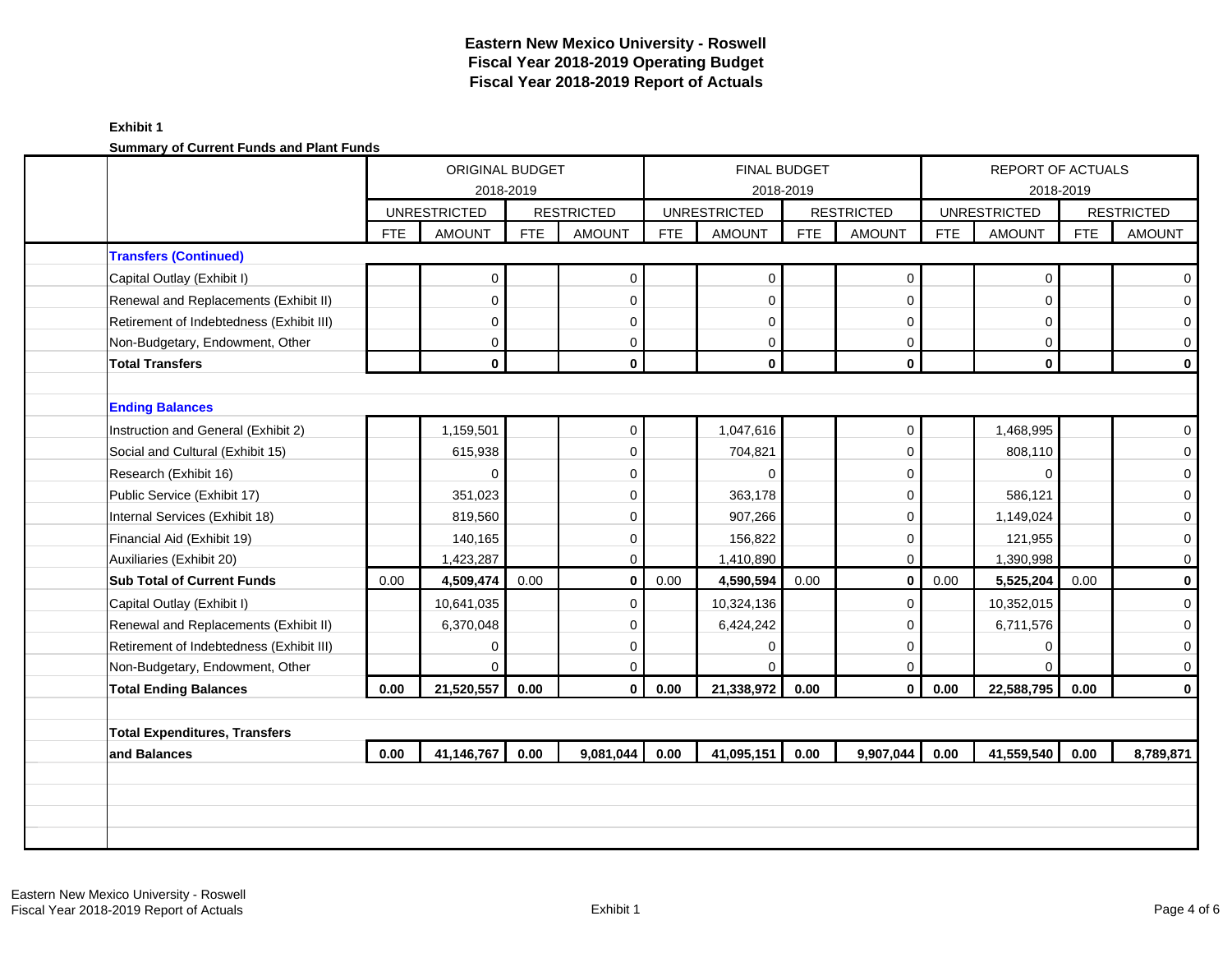|                                          |            | ORIGINAL BUDGET<br>2018-2019<br><b>UNRESTRICTED</b><br><b>AMOUNT</b> |            |                   |            | <b>FINAL BUDGET</b><br>2018-2019 |            |                   |            | REPORT OF ACTUALS   | 2018-2019  |                     |
|------------------------------------------|------------|----------------------------------------------------------------------|------------|-------------------|------------|----------------------------------|------------|-------------------|------------|---------------------|------------|---------------------|
|                                          |            |                                                                      |            | <b>RESTRICTED</b> |            | <b>UNRESTRICTED</b>              |            | <b>RESTRICTED</b> |            | <b>UNRESTRICTED</b> |            | <b>RESTRICTED</b>   |
|                                          | <b>FTE</b> |                                                                      | <b>FTE</b> | <b>AMOUNT</b>     | <b>FTE</b> | <b>AMOUNT</b>                    | <b>FTE</b> | <b>AMOUNT</b>     | <b>FTE</b> | <b>AMOUNT</b>       | <b>FTE</b> | <b>AMOUNT</b>       |
| <b>Transfers (Continued)</b>             |            |                                                                      |            |                   |            |                                  |            |                   |            |                     |            |                     |
| Capital Outlay (Exhibit I)               |            | 0                                                                    |            | $\mathbf 0$       |            | $\mathbf 0$                      |            | $\mathbf 0$       |            | $\mathbf 0$         |            | $\mathbf{0}$        |
| Renewal and Replacements (Exhibit II)    |            | $\Omega$                                                             |            | $\Omega$          |            | $\Omega$                         |            | $\mathbf 0$       |            | $\Omega$            |            | $\mathbf 0$         |
| Retirement of Indebtedness (Exhibit III) |            | 0                                                                    |            | $\Omega$          |            | $\Omega$                         |            | $\mathbf 0$       |            | $\Omega$            |            | $\mathbf{0}$        |
| Non-Budgetary, Endowment, Other          |            | 0                                                                    |            | 0                 |            | 0                                |            | 0                 |            | 0                   |            | $\mathsf{O}\xspace$ |
| <b>Total Transfers</b>                   |            | $\mathbf{0}$                                                         |            | $\mathbf{0}$      |            | $\mathbf 0$                      |            | $\mathbf{0}$      |            | $\mathbf{0}$        |            | $\mathbf 0$         |
|                                          |            |                                                                      |            |                   |            |                                  |            |                   |            |                     |            |                     |
| <b>Ending Balances</b>                   |            |                                                                      |            |                   |            |                                  |            |                   |            |                     |            |                     |
| Instruction and General (Exhibit 2)      |            | 1,159,501                                                            |            | $\mathbf 0$       |            | 1,047,616                        |            | $\mathbf{0}$      |            | 1,468,995           |            | $\mathbf{0}$        |
| Social and Cultural (Exhibit 15)         |            | 615,938                                                              |            | $\Omega$          |            | 704,821                          |            | $\mathbf 0$       |            | 808,110             |            | $\mathsf{O}\xspace$ |
| Research (Exhibit 16)                    |            | $\Omega$                                                             |            | $\Omega$          |            | $\Omega$                         |            | $\mathbf 0$       |            | $\Omega$            |            | $\mathbf 0$         |
| Public Service (Exhibit 17)              |            | 351,023                                                              |            | $\Omega$          |            | 363,178                          |            | $\mathbf 0$       |            | 586,121             |            | $\mathbf{O}$        |
| Internal Services (Exhibit 18)           |            | 819,560                                                              |            | $\Omega$          |            | 907,266                          |            | $\mathbf 0$       |            | 1,149,024           |            | $\mathbf 0$         |
| Financial Aid (Exhibit 19)               |            | 140,165                                                              |            | $\mathbf 0$       |            | 156,822                          |            | $\mathbf 0$       |            | 121,955             |            | $\mathsf{O}\,$      |
| Auxiliaries (Exhibit 20)                 |            | 1,423,287                                                            |            | $\Omega$          |            | 1,410,890                        |            | $\mathbf 0$       |            | 1,390,998           |            | $\mathsf{O}\xspace$ |
| <b>Sub Total of Current Funds</b>        | 0.00       | 4,509,474                                                            | 0.00       | $\bf{0}$          | 0.00       | 4,590,594                        | 0.00       | $\mathbf 0$       | 0.00       | 5,525,204           | 0.00       | $\mathbf 0$         |
| Capital Outlay (Exhibit I)               |            | 10,641,035                                                           |            | $\mathbf 0$       |            | 10,324,136                       |            | $\mathbf 0$       |            | 10,352,015          |            | $\mathbf 0$         |
| Renewal and Replacements (Exhibit II)    |            | 6,370,048                                                            |            | $\Omega$          |            | 6,424,242                        |            | $\mathbf 0$       |            | 6,711,576           |            | $\overline{0}$      |
| Retirement of Indebtedness (Exhibit III) |            | 0                                                                    |            | $\mathbf 0$       |            | $\Omega$                         |            | $\mathbf 0$       |            | 0                   |            | $\mathbf 0$         |
| Non-Budgetary, Endowment, Other          |            | ∩                                                                    |            | $\Omega$          |            | $\Omega$                         |            | $\mathbf 0$       |            | $\Omega$            |            | $\mathbf 0$         |
| <b>Total Ending Balances</b>             | 0.00       | 21,520,557                                                           | 0.00       | $\mathbf{0}$      | 0.00       | 21,338,972                       | 0.00       | $\mathbf{0}$      | 0.00       | 22,588,795          | 0.00       | $\mathbf 0$         |
|                                          |            |                                                                      |            |                   |            |                                  |            |                   |            |                     |            |                     |
| <b>Total Expenditures, Transfers</b>     |            |                                                                      |            |                   |            |                                  |            |                   |            |                     |            |                     |
|                                          | 0.00       | 41,146,767                                                           | 0.00       | 9,081,044         | 0.00       | 41,095,151                       | 0.00       | 9,907,044         | 0.00       | 41,559,540          | 0.00       | 8,789,871           |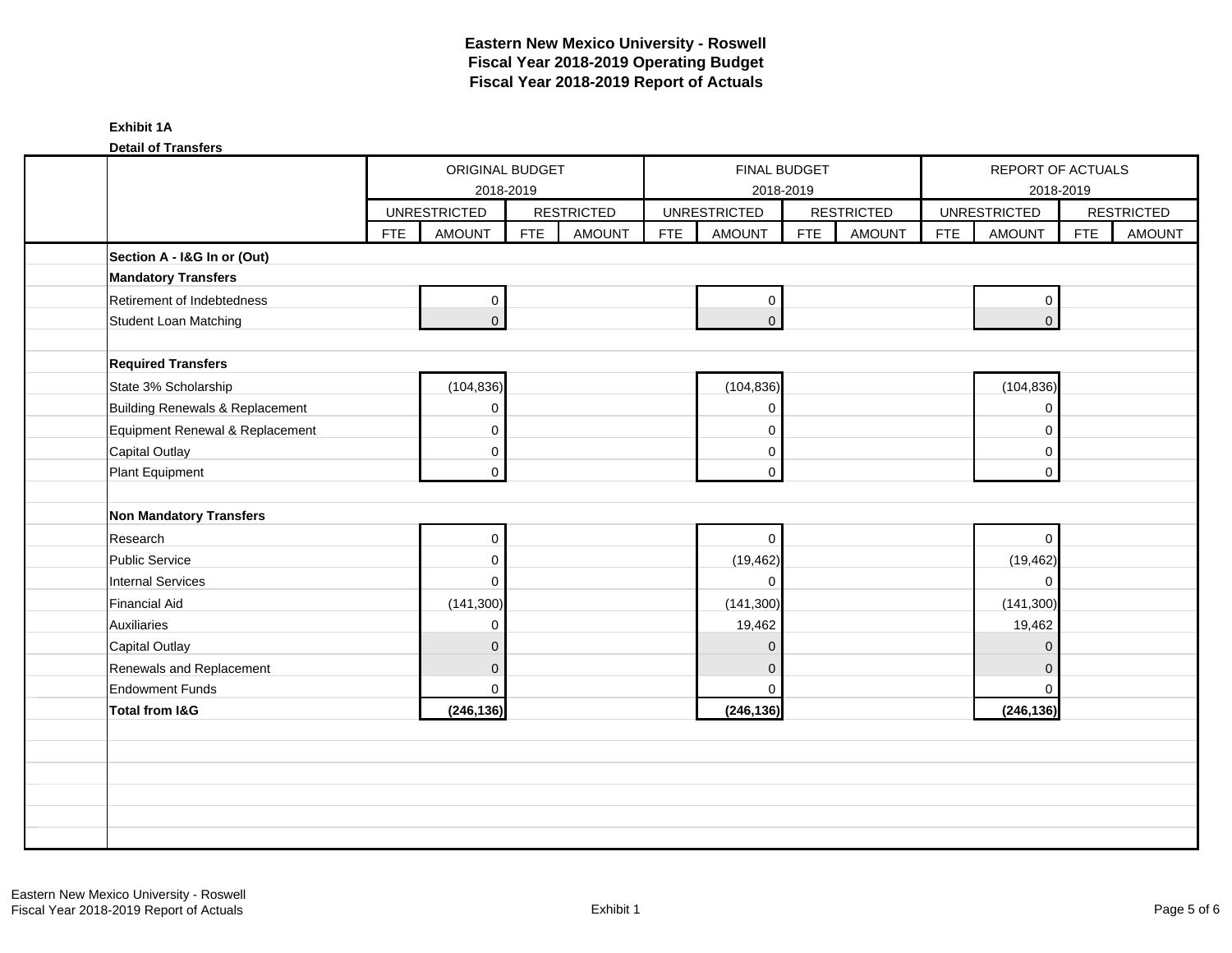| Exhibit |  |
|---------|--|
|---------|--|

**Detail of Transfers**

|                                 |            | ORIGINAL BUDGET     | 2018-2019  |                   |            |                     | <b>FINAL BUDGET</b><br>2018-2019 |                   |            |                     | REPORT OF ACTUALS<br>2018-2019 |                   |
|---------------------------------|------------|---------------------|------------|-------------------|------------|---------------------|----------------------------------|-------------------|------------|---------------------|--------------------------------|-------------------|
|                                 |            | <b>UNRESTRICTED</b> |            | <b>RESTRICTED</b> |            | <b>UNRESTRICTED</b> |                                  | <b>RESTRICTED</b> |            | <b>UNRESTRICTED</b> |                                | <b>RESTRICTED</b> |
|                                 | <b>FTE</b> | <b>AMOUNT</b>       | <b>FTE</b> | <b>AMOUNT</b>     | <b>FTE</b> | <b>AMOUNT</b>       | <b>FTE</b>                       | <b>AMOUNT</b>     | <b>FTE</b> | <b>AMOUNT</b>       | <b>FTE</b>                     | <b>AMOUNT</b>     |
| Section A - I&G In or (Out)     |            |                     |            |                   |            |                     |                                  |                   |            |                     |                                |                   |
| <b>Mandatory Transfers</b>      |            |                     |            |                   |            |                     |                                  |                   |            |                     |                                |                   |
| Retirement of Indebtedness      |            | 0                   |            |                   |            | $\pmb{0}$           |                                  |                   |            | $\mathbf 0$         |                                |                   |
| Student Loan Matching           |            | $\overline{0}$      |            |                   |            | $\overline{0}$      |                                  |                   |            | $\overline{0}$      |                                |                   |
|                                 |            |                     |            |                   |            |                     |                                  |                   |            |                     |                                |                   |
| <b>Required Transfers</b>       |            |                     |            |                   |            |                     |                                  |                   |            |                     |                                |                   |
| State 3% Scholarship            |            | (104, 836)          |            |                   |            | (104, 836)          |                                  |                   |            | (104, 836)          |                                |                   |
| Building Renewals & Replacement |            | 0                   |            |                   |            | $\mathbf 0$         |                                  |                   |            | $\mathbf 0$         |                                |                   |
| Equipment Renewal & Replacement |            | 0                   |            |                   |            | $\mathbf 0$         |                                  |                   |            | $\Omega$            |                                |                   |
| <b>Capital Outlay</b>           |            | 0                   |            |                   |            | 0                   |                                  |                   |            | 0                   |                                |                   |
| Plant Equipment                 |            | 0                   |            |                   |            | $\Omega$            |                                  |                   |            | $\mathbf 0$         |                                |                   |
|                                 |            |                     |            |                   |            |                     |                                  |                   |            |                     |                                |                   |
| <b>Non Mandatory Transfers</b>  |            |                     |            |                   |            |                     |                                  |                   |            |                     |                                |                   |
| Research                        |            | 0                   |            |                   |            | $\mathbf 0$         |                                  |                   |            | $\mathbf 0$         |                                |                   |
| <b>Public Service</b>           |            | 0                   |            |                   |            | (19, 462)           |                                  |                   |            | (19, 462)           |                                |                   |
| <b>Internal Services</b>        |            | 0                   |            |                   |            | $\mathbf 0$         |                                  |                   |            | $\mathbf 0$         |                                |                   |
| Financial Aid                   |            | (141, 300)          |            |                   |            | (141, 300)          |                                  |                   |            | (141, 300)          |                                |                   |
| Auxiliaries                     |            | 0                   |            |                   |            | 19,462              |                                  |                   |            | 19,462              |                                |                   |
| <b>Capital Outlay</b>           |            | $\mathbf 0$         |            |                   |            | $\mathbf{0}$        |                                  |                   |            | $\mathbf 0$         |                                |                   |
| Renewals and Replacement        |            | $\mathbf 0$         |            |                   |            | $\mathbf{0}$        |                                  |                   |            | $\Omega$            |                                |                   |
| <b>Endowment Funds</b>          |            | $\Omega$            |            |                   |            | $\mathbf 0$         |                                  |                   |            | $\Omega$            |                                |                   |
| <b>Total from I&amp;G</b>       |            | (246, 136)          |            |                   |            | (246, 136)          |                                  |                   |            | (246, 136)          |                                |                   |
|                                 |            |                     |            |                   |            |                     |                                  |                   |            |                     |                                |                   |
|                                 |            |                     |            |                   |            |                     |                                  |                   |            |                     |                                |                   |
|                                 |            |                     |            |                   |            |                     |                                  |                   |            |                     |                                |                   |
|                                 |            |                     |            |                   |            |                     |                                  |                   |            |                     |                                |                   |
|                                 |            |                     |            |                   |            |                     |                                  |                   |            |                     |                                |                   |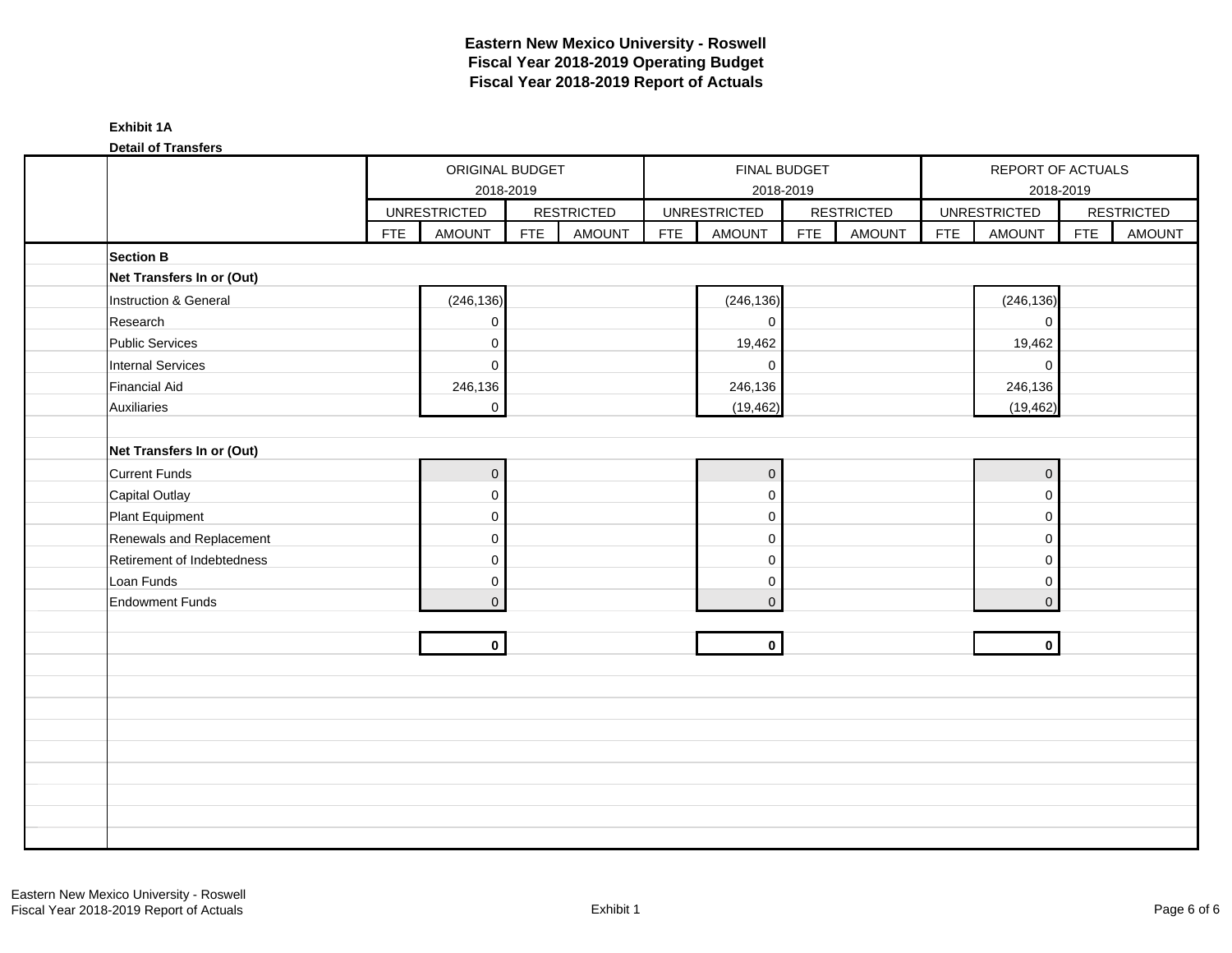|  | Exhibit |
|--|---------|
|--|---------|

**Detail of Transfers**

| <b>Polan VI Transford</b>  |            | ORIGINAL BUDGET<br>2018-2019<br><b>UNRESTRICTED</b> |            |                   |            | FINAL BUDGET<br>2018-2019 |            |                   |            | REPORT OF ACTUALS<br>2018-2019 |            |                   |
|----------------------------|------------|-----------------------------------------------------|------------|-------------------|------------|---------------------------|------------|-------------------|------------|--------------------------------|------------|-------------------|
|                            |            |                                                     |            | <b>RESTRICTED</b> |            | <b>UNRESTRICTED</b>       |            | <b>RESTRICTED</b> |            | <b>UNRESTRICTED</b>            |            | <b>RESTRICTED</b> |
|                            | <b>FTE</b> | <b>AMOUNT</b>                                       | <b>FTE</b> | <b>AMOUNT</b>     | <b>FTE</b> | <b>AMOUNT</b>             | <b>FTE</b> | <b>AMOUNT</b>     | <b>FTE</b> | <b>AMOUNT</b>                  | <b>FTE</b> | <b>AMOUNT</b>     |
| <b>Section B</b>           |            |                                                     |            |                   |            |                           |            |                   |            |                                |            |                   |
| Net Transfers In or (Out)  |            |                                                     |            |                   |            |                           |            |                   |            |                                |            |                   |
| Instruction & General      |            | (246, 136)                                          |            |                   |            | (246, 136)                |            |                   |            | (246, 136)                     |            |                   |
| Research                   |            | 0                                                   |            |                   |            | $\pmb{0}$                 |            |                   |            | $\mathsf{O}\xspace$            |            |                   |
| <b>Public Services</b>     |            | 0                                                   |            |                   |            | 19,462                    |            |                   |            | 19,462                         |            |                   |
| <b>Internal Services</b>   |            | $\mathbf 0$                                         |            |                   |            | $\mathbf 0$               |            |                   |            | $\mathbf 0$                    |            |                   |
| <b>Financial Aid</b>       |            | 246,136                                             |            |                   |            | 246,136                   |            |                   |            | 246,136                        |            |                   |
| Auxiliaries                |            | $\mathbf 0$                                         |            |                   |            | (19, 462)                 |            |                   |            | (19, 462)                      |            |                   |
|                            |            |                                                     |            |                   |            |                           |            |                   |            |                                |            |                   |
| Net Transfers In or (Out)  |            |                                                     |            |                   |            |                           |            |                   |            |                                |            |                   |
| <b>Current Funds</b>       |            | $\pmb{0}$                                           |            |                   |            | $\mathbf 0$               |            |                   |            | $\overline{0}$                 |            |                   |
| Capital Outlay             |            | 0                                                   |            |                   |            | $\pmb{0}$                 |            |                   |            | $\mathbf 0$                    |            |                   |
| Plant Equipment            |            | $\mathbf 0$                                         |            |                   |            | $\mathbf 0$               |            |                   |            | $\mathbf 0$                    |            |                   |
| Renewals and Replacement   |            | 0                                                   |            |                   |            | $\mathbf 0$               |            |                   |            | $\mathbf 0$                    |            |                   |
| Retirement of Indebtedness |            | $\pmb{0}$                                           |            |                   |            | $\pmb{0}$                 |            |                   |            | $\mathbf 0$                    |            |                   |
| Loan Funds                 |            | 0                                                   |            |                   |            | 0                         |            |                   |            | $\mathbf 0$                    |            |                   |
| <b>Endowment Funds</b>     |            | $\overline{0}$                                      |            |                   |            | $\mathbf{0}$              |            |                   |            | $\overline{0}$                 |            |                   |
|                            |            |                                                     |            |                   |            |                           |            |                   |            |                                |            |                   |
|                            |            | $\mathbf{0}$                                        |            |                   |            | $\mathbf 0$               |            |                   |            | $\mathbf{0}$                   |            |                   |
|                            |            |                                                     |            |                   |            |                           |            |                   |            |                                |            |                   |
|                            |            |                                                     |            |                   |            |                           |            |                   |            |                                |            |                   |
|                            |            |                                                     |            |                   |            |                           |            |                   |            |                                |            |                   |
|                            |            |                                                     |            |                   |            |                           |            |                   |            |                                |            |                   |
|                            |            |                                                     |            |                   |            |                           |            |                   |            |                                |            |                   |
|                            |            |                                                     |            |                   |            |                           |            |                   |            |                                |            |                   |
|                            |            |                                                     |            |                   |            |                           |            |                   |            |                                |            |                   |
|                            |            |                                                     |            |                   |            |                           |            |                   |            |                                |            |                   |
|                            |            |                                                     |            |                   |            |                           |            |                   |            |                                |            |                   |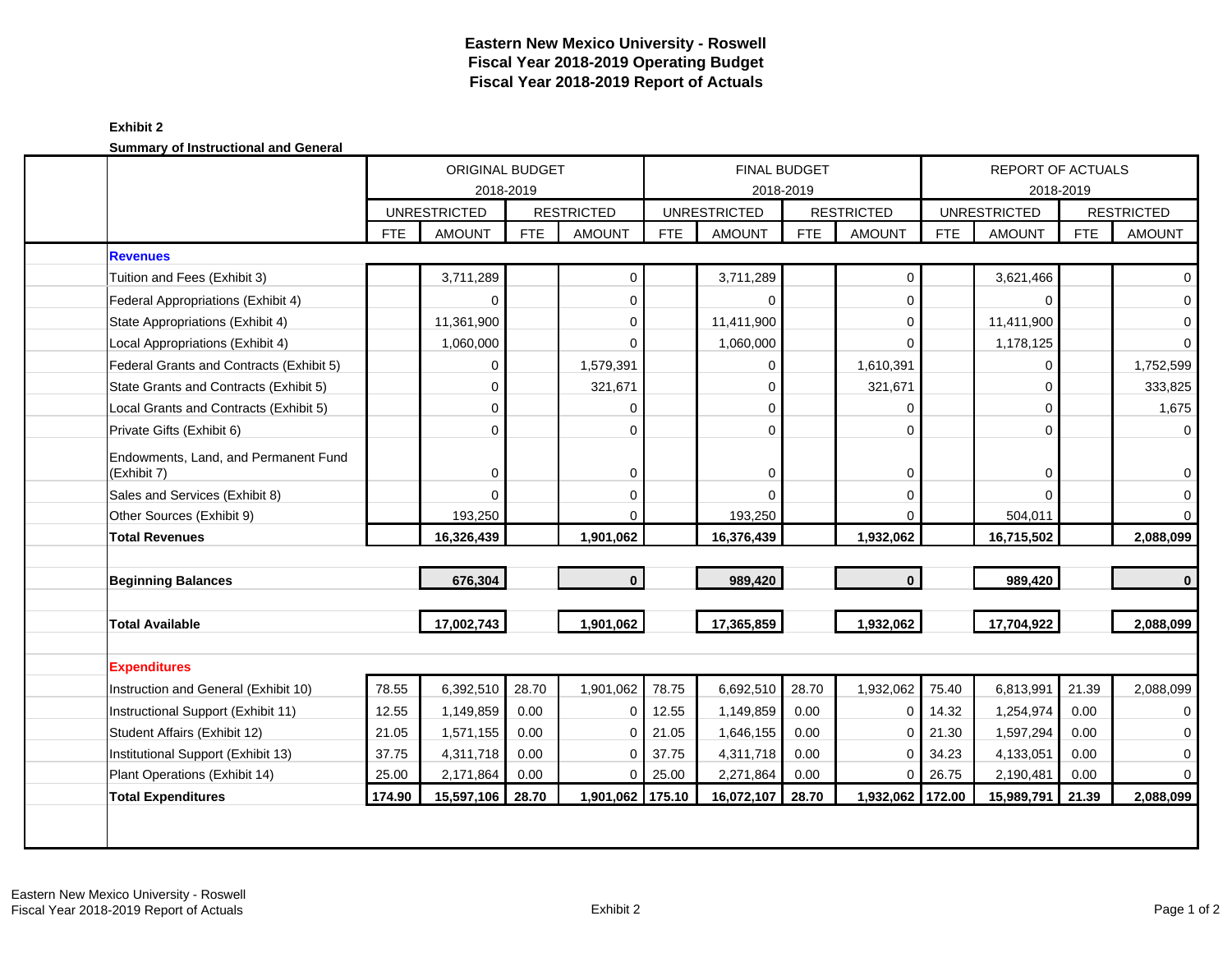### **Exhibit 2 Summary of Instructional and General**

|                                                     |            | ORIGINAL BUDGET<br>2018-2019 |            |                   |            |                     | <b>FINAL BUDGET</b><br>2018-2019 |                   | <b>REPORT OF ACTUALS</b><br>2018-2019 |                     |            |                   |  |
|-----------------------------------------------------|------------|------------------------------|------------|-------------------|------------|---------------------|----------------------------------|-------------------|---------------------------------------|---------------------|------------|-------------------|--|
|                                                     |            | <b>UNRESTRICTED</b>          |            | <b>RESTRICTED</b> |            | <b>UNRESTRICTED</b> |                                  | <b>RESTRICTED</b> |                                       | <b>UNRESTRICTED</b> |            | <b>RESTRICTED</b> |  |
|                                                     | <b>FTE</b> | <b>AMOUNT</b>                | <b>FTE</b> | <b>AMOUNT</b>     | <b>FTE</b> | <b>AMOUNT</b>       | <b>FTE</b>                       | <b>AMOUNT</b>     | <b>FTE</b>                            | <b>AMOUNT</b>       | <b>FTE</b> | <b>AMOUNT</b>     |  |
| <b>Revenues</b>                                     |            |                              |            |                   |            |                     |                                  |                   |                                       |                     |            |                   |  |
| Tuition and Fees (Exhibit 3)                        |            | 3,711,289                    |            | 0                 |            | 3,711,289           |                                  | 0                 |                                       | 3,621,466           |            | 0                 |  |
| Federal Appropriations (Exhibit 4)                  |            | $\Omega$                     |            | $\mathbf 0$       |            | $\Omega$            |                                  | 0                 |                                       | $\mathbf 0$         |            | 0                 |  |
| State Appropriations (Exhibit 4)                    |            | 11,361,900                   |            | $\mathbf 0$       |            | 11,411,900          |                                  | 0                 |                                       | 11,411,900          |            | 0                 |  |
| Local Appropriations (Exhibit 4)                    |            | 1,060,000                    |            | $\Omega$          |            | 1,060,000           |                                  | $\Omega$          |                                       | 1,178,125           |            | $\Omega$          |  |
| Federal Grants and Contracts (Exhibit 5)            |            | $\mathbf 0$                  |            | 1,579,391         |            | 0                   |                                  | 1,610,391         |                                       | $\mathbf 0$         |            | 1,752,599         |  |
| State Grants and Contracts (Exhibit 5)              |            | $\mathbf 0$                  |            | 321,671           |            | $\Omega$            |                                  | 321,671           |                                       | $\Omega$            |            | 333,825           |  |
| Local Grants and Contracts (Exhibit 5)              |            | $\mathbf 0$                  |            | $\Omega$          |            | $\Omega$            |                                  | 0                 |                                       | $\Omega$            |            | 1,675             |  |
| Private Gifts (Exhibit 6)                           |            | $\mathbf 0$                  |            | $\Omega$          |            | $\Omega$            |                                  | $\mathbf 0$       |                                       | $\Omega$            |            | 0                 |  |
| Endowments, Land, and Permanent Fund<br>(Exhibit 7) |            | $\mathbf 0$                  |            | $\mathbf 0$       |            | $\mathbf 0$         |                                  | 0                 |                                       | $\mathbf 0$         |            | 0                 |  |
| Sales and Services (Exhibit 8)                      |            | $\Omega$                     |            | $\mathbf 0$       |            | $\Omega$            |                                  | $\mathbf 0$       |                                       | $\Omega$            |            | 0                 |  |
| Other Sources (Exhibit 9)                           |            | 193,250                      |            | 0                 |            | 193,250             |                                  | $\Omega$          |                                       | 504,011             |            | $\Omega$          |  |
| <b>Total Revenues</b>                               |            | 16,326,439                   |            | 1,901,062         |            | 16,376,439          |                                  | 1,932,062         |                                       | 16,715,502          |            | 2,088,099         |  |
|                                                     |            |                              |            |                   |            |                     |                                  |                   |                                       |                     |            |                   |  |
| <b>Beginning Balances</b>                           |            | 676,304                      |            | $\mathbf{0}$      |            | 989,420             |                                  | $\mathbf{0}$      |                                       | 989,420             |            | $\mathbf{0}$      |  |
| <b>Total Available</b>                              |            | 17,002,743                   |            | 1,901,062         |            | 17,365,859          |                                  | 1,932,062         |                                       | 17,704,922          |            | 2,088,099         |  |
|                                                     |            |                              |            |                   |            |                     |                                  |                   |                                       |                     |            |                   |  |
| <b>Expenditures</b>                                 |            |                              |            |                   |            |                     |                                  |                   |                                       |                     |            |                   |  |
| Instruction and General (Exhibit 10)                | 78.55      | 6,392,510                    | 28.70      | 1,901,062         | 78.75      | 6,692,510           | 28.70                            | 1,932,062         | 75.40                                 | 6,813,991           | 21.39      | 2,088,099         |  |
| Instructional Support (Exhibit 11)                  | 12.55      | 1,149,859                    | 0.00       | $\mathbf 0$       | 12.55      | 1,149,859           | 0.00                             | $\mathbf 0$       | 14.32                                 | 1,254,974           | 0.00       | $\mathbf 0$       |  |
| Student Affairs (Exhibit 12)                        | 21.05      | 1,571,155                    | 0.00       | $\Omega$          | 21.05      | 1,646,155           | 0.00                             | $\Omega$          | 21.30                                 | 1,597,294           | 0.00       | $\Omega$          |  |
| Institutional Support (Exhibit 13)                  | 37.75      | 4,311,718                    | 0.00       | $\Omega$          | 37.75      | 4,311,718           | 0.00                             | $\Omega$          | 34.23                                 | 4,133,051           | 0.00       | $\Omega$          |  |
| Plant Operations (Exhibit 14)                       | 25.00      | 2,171,864                    | 0.00       | $\Omega$          | 25.00      | 2,271,864           | 0.00                             | $\mathbf 0$       | 26.75                                 | 2,190,481           | 0.00       | $\Omega$          |  |
| <b>Total Expenditures</b>                           | 174.90     | 15,597,106                   | 28.70      | 1,901,062 175.10  |            | 16,072,107          | 28.70                            | 1,932,062 172.00  |                                       | 15,989,791          | 21.39      | 2,088,099         |  |
|                                                     |            |                              |            |                   |            |                     |                                  |                   |                                       |                     |            |                   |  |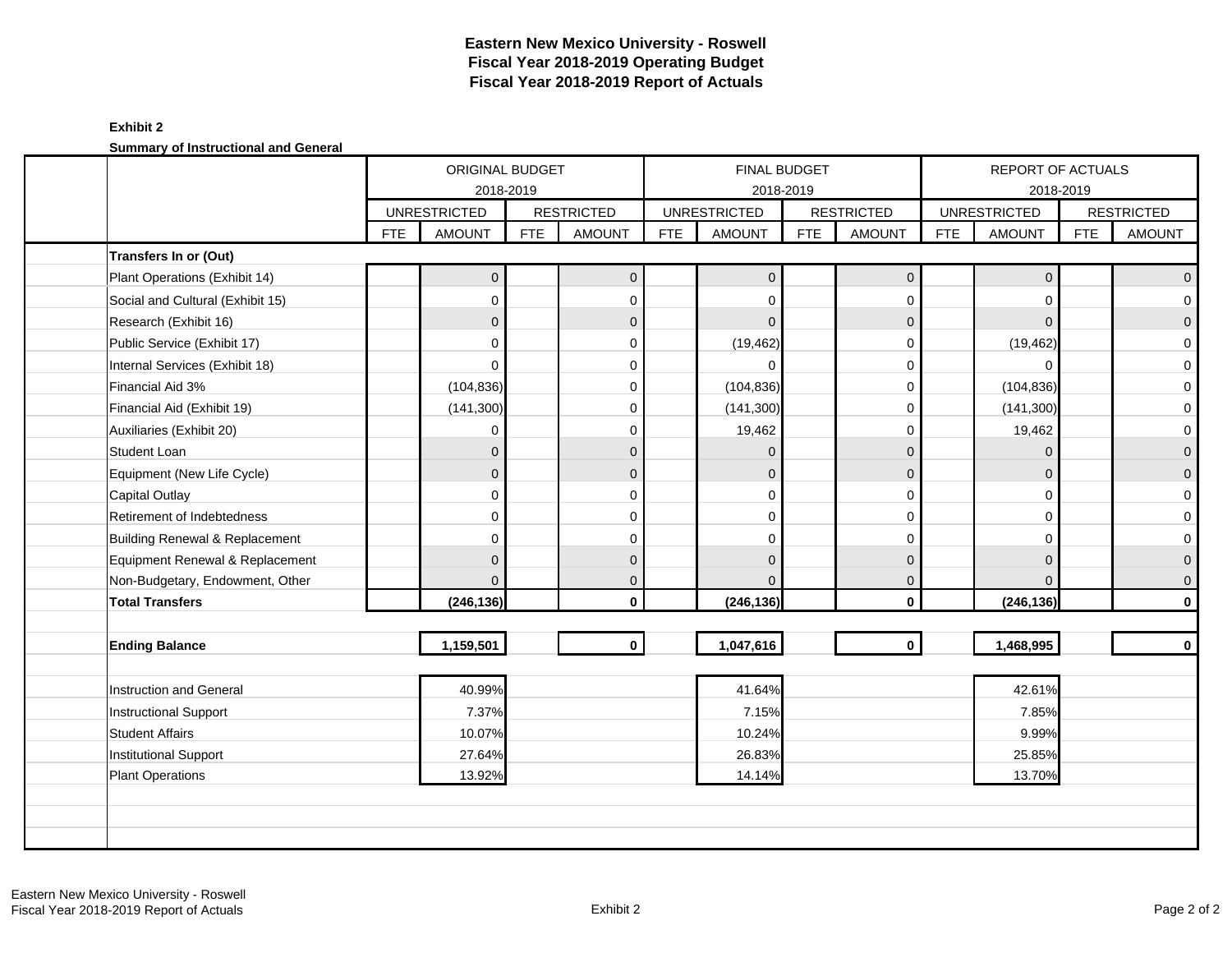### **Exhibit 2 Summary of Instructional and General**

|                                  |            | ORIGINAL BUDGET<br>2018-2019<br><b>UNRESTRICTED</b> |            |                   |            |                     | FINAL BUDGET<br>2018-2019 |                   |            | REPORT OF ACTUALS   | 2018-2019  |                          |
|----------------------------------|------------|-----------------------------------------------------|------------|-------------------|------------|---------------------|---------------------------|-------------------|------------|---------------------|------------|--------------------------|
|                                  |            |                                                     |            | <b>RESTRICTED</b> |            | <b>UNRESTRICTED</b> |                           | <b>RESTRICTED</b> |            | <b>UNRESTRICTED</b> |            | <b>RESTRICTED</b>        |
|                                  | <b>FTE</b> | <b>AMOUNT</b>                                       | <b>FTE</b> | <b>AMOUNT</b>     | <b>FTE</b> | <b>AMOUNT</b>       | <b>FTE</b>                | <b>AMOUNT</b>     | <b>FTE</b> | <b>AMOUNT</b>       | <b>FTE</b> | <b>AMOUNT</b>            |
| Transfers In or (Out)            |            |                                                     |            |                   |            |                     |                           |                   |            |                     |            |                          |
| Plant Operations (Exhibit 14)    |            | $\mathbf 0$                                         |            | $\mathbf{0}$      |            | $\mathbf{0}$        |                           | $\mathbf{0}$      |            | $\mathbf 0$         |            | $\mathsf{O}\xspace$      |
| Social and Cultural (Exhibit 15) |            | $\Omega$                                            |            | $\mathbf 0$       |            | $\Omega$            |                           | $\mathbf 0$       |            | $\Omega$            |            | $\mathsf{O}\xspace$      |
| Research (Exhibit 16)            |            | $\mathbf{0}$                                        |            | $\mathbf{0}$      |            | $\Omega$            |                           | 0                 |            | $\Omega$            |            | $\overline{0}$           |
| Public Service (Exhibit 17)      |            | $\mathbf 0$                                         |            | $\Omega$          |            | (19, 462)           |                           | 0                 |            | (19, 462)           |            | $\mathsf{O}\xspace$      |
| Internal Services (Exhibit 18)   |            | $\mathbf 0$                                         |            | $\Omega$          |            | $\Omega$            |                           | $\mathbf 0$       |            | $\Omega$            |            | $\mathbf{O}$             |
| Financial Aid 3%                 |            | (104, 836)                                          |            | $\Omega$          |            | (104, 836)          |                           | 0                 |            | (104, 836)          |            | $\mathbf 0$              |
| Financial Aid (Exhibit 19)       |            | (141, 300)                                          |            | $\Omega$          |            | (141, 300)          |                           | $\mathbf 0$       |            | (141, 300)          |            | $\mathsf{O}\xspace$      |
| Auxiliaries (Exhibit 20)         |            | 0                                                   |            | $\Omega$          |            | 19,462              |                           | $\Omega$          |            | 19,462              |            | $\mathbf 0$              |
| <b>Student Loan</b>              |            | $\mathbf{0}$                                        |            | $\Omega$          |            | $\Omega$            |                           | $\mathbf{0}$      |            | $\Omega$            |            | $\overline{0}$           |
| Equipment (New Life Cycle)       |            | $\mathbf{0}$                                        |            | $\Omega$          |            | $\Omega$            |                           | $\mathbf{0}$      |            | $\Omega$            |            | $\mathsf{O}\xspace$      |
| <b>Capital Outlay</b>            |            | $\Omega$                                            |            | $\Omega$          |            | $\Omega$            |                           | $\mathbf 0$       |            | $\Omega$            |            | $\mathbf{O}$             |
| Retirement of Indebtedness       |            | 0                                                   |            | $\Omega$          |            | $\Omega$            |                           | 0                 |            | $\Omega$            |            | $\mathbf 0$              |
| Building Renewal & Replacement   |            | 0                                                   |            | $\Omega$          |            | $\Omega$            |                           | $\Omega$          |            | $\Omega$            |            | $\mathbf{O}$             |
| Equipment Renewal & Replacement  |            | $\mathbf{0}$                                        |            | $\Omega$          |            | $\Omega$            |                           | $\mathbf{0}$      |            | $\Omega$            |            | $\mathsf{O}\ \mathsf{I}$ |
| Non-Budgetary, Endowment, Other  |            | $\Omega$                                            |            | $\mathbf{0}$      |            | $\Omega$            |                           | $\mathbf{0}$      |            | $\Omega$            |            | $\mathsf{O}\xspace$      |
| <b>Total Transfers</b>           |            | (246, 136)                                          |            | $\mathbf{0}$      |            | (246, 136)          |                           | $\mathbf{0}$      |            | (246, 136)          |            | $\mathbf 0$              |
|                                  |            |                                                     |            |                   |            |                     |                           |                   |            |                     |            |                          |
| <b>Ending Balance</b>            |            | 1,159,501                                           |            | $\mathbf{0}$      |            | 1,047,616           |                           | $\mathbf{0}$      |            | 1,468,995           |            | $\mathbf 0$              |
|                                  |            |                                                     |            |                   |            |                     |                           |                   |            |                     |            |                          |
| Instruction and General          |            | 40.99%                                              |            |                   |            | 41.64%              |                           |                   |            | 42.61%              |            |                          |
| Instructional Support            |            | 7.37%                                               |            |                   |            | 7.15%               |                           |                   |            | 7.85%               |            |                          |
| <b>Student Affairs</b>           |            | 10.07%                                              |            |                   |            | 10.24%              |                           |                   |            | 9.99%               |            |                          |
| Institutional Support            |            | 27.64%                                              |            |                   |            | 26.83%              |                           |                   |            | 25.85%              |            |                          |
| <b>Plant Operations</b>          |            | 13.92%                                              |            |                   |            | 14.14%              |                           |                   |            | 13.70%              |            |                          |
|                                  |            |                                                     |            |                   |            |                     |                           |                   |            |                     |            |                          |
|                                  |            |                                                     |            |                   |            |                     |                           |                   |            |                     |            |                          |
|                                  |            |                                                     |            |                   |            |                     |                           |                   |            |                     |            |                          |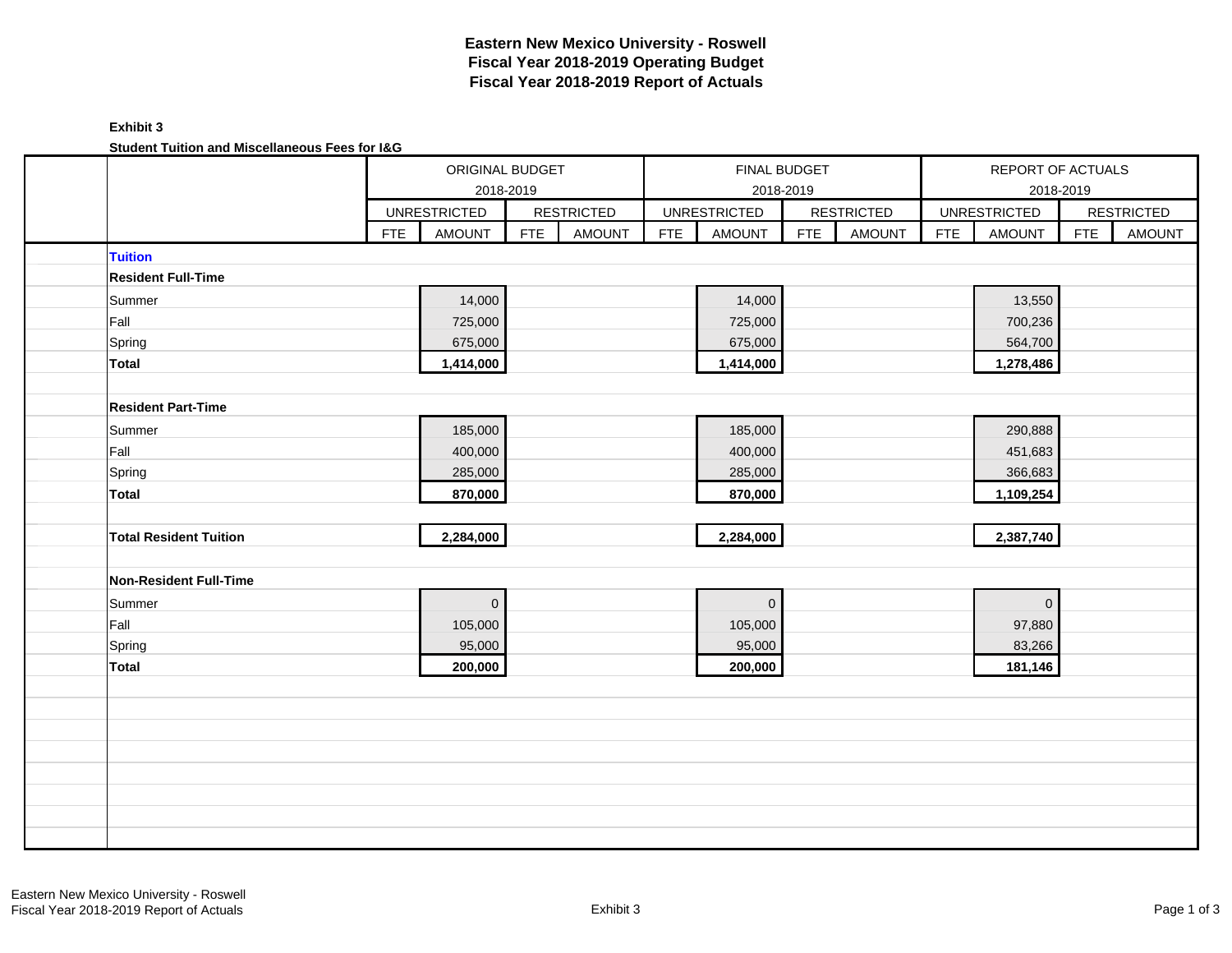### **Exhibit 3 Student Tuition and Miscellaneous Fees for I&G**

| <u>Julient Tullium and Miscenaneous Fees for 1980</u> |                             | ORIGINAL BUDGET<br>2018-2019 |                   |            |                     | FINAL BUDGET<br>2018-2019 |                   | REPORT OF ACTUALS |                     |            |                   |
|-------------------------------------------------------|-----------------------------|------------------------------|-------------------|------------|---------------------|---------------------------|-------------------|-------------------|---------------------|------------|-------------------|
|                                                       |                             |                              |                   |            |                     |                           |                   |                   |                     | 2018-2019  |                   |
|                                                       | <b>UNRESTRICTED</b>         |                              | <b>RESTRICTED</b> |            | <b>UNRESTRICTED</b> |                           | <b>RESTRICTED</b> |                   | <b>UNRESTRICTED</b> |            | <b>RESTRICTED</b> |
|                                                       | <b>FTE</b><br><b>AMOUNT</b> | <b>FTE</b>                   | <b>AMOUNT</b>     | <b>FTE</b> | <b>AMOUNT</b>       | FTE                       | <b>AMOUNT</b>     | <b>FTE</b>        | <b>AMOUNT</b>       | <b>FTE</b> | <b>AMOUNT</b>     |
| <b>Tuition</b>                                        |                             |                              |                   |            |                     |                           |                   |                   |                     |            |                   |
| <b>Resident Full-Time</b>                             |                             |                              |                   |            |                     |                           |                   |                   |                     |            |                   |
| Summer                                                | 14,000                      |                              |                   |            | 14,000              |                           |                   |                   | 13,550              |            |                   |
| Fall                                                  | 725,000                     |                              |                   |            | 725,000             |                           |                   |                   | 700,236             |            |                   |
| Spring                                                | 675,000                     |                              |                   |            | 675,000             |                           |                   |                   | 564,700             |            |                   |
| <b>Total</b>                                          | 1,414,000                   |                              |                   |            | 1,414,000           |                           |                   |                   | 1,278,486           |            |                   |
|                                                       |                             |                              |                   |            |                     |                           |                   |                   |                     |            |                   |
| <b>Resident Part-Time</b>                             |                             |                              |                   |            |                     |                           |                   |                   |                     |            |                   |
| Summer                                                | 185,000                     |                              |                   |            | 185,000             |                           |                   |                   | 290,888             |            |                   |
| Fall                                                  | 400,000                     |                              |                   |            | 400,000             |                           |                   |                   | 451,683             |            |                   |
| Spring                                                | 285,000                     |                              |                   |            | 285,000             |                           |                   |                   | 366,683             |            |                   |
| <b>Total</b>                                          | 870,000                     |                              |                   |            | 870,000             |                           |                   |                   | 1,109,254           |            |                   |
|                                                       |                             |                              |                   |            |                     |                           |                   |                   |                     |            |                   |
| <b>Total Resident Tuition</b>                         | 2,284,000                   |                              |                   |            | 2,284,000           |                           |                   |                   | 2,387,740           |            |                   |
|                                                       |                             |                              |                   |            |                     |                           |                   |                   |                     |            |                   |
| <b>Non-Resident Full-Time</b>                         |                             |                              |                   |            |                     |                           |                   |                   |                     |            |                   |
| Summer                                                | $\overline{0}$              |                              |                   |            | $\mathbf{0}$        |                           |                   |                   | $\mathbf 0$         |            |                   |
| Fall                                                  | 105,000                     |                              |                   |            | 105,000             |                           |                   |                   | 97,880              |            |                   |
| Spring                                                | 95,000                      |                              |                   |            | 95,000              |                           |                   |                   | 83,266              |            |                   |
| Total                                                 | 200,000                     |                              |                   |            | 200,000             |                           |                   |                   | 181,146             |            |                   |
|                                                       |                             |                              |                   |            |                     |                           |                   |                   |                     |            |                   |
|                                                       |                             |                              |                   |            |                     |                           |                   |                   |                     |            |                   |
|                                                       |                             |                              |                   |            |                     |                           |                   |                   |                     |            |                   |
|                                                       |                             |                              |                   |            |                     |                           |                   |                   |                     |            |                   |
|                                                       |                             |                              |                   |            |                     |                           |                   |                   |                     |            |                   |
|                                                       |                             |                              |                   |            |                     |                           |                   |                   |                     |            |                   |
|                                                       |                             |                              |                   |            |                     |                           |                   |                   |                     |            |                   |
|                                                       |                             |                              |                   |            |                     |                           |                   |                   |                     |            |                   |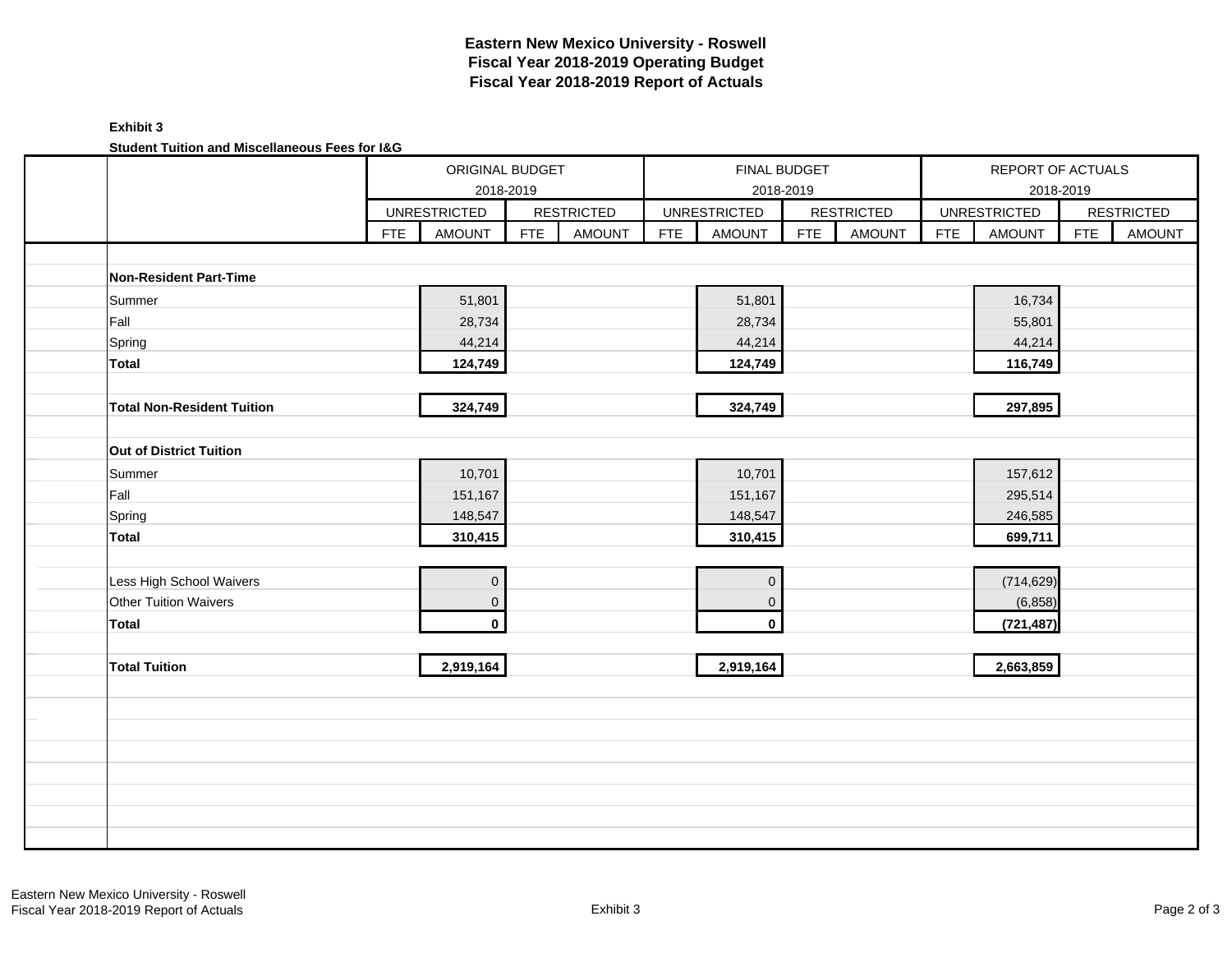### **Exhibit 3 Student Tuition and Miscellaneous Fees for I&G**

| Student Tuition and Miscenaneous Fees for lad | ORIGINAL BUDGET<br><b>UNRESTRICTED</b> |                     |            |                   | FINAL BUDGET |                     |            |                   | REPORT OF ACTUALS |                     |            |                   |  |
|-----------------------------------------------|----------------------------------------|---------------------|------------|-------------------|--------------|---------------------|------------|-------------------|-------------------|---------------------|------------|-------------------|--|
|                                               |                                        | 2018-2019           |            |                   |              |                     | 2018-2019  |                   |                   |                     | 2018-2019  |                   |  |
|                                               |                                        |                     |            | <b>RESTRICTED</b> |              | <b>UNRESTRICTED</b> |            | <b>RESTRICTED</b> |                   | <b>UNRESTRICTED</b> |            | <b>RESTRICTED</b> |  |
|                                               | <b>FTE</b>                             | <b>AMOUNT</b>       | <b>FTE</b> | <b>AMOUNT</b>     | <b>FTE</b>   | <b>AMOUNT</b>       | <b>FTE</b> | <b>AMOUNT</b>     | <b>FTE</b>        | <b>AMOUNT</b>       | <b>FTE</b> | <b>AMOUNT</b>     |  |
|                                               |                                        |                     |            |                   |              |                     |            |                   |                   |                     |            |                   |  |
| Non-Resident Part-Time                        |                                        |                     |            |                   |              |                     |            |                   |                   |                     |            |                   |  |
| Summer                                        |                                        | 51,801              |            |                   |              | 51,801              |            |                   |                   | 16,734              |            |                   |  |
| Fall                                          |                                        | 28,734              |            |                   |              | 28,734              |            |                   |                   | 55,801              |            |                   |  |
| Spring                                        |                                        | 44,214              |            |                   |              | 44,214              |            |                   |                   | 44,214              |            |                   |  |
| Total                                         |                                        | 124,749             |            |                   |              | 124,749             |            |                   |                   | 116,749             |            |                   |  |
|                                               |                                        |                     |            |                   |              |                     |            |                   |                   |                     |            |                   |  |
| <b>Total Non-Resident Tuition</b>             |                                        | 324,749             |            |                   |              | 324,749             |            |                   |                   | 297,895             |            |                   |  |
|                                               |                                        |                     |            |                   |              |                     |            |                   |                   |                     |            |                   |  |
| Out of District Tuition                       |                                        |                     |            |                   |              |                     |            |                   |                   |                     |            |                   |  |
| Summer                                        |                                        | 10,701              |            |                   |              | 10,701              |            |                   |                   | 157,612             |            |                   |  |
| Fall                                          |                                        | 151,167             |            |                   |              | 151,167             |            |                   |                   | 295,514             |            |                   |  |
| Spring                                        |                                        | 148,547             |            |                   |              | 148,547             |            |                   |                   | 246,585             |            |                   |  |
| <b>Total</b>                                  |                                        | 310,415             |            |                   |              | 310,415             |            |                   |                   | 699,711             |            |                   |  |
|                                               |                                        |                     |            |                   |              |                     |            |                   |                   |                     |            |                   |  |
| Less High School Waivers                      |                                        | $\mathsf{O}\xspace$ |            |                   |              | $\mathbf{0}$        |            |                   |                   | (714, 629)          |            |                   |  |
| Other Tuition Waivers                         |                                        | $\overline{0}$      |            |                   |              | $\mathbf 0$         |            |                   |                   | (6, 858)            |            |                   |  |
| <b>Total</b>                                  |                                        | $\mathbf 0$         |            |                   |              | $\mathbf{0}$        |            |                   |                   | (721, 487)          |            |                   |  |
|                                               |                                        |                     |            |                   |              |                     |            |                   |                   |                     |            |                   |  |
| <b>Total Tuition</b>                          |                                        | 2,919,164           |            |                   |              | 2,919,164           |            |                   |                   | 2,663,859           |            |                   |  |
|                                               |                                        |                     |            |                   |              |                     |            |                   |                   |                     |            |                   |  |
|                                               |                                        |                     |            |                   |              |                     |            |                   |                   |                     |            |                   |  |
|                                               |                                        |                     |            |                   |              |                     |            |                   |                   |                     |            |                   |  |
|                                               |                                        |                     |            |                   |              |                     |            |                   |                   |                     |            |                   |  |
|                                               |                                        |                     |            |                   |              |                     |            |                   |                   |                     |            |                   |  |
|                                               |                                        |                     |            |                   |              |                     |            |                   |                   |                     |            |                   |  |
|                                               |                                        |                     |            |                   |              |                     |            |                   |                   |                     |            |                   |  |
|                                               |                                        |                     |            |                   |              |                     |            |                   |                   |                     |            |                   |  |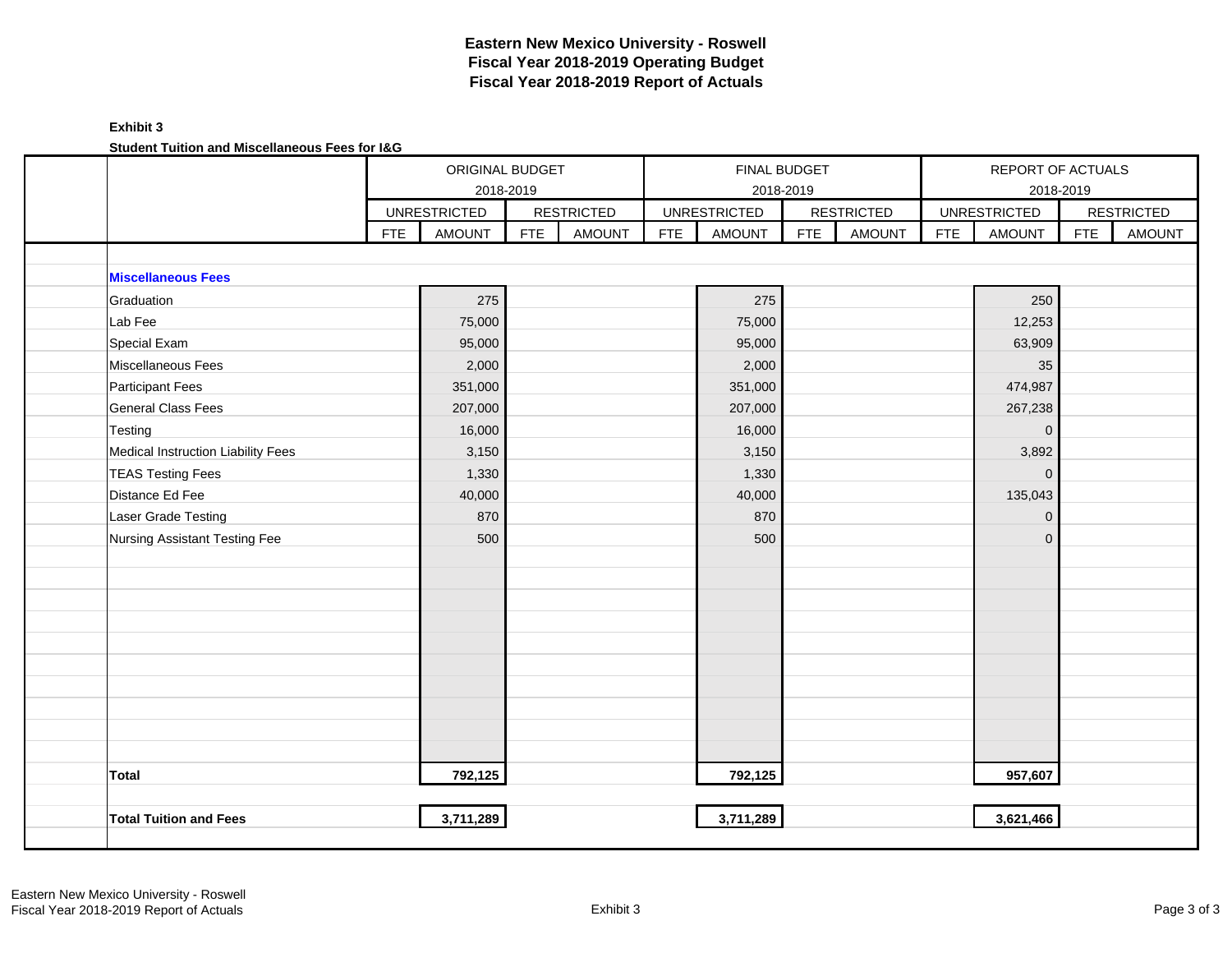### **Exhibit 3 Student Tuition and Miscellaneous Fees for I&G**

| <u>Julient Tullium and Miscenaneous Fees for 198</u> |            | ORIGINAL BUDGET<br>2018-2019 |            |                   |            | FINAL BUDGET        | 2018-2019  |                   |            | REPORT OF ACTUALS   | 2018-2019  |                   |
|------------------------------------------------------|------------|------------------------------|------------|-------------------|------------|---------------------|------------|-------------------|------------|---------------------|------------|-------------------|
|                                                      |            | <b>UNRESTRICTED</b>          |            | <b>RESTRICTED</b> |            | <b>UNRESTRICTED</b> |            | <b>RESTRICTED</b> |            | <b>UNRESTRICTED</b> |            | <b>RESTRICTED</b> |
|                                                      | <b>FTE</b> | <b>AMOUNT</b>                | <b>FTE</b> | <b>AMOUNT</b>     | <b>FTE</b> | <b>AMOUNT</b>       | <b>FTE</b> | <b>AMOUNT</b>     | <b>FTE</b> | <b>AMOUNT</b>       | <b>FTE</b> | <b>AMOUNT</b>     |
|                                                      |            |                              |            |                   |            |                     |            |                   |            |                     |            |                   |
| <b>Miscellaneous Fees</b>                            |            |                              |            |                   |            |                     |            |                   |            |                     |            |                   |
| Graduation                                           |            | 275                          |            |                   |            | 275                 |            |                   |            | 250                 |            |                   |
| Lab Fee                                              |            | 75,000                       |            |                   |            | 75,000              |            |                   |            | 12,253              |            |                   |
| Special Exam                                         |            | 95,000                       |            |                   |            | 95,000              |            |                   |            | 63,909              |            |                   |
| Miscellaneous Fees                                   |            | 2,000                        |            |                   |            | 2,000               |            |                   |            | 35                  |            |                   |
| <b>Participant Fees</b>                              |            | 351,000                      |            |                   |            | 351,000             |            |                   |            | 474,987             |            |                   |
| <b>General Class Fees</b>                            |            | 207,000                      |            |                   |            | 207,000             |            |                   |            | 267,238             |            |                   |
| Testing                                              |            | 16,000                       |            |                   |            | 16,000              |            |                   |            | $\mathbf 0$         |            |                   |
| Medical Instruction Liability Fees                   |            | 3,150                        |            |                   |            | 3,150               |            |                   |            | 3,892               |            |                   |
| <b>TEAS Testing Fees</b>                             |            | 1,330                        |            |                   |            | 1,330               |            |                   |            | $\mathbf{0}$        |            |                   |
| Distance Ed Fee                                      |            | 40,000                       |            |                   |            | 40,000              |            |                   |            | 135,043             |            |                   |
| Laser Grade Testing                                  |            | 870                          |            |                   |            | 870                 |            |                   |            | $\overline{0}$      |            |                   |
| Nursing Assistant Testing Fee                        |            | 500                          |            |                   |            | 500                 |            |                   |            | $\mathbf{0}$        |            |                   |
|                                                      |            |                              |            |                   |            |                     |            |                   |            |                     |            |                   |
|                                                      |            |                              |            |                   |            |                     |            |                   |            |                     |            |                   |
|                                                      |            |                              |            |                   |            |                     |            |                   |            |                     |            |                   |
|                                                      |            |                              |            |                   |            |                     |            |                   |            |                     |            |                   |
|                                                      |            |                              |            |                   |            |                     |            |                   |            |                     |            |                   |
|                                                      |            |                              |            |                   |            |                     |            |                   |            |                     |            |                   |
|                                                      |            |                              |            |                   |            |                     |            |                   |            |                     |            |                   |
|                                                      |            |                              |            |                   |            |                     |            |                   |            |                     |            |                   |
|                                                      |            |                              |            |                   |            |                     |            |                   |            |                     |            |                   |
|                                                      |            |                              |            |                   |            |                     |            |                   |            |                     |            |                   |
| <b>Total</b>                                         |            | 792,125                      |            |                   |            | 792,125             |            |                   |            | 957,607             |            |                   |
|                                                      |            |                              |            |                   |            |                     |            |                   |            |                     |            |                   |
| <b>Total Tuition and Fees</b>                        |            | 3,711,289                    |            |                   |            | 3,711,289           |            |                   |            | 3,621,466           |            |                   |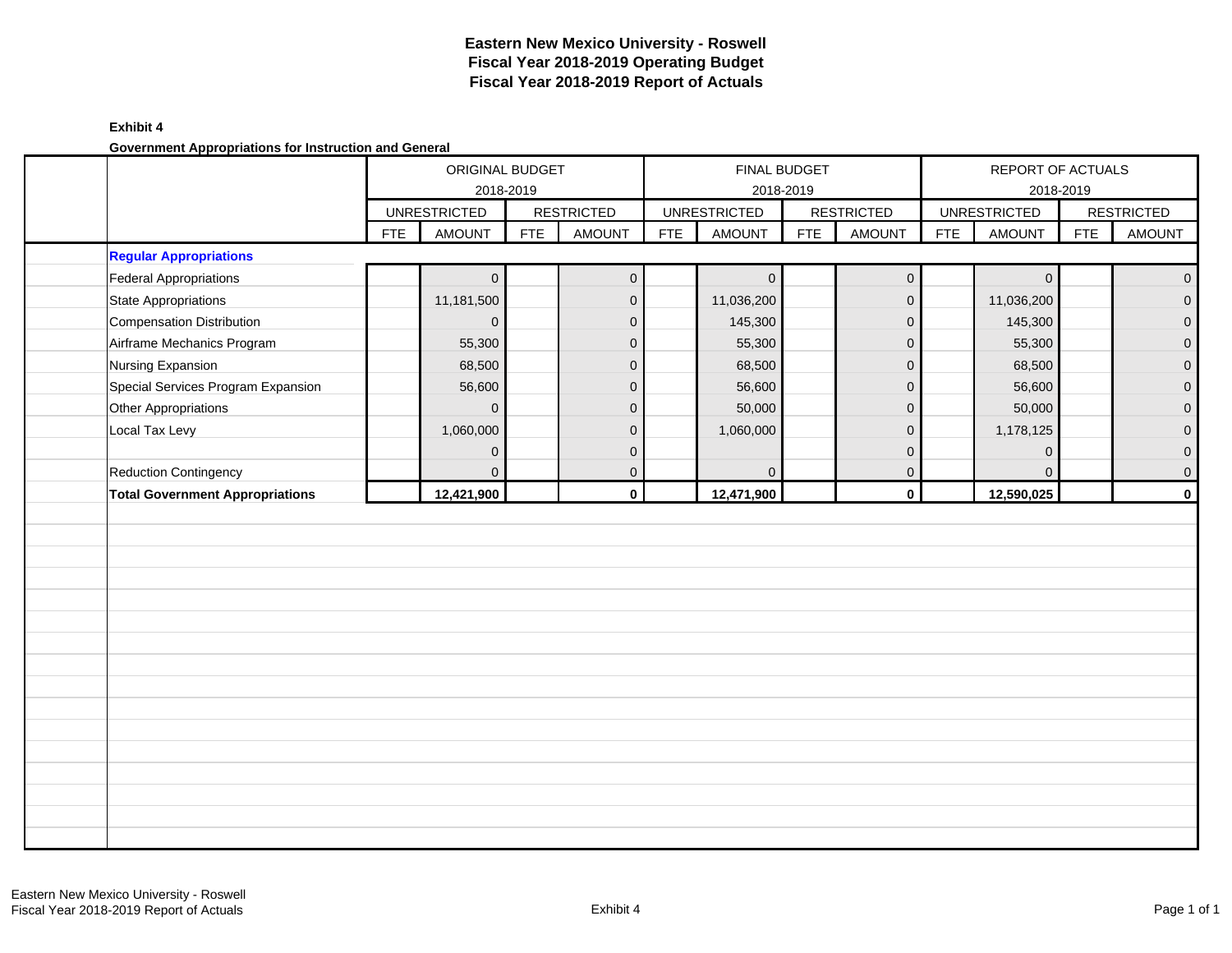### **Exhibit 4**

**Government Appropriations for Instruction and General**

|                                        |            | ORIGINAL BUDGET<br>2018-2019 |            |                   |            |                     | FINAL BUDGET<br>2018-2019 |                   |            | REPORT OF ACTUALS   | 2018-2019  |                   |
|----------------------------------------|------------|------------------------------|------------|-------------------|------------|---------------------|---------------------------|-------------------|------------|---------------------|------------|-------------------|
|                                        |            | <b>UNRESTRICTED</b>          |            | <b>RESTRICTED</b> |            | <b>UNRESTRICTED</b> |                           | <b>RESTRICTED</b> |            | <b>UNRESTRICTED</b> |            | <b>RESTRICTED</b> |
|                                        | <b>FTE</b> | <b>AMOUNT</b>                | <b>FTE</b> | <b>AMOUNT</b>     | <b>FTE</b> | <b>AMOUNT</b>       | <b>FTE</b>                | <b>AMOUNT</b>     | <b>FTE</b> | <b>AMOUNT</b>       | <b>FTE</b> | <b>AMOUNT</b>     |
| <b>Regular Appropriations</b>          |            |                              |            |                   |            |                     |                           |                   |            |                     |            |                   |
| Federal Appropriations                 |            | $\mathbf 0$                  |            | $\mathbf{0}$      |            | $\overline{0}$      |                           | $\mathbf 0$       |            | $\mathbf 0$         |            | $\mathbf 0$       |
| State Appropriations                   |            | 11,181,500                   |            | $\overline{0}$    |            | 11,036,200          |                           | $\mathbf 0$       |            | 11,036,200          |            | $\mathbf{0}$      |
| Compensation Distribution              |            | $\overline{0}$               |            | $\overline{0}$    |            | 145,300             |                           | $\mathbf 0$       |            | 145,300             |            | $\overline{0}$    |
| Airframe Mechanics Program             |            | 55,300                       |            | $\mathbf{0}$      |            | 55,300              |                           | $\mathbf 0$       |            | 55,300              |            | $\mathbf{0}$      |
| Nursing Expansion                      |            | 68,500                       |            | $\mathbf 0$       |            | 68,500              |                           | $\mathbf 0$       |            | 68,500              |            | $\pmb{0}$         |
| Special Services Program Expansion     |            | 56,600                       |            | $\mathbf 0$       |            | 56,600              |                           | $\mathbf{0}$      |            | 56,600              |            | $\mathbf 0$       |
| Other Appropriations                   |            | $\overline{0}$               |            | $\mathbf{0}$      |            | 50,000              |                           | 0                 |            | 50,000              |            | $\mathbf 0$       |
| Local Tax Levy                         |            | 1,060,000                    |            | $\mathbf{0}$      |            | 1,060,000           |                           | $\mathbf 0$       |            | 1,178,125           |            | $\mathbf{0}$      |
|                                        |            | $\mathbf 0$                  |            | $\mathbf{0}$      |            |                     |                           | 0                 |            | $\mathbf 0$         |            | $\overline{0}$    |
| Reduction Contingency                  |            | $\overline{0}$               |            | $\mathbf{0}$      |            | $\mathbf 0$         |                           | $\mathbf 0$       |            | $\mathbf{0}$        |            | $\mathbf 0$       |
| <b>Total Government Appropriations</b> |            | 12,421,900                   |            | $\mathbf 0$       |            | 12,471,900          |                           | $\pmb{0}$         |            | 12,590,025          |            | $\mathbf 0$       |
|                                        |            |                              |            |                   |            |                     |                           |                   |            |                     |            |                   |
|                                        |            |                              |            |                   |            |                     |                           |                   |            |                     |            |                   |
|                                        |            |                              |            |                   |            |                     |                           |                   |            |                     |            |                   |
|                                        |            |                              |            |                   |            |                     |                           |                   |            |                     |            |                   |
|                                        |            |                              |            |                   |            |                     |                           |                   |            |                     |            |                   |
|                                        |            |                              |            |                   |            |                     |                           |                   |            |                     |            |                   |
|                                        |            |                              |            |                   |            |                     |                           |                   |            |                     |            |                   |
|                                        |            |                              |            |                   |            |                     |                           |                   |            |                     |            |                   |
|                                        |            |                              |            |                   |            |                     |                           |                   |            |                     |            |                   |
|                                        |            |                              |            |                   |            |                     |                           |                   |            |                     |            |                   |
|                                        |            |                              |            |                   |            |                     |                           |                   |            |                     |            |                   |
|                                        |            |                              |            |                   |            |                     |                           |                   |            |                     |            |                   |
|                                        |            |                              |            |                   |            |                     |                           |                   |            |                     |            |                   |
|                                        |            |                              |            |                   |            |                     |                           |                   |            |                     |            |                   |
|                                        |            |                              |            |                   |            |                     |                           |                   |            |                     |            |                   |
|                                        |            |                              |            |                   |            |                     |                           |                   |            |                     |            |                   |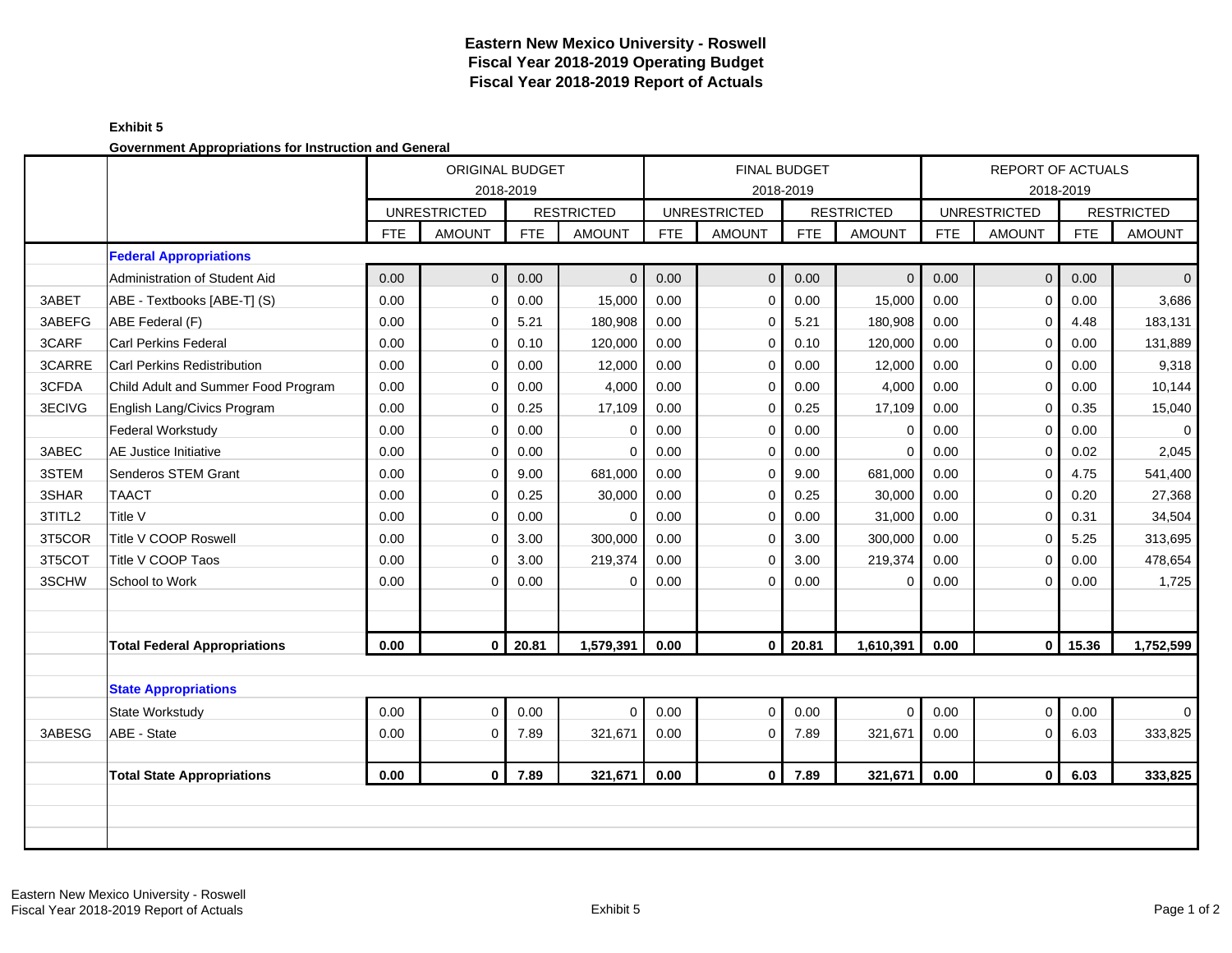#### **Exhibit 5 Government Appropriations for Instruction and General**

|        | se remment rippropriations for moti action and concrete |            | <b>ORIGINAL BUDGET</b><br>2018-2019 |            |                   |            |                     | <b>FINAL BUDGET</b><br>2018-2019 |                   |            | <b>REPORT OF ACTUALS</b> | 2018-2019  |                   |
|--------|---------------------------------------------------------|------------|-------------------------------------|------------|-------------------|------------|---------------------|----------------------------------|-------------------|------------|--------------------------|------------|-------------------|
|        |                                                         |            | <b>UNRESTRICTED</b>                 |            | <b>RESTRICTED</b> |            | <b>UNRESTRICTED</b> |                                  | <b>RESTRICTED</b> |            | <b>UNRESTRICTED</b>      |            | <b>RESTRICTED</b> |
|        |                                                         | <b>FTE</b> | <b>AMOUNT</b>                       | <b>FTE</b> | <b>AMOUNT</b>     | <b>FTE</b> | <b>AMOUNT</b>       | <b>FTE</b>                       | <b>AMOUNT</b>     | <b>FTE</b> | <b>AMOUNT</b>            | <b>FTE</b> | <b>AMOUNT</b>     |
|        | <b>Federal Appropriations</b>                           |            |                                     |            |                   |            |                     |                                  |                   |            |                          |            |                   |
|        | Administration of Student Aid                           | 0.00       | $\Omega$                            | 0.00       | $\mathbf{0}$      | 0.00       | $\overline{0}$      | 0.00                             | $\mathbf{0}$      | 0.00       | $\overline{0}$           | 0.00       | $\Omega$          |
| 3ABET  | ABE - Textbooks [ABE-T] (S)                             | 0.00       | $\Omega$                            | 0.00       | 15,000            | 0.00       | $\mathbf 0$         | 0.00                             | 15,000            | 0.00       | $\overline{0}$           | 0.00       | 3,686             |
| 3ABEFG | ABE Federal (F)                                         | 0.00       | $\mathbf 0$                         | 5.21       | 180,908           | 0.00       | $\Omega$            | 5.21                             | 180,908           | 0.00       | $\mathbf 0$              | 4.48       | 183,131           |
| 3CARF  | <b>Carl Perkins Federal</b>                             | 0.00       | $\Omega$                            | 0.10       | 120,000           | 0.00       | $\Omega$            | 0.10                             | 120,000           | 0.00       | $\mathbf 0$              | 0.00       | 131,889           |
| 3CARRE | Carl Perkins Redistribution                             | 0.00       | $\mathbf 0$                         | 0.00       | 12,000            | 0.00       | $\mathbf 0$         | 0.00                             | 12,000            | 0.00       | $\mathbf 0$              | 0.00       | 9,318             |
| 3CFDA  | Child Adult and Summer Food Program                     | 0.00       | $\mathbf 0$                         | 0.00       | 4,000             | 0.00       | $\mathbf 0$         | 0.00                             | 4,000             | 0.00       | $\mathbf 0$              | 0.00       | 10,144            |
| 3ECIVG | English Lang/Civics Program                             | 0.00       | $\Omega$                            | 0.25       | 17,109            | 0.00       | $\Omega$            | 0.25                             | 17,109            | 0.00       | $\Omega$                 | 0.35       | 15,040            |
|        | <b>Federal Workstudy</b>                                | 0.00       | $\mathbf 0$                         | 0.00       | $\mathbf 0$       | 0.00       | $\mathbf 0$         | 0.00                             | $\mathbf 0$       | 0.00       | $\mathbf 0$              | 0.00       | $\mathbf 0$       |
| 3ABEC  | <b>AE Justice Initiative</b>                            | 0.00       | $\mathbf 0$                         | 0.00       | $\mathbf 0$       | 0.00       | $\mathbf 0$         | 0.00                             | $\mathbf 0$       | 0.00       | $\mathbf 0$              | 0.02       | 2,045             |
| 3STEM  | Senderos STEM Grant                                     | 0.00       | $\Omega$                            | 9.00       | 681,000           | 0.00       | $\Omega$            | 9.00                             | 681,000           | 0.00       | $\mathbf 0$              | 4.75       | 541,400           |
| 3SHAR  | <b>TAACT</b>                                            | 0.00       | $\mathbf 0$                         | 0.25       | 30,000            | 0.00       | $\mathbf 0$         | 0.25                             | 30,000            | 0.00       | $\mathbf 0$              | 0.20       | 27,368            |
| 3TITL2 | Title V                                                 | 0.00       | $\mathbf 0$                         | 0.00       | $\Omega$          | 0.00       | $\mathbf 0$         | 0.00                             | 31,000            | 0.00       | $\mathbf 0$              | 0.31       | 34,504            |
| 3T5COR | Title V COOP Roswell                                    | 0.00       | $\Omega$                            | 3.00       | 300,000           | 0.00       | $\mathbf 0$         | 3.00                             | 300,000           | 0.00       | $\mathbf 0$              | 5.25       | 313,695           |
| 3T5COT | Title V COOP Taos                                       | 0.00       | $\mathbf 0$                         | 3.00       | 219,374           | 0.00       | $\Omega$            | 3.00                             | 219,374           | 0.00       | $\Omega$                 | 0.00       | 478,654           |
| 3SCHW  | School to Work                                          | 0.00       | $\mathbf 0$                         | 0.00       | $\mathbf 0$       | 0.00       | $\mathbf 0$         | 0.00                             | 0                 | 0.00       | $\mathbf 0$              | 0.00       | 1,725             |
|        |                                                         |            |                                     |            |                   |            |                     |                                  |                   |            |                          |            |                   |
|        |                                                         |            |                                     |            |                   |            |                     |                                  |                   |            |                          |            |                   |
|        | <b>Total Federal Appropriations</b>                     | 0.00       | $\overline{0}$                      | 20.81      | 1,579,391         | 0.00       | $\mathbf{0}$        | 20.81                            | 1,610,391         | 0.00       | $\overline{\mathbf{0}}$  | 15.36      | 1,752,599         |
|        |                                                         |            |                                     |            |                   |            |                     |                                  |                   |            |                          |            |                   |
|        | <b>State Appropriations</b>                             |            |                                     |            |                   |            |                     |                                  |                   |            |                          |            |                   |
|        | State Workstudy                                         | 0.00       | $\Omega$                            | 0.00       | $\Omega$          | 0.00       | $\Omega$            | 0.00                             | $\Omega$          | 0.00       | $\overline{0}$           | 0.00       | $\mathbf 0$       |
| 3ABESG | ABE - State                                             | 0.00       | 0                                   | 7.89       | 321,671           | 0.00       | $\mathbf 0$         | 7.89                             | 321,671           | 0.00       | $\mathbf 0$              | 6.03       | 333,825           |
|        |                                                         |            |                                     |            |                   |            |                     |                                  |                   |            |                          |            |                   |
|        | <b>Total State Appropriations</b>                       | 0.00       | $\mathbf{0}$                        | 7.89       | 321,671           | 0.00       | $\bf{0}$            | 7.89                             | 321,671           | 0.00       | $\overline{0}$           | 6.03       | 333,825           |
|        |                                                         |            |                                     |            |                   |            |                     |                                  |                   |            |                          |            |                   |
|        |                                                         |            |                                     |            |                   |            |                     |                                  |                   |            |                          |            |                   |
|        |                                                         |            |                                     |            |                   |            |                     |                                  |                   |            |                          |            |                   |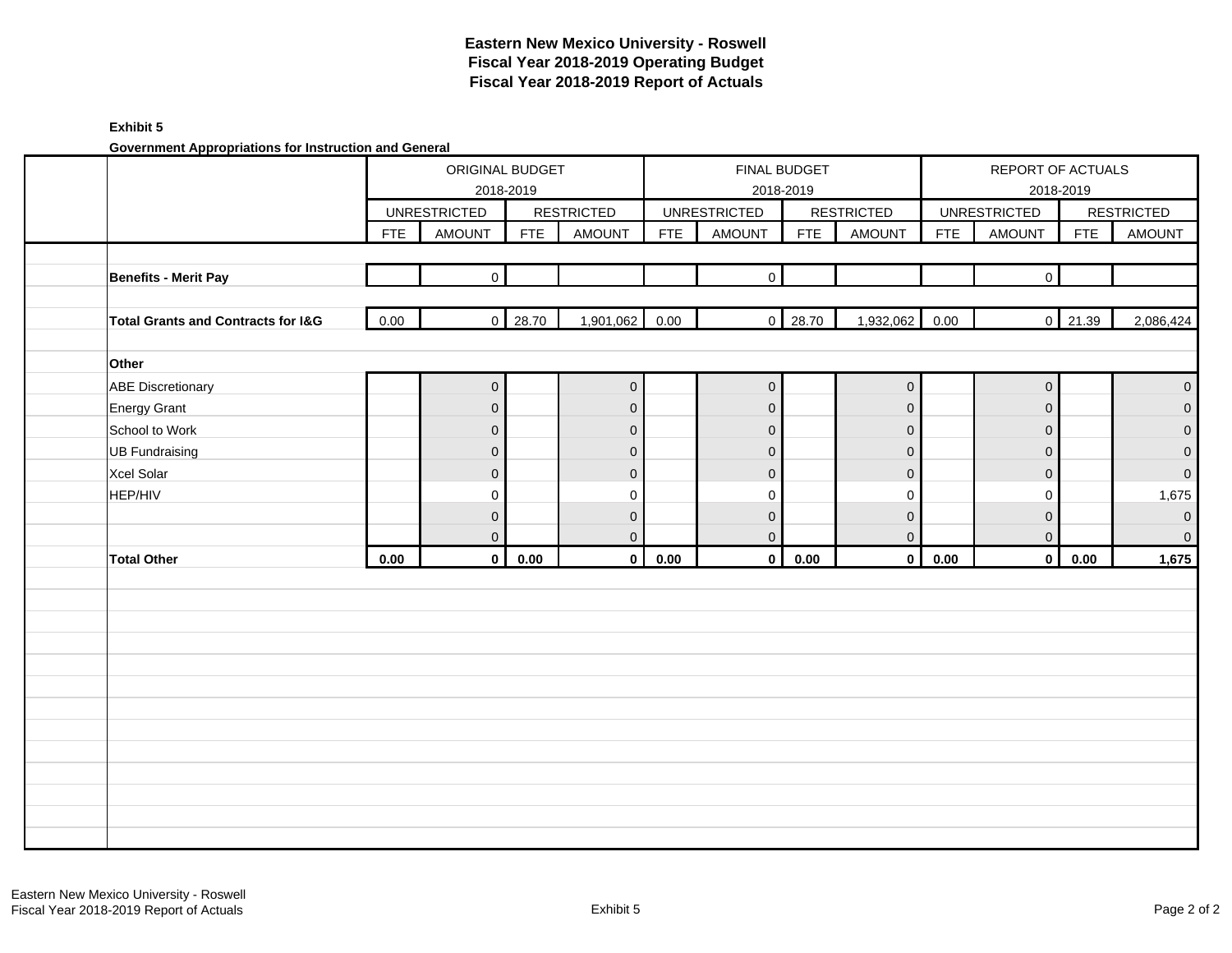### **Exhibit 5**

**Government Appropriations for Instruction and General**

|                                               |            | ORIGINAL BUDGET<br>2018-2019 |                |                   |            |                     | FINAL BUDGET<br>2018-2019 |                   |            | REPORT OF ACTUALS<br>2018-2019 |            |                     |
|-----------------------------------------------|------------|------------------------------|----------------|-------------------|------------|---------------------|---------------------------|-------------------|------------|--------------------------------|------------|---------------------|
|                                               |            | <b>UNRESTRICTED</b>          |                | <b>RESTRICTED</b> |            | <b>UNRESTRICTED</b> |                           | <b>RESTRICTED</b> |            | <b>UNRESTRICTED</b>            |            | <b>RESTRICTED</b>   |
|                                               | <b>FTE</b> | <b>AMOUNT</b>                | <b>FTE</b>     | <b>AMOUNT</b>     | <b>FTE</b> | <b>AMOUNT</b>       | <b>FTE</b>                | <b>AMOUNT</b>     | <b>FTE</b> | <b>AMOUNT</b>                  | <b>FTE</b> | <b>AMOUNT</b>       |
|                                               |            |                              |                |                   |            |                     |                           |                   |            |                                |            |                     |
| <b>Benefits - Merit Pay</b>                   |            | $\mathbf{0}$                 |                |                   |            | $\Omega$            |                           |                   |            | $\overline{0}$                 |            |                     |
|                                               |            |                              |                |                   |            |                     |                           |                   |            |                                |            |                     |
| <b>Total Grants and Contracts for I&amp;G</b> | 0.00       |                              | $0 \mid 28.70$ | 1,901,062         | 0.00       | $\mathsf{O}\xspace$ | 28.70                     | 1,932,062         | 0.00       |                                | $0$ 21.39  | 2,086,424           |
|                                               |            |                              |                |                   |            |                     |                           |                   |            |                                |            |                     |
| Other                                         |            |                              |                |                   |            |                     |                           |                   |            |                                |            |                     |
| <b>ABE Discretionary</b>                      |            | $\overline{0}$               |                | $\overline{0}$    |            | $\mathbf 0$         |                           | $\mathbf 0$       |            | $\mathbf 0$                    |            | $\mathbf{0}$        |
| <b>Energy Grant</b>                           |            | $\overline{0}$               |                | $\mathbf 0$       |            | $\overline{0}$      |                           | $\mathbf{0}$      |            | $\mathbf 0$                    |            | $\mathbf 0$         |
| School to Work                                |            | $\overline{0}$               |                | $\mathbf 0$       |            | $\overline{0}$      |                           | $\mathbf{0}$      |            | $\mathbf{0}$                   |            | $\mathbf 0$         |
| <b>UB Fundraising</b>                         |            | $\overline{0}$               |                | $\mathbf 0$       |            | $\mathbf{0}$        |                           | $\mathbf{0}$      |            | $\overline{0}$                 |            | $\mathsf{O}\xspace$ |
| Xcel Solar                                    |            | $\overline{0}$               |                | $\mathbf 0$       |            | $\overline{0}$      |                           | $\mathbf 0$       |            | $\mathbf 0$                    |            | $\mathbf{0}$        |
| HEP/HIV                                       |            | $\mathbf 0$                  |                | $\pmb{0}$         |            | 0                   |                           | $\mathbf 0$       |            | $\mathbf 0$                    |            | 1,675               |
|                                               |            | $\overline{0}$               |                | $\mathbf 0$       |            | $\overline{0}$      |                           | $\mathbf 0$       |            | $\mathbf 0$                    |            | $\mathbf 0$         |
|                                               |            | $\mathbf{0}$                 |                | $\mathbf 0$       |            | $\mathbf{0}$        |                           | $\mathbf{0}$      |            | $\mathbf 0$                    |            | $\mathbf 0$         |
| <b>Total Other</b>                            | 0.00       | $\mathbf 0$                  | 0.00           | $\mathbf{0}$      | 0.00       | $\mathbf 0$         | 0.00                      | $\mathbf 0$       | 0.00       | $\mathbf{0}$                   | 0.00       | 1,675               |
|                                               |            |                              |                |                   |            |                     |                           |                   |            |                                |            |                     |
|                                               |            |                              |                |                   |            |                     |                           |                   |            |                                |            |                     |
|                                               |            |                              |                |                   |            |                     |                           |                   |            |                                |            |                     |
|                                               |            |                              |                |                   |            |                     |                           |                   |            |                                |            |                     |
|                                               |            |                              |                |                   |            |                     |                           |                   |            |                                |            |                     |
|                                               |            |                              |                |                   |            |                     |                           |                   |            |                                |            |                     |
|                                               |            |                              |                |                   |            |                     |                           |                   |            |                                |            |                     |
|                                               |            |                              |                |                   |            |                     |                           |                   |            |                                |            |                     |
|                                               |            |                              |                |                   |            |                     |                           |                   |            |                                |            |                     |
|                                               |            |                              |                |                   |            |                     |                           |                   |            |                                |            |                     |
|                                               |            |                              |                |                   |            |                     |                           |                   |            |                                |            |                     |
|                                               |            |                              |                |                   |            |                     |                           |                   |            |                                |            |                     |
|                                               |            |                              |                |                   |            |                     |                           |                   |            |                                |            |                     |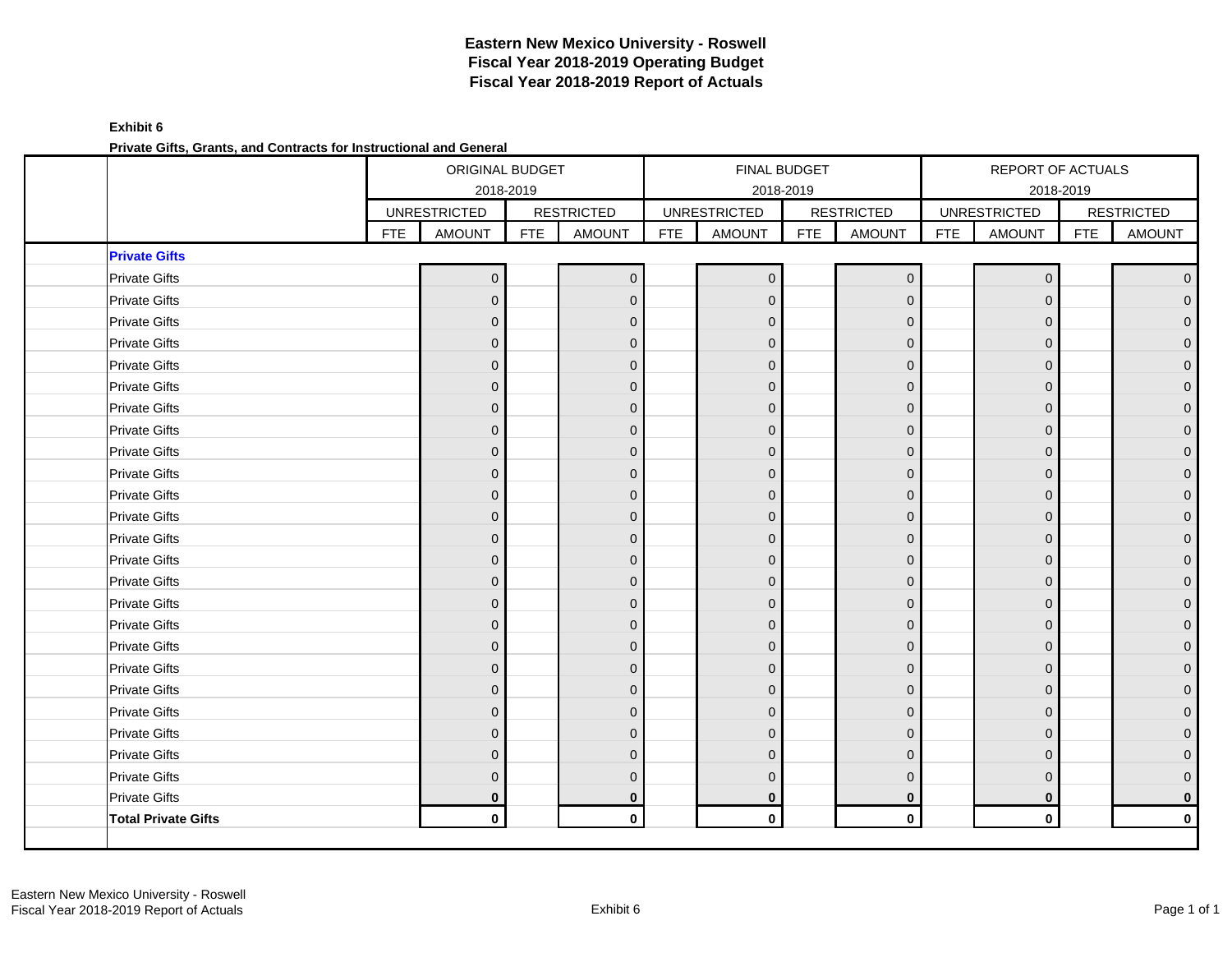**Exhibit 6 Private Gifts, Grants, and Contracts for Instructional and General**

|                            |            | ORIGINAL BUDGET<br>2018-2019 |            |                   |            |                     | <b>FINAL BUDGET</b><br>2018-2019 |                   |            | REPORT OF ACTUALS   | 2018-2019  |                   |
|----------------------------|------------|------------------------------|------------|-------------------|------------|---------------------|----------------------------------|-------------------|------------|---------------------|------------|-------------------|
|                            |            | <b>UNRESTRICTED</b>          |            | <b>RESTRICTED</b> |            | <b>UNRESTRICTED</b> |                                  | <b>RESTRICTED</b> |            | <b>UNRESTRICTED</b> |            | <b>RESTRICTED</b> |
|                            | <b>FTE</b> | <b>AMOUNT</b>                | <b>FTE</b> | <b>AMOUNT</b>     | <b>FTE</b> | <b>AMOUNT</b>       | <b>FTE</b>                       | <b>AMOUNT</b>     | <b>FTE</b> | <b>AMOUNT</b>       | <b>FTE</b> | <b>AMOUNT</b>     |
| <b>Private Gifts</b>       |            |                              |            |                   |            |                     |                                  |                   |            |                     |            |                   |
| <b>Private Gifts</b>       |            | $\mathbf 0$                  |            | $\mathbf 0$       |            | $\mathbf 0$         |                                  | $\mathbf 0$       |            | $\overline{0}$      |            | $\mathbf{0}$      |
| <b>Private Gifts</b>       |            | $\mathbf 0$                  |            | $\mathbf{0}$      |            | $\mathbf{0}$        |                                  | $\mathbf{0}$      |            | $\Omega$            |            |                   |
| <b>Private Gifts</b>       |            | $\mathbf{0}$                 |            | $\mathbf{0}$      |            | $\Omega$            |                                  | $\mathbf{0}$      |            | $\Omega$            |            |                   |
| <b>Private Gifts</b>       |            | $\pmb{0}$                    |            | $\mathbf{0}$      |            | $\mathbf{0}$        |                                  | $\mathbf 0$       |            | $\Omega$            |            | O                 |
| <b>Private Gifts</b>       |            | $\mathbf{0}$                 |            | $\mathbf{0}$      |            | $\mathbf{0}$        |                                  | $\mathbf{0}$      |            | $\Omega$            |            |                   |
| <b>Private Gifts</b>       |            | $\mathbf{0}$                 |            | $\mathbf{0}$      |            | $\Omega$            |                                  | $\mathbf{0}$      |            | $\Omega$            |            |                   |
| <b>Private Gifts</b>       |            | $\pmb{0}$                    |            | $\mathbf{0}$      |            | $\mathbf{0}$        |                                  | $\mathbf 0$       |            | $\Omega$            |            | $\Omega$          |
| <b>Private Gifts</b>       |            | $\overline{0}$               |            | $\mathbf{0}$      |            | $\Omega$            |                                  | $\mathbf{0}$      |            | $\Omega$            |            |                   |
| <b>Private Gifts</b>       |            | $\mathbf 0$                  |            | $\mathbf{0}$      |            | $\Omega$            |                                  | $\mathbf{0}$      |            | $\Omega$            |            |                   |
| <b>Private Gifts</b>       |            | $\pmb{0}$                    |            | $\mathbf{0}$      |            | $\mathbf 0$         |                                  | $\mathbf 0$       |            | $\Omega$            |            | 0                 |
| <b>Private Gifts</b>       |            | $\mathbf{0}$                 |            | $\mathbf{0}$      |            | $\mathbf{0}$        |                                  | $\mathbf{0}$      |            | $\Omega$            |            |                   |
| <b>Private Gifts</b>       |            | $\mathbf 0$                  |            | $\mathbf{0}$      |            | $\Omega$            |                                  | $\mathbf{0}$      |            | $\Omega$            |            |                   |
| <b>Private Gifts</b>       |            | $\pmb{0}$                    |            | $\mathbf{0}$      |            | $\mathbf 0$         |                                  | $\mathbf 0$       |            | $\Omega$            |            | O                 |
| <b>Private Gifts</b>       |            | $\mathbf{0}$                 |            | $\mathbf 0$       |            | $\mathbf{0}$        |                                  | $\mathbf 0$       |            | $\Omega$            |            |                   |
| <b>Private Gifts</b>       |            | $\mathbf 0$                  |            | $\mathbf{0}$      |            | $\Omega$            |                                  | $\mathbf{0}$      |            | $\Omega$            |            |                   |
| <b>Private Gifts</b>       |            | $\pmb{0}$                    |            | $\mathbf{0}$      |            | $\mathbf 0$         |                                  | $\mathbf{0}$      |            | $\Omega$            |            |                   |
| <b>Private Gifts</b>       |            | $\mathbf 0$                  |            | $\mathbf{0}$      |            | $\mathbf{0}$        |                                  | $\mathbf 0$       |            | $\Omega$            |            |                   |
| <b>Private Gifts</b>       |            | $\mathbf 0$                  |            | $\mathbf{0}$      |            | $\Omega$            |                                  | $\mathbf{0}$      |            | $\Omega$            |            |                   |
| <b>Private Gifts</b>       |            | $\pmb{0}$                    |            | $\mathbf{0}$      |            | $\Omega$            |                                  | $\mathbf 0$       |            | $\Omega$            |            |                   |
| <b>Private Gifts</b>       |            | $\pmb{0}$                    |            | $\mathbf{0}$      |            | $\mathbf{0}$        |                                  | $\mathbf 0$       |            | $\Omega$            |            |                   |
| <b>Private Gifts</b>       |            | $\mathbf{0}$                 |            | $\Omega$          |            | $\Omega$            |                                  | $\Omega$          |            | 0                   |            |                   |
| <b>Private Gifts</b>       |            | $\overline{0}$               |            | $\Omega$          |            | $\Omega$            |                                  | $\mathbf{0}$      |            | $\Omega$            |            |                   |
| <b>Private Gifts</b>       |            | $\pmb{0}$                    |            | $\mathbf{0}$      |            | $\mathbf{0}$        |                                  | $\mathbf 0$       |            | $\Omega$            |            |                   |
| <b>Private Gifts</b>       |            | $\mathbf{0}$                 |            | $\Omega$          |            | $\Omega$            |                                  | $\Omega$          |            | $\Omega$            |            | $\Omega$          |
| <b>Private Gifts</b>       |            | $\mathbf{0}$                 |            | $\mathbf 0$       |            | $\mathbf{0}$        |                                  | $\bf{0}$          |            | $\mathbf 0$         |            | $\mathbf 0$       |
| <b>Total Private Gifts</b> |            | $\mathbf 0$                  |            | $\mathbf 0$       |            | $\mathbf 0$         |                                  | $\mathbf 0$       |            | $\pmb{0}$           |            | $\mathbf 0$       |
|                            |            |                              |            |                   |            |                     |                                  |                   |            |                     |            |                   |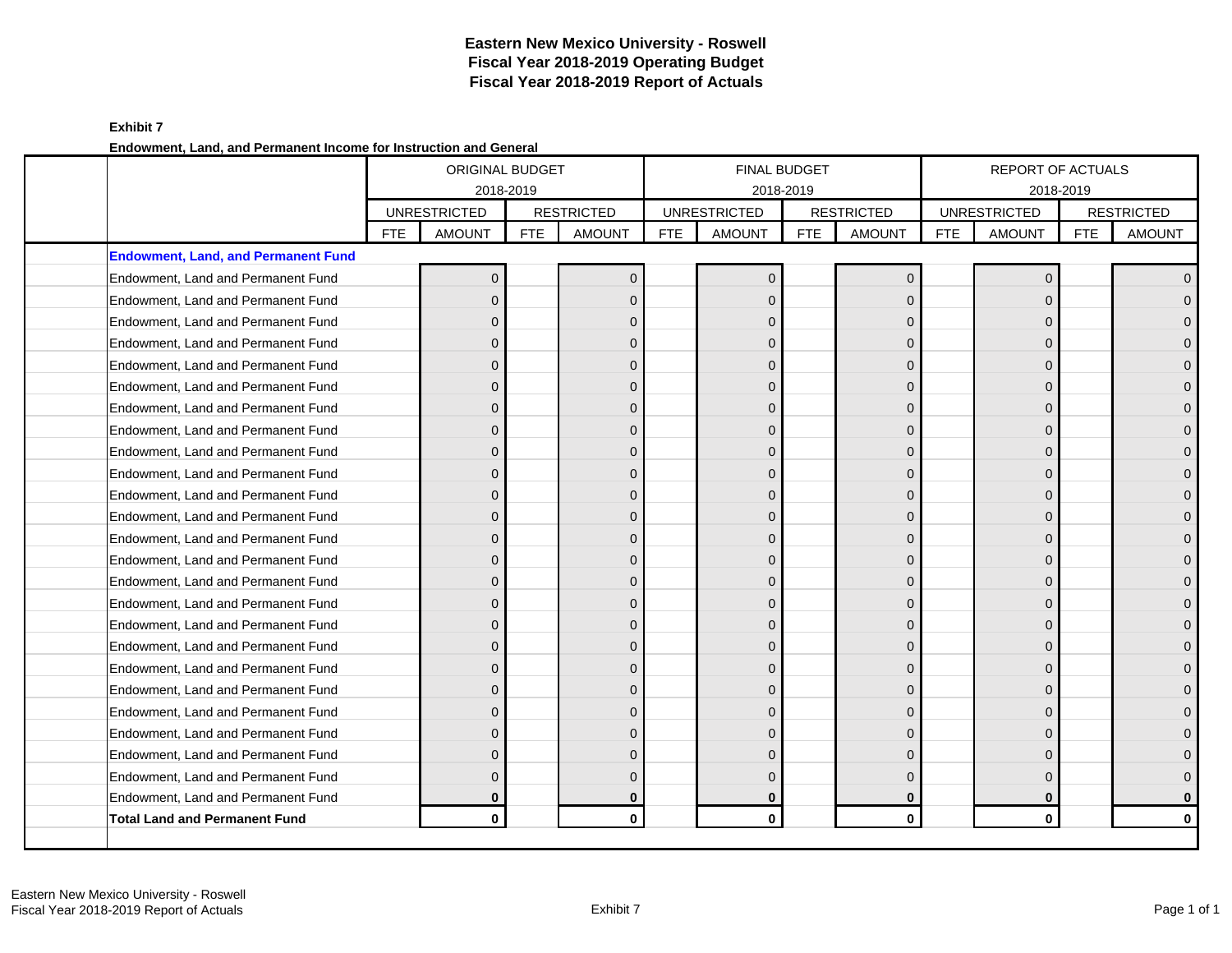**Exhibit 7 Endowment, Land, and Permanent Income for Instruction and General**

|                                            |            | <b>ORIGINAL BUDGET</b><br>2018-2019 |            |                   |            |                     | <b>FINAL BUDGET</b><br>2018-2019 |                   |     | REPORT OF ACTUALS<br>2018-2019 |            |                   |
|--------------------------------------------|------------|-------------------------------------|------------|-------------------|------------|---------------------|----------------------------------|-------------------|-----|--------------------------------|------------|-------------------|
|                                            |            | <b>UNRESTRICTED</b>                 |            | <b>RESTRICTED</b> |            | <b>UNRESTRICTED</b> |                                  | <b>RESTRICTED</b> |     | <b>UNRESTRICTED</b>            |            | <b>RESTRICTED</b> |
|                                            | <b>FTE</b> | <b>AMOUNT</b>                       | <b>FTE</b> | <b>AMOUNT</b>     | <b>FTE</b> | <b>AMOUNT</b>       | <b>FTE</b>                       | <b>AMOUNT</b>     | FTE | <b>AMOUNT</b>                  | <b>FTE</b> | <b>AMOUNT</b>     |
| <b>Endowment, Land, and Permanent Fund</b> |            |                                     |            |                   |            |                     |                                  |                   |     |                                |            |                   |
| Endowment, Land and Permanent Fund         |            | $\Omega$                            |            | $\Omega$          |            | $\Omega$            |                                  | $\mathbf{0}$      |     | $\Omega$                       |            | $\overline{0}$    |
| Endowment, Land and Permanent Fund         |            | $\overline{0}$                      |            | $\mathbf{0}$      |            | $\Omega$            |                                  | $\Omega$          |     | $\Omega$                       |            | $\mathbf{0}$      |
| Endowment, Land and Permanent Fund         |            | 0                                   |            | $\Omega$          |            | $\Omega$            |                                  | $\Omega$          |     |                                |            | $\overline{0}$    |
| Endowment, Land and Permanent Fund         |            | $\Omega$                            |            | $\Omega$          |            | $\Omega$            |                                  | $\Omega$          |     | $\Omega$                       |            | $\overline{0}$    |
| Endowment, Land and Permanent Fund         |            | $\Omega$                            |            | $\Omega$          |            | $\Omega$            |                                  | $\Omega$          |     | $\Omega$                       |            | $\mathbf{0}$      |
| Endowment, Land and Permanent Fund         |            | $\Omega$                            |            | $\Omega$          |            | $\Omega$            |                                  | 0                 |     |                                |            | $\mathbf 0$       |
| Endowment, Land and Permanent Fund         |            | $\Omega$                            |            | $\Omega$          |            | $\Omega$            |                                  | $\Omega$          |     | $\Omega$                       |            | $\overline{0}$    |
| Endowment, Land and Permanent Fund         |            | $\Omega$                            |            | $\Omega$          |            | $\Omega$            |                                  | $\Omega$          |     | $\Omega$                       |            | $\mathbf{O}$      |
| Endowment, Land and Permanent Fund         |            | $\Omega$                            |            | $\Omega$          |            | $\Omega$            |                                  | 0                 |     |                                |            | $\mathbf{0}$      |
| Endowment, Land and Permanent Fund         |            | $\Omega$                            |            | $\Omega$          |            | $\Omega$            |                                  | $\mathbf{0}$      |     | $\Omega$                       |            | $\overline{0}$    |
| Endowment, Land and Permanent Fund         |            | $\Omega$                            |            | $\Omega$          |            | $\Omega$            |                                  | $\Omega$          |     | $\Omega$                       |            | $\mathbf 0$       |
| Endowment, Land and Permanent Fund         |            | $\Omega$                            |            | $\Omega$          |            | $\Omega$            |                                  | $\Omega$          |     |                                |            | $\mathbf{0}$      |
| Endowment, Land and Permanent Fund         |            | $\Omega$                            |            | $\Omega$          |            | $\Omega$            |                                  | $\mathbf{0}$      |     | $\Omega$                       |            | $\mathbf{0}$      |
| Endowment, Land and Permanent Fund         |            | $\Omega$                            |            | $\mathbf{0}$      |            | $\Omega$            |                                  | $\Omega$          |     | $\Omega$                       |            | $\mathbf{O}$      |
| Endowment, Land and Permanent Fund         |            | 0                                   |            | $\Omega$          |            | $\Omega$            |                                  | $\mathbf{0}$      |     |                                |            | $\mathbf 0$       |
| Endowment, Land and Permanent Fund         |            | $\Omega$                            |            | $\Omega$          |            | $\Omega$            |                                  | $\Omega$          |     | $\Omega$                       |            | $\mathbf{0}$      |
| Endowment, Land and Permanent Fund         |            | $\Omega$                            |            | $\Omega$          |            | $\Omega$            |                                  | $\Omega$          |     | $\Omega$                       |            | $\mathbf 0$       |
| Endowment, Land and Permanent Fund         |            | $\Omega$                            |            | $\Omega$          |            | $\Omega$            |                                  | 0                 |     |                                |            | $\mathbf 0$       |
| Endowment, Land and Permanent Fund         |            | $\mathbf{0}$                        |            | $\mathbf{0}$      |            | $\Omega$            |                                  | $\mathbf{0}$      |     | $\Omega$                       |            | $\overline{0}$    |
| Endowment, Land and Permanent Fund         |            | $\Omega$                            |            | $\Omega$          |            | $\Omega$            |                                  | $\Omega$          |     | $\Omega$                       |            | $\mathbf{0}$      |
| Endowment, Land and Permanent Fund         |            | $\Omega$                            |            | $\Omega$          |            | $\Omega$            |                                  | $\Omega$          |     |                                |            | $\mathbf 0$       |
| Endowment, Land and Permanent Fund         |            | $\Omega$                            |            | $\Omega$          |            | $\Omega$            |                                  | $\Omega$          |     | $\Omega$                       |            | $\overline{0}$    |
| Endowment, Land and Permanent Fund         |            | 0                                   |            | $\mathbf{0}$      |            | $\Omega$            |                                  | $\Omega$          |     | $\Omega$                       |            | $\mathbf 0$       |
| Endowment, Land and Permanent Fund         |            | $\Omega$                            |            | $\Omega$          |            | $\Omega$            |                                  | $\Omega$          |     | $\Omega$                       |            | $\pmb{0}$         |
| Endowment, Land and Permanent Fund         |            | $\bf{0}$                            |            | $\bf{0}$          |            | $\bf{0}$            |                                  | $\bf{0}$          |     | $\bf{0}$                       |            | $\mathbf 0$       |
| <b>Total Land and Permanent Fund</b>       |            | $\mathbf{0}$                        |            | $\mathbf{0}$      |            | $\mathbf 0$         |                                  | $\mathbf{0}$      |     | $\mathbf{0}$                   |            | $\mathbf 0$       |
|                                            |            |                                     |            |                   |            |                     |                                  |                   |     |                                |            |                   |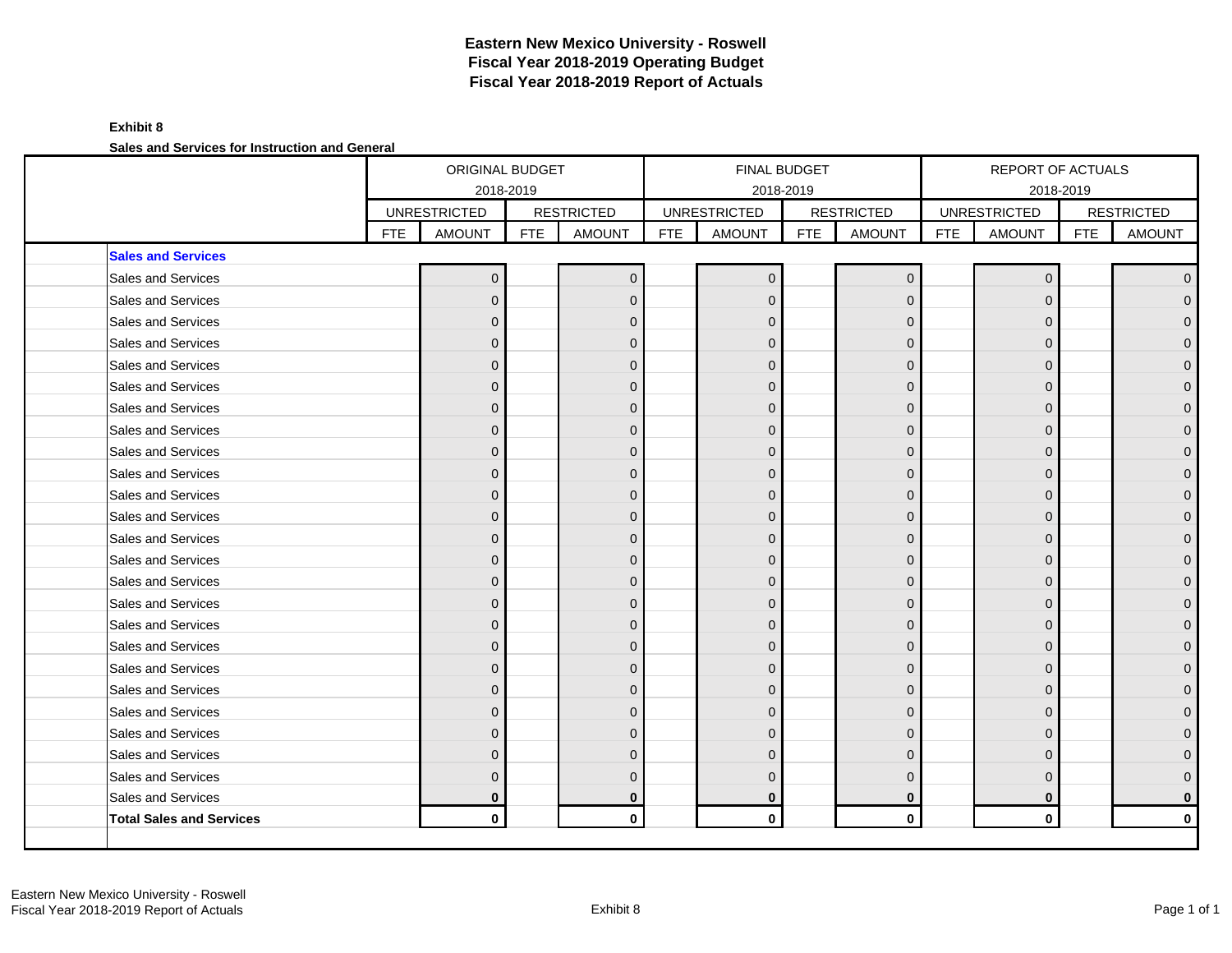### **Exhibit 8 Sales and Services for Instruction and General**

| <b>RESTRICTED</b><br><b>RESTRICTED</b><br><b>UNRESTRICTED</b><br><b>RESTRICTED</b><br><b>UNRESTRICTED</b><br><b>UNRESTRICTED</b><br><b>FTE</b><br><b>FTE</b><br><b>FTE</b><br><b>FTE</b><br><b>AMOUNT</b><br><b>FTE</b><br><b>AMOUNT</b><br><b>AMOUNT</b><br><b>FTE</b><br><b>AMOUNT</b><br><b>AMOUNT</b><br><b>Sales and Services</b><br>Sales and Services<br>$\mathbf{0}$<br>$\Omega$<br>$\mathbf{0}$<br>$\Omega$<br>$\Omega$<br>Sales and Services<br>$\mathbf{0}$<br>$\Omega$<br>$\Omega$<br>$\Omega$<br>$\Omega$<br>Sales and Services<br>$\mathbf{0}$<br>$\overline{0}$<br>$\mathbf{0}$<br>$\Omega$<br>Sales and Services<br>$\mathbf{0}$<br>$\mathbf{0}$<br>$\mathbf 0$<br>0<br>$\Omega$<br>Sales and Services<br>$\Omega$<br>$\Omega$<br>$\Omega$<br>O<br>Sales and Services<br>$\mathbf{0}$<br>$\Omega$<br>$\Omega$<br>$\Omega$<br>Sales and Services<br>$\overline{0}$<br>$\Omega$<br>$\Omega$<br>$\Omega$<br>$\Omega$<br>Sales and Services<br>$\mathbf{0}$<br>$\Omega$<br>$\Omega$<br>0<br>Sales and Services<br>$\Omega$<br>$\Omega$<br>$\Omega$<br>$\Omega$<br>Sales and Services<br>$\overline{0}$<br>$\Omega$<br>$\Omega$<br>O<br>$\Omega$<br>Sales and Services<br>$\mathbf{0}$<br>$\Omega$<br>$\Omega$<br>U<br>Sales and Services<br>$\mathbf{0}$<br>$\mathbf{0}$<br>$\Omega$<br>$\Omega$<br>Sales and Services<br>$\mathbf{0}$<br>$\mathbf{0}$<br>$\mathbf 0$<br>0<br>$\Omega$<br>Sales and Services<br>$\Omega$<br>$\Omega$<br>$\Omega$<br>O<br>Sales and Services<br>$\mathbf{0}$<br>$\Omega$<br>$\Omega$<br>$\Omega$<br>Sales and Services<br>$\overline{0}$<br>$\Omega$<br>$\Omega$<br>0<br>$\Omega$<br>Sales and Services<br>$\mathbf{0}$<br>$\Omega$<br>$\Omega$<br>0<br>Sales and Services<br>$\Omega$<br>$\Omega$<br>$\Omega$<br>$\Omega$<br>Sales and Services<br>$\overline{0}$<br>$\Omega$<br>$\Omega$<br>$\Omega$<br>$\Omega$<br>Sales and Services<br>$\mathbf{0}$<br>$\Omega$<br>$\Omega$<br>U<br>n<br>Sales and Services<br>$\mathbf{0}$<br>$\Omega$<br>$\Omega$<br>0<br>Sales and Services<br>$\mathbf{0}$<br>$\mathbf 0$<br>$\Omega$<br>0<br>$\Omega$<br>Sales and Services<br>$\Omega$<br>$\Omega$<br>$\Omega$<br>∩<br>Sales and Services<br>$\Omega$<br>$\Omega$<br>$\Omega$<br>$\Omega$ |  | ORIGINAL BUDGET<br>2018-2019 |  |  | <b>FINAL BUDGET</b><br>2018-2019 |  | REPORT OF ACTUALS<br>2018-2019 |                |
|---------------------------------------------------------------------------------------------------------------------------------------------------------------------------------------------------------------------------------------------------------------------------------------------------------------------------------------------------------------------------------------------------------------------------------------------------------------------------------------------------------------------------------------------------------------------------------------------------------------------------------------------------------------------------------------------------------------------------------------------------------------------------------------------------------------------------------------------------------------------------------------------------------------------------------------------------------------------------------------------------------------------------------------------------------------------------------------------------------------------------------------------------------------------------------------------------------------------------------------------------------------------------------------------------------------------------------------------------------------------------------------------------------------------------------------------------------------------------------------------------------------------------------------------------------------------------------------------------------------------------------------------------------------------------------------------------------------------------------------------------------------------------------------------------------------------------------------------------------------------------------------------------------------------------------------------------------------------------------------------------------------------------------------------------------------------------------------------------------------------------------------------------------------------------------------------------------------------------------|--|------------------------------|--|--|----------------------------------|--|--------------------------------|----------------|
|                                                                                                                                                                                                                                                                                                                                                                                                                                                                                                                                                                                                                                                                                                                                                                                                                                                                                                                                                                                                                                                                                                                                                                                                                                                                                                                                                                                                                                                                                                                                                                                                                                                                                                                                                                                                                                                                                                                                                                                                                                                                                                                                                                                                                                 |  |                              |  |  |                                  |  |                                |                |
|                                                                                                                                                                                                                                                                                                                                                                                                                                                                                                                                                                                                                                                                                                                                                                                                                                                                                                                                                                                                                                                                                                                                                                                                                                                                                                                                                                                                                                                                                                                                                                                                                                                                                                                                                                                                                                                                                                                                                                                                                                                                                                                                                                                                                                 |  |                              |  |  |                                  |  |                                | <b>AMOUNT</b>  |
|                                                                                                                                                                                                                                                                                                                                                                                                                                                                                                                                                                                                                                                                                                                                                                                                                                                                                                                                                                                                                                                                                                                                                                                                                                                                                                                                                                                                                                                                                                                                                                                                                                                                                                                                                                                                                                                                                                                                                                                                                                                                                                                                                                                                                                 |  |                              |  |  |                                  |  |                                |                |
|                                                                                                                                                                                                                                                                                                                                                                                                                                                                                                                                                                                                                                                                                                                                                                                                                                                                                                                                                                                                                                                                                                                                                                                                                                                                                                                                                                                                                                                                                                                                                                                                                                                                                                                                                                                                                                                                                                                                                                                                                                                                                                                                                                                                                                 |  |                              |  |  |                                  |  |                                | $\overline{0}$ |
|                                                                                                                                                                                                                                                                                                                                                                                                                                                                                                                                                                                                                                                                                                                                                                                                                                                                                                                                                                                                                                                                                                                                                                                                                                                                                                                                                                                                                                                                                                                                                                                                                                                                                                                                                                                                                                                                                                                                                                                                                                                                                                                                                                                                                                 |  |                              |  |  |                                  |  |                                | $\mathbf{O}$   |
|                                                                                                                                                                                                                                                                                                                                                                                                                                                                                                                                                                                                                                                                                                                                                                                                                                                                                                                                                                                                                                                                                                                                                                                                                                                                                                                                                                                                                                                                                                                                                                                                                                                                                                                                                                                                                                                                                                                                                                                                                                                                                                                                                                                                                                 |  |                              |  |  |                                  |  |                                | $\overline{0}$ |
|                                                                                                                                                                                                                                                                                                                                                                                                                                                                                                                                                                                                                                                                                                                                                                                                                                                                                                                                                                                                                                                                                                                                                                                                                                                                                                                                                                                                                                                                                                                                                                                                                                                                                                                                                                                                                                                                                                                                                                                                                                                                                                                                                                                                                                 |  |                              |  |  |                                  |  |                                | $\mathbf{O}$   |
|                                                                                                                                                                                                                                                                                                                                                                                                                                                                                                                                                                                                                                                                                                                                                                                                                                                                                                                                                                                                                                                                                                                                                                                                                                                                                                                                                                                                                                                                                                                                                                                                                                                                                                                                                                                                                                                                                                                                                                                                                                                                                                                                                                                                                                 |  |                              |  |  |                                  |  |                                | $\mathbf{0}$   |
|                                                                                                                                                                                                                                                                                                                                                                                                                                                                                                                                                                                                                                                                                                                                                                                                                                                                                                                                                                                                                                                                                                                                                                                                                                                                                                                                                                                                                                                                                                                                                                                                                                                                                                                                                                                                                                                                                                                                                                                                                                                                                                                                                                                                                                 |  |                              |  |  |                                  |  |                                | $\pmb{0}$      |
|                                                                                                                                                                                                                                                                                                                                                                                                                                                                                                                                                                                                                                                                                                                                                                                                                                                                                                                                                                                                                                                                                                                                                                                                                                                                                                                                                                                                                                                                                                                                                                                                                                                                                                                                                                                                                                                                                                                                                                                                                                                                                                                                                                                                                                 |  |                              |  |  |                                  |  |                                | $\mathbf 0$    |
|                                                                                                                                                                                                                                                                                                                                                                                                                                                                                                                                                                                                                                                                                                                                                                                                                                                                                                                                                                                                                                                                                                                                                                                                                                                                                                                                                                                                                                                                                                                                                                                                                                                                                                                                                                                                                                                                                                                                                                                                                                                                                                                                                                                                                                 |  |                              |  |  |                                  |  |                                | $\pmb{0}$      |
|                                                                                                                                                                                                                                                                                                                                                                                                                                                                                                                                                                                                                                                                                                                                                                                                                                                                                                                                                                                                                                                                                                                                                                                                                                                                                                                                                                                                                                                                                                                                                                                                                                                                                                                                                                                                                                                                                                                                                                                                                                                                                                                                                                                                                                 |  |                              |  |  |                                  |  |                                | $\mathbf{O}$   |
|                                                                                                                                                                                                                                                                                                                                                                                                                                                                                                                                                                                                                                                                                                                                                                                                                                                                                                                                                                                                                                                                                                                                                                                                                                                                                                                                                                                                                                                                                                                                                                                                                                                                                                                                                                                                                                                                                                                                                                                                                                                                                                                                                                                                                                 |  |                              |  |  |                                  |  |                                | $\mathbf 0$    |
|                                                                                                                                                                                                                                                                                                                                                                                                                                                                                                                                                                                                                                                                                                                                                                                                                                                                                                                                                                                                                                                                                                                                                                                                                                                                                                                                                                                                                                                                                                                                                                                                                                                                                                                                                                                                                                                                                                                                                                                                                                                                                                                                                                                                                                 |  |                              |  |  |                                  |  |                                | $\mathbf{O}$   |
|                                                                                                                                                                                                                                                                                                                                                                                                                                                                                                                                                                                                                                                                                                                                                                                                                                                                                                                                                                                                                                                                                                                                                                                                                                                                                                                                                                                                                                                                                                                                                                                                                                                                                                                                                                                                                                                                                                                                                                                                                                                                                                                                                                                                                                 |  |                              |  |  |                                  |  |                                | $\mathbf 0$    |
|                                                                                                                                                                                                                                                                                                                                                                                                                                                                                                                                                                                                                                                                                                                                                                                                                                                                                                                                                                                                                                                                                                                                                                                                                                                                                                                                                                                                                                                                                                                                                                                                                                                                                                                                                                                                                                                                                                                                                                                                                                                                                                                                                                                                                                 |  |                              |  |  |                                  |  |                                | $\pmb{0}$      |
|                                                                                                                                                                                                                                                                                                                                                                                                                                                                                                                                                                                                                                                                                                                                                                                                                                                                                                                                                                                                                                                                                                                                                                                                                                                                                                                                                                                                                                                                                                                                                                                                                                                                                                                                                                                                                                                                                                                                                                                                                                                                                                                                                                                                                                 |  |                              |  |  |                                  |  |                                | $\pmb{0}$      |
|                                                                                                                                                                                                                                                                                                                                                                                                                                                                                                                                                                                                                                                                                                                                                                                                                                                                                                                                                                                                                                                                                                                                                                                                                                                                                                                                                                                                                                                                                                                                                                                                                                                                                                                                                                                                                                                                                                                                                                                                                                                                                                                                                                                                                                 |  |                              |  |  |                                  |  |                                | $\pmb{0}$      |
|                                                                                                                                                                                                                                                                                                                                                                                                                                                                                                                                                                                                                                                                                                                                                                                                                                                                                                                                                                                                                                                                                                                                                                                                                                                                                                                                                                                                                                                                                                                                                                                                                                                                                                                                                                                                                                                                                                                                                                                                                                                                                                                                                                                                                                 |  |                              |  |  |                                  |  |                                | $\pmb{0}$      |
|                                                                                                                                                                                                                                                                                                                                                                                                                                                                                                                                                                                                                                                                                                                                                                                                                                                                                                                                                                                                                                                                                                                                                                                                                                                                                                                                                                                                                                                                                                                                                                                                                                                                                                                                                                                                                                                                                                                                                                                                                                                                                                                                                                                                                                 |  |                              |  |  |                                  |  |                                | $\mathbf 0$    |
|                                                                                                                                                                                                                                                                                                                                                                                                                                                                                                                                                                                                                                                                                                                                                                                                                                                                                                                                                                                                                                                                                                                                                                                                                                                                                                                                                                                                                                                                                                                                                                                                                                                                                                                                                                                                                                                                                                                                                                                                                                                                                                                                                                                                                                 |  |                              |  |  |                                  |  |                                | $\mathbf{O}$   |
|                                                                                                                                                                                                                                                                                                                                                                                                                                                                                                                                                                                                                                                                                                                                                                                                                                                                                                                                                                                                                                                                                                                                                                                                                                                                                                                                                                                                                                                                                                                                                                                                                                                                                                                                                                                                                                                                                                                                                                                                                                                                                                                                                                                                                                 |  |                              |  |  |                                  |  |                                | $\pmb{0}$      |
|                                                                                                                                                                                                                                                                                                                                                                                                                                                                                                                                                                                                                                                                                                                                                                                                                                                                                                                                                                                                                                                                                                                                                                                                                                                                                                                                                                                                                                                                                                                                                                                                                                                                                                                                                                                                                                                                                                                                                                                                                                                                                                                                                                                                                                 |  |                              |  |  |                                  |  |                                | $\mathbf 0$    |
|                                                                                                                                                                                                                                                                                                                                                                                                                                                                                                                                                                                                                                                                                                                                                                                                                                                                                                                                                                                                                                                                                                                                                                                                                                                                                                                                                                                                                                                                                                                                                                                                                                                                                                                                                                                                                                                                                                                                                                                                                                                                                                                                                                                                                                 |  |                              |  |  |                                  |  |                                | $\mathbf 0$    |
|                                                                                                                                                                                                                                                                                                                                                                                                                                                                                                                                                                                                                                                                                                                                                                                                                                                                                                                                                                                                                                                                                                                                                                                                                                                                                                                                                                                                                                                                                                                                                                                                                                                                                                                                                                                                                                                                                                                                                                                                                                                                                                                                                                                                                                 |  |                              |  |  |                                  |  |                                | $\mathbf 0$    |
|                                                                                                                                                                                                                                                                                                                                                                                                                                                                                                                                                                                                                                                                                                                                                                                                                                                                                                                                                                                                                                                                                                                                                                                                                                                                                                                                                                                                                                                                                                                                                                                                                                                                                                                                                                                                                                                                                                                                                                                                                                                                                                                                                                                                                                 |  |                              |  |  |                                  |  |                                | $\mathbf 0$    |
|                                                                                                                                                                                                                                                                                                                                                                                                                                                                                                                                                                                                                                                                                                                                                                                                                                                                                                                                                                                                                                                                                                                                                                                                                                                                                                                                                                                                                                                                                                                                                                                                                                                                                                                                                                                                                                                                                                                                                                                                                                                                                                                                                                                                                                 |  |                              |  |  |                                  |  |                                | $\overline{0}$ |
| Sales and Services<br>$\bf{0}$<br>$\mathbf{0}$<br>$\mathbf{0}$<br>0<br>$\bf{0}$                                                                                                                                                                                                                                                                                                                                                                                                                                                                                                                                                                                                                                                                                                                                                                                                                                                                                                                                                                                                                                                                                                                                                                                                                                                                                                                                                                                                                                                                                                                                                                                                                                                                                                                                                                                                                                                                                                                                                                                                                                                                                                                                                 |  |                              |  |  |                                  |  |                                | $\mathbf 0$    |
| $\mathbf 0$<br>$\mathbf 0$<br>$\mathbf 0$<br>$\mathbf{0}$<br><b>Total Sales and Services</b><br>$\bf{0}$                                                                                                                                                                                                                                                                                                                                                                                                                                                                                                                                                                                                                                                                                                                                                                                                                                                                                                                                                                                                                                                                                                                                                                                                                                                                                                                                                                                                                                                                                                                                                                                                                                                                                                                                                                                                                                                                                                                                                                                                                                                                                                                        |  |                              |  |  |                                  |  |                                | $\mathbf 0$    |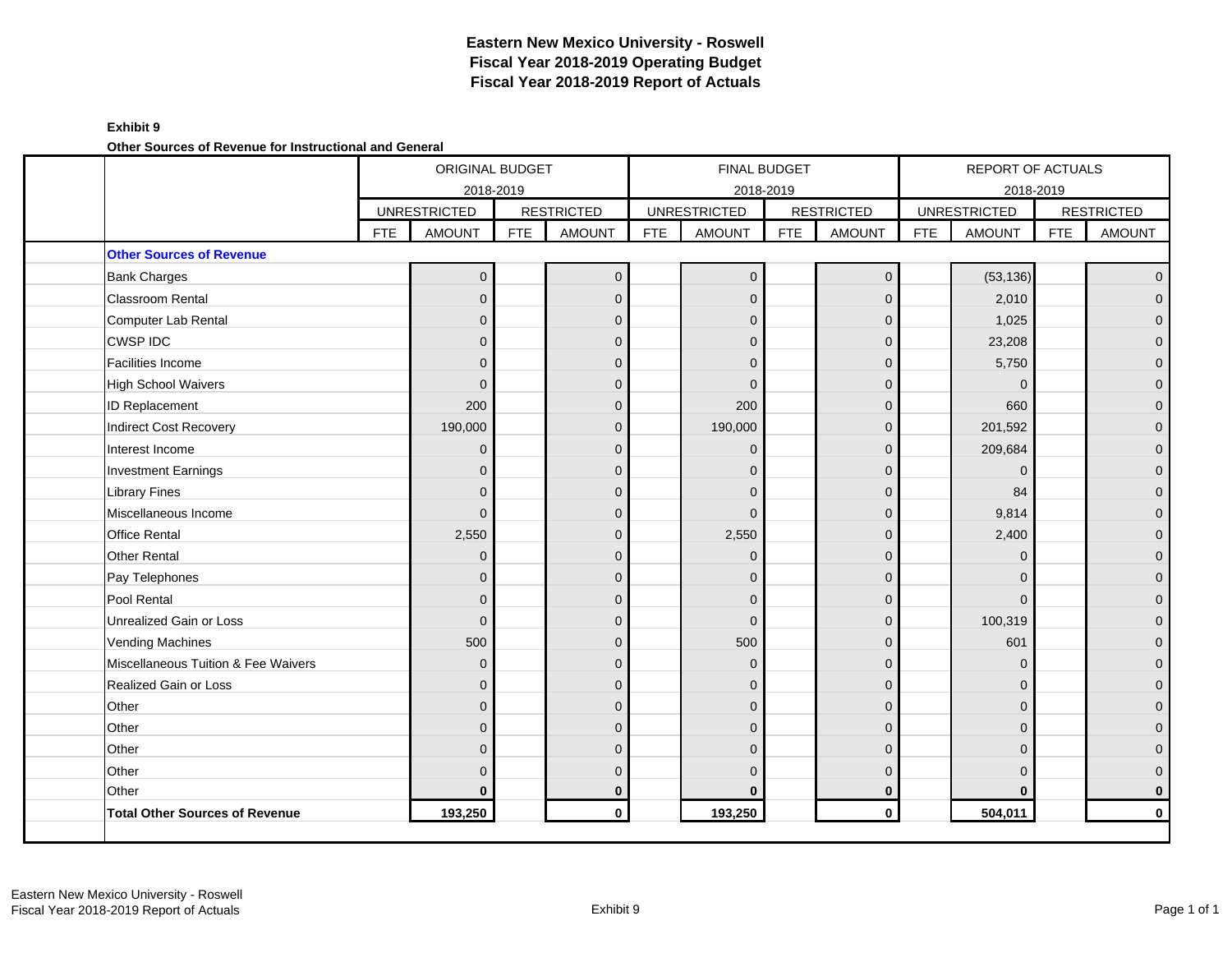### **Exhibit 9**

**Other Sources of Revenue for Instructional and General**

|                                     |            | <b>ORIGINAL BUDGET</b> |            |                   |            |                     | FINAL BUDGET |                   |            | <b>REPORT OF ACTUALS</b> |            |                   |
|-------------------------------------|------------|------------------------|------------|-------------------|------------|---------------------|--------------|-------------------|------------|--------------------------|------------|-------------------|
|                                     |            | 2018-2019              |            |                   |            | 2018-2019           |              |                   |            | 2018-2019                |            |                   |
|                                     |            | <b>UNRESTRICTED</b>    |            | <b>RESTRICTED</b> |            | <b>UNRESTRICTED</b> |              | <b>RESTRICTED</b> |            | <b>UNRESTRICTED</b>      |            | <b>RESTRICTED</b> |
|                                     | <b>FTE</b> | <b>AMOUNT</b>          | <b>FTE</b> | <b>AMOUNT</b>     | <b>FTE</b> | <b>AMOUNT</b>       | <b>FTE</b>   | <b>AMOUNT</b>     | <b>FTE</b> | <b>AMOUNT</b>            | <b>FTE</b> | <b>AMOUNT</b>     |
| <b>Other Sources of Revenue</b>     |            |                        |            |                   |            |                     |              |                   |            |                          |            |                   |
| <b>Bank Charges</b>                 |            | $\Omega$               |            | $\overline{0}$    |            | $\mathbf{0}$        |              | $\mathbf 0$       |            | (53, 136)                |            | $\overline{0}$    |
| <b>Classroom Rental</b>             |            | $\Omega$               |            | $\Omega$          |            | $\Omega$            |              | $\Omega$          |            | 2,010                    |            | $\overline{0}$    |
| Computer Lab Rental                 |            | $\mathbf{0}$           |            | $\mathbf{0}$      |            | $\Omega$            |              | $\mathbf{0}$      |            | 1,025                    |            | $\overline{0}$    |
| <b>CWSP IDC</b>                     |            | $\Omega$               |            | $\Omega$          |            | $\Omega$            |              | $\mathbf{0}$      |            | 23,208                   |            | 0                 |
| <b>Facilities Income</b>            |            | $\Omega$               |            | $\Omega$          |            | $\Omega$            |              | $\mathbf 0$       |            | 5,750                    |            | $\overline{0}$    |
| <b>High School Waivers</b>          |            | $\Omega$               |            | $\Omega$          |            | $\Omega$            |              | $\Omega$          |            | $\Omega$                 |            | $\overline{0}$    |
| <b>ID Replacement</b>               |            | 200                    |            | $\overline{0}$    |            | 200                 |              | $\mathbf{0}$      |            | 660                      |            | 0                 |
| Indirect Cost Recovery              |            | 190,000                |            | $\mathbf{0}$      |            | 190,000             |              | $\overline{0}$    |            | 201,592                  |            | $\overline{0}$    |
| Interest Income                     |            | $\Omega$               |            | $\Omega$          |            | $\Omega$            |              | $\Omega$          |            | 209,684                  |            | $\overline{0}$    |
| <b>Investment Earnings</b>          |            | $\Omega$               |            | $\Omega$          |            | $\Omega$            |              | $\Omega$          |            | $\mathbf 0$              |            | 0                 |
| <b>Library Fines</b>                |            | $\Omega$               |            | $\Omega$          |            | $\Omega$            |              | $\mathbf{0}$      |            | 84                       |            | $\mathbf{0}$      |
| Miscellaneous Income                |            | $\Omega$               |            | $\Omega$          |            | $\Omega$            |              | $\Omega$          |            | 9,814                    |            | 0                 |
| <b>Office Rental</b>                |            | 2,550                  |            | $\mathbf{0}$      |            | 2,550               |              | $\mathbf{0}$      |            | 2,400                    |            | $\overline{0}$    |
| <b>Other Rental</b>                 |            | $\Omega$               |            | $\Omega$          |            | $\Omega$            |              | $\Omega$          |            | $\Omega$                 |            | $\mathbf{0}$      |
| Pay Telephones                      |            | $\Omega$               |            | $\mathbf 0$       |            | $\Omega$            |              | $\mathbf{0}$      |            | $\Omega$                 |            | 0                 |
| Pool Rental                         |            | $\Omega$               |            | $\Omega$          |            | $\Omega$            |              | $\mathbf{0}$      |            | $\Omega$                 |            | $\overline{0}$    |
| Unrealized Gain or Loss             |            | $\Omega$               |            | $\Omega$          |            | $\Omega$            |              | $\mathbf{0}$      |            | 100,319                  |            | 0                 |
| <b>Vending Machines</b>             |            | 500                    |            | $\Omega$          |            | 500                 |              | $\Omega$          |            | 601                      |            | 0                 |
| Miscellaneous Tuition & Fee Waivers |            | $\Omega$               |            | $\mathbf{0}$      |            | $\Omega$            |              | $\mathbf{0}$      |            | $\mathbf 0$              |            | 0                 |
| Realized Gain or Loss               |            | $\overline{0}$         |            | $\overline{0}$    |            | $\Omega$            |              | $\mathbf{0}$      |            | $\Omega$                 |            | $\overline{0}$    |
| Other                               |            | $\Omega$               |            | $\Omega$          |            | $\Omega$            |              | $\Omega$          |            | $\Omega$                 |            | $\overline{0}$    |
| Other                               |            | $\Omega$               |            | $\Omega$          |            | $\Omega$            |              | $\Omega$          |            | $\Omega$                 |            | $\mathbf{0}$      |
| Other                               |            | $\Omega$               |            | $\mathbf{0}$      |            | $\Omega$            |              | $\Omega$          |            | $\Omega$                 |            | 0                 |
| Other                               |            | $\Omega$               |            | $\Omega$          |            | $\Omega$            |              | $\mathbf{0}$      |            | $\Omega$                 |            | 0                 |
| Other                               |            | O                      |            | $\bf{0}$          |            | O                   |              | $\bf{0}$          |            | $\bf{0}$                 |            | 0                 |
| Total Other Sources of Revenue      |            | 193,250                |            | $\mathbf 0$       |            | 193,250             |              | $\mathbf{0}$      |            | 504,011                  |            | $\mathbf{0}$      |
|                                     |            |                        |            |                   |            |                     |              |                   |            |                          |            |                   |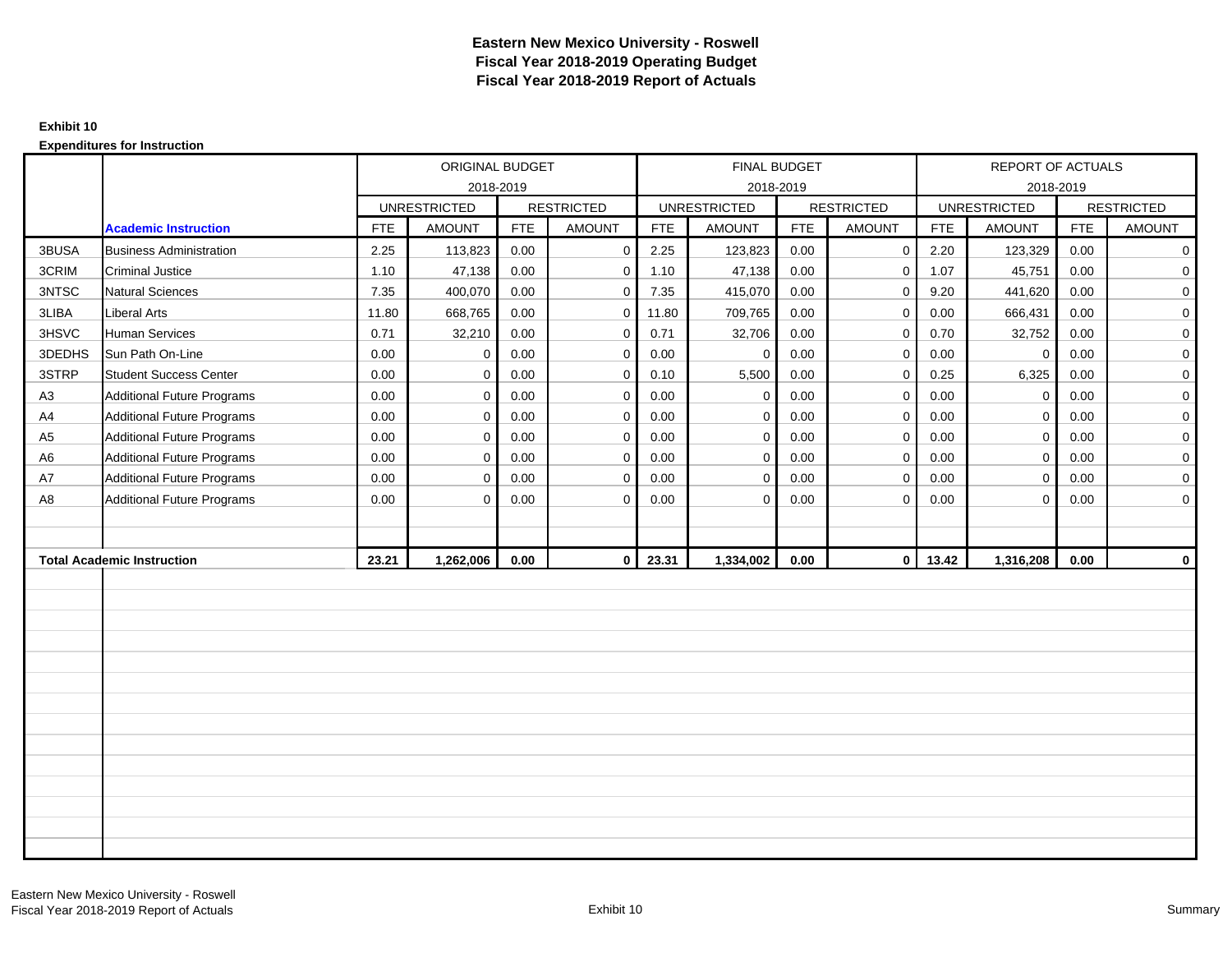### **Exhibit 10**

|                |                                   |            | ORIGINAL BUDGET     |            |                   |            | FINAL BUDGET        |            |                   |            | REPORT OF ACTUALS   |            |                   |
|----------------|-----------------------------------|------------|---------------------|------------|-------------------|------------|---------------------|------------|-------------------|------------|---------------------|------------|-------------------|
|                |                                   |            | 2018-2019           |            |                   |            | 2018-2019           |            |                   |            | 2018-2019           |            |                   |
|                |                                   |            | <b>UNRESTRICTED</b> |            | <b>RESTRICTED</b> |            | <b>UNRESTRICTED</b> |            | <b>RESTRICTED</b> |            | <b>UNRESTRICTED</b> |            | <b>RESTRICTED</b> |
|                | <b>Academic Instruction</b>       | <b>FTE</b> | <b>AMOUNT</b>       | <b>FTE</b> | <b>AMOUNT</b>     | <b>FTE</b> | <b>AMOUNT</b>       | <b>FTE</b> | <b>AMOUNT</b>     | <b>FTE</b> | <b>AMOUNT</b>       | <b>FTE</b> | <b>AMOUNT</b>     |
| 3BUSA          | <b>Business Administration</b>    | 2.25       | 113,823             | 0.00       | $\mathbf{0}$      | 2.25       | 123,823             | 0.00       | $\mathbf 0$       | 2.20       | 123,329             | 0.00       | 0                 |
| 3CRIM          | <b>Criminal Justice</b>           | 1.10       | 47,138              | 0.00       | $\mathbf 0$       | 1.10       | 47,138              | 0.00       | $\mathbf 0$       | 1.07       | 45,751              | 0.00       | $\mathbf 0$       |
| 3NTSC          | <b>Natural Sciences</b>           | 7.35       | 400,070             | 0.00       | $\mathbf 0$       | 7.35       | 415,070             | 0.00       | $\mathbf 0$       | 9.20       | 441,620             | 0.00       | $\mathbf 0$       |
| 3LIBA          | <b>Liberal Arts</b>               | 11.80      | 668,765             | 0.00       | $\mathbf 0$       | 11.80      | 709,765             | 0.00       | $\mathsf{O}$      | 0.00       | 666,431             | 0.00       | $\mathbf 0$       |
| 3HSVC          | Human Services                    | 0.71       | 32,210              | 0.00       | $\mathbf 0$       | 0.71       | 32,706              | 0.00       | $\mathbf 0$       | 0.70       | 32,752              | 0.00       | $\mathbf 0$       |
| 3DEDHS         | Sun Path On-Line                  | 0.00       | $\mathbf 0$         | 0.00       | $\mathbf 0$       | 0.00       | $\Omega$            | 0.00       | $\mathbf 0$       | 0.00       | $\mathbf 0$         | 0.00       | $\mathbf 0$       |
| 3STRP          | <b>Student Success Center</b>     | 0.00       | $\mathbf 0$         | 0.00       | $\mathbf 0$       | 0.10       | 5,500               | 0.00       | $\mathbf 0$       | 0.25       | 6,325               | 0.00       | $\mathbf 0$       |
| A3             | <b>Additional Future Programs</b> | 0.00       | $\Omega$            | 0.00       | $\mathbf 0$       | 0.00       | $\mathbf 0$         | 0.00       | $\mathbf 0$       | 0.00       | $\mathbf 0$         | 0.00       | $\mathbf 0$       |
| A4             | <b>Additional Future Programs</b> | 0.00       | $\mathbf 0$         | 0.00       | $\mathbf{0}$      | 0.00       | $\Omega$            | 0.00       | $\mathbf 0$       | 0.00       | $\mathbf 0$         | 0.00       | $\mathbf 0$       |
| A <sub>5</sub> | <b>Additional Future Programs</b> | 0.00       | $\mathbf 0$         | 0.00       | $\mathbf 0$       | 0.00       | $\mathbf 0$         | 0.00       | $\mathsf{O}$      | 0.00       | $\overline{0}$      | 0.00       | $\mathbf 0$       |
| A <sub>6</sub> | <b>Additional Future Programs</b> | 0.00       | $\Omega$            | 0.00       | $\mathbf 0$       | 0.00       | $\mathbf 0$         | 0.00       | $\mathbf 0$       | 0.00       | $\mathbf 0$         | 0.00       | $\mathbf 0$       |
| A7             | <b>Additional Future Programs</b> | 0.00       | $\Omega$            | 0.00       | $\mathbf 0$       | 0.00       | $\mathbf 0$         | 0.00       | $\mathbf 0$       | 0.00       | $\mathbf{0}$        | 0.00       | $\mathbf 0$       |
| A8             | <b>Additional Future Programs</b> | 0.00       | $\Omega$            | 0.00       | $\mathbf 0$       | 0.00       | $\mathbf 0$         | 0.00       | $\mathbf 0$       | 0.00       | $\mathbf 0$         | 0.00       | $\mathbf 0$       |
|                |                                   |            |                     |            |                   |            |                     |            |                   |            |                     |            |                   |
|                |                                   |            |                     |            |                   |            |                     |            |                   |            |                     |            |                   |
|                | <b>Total Academic Instruction</b> | 23.21      | 1,262,006           | 0.00       | $\mathbf{0}$      | 23.31      | 1,334,002           | 0.00       | $\overline{0}$    | 13.42      | 1,316,208           | 0.00       | 0                 |
|                |                                   |            |                     |            |                   |            |                     |            |                   |            |                     |            |                   |
|                |                                   |            |                     |            |                   |            |                     |            |                   |            |                     |            |                   |
|                |                                   |            |                     |            |                   |            |                     |            |                   |            |                     |            |                   |
|                |                                   |            |                     |            |                   |            |                     |            |                   |            |                     |            |                   |
|                |                                   |            |                     |            |                   |            |                     |            |                   |            |                     |            |                   |
|                |                                   |            |                     |            |                   |            |                     |            |                   |            |                     |            |                   |
|                |                                   |            |                     |            |                   |            |                     |            |                   |            |                     |            |                   |
|                |                                   |            |                     |            |                   |            |                     |            |                   |            |                     |            |                   |
|                |                                   |            |                     |            |                   |            |                     |            |                   |            |                     |            |                   |
|                |                                   |            |                     |            |                   |            |                     |            |                   |            |                     |            |                   |
|                |                                   |            |                     |            |                   |            |                     |            |                   |            |                     |            |                   |
|                |                                   |            |                     |            |                   |            |                     |            |                   |            |                     |            |                   |
|                |                                   |            |                     |            |                   |            |                     |            |                   |            |                     |            |                   |
|                |                                   |            |                     |            |                   |            |                     |            |                   |            |                     |            |                   |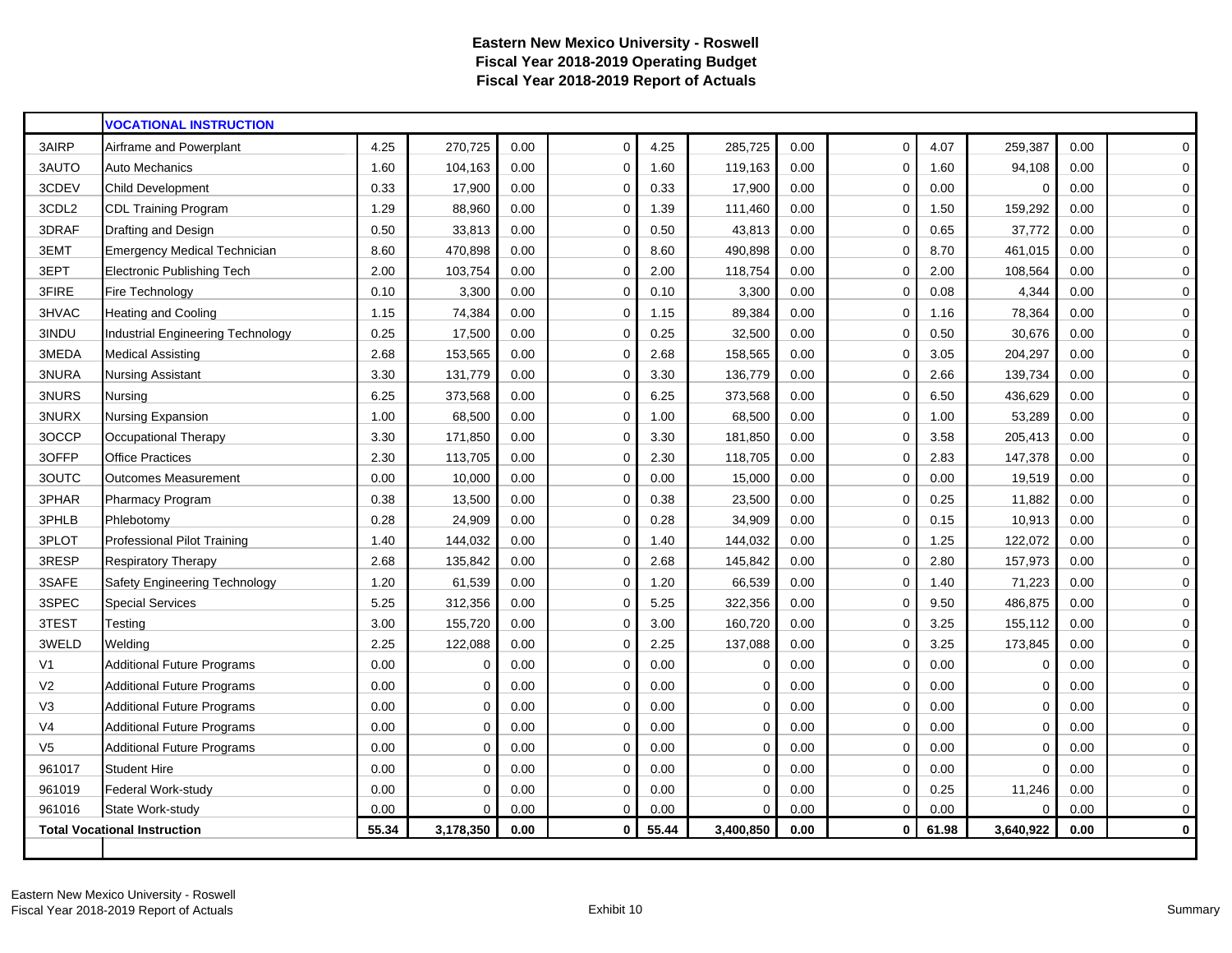|                | <b>VOCATIONAL INSTRUCTION</b>       |       |           |      |              |       |           |      |              |       |             |      |              |
|----------------|-------------------------------------|-------|-----------|------|--------------|-------|-----------|------|--------------|-------|-------------|------|--------------|
| 3AIRP          | Airframe and Powerplant             | 4.25  | 270,725   | 0.00 | $\mathbf 0$  | 4.25  | 285,725   | 0.00 | $\mathbf 0$  | 4.07  | 259,387     | 0.00 | $\mathbf 0$  |
| 3AUTO          | Auto Mechanics                      | 1.60  | 104,163   | 0.00 | $\mathbf 0$  | 1.60  | 119,163   | 0.00 | $\Omega$     | 1.60  | 94,108      | 0.00 | $\mathbf 0$  |
| 3CDEV          | <b>Child Development</b>            | 0.33  | 17,900    | 0.00 | $\mathbf 0$  | 0.33  | 17,900    | 0.00 | $\Omega$     | 0.00  | $\Omega$    | 0.00 | 0            |
| 3CDL2          | <b>CDL Training Program</b>         | 1.29  | 88,960    | 0.00 | 0            | 1.39  | 111,460   | 0.00 | 0            | 1.50  | 159,292     | 0.00 | 0            |
| 3DRAF          | Drafting and Design                 | 0.50  | 33,813    | 0.00 | $\mathbf 0$  | 0.50  | 43,813    | 0.00 | $\mathbf 0$  | 0.65  | 37,772      | 0.00 | $\mathbf 0$  |
| 3EMT           | <b>Emergency Medical Technician</b> | 8.60  | 470,898   | 0.00 | $\mathbf 0$  | 8.60  | 490,898   | 0.00 | 0            | 8.70  | 461,015     | 0.00 | 0            |
| 3EPT           | <b>Electronic Publishing Tech</b>   | 2.00  | 103,754   | 0.00 | $\mathbf 0$  | 2.00  | 118,754   | 0.00 | 0            | 2.00  | 108,564     | 0.00 | 0            |
| 3FIRE          | Fire Technology                     | 0.10  | 3,300     | 0.00 | $\mathbf 0$  | 0.10  | 3,300     | 0.00 | $\Omega$     | 0.08  | 4,344       | 0.00 | $\pmb{0}$    |
| 3HVAC          | <b>Heating and Cooling</b>          | 1.15  | 74,384    | 0.00 | $\mathbf 0$  | 1.15  | 89,384    | 0.00 | $\Omega$     | 1.16  | 78,364      | 0.00 | $\mathbf 0$  |
| 3INDU          | Industrial Engineering Technology   | 0.25  | 17,500    | 0.00 | $\Omega$     | 0.25  | 32,500    | 0.00 | $\Omega$     | 0.50  | 30,676      | 0.00 | $\mathbf 0$  |
| 3MEDA          | <b>Medical Assisting</b>            | 2.68  | 153,565   | 0.00 | $\mathbf 0$  | 2.68  | 158,565   | 0.00 | $\Omega$     | 3.05  | 204,297     | 0.00 | 0            |
| 3NURA          | <b>Nursing Assistant</b>            | 3.30  | 131,779   | 0.00 | $\mathbf 0$  | 3.30  | 136,779   | 0.00 | $\Omega$     | 2.66  | 139,734     | 0.00 | 0            |
| 3NURS          | Nursing                             | 6.25  | 373,568   | 0.00 | $\mathbf 0$  | 6.25  | 373,568   | 0.00 | $\Omega$     | 6.50  | 436,629     | 0.00 | 0            |
| 3NURX          | Nursing Expansion                   | 1.00  | 68,500    | 0.00 | $\mathbf 0$  | 1.00  | 68,500    | 0.00 | 0            | 1.00  | 53,289      | 0.00 | 0            |
| 3OCCP          | Occupational Therapy                | 3.30  | 171,850   | 0.00 | $\mathbf 0$  | 3.30  | 181,850   | 0.00 | $\mathbf 0$  | 3.58  | 205,413     | 0.00 | $\mathbf 0$  |
| 3OFFP          | <b>Office Practices</b>             | 2.30  | 113,705   | 0.00 | $\mathbf 0$  | 2.30  | 118,705   | 0.00 | 0            | 2.83  | 147,378     | 0.00 | 0            |
| 3OUTC          | <b>Outcomes Measurement</b>         | 0.00  | 10,000    | 0.00 | $\mathbf 0$  | 0.00  | 15,000    | 0.00 | 0            | 0.00  | 19,519      | 0.00 | 0            |
| 3PHAR          | <b>Pharmacy Program</b>             | 0.38  | 13,500    | 0.00 | $\mathbf 0$  | 0.38  | 23,500    | 0.00 | $\Omega$     | 0.25  | 11,882      | 0.00 | $\mathbf 0$  |
| 3PHLB          | Phlebotomy                          | 0.28  | 24,909    | 0.00 | $\mathbf 0$  | 0.28  | 34,909    | 0.00 | $\Omega$     | 0.15  | 10,913      | 0.00 | 0            |
| 3PLOT          | Professional Pilot Training         | 1.40  | 144,032   | 0.00 | $\mathbf 0$  | 1.40  | 144,032   | 0.00 | 0            | 1.25  | 122,072     | 0.00 | $\mathbf 0$  |
| 3RESP          | <b>Respiratory Therapy</b>          | 2.68  | 135,842   | 0.00 | $\Omega$     | 2.68  | 145,842   | 0.00 | $\Omega$     | 2.80  | 157,973     | 0.00 | $\mathbf 0$  |
| 3SAFE          | Safety Engineering Technology       | 1.20  | 61,539    | 0.00 | $\mathbf 0$  | 1.20  | 66,539    | 0.00 | $\mathbf 0$  | 1.40  | 71,223      | 0.00 | 0            |
| 3SPEC          | <b>Special Services</b>             | 5.25  | 312,356   | 0.00 | $\mathbf 0$  | 5.25  | 322,356   | 0.00 | $\Omega$     | 9.50  | 486,875     | 0.00 | $\mathbf 0$  |
| 3TEST          | Testing                             | 3.00  | 155,720   | 0.00 | $\mathbf 0$  | 3.00  | 160,720   | 0.00 | 0            | 3.25  | 155,112     | 0.00 | $\mathbf 0$  |
| 3WELD          | Welding                             | 2.25  | 122,088   | 0.00 | $\mathbf 0$  | 2.25  | 137,088   | 0.00 | 0            | 3.25  | 173,845     | 0.00 | 0            |
| V <sub>1</sub> | <b>Additional Future Programs</b>   | 0.00  | 0         | 0.00 | $\mathbf 0$  | 0.00  | $\Omega$  | 0.00 | 0            | 0.00  | $\mathbf 0$ | 0.00 | $\mathbf 0$  |
| V <sub>2</sub> | <b>Additional Future Programs</b>   | 0.00  | $\Omega$  | 0.00 | $\mathbf 0$  | 0.00  | $\Omega$  | 0.00 | 0            | 0.00  | $\mathbf 0$ | 0.00 | 0            |
| V <sub>3</sub> | <b>Additional Future Programs</b>   | 0.00  | 0         | 0.00 | $\mathbf 0$  | 0.00  | $\Omega$  | 0.00 | $\Omega$     | 0.00  | $\mathbf 0$ | 0.00 | 0            |
| V4             | <b>Additional Future Programs</b>   | 0.00  | 0         | 0.00 | 0            | 0.00  | $\Omega$  | 0.00 | $\Omega$     | 0.00  | $\Omega$    | 0.00 | 0            |
| V <sub>5</sub> | <b>Additional Future Programs</b>   | 0.00  | $\Omega$  | 0.00 | $\mathbf 0$  | 0.00  | $\Omega$  | 0.00 | $\Omega$     | 0.00  | $\Omega$    | 0.00 | $\mathbf 0$  |
| 961017         | <b>Student Hire</b>                 | 0.00  | $\Omega$  | 0.00 | $\mathbf 0$  | 0.00  | $\Omega$  | 0.00 | $\Omega$     | 0.00  | $\Omega$    | 0.00 | $\pmb{0}$    |
| 961019         | Federal Work-study                  | 0.00  | $\Omega$  | 0.00 | $\Omega$     | 0.00  | $\Omega$  | 0.00 | $\Omega$     | 0.25  | 11,246      | 0.00 | $\mathbf 0$  |
| 961016         | State Work-study                    | 0.00  | $\Omega$  | 0.00 | $\mathbf 0$  | 0.00  | $\Omega$  | 0.00 | 0            | 0.00  | $\Omega$    | 0.00 | 0            |
|                | <b>Total Vocational Instruction</b> | 55.34 | 3,178,350 | 0.00 | $\mathbf{0}$ | 55.44 | 3,400,850 | 0.00 | $\mathbf{0}$ | 61.98 | 3,640,922   | 0.00 | $\mathbf{0}$ |
|                |                                     |       |           |      |              |       |           |      |              |       |             |      |              |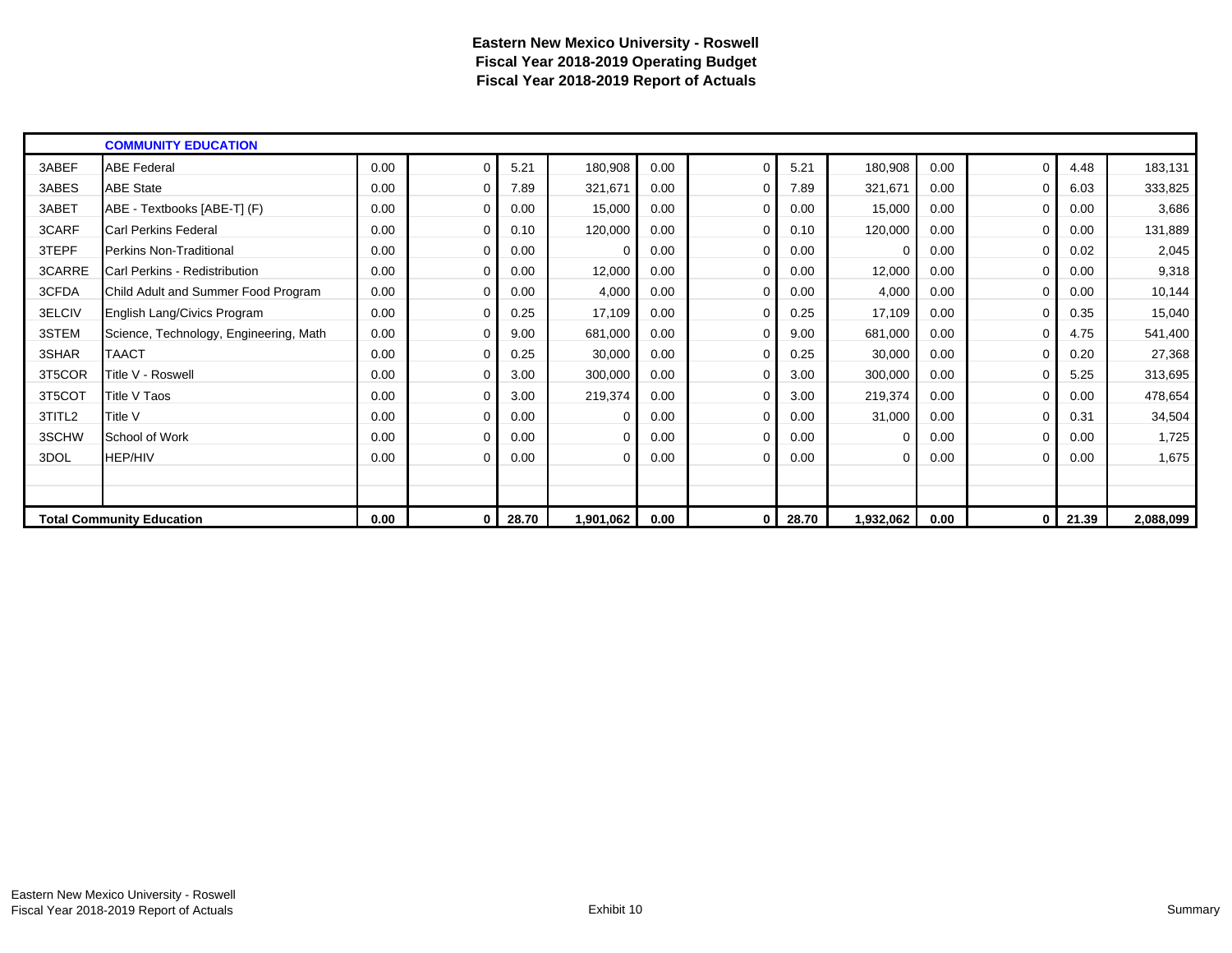|        | <b>COMMUNITY EDUCATION</b>             |      |          |       |           |      |             |       |           |      |              |       |           |
|--------|----------------------------------------|------|----------|-------|-----------|------|-------------|-------|-----------|------|--------------|-------|-----------|
| 3ABEF  | <b>ABE Federal</b>                     | 0.00 | $\Omega$ | 5.21  | 180,908   | 0.00 | $\Omega$    | 5.21  | 180,908   | 0.00 | $\Omega$     | 4.48  | 183,131   |
| 3ABES  | <b>ABE State</b>                       | 0.00 | 0        | 7.89  | 321,671   | 0.00 | $\Omega$    | 7.89  | 321,671   | 0.00 | 0            | 6.03  | 333,825   |
| 3ABET  | ABE - Textbooks [ABE-T] (F)            | 0.00 | $\Omega$ | 0.00  | 15,000    | 0.00 | $\Omega$    | 0.00  | 15,000    | 0.00 | $\Omega$     | 0.00  | 3,686     |
| 3CARF  | Carl Perkins Federal                   | 0.00 | 0        | 0.10  | 120,000   | 0.00 | $\Omega$    | 0.10  | 120,000   | 0.00 | $\Omega$     | 0.00  | 131,889   |
| 3TEPF  | Perkins Non-Traditional                | 0.00 | 0        | 0.00  | $\Omega$  | 0.00 | $\Omega$    | 0.00  | $\Omega$  | 0.00 | 0            | 0.02  | 2,045     |
| 3CARRE | Carl Perkins - Redistribution          | 0.00 | $\Omega$ | 0.00  | 12,000    | 0.00 | $\Omega$    | 0.00  | 12,000    | 0.00 | $\mathbf{0}$ | 0.00  | 9,318     |
| 3CFDA  | Child Adult and Summer Food Program    | 0.00 | $\Omega$ | 0.00  | 4,000     | 0.00 | $\Omega$    | 0.00  | 4,000     | 0.00 | 0            | 0.00  | 10,144    |
| 3ELCIV | English Lang/Civics Program            | 0.00 | 0        | 0.25  | 17,109    | 0.00 | $\mathbf 0$ | 0.25  | 17,109    | 0.00 | 0            | 0.35  | 15,040    |
| 3STEM  | Science, Technology, Engineering, Math | 0.00 | $\Omega$ | 9.00  | 681,000   | 0.00 | 0           | 9.00  | 681,000   | 0.00 | 0            | 4.75  | 541,400   |
| 3SHAR  | <b>TAACT</b>                           | 0.00 | 0        | 0.25  | 30,000    | 0.00 | $\mathbf 0$ | 0.25  | 30,000    | 0.00 | 0            | 0.20  | 27,368    |
| 3T5COR | Title V - Roswell                      | 0.00 | 0        | 3.00  | 300,000   | 0.00 | 0           | 3.00  | 300,000   | 0.00 | $\mathbf{0}$ | 5.25  | 313,695   |
| 3T5COT | Title V Taos                           | 0.00 | 0        | 3.00  | 219,374   | 0.00 | 0           | 3.00  | 219,374   | 0.00 | 0            | 0.00  | 478,654   |
| 3TITL2 | Title V                                | 0.00 | $\Omega$ | 0.00  | $\Omega$  | 0.00 | $\Omega$    | 0.00  | 31,000    | 0.00 |              | 0.31  | 34,504    |
| 3SCHW  | School of Work                         | 0.00 | $\Omega$ | 0.00  | 0         | 0.00 | $\Omega$    | 0.00  | 0         | 0.00 | 0            | 0.00  | 1,725     |
| 3DOL   | <b>HEP/HIV</b>                         | 0.00 | $\Omega$ | 0.00  | 0         | 0.00 | $\Omega$    | 0.00  | $\Omega$  | 0.00 | 0            | 0.00  | 1,675     |
|        |                                        |      |          |       |           |      |             |       |           |      |              |       |           |
|        |                                        |      |          |       |           |      |             |       |           |      |              |       |           |
|        | <b>Total Community Education</b>       | 0.00 | 0        | 28.70 | 1,901,062 | 0.00 | 0           | 28.70 | 1,932,062 | 0.00 | $\mathbf{0}$ | 21.39 | 2,088,099 |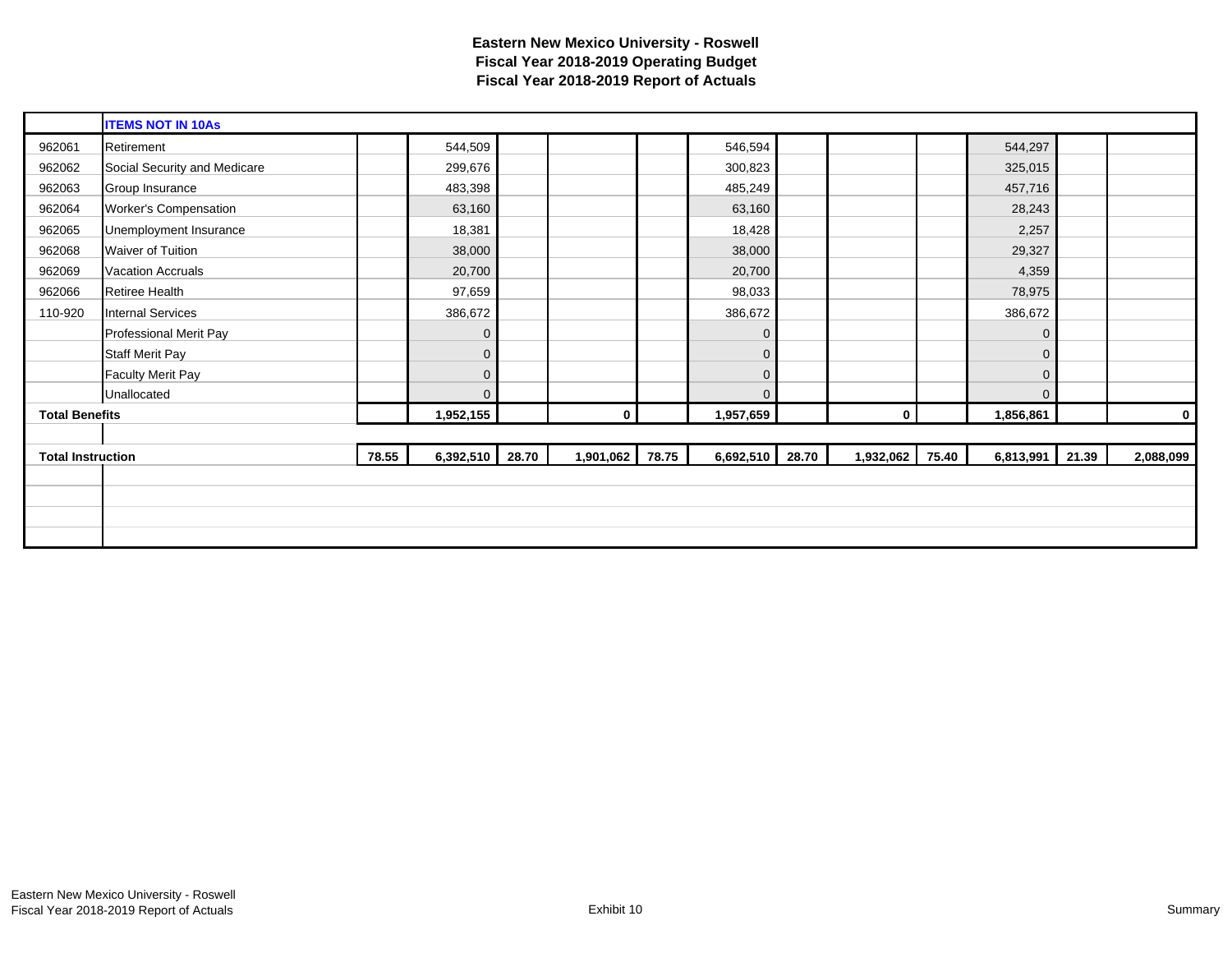|                          | <b>ITEMS NOT IN 10As</b>     |       |              |       |                |       |              |       |                 |                |       |           |
|--------------------------|------------------------------|-------|--------------|-------|----------------|-------|--------------|-------|-----------------|----------------|-------|-----------|
| 962061                   | Retirement                   |       | 544,509      |       |                |       | 546,594      |       |                 | 544,297        |       |           |
| 962062                   | Social Security and Medicare |       | 299,676      |       |                |       | 300,823      |       |                 | 325,015        |       |           |
| 962063                   | Group Insurance              |       | 483,398      |       |                |       | 485,249      |       |                 | 457,716        |       |           |
| 962064                   | <b>Worker's Compensation</b> |       | 63,160       |       |                |       | 63,160       |       |                 | 28,243         |       |           |
| 962065                   | Unemployment Insurance       |       | 18,381       |       |                |       | 18,428       |       |                 | 2,257          |       |           |
| 962068                   | Waiver of Tuition            |       | 38,000       |       |                |       | 38,000       |       |                 | 29,327         |       |           |
| 962069                   | <b>Vacation Accruals</b>     |       | 20,700       |       |                |       | 20,700       |       |                 | 4,359          |       |           |
| 962066                   | Retiree Health               |       | 97,659       |       |                |       | 98,033       |       |                 | 78,975         |       |           |
| 110-920                  | <b>Internal Services</b>     |       | 386,672      |       |                |       | 386,672      |       |                 | 386,672        |       |           |
|                          | Professional Merit Pay       |       | $\mathbf 0$  |       |                |       | 0            |       |                 | $\mathbf 0$    |       |           |
|                          | <b>Staff Merit Pay</b>       |       | $\mathbf 0$  |       |                |       | 0            |       |                 | $\overline{0}$ |       |           |
|                          | <b>Faculty Merit Pay</b>     |       | $\mathbf 0$  |       |                |       | $\mathbf{0}$ |       |                 | $\mathbf 0$    |       |           |
|                          | Unallocated                  |       | $\mathbf{0}$ |       |                |       | $\Omega$     |       |                 | $\overline{0}$ |       |           |
| <b>Total Benefits</b>    |                              |       | 1,952,155    |       | $\overline{0}$ |       | 1,957,659    |       | $\mathbf{0}$    | 1,856,861      |       | 0         |
|                          |                              |       |              |       |                |       |              |       |                 |                |       |           |
| <b>Total Instruction</b> |                              | 78.55 | 6,392,510    | 28.70 | 1,901,062      | 78.75 | 6,692,510    | 28.70 | 1,932,062 75.40 | 6,813,991      | 21.39 | 2,088,099 |
|                          |                              |       |              |       |                |       |              |       |                 |                |       |           |
|                          |                              |       |              |       |                |       |              |       |                 |                |       |           |
|                          |                              |       |              |       |                |       |              |       |                 |                |       |           |
|                          |                              |       |              |       |                |       |              |       |                 |                |       |           |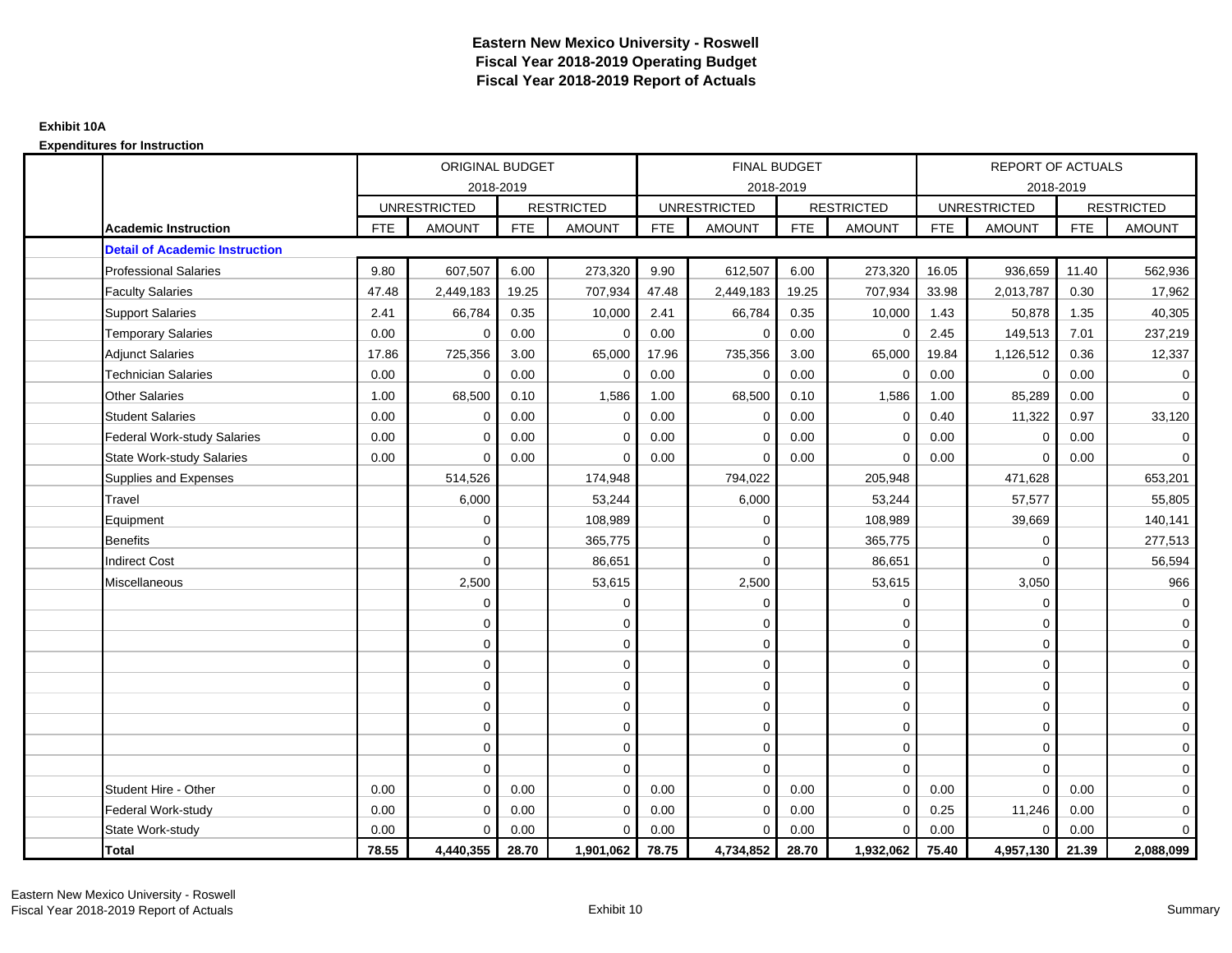|                                       |            | ORIGINAL BUDGET     |            |                   |            | <b>FINAL BUDGET</b> |            |                   |            | <b>REPORT OF ACTUALS</b> |            |                     |
|---------------------------------------|------------|---------------------|------------|-------------------|------------|---------------------|------------|-------------------|------------|--------------------------|------------|---------------------|
|                                       |            | 2018-2019           |            |                   |            | 2018-2019           |            |                   |            | 2018-2019                |            |                     |
|                                       |            | <b>UNRESTRICTED</b> |            | <b>RESTRICTED</b> |            | <b>UNRESTRICTED</b> |            | <b>RESTRICTED</b> |            | <b>UNRESTRICTED</b>      |            | <b>RESTRICTED</b>   |
| <b>Academic Instruction</b>           | <b>FTE</b> | <b>AMOUNT</b>       | <b>FTE</b> | <b>AMOUNT</b>     | <b>FTE</b> | <b>AMOUNT</b>       | <b>FTE</b> | <b>AMOUNT</b>     | <b>FTE</b> | <b>AMOUNT</b>            | <b>FTE</b> | <b>AMOUNT</b>       |
| <b>Detail of Academic Instruction</b> |            |                     |            |                   |            |                     |            |                   |            |                          |            |                     |
| <b>Professional Salaries</b>          | 9.80       | 607,507             | 6.00       | 273,320           | 9.90       | 612,507             | 6.00       | 273,320           | 16.05      | 936,659                  | 11.40      | 562,936             |
| <b>Faculty Salaries</b>               | 47.48      | 2,449,183           | 19.25      | 707,934           | 47.48      | 2,449,183           | 19.25      | 707,934           | 33.98      | 2,013,787                | 0.30       | 17,962              |
| <b>Support Salaries</b>               | 2.41       | 66,784              | 0.35       | 10,000            | 2.41       | 66,784              | 0.35       | 10,000            | 1.43       | 50,878                   | 1.35       | 40,305              |
| <b>Temporary Salaries</b>             | 0.00       | $\mathbf 0$         | 0.00       | $\mathbf 0$       | 0.00       | $\mathbf 0$         | 0.00       | $\mathbf 0$       | 2.45       | 149,513                  | 7.01       | 237,219             |
| <b>Adjunct Salaries</b>               | 17.86      | 725,356             | 3.00       | 65,000            | 17.96      | 735,356             | 3.00       | 65,000            | 19.84      | 1,126,512                | 0.36       | 12,337              |
| <b>Technician Salaries</b>            | 0.00       | $\Omega$            | 0.00       | $\Omega$          | 0.00       | $\Omega$            | 0.00       | $\mathbf 0$       | 0.00       | $\Omega$                 | 0.00       | 0                   |
| <b>Other Salaries</b>                 | 1.00       | 68,500              | 0.10       | 1,586             | 1.00       | 68,500              | 0.10       | 1,586             | 1.00       | 85,289                   | 0.00       | $\mathbf 0$         |
| <b>Student Salaries</b>               | 0.00       | $\mathbf 0$         | 0.00       | $\mathbf 0$       | 0.00       | $\mathbf 0$         | 0.00       | $\mathbf 0$       | 0.40       | 11,322                   | 0.97       | 33,120              |
| <b>Federal Work-study Salaries</b>    | 0.00       | $\Omega$            | 0.00       | $\Omega$          | 0.00       | $\Omega$            | 0.00       | $\mathbf 0$       | 0.00       | $\Omega$                 | 0.00       | $\mathbf 0$         |
| <b>State Work-study Salaries</b>      | 0.00       | $\mathbf 0$         | 0.00       | $\Omega$          | 0.00       | 0                   | 0.00       | $\mathbf 0$       | 0.00       | $\Omega$                 | 0.00       | 0                   |
| Supplies and Expenses                 |            | 514,526             |            | 174,948           |            | 794,022             |            | 205,948           |            | 471,628                  |            | 653,201             |
| Travel                                |            | 6,000               |            | 53,244            |            | 6,000               |            | 53,244            |            | 57,577                   |            | 55,805              |
| Equipment                             |            | $\mathbf 0$         |            | 108,989           |            | 0                   |            | 108,989           |            | 39,669                   |            | 140,141             |
| <b>Benefits</b>                       |            | $\Omega$            |            | 365,775           |            | $\Omega$            |            | 365,775           |            | $\Omega$                 |            | 277,513             |
| <b>Indirect Cost</b>                  |            | $\mathbf 0$         |            | 86,651            |            | $\Omega$            |            | 86,651            |            | $\Omega$                 |            | 56,594              |
| Miscellaneous                         |            | 2,500               |            | 53,615            |            | 2,500               |            | 53,615            |            | 3,050                    |            | 966                 |
|                                       |            | $\mathbf 0$         |            | 0                 |            | $\mathbf 0$         |            | $\mathbf 0$       |            | $\mathbf 0$              |            | $\mathbf 0$         |
|                                       |            | $\mathbf 0$         |            | 0                 |            | 0                   |            | $\mathbf 0$       |            | $\mathbf 0$              |            | $\mathbf 0$         |
|                                       |            | $\Omega$            |            | $\mathbf 0$       |            | $\Omega$            |            | $\mathbf 0$       |            | $\Omega$                 |            | $\overline{0}$      |
|                                       |            | $\Omega$            |            | $\mathbf 0$       |            | $\Omega$            |            | $\mathbf 0$       |            | $\Omega$                 |            | 0                   |
|                                       |            | $\mathbf 0$         |            | $\mathbf 0$       |            | 0                   |            | $\mathbf 0$       |            | $\Omega$                 |            | $\mathsf{O}\xspace$ |
|                                       |            | $\mathbf 0$         |            | 0                 |            | 0                   |            | $\mathbf 0$       |            | $\Omega$                 |            | 0                   |
|                                       |            | $\mathbf 0$         |            | 0                 |            | 0                   |            | $\mathbf 0$       |            | $\Omega$                 |            | $\overline{0}$      |
|                                       |            | $\mathbf 0$         |            | $\mathbf 0$       |            | $\Omega$            |            | $\mathbf 0$       |            | $\mathbf 0$              |            | 0                   |
|                                       |            | $\mathbf 0$         |            | $\mathbf 0$       |            | 0                   |            | $\mathbf 0$       |            | $\Omega$                 |            | 0                   |
| Student Hire - Other                  | 0.00       | $\Omega$            | 0.00       | $\Omega$          | 0.00       | $\Omega$            | 0.00       | $\Omega$          | 0.00       | $\Omega$                 | 0.00       | $\mathbf 0$         |
| Federal Work-study                    | 0.00       | $\mathbf 0$         | 0.00       | $\Omega$          | 0.00       | $\Omega$            | 0.00       | $\mathbf 0$       | 0.25       | 11,246                   | 0.00       | 0                   |
| State Work-study                      | 0.00       | $\mathbf 0$         | 0.00       | $\mathbf 0$       | 0.00       | $\Omega$            | 0.00       | $\mathbf 0$       | 0.00       | $\Omega$                 | 0.00       | $\mathbf{0}$        |
| <b>Total</b>                          | 78.55      | 4,440,355           | 28.70      | 1,901,062         | 78.75      | 4,734,852           | 28.70      | 1,932,062         | 75.40      | 4,957,130                | 21.39      | 2,088,099           |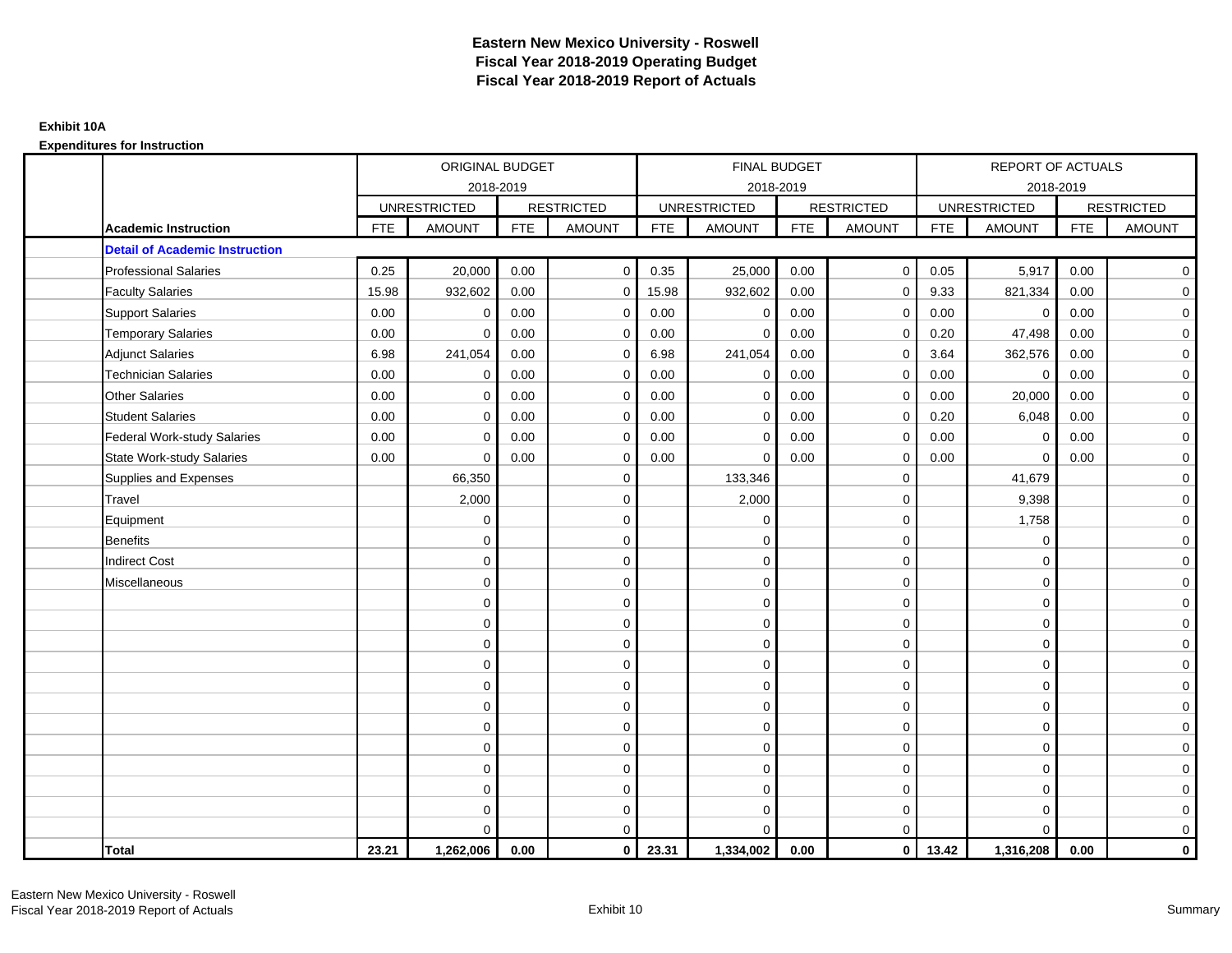|                                       |            | <b>ORIGINAL BUDGET</b> |            |                   |            | <b>FINAL BUDGET</b> |            |                   |            | <b>REPORT OF ACTUALS</b> |            |                   |
|---------------------------------------|------------|------------------------|------------|-------------------|------------|---------------------|------------|-------------------|------------|--------------------------|------------|-------------------|
|                                       |            | 2018-2019              |            |                   |            | 2018-2019           |            |                   |            | 2018-2019                |            |                   |
|                                       |            | <b>UNRESTRICTED</b>    |            | <b>RESTRICTED</b> |            | <b>UNRESTRICTED</b> |            | <b>RESTRICTED</b> |            | <b>UNRESTRICTED</b>      |            | <b>RESTRICTED</b> |
| <b>Academic Instruction</b>           | <b>FTE</b> | <b>AMOUNT</b>          | <b>FTE</b> | <b>AMOUNT</b>     | <b>FTE</b> | <b>AMOUNT</b>       | <b>FTE</b> | <b>AMOUNT</b>     | <b>FTE</b> | <b>AMOUNT</b>            | <b>FTE</b> | <b>AMOUNT</b>     |
| <b>Detail of Academic Instruction</b> |            |                        |            |                   |            |                     |            |                   |            |                          |            |                   |
| <b>Professional Salaries</b>          | 0.25       | 20,000                 | 0.00       | $\Omega$          | 0.35       | 25,000              | 0.00       | $\mathbf{0}$      | 0.05       | 5,917                    | 0.00       | $\overline{0}$    |
| <b>Faculty Salaries</b>               | 15.98      | 932,602                | 0.00       | $\mathbf 0$       | 15.98      | 932,602             | 0.00       | $\mathbf 0$       | 9.33       | 821,334                  | 0.00       | $\mathbf 0$       |
| <b>Support Salaries</b>               | 0.00       | $\mathbf 0$            | 0.00       | $\mathbf 0$       | 0.00       | $\mathbf 0$         | 0.00       | $\mathbf 0$       | 0.00       | $\mathbf 0$              | 0.00       | $\mathbf 0$       |
| <b>Temporary Salaries</b>             | 0.00       | $\Omega$               | 0.00       | $\Omega$          | 0.00       | $\Omega$            | 0.00       | $\mathbf 0$       | 0.20       | 47,498                   | 0.00       | $\overline{0}$    |
| <b>Adjunct Salaries</b>               | 6.98       | 241,054                | 0.00       | $\Omega$          | 6.98       | 241,054             | 0.00       | $\mathbf 0$       | 3.64       | 362,576                  | 0.00       | $\overline{0}$    |
| <b>Technician Salaries</b>            | 0.00       | $\mathbf 0$            | 0.00       | $\Omega$          | 0.00       | $\mathbf 0$         | 0.00       | $\mathbf 0$       | 0.00       | $\mathbf 0$              | 0.00       | $\mathbf 0$       |
| <b>Other Salaries</b>                 | 0.00       | $\mathbf 0$            | 0.00       | $\mathbf 0$       | 0.00       | $\mathbf{0}$        | 0.00       | $\mathbf 0$       | 0.00       | 20,000                   | 0.00       | $\overline{0}$    |
| <b>Student Salaries</b>               | 0.00       | $\mathbf 0$            | 0.00       | $\mathbf 0$       | 0.00       | $\mathbf 0$         | 0.00       | 0                 | 0.20       | 6,048                    | 0.00       | $\mathbf 0$       |
| <b>Federal Work-study Salaries</b>    | 0.00       | $\mathbf 0$            | 0.00       | 0                 | 0.00       | $\Omega$            | 0.00       | $\mathbf 0$       | 0.00       | $\mathbf 0$              | 0.00       | $\mathbf 0$       |
| <b>State Work-study Salaries</b>      | 0.00       | $\Omega$               | 0.00       | $\Omega$          | 0.00       | $\Omega$            | 0.00       | $\mathbf 0$       | 0.00       | $\Omega$                 | 0.00       | $\mathbf 0$       |
| Supplies and Expenses                 |            | 66,350                 |            | $\mathbf 0$       |            | 133,346             |            | $\mathbf 0$       |            | 41,679                   |            | $\mathbf 0$       |
| Travel                                |            | 2,000                  |            | $\mathbf 0$       |            | 2,000               |            | $\mathbf 0$       |            | 9,398                    |            | $\mathbf 0$       |
| Equipment                             |            | $\Omega$               |            | $\mathbf 0$       |            | $\Omega$            |            | $\mathbf 0$       |            | 1,758                    |            | $\overline{0}$    |
| <b>Benefits</b>                       |            | $\mathbf 0$            |            | $\mathbf 0$       |            | $\mathbf 0$         |            | $\mathbf 0$       |            | $\mathbf 0$              |            | $\mathbf 0$       |
| <b>Indirect Cost</b>                  |            | $\mathbf 0$            |            | $\mathbf 0$       |            | $\Omega$            |            | $\mathbf 0$       |            | $\Omega$                 |            | $\mathbf 0$       |
| Miscellaneous                         |            | $\Omega$               |            | $\mathbf 0$       |            | $\Omega$            |            | $\mathbf 0$       |            | $\Omega$                 |            | $\mathbf 0$       |
|                                       |            | $\mathbf 0$            |            | $\mathbf 0$       |            | $\mathbf{0}$        |            | $\mathbf 0$       |            | $\mathbf 0$              |            | $\overline{0}$    |
|                                       |            | $\mathbf 0$            |            | $\mathbf 0$       |            | $\mathbf 0$         |            | $\mathbf 0$       |            | $\mathbf 0$              |            | $\mathbf 0$       |
|                                       |            | $\Omega$               |            | $\mathbf 0$       |            | $\Omega$            |            | $\mathbf 0$       |            | $\Omega$                 |            | $\overline{0}$    |
|                                       |            | $\mathbf 0$            |            | $\mathbf 0$       |            | $\mathbf 0$         |            | $\mathbf 0$       |            | $\mathbf 0$              |            | $\mathbf 0$       |
|                                       |            | $\mathbf 0$            |            | $\mathbf 0$       |            | $\mathbf 0$         |            | $\mathbf 0$       |            | $\mathbf 0$              |            | $\mathbf 0$       |
|                                       |            | $\mathbf 0$            |            | $\mathbf 0$       |            | $\mathbf{0}$        |            | $\mathbf 0$       |            | $\mathbf 0$              |            | $\mathbf 0$       |
|                                       |            | $\mathbf 0$            |            | $\mathbf 0$       |            | $\mathbf 0$         |            | $\mathbf 0$       |            | $\mathbf 0$              |            | $\mathbf 0$       |
|                                       |            | $\mathbf 0$            |            | $\mathbf 0$       |            | $\Omega$            |            | $\mathbf 0$       |            | $\mathbf 0$              |            | $\mathbf 0$       |
|                                       |            | $\Omega$               |            | $\mathbf 0$       |            | $\Omega$            |            | $\mathbf 0$       |            | $\mathbf 0$              |            | $\mathbf 0$       |
|                                       |            | $\mathbf 0$            |            | $\mathbf 0$       |            | $\mathbf 0$         |            | $\mathbf 0$       |            | $\mathbf 0$              |            | $\overline{0}$    |
|                                       |            | $\mathbf 0$            |            | 0                 |            | 0                   |            | $\mathbf 0$       |            | $\mathbf 0$              |            | $\mathbf 0$       |
|                                       |            | $\Omega$               |            | $\mathbf 0$       |            | $\Omega$            |            | $\mathbf 0$       |            | $\Omega$                 |            | $\mathbf 0$       |
| Total                                 | 23.21      | 1,262,006              | 0.00       | $\mathbf{0}$      | 23.31      | 1,334,002           | 0.00       | $\overline{0}$    | 13.42      | 1,316,208                | 0.00       | $\mathbf 0$       |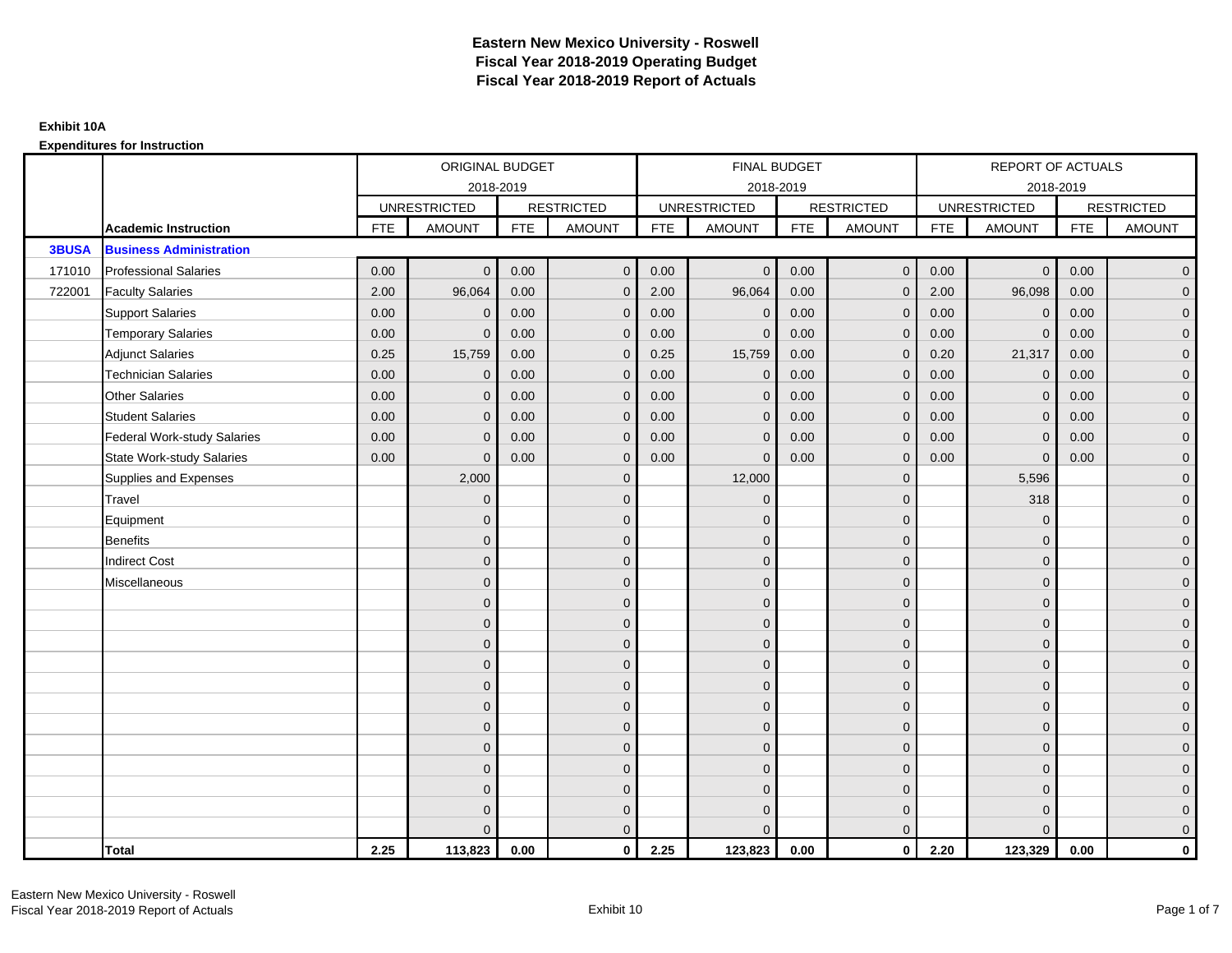|              |                                    |            | ORIGINAL BUDGET     |            |                   |            | <b>FINAL BUDGET</b> |            |                   |            | REPORT OF ACTUALS   |            |                   |
|--------------|------------------------------------|------------|---------------------|------------|-------------------|------------|---------------------|------------|-------------------|------------|---------------------|------------|-------------------|
|              |                                    |            | 2018-2019           |            |                   |            | 2018-2019           |            |                   |            | 2018-2019           |            |                   |
|              |                                    |            | <b>UNRESTRICTED</b> |            | <b>RESTRICTED</b> |            | <b>UNRESTRICTED</b> |            | <b>RESTRICTED</b> |            | <b>UNRESTRICTED</b> |            | <b>RESTRICTED</b> |
|              | <b>Academic Instruction</b>        | <b>FTE</b> | <b>AMOUNT</b>       | <b>FTE</b> | <b>AMOUNT</b>     | <b>FTE</b> | <b>AMOUNT</b>       | <b>FTE</b> | <b>AMOUNT</b>     | <b>FTE</b> | <b>AMOUNT</b>       | <b>FTE</b> | <b>AMOUNT</b>     |
| <b>3BUSA</b> | <b>Business Administration</b>     |            |                     |            |                   |            |                     |            |                   |            |                     |            |                   |
| 171010       | <b>Professional Salaries</b>       | 0.00       | $\Omega$            | 0.00       | $\mathbf{0}$      | 0.00       | $\mathbf{0}$        | 0.00       | $\mathbf{0}$      | 0.00       | $\overline{0}$      | 0.00       | $\overline{0}$    |
| 722001       | <b>Faculty Salaries</b>            | 2.00       | 96,064              | 0.00       | $\mathbf 0$       | 2.00       | 96,064              | 0.00       | $\mathbf{0}$      | 2.00       | 96,098              | 0.00       | $\overline{0}$    |
|              | <b>Support Salaries</b>            | 0.00       | $\Omega$            | 0.00       | $\mathbf 0$       | 0.00       | $\mathbf 0$         | 0.00       | $\mathbf{0}$      | 0.00       | $\mathbf 0$         | 0.00       | $\overline{0}$    |
|              | <b>Temporary Salaries</b>          | 0.00       | $\Omega$            | 0.00       | $\mathbf{0}$      | 0.00       | $\Omega$            | 0.00       | $\mathbf 0$       | 0.00       | $\mathbf{0}$        | 0.00       | $\overline{0}$    |
|              | <b>Adjunct Salaries</b>            | 0.25       | 15,759              | 0.00       | $\Omega$          | 0.25       | 15,759              | 0.00       | $\mathbf{0}$      | 0.20       | 21,317              | 0.00       | $\overline{0}$    |
|              | <b>Technician Salaries</b>         | 0.00       | $\mathbf 0$         | 0.00       | $\mathbf{0}$      | 0.00       | $\mathbf{0}$        | 0.00       | $\mathbf{0}$      | 0.00       | $\mathbf 0$         | 0.00       | $\mathbf{0}$      |
|              | <b>Other Salaries</b>              | 0.00       | $\mathbf{0}$        | 0.00       | $\mathbf{0}$      | 0.00       | $\mathbf{0}$        | 0.00       | $\mathbf{0}$      | 0.00       | $\overline{0}$      | 0.00       | $\overline{0}$    |
|              | <b>Student Salaries</b>            | 0.00       | $\mathbf{0}$        | 0.00       | $\mathbf{0}$      | 0.00       | $\mathbf{0}$        | 0.00       | $\mathbf{0}$      | 0.00       | $\overline{0}$      | 0.00       | $\overline{0}$    |
|              | <b>Federal Work-study Salaries</b> | 0.00       | $\mathbf{0}$        | 0.00       | $\mathbf{0}$      | 0.00       | $\mathbf{0}$        | 0.00       | $\mathbf 0$       | 0.00       | $\mathbf 0$         | 0.00       | $\overline{0}$    |
|              | <b>State Work-study Salaries</b>   | 0.00       | $\mathbf{0}$        | 0.00       | $\mathbf{0}$      | 0.00       | $\mathbf{0}$        | 0.00       | $\mathbf{0}$      | 0.00       | $\mathbf{0}$        | 0.00       | $\overline{0}$    |
|              | Supplies and Expenses              |            | 2,000               |            | $\mathbf{0}$      |            | 12,000              |            | $\mathbf{0}$      |            | 5,596               |            | $\mathbf{0}$      |
|              | Travel                             |            | $\overline{0}$      |            | $\mathbf{0}$      |            | $\mathbf{0}$        |            | $\mathbf{0}$      |            | 318                 |            | $\overline{0}$    |
|              | Equipment                          |            | $\Omega$            |            | $\mathbf 0$       |            | $\mathbf{0}$        |            | $\mathbf 0$       |            | $\mathbf 0$         |            | $\overline{0}$    |
|              | <b>Benefits</b>                    |            | $\mathbf{0}$        |            | $\mathbf{0}$      |            | $\Omega$            |            | $\mathbf 0$       |            | $\mathbf{0}$        |            | $\overline{0}$    |
|              | <b>Indirect Cost</b>               |            | $\Omega$            |            | $\mathbf{0}$      |            | $\Omega$            |            | $\mathbf{0}$      |            | $\Omega$            |            | $\overline{0}$    |
|              | Miscellaneous                      |            | $\Omega$            |            | $\mathbf 0$       |            | $\mathbf{0}$        |            | $\mathbf 0$       |            | $\mathbf{0}$        |            | $\mathbf{0}$      |
|              |                                    |            | $\mathbf{0}$        |            | $\mathbf 0$       |            | $\Omega$            |            | $\mathbf{0}$      |            | $\mathbf{0}$        |            | $\overline{0}$    |
|              |                                    |            | $\Omega$            |            | $\mathbf 0$       |            | $\mathbf{0}$        |            | $\mathbf{0}$      |            | $\mathbf{0}$        |            | $\overline{0}$    |
|              |                                    |            | $\Omega$            |            | $\mathbf 0$       |            | $\mathbf{0}$        |            | $\mathbf 0$       |            | $\mathbf{0}$        |            | $\overline{0}$    |
|              |                                    |            | $\Omega$            |            | $\mathbf 0$       |            | $\Omega$            |            | $\mathbf{0}$      |            | $\mathbf{0}$        |            | $\mathbf{0}$      |
|              |                                    |            | $\Omega$            |            | $\mathbf{0}$      |            | $\Omega$            |            | $\mathbf{0}$      |            | $\Omega$            |            | $\mathbf{0}$      |
|              |                                    |            | $\Omega$            |            | $\mathbf 0$       |            | $\Omega$            |            | $\mathbf{0}$      |            | $\Omega$            |            | $\overline{0}$    |
|              |                                    |            | $\Omega$            |            | $\mathbf 0$       |            | $\mathbf{0}$        |            | $\mathbf 0$       |            | $\mathbf{0}$        |            | $\overline{0}$    |
|              |                                    |            | $\Omega$            |            | $\mathbf 0$       |            | $\Omega$            |            | $\mathbf{0}$      |            | $\mathbf{0}$        |            | $\overline{0}$    |
|              |                                    |            | $\Omega$            |            | $\mathbf{0}$      |            | $\Omega$            |            | $\mathbf{0}$      |            | $\Omega$            |            | $\overline{0}$    |
|              |                                    |            | $\Omega$            |            | $\mathbf 0$       |            | $\mathbf{0}$        |            | $\mathbf 0$       |            | $\mathbf{0}$        |            | $\mathbf{0}$      |
|              |                                    |            | $\Omega$            |            | $\mathbf 0$       |            | $\mathbf{0}$        |            | $\mathbf 0$       |            | $\mathbf{0}$        |            | $\mathbf{0}$      |
|              |                                    |            | $\Omega$            |            | $\mathbf{0}$      |            | $\Omega$            |            | $\mathbf{0}$      |            | $\Omega$            |            | $\overline{0}$    |
|              | <b>Total</b>                       | 2.25       | 113,823             | 0.00       | $\mathbf{0}$      | 2.25       | 123,823             | 0.00       | $\mathbf{0}$      | 2.20       | 123,329             | 0.00       | $\mathbf 0$       |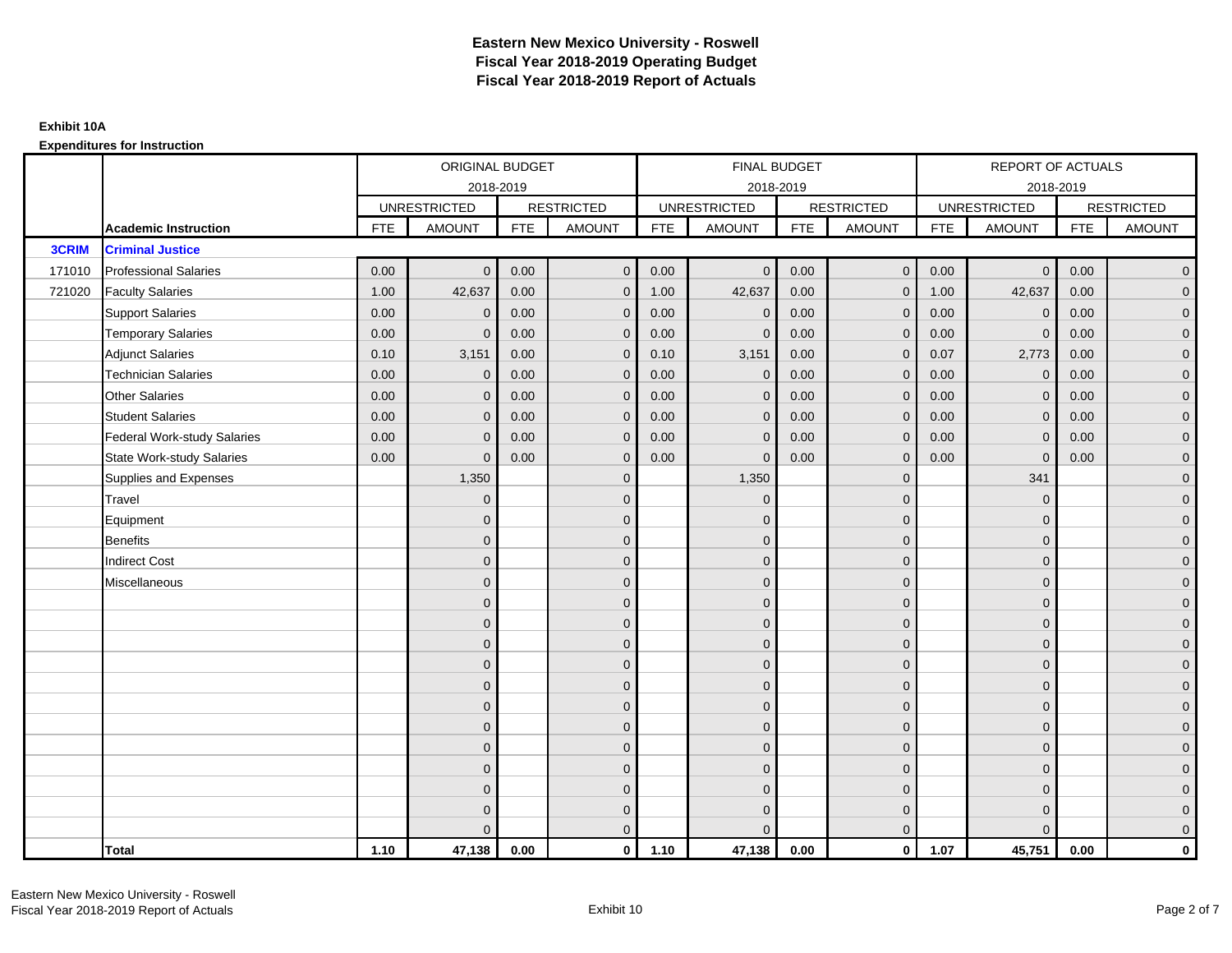|              |                                    |            | ORIGINAL BUDGET     |            |                   |            | <b>FINAL BUDGET</b> |            |                   |            | REPORT OF ACTUALS   |            |                     |
|--------------|------------------------------------|------------|---------------------|------------|-------------------|------------|---------------------|------------|-------------------|------------|---------------------|------------|---------------------|
|              |                                    |            | 2018-2019           |            |                   |            | 2018-2019           |            |                   |            | 2018-2019           |            |                     |
|              |                                    |            | <b>UNRESTRICTED</b> |            | <b>RESTRICTED</b> |            | <b>UNRESTRICTED</b> |            | <b>RESTRICTED</b> |            | <b>UNRESTRICTED</b> |            | <b>RESTRICTED</b>   |
|              | <b>Academic Instruction</b>        | <b>FTE</b> | <b>AMOUNT</b>       | <b>FTE</b> | <b>AMOUNT</b>     | <b>FTE</b> | <b>AMOUNT</b>       | <b>FTE</b> | <b>AMOUNT</b>     | <b>FTE</b> | <b>AMOUNT</b>       | <b>FTE</b> | <b>AMOUNT</b>       |
| <b>3CRIM</b> | <b>Criminal Justice</b>            |            |                     |            |                   |            |                     |            |                   |            |                     |            |                     |
| 171010       | <b>Professional Salaries</b>       | 0.00       | $\Omega$            | 0.00       | $\mathbf 0$       | 0.00       | $\overline{0}$      | 0.00       | $\overline{0}$    | 0.00       | $\overline{0}$      | 0.00       | $\overline{0}$      |
| 721020       | <b>Faculty Salaries</b>            | 1.00       | 42,637              | 0.00       | $\mathbf 0$       | 1.00       | 42,637              | 0.00       | $\mathbf{0}$      | 1.00       | 42,637              | 0.00       | $\overline{0}$      |
|              | <b>Support Salaries</b>            | 0.00       | $\Omega$            | 0.00       | $\overline{0}$    | 0.00       | $\mathbf{0}$        | 0.00       | $\Omega$          | 0.00       | $\mathbf 0$         | 0.00       | $\overline{0}$      |
|              | <b>Temporary Salaries</b>          | 0.00       | $\mathbf{0}$        | 0.00       | $\mathbf 0$       | 0.00       | $\mathbf{0}$        | 0.00       | $\Omega$          | 0.00       | $\mathbf 0$         | 0.00       | $\overline{0}$      |
|              | <b>Adjunct Salaries</b>            | 0.10       | 3,151               | 0.00       | $\overline{0}$    | 0.10       | 3,151               | 0.00       | $\mathbf{0}$      | 0.07       | 2,773               | 0.00       | $\overline{0}$      |
|              | <b>Technician Salaries</b>         | 0.00       | $\Omega$            | 0.00       | $\mathbf{0}$      | 0.00       | $\mathbf{0}$        | 0.00       | $\Omega$          | 0.00       | $\mathbf 0$         | 0.00       | $\mathbf{0}$        |
|              | <b>Other Salaries</b>              | 0.00       | $\mathbf{0}$        | 0.00       | $\overline{0}$    | 0.00       | $\Omega$            | 0.00       | $\Omega$          | 0.00       | $\mathbf 0$         | 0.00       | $\overline{0}$      |
|              | <b>Student Salaries</b>            | 0.00       | $\overline{0}$      | 0.00       | $\mathbf 0$       | 0.00       | $\mathbf 0$         | 0.00       | $\mathbf 0$       | 0.00       | $\mathbf 0$         | 0.00       | $\mathsf{O}\xspace$ |
|              | <b>Federal Work-study Salaries</b> | 0.00       | $\mathbf{0}$        | 0.00       | $\mathbf 0$       | 0.00       | $\mathbf{0}$        | 0.00       | $\Omega$          | 0.00       | $\mathbf 0$         | 0.00       | $\overline{0}$      |
|              | State Work-study Salaries          | 0.00       | $\Omega$            | 0.00       | $\overline{0}$    | 0.00       | $\mathbf{0}$        | 0.00       | $\mathbf{0}$      | 0.00       | $\mathbf{0}$        | 0.00       | $\overline{0}$      |
|              | Supplies and Expenses              |            | 1,350               |            | $\mathbf 0$       |            | 1,350               |            | $\mathbf{0}$      |            | 341                 |            | $\overline{0}$      |
|              | Travel                             |            | $\Omega$            |            | $\mathbf 0$       |            | $\mathbf{0}$        |            | $\mathbf{0}$      |            | $\mathbf{0}$        |            | $\overline{0}$      |
|              | Equipment                          |            | $\Omega$            |            | $\mathbf 0$       |            | $\mathbf{0}$        |            | $\mathbf{0}$      |            | $\mathbf{0}$        |            | $\overline{0}$      |
|              | <b>Benefits</b>                    |            | $\mathbf{0}$        |            | $\mathbf 0$       |            | $\mathbf{0}$        |            | $\mathbf 0$       |            | $\mathbf{0}$        |            | $\overline{0}$      |
|              | <b>Indirect Cost</b>               |            | $\Omega$            |            | $\mathbf 0$       |            | $\Omega$            |            | $\mathbf{0}$      |            | $\mathbf{0}$        |            | $\overline{0}$      |
|              | Miscellaneous                      |            | $\Omega$            |            | $\overline{0}$    |            | $\Omega$            |            | $\mathbf{0}$      |            | $\Omega$            |            | $\overline{0}$      |
|              |                                    |            | $\mathbf{0}$        |            | $\mathbf 0$       |            | $\mathbf{0}$        |            | $\mathbf 0$       |            | $\mathbf{0}$        |            | $\overline{0}$      |
|              |                                    |            | $\Omega$            |            | $\mathbf 0$       |            | $\mathbf{0}$        |            | $\mathbf{0}$      |            | $\mathbf{0}$        |            | $\overline{0}$      |
|              |                                    |            | $\Omega$            |            | $\mathbf 0$       |            | $\Omega$            |            | $\mathbf 0$       |            | $\mathbf{0}$        |            | $\overline{0}$      |
|              |                                    |            | $\Omega$            |            | $\overline{0}$    |            | $\Omega$            |            | $\mathbf{0}$      |            | $\Omega$            |            | $\overline{0}$      |
|              |                                    |            | $\mathbf{0}$        |            | $\mathbf 0$       |            | $\mathbf{0}$        |            | $\mathbf 0$       |            | $\mathbf{0}$        |            | $\mathsf{O}\xspace$ |
|              |                                    |            | $\Omega$            |            | $\mathbf 0$       |            | $\mathbf{0}$        |            | $\mathbf 0$       |            | $\mathbf{0}$        |            | $\overline{0}$      |
|              |                                    |            | $\Omega$            |            | $\overline{0}$    |            | $\Omega$            |            | $\mathbf{0}$      |            | $\mathbf{0}$        |            | $\overline{0}$      |
|              |                                    |            | $\Omega$            |            | $\mathbf 0$       |            | $\Omega$            |            | $\Omega$          |            | $\Omega$            |            | $\overline{0}$      |
|              |                                    |            | $\Omega$            |            | $\mathbf 0$       |            | $\mathbf{0}$        |            | $\mathbf 0$       |            | $\mathbf{0}$        |            | $\mathsf{O}\xspace$ |
|              |                                    |            | $\mathbf{0}$        |            | $\mathbf 0$       |            | $\mathbf{0}$        |            | $\mathbf{0}$      |            | $\mathbf{0}$        |            | $\overline{0}$      |
|              |                                    |            | $\Omega$            |            | $\mathbf 0$       |            | $\mathbf{0}$        |            | $\mathbf 0$       |            | $\mathbf{0}$        |            | $\overline{0}$      |
|              |                                    |            |                     |            | $\mathbf{0}$      |            | $\Omega$            |            | $\Omega$          |            | $\Omega$            |            | $\mathbf{0}$        |
|              | <b>Total</b>                       | 1.10       | 47,138              | 0.00       | $\mathbf{0}$      | 1.10       | 47,138              | 0.00       | $\mathbf{0}$      | 1.07       | 45,751              | 0.00       | $\mathbf{0}$        |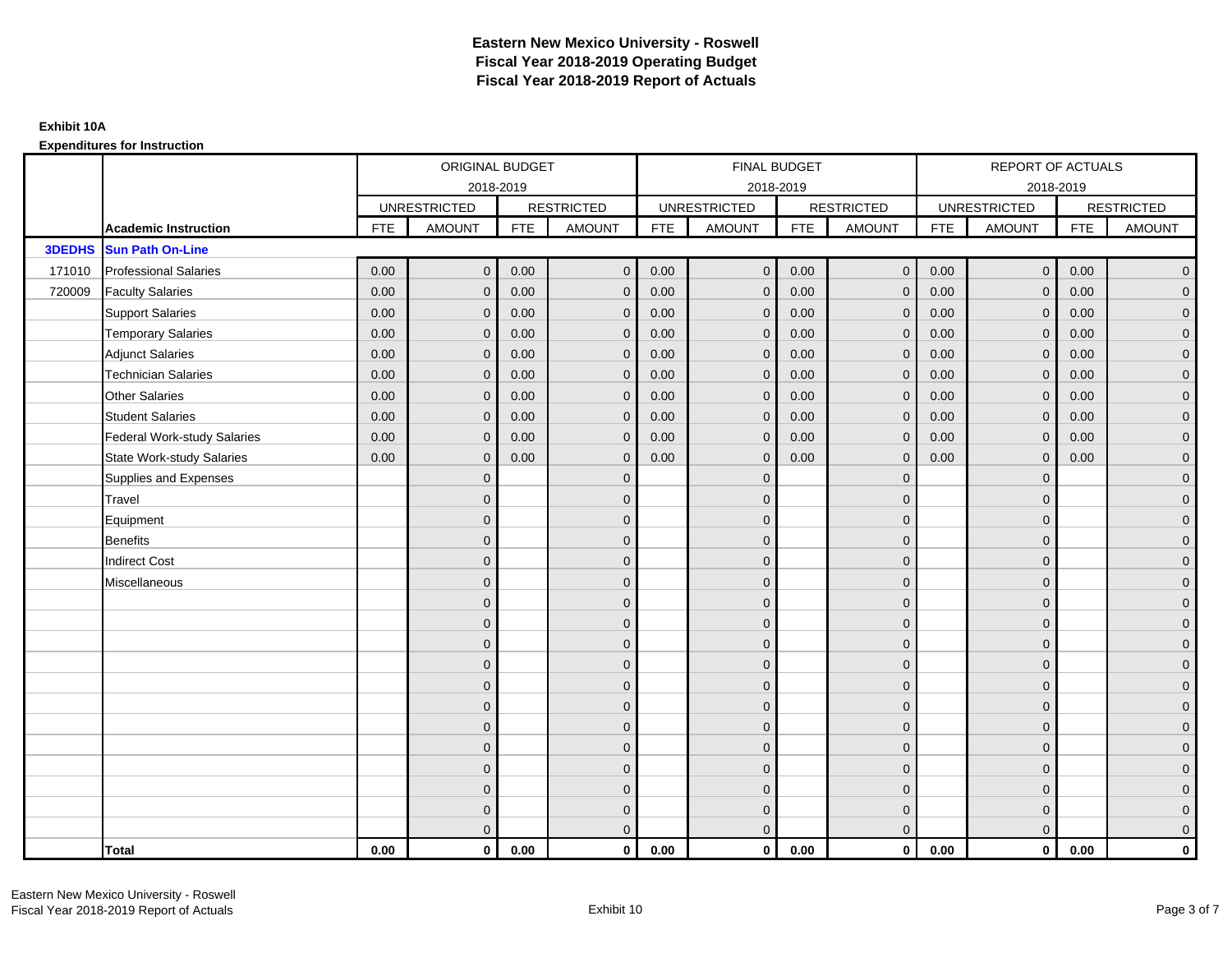|               |                                    |            | ORIGINAL BUDGET     |            |                   |            | <b>FINAL BUDGET</b> |            |                   |            | REPORT OF ACTUALS   |            |                   |
|---------------|------------------------------------|------------|---------------------|------------|-------------------|------------|---------------------|------------|-------------------|------------|---------------------|------------|-------------------|
|               |                                    |            | 2018-2019           |            |                   |            | 2018-2019           |            |                   |            | 2018-2019           |            |                   |
|               |                                    |            | <b>UNRESTRICTED</b> |            | <b>RESTRICTED</b> |            | <b>UNRESTRICTED</b> |            | <b>RESTRICTED</b> |            | <b>UNRESTRICTED</b> |            | <b>RESTRICTED</b> |
|               | <b>Academic Instruction</b>        | <b>FTE</b> | <b>AMOUNT</b>       | <b>FTE</b> | AMOUNT            | <b>FTE</b> | <b>AMOUNT</b>       | <b>FTE</b> | <b>AMOUNT</b>     | <b>FTE</b> | <b>AMOUNT</b>       | <b>FTE</b> | <b>AMOUNT</b>     |
| <b>3DEDHS</b> | <b>Sun Path On-Line</b>            |            |                     |            |                   |            |                     |            |                   |            |                     |            |                   |
| 171010        | <b>Professional Salaries</b>       | 0.00       | $\mathbf{0}$        | 0.00       | $\mathbf{0}$      | 0.00       | $\overline{0}$      | 0.00       | $\mathbf{0}$      | 0.00       | $\overline{0}$      | 0.00       | $\overline{0}$    |
| 720009        | <b>Faculty Salaries</b>            | 0.00       | $\mathbf 0$         | 0.00       | $\mathbf 0$       | 0.00       | $\mathbf 0$         | 0.00       | $\mathbf{0}$      | 0.00       | $\overline{0}$      | 0.00       | $\overline{0}$    |
|               | <b>Support Salaries</b>            | 0.00       | $\mathbf{0}$        | 0.00       | $\mathbf 0$       | 0.00       | $\mathbf 0$         | 0.00       | $\mathbf{0}$      | 0.00       | $\overline{0}$      | 0.00       | $\overline{0}$    |
|               | <b>Temporary Salaries</b>          | 0.00       | $\mathbf{0}$        | 0.00       | $\mathbf{0}$      | 0.00       | $\mathbf{0}$        | 0.00       | $\mathbf 0$       | 0.00       | $\mathbf 0$         | 0.00       | $\overline{0}$    |
|               | <b>Adjunct Salaries</b>            | 0.00       | $\Omega$            | 0.00       | $\mathbf{0}$      | 0.00       | $\Omega$            | 0.00       | $\mathbf{0}$      | 0.00       | $\mathbf{0}$        | 0.00       | $\overline{0}$    |
|               | <b>Technician Salaries</b>         | 0.00       | $\mathbf{0}$        | 0.00       | $\mathbf{0}$      | 0.00       | $\mathbf{0}$        | 0.00       | $\mathbf{0}$      | 0.00       | $\mathbf{0}$        | 0.00       | $\mathbf{0}$      |
|               | <b>Other Salaries</b>              | 0.00       | $\mathbf{0}$        | 0.00       | $\mathbf{0}$      | 0.00       | $\mathbf{0}$        | 0.00       | $\mathbf{0}$      | 0.00       | $\overline{0}$      | 0.00       | $\overline{0}$    |
|               | <b>Student Salaries</b>            | 0.00       | $\mathbf{0}$        | 0.00       | $\mathbf{0}$      | 0.00       | $\mathbf{0}$        | 0.00       | $\mathbf{0}$      | 0.00       | $\overline{0}$      | 0.00       | $\overline{0}$    |
|               | <b>Federal Work-study Salaries</b> | 0.00       | $\mathbf 0$         | 0.00       | $\mathbf{0}$      | 0.00       | $\mathbf{0}$        | 0.00       | $\mathbf 0$       | 0.00       | $\mathbf 0$         | 0.00       | $\overline{0}$    |
|               | <b>State Work-study Salaries</b>   | 0.00       | $\mathbf{0}$        | 0.00       | $\mathbf{0}$      | 0.00       | $\mathbf{0}$        | 0.00       | $\mathbf{0}$      | 0.00       | $\mathbf 0$         | 0.00       | $\overline{0}$    |
|               | Supplies and Expenses              |            | $\Omega$            |            | $\mathbf{0}$      |            | $\Omega$            |            | $\mathbf{0}$      |            | $\mathbf 0$         |            | $\overline{0}$    |
|               | Travel                             |            | $\Omega$            |            | $\mathbf 0$       |            | $\Omega$            |            | $\mathbf{0}$      |            | $\mathbf{0}$        |            | $\overline{0}$    |
|               | Equipment                          |            | $\Omega$            |            | $\mathbf 0$       |            | $\mathbf{0}$        |            | $\mathbf 0$       |            | $\mathbf{0}$        |            | $\overline{0}$    |
|               | <b>Benefits</b>                    |            | $\overline{0}$      |            | $\mathbf{0}$      |            | $\Omega$            |            | $\mathbf 0$       |            | $\mathbf{0}$        |            | $\overline{0}$    |
|               | <b>Indirect Cost</b>               |            | $\Omega$            |            | $\mathbf{0}$      |            | $\Omega$            |            | $\mathbf{0}$      |            | $\Omega$            |            | $\overline{0}$    |
|               | Miscellaneous                      |            | $\Omega$            |            | $\mathbf 0$       |            | $\mathbf{0}$        |            | $\mathbf 0$       |            | $\mathbf{0}$        |            | $\mathbf{0}$      |
|               |                                    |            | $\mathbf{0}$        |            | $\mathbf 0$       |            | $\Omega$            |            | $\mathbf{0}$      |            | $\mathbf{0}$        |            | $\overline{0}$    |
|               |                                    |            | $\Omega$            |            | $\mathbf 0$       |            | $\mathbf{0}$        |            | $\mathbf{0}$      |            | $\mathbf{0}$        |            | $\overline{0}$    |
|               |                                    |            | $\Omega$            |            | $\mathbf 0$       |            | $\mathbf{0}$        |            | $\mathbf 0$       |            | $\mathbf{0}$        |            | $\mathbf{0}$      |
|               |                                    |            | $\Omega$            |            | $\mathbf 0$       |            | $\Omega$            |            | $\mathbf{0}$      |            | $\mathbf{0}$        |            | $\mathbf{0}$      |
|               |                                    |            | $\Omega$            |            | $\mathbf{0}$      |            | $\Omega$            |            | $\mathbf{0}$      |            | $\Omega$            |            | $\mathbf{0}$      |
|               |                                    |            | $\Omega$            |            | $\mathbf 0$       |            | $\Omega$            |            | $\mathbf{0}$      |            | $\Omega$            |            | $\overline{0}$    |
|               |                                    |            | $\Omega$            |            | $\mathbf 0$       |            | $\mathbf{0}$        |            | $\mathbf 0$       |            | $\mathbf{0}$        |            | $\mathbf{0}$      |
|               |                                    |            | $\Omega$            |            | $\mathbf 0$       |            | $\Omega$            |            | $\mathbf 0$       |            | $\mathbf{0}$        |            | $\overline{0}$    |
|               |                                    |            | $\Omega$            |            | $\mathbf{0}$      |            | $\Omega$            |            | $\mathbf{0}$      |            | $\Omega$            |            | $\overline{0}$    |
|               |                                    |            | $\Omega$            |            | $\mathbf 0$       |            | $\mathbf{0}$        |            | $\mathbf 0$       |            | $\mathbf{0}$        |            | $\mathbf{0}$      |
|               |                                    |            | $\mathbf{0}$        |            | $\mathbf 0$       |            | $\mathbf{0}$        |            | $\mathbf 0$       |            | $\mathbf{0}$        |            | $\mathbf{0}$      |
|               |                                    |            | $\Omega$            |            | $\mathbf{0}$      |            | $\Omega$            |            | $\mathbf{0}$      |            | $\Omega$            |            | $\overline{0}$    |
|               | <b>Total</b>                       | 0.00       | $\mathbf{0}$        | 0.00       | $\mathbf{0}$      | 0.00       | $\mathbf{0}$        | 0.00       | $\mathbf{0}$      | 0.00       | $\mathbf{0}$        | 0.00       | $\mathbf 0$       |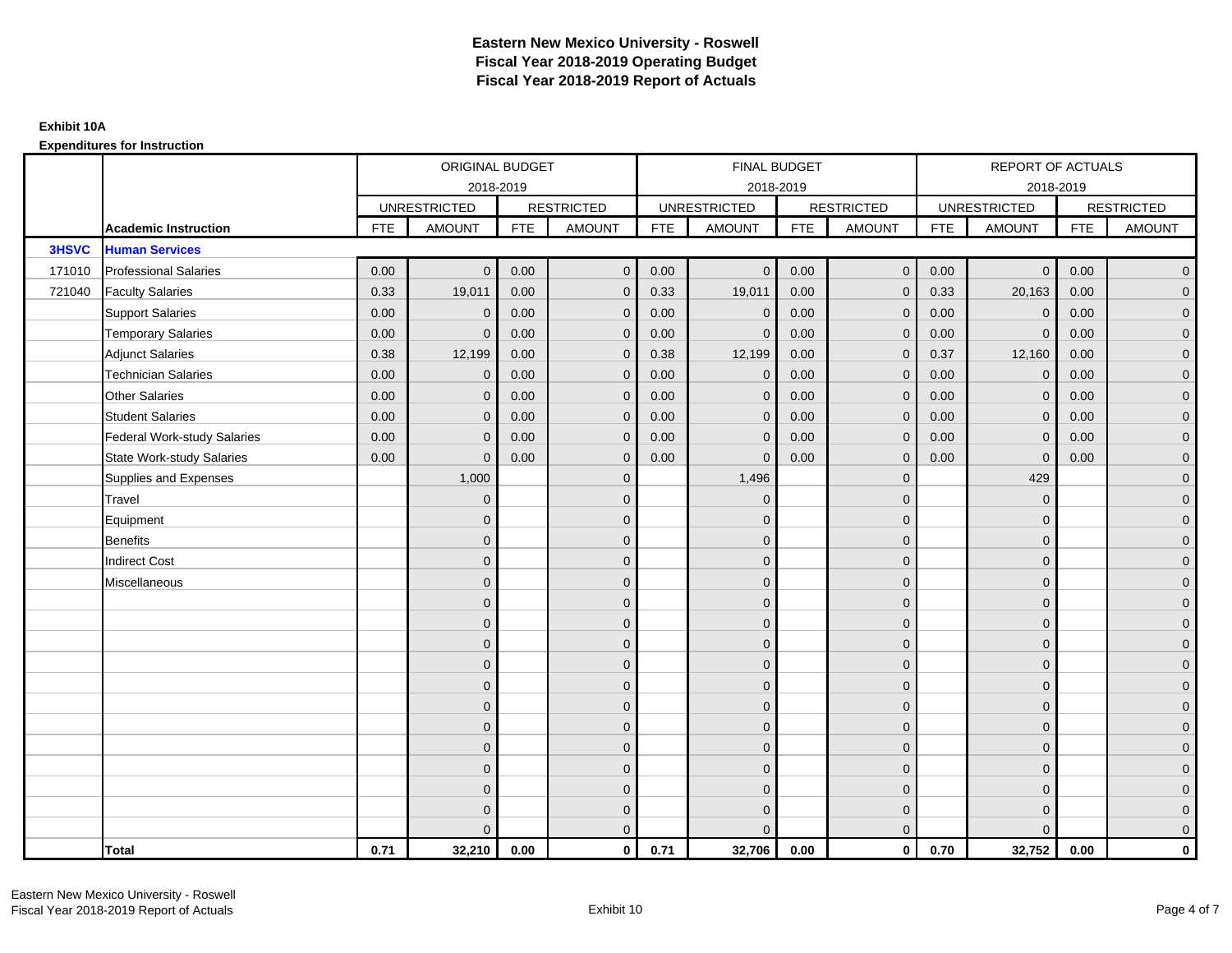|              |                                    |            | ORIGINAL BUDGET     |            |                   |            | <b>FINAL BUDGET</b> |            |                   |            | REPORT OF ACTUALS   |            |                     |
|--------------|------------------------------------|------------|---------------------|------------|-------------------|------------|---------------------|------------|-------------------|------------|---------------------|------------|---------------------|
|              |                                    |            |                     | 2018-2019  |                   |            | 2018-2019           |            |                   |            | 2018-2019           |            |                     |
|              |                                    |            | <b>UNRESTRICTED</b> |            | <b>RESTRICTED</b> |            | <b>UNRESTRICTED</b> |            | <b>RESTRICTED</b> |            | <b>UNRESTRICTED</b> |            | <b>RESTRICTED</b>   |
|              | <b>Academic Instruction</b>        | <b>FTE</b> | <b>AMOUNT</b>       | <b>FTE</b> | <b>AMOUNT</b>     | <b>FTE</b> | <b>AMOUNT</b>       | <b>FTE</b> | <b>AMOUNT</b>     | <b>FTE</b> | <b>AMOUNT</b>       | <b>FTE</b> | <b>AMOUNT</b>       |
| <b>3HSVC</b> | <b>Human Services</b>              |            |                     |            |                   |            |                     |            |                   |            |                     |            |                     |
| 171010       | <b>Professional Salaries</b>       | 0.00       | $\Omega$            | 0.00       | $\mathbf 0$       | 0.00       | $\overline{0}$      | 0.00       | $\mathbf{0}$      | 0.00       | $\overline{0}$      | 0.00       | $\overline{0}$      |
| 721040       | <b>Faculty Salaries</b>            | 0.33       | 19,011              | 0.00       | $\mathbf 0$       | 0.33       | 19,011              | 0.00       | $\Omega$          | 0.33       | 20,163              | 0.00       | $\overline{0}$      |
|              | <b>Support Salaries</b>            | 0.00       | $\Omega$            | 0.00       | $\mathbf{0}$      | 0.00       | $\mathbf{0}$        | 0.00       | $\Omega$          | 0.00       | $\mathbf 0$         | 0.00       | $\overline{0}$      |
|              | <b>Temporary Salaries</b>          | 0.00       | $\mathbf{0}$        | 0.00       | $\mathbf 0$       | 0.00       | $\mathbf{0}$        | 0.00       | $\Omega$          | 0.00       | $\mathbf 0$         | 0.00       | $\overline{0}$      |
|              | <b>Adjunct Salaries</b>            | 0.38       | 12,199              | 0.00       | $\overline{0}$    | 0.38       | 12,199              | 0.00       | $\mathbf{0}$      | 0.37       | 12,160              | 0.00       | $\overline{0}$      |
|              | <b>Technician Salaries</b>         | 0.00       | $\Omega$            | 0.00       | $\mathbf{0}$      | 0.00       | $\Omega$            | 0.00       | $\Omega$          | 0.00       | $\mathbf 0$         | 0.00       | $\mathbf{0}$        |
|              | <b>Other Salaries</b>              | 0.00       | $\mathbf{0}$        | 0.00       | $\overline{0}$    | 0.00       | $\Omega$            | 0.00       | $\Omega$          | 0.00       | $\mathbf 0$         | 0.00       | $\overline{0}$      |
|              | <b>Student Salaries</b>            | 0.00       | $\mathbf 0$         | 0.00       | $\mathbf 0$       | 0.00       | $\mathbf 0$         | 0.00       | $\mathbf 0$       | 0.00       | $\mathbf 0$         | 0.00       | $\mathsf{O}\xspace$ |
|              | <b>Federal Work-study Salaries</b> | 0.00       | $\mathbf{0}$        | 0.00       | $\mathbf 0$       | 0.00       | $\mathbf{0}$        | 0.00       | $\Omega$          | 0.00       | $\mathbf 0$         | 0.00       | $\overline{0}$      |
|              | State Work-study Salaries          | 0.00       | $\Omega$            | 0.00       | $\overline{0}$    | 0.00       | $\mathbf{0}$        | 0.00       | $\mathbf{0}$      | 0.00       | $\mathbf{0}$        | 0.00       | $\overline{0}$      |
|              | Supplies and Expenses              |            | 1,000               |            | $\mathbf 0$       |            | 1,496               |            | $\mathbf{0}$      |            | 429                 |            | $\overline{0}$      |
|              | Travel                             |            | $\Omega$            |            | $\mathbf 0$       |            | $\mathbf{0}$        |            | $\mathbf{0}$      |            | $\mathbf{0}$        |            | $\overline{0}$      |
|              | Equipment                          |            | $\Omega$            |            | $\mathbf 0$       |            | $\mathbf{0}$        |            | $\mathbf{0}$      |            | $\mathbf{0}$        |            | $\overline{0}$      |
|              | <b>Benefits</b>                    |            | $\mathbf{0}$        |            | $\mathbf 0$       |            | $\mathbf{0}$        |            | $\mathbf 0$       |            | $\mathbf{0}$        |            | $\overline{0}$      |
|              | <b>Indirect Cost</b>               |            | $\Omega$            |            | $\mathbf 0$       |            | $\Omega$            |            | $\mathbf{0}$      |            | $\mathbf{0}$        |            | $\overline{0}$      |
|              | Miscellaneous                      |            | $\Omega$            |            | $\overline{0}$    |            | $\Omega$            |            | $\mathbf{0}$      |            | $\Omega$            |            | $\overline{0}$      |
|              |                                    |            | $\mathbf{0}$        |            | $\mathbf 0$       |            | $\mathbf{0}$        |            | $\mathbf 0$       |            | $\mathbf{0}$        |            | $\overline{0}$      |
|              |                                    |            | $\Omega$            |            | $\mathbf 0$       |            | $\mathbf{0}$        |            | $\mathbf{0}$      |            | $\mathbf{0}$        |            | $\overline{0}$      |
|              |                                    |            | $\Omega$            |            | $\mathbf 0$       |            | $\Omega$            |            | $\mathbf 0$       |            | $\mathbf{0}$        |            | $\overline{0}$      |
|              |                                    |            | $\Omega$            |            | $\overline{0}$    |            | $\Omega$            |            | $\mathbf{0}$      |            | $\Omega$            |            | $\overline{0}$      |
|              |                                    |            | $\mathbf{0}$        |            | $\mathbf 0$       |            | $\mathbf{0}$        |            | $\mathbf 0$       |            | $\mathbf{0}$        |            | $\mathsf{O}\xspace$ |
|              |                                    |            | $\Omega$            |            | $\mathbf 0$       |            | $\mathbf{0}$        |            | $\mathbf 0$       |            | $\mathbf{0}$        |            | $\overline{0}$      |
|              |                                    |            | $\Omega$            |            | $\overline{0}$    |            | $\Omega$            |            | $\mathbf{0}$      |            | $\mathbf{0}$        |            | $\overline{0}$      |
|              |                                    |            | $\Omega$            |            | $\mathbf 0$       |            | $\Omega$            |            | $\Omega$          |            | $\Omega$            |            | $\overline{0}$      |
|              |                                    |            | $\Omega$            |            | $\mathbf 0$       |            | $\mathbf{0}$        |            | $\mathbf 0$       |            | $\mathbf{0}$        |            | $\mathsf{O}\xspace$ |
|              |                                    |            | $\mathbf{0}$        |            | $\mathbf 0$       |            | $\mathbf{0}$        |            | $\mathbf{0}$      |            | $\mathbf{0}$        |            | $\overline{0}$      |
|              |                                    |            | $\Omega$            |            | $\mathbf 0$       |            | $\mathbf{0}$        |            | $\mathbf 0$       |            | $\mathbf{0}$        |            | $\overline{0}$      |
|              |                                    |            |                     |            | $\mathbf{0}$      |            | $\Omega$            |            | $\Omega$          |            | $\Omega$            |            | $\mathbf{0}$        |
|              | <b>Total</b>                       | 0.71       | 32,210              | 0.00       | $\mathbf{0}$      | 0.71       | 32,706              | 0.00       | $\mathbf{0}$      | 0.70       | 32,752              | 0.00       | $\mathbf{0}$        |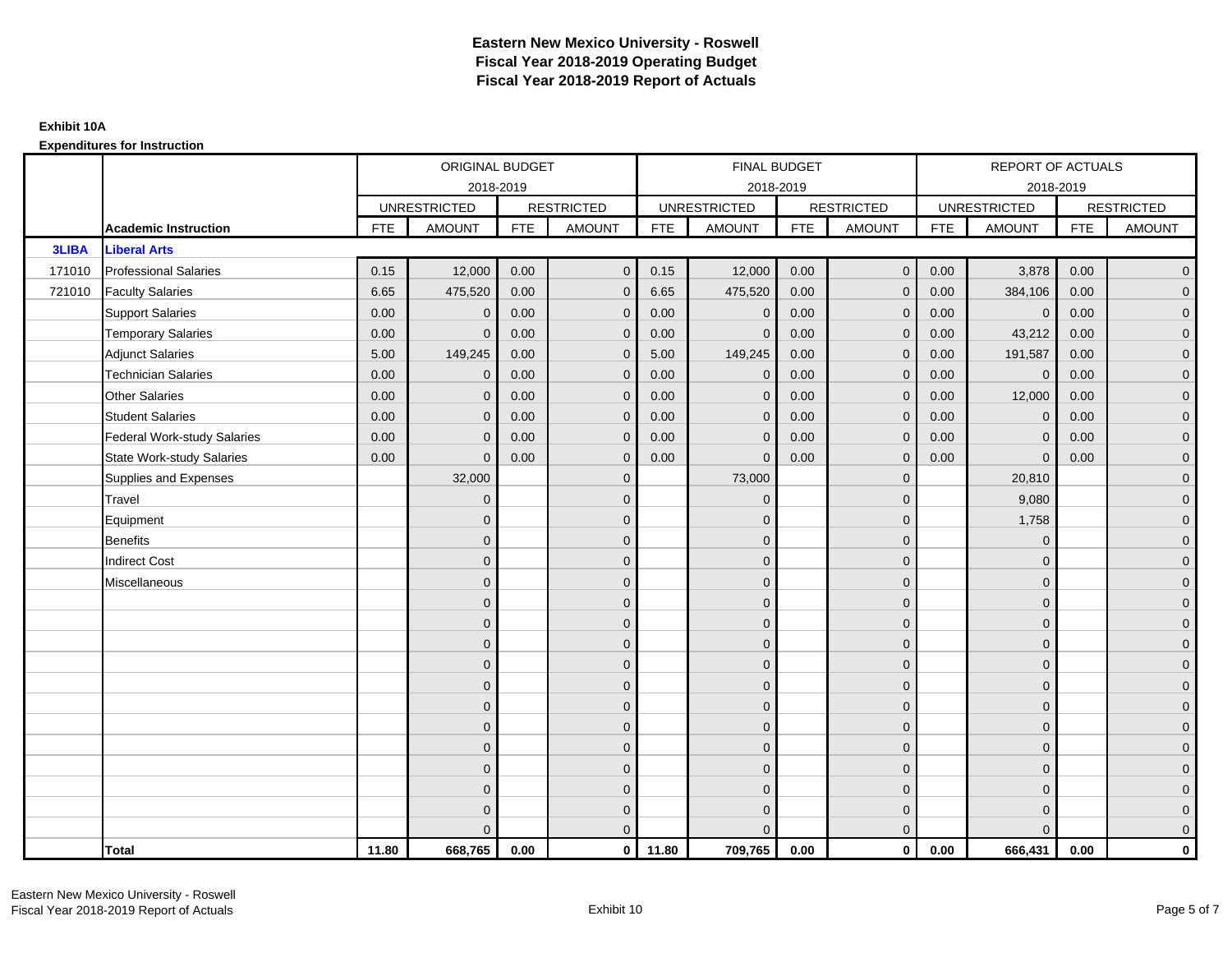|              |                                    |            | ORIGINAL BUDGET     |            |                   |            | <b>FINAL BUDGET</b> |            |                   |            | REPORT OF ACTUALS   |            |                     |
|--------------|------------------------------------|------------|---------------------|------------|-------------------|------------|---------------------|------------|-------------------|------------|---------------------|------------|---------------------|
|              |                                    |            | 2018-2019           |            |                   |            | 2018-2019           |            |                   |            | 2018-2019           |            |                     |
|              |                                    |            | <b>UNRESTRICTED</b> |            | <b>RESTRICTED</b> |            | <b>UNRESTRICTED</b> |            | <b>RESTRICTED</b> |            | <b>UNRESTRICTED</b> |            | <b>RESTRICTED</b>   |
|              | <b>Academic Instruction</b>        | <b>FTE</b> | <b>AMOUNT</b>       | <b>FTE</b> | <b>AMOUNT</b>     | <b>FTE</b> | <b>AMOUNT</b>       | <b>FTE</b> | <b>AMOUNT</b>     | <b>FTE</b> | <b>AMOUNT</b>       | <b>FTE</b> | <b>AMOUNT</b>       |
| <b>3LIBA</b> | <b>Liberal Arts</b>                |            |                     |            |                   |            |                     |            |                   |            |                     |            |                     |
| 171010       | <b>Professional Salaries</b>       | 0.15       | 12,000              | 0.00       | $\mathbf{0}$      | 0.15       | 12,000              | 0.00       | $\overline{0}$    | 0.00       | 3,878               | 0.00       | $\overline{0}$      |
| 721010       | <b>Faculty Salaries</b>            | 6.65       | 475,520             | 0.00       | $\mathbf{0}$      | 6.65       | 475,520             | 0.00       | $\Omega$          | 0.00       | 384,106             | 0.00       | $\overline{0}$      |
|              | <b>Support Salaries</b>            | 0.00       | $\Omega$            | 0.00       | $\mathbf{0}$      | 0.00       | $\mathbf 0$         | 0.00       | $\mathbf{0}$      | 0.00       | $\overline{0}$      | 0.00       | $\overline{0}$      |
|              | <b>Temporary Salaries</b>          | 0.00       | $\mathbf{0}$        | 0.00       | $\mathbf 0$       | 0.00       | $\mathbf{0}$        | 0.00       | 0                 | 0.00       | 43,212              | 0.00       | $\mathbf{0}$        |
|              | <b>Adjunct Salaries</b>            | 5.00       | 149,245             | 0.00       | $\mathbf{0}$      | 5.00       | 149,245             | 0.00       | $\mathbf{0}$      | 0.00       | 191,587             | 0.00       | $\overline{0}$      |
|              | <b>Technician Salaries</b>         | 0.00       | $\Omega$            | 0.00       | $\Omega$          | 0.00       | $\mathbf{0}$        | 0.00       | $\mathbf{0}$      | 0.00       | $\mathbf 0$         | 0.00       | $\mathbf{0}$        |
|              | <b>Other Salaries</b>              | 0.00       | $\mathbf{0}$        | 0.00       | $\mathbf{0}$      | 0.00       | $\mathbf{0}$        | 0.00       | $\mathbf{0}$      | 0.00       | 12,000              | 0.00       | $\overline{0}$      |
|              | <b>Student Salaries</b>            | 0.00       | $\mathbf 0$         | 0.00       | $\mathbf 0$       | 0.00       | $\mathbf 0$         | 0.00       | $\mathbf 0$       | 0.00       | $\pmb{0}$           | 0.00       | $\mathsf{O}\xspace$ |
|              | <b>Federal Work-study Salaries</b> | 0.00       | $\mathbf{0}$        | 0.00       | $\mathbf{0}$      | 0.00       | $\mathbf{0}$        | 0.00       | $\mathbf 0$       | 0.00       | $\mathbf 0$         | 0.00       | $\overline{0}$      |
|              | <b>State Work-study Salaries</b>   | 0.00       | $\Omega$            | 0.00       | $\mathbf{0}$      | 0.00       | $\mathbf{0}$        | 0.00       | $\mathbf{0}$      | 0.00       | $\mathbf{0}$        | 0.00       | $\overline{0}$      |
|              | Supplies and Expenses              |            | 32,000              |            | $\mathbf{0}$      |            | 73,000              |            | $\mathbf{0}$      |            | 20,810              |            | $\overline{0}$      |
|              | Travel                             |            | $\overline{0}$      |            | $\mathbf 0$       |            | $\mathbf{0}$        |            | $\mathbf{0}$      |            | 9,080               |            | $\overline{0}$      |
|              | Equipment                          |            | $\Omega$            |            | $\mathbf{0}$      |            | $\mathbf{0}$        |            | $\mathbf 0$       |            | 1,758               |            | $\overline{0}$      |
|              | <b>Benefits</b>                    |            | 0                   |            | $\mathbf{0}$      |            | $\mathbf{0}$        |            | $\mathbf 0$       |            | $\mathbf 0$         |            | $\overline{0}$      |
|              | <b>Indirect Cost</b>               |            | $\Omega$            |            | $\mathbf{0}$      |            | $\Omega$            |            | $\mathbf{0}$      |            | $\Omega$            |            | $\overline{0}$      |
|              | Miscellaneous                      |            | $\Omega$            |            | $\mathbf{0}$      |            | $\Omega$            |            | $\mathbf{0}$      |            | $\Omega$            |            | $\overline{0}$      |
|              |                                    |            | $\mathbf{0}$        |            | $\mathbf 0$       |            | $\mathbf{0}$        |            | $\mathbf 0$       |            | $\mathbf{0}$        |            | $\overline{0}$      |
|              |                                    |            | $\Omega$            |            | $\mathbf{0}$      |            | $\mathbf{0}$        |            | $\mathbf 0$       |            | $\mathbf{0}$        |            | $\overline{0}$      |
|              |                                    |            | $\mathbf{0}$        |            | $\mathbf{0}$      |            | $\Omega$            |            | $\mathbf{0}$      |            | $\mathbf 0$         |            | $\overline{0}$      |
|              |                                    |            | $\Omega$            |            | $\mathbf{0}$      |            | $\Omega$            |            | $\mathbf{0}$      |            | $\Omega$            |            | $\overline{0}$      |
|              |                                    |            | $\overline{0}$      |            | $\mathbf 0$       |            | $\mathbf{0}$        |            | $\mathbf 0$       |            | $\mathbf{0}$        |            | $\mathsf{O}\xspace$ |
|              |                                    |            | $\Omega$            |            | $\mathbf 0$       |            | $\mathbf{0}$        |            | $\mathbf 0$       |            | $\mathbf{0}$        |            | $\overline{0}$      |
|              |                                    |            | $\Omega$            |            | $\mathbf{0}$      |            | $\Omega$            |            | $\mathbf 0$       |            | $\mathbf{0}$        |            | $\overline{0}$      |
|              |                                    |            | $\Omega$            |            | $\mathbf{0}$      |            | $\Omega$            |            | $\mathbf{0}$      |            | $\Omega$            |            | $\overline{0}$      |
|              |                                    |            | $\Omega$            |            | $\mathbf 0$       |            | $\mathbf{0}$        |            | $\mathbf 0$       |            | $\mathbf 0$         |            | $\mathsf{O}\xspace$ |
|              |                                    |            | $\mathbf{0}$        |            | $\mathbf 0$       |            | $\mathbf{0}$        |            | $\mathbf 0$       |            | $\mathbf{0}$        |            | $\overline{0}$      |
|              |                                    |            | $\Omega$            |            | $\mathbf{0}$      |            | $\mathbf{0}$        |            | $\mathbf 0$       |            | $\mathbf{0}$        |            | $\mathbf 0$         |
|              |                                    |            | U                   |            | $\mathbf{0}$      |            | $\Omega$            |            | $\Omega$          |            | $\Omega$            |            | $\mathbf{0}$        |
|              | <b>Total</b>                       | 11.80      | 668,765             | 0.00       | $\mathbf{0}$      | 11.80      | 709,765             | 0.00       | $\mathbf{0}$      | 0.00       | 666,431             | 0.00       | $\mathbf{0}$        |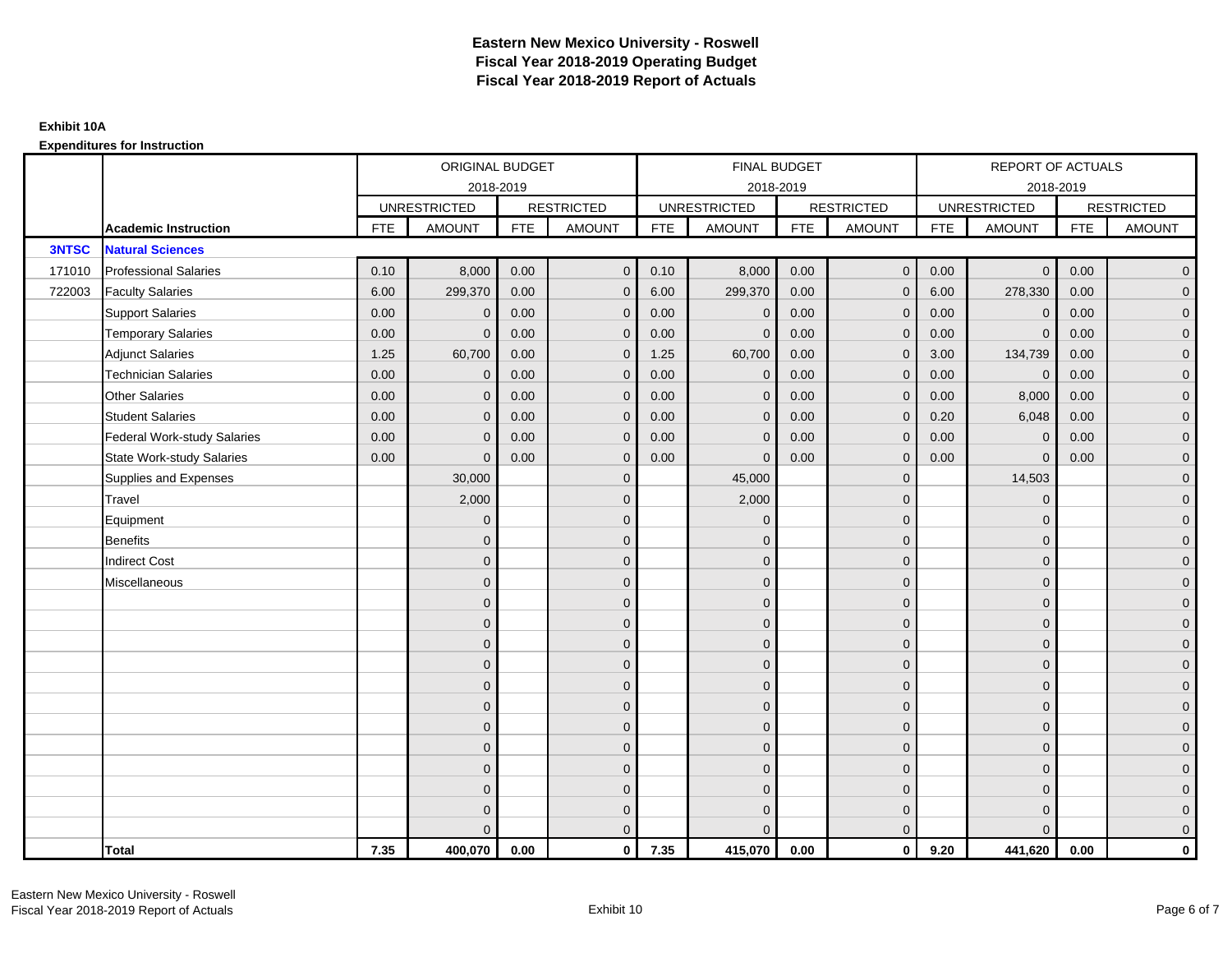|              |                                    |            | ORIGINAL BUDGET     |            |                   |            | <b>FINAL BUDGET</b> |            |                   |            | REPORT OF ACTUALS   |            |                     |
|--------------|------------------------------------|------------|---------------------|------------|-------------------|------------|---------------------|------------|-------------------|------------|---------------------|------------|---------------------|
|              |                                    |            | 2018-2019           |            |                   |            | 2018-2019           |            |                   |            | 2018-2019           |            |                     |
|              |                                    |            | <b>UNRESTRICTED</b> |            | <b>RESTRICTED</b> |            | <b>UNRESTRICTED</b> |            | <b>RESTRICTED</b> |            | <b>UNRESTRICTED</b> |            | <b>RESTRICTED</b>   |
|              | <b>Academic Instruction</b>        | <b>FTE</b> | <b>AMOUNT</b>       | <b>FTE</b> | <b>AMOUNT</b>     | <b>FTE</b> | <b>AMOUNT</b>       | <b>FTE</b> | <b>AMOUNT</b>     | <b>FTE</b> | <b>AMOUNT</b>       | <b>FTE</b> | <b>AMOUNT</b>       |
| <b>3NTSC</b> | <b>Natural Sciences</b>            |            |                     |            |                   |            |                     |            |                   |            |                     |            |                     |
| 171010       | <b>Professional Salaries</b>       | 0.10       | 8,000               | 0.00       | $\mathbf{0}$      | 0.10       | 8,000               | 0.00       | $\overline{0}$    | 0.00       | $\overline{0}$      | 0.00       | $\overline{0}$      |
| 722003       | <b>Faculty Salaries</b>            | 6.00       | 299,370             | 0.00       | $\mathbf{0}$      | 6.00       | 299,370             | 0.00       | $\Omega$          | 6.00       | 278,330             | 0.00       | $\overline{0}$      |
|              | <b>Support Salaries</b>            | 0.00       | $\Omega$            | 0.00       | $\mathbf 0$       | 0.00       | $\mathbf 0$         | 0.00       | $\mathbf{0}$      | 0.00       | $\mathbf 0$         | 0.00       | $\overline{0}$      |
|              | <b>Temporary Salaries</b>          | 0.00       | $\mathbf{0}$        | 0.00       | $\mathbf{0}$      | 0.00       | $\mathbf{0}$        | 0.00       | 0                 | 0.00       | $\mathbf{0}$        | 0.00       | $\overline{0}$      |
|              | <b>Adjunct Salaries</b>            | 1.25       | 60,700              | 0.00       | $\mathbf{0}$      | 1.25       | 60,700              | 0.00       | $\mathbf{0}$      | 3.00       | 134,739             | 0.00       | $\overline{0}$      |
|              | <b>Technician Salaries</b>         | 0.00       | $\Omega$            | 0.00       | $\Omega$          | 0.00       | $\Omega$            | 0.00       | $\Omega$          | 0.00       | $\mathbf{0}$        | 0.00       | $\overline{0}$      |
|              | <b>Other Salaries</b>              | 0.00       | $\mathbf{0}$        | 0.00       | $\mathbf 0$       | 0.00       | $\mathbf{0}$        | 0.00       | $\mathbf{0}$      | 0.00       | 8,000               | 0.00       | $\overline{0}$      |
|              | <b>Student Salaries</b>            | 0.00       | $\mathbf{0}$        | 0.00       | $\mathbf 0$       | 0.00       | $\mathbf{0}$        | 0.00       | $\mathbf 0$       | 0.20       | 6,048               | 0.00       | $\overline{0}$      |
|              | <b>Federal Work-study Salaries</b> | 0.00       | $\mathbf{0}$        | 0.00       | $\mathbf{0}$      | 0.00       | $\mathbf{0}$        | 0.00       | $\Omega$          | 0.00       | $\mathbf 0$         | 0.00       | $\overline{0}$      |
|              | <b>State Work-study Salaries</b>   | 0.00       | $\Omega$            | 0.00       | $\mathbf{0}$      | 0.00       | $\Omega$            | 0.00       | $\mathbf{0}$      | 0.00       | $\Omega$            | 0.00       | $\overline{0}$      |
|              | Supplies and Expenses              |            | 30,000              |            | $\mathbf 0$       |            | 45,000              |            | $\mathbf 0$       |            | 14,503              |            | $\mathbf{0}$        |
|              | Travel                             |            | 2,000               |            | $\mathbf 0$       |            | 2,000               |            | $\mathbf{0}$      |            | $\mathbf 0$         |            | $\mathbf{0}$        |
|              | Equipment                          |            | $\Omega$            |            | $\mathbf{0}$      |            | $\mathbf{0}$        |            | $\mathbf{0}$      |            | $\mathbf{0}$        |            | $\overline{0}$      |
|              | <b>Benefits</b>                    |            | $\Omega$            |            | $\mathbf 0$       |            | $\mathbf{0}$        |            | $\mathbf 0$       |            | $\mathbf 0$         |            | $\overline{0}$      |
|              | <b>Indirect Cost</b>               |            | $\Omega$            |            | $\mathbf 0$       |            | $\Omega$            |            | $\mathbf{0}$      |            | $\mathbf{0}$        |            | $\mathbf{0}$        |
|              | Miscellaneous                      |            | $\Omega$            |            | $\mathbf 0$       |            | $\Omega$            |            | $\mathbf{0}$      |            | $\mathbf{0}$        |            | $\mathbf{0}$        |
|              |                                    |            | $\overline{0}$      |            | $\mathbf 0$       |            | $\Omega$            |            | $\mathbf{0}$      |            | $\Omega$            |            | $\overline{0}$      |
|              |                                    |            | $\Omega$            |            | $\mathbf 0$       |            | $\mathbf{0}$        |            | $\mathbf 0$       |            | $\mathbf{0}$        |            | $\mathsf{O}\xspace$ |
|              |                                    |            | $\Omega$            |            | $\mathbf 0$       |            | $\mathbf{0}$        |            | $\mathbf 0$       |            | $\mathbf{0}$        |            | $\overline{0}$      |
|              |                                    |            | $\Omega$            |            | $\mathbf{0}$      |            | $\mathbf{0}$        |            | $\mathbf{0}$      |            | $\mathbf 0$         |            | $\mathsf{O}\xspace$ |
|              |                                    |            | $\Omega$            |            | $\mathbf{0}$      |            | $\Omega$            |            | $\mathbf{0}$      |            | $\Omega$            |            | $\overline{0}$      |
|              |                                    |            | $\mathbf{0}$        |            | $\mathbf 0$       |            | $\mathbf{0}$        |            | $\mathbf 0$       |            | $\mathbf{0}$        |            | $\overline{0}$      |
|              |                                    |            | $\Omega$            |            | $\mathbf{0}$      |            | $\Omega$            |            | $\mathbf{0}$      |            | $\mathbf{0}$        |            | $\overline{0}$      |
|              |                                    |            | $\mathbf{0}$        |            | $\mathbf{0}$      |            | $\Omega$            |            | $\mathbf{0}$      |            | $\mathbf 0$         |            | $\overline{0}$      |
|              |                                    |            | $\Omega$            |            | $\mathbf{0}$      |            | $\Omega$            |            | $\mathbf{0}$      |            | $\Omega$            |            | $\mathsf{O}\xspace$ |
|              |                                    |            | $\overline{0}$      |            | $\mathbf 0$       |            | $\mathbf{0}$        |            | $\mathbf 0$       |            | $\mathbf{0}$        |            | $\mathbf{0}$        |
|              |                                    |            | $\Omega$            |            | $\mathbf 0$       |            | $\mathbf{0}$        |            | $\mathbf 0$       |            | $\mathbf{0}$        |            | $\overline{0}$      |
|              |                                    |            | U                   |            | $\mathbf{0}$      |            | $\Omega$            |            | $\mathbf{0}$      |            | $\Omega$            |            | $\mathbf 0$         |
|              | <b>Total</b>                       | 7.35       | 400,070             | 0.00       | $\mathbf{0}$      | 7.35       | 415,070             | 0.00       | $\mathbf{0}$      | 9.20       | 441,620             | 0.00       | $\mathbf 0$         |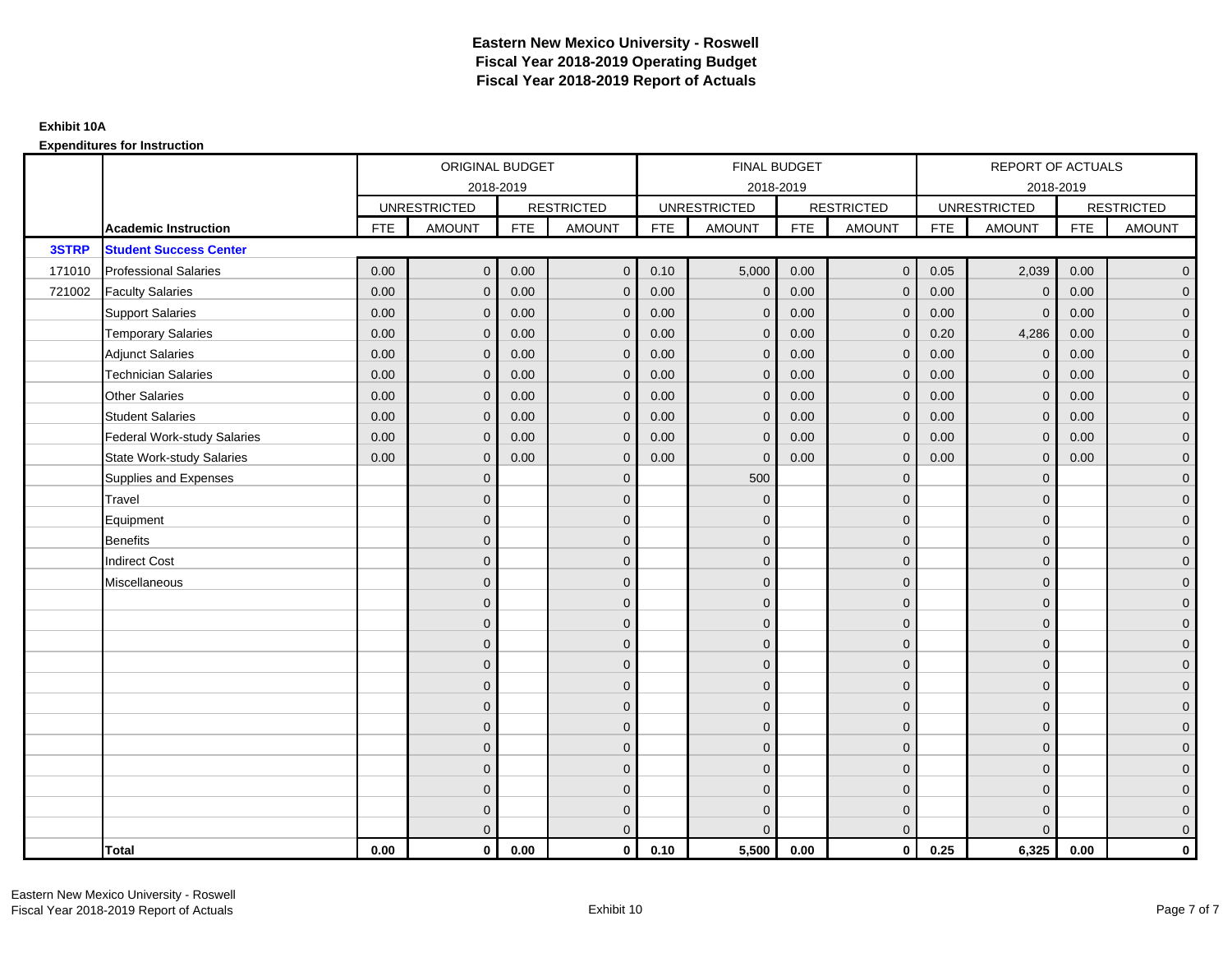|        |                                    |            | ORIGINAL BUDGET     |            |                   |            | FINAL BUDGET        |            |                   |            | <b>REPORT OF ACTUALS</b> |            |                     |
|--------|------------------------------------|------------|---------------------|------------|-------------------|------------|---------------------|------------|-------------------|------------|--------------------------|------------|---------------------|
|        |                                    |            | 2018-2019           |            |                   |            | 2018-2019           |            |                   |            | 2018-2019                |            |                     |
|        |                                    |            | <b>UNRESTRICTED</b> |            | <b>RESTRICTED</b> |            | <b>UNRESTRICTED</b> |            | <b>RESTRICTED</b> |            | <b>UNRESTRICTED</b>      |            | <b>RESTRICTED</b>   |
|        | <b>Academic Instruction</b>        | <b>FTE</b> | <b>AMOUNT</b>       | <b>FTE</b> | <b>AMOUNT</b>     | <b>FTE</b> | <b>AMOUNT</b>       | <b>FTE</b> | <b>AMOUNT</b>     | <b>FTE</b> | <b>AMOUNT</b>            | <b>FTE</b> | <b>AMOUNT</b>       |
| 3STRP  | <b>Student Success Center</b>      |            |                     |            |                   |            |                     |            |                   |            |                          |            |                     |
| 171010 | <b>Professional Salaries</b>       | 0.00       | $\mathbf{0}$        | 0.00       | $\overline{0}$    | 0.10       | 5,000               | 0.00       | $\mathbf{0}$      | 0.05       | 2,039                    | 0.00       | $\overline{0}$      |
| 721002 | <b>Faculty Salaries</b>            | 0.00       | $\mathbf{0}$        | 0.00       | $\mathbf{0}$      | 0.00       | $\mathbf{0}$        | 0.00       | $\Omega$          | 0.00       | $\mathbf 0$              | 0.00       | $\overline{0}$      |
|        | <b>Support Salaries</b>            | 0.00       | $\mathbf 0$         | 0.00       | $\mathbf 0$       | 0.00       | $\mathbf 0$         | 0.00       | $\mathbf 0$       | 0.00       | $\overline{0}$           | 0.00       | $\overline{0}$      |
|        | <b>Temporary Salaries</b>          | 0.00       | $\mathbf{0}$        | 0.00       | $\mathbf{0}$      | 0.00       | $\mathbf{0}$        | 0.00       | $\mathbf{0}$      | 0.20       | 4,286                    | 0.00       | $\overline{0}$      |
|        | <b>Adjunct Salaries</b>            | 0.00       | $\mathbf{0}$        | 0.00       | $\mathbf{0}$      | 0.00       | $\mathbf{0}$        | 0.00       | $\mathbf{0}$      | 0.00       | $\mathbf{0}$             | 0.00       | $\overline{0}$      |
|        | <b>Technician Salaries</b>         | 0.00       | $\Omega$            | 0.00       | $\Omega$          | 0.00       | $\Omega$            | 0.00       | $\mathbf{0}$      | 0.00       | $\mathbf{0}$             | 0.00       | $\overline{0}$      |
|        | <b>Other Salaries</b>              | 0.00       | $\mathbf 0$         | 0.00       | $\mathbf 0$       | 0.00       | $\mathbf{0}$        | 0.00       | $\mathbf{0}$      | 0.00       | $\overline{0}$           | 0.00       | $\overline{0}$      |
|        | <b>Student Salaries</b>            | 0.00       | $\mathbf{0}$        | 0.00       | $\mathbf 0$       | 0.00       | $\mathbf{0}$        | 0.00       | $\mathbf 0$       | 0.00       | $\overline{0}$           | 0.00       | $\overline{0}$      |
|        | <b>Federal Work-study Salaries</b> | 0.00       | $\mathbf{0}$        | 0.00       | $\mathbf{0}$      | 0.00       | $\mathbf{0}$        | 0.00       | $\overline{0}$    | 0.00       | $\mathbf 0$              | 0.00       | $\overline{0}$      |
|        | <b>State Work-study Salaries</b>   | 0.00       | $\mathbf{0}$        | 0.00       | $\mathbf{0}$      | 0.00       | $\mathbf{0}$        | 0.00       | $\mathbf 0$       | 0.00       | $\mathbf{0}$             | 0.00       | $\overline{0}$      |
|        | Supplies and Expenses              |            | $\Omega$            |            | $\mathbf 0$       |            | 500                 |            | $\overline{0}$    |            | $\mathbf 0$              |            | $\overline{0}$      |
|        | Travel                             |            | $\mathbf{0}$        |            | $\mathbf 0$       |            | $\mathbf{0}$        |            | $\mathbf{0}$      |            | $\mathbf{0}$             |            | $\mathbf{0}$        |
|        | Equipment                          |            | $\Omega$            |            | $\mathbf 0$       |            | $\mathbf{0}$        |            | $\mathbf 0$       |            | $\mathbf{0}$             |            | $\overline{0}$      |
|        | <b>Benefits</b>                    |            | $\overline{0}$      |            | $\mathbf 0$       |            | $\mathbf{0}$        |            | $\mathbf 0$       |            | $\mathbf{0}$             |            | $\mathbf{0}$        |
|        | <b>Indirect Cost</b>               |            | $\mathbf{0}$        |            | $\mathbf 0$       |            | $\Omega$            |            | $\mathbf 0$       |            | $\mathbf{0}$             |            | $\mathbf{0}$        |
|        | Miscellaneous                      |            | $\Omega$            |            | $\mathbf 0$       |            | $\mathbf{0}$        |            | $\mathbf 0$       |            | $\mathbf 0$              |            | $\mathsf{O}\xspace$ |
|        |                                    |            | $\overline{0}$      |            | $\mathbf 0$       |            | $\Omega$            |            | $\mathbf{0}$      |            | $\Omega$                 |            | $\overline{0}$      |
|        |                                    |            | $\Omega$            |            | $\mathbf 0$       |            | $\mathbf{0}$        |            | $\mathbf{0}$      |            | $\mathbf 0$              |            | $\mathsf{O}\xspace$ |
|        |                                    |            | $\Omega$            |            | $\mathbf 0$       |            | $\Omega$            |            | $\mathbf 0$       |            | $\mathbf{0}$             |            | $\overline{0}$      |
|        |                                    |            | $\Omega$            |            | $\mathbf 0$       |            | $\Omega$            |            | $\mathbf{0}$      |            | $\mathbf{0}$             |            | $\overline{0}$      |
|        |                                    |            | $\Omega$            |            | $\mathbf{0}$      |            | $\Omega$            |            | $\overline{0}$    |            | $\Omega$                 |            | $\mathbf{0}$        |
|        |                                    |            | $\mathbf{0}$        |            | $\mathbf 0$       |            | $\mathbf{0}$        |            | $\mathbf 0$       |            | $\mathbf{0}$             |            | $\overline{0}$      |
|        |                                    |            | $\Omega$            |            | $\mathbf 0$       |            | $\mathbf{0}$        |            | $\mathbf 0$       |            | $\mathbf{0}$             |            | $\overline{0}$      |
|        |                                    |            | $\Omega$            |            | $\mathbf 0$       |            | $\Omega$            |            | $\mathbf{0}$      |            | $\mathbf{0}$             |            | $\overline{0}$      |
|        |                                    |            | $\Omega$            |            | $\overline{0}$    |            | $\Omega$            |            | $\mathbf{0}$      |            | $\Omega$                 |            | $\overline{0}$      |
|        |                                    |            | $\Omega$            |            | $\mathbf 0$       |            | $\mathbf{0}$        |            | $\mathbf 0$       |            | $\mathbf{0}$             |            | $\mathbf{0}$        |
|        |                                    |            | $\mathbf{0}$        |            | $\mathbf 0$       |            | $\mathbf{0}$        |            | $\mathbf 0$       |            | $\mathbf{0}$             |            | $\mathbf{0}$        |
|        |                                    |            | $\Omega$            |            | $\mathbf{0}$      |            | $\Omega$            |            | $\mathbf{0}$      |            | $\Omega$                 |            | $\overline{0}$      |
|        | <b>Total</b>                       | 0.00       | $\mathbf{0}$        | 0.00       | $\mathbf{0}$      | 0.10       | 5,500               | 0.00       | $\mathbf{0}$      | 0.25       | 6,325                    | 0.00       | $\mathbf 0$         |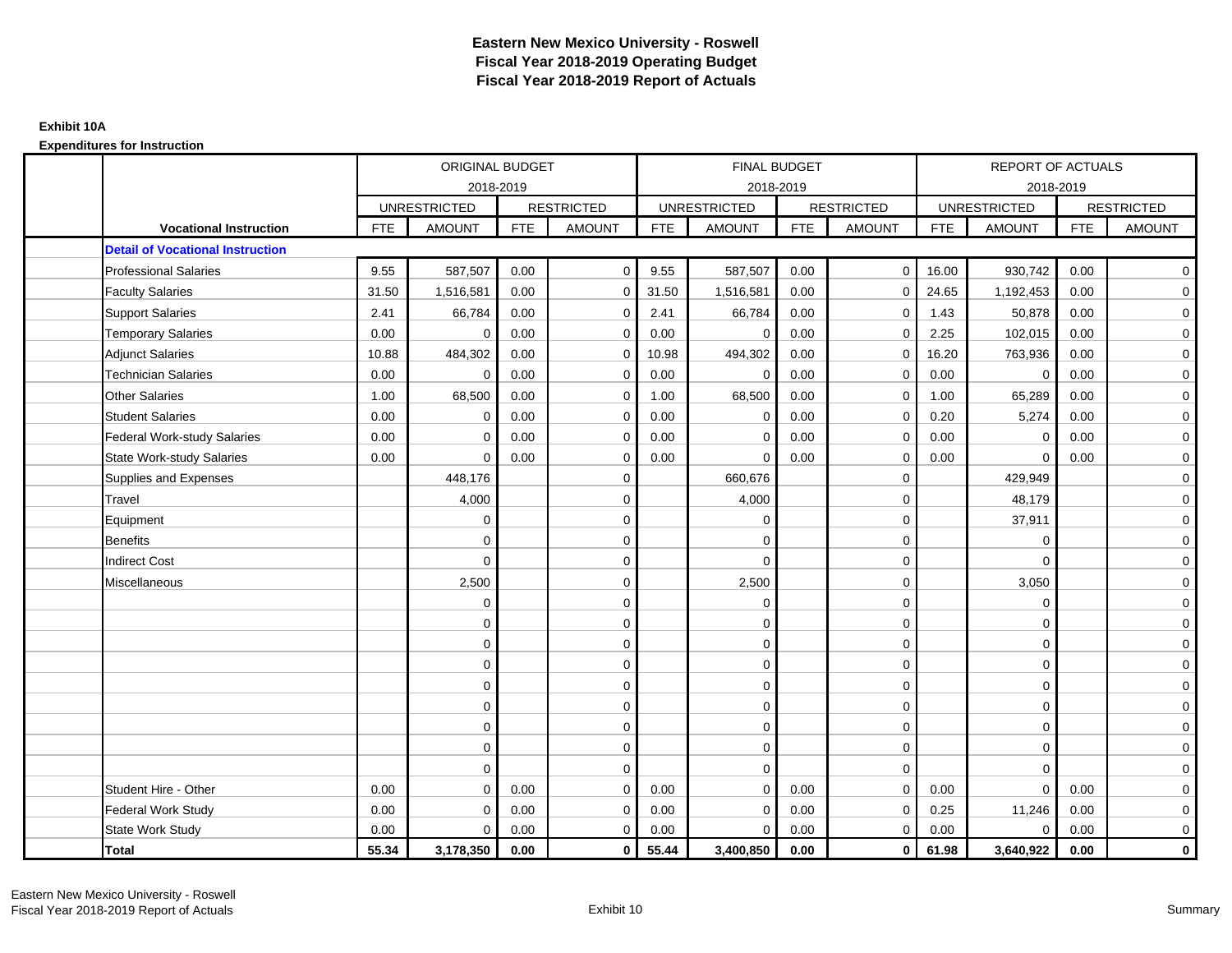|                                         |            | <b>ORIGINAL BUDGET</b> |            |                   |            | <b>FINAL BUDGET</b> |            |                   |            | <b>REPORT OF ACTUALS</b> |            |                   |
|-----------------------------------------|------------|------------------------|------------|-------------------|------------|---------------------|------------|-------------------|------------|--------------------------|------------|-------------------|
|                                         |            | 2018-2019              |            |                   |            | 2018-2019           |            |                   |            | 2018-2019                |            |                   |
|                                         |            | <b>UNRESTRICTED</b>    |            | <b>RESTRICTED</b> |            | <b>UNRESTRICTED</b> |            | <b>RESTRICTED</b> |            | <b>UNRESTRICTED</b>      |            | <b>RESTRICTED</b> |
| <b>Vocational Instruction</b>           | <b>FTE</b> | <b>AMOUNT</b>          | <b>FTE</b> | <b>AMOUNT</b>     | <b>FTE</b> | <b>AMOUNT</b>       | <b>FTE</b> | <b>AMOUNT</b>     | <b>FTE</b> | <b>AMOUNT</b>            | <b>FTE</b> | <b>AMOUNT</b>     |
| <b>Detail of Vocational Instruction</b> |            |                        |            |                   |            |                     |            |                   |            |                          |            |                   |
| <b>Professional Salaries</b>            | 9.55       | 587,507                | 0.00       | $\mathbf 0$       | 9.55       | 587,507             | 0.00       | $\overline{0}$    | 16.00      | 930,742                  | 0.00       | $\overline{0}$    |
| <b>Faculty Salaries</b>                 | 31.50      | 1,516,581              | 0.00       | $\mathbf 0$       | 31.50      | 1,516,581           | 0.00       | $\mathbf 0$       | 24.65      | 1,192,453                | 0.00       | $\overline{0}$    |
| <b>Support Salaries</b>                 | 2.41       | 66,784                 | 0.00       | $\mathbf 0$       | 2.41       | 66,784              | 0.00       | $\mathbf{0}$      | 1.43       | 50,878                   | 0.00       | $\overline{0}$    |
| <b>Temporary Salaries</b>               | 0.00       | $\mathbf 0$            | 0.00       | $\mathbf 0$       | 0.00       | $\mathbf 0$         | 0.00       | $\mathbf 0$       | 2.25       | 102,015                  | 0.00       | $\mathbf 0$       |
| <b>Adjunct Salaries</b>                 | 10.88      | 484,302                | 0.00       | $\Omega$          | 10.98      | 494,302             | 0.00       | $\mathbf 0$       | 16.20      | 763,936                  | 0.00       | $\overline{0}$    |
| <b>Technician Salaries</b>              | 0.00       | $\Omega$               | 0.00       | $\Omega$          | 0.00       | $\mathbf 0$         | 0.00       | $\Omega$          | 0.00       | $\mathbf 0$              | 0.00       | $\mathbf 0$       |
| <b>Other Salaries</b>                   | 1.00       | 68,500                 | 0.00       | 0                 | 1.00       | 68,500              | 0.00       | $\mathbf 0$       | 1.00       | 65,289                   | 0.00       | $\overline{0}$    |
| <b>Student Salaries</b>                 | 0.00       | $\mathbf 0$            | 0.00       | 0                 | 0.00       | 0                   | 0.00       | $\mathbf 0$       | 0.20       | 5,274                    | 0.00       | $\mathbf 0$       |
| <b>Federal Work-study Salaries</b>      | 0.00       | $\Omega$               | 0.00       | $\Omega$          | 0.00       | $\Omega$            | 0.00       | $\Omega$          | 0.00       | $\mathbf 0$              | 0.00       | $\overline{0}$    |
| <b>State Work-study Salaries</b>        | 0.00       | $\mathbf 0$            | 0.00       | $\mathbf 0$       | 0.00       | 0                   | 0.00       | 0                 | 0.00       | $\mathbf 0$              | 0.00       | $\mathbf 0$       |
| Supplies and Expenses                   |            | 448,176                |            | $\mathbf 0$       |            | 660,676             |            | $\mathbf 0$       |            | 429,949                  |            | $\mathbf 0$       |
| Travel                                  |            | 4,000                  |            | $\mathbf 0$       |            | 4,000               |            | $\mathbf 0$       |            | 48,179                   |            | $\overline{0}$    |
| Equipment                               |            | 0                      |            | 0                 |            | $\mathbf 0$         |            | $\mathbf 0$       |            | 37,911                   |            | $\mathbf 0$       |
| <b>Benefits</b>                         |            | $\Omega$               |            | $\mathbf 0$       |            | $\Omega$            |            | $\mathbf 0$       |            | $\mathbf 0$              |            | $\mathbf 0$       |
| <b>Indirect Cost</b>                    |            | $\mathbf 0$            |            | 0                 |            | $\mathbf 0$         |            | $\mathbf 0$       |            | $\mathbf 0$              |            | $\mathbf 0$       |
| Miscellaneous                           |            | 2,500                  |            | $\mathbf 0$       |            | 2,500               |            | $\mathbf 0$       |            | 3,050                    |            | $\mathbf 0$       |
|                                         |            | $\mathbf 0$            |            | $\mathbf 0$       |            | $\mathbf 0$         |            | $\mathbf 0$       |            | $\mathbf 0$              |            | $\overline{0}$    |
|                                         |            | $\mathbf 0$            |            | $\mathbf 0$       |            | $\mathbf 0$         |            | $\mathbf 0$       |            | $\mathbf 0$              |            | $\overline{0}$    |
|                                         |            | $\Omega$               |            | $\mathbf 0$       |            | $\Omega$            |            | $\mathbf 0$       |            | $\Omega$                 |            | $\overline{0}$    |
|                                         |            | $\Omega$               |            | $\mathbf 0$       |            | $\Omega$            |            | $\mathbf 0$       |            | $\Omega$                 |            | $\overline{0}$    |
|                                         |            | $\mathbf 0$            |            | $\mathbf 0$       |            | $\mathbf 0$         |            | $\mathbf 0$       |            | $\mathbf 0$              |            | $\mathbf 0$       |
|                                         |            | $\mathbf 0$            |            | $\mathbf 0$       |            | $\mathbf 0$         |            | $\mathbf 0$       |            | $\mathbf 0$              |            | $\mathbf 0$       |
|                                         |            | $\mathbf 0$            |            | $\mathbf 0$       |            | $\mathbf 0$         |            | $\mathbf 0$       |            | $\mathbf 0$              |            | $\overline{0}$    |
|                                         |            | 0                      |            | $\mathbf 0$       |            | $\mathbf 0$         |            | $\mathbf 0$       |            | $\mathbf 0$              |            | $\overline{0}$    |
|                                         |            | $\Omega$               |            | $\mathbf 0$       |            | $\mathbf 0$         |            | $\mathbf 0$       |            | $\mathbf 0$              |            | $\mathbf 0$       |
| Student Hire - Other                    | 0.00       | $\Omega$               | 0.00       | $\Omega$          | 0.00       | $\Omega$            | 0.00       | $\Omega$          | 0.00       | $\Omega$                 | 0.00       | $\mathbf 0$       |
| <b>Federal Work Study</b>               | 0.00       | $\mathbf 0$            | 0.00       | $\mathbf 0$       | 0.00       | $\mathbf 0$         | 0.00       | $\mathbf 0$       | 0.25       | 11,246                   | 0.00       | $\overline{0}$    |
| State Work Study                        | 0.00       | $\mathbf 0$            | 0.00       | $\mathbf 0$       | 0.00       | $\mathbf 0$         | 0.00       | $\mathbf 0$       | 0.00       | $\mathbf 0$              | 0.00       | $\mathbf 0$       |
| <b>Total</b>                            | 55.34      | 3,178,350              | 0.00       | $\mathbf 0$       | 55.44      | 3,400,850           | 0.00       | $\mathbf{0}$      | 61.98      | 3,640,922                | 0.00       | $\mathbf{0}$      |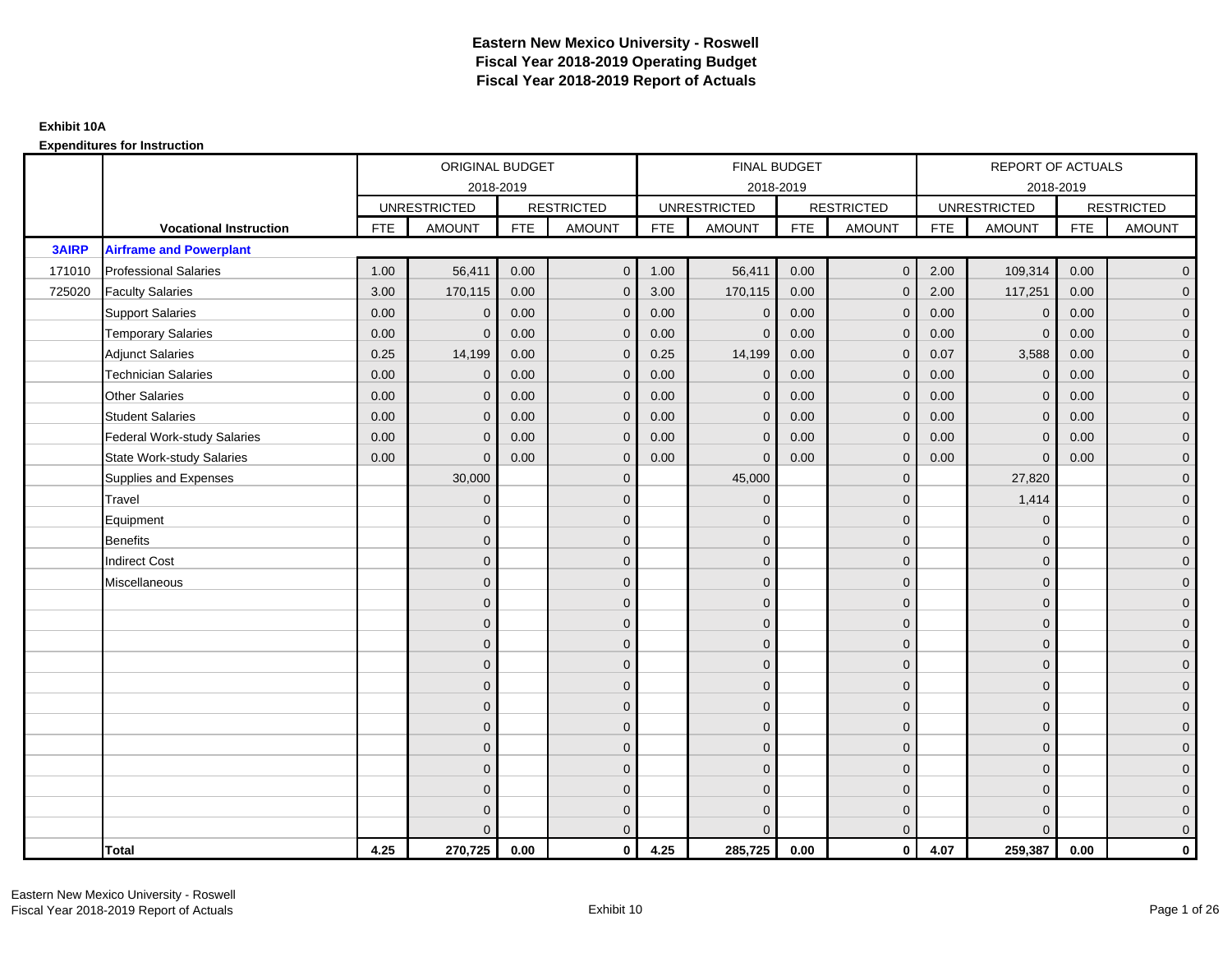|              |                                    |            | ORIGINAL BUDGET     |            |                   |            | <b>FINAL BUDGET</b> |            |                   |            | REPORT OF ACTUALS   |            |                   |
|--------------|------------------------------------|------------|---------------------|------------|-------------------|------------|---------------------|------------|-------------------|------------|---------------------|------------|-------------------|
|              |                                    |            |                     | 2018-2019  |                   |            | 2018-2019           |            |                   |            | 2018-2019           |            |                   |
|              |                                    |            | <b>UNRESTRICTED</b> |            | <b>RESTRICTED</b> |            | <b>UNRESTRICTED</b> |            | <b>RESTRICTED</b> |            | <b>UNRESTRICTED</b> |            | <b>RESTRICTED</b> |
|              | <b>Vocational Instruction</b>      | <b>FTE</b> | <b>AMOUNT</b>       | <b>FTE</b> | <b>AMOUNT</b>     | <b>FTE</b> | <b>AMOUNT</b>       | <b>FTE</b> | <b>AMOUNT</b>     | <b>FTE</b> | <b>AMOUNT</b>       | <b>FTE</b> | <b>AMOUNT</b>     |
| <b>3AIRP</b> | <b>Airframe and Powerplant</b>     |            |                     |            |                   |            |                     |            |                   |            |                     |            |                   |
| 171010       | <b>Professional Salaries</b>       | 1.00       | 56,411              | 0.00       | $\mathbf{0}$      | 1.00       | 56,411              | 0.00       | $\mathbf{0}$      | 2.00       | 109,314             | 0.00       | $\overline{0}$    |
| 725020       | <b>Faculty Salaries</b>            | 3.00       | 170,115             | 0.00       | $\mathbf 0$       | 3.00       | 170,115             | 0.00       | $\mathbf{0}$      | 2.00       | 117,251             | 0.00       | $\overline{0}$    |
|              | <b>Support Salaries</b>            | 0.00       | $\mathbf{0}$        | 0.00       | $\mathbf 0$       | 0.00       | $\mathbf 0$         | 0.00       | $\mathbf 0$       | 0.00       | $\mathbf 0$         | 0.00       | $\overline{0}$    |
|              | <b>Temporary Salaries</b>          | 0.00       | $\Omega$            | 0.00       | $\overline{0}$    | 0.00       | $\Omega$            | 0.00       | $\Omega$          | 0.00       | $\mathbf{0}$        | 0.00       | $\overline{0}$    |
|              | <b>Adjunct Salaries</b>            | 0.25       | 14,199              | 0.00       | $\Omega$          | 0.25       | 14,199              | 0.00       | $\Omega$          | 0.07       | 3,588               | 0.00       | $\overline{0}$    |
|              | <b>Technician Salaries</b>         | 0.00       | $\Omega$            | 0.00       | $\mathbf{0}$      | 0.00       | $\Omega$            | 0.00       | $\mathbf 0$       | 0.00       | $\mathbf 0$         | 0.00       | $\mathbf{0}$      |
|              | <b>Other Salaries</b>              | 0.00       | $\mathbf{0}$        | 0.00       | $\mathbf 0$       | 0.00       | $\Omega$            | 0.00       | $\mathbf{0}$      | 0.00       | $\overline{0}$      | 0.00       | $\overline{0}$    |
|              | <b>Student Salaries</b>            | 0.00       | $\mathbf{0}$        | 0.00       | $\overline{0}$    | 0.00       | $\Omega$            | 0.00       | $\mathbf{0}$      | 0.00       | $\mathbf 0$         | 0.00       | $\overline{0}$    |
|              | <b>Federal Work-study Salaries</b> | 0.00       | $\mathbf{0}$        | 0.00       | $\mathbf 0$       | 0.00       | $\mathbf{0}$        | 0.00       | $\Omega$          | 0.00       | $\mathbf 0$         | 0.00       | $\overline{0}$    |
|              | <b>State Work-study Salaries</b>   | 0.00       | $\mathbf{0}$        | 0.00       | $\overline{0}$    | 0.00       | $\mathbf{0}$        | 0.00       | $\mathbf{0}$      | 0.00       | $\mathbf{0}$        | 0.00       | $\overline{0}$    |
|              | Supplies and Expenses              |            | 30,000              |            | $\overline{0}$    |            | 45,000              |            | $\overline{0}$    |            | 27,820              |            | $\overline{0}$    |
|              | Travel                             |            | $\Omega$            |            | $\mathbf 0$       |            | $\Omega$            |            | $\mathbf{0}$      |            | 1,414               |            | $\overline{0}$    |
|              | Equipment                          |            | $\mathbf{0}$        |            | $\mathbf 0$       |            | $\Omega$            |            | $\mathbf 0$       |            | $\mathbf 0$         |            | $\overline{0}$    |
|              | <b>Benefits</b>                    |            | $\mathbf{0}$        |            | $\mathbf 0$       |            | $\Omega$            |            | $\mathbf{0}$      |            | $\mathbf{0}$        |            | $\overline{0}$    |
|              | <b>Indirect Cost</b>               |            | $\Omega$            |            | $\overline{0}$    |            | $\Omega$            |            | $\Omega$          |            | $\Omega$            |            | $\overline{0}$    |
|              | Miscellaneous                      |            | $\mathbf{0}$        |            | $\mathbf 0$       |            | $\Omega$            |            | $\mathbf 0$       |            | $\mathbf{0}$        |            | $\mathbf{0}$      |
|              |                                    |            | $\mathbf{0}$        |            | $\mathbf 0$       |            | $\Omega$            |            | $\mathbf{0}$      |            | $\mathbf{0}$        |            | $\overline{0}$    |
|              |                                    |            | $\Omega$            |            | $\mathbf 0$       |            | $\Omega$            |            | $\mathbf{0}$      |            | $\mathbf{0}$        |            | $\overline{0}$    |
|              |                                    |            | $\mathbf{0}$        |            | $\mathbf 0$       |            | $\Omega$            |            | $\mathbf 0$       |            | $\mathbf{0}$        |            | $\overline{0}$    |
|              |                                    |            | $\Omega$            |            | $\mathbf 0$       |            | $\Omega$            |            | $\mathbf{0}$      |            | $\mathbf{0}$        |            | $\mathbf{0}$      |
|              |                                    |            | $\Omega$            |            | $\mathbf 0$       |            | $\Omega$            |            | $\mathbf{0}$      |            | $\Omega$            |            | $\mathbf{0}$      |
|              |                                    |            | $\Omega$            |            | $\mathbf 0$       |            | $\Omega$            |            | $\mathbf{0}$      |            | $\Omega$            |            | $\overline{0}$    |
|              |                                    |            | $\mathbf{0}$        |            | $\mathbf 0$       |            | $\Omega$            |            | $\mathbf{0}$      |            | $\mathbf{0}$        |            | $\overline{0}$    |
|              |                                    |            | $\mathbf{0}$        |            | $\mathbf 0$       |            | $\Omega$            |            | $\mathbf{0}$      |            | $\mathbf{0}$        |            | $\overline{0}$    |
|              |                                    |            | $\Omega$            |            | $\mathbf 0$       |            | $\Omega$            |            | $\mathbf{0}$      |            | $\Omega$            |            | $\overline{0}$    |
|              |                                    |            | $\Omega$            |            | $\mathbf 0$       |            | $\Omega$            |            | $\mathbf{0}$      |            | $\mathbf{0}$        |            | $\mathbf{0}$      |
|              |                                    |            | $\Omega$            |            | $\mathbf 0$       |            | $\Omega$            |            | $\mathbf 0$       |            | $\mathbf{0}$        |            | $\mathbf{0}$      |
|              |                                    |            | $\Omega$            |            | $\overline{0}$    |            | $\Omega$            |            | $\mathbf{0}$      |            | $\Omega$            |            | $\overline{0}$    |
|              | <b>Total</b>                       | 4.25       | 270,725             | 0.00       | $\mathbf{0}$      | 4.25       | 285,725             | 0.00       | $\mathbf{0}$      | 4.07       | 259,387             | 0.00       | $\mathbf 0$       |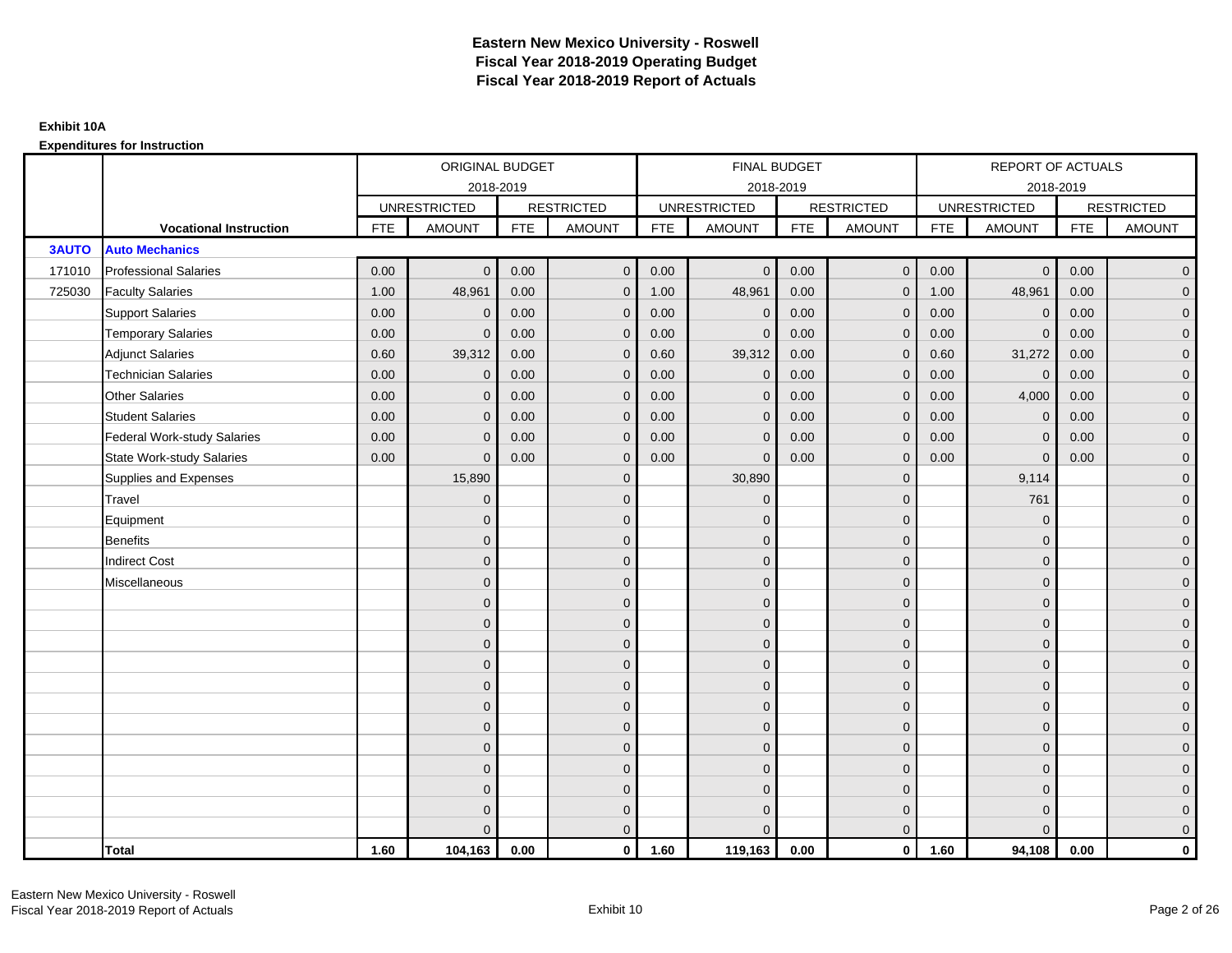|              |                                    |            | ORIGINAL BUDGET     |            |                   |            | <b>FINAL BUDGET</b> |            |                   |            | REPORT OF ACTUALS   |            |                   |
|--------------|------------------------------------|------------|---------------------|------------|-------------------|------------|---------------------|------------|-------------------|------------|---------------------|------------|-------------------|
|              |                                    |            | 2018-2019           |            |                   |            | 2018-2019           |            |                   |            | 2018-2019           |            |                   |
|              |                                    |            | <b>UNRESTRICTED</b> |            | <b>RESTRICTED</b> |            | <b>UNRESTRICTED</b> |            | <b>RESTRICTED</b> |            | <b>UNRESTRICTED</b> |            | <b>RESTRICTED</b> |
|              | <b>Vocational Instruction</b>      | <b>FTE</b> | <b>AMOUNT</b>       | <b>FTE</b> | <b>AMOUNT</b>     | <b>FTE</b> | <b>AMOUNT</b>       | <b>FTE</b> | <b>AMOUNT</b>     | <b>FTE</b> | <b>AMOUNT</b>       | <b>FTE</b> | <b>AMOUNT</b>     |
| <b>3AUTO</b> | <b>Auto Mechanics</b>              |            |                     |            |                   |            |                     |            |                   |            |                     |            |                   |
| 171010       | <b>Professional Salaries</b>       | 0.00       | $\Omega$            | 0.00       | $\overline{0}$    | 0.00       | $\Omega$            | 0.00       | $\overline{0}$    | 0.00       | $\overline{0}$      | 0.00       | $\overline{0}$    |
| 725030       | <b>Faculty Salaries</b>            | 1.00       | 48,961              | 0.00       | $\mathbf 0$       | 1.00       | 48,961              | 0.00       | $\mathbf{0}$      | 1.00       | 48,961              | 0.00       | $\overline{0}$    |
|              | <b>Support Salaries</b>            | 0.00       | $\mathbf 0$         | 0.00       | $\mathbf 0$       | 0.00       | $\mathbf 0$         | 0.00       | $\mathbf{0}$      | 0.00       | $\mathbf 0$         | 0.00       | $\overline{0}$    |
|              | <b>Temporary Salaries</b>          | 0.00       | $\Omega$            | 0.00       | $\overline{0}$    | 0.00       | $\Omega$            | 0.00       | $\Omega$          | 0.00       | $\mathbf{0}$        | 0.00       | $\overline{0}$    |
|              | <b>Adjunct Salaries</b>            | 0.60       | 39,312              | 0.00       | $\overline{0}$    | 0.60       | 39,312              | 0.00       | $\Omega$          | 0.60       | 31,272              | 0.00       | $\overline{0}$    |
|              | <b>Technician Salaries</b>         | 0.00       | $\mathbf 0$         | 0.00       | $\mathbf{0}$      | 0.00       | $\mathbf{0}$        | 0.00       | $\mathbf{0}$      | 0.00       | $\mathbf 0$         | 0.00       | $\mathbf{0}$      |
|              | <b>Other Salaries</b>              | 0.00       | $\mathbf{0}$        | 0.00       | $\overline{0}$    | 0.00       | $\mathbf{0}$        | 0.00       | $\mathbf{0}$      | 0.00       | 4,000               | 0.00       | $\overline{0}$    |
|              | <b>Student Salaries</b>            | 0.00       | $\mathbf{0}$        | 0.00       | $\overline{0}$    | 0.00       | $\mathbf{0}$        | 0.00       | $\mathbf{0}$      | 0.00       | $\mathbf 0$         | 0.00       | $\overline{0}$    |
|              | <b>Federal Work-study Salaries</b> | 0.00       | $\mathbf{0}$        | 0.00       | $\mathbf 0$       | 0.00       | $\mathbf{0}$        | 0.00       | $\Omega$          | 0.00       | $\mathbf 0$         | 0.00       | $\overline{0}$    |
|              | State Work-study Salaries          | 0.00       | $\mathbf{0}$        | 0.00       | $\overline{0}$    | 0.00       | $\mathbf{0}$        | 0.00       | $\mathbf{0}$      | 0.00       | $\mathbf{0}$        | 0.00       | $\overline{0}$    |
|              | Supplies and Expenses              |            | 15,890              |            | $\mathbf{0}$      |            | 30,890              |            | $\mathbf{0}$      |            | 9,114               |            | $\mathbf{0}$      |
|              | Travel                             |            | $\Omega$            |            | $\mathbf 0$       |            | $\mathbf{0}$        |            | $\mathbf{0}$      |            | 761                 |            | $\overline{0}$    |
|              | Equipment                          |            | $\Omega$            |            | $\mathbf 0$       |            | $\mathbf{0}$        |            | $\mathbf 0$       |            | $\mathbf 0$         |            | $\overline{0}$    |
|              | <b>Benefits</b>                    |            | $\mathbf{0}$        |            | $\mathbf 0$       |            | $\Omega$            |            | $\mathbf 0$       |            | $\mathbf{0}$        |            | $\overline{0}$    |
|              | <b>Indirect Cost</b>               |            | $\Omega$            |            | $\overline{0}$    |            | $\Omega$            |            | $\Omega$          |            | $\Omega$            |            | $\overline{0}$    |
|              | Miscellaneous                      |            | $\Omega$            |            | $\mathbf 0$       |            | $\mathbf{0}$        |            | $\Omega$          |            | $\mathbf{0}$        |            | $\mathbf{0}$      |
|              |                                    |            | $\Omega$            |            | $\mathbf 0$       |            | $\mathbf{0}$        |            | $\mathbf{0}$      |            | $\mathbf{0}$        |            | $\overline{0}$    |
|              |                                    |            | $\Omega$            |            | $\mathbf 0$       |            | $\mathbf{0}$        |            | $\mathbf{0}$      |            | $\mathbf{0}$        |            | $\overline{0}$    |
|              |                                    |            | $\Omega$            |            | $\mathbf 0$       |            | $\mathbf{0}$        |            | $\mathbf 0$       |            | $\mathbf{0}$        |            | $\overline{0}$    |
|              |                                    |            | $\Omega$            |            | $\mathbf 0$       |            | $\Omega$            |            | $\mathbf{0}$      |            | $\mathbf{0}$        |            | $\mathbf{0}$      |
|              |                                    |            | $\Omega$            |            | $\mathbf 0$       |            | $\Omega$            |            | $\overline{0}$    |            | $\Omega$            |            | $\mathbf{0}$      |
|              |                                    |            | $\Omega$            |            | $\mathbf 0$       |            | $\Omega$            |            | $\mathbf{0}$      |            | $\Omega$            |            | $\overline{0}$    |
|              |                                    |            | $\Omega$            |            | $\mathbf 0$       |            | $\mathbf{0}$        |            | $\mathbf 0$       |            | $\mathbf{0}$        |            | $\overline{0}$    |
|              |                                    |            | $\mathbf{0}$        |            | $\mathbf 0$       |            | $\Omega$            |            | $\mathbf 0$       |            | $\mathbf{0}$        |            | $\overline{0}$    |
|              |                                    |            | $\Omega$            |            | $\mathbf 0$       |            | $\Omega$            |            | $\mathbf{0}$      |            | $\Omega$            |            | $\overline{0}$    |
|              |                                    |            | $\Omega$            |            | $\mathbf 0$       |            | $\mathbf{0}$        |            | $\mathbf 0$       |            | $\mathbf{0}$        |            | $\mathbf{0}$      |
|              |                                    |            | $\Omega$            |            | $\mathbf 0$       |            | $\Omega$            |            | $\mathbf{0}$      |            | $\mathbf{0}$        |            | $\mathbf{0}$      |
|              |                                    |            | $\Omega$            |            | $\overline{0}$    |            | $\Omega$            |            | $\mathbf{0}$      |            | $\Omega$            |            | $\overline{0}$    |
|              | <b>Total</b>                       | 1.60       | 104,163             | 0.00       | $\mathbf{0}$      | 1.60       | 119,163             | 0.00       | $\mathbf{0}$      | 1.60       | 94,108              | 0.00       | $\mathbf 0$       |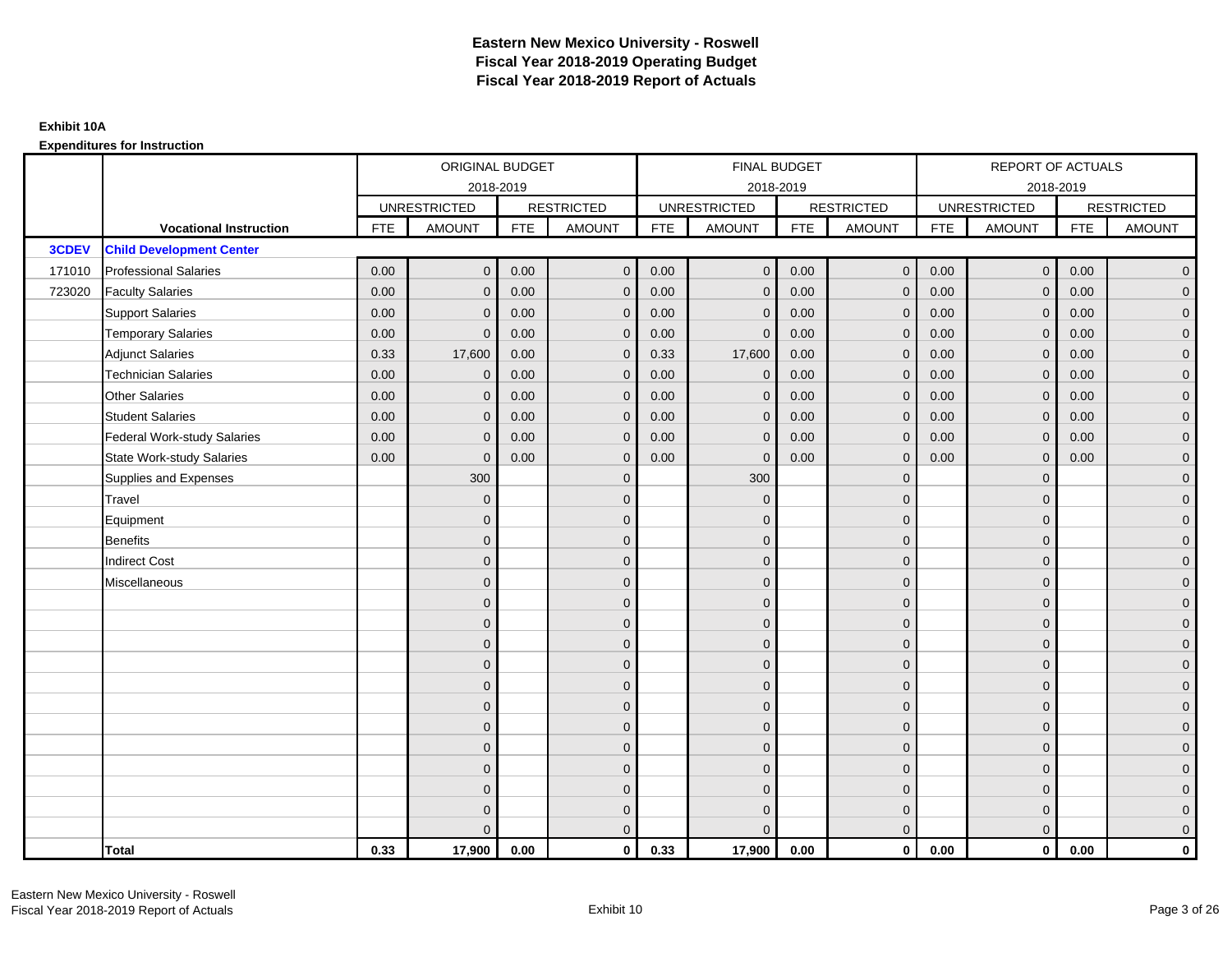|        |                                    | ORIGINAL BUDGET     |               |                   | <b>FINAL BUDGET</b> |                     |                |                   | REPORT OF ACTUALS |                     |                |                   |                |
|--------|------------------------------------|---------------------|---------------|-------------------|---------------------|---------------------|----------------|-------------------|-------------------|---------------------|----------------|-------------------|----------------|
|        |                                    | 2018-2019           |               |                   |                     | 2018-2019           |                |                   |                   | 2018-2019           |                |                   |                |
|        |                                    | <b>UNRESTRICTED</b> |               | <b>RESTRICTED</b> |                     | <b>UNRESTRICTED</b> |                | <b>RESTRICTED</b> |                   | <b>UNRESTRICTED</b> |                | <b>RESTRICTED</b> |                |
|        | <b>Vocational Instruction</b>      | <b>FTE</b>          | <b>AMOUNT</b> | <b>FTE</b>        | <b>AMOUNT</b>       | <b>FTE</b>          | <b>AMOUNT</b>  | <b>FTE</b>        | <b>AMOUNT</b>     | <b>FTE</b>          | <b>AMOUNT</b>  | <b>FTE</b>        | <b>AMOUNT</b>  |
| 3CDEV  | <b>Child Development Center</b>    |                     |               |                   |                     |                     |                |                   |                   |                     |                |                   |                |
| 171010 | <b>Professional Salaries</b>       | 0.00                | $\Omega$      | 0.00              | $\overline{0}$      | 0.00                | $\overline{0}$ | 0.00              | $\mathbf{0}$      | 0.00                | $\overline{0}$ | 0.00              | $\overline{0}$ |
| 723020 | <b>Faculty Salaries</b>            | 0.00                | $\mathbf 0$   | 0.00              | $\mathbf 0$         | 0.00                | $\mathbf{0}$   | 0.00              | $\mathbf{0}$      | 0.00                | $\mathbf 0$    | 0.00              | $\overline{0}$ |
|        | <b>Support Salaries</b>            | 0.00                | $\Omega$      | 0.00              | $\mathbf 0$         | 0.00                | $\mathbf{0}$   | 0.00              | $\mathbf 0$       | 0.00                | $\mathbf 0$    | 0.00              | $\overline{0}$ |
|        | <b>Temporary Salaries</b>          | 0.00                | $\Omega$      | 0.00              | $\overline{0}$      | 0.00                | $\Omega$       | 0.00              | $\Omega$          | 0.00                | $\mathbf 0$    | 0.00              | $\overline{0}$ |
|        | <b>Adjunct Salaries</b>            | 0.33                | 17,600        | 0.00              | $\overline{0}$      | 0.33                | 17,600         | 0.00              | $\Omega$          | 0.00                | $\overline{0}$ | 0.00              | $\overline{0}$ |
|        | <b>Technician Salaries</b>         | 0.00                | $\mathbf 0$   | 0.00              | $\mathbf{0}$        | 0.00                | $\mathbf{0}$   | 0.00              | $\mathbf{0}$      | 0.00                | $\mathbf{0}$   | 0.00              | $\mathbf{0}$   |
|        | <b>Other Salaries</b>              | 0.00                | $\mathbf{0}$  | 0.00              | $\overline{0}$      | 0.00                | $\mathbf{0}$   | 0.00              | $\Omega$          | 0.00                | $\overline{0}$ | 0.00              | $\overline{0}$ |
|        | <b>Student Salaries</b>            | 0.00                | $\mathbf{0}$  | 0.00              | $\overline{0}$      | 0.00                | $\mathbf{0}$   | 0.00              | $\mathbf 0$       | 0.00                | $\mathbf 0$    | 0.00              | $\overline{0}$ |
|        | <b>Federal Work-study Salaries</b> | 0.00                | $\mathbf{0}$  | 0.00              | $\mathbf 0$         | 0.00                | $\mathbf{0}$   | 0.00              | $\Omega$          | 0.00                | $\mathbf 0$    | 0.00              | $\overline{0}$ |
|        | State Work-study Salaries          | 0.00                | $\mathbf{0}$  | 0.00              | $\overline{0}$      | 0.00                | $\mathbf{0}$   | 0.00              | $\mathbf 0$       | 0.00                | $\mathbf{0}$   | 0.00              | $\overline{0}$ |
|        | Supplies and Expenses              |                     | 300           |                   | $\mathbf{0}$        |                     | 300            |                   | $\mathbf 0$       |                     | $\mathbf{0}$   |                   | $\mathbf{0}$   |
|        | <b>Travel</b>                      |                     | $\Omega$      |                   | $\mathbf 0$         |                     | $\Omega$       |                   | $\mathbf{0}$      |                     | $\mathbf{0}$   |                   | $\overline{0}$ |
|        | Equipment                          |                     | $\Omega$      |                   | $\mathbf 0$         |                     | $\mathbf{0}$   |                   | $\mathbf 0$       |                     | $\mathbf{0}$   |                   | $\overline{0}$ |
|        | <b>Benefits</b>                    |                     | $\mathbf{0}$  |                   | $\mathbf 0$         |                     | $\Omega$       |                   | $\mathbf 0$       |                     | $\mathbf{0}$   |                   | $\overline{0}$ |
|        | <b>Indirect Cost</b>               |                     | $\Omega$      |                   | $\overline{0}$      |                     | $\Omega$       |                   | $\Omega$          |                     | $\Omega$       |                   | $\overline{0}$ |
|        | Miscellaneous                      |                     | $\Omega$      |                   | $\mathbf 0$         |                     | $\mathbf{0}$   |                   | $\Omega$          |                     | $\mathbf{0}$   |                   | $\mathbf{0}$   |
|        |                                    |                     | $\Omega$      |                   | $\mathbf 0$         |                     | $\mathbf{0}$   |                   | $\mathbf{0}$      |                     | $\mathbf{0}$   |                   | $\overline{0}$ |
|        |                                    |                     | $\Omega$      |                   | $\mathbf 0$         |                     | $\mathbf{0}$   |                   | $\mathbf{0}$      |                     | $\mathbf{0}$   |                   | $\overline{0}$ |
|        |                                    |                     | $\Omega$      |                   | $\mathbf 0$         |                     | $\mathbf{0}$   |                   | $\mathbf 0$       |                     | $\mathbf{0}$   |                   | $\overline{0}$ |
|        |                                    |                     | $\Omega$      |                   | $\mathbf 0$         |                     | $\Omega$       |                   | $\mathbf{0}$      |                     | $\mathbf{0}$   |                   | $\mathbf{0}$   |
|        |                                    |                     | $\Omega$      |                   | $\mathbf 0$         |                     | $\Omega$       |                   | $\overline{0}$    |                     | $\Omega$       |                   | $\mathbf{0}$   |
|        |                                    |                     | $\Omega$      |                   | $\mathbf 0$         |                     | $\Omega$       |                   | $\mathbf{0}$      |                     | $\Omega$       |                   | $\overline{0}$ |
|        |                                    |                     | $\Omega$      |                   | $\mathbf 0$         |                     | $\mathbf{0}$   |                   | $\mathbf 0$       |                     | $\mathbf{0}$   |                   | $\overline{0}$ |
|        |                                    |                     | $\Omega$      |                   | $\mathbf 0$         |                     | $\Omega$       |                   | $\mathbf 0$       |                     | $\mathbf{0}$   |                   | $\overline{0}$ |
|        |                                    |                     | $\Omega$      |                   | $\mathbf 0$         |                     | $\Omega$       |                   | $\mathbf{0}$      |                     | $\Omega$       |                   | $\overline{0}$ |
|        |                                    |                     | $\Omega$      |                   | $\mathbf 0$         |                     | $\mathbf{0}$   |                   | $\mathbf 0$       |                     | $\mathbf{0}$   |                   | $\mathbf{0}$   |
|        |                                    |                     | $\Omega$      |                   | $\mathbf 0$         |                     | $\Omega$       |                   | $\mathbf{0}$      |                     | $\mathbf{0}$   |                   | $\mathbf{0}$   |
|        |                                    |                     | $\Omega$      |                   | $\overline{0}$      |                     | $\Omega$       |                   | $\mathbf{0}$      |                     | $\mathbf{0}$   |                   | $\overline{0}$ |
|        | <b>Total</b>                       | 0.33                | 17,900        | 0.00              | $\mathbf{0}$        | 0.33                | 17,900         | 0.00              | $\mathbf{0}$      | 0.00                | $\mathbf{0}$   | 0.00              | $\mathbf 0$    |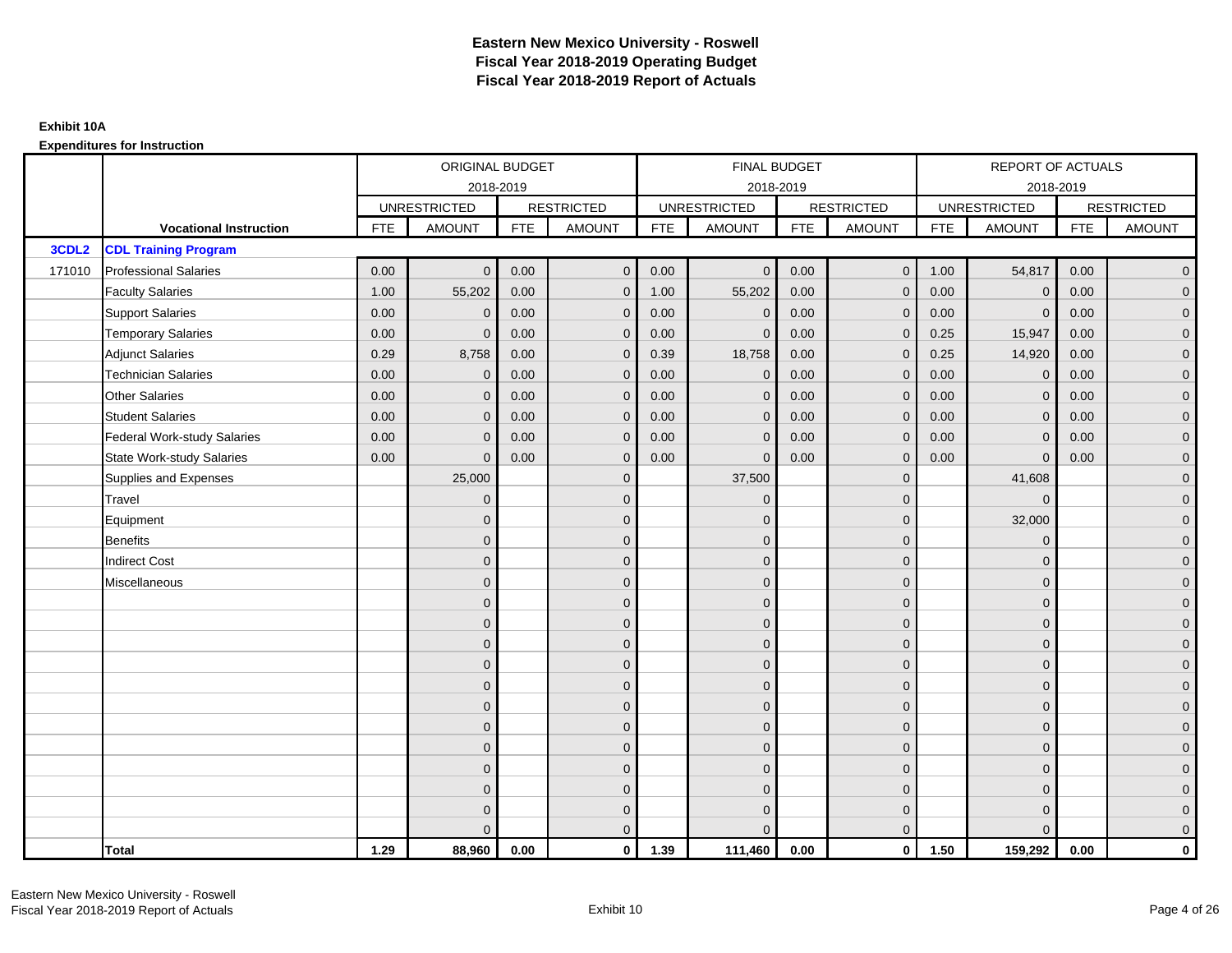|                   |                                    | ORIGINAL BUDGET |                     |                   | <b>FINAL BUDGET</b> |                     |                |                   | REPORT OF ACTUALS |                     |                |                   |                     |  |
|-------------------|------------------------------------|-----------------|---------------------|-------------------|---------------------|---------------------|----------------|-------------------|-------------------|---------------------|----------------|-------------------|---------------------|--|
|                   |                                    | 2018-2019       |                     |                   |                     | 2018-2019           |                |                   |                   |                     | 2018-2019      |                   |                     |  |
|                   |                                    |                 | <b>UNRESTRICTED</b> | <b>RESTRICTED</b> |                     | <b>UNRESTRICTED</b> |                | <b>RESTRICTED</b> |                   | <b>UNRESTRICTED</b> |                | <b>RESTRICTED</b> |                     |  |
|                   | <b>Vocational Instruction</b>      | <b>FTE</b>      | <b>AMOUNT</b>       | <b>FTE</b>        | <b>AMOUNT</b>       | <b>FTE</b>          | <b>AMOUNT</b>  | <b>FTE</b>        | <b>AMOUNT</b>     | <b>FTE</b>          | <b>AMOUNT</b>  | <b>FTE</b>        | <b>AMOUNT</b>       |  |
| 3CDL <sub>2</sub> | <b>CDL Training Program</b>        |                 |                     |                   |                     |                     |                |                   |                   |                     |                |                   |                     |  |
| 171010            | <b>Professional Salaries</b>       | 0.00            | $\Omega$            | 0.00              | $\mathbf 0$         | 0.00                | $\overline{0}$ | 0.00              | $\mathbf 0$       | 1.00                | 54,817         | 0.00              | $\overline{0}$      |  |
|                   | <b>Faculty Salaries</b>            | 1.00            | 55,202              | 0.00              | $\mathbf 0$         | 1.00                | 55,202         | 0.00              | $\Omega$          | 0.00                | $\mathbf 0$    | 0.00              | $\overline{0}$      |  |
|                   | <b>Support Salaries</b>            | 0.00            | $\Omega$            | 0.00              | $\mathbf{0}$        | 0.00                | $\mathbf{0}$   | 0.00              | $\Omega$          | 0.00                | $\mathbf{0}$   | 0.00              | $\overline{0}$      |  |
|                   | <b>Temporary Salaries</b>          | 0.00            | $\mathbf{0}$        | 0.00              | $\mathbf 0$         | 0.00                | $\mathbf{0}$   | 0.00              | $\Omega$          | 0.25                | 15,947         | 0.00              | $\overline{0}$      |  |
|                   | <b>Adjunct Salaries</b>            | 0.29            | 8,758               | 0.00              | $\overline{0}$      | 0.39                | 18,758         | 0.00              | $\mathbf{0}$      | 0.25                | 14,920         | 0.00              | $\overline{0}$      |  |
|                   | <b>Technician Salaries</b>         | 0.00            | $\Omega$            | 0.00              | $\mathbf{0}$        | 0.00                | $\Omega$       | 0.00              | $\Omega$          | 0.00                | $\mathbf 0$    | 0.00              | $\mathbf{0}$        |  |
|                   | <b>Other Salaries</b>              | 0.00            | $\mathbf{0}$        | 0.00              | $\overline{0}$      | 0.00                | $\Omega$       | 0.00              | $\Omega$          | 0.00                | $\overline{0}$ | 0.00              | $\overline{0}$      |  |
|                   | <b>Student Salaries</b>            | 0.00            | $\mathbf 0$         | 0.00              | $\mathbf 0$         | 0.00                | $\mathbf 0$    | 0.00              | $\mathbf 0$       | 0.00                | $\mathbf 0$    | 0.00              | $\mathsf{O}\xspace$ |  |
|                   | <b>Federal Work-study Salaries</b> | 0.00            | $\mathbf{0}$        | 0.00              | $\mathbf 0$         | 0.00                | $\mathbf{0}$   | 0.00              | $\Omega$          | 0.00                | $\mathbf 0$    | 0.00              | $\overline{0}$      |  |
|                   | State Work-study Salaries          | 0.00            | $\Omega$            | 0.00              | $\overline{0}$      | 0.00                | $\Omega$       | 0.00              | $\mathbf{0}$      | 0.00                | $\mathbf{0}$   | 0.00              | $\overline{0}$      |  |
|                   | Supplies and Expenses              |                 | 25,000              |                   | $\overline{0}$      |                     | 37,500         |                   | $\Omega$          |                     | 41,608         |                   | $\overline{0}$      |  |
|                   | Travel                             |                 | $\Omega$            |                   | $\mathbf 0$         |                     | $\mathbf{0}$   |                   | $\mathbf{0}$      |                     | $\mathbf{0}$   |                   | $\overline{0}$      |  |
|                   | Equipment                          |                 | $\Omega$            |                   | $\mathbf 0$         |                     | $\Omega$       |                   | $\mathbf{0}$      |                     | 32,000         |                   | $\overline{0}$      |  |
|                   | <b>Benefits</b>                    |                 | $\mathbf{0}$        |                   | $\mathbf 0$         |                     | $\mathbf{0}$   |                   | $\mathbf 0$       |                     | $\mathbf{0}$   |                   | $\overline{0}$      |  |
|                   | <b>Indirect Cost</b>               |                 | $\Omega$            |                   | $\overline{0}$      |                     | $\Omega$       |                   | $\mathbf{0}$      |                     | $\Omega$       |                   | $\overline{0}$      |  |
|                   | Miscellaneous                      |                 | $\Omega$            |                   | $\overline{0}$      |                     | $\Omega$       |                   | $\mathbf{0}$      |                     | $\Omega$       |                   | $\overline{0}$      |  |
|                   |                                    |                 | $\mathbf{0}$        |                   | $\mathbf 0$         |                     | $\mathbf{0}$   |                   | $\mathbf 0$       |                     | $\mathbf{0}$   |                   | $\overline{0}$      |  |
|                   |                                    |                 | $\Omega$            |                   | $\mathbf 0$         |                     | $\Omega$       |                   | $\mathbf{0}$      |                     | $\mathbf{0}$   |                   | $\overline{0}$      |  |
|                   |                                    |                 | $\Omega$            |                   | $\overline{0}$      |                     | $\Omega$       |                   | $\mathbf 0$       |                     | $\mathbf{0}$   |                   | $\overline{0}$      |  |
|                   |                                    |                 | $\Omega$            |                   | $\mathbf{0}$        |                     | $\Omega$       |                   | $\mathbf{0}$      |                     | $\Omega$       |                   | $\overline{0}$      |  |
|                   |                                    |                 | $\mathbf{0}$        |                   | $\mathbf 0$         |                     | $\mathbf{0}$   |                   | $\mathbf 0$       |                     | $\mathbf{0}$   |                   | $\mathsf{O}\xspace$ |  |
|                   |                                    |                 | $\Omega$            |                   | $\mathbf 0$         |                     | $\overline{0}$ |                   | $\mathbf{0}$      |                     | $\mathbf{0}$   |                   | $\overline{0}$      |  |
|                   |                                    |                 | $\Omega$            |                   | $\overline{0}$      |                     | $\Omega$       |                   | $\mathbf{0}$      |                     | $\mathbf{0}$   |                   | $\overline{0}$      |  |
|                   |                                    |                 | $\Omega$            |                   | $\overline{0}$      |                     | $\Omega$       |                   | $\Omega$          |                     | $\Omega$       |                   | $\overline{0}$      |  |
|                   |                                    |                 | $\Omega$            |                   | $\mathbf 0$         |                     | $\mathbf{0}$   |                   | $\mathbf 0$       |                     | $\mathbf{0}$   |                   | $\mathsf{O}\xspace$ |  |
|                   |                                    |                 | $\mathbf{0}$        |                   | $\mathbf 0$         |                     | $\mathbf{0}$   |                   | $\mathbf{0}$      |                     | $\mathbf{0}$   |                   | $\overline{0}$      |  |
|                   |                                    |                 | $\Omega$            |                   | $\mathbf 0$         |                     | $\mathbf{0}$   |                   | $\mathbf 0$       |                     | $\mathbf{0}$   |                   | $\mathbf 0$         |  |
|                   |                                    |                 |                     |                   | $\mathbf{0}$        |                     | $\Omega$       |                   | $\Omega$          |                     | $\Omega$       |                   | $\mathbf{0}$        |  |
|                   | <b>Total</b>                       | 1.29            | 88,960              | 0.00              | $\mathbf{0}$        | 1.39                | 111,460        | 0.00              | $\mathbf{0}$      | 1.50                | 159,292        | 0.00              | $\mathbf{0}$        |  |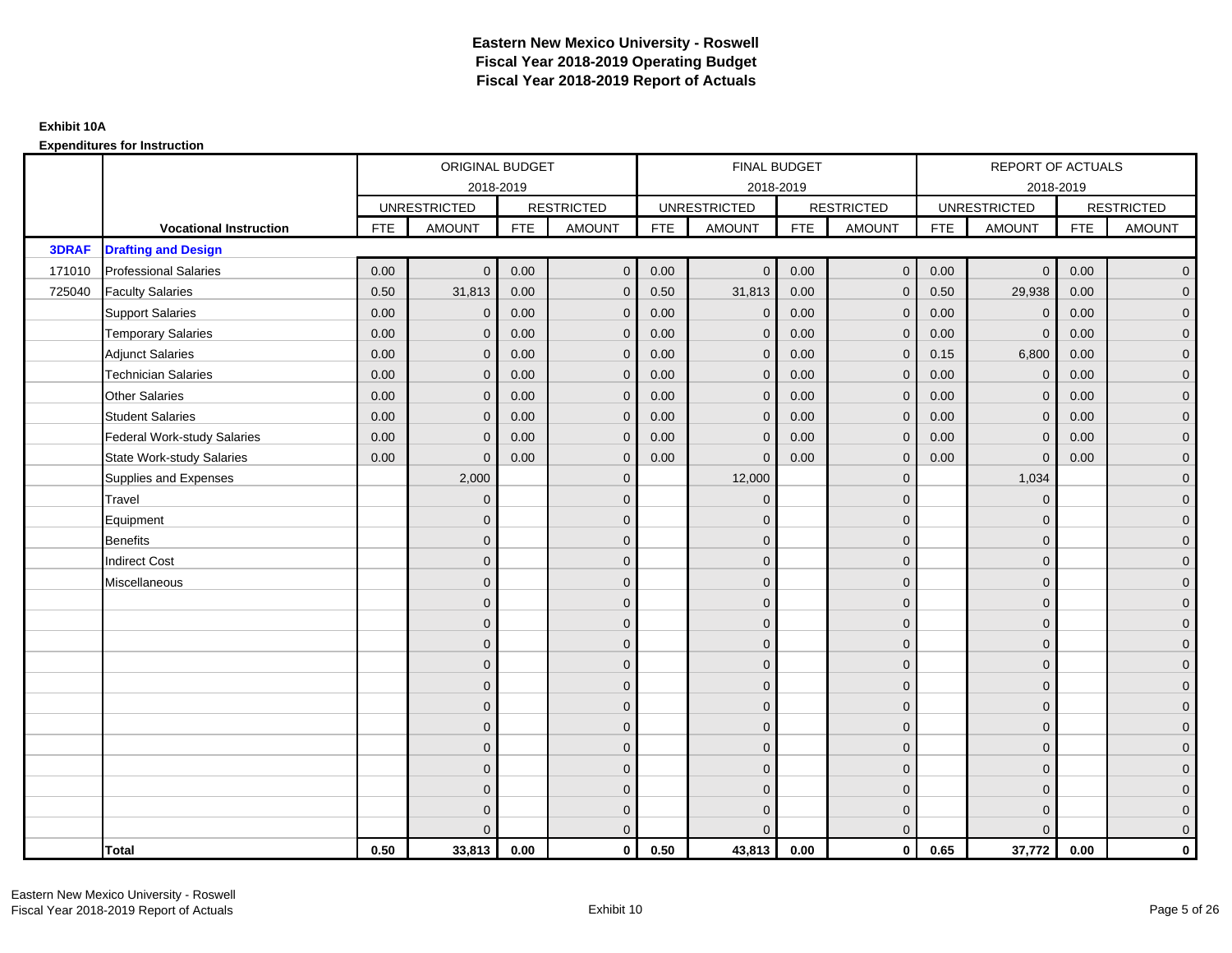|              |                                    |            | ORIGINAL BUDGET     |            |                   |            | <b>FINAL BUDGET</b> |            |                   |            | REPORT OF ACTUALS   |            |                   |
|--------------|------------------------------------|------------|---------------------|------------|-------------------|------------|---------------------|------------|-------------------|------------|---------------------|------------|-------------------|
|              |                                    |            |                     | 2018-2019  |                   |            | 2018-2019           |            |                   |            | 2018-2019           |            |                   |
|              |                                    |            | <b>UNRESTRICTED</b> |            | <b>RESTRICTED</b> |            | <b>UNRESTRICTED</b> |            | <b>RESTRICTED</b> |            | <b>UNRESTRICTED</b> |            | <b>RESTRICTED</b> |
|              | <b>Vocational Instruction</b>      | <b>FTE</b> | <b>AMOUNT</b>       | <b>FTE</b> | <b>AMOUNT</b>     | <b>FTE</b> | <b>AMOUNT</b>       | <b>FTE</b> | <b>AMOUNT</b>     | <b>FTE</b> | <b>AMOUNT</b>       | <b>FTE</b> | <b>AMOUNT</b>     |
| <b>3DRAF</b> | <b>Drafting and Design</b>         |            |                     |            |                   |            |                     |            |                   |            |                     |            |                   |
| 171010       | <b>Professional Salaries</b>       | 0.00       | $\Omega$            | 0.00       | $\mathbf{0}$      | 0.00       | $\Omega$            | 0.00       | $\mathbf{0}$      | 0.00       | $\overline{0}$      | 0.00       | $\overline{0}$    |
| 725040       | <b>Faculty Salaries</b>            | 0.50       | 31,813              | 0.00       | $\mathbf 0$       | 0.50       | 31,813              | 0.00       | $\mathbf{0}$      | 0.50       | 29,938              | 0.00       | $\overline{0}$    |
|              | <b>Support Salaries</b>            | 0.00       | $\mathbf{0}$        | 0.00       | $\mathbf 0$       | 0.00       | $\mathbf{0}$        | 0.00       | $\mathbf 0$       | 0.00       | $\mathbf 0$         | 0.00       | $\overline{0}$    |
|              | <b>Temporary Salaries</b>          | 0.00       | $\mathbf{0}$        | 0.00       | $\overline{0}$    | 0.00       | $\Omega$            | 0.00       | $\Omega$          | 0.00       | $\mathbf{0}$        | 0.00       | $\overline{0}$    |
|              | <b>Adjunct Salaries</b>            | 0.00       | $\Omega$            | 0.00       | $\overline{0}$    | 0.00       | $\Omega$            | 0.00       | $\Omega$          | 0.15       | 6,800               | 0.00       | $\overline{0}$    |
|              | <b>Technician Salaries</b>         | 0.00       | $\mathbf{0}$        | 0.00       | $\mathbf{0}$      | 0.00       | $\Omega$            | 0.00       | $\mathbf 0$       | 0.00       | $\mathbf 0$         | 0.00       | $\mathbf{0}$      |
|              | <b>Other Salaries</b>              | 0.00       | $\mathbf 0$         | 0.00       | $\mathbf 0$       | 0.00       | $\Omega$            | 0.00       | $\mathbf{0}$      | 0.00       | $\overline{0}$      | 0.00       | $\overline{0}$    |
|              | <b>Student Salaries</b>            | 0.00       | $\mathbf 0$         | 0.00       | $\mathbf 0$       | 0.00       | $\Omega$            | 0.00       | $\mathbf 0$       | 0.00       | $\mathbf 0$         | 0.00       | $\overline{0}$    |
|              | <b>Federal Work-study Salaries</b> | 0.00       | $\mathbf 0$         | 0.00       | $\mathbf 0$       | 0.00       | $\mathbf{0}$        | 0.00       | $\Omega$          | 0.00       | $\mathbf 0$         | 0.00       | $\overline{0}$    |
|              | <b>State Work-study Salaries</b>   | 0.00       | $\mathbf{0}$        | 0.00       | $\overline{0}$    | 0.00       | $\mathbf{0}$        | 0.00       | $\overline{0}$    | 0.00       | $\mathbf{0}$        | 0.00       | $\overline{0}$    |
|              | Supplies and Expenses              |            | 2,000               |            | $\mathbf{0}$      |            | 12,000              |            | $\overline{0}$    |            | 1,034               |            | $\mathbf{0}$      |
|              | Travel                             |            | $\Omega$            |            | $\mathbf 0$       |            | $\Omega$            |            | $\mathbf{0}$      |            | $\mathbf{0}$        |            | $\overline{0}$    |
|              | Equipment                          |            | $\mathbf{0}$        |            | $\mathbf 0$       |            | $\Omega$            |            | $\mathbf 0$       |            | $\mathbf{0}$        |            | $\overline{0}$    |
|              | <b>Benefits</b>                    |            | $\mathbf{0}$        |            | $\mathbf 0$       |            | $\Omega$            |            | $\mathbf 0$       |            | $\mathbf{0}$        |            | $\overline{0}$    |
|              | <b>Indirect Cost</b>               |            | $\Omega$            |            | $\mathbf{0}$      |            | $\Omega$            |            | $\Omega$          |            | $\Omega$            |            | $\overline{0}$    |
|              | Miscellaneous                      |            | $\mathbf{0}$        |            | $\mathbf 0$       |            | $\Omega$            |            | $\mathbf 0$       |            | $\mathbf{0}$        |            | $\mathbf{0}$      |
|              |                                    |            | $\mathbf{0}$        |            | $\mathbf 0$       |            | $\Omega$            |            | $\mathbf{0}$      |            | $\mathbf{0}$        |            | $\overline{0}$    |
|              |                                    |            | $\mathbf 0$         |            | $\mathbf 0$       |            | $\Omega$            |            | $\mathbf{0}$      |            | $\mathbf{0}$        |            | $\overline{0}$    |
|              |                                    |            | $\mathbf 0$         |            | $\mathbf 0$       |            | $\Omega$            |            | $\mathbf 0$       |            | $\mathbf{0}$        |            | $\overline{0}$    |
|              |                                    |            | $\Omega$            |            | $\mathbf 0$       |            | $\Omega$            |            | $\mathbf{0}$      |            | $\mathbf{0}$        |            | $\mathbf{0}$      |
|              |                                    |            | $\Omega$            |            | $\mathbf 0$       |            | $\Omega$            |            | $\mathbf 0$       |            | $\Omega$            |            | $\mathbf{0}$      |
|              |                                    |            | $\Omega$            |            | $\mathbf 0$       |            | $\Omega$            |            | $\mathbf{0}$      |            | $\Omega$            |            | $\overline{0}$    |
|              |                                    |            | $\mathbf{0}$        |            | $\mathbf 0$       |            | $\Omega$            |            | $\mathbf 0$       |            | $\mathbf 0$         |            | $\overline{0}$    |
|              |                                    |            | $\mathbf{0}$        |            | $\mathbf 0$       |            | $\Omega$            |            | $\mathbf 0$       |            | $\mathbf{0}$        |            | $\overline{0}$    |
|              |                                    |            | $\Omega$            |            | $\mathbf 0$       |            | $\Omega$            |            | $\mathbf{0}$      |            | $\Omega$            |            | $\overline{0}$    |
|              |                                    |            | $\mathbf 0$         |            | $\mathbf 0$       |            | $\Omega$            |            | $\mathbf 0$       |            | $\mathbf{0}$        |            | $\overline{0}$    |
|              |                                    |            | $\mathbf{0}$        |            | $\mathbf 0$       |            | $\Omega$            |            | $\mathbf 0$       |            | $\mathbf{0}$        |            | $\mathbf{0}$      |
|              |                                    |            | $\Omega$            |            | $\overline{0}$    |            |                     |            | $\mathbf{0}$      |            | $\Omega$            |            | $\overline{0}$    |
|              | <b>Total</b>                       | 0.50       | 33,813              | 0.00       | $\mathbf{0}$      | 0.50       | 43,813              | 0.00       | $\mathbf{0}$      | 0.65       | 37,772              | 0.00       | $\mathbf 0$       |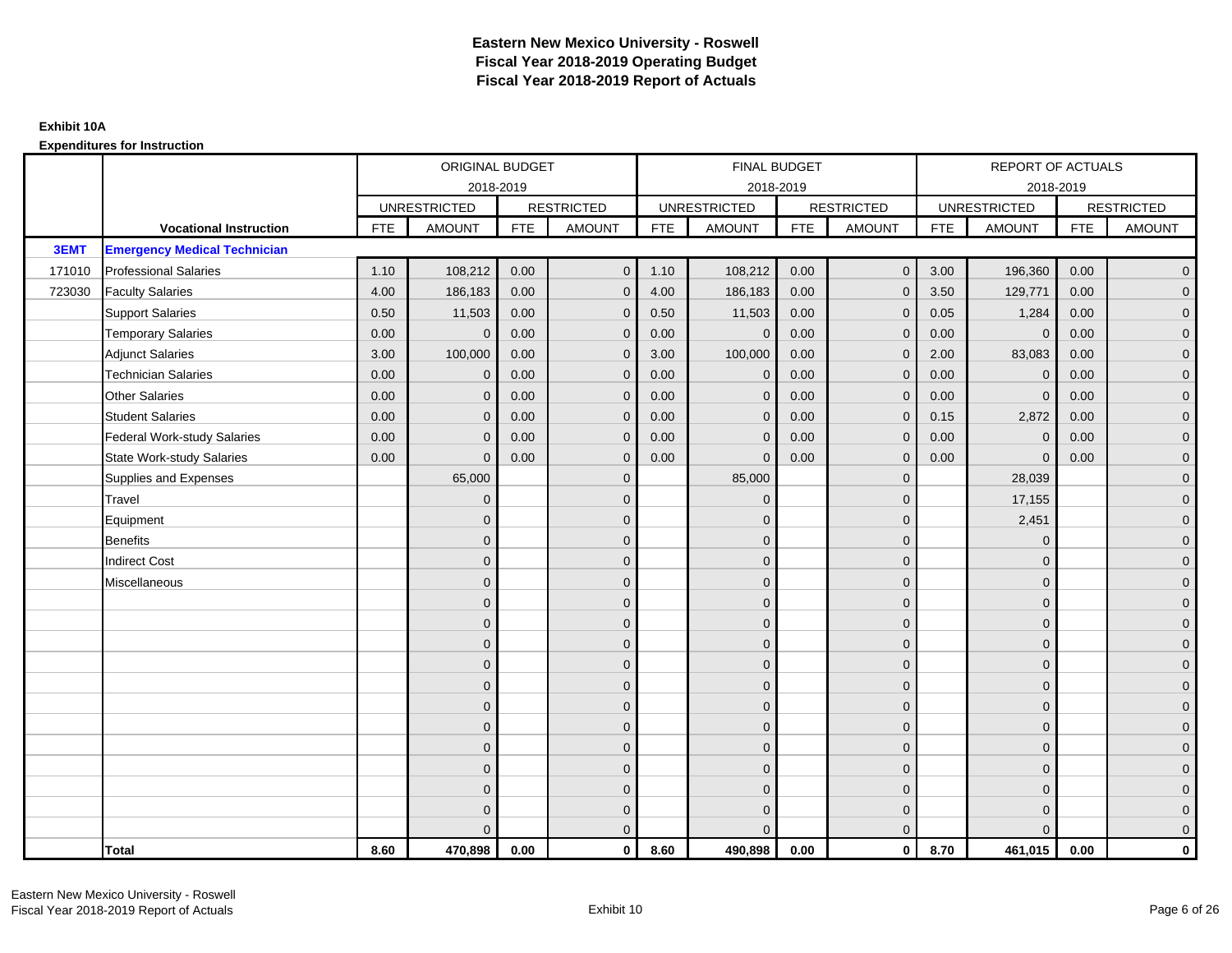|        |                                     |            | ORIGINAL BUDGET     |            |                   |            | FINAL BUDGET        |            |                   |            | REPORT OF ACTUALS   |            |                   |
|--------|-------------------------------------|------------|---------------------|------------|-------------------|------------|---------------------|------------|-------------------|------------|---------------------|------------|-------------------|
|        |                                     |            | 2018-2019           |            |                   |            | 2018-2019           |            |                   |            | 2018-2019           |            |                   |
|        |                                     |            | <b>UNRESTRICTED</b> |            | <b>RESTRICTED</b> |            | <b>UNRESTRICTED</b> |            | <b>RESTRICTED</b> |            | <b>UNRESTRICTED</b> |            | <b>RESTRICTED</b> |
|        | <b>Vocational Instruction</b>       | <b>FTE</b> | <b>AMOUNT</b>       | <b>FTE</b> | <b>AMOUNT</b>     | <b>FTE</b> | <b>AMOUNT</b>       | <b>FTE</b> | <b>AMOUNT</b>     | <b>FTE</b> | <b>AMOUNT</b>       | <b>FTE</b> | <b>AMOUNT</b>     |
| 3EMT   | <b>Emergency Medical Technician</b> |            |                     |            |                   |            |                     |            |                   |            |                     |            |                   |
| 171010 | <b>Professional Salaries</b>        | 1.10       | 108,212             | 0.00       | $\overline{0}$    | 1.10       | 108,212             | 0.00       | $\mathbf{0}$      | 3.00       | 196,360             | 0.00       | $\overline{0}$    |
| 723030 | <b>Faculty Salaries</b>             | 4.00       | 186,183             | 0.00       | $\mathbf 0$       | 4.00       | 186,183             | 0.00       | $\Omega$          | 3.50       | 129,771             | 0.00       | $\overline{0}$    |
|        | <b>Support Salaries</b>             | 0.50       | 11,503              | 0.00       | $\mathbf 0$       | 0.50       | 11,503              | 0.00       | $\Omega$          | 0.05       | 1,284               | 0.00       | $\overline{0}$    |
|        | <b>Temporary Salaries</b>           | 0.00       | $\Omega$            | 0.00       | $\overline{0}$    | 0.00       | $\mathbf{0}$        | 0.00       | $\Omega$          | 0.00       | $\mathbf{0}$        | 0.00       | $\overline{0}$    |
|        | <b>Adjunct Salaries</b>             | 3.00       | 100,000             | 0.00       | $\Omega$          | 3.00       | 100,000             | 0.00       | $\Omega$          | 2.00       | 83,083              | 0.00       | $\overline{0}$    |
|        | <b>Technician Salaries</b>          | 0.00       | $\Omega$            | 0.00       | $\mathbf{0}$      | 0.00       | $\mathbf{0}$        | 0.00       | $\mathbf 0$       | 0.00       | $\mathbf 0$         | 0.00       | $\mathbf{0}$      |
|        | <b>Other Salaries</b>               | 0.00       | $\mathbf{0}$        | 0.00       | $\overline{0}$    | 0.00       | $\mathbf{0}$        | 0.00       | $\Omega$          | 0.00       | $\mathbf 0$         | 0.00       | $\overline{0}$    |
|        | <b>Student Salaries</b>             | 0.00       | $\Omega$            | 0.00       | $\overline{0}$    | 0.00       | $\mathbf{0}$        | 0.00       | $\Omega$          | 0.15       | 2,872               | 0.00       | $\overline{0}$    |
|        | <b>Federal Work-study Salaries</b>  | 0.00       | $\mathbf{0}$        | 0.00       | $\mathbf 0$       | 0.00       | $\mathbf{0}$        | 0.00       | $\Omega$          | 0.00       | $\mathbf 0$         | 0.00       | $\overline{0}$    |
|        | <b>State Work-study Salaries</b>    | 0.00       | $\mathbf{0}$        | 0.00       | $\overline{0}$    | 0.00       | $\mathbf{0}$        | 0.00       | $\mathbf 0$       | 0.00       | $\mathbf{0}$        | 0.00       | $\overline{0}$    |
|        | Supplies and Expenses               |            | 65,000              |            | $\mathbf{0}$      |            | 85,000              |            | $\mathbf 0$       |            | 28,039              |            | $\overline{0}$    |
|        | Travel                              |            | $\Omega$            |            | $\mathbf 0$       |            | $\Omega$            |            | $\Omega$          |            | 17,155              |            | $\overline{0}$    |
|        | Equipment                           |            | $\Omega$            |            | $\mathbf 0$       |            | $\mathbf{0}$        |            | $\mathbf{0}$      |            | 2,451               |            | $\overline{0}$    |
|        | <b>Benefits</b>                     |            | $\Omega$            |            | $\mathbf 0$       |            | $\Omega$            |            | $\mathbf{0}$      |            | $\mathbf{0}$        |            | $\overline{0}$    |
|        | <b>Indirect Cost</b>                |            | $\Omega$            |            | $\overline{0}$    |            | $\Omega$            |            | $\Omega$          |            | $\Omega$            |            | $\overline{0}$    |
|        | Miscellaneous                       |            | $\Omega$            |            | $\mathbf 0$       |            | $\mathbf{0}$        |            | $\Omega$          |            | $\mathbf{0}$        |            | $\mathbf{0}$      |
|        |                                     |            | $\Omega$            |            | $\mathbf 0$       |            | $\Omega$            |            | $\mathbf{0}$      |            | $\mathbf{0}$        |            | $\overline{0}$    |
|        |                                     |            | $\Omega$            |            | $\mathbf 0$       |            | $\Omega$            |            | $\mathbf{0}$      |            | $\mathbf{0}$        |            | $\overline{0}$    |
|        |                                     |            | $\Omega$            |            | $\mathbf 0$       |            | $\mathbf{0}$        |            | $\overline{0}$    |            | $\mathbf{0}$        |            | $\overline{0}$    |
|        |                                     |            | $\Omega$            |            | $\mathbf 0$       |            | $\Omega$            |            | $\mathbf{0}$      |            | $\mathbf{0}$        |            | $\overline{0}$    |
|        |                                     |            | $\Omega$            |            | $\mathbf 0$       |            | $\Omega$            |            | $\mathbf 0$       |            | $\Omega$            |            | $\mathbf{0}$      |
|        |                                     |            | $\Omega$            |            | $\mathbf 0$       |            | $\Omega$            |            | $\mathbf{0}$      |            | $\Omega$            |            | $\overline{0}$    |
|        |                                     |            | $\Omega$            |            | $\mathbf 0$       |            | $\mathbf{0}$        |            | $\mathbf{0}$      |            | $\mathbf{0}$        |            | $\overline{0}$    |
|        |                                     |            | $\Omega$            |            | $\mathbf 0$       |            | $\Omega$            |            | $\mathbf 0$       |            | $\mathbf{0}$        |            | $\mathbf 0$       |
|        |                                     |            | $\Omega$            |            | $\overline{0}$    |            | $\Omega$            |            | $\Omega$          |            | $\Omega$            |            | $\overline{0}$    |
|        |                                     |            | $\Omega$            |            | $\mathbf 0$       |            | $\mathbf{0}$        |            | $\mathbf{0}$      |            | $\mathbf{0}$        |            | $\mathbf{0}$      |
|        |                                     |            | $\Omega$            |            | $\mathbf 0$       |            | $\Omega$            |            | $\mathbf{0}$      |            | $\mathbf{0}$        |            | $\mathbf{0}$      |
|        |                                     |            |                     |            | $\mathbf{0}$      |            | $\Omega$            |            | $\mathbf{0}$      |            | $\Omega$            |            | $\overline{0}$    |
|        | <b>Total</b>                        | 8.60       | 470,898             | 0.00       | $\mathbf{0}$      | 8.60       | 490,898             | 0.00       | $\mathbf{0}$      | 8.70       | 461,015             | 0.00       | $\mathbf 0$       |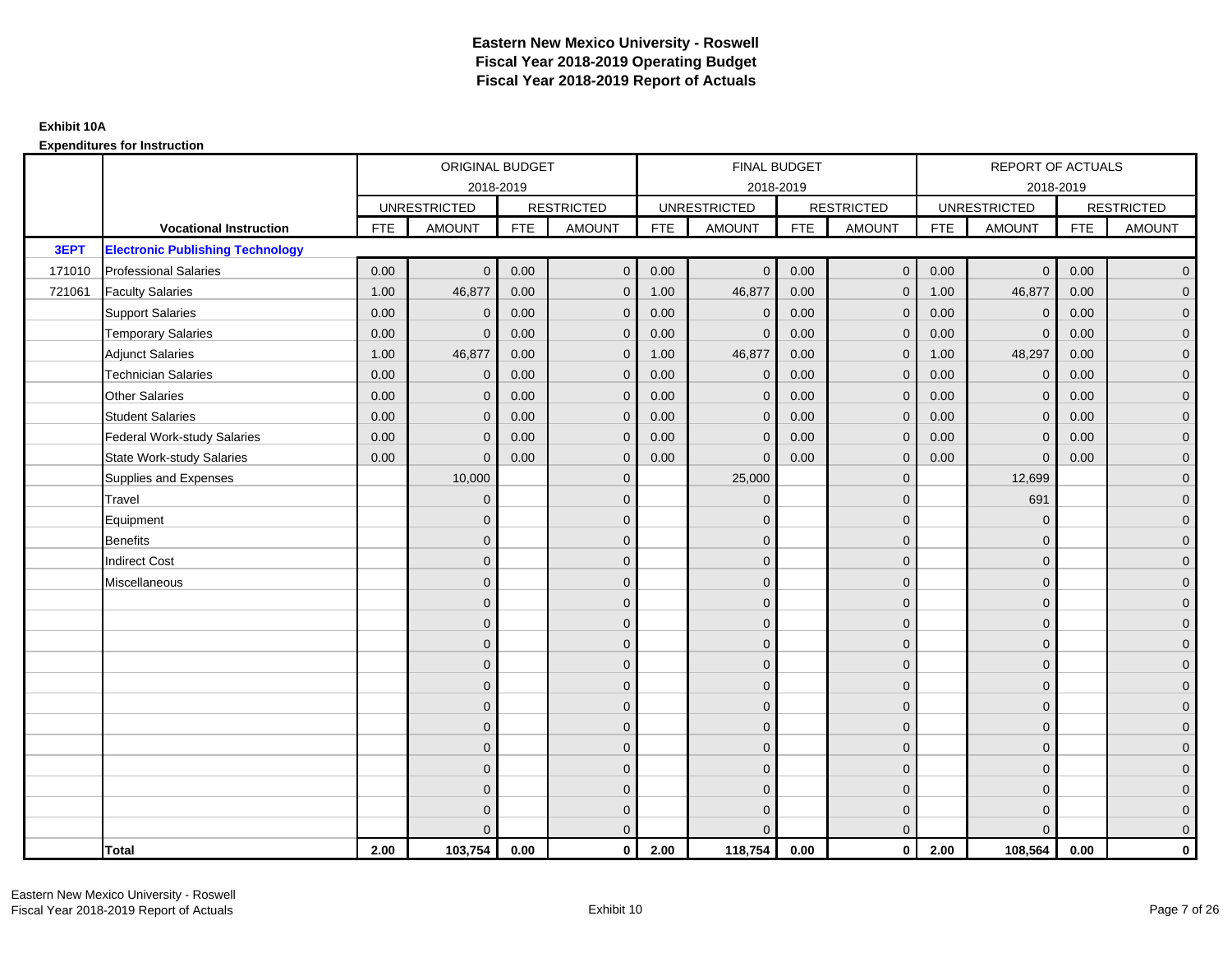|        |                                         |            | ORIGINAL BUDGET     |            |                   |            | <b>FINAL BUDGET</b> |            |                   |            | REPORT OF ACTUALS   |            |                   |
|--------|-----------------------------------------|------------|---------------------|------------|-------------------|------------|---------------------|------------|-------------------|------------|---------------------|------------|-------------------|
|        |                                         |            | 2018-2019           |            |                   |            | 2018-2019           |            |                   |            | 2018-2019           |            |                   |
|        |                                         |            | <b>UNRESTRICTED</b> |            | <b>RESTRICTED</b> |            | <b>UNRESTRICTED</b> |            | <b>RESTRICTED</b> |            | <b>UNRESTRICTED</b> |            | <b>RESTRICTED</b> |
|        | <b>Vocational Instruction</b>           | <b>FTE</b> | <b>AMOUNT</b>       | <b>FTE</b> | <b>AMOUNT</b>     | <b>FTE</b> | <b>AMOUNT</b>       | <b>FTE</b> | <b>AMOUNT</b>     | <b>FTE</b> | <b>AMOUNT</b>       | <b>FTE</b> | <b>AMOUNT</b>     |
| 3EPT   | <b>Electronic Publishing Technology</b> |            |                     |            |                   |            |                     |            |                   |            |                     |            |                   |
| 171010 | <b>Professional Salaries</b>            | 0.00       | $\Omega$            | 0.00       | $\overline{0}$    | 0.00       | $\overline{0}$      | 0.00       | $\mathbf{0}$      | 0.00       | $\overline{0}$      | 0.00       | $\overline{0}$    |
| 721061 | <b>Faculty Salaries</b>                 | 1.00       | 46,877              | 0.00       | $\mathbf 0$       | 1.00       | 46,877              | 0.00       | $\mathbf{0}$      | 1.00       | 46,877              | 0.00       | $\overline{0}$    |
|        | <b>Support Salaries</b>                 | 0.00       | $\mathbf 0$         | 0.00       | $\mathbf 0$       | 0.00       | $\mathbf 0$         | 0.00       | $\Omega$          | 0.00       | $\mathbf 0$         | 0.00       | $\overline{0}$    |
|        | <b>Temporary Salaries</b>               | 0.00       | $\Omega$            | 0.00       | $\overline{0}$    | 0.00       | $\Omega$            | 0.00       | $\Omega$          | 0.00       | $\mathbf{0}$        | 0.00       | $\overline{0}$    |
|        | <b>Adjunct Salaries</b>                 | 1.00       | 46,877              | 0.00       | $\overline{0}$    | 1.00       | 46,877              | 0.00       | $\Omega$          | 1.00       | 48,297              | 0.00       | $\overline{0}$    |
|        | <b>Technician Salaries</b>              | 0.00       | $\Omega$            | 0.00       | $\mathbf{0}$      | 0.00       | $\mathbf{0}$        | 0.00       | $\mathbf{0}$      | 0.00       | $\mathbf 0$         | 0.00       | $\mathbf{0}$      |
|        | Other Salaries                          | 0.00       | $\mathbf{0}$        | 0.00       | $\overline{0}$    | 0.00       | $\mathbf{0}$        | 0.00       | $\Omega$          | 0.00       | $\overline{0}$      | 0.00       | $\overline{0}$    |
|        | <b>Student Salaries</b>                 | 0.00       | $\mathbf{0}$        | 0.00       | $\overline{0}$    | 0.00       | $\mathbf{0}$        | 0.00       | $\mathbf 0$       | 0.00       | $\mathbf 0$         | 0.00       | $\overline{0}$    |
|        | <b>Federal Work-study Salaries</b>      | 0.00       | $\mathbf{0}$        | 0.00       | $\mathbf 0$       | 0.00       | $\mathbf{0}$        | 0.00       | $\Omega$          | 0.00       | $\mathbf 0$         | 0.00       | $\overline{0}$    |
|        | <b>State Work-study Salaries</b>        | 0.00       | $\mathbf{0}$        | 0.00       | $\overline{0}$    | 0.00       | $\mathbf{0}$        | 0.00       | $\mathbf{0}$      | 0.00       | $\mathbf{0}$        | 0.00       | $\overline{0}$    |
|        | Supplies and Expenses                   |            | 10,000              |            | $\mathbf{0}$      |            | 25,000              |            | $\mathbf 0$       |            | 12,699              |            | $\overline{0}$    |
|        | Travel                                  |            | $\Omega$            |            | $\mathbf 0$       |            | $\Omega$            |            | $\Omega$          |            | 691                 |            | $\overline{0}$    |
|        | Equipment                               |            | $\Omega$            |            | $\mathbf 0$       |            | $\mathbf{0}$        |            | $\mathbf 0$       |            | $\mathbf 0$         |            | $\overline{0}$    |
|        | <b>Benefits</b>                         |            | $\mathbf{0}$        |            | $\mathbf 0$       |            | $\Omega$            |            | $\mathbf 0$       |            | $\mathbf{0}$        |            | $\overline{0}$    |
|        | <b>Indirect Cost</b>                    |            | $\Omega$            |            | $\overline{0}$    |            | $\Omega$            |            | $\Omega$          |            | $\Omega$            |            | $\overline{0}$    |
|        | Miscellaneous                           |            | $\Omega$            |            | $\mathbf 0$       |            | $\mathbf{0}$        |            | $\Omega$          |            | $\mathbf{0}$        |            | $\mathbf{0}$      |
|        |                                         |            | $\Omega$            |            | $\mathbf 0$       |            | $\mathbf{0}$        |            | $\mathbf{0}$      |            | $\mathbf{0}$        |            | $\overline{0}$    |
|        |                                         |            | $\Omega$            |            | $\mathbf 0$       |            | $\overline{0}$      |            | $\mathbf{0}$      |            | $\mathbf{0}$        |            | $\overline{0}$    |
|        |                                         |            | $\Omega$            |            | $\mathbf 0$       |            | $\mathbf{0}$        |            | $\mathbf 0$       |            | $\mathbf{0}$        |            | $\overline{0}$    |
|        |                                         |            | $\Omega$            |            | $\mathbf 0$       |            | $\Omega$            |            | $\mathbf{0}$      |            | $\mathbf{0}$        |            | $\overline{0}$    |
|        |                                         |            | $\Omega$            |            | $\mathbf 0$       |            | $\Omega$            |            | $\overline{0}$    |            | $\Omega$            |            | $\mathbf{0}$      |
|        |                                         |            | $\Omega$            |            | $\mathbf 0$       |            | $\Omega$            |            | $\mathbf{0}$      |            | $\Omega$            |            | $\overline{0}$    |
|        |                                         |            | $\Omega$            |            | $\mathbf 0$       |            | $\mathbf{0}$        |            | $\mathbf{0}$      |            | $\mathbf{0}$        |            | $\overline{0}$    |
|        |                                         |            | $\Omega$            |            | $\mathbf 0$       |            | $\Omega$            |            | $\mathbf 0$       |            | $\mathbf{0}$        |            | $\mathbf 0$       |
|        |                                         |            | $\Omega$            |            | $\overline{0}$    |            | $\Omega$            |            | $\Omega$          |            | $\Omega$            |            | $\mathbf 0$       |
|        |                                         |            | $\Omega$            |            | $\mathbf 0$       |            | $\mathbf{0}$        |            | $\mathbf 0$       |            | $\mathbf{0}$        |            | $\mathbf{0}$      |
|        |                                         |            | $\Omega$            |            | $\mathbf 0$       |            | $\Omega$            |            | $\mathbf{0}$      |            | $\mathbf{0}$        |            | $\mathbf{0}$      |
|        |                                         |            |                     |            | $\overline{0}$    |            | $\Omega$            |            | $\mathbf{0}$      |            | $\Omega$            |            | $\overline{0}$    |
|        | <b>Total</b>                            | 2.00       | 103,754             | 0.00       | $\mathbf{0}$      | 2.00       | 118,754             | 0.00       | $\mathbf{0}$      | 2.00       | 108,564             | 0.00       | $\mathbf 0$       |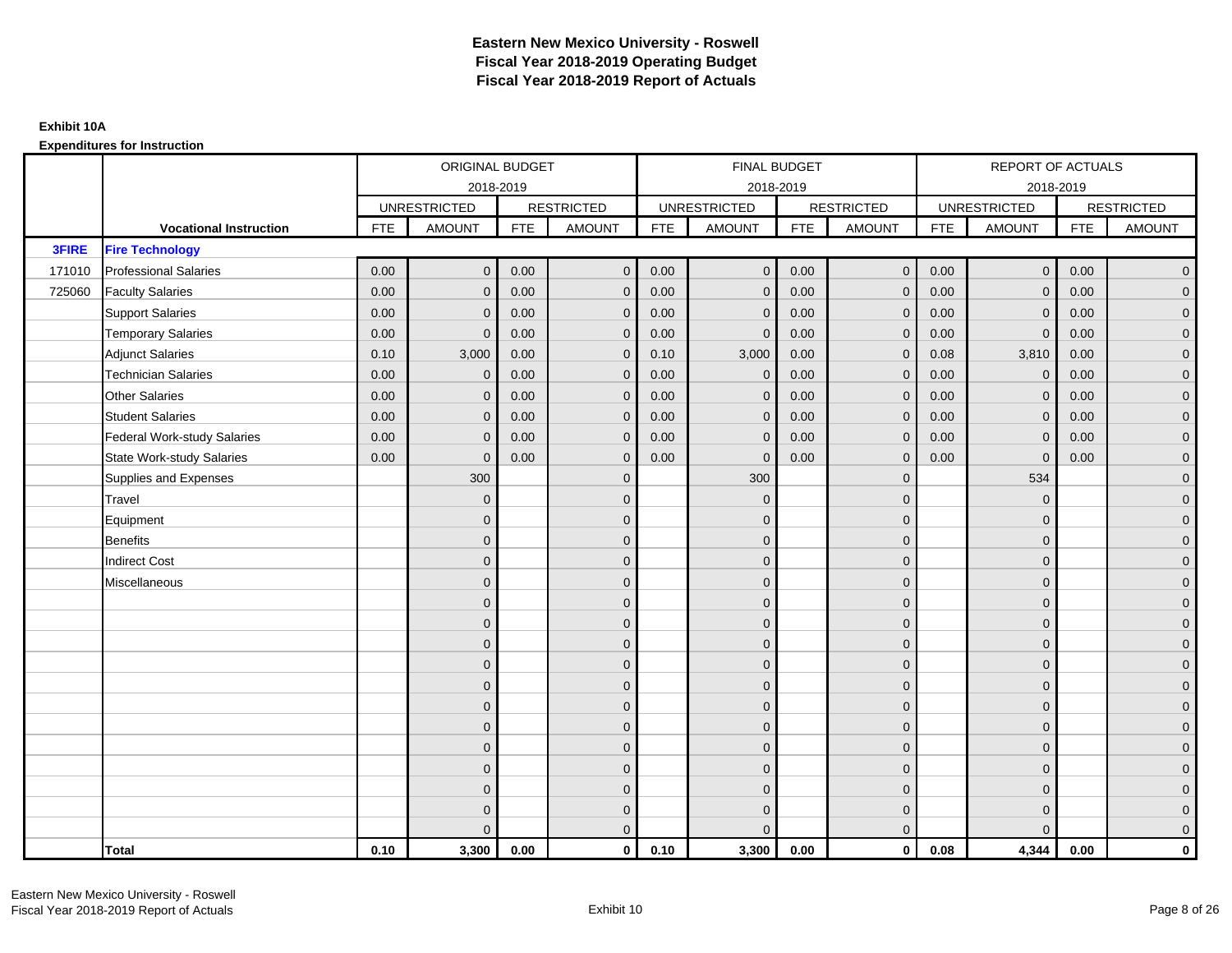|              |                                    |            | ORIGINAL BUDGET     |            |                     |            | FINAL BUDGET        |            |                   |            | <b>REPORT OF ACTUALS</b> |            |                     |
|--------------|------------------------------------|------------|---------------------|------------|---------------------|------------|---------------------|------------|-------------------|------------|--------------------------|------------|---------------------|
|              |                                    |            |                     | 2018-2019  |                     |            | 2018-2019           |            |                   |            | 2018-2019                |            |                     |
|              |                                    |            | <b>UNRESTRICTED</b> |            | <b>RESTRICTED</b>   |            | <b>UNRESTRICTED</b> |            | <b>RESTRICTED</b> |            | <b>UNRESTRICTED</b>      |            | <b>RESTRICTED</b>   |
|              | <b>Vocational Instruction</b>      | <b>FTE</b> | <b>AMOUNT</b>       | <b>FTE</b> | <b>AMOUNT</b>       | <b>FTE</b> | <b>AMOUNT</b>       | <b>FTE</b> | <b>AMOUNT</b>     | <b>FTE</b> | <b>AMOUNT</b>            | <b>FTE</b> | <b>AMOUNT</b>       |
| <b>3FIRE</b> | <b>Fire Technology</b>             |            |                     |            |                     |            |                     |            |                   |            |                          |            |                     |
| 171010       | <b>Professional Salaries</b>       | 0.00       | $\mathbf{0}$        | 0.00       | $\overline{0}$      | 0.00       | $\mathbf{0}$        | 0.00       | $\overline{0}$    | 0.00       | $\overline{0}$           | 0.00       | $\overline{0}$      |
| 725060       | <b>Faculty Salaries</b>            | 0.00       | $\mathbf{0}$        | 0.00       | $\mathbf 0$         | 0.00       | $\Omega$            | 0.00       | $\Omega$          | 0.00       | $\overline{0}$           | 0.00       | $\overline{0}$      |
|              | <b>Support Salaries</b>            | 0.00       | $\mathbf 0$         | 0.00       | $\mathbf 0$         | 0.00       | $\Omega$            | 0.00       | $\mathbf{0}$      | 0.00       | $\mathbf 0$              | 0.00       | $\overline{0}$      |
|              | <b>Temporary Salaries</b>          | 0.00       | $\mathbf{0}$        | 0.00       | $\mathbf 0$         | 0.00       | $\mathbf{0}$        | 0.00       | $\mathbf 0$       | 0.00       | $\mathbf 0$              | 0.00       | $\overline{0}$      |
|              | <b>Adjunct Salaries</b>            | 0.10       | 3,000               | 0.00       | $\overline{0}$      | 0.10       | 3,000               | 0.00       | $\mathbf{0}$      | 0.08       | 3,810                    | 0.00       | $\overline{0}$      |
|              | <b>Technician Salaries</b>         | 0.00       | $\Omega$            | 0.00       | $\overline{0}$      | 0.00       | $\Omega$            | 0.00       | $\Omega$          | 0.00       | $\mathbf{0}$             | 0.00       | $\overline{0}$      |
|              | <b>Other Salaries</b>              | 0.00       | $\mathbf{0}$        | 0.00       | $\mathbf 0$         | 0.00       | $\mathbf{0}$        | 0.00       | $\mathbf{0}$      | 0.00       | $\mathbf 0$              | 0.00       | $\overline{0}$      |
|              | <b>Student Salaries</b>            | 0.00       | $\mathbf{0}$        | 0.00       | $\mathbf 0$         | 0.00       | $\mathbf{0}$        | 0.00       | $\mathbf{0}$      | 0.00       | $\overline{0}$           | 0.00       | $\overline{0}$      |
|              | <b>Federal Work-study Salaries</b> | 0.00       | $\mathbf{0}$        | 0.00       | $\overline{0}$      | 0.00       | $\Omega$            | 0.00       | $\Omega$          | 0.00       | $\mathbf{0}$             | 0.00       | $\overline{0}$      |
|              | <b>State Work-study Salaries</b>   | 0.00       | $\mathbf{0}$        | 0.00       | $\overline{0}$      | 0.00       | $\Omega$            | 0.00       | $\Omega$          | 0.00       | $\mathbf{0}$             | 0.00       | $\overline{0}$      |
|              | Supplies and Expenses              |            | 300                 |            | $\mathbf 0$         |            | 300                 |            | $\mathbf{0}$      |            | 534                      |            | $\mathbf{0}$        |
|              | Travel                             |            | $\mathbf{0}$        |            | $\mathbf 0$         |            | $\mathbf{0}$        |            | $\mathbf 0$       |            | $\mathbf 0$              |            | $\mathbf{0}$        |
|              | Equipment                          |            | $\mathbf{0}$        |            | $\mathbf 0$         |            | $\Omega$            |            | $\mathbf{0}$      |            | $\mathbf{0}$             |            | $\overline{0}$      |
|              | <b>Benefits</b>                    |            | $\mathbf{0}$        |            | $\mathbf 0$         |            | $\mathbf{0}$        |            | $\mathbf 0$       |            | $\mathbf 0$              |            | $\mathbf{0}$        |
|              | <b>Indirect Cost</b>               |            | $\mathbf{0}$        |            | $\mathbf 0$         |            | $\Omega$            |            | $\mathbf{0}$      |            | $\mathbf{0}$             |            | $\mathbf{0}$        |
|              | Miscellaneous                      |            | $\Omega$            |            | $\mathbf 0$         |            | $\Omega$            |            | $\mathbf{0}$      |            | $\mathbf{0}$             |            | $\mathsf{O}\xspace$ |
|              |                                    |            | $\Omega$            |            | $\mathbf 0$         |            | $\Omega$            |            | $\mathbf{0}$      |            | $\Omega$                 |            | $\overline{0}$      |
|              |                                    |            | $\overline{0}$      |            | $\mathsf{O}\xspace$ |            | $\mathbf{0}$        |            | $\mathbf 0$       |            | $\mathbf 0$              |            | $\mathsf{O}\xspace$ |
|              |                                    |            | $\mathbf{0}$        |            | $\mathbf 0$         |            | $\Omega$            |            | $\mathbf 0$       |            | $\mathbf{0}$             |            | $\overline{0}$      |
|              |                                    |            | $\Omega$            |            | $\mathbf 0$         |            | $\Omega$            |            | $\mathbf{0}$      |            | $\mathbf{0}$             |            | $\overline{0}$      |
|              |                                    |            | $\Omega$            |            | $\overline{0}$      |            | $\Omega$            |            | $\mathbf{0}$      |            | $\Omega$                 |            | $\overline{0}$      |
|              |                                    |            | $\mathbf{0}$        |            | $\mathbf 0$         |            | $\Omega$            |            | $\mathbf 0$       |            | $\mathbf{0}$             |            | $\overline{0}$      |
|              |                                    |            | $\mathbf{0}$        |            | $\mathbf 0$         |            | $\Omega$            |            | $\mathbf{0}$      |            | $\mathbf{0}$             |            | $\overline{0}$      |
|              |                                    |            | $\mathbf{0}$        |            | $\mathbf 0$         |            | $\Omega$            |            | $\mathbf{0}$      |            | $\mathbf{0}$             |            | $\overline{0}$      |
|              |                                    |            | $\Omega$            |            | $\mathbf 0$         |            | $\Omega$            |            | $\mathbf{0}$      |            | $\Omega$                 |            | $\overline{0}$      |
|              |                                    |            | $\mathbf{0}$        |            | $\mathbf 0$         |            | $\Omega$            |            | $\mathbf 0$       |            | $\mathbf{0}$             |            | $\overline{0}$      |
|              |                                    |            | $\mathbf{0}$        |            | $\mathbf 0$         |            | $\Omega$            |            | $\mathbf 0$       |            | $\mathbf{0}$             |            | $\mathbf{0}$        |
|              |                                    |            | $\Omega$            |            | $\overline{0}$      |            | $\Omega$            |            | $\mathbf{0}$      |            | $\Omega$                 |            | $\overline{0}$      |
|              | <b>Total</b>                       | 0.10       | 3,300               | 0.00       | $\mathbf{0}$        | 0.10       | 3,300               | 0.00       | $\mathbf{0}$      | 0.08       | 4,344                    | 0.00       | $\mathbf 0$         |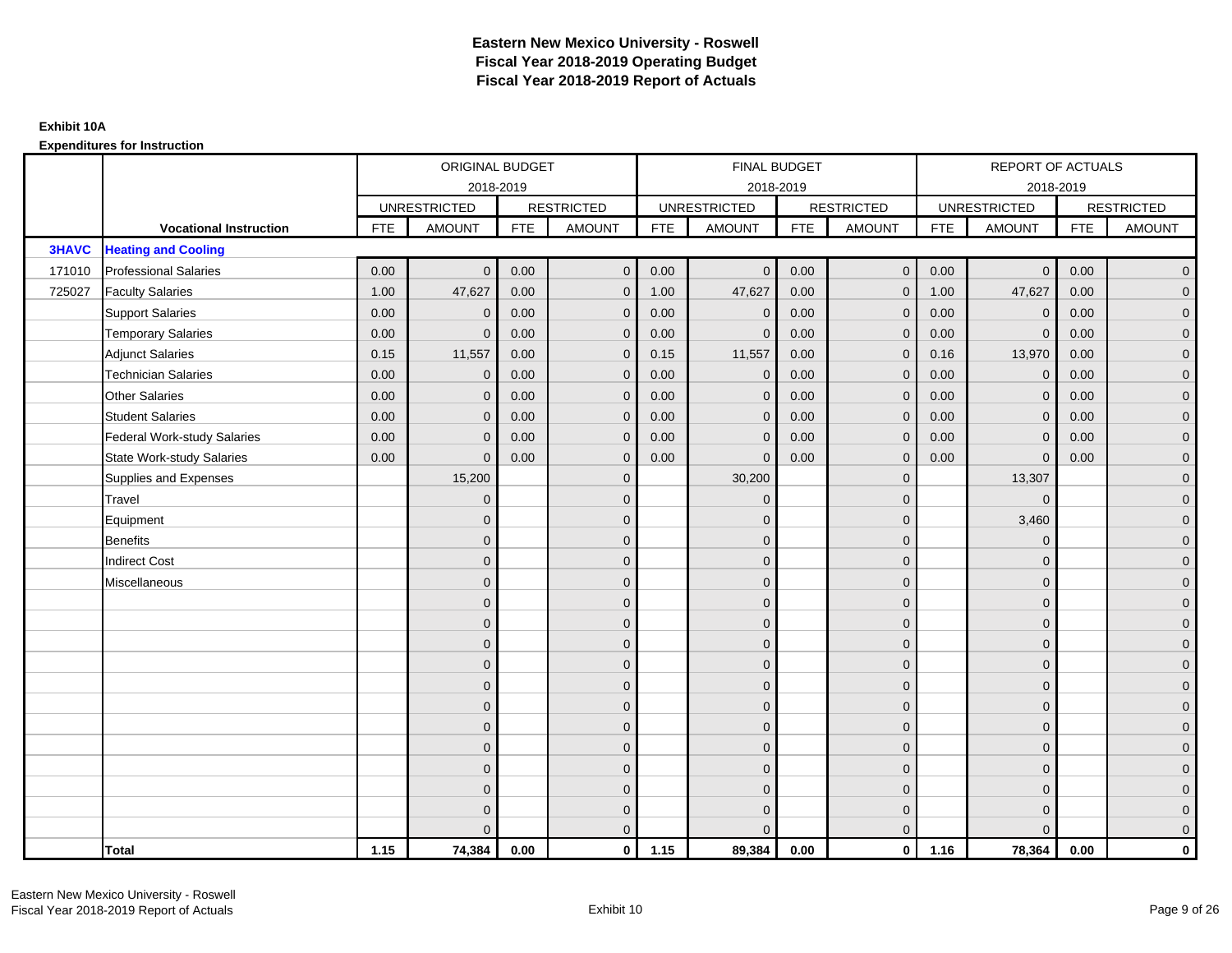|              |                               |            | ORIGINAL BUDGET     |            |                     |            | FINAL BUDGET        |            |                   |            | <b>REPORT OF ACTUALS</b> |            |                     |
|--------------|-------------------------------|------------|---------------------|------------|---------------------|------------|---------------------|------------|-------------------|------------|--------------------------|------------|---------------------|
|              |                               |            | 2018-2019           |            |                     |            | 2018-2019           |            |                   |            | 2018-2019                |            |                     |
|              |                               |            | <b>UNRESTRICTED</b> |            | <b>RESTRICTED</b>   |            | <b>UNRESTRICTED</b> |            | <b>RESTRICTED</b> |            | <b>UNRESTRICTED</b>      |            | <b>RESTRICTED</b>   |
|              | <b>Vocational Instruction</b> | <b>FTE</b> | <b>AMOUNT</b>       | <b>FTE</b> | <b>AMOUNT</b>       | <b>FTE</b> | <b>AMOUNT</b>       | <b>FTE</b> | <b>AMOUNT</b>     | <b>FTE</b> | <b>AMOUNT</b>            | <b>FTE</b> | <b>AMOUNT</b>       |
| <b>3HAVC</b> | <b>Heating and Cooling</b>    |            |                     |            |                     |            |                     |            |                   |            |                          |            |                     |
| 171010       | <b>Professional Salaries</b>  | 0.00       | $\mathbf{0}$        | 0.00       | $\overline{0}$      | 0.00       | $\overline{0}$      | 0.00       | $\mathbf{0}$      | 0.00       | $\overline{0}$           | 0.00       | $\overline{0}$      |
| 725027       | <b>Faculty Salaries</b>       | 1.00       | 47,627              | 0.00       | $\mathbf 0$         | 1.00       | 47,627              | 0.00       | $\Omega$          | 1.00       | 47,627                   | 0.00       | $\overline{0}$      |
|              | <b>Support Salaries</b>       | 0.00       | $\mathbf{0}$        | 0.00       | $\mathbf 0$         | 0.00       | $\mathbf 0$         | 0.00       | $\mathbf{0}$      | 0.00       | $\mathbf 0$              | 0.00       | $\overline{0}$      |
|              | <b>Temporary Salaries</b>     | 0.00       | $\mathbf{0}$        | 0.00       | $\mathbf 0$         | 0.00       | $\mathbf{0}$        | 0.00       | 0                 | 0.00       | $\mathbf 0$              | 0.00       | $\overline{0}$      |
|              | <b>Adjunct Salaries</b>       | 0.15       | 11,557              | 0.00       | $\overline{0}$      | 0.15       | 11,557              | 0.00       | $\Omega$          | 0.16       | 13,970                   | 0.00       | $\overline{0}$      |
|              | <b>Technician Salaries</b>    | 0.00       | $\Omega$            | 0.00       | $\mathbf{0}$        | 0.00       | $\Omega$            | 0.00       | $\Omega$          | 0.00       | $\mathbf{0}$             | 0.00       | $\overline{0}$      |
|              | <b>Other Salaries</b>         | 0.00       | $\mathbf{0}$        | 0.00       | $\mathbf 0$         | 0.00       | $\mathbf{0}$        | 0.00       | $\mathbf{0}$      | 0.00       | $\mathbf 0$              | 0.00       | $\mathbf{0}$        |
|              | <b>Student Salaries</b>       | 0.00       | $\mathbf{0}$        | 0.00       | $\mathbf 0$         | 0.00       | $\mathbf{0}$        | 0.00       | $\mathbf{0}$      | 0.00       | $\mathbf 0$              | 0.00       | $\overline{0}$      |
|              | Federal Work-study Salaries   | 0.00       | $\mathbf{0}$        | 0.00       | $\overline{0}$      | 0.00       | $\Omega$            | 0.00       | $\Omega$          | 0.00       | $\mathbf{0}$             | 0.00       | $\overline{0}$      |
|              | State Work-study Salaries     | 0.00       | $\Omega$            | 0.00       | $\overline{0}$      | 0.00       | $\Omega$            | 0.00       | $\Omega$          | 0.00       | $\Omega$                 | 0.00       | $\overline{0}$      |
|              | Supplies and Expenses         |            | 15,200              |            | $\mathbf 0$         |            | 30,200              |            | $\mathbf{0}$      |            | 13,307                   |            | $\mathbf{0}$        |
|              | <b>Travel</b>                 |            | $\mathbf{0}$        |            | $\mathbf 0$         |            | $\mathbf{0}$        |            | $\mathbf{0}$      |            | $\mathbf 0$              |            | $\overline{0}$      |
|              | Equipment                     |            | $\Omega$            |            | $\mathbf 0$         |            | $\Omega$            |            | $\mathbf{0}$      |            | 3,460                    |            | $\overline{0}$      |
|              | Benefits                      |            | $\mathbf{0}$        |            | $\mathbf 0$         |            | $\mathbf{0}$        |            | $\mathbf 0$       |            | $\mathbf 0$              |            | $\overline{0}$      |
|              | <b>Indirect Cost</b>          |            | $\Omega$            |            | $\mathbf 0$         |            | $\Omega$            |            | $\mathbf{0}$      |            | $\Omega$                 |            | $\mathbf{0}$        |
|              | Miscellaneous                 |            | $\Omega$            |            | $\mathbf 0$         |            | $\Omega$            |            | $\mathbf{0}$      |            | $\mathbf{0}$             |            | $\mathsf{O}\xspace$ |
|              |                               |            | $\Omega$            |            | $\mathbf 0$         |            | $\Omega$            |            | $\mathbf{0}$      |            | $\Omega$                 |            | $\overline{0}$      |
|              |                               |            | $\mathbf{0}$        |            | $\mathsf{O}\xspace$ |            | $\mathbf{0}$        |            | $\mathbf 0$       |            | $\mathbf 0$              |            | $\mathsf{O}\xspace$ |
|              |                               |            | $\Omega$            |            | $\mathbf 0$         |            | $\Omega$            |            | $\mathbf 0$       |            | $\mathbf{0}$             |            | $\overline{0}$      |
|              |                               |            | $\Omega$            |            | $\mathbf 0$         |            | $\Omega$            |            | $\mathbf{0}$      |            | $\mathbf{0}$             |            | $\overline{0}$      |
|              |                               |            | $\Omega$            |            | $\mathbf{0}$        |            | $\Omega$            |            | $\Omega$          |            | $\Omega$                 |            | $\overline{0}$      |
|              |                               |            | $\mathbf{0}$        |            | $\mathsf{O}\xspace$ |            | $\mathbf{0}$        |            | $\mathbf 0$       |            | $\mathbf{0}$             |            | $\overline{0}$      |
|              |                               |            | $\Omega$            |            | $\mathbf 0$         |            | $\overline{0}$      |            | $\mathbf{0}$      |            | $\mathbf{0}$             |            | $\overline{0}$      |
|              |                               |            | $\Omega$            |            | $\mathbf 0$         |            | $\Omega$            |            | $\mathbf 0$       |            | $\mathbf{0}$             |            | $\overline{0}$      |
|              |                               |            | $\Omega$            |            | $\overline{0}$      |            | $\Omega$            |            | $\Omega$          |            | $\Omega$                 |            | $\overline{0}$      |
|              |                               |            | $\Omega$            |            | $\mathbf 0$         |            | $\mathbf{0}$        |            | $\mathbf 0$       |            | $\mathbf{0}$             |            | $\mathbf{0}$        |
|              |                               |            | $\Omega$            |            | $\mathbf 0$         |            | $\Omega$            |            | $\mathbf{0}$      |            | $\mathbf{0}$             |            | $\mathbf{0}$        |
|              |                               |            |                     |            | $\overline{0}$      |            | $\Omega$            |            | $\mathbf{0}$      |            | $\Omega$                 |            | $\overline{0}$      |
|              | <b>Total</b>                  | 1.15       | 74,384              | 0.00       | $\mathbf{0}$        | 1.15       | 89,384              | 0.00       | $\mathbf{0}$      | 1.16       | 78,364                   | 0.00       | $\mathbf 0$         |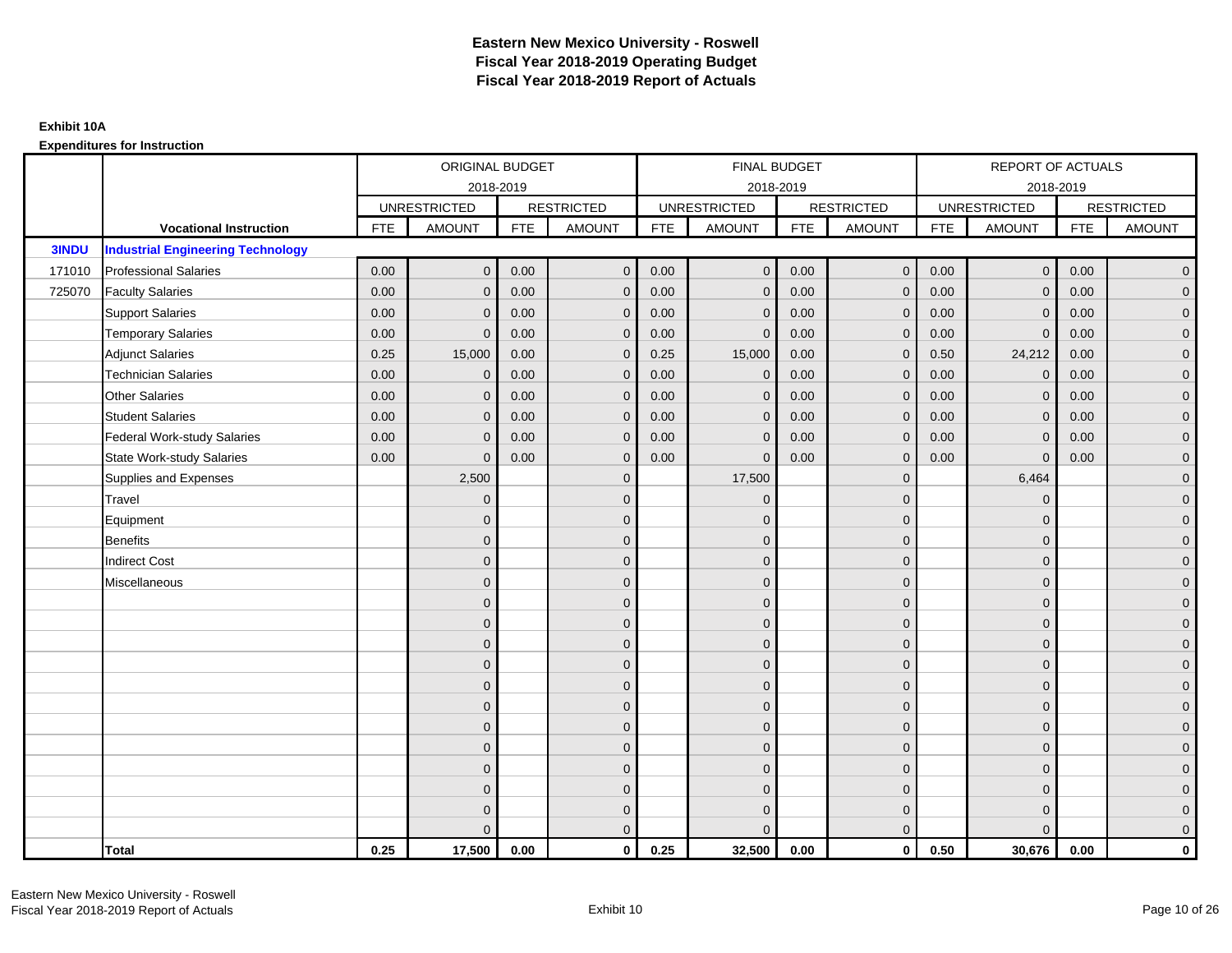|              |                                          |            | ORIGINAL BUDGET     |            |                   |            | <b>FINAL BUDGET</b> |            |                   |            | REPORT OF ACTUALS   |            |                   |
|--------------|------------------------------------------|------------|---------------------|------------|-------------------|------------|---------------------|------------|-------------------|------------|---------------------|------------|-------------------|
|              |                                          |            | 2018-2019           |            |                   |            | 2018-2019           |            |                   |            | 2018-2019           |            |                   |
|              |                                          |            | <b>UNRESTRICTED</b> |            | <b>RESTRICTED</b> |            | <b>UNRESTRICTED</b> |            | <b>RESTRICTED</b> |            | <b>UNRESTRICTED</b> |            | <b>RESTRICTED</b> |
|              | <b>Vocational Instruction</b>            | <b>FTE</b> | <b>AMOUNT</b>       | <b>FTE</b> | <b>AMOUNT</b>     | <b>FTE</b> | <b>AMOUNT</b>       | <b>FTE</b> | <b>AMOUNT</b>     | <b>FTE</b> | <b>AMOUNT</b>       | <b>FTE</b> | <b>AMOUNT</b>     |
| <b>3INDU</b> | <b>Industrial Engineering Technology</b> |            |                     |            |                   |            |                     |            |                   |            |                     |            |                   |
| 171010       | <b>Professional Salaries</b>             | 0.00       | $\Omega$            | 0.00       | $\overline{0}$    | 0.00       | $\overline{0}$      | 0.00       | $\mathbf{0}$      | 0.00       | $\overline{0}$      | 0.00       | $\overline{0}$    |
| 725070       | <b>Faculty Salaries</b>                  | 0.00       | $\mathbf 0$         | 0.00       | $\mathbf 0$       | 0.00       | $\mathbf{0}$        | 0.00       | $\mathbf{0}$      | 0.00       | $\mathbf 0$         | 0.00       | $\overline{0}$    |
|              | <b>Support Salaries</b>                  | 0.00       | $\Omega$            | 0.00       | $\mathbf 0$       | 0.00       | $\mathbf{0}$        | 0.00       | 0                 | 0.00       | $\mathbf 0$         | 0.00       | $\overline{0}$    |
|              | <b>Temporary Salaries</b>                | 0.00       | $\Omega$            | 0.00       | $\overline{0}$    | 0.00       | $\Omega$            | 0.00       | $\Omega$          | 0.00       | $\mathbf{0}$        | 0.00       | $\overline{0}$    |
|              | <b>Adjunct Salaries</b>                  | 0.25       | 15,000              | 0.00       | $\Omega$          | 0.25       | 15,000              | 0.00       | $\Omega$          | 0.50       | 24,212              | 0.00       | $\overline{0}$    |
|              | <b>Technician Salaries</b>               | 0.00       | $\mathbf 0$         | 0.00       | $\mathbf{0}$      | 0.00       | $\mathbf{0}$        | 0.00       | $\mathbf 0$       | 0.00       | $\mathbf 0$         | 0.00       | $\mathbf{0}$      |
|              | Other Salaries                           | 0.00       | $\mathbf{0}$        | 0.00       | $\overline{0}$    | 0.00       | $\mathbf{0}$        | 0.00       | $\Omega$          | 0.00       | $\overline{0}$      | 0.00       | $\overline{0}$    |
|              | <b>Student Salaries</b>                  | 0.00       | $\mathbf{0}$        | 0.00       | $\overline{0}$    | 0.00       | $\mathbf{0}$        | 0.00       | $\mathbf{0}$      | 0.00       | $\mathbf 0$         | 0.00       | $\overline{0}$    |
|              | <b>Federal Work-study Salaries</b>       | 0.00       | $\mathbf{0}$        | 0.00       | $\mathbf 0$       | 0.00       | $\mathbf{0}$        | 0.00       | $\Omega$          | 0.00       | $\mathbf 0$         | 0.00       | $\overline{0}$    |
|              | <b>State Work-study Salaries</b>         | 0.00       | $\mathbf{0}$        | 0.00       | $\overline{0}$    | 0.00       | $\mathbf{0}$        | 0.00       | $\mathbf 0$       | 0.00       | $\mathbf{0}$        | 0.00       | $\overline{0}$    |
|              | Supplies and Expenses                    |            | 2,500               |            | $\mathbf{0}$      |            | 17,500              |            | $\mathbf 0$       |            | 6,464               |            | $\overline{0}$    |
|              | Travel                                   |            | $\Omega$            |            | $\mathbf 0$       |            | $\mathbf{0}$        |            | $\Omega$          |            | $\mathbf{0}$        |            | $\overline{0}$    |
|              | Equipment                                |            | $\Omega$            |            | $\mathbf 0$       |            | $\mathbf{0}$        |            | $\mathbf 0$       |            | $\mathbf{0}$        |            | $\overline{0}$    |
|              | <b>Benefits</b>                          |            | $\mathbf{0}$        |            | $\mathbf 0$       |            | $\Omega$            |            | $\mathbf 0$       |            | $\mathbf{0}$        |            | $\overline{0}$    |
|              | <b>Indirect Cost</b>                     |            | $\Omega$            |            | $\overline{0}$    |            | $\Omega$            |            | $\Omega$          |            | $\Omega$            |            | $\overline{0}$    |
|              | Miscellaneous                            |            | $\Omega$            |            | $\mathbf 0$       |            | $\mathbf{0}$        |            | $\Omega$          |            | $\mathbf{0}$        |            | $\mathbf{0}$      |
|              |                                          |            | $\Omega$            |            | $\mathbf 0$       |            | $\mathbf{0}$        |            | $\mathbf{0}$      |            | $\mathbf{0}$        |            | $\overline{0}$    |
|              |                                          |            | $\Omega$            |            | $\mathbf 0$       |            | $\overline{0}$      |            | $\mathbf{0}$      |            | $\mathbf{0}$        |            | $\overline{0}$    |
|              |                                          |            | $\Omega$            |            | $\mathbf 0$       |            | $\mathbf{0}$        |            | $\mathbf 0$       |            | $\mathbf{0}$        |            | $\overline{0}$    |
|              |                                          |            | $\Omega$            |            | $\mathbf 0$       |            | $\Omega$            |            | $\mathbf{0}$      |            | $\mathbf{0}$        |            | $\overline{0}$    |
|              |                                          |            | $\Omega$            |            | $\mathbf 0$       |            | $\Omega$            |            | $\overline{0}$    |            | $\Omega$            |            | $\mathbf{0}$      |
|              |                                          |            | $\Omega$            |            | $\mathbf 0$       |            | $\Omega$            |            | $\mathbf{0}$      |            | $\Omega$            |            | $\overline{0}$    |
|              |                                          |            | $\Omega$            |            | $\mathbf 0$       |            | $\mathbf{0}$        |            | $\mathbf{0}$      |            | $\mathbf{0}$        |            | $\overline{0}$    |
|              |                                          |            | $\Omega$            |            | $\mathbf 0$       |            | $\Omega$            |            | $\mathbf 0$       |            | $\mathbf{0}$        |            | $\overline{0}$    |
|              |                                          |            | $\Omega$            |            | $\overline{0}$    |            | $\Omega$            |            | $\Omega$          |            | $\Omega$            |            | $\overline{0}$    |
|              |                                          |            | $\Omega$            |            | $\mathbf 0$       |            | $\mathbf{0}$        |            | $\mathbf 0$       |            | $\mathbf{0}$        |            | $\mathbf{0}$      |
|              |                                          |            | $\Omega$            |            | $\mathbf 0$       |            | $\Omega$            |            | $\mathbf{0}$      |            | $\mathbf{0}$        |            | $\mathbf{0}$      |
|              |                                          |            |                     |            | $\overline{0}$    |            | $\Omega$            |            | $\mathbf{0}$      |            | $\Omega$            |            | $\overline{0}$    |
|              | <b>Total</b>                             | 0.25       | 17,500              | 0.00       | $\mathbf{0}$      | 0.25       | 32,500              | 0.00       | $\mathbf{0}$      | 0.50       | 30,676              | 0.00       | $\mathbf 0$       |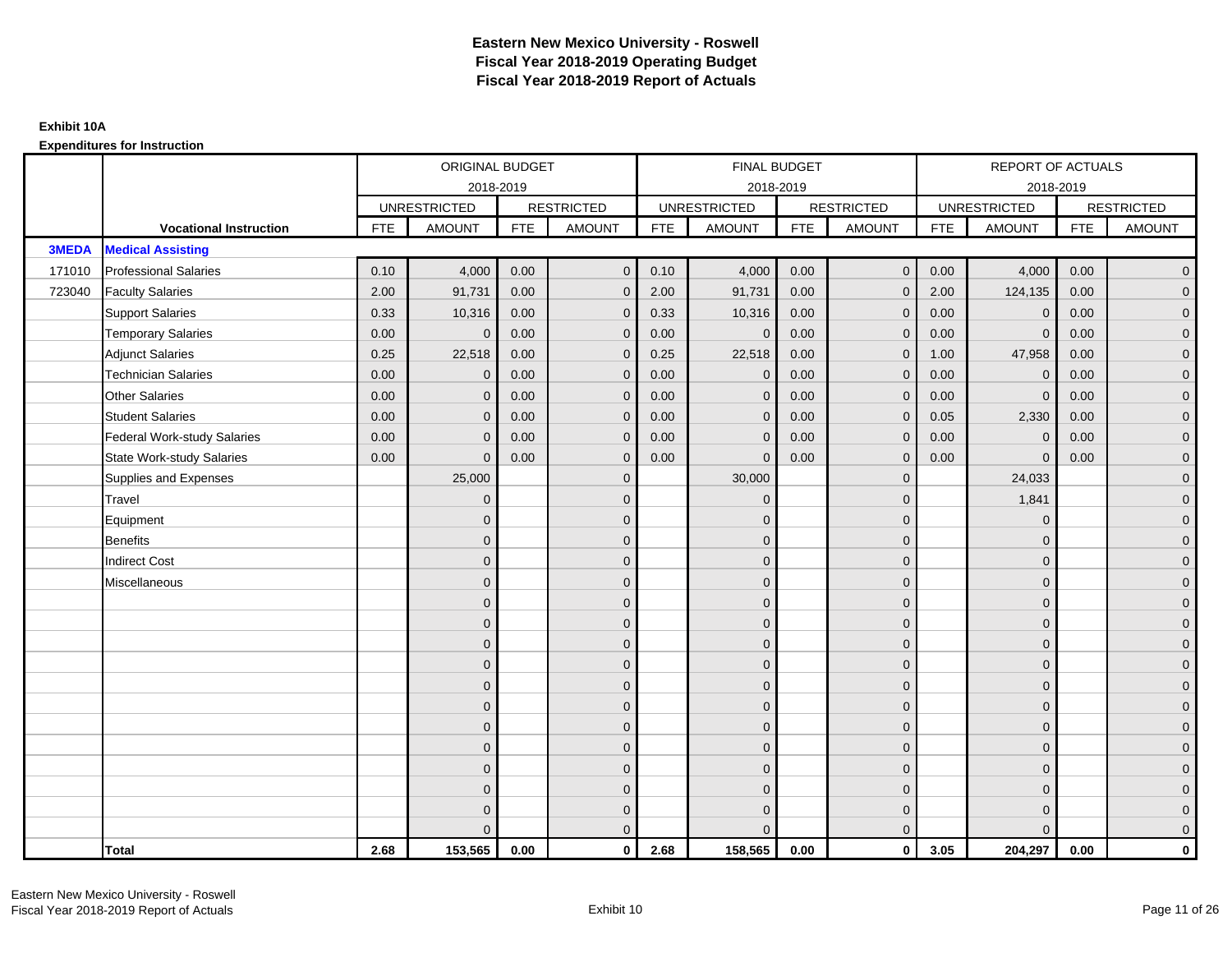|              |                                    |            | ORIGINAL BUDGET     |            |                   |            | <b>FINAL BUDGET</b> |            |                   |            | REPORT OF ACTUALS   |            |                   |
|--------------|------------------------------------|------------|---------------------|------------|-------------------|------------|---------------------|------------|-------------------|------------|---------------------|------------|-------------------|
|              |                                    |            |                     | 2018-2019  |                   |            | 2018-2019           |            |                   |            | 2018-2019           |            |                   |
|              |                                    |            | <b>UNRESTRICTED</b> |            | <b>RESTRICTED</b> |            | <b>UNRESTRICTED</b> |            | <b>RESTRICTED</b> |            | <b>UNRESTRICTED</b> |            | <b>RESTRICTED</b> |
|              | <b>Vocational Instruction</b>      | <b>FTE</b> | <b>AMOUNT</b>       | <b>FTE</b> | <b>AMOUNT</b>     | <b>FTE</b> | <b>AMOUNT</b>       | <b>FTE</b> | <b>AMOUNT</b>     | <b>FTE</b> | <b>AMOUNT</b>       | <b>FTE</b> | <b>AMOUNT</b>     |
| <b>3MEDA</b> | <b>Medical Assisting</b>           |            |                     |            |                   |            |                     |            |                   |            |                     |            |                   |
| 171010       | <b>Professional Salaries</b>       | 0.10       | 4,000               | 0.00       | $\mathbf{0}$      | 0.10       | 4,000               | 0.00       | $\overline{0}$    | 0.00       | 4,000               | 0.00       | $\overline{0}$    |
| 723040       | <b>Faculty Salaries</b>            | 2.00       | 91,731              | 0.00       | $\mathbf 0$       | 2.00       | 91,731              | 0.00       | $\mathbf{0}$      | 2.00       | 124,135             | 0.00       | $\overline{0}$    |
|              | <b>Support Salaries</b>            | 0.33       | 10,316              | 0.00       | $\mathbf 0$       | 0.33       | 10,316              | 0.00       | $\mathbf 0$       | 0.00       | $\mathbf 0$         | 0.00       | $\overline{0}$    |
|              | <b>Temporary Salaries</b>          | 0.00       | $\Omega$            | 0.00       | $\mathbf{0}$      | 0.00       | $\Omega$            | 0.00       | $\Omega$          | 0.00       | $\mathbf{0}$        | 0.00       | $\overline{0}$    |
|              | <b>Adjunct Salaries</b>            | 0.25       | 22,518              | 0.00       | $\Omega$          | 0.25       | 22,518              | 0.00       | $\Omega$          | 1.00       | 47,958              | 0.00       | $\overline{0}$    |
|              | <b>Technician Salaries</b>         | 0.00       | $\mathbf{0}$        | 0.00       | $\mathbf{0}$      | 0.00       | $\mathbf 0$         | 0.00       | $\mathbf{0}$      | 0.00       | $\mathbf 0$         | 0.00       | $\mathbf{0}$      |
|              | <b>Other Salaries</b>              | 0.00       | $\mathbf{0}$        | 0.00       | $\mathbf 0$       | 0.00       | $\Omega$            | 0.00       | $\mathbf{0}$      | 0.00       | $\mathbf 0$         | 0.00       | $\overline{0}$    |
|              | <b>Student Salaries</b>            | 0.00       | $\mathbf{0}$        | 0.00       | $\overline{0}$    | 0.00       | $\Omega$            | 0.00       | $\mathbf{0}$      | 0.05       | 2,330               | 0.00       | $\overline{0}$    |
|              | <b>Federal Work-study Salaries</b> | 0.00       | $\mathbf{0}$        | 0.00       | $\mathbf 0$       | 0.00       | $\mathbf{0}$        | 0.00       | $\Omega$          | 0.00       | $\mathbf 0$         | 0.00       | $\overline{0}$    |
|              | <b>State Work-study Salaries</b>   | 0.00       | $\mathbf{0}$        | 0.00       | $\overline{0}$    | 0.00       | $\mathbf{0}$        | 0.00       | $\mathbf{0}$      | 0.00       | $\mathbf{0}$        | 0.00       | $\overline{0}$    |
|              | Supplies and Expenses              |            | 25,000              |            | $\overline{0}$    |            | 30,000              |            | $\mathbf{0}$      |            | 24,033              |            | $\overline{0}$    |
|              | Travel                             |            | $\Omega$            |            | $\mathbf 0$       |            | $\Omega$            |            | $\mathbf{0}$      |            | 1,841               |            | $\overline{0}$    |
|              | Equipment                          |            | $\mathbf{0}$        |            | $\mathbf 0$       |            | $\Omega$            |            | $\mathbf 0$       |            | $\mathbf 0$         |            | $\overline{0}$    |
|              | <b>Benefits</b>                    |            | $\mathbf{0}$        |            | $\mathbf 0$       |            | $\Omega$            |            | $\mathbf{0}$      |            | $\mathbf{0}$        |            | $\overline{0}$    |
|              | <b>Indirect Cost</b>               |            | $\Omega$            |            | $\overline{0}$    |            | $\Omega$            |            | $\Omega$          |            | $\Omega$            |            | $\overline{0}$    |
|              | Miscellaneous                      |            | $\mathbf{0}$        |            | $\mathbf 0$       |            | $\Omega$            |            | $\mathbf 0$       |            | $\mathbf{0}$        |            | $\mathbf{0}$      |
|              |                                    |            | $\mathbf{0}$        |            | $\mathbf 0$       |            | $\Omega$            |            | $\mathbf{0}$      |            | $\mathbf{0}$        |            | $\overline{0}$    |
|              |                                    |            | $\Omega$            |            | $\mathbf 0$       |            | $\Omega$            |            | $\mathbf{0}$      |            | $\mathbf{0}$        |            | $\overline{0}$    |
|              |                                    |            | $\mathbf{0}$        |            | $\mathbf 0$       |            | $\Omega$            |            | $\mathbf 0$       |            | $\mathbf{0}$        |            | $\overline{0}$    |
|              |                                    |            | $\Omega$            |            | $\mathbf 0$       |            | $\Omega$            |            | $\mathbf{0}$      |            | $\mathbf{0}$        |            | $\mathbf{0}$      |
|              |                                    |            | $\Omega$            |            | $\mathbf 0$       |            | $\Omega$            |            | $\mathbf 0$       |            | $\Omega$            |            | $\mathbf{0}$      |
|              |                                    |            | $\Omega$            |            | $\mathbf 0$       |            | $\Omega$            |            | $\mathbf{0}$      |            | $\Omega$            |            | $\overline{0}$    |
|              |                                    |            | $\mathbf{0}$        |            | $\mathbf 0$       |            | $\Omega$            |            | $\mathbf{0}$      |            | $\mathbf{0}$        |            | $\overline{0}$    |
|              |                                    |            | $\mathbf{0}$        |            | $\mathbf 0$       |            | $\Omega$            |            | $\mathbf 0$       |            | $\mathbf{0}$        |            | $\overline{0}$    |
|              |                                    |            | $\Omega$            |            | $\mathbf 0$       |            | $\Omega$            |            | $\mathbf{0}$      |            | $\Omega$            |            | $\overline{0}$    |
|              |                                    |            | $\mathbf{0}$        |            | $\mathbf 0$       |            | $\Omega$            |            | $\mathbf 0$       |            | $\mathbf{0}$        |            | $\mathbf{0}$      |
|              |                                    |            | $\mathbf{0}$        |            | $\mathbf 0$       |            | $\Omega$            |            | $\mathbf 0$       |            | $\mathbf{0}$        |            | $\mathbf{0}$      |
|              |                                    |            | $\Omega$            |            | $\overline{0}$    |            | $\Omega$            |            | $\mathbf{0}$      |            | $\Omega$            |            | $\overline{0}$    |
|              | <b>Total</b>                       | 2.68       | 153,565             | 0.00       | $\mathbf{0}$      | 2.68       | 158,565             | 0.00       | $\mathbf{0}$      | 3.05       | 204,297             | 0.00       | $\mathbf 0$       |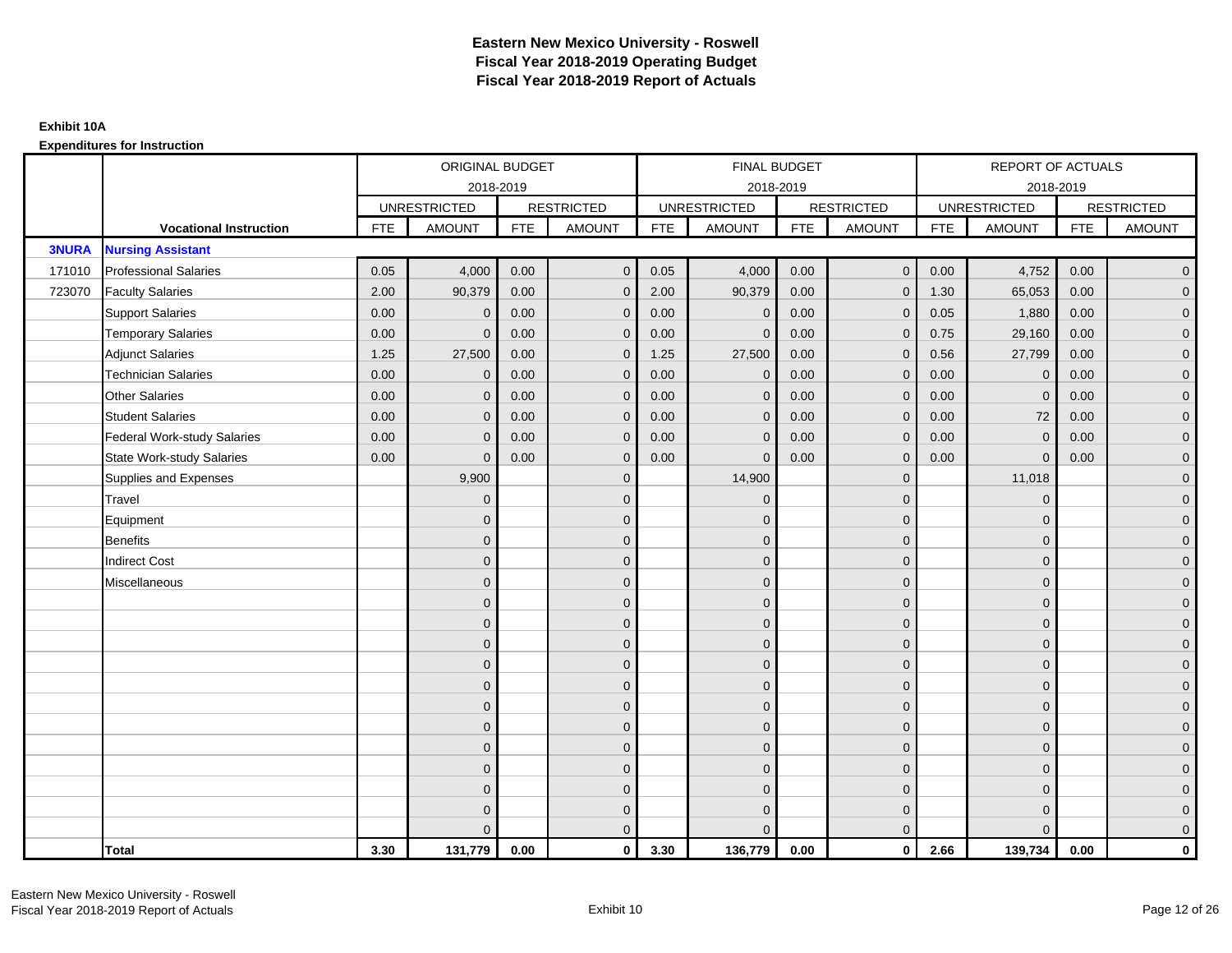|              |                                    |            | ORIGINAL BUDGET     |            |                   |            | FINAL BUDGET        |            |                   |            | <b>REPORT OF ACTUALS</b> |            |                     |
|--------------|------------------------------------|------------|---------------------|------------|-------------------|------------|---------------------|------------|-------------------|------------|--------------------------|------------|---------------------|
|              |                                    |            |                     | 2018-2019  |                   |            | 2018-2019           |            |                   |            | 2018-2019                |            |                     |
|              |                                    |            | <b>UNRESTRICTED</b> |            | <b>RESTRICTED</b> |            | <b>UNRESTRICTED</b> |            | <b>RESTRICTED</b> |            | <b>UNRESTRICTED</b>      |            | <b>RESTRICTED</b>   |
|              | <b>Vocational Instruction</b>      | <b>FTE</b> | <b>AMOUNT</b>       | <b>FTE</b> | <b>AMOUNT</b>     | <b>FTE</b> | <b>AMOUNT</b>       | <b>FTE</b> | <b>AMOUNT</b>     | <b>FTE</b> | <b>AMOUNT</b>            | <b>FTE</b> | <b>AMOUNT</b>       |
| <b>3NURA</b> | <b>Nursing Assistant</b>           |            |                     |            |                   |            |                     |            |                   |            |                          |            |                     |
| 171010       | <b>Professional Salaries</b>       | 0.05       | 4,000               | 0.00       | $\overline{0}$    | 0.05       | 4,000               | 0.00       | $\mathbf{0}$      | 0.00       | 4,752                    | 0.00       | $\overline{0}$      |
| 723070       | <b>Faculty Salaries</b>            | 2.00       | 90,379              | 0.00       | $\overline{0}$    | 2.00       | 90,379              | 0.00       | $\Omega$          | 1.30       | 65,053                   | 0.00       | $\overline{0}$      |
|              | <b>Support Salaries</b>            | 0.00       | $\mathbf 0$         | 0.00       | $\mathbf 0$       | 0.00       | $\mathbf 0$         | 0.00       | $\mathbf{0}$      | 0.05       | 1,880                    | 0.00       | $\overline{0}$      |
|              | <b>Temporary Salaries</b>          | 0.00       | $\mathbf{0}$        | 0.00       | $\mathbf 0$       | 0.00       | $\Omega$            | 0.00       | 0                 | 0.75       | 29,160                   | 0.00       | $\overline{0}$      |
|              | <b>Adjunct Salaries</b>            | 1.25       | 27,500              | 0.00       | $\overline{0}$    | 1.25       | 27,500              | 0.00       | $\mathbf{0}$      | 0.56       | 27,799                   | 0.00       | $\overline{0}$      |
|              | <b>Technician Salaries</b>         | 0.00       | $\Omega$            | 0.00       | $\overline{0}$    | 0.00       | $\Omega$            | 0.00       | $\Omega$          | 0.00       | $\mathbf{0}$             | 0.00       | $\overline{0}$      |
|              | <b>Other Salaries</b>              | 0.00       | $\mathbf{0}$        | 0.00       | $\mathbf 0$       | 0.00       | $\mathbf{0}$        | 0.00       | $\mathbf{0}$      | 0.00       | $\mathbf 0$              | 0.00       | $\overline{0}$      |
|              | <b>Student Salaries</b>            | 0.00       | $\mathbf{0}$        | 0.00       | $\mathbf 0$       | 0.00       | $\mathbf{0}$        | 0.00       | $\mathbf{0}$      | 0.00       | 72                       | 0.00       | $\overline{0}$      |
|              | <b>Federal Work-study Salaries</b> | 0.00       | $\mathbf{0}$        | 0.00       | $\overline{0}$    | 0.00       | $\Omega$            | 0.00       | $\Omega$          | 0.00       | $\mathbf{0}$             | 0.00       | $\overline{0}$      |
|              | <b>State Work-study Salaries</b>   | 0.00       | $\mathbf{0}$        | 0.00       | $\overline{0}$    | 0.00       | $\Omega$            | 0.00       | $\Omega$          | 0.00       | $\Omega$                 | 0.00       | $\overline{0}$      |
|              | Supplies and Expenses              |            | 9,900               |            | $\mathbf 0$       |            | 14,900              |            | $\mathbf{0}$      |            | 11,018                   |            | $\mathbf{0}$        |
|              | Travel                             |            | $\mathbf{0}$        |            | $\mathbf 0$       |            | $\mathbf{0}$        |            | $\mathbf{0}$      |            | $\mathbf 0$              |            | $\overline{0}$      |
|              | Equipment                          |            | $\Omega$            |            | $\mathbf 0$       |            | $\Omega$            |            | $\mathbf{0}$      |            | $\mathbf{0}$             |            | $\overline{0}$      |
|              | <b>Benefits</b>                    |            | $\mathbf{0}$        |            | $\mathbf 0$       |            | $\mathbf{0}$        |            | $\mathbf 0$       |            | $\mathbf 0$              |            | $\overline{0}$      |
|              | <b>Indirect Cost</b>               |            | $\Omega$            |            | $\mathbf 0$       |            | $\Omega$            |            | $\mathbf{0}$      |            | $\mathbf{0}$             |            | $\mathbf{0}$        |
|              | Miscellaneous                      |            | $\Omega$            |            | $\overline{0}$    |            | $\Omega$            |            | $\mathbf{0}$      |            | $\mathbf{0}$             |            | $\mathsf{O}\xspace$ |
|              |                                    |            | $\Omega$            |            | $\mathbf 0$       |            | $\Omega$            |            | $\mathbf{0}$      |            | $\Omega$                 |            | $\overline{0}$      |
|              |                                    |            | $\overline{0}$      |            | $\mathbf 0$       |            | $\mathbf{0}$        |            | $\mathbf 0$       |            | $\mathbf 0$              |            | $\overline{0}$      |
|              |                                    |            | $\mathbf{0}$        |            | $\mathbf 0$       |            | $\Omega$            |            | $\mathbf{0}$      |            | $\mathbf{0}$             |            | $\overline{0}$      |
|              |                                    |            | $\Omega$            |            | $\mathbf 0$       |            | $\Omega$            |            | $\mathbf{0}$      |            | $\mathbf{0}$             |            | $\overline{0}$      |
|              |                                    |            | $\Omega$            |            | $\overline{0}$    |            | $\Omega$            |            | $\mathbf{0}$      |            | $\Omega$                 |            | $\overline{0}$      |
|              |                                    |            | $\mathbf{0}$        |            | $\mathbf 0$       |            | $\Omega$            |            | $\mathbf 0$       |            | $\mathbf{0}$             |            | $\overline{0}$      |
|              |                                    |            | $\mathbf{0}$        |            | $\mathbf 0$       |            | $\Omega$            |            | $\mathbf{0}$      |            | $\mathbf{0}$             |            | $\overline{0}$      |
|              |                                    |            | $\mathbf{0}$        |            | $\mathbf 0$       |            | $\Omega$            |            | $\mathbf{0}$      |            | $\mathbf{0}$             |            | $\overline{0}$      |
|              |                                    |            | $\Omega$            |            | $\mathbf 0$       |            | $\Omega$            |            | $\mathbf{0}$      |            | $\Omega$                 |            | $\overline{0}$      |
|              |                                    |            | $\mathbf{0}$        |            | $\mathbf 0$       |            | $\Omega$            |            | $\mathbf 0$       |            | $\mathbf{0}$             |            | $\overline{0}$      |
|              |                                    |            | $\Omega$            |            | $\mathbf 0$       |            | $\Omega$            |            | $\mathbf 0$       |            | $\mathbf{0}$             |            | $\mathbf{0}$        |
|              |                                    |            | $\Omega$            |            | $\overline{0}$    |            |                     |            | $\mathbf{0}$      |            | $\Omega$                 |            | $\overline{0}$      |
|              | <b>Total</b>                       | 3.30       | 131,779             | 0.00       | $\mathbf{0}$      | 3.30       | 136,779             | 0.00       | $\mathbf{0}$      | 2.66       | 139,734                  | 0.00       | $\mathbf 0$         |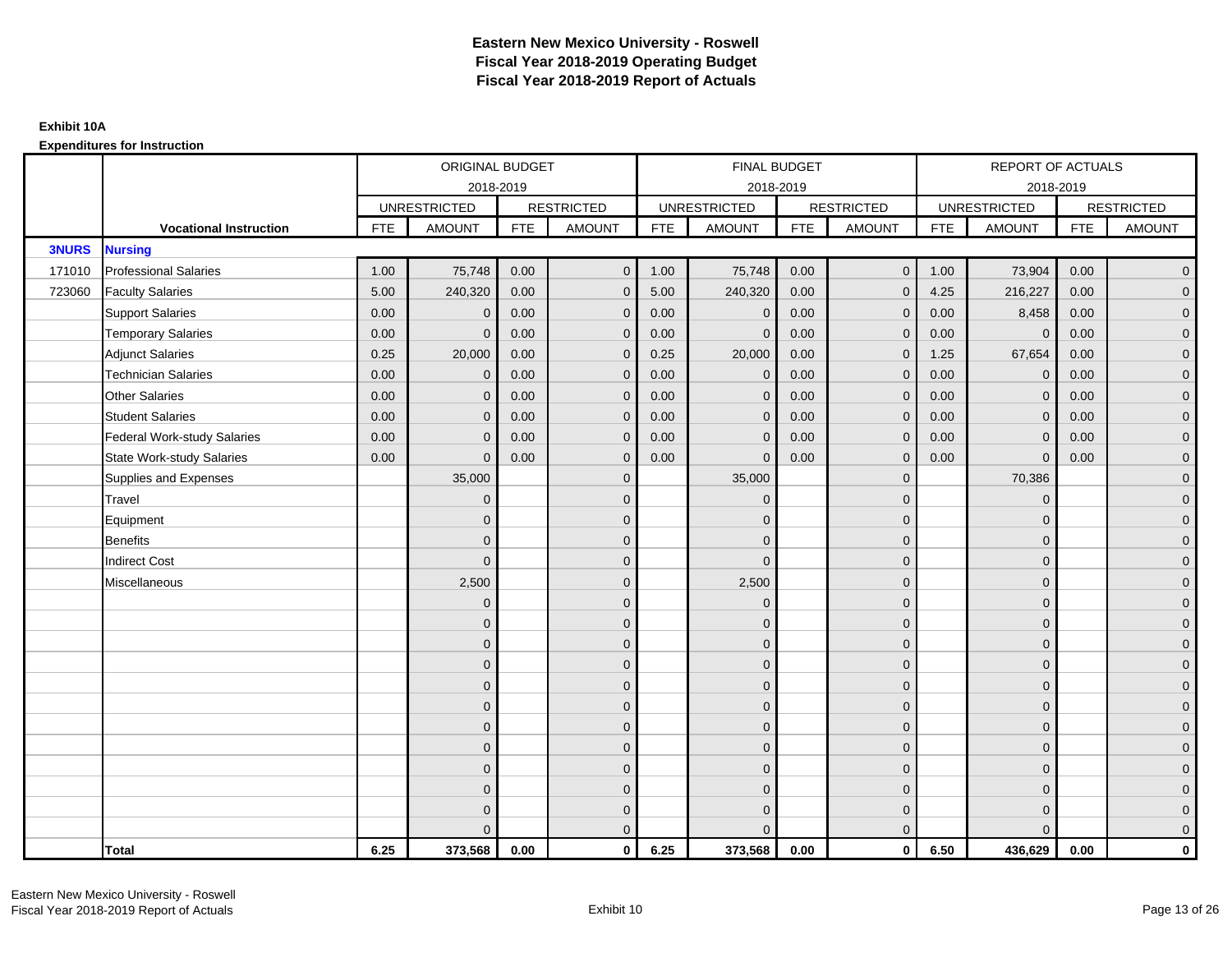|              |                                    |            | ORIGINAL BUDGET     |            |                   |            | <b>FINAL BUDGET</b> |            |                   |            | REPORT OF ACTUALS   |            |                   |
|--------------|------------------------------------|------------|---------------------|------------|-------------------|------------|---------------------|------------|-------------------|------------|---------------------|------------|-------------------|
|              |                                    |            | 2018-2019           |            |                   |            | 2018-2019           |            |                   |            | 2018-2019           |            |                   |
|              |                                    |            | <b>UNRESTRICTED</b> |            | <b>RESTRICTED</b> |            | <b>UNRESTRICTED</b> |            | <b>RESTRICTED</b> |            | <b>UNRESTRICTED</b> |            | <b>RESTRICTED</b> |
|              | <b>Vocational Instruction</b>      | <b>FTE</b> | <b>AMOUNT</b>       | <b>FTE</b> | <b>AMOUNT</b>     | <b>FTE</b> | <b>AMOUNT</b>       | <b>FTE</b> | <b>AMOUNT</b>     | <b>FTE</b> | <b>AMOUNT</b>       | <b>FTE</b> | <b>AMOUNT</b>     |
| <b>3NURS</b> | <b>Nursing</b>                     |            |                     |            |                   |            |                     |            |                   |            |                     |            |                   |
| 171010       | <b>Professional Salaries</b>       | 1.00       | 75,748              | 0.00       | $\overline{0}$    | 1.00       | 75,748              | 0.00       | $\mathbf 0$       | 1.00       | 73,904              | 0.00       | $\overline{0}$    |
| 723060       | <b>Faculty Salaries</b>            | 5.00       | 240,320             | 0.00       | $\mathbf 0$       | 5.00       | 240,320             | 0.00       | $\mathbf{0}$      | 4.25       | 216,227             | 0.00       | $\overline{0}$    |
|              | <b>Support Salaries</b>            | 0.00       | $\Omega$            | 0.00       | $\mathbf 0$       | 0.00       | $\mathbf 0$         | 0.00       | $\Omega$          | 0.00       | 8,458               | 0.00       | $\overline{0}$    |
|              | <b>Temporary Salaries</b>          | 0.00       | $\Omega$            | 0.00       | $\overline{0}$    | 0.00       | $\Omega$            | 0.00       | $\Omega$          | 0.00       | $\mathbf{0}$        | 0.00       | $\overline{0}$    |
|              | <b>Adjunct Salaries</b>            | 0.25       | 20,000              | 0.00       | $\overline{0}$    | 0.25       | 20,000              | 0.00       | $\Omega$          | 1.25       | 67,654              | 0.00       | $\overline{0}$    |
|              | <b>Technician Salaries</b>         | 0.00       | $\mathbf 0$         | 0.00       | $\mathbf{0}$      | 0.00       | $\mathbf{0}$        | 0.00       | $\mathbf{0}$      | 0.00       | $\mathbf 0$         | 0.00       | $\mathbf{0}$      |
|              | <b>Other Salaries</b>              | 0.00       | $\mathbf{0}$        | 0.00       | $\overline{0}$    | 0.00       | $\mathbf{0}$        | 0.00       | $\mathbf{0}$      | 0.00       | $\overline{0}$      | 0.00       | $\overline{0}$    |
|              | <b>Student Salaries</b>            | 0.00       | $\Omega$            | 0.00       | $\overline{0}$    | 0.00       | $\mathbf{0}$        | 0.00       | $\mathbf{0}$      | 0.00       | $\mathbf 0$         | 0.00       | $\overline{0}$    |
|              | <b>Federal Work-study Salaries</b> | 0.00       | $\mathbf{0}$        | 0.00       | $\mathbf 0$       | 0.00       | $\mathbf{0}$        | 0.00       | $\Omega$          | 0.00       | $\mathbf 0$         | 0.00       | $\overline{0}$    |
|              | <b>State Work-study Salaries</b>   | 0.00       | $\mathbf{0}$        | 0.00       | $\overline{0}$    | 0.00       | $\mathbf{0}$        | 0.00       | $\mathbf{0}$      | 0.00       | $\mathbf{0}$        | 0.00       | $\overline{0}$    |
|              | Supplies and Expenses              |            | 35,000              |            | $\mathbf{0}$      |            | 35,000              |            | $\mathbf{0}$      |            | 70,386              |            | $\mathbf{0}$      |
|              | Travel                             |            | $\Omega$            |            | $\mathbf 0$       |            | $\Omega$            |            | $\mathbf{0}$      |            | $\mathbf{0}$        |            | $\overline{0}$    |
|              | Equipment                          |            | $\Omega$            |            | $\mathbf 0$       |            | $\mathbf{0}$        |            | $\mathbf 0$       |            | $\mathbf{0}$        |            | $\overline{0}$    |
|              | <b>Benefits</b>                    |            | $\Omega$            |            | $\mathbf 0$       |            | $\Omega$            |            | $\mathbf 0$       |            | $\mathbf{0}$        |            | $\overline{0}$    |
|              | <b>Indirect Cost</b>               |            | $\Omega$            |            | $\overline{0}$    |            | $\Omega$            |            | $\Omega$          |            | $\Omega$            |            | $\overline{0}$    |
|              | Miscellaneous                      |            | 2,500               |            | $\mathbf 0$       |            | 2,500               |            | $\overline{0}$    |            | $\mathbf{0}$        |            | $\mathbf{0}$      |
|              |                                    |            | $\mathbf{0}$        |            | $\mathbf 0$       |            | $\mathbf{0}$        |            | $\mathbf{0}$      |            | $\mathbf{0}$        |            | $\overline{0}$    |
|              |                                    |            | $\Omega$            |            | $\mathbf 0$       |            | $\Omega$            |            | $\mathbf{0}$      |            | $\mathbf{0}$        |            | $\overline{0}$    |
|              |                                    |            | $\Omega$            |            | $\mathbf 0$       |            | $\mathbf{0}$        |            | $\mathbf 0$       |            | $\mathbf{0}$        |            | $\overline{0}$    |
|              |                                    |            | $\Omega$            |            | $\mathbf 0$       |            | $\Omega$            |            | $\mathbf{0}$      |            | $\mathbf{0}$        |            | $\mathbf{0}$      |
|              |                                    |            | $\Omega$            |            | $\mathbf 0$       |            | $\Omega$            |            | $\overline{0}$    |            | $\Omega$            |            | $\mathbf{0}$      |
|              |                                    |            | $\Omega$            |            | $\mathbf 0$       |            | $\Omega$            |            | $\mathbf{0}$      |            | $\Omega$            |            | $\overline{0}$    |
|              |                                    |            | $\Omega$            |            | $\mathbf 0$       |            | $\mathbf{0}$        |            | $\mathbf{0}$      |            | $\mathbf{0}$        |            | $\overline{0}$    |
|              |                                    |            | $\Omega$            |            | $\mathbf 0$       |            | $\Omega$            |            | $\mathbf 0$       |            | $\mathbf{0}$        |            | $\overline{0}$    |
|              |                                    |            | $\Omega$            |            | $\mathbf 0$       |            | $\Omega$            |            | $\mathbf{0}$      |            | $\Omega$            |            | $\overline{0}$    |
|              |                                    |            | $\Omega$            |            | $\mathbf 0$       |            | $\mathbf{0}$        |            | $\mathbf 0$       |            | $\mathbf{0}$        |            | $\mathbf{0}$      |
|              |                                    |            | $\Omega$            |            | $\mathbf 0$       |            | $\mathbf{0}$        |            | $\mathbf{0}$      |            | $\mathbf{0}$        |            | $\mathbf{0}$      |
|              |                                    |            |                     |            | $\overline{0}$    |            | $\Omega$            |            | $\mathbf{0}$      |            | $\Omega$            |            | $\overline{0}$    |
|              | <b>Total</b>                       | 6.25       | 373,568             | 0.00       | $\mathbf{0}$      | 6.25       | 373,568             | 0.00       | $\mathbf{0}$      | 6.50       | 436,629             | 0.00       | $\mathbf 0$       |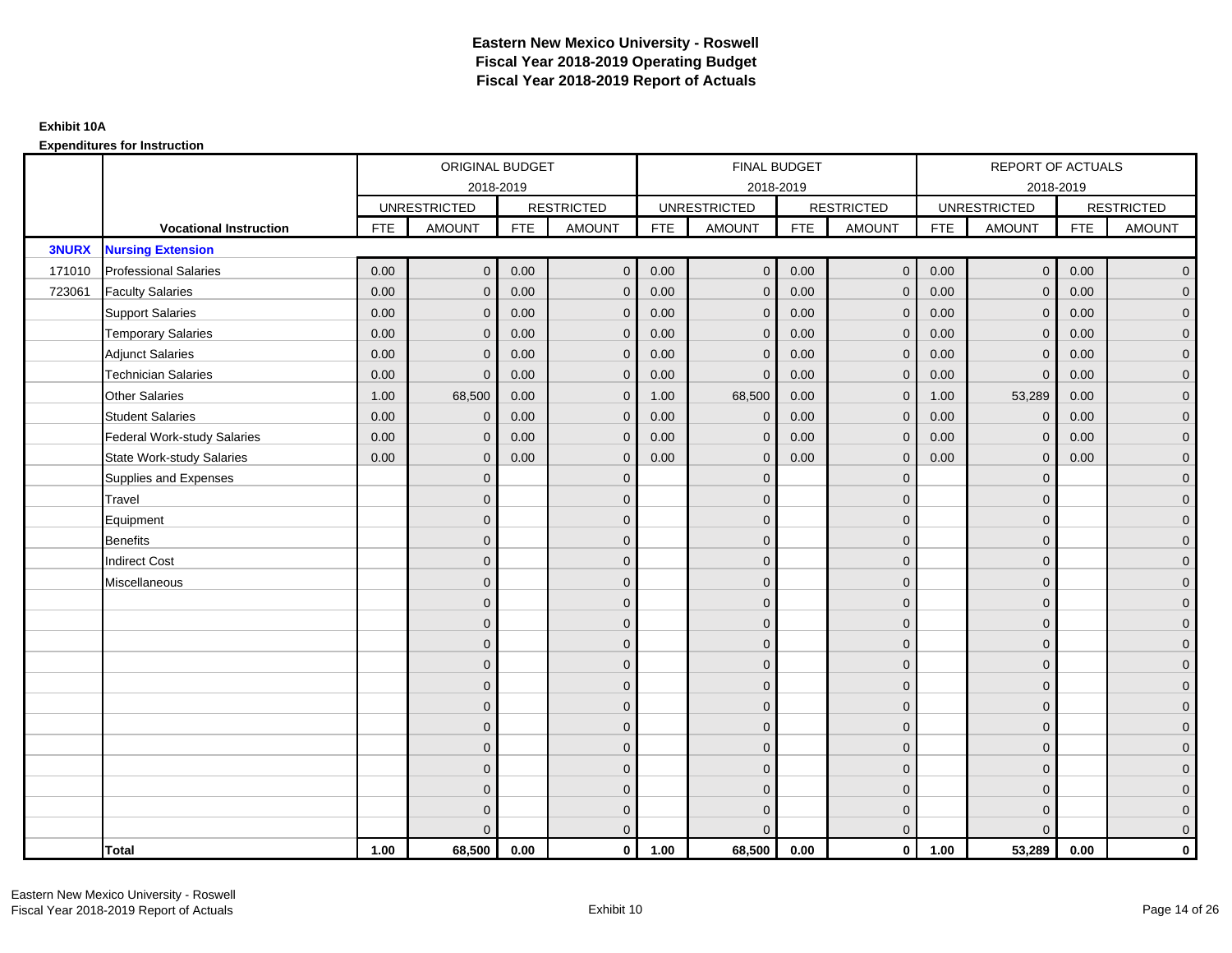|              |                                    |            | ORIGINAL BUDGET     |            |                   |            | <b>FINAL BUDGET</b> |            |                   |            | REPORT OF ACTUALS   |            |                   |
|--------------|------------------------------------|------------|---------------------|------------|-------------------|------------|---------------------|------------|-------------------|------------|---------------------|------------|-------------------|
|              |                                    |            |                     | 2018-2019  |                   |            | 2018-2019           |            |                   |            | 2018-2019           |            |                   |
|              |                                    |            | <b>UNRESTRICTED</b> |            | <b>RESTRICTED</b> |            | <b>UNRESTRICTED</b> |            | <b>RESTRICTED</b> |            | <b>UNRESTRICTED</b> |            | <b>RESTRICTED</b> |
|              | <b>Vocational Instruction</b>      | <b>FTE</b> | <b>AMOUNT</b>       | <b>FTE</b> | <b>AMOUNT</b>     | <b>FTE</b> | <b>AMOUNT</b>       | <b>FTE</b> | <b>AMOUNT</b>     | <b>FTE</b> | <b>AMOUNT</b>       | <b>FTE</b> | <b>AMOUNT</b>     |
| <b>3NURX</b> | <b>Nursing Extension</b>           |            |                     |            |                   |            |                     |            |                   |            |                     |            |                   |
| 171010       | <b>Professional Salaries</b>       | 0.00       | $\Omega$            | 0.00       | $\mathbf{0}$      | 0.00       | $\Omega$            | 0.00       | $\mathbf{0}$      | 0.00       | $\overline{0}$      | 0.00       | $\overline{0}$    |
| 723061       | <b>Faculty Salaries</b>            | 0.00       | $\mathbf 0$         | 0.00       | $\mathbf 0$       | 0.00       | $\mathbf{0}$        | 0.00       | $\mathbf{0}$      | 0.00       | $\mathbf 0$         | 0.00       | $\overline{0}$    |
|              | <b>Support Salaries</b>            | 0.00       | $\mathbf{0}$        | 0.00       | $\mathbf 0$       | 0.00       | $\mathbf{0}$        | 0.00       | $\mathbf 0$       | 0.00       | $\mathbf 0$         | 0.00       | $\overline{0}$    |
|              | <b>Temporary Salaries</b>          | 0.00       | $\mathbf{0}$        | 0.00       | $\overline{0}$    | 0.00       | $\Omega$            | 0.00       | $\Omega$          | 0.00       | $\mathbf 0$         | 0.00       | $\overline{0}$    |
|              | <b>Adjunct Salaries</b>            | 0.00       | $\Omega$            | 0.00       | $\overline{0}$    | 0.00       | $\Omega$            | 0.00       | $\Omega$          | 0.00       | $\mathbf{0}$        | 0.00       | $\overline{0}$    |
|              | <b>Technician Salaries</b>         | 0.00       | $\Omega$            | 0.00       | $\mathbf{0}$      | 0.00       | $\mathbf 0$         | 0.00       | $\mathbf 0$       | 0.00       | $\mathbf{0}$        | 0.00       | $\mathbf{0}$      |
|              | <b>Other Salaries</b>              | 1.00       | 68,500              | 0.00       | $\mathbf 0$       | 1.00       | 68,500              | 0.00       | $\mathbf{0}$      | 1.00       | 53,289              | 0.00       | $\overline{0}$    |
|              | <b>Student Salaries</b>            | 0.00       | $\mathbf{0}$        | 0.00       | $\mathbf 0$       | 0.00       | $\mathbf{0}$        | 0.00       | $\mathbf{0}$      | 0.00       | $\mathbf 0$         | 0.00       | $\overline{0}$    |
|              | <b>Federal Work-study Salaries</b> | 0.00       | $\mathbf 0$         | 0.00       | $\mathbf 0$       | 0.00       | $\mathbf{0}$        | 0.00       | $\Omega$          | 0.00       | $\mathbf 0$         | 0.00       | $\overline{0}$    |
|              | <b>State Work-study Salaries</b>   | 0.00       | $\mathbf{0}$        | 0.00       | $\overline{0}$    | 0.00       | $\Omega$            | 0.00       | $\mathbf 0$       | 0.00       | $\mathbf{0}$        | 0.00       | $\overline{0}$    |
|              | Supplies and Expenses              |            | $\Omega$            |            | $\overline{0}$    |            | $\Omega$            |            | $\overline{0}$    |            | $\mathbf{0}$        |            | $\overline{0}$    |
|              | Travel                             |            | $\Omega$            |            | $\mathbf 0$       |            | $\Omega$            |            | $\mathbf{0}$      |            | $\mathbf{0}$        |            | $\overline{0}$    |
|              | Equipment                          |            | $\mathbf{0}$        |            | $\mathbf 0$       |            | $\mathbf{0}$        |            | $\mathbf 0$       |            | $\mathbf{0}$        |            | $\overline{0}$    |
|              | <b>Benefits</b>                    |            | $\mathbf{0}$        |            | $\mathbf 0$       |            | $\Omega$            |            | $\mathbf{0}$      |            | $\mathbf{0}$        |            | $\overline{0}$    |
|              | <b>Indirect Cost</b>               |            | $\Omega$            |            | $\overline{0}$    |            | $\Omega$            |            | $\Omega$          |            | $\Omega$            |            | $\overline{0}$    |
|              | Miscellaneous                      |            | $\mathbf{0}$        |            | $\mathbf 0$       |            | $\Omega$            |            | $\mathbf 0$       |            | $\mathbf{0}$        |            | $\mathbf{0}$      |
|              |                                    |            | $\mathbf{0}$        |            | $\mathbf 0$       |            | $\Omega$            |            | $\mathbf{0}$      |            | $\mathbf{0}$        |            | $\overline{0}$    |
|              |                                    |            | $\Omega$            |            | $\mathbf 0$       |            | $\Omega$            |            | $\mathbf{0}$      |            | $\mathbf{0}$        |            | $\overline{0}$    |
|              |                                    |            | $\mathbf{0}$        |            | $\mathbf 0$       |            | $\Omega$            |            | $\mathbf 0$       |            | $\mathbf{0}$        |            | $\mathbf{0}$      |
|              |                                    |            | $\Omega$            |            | $\mathbf 0$       |            | $\Omega$            |            | $\mathbf{0}$      |            | $\mathbf{0}$        |            | $\mathbf{0}$      |
|              |                                    |            | $\Omega$            |            | $\mathbf 0$       |            | $\Omega$            |            | $\mathbf{0}$      |            | $\Omega$            |            | $\mathbf{0}$      |
|              |                                    |            | $\Omega$            |            | $\mathbf 0$       |            | $\Omega$            |            | $\mathbf{0}$      |            | $\Omega$            |            | $\overline{0}$    |
|              |                                    |            | $\mathbf{0}$        |            | $\mathbf 0$       |            | $\Omega$            |            | $\mathbf 0$       |            | $\mathbf{0}$        |            | $\overline{0}$    |
|              |                                    |            | $\mathbf{0}$        |            | $\mathbf 0$       |            | $\Omega$            |            | $\mathbf{0}$      |            | $\mathbf{0}$        |            | $\overline{0}$    |
|              |                                    |            | $\Omega$            |            | $\mathbf 0$       |            | $\Omega$            |            | $\mathbf{0}$      |            | $\Omega$            |            | $\overline{0}$    |
|              |                                    |            | $\mathbf{0}$        |            | $\mathbf 0$       |            | $\Omega$            |            | $\mathbf 0$       |            | $\mathbf{0}$        |            | $\mathbf{0}$      |
|              |                                    |            | $\mathbf{0}$        |            | $\overline{0}$    |            | $\Omega$            |            | $\mathbf 0$       |            | $\mathbf{0}$        |            | $\mathbf{0}$      |
|              |                                    |            | $\Omega$            |            | $\overline{0}$    |            |                     |            | $\mathbf{0}$      |            | $\Omega$            |            | $\overline{0}$    |
|              | <b>Total</b>                       | 1.00       | 68,500              | 0.00       | $\mathbf{0}$      | 1.00       | 68,500              | 0.00       | $\mathbf{0}$      | 1.00       | 53,289              | 0.00       | $\mathbf 0$       |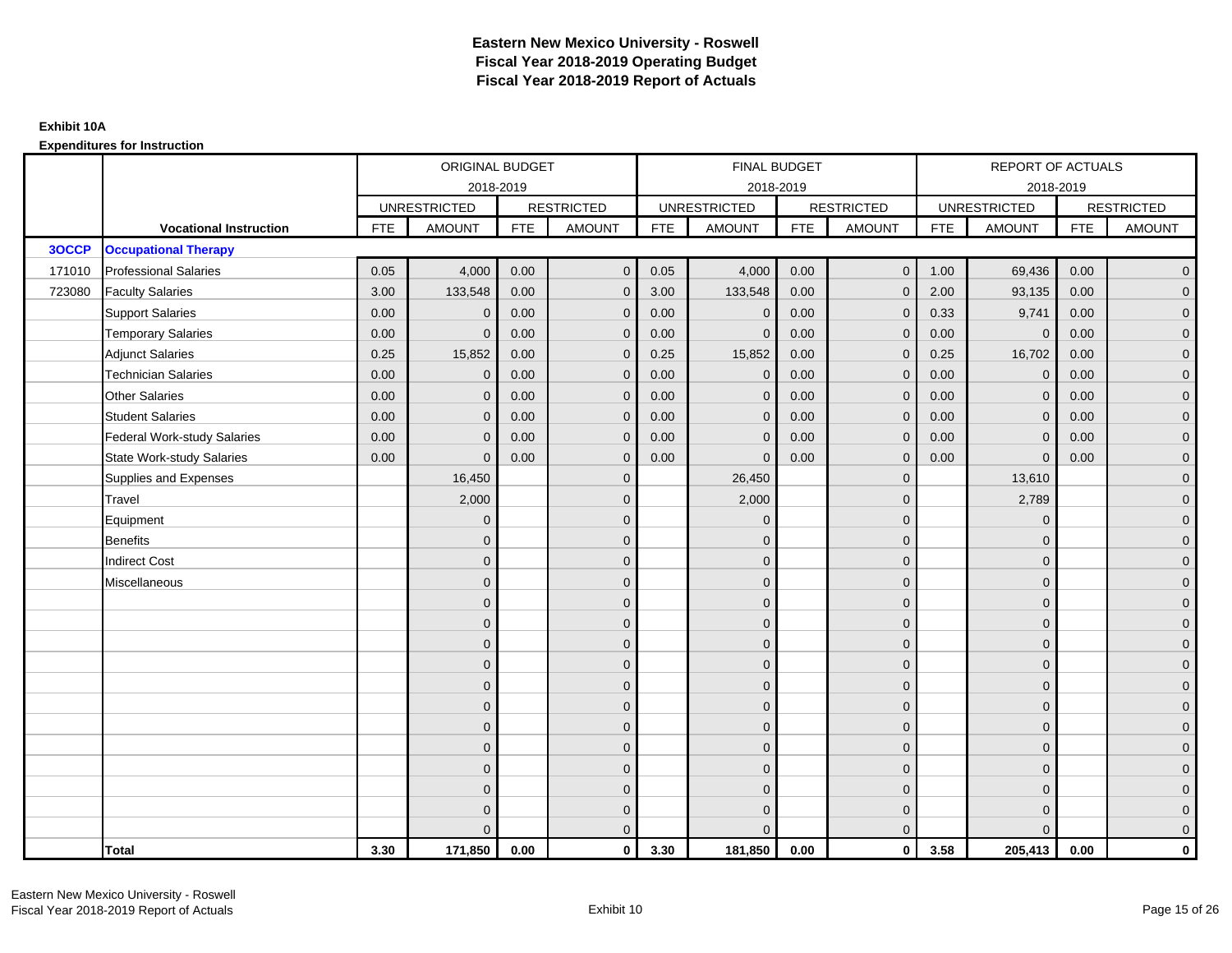|        |                                    |            | ORIGINAL BUDGET     |            |                   |            | <b>FINAL BUDGET</b> |            |                   |            | REPORT OF ACTUALS   |            |                   |
|--------|------------------------------------|------------|---------------------|------------|-------------------|------------|---------------------|------------|-------------------|------------|---------------------|------------|-------------------|
|        |                                    |            |                     | 2018-2019  |                   |            | 2018-2019           |            |                   |            | 2018-2019           |            |                   |
|        |                                    |            | <b>UNRESTRICTED</b> |            | <b>RESTRICTED</b> |            | <b>UNRESTRICTED</b> |            | <b>RESTRICTED</b> |            | <b>UNRESTRICTED</b> |            | <b>RESTRICTED</b> |
|        | <b>Vocational Instruction</b>      | <b>FTE</b> | <b>AMOUNT</b>       | <b>FTE</b> | <b>AMOUNT</b>     | <b>FTE</b> | <b>AMOUNT</b>       | <b>FTE</b> | <b>AMOUNT</b>     | <b>FTE</b> | <b>AMOUNT</b>       | <b>FTE</b> | <b>AMOUNT</b>     |
| 3OCCP  | <b>Occupational Therapy</b>        |            |                     |            |                   |            |                     |            |                   |            |                     |            |                   |
| 171010 | <b>Professional Salaries</b>       | 0.05       | 4,000               | 0.00       | $\mathbf{0}$      | 0.05       | 4,000               | 0.00       | $\mathbf{0}$      | 1.00       | 69,436              | 0.00       | $\overline{0}$    |
| 723080 | <b>Faculty Salaries</b>            | 3.00       | 133,548             | 0.00       | $\mathbf 0$       | 3.00       | 133,548             | 0.00       | $\mathbf 0$       | 2.00       | 93,135              | 0.00       | $\overline{0}$    |
|        | <b>Support Salaries</b>            | 0.00       | $\Omega$            | 0.00       | $\mathbf 0$       | 0.00       | $\mathbf 0$         | 0.00       | $\mathbf 0$       | 0.33       | 9,741               | 0.00       | $\overline{0}$    |
|        | <b>Temporary Salaries</b>          | 0.00       | $\Omega$            | 0.00       | $\mathbf{0}$      | 0.00       | $\Omega$            | 0.00       | $\Omega$          | 0.00       | $\overline{0}$      | 0.00       | $\overline{0}$    |
|        | <b>Adjunct Salaries</b>            | 0.25       | 15,852              | 0.00       | $\Omega$          | 0.25       | 15,852              | 0.00       | $\Omega$          | 0.25       | 16,702              | 0.00       | $\overline{0}$    |
|        | <b>Technician Salaries</b>         | 0.00       | $\mathbf{0}$        | 0.00       | $\mathbf{0}$      | 0.00       | $\mathbf 0$         | 0.00       | $\mathbf 0$       | 0.00       | $\mathbf 0$         | 0.00       | $\mathbf{0}$      |
|        | <b>Other Salaries</b>              | 0.00       | $\mathbf 0$         | 0.00       | $\mathbf 0$       | 0.00       | $\Omega$            | 0.00       | $\Omega$          | 0.00       | $\overline{0}$      | 0.00       | $\overline{0}$    |
|        | <b>Student Salaries</b>            | 0.00       | $\mathbf 0$         | 0.00       | $\overline{0}$    | 0.00       | $\Omega$            | 0.00       | $\mathbf 0$       | 0.00       | $\mathbf 0$         | 0.00       | $\overline{0}$    |
|        | <b>Federal Work-study Salaries</b> | 0.00       | $\mathbf 0$         | 0.00       | $\mathbf 0$       | 0.00       | $\mathbf{0}$        | 0.00       | $\Omega$          | 0.00       | $\mathbf 0$         | 0.00       | $\overline{0}$    |
|        | <b>State Work-study Salaries</b>   | 0.00       | $\mathbf{0}$        | 0.00       | $\overline{0}$    | 0.00       | $\Omega$            | 0.00       | $\mathbf 0$       | 0.00       | $\mathbf{0}$        | 0.00       | $\overline{0}$    |
|        | Supplies and Expenses              |            | 16,450              |            | $\overline{0}$    |            | 26,450              |            | $\mathbf{0}$      |            | 13,610              |            | $\overline{0}$    |
|        | Travel                             |            | 2,000               |            | $\overline{0}$    |            | 2,000               |            | $\mathbf{0}$      |            | 2,789               |            | $\overline{0}$    |
|        | Equipment                          |            | $\Omega$            |            | $\mathbf 0$       |            | $\Omega$            |            | $\mathbf 0$       |            | $\mathbf 0$         |            | $\overline{0}$    |
|        | <b>Benefits</b>                    |            | $\Omega$            |            | $\mathbf 0$       |            | $\Omega$            |            | $\mathbf{0}$      |            | $\mathbf{0}$        |            | $\overline{0}$    |
|        | <b>Indirect Cost</b>               |            | $\Omega$            |            | $\overline{0}$    |            | $\Omega$            |            | $\Omega$          |            | $\Omega$            |            | $\overline{0}$    |
|        | Miscellaneous                      |            | $\Omega$            |            | $\mathbf 0$       |            | $\Omega$            |            | $\mathbf 0$       |            | $\mathbf{0}$        |            | $\mathbf{0}$      |
|        |                                    |            | $\mathbf{0}$        |            | $\mathbf 0$       |            | $\Omega$            |            | $\mathbf{0}$      |            | $\mathbf{0}$        |            | $\overline{0}$    |
|        |                                    |            | $\Omega$            |            | $\mathbf 0$       |            | $\Omega$            |            | $\mathbf{0}$      |            | $\mathbf{0}$        |            | $\overline{0}$    |
|        |                                    |            | $\mathbf{0}$        |            | $\mathbf 0$       |            | $\Omega$            |            | $\mathbf 0$       |            | $\mathbf{0}$        |            | $\overline{0}$    |
|        |                                    |            | $\Omega$            |            | $\mathbf 0$       |            | $\Omega$            |            | $\mathbf{0}$      |            | $\mathbf{0}$        |            | $\mathbf{0}$      |
|        |                                    |            | $\Omega$            |            | $\mathbf 0$       |            | $\Omega$            |            | $\mathbf{0}$      |            | $\Omega$            |            | $\mathbf{0}$      |
|        |                                    |            | $\Omega$            |            | $\mathbf 0$       |            | $\Omega$            |            | $\mathbf{0}$      |            | $\Omega$            |            | $\overline{0}$    |
|        |                                    |            | $\mathbf{0}$        |            | $\mathbf 0$       |            | $\Omega$            |            | $\mathbf{0}$      |            | $\mathbf{0}$        |            | $\overline{0}$    |
|        |                                    |            | $\mathbf{0}$        |            | $\mathbf 0$       |            | $\Omega$            |            | $\mathbf 0$       |            | $\mathbf{0}$        |            | $\overline{0}$    |
|        |                                    |            | $\Omega$            |            | $\mathbf 0$       |            | $\Omega$            |            | $\mathbf{0}$      |            | $\Omega$            |            | $\overline{0}$    |
|        |                                    |            | $\Omega$            |            | $\mathbf 0$       |            | $\Omega$            |            | $\mathbf{0}$      |            | $\mathbf{0}$        |            | $\mathbf{0}$      |
|        |                                    |            | $\Omega$            |            | $\mathbf 0$       |            | $\Omega$            |            | $\mathbf 0$       |            | $\mathbf{0}$        |            | $\mathbf{0}$      |
|        |                                    |            | $\Omega$            |            | $\overline{0}$    |            |                     |            | $\mathbf{0}$      |            | $\Omega$            |            | $\overline{0}$    |
|        | <b>Total</b>                       | 3.30       | 171,850             | 0.00       | $\mathbf{0}$      | 3.30       | 181,850             | 0.00       | $\mathbf{0}$      | 3.58       | 205,413             | 0.00       | $\mathbf 0$       |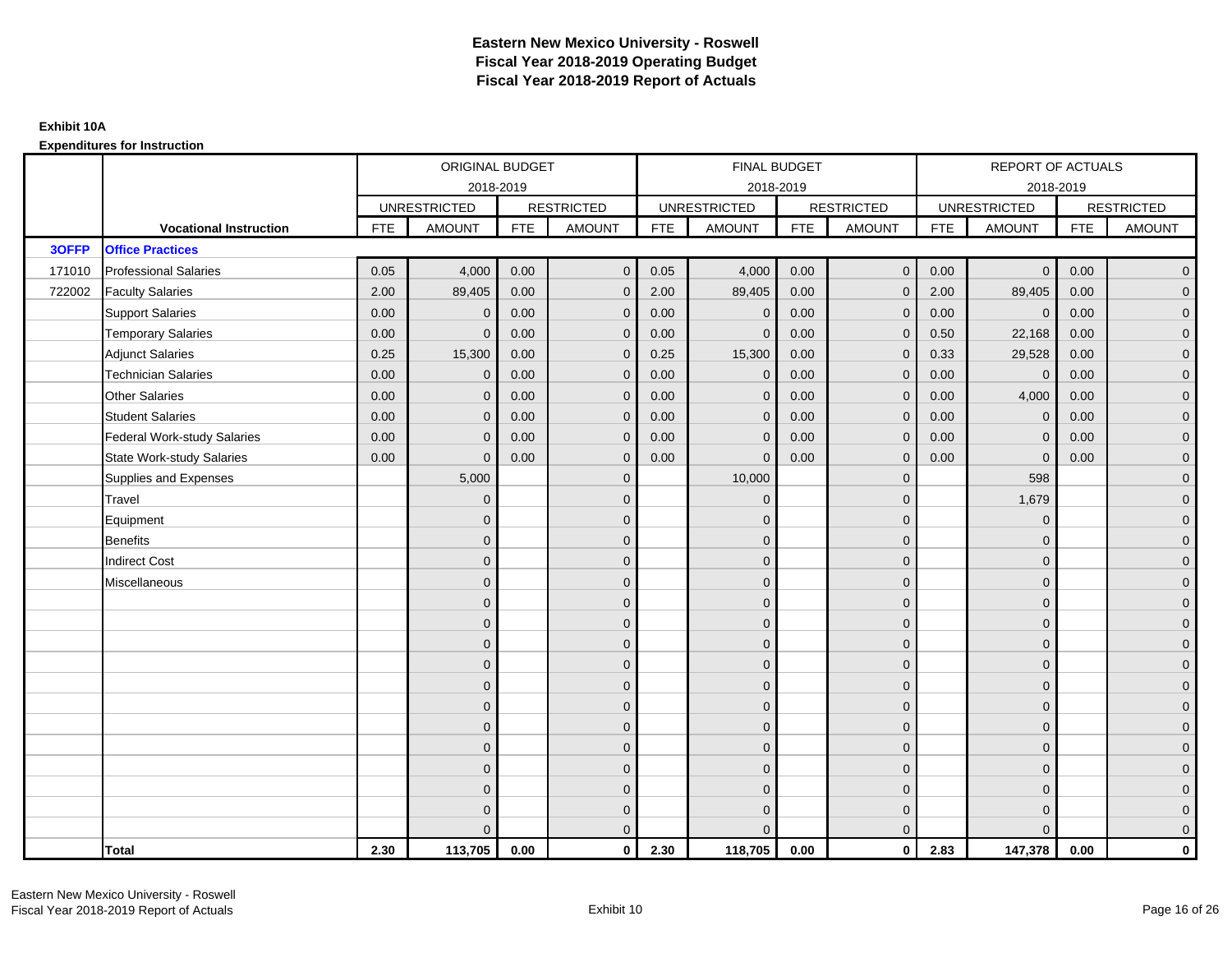|        |                                    |            | ORIGINAL BUDGET     |            |                   |            | FINAL BUDGET        |            |                   |            | <b>REPORT OF ACTUALS</b> |            |                     |
|--------|------------------------------------|------------|---------------------|------------|-------------------|------------|---------------------|------------|-------------------|------------|--------------------------|------------|---------------------|
|        |                                    |            |                     | 2018-2019  |                   |            | 2018-2019           |            |                   |            | 2018-2019                |            |                     |
|        |                                    |            | <b>UNRESTRICTED</b> |            | <b>RESTRICTED</b> |            | <b>UNRESTRICTED</b> |            | <b>RESTRICTED</b> |            | <b>UNRESTRICTED</b>      |            | <b>RESTRICTED</b>   |
|        | <b>Vocational Instruction</b>      | <b>FTE</b> | <b>AMOUNT</b>       | <b>FTE</b> | <b>AMOUNT</b>     | <b>FTE</b> | <b>AMOUNT</b>       | <b>FTE</b> | <b>AMOUNT</b>     | <b>FTE</b> | <b>AMOUNT</b>            | <b>FTE</b> | <b>AMOUNT</b>       |
| 3OFFP  | <b>Office Practices</b>            |            |                     |            |                   |            |                     |            |                   |            |                          |            |                     |
| 171010 | <b>Professional Salaries</b>       | 0.05       | 4,000               | 0.00       | $\mathbf{0}$      | 0.05       | 4,000               | 0.00       | $\mathbf{0}$      | 0.00       | $\overline{0}$           | 0.00       | $\mathbf 0$         |
| 722002 | <b>Faculty Salaries</b>            | 2.00       | 89,405              | 0.00       | $\mathbf{0}$      | 2.00       | 89,405              | 0.00       | $\mathbf{0}$      | 2.00       | 89,405                   | 0.00       | $\overline{0}$      |
|        | <b>Support Salaries</b>            | 0.00       | $\mathbf 0$         | 0.00       | $\mathbf 0$       | 0.00       | $\mathbf 0$         | 0.00       | $\mathbf 0$       | 0.00       | $\overline{0}$           | 0.00       | $\mathbf 0$         |
|        | <b>Temporary Salaries</b>          | 0.00       | $\mathbf{0}$        | 0.00       | $\overline{0}$    | 0.00       | $\mathbf{0}$        | 0.00       | $\mathbf{0}$      | 0.50       | 22,168                   | 0.00       | $\mathbf 0$         |
|        | <b>Adjunct Salaries</b>            | 0.25       | 15,300              | 0.00       | $\mathbf{0}$      | 0.25       | 15,300              | 0.00       | $\mathbf{0}$      | 0.33       | 29,528                   | 0.00       | $\mathbf 0$         |
|        | <b>Technician Salaries</b>         | 0.00       | $\Omega$            | 0.00       | $\mathbf{0}$      | 0.00       | $\Omega$            | 0.00       | $\mathbf{0}$      | 0.00       | $\mathbf{0}$             | 0.00       | $\mathbf 0$         |
|        | <b>Other Salaries</b>              | 0.00       | $\mathbf{0}$        | 0.00       | $\mathbf 0$       | 0.00       | $\mathbf{0}$        | 0.00       | $\mathbf{0}$      | 0.00       | 4,000                    | 0.00       | $\mathbf 0$         |
|        | <b>Student Salaries</b>            | 0.00       | $\mathbf{0}$        | 0.00       | $\mathbf 0$       | 0.00       | $\mathbf{0}$        | 0.00       | $\mathbf{0}$      | 0.00       | $\mathbf 0$              | 0.00       | $\overline{0}$      |
|        | <b>Federal Work-study Salaries</b> | 0.00       | $\mathbf{0}$        | 0.00       | $\mathbf{0}$      | 0.00       | $\mathbf{0}$        | 0.00       | $\mathbf{0}$      | 0.00       | $\mathbf{0}$             | 0.00       | $\mathbf 0$         |
|        | <b>State Work-study Salaries</b>   | 0.00       | $\mathbf{0}$        | 0.00       | $\mathbf{0}$      | 0.00       | $\Omega$            | 0.00       | $\mathbf{0}$      | 0.00       | $\mathbf 0$              | 0.00       | $\mathbf 0$         |
|        | Supplies and Expenses              |            | 5,000               |            | $\mathbf 0$       |            | 10,000              |            | $\mathbf{0}$      |            | 598                      |            | $\overline{0}$      |
|        | Travel                             |            | $\mathbf{0}$        |            | $\mathbf 0$       |            | $\mathbf{0}$        |            | $\mathbf 0$       |            | 1,679                    |            | $\mathbf 0$         |
|        | Equipment                          |            | $\mathbf{0}$        |            | $\mathbf 0$       |            | $\Omega$            |            | $\mathbf{0}$      |            | $\mathbf{0}$             |            | $\mathbf 0$         |
|        | <b>Benefits</b>                    |            | $\mathbf{0}$        |            | $\mathbf 0$       |            | $\mathbf{0}$        |            | $\mathbf 0$       |            | $\mathbf{0}$             |            | $\mathbf 0$         |
|        | <b>Indirect Cost</b>               |            | $\Omega$            |            | $\mathbf 0$       |            | $\Omega$            |            | $\mathbf 0$       |            | $\Omega$                 |            | $\mathbf 0$         |
|        | Miscellaneous                      |            | $\Omega$            |            | $\mathbf{0}$      |            | $\Omega$            |            | $\mathbf{0}$      |            | $\mathbf{0}$             |            | $\pmb{0}$           |
|        |                                    |            | $\Omega$            |            | $\mathbf 0$       |            | $\Omega$            |            | $\overline{0}$    |            | $\Omega$                 |            | $\overline{0}$      |
|        |                                    |            | $\mathbf{0}$        |            | $\mathbf 0$       |            | $\mathbf 0$         |            | $\mathbf 0$       |            | $\mathbf{0}$             |            | $\mathbf 0$         |
|        |                                    |            | $\mathbf{0}$        |            | $\mathbf 0$       |            | $\Omega$            |            | $\mathbf{0}$      |            | $\mathbf{0}$             |            | $\mathbf 0$         |
|        |                                    |            | $\Omega$            |            | $\mathbf 0$       |            | $\Omega$            |            | $\mathbf{0}$      |            | $\Omega$                 |            | $\mathbf 0$         |
|        |                                    |            | $\Omega$            |            | $\mathbf 0$       |            | $\Omega$            |            | $\mathbf{0}$      |            | $\Omega$                 |            | $\mathsf{O}\xspace$ |
|        |                                    |            | $\mathbf{0}$        |            | $\mathbf 0$       |            | $\mathbf{0}$        |            | $\mathbf 0$       |            | $\mathbf{0}$             |            | $\mathbf 0$         |
|        |                                    |            | $\mathbf{0}$        |            | $\mathbf 0$       |            | $\Omega$            |            | $\mathbf 0$       |            | $\mathbf{0}$             |            | $\mathbf 0$         |
|        |                                    |            | $\mathbf{0}$        |            | $\mathbf 0$       |            | $\Omega$            |            | $\mathbf{0}$      |            | $\mathbf{0}$             |            | $\mathbf 0$         |
|        |                                    |            | $\Omega$            |            | $\mathbf{0}$      |            | $\Omega$            |            | $\mathbf{0}$      |            | $\Omega$                 |            | $\mathbf 0$         |
|        |                                    |            | $\mathbf{0}$        |            | $\mathbf 0$       |            | $\mathbf{0}$        |            | $\mathbf 0$       |            | $\mathbf{0}$             |            | $\mathbf 0$         |
|        |                                    |            | $\Omega$            |            | $\mathbf 0$       |            | $\Omega$            |            | $\mathbf 0$       |            | $\mathbf{0}$             |            | $\pmb{0}$           |
|        |                                    |            | $\Omega$            |            | $\mathbf{0}$      |            |                     |            | $\overline{0}$    |            | $\Omega$                 |            | $\mathbf 0$         |
|        | <b>Total</b>                       | 2.30       | 113,705             | 0.00       | $\mathbf{0}$      | 2.30       | 118,705             | 0.00       | $\mathbf{0}$      | 2.83       | 147,378                  | 0.00       | $\mathbf{0}$        |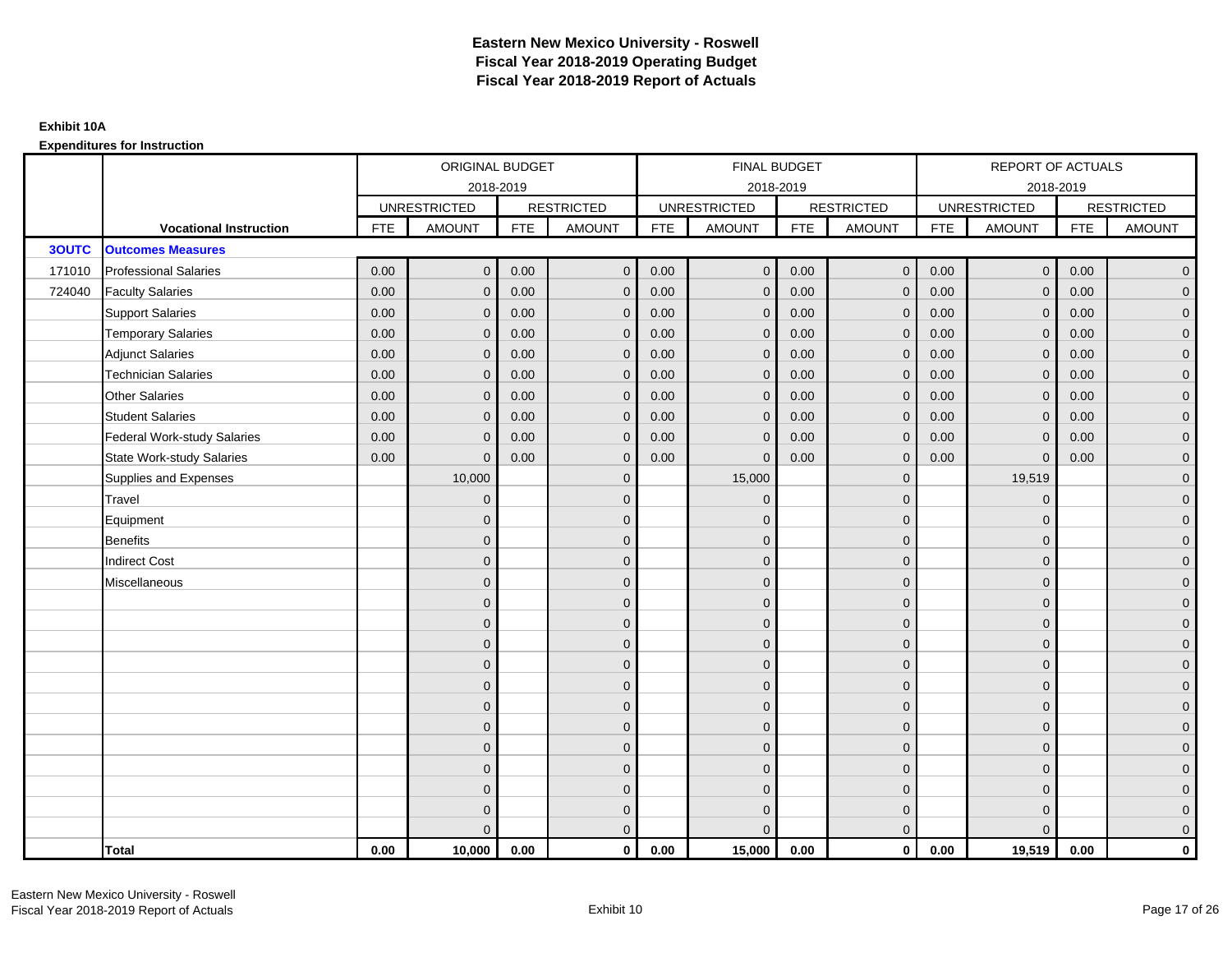|              |                                    |            | ORIGINAL BUDGET     |            |                     |            | FINAL BUDGET        |            |                   |            | <b>REPORT OF ACTUALS</b> |            |                     |
|--------------|------------------------------------|------------|---------------------|------------|---------------------|------------|---------------------|------------|-------------------|------------|--------------------------|------------|---------------------|
|              |                                    |            |                     | 2018-2019  |                     |            | 2018-2019           |            |                   |            |                          | 2018-2019  |                     |
|              |                                    |            | <b>UNRESTRICTED</b> |            | <b>RESTRICTED</b>   |            | <b>UNRESTRICTED</b> |            | <b>RESTRICTED</b> |            | <b>UNRESTRICTED</b>      |            | <b>RESTRICTED</b>   |
|              | <b>Vocational Instruction</b>      | <b>FTE</b> | <b>AMOUNT</b>       | <b>FTE</b> | <b>AMOUNT</b>       | <b>FTE</b> | <b>AMOUNT</b>       | <b>FTE</b> | <b>AMOUNT</b>     | <b>FTE</b> | <b>AMOUNT</b>            | <b>FTE</b> | <b>AMOUNT</b>       |
| <b>3OUTC</b> | <b>Outcomes Measures</b>           |            |                     |            |                     |            |                     |            |                   |            |                          |            |                     |
| 171010       | <b>Professional Salaries</b>       | 0.00       | $\mathbf{0}$        | 0.00       | $\overline{0}$      | 0.00       | $\mathbf{0}$        | 0.00       | $\overline{0}$    | 0.00       | $\overline{0}$           | 0.00       | $\overline{0}$      |
| 724040       | <b>Faculty Salaries</b>            | 0.00       | $\mathbf{0}$        | 0.00       | $\mathbf 0$         | 0.00       | $\Omega$            | 0.00       | $\Omega$          | 0.00       | $\overline{0}$           | 0.00       | $\overline{0}$      |
|              | <b>Support Salaries</b>            | 0.00       | $\mathbf 0$         | 0.00       | $\mathbf 0$         | 0.00       | $\mathbf{0}$        | 0.00       | $\mathbf{0}$      | 0.00       | $\overline{0}$           | 0.00       | $\overline{0}$      |
|              | <b>Temporary Salaries</b>          | 0.00       | $\mathbf 0$         | 0.00       | $\mathbf 0$         | 0.00       | $\mathbf{0}$        | 0.00       | $\overline{0}$    | 0.00       | $\mathbf 0$              | 0.00       | $\overline{0}$      |
|              | <b>Adjunct Salaries</b>            | 0.00       | $\mathbf{0}$        | 0.00       | $\overline{0}$      | 0.00       | $\Omega$            | 0.00       | $\mathbf{0}$      | 0.00       | $\overline{0}$           | 0.00       | $\overline{0}$      |
|              | <b>Technician Salaries</b>         | 0.00       | $\Omega$            | 0.00       | $\overline{0}$      | 0.00       | $\Omega$            | 0.00       | $\Omega$          | 0.00       | $\overline{0}$           | 0.00       | $\overline{0}$      |
|              | <b>Other Salaries</b>              | 0.00       | $\mathbf{0}$        | 0.00       | $\mathbf 0$         | 0.00       | $\Omega$            | 0.00       | $\mathbf{0}$      | 0.00       | $\mathbf 0$              | 0.00       | $\overline{0}$      |
|              | <b>Student Salaries</b>            | 0.00       | $\mathbf{0}$        | 0.00       | $\mathbf 0$         | 0.00       | $\mathbf{0}$        | 0.00       | $\mathbf{0}$      | 0.00       | $\mathbf 0$              | 0.00       | $\overline{0}$      |
|              | <b>Federal Work-study Salaries</b> | 0.00       | $\mathbf{0}$        | 0.00       | $\overline{0}$      | 0.00       | $\Omega$            | 0.00       | $\Omega$          | 0.00       | $\mathbf{0}$             | 0.00       | $\overline{0}$      |
|              | <b>State Work-study Salaries</b>   | 0.00       | $\mathbf{0}$        | 0.00       | $\overline{0}$      | 0.00       | $\Omega$            | 0.00       | $\mathbf 0$       | 0.00       | $\Omega$                 | 0.00       | $\overline{0}$      |
|              | Supplies and Expenses              |            | 10,000              |            | $\mathbf 0$         |            | 15,000              |            | $\mathbf{0}$      |            | 19,519                   |            | $\mathbf{0}$        |
|              | Travel                             |            | $\mathbf{0}$        |            | $\mathbf 0$         |            | $\mathbf{0}$        |            | $\mathbf 0$       |            | $\mathbf 0$              |            | $\mathbf{0}$        |
|              | Equipment                          |            | $\mathbf{0}$        |            | $\mathbf 0$         |            | $\Omega$            |            | $\mathbf{0}$      |            | $\mathbf{0}$             |            | $\overline{0}$      |
|              | <b>Benefits</b>                    |            | $\mathbf{0}$        |            | $\mathbf 0$         |            | $\mathbf{0}$        |            | $\mathbf 0$       |            | $\mathbf 0$              |            | $\mathbf{0}$        |
|              | <b>Indirect Cost</b>               |            | $\Omega$            |            | $\mathbf 0$         |            | $\Omega$            |            | $\mathbf 0$       |            | $\mathbf{0}$             |            | $\mathbf{0}$        |
|              | Miscellaneous                      |            | $\Omega$            |            | $\mathbf 0$         |            | $\Omega$            |            | $\mathbf{0}$      |            | $\mathbf{0}$             |            | $\mathsf{O}\xspace$ |
|              |                                    |            | $\Omega$            |            | $\mathbf 0$         |            | $\Omega$            |            | $\mathbf{0}$      |            | $\Omega$                 |            | $\overline{0}$      |
|              |                                    |            | $\mathbf{0}$        |            | $\mathsf{O}\xspace$ |            | $\mathbf{0}$        |            | $\mathbf 0$       |            | $\mathbf 0$              |            | $\mathsf{O}\xspace$ |
|              |                                    |            | $\mathbf{0}$        |            | $\mathbf 0$         |            | $\Omega$            |            | $\mathbf 0$       |            | $\mathbf{0}$             |            | $\overline{0}$      |
|              |                                    |            | $\Omega$            |            | $\mathbf 0$         |            | $\Omega$            |            | $\mathbf{0}$      |            | $\mathbf{0}$             |            | $\overline{0}$      |
|              |                                    |            | $\Omega$            |            | $\overline{0}$      |            | $\Omega$            |            | $\mathbf{0}$      |            | $\Omega$                 |            | $\overline{0}$      |
|              |                                    |            | $\mathbf{0}$        |            | $\mathbf 0$         |            | $\Omega$            |            | $\mathbf 0$       |            | $\mathbf{0}$             |            | $\overline{0}$      |
|              |                                    |            | $\mathbf{0}$        |            | $\mathbf 0$         |            | $\Omega$            |            | $\mathbf{0}$      |            | $\mathbf{0}$             |            | $\overline{0}$      |
|              |                                    |            | $\mathbf{0}$        |            | $\mathbf 0$         |            | $\Omega$            |            | $\mathbf 0$       |            | $\mathbf{0}$             |            | $\overline{0}$      |
|              |                                    |            | $\Omega$            |            | $\mathbf 0$         |            | $\Omega$            |            | $\mathbf{0}$      |            | $\Omega$                 |            | $\overline{0}$      |
|              |                                    |            | $\mathbf{0}$        |            | $\mathbf 0$         |            | $\Omega$            |            | $\mathbf 0$       |            | $\mathbf{0}$             |            | $\overline{0}$      |
|              |                                    |            | $\mathbf{0}$        |            | $\mathbf 0$         |            | $\Omega$            |            | $\mathbf 0$       |            | $\mathbf{0}$             |            | $\mathbf{0}$        |
|              |                                    |            | $\Omega$            |            | $\overline{0}$      |            | $\Omega$            |            | $\mathbf{0}$      |            | $\Omega$                 |            | $\overline{0}$      |
|              | <b>Total</b>                       | 0.00       | 10,000              | 0.00       | $\mathbf{0}$        | 0.00       | 15,000              | 0.00       | $\mathbf{0}$      | 0.00       | 19,519                   | 0.00       | $\mathbf 0$         |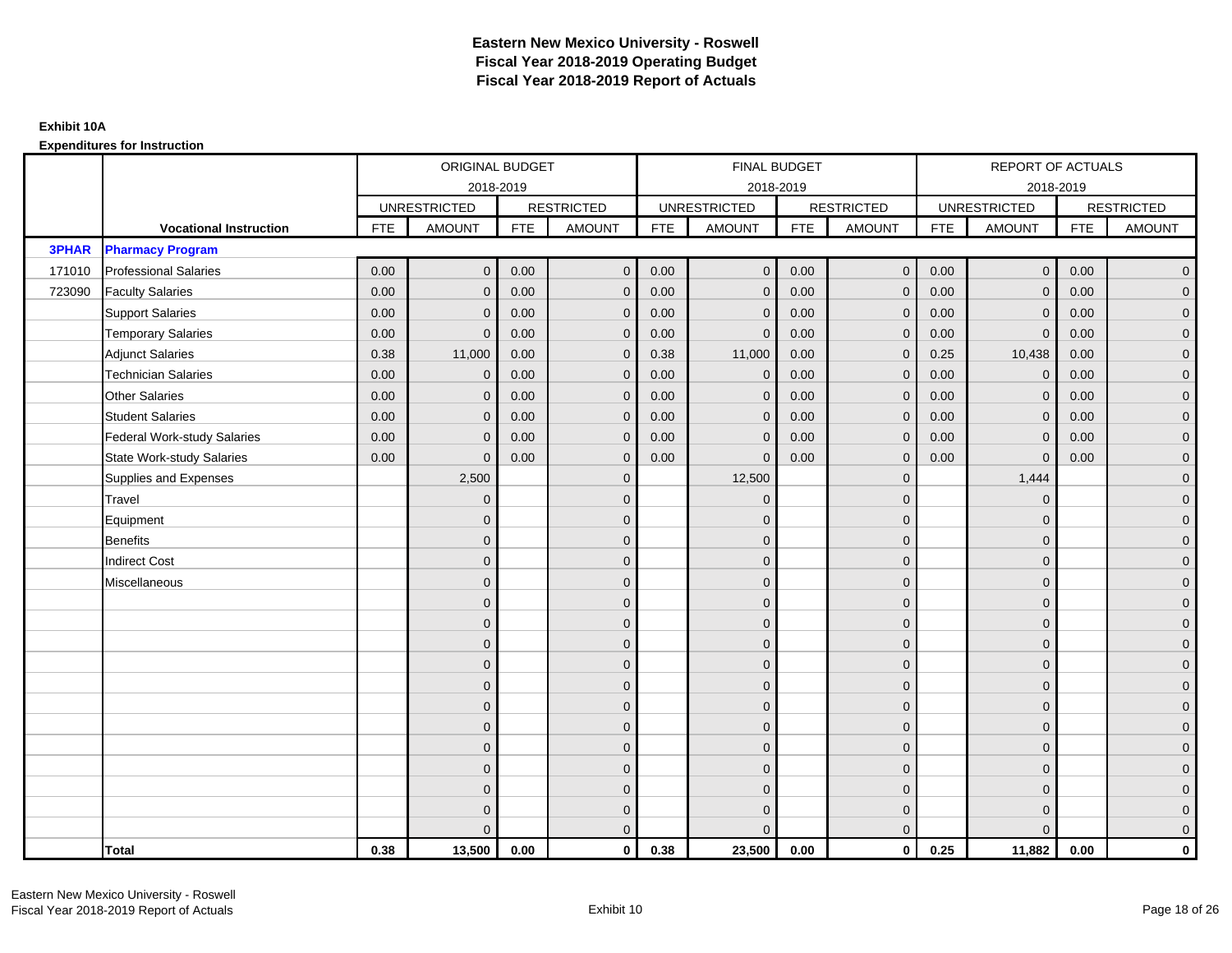|              |                                    |            | ORIGINAL BUDGET     |            |                   |            | <b>FINAL BUDGET</b> |            |                   |            | REPORT OF ACTUALS   |            |                   |
|--------------|------------------------------------|------------|---------------------|------------|-------------------|------------|---------------------|------------|-------------------|------------|---------------------|------------|-------------------|
|              |                                    |            |                     | 2018-2019  |                   |            | 2018-2019           |            |                   |            | 2018-2019           |            |                   |
|              |                                    |            | <b>UNRESTRICTED</b> |            | <b>RESTRICTED</b> |            | <b>UNRESTRICTED</b> |            | <b>RESTRICTED</b> |            | <b>UNRESTRICTED</b> |            | <b>RESTRICTED</b> |
|              | <b>Vocational Instruction</b>      | <b>FTE</b> | <b>AMOUNT</b>       | <b>FTE</b> | <b>AMOUNT</b>     | <b>FTE</b> | <b>AMOUNT</b>       | <b>FTE</b> | <b>AMOUNT</b>     | <b>FTE</b> | <b>AMOUNT</b>       | <b>FTE</b> | <b>AMOUNT</b>     |
| <b>3PHAR</b> | <b>Pharmacy Program</b>            |            |                     |            |                   |            |                     |            |                   |            |                     |            |                   |
| 171010       | <b>Professional Salaries</b>       | 0.00       | $\Omega$            | 0.00       | $\mathbf{0}$      | 0.00       | $\Omega$            | 0.00       | $\mathbf{0}$      | 0.00       | $\overline{0}$      | 0.00       | $\overline{0}$    |
| 723090       | <b>Faculty Salaries</b>            | 0.00       | $\mathbf 0$         | 0.00       | $\mathbf 0$       | 0.00       | $\mathbf{0}$        | 0.00       | $\mathbf{0}$      | 0.00       | $\mathbf 0$         | 0.00       | $\overline{0}$    |
|              | <b>Support Salaries</b>            | 0.00       | $\mathbf{0}$        | 0.00       | $\mathbf 0$       | 0.00       | $\Omega$            | 0.00       | $\mathbf 0$       | 0.00       | $\mathbf 0$         | 0.00       | $\overline{0}$    |
|              | <b>Temporary Salaries</b>          | 0.00       | $\Omega$            | 0.00       | $\overline{0}$    | 0.00       | $\Omega$            | 0.00       | $\Omega$          | 0.00       | $\overline{0}$      | 0.00       | $\overline{0}$    |
|              | <b>Adjunct Salaries</b>            | 0.38       | 11,000              | 0.00       | $\overline{0}$    | 0.38       | 11,000              | 0.00       | $\Omega$          | 0.25       | 10,438              | 0.00       | $\overline{0}$    |
|              | <b>Technician Salaries</b>         | 0.00       | $\mathbf{0}$        | 0.00       | $\mathbf{0}$      | 0.00       | $\mathbf{0}$        | 0.00       | $\mathbf{0}$      | 0.00       | $\mathbf 0$         | 0.00       | $\mathbf{0}$      |
|              | <b>Other Salaries</b>              | 0.00       | $\mathbf{0}$        | 0.00       | $\mathbf 0$       | 0.00       | $\Omega$            | 0.00       | $\mathbf{0}$      | 0.00       | $\overline{0}$      | 0.00       | $\overline{0}$    |
|              | <b>Student Salaries</b>            | 0.00       | $\mathbf{0}$        | 0.00       | $\mathbf 0$       | 0.00       | $\mathbf{0}$        | 0.00       | $\mathbf{0}$      | 0.00       | $\mathbf 0$         | 0.00       | $\overline{0}$    |
|              | <b>Federal Work-study Salaries</b> | 0.00       | $\mathbf{0}$        | 0.00       | $\mathbf 0$       | 0.00       | $\mathbf{0}$        | 0.00       | $\Omega$          | 0.00       | $\mathbf 0$         | 0.00       | $\overline{0}$    |
|              | <b>State Work-study Salaries</b>   | 0.00       | $\mathbf{0}$        | 0.00       | $\overline{0}$    | 0.00       | $\mathbf{0}$        | 0.00       | $\mathbf{0}$      | 0.00       | $\mathbf{0}$        | 0.00       | $\overline{0}$    |
|              | Supplies and Expenses              |            | 2,500               |            | $\overline{0}$    |            | 12,500              |            | $\overline{0}$    |            | 1,444               |            | $\mathbf{0}$      |
|              | Travel                             |            | $\Omega$            |            | $\mathbf 0$       |            | $\Omega$            |            | $\mathbf{0}$      |            | $\mathbf{0}$        |            | $\overline{0}$    |
|              | Equipment                          |            | $\mathbf{0}$        |            | $\mathbf 0$       |            | $\Omega$            |            | $\mathbf 0$       |            | $\mathbf{0}$        |            | $\overline{0}$    |
|              | <b>Benefits</b>                    |            | $\mathbf{0}$        |            | $\mathbf 0$       |            | $\Omega$            |            | $\mathbf 0$       |            | $\mathbf{0}$        |            | $\overline{0}$    |
|              | <b>Indirect Cost</b>               |            | $\Omega$            |            | $\overline{0}$    |            | $\Omega$            |            | $\Omega$          |            | $\Omega$            |            | $\overline{0}$    |
|              | Miscellaneous                      |            | $\mathbf{0}$        |            | $\mathbf 0$       |            | $\Omega$            |            | $\mathbf 0$       |            | $\mathbf{0}$        |            | $\mathbf{0}$      |
|              |                                    |            | $\mathbf{0}$        |            | $\mathbf 0$       |            | $\Omega$            |            | $\mathbf{0}$      |            | $\mathbf{0}$        |            | $\overline{0}$    |
|              |                                    |            | $\mathbf{0}$        |            | $\mathbf 0$       |            | $\Omega$            |            | $\mathbf{0}$      |            | $\mathbf{0}$        |            | $\overline{0}$    |
|              |                                    |            | $\mathbf{0}$        |            | $\mathbf 0$       |            | $\Omega$            |            | $\mathbf 0$       |            | $\mathbf{0}$        |            | $\overline{0}$    |
|              |                                    |            | $\Omega$            |            | $\mathbf 0$       |            | $\Omega$            |            | $\mathbf{0}$      |            | $\mathbf{0}$        |            | $\mathbf{0}$      |
|              |                                    |            | $\Omega$            |            | $\mathbf 0$       |            | $\Omega$            |            | $\mathbf{0}$      |            | $\Omega$            |            | $\mathbf{0}$      |
|              |                                    |            | $\Omega$            |            | $\mathbf 0$       |            | $\Omega$            |            | $\mathbf{0}$      |            | $\Omega$            |            | $\overline{0}$    |
|              |                                    |            | $\mathbf{0}$        |            | $\mathbf 0$       |            | $\Omega$            |            | $\mathbf 0$       |            | $\mathbf{0}$        |            | $\overline{0}$    |
|              |                                    |            | $\mathbf{0}$        |            | $\mathbf 0$       |            | $\Omega$            |            | $\mathbf{0}$      |            | $\mathbf{0}$        |            | $\overline{0}$    |
|              |                                    |            | $\Omega$            |            | $\mathbf 0$       |            | $\Omega$            |            | $\mathbf{0}$      |            | $\Omega$            |            | $\overline{0}$    |
|              |                                    |            | $\mathbf{0}$        |            | $\mathbf 0$       |            | $\Omega$            |            | $\mathbf 0$       |            | $\mathbf{0}$        |            | $\mathbf{0}$      |
|              |                                    |            | $\mathbf{0}$        |            | $\mathbf 0$       |            | $\Omega$            |            | $\mathbf 0$       |            | $\mathbf{0}$        |            | $\mathbf{0}$      |
|              |                                    |            | $\Omega$            |            | $\overline{0}$    |            | $\Omega$            |            | $\overline{0}$    |            | $\Omega$            |            | $\overline{0}$    |
|              | <b>Total</b>                       | 0.38       | 13,500              | 0.00       | $\mathbf{0}$      | 0.38       | 23,500              | 0.00       | $\mathbf{0}$      | 0.25       | 11,882              | 0.00       | $\mathbf 0$       |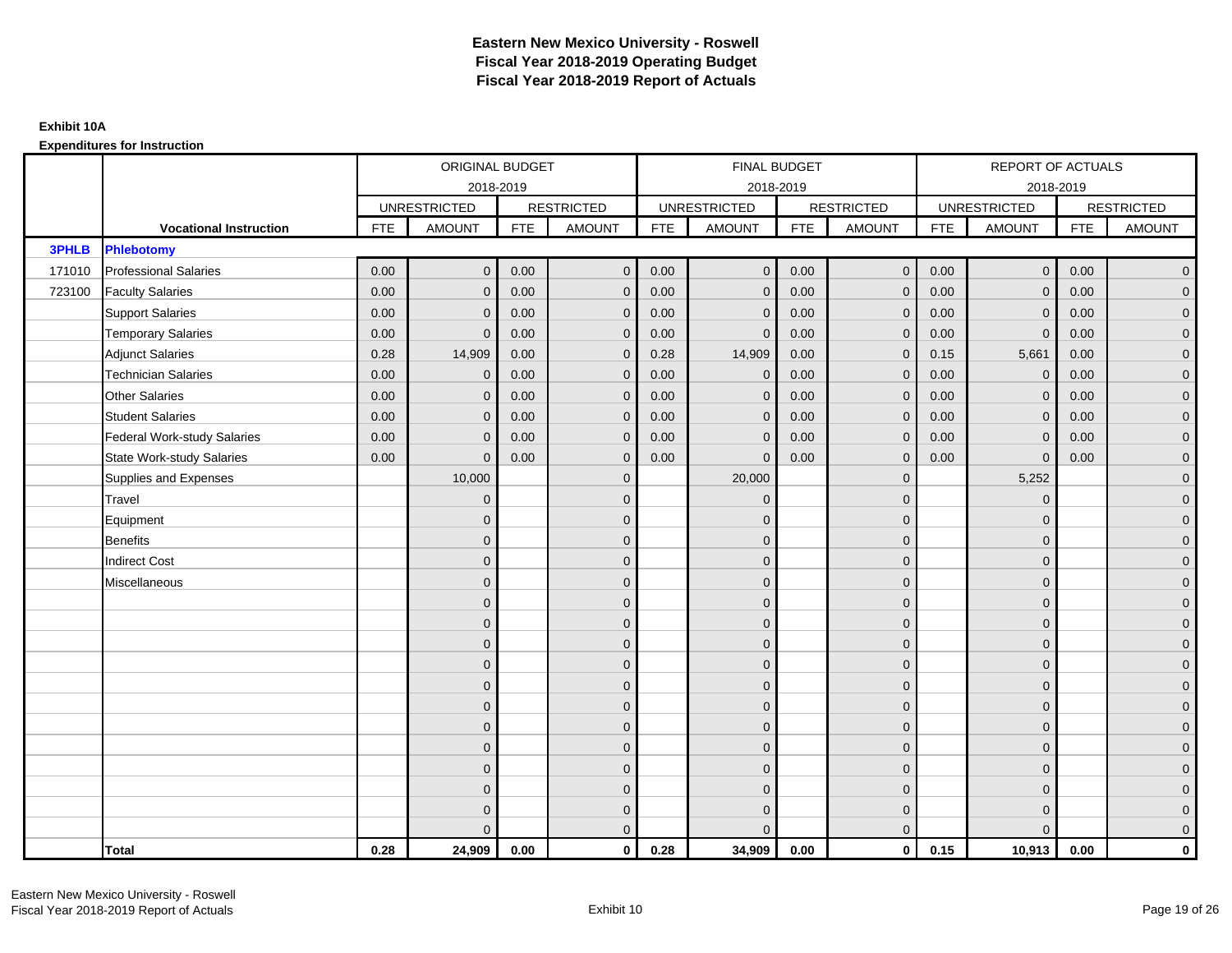|              |                                    |            | ORIGINAL BUDGET     |            |                   |            | <b>FINAL BUDGET</b> |            |                   |            | REPORT OF ACTUALS   |            |                   |
|--------------|------------------------------------|------------|---------------------|------------|-------------------|------------|---------------------|------------|-------------------|------------|---------------------|------------|-------------------|
|              |                                    |            |                     | 2018-2019  |                   |            | 2018-2019           |            |                   |            | 2018-2019           |            |                   |
|              |                                    |            | <b>UNRESTRICTED</b> |            | <b>RESTRICTED</b> |            | <b>UNRESTRICTED</b> |            | <b>RESTRICTED</b> |            | <b>UNRESTRICTED</b> |            | <b>RESTRICTED</b> |
|              | <b>Vocational Instruction</b>      | <b>FTE</b> | <b>AMOUNT</b>       | <b>FTE</b> | <b>AMOUNT</b>     | <b>FTE</b> | <b>AMOUNT</b>       | <b>FTE</b> | <b>AMOUNT</b>     | <b>FTE</b> | <b>AMOUNT</b>       | <b>FTE</b> | <b>AMOUNT</b>     |
| <b>3PHLB</b> | <b>Phlebotomy</b>                  |            |                     |            |                   |            |                     |            |                   |            |                     |            |                   |
| 171010       | <b>Professional Salaries</b>       | 0.00       | $\Omega$            | 0.00       | $\overline{0}$    | 0.00       | $\overline{0}$      | 0.00       | $\overline{0}$    | 0.00       | $\overline{0}$      | 0.00       | $\overline{0}$    |
| 723100       | <b>Faculty Salaries</b>            | 0.00       | $\mathbf 0$         | 0.00       | $\mathbf 0$       | 0.00       | $\mathbf{0}$        | 0.00       | $\mathbf{0}$      | 0.00       | $\mathbf 0$         | 0.00       | $\overline{0}$    |
|              | <b>Support Salaries</b>            | 0.00       | $\Omega$            | 0.00       | $\mathbf 0$       | 0.00       | $\mathbf{0}$        | 0.00       | $\mathbf 0$       | 0.00       | $\mathbf 0$         | 0.00       | $\overline{0}$    |
|              | <b>Temporary Salaries</b>          | 0.00       | $\Omega$            | 0.00       | $\overline{0}$    | 0.00       | $\Omega$            | 0.00       | $\Omega$          | 0.00       | $\mathbf{0}$        | 0.00       | $\overline{0}$    |
|              | <b>Adjunct Salaries</b>            | 0.28       | 14,909              | 0.00       | $\overline{0}$    | 0.28       | 14,909              | 0.00       | $\Omega$          | 0.15       | 5,661               | 0.00       | $\overline{0}$    |
|              | <b>Technician Salaries</b>         | 0.00       | $\Omega$            | 0.00       | $\mathbf{0}$      | 0.00       | $\mathbf{0}$        | 0.00       | $\mathbf{0}$      | 0.00       | $\mathbf 0$         | 0.00       | $\mathbf{0}$      |
|              | <b>Other Salaries</b>              | 0.00       | $\mathbf{0}$        | 0.00       | $\overline{0}$    | 0.00       | $\mathbf{0}$        | 0.00       | $\mathbf{0}$      | 0.00       | $\mathbf 0$         | 0.00       | $\overline{0}$    |
|              | <b>Student Salaries</b>            | 0.00       | $\mathbf{0}$        | 0.00       | $\mathbf 0$       | 0.00       | $\mathbf{0}$        | 0.00       | $\mathbf{0}$      | 0.00       | $\mathbf 0$         | 0.00       | $\overline{0}$    |
|              | <b>Federal Work-study Salaries</b> | 0.00       | $\mathbf{0}$        | 0.00       | $\mathbf 0$       | 0.00       | $\mathbf{0}$        | 0.00       | $\Omega$          | 0.00       | $\mathbf 0$         | 0.00       | $\overline{0}$    |
|              | State Work-study Salaries          | 0.00       | $\mathbf{0}$        | 0.00       | $\overline{0}$    | 0.00       | $\mathbf{0}$        | 0.00       | $\mathbf{0}$      | 0.00       | $\mathbf{0}$        | 0.00       | $\overline{0}$    |
|              | Supplies and Expenses              |            | 10,000              |            | $\mathbf{0}$      |            | 20,000              |            | $\mathbf{0}$      |            | 5,252               |            | $\mathbf{0}$      |
|              | <b>Travel</b>                      |            | $\Omega$            |            | $\mathbf 0$       |            | $\mathbf{0}$        |            | $\mathbf{0}$      |            | $\mathbf{0}$        |            | $\overline{0}$    |
|              | Equipment                          |            | $\Omega$            |            | $\mathbf 0$       |            | $\mathbf{0}$        |            | $\mathbf 0$       |            | $\mathbf{0}$        |            | $\overline{0}$    |
|              | <b>Benefits</b>                    |            | $\mathbf{0}$        |            | $\mathbf 0$       |            | $\Omega$            |            | $\mathbf 0$       |            | $\mathbf{0}$        |            | $\overline{0}$    |
|              | <b>Indirect Cost</b>               |            | $\Omega$            |            | $\overline{0}$    |            | $\Omega$            |            | $\Omega$          |            | $\Omega$            |            | $\overline{0}$    |
|              | Miscellaneous                      |            | $\Omega$            |            | $\mathbf 0$       |            | $\mathbf{0}$        |            | $\overline{0}$    |            | $\mathbf{0}$        |            | $\mathbf{0}$      |
|              |                                    |            | $\Omega$            |            | $\mathbf 0$       |            | $\mathbf{0}$        |            | $\mathbf{0}$      |            | $\mathbf{0}$        |            | $\overline{0}$    |
|              |                                    |            | $\Omega$            |            | $\mathbf 0$       |            | $\mathbf{0}$        |            | $\mathbf{0}$      |            | $\mathbf{0}$        |            | $\overline{0}$    |
|              |                                    |            | $\Omega$            |            | $\mathbf 0$       |            | $\mathbf{0}$        |            | $\mathbf 0$       |            | $\mathbf{0}$        |            | $\overline{0}$    |
|              |                                    |            | $\Omega$            |            | $\mathbf 0$       |            | $\Omega$            |            | $\mathbf{0}$      |            | $\mathbf{0}$        |            | $\mathbf{0}$      |
|              |                                    |            | $\Omega$            |            | $\mathbf 0$       |            | $\Omega$            |            | $\overline{0}$    |            | $\Omega$            |            | $\mathbf{0}$      |
|              |                                    |            | $\Omega$            |            | $\mathbf 0$       |            | $\Omega$            |            | $\mathbf{0}$      |            | $\Omega$            |            | $\overline{0}$    |
|              |                                    |            | $\Omega$            |            | $\mathbf 0$       |            | $\mathbf{0}$        |            | $\mathbf 0$       |            | $\mathbf{0}$        |            | $\overline{0}$    |
|              |                                    |            | $\mathbf{0}$        |            | $\mathbf 0$       |            | $\Omega$            |            | $\mathbf 0$       |            | $\mathbf{0}$        |            | $\overline{0}$    |
|              |                                    |            | $\Omega$            |            | $\mathbf 0$       |            | $\Omega$            |            | $\mathbf{0}$      |            | $\Omega$            |            | $\overline{0}$    |
|              |                                    |            | $\Omega$            |            | $\mathbf 0$       |            | $\mathbf{0}$        |            | $\mathbf 0$       |            | $\mathbf{0}$        |            | $\overline{0}$    |
|              |                                    |            | $\Omega$            |            | $\mathbf 0$       |            | $\mathbf{0}$        |            | $\mathbf 0$       |            | $\mathbf{0}$        |            | $\mathbf{0}$      |
|              |                                    |            | $\Omega$            |            | $\overline{0}$    |            | $\Omega$            |            | $\mathbf{0}$      |            | $\Omega$            |            | $\overline{0}$    |
|              | <b>Total</b>                       | 0.28       | 24,909              | 0.00       | $\mathbf{0}$      | 0.28       | 34,909              | 0.00       | $\mathbf{0}$      | 0.15       | 10,913              | 0.00       | $\mathbf 0$       |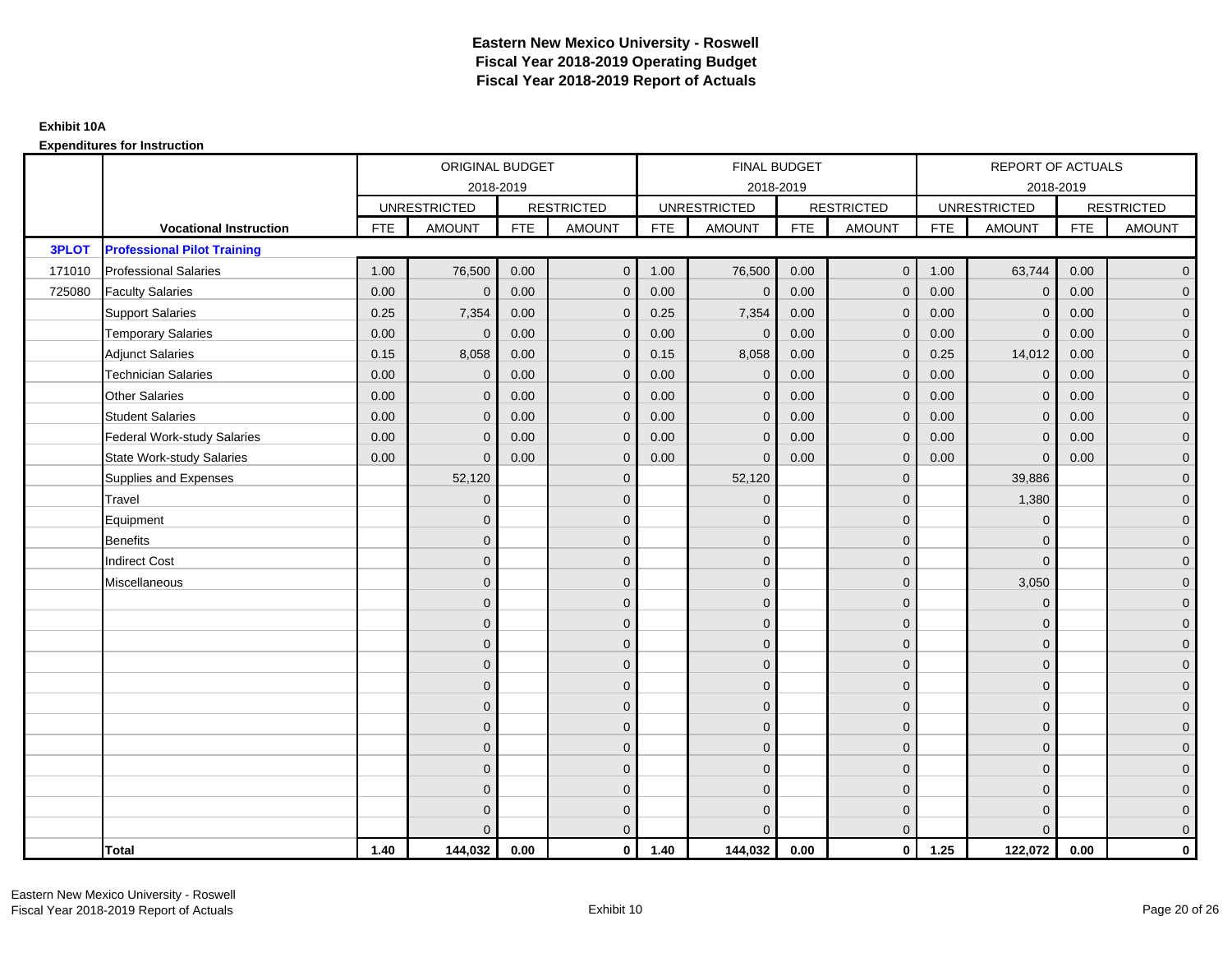|              |                                    |            | ORIGINAL BUDGET     |            |                   |            | <b>FINAL BUDGET</b> |            |                   |            | REPORT OF ACTUALS   |            |                     |
|--------------|------------------------------------|------------|---------------------|------------|-------------------|------------|---------------------|------------|-------------------|------------|---------------------|------------|---------------------|
|              |                                    |            | 2018-2019           |            |                   |            | 2018-2019           |            |                   |            | 2018-2019           |            |                     |
|              |                                    |            | <b>UNRESTRICTED</b> |            | <b>RESTRICTED</b> |            | <b>UNRESTRICTED</b> |            | <b>RESTRICTED</b> |            | <b>UNRESTRICTED</b> |            | <b>RESTRICTED</b>   |
|              | <b>Vocational Instruction</b>      | <b>FTE</b> | <b>AMOUNT</b>       | <b>FTE</b> | <b>AMOUNT</b>     | <b>FTE</b> | <b>AMOUNT</b>       | <b>FTE</b> | <b>AMOUNT</b>     | <b>FTE</b> | <b>AMOUNT</b>       | <b>FTE</b> | <b>AMOUNT</b>       |
| <b>3PLOT</b> | <b>Professional Pilot Training</b> |            |                     |            |                   |            |                     |            |                   |            |                     |            |                     |
| 171010       | <b>Professional Salaries</b>       | 1.00       | 76,500              | 0.00       | $\overline{0}$    | 1.00       | 76,500              | 0.00       | $\mathbf{0}$      | 1.00       | 63,744              | 0.00       | $\overline{0}$      |
| 725080       | <b>Faculty Salaries</b>            | 0.00       | $\mathbf{0}$        | 0.00       | $\mathbf 0$       | 0.00       | $\mathbf{0}$        | 0.00       | $\Omega$          | 0.00       | $\mathbf 0$         | 0.00       | $\overline{0}$      |
|              | <b>Support Salaries</b>            | 0.25       | 7,354               | 0.00       | $\mathbf 0$       | 0.25       | 7,354               | 0.00       | 0                 | 0.00       | $\mathbf 0$         | 0.00       | $\overline{0}$      |
|              | <b>Temporary Salaries</b>          | 0.00       | $\mathbf{0}$        | 0.00       | $\mathbf 0$       | 0.00       | $\Omega$            | 0.00       | $\Omega$          | 0.00       | $\mathbf{0}$        | 0.00       | $\overline{0}$      |
|              | <b>Adjunct Salaries</b>            | 0.15       | 8,058               | 0.00       | $\overline{0}$    | 0.15       | 8,058               | 0.00       | $\Omega$          | 0.25       | 14,012              | 0.00       | $\overline{0}$      |
|              | <b>Technician Salaries</b>         | 0.00       | $\Omega$            | 0.00       | $\Omega$          | 0.00       | $\Omega$            | 0.00       | $\Omega$          | 0.00       | $\mathbf{0}$        | 0.00       | $\overline{0}$      |
|              | <b>Other Salaries</b>              | 0.00       | $\mathbf 0$         | 0.00       | $\mathbf 0$       | 0.00       | $\mathbf{0}$        | 0.00       | $\mathbf{0}$      | 0.00       | $\mathbf 0$         | 0.00       | $\overline{0}$      |
|              | <b>Student Salaries</b>            | 0.00       | $\mathbf{0}$        | 0.00       | $\mathbf 0$       | 0.00       | $\mathbf{0}$        | 0.00       | $\mathbf 0$       | 0.00       | $\mathbf 0$         | 0.00       | $\overline{0}$      |
|              | <b>Federal Work-study Salaries</b> | 0.00       | $\mathbf{0}$        | 0.00       | $\overline{0}$    | 0.00       | $\Omega$            | 0.00       | $\Omega$          | 0.00       | $\mathbf{0}$        | 0.00       | $\overline{0}$      |
|              | <b>State Work-study Salaries</b>   | 0.00       | $\Omega$            | 0.00       | $\overline{0}$    | 0.00       | $\Omega$            | 0.00       | $\Omega$          | 0.00       | $\Omega$            | 0.00       | $\overline{0}$      |
|              | Supplies and Expenses              |            | 52,120              |            | $\mathbf 0$       |            | 52,120              |            | $\mathbf{0}$      |            | 39,886              |            | $\mathbf{0}$        |
|              | Travel                             |            | $\mathbf{0}$        |            | $\mathbf 0$       |            | $\mathbf{0}$        |            | $\mathbf{0}$      |            | 1,380               |            | $\overline{0}$      |
|              | Equipment                          |            | $\Omega$            |            | $\overline{0}$    |            | $\Omega$            |            | $\mathbf{0}$      |            | $\mathbf{0}$        |            | $\overline{0}$      |
|              | <b>Benefits</b>                    |            | $\mathbf 0$         |            | $\mathbf 0$       |            | $\mathbf{0}$        |            | $\mathbf 0$       |            | $\mathbf 0$         |            | $\overline{0}$      |
|              | <b>Indirect Cost</b>               |            | $\mathbf{0}$        |            | $\mathbf 0$       |            | $\Omega$            |            | $\mathbf{0}$      |            | $\mathbf{0}$        |            | $\overline{0}$      |
|              | Miscellaneous                      |            | $\Omega$            |            | $\mathbf 0$       |            | $\Omega$            |            | $\mathbf 0$       |            | 3,050               |            | $\mathbf{0}$        |
|              |                                    |            | $\Omega$            |            | $\mathbf 0$       |            | $\Omega$            |            | $\mathbf{0}$      |            | $\mathbf{0}$        |            | $\overline{0}$      |
|              |                                    |            | $\mathbf{0}$        |            | $\mathbf 0$       |            | $\Omega$            |            | $\mathbf 0$       |            | $\mathbf 0$         |            | $\mathsf{O}\xspace$ |
|              |                                    |            | $\mathbf{0}$        |            | $\mathbf 0$       |            | $\Omega$            |            | $\mathbf 0$       |            | $\mathbf{0}$        |            | $\overline{0}$      |
|              |                                    |            | $\Omega$            |            | $\mathbf 0$       |            | $\Omega$            |            | $\mathbf 0$       |            | $\mathbf{0}$        |            | $\overline{0}$      |
|              |                                    |            | $\Omega$            |            | $\mathbf 0$       |            | $\Omega$            |            | $\mathbf{0}$      |            | $\Omega$            |            | $\overline{0}$      |
|              |                                    |            | $\mathbf{0}$        |            | $\mathbf 0$       |            | $\mathbf{0}$        |            | $\mathbf 0$       |            | $\mathbf{0}$        |            | $\overline{0}$      |
|              |                                    |            | $\Omega$            |            | $\mathbf{0}$      |            | $\Omega$            |            | $\mathbf 0$       |            | $\mathbf{0}$        |            | $\overline{0}$      |
|              |                                    |            | $\Omega$            |            | $\mathbf 0$       |            | $\Omega$            |            | $\mathbf 0$       |            | $\mathbf{0}$        |            | $\overline{0}$      |
|              |                                    |            | $\Omega$            |            | $\overline{0}$    |            | $\Omega$            |            | $\mathbf{0}$      |            | $\mathbf{0}$        |            | $\mathsf{O}\xspace$ |
|              |                                    |            | $\mathbf{0}$        |            | $\mathbf 0$       |            | $\Omega$            |            | $\mathbf 0$       |            | $\mathbf{0}$        |            | $\mathbf{0}$        |
|              |                                    |            | $\mathbf{0}$        |            | $\mathbf 0$       |            | $\Omega$            |            | $\mathbf 0$       |            | $\mathbf{0}$        |            | $\overline{0}$      |
|              |                                    |            | $\Omega$            |            | $\mathbf{0}$      |            | $\Omega$            |            | $\Omega$          |            | $\Omega$            |            | $\mathbf 0$         |
|              | Total                              | 1.40       | 144,032             | 0.00       | $\mathbf{0}$      | 1.40       | 144,032             | 0.00       | $\mathbf{0}$      | 1.25       | 122,072             | 0.00       | $\mathbf 0$         |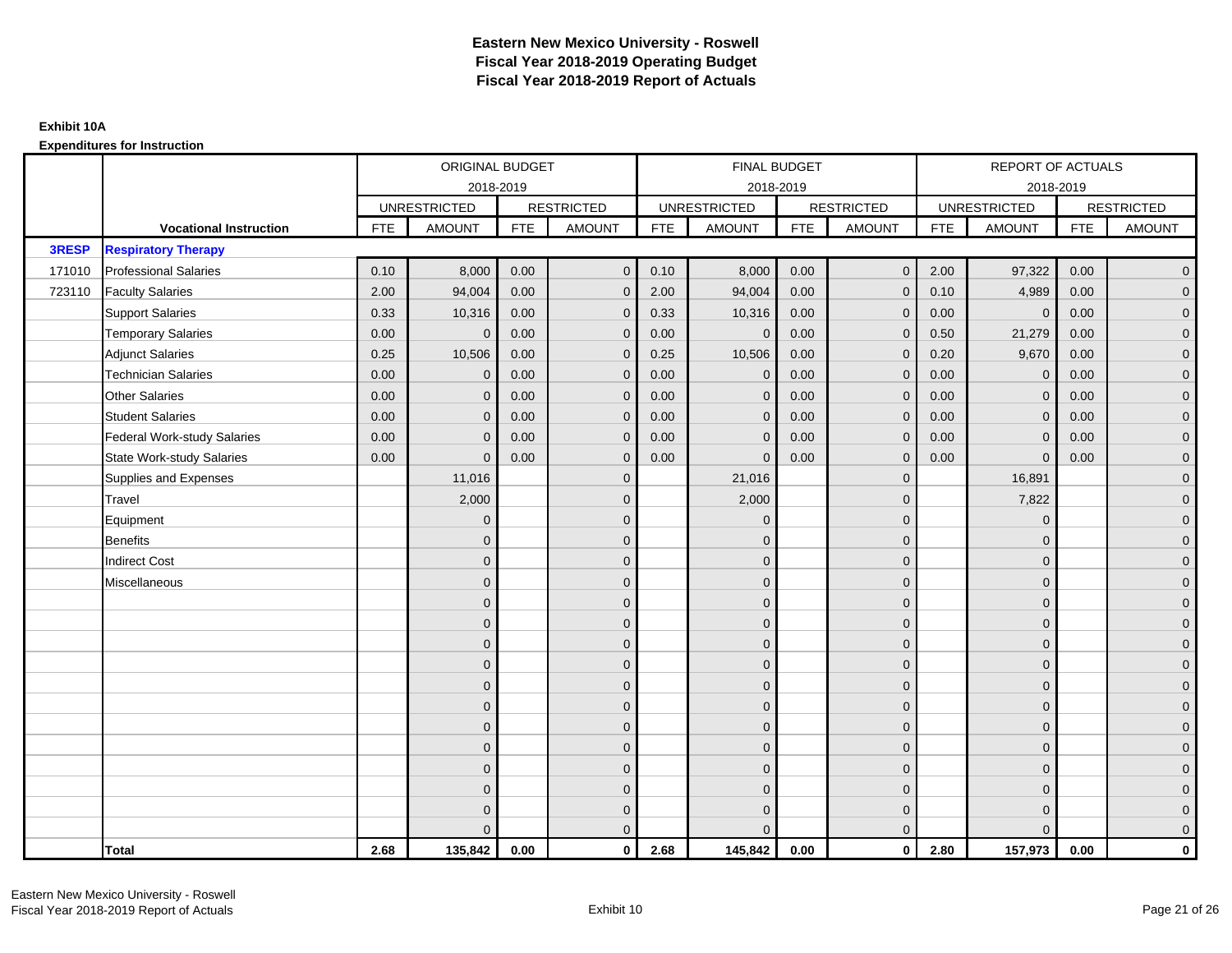|              |                                    |            | ORIGINAL BUDGET     |            |                   |            | <b>FINAL BUDGET</b> |            |                   |            | REPORT OF ACTUALS   |            |                   |
|--------------|------------------------------------|------------|---------------------|------------|-------------------|------------|---------------------|------------|-------------------|------------|---------------------|------------|-------------------|
|              |                                    |            | 2018-2019           |            |                   |            | 2018-2019           |            |                   |            | 2018-2019           |            |                   |
|              |                                    |            | <b>UNRESTRICTED</b> |            | <b>RESTRICTED</b> |            | <b>UNRESTRICTED</b> |            | <b>RESTRICTED</b> |            | <b>UNRESTRICTED</b> |            | <b>RESTRICTED</b> |
|              | <b>Vocational Instruction</b>      | <b>FTE</b> | <b>AMOUNT</b>       | <b>FTE</b> | <b>AMOUNT</b>     | <b>FTE</b> | <b>AMOUNT</b>       | <b>FTE</b> | <b>AMOUNT</b>     | <b>FTE</b> | <b>AMOUNT</b>       | <b>FTE</b> | <b>AMOUNT</b>     |
| <b>3RESP</b> | <b>Respiratory Therapy</b>         |            |                     |            |                   |            |                     |            |                   |            |                     |            |                   |
| 171010       | <b>Professional Salaries</b>       | 0.10       | 8,000               | 0.00       | $\mathbf{0}$      | 0.10       | 8,000               | 0.00       | $\mathbf{0}$      | 2.00       | 97,322              | 0.00       | $\overline{0}$    |
| 723110       | <b>Faculty Salaries</b>            | 2.00       | 94,004              | 0.00       | $\mathbf 0$       | 2.00       | 94,004              | 0.00       | $\mathbf{0}$      | 0.10       | 4,989               | 0.00       | $\overline{0}$    |
|              | <b>Support Salaries</b>            | 0.33       | 10,316              | 0.00       | $\mathbf 0$       | 0.33       | 10,316              | 0.00       | $\mathbf 0$       | 0.00       | $\mathbf 0$         | 0.00       | $\overline{0}$    |
|              | <b>Temporary Salaries</b>          | 0.00       | $\Omega$            | 0.00       | $\overline{0}$    | 0.00       | $\Omega$            | 0.00       | $\Omega$          | 0.50       | 21,279              | 0.00       | $\overline{0}$    |
|              | <b>Adjunct Salaries</b>            | 0.25       | 10,506              | 0.00       | $\Omega$          | 0.25       | 10,506              | 0.00       | $\Omega$          | 0.20       | 9,670               | 0.00       | $\overline{0}$    |
|              | <b>Technician Salaries</b>         | 0.00       | $\Omega$            | 0.00       | $\mathbf{0}$      | 0.00       | $\Omega$            | 0.00       | $\mathbf 0$       | 0.00       | $\mathbf 0$         | 0.00       | $\mathbf{0}$      |
|              | <b>Other Salaries</b>              | 0.00       | $\mathbf{0}$        | 0.00       | $\mathbf 0$       | 0.00       | $\Omega$            | 0.00       | $\mathbf{0}$      | 0.00       | $\overline{0}$      | 0.00       | $\overline{0}$    |
|              | <b>Student Salaries</b>            | 0.00       | $\mathbf{0}$        | 0.00       | $\overline{0}$    | 0.00       | $\Omega$            | 0.00       | $\mathbf 0$       | 0.00       | $\mathbf 0$         | 0.00       | $\overline{0}$    |
|              | <b>Federal Work-study Salaries</b> | 0.00       | $\mathbf{0}$        | 0.00       | $\mathbf 0$       | 0.00       | $\mathbf{0}$        | 0.00       | $\Omega$          | 0.00       | $\mathbf 0$         | 0.00       | $\overline{0}$    |
|              | <b>State Work-study Salaries</b>   | 0.00       | $\mathbf{0}$        | 0.00       | $\overline{0}$    | 0.00       | $\Omega$            | 0.00       | $\mathbf 0$       | 0.00       | $\mathbf{0}$        | 0.00       | $\overline{0}$    |
|              | Supplies and Expenses              |            | 11,016              |            | $\overline{0}$    |            | 21,016              |            | $\mathbf{0}$      |            | 16,891              |            | $\mathbf{0}$      |
|              | Travel                             |            | 2,000               |            | $\mathbf 0$       |            | 2,000               |            | $\mathbf{0}$      |            | 7,822               |            | $\overline{0}$    |
|              | Equipment                          |            | $\Omega$            |            | $\mathbf 0$       |            | $\Omega$            |            | $\mathbf 0$       |            | $\mathbf 0$         |            | $\overline{0}$    |
|              | <b>Benefits</b>                    |            | $\Omega$            |            | $\mathbf 0$       |            | $\Omega$            |            | $\mathbf{0}$      |            | $\mathbf{0}$        |            | $\overline{0}$    |
|              | <b>Indirect Cost</b>               |            | $\Omega$            |            | $\overline{0}$    |            | $\Omega$            |            | $\Omega$          |            | $\Omega$            |            | $\overline{0}$    |
|              | Miscellaneous                      |            | $\mathbf{0}$        |            | $\mathbf 0$       |            | $\Omega$            |            | $\mathbf 0$       |            | $\mathbf{0}$        |            | $\mathbf{0}$      |
|              |                                    |            | $\mathbf{0}$        |            | $\mathbf 0$       |            | $\Omega$            |            | $\mathbf{0}$      |            | $\mathbf{0}$        |            | $\overline{0}$    |
|              |                                    |            | $\Omega$            |            | $\mathbf 0$       |            | $\Omega$            |            | $\mathbf{0}$      |            | $\mathbf{0}$        |            | $\overline{0}$    |
|              |                                    |            | $\mathbf{0}$        |            | $\mathbf 0$       |            | $\Omega$            |            | $\mathbf 0$       |            | $\mathbf{0}$        |            | $\overline{0}$    |
|              |                                    |            | $\Omega$            |            | $\mathbf 0$       |            | $\Omega$            |            | $\mathbf{0}$      |            | $\mathbf{0}$        |            | $\mathbf{0}$      |
|              |                                    |            | $\Omega$            |            | $\mathbf 0$       |            | $\Omega$            |            | $\mathbf{0}$      |            | $\Omega$            |            | $\mathbf{0}$      |
|              |                                    |            | $\Omega$            |            | $\mathbf 0$       |            | $\Omega$            |            | $\mathbf{0}$      |            | $\Omega$            |            | $\overline{0}$    |
|              |                                    |            | $\mathbf{0}$        |            | $\mathbf 0$       |            | $\Omega$            |            | $\mathbf{0}$      |            | $\mathbf{0}$        |            | $\overline{0}$    |
|              |                                    |            | $\mathbf{0}$        |            | $\mathbf 0$       |            | $\Omega$            |            | $\mathbf{0}$      |            | $\mathbf{0}$        |            | $\overline{0}$    |
|              |                                    |            | $\Omega$            |            | $\mathbf 0$       |            | $\Omega$            |            | $\mathbf{0}$      |            | $\Omega$            |            | $\overline{0}$    |
|              |                                    |            | $\mathbf{0}$        |            | $\mathbf 0$       |            | $\Omega$            |            | $\mathbf 0$       |            | $\mathbf{0}$        |            | $\overline{0}$    |
|              |                                    |            | $\mathbf{0}$        |            | $\mathbf 0$       |            | $\Omega$            |            | $\mathbf 0$       |            | $\mathbf{0}$        |            | $\mathbf{0}$      |
|              |                                    |            | $\Omega$            |            | $\overline{0}$    |            |                     |            | $\mathbf{0}$      |            | $\Omega$            |            | $\overline{0}$    |
|              | <b>Total</b>                       | 2.68       | 135,842             | 0.00       | $\mathbf{0}$      | 2.68       | 145,842             | 0.00       | $\mathbf{0}$      | 2.80       | 157,973             | 0.00       | $\mathbf 0$       |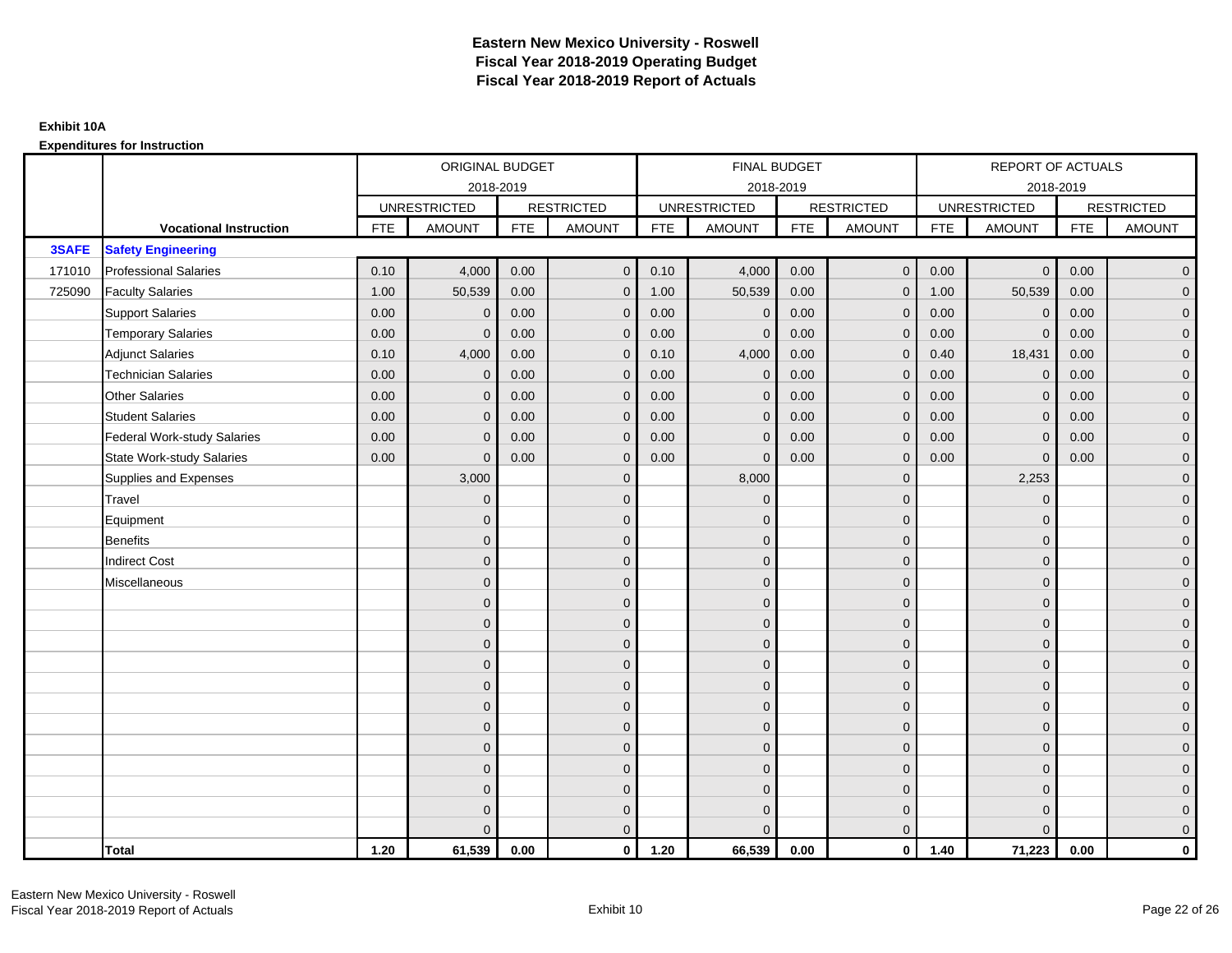|        |                                    |            | ORIGINAL BUDGET     |            |                   |            | <b>FINAL BUDGET</b> |            |                   |            | REPORT OF ACTUALS   |            |                   |
|--------|------------------------------------|------------|---------------------|------------|-------------------|------------|---------------------|------------|-------------------|------------|---------------------|------------|-------------------|
|        |                                    |            |                     | 2018-2019  |                   |            | 2018-2019           |            |                   |            | 2018-2019           |            |                   |
|        |                                    |            | <b>UNRESTRICTED</b> |            | <b>RESTRICTED</b> |            | <b>UNRESTRICTED</b> |            | <b>RESTRICTED</b> |            | <b>UNRESTRICTED</b> |            | <b>RESTRICTED</b> |
|        | <b>Vocational Instruction</b>      | <b>FTE</b> | <b>AMOUNT</b>       | <b>FTE</b> | <b>AMOUNT</b>     | <b>FTE</b> | <b>AMOUNT</b>       | <b>FTE</b> | <b>AMOUNT</b>     | <b>FTE</b> | <b>AMOUNT</b>       | <b>FTE</b> | <b>AMOUNT</b>     |
| 3SAFE  | <b>Safety Engineering</b>          |            |                     |            |                   |            |                     |            |                   |            |                     |            |                   |
| 171010 | <b>Professional Salaries</b>       | 0.10       | 4,000               | 0.00       | $\mathbf{0}$      | 0.10       | 4,000               | 0.00       | $\mathbf{0}$      | 0.00       | $\overline{0}$      | 0.00       | $\overline{0}$    |
| 725090 | <b>Faculty Salaries</b>            | 1.00       | 50,539              | 0.00       | $\mathbf 0$       | 1.00       | 50,539              | 0.00       | $\mathbf{0}$      | 1.00       | 50,539              | 0.00       | $\overline{0}$    |
|        | <b>Support Salaries</b>            | 0.00       | $\mathbf 0$         | 0.00       | $\mathbf 0$       | 0.00       | $\mathbf 0$         | 0.00       | $\mathbf 0$       | 0.00       | $\mathbf 0$         | 0.00       | $\overline{0}$    |
|        | <b>Temporary Salaries</b>          | 0.00       | $\mathbf{0}$        | 0.00       | $\overline{0}$    | 0.00       | $\Omega$            | 0.00       | $\Omega$          | 0.00       | $\mathbf{0}$        | 0.00       | $\overline{0}$    |
|        | <b>Adjunct Salaries</b>            | 0.10       | 4,000               | 0.00       | $\overline{0}$    | 0.10       | 4,000               | 0.00       | $\Omega$          | 0.40       | 18,431              | 0.00       | $\overline{0}$    |
|        | <b>Technician Salaries</b>         | 0.00       | $\mathbf{0}$        | 0.00       | $\mathbf{0}$      | 0.00       | $\mathbf 0$         | 0.00       | $\mathbf 0$       | 0.00       | $\mathbf 0$         | 0.00       | $\mathbf{0}$      |
|        | <b>Other Salaries</b>              | 0.00       | $\mathbf{0}$        | 0.00       | $\mathbf 0$       | 0.00       | $\Omega$            | 0.00       | $\mathbf{0}$      | 0.00       | $\overline{0}$      | 0.00       | $\overline{0}$    |
|        | <b>Student Salaries</b>            | 0.00       | $\mathbf{0}$        | 0.00       | $\mathbf 0$       | 0.00       | $\mathbf{0}$        | 0.00       | $\mathbf{0}$      | 0.00       | $\mathbf 0$         | 0.00       | $\overline{0}$    |
|        | <b>Federal Work-study Salaries</b> | 0.00       | $\mathbf{0}$        | 0.00       | $\mathbf 0$       | 0.00       | $\mathbf{0}$        | 0.00       | $\Omega$          | 0.00       | $\mathbf 0$         | 0.00       | $\overline{0}$    |
|        | <b>State Work-study Salaries</b>   | 0.00       | $\mathbf{0}$        | 0.00       | $\overline{0}$    | 0.00       | $\mathbf{0}$        | 0.00       | $\mathbf 0$       | 0.00       | $\mathbf{0}$        | 0.00       | $\overline{0}$    |
|        | Supplies and Expenses              |            | 3,000               |            | $\overline{0}$    |            | 8,000               |            | $\overline{0}$    |            | 2,253               |            | $\mathbf{0}$      |
|        | Travel                             |            | $\Omega$            |            | $\mathbf 0$       |            | $\Omega$            |            | $\mathbf{0}$      |            | $\mathbf{0}$        |            | $\overline{0}$    |
|        | Equipment                          |            | $\mathbf{0}$        |            | $\mathbf 0$       |            | $\Omega$            |            | $\mathbf 0$       |            | $\mathbf{0}$        |            | $\overline{0}$    |
|        | <b>Benefits</b>                    |            | $\mathbf 0$         |            | $\mathbf 0$       |            | $\Omega$            |            | $\mathbf{0}$      |            | $\mathbf{0}$        |            | $\overline{0}$    |
|        | <b>Indirect Cost</b>               |            | $\Omega$            |            | $\overline{0}$    |            | $\Omega$            |            | $\Omega$          |            | $\Omega$            |            | $\overline{0}$    |
|        | Miscellaneous                      |            | $\mathbf{0}$        |            | $\mathbf 0$       |            | $\Omega$            |            | $\mathbf 0$       |            | $\mathbf{0}$        |            | $\mathbf{0}$      |
|        |                                    |            | $\mathbf{0}$        |            | $\mathbf 0$       |            | $\Omega$            |            | $\mathbf{0}$      |            | $\mathbf{0}$        |            | $\overline{0}$    |
|        |                                    |            | $\mathbf 0$         |            | $\mathbf 0$       |            | $\Omega$            |            | $\mathbf{0}$      |            | $\mathbf{0}$        |            | $\overline{0}$    |
|        |                                    |            | $\mathbf 0$         |            | $\mathbf 0$       |            | $\Omega$            |            | $\mathbf 0$       |            | $\mathbf{0}$        |            | $\overline{0}$    |
|        |                                    |            | $\Omega$            |            | $\mathbf 0$       |            | $\Omega$            |            | $\mathbf{0}$      |            | $\mathbf{0}$        |            | $\mathbf{0}$      |
|        |                                    |            | $\Omega$            |            | $\mathbf 0$       |            | $\Omega$            |            | $\mathbf{0}$      |            | $\Omega$            |            | $\mathbf{0}$      |
|        |                                    |            | $\Omega$            |            | $\mathbf 0$       |            | $\Omega$            |            | $\mathbf{0}$      |            | $\Omega$            |            | $\overline{0}$    |
|        |                                    |            | $\mathbf{0}$        |            | $\mathbf 0$       |            | $\Omega$            |            | $\mathbf 0$       |            | $\mathbf{0}$        |            | $\overline{0}$    |
|        |                                    |            | $\mathbf{0}$        |            | $\mathbf 0$       |            | $\Omega$            |            | $\mathbf{0}$      |            | $\mathbf{0}$        |            | $\overline{0}$    |
|        |                                    |            | $\Omega$            |            | $\mathbf 0$       |            | $\Omega$            |            | $\mathbf{0}$      |            | $\Omega$            |            | $\overline{0}$    |
|        |                                    |            | $\mathbf{0}$        |            | $\mathbf 0$       |            | $\Omega$            |            | $\mathbf 0$       |            | $\mathbf{0}$        |            | $\mathbf{0}$      |
|        |                                    |            | $\mathbf{0}$        |            | $\mathbf 0$       |            | $\Omega$            |            | $\mathbf 0$       |            | $\mathbf{0}$        |            | $\mathbf{0}$      |
|        |                                    |            | $\Omega$            |            | $\overline{0}$    |            |                     |            | $\mathbf{0}$      |            | $\Omega$            |            | $\overline{0}$    |
|        | <b>Total</b>                       | 1.20       | 61,539              | 0.00       | $\mathbf{0}$      | 1.20       | 66,539              | 0.00       | $\mathbf{0}$      | 1.40       | 71,223              | 0.00       | $\mathbf 0$       |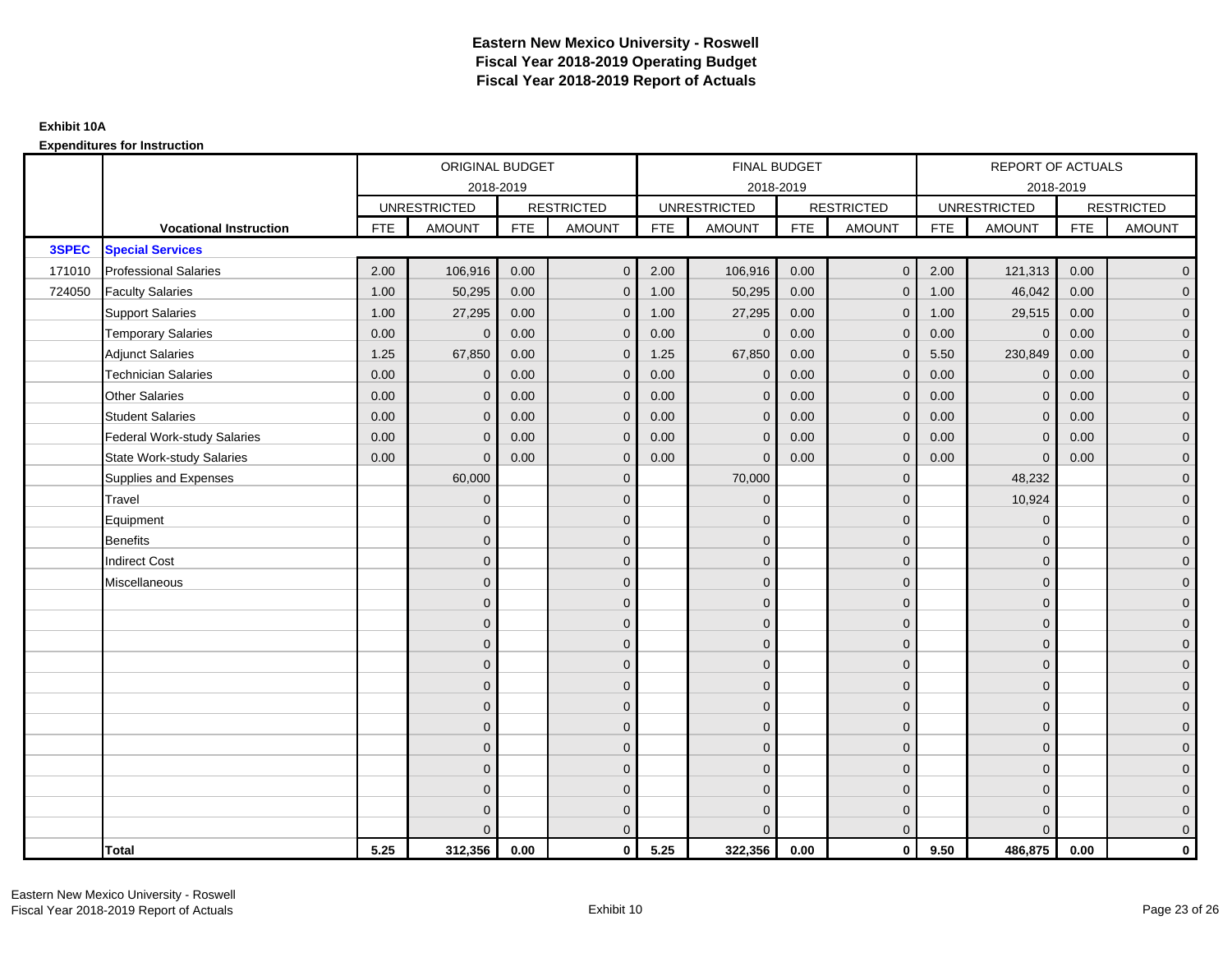|        |                               |            | ORIGINAL BUDGET     |            |                     |            | FINAL BUDGET        |            |                   |            | <b>REPORT OF ACTUALS</b> |            |                     |
|--------|-------------------------------|------------|---------------------|------------|---------------------|------------|---------------------|------------|-------------------|------------|--------------------------|------------|---------------------|
|        |                               |            | 2018-2019           |            |                     |            | 2018-2019           |            |                   |            | 2018-2019                |            |                     |
|        |                               |            | <b>UNRESTRICTED</b> |            | <b>RESTRICTED</b>   |            | <b>UNRESTRICTED</b> |            | <b>RESTRICTED</b> |            | <b>UNRESTRICTED</b>      |            | <b>RESTRICTED</b>   |
|        | <b>Vocational Instruction</b> | <b>FTE</b> | <b>AMOUNT</b>       | <b>FTE</b> | <b>AMOUNT</b>       | <b>FTE</b> | <b>AMOUNT</b>       | <b>FTE</b> | <b>AMOUNT</b>     | <b>FTE</b> | <b>AMOUNT</b>            | <b>FTE</b> | <b>AMOUNT</b>       |
| 3SPEC  | <b>Special Services</b>       |            |                     |            |                     |            |                     |            |                   |            |                          |            |                     |
| 171010 | <b>Professional Salaries</b>  | 2.00       | 106,916             | 0.00       | $\overline{0}$      | 2.00       | 106,916             | 0.00       | $\mathbf{0}$      | 2.00       | 121,313                  | 0.00       | $\overline{0}$      |
| 724050 | <b>Faculty Salaries</b>       | 1.00       | 50,295              | 0.00       | $\overline{0}$      | 1.00       | 50,295              | 0.00       | $\Omega$          | 1.00       | 46,042                   | 0.00       | $\overline{0}$      |
|        | <b>Support Salaries</b>       | 1.00       | 27,295              | 0.00       | $\mathbf 0$         | 1.00       | 27,295              | 0.00       | $\mathbf 0$       | 1.00       | 29,515                   | 0.00       | $\overline{0}$      |
|        | <b>Temporary Salaries</b>     | 0.00       | $\mathbf 0$         | 0.00       | $\mathbf{0}$        | 0.00       | $\mathbf{0}$        | 0.00       | 0                 | 0.00       | $\mathbf 0$              | 0.00       | $\overline{0}$      |
|        | <b>Adjunct Salaries</b>       | 1.25       | 67,850              | 0.00       | $\overline{0}$      | 1.25       | 67,850              | 0.00       | $\Omega$          | 5.50       | 230,849                  | 0.00       | $\overline{0}$      |
|        | <b>Technician Salaries</b>    | 0.00       | $\Omega$            | 0.00       | $\mathbf{0}$        | 0.00       | $\Omega$            | 0.00       | $\Omega$          | 0.00       | $\mathbf{0}$             | 0.00       | $\overline{0}$      |
|        | <b>Other Salaries</b>         | 0.00       | $\mathbf{0}$        | 0.00       | $\mathbf 0$         | 0.00       | $\mathbf{0}$        | 0.00       | $\mathbf{0}$      | 0.00       | $\mathbf 0$              | 0.00       | $\mathbf{0}$        |
|        | <b>Student Salaries</b>       | 0.00       | $\mathbf{0}$        | 0.00       | $\mathbf 0$         | 0.00       | $\mathbf{0}$        | 0.00       | $\mathbf{0}$      | 0.00       | $\mathbf 0$              | 0.00       | $\overline{0}$      |
|        | Federal Work-study Salaries   | 0.00       | $\Omega$            | 0.00       | $\overline{0}$      | 0.00       | $\Omega$            | 0.00       | $\Omega$          | 0.00       | $\mathbf{0}$             | 0.00       | $\overline{0}$      |
|        | State Work-study Salaries     | 0.00       | $\Omega$            | 0.00       | $\overline{0}$      | 0.00       | $\Omega$            | 0.00       | $\Omega$          | 0.00       | $\Omega$                 | 0.00       | $\overline{0}$      |
|        | Supplies and Expenses         |            | 60,000              |            | $\mathbf 0$         |            | 70,000              |            | $\mathbf{0}$      |            | 48,232                   |            | $\mathbf{0}$        |
|        | <b>Travel</b>                 |            | $\mathbf{0}$        |            | $\mathbf 0$         |            | $\mathbf{0}$        |            | $\mathbf{0}$      |            | 10,924                   |            | $\mathbf{0}$        |
|        | Equipment                     |            | $\Omega$            |            | $\mathbf 0$         |            | $\Omega$            |            | $\mathbf{0}$      |            | $\mathbf{0}$             |            | $\overline{0}$      |
|        | Benefits                      |            | $\Omega$            |            | $\mathbf 0$         |            | $\mathbf{0}$        |            | $\mathbf 0$       |            | $\mathbf 0$              |            | $\overline{0}$      |
|        | <b>Indirect Cost</b>          |            | $\Omega$            |            | $\mathbf 0$         |            | $\Omega$            |            | $\mathbf{0}$      |            | $\mathbf{0}$             |            | $\mathbf{0}$        |
|        | Miscellaneous                 |            | $\Omega$            |            | $\mathbf 0$         |            | $\Omega$            |            | $\mathbf{0}$      |            | $\mathbf{0}$             |            | $\mathbf{0}$        |
|        |                               |            | $\Omega$            |            | $\mathbf 0$         |            | $\Omega$            |            | $\mathbf{0}$      |            | $\Omega$                 |            | $\overline{0}$      |
|        |                               |            | $\mathbf{0}$        |            | $\mathsf{O}\xspace$ |            | $\mathbf{0}$        |            | $\mathbf 0$       |            | $\mathbf 0$              |            | $\mathsf{O}\xspace$ |
|        |                               |            | $\Omega$            |            | $\mathbf 0$         |            | $\Omega$            |            | $\mathbf 0$       |            | $\mathbf{0}$             |            | $\overline{0}$      |
|        |                               |            | $\Omega$            |            | $\mathbf 0$         |            | $\Omega$            |            | $\mathbf{0}$      |            | $\mathbf{0}$             |            | $\overline{0}$      |
|        |                               |            | $\Omega$            |            | $\overline{0}$      |            | $\Omega$            |            | $\Omega$          |            | $\Omega$                 |            | $\overline{0}$      |
|        |                               |            | $\mathbf{0}$        |            | $\mathsf{O}\xspace$ |            | $\mathbf{0}$        |            | $\mathbf 0$       |            | $\mathbf{0}$             |            | $\mathbf{0}$        |
|        |                               |            | $\Omega$            |            | $\mathbf 0$         |            | $\overline{0}$      |            | $\mathbf{0}$      |            | $\mathbf{0}$             |            | $\overline{0}$      |
|        |                               |            | $\Omega$            |            | $\mathbf 0$         |            | $\Omega$            |            | $\mathbf 0$       |            | $\mathbf{0}$             |            | $\overline{0}$      |
|        |                               |            | $\Omega$            |            | $\mathbf 0$         |            | $\Omega$            |            | $\mathbf{0}$      |            | $\Omega$                 |            | $\overline{0}$      |
|        |                               |            | $\Omega$            |            | $\mathbf 0$         |            | $\mathbf{0}$        |            | $\mathbf 0$       |            | $\mathbf{0}$             |            | $\mathbf{0}$        |
|        |                               |            | $\Omega$            |            | $\mathbf 0$         |            | $\mathbf{0}$        |            | $\mathbf{0}$      |            | $\mathbf{0}$             |            | $\mathbf{0}$        |
|        |                               |            |                     |            | $\overline{0}$      |            | $\Omega$            |            | $\mathbf{0}$      |            | $\Omega$                 |            | $\overline{0}$      |
|        | <b>Total</b>                  | 5.25       | 312,356             | 0.00       | $\mathbf{0}$        | 5.25       | 322,356             | 0.00       | $\mathbf{0}$      | 9.50       | 486,875                  | 0.00       | $\mathbf 0$         |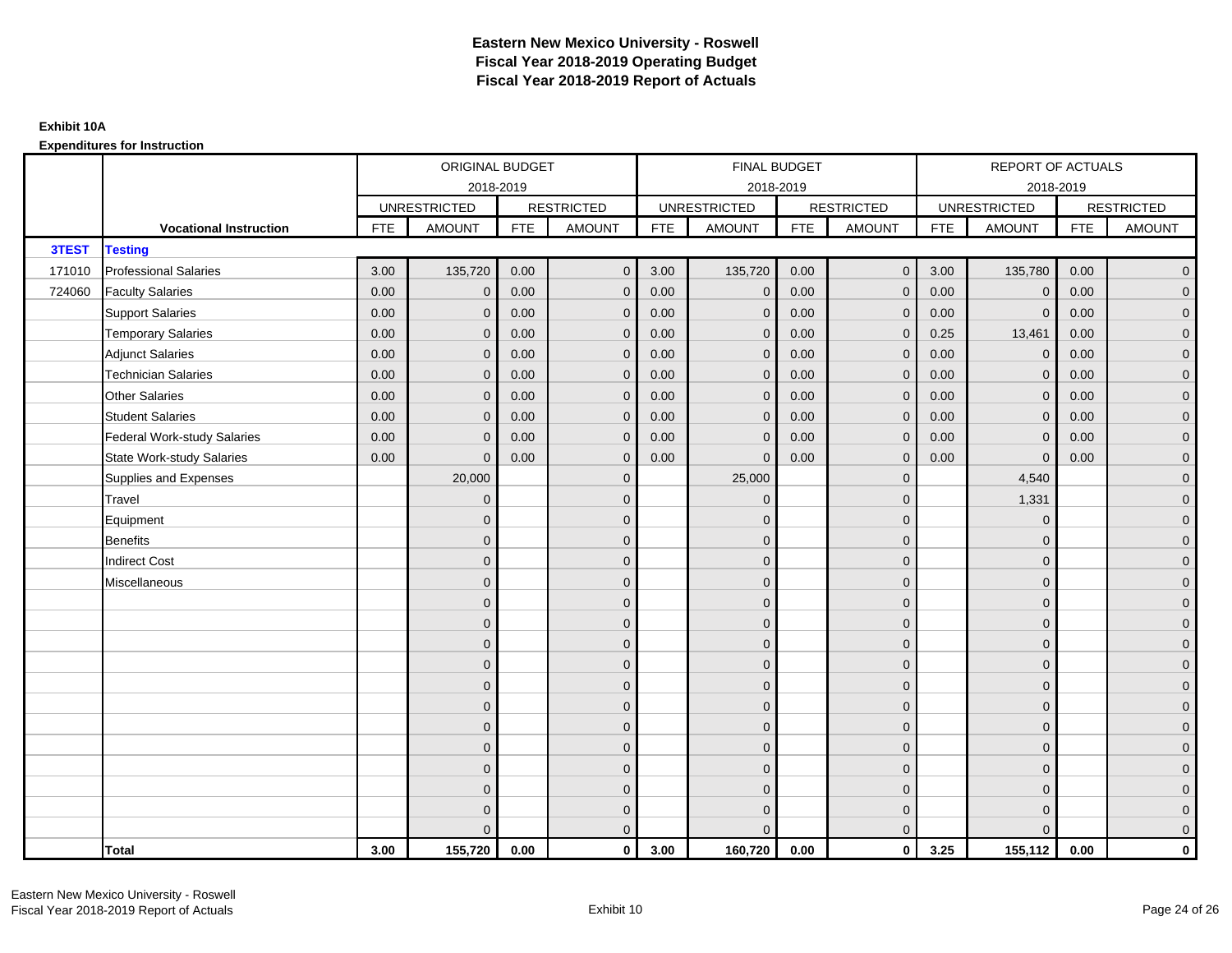|        |                                    |            | ORIGINAL BUDGET     |            |                   |            | FINAL BUDGET        |            |                   |            | <b>REPORT OF ACTUALS</b> |            |                     |
|--------|------------------------------------|------------|---------------------|------------|-------------------|------------|---------------------|------------|-------------------|------------|--------------------------|------------|---------------------|
|        |                                    |            |                     | 2018-2019  |                   |            | 2018-2019           |            |                   |            | 2018-2019                |            |                     |
|        |                                    |            | <b>UNRESTRICTED</b> |            | <b>RESTRICTED</b> |            | <b>UNRESTRICTED</b> |            | <b>RESTRICTED</b> |            | <b>UNRESTRICTED</b>      |            | <b>RESTRICTED</b>   |
|        | <b>Vocational Instruction</b>      | <b>FTE</b> | <b>AMOUNT</b>       | <b>FTE</b> | <b>AMOUNT</b>     | <b>FTE</b> | <b>AMOUNT</b>       | <b>FTE</b> | <b>AMOUNT</b>     | <b>FTE</b> | <b>AMOUNT</b>            | <b>FTE</b> | <b>AMOUNT</b>       |
| 3TEST  | <b>Testing</b>                     |            |                     |            |                   |            |                     |            |                   |            |                          |            |                     |
| 171010 | <b>Professional Salaries</b>       | 3.00       | 135,720             | 0.00       | $\mathbf{0}$      | 3.00       | 135,720             | 0.00       | $\overline{0}$    | 3.00       | 135,780                  | 0.00       | $\mathbf 0$         |
| 724060 | <b>Faculty Salaries</b>            | 0.00       | $\mathbf{0}$        | 0.00       | $\mathbf{0}$      | 0.00       | $\mathbf{0}$        | 0.00       | $\mathbf{0}$      | 0.00       | $\mathbf{0}$             | 0.00       | $\mathbf 0$         |
|        | <b>Support Salaries</b>            | 0.00       | $\mathbf 0$         | 0.00       | $\mathbf 0$       | 0.00       | $\mathbf 0$         | 0.00       | $\mathbf 0$       | 0.00       | $\mathbf 0$              | 0.00       | $\mathbf 0$         |
|        | <b>Temporary Salaries</b>          | 0.00       | $\mathbf 0$         | 0.00       | $\mathbf 0$       | 0.00       | $\mathbf{0}$        | 0.00       | $\mathbf{0}$      | 0.25       | 13,461                   | 0.00       | $\mathbf 0$         |
|        | <b>Adjunct Salaries</b>            | 0.00       | $\mathbf{0}$        | 0.00       | $\overline{0}$    | 0.00       | $\Omega$            | 0.00       | $\mathbf{0}$      | 0.00       | $\mathbf{0}$             | 0.00       | $\mathbf 0$         |
|        | <b>Technician Salaries</b>         | 0.00       | $\Omega$            | 0.00       | $\mathbf{0}$      | 0.00       | $\Omega$            | 0.00       | $\mathbf{0}$      | 0.00       | $\Omega$                 | 0.00       | $\mathbf 0$         |
|        | <b>Other Salaries</b>              | 0.00       | $\mathbf{0}$        | 0.00       | $\mathbf 0$       | 0.00       | $\mathbf{0}$        | 0.00       | $\mathbf{0}$      | 0.00       | $\mathbf{0}$             | 0.00       | $\mathbf 0$         |
|        | <b>Student Salaries</b>            | 0.00       | $\mathbf{0}$        | 0.00       | $\mathbf 0$       | 0.00       | $\mathbf{0}$        | 0.00       | $\mathbf{0}$      | 0.00       | $\mathbf 0$              | 0.00       | $\overline{0}$      |
|        | <b>Federal Work-study Salaries</b> | 0.00       | $\mathbf{0}$        | 0.00       | $\mathbf{0}$      | 0.00       | $\mathbf{0}$        | 0.00       | $\mathbf{0}$      | 0.00       | $\mathbf{0}$             | 0.00       | $\mathbf 0$         |
|        | <b>State Work-study Salaries</b>   | 0.00       | $\mathbf{0}$        | 0.00       | $\mathbf{0}$      | 0.00       | $\Omega$            | 0.00       | $\mathbf{0}$      | 0.00       | $\overline{0}$           | 0.00       | $\mathbf 0$         |
|        | Supplies and Expenses              |            | 20,000              |            | $\mathbf 0$       |            | 25,000              |            | $\mathbf 0$       |            | 4,540                    |            | $\mathbf 0$         |
|        | Travel                             |            | $\mathbf{0}$        |            | $\mathbf 0$       |            | $\mathbf{0}$        |            | $\mathbf 0$       |            | 1,331                    |            | $\mathbf 0$         |
|        | Equipment                          |            | $\mathbf{0}$        |            | $\mathbf 0$       |            | $\Omega$            |            | $\mathbf{0}$      |            | $\mathbf 0$              |            | $\mathbf 0$         |
|        | <b>Benefits</b>                    |            | $\mathbf{0}$        |            | $\mathbf 0$       |            | $\mathbf{0}$        |            | $\mathbf 0$       |            | $\mathbf{0}$             |            | $\mathbf 0$         |
|        | <b>Indirect Cost</b>               |            | $\mathbf{0}$        |            | $\mathbf 0$       |            | $\Omega$            |            | $\mathbf 0$       |            | $\Omega$                 |            | $\mathbf 0$         |
|        | Miscellaneous                      |            | $\Omega$            |            | $\mathbf{0}$      |            | $\Omega$            |            | $\mathbf{0}$      |            | $\mathbf{0}$             |            | $\mathsf{O}\xspace$ |
|        |                                    |            | $\Omega$            |            | $\mathbf 0$       |            | $\Omega$            |            | $\mathbf 0$       |            | $\Omega$                 |            | $\overline{0}$      |
|        |                                    |            | $\mathbf{0}$        |            | $\mathbf 0$       |            | $\mathbf{0}$        |            | $\mathbf{0}$      |            | $\mathbf{0}$             |            | $\mathbf 0$         |
|        |                                    |            | $\mathbf{0}$        |            | $\mathbf 0$       |            | $\Omega$            |            | $\mathbf 0$       |            | $\mathbf{0}$             |            | $\mathbf 0$         |
|        |                                    |            | $\Omega$            |            | $\mathbf 0$       |            | $\Omega$            |            | $\mathbf{0}$      |            | $\Omega$                 |            | $\mathbf 0$         |
|        |                                    |            | $\Omega$            |            | $\mathbf 0$       |            | $\Omega$            |            | $\mathbf{0}$      |            | $\Omega$                 |            | $\mathbf 0$         |
|        |                                    |            | $\mathbf{0}$        |            | $\mathbf 0$       |            | $\mathbf{0}$        |            | $\mathbf 0$       |            | $\mathbf{0}$             |            | $\mathbf 0$         |
|        |                                    |            | $\mathbf{0}$        |            | $\mathbf 0$       |            | $\Omega$            |            | $\mathbf 0$       |            | $\mathbf{0}$             |            | $\overline{0}$      |
|        |                                    |            | $\mathbf{0}$        |            | $\mathbf 0$       |            | $\Omega$            |            | $\mathbf{0}$      |            | $\mathbf{0}$             |            | $\mathbf 0$         |
|        |                                    |            | $\Omega$            |            | $\mathbf{0}$      |            | $\Omega$            |            | $\mathbf{0}$      |            | $\Omega$                 |            | $\mathbf 0$         |
|        |                                    |            | $\mathbf{0}$        |            | $\mathbf 0$       |            | $\mathbf{0}$        |            | $\mathbf 0$       |            | $\mathbf{0}$             |            | $\mathbf 0$         |
|        |                                    |            | $\mathbf{0}$        |            | $\mathbf 0$       |            | $\Omega$            |            | $\mathbf 0$       |            | $\mathbf{0}$             |            | $\mathsf{O}\xspace$ |
|        |                                    |            | $\Omega$            |            | $\mathbf{0}$      |            | $\Omega$            |            | $\mathbf{0}$      |            | $\Omega$                 |            | $\overline{0}$      |
|        | <b>Total</b>                       | 3.00       | 155,720             | 0.00       | $\mathbf{0}$      | 3.00       | 160,720             | 0.00       | $\mathbf{0}$      | 3.25       | 155,112                  | 0.00       | $\mathbf 0$         |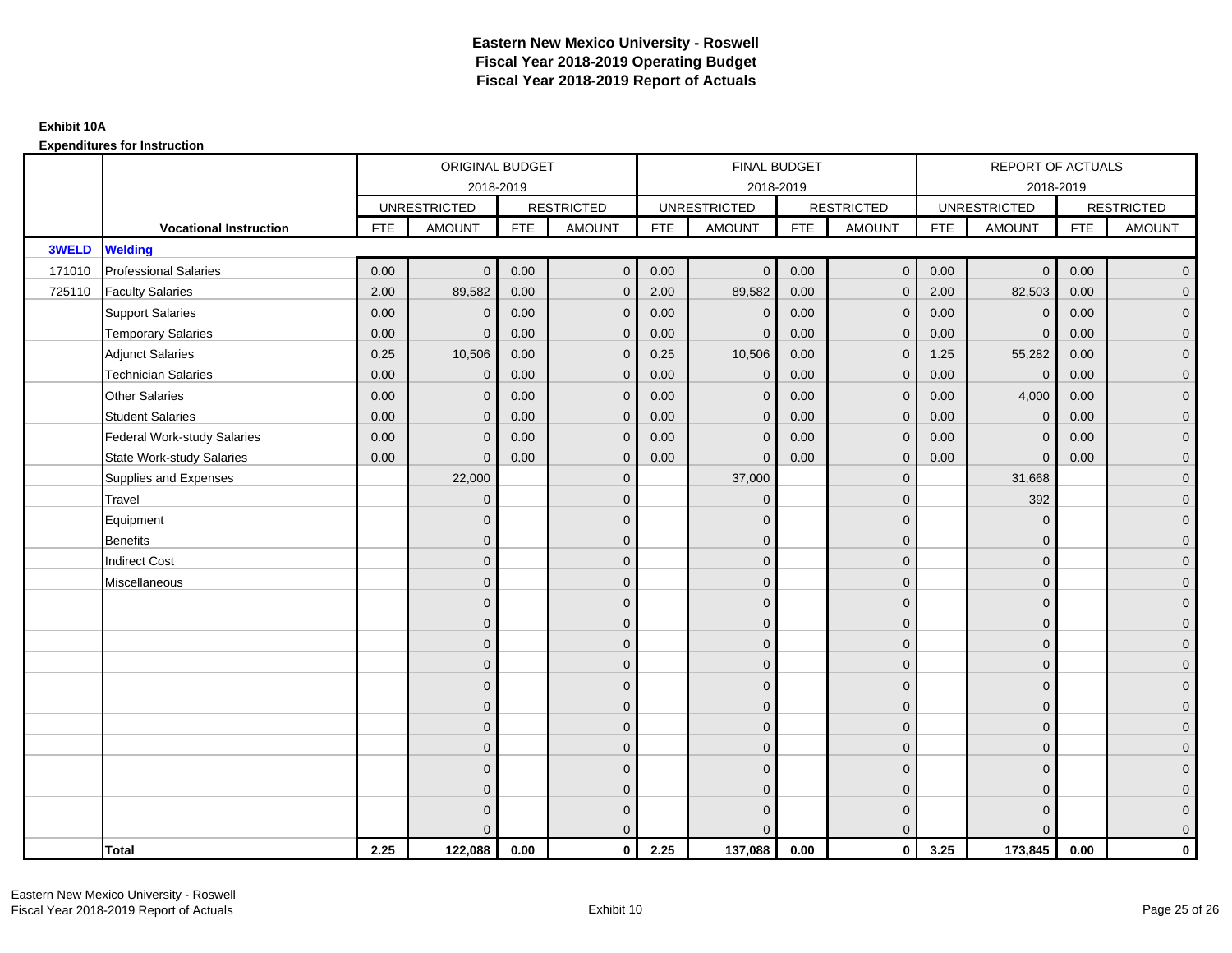|              |                                    |            | ORIGINAL BUDGET     |            |                   |            | <b>FINAL BUDGET</b> |            |                     |            | <b>REPORT OF ACTUALS</b> |            |                     |
|--------------|------------------------------------|------------|---------------------|------------|-------------------|------------|---------------------|------------|---------------------|------------|--------------------------|------------|---------------------|
|              |                                    |            | 2018-2019           |            |                   |            | 2018-2019           |            |                     |            | 2018-2019                |            |                     |
|              |                                    |            | <b>UNRESTRICTED</b> |            | <b>RESTRICTED</b> |            | <b>UNRESTRICTED</b> |            | <b>RESTRICTED</b>   |            | <b>UNRESTRICTED</b>      |            | <b>RESTRICTED</b>   |
|              | <b>Vocational Instruction</b>      | <b>FTE</b> | <b>AMOUNT</b>       | <b>FTE</b> | <b>AMOUNT</b>     | <b>FTE</b> | <b>AMOUNT</b>       | <b>FTE</b> | <b>AMOUNT</b>       | <b>FTE</b> | <b>AMOUNT</b>            | <b>FTE</b> | <b>AMOUNT</b>       |
| <b>3WELD</b> | <b>Welding</b>                     |            |                     |            |                   |            |                     |            |                     |            |                          |            |                     |
| 171010       | <b>Professional Salaries</b>       | 0.00       | $\mathbf{0}$        | 0.00       | $\mathbf{0}$      | 0.00       | $\mathbf{0}$        | 0.00       | $\overline{0}$      | 0.00       | $\mathbf{0}$             | 0.00       | $\overline{0}$      |
| 725110       | <b>Faculty Salaries</b>            | 2.00       | 89,582              | 0.00       | $\mathbf{0}$      | 2.00       | 89,582              | 0.00       | $\mathbf{0}$        | 2.00       | 82,503                   | 0.00       | $\overline{0}$      |
|              | <b>Support Salaries</b>            | 0.00       | $\mathbf 0$         | 0.00       | $\mathbf 0$       | 0.00       | $\mathbf 0$         | 0.00       | $\mathbf{0}$        | 0.00       | $\mathbf 0$              | 0.00       | $\overline{0}$      |
|              | <b>Temporary Salaries</b>          | 0.00       | $\mathbf{0}$        | 0.00       | $\mathbf{0}$      | 0.00       | $\mathbf{0}$        | 0.00       | $\mathbf 0$         | 0.00       | $\mathbf{0}$             | 0.00       | $\overline{0}$      |
|              | <b>Adjunct Salaries</b>            | 0.25       | 10,506              | 0.00       | $\Omega$          | 0.25       | 10,506              | 0.00       | $\mathbf{0}$        | 1.25       | 55,282                   | 0.00       | $\overline{0}$      |
|              | <b>Technician Salaries</b>         | 0.00       | $\mathbf{0}$        | 0.00       | $\mathbf{0}$      | 0.00       | $\mathbf{0}$        | 0.00       | $\mathbf 0$         | 0.00       | $\Omega$                 | 0.00       | $\mathbf 0$         |
|              | <b>Other Salaries</b>              | 0.00       | $\mathbf{0}$        | 0.00       | $\mathbf{0}$      | 0.00       | $\mathbf{0}$        | 0.00       | $\mathbf{0}$        | 0.00       | 4,000                    | 0.00       | $\overline{0}$      |
|              | <b>Student Salaries</b>            | 0.00       | $\mathbf{0}$        | 0.00       | $\mathbf{0}$      | 0.00       | $\mathbf{0}$        | 0.00       | $\mathbf 0$         | 0.00       | $\mathbf{0}$             | 0.00       | $\overline{0}$      |
|              | <b>Federal Work-study Salaries</b> | 0.00       | $\mathbf 0$         | 0.00       | $\mathbf 0$       | 0.00       | $\mathbf{0}$        | 0.00       | $\mathbf 0$         | 0.00       | $\overline{0}$           | 0.00       | $\overline{0}$      |
|              | <b>State Work-study Salaries</b>   | 0.00       | $\mathbf{0}$        | 0.00       | $\mathbf{0}$      | 0.00       | $\mathbf{0}$        | 0.00       | $\mathbf{0}$        | 0.00       | $\Omega$                 | 0.00       | $\overline{0}$      |
|              | Supplies and Expenses              |            | 22,000              |            | $\mathbf 0$       |            | 37,000              |            | $\mathbf{0}$        |            | 31,668                   |            | $\overline{0}$      |
|              | Travel                             |            | $\overline{0}$      |            | $\mathbf{0}$      |            | $\mathbf{0}$        |            | $\mathbf{0}$        |            | 392                      |            | $\overline{0}$      |
|              | Equipment                          |            | $\mathbf{0}$        |            | $\mathbf 0$       |            | $\mathbf{0}$        |            | $\mathbf 0$         |            | $\mathbf{0}$             |            | $\overline{0}$      |
|              | <b>Benefits</b>                    |            | $\overline{0}$      |            | $\mathbf{0}$      |            | $\Omega$            |            | $\mathbf 0$         |            | $\mathbf{0}$             |            | $\overline{0}$      |
|              | <b>Indirect Cost</b>               |            | $\Omega$            |            | $\mathbf{0}$      |            | $\Omega$            |            | $\mathbf{0}$        |            | $\Omega$                 |            | $\mathbf 0$         |
|              | Miscellaneous                      |            | $\mathbf{0}$        |            | $\mathbf 0$       |            | $\mathbf{0}$        |            | $\mathbf 0$         |            | $\Omega$                 |            | $\mathsf{O}\xspace$ |
|              |                                    |            | $\overline{0}$      |            | $\mathbf 0$       |            | $\mathbf{0}$        |            | $\mathbf 0$         |            | $\Omega$                 |            | $\overline{0}$      |
|              |                                    |            | $\mathbf{0}$        |            | $\mathbf 0$       |            | $\Omega$            |            | $\mathbf 0$         |            | $\Omega$                 |            | $\overline{0}$      |
|              |                                    |            | $\mathbf{0}$        |            | $\mathbf 0$       |            | $\Omega$            |            | $\mathsf{O}\xspace$ |            | $\mathbf{0}$             |            | $\overline{0}$      |
|              |                                    |            | $\mathbf{0}$        |            | $\mathbf 0$       |            | $\Omega$            |            | $\mathbf 0$         |            | $\Omega$                 |            | $\mathbf 0$         |
|              |                                    |            | $\Omega$            |            | $\mathbf{0}$      |            | $\Omega$            |            | $\mathbf{0}$        |            | $\Omega$                 |            | $\mathsf{O}\xspace$ |
|              |                                    |            | $\mathbf{0}$        |            | $\mathbf{0}$      |            | $\Omega$            |            | $\mathbf{0}$        |            | $\Omega$                 |            | $\overline{0}$      |
|              |                                    |            | $\mathbf{0}$        |            | $\mathbf 0$       |            | $\mathbf{0}$        |            | $\mathbf 0$         |            | $\mathbf{0}$             |            | $\mathbf 0$         |
|              |                                    |            | $\mathbf{0}$        |            | $\mathbf{0}$      |            | $\Omega$            |            | $\mathbf 0$         |            | $\mathbf{0}$             |            | $\overline{0}$      |
|              |                                    |            | $\Omega$            |            | $\mathbf{0}$      |            | $\Omega$            |            | $\mathbf{0}$        |            | $\Omega$                 |            | $\mathbf 0$         |
|              |                                    |            | $\Omega$            |            | $\mathbf 0$       |            | $\mathbf{0}$        |            | $\mathbf 0$         |            | $\mathbf{0}$             |            | $\overline{0}$      |
|              |                                    |            | $\mathbf{0}$        |            | $\mathbf 0$       |            | $\mathbf{0}$        |            | $\mathbf 0$         |            | $\mathbf{0}$             |            | $\pmb{0}$           |
|              |                                    |            | $\Omega$            |            | $\mathbf{0}$      |            | $\Omega$            |            | $\mathbf{0}$        |            | $\Omega$                 |            | $\mathbf 0$         |
|              | <b>Total</b>                       | 2.25       | 122,088             | 0.00       | $\mathbf{0}$      | 2.25       | 137,088             | 0.00       | $\mathbf{0}$        | 3.25       | 173,845                  | 0.00       | $\mathbf 0$         |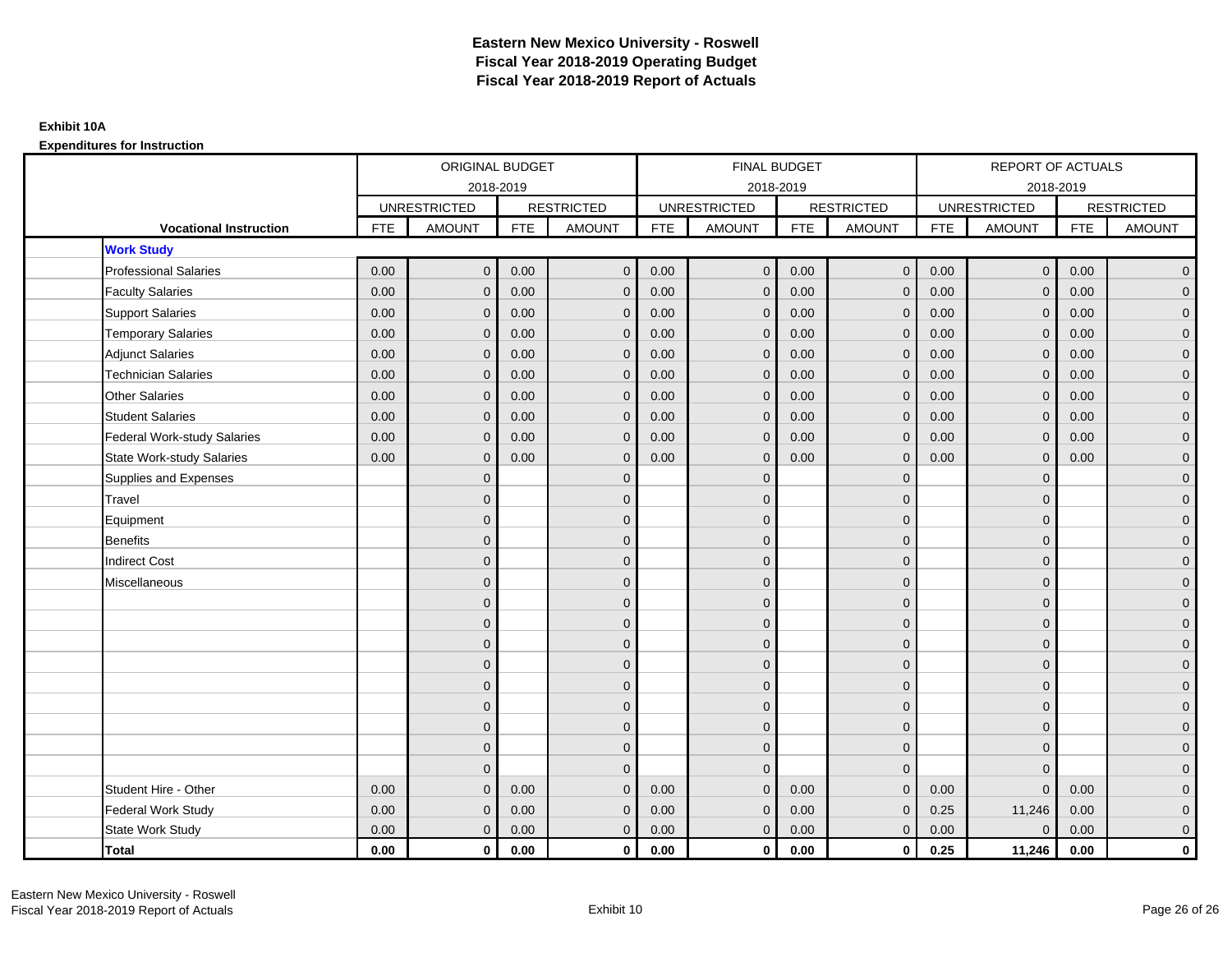|                                    |      | ORIGINAL BUDGET<br>2018-2019 |            |                   |            | FINAL BUDGET        |            |                   |      | <b>REPORT OF ACTUALS</b> |            |                   |
|------------------------------------|------|------------------------------|------------|-------------------|------------|---------------------|------------|-------------------|------|--------------------------|------------|-------------------|
|                                    |      |                              |            |                   |            | 2018-2019           |            |                   |      | 2018-2019                |            |                   |
|                                    |      | <b>UNRESTRICTED</b>          |            | <b>RESTRICTED</b> |            | <b>UNRESTRICTED</b> |            | <b>RESTRICTED</b> |      | <b>UNRESTRICTED</b>      |            | <b>RESTRICTED</b> |
| <b>Vocational Instruction</b>      | FTE  | <b>AMOUNT</b>                | <b>FTE</b> | <b>AMOUNT</b>     | <b>FTE</b> | <b>AMOUNT</b>       | <b>FTE</b> | <b>AMOUNT</b>     | FTE  | <b>AMOUNT</b>            | <b>FTE</b> | <b>AMOUNT</b>     |
| <b>Work Study</b>                  |      |                              |            |                   |            |                     |            |                   |      |                          |            |                   |
| <b>Professional Salaries</b>       | 0.00 | $\mathbf{0}$                 | 0.00       | $\mathbf{0}$      | 0.00       | $\mathbf 0$         | 0.00       | $\overline{0}$    | 0.00 | $\mathbf 0$              | 0.00       | $\overline{0}$    |
| <b>Faculty Salaries</b>            | 0.00 | $\mathbf{0}$                 | 0.00       | $\mathbf{0}$      | 0.00       | $\mathbf{0}$        | 0.00       | $\mathbf 0$       | 0.00 | $\mathbf{0}$             | 0.00       | $\overline{0}$    |
| <b>Support Salaries</b>            | 0.00 | $\mathbf{0}$                 | 0.00       | $\mathbf{0}$      | 0.00       | $\mathbf{0}$        | 0.00       | $\mathbf 0$       | 0.00 | $\mathbf{0}$             | 0.00       | $\overline{0}$    |
| <b>Temporary Salaries</b>          | 0.00 | $\mathbf{0}$                 | 0.00       | $\mathbf{0}$      | 0.00       | $\mathbf 0$         | 0.00       | $\mathbf 0$       | 0.00 | $\mathbf 0$              | 0.00       | $\overline{0}$    |
| <b>Adjunct Salaries</b>            | 0.00 | $\Omega$                     | 0.00       | $\mathbf{0}$      | 0.00       | $\mathbf{0}$        | 0.00       | $\mathbf{0}$      | 0.00 | $\Omega$                 | 0.00       | $\mathbf 0$       |
| <b>Technician Salaries</b>         | 0.00 | $\Omega$                     | 0.00       | $\Omega$          | 0.00       | $\Omega$            | 0.00       | $\mathbf{0}$      | 0.00 | $\Omega$                 | 0.00       | $\overline{0}$    |
| <b>Other Salaries</b>              | 0.00 | $\mathbf{0}$                 | 0.00       | $\mathbf{0}$      | 0.00       | $\mathbf{0}$        | 0.00       | $\mathbf 0$       | 0.00 | $\mathbf{0}$             | 0.00       | $\overline{0}$    |
| <b>Student Salaries</b>            | 0.00 | $\mathbf{0}$                 | 0.00       | $\mathbf{0}$      | 0.00       | $\mathbf{0}$        | 0.00       | $\mathbf 0$       | 0.00 | $\mathbf{0}$             | 0.00       | $\overline{0}$    |
| <b>Federal Work-study Salaries</b> | 0.00 | $\Omega$                     | 0.00       | $\Omega$          | 0.00       | $\Omega$            | 0.00       | $\mathbf{0}$      | 0.00 | $\mathbf{0}$             | 0.00       | $\overline{0}$    |
| <b>State Work-study Salaries</b>   | 0.00 | $\mathbf{0}$                 | 0.00       | $\mathbf{0}$      | 0.00       | $\mathbf{0}$        | 0.00       | $\mathbf{0}$      | 0.00 | $\mathbf{0}$             | 0.00       | $\overline{0}$    |
| Supplies and Expenses              |      | $\Omega$                     |            | $\mathbf{0}$      |            | $\Omega$            |            | $\mathbf{0}$      |      | $\mathbf{0}$             |            | $\overline{0}$    |
| Travel                             |      | $\Omega$                     |            | $\mathbf{0}$      |            | $\Omega$            |            | $\mathbf{0}$      |      | $\Omega$                 |            | $\overline{0}$    |
| Equipment                          |      | $\mathbf{0}$                 |            | $\mathbf 0$       |            | $\overline{0}$      |            | $\mathbf 0$       |      | $\mathbf{0}$             |            | $\overline{0}$    |
| <b>Benefits</b>                    |      | $\Omega$                     |            | $\mathbf{0}$      |            | $\Omega$            |            | $\mathbf 0$       |      | $\Omega$                 |            | $\overline{0}$    |
| <b>Indirect Cost</b>               |      | $\mathbf{0}$                 |            | $\mathbf{0}$      |            | $\Omega$            |            | $\mathbf 0$       |      | $\mathbf{0}$             |            | $\mathbf 0$       |
| Miscellaneous                      |      | $\Omega$                     |            | $\mathbf 0$       |            | $\Omega$            |            | $\mathbf 0$       |      | $\mathbf{0}$             |            | $\mathbf 0$       |
|                                    |      | $\Omega$                     |            | $\mathbf{0}$      |            | $\Omega$            |            | $\mathbf{0}$      |      | $\Omega$                 |            | $\overline{0}$    |
|                                    |      | $\mathbf{0}$                 |            | $\mathbf 0$       |            | $\Omega$            |            | $\mathbf 0$       |      | $\mathbf{0}$             |            | $\overline{0}$    |
|                                    |      | $\Omega$                     |            | $\mathbf{0}$      |            | $\Omega$            |            | $\mathbf 0$       |      | $\mathbf{0}$             |            | $\overline{0}$    |
|                                    |      | $\Omega$                     |            | $\Omega$          |            | $\Omega$            |            | $\mathbf{0}$      |      | $\Omega$                 |            | $\overline{0}$    |
|                                    |      | $\Omega$                     |            | $\mathbf 0$       |            | $\Omega$            |            | $\mathbf 0$       |      | $\mathbf{0}$             |            | $\mathbf 0$       |
|                                    |      | $\mathbf{0}$                 |            | $\mathbf 0$       |            | $\Omega$            |            | $\mathbf 0$       |      | $\Omega$                 |            | $\overline{0}$    |
|                                    |      | $\Omega$                     |            | $\mathbf{0}$      |            | $\Omega$            |            | $\mathbf 0$       |      | $\Omega$                 |            | $\overline{0}$    |
|                                    |      | $\Omega$                     |            | $\mathbf{0}$      |            | $\Omega$            |            | $\mathbf 0$       |      | $\mathbf{0}$             |            | $\overline{0}$    |
|                                    |      | $\Omega$                     |            | $\mathbf{0}$      |            | $\Omega$            |            | $\mathbf{0}$      |      | $\Omega$                 |            | $\overline{0}$    |
| Student Hire - Other               | 0.00 | $\Omega$                     | 0.00       | $\Omega$          | 0.00       | $\Omega$            | 0.00       | $\Omega$          | 0.00 | $\Omega$                 | 0.00       | $\overline{0}$    |
| Federal Work Study                 | 0.00 | $\mathbf{0}$                 | 0.00       | $\mathbf{0}$      | 0.00       | $\mathbf{0}$        | 0.00       | $\mathbf 0$       | 0.25 | 11,246                   | 0.00       | $\overline{0}$    |
| State Work Study                   | 0.00 | $\mathbf{0}$                 | 0.00       | $\mathbf{0}$      | 0.00       | $\mathbf{0}$        | 0.00       | $\mathbf{0}$      | 0.00 | $\mathbf{0}$             | 0.00       | $\overline{0}$    |
| <b>Total</b>                       | 0.00 | $\mathbf 0$                  | 0.00       | $\mathbf{0}$      | 0.00       | $\mathbf{0}$        | 0.00       | $\overline{0}$    | 0.25 | 11,246                   | 0.00       | $\mathbf 0$       |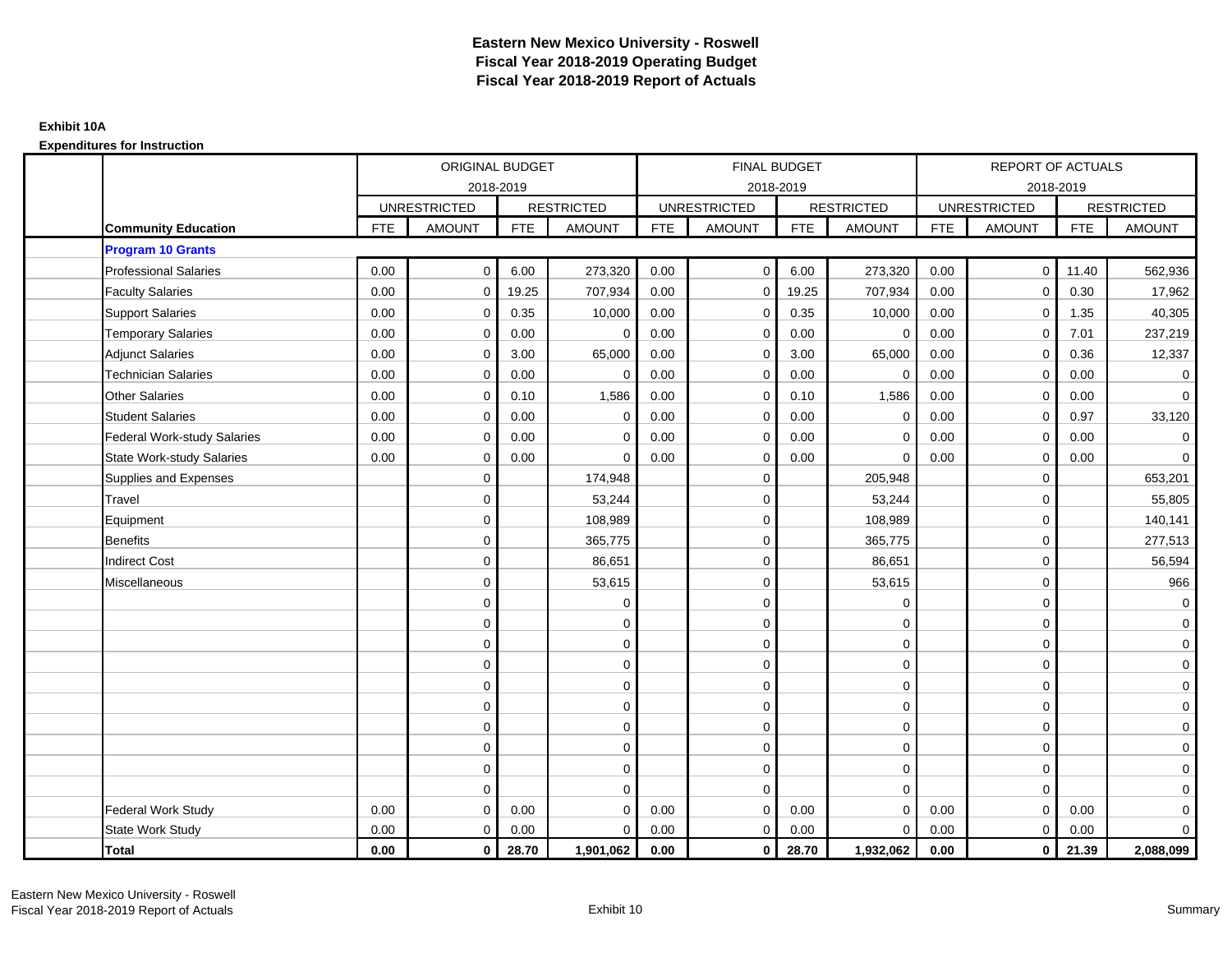|                                    |            | ORIGINAL BUDGET     |            |                   |            | FINAL BUDGET        |            |                   |            | <b>REPORT OF ACTUALS</b> |            |                   |
|------------------------------------|------------|---------------------|------------|-------------------|------------|---------------------|------------|-------------------|------------|--------------------------|------------|-------------------|
|                                    |            | 2018-2019           |            |                   |            | 2018-2019           |            |                   |            | 2018-2019                |            |                   |
|                                    |            | <b>UNRESTRICTED</b> |            | <b>RESTRICTED</b> |            | <b>UNRESTRICTED</b> |            | <b>RESTRICTED</b> |            | <b>UNRESTRICTED</b>      |            | <b>RESTRICTED</b> |
| <b>Community Education</b>         | <b>FTE</b> | <b>AMOUNT</b>       | <b>FTE</b> | <b>AMOUNT</b>     | <b>FTE</b> | AMOUNT              | <b>FTE</b> | <b>AMOUNT</b>     | <b>FTE</b> | <b>AMOUNT</b>            | <b>FTE</b> | <b>AMOUNT</b>     |
| <b>Program 10 Grants</b>           |            |                     |            |                   |            |                     |            |                   |            |                          |            |                   |
| <b>Professional Salaries</b>       | 0.00       | $\mathbf 0$         | 6.00       | 273,320           | 0.00       | $\mathbf 0$         | 6.00       | 273,320           | 0.00       | $\overline{0}$           | 11.40      | 562,936           |
| <b>Faculty Salaries</b>            | 0.00       | $\mathbf 0$         | 19.25      | 707,934           | 0.00       | $\mathbf 0$         | 19.25      | 707,934           | 0.00       | $\mathbf 0$              | 0.30       | 17,962            |
| <b>Support Salaries</b>            | 0.00       | $\mathbf 0$         | 0.35       | 10,000            | 0.00       | $\mathbf{0}$        | 0.35       | 10,000            | 0.00       | $\mathbf 0$              | 1.35       | 40,305            |
| <b>Temporary Salaries</b>          | 0.00       | $\mathbf 0$         | 0.00       | $\mathbf 0$       | 0.00       | $\mathbf 0$         | 0.00       | $\mathbf 0$       | 0.00       | $\mathbf 0$              | 7.01       | 237,219           |
| <b>Adjunct Salaries</b>            | 0.00       | $\mathbf 0$         | 3.00       | 65,000            | 0.00       | $\Omega$            | 3.00       | 65,000            | 0.00       | $\mathbf 0$              | 0.36       | 12,337            |
| <b>Technician Salaries</b>         | 0.00       | $\mathbf 0$         | 0.00       | 0                 | 0.00       | $\mathbf 0$         | 0.00       | 0                 | 0.00       | $\mathbf 0$              | 0.00       | $\mathbf 0$       |
| <b>Other Salaries</b>              | 0.00       | $\mathbf 0$         | 0.10       | 1,586             | 0.00       | $\Omega$            | 0.10       | 1,586             | 0.00       | $\mathbf 0$              | 0.00       | $\overline{0}$    |
| <b>Student Salaries</b>            | 0.00       | $\mathbf 0$         | 0.00       | $\mathbf 0$       | 0.00       | $\mathbf{0}$        | 0.00       | $\mathbf 0$       | 0.00       | $\mathbf 0$              | 0.97       | 33,120            |
| <b>Federal Work-study Salaries</b> | 0.00       | $\mathbf 0$         | 0.00       | $\mathbf 0$       | 0.00       | $\mathbf 0$         | 0.00       | $\mathbf 0$       | 0.00       | $\mathbf 0$              | 0.00       | $\mathbf 0$       |
| <b>State Work-study Salaries</b>   | 0.00       | $\mathbf 0$         | 0.00       | 0                 | 0.00       | 0                   | 0.00       | $\mathbf 0$       | 0.00       | 0                        | 0.00       | $\mathbf 0$       |
| Supplies and Expenses              |            | $\mathbf 0$         |            | 174,948           |            | $\mathbf 0$         |            | 205,948           |            | $\mathbf 0$              |            | 653,201           |
| Travel                             |            | $\mathbf 0$         |            | 53,244            |            | $\mathbf 0$         |            | 53,244            |            | $\mathbf 0$              |            | 55,805            |
| Equipment                          |            | $\mathbf 0$         |            | 108,989           |            | $\mathbf{0}$        |            | 108,989           |            | $\mathbf 0$              |            | 140,141           |
| <b>Benefits</b>                    |            | $\mathbf 0$         |            | 365,775           |            | $\mathbf 0$         |            | 365,775           |            | $\mathbf 0$              |            | 277,513           |
| <b>Indirect Cost</b>               |            | $\mathbf 0$         |            | 86,651            |            | $\Omega$            |            | 86,651            |            | $\Omega$                 |            | 56,594            |
| Miscellaneous                      |            | $\mathbf 0$         |            | 53,615            |            | 0                   |            | 53,615            |            | $\mathbf 0$              |            | 966               |
|                                    |            | $\mathbf 0$         |            | $\Omega$          |            | $\mathbf 0$         |            | $\mathbf 0$       |            | $\mathbf 0$              |            | $\mathbf 0$       |
|                                    |            | $\mathbf 0$         |            | 0                 |            | $\mathbf{0}$        |            | $\mathbf 0$       |            | $\mathbf 0$              |            | $\overline{0}$    |
|                                    |            | $\mathbf 0$         |            | $\mathbf 0$       |            | $\mathbf 0$         |            | $\mathbf 0$       |            | $\mathbf 0$              |            | $\overline{0}$    |
|                                    |            | 0                   |            | 0                 |            | $\Omega$            |            | $\mathbf 0$       |            | $\mathbf 0$              |            | $\mathbf 0$       |
|                                    |            | $\mathbf 0$         |            | $\mathbf 0$       |            | $\mathbf 0$         |            | $\mathbf 0$       |            | $\mathbf 0$              |            | $\mathbf 0$       |
|                                    |            | $\mathbf 0$         |            | $\mathbf 0$       |            | $\mathbf 0$         |            | $\mathbf 0$       |            | $\Omega$                 |            | $\overline{0}$    |
|                                    |            | $\mathbf 0$         |            | 0                 |            | 0                   |            | $\mathbf 0$       |            | $\mathbf 0$              |            | $\overline{0}$    |
|                                    |            | $\Omega$            |            | $\mathbf 0$       |            | $\Omega$            |            | $\mathbf 0$       |            | $\mathbf 0$              |            | $\mathbf 0$       |
|                                    |            | $\mathbf 0$         |            | $\mathbf 0$       |            | $\mathbf 0$         |            | $\mathbf 0$       |            | $\mathbf 0$              |            | $\mathbf 0$       |
|                                    |            | $\mathbf 0$         |            | $\mathbf 0$       |            | $\mathbf{0}$        |            | $\mathbf 0$       |            | $\mathbf 0$              |            | $\mathbf 0$       |
| Federal Work Study                 | 0.00       | $\mathbf 0$         | 0.00       | $\Omega$          | 0.00       | $\mathbf{0}$        | 0.00       | $\mathbf 0$       | 0.00       | $\mathbf 0$              | 0.00       | $\mathbf 0$       |
| <b>State Work Study</b>            | 0.00       | $\mathbf 0$         | 0.00       | $\mathbf 0$       | 0.00       | $\mathbf{0}$        | 0.00       | $\mathbf 0$       | 0.00       | $\mathbf 0$              | 0.00       | $\overline{0}$    |
| <b>Total</b>                       | 0.00       | $\mathbf 0$         | 28.70      | 1,901,062         | 0.00       | $\mathbf{0}$        | 28.70      | 1,932,062         | 0.00       | $\mathbf{0}$             | 21.39      | 2,088,099         |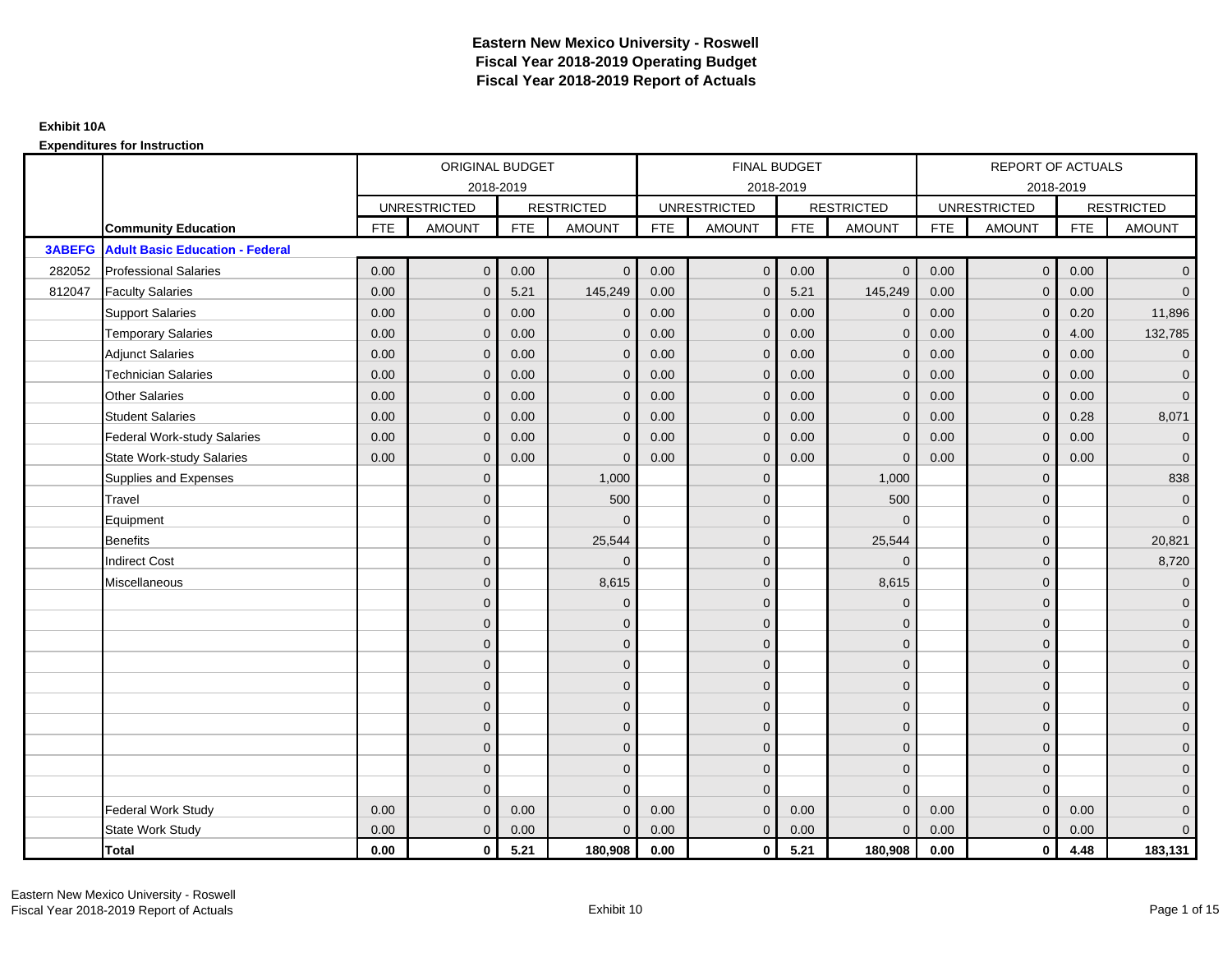|               |                                        |            | ORIGINAL BUDGET     |            |                   |            | <b>FINAL BUDGET</b> |            |                   |            | <b>REPORT OF ACTUALS</b> |            |                   |
|---------------|----------------------------------------|------------|---------------------|------------|-------------------|------------|---------------------|------------|-------------------|------------|--------------------------|------------|-------------------|
|               |                                        |            | 2018-2019           |            |                   |            | 2018-2019           |            |                   |            | 2018-2019                |            |                   |
|               |                                        |            | <b>UNRESTRICTED</b> |            | <b>RESTRICTED</b> |            | <b>UNRESTRICTED</b> |            | <b>RESTRICTED</b> |            | <b>UNRESTRICTED</b>      |            | <b>RESTRICTED</b> |
|               | <b>Community Education</b>             | <b>FTE</b> | <b>AMOUNT</b>       | <b>FTE</b> | <b>AMOUNT</b>     | <b>FTE</b> | <b>AMOUNT</b>       | <b>FTE</b> | <b>AMOUNT</b>     | <b>FTE</b> | <b>AMOUNT</b>            | <b>FTE</b> | <b>AMOUNT</b>     |
| <b>3ABEFG</b> | <b>Adult Basic Education - Federal</b> |            |                     |            |                   |            |                     |            |                   |            |                          |            |                   |
| 282052        | <b>Professional Salaries</b>           | 0.00       | $\mathbf{0}$        | 0.00       | $\mathbf{0}$      | 0.00       | $\mathbf 0$         | 0.00       | $\overline{0}$    | 0.00       | $\mathbf 0$              | 0.00       | $\overline{0}$    |
| 812047        | <b>Faculty Salaries</b>                | 0.00       | $\mathbf{0}$        | 5.21       | 145,249           | 0.00       | $\mathbf{0}$        | 5.21       | 145,249           | 0.00       | $\mathbf{0}$             | 0.00       | $\overline{0}$    |
|               | <b>Support Salaries</b>                | 0.00       | $\mathbf 0$         | 0.00       | $\mathbf 0$       | 0.00       | $\mathbf 0$         | 0.00       | $\mathbf 0$       | 0.00       | $\mathbf 0$              | 0.20       | 11,896            |
|               | <b>Temporary Salaries</b>              | 0.00       | $\mathbf{0}$        | 0.00       | $\Omega$          | 0.00       | $\mathbf{0}$        | 0.00       | $\mathbf 0$       | 0.00       | $\mathbf{0}$             | 4.00       | 132,785           |
|               | <b>Adjunct Salaries</b>                | 0.00       | $\Omega$            | 0.00       | $\Omega$          | 0.00       | $\Omega$            | 0.00       | $\mathbf{0}$      | 0.00       | $\Omega$                 | 0.00       | $\overline{0}$    |
|               | <b>Technician Salaries</b>             | 0.00       | $\mathbf{0}$        | 0.00       | $\Omega$          | 0.00       | $\mathbf{0}$        | 0.00       | $\mathbf{0}$      | 0.00       | $\Omega$                 | 0.00       | $\mathbf 0$       |
|               | <b>Other Salaries</b>                  | 0.00       | $\mathbf{0}$        | 0.00       | $\mathbf{0}$      | 0.00       | $\mathbf{0}$        | 0.00       | $\mathbf{0}$      | 0.00       | $\mathbf{0}$             | 0.00       | $\overline{0}$    |
|               | <b>Student Salaries</b>                | 0.00       | $\mathbf{0}$        | 0.00       | $\Omega$          | 0.00       | $\mathbf{0}$        | 0.00       | $\mathbf{0}$      | 0.00       | $\mathbf{0}$             | 0.28       | 8,071             |
|               | <b>Federal Work-study Salaries</b>     | 0.00       | $\mathbf{0}$        | 0.00       | $\Omega$          | 0.00       | $\mathbf{0}$        | 0.00       | $\mathbf{0}$      | 0.00       | $\mathbf{0}$             | 0.00       | $\mathbf 0$       |
|               | <b>State Work-study Salaries</b>       | 0.00       | $\mathbf{0}$        | 0.00       | $\Omega$          | 0.00       | $\mathbf{0}$        | 0.00       | $\Omega$          | 0.00       | $\Omega$                 | 0.00       | $\mathbf{0}$      |
|               | Supplies and Expenses                  |            | $\mathbf{0}$        |            | 1,000             |            | $\overline{0}$      |            | 1,000             |            | $\mathbf{0}$             |            | 838               |
|               | Travel                                 |            | $\mathbf{0}$        |            | 500               |            | $\mathbf{0}$        |            | 500               |            | $\mathbf{0}$             |            | $\mathbf 0$       |
|               | Equipment                              |            | $\mathbf{0}$        |            | $\Omega$          |            | $\Omega$            |            | $\Omega$          |            | $\Omega$                 |            | $\overline{0}$    |
|               | Benefits                               |            | $\mathbf{0}$        |            | 25,544            |            | $\Omega$            |            | 25,544            |            | $\mathbf{0}$             |            | 20,821            |
|               | <b>Indirect Cost</b>                   |            | $\Omega$            |            | $\Omega$          |            | $\Omega$            |            | $\Omega$          |            | $\Omega$                 |            | 8,720             |
|               | Miscellaneous                          |            | $\Omega$            |            | 8,615             |            | $\Omega$            |            | 8,615             |            | $\Omega$                 |            | $\mathbf 0$       |
|               |                                        |            | $\mathbf{0}$        |            | $\mathbf{0}$      |            | $\mathbf{0}$        |            | $\mathbf{0}$      |            | $\mathbf{0}$             |            | $\overline{0}$    |
|               |                                        |            | $\mathbf{0}$        |            | $\mathbf{0}$      |            | $\Omega$            |            | $\mathbf{0}$      |            | $\Omega$                 |            | $\overline{0}$    |
|               |                                        |            | $\Omega$            |            | $\mathbf{0}$      |            | $\Omega$            |            | $\mathbf 0$       |            | $\mathbf{0}$             |            | $\overline{0}$    |
|               |                                        |            | $\Omega$            |            | $\mathbf{0}$      |            | $\Omega$            |            | $\mathbf{0}$      |            | $\Omega$                 |            | $\mathbf 0$       |
|               |                                        |            | $\Omega$            |            | $\mathbf{0}$      |            | $\Omega$            |            | $\mathbf{0}$      |            | $\Omega$                 |            | $\mathbf 0$       |
|               |                                        |            | $\mathbf{0}$        |            | $\mathbf 0$       |            | $\mathbf{0}$        |            | $\mathbf 0$       |            | $\mathbf{0}$             |            | $\mathbf 0$       |
|               |                                        |            | $\mathbf{0}$        |            | $\mathbf{0}$      |            | $\overline{0}$      |            | $\mathbf 0$       |            | $\Omega$                 |            | $\overline{0}$    |
|               |                                        |            | $\mathbf{0}$        |            | $\mathbf{0}$      |            | $\Omega$            |            | $\mathbf 0$       |            | $\mathbf{0}$             |            | $\overline{0}$    |
|               |                                        |            | $\overline{0}$      |            | $\mathbf{0}$      |            | $\mathbf{0}$        |            | $\mathbf{0}$      |            | $\mathbf{0}$             |            | $\mathbf 0$       |
|               |                                        |            | $\Omega$            |            | $\mathbf{0}$      |            | $\Omega$            |            | $\mathbf{0}$      |            | $\Omega$                 |            | $\overline{0}$    |
|               | Federal Work Study                     | 0.00       | $\mathbf{0}$        | 0.00       | $\Omega$          | 0.00       | $\mathbf{0}$        | 0.00       | $\mathbf{0}$      | 0.00       | $\mathbf{0}$             | 0.00       | $\mathbf 0$       |
|               | State Work Study                       | 0.00       | $\mathbf{0}$        | 0.00       | $\Omega$          | 0.00       | $\mathbf{0}$        | 0.00       | $\mathbf{0}$      | 0.00       | $\mathbf{0}$             | 0.00       | $\overline{0}$    |
|               | <b>Total</b>                           | 0.00       | $\mathbf 0$         | 5.21       | 180,908           | 0.00       | $\mathbf{0}$        | 5.21       | 180,908           | 0.00       | $\mathbf{0}$             | 4.48       | 183,131           |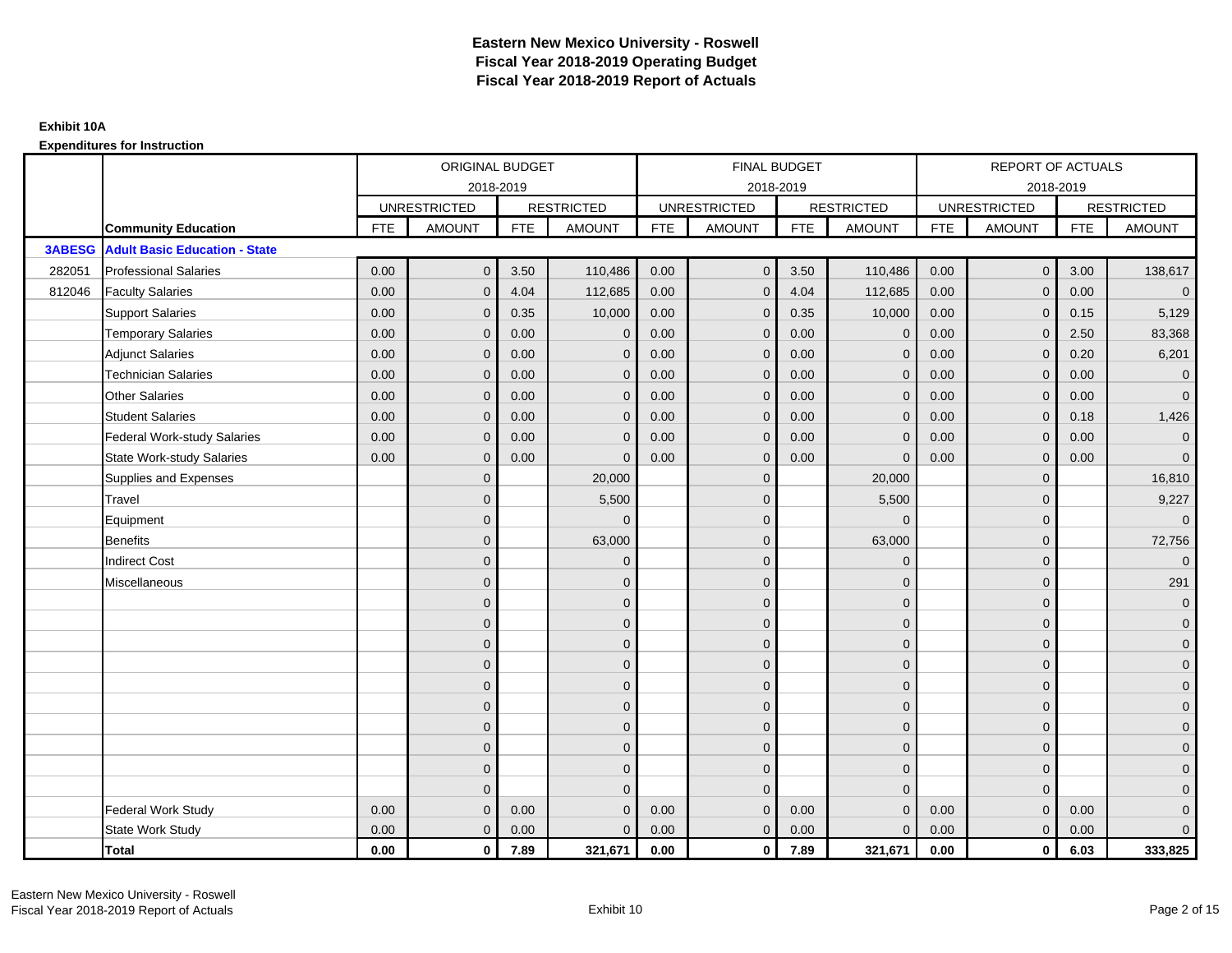|               |                                      |            | ORIGINAL BUDGET     |            |                   |            | <b>FINAL BUDGET</b> |            |                   |            | REPORT OF ACTUALS   |            |                     |
|---------------|--------------------------------------|------------|---------------------|------------|-------------------|------------|---------------------|------------|-------------------|------------|---------------------|------------|---------------------|
|               |                                      |            |                     | 2018-2019  |                   |            | 2018-2019           |            |                   |            | 2018-2019           |            |                     |
|               |                                      |            | <b>UNRESTRICTED</b> |            | <b>RESTRICTED</b> |            | <b>UNRESTRICTED</b> |            | <b>RESTRICTED</b> |            | <b>UNRESTRICTED</b> |            | <b>RESTRICTED</b>   |
|               | <b>Community Education</b>           | <b>FTE</b> | <b>AMOUNT</b>       | <b>FTE</b> | <b>AMOUNT</b>     | <b>FTE</b> | <b>AMOUNT</b>       | <b>FTE</b> | <b>AMOUNT</b>     | <b>FTE</b> | <b>AMOUNT</b>       | <b>FTE</b> | <b>AMOUNT</b>       |
| <b>3ABESG</b> | <b>Adult Basic Education - State</b> |            |                     |            |                   |            |                     |            |                   |            |                     |            |                     |
| 282051        | <b>Professional Salaries</b>         | 0.00       | $\mathbf{0}$        | 3.50       | 110,486           | 0.00       | $\mathbf{0}$        | 3.50       | 110,486           | 0.00       | $\overline{0}$      | 3.00       | 138,617             |
| 812046        | <b>Faculty Salaries</b>              | 0.00       | $\mathbf{0}$        | 4.04       | 112,685           | 0.00       | $\mathbf{0}$        | 4.04       | 112,685           | 0.00       | $\mathbf 0$         | 0.00       | $\overline{0}$      |
|               | <b>Support Salaries</b>              | 0.00       | $\mathbf{0}$        | 0.35       | 10,000            | 0.00       | $\mathbf{0}$        | 0.35       | 10,000            | 0.00       | $\overline{0}$      | 0.15       | 5,129               |
|               | <b>Temporary Salaries</b>            | 0.00       | $\mathbf 0$         | 0.00       | $\mathbf 0$       | 0.00       | $\mathbf{0}$        | 0.00       | $\mathbf 0$       | 0.00       | $\mathbf 0$         | 2.50       | 83,368              |
|               | <b>Adjunct Salaries</b>              | 0.00       | $\mathbf{0}$        | 0.00       | $\Omega$          | 0.00       | $\mathbf{0}$        | 0.00       | $\mathbf{0}$      | 0.00       | $\mathbf{0}$        | 0.20       | 6,201               |
|               | <b>Technician Salaries</b>           | 0.00       | $\Omega$            | 0.00       | $\Omega$          | 0.00       | $\Omega$            | 0.00       | $\Omega$          | 0.00       | $\mathbf{0}$        | 0.00       | $\overline{0}$      |
|               | <b>Other Salaries</b>                | 0.00       | $\mathbf{0}$        | 0.00       | $\mathbf{0}$      | 0.00       | $\mathbf{0}$        | 0.00       | $\mathbf{0}$      | 0.00       | $\mathbf 0$         | 0.00       | $\overline{0}$      |
|               | <b>Student Salaries</b>              | 0.00       | $\mathbf{0}$        | 0.00       | $\mathbf{0}$      | 0.00       | $\mathbf{0}$        | 0.00       | $\mathbf{0}$      | 0.00       | $\mathbf{0}$        | 0.18       | 1,426               |
|               | <b>Federal Work-study Salaries</b>   | 0.00       | $\mathbf{0}$        | 0.00       | $\Omega$          | 0.00       | $\Omega$            | 0.00       | $\mathbf 0$       | 0.00       | $\mathbf{0}$        | 0.00       | $\mathbf{0}$        |
|               | <b>State Work-study Salaries</b>     | 0.00       | $\mathbf{0}$        | 0.00       | $\Omega$          | 0.00       | $\mathbf{0}$        | 0.00       | $\Omega$          | 0.00       | $\mathbf{0}$        | 0.00       | $\mathbf{0}$        |
|               | Supplies and Expenses                |            | $\mathbf{0}$        |            | 20,000            |            | $\mathbf{0}$        |            | 20,000            |            | $\mathbf 0$         |            | 16,810              |
|               | Travel                               |            | $\overline{0}$      |            | 5,500             |            | $\Omega$            |            | 5,500             |            | $\mathbf{0}$        |            | 9,227               |
|               | Equipment                            |            | $\overline{0}$      |            | $\Omega$          |            | $\mathbf{0}$        |            | $\mathbf 0$       |            | $\mathbf{0}$        |            | $\overline{0}$      |
|               | <b>Benefits</b>                      |            | $\Omega$            |            | 63,000            |            | $\Omega$            |            | 63,000            |            | $\mathbf{0}$        |            | 72,756              |
|               | <b>Indirect Cost</b>                 |            | $\overline{0}$      |            | $\mathbf 0$       |            | $\mathbf{0}$        |            | $\mathbf 0$       |            | $\mathbf 0$         |            | $\overline{0}$      |
|               | Miscellaneous                        |            | $\overline{0}$      |            | $\mathbf 0$       |            | $\mathbf{0}$        |            | $\mathbf 0$       |            | $\mathbf 0$         |            | 291                 |
|               |                                      |            | $\overline{0}$      |            | $\mathbf{0}$      |            | $\Omega$            |            | $\mathbf{0}$      |            | $\Omega$            |            | $\overline{0}$      |
|               |                                      |            | $\overline{0}$      |            | $\mathbf 0$       |            | $\mathbf{0}$        |            | $\mathbf 0$       |            | $\mathbf{0}$        |            | $\overline{0}$      |
|               |                                      |            | $\mathbf{0}$        |            | $\mathbf{0}$      |            | $\Omega$            |            | $\mathbf 0$       |            | $\mathbf{0}$        |            | $\overline{0}$      |
|               |                                      |            | $\Omega$            |            | $\mathbf{0}$      |            | $\Omega$            |            | $\mathbf{0}$      |            | $\Omega$            |            | $\overline{0}$      |
|               |                                      |            | $\mathbf{0}$        |            | $\mathbf 0$       |            | $\mathbf{0}$        |            | $\mathbf 0$       |            | $\mathbf 0$         |            | $\mathbf 0$         |
|               |                                      |            | $\overline{0}$      |            | $\mathbf 0$       |            | $\mathbf{0}$        |            | $\mathbf{0}$      |            | $\mathbf{0}$        |            | $\overline{0}$      |
|               |                                      |            | $\Omega$            |            | $\mathbf{0}$      |            | $\mathbf{0}$        |            | $\mathbf 0$       |            | $\mathbf{0}$        |            | $\overline{0}$      |
|               |                                      |            | $\mathbf{0}$        |            | $\mathbf{0}$      |            | $\Omega$            |            | $\mathbf 0$       |            | $\mathbf 0$         |            | $\overline{0}$      |
|               |                                      |            | $\mathbf{0}$        |            | $\mathbf{0}$      |            | $\Omega$            |            | $\mathbf{0}$      |            | $\mathbf{0}$        |            | $\overline{0}$      |
|               |                                      |            | $\Omega$            |            | $\Omega$          |            | $\Omega$            |            | $\mathbf{0}$      |            | $\Omega$            |            | $\mathsf{O}\xspace$ |
|               | <b>Federal Work Study</b>            | 0.00       | $\mathbf{0}$        | 0.00       | $\Omega$          | 0.00       | $\mathbf{0}$        | 0.00       | $\mathbf{0}$      | 0.00       | $\mathbf{0}$        | 0.00       | $\mathbf{0}$        |
|               | State Work Study                     | 0.00       | $\mathbf{0}$        | 0.00       | $\Omega$          | 0.00       | $\overline{0}$      | 0.00       | $\mathbf{0}$      | 0.00       | $\mathbf{0}$        | 0.00       | $\overline{0}$      |
|               | Total                                | 0.00       | $\mathbf 0$         | 7.89       | 321,671           | 0.00       | $\mathbf{0}$        | 7.89       | 321,671           | 0.00       | $\mathbf 0$         | 6.03       | 333,825             |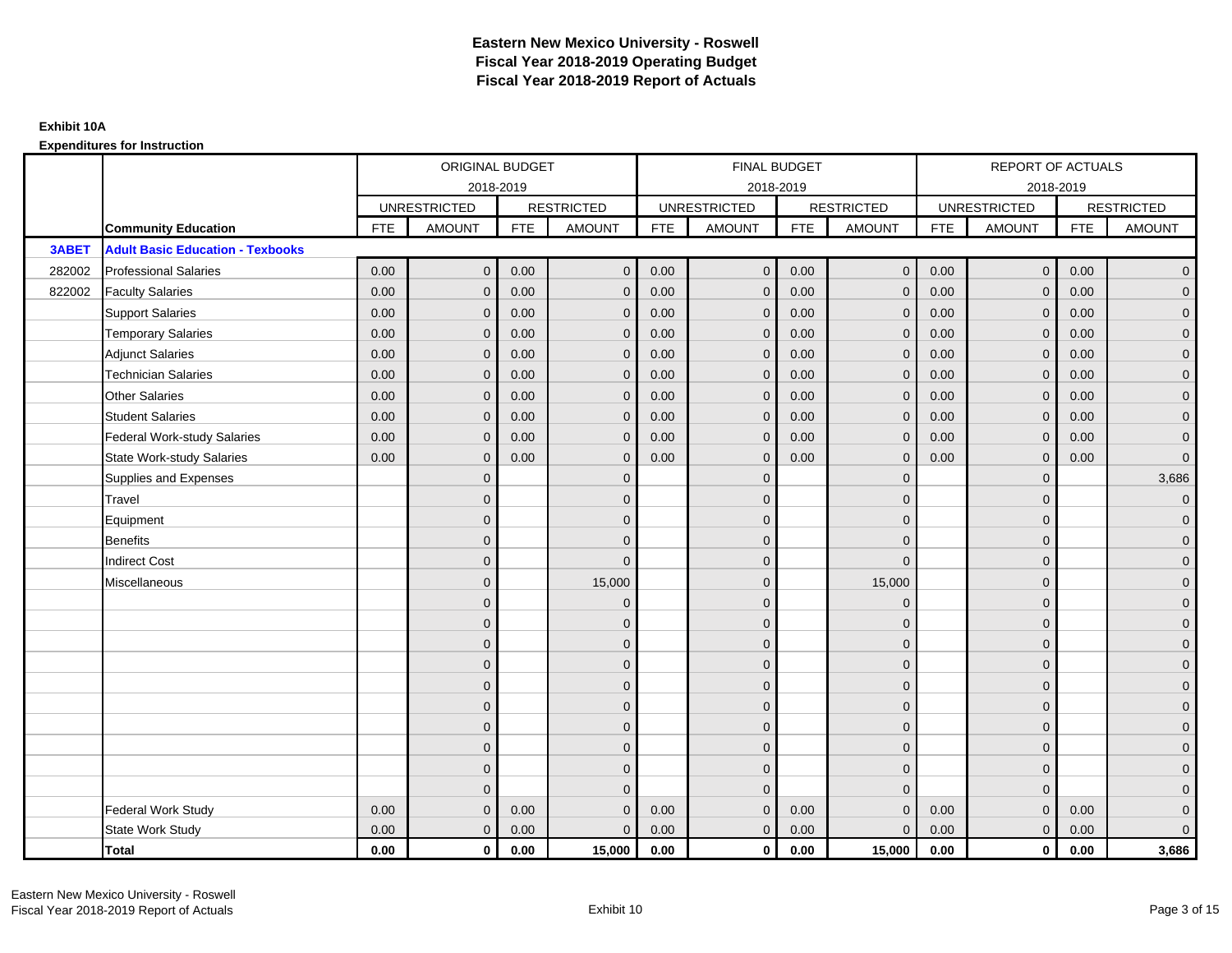|        |                                         | ORIGINAL BUDGET<br>2018-2019<br><b>UNRESTRICTED</b><br><b>RESTRICTED</b><br><b>FTE</b><br><b>AMOUNT</b><br><b>FTE</b><br><b>AMOUNT</b><br>$\mathbf{0}$<br>0.00<br>0.00<br>0.00<br>0.00<br>$\mathbf{0}$<br>0.00<br>0.00<br>$\mathbf{0}$<br>0.00<br>0.00<br>$\mathbf 0$<br>0.00<br>0.00<br>$\mathbf{0}$<br>0.00<br>0.00<br>$\Omega$<br>0.00<br>$\mathbf{0}$<br>0.00<br>0.00<br>$\mathbf{0}$<br>0.00<br>0.00<br>0.00<br>$\mathbf{0}$<br>0.00<br>0.00<br>$\mathbf{0}$<br>$\Omega$<br>$\Omega$<br>$\overline{0}$<br>$\Omega$ |                |      |              |            | <b>FINAL BUDGET</b> |            |                   |            | REPORT OF ACTUALS   |            |                     |
|--------|-----------------------------------------|-------------------------------------------------------------------------------------------------------------------------------------------------------------------------------------------------------------------------------------------------------------------------------------------------------------------------------------------------------------------------------------------------------------------------------------------------------------------------------------------------------------------------|----------------|------|--------------|------------|---------------------|------------|-------------------|------------|---------------------|------------|---------------------|
|        |                                         |                                                                                                                                                                                                                                                                                                                                                                                                                                                                                                                         |                |      |              |            | 2018-2019           |            |                   |            | 2018-2019           |            |                     |
|        |                                         |                                                                                                                                                                                                                                                                                                                                                                                                                                                                                                                         |                |      |              |            | <b>UNRESTRICTED</b> |            | <b>RESTRICTED</b> |            | <b>UNRESTRICTED</b> |            | <b>RESTRICTED</b>   |
|        | <b>Community Education</b>              |                                                                                                                                                                                                                                                                                                                                                                                                                                                                                                                         |                |      |              | <b>FTE</b> | AMOUNT              | <b>FTE</b> | <b>AMOUNT</b>     | <b>FTE</b> | <b>AMOUNT</b>       | <b>FTE</b> | <b>AMOUNT</b>       |
| 3ABET  | <b>Adult Basic Education - Texbooks</b> |                                                                                                                                                                                                                                                                                                                                                                                                                                                                                                                         |                |      |              |            |                     |            |                   |            |                     |            |                     |
| 282002 | <b>Professional Salaries</b>            |                                                                                                                                                                                                                                                                                                                                                                                                                                                                                                                         |                |      | $\mathbf{0}$ | 0.00       | $\mathbf 0$         | 0.00       | $\overline{0}$    | 0.00       | $\overline{0}$      | 0.00       | $\overline{0}$      |
| 822002 | <b>Faculty Salaries</b>                 |                                                                                                                                                                                                                                                                                                                                                                                                                                                                                                                         |                |      | $\mathbf{0}$ | 0.00       | $\mathbf{0}$        | 0.00       | $\mathbf{0}$      | 0.00       | $\mathbf 0$         | 0.00       | $\overline{0}$      |
|        | <b>Support Salaries</b>                 |                                                                                                                                                                                                                                                                                                                                                                                                                                                                                                                         |                |      | $\mathbf 0$  | 0.00       | $\mathbf{0}$        | 0.00       | $\mathbf{0}$      | 0.00       | $\overline{0}$      | 0.00       | $\overline{0}$      |
|        | <b>Temporary Salaries</b>               |                                                                                                                                                                                                                                                                                                                                                                                                                                                                                                                         |                |      | $\mathbf{0}$ | 0.00       | $\mathbf{0}$        | 0.00       | $\mathbf 0$       | 0.00       | $\mathbf 0$         | 0.00       | $\overline{0}$      |
|        | <b>Adjunct Salaries</b>                 |                                                                                                                                                                                                                                                                                                                                                                                                                                                                                                                         |                |      | $\Omega$     | 0.00       | $\mathbf{0}$        | 0.00       | $\mathbf{0}$      | 0.00       | $\mathbf{0}$        | 0.00       | $\overline{0}$      |
|        | <b>Technician Salaries</b>              |                                                                                                                                                                                                                                                                                                                                                                                                                                                                                                                         |                |      | $\Omega$     | 0.00       | $\Omega$            | 0.00       | $\mathbf{0}$      | 0.00       | $\mathbf{0}$        | 0.00       | $\overline{0}$      |
|        | <b>Other Salaries</b>                   |                                                                                                                                                                                                                                                                                                                                                                                                                                                                                                                         |                |      | $\mathbf{0}$ | 0.00       | $\mathbf{0}$        | 0.00       | $\mathbf{0}$      | 0.00       | $\mathbf 0$         | 0.00       | $\overline{0}$      |
|        | <b>Student Salaries</b>                 |                                                                                                                                                                                                                                                                                                                                                                                                                                                                                                                         |                |      | $\mathbf{0}$ | 0.00       | $\mathbf{0}$        | 0.00       | $\mathbf 0$       | 0.00       | $\mathbf{0}$        | 0.00       | $\overline{0}$      |
|        | <b>Federal Work-study Salaries</b>      |                                                                                                                                                                                                                                                                                                                                                                                                                                                                                                                         |                |      | $\Omega$     | 0.00       | $\Omega$            | 0.00       | $\overline{0}$    | 0.00       | $\mathbf{0}$        | 0.00       | $\overline{0}$      |
|        | <b>State Work-study Salaries</b>        |                                                                                                                                                                                                                                                                                                                                                                                                                                                                                                                         |                |      | $\mathbf{0}$ | 0.00       | $\mathbf{0}$        | 0.00       | $\mathbf 0$       | 0.00       | $\mathbf{0}$        | 0.00       | $\mathbf{0}$        |
|        | Supplies and Expenses                   |                                                                                                                                                                                                                                                                                                                                                                                                                                                                                                                         |                |      | $\mathbf 0$  |            | $\mathbf{0}$        |            | $\overline{0}$    |            | $\mathbf 0$         |            | 3,686               |
|        | Travel                                  |                                                                                                                                                                                                                                                                                                                                                                                                                                                                                                                         |                |      | $\mathbf{0}$ |            | $\Omega$            |            | $\mathbf{0}$      |            | $\mathbf{0}$        |            | $\overline{0}$      |
|        | Equipment                               |                                                                                                                                                                                                                                                                                                                                                                                                                                                                                                                         |                |      | $\mathbf{0}$ |            | $\mathbf{0}$        |            | $\mathbf 0$       |            | $\mathbf{0}$        |            | $\overline{0}$      |
|        | <b>Benefits</b>                         |                                                                                                                                                                                                                                                                                                                                                                                                                                                                                                                         |                |      | $\Omega$     |            | $\Omega$            |            | $\mathbf 0$       |            | $\mathbf{0}$        |            | $\overline{0}$      |
|        | <b>Indirect Cost</b>                    |                                                                                                                                                                                                                                                                                                                                                                                                                                                                                                                         | $\overline{0}$ |      | $\mathbf{0}$ |            | $\mathbf{0}$        |            | $\mathbf 0$       |            | $\mathbf 0$         |            | $\overline{0}$      |
|        | Miscellaneous                           |                                                                                                                                                                                                                                                                                                                                                                                                                                                                                                                         | $\overline{0}$ |      | 15,000       |            | $\mathbf{0}$        |            | 15,000            |            | $\mathbf 0$         |            | $\mathbf 0$         |
|        |                                         |                                                                                                                                                                                                                                                                                                                                                                                                                                                                                                                         | $\overline{0}$ |      | $\mathbf 0$  |            | $\Omega$            |            | $\mathbf 0$       |            | $\Omega$            |            | $\overline{0}$      |
|        |                                         |                                                                                                                                                                                                                                                                                                                                                                                                                                                                                                                         | $\overline{0}$ |      | $\mathbf 0$  |            | $\mathbf{0}$        |            | $\mathbf 0$       |            | $\mathbf{0}$        |            | $\overline{0}$      |
|        |                                         |                                                                                                                                                                                                                                                                                                                                                                                                                                                                                                                         | $\Omega$       |      | $\mathbf{0}$ |            | $\Omega$            |            | $\mathbf 0$       |            | $\mathbf{0}$        |            | $\overline{0}$      |
|        |                                         |                                                                                                                                                                                                                                                                                                                                                                                                                                                                                                                         | $\Omega$       |      | $\Omega$     |            | $\Omega$            |            | $\mathbf 0$       |            | $\Omega$            |            | $\overline{0}$      |
|        |                                         |                                                                                                                                                                                                                                                                                                                                                                                                                                                                                                                         | $\mathbf{0}$   |      | $\mathbf 0$  |            | $\mathbf{0}$        |            | $\mathbf 0$       |            | $\mathbf 0$         |            | $\mathsf{O}\xspace$ |
|        |                                         |                                                                                                                                                                                                                                                                                                                                                                                                                                                                                                                         | $\mathbf{0}$   |      | $\mathbf{0}$ |            | $\mathbf{0}$        |            | $\mathbf{0}$      |            | $\mathbf{0}$        |            | $\overline{0}$      |
|        |                                         |                                                                                                                                                                                                                                                                                                                                                                                                                                                                                                                         | $\Omega$       |      | $\mathbf{0}$ |            | $\Omega$            |            | $\mathbf 0$       |            | $\mathbf{0}$        |            | $\overline{0}$      |
|        |                                         |                                                                                                                                                                                                                                                                                                                                                                                                                                                                                                                         | $\mathbf{0}$   |      | $\mathbf{0}$ |            | $\Omega$            |            | $\overline{0}$    |            | $\mathbf{0}$        |            | $\overline{0}$      |
|        |                                         |                                                                                                                                                                                                                                                                                                                                                                                                                                                                                                                         | $\mathbf{0}$   |      | $\mathbf{0}$ |            | $\Omega$            |            | $\mathbf{0}$      |            | $\mathbf{0}$        |            | $\overline{0}$      |
|        |                                         |                                                                                                                                                                                                                                                                                                                                                                                                                                                                                                                         | $\Omega$       |      | $\Omega$     |            | $\Omega$            |            | $\mathbf{0}$      |            | $\Omega$            |            | $\mathsf{O}\xspace$ |
|        | <b>Federal Work Study</b>               | 0.00                                                                                                                                                                                                                                                                                                                                                                                                                                                                                                                    | $\mathbf{0}$   | 0.00 | $\mathbf 0$  | 0.00       | $\mathbf{0}$        | 0.00       | $\mathbf{0}$      | 0.00       | $\mathbf{0}$        | 0.00       | $\mathbf{0}$        |
|        | State Work Study                        | 0.00                                                                                                                                                                                                                                                                                                                                                                                                                                                                                                                    | $\mathbf{0}$   | 0.00 | $\mathbf{0}$ | 0.00       | $\overline{0}$      | 0.00       | $\mathbf{0}$      | 0.00       | $\mathbf{0}$        | 0.00       | $\overline{0}$      |
|        | Total                                   | 0.00                                                                                                                                                                                                                                                                                                                                                                                                                                                                                                                    | $\mathbf 0$    | 0.00 | 15,000       | 0.00       | $\mathbf{0}$        | 0.00       | 15,000            | 0.00       | $\mathbf 0$         | 0.00       | 3,686               |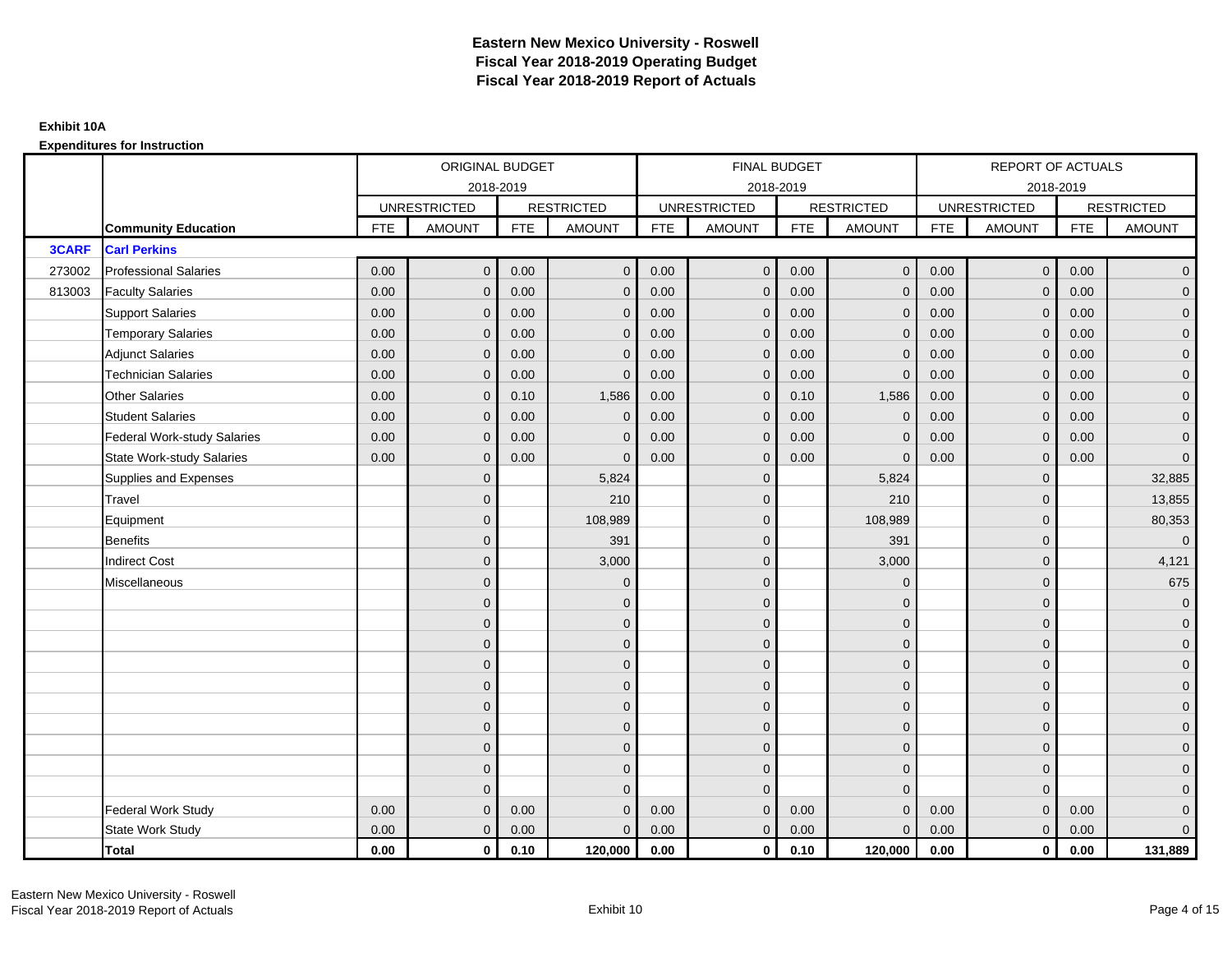|              |                                    |            | ORIGINAL BUDGET     |            |                   |            | <b>FINAL BUDGET</b> |            |                   |            | REPORT OF ACTUALS   |            |                     |
|--------------|------------------------------------|------------|---------------------|------------|-------------------|------------|---------------------|------------|-------------------|------------|---------------------|------------|---------------------|
|              |                                    |            |                     | 2018-2019  |                   |            | 2018-2019           |            |                   |            | 2018-2019           |            |                     |
|              |                                    |            | <b>UNRESTRICTED</b> |            | <b>RESTRICTED</b> |            | <b>UNRESTRICTED</b> |            | <b>RESTRICTED</b> |            | <b>UNRESTRICTED</b> |            | <b>RESTRICTED</b>   |
|              | <b>Community Education</b>         | <b>FTE</b> | <b>AMOUNT</b>       | <b>FTE</b> | <b>AMOUNT</b>     | <b>FTE</b> | <b>AMOUNT</b>       | <b>FTE</b> | <b>AMOUNT</b>     | <b>FTE</b> | <b>AMOUNT</b>       | <b>FTE</b> | <b>AMOUNT</b>       |
| <b>3CARF</b> | <b>Carl Perkins</b>                |            |                     |            |                   |            |                     |            |                   |            |                     |            |                     |
| 273002       | <b>Professional Salaries</b>       | 0.00       | $\mathbf{0}$        | 0.00       | $\mathbf{0}$      | 0.00       | $\mathsf{O}\xspace$ | 0.00       | $\overline{0}$    | 0.00       | $\overline{0}$      | 0.00       | $\overline{0}$      |
| 813003       | <b>Faculty Salaries</b>            | 0.00       | $\mathbf{0}$        | 0.00       | $\mathbf 0$       | 0.00       | $\mathbf{0}$        | 0.00       | $\mathbf{0}$      | 0.00       | $\mathbf{0}$        | 0.00       | $\overline{0}$      |
|              | <b>Support Salaries</b>            | 0.00       | $\mathbf{0}$        | 0.00       | $\mathbf{0}$      | 0.00       | $\mathbf{0}$        | 0.00       | $\mathbf{0}$      | 0.00       | $\overline{0}$      | 0.00       | $\overline{0}$      |
|              | <b>Temporary Salaries</b>          | 0.00       | $\mathbf{0}$        | 0.00       | $\mathbf{0}$      | 0.00       | $\mathbf{0}$        | 0.00       | 0                 | 0.00       | $\mathbf 0$         | 0.00       | $\overline{0}$      |
|              | <b>Adjunct Salaries</b>            | 0.00       | $\mathbf{0}$        | 0.00       | $\mathbf{0}$      | 0.00       | $\Omega$            | 0.00       | $\mathbf 0$       | 0.00       | $\mathbf{0}$        | 0.00       | $\overline{0}$      |
|              | <b>Technician Salaries</b>         | 0.00       | $\Omega$            | 0.00       | $\Omega$          | 0.00       | $\Omega$            | 0.00       | $\Omega$          | 0.00       | $\mathbf{0}$        | 0.00       | $\overline{0}$      |
|              | <b>Other Salaries</b>              | 0.00       | $\mathbf{0}$        | 0.10       | 1,586             | 0.00       | $\mathbf{0}$        | 0.10       | 1,586             | 0.00       | $\mathbf{0}$        | 0.00       | $\overline{0}$      |
|              | <b>Student Salaries</b>            | 0.00       | $\mathbf{0}$        | 0.00       | $\mathbf 0$       | 0.00       | $\mathbf{0}$        | 0.00       | $\mathbf 0$       | 0.00       | $\mathbf{0}$        | 0.00       | $\overline{0}$      |
|              | <b>Federal Work-study Salaries</b> | 0.00       | $\mathbf{0}$        | 0.00       | $\Omega$          | 0.00       | $\Omega$            | 0.00       | $\Omega$          | 0.00       | $\mathbf{0}$        | 0.00       | $\overline{0}$      |
|              | <b>State Work-study Salaries</b>   | 0.00       | $\mathbf{0}$        | 0.00       | $\mathbf{0}$      | 0.00       | $\mathbf{0}$        | 0.00       | $\Omega$          | 0.00       | $\mathbf{0}$        | 0.00       | $\overline{0}$      |
|              | Supplies and Expenses              |            | $\Omega$            |            | 5,824             |            | $\mathbf{0}$        |            | 5,824             |            | $\mathbf 0$         |            | 32,885              |
|              | Travel                             |            | $\overline{0}$      |            | 210               |            | $\Omega$            |            | 210               |            | $\mathbf{0}$        |            | 13,855              |
|              | Equipment                          |            | $\Omega$            |            | 108,989           |            | $\mathbf{0}$        |            | 108,989           |            | $\mathbf 0$         |            | 80,353              |
|              | <b>Benefits</b>                    |            | $\Omega$            |            | 391               |            | $\Omega$            |            | 391               |            | $\mathbf{0}$        |            | $\overline{0}$      |
|              | <b>Indirect Cost</b>               |            | $\overline{0}$      |            | 3,000             |            | $\mathbf{0}$        |            | 3,000             |            | $\mathbf{0}$        |            | 4,121               |
|              | Miscellaneous                      |            | $\Omega$            |            | $\mathbf 0$       |            | $\mathbf{0}$        |            | $\Omega$          |            | $\mathbf{0}$        |            | 675                 |
|              |                                    |            | $\overline{0}$      |            | $\mathbf 0$       |            | $\Omega$            |            | $\mathbf{0}$      |            | $\mathbf{0}$        |            | $\overline{0}$      |
|              |                                    |            | $\mathbf{0}$        |            | $\mathbf 0$       |            | $\mathbf{0}$        |            | $\mathbf 0$       |            | $\mathbf{0}$        |            | $\overline{0}$      |
|              |                                    |            | $\Omega$            |            | $\mathbf{0}$      |            | $\Omega$            |            | $\mathbf 0$       |            | $\mathbf{0}$        |            | $\overline{0}$      |
|              |                                    |            | $\Omega$            |            | $\mathbf{0}$      |            | $\Omega$            |            | $\mathbf 0$       |            | $\Omega$            |            | $\overline{0}$      |
|              |                                    |            | $\Omega$            |            | $\mathbf 0$       |            | $\mathbf{0}$        |            | $\mathbf 0$       |            | $\mathbf 0$         |            | $\mathsf{O}\xspace$ |
|              |                                    |            | $\overline{0}$      |            | $\mathbf 0$       |            | $\mathbf{0}$        |            | $\mathbf{0}$      |            | $\mathbf{0}$        |            | $\overline{0}$      |
|              |                                    |            | $\Omega$            |            | $\mathbf 0$       |            | $\Omega$            |            | $\mathbf{0}$      |            | $\mathbf{0}$        |            | $\overline{0}$      |
|              |                                    |            | $\Omega$            |            | $\mathbf 0$       |            | $\Omega$            |            | $\overline{0}$    |            | $\mathbf{0}$        |            | $\overline{0}$      |
|              |                                    |            | $\mathbf{0}$        |            | $\mathbf{0}$      |            | $\mathbf{0}$        |            | $\mathbf{0}$      |            | $\mathbf{0}$        |            | $\overline{0}$      |
|              |                                    |            | $\Omega$            |            | $\Omega$          |            | $\Omega$            |            | $\mathbf{0}$      |            | $\Omega$            |            | $\overline{0}$      |
|              | <b>Federal Work Study</b>          | 0.00       | $\mathbf{0}$        | 0.00       | $\mathbf{0}$      | 0.00       | $\mathbf{0}$        | 0.00       | $\mathbf 0$       | 0.00       | $\mathbf{0}$        | 0.00       | $\mathbf{0}$        |
|              | State Work Study                   | 0.00       | $\mathbf{0}$        | 0.00       | $\mathbf{0}$      | 0.00       | $\overline{0}$      | 0.00       | $\mathbf{0}$      | 0.00       | $\overline{0}$      | 0.00       | $\overline{0}$      |
|              | Total                              | 0.00       | $\mathbf 0$         | 0.10       | 120,000           | 0.00       | $\mathbf{0}$        | 0.10       | 120,000           | 0.00       | $\mathbf{0}$        | 0.00       | 131,889             |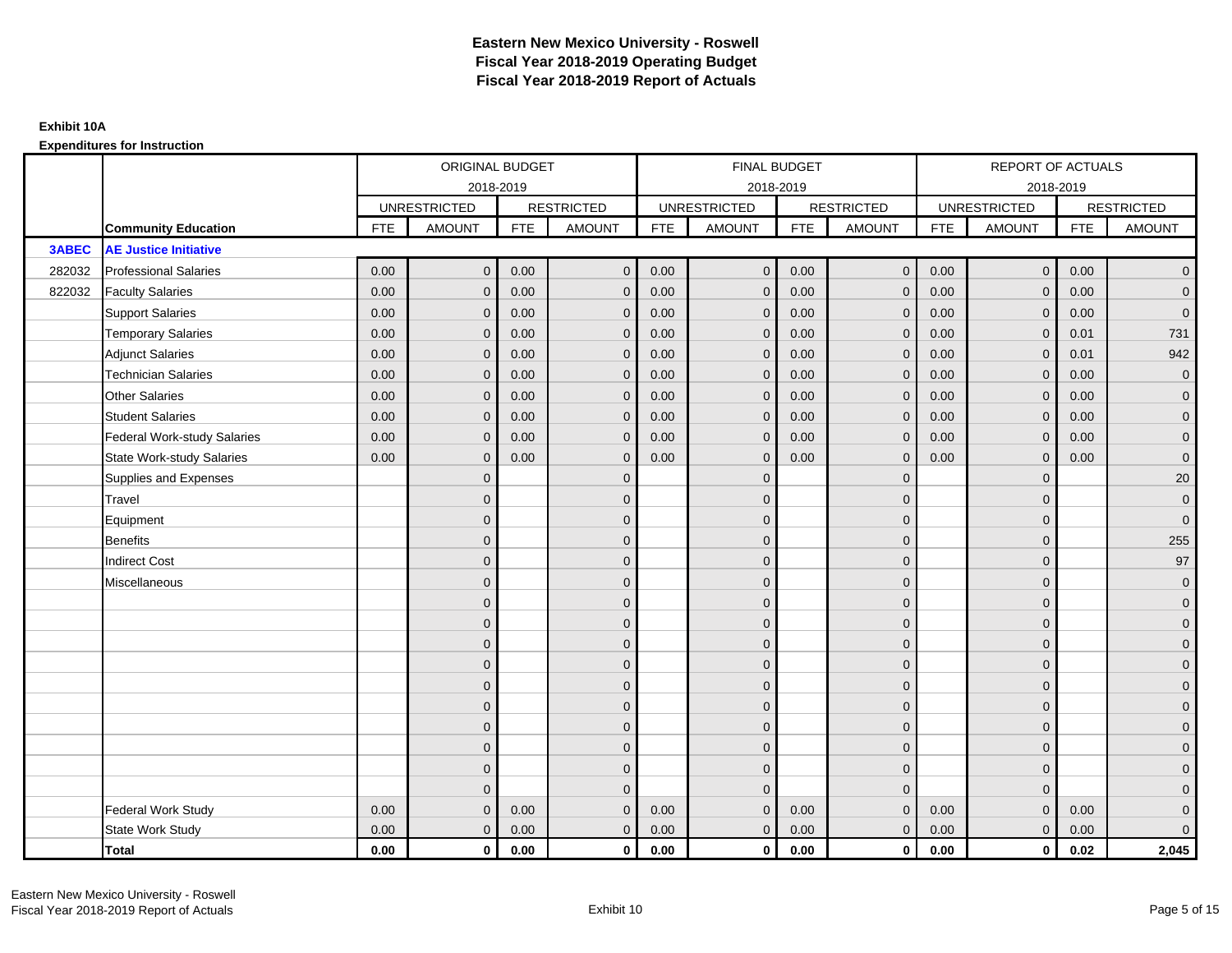|              |                                    |            | ORIGINAL BUDGET     |            |                   |            | <b>FINAL BUDGET</b> |            |                   |            | REPORT OF ACTUALS   |            |                     |
|--------------|------------------------------------|------------|---------------------|------------|-------------------|------------|---------------------|------------|-------------------|------------|---------------------|------------|---------------------|
|              |                                    |            | 2018-2019           |            |                   |            | 2018-2019           |            |                   |            | 2018-2019           |            |                     |
|              |                                    |            | <b>UNRESTRICTED</b> |            | <b>RESTRICTED</b> |            | <b>UNRESTRICTED</b> |            | <b>RESTRICTED</b> |            | <b>UNRESTRICTED</b> |            | <b>RESTRICTED</b>   |
|              | <b>Community Education</b>         | <b>FTE</b> | <b>AMOUNT</b>       | <b>FTE</b> | <b>AMOUNT</b>     | <b>FTE</b> | <b>AMOUNT</b>       | <b>FTE</b> | <b>AMOUNT</b>     | <b>FTE</b> | <b>AMOUNT</b>       | <b>FTE</b> | <b>AMOUNT</b>       |
| <b>3ABEC</b> | <b>AE Justice Initiative</b>       |            |                     |            |                   |            |                     |            |                   |            |                     |            |                     |
| 282032       | <b>Professional Salaries</b>       | 0.00       | $\mathbf{0}$        | 0.00       | $\mathbf{0}$      | 0.00       | $\mathsf{O}\xspace$ | 0.00       | $\overline{0}$    | 0.00       | $\overline{0}$      | 0.00       | $\overline{0}$      |
| 822032       | <b>Faculty Salaries</b>            | 0.00       | $\mathbf{0}$        | 0.00       | $\mathbf 0$       | 0.00       | $\mathbf{0}$        | 0.00       | $\mathbf{0}$      | 0.00       | $\mathbf{0}$        | 0.00       | $\overline{0}$      |
|              | <b>Support Salaries</b>            | 0.00       | $\mathbf{0}$        | 0.00       | $\mathbf{0}$      | 0.00       | $\mathbf{0}$        | 0.00       | $\mathbf{0}$      | 0.00       | $\overline{0}$      | 0.00       | $\overline{0}$      |
|              | <b>Temporary Salaries</b>          | 0.00       | $\mathbf{0}$        | 0.00       | $\mathbf{0}$      | 0.00       | $\mathbf{0}$        | 0.00       | 0                 | 0.00       | $\mathbf 0$         | 0.01       | 731                 |
|              | <b>Adjunct Salaries</b>            | 0.00       | $\mathbf{0}$        | 0.00       | $\mathbf{0}$      | 0.00       | $\Omega$            | 0.00       | $\mathbf{0}$      | 0.00       | $\mathbf{0}$        | 0.01       | 942                 |
|              | <b>Technician Salaries</b>         | 0.00       | $\Omega$            | 0.00       | $\Omega$          | 0.00       | $\Omega$            | 0.00       | $\Omega$          | 0.00       | $\mathbf{0}$        | 0.00       | $\mathsf{O}\xspace$ |
|              | <b>Other Salaries</b>              | 0.00       | $\mathbf{0}$        | 0.00       | $\mathbf 0$       | 0.00       | $\mathbf{0}$        | 0.00       | $\mathbf{0}$      | 0.00       | $\mathbf{0}$        | 0.00       | $\overline{0}$      |
|              | <b>Student Salaries</b>            | 0.00       | $\mathbf{0}$        | 0.00       | $\mathbf 0$       | 0.00       | $\mathbf{0}$        | 0.00       | $\mathbf{0}$      | 0.00       | $\mathbf{0}$        | 0.00       | $\overline{0}$      |
|              | <b>Federal Work-study Salaries</b> | 0.00       | $\mathbf{0}$        | 0.00       | $\Omega$          | 0.00       | $\Omega$            | 0.00       | $\Omega$          | 0.00       | $\mathbf{0}$        | 0.00       | $\overline{0}$      |
|              | <b>State Work-study Salaries</b>   | 0.00       | $\mathbf{0}$        | 0.00       | $\mathbf{0}$      | 0.00       | $\mathbf{0}$        | 0.00       | $\mathbf 0$       | 0.00       | $\mathbf{0}$        | 0.00       | $\mathbf 0$         |
|              | Supplies and Expenses              |            | $\Omega$            |            | $\mathbf{0}$      |            | $\mathbf{0}$        |            | $\overline{0}$    |            | $\mathbf 0$         |            | $20\,$              |
|              | Travel                             |            | $\Omega$            |            | $\mathbf{0}$      |            | $\Omega$            |            | $\mathbf{0}$      |            | $\mathbf{0}$        |            | $\mathbf 0$         |
|              | Equipment                          |            | $\Omega$            |            | $\mathbf 0$       |            | $\mathbf{0}$        |            | $\mathbf 0$       |            | $\mathbf{0}$        |            | $\mathbf{0}$        |
|              | <b>Benefits</b>                    |            | $\Omega$            |            | $\mathbf{0}$      |            | $\Omega$            |            | $\mathbf 0$       |            | $\mathbf{0}$        |            | 255                 |
|              | <b>Indirect Cost</b>               |            | $\Omega$            |            | $\mathbf 0$       |            | $\mathbf{0}$        |            | $\mathbf 0$       |            | $\mathbf{0}$        |            | 97                  |
|              | Miscellaneous                      |            | $\Omega$            |            | $\mathbf 0$       |            | $\mathbf{0}$        |            | $\mathbf 0$       |            | $\mathbf 0$         |            | $\mathbf 0$         |
|              |                                    |            | $\overline{0}$      |            | $\mathbf 0$       |            | $\Omega$            |            | $\mathbf{0}$      |            | $\mathbf{0}$        |            | $\overline{0}$      |
|              |                                    |            | $\mathbf{0}$        |            | $\mathbf 0$       |            | $\mathbf{0}$        |            | $\mathbf 0$       |            | $\mathbf{0}$        |            | $\overline{0}$      |
|              |                                    |            | $\Omega$            |            | $\mathbf{0}$      |            | $\Omega$            |            | $\mathbf 0$       |            | $\mathbf{0}$        |            | $\overline{0}$      |
|              |                                    |            | $\Omega$            |            | $\mathbf{0}$      |            | $\Omega$            |            | $\mathbf 0$       |            | $\Omega$            |            | $\overline{0}$      |
|              |                                    |            | $\Omega$            |            | $\mathbf 0$       |            | $\mathbf{0}$        |            | $\mathbf 0$       |            | $\mathbf 0$         |            | $\mathsf{O}\xspace$ |
|              |                                    |            | $\overline{0}$      |            | $\mathbf 0$       |            | $\mathbf{0}$        |            | $\mathbf{0}$      |            | $\mathbf{0}$        |            | $\overline{0}$      |
|              |                                    |            | $\Omega$            |            | $\mathbf 0$       |            | $\Omega$            |            | $\mathbf{0}$      |            | $\mathbf{0}$        |            | $\overline{0}$      |
|              |                                    |            | $\Omega$            |            | $\mathbf 0$       |            | $\Omega$            |            | $\overline{0}$    |            | $\mathbf{0}$        |            | $\overline{0}$      |
|              |                                    |            | $\mathbf{0}$        |            | $\mathbf{0}$      |            | $\Omega$            |            | $\mathbf{0}$      |            | $\mathbf{0}$        |            | $\overline{0}$      |
|              |                                    |            | $\Omega$            |            | $\mathbf{0}$      |            | $\Omega$            |            | $\mathbf{0}$      |            | $\Omega$            |            | $\overline{0}$      |
|              | <b>Federal Work Study</b>          | 0.00       | $\mathbf{0}$        | 0.00       | $\mathbf{0}$      | 0.00       | $\mathbf{0}$        | 0.00       | $\mathbf{0}$      | 0.00       | $\mathbf{0}$        | 0.00       | $\mathbf{0}$        |
|              | State Work Study                   | 0.00       | $\mathbf{0}$        | 0.00       | $\mathbf{0}$      | 0.00       | $\mathbf{0}$        | 0.00       | $\mathbf{0}$      | 0.00       | $\overline{0}$      | 0.00       | $\overline{0}$      |
|              | Total                              | 0.00       | $\mathbf 0$         | 0.00       | $\mathbf{0}$      | 0.00       | $\mathbf{0}$        | 0.00       | $\overline{0}$    | 0.00       | $\mathbf{0}$        | 0.02       | 2,045               |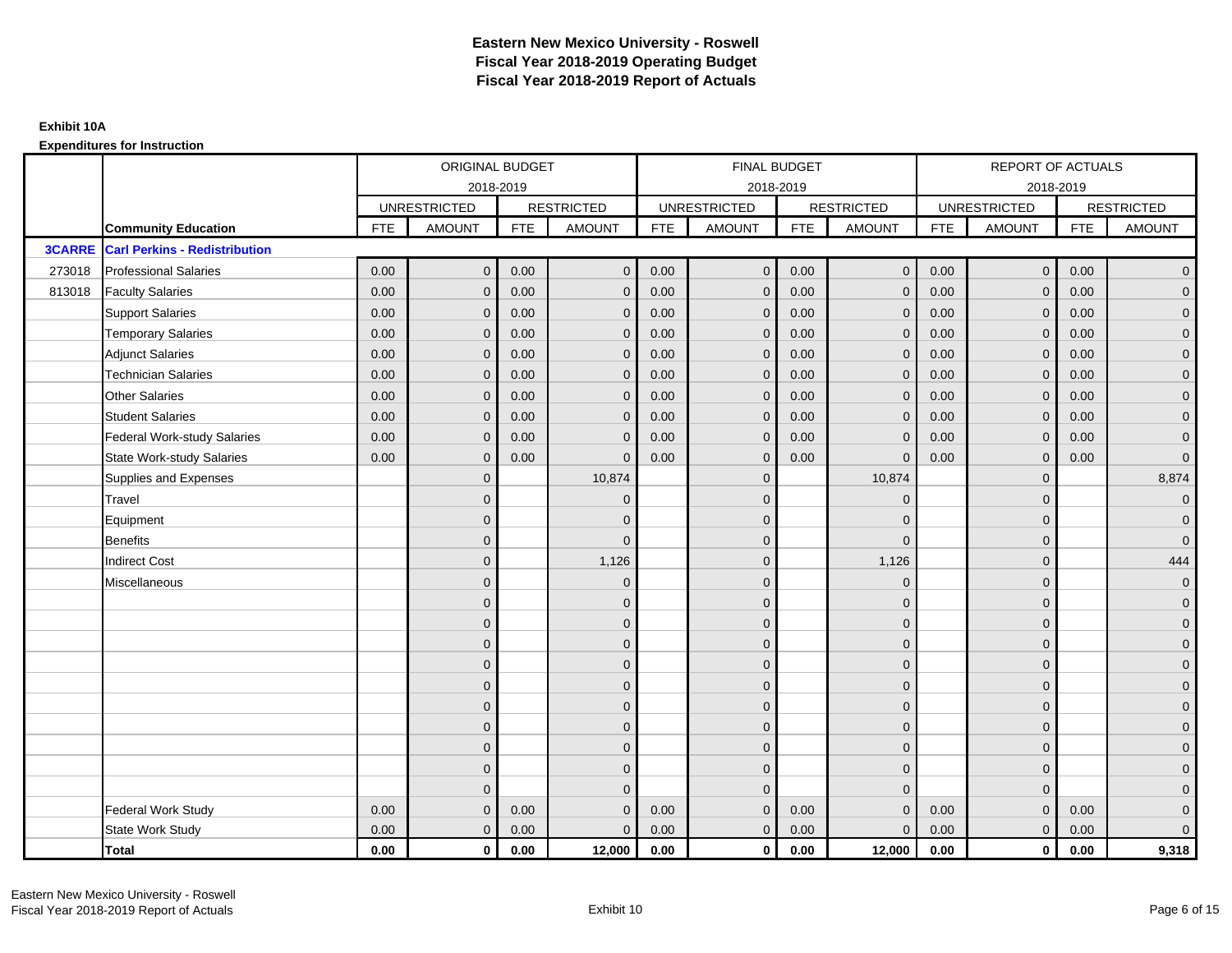|               |                                      | ORIGINAL BUDGET<br>2018-2019<br><b>UNRESTRICTED</b><br><b>RESTRICTED</b><br><b>FTE</b><br><b>AMOUNT</b><br><b>AMOUNT</b><br><b>FTE</b><br>$\mathbf{0}$<br>0.00<br>0.00<br>$\mathbf{0}$<br>0.00<br>0.00<br>$\mathbf{0}$<br>$\mathbf{0}$<br>0.00<br>$\mathbf{0}$<br>0.00<br>$\mathbf{0}$<br>0.00<br>0.00<br>$\mathbf{0}$<br>$\mathbf 0$ |                |      |              | FINAL BUDGET |                     |            |                   | REPORT OF ACTUALS |                     |            |                     |
|---------------|--------------------------------------|---------------------------------------------------------------------------------------------------------------------------------------------------------------------------------------------------------------------------------------------------------------------------------------------------------------------------------------|----------------|------|--------------|--------------|---------------------|------------|-------------------|-------------------|---------------------|------------|---------------------|
|               |                                      |                                                                                                                                                                                                                                                                                                                                       |                |      |              |              | 2018-2019           |            |                   |                   |                     | 2018-2019  |                     |
|               |                                      |                                                                                                                                                                                                                                                                                                                                       |                |      |              |              | <b>UNRESTRICTED</b> |            | <b>RESTRICTED</b> |                   | <b>UNRESTRICTED</b> |            | <b>RESTRICTED</b>   |
|               | <b>Community Education</b>           |                                                                                                                                                                                                                                                                                                                                       |                |      |              | <b>FTE</b>   | AMOUNT              | <b>FTE</b> | <b>AMOUNT</b>     | <b>FTE</b>        | <b>AMOUNT</b>       | <b>FTE</b> | <b>AMOUNT</b>       |
| <b>3CARRE</b> | <b>Carl Perkins - Redistribution</b> |                                                                                                                                                                                                                                                                                                                                       |                |      |              |              |                     |            |                   |                   |                     |            |                     |
| 273018        | <b>Professional Salaries</b>         |                                                                                                                                                                                                                                                                                                                                       |                |      |              | 0.00         | $\mathbf 0$         | 0.00       | $\overline{0}$    | 0.00              | $\overline{0}$      | 0.00       | $\overline{0}$      |
| 813018        | <b>Faculty Salaries</b>              |                                                                                                                                                                                                                                                                                                                                       |                |      |              | 0.00         | $\mathbf{0}$        | 0.00       | $\mathbf{0}$      | 0.00              | $\mathbf 0$         | 0.00       | $\overline{0}$      |
|               | <b>Support Salaries</b>              |                                                                                                                                                                                                                                                                                                                                       |                |      |              | 0.00         | $\mathbf{0}$        | 0.00       | $\mathbf{0}$      | 0.00              | $\mathbf{0}$        | 0.00       | $\overline{0}$      |
|               | <b>Temporary Salaries</b>            |                                                                                                                                                                                                                                                                                                                                       |                |      |              | 0.00         | $\mathbf{0}$        | 0.00       | $\mathbf 0$       | 0.00              | $\mathbf 0$         | 0.00       | $\overline{0}$      |
|               | <b>Adjunct Salaries</b>              | 0.00                                                                                                                                                                                                                                                                                                                                  | $\mathbf{0}$   | 0.00 | $\Omega$     | 0.00         | $\mathbf{0}$        | 0.00       | $\mathbf{0}$      | 0.00              | $\mathbf{0}$        | 0.00       | $\overline{0}$      |
|               | <b>Technician Salaries</b>           | 0.00                                                                                                                                                                                                                                                                                                                                  | $\Omega$       | 0.00 | $\Omega$     | 0.00         | $\Omega$            | 0.00       | $\mathbf{0}$      | 0.00              | $\Omega$            | 0.00       | $\overline{0}$      |
|               | <b>Other Salaries</b>                | 0.00                                                                                                                                                                                                                                                                                                                                  | $\mathbf{0}$   | 0.00 | $\mathbf 0$  | 0.00         | $\mathbf{0}$        | 0.00       | $\mathbf{0}$      | 0.00              | $\mathbf{0}$        | 0.00       | $\mathbf{0}$        |
|               | <b>Student Salaries</b>              | 0.00                                                                                                                                                                                                                                                                                                                                  | $\mathbf{0}$   | 0.00 | $\mathbf{0}$ | 0.00         | $\mathbf{0}$        | 0.00       | $\mathbf 0$       | 0.00              | $\mathbf 0$         | 0.00       | $\overline{0}$      |
|               | <b>Federal Work-study Salaries</b>   | 0.00                                                                                                                                                                                                                                                                                                                                  | $\mathbf{0}$   | 0.00 | $\Omega$     | 0.00         | $\Omega$            | 0.00       | $\mathbf{0}$      | 0.00              | $\mathbf{0}$        | 0.00       | $\overline{0}$      |
|               | <b>State Work-study Salaries</b>     | 0.00                                                                                                                                                                                                                                                                                                                                  | $\mathbf{0}$   | 0.00 | $\Omega$     | 0.00         | $\mathbf{0}$        | 0.00       | $\mathbf 0$       | 0.00              | $\mathbf{0}$        | 0.00       | $\mathbf 0$         |
|               | Supplies and Expenses                |                                                                                                                                                                                                                                                                                                                                       | $\mathbf{0}$   |      | 10,874       |              | $\mathbf{0}$        |            | 10,874            |                   | $\mathbf 0$         |            | 8,874               |
|               | Travel                               |                                                                                                                                                                                                                                                                                                                                       | $\Omega$       |      | $\Omega$     |              | $\Omega$            |            | $\mathbf 0$       |                   | $\Omega$            |            | $\mathbf{0}$        |
|               | Equipment                            |                                                                                                                                                                                                                                                                                                                                       | $\mathbf{0}$   |      | $\Omega$     |              | $\mathbf{0}$        |            | $\mathbf{0}$      |                   | $\mathbf{0}$        |            | $\mathbf 0$         |
|               | <b>Benefits</b>                      |                                                                                                                                                                                                                                                                                                                                       | $\Omega$       |      | $\Omega$     |              | $\Omega$            |            | $\mathbf 0$       |                   | $\mathbf 0$         |            | $\overline{0}$      |
|               | <b>Indirect Cost</b>                 |                                                                                                                                                                                                                                                                                                                                       | $\mathbf{0}$   |      | 1,126        |              | $\mathbf{0}$        |            | 1,126             |                   | $\mathbf 0$         |            | 444                 |
|               | Miscellaneous                        |                                                                                                                                                                                                                                                                                                                                       | $\mathbf{0}$   |      | $\Omega$     |              | $\mathbf{0}$        |            | $\mathbf 0$       |                   | $\mathbf 0$         |            | $\mathbf 0$         |
|               |                                      |                                                                                                                                                                                                                                                                                                                                       | $\overline{0}$ |      | $\mathbf{0}$ |              | $\Omega$            |            | $\mathbf{0}$      |                   | $\Omega$            |            | $\overline{0}$      |
|               |                                      |                                                                                                                                                                                                                                                                                                                                       | $\overline{0}$ |      | $\mathbf 0$  |              | $\mathbf{0}$        |            | $\mathbf 0$       |                   | $\mathbf 0$         |            | $\overline{0}$      |
|               |                                      |                                                                                                                                                                                                                                                                                                                                       | $\Omega$       |      | $\mathbf{0}$ |              | $\Omega$            |            | $\mathbf 0$       |                   | $\mathbf 0$         |            | $\overline{0}$      |
|               |                                      |                                                                                                                                                                                                                                                                                                                                       | $\Omega$       |      | $\Omega$     |              | $\Omega$            |            | $\mathbf{0}$      |                   | $\Omega$            |            | $\overline{0}$      |
|               |                                      |                                                                                                                                                                                                                                                                                                                                       | $\mathbf{0}$   |      | $\mathbf{0}$ |              | $\mathbf{0}$        |            | $\mathbf 0$       |                   | $\mathbf 0$         |            | $\mathsf{O}\xspace$ |
|               |                                      |                                                                                                                                                                                                                                                                                                                                       | $\mathbf{0}$   |      | $\mathbf{0}$ |              | $\Omega$            |            | $\mathbf{0}$      |                   | $\mathbf 0$         |            | $\overline{0}$      |
|               |                                      |                                                                                                                                                                                                                                                                                                                                       | $\Omega$       |      | $\mathbf{0}$ |              | $\Omega$            |            | $\mathbf 0$       |                   | $\mathbf{0}$        |            | $\overline{0}$      |
|               |                                      |                                                                                                                                                                                                                                                                                                                                       | $\mathbf{0}$   |      | $\mathbf{0}$ |              | $\Omega$            |            | $\mathbf 0$       |                   | $\mathbf{0}$        |            | $\overline{0}$      |
|               |                                      |                                                                                                                                                                                                                                                                                                                                       | $\overline{0}$ |      | $\mathbf{0}$ |              | $\Omega$            |            | $\mathbf{0}$      |                   | $\mathbf{0}$        |            | $\overline{0}$      |
|               |                                      |                                                                                                                                                                                                                                                                                                                                       | $\Omega$       |      | $\Omega$     |              | $\Omega$            |            | $\mathbf{0}$      |                   | $\Omega$            |            | $\overline{0}$      |
|               | Federal Work Study                   | 0.00                                                                                                                                                                                                                                                                                                                                  | $\mathbf{0}$   | 0.00 | $\Omega$     | 0.00         | $\mathbf{0}$        | 0.00       | $\mathbf{0}$      | 0.00              | $\mathbf{0}$        | 0.00       | $\mathbf{0}$        |
|               | <b>State Work Study</b>              | 0.00                                                                                                                                                                                                                                                                                                                                  | $\mathbf{0}$   | 0.00 | $\Omega$     | 0.00         | $\overline{0}$      | 0.00       | $\mathbf{0}$      | 0.00              | $\mathbf{0}$        | 0.00       | $\overline{0}$      |
|               | <b>Total</b>                         | 0.00                                                                                                                                                                                                                                                                                                                                  | $\mathbf{0}$   | 0.00 | 12,000       | 0.00         | $\mathbf{0}$        | 0.00       | 12,000            | 0.00              | $\mathbf 0$         | 0.00       | 9,318               |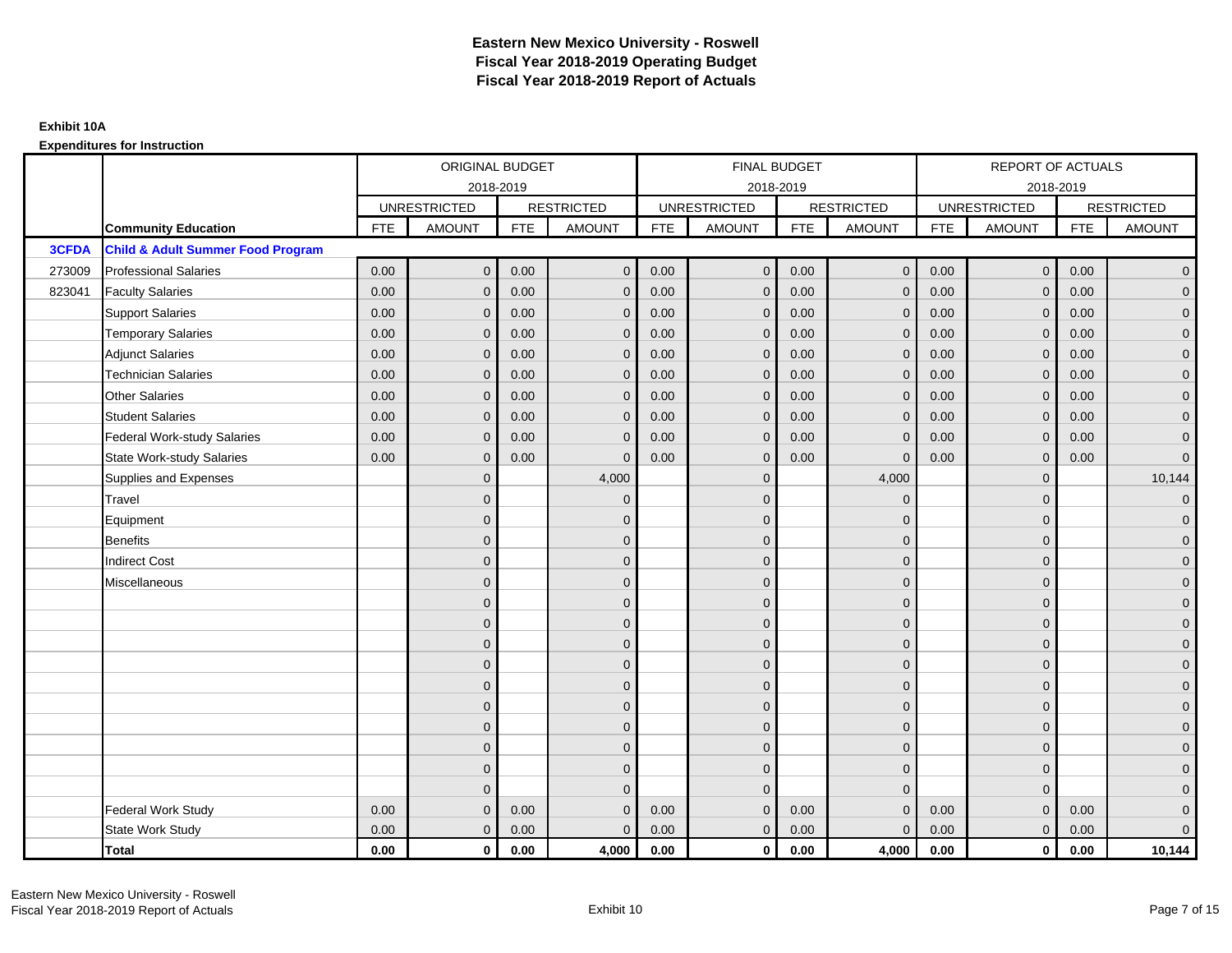|              |                                              | <b>ORIGINAL BUDGET</b><br>2018-2019<br><b>UNRESTRICTED</b><br><b>RESTRICTED</b><br><b>FTE</b><br><b>AMOUNT</b><br><b>FTE</b><br>0.00<br>$\mathbf{0}$<br>0.00<br>0.00<br>0.00<br>$\mathbf{0}$<br>0.00<br>0.00<br>$\mathbf{0}$<br>0.00<br>0.00<br>$\mathbf 0$<br>0.00<br>0.00<br>$\mathbf{0}$<br>0.00<br>0.00<br>$\Omega$<br>0.00<br>0.00<br>$\mathbf{0}$<br>0.00<br>$\mathbf{0}$<br>0.00<br>0.00<br>0.00<br>$\mathbf{0}$<br>0.00<br>0.00<br>$\mathbf{0}$<br>$\Omega$<br>$\Omega$<br>$\mathbf{0}$<br>$\Omega$<br>$\overline{0}$<br>$\mathbf{0}$<br>$\overline{0}$<br>$\overline{0}$<br>$\Omega$ |              |      |               |            | FINAL BUDGET        |            |                   |            | REPORT OF ACTUALS   |            |                     |
|--------------|----------------------------------------------|-----------------------------------------------------------------------------------------------------------------------------------------------------------------------------------------------------------------------------------------------------------------------------------------------------------------------------------------------------------------------------------------------------------------------------------------------------------------------------------------------------------------------------------------------------------------------------------------------|--------------|------|---------------|------------|---------------------|------------|-------------------|------------|---------------------|------------|---------------------|
|              |                                              |                                                                                                                                                                                                                                                                                                                                                                                                                                                                                                                                                                                               |              |      |               |            | 2018-2019           |            |                   |            | 2018-2019           |            |                     |
|              |                                              |                                                                                                                                                                                                                                                                                                                                                                                                                                                                                                                                                                                               |              |      |               |            | <b>UNRESTRICTED</b> |            | <b>RESTRICTED</b> |            | <b>UNRESTRICTED</b> |            | <b>RESTRICTED</b>   |
|              | <b>Community Education</b>                   |                                                                                                                                                                                                                                                                                                                                                                                                                                                                                                                                                                                               |              |      | <b>AMOUNT</b> | <b>FTE</b> | AMOUNT              | <b>FTE</b> | <b>AMOUNT</b>     | <b>FTE</b> | <b>AMOUNT</b>       | <b>FTE</b> | <b>AMOUNT</b>       |
| <b>3CFDA</b> | <b>Child &amp; Adult Summer Food Program</b> |                                                                                                                                                                                                                                                                                                                                                                                                                                                                                                                                                                                               |              |      |               |            |                     |            |                   |            |                     |            |                     |
| 273009       | <b>Professional Salaries</b>                 |                                                                                                                                                                                                                                                                                                                                                                                                                                                                                                                                                                                               |              |      | $\mathbf{0}$  | 0.00       | $\mathbf{0}$        | 0.00       | $\overline{0}$    | 0.00       | $\overline{0}$      | 0.00       | $\overline{0}$      |
| 823041       | <b>Faculty Salaries</b>                      |                                                                                                                                                                                                                                                                                                                                                                                                                                                                                                                                                                                               |              |      | $\mathbf{0}$  | 0.00       | $\mathbf{0}$        | 0.00       | $\mathbf{0}$      | 0.00       | $\mathbf 0$         | 0.00       | $\overline{0}$      |
|              | <b>Support Salaries</b>                      |                                                                                                                                                                                                                                                                                                                                                                                                                                                                                                                                                                                               |              |      | $\mathbf 0$   | 0.00       | $\mathbf{0}$        | 0.00       | $\mathbf{0}$      | 0.00       | $\overline{0}$      | 0.00       | $\overline{0}$      |
|              | <b>Temporary Salaries</b>                    |                                                                                                                                                                                                                                                                                                                                                                                                                                                                                                                                                                                               |              |      | $\mathbf{0}$  | 0.00       | $\mathbf{0}$        | 0.00       | $\mathbf 0$       | 0.00       | $\mathbf 0$         | 0.00       | $\overline{0}$      |
|              | <b>Adjunct Salaries</b>                      |                                                                                                                                                                                                                                                                                                                                                                                                                                                                                                                                                                                               |              |      | $\Omega$      | 0.00       | $\mathbf{0}$        | 0.00       | $\mathbf{0}$      | 0.00       | $\mathbf{0}$        | 0.00       | $\overline{0}$      |
|              | <b>Technician Salaries</b>                   |                                                                                                                                                                                                                                                                                                                                                                                                                                                                                                                                                                                               |              |      | $\Omega$      | 0.00       | $\Omega$            | 0.00       | $\Omega$          | 0.00       | $\Omega$            | 0.00       | $\overline{0}$      |
|              | <b>Other Salaries</b>                        |                                                                                                                                                                                                                                                                                                                                                                                                                                                                                                                                                                                               |              |      | $\mathbf{0}$  | 0.00       | $\mathbf{0}$        | 0.00       | $\mathbf{0}$      | 0.00       | $\mathbf 0$         | 0.00       | $\overline{0}$      |
|              | <b>Student Salaries</b>                      |                                                                                                                                                                                                                                                                                                                                                                                                                                                                                                                                                                                               |              |      | $\mathbf{0}$  | 0.00       | $\mathbf{0}$        | 0.00       | $\mathbf{0}$      | 0.00       | $\mathbf{0}$        | 0.00       | $\overline{0}$      |
|              | <b>Federal Work-study Salaries</b>           |                                                                                                                                                                                                                                                                                                                                                                                                                                                                                                                                                                                               |              |      | $\Omega$      | 0.00       | $\Omega$            | 0.00       | $\overline{0}$    | 0.00       | $\mathbf{0}$        | 0.00       | $\overline{0}$      |
|              | <b>State Work-study Salaries</b>             |                                                                                                                                                                                                                                                                                                                                                                                                                                                                                                                                                                                               |              |      | $\mathbf 0$   | 0.00       | $\mathbf{0}$        | 0.00       | $\Omega$          | 0.00       | $\mathbf{0}$        | 0.00       | $\overline{0}$      |
|              | Supplies and Expenses                        |                                                                                                                                                                                                                                                                                                                                                                                                                                                                                                                                                                                               |              |      | 4,000         |            | $\mathbf{0}$        |            | 4,000             |            | $\mathbf 0$         |            | 10,144              |
|              | Travel                                       |                                                                                                                                                                                                                                                                                                                                                                                                                                                                                                                                                                                               |              |      | $\mathbf 0$   |            | $\Omega$            |            | $\Omega$          |            | $\mathbf{0}$        |            | $\mathbf{0}$        |
|              | Equipment                                    |                                                                                                                                                                                                                                                                                                                                                                                                                                                                                                                                                                                               |              |      | $\mathbf 0$   |            | $\mathbf{0}$        |            | $\mathbf 0$       |            | $\mathbf{0}$        |            | $\overline{0}$      |
|              | <b>Benefits</b>                              |                                                                                                                                                                                                                                                                                                                                                                                                                                                                                                                                                                                               |              |      | $\mathbf{0}$  |            | $\Omega$            |            | $\mathbf{0}$      |            | $\mathbf{0}$        |            | $\overline{0}$      |
|              | <b>Indirect Cost</b>                         |                                                                                                                                                                                                                                                                                                                                                                                                                                                                                                                                                                                               |              |      | $\mathbf{0}$  |            | $\mathbf{0}$        |            | $\mathbf 0$       |            | $\mathbf 0$         |            | $\overline{0}$      |
|              | Miscellaneous                                |                                                                                                                                                                                                                                                                                                                                                                                                                                                                                                                                                                                               |              |      | $\mathbf 0$   |            | $\mathbf{0}$        |            | $\mathbf 0$       |            | $\mathbf 0$         |            | $\mathbf 0$         |
|              |                                              |                                                                                                                                                                                                                                                                                                                                                                                                                                                                                                                                                                                               |              |      | $\mathbf{0}$  |            | $\Omega$            |            | $\mathbf{0}$      |            | $\Omega$            |            | $\overline{0}$      |
|              |                                              |                                                                                                                                                                                                                                                                                                                                                                                                                                                                                                                                                                                               |              |      | $\mathbf 0$   |            | $\mathbf{0}$        |            | $\mathbf 0$       |            | $\mathbf{0}$        |            | $\overline{0}$      |
|              |                                              |                                                                                                                                                                                                                                                                                                                                                                                                                                                                                                                                                                                               |              |      | $\mathbf{0}$  |            | $\Omega$            |            | $\mathbf 0$       |            | $\mathbf{0}$        |            | $\overline{0}$      |
|              |                                              |                                                                                                                                                                                                                                                                                                                                                                                                                                                                                                                                                                                               | $\Omega$     |      | $\mathbf{0}$  |            | $\Omega$            |            | $\mathbf 0$       |            | $\Omega$            |            | $\overline{0}$      |
|              |                                              |                                                                                                                                                                                                                                                                                                                                                                                                                                                                                                                                                                                               | $\mathbf{0}$ |      | $\mathbf 0$   |            | $\mathbf{0}$        |            | $\mathbf 0$       |            | $\mathbf 0$         |            | $\mathsf{O}\xspace$ |
|              |                                              |                                                                                                                                                                                                                                                                                                                                                                                                                                                                                                                                                                                               | $\mathbf{0}$ |      | $\mathbf{0}$  |            | $\mathbf{0}$        |            | $\mathbf{0}$      |            | $\mathbf 0$         |            | $\overline{0}$      |
|              |                                              |                                                                                                                                                                                                                                                                                                                                                                                                                                                                                                                                                                                               | $\Omega$     |      | $\mathbf{0}$  |            | $\Omega$            |            | $\mathbf 0$       |            | $\mathbf{0}$        |            | $\overline{0}$      |
|              |                                              |                                                                                                                                                                                                                                                                                                                                                                                                                                                                                                                                                                                               | $\mathbf{0}$ |      | $\mathbf{0}$  |            | $\Omega$            |            | $\mathbf 0$       |            | $\mathbf{0}$        |            | $\overline{0}$      |
|              |                                              |                                                                                                                                                                                                                                                                                                                                                                                                                                                                                                                                                                                               | $\mathbf{0}$ |      | $\mathbf{0}$  |            | $\Omega$            |            | $\overline{0}$    |            | $\mathbf{0}$        |            | $\overline{0}$      |
|              |                                              |                                                                                                                                                                                                                                                                                                                                                                                                                                                                                                                                                                                               | $\Omega$     |      | $\Omega$      |            | $\Omega$            |            | $\mathbf{0}$      |            | $\Omega$            |            | $\overline{0}$      |
|              | <b>Federal Work Study</b>                    | 0.00                                                                                                                                                                                                                                                                                                                                                                                                                                                                                                                                                                                          | $\mathbf{0}$ | 0.00 | $\mathbf 0$   | 0.00       | $\mathbf{0}$        | 0.00       | $\mathbf 0$       | 0.00       | $\mathbf{0}$        | 0.00       | $\mathbf{0}$        |
|              | State Work Study                             | 0.00                                                                                                                                                                                                                                                                                                                                                                                                                                                                                                                                                                                          | $\mathbf{0}$ | 0.00 | $\mathbf 0$   | 0.00       | $\overline{0}$      | 0.00       | $\mathbf{0}$      | 0.00       | $\mathbf{0}$        | 0.00       | $\overline{0}$      |
|              | Total                                        | 0.00                                                                                                                                                                                                                                                                                                                                                                                                                                                                                                                                                                                          | $\mathbf 0$  | 0.00 | 4,000         | 0.00       | $\mathbf{0}$        | 0.00       | 4,000             | 0.00       | $\mathbf 0$         | 0.00       | 10,144              |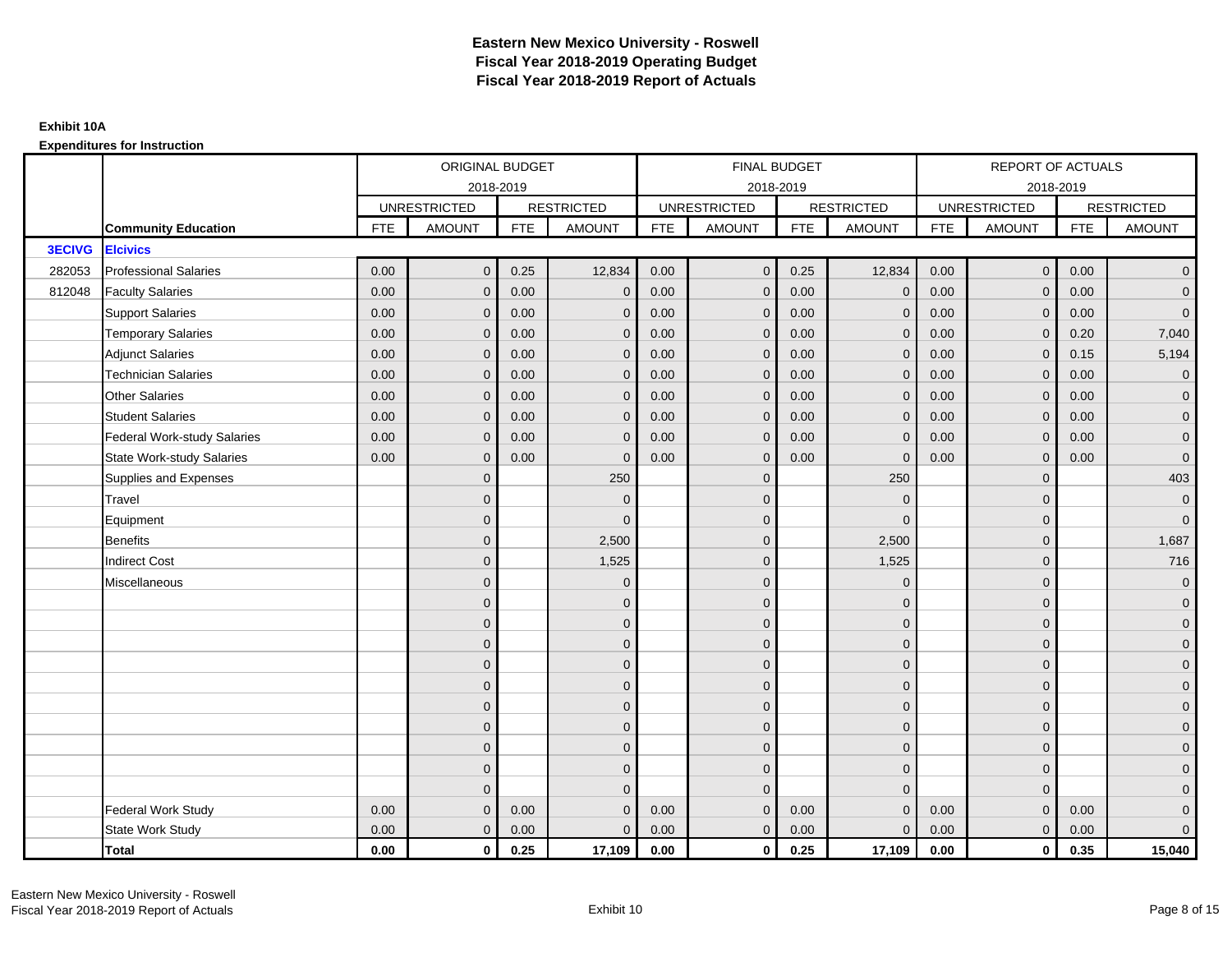|               |                                  |            | ORIGINAL BUDGET     |            |                   |            | <b>FINAL BUDGET</b> |            |                   |            | <b>REPORT OF ACTUALS</b> |            |                     |
|---------------|----------------------------------|------------|---------------------|------------|-------------------|------------|---------------------|------------|-------------------|------------|--------------------------|------------|---------------------|
|               |                                  |            |                     | 2018-2019  |                   |            | 2018-2019           |            |                   |            | 2018-2019                |            |                     |
|               |                                  |            | <b>UNRESTRICTED</b> |            | <b>RESTRICTED</b> |            | <b>UNRESTRICTED</b> |            | <b>RESTRICTED</b> |            | <b>UNRESTRICTED</b>      |            | <b>RESTRICTED</b>   |
|               | <b>Community Education</b>       | <b>FTE</b> | <b>AMOUNT</b>       | <b>FTE</b> | <b>AMOUNT</b>     | <b>FTE</b> | <b>AMOUNT</b>       | <b>FTE</b> | <b>AMOUNT</b>     | <b>FTE</b> | <b>AMOUNT</b>            | <b>FTE</b> | <b>AMOUNT</b>       |
| <b>3ECIVG</b> | <b>Elcivics</b>                  |            |                     |            |                   |            |                     |            |                   |            |                          |            |                     |
| 282053        | <b>Professional Salaries</b>     | 0.00       | $\mathbf{0}$        | 0.25       | 12,834            | 0.00       | $\overline{0}$      | 0.25       | 12,834            | 0.00       | $\overline{0}$           | 0.00       | $\overline{0}$      |
| 812048        | <b>Faculty Salaries</b>          | 0.00       | $\mathbf{0}$        | 0.00       | $\mathbf 0$       | 0.00       | $\mathbf{0}$        | 0.00       | $\overline{0}$    | 0.00       | $\mathbf 0$              | 0.00       | $\overline{0}$      |
|               | <b>Support Salaries</b>          | 0.00       | $\mathbf{0}$        | 0.00       | $\mathbf 0$       | 0.00       | $\overline{0}$      | 0.00       | $\mathbf 0$       | 0.00       | $\mathbf{0}$             | 0.00       | $\overline{0}$      |
|               | <b>Temporary Salaries</b>        | 0.00       | $\mathbf{0}$        | 0.00       | $\mathbf 0$       | 0.00       | $\mathbf{0}$        | 0.00       | $\mathbf{0}$      | 0.00       | $\mathbf 0$              | 0.20       | 7,040               |
|               | <b>Adjunct Salaries</b>          | 0.00       | $\mathbf{0}$        | 0.00       | $\mathbf{0}$      | 0.00       | $\mathbf{0}$        | 0.00       | $\mathbf 0$       | 0.00       | $\mathbf{0}$             | 0.15       | 5,194               |
|               | <b>Technician Salaries</b>       | 0.00       | $\mathbf{0}$        | 0.00       | $\mathbf 0$       | 0.00       | $\mathbf{0}$        | 0.00       | $\mathbf{0}$      | 0.00       | $\mathbf{0}$             | 0.00       | $\mathbf 0$         |
|               | Other Salaries                   | 0.00       | $\mathbf{0}$        | 0.00       | $\Omega$          | 0.00       | $\Omega$            | 0.00       | $\mathbf{0}$      | 0.00       | $\mathbf{0}$             | 0.00       | $\overline{0}$      |
|               | <b>Student Salaries</b>          | 0.00       | $\mathbf 0$         | 0.00       | $\mathbf 0$       | 0.00       | $\overline{0}$      | 0.00       | $\mathbf 0$       | 0.00       | $\mathbf{0}$             | 0.00       | $\overline{0}$      |
|               | Federal Work-study Salaries      | 0.00       | $\mathbf{0}$        | 0.00       | $\Omega$          | 0.00       | $\mathbf{0}$        | 0.00       | $\overline{0}$    | 0.00       | $\mathbf 0$              | 0.00       | $\overline{0}$      |
|               | <b>State Work-study Salaries</b> | 0.00       | $\mathbf{0}$        | 0.00       | $\Omega$          | 0.00       | $\mathbf{0}$        | 0.00       | $\Omega$          | 0.00       | $\mathbf{0}$             | 0.00       | $\mathbf 0$         |
|               | Supplies and Expenses            |            | $\overline{0}$      |            | 250               |            | $\mathbf{0}$        |            | 250               |            | $\mathbf 0$              |            | 403                 |
|               | Travel                           |            | $\overline{0}$      |            | $\mathbf 0$       |            | $\mathbf{0}$        |            | $\mathbf 0$       |            | $\mathbf{0}$             |            | $\mathbf 0$         |
|               | Equipment                        |            | $\overline{0}$      |            | $\Omega$          |            | $\Omega$            |            | $\Omega$          |            | $\mathbf{0}$             |            | $\overline{0}$      |
|               | <b>Benefits</b>                  |            | $\mathbf{0}$        |            | 2,500             |            | $\mathbf{0}$        |            | 2,500             |            | $\mathbf{0}$             |            | 1,687               |
|               | <b>Indirect Cost</b>             |            | $\mathbf{0}$        |            | 1,525             |            | $\Omega$            |            | 1,525             |            | $\mathbf 0$              |            | 716                 |
|               | Miscellaneous                    |            | $\Omega$            |            | $\mathbf 0$       |            | $\mathbf{0}$        |            | $\mathbf 0$       |            | $\mathbf 0$              |            | $\mathsf{O}\xspace$ |
|               |                                  |            | $\overline{0}$      |            | $\mathbf 0$       |            | $\mathbf{0}$        |            | $\mathbf 0$       |            | $\mathbf{0}$             |            | $\mathsf{O}\xspace$ |
|               |                                  |            | $\overline{0}$      |            | $\mathbf 0$       |            | $\mathbf{0}$        |            | $\mathbf 0$       |            | $\mathbf{0}$             |            | $\overline{0}$      |
|               |                                  |            | $\Omega$            |            | $\mathbf{0}$      |            | $\Omega$            |            | $\mathbf 0$       |            | $\Omega$                 |            | $\overline{0}$      |
|               |                                  |            | $\overline{0}$      |            | $\mathbf 0$       |            | $\mathbf{0}$        |            | $\mathbf 0$       |            | $\mathbf 0$              |            | $\mathbf{0}$        |
|               |                                  |            | $\mathbf{0}$        |            | $\mathbf 0$       |            | $\mathbf{0}$        |            | $\mathbf 0$       |            | $\mathbf 0$              |            | $\mathbf 0$         |
|               |                                  |            | $\overline{0}$      |            | $\mathbf{0}$      |            | $\Omega$            |            | $\mathbf{0}$      |            | $\mathbf{0}$             |            | $\overline{0}$      |
|               |                                  |            | $\overline{0}$      |            | $\mathbf 0$       |            | $\mathbf{0}$        |            | $\mathbf 0$       |            | $\mathbf 0$              |            | $\overline{0}$      |
|               |                                  |            | $\mathbf{0}$        |            | $\mathbf{0}$      |            | $\Omega$            |            | $\mathbf 0$       |            | $\mathbf{0}$             |            | $\overline{0}$      |
|               |                                  |            | $\mathbf{0}$        |            | $\mathbf{0}$      |            | $\Omega$            |            | $\mathbf{0}$      |            | $\mathbf{0}$             |            | $\overline{0}$      |
|               |                                  |            | $\Omega$            |            | $\Omega$          |            | $\Omega$            |            | $\mathbf{0}$      |            | $\Omega$                 |            | $\mathsf{O}\xspace$ |
|               | <b>Federal Work Study</b>        | 0.00       | $\mathbf{0}$        | 0.00       | $\mathbf 0$       | 0.00       | $\mathbf{0}$        | 0.00       | $\mathbf{0}$      | 0.00       | $\mathbf{0}$             | 0.00       | $\mathbf{0}$        |
|               | State Work Study                 | 0.00       | $\mathbf{0}$        | 0.00       | $\mathbf{0}$      | 0.00       | $\overline{0}$      | 0.00       | $\mathbf{0}$      | 0.00       | $\mathbf{0}$             | 0.00       | $\overline{0}$      |
|               | <b>Total</b>                     | 0.00       | $\mathbf 0$         | 0.25       | 17,109            | 0.00       | $\mathbf{0}$        | 0.25       | 17,109            | 0.00       | $\mathbf{0}$             | 0.35       | 15,040              |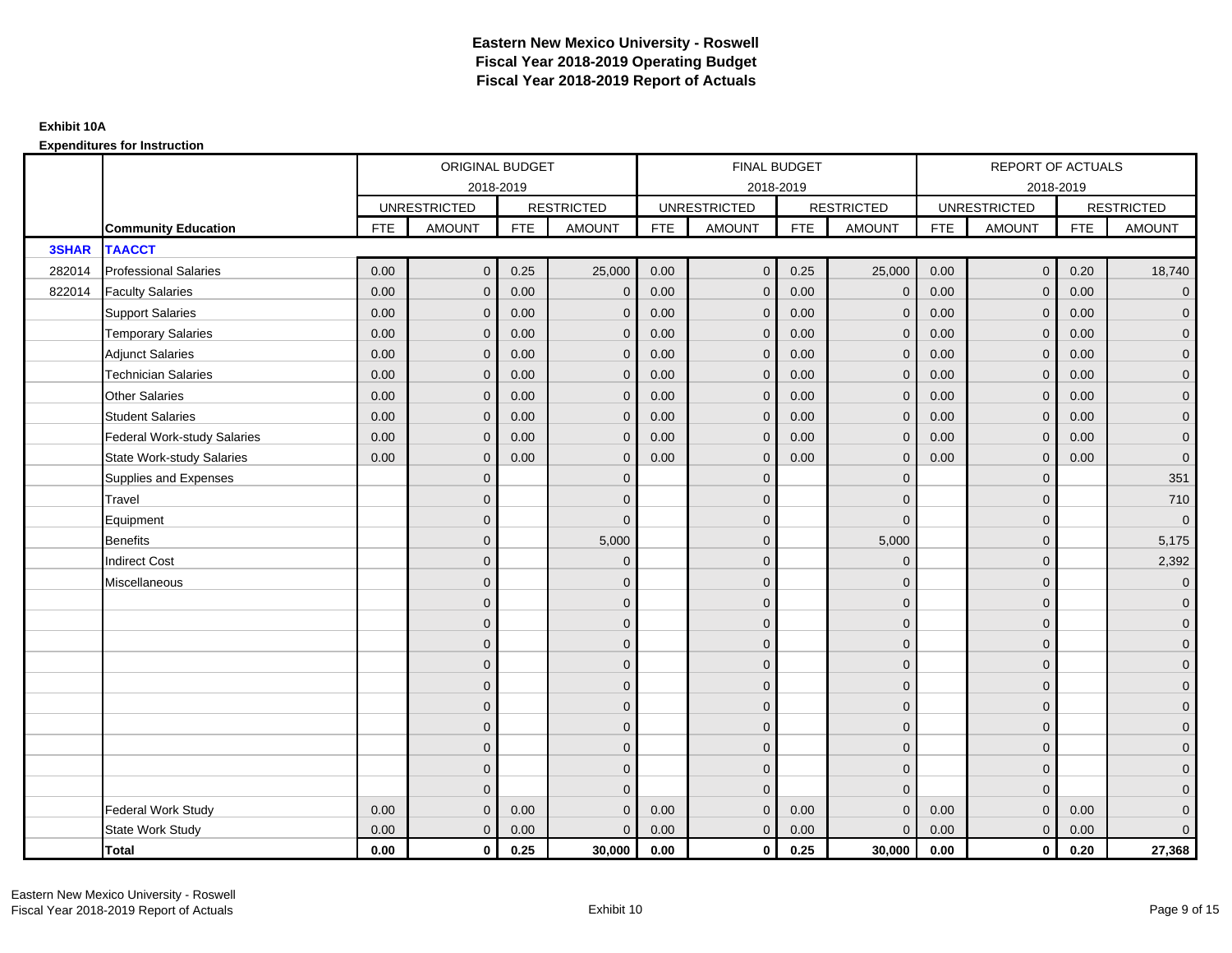|              |                                    | ORIGINAL BUDGET<br>2018-2019<br><b>RESTRICTED</b><br><b>UNRESTRICTED</b><br><b>FTE</b><br><b>AMOUNT</b><br><b>FTE</b><br>0.00<br>0.25<br>$\mathbf{0}$<br>0.00<br>0.00<br>$\mathbf{0}$<br>0.00<br>0.00<br>$\mathbf{0}$<br>0.00<br>0.00<br>$\mathbf{0}$<br>0.00<br>0.00<br>$\mathbf{0}$ |                |      |               |            | <b>FINAL BUDGET</b> |            |                   |            | <b>REPORT OF ACTUALS</b> |            |                     |
|--------------|------------------------------------|---------------------------------------------------------------------------------------------------------------------------------------------------------------------------------------------------------------------------------------------------------------------------------------|----------------|------|---------------|------------|---------------------|------------|-------------------|------------|--------------------------|------------|---------------------|
|              |                                    |                                                                                                                                                                                                                                                                                       |                |      |               |            | 2018-2019           |            |                   |            | 2018-2019                |            |                     |
|              |                                    |                                                                                                                                                                                                                                                                                       |                |      |               |            | <b>UNRESTRICTED</b> |            | <b>RESTRICTED</b> |            | <b>UNRESTRICTED</b>      |            | <b>RESTRICTED</b>   |
|              | <b>Community Education</b>         |                                                                                                                                                                                                                                                                                       |                |      | <b>AMOUNT</b> | <b>FTE</b> | <b>AMOUNT</b>       | <b>FTE</b> | <b>AMOUNT</b>     | <b>FTE</b> | <b>AMOUNT</b>            | <b>FTE</b> | <b>AMOUNT</b>       |
| <b>3SHAR</b> | <b>TAACCT</b>                      |                                                                                                                                                                                                                                                                                       |                |      |               |            |                     |            |                   |            |                          |            |                     |
| 282014       | <b>Professional Salaries</b>       |                                                                                                                                                                                                                                                                                       |                |      | 25,000        | 0.00       | $\mathbf{0}$        | 0.25       | 25,000            | 0.00       | $\overline{0}$           | 0.20       | 18,740              |
| 822014       | <b>Faculty Salaries</b>            |                                                                                                                                                                                                                                                                                       |                |      | $\mathbf 0$   | 0.00       | $\mathbf{0}$        | 0.00       | $\overline{0}$    | 0.00       | $\mathbf 0$              | 0.00       | $\mathbf{0}$        |
|              | <b>Support Salaries</b>            |                                                                                                                                                                                                                                                                                       |                |      | $\mathbf 0$   | 0.00       | $\mathbf{0}$        | 0.00       | $\mathbf{0}$      | 0.00       | $\overline{0}$           | 0.00       | $\overline{0}$      |
|              | <b>Temporary Salaries</b>          |                                                                                                                                                                                                                                                                                       |                |      | $\mathbf{0}$  | 0.00       | $\mathbf{0}$        | 0.00       | $\mathbf 0$       | 0.00       | $\mathbf{0}$             | 0.00       | $\overline{0}$      |
|              | <b>Adjunct Salaries</b>            |                                                                                                                                                                                                                                                                                       |                |      | $\mathbf{0}$  | 0.00       | $\mathbf{0}$        | 0.00       | $\mathbf{0}$      | 0.00       | $\mathbf{0}$             | 0.00       | $\overline{0}$      |
|              | <b>Technician Salaries</b>         | 0.00                                                                                                                                                                                                                                                                                  | $\Omega$       | 0.00 | $\mathbf{0}$  | 0.00       | $\mathbf{0}$        | 0.00       | $\mathbf{0}$      | 0.00       | $\mathbf{0}$             | 0.00       | $\mathbf{0}$        |
|              | <b>Other Salaries</b>              | 0.00                                                                                                                                                                                                                                                                                  | $\Omega$       | 0.00 | $\mathbf{0}$  | 0.00       | $\Omega$            | 0.00       | $\Omega$          | 0.00       | $\mathbf{0}$             | 0.00       | $\overline{0}$      |
|              | <b>Student Salaries</b>            | 0.00                                                                                                                                                                                                                                                                                  | $\mathbf 0$    | 0.00 | $\mathbf 0$   | 0.00       | $\mathbf{0}$        | 0.00       | $\mathbf 0$       | 0.00       | $\mathbf{0}$             | 0.00       | $\overline{0}$      |
|              | <b>Federal Work-study Salaries</b> | 0.00                                                                                                                                                                                                                                                                                  | $\Omega$       | 0.00 | $\mathbf{0}$  | 0.00       | $\mathbf{0}$        | 0.00       | $\mathbf 0$       | 0.00       | $\mathbf 0$              | 0.00       | $\overline{0}$      |
|              | <b>State Work-study Salaries</b>   | 0.00                                                                                                                                                                                                                                                                                  | $\mathbf{0}$   | 0.00 | $\mathbf{0}$  | 0.00       | $\mathbf{0}$        | 0.00       | $\mathbf 0$       | 0.00       | $\mathbf{0}$             | 0.00       | $\mathbf 0$         |
|              | Supplies and Expenses              |                                                                                                                                                                                                                                                                                       | $\Omega$       |      | $\mathbf 0$   |            | $\mathbf{0}$        |            | $\mathbf 0$       |            | $\mathbf 0$              |            | 351                 |
|              | <b>Travel</b>                      |                                                                                                                                                                                                                                                                                       | $\overline{0}$ |      | $\mathbf{0}$  |            | $\mathbf{0}$        |            | $\mathbf{0}$      |            | $\mathbf{0}$             |            | 710                 |
|              | Equipment                          |                                                                                                                                                                                                                                                                                       | $\overline{0}$ |      | $\mathbf{0}$  |            | $\Omega$            |            | $\overline{0}$    |            | $\mathbf{0}$             |            | $\overline{0}$      |
|              | <b>Benefits</b>                    |                                                                                                                                                                                                                                                                                       | $\Omega$       |      | 5,000         |            | $\mathbf{0}$        |            | 5,000             |            | $\mathbf{0}$             |            | 5,175               |
|              | <b>Indirect Cost</b>               |                                                                                                                                                                                                                                                                                       | $\mathbf{0}$   |      | $\mathbf{0}$  |            | $\Omega$            |            | $\Omega$          |            | $\mathbf{0}$             |            | 2,392               |
|              | Miscellaneous                      |                                                                                                                                                                                                                                                                                       | $\Omega$       |      | $\mathbf{0}$  |            | $\mathbf{0}$        |            | $\Omega$          |            | $\mathbf{0}$             |            | $\overline{0}$      |
|              |                                    |                                                                                                                                                                                                                                                                                       | $\overline{0}$ |      | $\mathbf 0$   |            | $\mathbf{0}$        |            | $\mathbf 0$       |            | $\mathbf{0}$             |            | $\mathsf{O}\xspace$ |
|              |                                    |                                                                                                                                                                                                                                                                                       | $\mathbf{0}$   |      | $\mathbf 0$   |            | $\mathbf{0}$        |            | $\mathbf 0$       |            | $\mathbf{0}$             |            | $\overline{0}$      |
|              |                                    |                                                                                                                                                                                                                                                                                       | $\Omega$       |      | $\mathbf{0}$  |            | $\Omega$            |            | $\mathbf{0}$      |            | $\Omega$                 |            | $\overline{0}$      |
|              |                                    |                                                                                                                                                                                                                                                                                       | $\Omega$       |      | $\mathbf 0$   |            | $\mathbf{0}$        |            | $\mathbf 0$       |            | $\mathbf{0}$             |            | $\overline{0}$      |
|              |                                    |                                                                                                                                                                                                                                                                                       | $\Omega$       |      | $\mathbf 0$   |            | $\mathbf{0}$        |            | $\mathbf 0$       |            | $\mathbf 0$              |            | $\mathsf{O}\xspace$ |
|              |                                    |                                                                                                                                                                                                                                                                                       | $\overline{0}$ |      | $\mathbf 0$   |            | $\mathbf{0}$        |            | $\mathbf{0}$      |            | $\mathbf{0}$             |            | $\overline{0}$      |
|              |                                    |                                                                                                                                                                                                                                                                                       | $\mathbf{0}$   |      | $\mathbf 0$   |            | $\mathbf{0}$        |            | $\mathbf 0$       |            | $\mathbf 0$              |            | $\overline{0}$      |
|              |                                    |                                                                                                                                                                                                                                                                                       | $\Omega$       |      | $\mathbf{0}$  |            | $\Omega$            |            | $\mathbf 0$       |            | $\mathbf{0}$             |            | $\overline{0}$      |
|              |                                    |                                                                                                                                                                                                                                                                                       | $\mathbf{0}$   |      | $\mathbf{0}$  |            | $\Omega$            |            | $\mathbf{0}$      |            | $\mathbf{0}$             |            | $\overline{0}$      |
|              |                                    |                                                                                                                                                                                                                                                                                       | $\Omega$       |      | $\Omega$      |            | $\Omega$            |            | $\mathbf{0}$      |            | $\Omega$                 |            | $\pmb{0}$           |
|              | <b>Federal Work Study</b>          | 0.00                                                                                                                                                                                                                                                                                  | $\mathbf{0}$   | 0.00 | $\mathbf{0}$  | 0.00       | $\mathbf{0}$        | 0.00       | $\overline{0}$    | 0.00       | $\mathbf{0}$             | 0.00       | $\mathbf{0}$        |
|              | State Work Study                   | 0.00                                                                                                                                                                                                                                                                                  | $\mathbf{0}$   | 0.00 | $\mathbf{0}$  | 0.00       | $\mathbf{0}$        | 0.00       | $\mathbf{0}$      | 0.00       | $\overline{0}$           | 0.00       | $\overline{0}$      |
|              | Total                              | 0.00                                                                                                                                                                                                                                                                                  | $\mathbf 0$    | 0.25 | 30,000        | 0.00       | $\mathbf{0}$        | 0.25       | 30,000            | 0.00       | $\mathbf 0$              | 0.20       | 27,368              |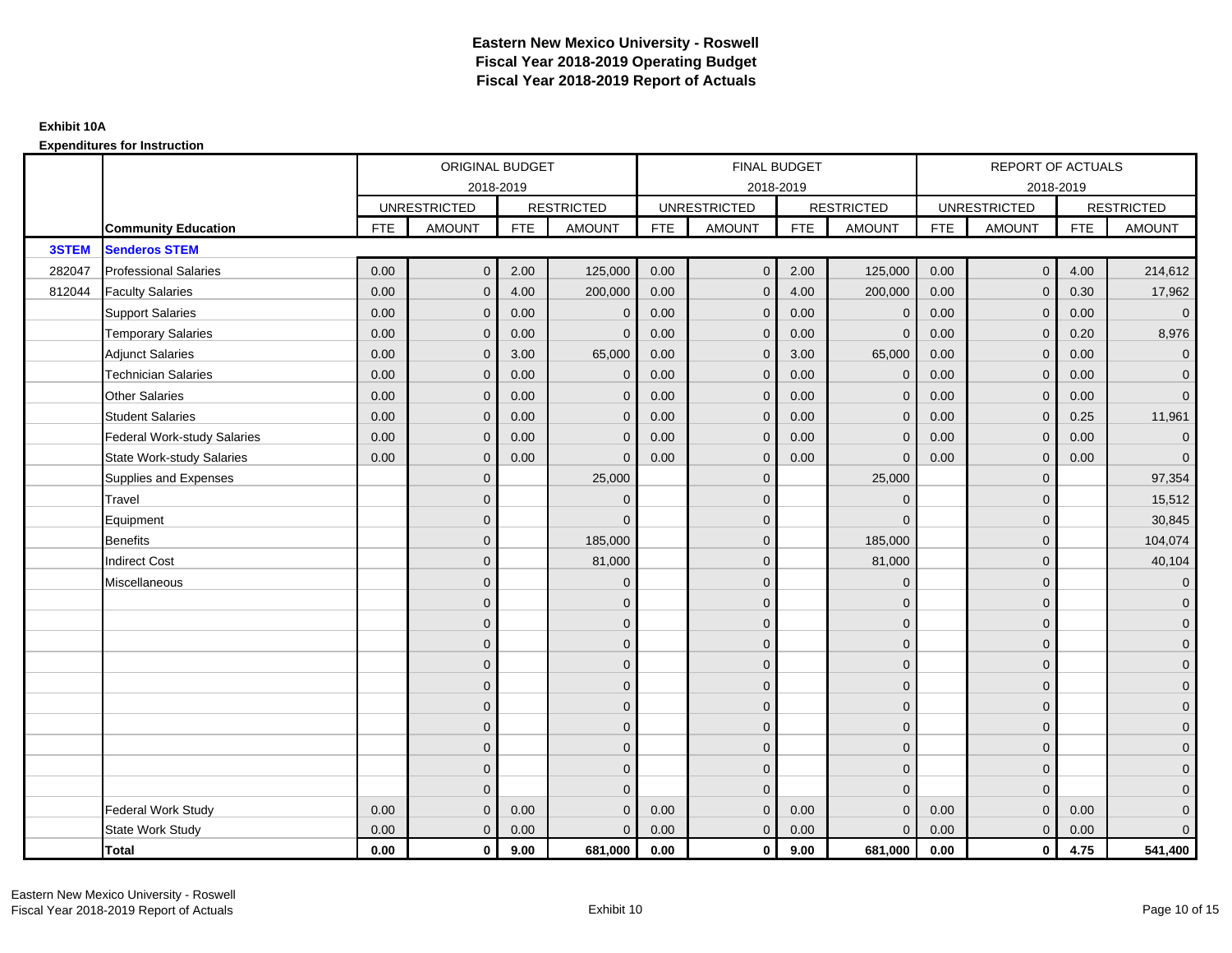|              |                                    |            | ORIGINAL BUDGET     |            |                   |            | <b>FINAL BUDGET</b> |            |                   |            | <b>REPORT OF ACTUALS</b> |            |                     |
|--------------|------------------------------------|------------|---------------------|------------|-------------------|------------|---------------------|------------|-------------------|------------|--------------------------|------------|---------------------|
|              |                                    |            |                     | 2018-2019  |                   |            | 2018-2019           |            |                   |            | 2018-2019                |            |                     |
|              |                                    |            | <b>UNRESTRICTED</b> |            | <b>RESTRICTED</b> |            | <b>UNRESTRICTED</b> |            | <b>RESTRICTED</b> |            | <b>UNRESTRICTED</b>      |            | <b>RESTRICTED</b>   |
|              | <b>Community Education</b>         | <b>FTE</b> | <b>AMOUNT</b>       | <b>FTE</b> | <b>AMOUNT</b>     | <b>FTE</b> | <b>AMOUNT</b>       | <b>FTE</b> | <b>AMOUNT</b>     | <b>FTE</b> | <b>AMOUNT</b>            | <b>FTE</b> | <b>AMOUNT</b>       |
| <b>3STEM</b> | <b>Senderos STEM</b>               |            |                     |            |                   |            |                     |            |                   |            |                          |            |                     |
| 282047       | <b>Professional Salaries</b>       | 0.00       | $\mathbf{0}$        | 2.00       | 125,000           | 0.00       | $\mathbf{0}$        | 2.00       | 125,000           | 0.00       | $\overline{0}$           | 4.00       | 214,612             |
| 812044       | <b>Faculty Salaries</b>            | 0.00       | $\mathbf{0}$        | 4.00       | 200,000           | 0.00       | $\mathbf{0}$        | 4.00       | 200,000           | 0.00       | $\mathbf{0}$             | 0.30       | 17,962              |
|              | <b>Support Salaries</b>            | 0.00       | $\mathbf{0}$        | 0.00       | $\mathbf 0$       | 0.00       | $\mathbf{0}$        | 0.00       | $\overline{0}$    | 0.00       | $\overline{0}$           | 0.00       | $\overline{0}$      |
|              | <b>Temporary Salaries</b>          | 0.00       | $\mathbf{0}$        | 0.00       | $\Omega$          | 0.00       | $\mathbf{0}$        | 0.00       | $\Omega$          | 0.00       | $\mathbf 0$              | 0.20       | 8,976               |
|              | <b>Adjunct Salaries</b>            | 0.00       | $\mathbf{0}$        | 3.00       | 65,000            | 0.00       | $\mathbf{0}$        | 3.00       | 65,000            | 0.00       | $\mathbf{0}$             | 0.00       | $\overline{0}$      |
|              | <b>Technician Salaries</b>         | 0.00       | $\Omega$            | 0.00       | $\mathbf{0}$      | 0.00       | $\mathbf{0}$        | 0.00       | $\mathbf{0}$      | 0.00       | $\mathbf{0}$             | 0.00       | $\mathbf 0$         |
|              | <b>Other Salaries</b>              | 0.00       | $\Omega$            | 0.00       | $\mathbf{0}$      | 0.00       | $\Omega$            | 0.00       | $\Omega$          | 0.00       | $\overline{0}$           | 0.00       | $\overline{0}$      |
|              | <b>Student Salaries</b>            | 0.00       | $\mathbf{0}$        | 0.00       | $\mathbf 0$       | 0.00       | $\mathbf{0}$        | 0.00       | $\mathbf{0}$      | 0.00       | $\mathbf{0}$             | 0.25       | 11,961              |
|              | <b>Federal Work-study Salaries</b> | 0.00       | $\Omega$            | 0.00       | $\mathbf{0}$      | 0.00       | $\mathbf{0}$        | 0.00       | $\Omega$          | 0.00       | $\mathbf 0$              | 0.00       | $\overline{0}$      |
|              | <b>State Work-study Salaries</b>   | 0.00       | $\mathbf{0}$        | 0.00       | $\mathbf{0}$      | 0.00       | $\mathbf{0}$        | 0.00       | $\Omega$          | 0.00       | $\mathbf{0}$             | 0.00       | $\overline{0}$      |
|              | Supplies and Expenses              |            | $\Omega$            |            | 25,000            |            | $\mathbf{0}$        |            | 25,000            |            | $\mathbf 0$              |            | 97,354              |
|              | <b>Travel</b>                      |            | $\overline{0}$      |            | $\mathbf{0}$      |            | $\mathbf{0}$        |            | $\overline{0}$    |            | $\mathbf{0}$             |            | 15,512              |
|              | Equipment                          |            | $\overline{0}$      |            | $\Omega$          |            | $\mathbf{0}$        |            | $\Omega$          |            | $\mathbf{0}$             |            | 30,845              |
|              | <b>Benefits</b>                    |            | $\Omega$            |            | 185,000           |            | $\mathbf{0}$        |            | 185,000           |            | $\mathbf 0$              |            | 104,074             |
|              | <b>Indirect Cost</b>               |            | $\mathbf{0}$        |            | 81,000            |            | $\mathbf{0}$        |            | 81,000            |            | $\mathbf{0}$             |            | 40,104              |
|              | Miscellaneous                      |            | $\Omega$            |            | $\mathbf 0$       |            | $\mathbf{0}$        |            | $\Omega$          |            | $\mathbf{0}$             |            | $\mathbf 0$         |
|              |                                    |            | $\overline{0}$      |            | $\mathbf 0$       |            | $\mathbf{0}$        |            | $\mathbf 0$       |            | $\mathbf{0}$             |            | $\mathbf{0}$        |
|              |                                    |            | $\mathbf{0}$        |            | $\mathbf 0$       |            | $\mathbf{0}$        |            | $\mathbf 0$       |            | $\mathbf{0}$             |            | $\overline{0}$      |
|              |                                    |            | $\Omega$            |            | $\mathbf{0}$      |            | $\Omega$            |            | $\mathbf{0}$      |            | $\Omega$                 |            | $\overline{0}$      |
|              |                                    |            | $\Omega$            |            | $\mathbf 0$       |            | $\mathbf{0}$        |            | $\mathbf 0$       |            | $\mathbf{0}$             |            | $\mathbf{0}$        |
|              |                                    |            | $\Omega$            |            | $\mathbf 0$       |            | $\mathbf{0}$        |            | $\mathbf 0$       |            | $\mathbf 0$              |            | $\mathsf{O}\xspace$ |
|              |                                    |            | $\overline{0}$      |            | $\mathbf 0$       |            | $\mathbf{0}$        |            | $\mathbf{0}$      |            | $\mathbf{0}$             |            | $\overline{0}$      |
|              |                                    |            | $\mathbf{0}$        |            | $\mathbf 0$       |            | $\mathbf{0}$        |            | $\mathbf 0$       |            | $\mathbf 0$              |            | $\overline{0}$      |
|              |                                    |            | $\Omega$            |            | $\mathbf 0$       |            | $\Omega$            |            | $\mathbf 0$       |            | $\mathbf{0}$             |            | $\overline{0}$      |
|              |                                    |            | $\mathbf{0}$        |            | $\mathbf{0}$      |            | $\Omega$            |            | $\mathbf{0}$      |            | $\mathbf{0}$             |            | $\overline{0}$      |
|              |                                    |            | $\Omega$            |            | $\Omega$          |            | $\Omega$            |            | $\mathbf{0}$      |            | $\Omega$                 |            | $\mathsf{O}\xspace$ |
|              | <b>Federal Work Study</b>          | 0.00       | $\mathbf{0}$        | 0.00       | $\mathbf{0}$      | 0.00       | $\mathbf{0}$        | 0.00       | $\mathbf{0}$      | 0.00       | $\mathbf{0}$             | 0.00       | $\mathbf{0}$        |
|              | State Work Study                   | 0.00       | $\mathbf{0}$        | 0.00       | $\mathbf{0}$      | 0.00       | $\mathbf{0}$        | 0.00       | $\mathbf{0}$      | 0.00       | $\overline{0}$           | 0.00       | $\overline{0}$      |
|              | Total                              | 0.00       | $\mathbf 0$         | 9.00       | 681,000           | 0.00       | $\mathbf{0}$        | 9.00       | 681,000           | 0.00       | $\mathbf 0$              | 4.75       | 541,400             |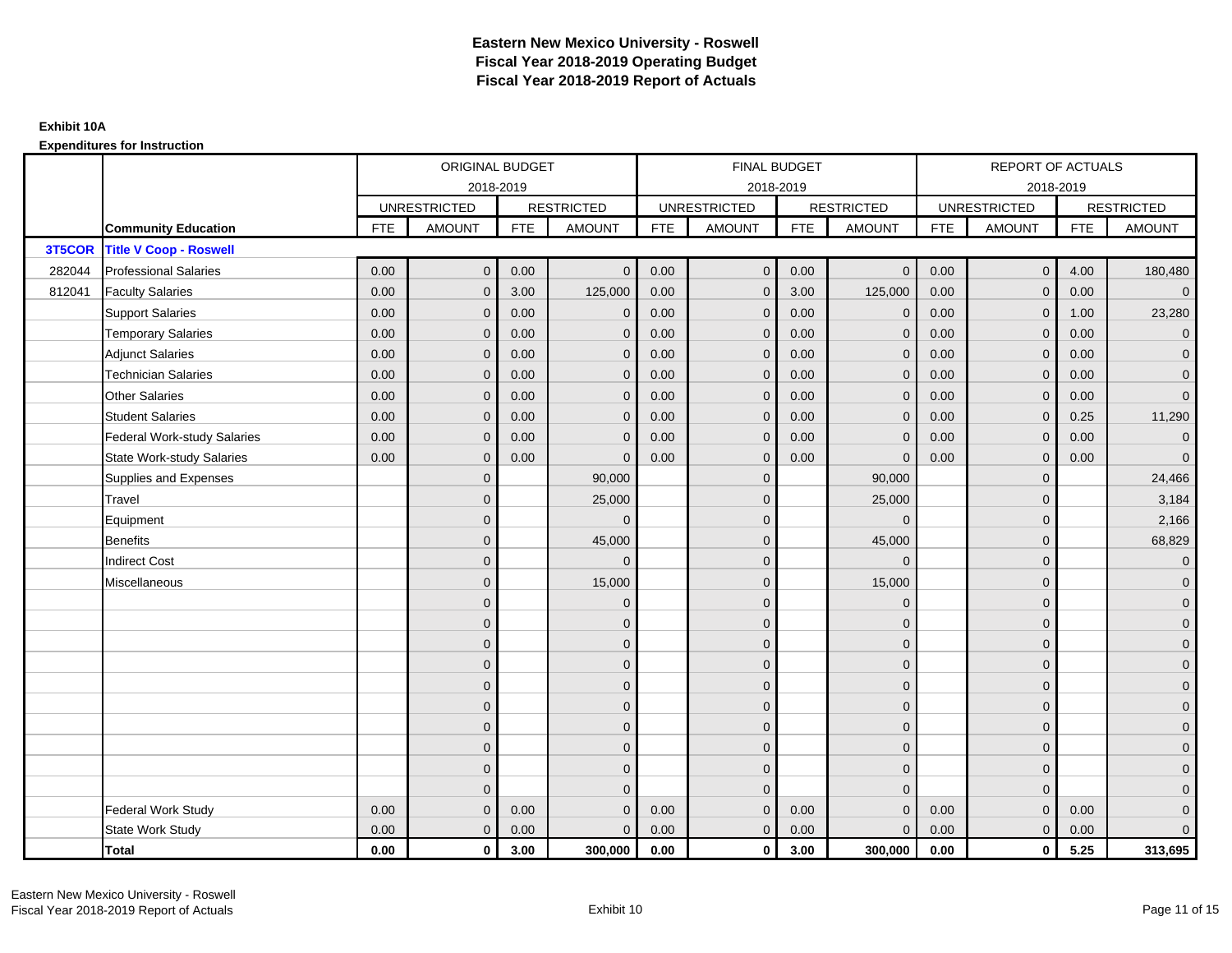|        |                                    |            | ORIGINAL BUDGET     |            |                   |            | FINAL BUDGET        |            |                   |            | REPORT OF ACTUALS   |            |                     |
|--------|------------------------------------|------------|---------------------|------------|-------------------|------------|---------------------|------------|-------------------|------------|---------------------|------------|---------------------|
|        |                                    |            |                     | 2018-2019  |                   |            | 2018-2019           |            |                   |            | 2018-2019           |            |                     |
|        |                                    |            | <b>UNRESTRICTED</b> |            | <b>RESTRICTED</b> |            | <b>UNRESTRICTED</b> |            | <b>RESTRICTED</b> |            | <b>UNRESTRICTED</b> |            | <b>RESTRICTED</b>   |
|        | <b>Community Education</b>         | <b>FTE</b> | <b>AMOUNT</b>       | <b>FTE</b> | <b>AMOUNT</b>     | <b>FTE</b> | AMOUNT              | <b>FTE</b> | <b>AMOUNT</b>     | <b>FTE</b> | <b>AMOUNT</b>       | <b>FTE</b> | <b>AMOUNT</b>       |
| 3T5COR | <b>Title V Coop - Roswell</b>      |            |                     |            |                   |            |                     |            |                   |            |                     |            |                     |
| 282044 | <b>Professional Salaries</b>       | 0.00       | $\mathbf{0}$        | 0.00       | $\mathbf{0}$      | 0.00       | $\mathbf 0$         | 0.00       | $\overline{0}$    | 0.00       | $\pmb{0}$           | 4.00       | 180,480             |
| 812041 | <b>Faculty Salaries</b>            | 0.00       | $\mathbf{0}$        | 3.00       | 125,000           | 0.00       | $\mathbf{0}$        | 3.00       | 125,000           | 0.00       | $\mathbf{0}$        | 0.00       | $\overline{0}$      |
|        | <b>Support Salaries</b>            | 0.00       | $\overline{0}$      | 0.00       | $\mathbf 0$       | 0.00       | $\mathbf{0}$        | 0.00       | $\mathbf 0$       | 0.00       | $\mathbf{0}$        | 1.00       | 23,280              |
|        | <b>Temporary Salaries</b>          | 0.00       | $\mathbf 0$         | 0.00       | $\mathbf 0$       | 0.00       | $\mathbf{0}$        | 0.00       | $\mathbf 0$       | 0.00       | $\mathbf 0$         | 0.00       | $\overline{0}$      |
|        | <b>Adjunct Salaries</b>            | 0.00       | $\mathbf{0}$        | 0.00       | $\Omega$          | 0.00       | $\overline{0}$      | 0.00       | $\mathbf{0}$      | 0.00       | $\Omega$            | 0.00       | $\overline{0}$      |
|        | <b>Technician Salaries</b>         | 0.00       | $\Omega$            | 0.00       | $\Omega$          | 0.00       | $\Omega$            | 0.00       | $\Omega$          | 0.00       | $\Omega$            | 0.00       | $\overline{0}$      |
|        | <b>Other Salaries</b>              | 0.00       | $\mathbf{0}$        | 0.00       | $\mathbf{0}$      | 0.00       | $\mathbf{0}$        | 0.00       | $\mathbf{0}$      | 0.00       | $\mathbf{0}$        | 0.00       | $\overline{0}$      |
|        | <b>Student Salaries</b>            | 0.00       | $\mathbf{0}$        | 0.00       | $\mathbf{0}$      | 0.00       | $\mathbf{0}$        | 0.00       | $\mathbf 0$       | 0.00       | $\mathbf{0}$        | 0.25       | 11,290              |
|        | <b>Federal Work-study Salaries</b> | 0.00       | $\mathbf{0}$        | 0.00       | $\Omega$          | 0.00       | $\Omega$            | 0.00       | $\mathbf{0}$      | 0.00       | $\mathbf{0}$        | 0.00       | $\overline{0}$      |
|        | <b>State Work-study Salaries</b>   | 0.00       | $\mathbf{0}$        | 0.00       | $\Omega$          | 0.00       | $\mathbf{0}$        | 0.00       | $\overline{0}$    | 0.00       | $\mathbf{0}$        | 0.00       | $\overline{0}$      |
|        | Supplies and Expenses              |            | $\mathbf{0}$        |            | 90,000            |            | $\mathbf{0}$        |            | 90,000            |            | $\Omega$            |            | 24,466              |
|        | Travel                             |            | $\overline{0}$      |            | 25,000            |            | $\Omega$            |            | 25,000            |            | $\Omega$            |            | 3,184               |
|        | Equipment                          |            | $\overline{0}$      |            | $\Omega$          |            | $\mathbf{0}$        |            | $\mathbf{0}$      |            | $\mathbf{0}$        |            | 2,166               |
|        | <b>Benefits</b>                    |            | $\Omega$            |            | 45,000            |            | $\Omega$            |            | 45,000            |            | $\mathbf{0}$        |            | 68,829              |
|        | <b>Indirect Cost</b>               |            | $\overline{0}$      |            | $\Omega$          |            | $\mathbf{0}$        |            | $\Omega$          |            | $\mathbf{0}$        |            | $\mathbf 0$         |
|        | Miscellaneous                      |            | $\mathbf{0}$        |            | 15,000            |            | $\mathbf{0}$        |            | 15,000            |            | $\Omega$            |            | $\mathbf 0$         |
|        |                                    |            | $\overline{0}$      |            | $\mathbf 0$       |            | $\Omega$            |            | $\mathbf{0}$      |            | $\Omega$            |            | $\overline{0}$      |
|        |                                    |            | $\mathbf{0}$        |            | $\mathbf 0$       |            | $\mathbf{0}$        |            | $\mathbf 0$       |            | $\mathbf{0}$        |            | $\overline{0}$      |
|        |                                    |            | $\Omega$            |            | $\mathbf 0$       |            | $\Omega$            |            | $\mathbf 0$       |            | $\mathbf{0}$        |            | $\overline{0}$      |
|        |                                    |            | $\Omega$            |            | $\mathbf{0}$      |            | $\Omega$            |            | $\mathbf{0}$      |            | $\Omega$            |            | $\overline{0}$      |
|        |                                    |            | $\Omega$            |            | $\mathbf 0$       |            | $\mathbf{0}$        |            | $\mathbf 0$       |            | $\Omega$            |            | $\mathsf{O}\xspace$ |
|        |                                    |            | $\mathbf{0}$        |            | $\mathbf{0}$      |            | $\Omega$            |            | $\mathbf{0}$      |            | $\Omega$            |            | $\overline{0}$      |
|        |                                    |            | $\mathbf{0}$        |            | $\mathbf{0}$      |            | $\mathbf{0}$        |            | $\mathbf{0}$      |            | $\Omega$            |            | $\overline{0}$      |
|        |                                    |            | $\Omega$            |            | $\mathbf{0}$      |            | $\Omega$            |            | $\mathbf 0$       |            | $\mathbf{0}$        |            | $\overline{0}$      |
|        |                                    |            | $\mathbf{0}$        |            | $\mathbf{0}$      |            | $\Omega$            |            | $\mathbf{0}$      |            | $\mathbf{0}$        |            | $\mathbf 0$         |
|        |                                    |            | $\Omega$            |            | $\Omega$          |            | $\Omega$            |            | $\mathbf{0}$      |            | $\Omega$            |            | $\mathbf 0$         |
|        | <b>Federal Work Study</b>          | 0.00       | $\mathbf{0}$        | 0.00       | $\Omega$          | 0.00       | $\mathbf{0}$        | 0.00       | $\mathbf{0}$      | 0.00       | $\mathbf{0}$        | 0.00       | $\mathbf 0$         |
|        | State Work Study                   | 0.00       | $\mathbf{0}$        | 0.00       | $\mathbf{0}$      | 0.00       | $\overline{0}$      | 0.00       | $\mathbf{0}$      | 0.00       | $\mathbf{0}$        | 0.00       | $\overline{0}$      |
|        | Total                              | 0.00       | $\mathbf 0$         | 3.00       | 300,000           | 0.00       | $\mathbf{0}$        | 3.00       | 300,000           | 0.00       | $\mathbf{0}$        | 5.25       | 313,695             |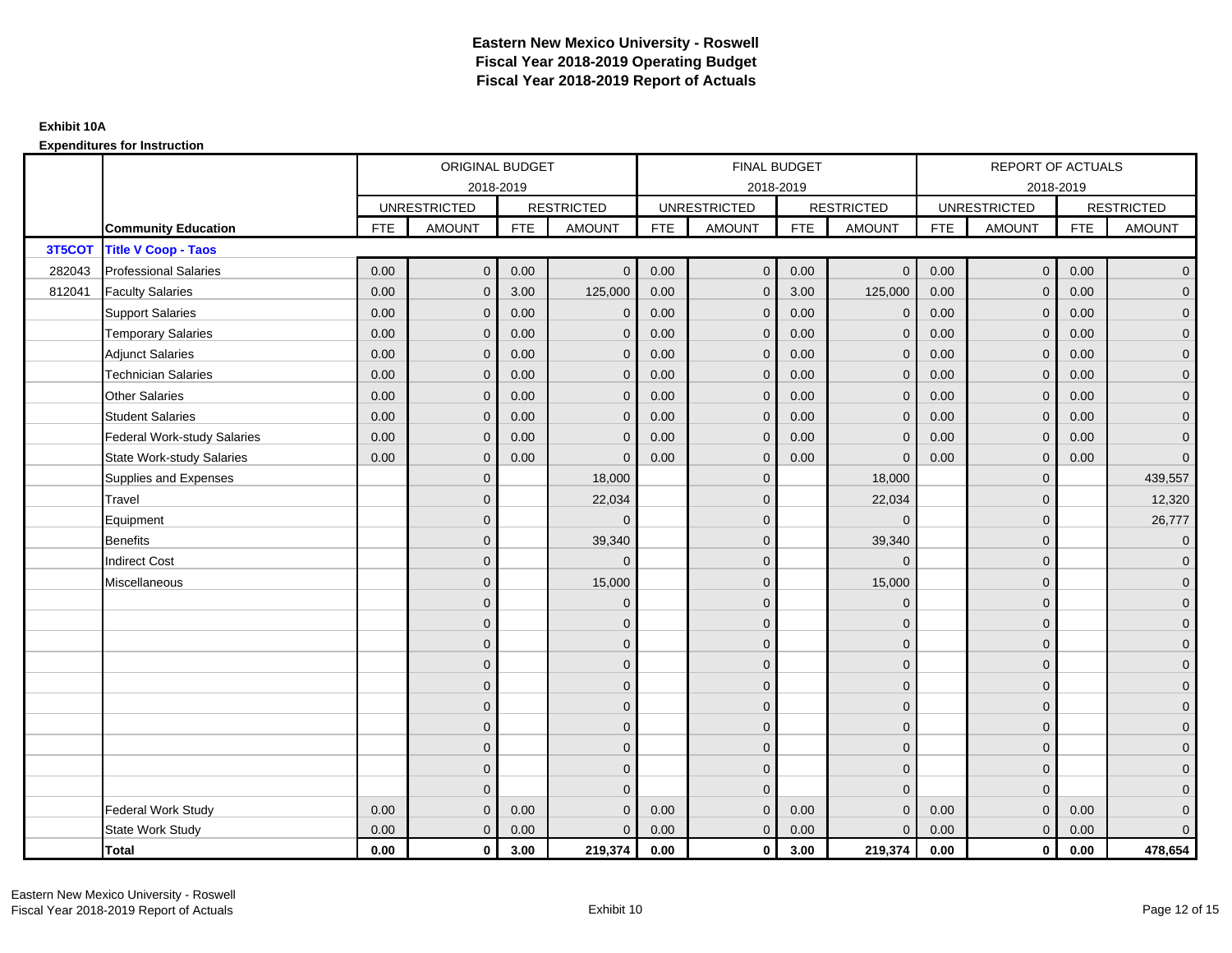|        |                                    |            | ORIGINAL BUDGET     |            |                   |            | <b>FINAL BUDGET</b> |            |                   |            | <b>REPORT OF ACTUALS</b> |            |                     |
|--------|------------------------------------|------------|---------------------|------------|-------------------|------------|---------------------|------------|-------------------|------------|--------------------------|------------|---------------------|
|        |                                    |            |                     | 2018-2019  |                   |            | 2018-2019           |            |                   |            | 2018-2019                |            |                     |
|        |                                    |            | <b>UNRESTRICTED</b> |            | <b>RESTRICTED</b> |            | <b>UNRESTRICTED</b> |            | <b>RESTRICTED</b> |            | <b>UNRESTRICTED</b>      |            | <b>RESTRICTED</b>   |
|        | <b>Community Education</b>         | <b>FTE</b> | <b>AMOUNT</b>       | <b>FTE</b> | <b>AMOUNT</b>     | <b>FTE</b> | <b>AMOUNT</b>       | <b>FTE</b> | <b>AMOUNT</b>     | <b>FTE</b> | <b>AMOUNT</b>            | <b>FTE</b> | <b>AMOUNT</b>       |
| 3T5COT | <b>Title V Coop - Taos</b>         |            |                     |            |                   |            |                     |            |                   |            |                          |            |                     |
| 282043 | <b>Professional Salaries</b>       | 0.00       | $\mathbf{0}$        | 0.00       | $\Omega$          | 0.00       | $\overline{0}$      | 0.00       | $\overline{0}$    | 0.00       | $\mathbf{0}$             | 0.00       | $\overline{0}$      |
| 812041 | <b>Faculty Salaries</b>            | 0.00       | $\mathbf{0}$        | 3.00       | 125,000           | 0.00       | $\mathbf{0}$        | 3.00       | 125,000           | 0.00       | $\mathbf{0}$             | 0.00       | $\overline{0}$      |
|        | <b>Support Salaries</b>            | 0.00       | $\mathbf{0}$        | 0.00       | $\mathbf 0$       | 0.00       | $\overline{0}$      | 0.00       | $\mathbf 0$       | 0.00       | $\mathbf{0}$             | 0.00       | $\overline{0}$      |
|        | <b>Temporary Salaries</b>          | 0.00       | $\mathbf{0}$        | 0.00       | $\Omega$          | 0.00       | $\mathbf{0}$        | 0.00       | $\mathbf{0}$      | 0.00       | $\mathbf{0}$             | 0.00       | $\overline{0}$      |
|        | <b>Adjunct Salaries</b>            | 0.00       | $\mathbf{0}$        | 0.00       | $\mathbf{0}$      | 0.00       | $\overline{0}$      | 0.00       | $\mathbf{0}$      | 0.00       | $\mathbf{0}$             | 0.00       | $\overline{0}$      |
|        | <b>Technician Salaries</b>         | 0.00       | $\mathbf{0}$        | 0.00       | $\Omega$          | 0.00       | $\mathbf{0}$        | 0.00       | $\mathbf{0}$      | 0.00       | $\Omega$                 | 0.00       | $\mathbf 0$         |
|        | <b>Other Salaries</b>              | 0.00       | $\mathbf{0}$        | 0.00       | $\Omega$          | 0.00       | $\Omega$            | 0.00       | $\mathbf{0}$      | 0.00       | $\Omega$                 | 0.00       | $\overline{0}$      |
|        | <b>Student Salaries</b>            | 0.00       | $\mathbf 0$         | 0.00       | $\mathbf{0}$      | 0.00       | $\overline{0}$      | 0.00       | $\mathbf 0$       | 0.00       | $\mathbf 0$              | 0.00       | $\overline{0}$      |
|        | <b>Federal Work-study Salaries</b> | 0.00       | $\mathbf{0}$        | 0.00       | $\Omega$          | 0.00       | $\mathbf{0}$        | 0.00       | $\overline{0}$    | 0.00       | $\mathbf{0}$             | 0.00       | $\overline{0}$      |
|        | <b>State Work-study Salaries</b>   | 0.00       | $\mathbf{0}$        | 0.00       | $\Omega$          | 0.00       | $\mathbf{0}$        | 0.00       | $\Omega$          | 0.00       | $\mathbf{0}$             | 0.00       | $\overline{0}$      |
|        | Supplies and Expenses              |            | $\mathbf{0}$        |            | 18,000            |            | $\mathbf{0}$        |            | 18,000            |            | $\Omega$                 |            | 439,557             |
|        | Travel                             |            | $\mathbf{0}$        |            | 22,034            |            | $\mathbf{0}$        |            | 22,034            |            | $\mathbf{0}$             |            | 12,320              |
|        | Equipment                          |            | $\overline{0}$      |            | $\Omega$          |            | $\Omega$            |            | $\Omega$          |            | $\mathbf{0}$             |            | 26,777              |
|        | <b>Benefits</b>                    |            | $\Omega$            |            | 39,340            |            | $\mathbf{0}$        |            | 39,340            |            | $\mathbf{0}$             |            | $\overline{0}$      |
|        | <b>Indirect Cost</b>               |            | $\mathbf{0}$        |            | $\Omega$          |            | $\Omega$            |            | $\Omega$          |            | $\mathbf{0}$             |            | $\mathbf{0}$        |
|        | Miscellaneous                      |            | $\Omega$            |            | 15,000            |            | $\mathbf{0}$        |            | 15,000            |            | $\Omega$                 |            | $\overline{0}$      |
|        |                                    |            | $\overline{0}$      |            | $\mathbf 0$       |            | $\mathbf{0}$        |            | $\mathbf 0$       |            | $\overline{0}$           |            | $\overline{0}$      |
|        |                                    |            | $\overline{0}$      |            | $\mathbf{0}$      |            | $\mathbf{0}$        |            | $\mathbf 0$       |            | $\Omega$                 |            | $\overline{0}$      |
|        |                                    |            | $\Omega$            |            | $\mathbf 0$       |            | $\Omega$            |            | $\mathbf 0$       |            | $\Omega$                 |            | $\overline{0}$      |
|        |                                    |            | $\overline{0}$      |            | $\mathbf{0}$      |            | $\mathbf{0}$        |            | $\mathbf 0$       |            | $\mathbf{0}$             |            | $\overline{0}$      |
|        |                                    |            | $\Omega$            |            | $\mathbf 0$       |            | $\mathbf{0}$        |            | $\mathbf 0$       |            | $\Omega$                 |            | $\mathbf 0$         |
|        |                                    |            | $\overline{0}$      |            | $\mathbf{0}$      |            | $\Omega$            |            | $\mathbf{0}$      |            | $\Omega$                 |            | $\overline{0}$      |
|        |                                    |            | $\mathbf 0$         |            | $\mathbf 0$       |            | $\mathbf{0}$        |            | $\mathbf 0$       |            | $\mathbf{0}$             |            | $\overline{0}$      |
|        |                                    |            | $\Omega$            |            | $\mathbf 0$       |            | $\Omega$            |            | $\mathbf 0$       |            | $\mathbf{0}$             |            | $\overline{0}$      |
|        |                                    |            | $\mathbf{0}$        |            | $\mathbf{0}$      |            | $\Omega$            |            | $\mathbf{0}$      |            | $\mathbf{0}$             |            | $\overline{0}$      |
|        |                                    |            | $\Omega$            |            | $\Omega$          |            | $\Omega$            |            | $\mathbf{0}$      |            | $\Omega$                 |            | $\mathsf{O}\xspace$ |
|        | <b>Federal Work Study</b>          | 0.00       | $\mathbf{0}$        | 0.00       | $\Omega$          | 0.00       | $\mathbf{0}$        | 0.00       | $\mathbf{0}$      | 0.00       | $\mathbf{0}$             | 0.00       | $\mathbf 0$         |
|        | State Work Study                   | 0.00       | $\mathbf{0}$        | 0.00       | $\Omega$          | 0.00       | $\overline{0}$      | 0.00       | $\mathbf{0}$      | 0.00       | $\mathbf{0}$             | 0.00       | $\overline{0}$      |
|        | Total                              | 0.00       | $\mathbf 0$         | 3.00       | 219,374           | 0.00       | $\mathbf{0}$        | 3.00       | 219,374           | 0.00       | $\mathbf 0$              | 0.00       | 478,654             |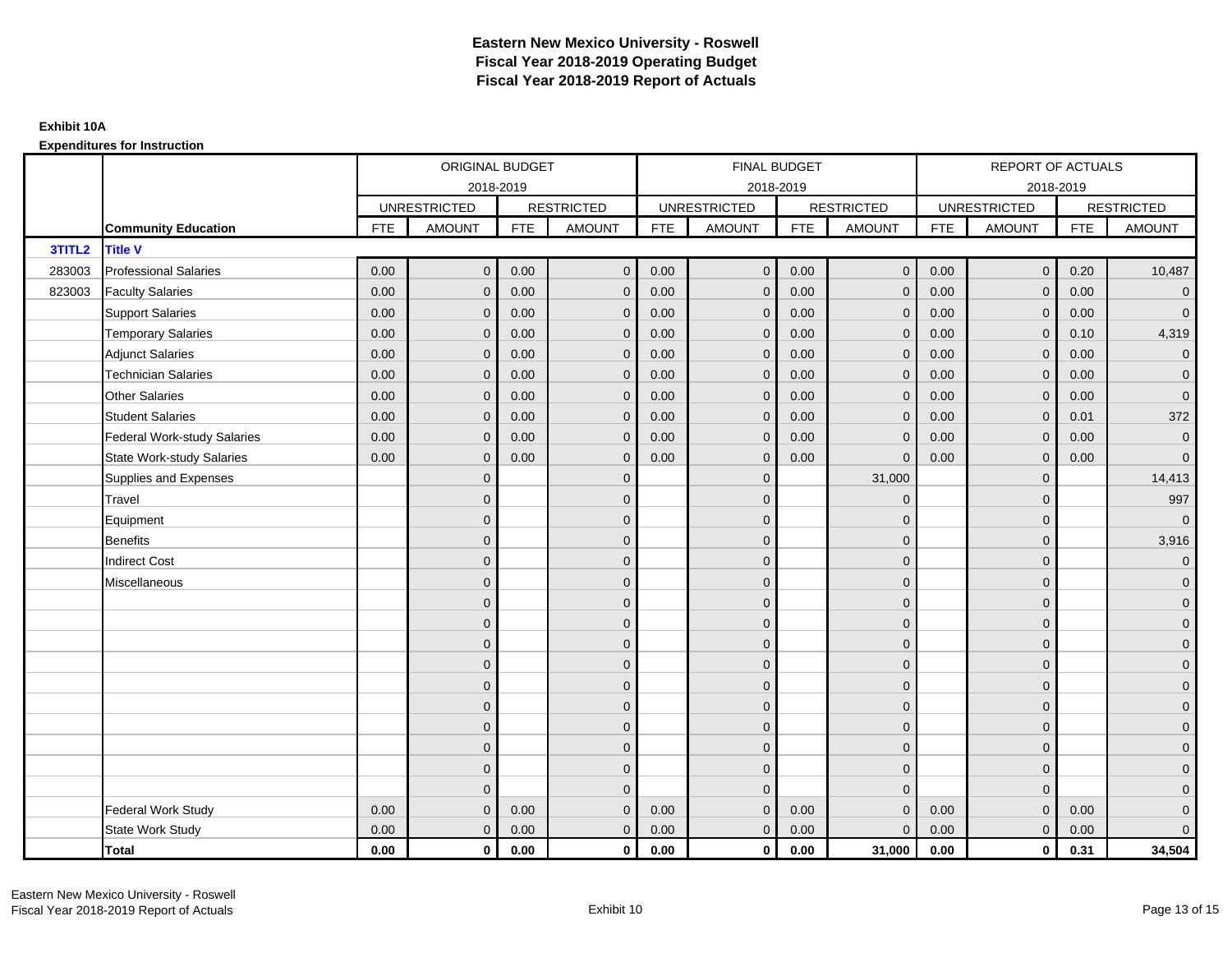|        |                                    |            | ORIGINAL BUDGET     |            |                   |            | <b>FINAL BUDGET</b> |            |                   |            | <b>REPORT OF ACTUALS</b> |            |                     |
|--------|------------------------------------|------------|---------------------|------------|-------------------|------------|---------------------|------------|-------------------|------------|--------------------------|------------|---------------------|
|        |                                    |            | 2018-2019           |            |                   |            | 2018-2019           |            |                   |            | 2018-2019                |            |                     |
|        |                                    |            | <b>UNRESTRICTED</b> |            | <b>RESTRICTED</b> |            | <b>UNRESTRICTED</b> |            | <b>RESTRICTED</b> |            | <b>UNRESTRICTED</b>      |            | <b>RESTRICTED</b>   |
|        | <b>Community Education</b>         | <b>FTE</b> | <b>AMOUNT</b>       | <b>FTE</b> | <b>AMOUNT</b>     | <b>FTE</b> | <b>AMOUNT</b>       | <b>FTE</b> | <b>AMOUNT</b>     | <b>FTE</b> | <b>AMOUNT</b>            | <b>FTE</b> | <b>AMOUNT</b>       |
| 3TITL2 | <b>Title V</b>                     |            |                     |            |                   |            |                     |            |                   |            |                          |            |                     |
| 283003 | <b>Professional Salaries</b>       | 0.00       | $\mathbf{0}$        | 0.00       | $\overline{0}$    | 0.00       | $\mathbf{0}$        | 0.00       | $\overline{0}$    | 0.00       | $\overline{0}$           | 0.20       | 10,487              |
| 823003 | <b>Faculty Salaries</b>            | 0.00       | $\mathbf{0}$        | 0.00       | $\mathbf 0$       | 0.00       | $\mathbf{0}$        | 0.00       | $\mathbf{0}$      | 0.00       | $\mathbf{0}$             | 0.00       | $\overline{0}$      |
|        | <b>Support Salaries</b>            | 0.00       | $\mathbf{0}$        | 0.00       | $\mathbf 0$       | 0.00       | $\mathbf{0}$        | 0.00       | $\mathbf{0}$      | 0.00       | $\overline{0}$           | 0.00       | $\overline{0}$      |
|        | <b>Temporary Salaries</b>          | 0.00       | $\mathbf{0}$        | 0.00       | $\mathbf{0}$      | 0.00       | $\mathbf{0}$        | 0.00       | $\mathbf 0$       | 0.00       | $\mathbf{0}$             | 0.10       | 4,319               |
|        | <b>Adjunct Salaries</b>            | 0.00       | $\mathbf{0}$        | 0.00       | $\mathbf{0}$      | 0.00       | $\mathbf{0}$        | 0.00       | $\mathbf{0}$      | 0.00       | $\mathbf{0}$             | 0.00       | $\overline{0}$      |
|        | <b>Technician Salaries</b>         | 0.00       | $\Omega$            | 0.00       | $\mathbf{0}$      | 0.00       | $\mathbf{0}$        | 0.00       | $\mathbf{0}$      | 0.00       | $\mathbf{0}$             | 0.00       | $\mathbf 0$         |
|        | <b>Other Salaries</b>              | 0.00       | $\mathbf{0}$        | 0.00       | $\mathbf{0}$      | 0.00       | $\Omega$            | 0.00       | $\Omega$          | 0.00       | $\mathbf{0}$             | 0.00       | $\overline{0}$      |
|        | <b>Student Salaries</b>            | 0.00       | $\mathbf 0$         | 0.00       | $\mathbf 0$       | 0.00       | $\mathbf{0}$        | 0.00       | $\mathbf 0$       | 0.00       | $\mathbf{0}$             | 0.01       | 372                 |
|        | <b>Federal Work-study Salaries</b> | 0.00       | $\mathbf 0$         | 0.00       | $\mathbf{0}$      | 0.00       | $\mathbf{0}$        | 0.00       | $\Omega$          | 0.00       | $\mathbf 0$              | 0.00       | $\overline{0}$      |
|        | <b>State Work-study Salaries</b>   | 0.00       | $\mathbf{0}$        | 0.00       | $\mathbf{0}$      | 0.00       | $\mathbf{0}$        | 0.00       | $\Omega$          | 0.00       | $\mathbf{0}$             | 0.00       | $\overline{0}$      |
|        | Supplies and Expenses              |            | $\Omega$            |            | $\mathbf 0$       |            | $\mathbf{0}$        |            | 31,000            |            | $\mathbf 0$              |            | 14,413              |
|        | <b>Travel</b>                      |            | $\overline{0}$      |            | $\mathbf 0$       |            | $\mathbf{0}$        |            | $\overline{0}$    |            | $\mathbf{0}$             |            | 997                 |
|        | Equipment                          |            | $\overline{0}$      |            | $\mathbf 0$       |            | $\mathbf{0}$        |            | $\mathbf{0}$      |            | $\mathbf{0}$             |            | $\overline{0}$      |
|        | <b>Benefits</b>                    |            | $\Omega$            |            | $\mathbf 0$       |            | $\mathbf{0}$        |            | $\mathbf 0$       |            | $\mathbf{0}$             |            | 3,916               |
|        | <b>Indirect Cost</b>               |            | $\mathbf{0}$        |            | $\mathbf 0$       |            | $\Omega$            |            | $\mathbf{0}$      |            | $\mathbf{0}$             |            | $\overline{0}$      |
|        | Miscellaneous                      |            | $\Omega$            |            | $\mathbf 0$       |            | $\mathbf{0}$        |            | $\mathbf{0}$      |            | $\mathbf 0$              |            | $\mathsf{O}\xspace$ |
|        |                                    |            | $\overline{0}$      |            | $\mathbf 0$       |            | $\mathbf{0}$        |            | $\mathbf{0}$      |            | $\mathbf{0}$             |            | $\overline{0}$      |
|        |                                    |            | $\mathbf{0}$        |            | $\mathbf 0$       |            | $\mathbf{0}$        |            | $\mathbf 0$       |            | $\mathbf{0}$             |            | $\overline{0}$      |
|        |                                    |            | $\Omega$            |            | $\mathbf{0}$      |            | $\Omega$            |            | $\mathbf 0$       |            | $\Omega$                 |            | $\overline{0}$      |
|        |                                    |            | $\Omega$            |            | $\mathbf 0$       |            | $\mathbf{0}$        |            | $\mathbf 0$       |            | $\mathbf{0}$             |            | $\overline{0}$      |
|        |                                    |            | $\Omega$            |            | $\mathbf 0$       |            | $\mathbf{0}$        |            | $\mathbf 0$       |            | $\mathbf 0$              |            | $\mathsf{O}\xspace$ |
|        |                                    |            | $\overline{0}$      |            | $\mathbf 0$       |            | $\mathbf{0}$        |            | $\mathbf{0}$      |            | $\mathbf{0}$             |            | $\overline{0}$      |
|        |                                    |            | $\mathbf{0}$        |            | $\mathbf 0$       |            | $\mathbf{0}$        |            | $\mathbf 0$       |            | $\mathbf 0$              |            | $\overline{0}$      |
|        |                                    |            | $\Omega$            |            | $\mathbf 0$       |            | $\Omega$            |            | $\mathbf 0$       |            | $\mathbf{0}$             |            | $\overline{0}$      |
|        |                                    |            | $\mathbf{0}$        |            | $\mathbf{0}$      |            | $\Omega$            |            | $\mathbf{0}$      |            | $\mathbf{0}$             |            | $\overline{0}$      |
|        |                                    |            | $\Omega$            |            | $\mathbf{0}$      |            | $\Omega$            |            | $\mathbf{0}$      |            | $\Omega$                 |            | $\mathsf{O}\xspace$ |
|        | <b>Federal Work Study</b>          | 0.00       | $\mathbf{0}$        | 0.00       | $\mathbf{0}$      | 0.00       | $\mathbf{0}$        | 0.00       | $\overline{0}$    | 0.00       | $\mathbf{0}$             | 0.00       | $\mathbf{0}$        |
|        | State Work Study                   | 0.00       | $\mathbf{0}$        | 0.00       | $\mathbf 0$       | 0.00       | $\mathbf{0}$        | 0.00       | $\mathbf{0}$      | 0.00       | $\overline{0}$           | 0.00       | $\overline{0}$      |
|        | Total                              | 0.00       | $\mathbf 0$         | 0.00       | $\mathbf{0}$      | 0.00       | $\mathbf{0}$        | 0.00       | 31,000            | 0.00       | $\mathbf{0}$             | 0.31       | 34,504              |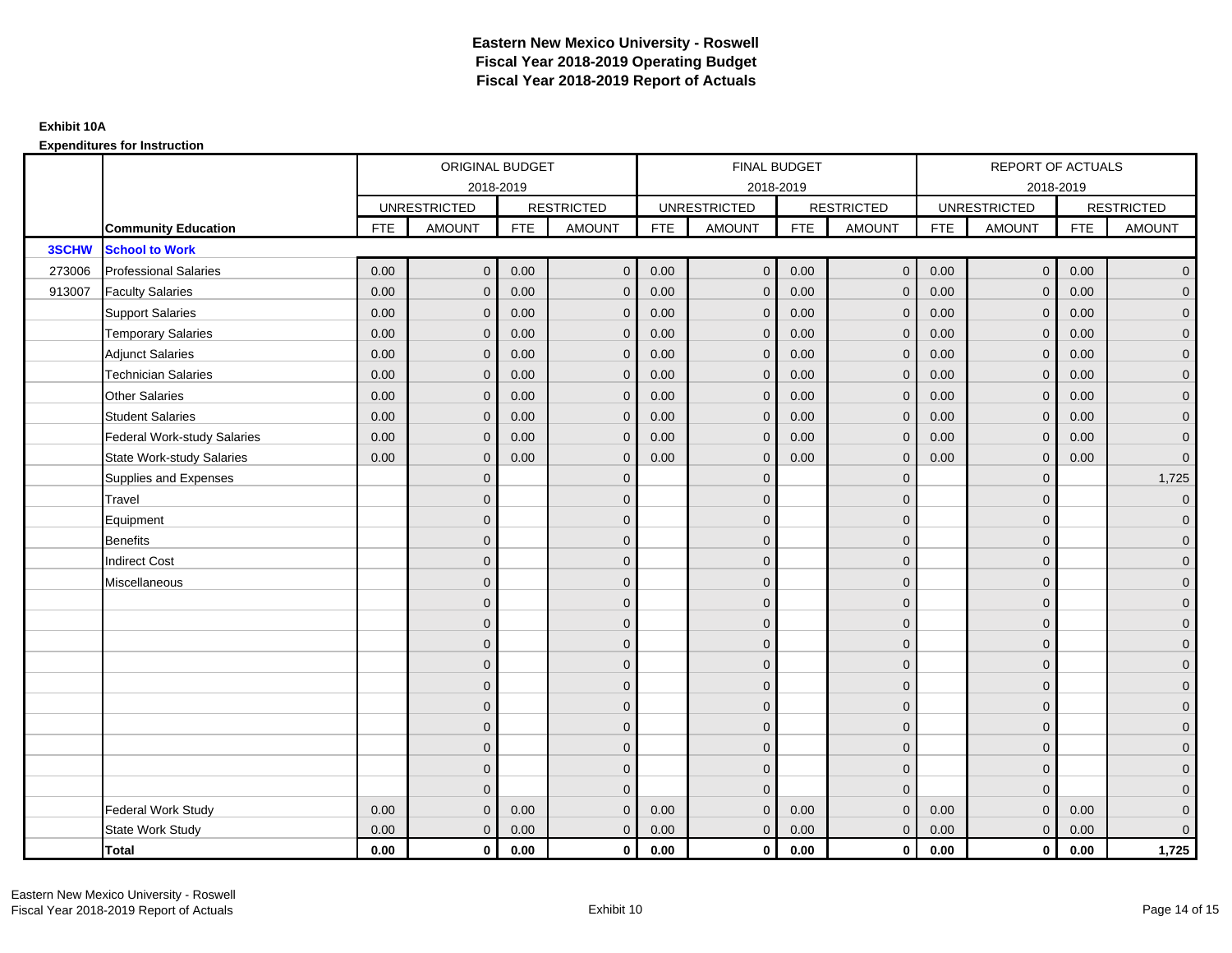### **Expenditures for Instruction**

|        |                                  |            | ORIGINAL BUDGET     |            |                   |            | <b>FINAL BUDGET</b> |            |                   |            | <b>REPORT OF ACTUALS</b> |            |                     |
|--------|----------------------------------|------------|---------------------|------------|-------------------|------------|---------------------|------------|-------------------|------------|--------------------------|------------|---------------------|
|        |                                  |            |                     | 2018-2019  |                   |            | 2018-2019           |            |                   |            | 2018-2019                |            |                     |
|        |                                  |            | <b>UNRESTRICTED</b> |            | <b>RESTRICTED</b> |            | <b>UNRESTRICTED</b> |            | <b>RESTRICTED</b> |            | <b>UNRESTRICTED</b>      |            | <b>RESTRICTED</b>   |
|        | <b>Community Education</b>       | <b>FTE</b> | <b>AMOUNT</b>       | <b>FTE</b> | <b>AMOUNT</b>     | <b>FTE</b> | <b>AMOUNT</b>       | <b>FTE</b> | <b>AMOUNT</b>     | <b>FTE</b> | <b>AMOUNT</b>            | <b>FTE</b> | <b>AMOUNT</b>       |
| 3SCHW  | <b>School to Work</b>            |            |                     |            |                   |            |                     |            |                   |            |                          |            |                     |
| 273006 | <b>Professional Salaries</b>     | 0.00       | $\mathbf{0}$        | 0.00       | $\mathbf{0}$      | 0.00       | $\overline{0}$      | 0.00       | $\overline{0}$    | 0.00       | $\overline{0}$           | 0.00       | $\overline{0}$      |
| 913007 | <b>Faculty Salaries</b>          | 0.00       | $\mathbf 0$         | 0.00       | $\mathbf{0}$      | 0.00       | $\mathbf{0}$        | 0.00       | $\mathbf{0}$      | 0.00       | $\mathbf 0$              | 0.00       | $\overline{0}$      |
|        | <b>Support Salaries</b>          | 0.00       | $\mathbf{0}$        | 0.00       | $\mathbf 0$       | 0.00       | $\overline{0}$      | 0.00       | $\mathbf 0$       | 0.00       | $\mathbf{0}$             | 0.00       | $\overline{0}$      |
|        | <b>Temporary Salaries</b>        | 0.00       | $\mathbf{0}$        | 0.00       | $\mathbf 0$       | 0.00       | $\mathbf{0}$        | 0.00       | $\mathbf{0}$      | 0.00       | $\mathbf 0$              | 0.00       | $\overline{0}$      |
|        | <b>Adjunct Salaries</b>          | 0.00       | $\mathbf{0}$        | 0.00       | $\mathbf{0}$      | 0.00       | $\mathbf{0}$        | 0.00       | $\mathbf 0$       | 0.00       | $\mathbf{0}$             | 0.00       | $\mathbf{0}$        |
|        | <b>Technician Salaries</b>       | 0.00       | $\mathbf{0}$        | 0.00       | $\mathbf 0$       | 0.00       | $\mathbf{0}$        | 0.00       | $\mathbf{0}$      | 0.00       | $\mathbf{0}$             | 0.00       | $\mathbf{0}$        |
|        | Other Salaries                   | 0.00       | $\mathbf{0}$        | 0.00       | $\mathbf{0}$      | 0.00       | $\Omega$            | 0.00       | $\mathbf{0}$      | 0.00       | $\mathbf{0}$             | 0.00       | $\overline{0}$      |
|        | <b>Student Salaries</b>          | 0.00       | $\mathbf 0$         | 0.00       | $\mathbf 0$       | 0.00       | $\overline{0}$      | 0.00       | $\mathbf 0$       | 0.00       | $\mathbf{0}$             | 0.00       | $\overline{0}$      |
|        | Federal Work-study Salaries      | 0.00       | $\mathbf{0}$        | 0.00       | $\mathbf 0$       | 0.00       | $\mathbf{0}$        | 0.00       | $\mathbf 0$       | 0.00       | $\mathbf 0$              | 0.00       | $\overline{0}$      |
|        | <b>State Work-study Salaries</b> | 0.00       | $\mathbf{0}$        | 0.00       | $\mathbf{0}$      | 0.00       | $\mathbf{0}$        | 0.00       | $\mathbf{0}$      | 0.00       | $\mathbf{0}$             | 0.00       | $\overline{0}$      |
|        | Supplies and Expenses            |            | $\mathbf{0}$        |            | $\mathbf 0$       |            | $\mathbf{0}$        |            | $\mathbf 0$       |            | $\mathbf 0$              |            | 1,725               |
|        | Travel                           |            | $\mathbf{0}$        |            | $\mathbf 0$       |            | $\mathbf{0}$        |            | $\mathbf 0$       |            | $\mathbf{0}$             |            | $\overline{0}$      |
|        | Equipment                        |            | $\mathbf{0}$        |            | $\mathbf 0$       |            | $\mathbf{0}$        |            | $\mathbf 0$       |            | $\mathbf{0}$             |            | $\overline{0}$      |
|        | <b>Benefits</b>                  |            | $\mathbf{0}$        |            | $\mathbf{0}$      |            | $\mathbf{0}$        |            | $\mathbf 0$       |            | $\mathbf{0}$             |            | $\overline{0}$      |
|        | <b>Indirect Cost</b>             |            | $\mathbf{0}$        |            | $\mathbf{0}$      |            | $\Omega$            |            | $\mathbf 0$       |            | $\mathbf 0$              |            | $\overline{0}$      |
|        | Miscellaneous                    |            | $\Omega$            |            | $\mathbf{0}$      |            | $\mathbf{0}$        |            | $\mathbf{0}$      |            | $\mathbf 0$              |            | $\overline{0}$      |
|        |                                  |            | $\overline{0}$      |            | $\mathbf 0$       |            | $\mathbf{0}$        |            | $\mathbf{0}$      |            | $\mathbf{0}$             |            | $\mathbf{0}$        |
|        |                                  |            | $\mathbf{0}$        |            | $\mathbf 0$       |            | $\mathbf{0}$        |            | $\mathbf 0$       |            | $\mathbf{0}$             |            | $\overline{0}$      |
|        |                                  |            | $\Omega$            |            | $\mathbf{0}$      |            | $\Omega$            |            | $\mathbf 0$       |            | $\Omega$                 |            | $\overline{0}$      |
|        |                                  |            | $\overline{0}$      |            | $\mathbf 0$       |            | $\mathbf{0}$        |            | $\mathbf 0$       |            | $\mathbf 0$              |            | $\mathbf{0}$        |
|        |                                  |            | $\mathbf{0}$        |            | $\mathbf 0$       |            | $\mathbf{0}$        |            | $\mathbf 0$       |            | $\mathbf 0$              |            | $\mathsf{O}\xspace$ |
|        |                                  |            | $\overline{0}$      |            | $\mathbf{0}$      |            | $\Omega$            |            | $\mathbf{0}$      |            | $\mathbf{0}$             |            | $\overline{0}$      |
|        |                                  |            | $\overline{0}$      |            | $\mathbf 0$       |            | $\mathbf{0}$        |            | $\mathbf 0$       |            | $\mathbf 0$              |            | $\overline{0}$      |
|        |                                  |            | $\mathbf{0}$        |            | $\mathbf{0}$      |            | $\Omega$            |            | $\mathbf 0$       |            | $\mathbf{0}$             |            | $\overline{0}$      |
|        |                                  |            | $\mathbf{0}$        |            | $\mathbf{0}$      |            | $\Omega$            |            | $\mathbf{0}$      |            | $\mathbf{0}$             |            | $\overline{0}$      |
|        |                                  |            | $\Omega$            |            | $\Omega$          |            | $\Omega$            |            | $\mathbf{0}$      |            | $\Omega$                 |            | $\mathsf{O}\xspace$ |
|        | Federal Work Study               | 0.00       | $\mathbf{0}$        | 0.00       | $\mathbf 0$       | 0.00       | $\mathbf{0}$        | 0.00       | $\mathbf{0}$      | 0.00       | $\mathbf{0}$             | 0.00       | $\mathbf{0}$        |
|        | State Work Study                 | 0.00       | $\mathbf{0}$        | 0.00       | $\mathbf{0}$      | 0.00       | $\overline{0}$      | 0.00       | $\overline{0}$    | 0.00       | $\overline{0}$           | 0.00       | $\overline{0}$      |
|        | <b>Total</b>                     | 0.00       | $\mathbf 0$         | 0.00       | $\mathbf 0$       | 0.00       | $\mathbf{0}$        | 0.00       | $\overline{0}$    | 0.00       | $\mathbf{0}$             | 0.00       | 1,725               |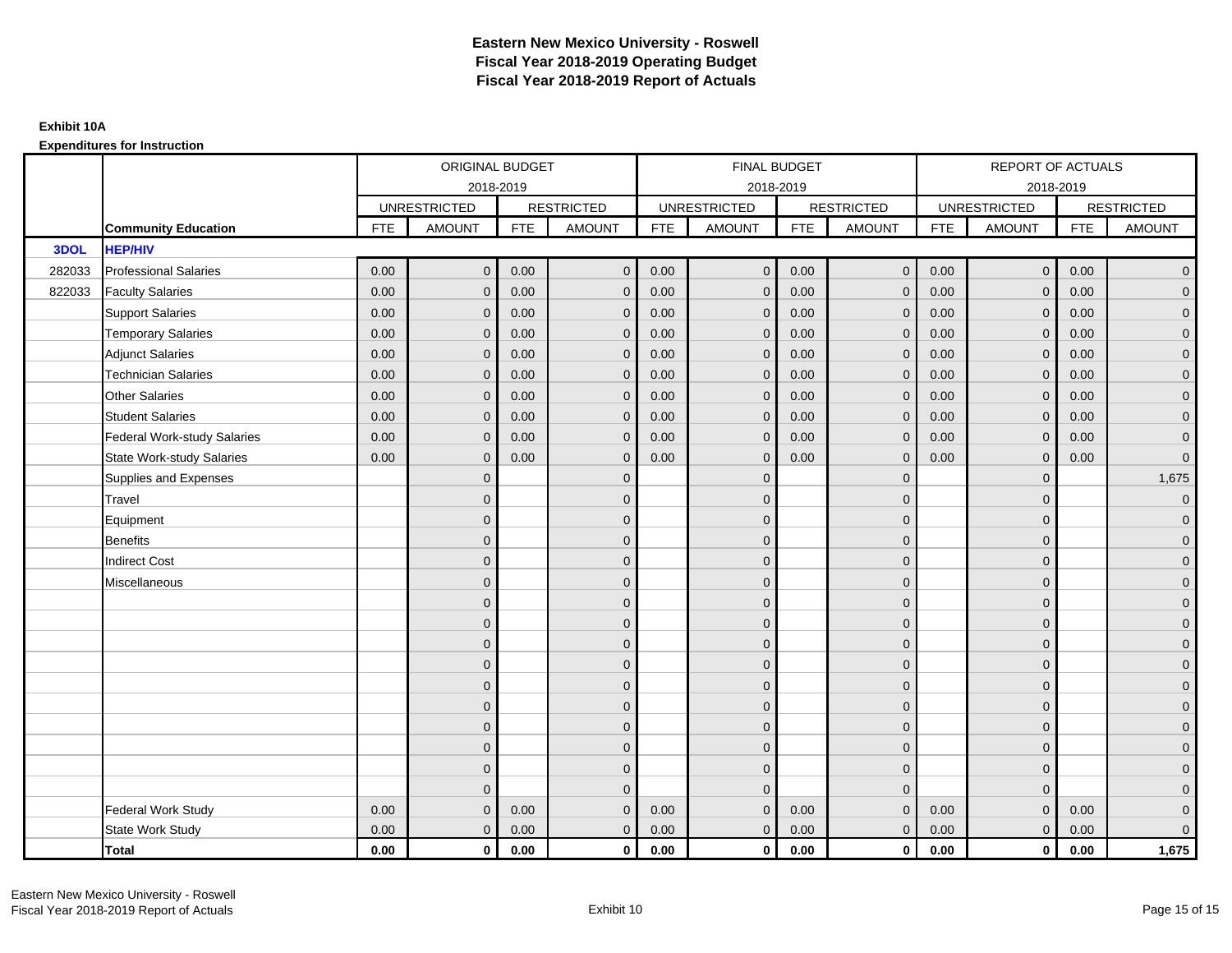### **Expenditures for Instruction**

|        |                                  |            | ORIGINAL BUDGET     |            |                   |            | <b>FINAL BUDGET</b> |            |                   |            | <b>REPORT OF ACTUALS</b> |            |                     |
|--------|----------------------------------|------------|---------------------|------------|-------------------|------------|---------------------|------------|-------------------|------------|--------------------------|------------|---------------------|
|        |                                  |            |                     | 2018-2019  |                   |            | 2018-2019           |            |                   |            | 2018-2019                |            |                     |
|        |                                  |            | <b>UNRESTRICTED</b> |            | <b>RESTRICTED</b> |            | <b>UNRESTRICTED</b> |            | <b>RESTRICTED</b> |            | <b>UNRESTRICTED</b>      |            | <b>RESTRICTED</b>   |
|        | <b>Community Education</b>       | <b>FTE</b> | <b>AMOUNT</b>       | <b>FTE</b> | <b>AMOUNT</b>     | <b>FTE</b> | <b>AMOUNT</b>       | <b>FTE</b> | <b>AMOUNT</b>     | <b>FTE</b> | <b>AMOUNT</b>            | <b>FTE</b> | <b>AMOUNT</b>       |
| 3DOL   | <b>HEP/HIV</b>                   |            |                     |            |                   |            |                     |            |                   |            |                          |            |                     |
| 282033 | <b>Professional Salaries</b>     | 0.00       | $\mathbf{0}$        | 0.00       | $\mathbf{0}$      | 0.00       | $\overline{0}$      | 0.00       | $\overline{0}$    | 0.00       | $\overline{0}$           | 0.00       | $\overline{0}$      |
| 822033 | <b>Faculty Salaries</b>          | 0.00       | $\mathbf{0}$        | 0.00       | $\mathbf{0}$      | 0.00       | $\mathbf{0}$        | 0.00       | $\mathbf{0}$      | 0.00       | $\mathbf 0$              | 0.00       | $\overline{0}$      |
|        | <b>Support Salaries</b>          | 0.00       | $\mathbf{0}$        | 0.00       | $\mathbf 0$       | 0.00       | $\overline{0}$      | 0.00       | $\mathbf 0$       | 0.00       | $\overline{0}$           | 0.00       | $\overline{0}$      |
|        | <b>Temporary Salaries</b>        | 0.00       | $\mathbf{0}$        | 0.00       | $\mathbf 0$       | 0.00       | $\mathbf{0}$        | 0.00       | $\mathbf{0}$      | 0.00       | $\mathbf 0$              | 0.00       | $\overline{0}$      |
|        | <b>Adjunct Salaries</b>          | 0.00       | $\mathbf{0}$        | 0.00       | $\mathbf{0}$      | 0.00       | $\mathbf{0}$        | 0.00       | $\mathbf 0$       | 0.00       | $\mathbf{0}$             | 0.00       | $\mathbf{0}$        |
|        | <b>Technician Salaries</b>       | 0.00       | $\mathbf{0}$        | 0.00       | $\mathbf 0$       | 0.00       | $\mathbf{0}$        | 0.00       | $\mathbf{0}$      | 0.00       | $\mathbf{0}$             | 0.00       | $\mathbf{0}$        |
|        | Other Salaries                   | 0.00       | $\mathbf{0}$        | 0.00       | $\mathbf{0}$      | 0.00       | $\Omega$            | 0.00       | $\mathbf{0}$      | 0.00       | $\mathbf{0}$             | 0.00       | $\overline{0}$      |
|        | <b>Student Salaries</b>          | 0.00       | $\mathbf 0$         | 0.00       | $\mathbf 0$       | 0.00       | $\overline{0}$      | 0.00       | $\mathbf 0$       | 0.00       | $\overline{0}$           | 0.00       | $\overline{0}$      |
|        | Federal Work-study Salaries      | 0.00       | $\mathbf{0}$        | 0.00       | $\mathbf 0$       | 0.00       | $\mathbf{0}$        | 0.00       | $\mathbf 0$       | 0.00       | $\mathbf 0$              | 0.00       | $\overline{0}$      |
|        | <b>State Work-study Salaries</b> | 0.00       | $\mathbf{0}$        | 0.00       | $\mathbf{0}$      | 0.00       | $\Omega$            | 0.00       | $\mathbf{0}$      | 0.00       | $\mathbf{0}$             | 0.00       | $\overline{0}$      |
|        | Supplies and Expenses            |            | $\mathbf{0}$        |            | $\mathbf 0$       |            | $\mathbf{0}$        |            | $\mathbf 0$       |            | $\mathbf 0$              |            | 1,675               |
|        | Travel                           |            | $\mathbf{0}$        |            | $\mathbf 0$       |            | $\mathbf{0}$        |            | $\mathbf 0$       |            | $\mathbf{0}$             |            | $\overline{0}$      |
|        | Equipment                        |            | $\mathbf{0}$        |            | $\mathbf 0$       |            | $\mathbf{0}$        |            | $\mathbf 0$       |            | $\mathbf{0}$             |            | $\overline{0}$      |
|        | <b>Benefits</b>                  |            | $\mathbf{0}$        |            | $\mathbf{0}$      |            | $\mathbf{0}$        |            | $\mathbf 0$       |            | $\mathbf{0}$             |            | $\overline{0}$      |
|        | <b>Indirect Cost</b>             |            | $\mathbf{0}$        |            | $\mathbf{0}$      |            | $\Omega$            |            | $\mathbf 0$       |            | $\mathbf 0$              |            | $\overline{0}$      |
|        | Miscellaneous                    |            | $\Omega$            |            | $\mathbf{0}$      |            | $\mathbf{0}$        |            | $\mathbf{0}$      |            | $\mathbf 0$              |            | $\overline{0}$      |
|        |                                  |            | $\overline{0}$      |            | $\mathbf 0$       |            | $\mathbf{0}$        |            | $\mathbf 0$       |            | $\mathbf{0}$             |            | $\overline{0}$      |
|        |                                  |            | $\overline{0}$      |            | $\mathbf 0$       |            | $\mathbf{0}$        |            | $\mathbf 0$       |            | $\mathbf{0}$             |            | $\overline{0}$      |
|        |                                  |            | $\Omega$            |            | $\mathbf{0}$      |            | $\Omega$            |            | $\mathbf 0$       |            | $\Omega$                 |            | $\overline{0}$      |
|        |                                  |            | $\mathbf{0}$        |            | $\mathbf 0$       |            | $\mathbf{0}$        |            | $\mathbf 0$       |            | $\mathbf 0$              |            | $\overline{0}$      |
|        |                                  |            | $\mathbf{0}$        |            | $\mathbf 0$       |            | $\mathbf{0}$        |            | $\mathbf 0$       |            | $\mathbf 0$              |            | $\mathsf{O}\xspace$ |
|        |                                  |            | $\overline{0}$      |            | $\mathbf{0}$      |            | $\Omega$            |            | $\mathbf{0}$      |            | $\mathbf{0}$             |            | $\overline{0}$      |
|        |                                  |            | $\overline{0}$      |            | $\mathbf 0$       |            | $\mathbf{0}$        |            | $\mathbf 0$       |            | $\mathbf 0$              |            | $\overline{0}$      |
|        |                                  |            | $\mathbf{0}$        |            | $\mathbf{0}$      |            | $\Omega$            |            | $\mathbf 0$       |            | $\mathbf{0}$             |            | $\overline{0}$      |
|        |                                  |            | $\mathbf{0}$        |            | $\mathbf{0}$      |            | $\Omega$            |            | $\mathbf{0}$      |            | $\mathbf{0}$             |            | $\overline{0}$      |
|        |                                  |            | $\Omega$            |            | $\Omega$          |            | $\Omega$            |            | $\mathbf{0}$      |            | $\Omega$                 |            | $\mathsf{O}\xspace$ |
|        | Federal Work Study               | 0.00       | $\mathbf{0}$        | 0.00       | $\mathbf 0$       | 0.00       | $\mathbf{0}$        | 0.00       | $\mathbf{0}$      | 0.00       | $\mathbf{0}$             | 0.00       | $\mathbf{0}$        |
|        | State Work Study                 | 0.00       | $\mathbf{0}$        | 0.00       | $\mathbf{0}$      | 0.00       | $\overline{0}$      | 0.00       | $\overline{0}$    | 0.00       | $\overline{0}$           | 0.00       | $\overline{0}$      |
|        | <b>Total</b>                     | 0.00       | $\mathbf 0$         | 0.00       | $\mathbf 0$       | 0.00       | $\mathbf{0}$        | 0.00       | $\overline{0}$    | 0.00       | $\mathbf{0}$             | 0.00       | 1,675               |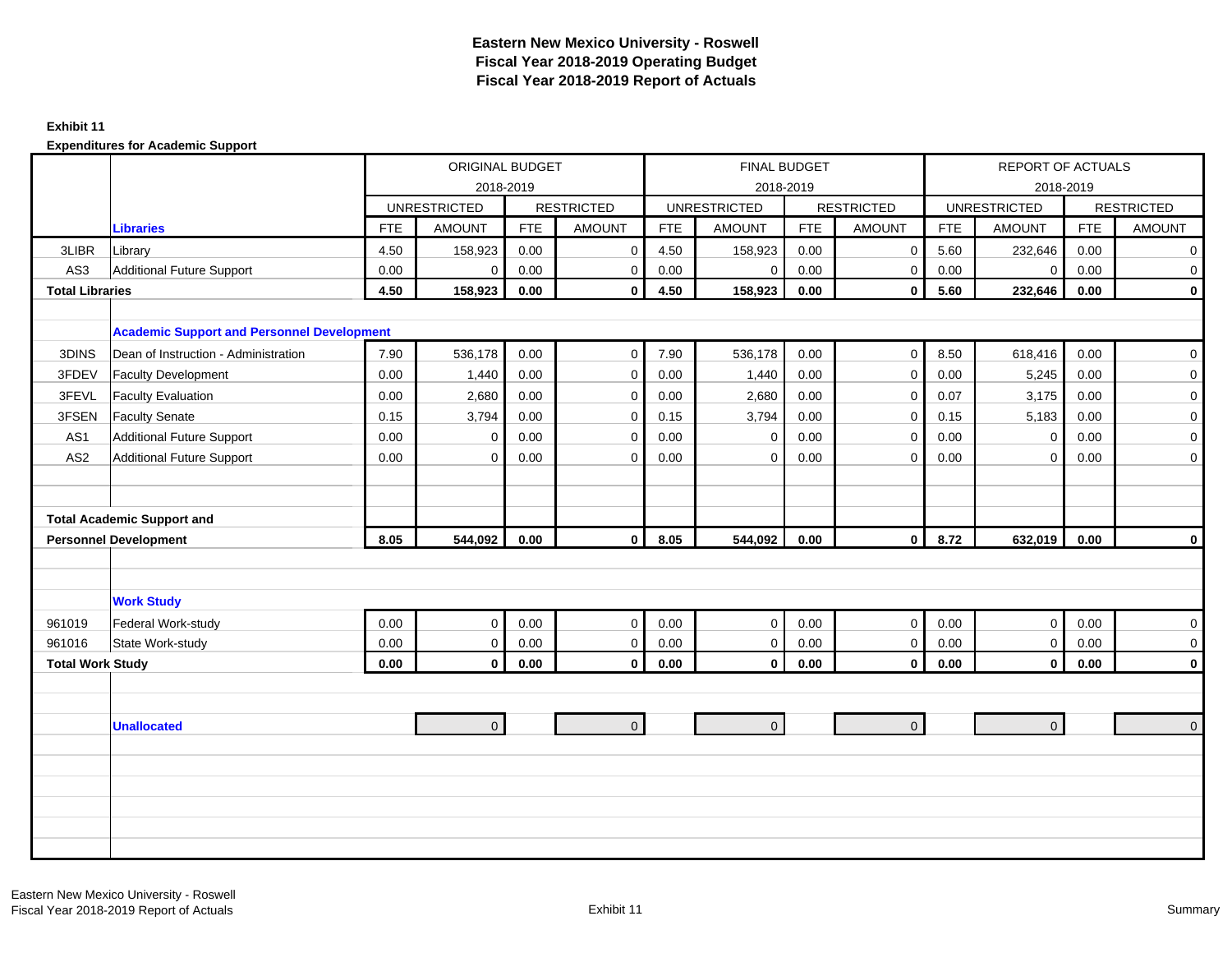#### **Exhibit 11**

|                         |                                                   |            | <b>ORIGINAL BUDGET</b> |            |                   |            |                     | FINAL BUDGET |                   |            | <b>REPORT OF ACTUALS</b> |            |                   |
|-------------------------|---------------------------------------------------|------------|------------------------|------------|-------------------|------------|---------------------|--------------|-------------------|------------|--------------------------|------------|-------------------|
|                         |                                                   |            |                        | 2018-2019  |                   |            |                     | 2018-2019    |                   |            | 2018-2019                |            |                   |
|                         |                                                   |            | <b>UNRESTRICTED</b>    |            | <b>RESTRICTED</b> |            | <b>UNRESTRICTED</b> |              | <b>RESTRICTED</b> |            | <b>UNRESTRICTED</b>      |            | <b>RESTRICTED</b> |
|                         | <b>Libraries</b>                                  | <b>FTE</b> | <b>AMOUNT</b>          | <b>FTE</b> | <b>AMOUNT</b>     | <b>FTE</b> | <b>AMOUNT</b>       | <b>FTE</b>   | <b>AMOUNT</b>     | <b>FTE</b> | <b>AMOUNT</b>            | <b>FTE</b> | <b>AMOUNT</b>     |
| 3LIBR                   | Library                                           | 4.50       | 158,923                | 0.00       | $\mathbf 0$       | 4.50       | 158,923             | 0.00         | $\mathbf 0$       | 5.60       | 232,646                  | 0.00       | $\overline{0}$    |
| AS3                     | <b>Additional Future Support</b>                  | 0.00       | $\mathbf 0$            | 0.00       | $\mathbf 0$       | 0.00       | $\mathbf 0$         | 0.00         | $\mathbf 0$       | 0.00       | $\overline{0}$           | 0.00       | $\overline{0}$    |
| <b>Total Libraries</b>  |                                                   | 4.50       | 158,923                | 0.00       | $\mathbf{0}$      | 4.50       | 158,923             | 0.00         | $\mathbf{0}$      | 5.60       | 232,646                  | 0.00       | $\mathbf 0$       |
|                         |                                                   |            |                        |            |                   |            |                     |              |                   |            |                          |            |                   |
|                         | <b>Academic Support and Personnel Development</b> |            |                        |            |                   |            |                     |              |                   |            |                          |            |                   |
| 3DINS                   | Dean of Instruction - Administration              | 7.90       | 536,178                | 0.00       | $\mathbf 0$       | 7.90       | 536,178             | 0.00         | $\mathbf 0$       | 8.50       | 618,416                  | 0.00       | $\overline{0}$    |
| 3FDEV                   | <b>Faculty Development</b>                        | 0.00       | 1,440                  | 0.00       | $\mathbf 0$       | 0.00       | 1,440               | 0.00         | $\mathsf{O}$      | 0.00       | 5,245                    | 0.00       | $\mathbf 0$       |
| 3FEVL                   | <b>Faculty Evaluation</b>                         | 0.00       | 2,680                  | 0.00       | 0                 | 0.00       | 2,680               | 0.00         | $\mathsf{O}$      | 0.07       | 3,175                    | 0.00       | $\overline{0}$    |
| 3FSEN                   | <b>Faculty Senate</b>                             | 0.15       | 3,794                  | 0.00       | $\mathbf 0$       | 0.15       | 3,794               | 0.00         | $\mathsf{O}$      | 0.15       | 5,183                    | 0.00       | $\overline{0}$    |
| AS1                     | <b>Additional Future Support</b>                  | 0.00       | $\mathbf 0$            | 0.00       | $\mathbf{0}$      | 0.00       | $\mathbf 0$         | 0.00         | $\mathbf 0$       | 0.00       | $\mathbf 0$              | 0.00       | $\overline{0}$    |
| AS <sub>2</sub>         | <b>Additional Future Support</b>                  | 0.00       | $\mathbf 0$            | 0.00       | $\mathbf 0$       | 0.00       | $\mathbf 0$         | 0.00         | $\mathbf{0}$      | 0.00       | $\mathbf 0$              | 0.00       | $\overline{0}$    |
|                         |                                                   |            |                        |            |                   |            |                     |              |                   |            |                          |            |                   |
|                         |                                                   |            |                        |            |                   |            |                     |              |                   |            |                          |            |                   |
|                         | <b>Total Academic Support and</b>                 |            |                        |            |                   |            |                     |              |                   |            |                          |            |                   |
|                         | <b>Personnel Development</b>                      | 8.05       | 544,092                | 0.00       | $\mathbf{0}$      | 8.05       | 544,092             | 0.00         | $\mathbf{0}$      | 8.72       | 632,019                  | 0.00       | $\mathbf{0}$      |
|                         |                                                   |            |                        |            |                   |            |                     |              |                   |            |                          |            |                   |
|                         |                                                   |            |                        |            |                   |            |                     |              |                   |            |                          |            |                   |
|                         | <b>Work Study</b>                                 |            |                        |            |                   |            |                     |              |                   |            |                          |            |                   |
| 961019                  | Federal Work-study                                | 0.00       | $\pmb{0}$              | 0.00       | $\mathbf 0$       | 0.00       | $\mathbf 0$         | 0.00         | $\mathbf 0$       | 0.00       | $\overline{0}$           | 0.00       | $\overline{0}$    |
| 961016                  | State Work-study                                  | 0.00       | $\boldsymbol{0}$       | 0.00       | $\mathbf 0$       | 0.00       | $\mathbf 0$         | 0.00         | $\mathbf 0$       | $0.00\,$   | $\overline{0}$           | 0.00       | $\mathbf 0$       |
| <b>Total Work Study</b> |                                                   | 0.00       | $\mathbf 0$            | 0.00       | $\mathbf 0$       | 0.00       | $\mathbf 0$         | 0.00         | $\mathbf{0}$      | 0.00       | $\overline{0}$           | 0.00       | $\mathbf{0}$      |
|                         |                                                   |            |                        |            |                   |            |                     |              |                   |            |                          |            |                   |
|                         |                                                   |            |                        |            |                   |            |                     |              |                   |            |                          |            |                   |
|                         | <b>Unallocated</b>                                |            | $\mathbf{0}$           |            | $\overline{0}$    |            | $\overline{0}$      |              | $\overline{0}$    |            | $\overline{0}$           |            | $\overline{0}$    |
|                         |                                                   |            |                        |            |                   |            |                     |              |                   |            |                          |            |                   |
|                         |                                                   |            |                        |            |                   |            |                     |              |                   |            |                          |            |                   |
|                         |                                                   |            |                        |            |                   |            |                     |              |                   |            |                          |            |                   |
|                         |                                                   |            |                        |            |                   |            |                     |              |                   |            |                          |            |                   |
|                         |                                                   |            |                        |            |                   |            |                     |              |                   |            |                          |            |                   |
|                         |                                                   |            |                        |            |                   |            |                     |              |                   |            |                          |            |                   |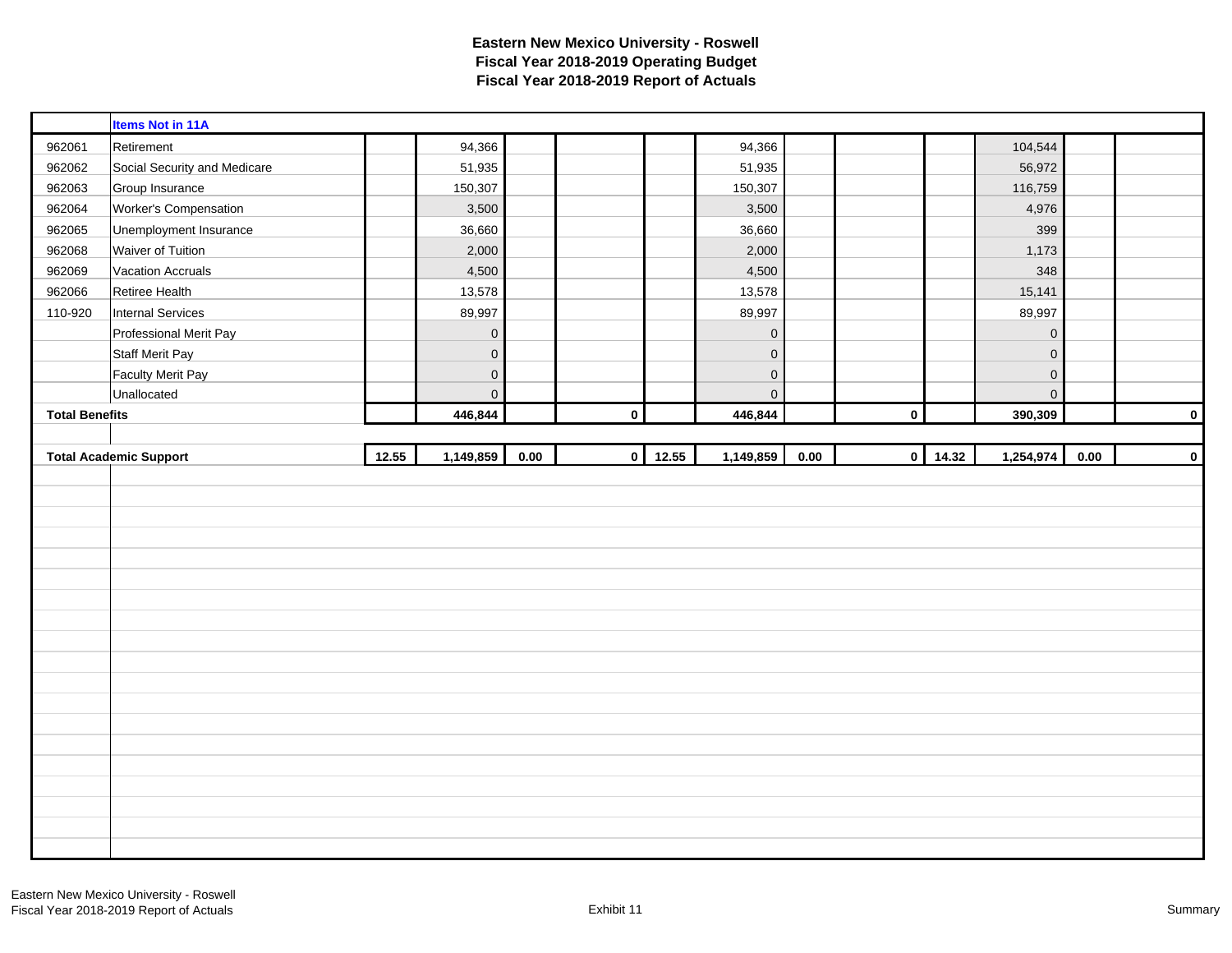|                       | <b>Items Not in 11A</b>       |       |              |      |             |                |                |      |             |       |                     |      |             |
|-----------------------|-------------------------------|-------|--------------|------|-------------|----------------|----------------|------|-------------|-------|---------------------|------|-------------|
| 962061                | Retirement                    |       | 94,366       |      |             |                | 94,366         |      |             |       | 104,544             |      |             |
| 962062                | Social Security and Medicare  |       | 51,935       |      |             |                | 51,935         |      |             |       | 56,972              |      |             |
| 962063                | Group Insurance               |       | 150,307      |      |             |                | 150,307        |      |             |       | 116,759             |      |             |
| 962064                | Worker's Compensation         |       | 3,500        |      |             |                | 3,500          |      |             |       | 4,976               |      |             |
| 962065                | Unemployment Insurance        |       | 36,660       |      |             |                | 36,660         |      |             |       | 399                 |      |             |
| 962068                | Waiver of Tuition             |       | 2,000        |      |             |                | 2,000          |      |             |       | 1,173               |      |             |
| 962069                | <b>Vacation Accruals</b>      |       | 4,500        |      |             |                | 4,500          |      |             |       | 348                 |      |             |
| 962066                | Retiree Health                |       | 13,578       |      |             |                | 13,578         |      |             |       | 15,141              |      |             |
| 110-920               | <b>Internal Services</b>      |       | 89,997       |      |             |                | 89,997         |      |             |       | 89,997              |      |             |
|                       | Professional Merit Pay        |       | $\mathbf 0$  |      |             |                | $\mathbf 0$    |      |             |       | $\mathsf{O}\xspace$ |      |             |
|                       | <b>Staff Merit Pay</b>        |       | $\mathbf 0$  |      |             |                | $\mathbf 0$    |      |             |       | $\mathbf 0$         |      |             |
|                       | <b>Faculty Merit Pay</b>      |       | $\mathbf 0$  |      |             |                | $\mathbf 0$    |      |             |       | $\mathbf 0$         |      |             |
|                       | Unallocated                   |       | $\mathbf{0}$ |      |             |                | $\overline{0}$ |      |             |       | $\overline{0}$      |      |             |
| <b>Total Benefits</b> |                               |       | 446,844      |      | $\mathbf 0$ |                | 446,844        |      | $\mathbf 0$ |       | 390,309             |      | $\mathbf 0$ |
|                       |                               |       |              |      |             |                |                |      |             |       |                     |      |             |
|                       |                               |       |              |      |             |                |                |      |             |       |                     |      |             |
|                       | <b>Total Academic Support</b> | 12.55 | 1,149,859    | 0.00 |             | $0 \mid 12.55$ | 1,149,859      | 0.00 | $\circ$     | 14.32 | 1,254,974           | 0.00 |             |
|                       |                               |       |              |      |             |                |                |      |             |       |                     |      | $\pmb{0}$   |
|                       |                               |       |              |      |             |                |                |      |             |       |                     |      |             |
|                       |                               |       |              |      |             |                |                |      |             |       |                     |      |             |
|                       |                               |       |              |      |             |                |                |      |             |       |                     |      |             |
|                       |                               |       |              |      |             |                |                |      |             |       |                     |      |             |
|                       |                               |       |              |      |             |                |                |      |             |       |                     |      |             |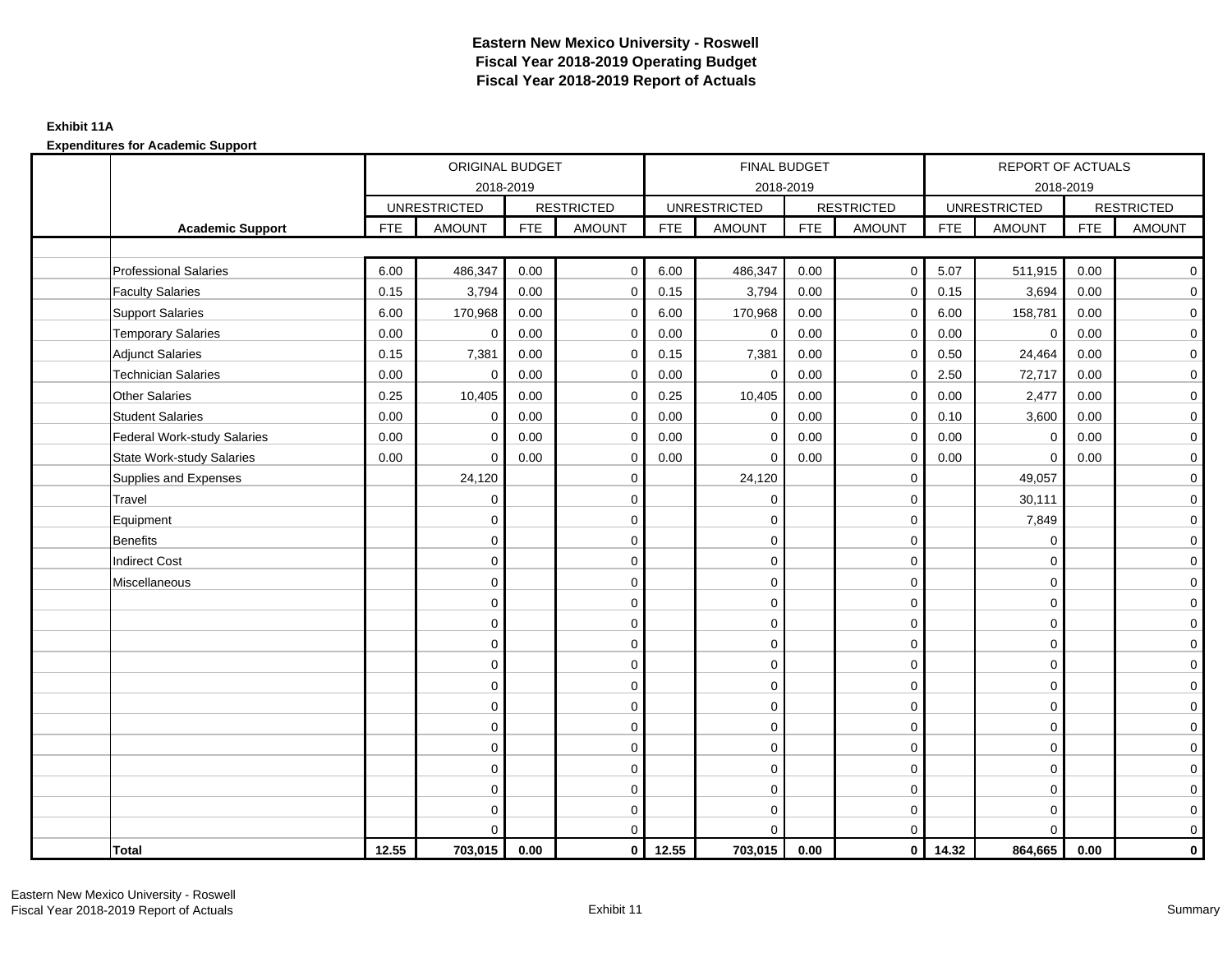### **Exhibit 11A**

|                                    |            | ORIGINAL BUDGET     |            |                   |            | FINAL BUDGET        |            |                         |            | <b>REPORT OF ACTUALS</b> |            |                   |
|------------------------------------|------------|---------------------|------------|-------------------|------------|---------------------|------------|-------------------------|------------|--------------------------|------------|-------------------|
|                                    |            | 2018-2019           |            |                   |            | 2018-2019           |            |                         |            | 2018-2019                |            |                   |
|                                    |            | <b>UNRESTRICTED</b> |            | <b>RESTRICTED</b> |            | <b>UNRESTRICTED</b> |            | <b>RESTRICTED</b>       |            | <b>UNRESTRICTED</b>      |            | <b>RESTRICTED</b> |
| <b>Academic Support</b>            | <b>FTE</b> | <b>AMOUNT</b>       | <b>FTE</b> | <b>AMOUNT</b>     | <b>FTE</b> | <b>AMOUNT</b>       | <b>FTE</b> | <b>AMOUNT</b>           | <b>FTE</b> | <b>AMOUNT</b>            | <b>FTE</b> | <b>AMOUNT</b>     |
|                                    |            |                     |            |                   |            |                     |            |                         |            |                          |            |                   |
| <b>Professional Salaries</b>       | 6.00       | 486,347             | 0.00       | $\mathbf 0$       | 6.00       | 486,347             | 0.00       | $\overline{0}$          | 5.07       | 511,915                  | 0.00       | $\overline{0}$    |
| <b>Faculty Salaries</b>            | 0.15       | 3,794               | 0.00       | $\mathbf 0$       | 0.15       | 3,794               | 0.00       | $\mathbf 0$             | 0.15       | 3,694                    | 0.00       | $\overline{0}$    |
| <b>Support Salaries</b>            | 6.00       | 170,968             | 0.00       | $\mathbf 0$       | 6.00       | 170,968             | 0.00       | $\mathbf 0$             | 6.00       | 158,781                  | 0.00       | $\overline{0}$    |
| <b>Temporary Salaries</b>          | 0.00       | $\mathbf 0$         | 0.00       | $\Omega$          | 0.00       | $\mathbf 0$         | 0.00       | $\mathbf 0$             | 0.00       | $\mathbf 0$              | 0.00       | $\mathbf 0$       |
| <b>Adjunct Salaries</b>            | 0.15       | 7,381               | 0.00       | $\mathbf 0$       | 0.15       | 7,381               | 0.00       | $\mathbf 0$             | 0.50       | 24,464                   | 0.00       | $\mathbf 0$       |
| <b>Technician Salaries</b>         | 0.00       | $\mathbf 0$         | 0.00       | $\mathbf 0$       | 0.00       | $\mathbf 0$         | 0.00       | $\mathbf 0$             | 2.50       | 72,717                   | 0.00       | $\mathbf 0$       |
| <b>Other Salaries</b>              | 0.25       | 10,405              | 0.00       | $\Omega$          | 0.25       | 10,405              | 0.00       | $\mathbf 0$             | 0.00       | 2,477                    | 0.00       | $\overline{0}$    |
| <b>Student Salaries</b>            | 0.00       | $\mathbf 0$         | 0.00       | $\mathbf 0$       | 0.00       | 0                   | 0.00       | $\mathbf 0$             | 0.10       | 3,600                    | 0.00       | $\overline{0}$    |
| <b>Federal Work-study Salaries</b> | 0.00       | $\mathbf 0$         | 0.00       | $\mathbf 0$       | 0.00       | $\Omega$            | 0.00       | $\mathbf 0$             | 0.00       | $\mathbf 0$              | 0.00       | $\overline{0}$    |
| <b>State Work-study Salaries</b>   | 0.00       | $\mathbf 0$         | 0.00       | $\mathbf 0$       | 0.00       | $\Omega$            | 0.00       | $\mathbf 0$             | 0.00       | $\Omega$                 | 0.00       | $\mathbf 0$       |
| Supplies and Expenses              |            | 24,120              |            | $\mathbf 0$       |            | 24,120              |            | $\mathbf 0$             |            | 49,057                   |            | $\mathbf 0$       |
| Travel                             |            | $\mathbf 0$         |            | $\mathbf 0$       |            | $\mathbf 0$         |            | $\mathbf 0$             |            | 30,111                   |            | $\mathbf 0$       |
| Equipment                          |            | $\mathbf 0$         |            | $\mathbf 0$       |            | $\mathbf 0$         |            | $\mathbf 0$             |            | 7,849                    |            | $\mathbf 0$       |
| <b>Benefits</b>                    |            | $\mathbf 0$         |            | $\mathbf 0$       |            | $\mathbf 0$         |            | $\mathbf 0$             |            | $\mathbf 0$              |            | $\mathbf 0$       |
| <b>Indirect Cost</b>               |            | $\mathbf 0$         |            | $\mathbf 0$       |            | $\Omega$            |            | $\mathbf 0$             |            | $\mathbf 0$              |            | $\mathbf 0$       |
| Miscellaneous                      |            | $\mathbf 0$         |            | $\mathbf 0$       |            | $\mathbf 0$         |            | $\mathbf 0$             |            | $\Omega$                 |            | $\mathbf 0$       |
|                                    |            | $\mathbf 0$         |            | $\mathbf 0$       |            | $\mathbf 0$         |            | $\mathbf 0$             |            | $\mathbf 0$              |            | $\overline{0}$    |
|                                    |            | $\mathbf 0$         |            | $\mathbf 0$       |            | $\mathbf 0$         |            | $\mathbf 0$             |            | $\mathbf 0$              |            | $\overline{0}$    |
|                                    |            | $\Omega$            |            | $\mathbf 0$       |            | $\Omega$            |            | $\mathbf 0$             |            | $\Omega$                 |            | $\overline{0}$    |
|                                    |            | $\mathbf 0$         |            | $\mathbf 0$       |            | $\mathbf 0$         |            | $\mathbf 0$             |            | $\mathbf 0$              |            | $\mathbf 0$       |
|                                    |            | $\mathbf 0$         |            | $\mathbf 0$       |            | $\mathbf 0$         |            | $\mathbf 0$             |            | $\mathbf 0$              |            | $\mathbf 0$       |
|                                    |            | $\mathbf 0$         |            | $\mathbf 0$       |            | $\mathbf 0$         |            | $\mathbf 0$             |            | $\Omega$                 |            | $\mathbf 0$       |
|                                    |            | $\mathbf 0$         |            | $\mathsf 0$       |            | 0                   |            | $\mathsf{O}\xspace$     |            | $\mathbf 0$              |            | $\overline{0}$    |
|                                    |            | $\Omega$            |            | $\mathbf 0$       |            | $\Omega$            |            | $\mathbf 0$             |            | $\mathbf 0$              |            | $\overline{0}$    |
|                                    |            | $\mathbf 0$         |            | $\mathbf 0$       |            | 0                   |            | $\mathbf 0$             |            | $\mathbf 0$              |            | $\mathbf 0$       |
|                                    |            | $\Omega$            |            | $\mathbf 0$       |            | $\Omega$            |            | $\mathbf{0}$            |            | $\Omega$                 |            | $\overline{O}$    |
|                                    |            | $\mathbf 0$         |            | $\mathbf 0$       |            | $\mathbf 0$         |            | $\mathbf 0$             |            | $\mathbf 0$              |            | $\mathbf 0$       |
|                                    |            | $\Omega$            |            | $\mathbf 0$       |            | $\Omega$            |            | $\mathbf 0$             |            | $\Omega$                 |            | $\mathbf 0$       |
| <b>Total</b>                       | 12.55      | 703,015             | 0.00       | $\mathbf 0$       | 12.55      | 703,015             | 0.00       | $\overline{\mathbf{0}}$ | 14.32      | 864,665                  | 0.00       | $\mathbf 0$       |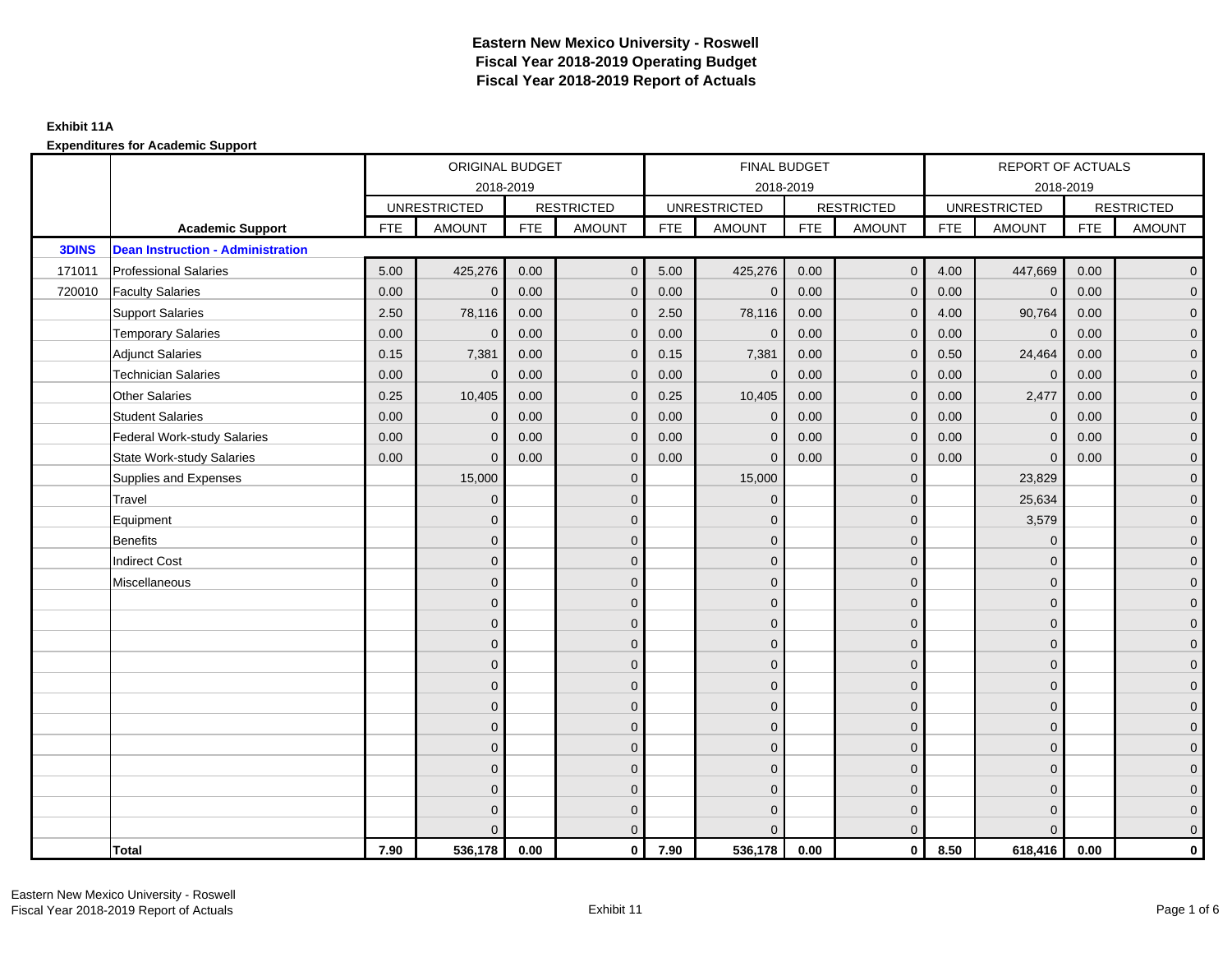|              |                                          | ORIGINAL BUDGET<br>2018-2019 |                     |            |                   |            | FINAL BUDGET        |            |                   |            | REPORT OF ACTUALS   |            |                     |
|--------------|------------------------------------------|------------------------------|---------------------|------------|-------------------|------------|---------------------|------------|-------------------|------------|---------------------|------------|---------------------|
|              |                                          |                              |                     |            |                   |            | 2018-2019           |            |                   |            | 2018-2019           |            |                     |
|              |                                          |                              | <b>UNRESTRICTED</b> |            | <b>RESTRICTED</b> |            | <b>UNRESTRICTED</b> |            | <b>RESTRICTED</b> |            | <b>UNRESTRICTED</b> |            | <b>RESTRICTED</b>   |
|              | <b>Academic Support</b>                  | <b>FTE</b>                   | <b>AMOUNT</b>       | <b>FTE</b> | <b>AMOUNT</b>     | <b>FTE</b> | <b>AMOUNT</b>       | <b>FTE</b> | <b>AMOUNT</b>     | <b>FTE</b> | <b>AMOUNT</b>       | <b>FTE</b> | <b>AMOUNT</b>       |
| <b>3DINS</b> | <b>Dean Instruction - Administration</b> |                              |                     |            |                   |            |                     |            |                   |            |                     |            |                     |
| 171011       | <b>Professional Salaries</b>             | 5.00                         | 425,276             | 0.00       | $\mathbf{0}$      | 5.00       | 425,276             | 0.00       | $\overline{0}$    | 4.00       | 447,669             | 0.00       | $\overline{0}$      |
| 720010       | <b>Faculty Salaries</b>                  | 0.00                         | $\mathbf 0$         | 0.00       | $\mathbf{0}$      | 0.00       | $\mathbf{0}$        | 0.00       | $\mathbf{0}$      | 0.00       | $\mathbf 0$         | 0.00       | $\overline{0}$      |
|              | <b>Support Salaries</b>                  | 2.50                         | 78,116              | 0.00       | $\mathbf{0}$      | 2.50       | 78,116              | 0.00       | $\mathbf{0}$      | 4.00       | 90,764              | 0.00       | $\overline{0}$      |
|              | <b>Temporary Salaries</b>                | 0.00                         | $\mathbf{0}$        | 0.00       | $\mathbf{0}$      | 0.00       | $\mathbf 0$         | 0.00       | $\mathbf 0$       | 0.00       | $\mathbf 0$         | 0.00       | $\mathbf 0$         |
|              | <b>Adjunct Salaries</b>                  | 0.15                         | 7,381               | 0.00       | $\Omega$          | 0.15       | 7,381               | 0.00       | $\mathbf{0}$      | 0.50       | 24,464              | 0.00       | $\mathbf 0$         |
|              | <b>Technician Salaries</b>               | 0.00                         | $\Omega$            | 0.00       | $\Omega$          | 0.00       | $\mathbf{0}$        | 0.00       | $\mathbf{0}$      | 0.00       | $\Omega$            | 0.00       | $\overline{0}$      |
|              | <b>Other Salaries</b>                    | 0.25                         | 10,405              | 0.00       | $\mathbf{0}$      | 0.25       | 10,405              | 0.00       | $\mathbf 0$       | 0.00       | 2,477               | 0.00       | $\overline{0}$      |
|              | <b>Student Salaries</b>                  | 0.00                         | $\mathbf{0}$        | 0.00       | $\mathbf{0}$      | 0.00       | $\mathbf{0}$        | 0.00       | $\mathbf{0}$      | 0.00       | $\mathbf{0}$        | 0.00       | $\overline{0}$      |
|              | <b>Federal Work-study Salaries</b>       | 0.00                         | $\Omega$            | 0.00       | $\Omega$          | 0.00       | $\overline{0}$      | 0.00       | $\mathbf{0}$      | 0.00       | $\Omega$            | 0.00       | $\overline{0}$      |
|              | <b>State Work-study Salaries</b>         | 0.00                         | $\mathbf{0}$        | 0.00       | $\mathbf{0}$      | 0.00       | $\mathbf{0}$        | 0.00       | $\mathbf{0}$      | 0.00       | $\mathbf{0}$        | 0.00       | $\mathbf{0}$        |
|              | Supplies and Expenses                    |                              | 15,000              |            | $\mathbf{0}$      |            | 15,000              |            | $\mathbf{0}$      |            | 23,829              |            | $\overline{0}$      |
|              | Travel                                   |                              | $\mathbf{0}$        |            | $\mathbf{0}$      |            | $\Omega$            |            | $\mathbf{0}$      |            | 25,634              |            | $\overline{0}$      |
|              | Equipment                                |                              | $\mathbf{0}$        |            | $\mathbf 0$       |            | $\mathbf{0}$        |            | $\mathbf{0}$      |            | 3,579               |            | $\overline{0}$      |
|              | <b>Benefits</b>                          |                              | $\Omega$            |            | $\mathbf{0}$      |            | $\Omega$            |            | $\mathbf{0}$      |            | $\mathbf{0}$        |            | $\overline{0}$      |
|              | <b>Indirect Cost</b>                     |                              | $\mathbf{0}$        |            | $\mathbf{0}$      |            | $\Omega$            |            | $\mathbf 0$       |            | $\mathbf{0}$        |            | $\mathbf 0$         |
|              | Miscellaneous                            |                              | $\mathbf{0}$        |            | $\mathbf{0}$      |            | $\Omega$            |            | $\mathbf 0$       |            | $\mathbf{0}$        |            | $\mathbf 0$         |
|              |                                          |                              | $\mathbf{0}$        |            | $\mathbf{0}$      |            | $\Omega$            |            | $\mathbf{0}$      |            | $\Omega$            |            | $\overline{0}$      |
|              |                                          |                              | $\mathbf{0}$        |            | $\mathbf 0$       |            | $\overline{0}$      |            | $\mathbf 0$       |            | $\mathbf{0}$        |            | $\overline{0}$      |
|              |                                          |                              | $\Omega$            |            | $\mathbf{0}$      |            | $\Omega$            |            | $\mathbf 0$       |            | $\mathbf{0}$        |            | $\overline{0}$      |
|              |                                          |                              | $\Omega$            |            | $\Omega$          |            | $\Omega$            |            | $\mathbf{0}$      |            | $\Omega$            |            | $\mathbf 0$         |
|              |                                          |                              | $\mathbf{0}$        |            | $\mathbf{0}$      |            | $\Omega$            |            | $\mathbf 0$       |            | $\mathbf{0}$        |            | $\mathsf{O}\xspace$ |
|              |                                          |                              | $\mathbf{0}$        |            | $\mathbf{0}$      |            | $\Omega$            |            | $\mathbf{0}$      |            | $\Omega$            |            | $\overline{0}$      |
|              |                                          |                              | $\Omega$            |            | $\mathbf{0}$      |            | $\Omega$            |            | $\mathbf{0}$      |            | $\Omega$            |            | $\overline{0}$      |
|              |                                          |                              | $\Omega$            |            | $\mathbf{0}$      |            | $\Omega$            |            | $\mathbf{0}$      |            | $\mathbf{0}$        |            | $\overline{0}$      |
|              |                                          |                              | $\mathbf{0}$        |            | $\mathbf{0}$      |            | $\Omega$            |            | $\mathbf{0}$      |            | $\mathbf{0}$        |            | $\mathbf 0$         |
|              |                                          |                              | $\Omega$            |            | $\mathbf{0}$      |            | $\Omega$            |            | $\mathbf{0}$      |            | $\Omega$            |            | $\mathsf{O}\xspace$ |
|              |                                          |                              | $\Omega$            |            | $\mathbf 0$       |            | $\Omega$            |            | $\mathbf{0}$      |            | $\mathbf{0}$        |            | $\overline{0}$      |
|              |                                          |                              | $\Omega$            |            | $\mathbf{0}$      |            | $\Omega$            |            | $\mathbf{0}$      |            | $\Omega$            |            | $\overline{0}$      |
|              | <b>Total</b>                             | 7.90                         | 536,178             | 0.00       | $\mathbf 0$       | 7.90       | 536,178             | 0.00       | $\overline{0}$    | 8.50       | 618,416             | 0.00       | $\mathbf 0$         |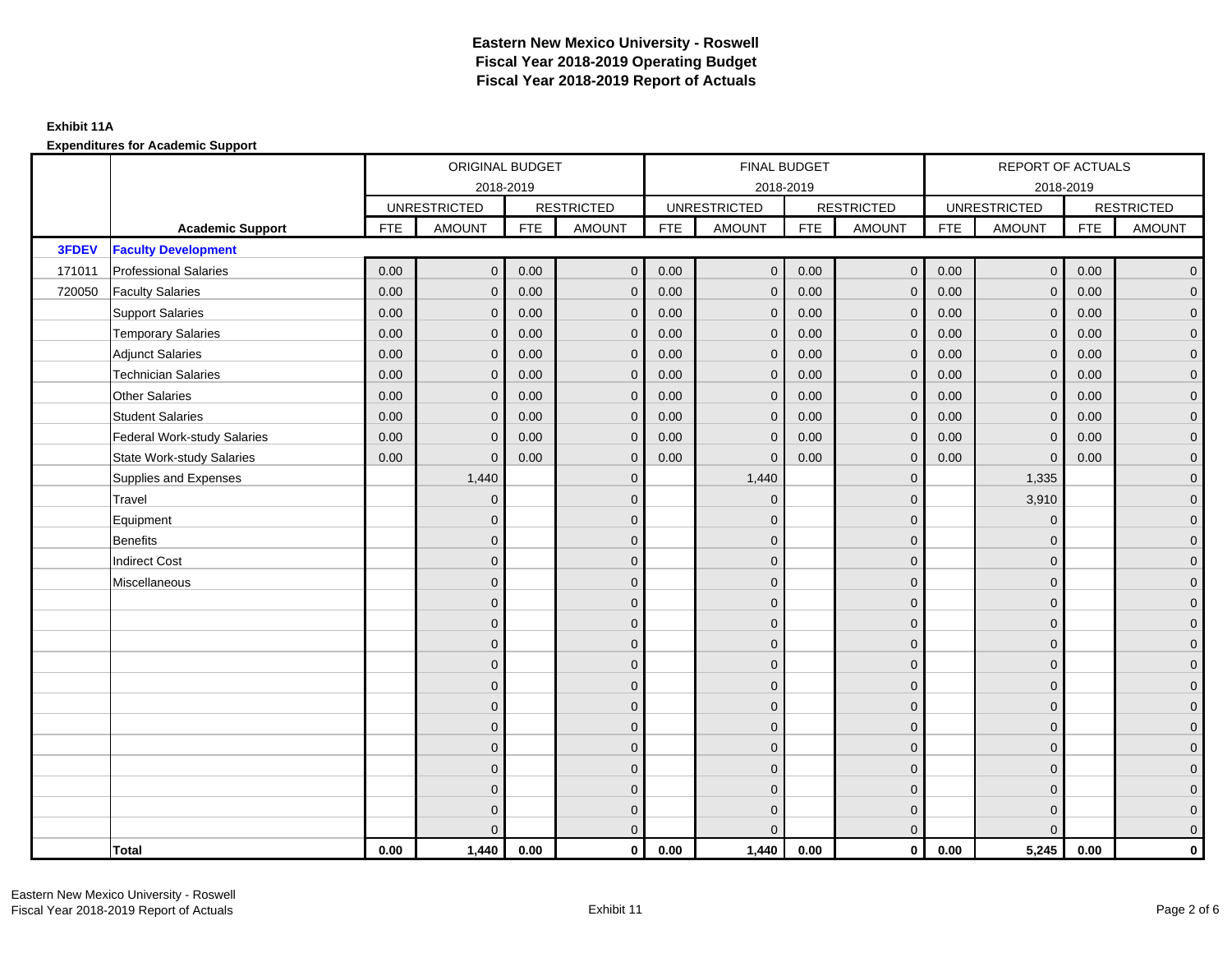|        |                                    | ORIGINAL BUDGET<br>2018-2019 |                     |            |                   |            | FINAL BUDGET        |            |                   |            | REPORT OF ACTUALS   |            |                     |
|--------|------------------------------------|------------------------------|---------------------|------------|-------------------|------------|---------------------|------------|-------------------|------------|---------------------|------------|---------------------|
|        |                                    |                              |                     |            |                   |            | 2018-2019           |            |                   |            | 2018-2019           |            |                     |
|        |                                    |                              | <b>UNRESTRICTED</b> |            | <b>RESTRICTED</b> |            | <b>UNRESTRICTED</b> |            | <b>RESTRICTED</b> |            | <b>UNRESTRICTED</b> |            | <b>RESTRICTED</b>   |
|        | <b>Academic Support</b>            | <b>FTE</b>                   | <b>AMOUNT</b>       | <b>FTE</b> | <b>AMOUNT</b>     | <b>FTE</b> | <b>AMOUNT</b>       | <b>FTE</b> | <b>AMOUNT</b>     | <b>FTE</b> | <b>AMOUNT</b>       | <b>FTE</b> | <b>AMOUNT</b>       |
| 3FDEV  | <b>Faculty Development</b>         |                              |                     |            |                   |            |                     |            |                   |            |                     |            |                     |
| 171011 | <b>Professional Salaries</b>       | 0.00                         | $\mathbf{0}$        | 0.00       | $\mathbf{0}$      | 0.00       | $\mathbf 0$         | 0.00       | $\overline{0}$    | 0.00       | $\mathbf 0$         | 0.00       | $\overline{0}$      |
| 720050 | <b>Faculty Salaries</b>            | 0.00                         | $\mathbf{0}$        | 0.00       | $\mathbf{0}$      | 0.00       | $\mathbf{0}$        | 0.00       | $\mathbf{0}$      | 0.00       | $\mathbf{0}$        | 0.00       | $\overline{0}$      |
|        | <b>Support Salaries</b>            | 0.00                         | $\mathbf{0}$        | 0.00       | $\mathbf{0}$      | 0.00       | $\mathbf{0}$        | 0.00       | $\mathbf{0}$      | 0.00       | $\mathbf{0}$        | 0.00       | $\overline{0}$      |
|        | <b>Temporary Salaries</b>          | 0.00                         | $\mathbf{0}$        | 0.00       | $\mathbf{0}$      | 0.00       | $\mathbf 0$         | 0.00       | $\mathbf{0}$      | 0.00       | $\mathbf 0$         | 0.00       | $\overline{0}$      |
|        | <b>Adjunct Salaries</b>            | 0.00                         | $\mathbf{0}$        | 0.00       | $\Omega$          | 0.00       | $\mathbf{0}$        | 0.00       | $\mathbf{0}$      | 0.00       | $\Omega$            | 0.00       | $\mathbf 0$         |
|        | <b>Technician Salaries</b>         | 0.00                         | $\Omega$            | 0.00       | $\Omega$          | 0.00       | $\Omega$            | 0.00       | $\mathbf{0}$      | 0.00       | $\Omega$            | 0.00       | $\overline{0}$      |
|        | <b>Other Salaries</b>              | 0.00                         | $\mathbf{0}$        | 0.00       | $\mathbf{0}$      | 0.00       | $\mathbf{0}$        | 0.00       | $\mathbf{0}$      | 0.00       | $\mathbf{0}$        | 0.00       | $\overline{0}$      |
|        | <b>Student Salaries</b>            | 0.00                         | $\mathbf{0}$        | 0.00       | $\mathbf{0}$      | 0.00       | $\mathbf{0}$        | 0.00       | $\mathbf{0}$      | 0.00       | $\mathbf{0}$        | 0.00       | $\overline{0}$      |
|        | <b>Federal Work-study Salaries</b> | 0.00                         | $\Omega$            | 0.00       | $\Omega$          | 0.00       | $\mathbf{0}$        | 0.00       | $\mathbf{0}$      | 0.00       | $\mathbf{0}$        | 0.00       | $\overline{0}$      |
|        | <b>State Work-study Salaries</b>   | 0.00                         | $\mathbf{0}$        | 0.00       | $\mathbf{0}$      | 0.00       | $\mathbf{0}$        | 0.00       | $\mathbf{0}$      | 0.00       | $\Omega$            | 0.00       | $\mathbf 0$         |
|        | Supplies and Expenses              |                              | 1,440               |            | $\mathbf{0}$      |            | 1,440               |            | $\mathbf{0}$      |            | 1,335               |            | $\overline{0}$      |
|        | Travel                             |                              | $\mathbf{0}$        |            | $\mathbf{0}$      |            | $\Omega$            |            | $\mathbf{0}$      |            | 3,910               |            | $\overline{0}$      |
|        | Equipment                          |                              | $\mathbf{0}$        |            | $\mathbf 0$       |            | $\mathbf{0}$        |            | $\mathbf{0}$      |            | $\mathbf{0}$        |            | $\overline{0}$      |
|        | <b>Benefits</b>                    |                              | $\Omega$            |            | $\mathbf{0}$      |            | $\Omega$            |            | $\mathbf{0}$      |            | $\Omega$            |            | $\overline{0}$      |
|        | <b>Indirect Cost</b>               |                              | $\mathbf{0}$        |            | $\mathbf{0}$      |            | $\Omega$            |            | $\mathbf 0$       |            | $\mathbf{0}$        |            | $\mathbf 0$         |
|        | Miscellaneous                      |                              | $\mathbf{0}$        |            | $\mathbf{0}$      |            | $\Omega$            |            | $\mathbf 0$       |            | $\mathbf{0}$        |            | $\mathbf 0$         |
|        |                                    |                              | $\mathbf{0}$        |            | $\mathbf{0}$      |            | $\Omega$            |            | $\mathbf{0}$      |            | $\Omega$            |            | $\overline{0}$      |
|        |                                    |                              | $\mathbf{0}$        |            | $\mathbf 0$       |            | $\overline{0}$      |            | $\mathbf 0$       |            | $\mathbf{0}$        |            | $\overline{0}$      |
|        |                                    |                              | $\Omega$            |            | $\mathbf{0}$      |            | $\Omega$            |            | $\mathbf{0}$      |            | $\mathbf{0}$        |            | $\overline{0}$      |
|        |                                    |                              | $\Omega$            |            | $\mathbf{0}$      |            | $\Omega$            |            | $\mathbf{0}$      |            | $\Omega$            |            | $\mathbf 0$         |
|        |                                    |                              | $\mathbf{0}$        |            | $\mathbf{0}$      |            | $\Omega$            |            | $\mathbf 0$       |            | $\mathbf{0}$        |            | $\mathsf{O}\xspace$ |
|        |                                    |                              | $\mathbf{0}$        |            | $\mathbf{0}$      |            | $\Omega$            |            | $\mathbf 0$       |            | $\Omega$            |            | $\overline{0}$      |
|        |                                    |                              | $\Omega$            |            | $\mathbf{0}$      |            | $\Omega$            |            | $\mathbf 0$       |            | $\Omega$            |            | $\overline{0}$      |
|        |                                    |                              | $\Omega$            |            | $\mathbf{0}$      |            | $\Omega$            |            | $\mathbf{0}$      |            | $\mathbf{0}$        |            | $\overline{0}$      |
|        |                                    |                              | $\mathbf{0}$        |            | $\mathbf{0}$      |            | $\Omega$            |            | $\mathbf{0}$      |            | $\mathbf{0}$        |            | $\mathbf 0$         |
|        |                                    |                              | $\Omega$            |            | $\mathbf{0}$      |            | $\Omega$            |            | $\mathbf{0}$      |            | $\Omega$            |            | $\mathsf{O}\xspace$ |
|        |                                    |                              | $\mathbf{0}$        |            | $\mathbf 0$       |            | $\Omega$            |            | $\mathbf{0}$      |            | $\mathbf{0}$        |            | $\mathbf 0$         |
|        |                                    |                              | $\Omega$            |            | $\mathbf{0}$      |            | $\Omega$            |            | $\mathbf{0}$      |            | $\Omega$            |            | $\overline{0}$      |
|        | Total                              | 0.00                         | 1,440               | 0.00       | $\mathbf 0$       | 0.00       | 1,440               | 0.00       | $\overline{0}$    | 0.00       | 5,245               | 0.00       | $\mathbf 0$         |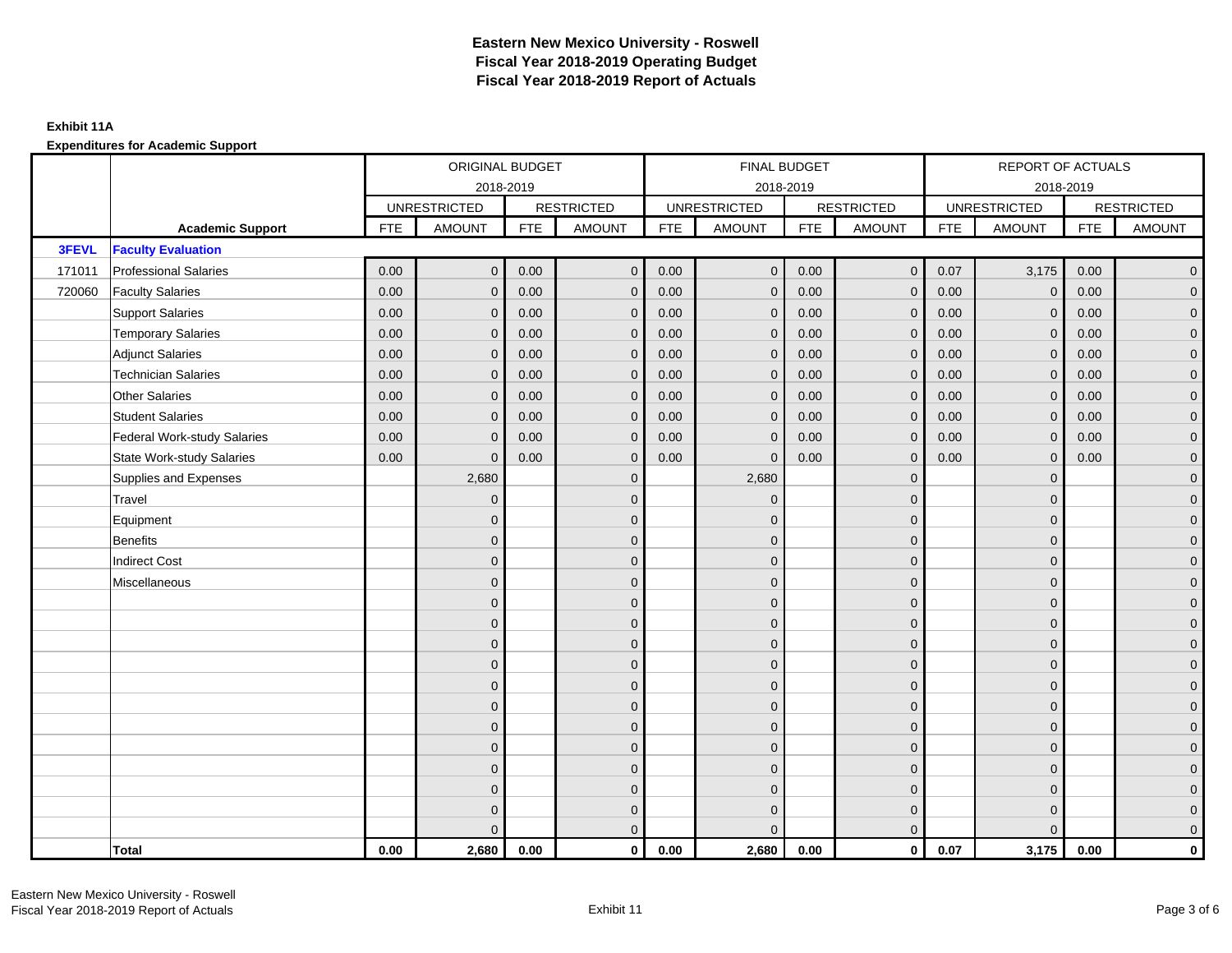|        |                                    | ORIGINAL BUDGET<br>2018-2019 |                     |            |                   |            | FINAL BUDGET        |            |                   |            | REPORT OF ACTUALS   |            |                     |
|--------|------------------------------------|------------------------------|---------------------|------------|-------------------|------------|---------------------|------------|-------------------|------------|---------------------|------------|---------------------|
|        |                                    |                              |                     |            |                   |            | 2018-2019           |            |                   |            | 2018-2019           |            |                     |
|        |                                    |                              | <b>UNRESTRICTED</b> |            | <b>RESTRICTED</b> |            | <b>UNRESTRICTED</b> |            | <b>RESTRICTED</b> |            | <b>UNRESTRICTED</b> |            | <b>RESTRICTED</b>   |
|        | <b>Academic Support</b>            | <b>FTE</b>                   | <b>AMOUNT</b>       | <b>FTE</b> | <b>AMOUNT</b>     | <b>FTE</b> | <b>AMOUNT</b>       | <b>FTE</b> | <b>AMOUNT</b>     | <b>FTE</b> | <b>AMOUNT</b>       | <b>FTE</b> | <b>AMOUNT</b>       |
| 3FEVL  | <b>Faculty Evaluation</b>          |                              |                     |            |                   |            |                     |            |                   |            |                     |            |                     |
| 171011 | <b>Professional Salaries</b>       | 0.00                         | $\mathbf{0}$        | 0.00       | $\mathbf{0}$      | 0.00       | $\mathbf 0$         | 0.00       | $\overline{0}$    | 0.07       | 3,175               | 0.00       | $\overline{0}$      |
| 720060 | <b>Faculty Salaries</b>            | 0.00                         | $\mathbf{0}$        | 0.00       | $\mathbf{0}$      | 0.00       | $\mathbf{0}$        | 0.00       | $\mathbf{0}$      | 0.00       | $\mathbf 0$         | 0.00       | $\overline{0}$      |
|        | <b>Support Salaries</b>            | 0.00                         | $\mathbf{0}$        | 0.00       | $\mathbf{0}$      | 0.00       | $\mathbf{0}$        | 0.00       | $\mathbf{0}$      | 0.00       | $\mathbf{0}$        | 0.00       | $\overline{0}$      |
|        | <b>Temporary Salaries</b>          | 0.00                         | $\mathbf{0}$        | 0.00       | $\mathbf{0}$      | 0.00       | $\mathbf 0$         | 0.00       | $\mathbf{0}$      | 0.00       | $\mathbf 0$         | 0.00       | $\overline{0}$      |
|        | <b>Adjunct Salaries</b>            | 0.00                         | $\mathbf{0}$        | 0.00       | $\Omega$          | 0.00       | $\mathbf{0}$        | 0.00       | $\mathbf{0}$      | 0.00       | $\Omega$            | 0.00       | $\mathbf 0$         |
|        | <b>Technician Salaries</b>         | 0.00                         | $\Omega$            | 0.00       | $\Omega$          | 0.00       | $\Omega$            | 0.00       | $\mathbf{0}$      | 0.00       | $\Omega$            | 0.00       | $\overline{0}$      |
|        | <b>Other Salaries</b>              | 0.00                         | $\mathbf{0}$        | 0.00       | $\mathbf{0}$      | 0.00       | $\mathbf{0}$        | 0.00       | $\mathbf 0$       | 0.00       | $\mathbf{0}$        | 0.00       | $\overline{0}$      |
|        | <b>Student Salaries</b>            | 0.00                         | $\mathbf{0}$        | 0.00       | $\mathbf{0}$      | 0.00       | $\mathbf{0}$        | 0.00       | $\mathbf{0}$      | 0.00       | $\mathbf 0$         | 0.00       | $\overline{0}$      |
|        | <b>Federal Work-study Salaries</b> | 0.00                         | $\Omega$            | 0.00       | $\Omega$          | 0.00       | $\mathbf{0}$        | 0.00       | $\mathbf{0}$      | 0.00       | $\mathbf{0}$        | 0.00       | $\overline{0}$      |
|        | <b>State Work-study Salaries</b>   | 0.00                         | $\mathbf{0}$        | 0.00       | $\mathbf{0}$      | 0.00       | $\mathbf{0}$        | 0.00       | $\mathbf{0}$      | 0.00       | $\mathbf{0}$        | 0.00       | $\overline{0}$      |
|        | Supplies and Expenses              |                              | 2,680               |            | $\mathbf{0}$      |            | 2,680               |            | $\mathbf{0}$      |            | $\mathbf{0}$        |            | $\overline{0}$      |
|        | Travel                             |                              | $\mathbf{0}$        |            | $\mathbf{0}$      |            | $\Omega$            |            | $\mathbf{0}$      |            | $\Omega$            |            | $\overline{0}$      |
|        | Equipment                          |                              | $\mathbf{0}$        |            | $\mathbf 0$       |            | $\mathbf{0}$        |            | $\mathbf{0}$      |            | $\mathbf{0}$        |            | $\overline{0}$      |
|        | <b>Benefits</b>                    |                              | $\Omega$            |            | $\mathbf{0}$      |            | $\Omega$            |            | $\mathbf{0}$      |            | $\mathbf{0}$        |            | $\overline{0}$      |
|        | <b>Indirect Cost</b>               |                              | $\mathbf{0}$        |            | $\mathbf{0}$      |            | $\Omega$            |            | $\mathbf 0$       |            | $\mathbf{0}$        |            | $\mathbf 0$         |
|        | Miscellaneous                      |                              | $\mathbf{0}$        |            | $\mathbf{0}$      |            | $\Omega$            |            | $\mathbf 0$       |            | $\Omega$            |            | $\mathbf 0$         |
|        |                                    |                              | $\mathbf{0}$        |            | $\mathbf{0}$      |            | $\Omega$            |            | $\mathbf{0}$      |            | $\Omega$            |            | $\overline{0}$      |
|        |                                    |                              | $\mathbf{0}$        |            | $\mathbf 0$       |            | $\overline{0}$      |            | $\mathbf 0$       |            | $\mathbf{0}$        |            | $\overline{0}$      |
|        |                                    |                              | $\Omega$            |            | $\mathbf{0}$      |            | $\Omega$            |            | $\mathbf 0$       |            | $\mathbf{0}$        |            | $\overline{0}$      |
|        |                                    |                              | $\Omega$            |            | $\Omega$          |            | $\Omega$            |            | $\mathbf{0}$      |            | $\Omega$            |            | $\mathbf 0$         |
|        |                                    |                              | $\mathbf{0}$        |            | $\mathbf{0}$      |            | $\Omega$            |            | $\mathbf 0$       |            | $\mathbf{0}$        |            | $\mathsf{O}\xspace$ |
|        |                                    |                              | $\mathbf{0}$        |            | $\mathbf{0}$      |            | $\Omega$            |            | $\mathbf 0$       |            | $\Omega$            |            | $\overline{0}$      |
|        |                                    |                              | $\Omega$            |            | $\mathbf{0}$      |            | $\Omega$            |            | $\mathbf{0}$      |            | $\Omega$            |            | $\overline{0}$      |
|        |                                    |                              | $\Omega$            |            | $\mathbf{0}$      |            | $\Omega$            |            | $\mathbf{0}$      |            | $\mathbf{0}$        |            | $\overline{0}$      |
|        |                                    |                              | $\mathbf{0}$        |            | $\mathbf{0}$      |            | $\Omega$            |            | $\mathbf{0}$      |            | $\mathbf{0}$        |            | $\mathbf 0$         |
|        |                                    |                              | $\Omega$            |            | $\mathbf{0}$      |            | $\Omega$            |            | $\mathbf{0}$      |            | $\Omega$            |            | $\mathsf{O}\xspace$ |
|        |                                    |                              | $\mathbf{0}$        |            | $\mathbf 0$       |            | $\Omega$            |            | $\mathbf{0}$      |            | $\mathbf{0}$        |            | $\mathbf 0$         |
|        |                                    |                              | $\Omega$            |            | $\mathbf{0}$      |            | $\Omega$            |            | $\mathbf{0}$      |            | $\Omega$            |            | $\overline{0}$      |
|        | Total                              | 0.00                         | 2,680               | 0.00       | $\mathbf 0$       | 0.00       | 2,680               | 0.00       | $\overline{0}$    | 0.07       | 3,175               | 0.00       | $\mathbf 0$         |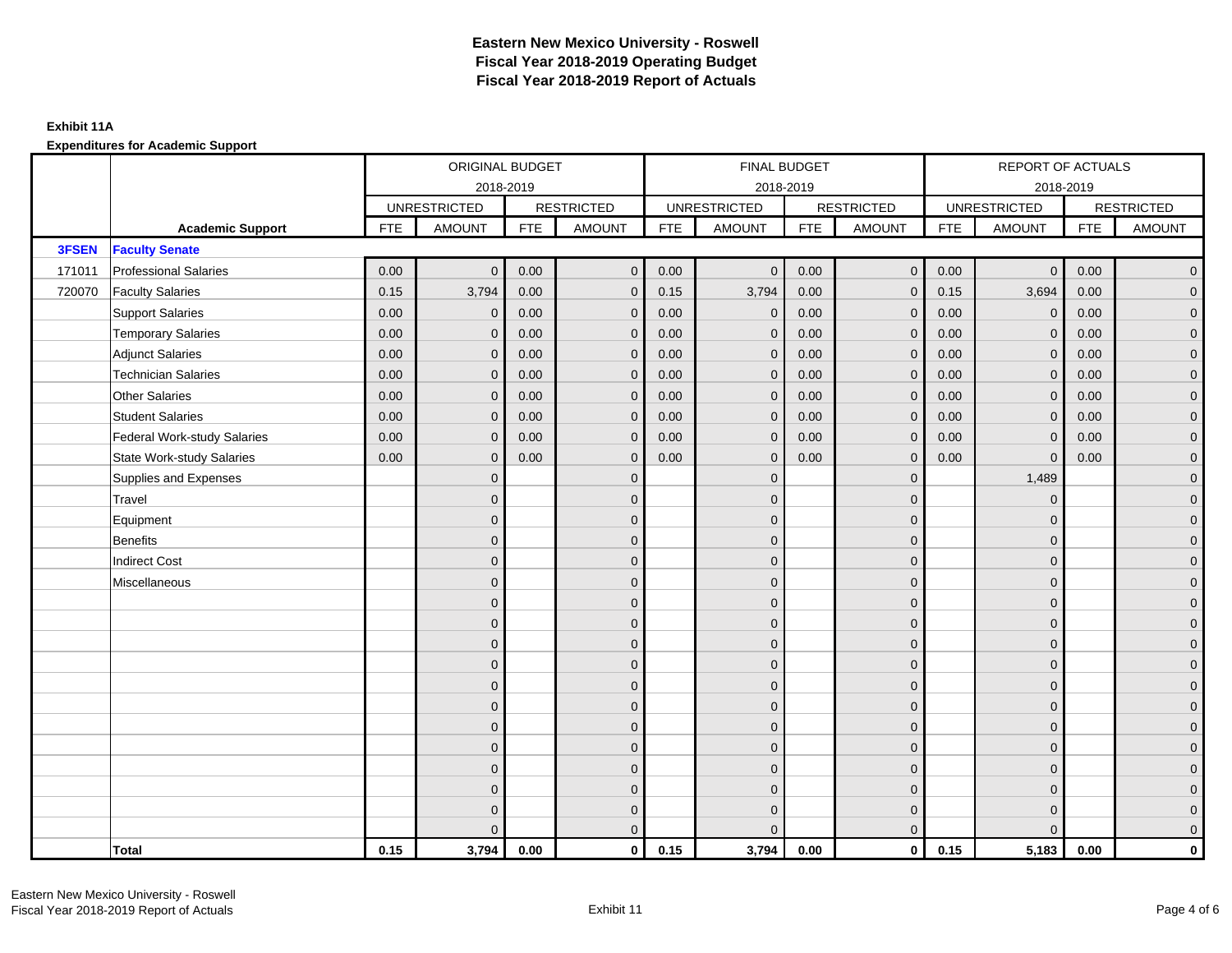|        |                                    | ORIGINAL BUDGET<br>2018-2019 |                     |            |                   |            | FINAL BUDGET        |            |                   |            | REPORT OF ACTUALS   |            |                     |
|--------|------------------------------------|------------------------------|---------------------|------------|-------------------|------------|---------------------|------------|-------------------|------------|---------------------|------------|---------------------|
|        |                                    |                              |                     |            |                   |            | 2018-2019           |            |                   |            | 2018-2019           |            |                     |
|        |                                    |                              | <b>UNRESTRICTED</b> |            | <b>RESTRICTED</b> |            | <b>UNRESTRICTED</b> |            | <b>RESTRICTED</b> |            | <b>UNRESTRICTED</b> |            | <b>RESTRICTED</b>   |
|        | <b>Academic Support</b>            | FTE                          | <b>AMOUNT</b>       | <b>FTE</b> | <b>AMOUNT</b>     | <b>FTE</b> | <b>AMOUNT</b>       | <b>FTE</b> | <b>AMOUNT</b>     | <b>FTE</b> | <b>AMOUNT</b>       | <b>FTE</b> | <b>AMOUNT</b>       |
| 3FSEN  | <b>Faculty Senate</b>              |                              |                     |            |                   |            |                     |            |                   |            |                     |            |                     |
| 171011 | <b>Professional Salaries</b>       | 0.00                         | $\mathbf{0}$        | 0.00       | $\overline{0}$    | 0.00       | $\mathbf 0$         | 0.00       | $\overline{0}$    | 0.00       | $\mathbf 0$         | 0.00       | $\overline{0}$      |
| 720070 | <b>Faculty Salaries</b>            | 0.15                         | 3,794               | 0.00       | $\mathbf{0}$      | 0.15       | 3,794               | 0.00       | $\mathbf{0}$      | 0.15       | 3,694               | 0.00       | $\overline{0}$      |
|        | <b>Support Salaries</b>            | 0.00                         | $\mathbf{0}$        | 0.00       | $\mathbf{0}$      | 0.00       | $\mathbf{0}$        | 0.00       | $\mathbf{0}$      | 0.00       | $\mathbf{0}$        | 0.00       | $\overline{0}$      |
|        | <b>Temporary Salaries</b>          | 0.00                         | $\mathbf{0}$        | 0.00       | $\mathbf{0}$      | 0.00       | $\mathbf 0$         | 0.00       | $\mathbf{0}$      | 0.00       | $\mathbf 0$         | 0.00       | $\overline{0}$      |
|        | <b>Adjunct Salaries</b>            | 0.00                         | $\mathbf{0}$        | 0.00       | $\Omega$          | 0.00       | $\mathbf{0}$        | 0.00       | $\mathbf{0}$      | 0.00       | $\Omega$            | 0.00       | $\mathbf 0$         |
|        | <b>Technician Salaries</b>         | 0.00                         | $\Omega$            | 0.00       | $\Omega$          | 0.00       | $\mathbf{0}$        | 0.00       | $\mathbf{0}$      | 0.00       | $\Omega$            | 0.00       | $\overline{0}$      |
|        | <b>Other Salaries</b>              | 0.00                         | $\mathbf{0}$        | 0.00       | $\mathbf{0}$      | 0.00       | $\mathbf{0}$        | 0.00       | $\mathbf{0}$      | 0.00       | $\mathbf{0}$        | 0.00       | $\overline{0}$      |
|        | <b>Student Salaries</b>            | 0.00                         | $\mathbf{0}$        | 0.00       | $\mathbf{0}$      | 0.00       | $\mathbf{0}$        | 0.00       | $\mathbf{0}$      | 0.00       | $\mathbf{0}$        | 0.00       | $\overline{0}$      |
|        | <b>Federal Work-study Salaries</b> | 0.00                         | $\mathbf{0}$        | 0.00       | $\Omega$          | 0.00       | $\mathbf{0}$        | 0.00       | $\mathbf{0}$      | 0.00       | $\mathbf{0}$        | 0.00       | $\overline{0}$      |
|        | <b>State Work-study Salaries</b>   | 0.00                         | $\mathbf{0}$        | 0.00       | $\mathbf{0}$      | 0.00       | $\mathbf{0}$        | 0.00       | $\mathbf{0}$      | 0.00       | $\mathbf{0}$        | 0.00       | $\overline{0}$      |
|        | Supplies and Expenses              |                              | $\mathbf{0}$        |            | $\mathbf{0}$      |            | $\mathbf{0}$        |            | $\mathbf{0}$      |            | 1,489               |            | $\overline{0}$      |
|        | Travel                             |                              | $\mathbf{0}$        |            | $\mathbf{0}$      |            | $\Omega$            |            | $\mathbf{0}$      |            | $\mathbf{0}$        |            | $\overline{0}$      |
|        | Equipment                          |                              | $\mathbf{0}$        |            | $\mathbf 0$       |            | $\overline{0}$      |            | $\mathbf{0}$      |            | $\mathbf{0}$        |            | $\overline{0}$      |
|        | <b>Benefits</b>                    |                              | $\Omega$            |            | $\mathbf{0}$      |            | $\Omega$            |            | $\mathbf{0}$      |            | $\mathbf{0}$        |            | $\overline{0}$      |
|        | <b>Indirect Cost</b>               |                              | $\mathbf{0}$        |            | $\mathbf{0}$      |            | $\Omega$            |            | $\mathbf 0$       |            | $\mathbf{0}$        |            | $\mathbf 0$         |
|        | Miscellaneous                      |                              | $\mathbf{0}$        |            | $\mathbf{0}$      |            | $\Omega$            |            | $\mathbf 0$       |            | $\mathbf{0}$        |            | $\mathbf 0$         |
|        |                                    |                              | $\mathbf{0}$        |            | $\mathbf{0}$      |            | $\Omega$            |            | $\mathbf{0}$      |            | $\Omega$            |            | $\overline{0}$      |
|        |                                    |                              | $\mathbf{0}$        |            | $\mathbf 0$       |            | $\overline{0}$      |            | $\mathbf 0$       |            | $\mathbf{0}$        |            | $\overline{0}$      |
|        |                                    |                              | $\Omega$            |            | $\mathbf{0}$      |            | $\Omega$            |            | $\mathbf{0}$      |            | $\mathbf{0}$        |            | $\overline{0}$      |
|        |                                    |                              | $\Omega$            |            | $\mathbf{0}$      |            | $\Omega$            |            | $\mathbf{0}$      |            | $\Omega$            |            | $\overline{0}$      |
|        |                                    |                              | $\mathbf{0}$        |            | $\mathbf{0}$      |            | $\Omega$            |            | $\mathbf 0$       |            | $\mathbf{0}$        |            | $\mathsf{O}\xspace$ |
|        |                                    |                              | $\mathbf{0}$        |            | $\mathbf{0}$      |            | $\Omega$            |            | $\mathbf 0$       |            | $\Omega$            |            | $\overline{0}$      |
|        |                                    |                              | $\Omega$            |            | $\mathbf{0}$      |            | $\Omega$            |            | $\mathbf 0$       |            | $\Omega$            |            | $\overline{0}$      |
|        |                                    |                              | $\Omega$            |            | $\mathbf{0}$      |            | $\Omega$            |            | $\mathbf{0}$      |            | $\mathbf{0}$        |            | $\overline{0}$      |
|        |                                    |                              | $\mathbf{0}$        |            | $\mathbf{0}$      |            | $\Omega$            |            | $\mathbf{0}$      |            | $\mathbf{0}$        |            | $\mathbf 0$         |
|        |                                    |                              | $\Omega$            |            | $\mathbf{0}$      |            | $\Omega$            |            | $\mathbf{0}$      |            | $\Omega$            |            | $\mathsf{O}\xspace$ |
|        |                                    |                              | $\mathbf{0}$        |            | $\mathbf 0$       |            | $\Omega$            |            | $\mathbf{0}$      |            | $\mathbf{0}$        |            | $\overline{0}$      |
|        |                                    |                              | $\Omega$            |            | $\mathbf{0}$      |            | $\Omega$            |            | $\mathbf{0}$      |            | $\Omega$            |            | $\overline{0}$      |
|        | Total                              | 0.15                         | 3,794               | 0.00       | $\mathbf 0$       | 0.15       | 3,794               | 0.00       | $\overline{0}$    | 0.15       | 5,183               | 0.00       | $\mathbf 0$         |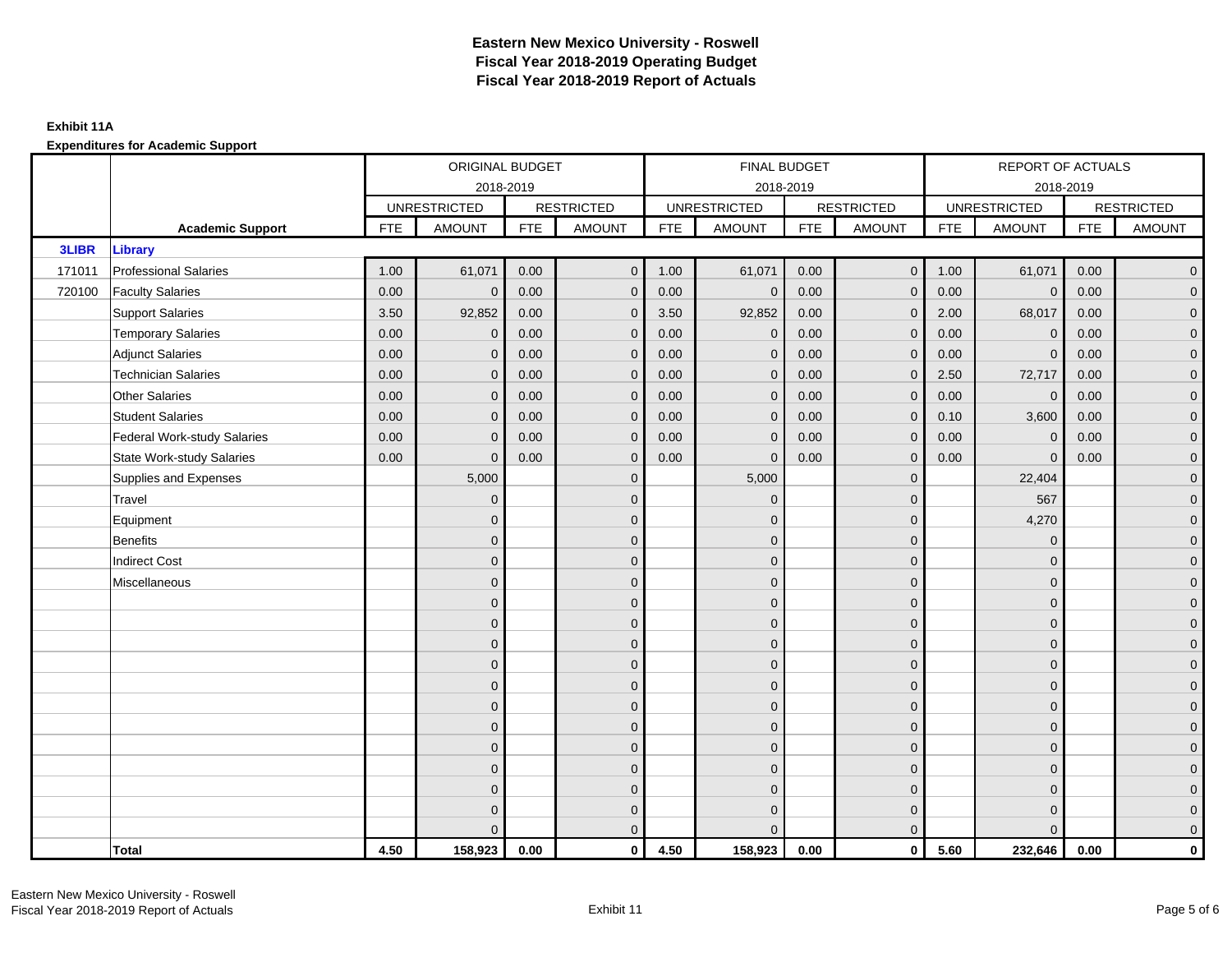#### **Exhibit 11A**

|              |                                    | ORIGINAL BUDGET<br>2018-2019<br><b>UNRESTRICTED</b> |               |            |                   |            | FINAL BUDGET        |            |                   |            | REPORT OF ACTUALS   |            |                     |
|--------------|------------------------------------|-----------------------------------------------------|---------------|------------|-------------------|------------|---------------------|------------|-------------------|------------|---------------------|------------|---------------------|
|              |                                    |                                                     |               |            |                   |            | 2018-2019           |            |                   |            |                     | 2018-2019  |                     |
|              |                                    |                                                     |               |            | <b>RESTRICTED</b> |            | <b>UNRESTRICTED</b> |            | <b>RESTRICTED</b> |            | <b>UNRESTRICTED</b> |            | <b>RESTRICTED</b>   |
|              | <b>Academic Support</b>            | <b>FTE</b>                                          | <b>AMOUNT</b> | <b>FTE</b> | <b>AMOUNT</b>     | <b>FTE</b> | <b>AMOUNT</b>       | <b>FTE</b> | <b>AMOUNT</b>     | <b>FTE</b> | <b>AMOUNT</b>       | <b>FTE</b> | <b>AMOUNT</b>       |
| <b>3LIBR</b> | <b>Library</b>                     |                                                     |               |            |                   |            |                     |            |                   |            |                     |            |                     |
| 171011       | <b>Professional Salaries</b>       | 1.00                                                | 61,071        | 0.00       | $\overline{0}$    | 1.00       | 61,071              | 0.00       | $\overline{0}$    | 1.00       | 61,071              | 0.00       | $\overline{0}$      |
| 720100       | <b>Faculty Salaries</b>            | 0.00                                                | $\mathbf 0$   | 0.00       | $\mathbf{0}$      | 0.00       | $\mathbf 0$         | 0.00       | $\mathbf 0$       | 0.00       | $\mathbf 0$         | 0.00       | $\overline{0}$      |
|              | <b>Support Salaries</b>            | 3.50                                                | 92,852        | 0.00       | $\mathbf{0}$      | 3.50       | 92,852              | 0.00       | $\mathbf{0}$      | 2.00       | 68,017              | 0.00       | $\overline{0}$      |
|              | <b>Temporary Salaries</b>          | 0.00                                                | $\mathbf{0}$  | 0.00       | $\mathbf{0}$      | 0.00       | $\mathbf 0$         | 0.00       | $\mathbf 0$       | 0.00       | $\mathbf 0$         | 0.00       | $\overline{0}$      |
|              | <b>Adjunct Salaries</b>            | 0.00                                                | $\mathbf{0}$  | 0.00       | $\Omega$          | 0.00       | $\mathbf{0}$        | 0.00       | $\mathbf{0}$      | 0.00       | $\Omega$            | 0.00       | $\overline{0}$      |
|              | <b>Technician Salaries</b>         | 0.00                                                | $\mathbf{0}$  | 0.00       | $\mathbf{0}$      | 0.00       | $\mathbf{0}$        | 0.00       | $\mathbf{0}$      | 2.50       | 72,717              | 0.00       | $\mathbf 0$         |
|              | <b>Other Salaries</b>              | 0.00                                                | $\mathbf{0}$  | 0.00       | $\Omega$          | 0.00       | $\Omega$            | 0.00       | $\mathbf{0}$      | 0.00       | $\mathbf 0$         | 0.00       | $\overline{0}$      |
|              | <b>Student Salaries</b>            | 0.00                                                | $\mathbf{0}$  | 0.00       | $\mathbf{0}$      | 0.00       | $\mathbf{0}$        | 0.00       | $\overline{0}$    | 0.10       | 3,600               | 0.00       | $\overline{0}$      |
|              | <b>Federal Work-study Salaries</b> | 0.00                                                | $\mathbf{0}$  | 0.00       | $\mathbf{0}$      | 0.00       | $\mathbf 0$         | 0.00       | $\mathbf{0}$      | 0.00       | $\overline{0}$      | 0.00       | $\overline{0}$      |
|              | <b>State Work-study Salaries</b>   | 0.00                                                | $\mathbf 0$   | 0.00       | $\mathbf{0}$      | 0.00       | $\mathbf{0}$        | 0.00       | $\mathbf 0$       | 0.00       | $\Omega$            | 0.00       | $\overline{0}$      |
|              | Supplies and Expenses              |                                                     | 5,000         |            | $\mathbf{0}$      |            | 5,000               |            | $\mathbf 0$       |            | 22,404              |            | $\mathbf 0$         |
|              | Travel                             |                                                     | $\mathbf{0}$  |            | $\mathbf{0}$      |            | $\mathbf{0}$        |            | $\mathbf{0}$      |            | 567                 |            | $\overline{0}$      |
|              | Equipment                          |                                                     | $\mathbf{0}$  |            | $\mathbf 0$       |            | $\mathbf{0}$        |            | $\mathbf{0}$      |            | 4,270               |            | $\overline{0}$      |
|              | <b>Benefits</b>                    |                                                     | $\mathbf{0}$  |            | $\mathbf{0}$      |            | $\Omega$            |            | $\mathbf{0}$      |            | $\mathbf{0}$        |            | $\overline{0}$      |
|              | <b>Indirect Cost</b>               |                                                     | $\Omega$      |            | $\mathbf{0}$      |            | $\Omega$            |            | $\mathbf{0}$      |            | $\Omega$            |            | $\overline{0}$      |
|              | Miscellaneous                      |                                                     | $\mathbf{0}$  |            | $\mathbf 0$       |            | $\mathbf{0}$        |            | $\mathbf 0$       |            | $\mathbf{0}$        |            | $\mathsf{O}\xspace$ |
|              |                                    |                                                     | $\mathbf{0}$  |            | $\mathbf 0$       |            | $\Omega$            |            | $\mathbf{0}$      |            | $\mathbf{0}$        |            | $\overline{0}$      |
|              |                                    |                                                     | $\mathbf{0}$  |            | $\mathbf 0$       |            | $\Omega$            |            | $\mathbf 0$       |            | $\Omega$            |            | $\overline{0}$      |
|              |                                    |                                                     | $\mathbf{0}$  |            | $\mathbf 0$       |            | $\overline{0}$      |            | $\mathbf 0$       |            | $\mathbf{0}$        |            | $\overline{0}$      |
|              |                                    |                                                     | $\mathbf{0}$  |            | $\mathbf{0}$      |            | $\Omega$            |            | $\mathbf 0$       |            | $\mathbf{0}$        |            | $\overline{0}$      |
|              |                                    |                                                     | $\mathbf{0}$  |            | $\mathbf{0}$      |            | $\mathbf{0}$        |            | $\mathbf 0$       |            | $\Omega$            |            | $\mathsf{O}\xspace$ |
|              |                                    |                                                     | $\mathbf{0}$  |            | $\mathbf{0}$      |            | $\Omega$            |            | $\mathbf{0}$      |            | $\Omega$            |            | $\overline{0}$      |
|              |                                    |                                                     | $\mathbf{0}$  |            | $\mathbf 0$       |            | $\mathbf{0}$        |            | $\mathbf{0}$      |            | $\mathbf{0}$        |            | $\overline{0}$      |
|              |                                    |                                                     | $\Omega$      |            | $\mathbf{0}$      |            | $\Omega$            |            | $\mathbf{0}$      |            | $\mathbf{0}$        |            | $\overline{0}$      |
|              |                                    |                                                     | $\Omega$      |            | $\mathbf{0}$      |            | $\Omega$            |            | $\mathbf{0}$      |            | $\mathbf{0}$        |            | $\mathbf 0$         |
|              |                                    |                                                     | $\mathbf{0}$  |            | $\mathbf 0$       |            | $\Omega$            |            | $\mathbf 0$       |            | $\mathbf{0}$        |            | $\overline{0}$      |
|              |                                    |                                                     | $\mathbf{0}$  |            | $\mathbf 0$       |            | $\Omega$            |            | $\mathbf{0}$      |            | $\mathbf{0}$        |            | $\overline{0}$      |
|              |                                    |                                                     | $\Omega$      |            | $\overline{0}$    |            | $\Omega$            |            | $\overline{0}$    |            | $\Omega$            |            | $\overline{0}$      |
|              | Total                              | 4.50                                                | 158,923       | 0.00       | $\mathbf 0$       | 4.50       | 158,923             | 0.00       | $\overline{0}$    | 5.60       | 232,646             | 0.00       | $\mathbf 0$         |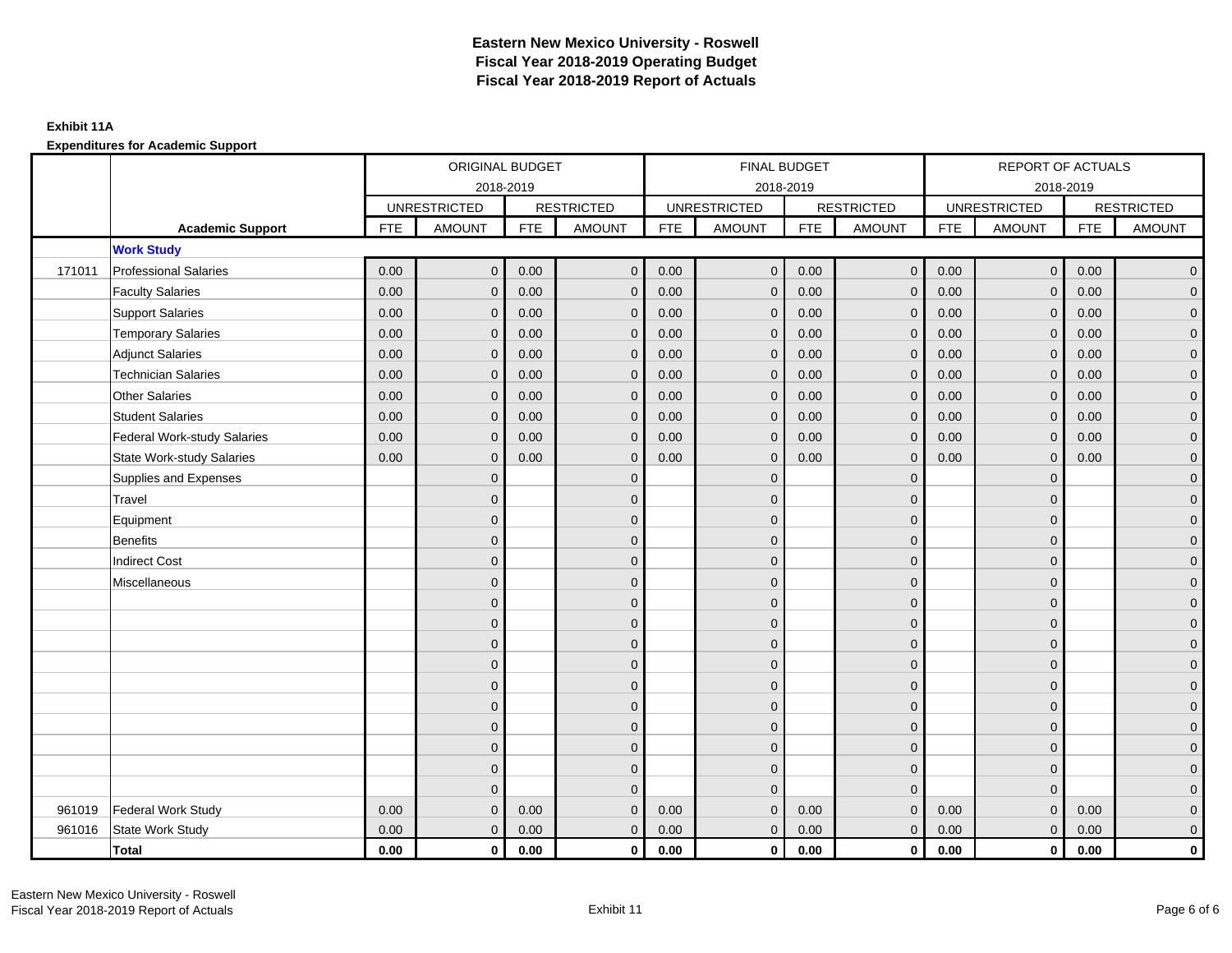|        |                                    |            | ORIGINAL BUDGET     |            |                   |            | FINAL BUDGET        |            |                   |            | <b>REPORT OF ACTUALS</b> |            |                   |
|--------|------------------------------------|------------|---------------------|------------|-------------------|------------|---------------------|------------|-------------------|------------|--------------------------|------------|-------------------|
|        |                                    |            | 2018-2019           |            |                   |            | 2018-2019           |            |                   |            | 2018-2019                |            |                   |
|        |                                    |            | <b>UNRESTRICTED</b> |            | <b>RESTRICTED</b> |            | <b>UNRESTRICTED</b> |            | <b>RESTRICTED</b> |            | <b>UNRESTRICTED</b>      |            | <b>RESTRICTED</b> |
|        | <b>Academic Support</b>            | <b>FTE</b> | <b>AMOUNT</b>       | <b>FTE</b> | <b>AMOUNT</b>     | <b>FTE</b> | <b>AMOUNT</b>       | <b>FTE</b> | <b>AMOUNT</b>     | <b>FTE</b> | <b>AMOUNT</b>            | <b>FTE</b> | <b>AMOUNT</b>     |
|        | <b>Work Study</b>                  |            |                     |            |                   |            |                     |            |                   |            |                          |            |                   |
| 171011 | <b>Professional Salaries</b>       | 0.00       | $\mathbf{0}$        | 0.00       | $\mathbf 0$       | 0.00       | $\overline{0}$      | 0.00       | $\overline{0}$    | 0.00       | $\overline{0}$           | 0.00       | $\mathbf{0}$      |
|        | <b>Faculty Salaries</b>            | 0.00       | $\Omega$            | 0.00       | $\Omega$          | 0.00       | $\mathbf{0}$        | 0.00       | $\Omega$          | 0.00       | $\mathbf{0}$             | 0.00       | $\mathbf{0}$      |
|        | <b>Support Salaries</b>            | 0.00       | $\mathbf{0}$        | 0.00       | $\mathbf{0}$      | 0.00       | $\mathbf 0$         | 0.00       | $\mathbf 0$       | 0.00       | $\overline{0}$           | 0.00       | 0                 |
|        | <b>Temporary Salaries</b>          | 0.00       | $\Omega$            | 0.00       | $\mathbf{0}$      | 0.00       | $\Omega$            | 0.00       | $\mathbf{0}$      | 0.00       | $\mathbf 0$              | 0.00       | $\mathbf{0}$      |
|        | <b>Adjunct Salaries</b>            | 0.00       | $\mathbf{0}$        | 0.00       | $\mathbf{0}$      | 0.00       | $\mathbf{0}$        | 0.00       | $\mathbf{0}$      | 0.00       | $\mathbf 0$              | 0.00       | 0                 |
|        | <b>Technician Salaries</b>         | 0.00       | $\Omega$            | 0.00       | $\mathbf{0}$      | 0.00       | $\mathbf{0}$        | 0.00       | $\mathbf{0}$      | 0.00       | $\mathbf{0}$             | 0.00       | $\mathbf{0}$      |
|        | <b>Other Salaries</b>              | 0.00       | $\Omega$            | 0.00       | $\Omega$          | 0.00       | $\Omega$            | 0.00       | $\Omega$          | 0.00       | $\mathbf{0}$             | 0.00       | 0                 |
|        | <b>Student Salaries</b>            | 0.00       | $\mathbf{0}$        | 0.00       | $\mathbf{0}$      | 0.00       | $\mathbf{0}$        | 0.00       | $\mathbf 0$       | 0.00       | $\mathbf 0$              | 0.00       | 0                 |
|        | <b>Federal Work-study Salaries</b> | 0.00       | $\Omega$            | 0.00       | $\mathbf{0}$      | 0.00       | $\Omega$            | 0.00       | $\mathbf{0}$      | 0.00       | $\mathbf{0}$             | 0.00       | $\mathbf{0}$      |
|        | <b>State Work-study Salaries</b>   | 0.00       | $\mathbf{0}$        | 0.00       | $\mathbf{0}$      | 0.00       | $\mathbf 0$         | 0.00       | $\mathbf 0$       | 0.00       | $\mathbf 0$              | 0.00       | 0                 |
|        | Supplies and Expenses              |            | $\Omega$            |            | $\mathbf{0}$      |            | $\Omega$            |            | $\mathbf 0$       |            | $\mathbf{0}$             |            | $\mathbf{0}$      |
|        | Travel                             |            | $\Omega$            |            | $\Omega$          |            | $\Omega$            |            | $\Omega$          |            | $\Omega$                 |            | 0                 |
|        | Equipment                          |            | $\Omega$            |            | $\mathbf{0}$      |            | $\Omega$            |            | $\mathbf 0$       |            | $\mathbf{0}$             |            | 0                 |
|        | <b>Benefits</b>                    |            | $\Omega$            |            | $\mathbf{0}$      |            | $\Omega$            |            | $\mathbf{0}$      |            | $\mathbf{0}$             |            | $\overline{0}$    |
|        | <b>Indirect Cost</b>               |            | $\Omega$            |            | $\mathbf{0}$      |            | $\Omega$            |            | $\mathbf 0$       |            | $\mathbf{0}$             |            | 0                 |
|        | Miscellaneous                      |            | $\Omega$            |            | $\mathbf{0}$      |            | $\Omega$            |            | $\mathbf 0$       |            | $\Omega$                 |            | 0                 |
|        |                                    |            | $\Omega$            |            | $\mathbf{0}$      |            | $\Omega$            |            | $\Omega$          |            | $\Omega$                 |            | $\overline{0}$    |
|        |                                    |            | $\Omega$            |            | $\mathbf 0$       |            | $\Omega$            |            | $\mathbf 0$       |            | $\mathbf{0}$             |            | 0                 |
|        |                                    |            | $\Omega$            |            | $\mathbf{0}$      |            | $\Omega$            |            | $\mathbf 0$       |            | $\Omega$                 |            | 0                 |
|        |                                    |            | $\Omega$            |            | $\mathbf{0}$      |            | $\Omega$            |            | $\mathbf 0$       |            | $\mathbf{0}$             |            | 0                 |
|        |                                    |            | $\Omega$            |            | $\mathbf{0}$      |            | $\Omega$            |            | $\mathbf 0$       |            | $\Omega$                 |            | 0                 |
|        |                                    |            | $\Omega$            |            | $\mathbf{0}$      |            | $\Omega$            |            | $\mathbf 0$       |            | $\mathbf{0}$             |            | 0                 |
|        |                                    |            | $\Omega$            |            | $\mathbf{0}$      |            | $\Omega$            |            | $\mathbf 0$       |            | $\mathbf{0}$             |            | 0                 |
|        |                                    |            | $\Omega$            |            | $\mathbf{0}$      |            | $\Omega$            |            | $\mathbf 0$       |            | $\Omega$                 |            | $\Omega$          |
|        |                                    |            | $\Omega$            |            | $\mathbf{0}$      |            | $\mathbf 0$         |            | $\mathbf 0$       |            | $\mathbf{0}$             |            | 0                 |
|        |                                    |            | $\Omega$            |            | $\mathbf{0}$      |            | $\Omega$            |            | $\mathbf{0}$      |            | $\mathbf{0}$             |            | $\Omega$          |
| 961019 | Federal Work Study                 | 0.00       | $\Omega$            | 0.00       | $\mathbf{0}$      | 0.00       | $\mathbf 0$         | 0.00       | $\mathbf 0$       | 0.00       | $\pmb{0}$                | 0.00       | 0                 |
| 961016 | State Work Study                   | 0.00       | $\mathbf{0}$        | 0.00       | $\overline{0}$    | 0.00       | $\mathbf 0$         | 0.00       | $\mathbf{0}$      | 0.00       | $\mathbf{0}$             | 0.00       | 0                 |
|        | <b>Total</b>                       | 0.00       | $\mathbf 0$         | 0.00       | $\mathbf 0$       | 0.00       | $\mathbf{0}$        | 0.00       | $\mathbf 0$       | 0.00       | $\bf{0}$                 | 0.00       | 0                 |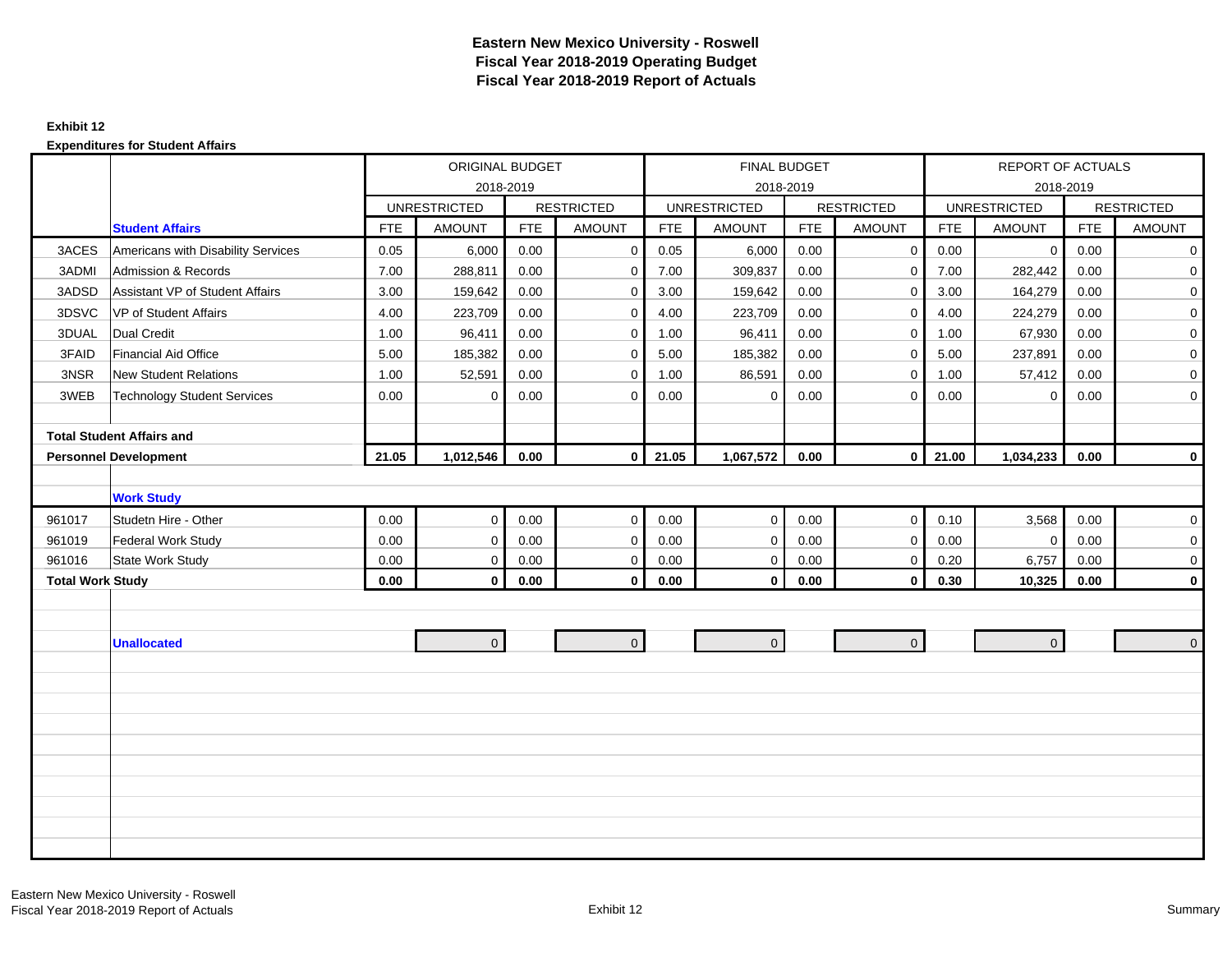### **Exhibit 12**

|                         |                                    |            | ORIGINAL BUDGET     |            |                   |            | FINAL BUDGET        |            |                   |            | REPORT OF ACTUALS   |            |                   |
|-------------------------|------------------------------------|------------|---------------------|------------|-------------------|------------|---------------------|------------|-------------------|------------|---------------------|------------|-------------------|
|                         |                                    |            |                     | 2018-2019  |                   |            |                     | 2018-2019  |                   |            |                     | 2018-2019  |                   |
|                         |                                    |            | <b>UNRESTRICTED</b> |            | <b>RESTRICTED</b> |            | <b>UNRESTRICTED</b> |            | <b>RESTRICTED</b> |            | <b>UNRESTRICTED</b> |            | <b>RESTRICTED</b> |
|                         | <b>Student Affairs</b>             | <b>FTE</b> | <b>AMOUNT</b>       | <b>FTE</b> | <b>AMOUNT</b>     | <b>FTE</b> | <b>AMOUNT</b>       | <b>FTE</b> | <b>AMOUNT</b>     | <b>FTE</b> | <b>AMOUNT</b>       | <b>FTE</b> | <b>AMOUNT</b>     |
| 3ACES                   | Americans with Disability Services | 0.05       | 6,000               | 0.00       | $\mathbf 0$       | 0.05       | 6,000               | 0.00       | $\mathbf{0}$      | 0.00       | $\mathbf 0$         | 0.00       | $\mathbf 0$       |
| 3ADMI                   | <b>Admission &amp; Records</b>     | 7.00       | 288,811             | 0.00       | $\mathbf 0$       | 7.00       | 309,837             | 0.00       | $\mathbf 0$       | 7.00       | 282,442             | 0.00       | $\mathbf 0$       |
| 3ADSD                   | Assistant VP of Student Affairs    | 3.00       | 159,642             | 0.00       | $\mathbf 0$       | 3.00       | 159,642             | 0.00       | $\mathbf 0$       | 3.00       | 164,279             | 0.00       | $\overline{0}$    |
| 3DSVC                   | VP of Student Affairs              | 4.00       | 223,709             | 0.00       | $\mathbf 0$       | 4.00       | 223,709             | 0.00       | $\mathbf 0$       | 4.00       | 224,279             | 0.00       | $\mathbf 0$       |
| 3DUAL                   | <b>Dual Credit</b>                 | 1.00       | 96,411              | 0.00       | $\mathbf 0$       | 1.00       | 96,411              | 0.00       | $\mathbf 0$       | 1.00       | 67,930              | 0.00       | $\mathbf 0$       |
| 3FAID                   | <b>Financial Aid Office</b>        | 5.00       | 185,382             | 0.00       | $\mathbf 0$       | 5.00       | 185,382             | 0.00       | $\Omega$          | 5.00       | 237,891             | 0.00       | $\mathbf 0$       |
| 3NSR                    | <b>New Student Relations</b>       | 1.00       | 52,591              | 0.00       | $\mathbf 0$       | 1.00       | 86,591              | 0.00       | $\mathbf 0$       | 1.00       | 57,412              | 0.00       | $\mathbf 0$       |
| 3WEB                    | <b>Technology Student Services</b> | 0.00       | $\mathbf 0$         | 0.00       | $\mathbf 0$       | 0.00       | $\mathbf 0$         | 0.00       | $\Omega$          | 0.00       | $\mathbf 0$         | 0.00       | $\overline{0}$    |
|                         |                                    |            |                     |            |                   |            |                     |            |                   |            |                     |            |                   |
|                         | <b>Total Student Affairs and</b>   |            |                     |            |                   |            |                     |            |                   |            |                     |            |                   |
|                         | <b>Personnel Development</b>       | 21.05      | 1,012,546           | 0.00       | $\mathbf 0$       | 21.05      | 1,067,572           | 0.00       | $\overline{0}$    | 21.00      | 1,034,233           | 0.00       | $\mathbf 0$       |
|                         |                                    |            |                     |            |                   |            |                     |            |                   |            |                     |            |                   |
|                         | <b>Work Study</b>                  |            |                     |            |                   |            |                     |            |                   |            |                     |            |                   |
| 961017                  | Studetn Hire - Other               | 0.00       | $\mathbf 0$         | 0.00       | $\mathbf 0$       | 0.00       | $\mathbf 0$         | 0.00       | $\mathbf 0$       | 0.10       | 3,568               | 0.00       | 0                 |
| 961019                  | <b>Federal Work Study</b>          | 0.00       | $\mathbf 0$         | 0.00       | $\mathbf 0$       | 0.00       | $\mathbf 0$         | 0.00       | $\mathbf 0$       | 0.00       | $\mathbf 0$         | 0.00       | $\mathbf 0$       |
| 961016                  | <b>State Work Study</b>            | 0.00       | $\mathbf 0$         | 0.00       | $\mathbf 0$       | 0.00       | $\mathbf 0$         | 0.00       | $\mathbf 0$       | 0.20       | 6,757               | 0.00       | 0                 |
| <b>Total Work Study</b> |                                    | 0.00       | $\mathbf 0$         | 0.00       | $\mathbf 0$       | 0.00       | 0                   | 0.00       | $\mathbf 0$       | 0.30       | 10,325              | 0.00       | $\mathbf 0$       |
|                         |                                    |            |                     |            |                   |            |                     |            |                   |            |                     |            |                   |
|                         |                                    |            |                     |            |                   |            |                     |            |                   |            |                     |            |                   |
|                         | <b>Unallocated</b>                 |            | $\overline{0}$      |            | $\overline{0}$    |            | $\mathbf 0$         |            | $\overline{0}$    |            | $\mathbf{0}$        |            | $\mathbf 0$       |
|                         |                                    |            |                     |            |                   |            |                     |            |                   |            |                     |            |                   |
|                         |                                    |            |                     |            |                   |            |                     |            |                   |            |                     |            |                   |
|                         |                                    |            |                     |            |                   |            |                     |            |                   |            |                     |            |                   |
|                         |                                    |            |                     |            |                   |            |                     |            |                   |            |                     |            |                   |
|                         |                                    |            |                     |            |                   |            |                     |            |                   |            |                     |            |                   |
|                         |                                    |            |                     |            |                   |            |                     |            |                   |            |                     |            |                   |
|                         |                                    |            |                     |            |                   |            |                     |            |                   |            |                     |            |                   |
|                         |                                    |            |                     |            |                   |            |                     |            |                   |            |                     |            |                   |
|                         |                                    |            |                     |            |                   |            |                     |            |                   |            |                     |            |                   |
|                         |                                    |            |                     |            |                   |            |                     |            |                   |            |                     |            |                   |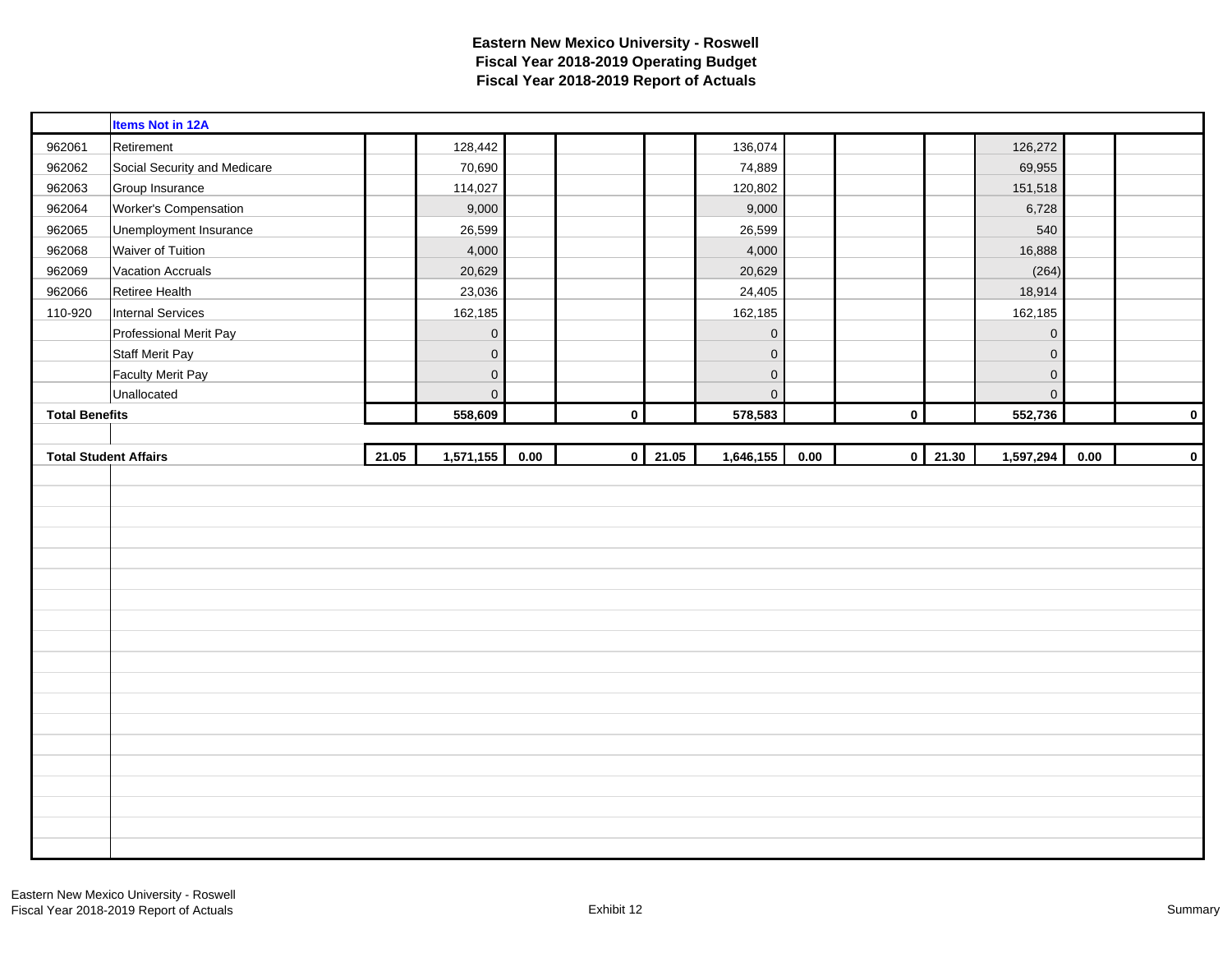|                       | <b>Items Not in 12A</b>      |       |                     |      |           |       |             |      |             |       |             |      |             |
|-----------------------|------------------------------|-------|---------------------|------|-----------|-------|-------------|------|-------------|-------|-------------|------|-------------|
| 962061                | Retirement                   |       | 128,442             |      |           |       | 136,074     |      |             |       | 126,272     |      |             |
| 962062                | Social Security and Medicare |       | 70,690              |      |           |       | 74,889      |      |             |       | 69,955      |      |             |
| 962063                | Group Insurance              |       | 114,027             |      |           |       | 120,802     |      |             |       | 151,518     |      |             |
| 962064                | Worker's Compensation        |       | 9,000               |      |           |       | 9,000       |      |             |       | 6,728       |      |             |
| 962065                | Unemployment Insurance       |       | 26,599              |      |           |       | 26,599      |      |             |       | 540         |      |             |
| 962068                | Waiver of Tuition            |       | 4,000               |      |           |       | 4,000       |      |             |       | 16,888      |      |             |
| 962069                | <b>Vacation Accruals</b>     |       | 20,629              |      |           |       | 20,629      |      |             |       | (264)       |      |             |
| 962066                | Retiree Health               |       | 23,036              |      |           |       | 24,405      |      |             |       | 18,914      |      |             |
| 110-920               | <b>Internal Services</b>     |       | 162,185             |      |           |       | 162,185     |      |             |       | 162,185     |      |             |
|                       | Professional Merit Pay       |       | $\mathbf 0$         |      |           |       | $\pmb{0}$   |      |             |       | $\pmb{0}$   |      |             |
|                       | <b>Staff Merit Pay</b>       |       | $\mathbf 0$         |      |           |       | $\pmb{0}$   |      |             |       | $\mathbf 0$ |      |             |
|                       | <b>Faculty Merit Pay</b>     |       | $\mathsf{O}\xspace$ |      |           |       | $\mathbf 0$ |      |             |       | $\mathbf 0$ |      |             |
|                       | Unallocated                  |       | $\mathbf 0$         |      |           |       | $\mathbf 0$ |      |             |       | $\mathbf 0$ |      |             |
| <b>Total Benefits</b> |                              |       | 558,609             |      | $\pmb{0}$ |       | 578,583     |      | $\mathbf 0$ |       | 552,736     |      | $\mathbf 0$ |
|                       |                              |       |                     |      |           |       |             |      |             |       |             |      |             |
|                       |                              |       |                     |      |           |       |             |      |             |       |             |      |             |
|                       | <b>Total Student Affairs</b> | 21.05 | 1,571,155           | 0.00 | $\pmb{0}$ | 21.05 | 1,646,155   | 0.00 | $\mathbf 0$ | 21.30 | 1,597,294   | 0.00 |             |
|                       |                              |       |                     |      |           |       |             |      |             |       |             |      | $\pmb{0}$   |
|                       |                              |       |                     |      |           |       |             |      |             |       |             |      |             |
|                       |                              |       |                     |      |           |       |             |      |             |       |             |      |             |
|                       |                              |       |                     |      |           |       |             |      |             |       |             |      |             |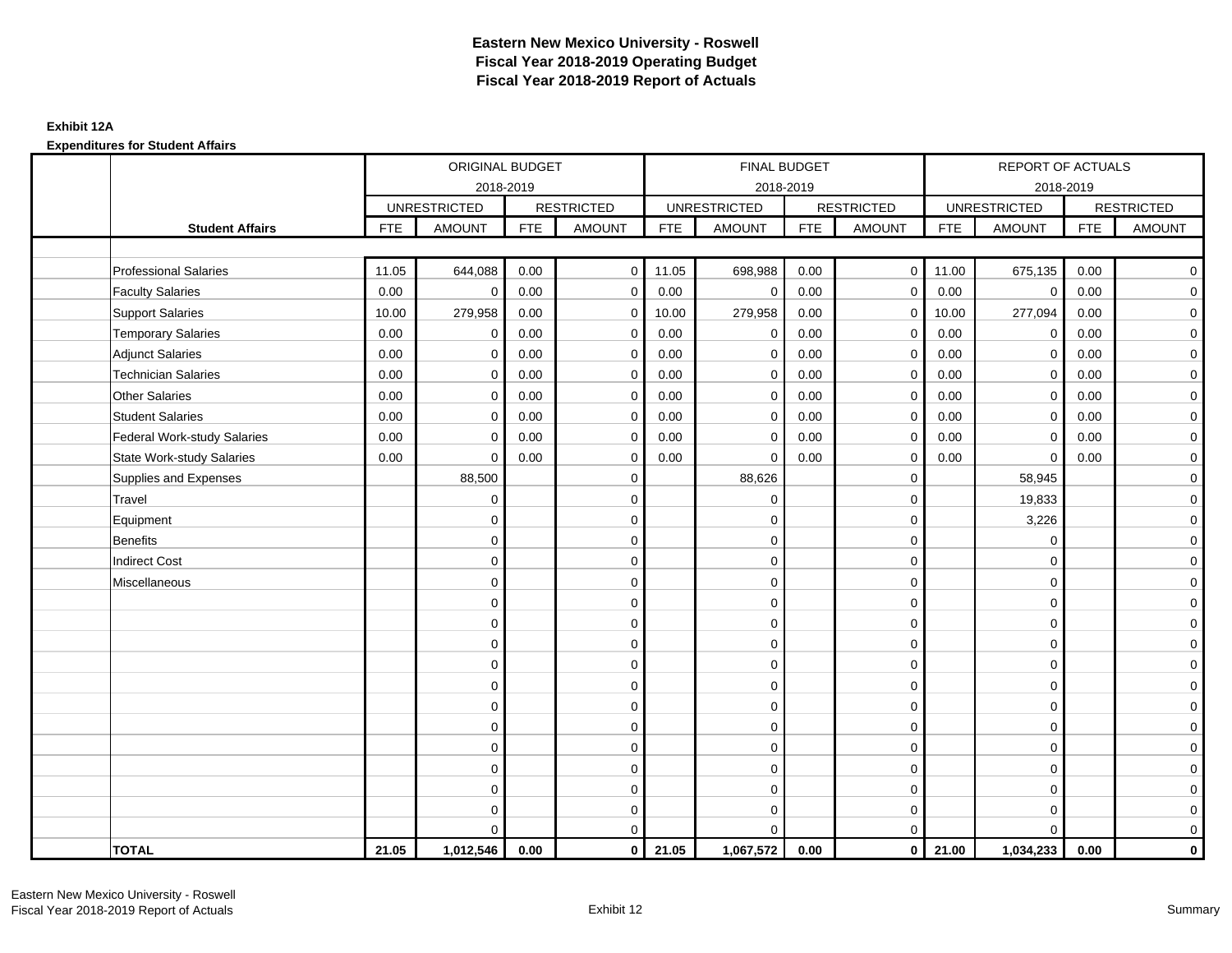#### **Exhibit 12A**

|                                    |            | ORIGINAL BUDGET     |            |                   |            | <b>FINAL BUDGET</b> |            |                         |            | <b>REPORT OF ACTUALS</b> |            |                     |
|------------------------------------|------------|---------------------|------------|-------------------|------------|---------------------|------------|-------------------------|------------|--------------------------|------------|---------------------|
|                                    |            | 2018-2019           |            |                   |            | 2018-2019           |            |                         |            | 2018-2019                |            |                     |
|                                    |            | <b>UNRESTRICTED</b> |            | <b>RESTRICTED</b> |            | <b>UNRESTRICTED</b> |            | <b>RESTRICTED</b>       |            | <b>UNRESTRICTED</b>      |            | <b>RESTRICTED</b>   |
| <b>Student Affairs</b>             | <b>FTE</b> | <b>AMOUNT</b>       | <b>FTE</b> | <b>AMOUNT</b>     | <b>FTE</b> | <b>AMOUNT</b>       | <b>FTE</b> | <b>AMOUNT</b>           | <b>FTE</b> | <b>AMOUNT</b>            | <b>FTE</b> | <b>AMOUNT</b>       |
|                                    |            |                     |            |                   |            |                     |            |                         |            |                          |            |                     |
| <b>Professional Salaries</b>       | 11.05      | 644,088             | 0.00       | $\mathbf 0$       | 11.05      | 698,988             | 0.00       | $\overline{0}$          | 11.00      | 675,135                  | 0.00       | $\overline{0}$      |
| <b>Faculty Salaries</b>            | 0.00       | $\mathbf 0$         | 0.00       | $\mathbf 0$       | 0.00       | $\mathbf 0$         | 0.00       | $\mathbf 0$             | 0.00       | $\mathbf 0$              | 0.00       | $\mathbf 0$         |
| <b>Support Salaries</b>            | 10.00      | 279,958             | 0.00       | $\mathbf 0$       | 10.00      | 279,958             | 0.00       | $\mathbf 0$             | 10.00      | 277,094                  | 0.00       | $\overline{0}$      |
| <b>Temporary Salaries</b>          | 0.00       | $\mathbf 0$         | 0.00       | $\mathbf 0$       | 0.00       | $\mathbf 0$         | 0.00       | $\mathbf 0$             | 0.00       | $\mathbf 0$              | 0.00       | $\mathbf 0$         |
| <b>Adjunct Salaries</b>            | 0.00       | $\Omega$            | 0.00       | $\Omega$          | 0.00       | $\Omega$            | 0.00       | $\mathbf 0$             | 0.00       | $\mathbf 0$              | 0.00       | $\overline{0}$      |
| <b>Technician Salaries</b>         | 0.00       | $\mathbf 0$         | 0.00       | $\mathbf 0$       | 0.00       | $\mathbf 0$         | 0.00       | $\mathbf 0$             | 0.00       | $\mathbf 0$              | 0.00       | $\mathbf 0$         |
| <b>Other Salaries</b>              | 0.00       | $\mathbf 0$         | 0.00       | $\mathbf 0$       | 0.00       | $\mathbf 0$         | 0.00       | $\mathbf 0$             | 0.00       | $\mathbf 0$              | 0.00       | $\overline{0}$      |
| <b>Student Salaries</b>            | 0.00       | $\mathbf 0$         | 0.00       | $\mathbf 0$       | 0.00       | $\mathbf 0$         | 0.00       | $\mathbf 0$             | 0.00       | $\mathbf 0$              | 0.00       | $\overline{0}$      |
| <b>Federal Work-study Salaries</b> | 0.00       | $\mathbf 0$         | 0.00       | $\mathbf 0$       | 0.00       | $\Omega$            | 0.00       | $\mathbf 0$             | 0.00       | $\mathbf 0$              | 0.00       | $\mathbf 0$         |
| <b>State Work-study Salaries</b>   | 0.00       | $\mathbf 0$         | 0.00       | $\mathbf 0$       | 0.00       | $\Omega$            | 0.00       | $\mathbf 0$             | 0.00       | $\Omega$                 | 0.00       | $\mathbf 0$         |
| Supplies and Expenses              |            | 88,500              |            | $\mathbf 0$       |            | 88,626              |            | $\mathbf 0$             |            | 58,945                   |            | $\mathbf 0$         |
| Travel                             |            | $\mathbf 0$         |            | $\mathbf 0$       |            | $\mathbf 0$         |            | $\mathbf 0$             |            | 19,833                   |            | $\mathbf 0$         |
| Equipment                          |            | $\mathbf 0$         |            | $\mathbf 0$       |            | $\mathbf 0$         |            | $\mathbf 0$             |            | 3,226                    |            | $\overline{0}$      |
| <b>Benefits</b>                    |            | $\mathbf 0$         |            | $\mathbf 0$       |            | $\mathbf 0$         |            | $\mathbf 0$             |            | 0                        |            | $\mathbf 0$         |
| <b>Indirect Cost</b>               |            | $\Omega$            |            | $\mathbf 0$       |            | $\Omega$            |            | $\mathbf 0$             |            | $\Omega$                 |            | $\mathbf 0$         |
| Miscellaneous                      |            | $\Omega$            |            | $\mathbf 0$       |            | $\Omega$            |            | $\mathbf 0$             |            | $\Omega$                 |            | $\mathbf 0$         |
|                                    |            | $\mathbf 0$         |            | $\mathbf 0$       |            | $\Omega$            |            | $\mathbf 0$             |            | $\Omega$                 |            | $\mathbf 0$         |
|                                    |            | $\Omega$            |            | $\mathbf 0$       |            | $\Omega$            |            | $\mathbf 0$             |            | $\Omega$                 |            | $\mathbf 0$         |
|                                    |            | $\Omega$            |            | $\mathbf 0$       |            | $\Omega$            |            | $\mathbf 0$             |            | $\Omega$                 |            | $\mathbf 0$         |
|                                    |            | $\Omega$            |            | $\mathbf 0$       |            | $\Omega$            |            | $\mathbf 0$             |            | $\Omega$                 |            | $\mathbf 0$         |
|                                    |            | $\Omega$            |            | $\mathbf 0$       |            | $\Omega$            |            | $\mathbf 0$             |            | $\Omega$                 |            | $\mathsf{O}\xspace$ |
|                                    |            | $\mathbf 0$         |            | $\mathbf 0$       |            | $\Omega$            |            | $\mathbf 0$             |            | $\Omega$                 |            | $\mathbf 0$         |
|                                    |            | $\mathbf 0$         |            | 0                 |            | $\Omega$            |            | $\mathbf 0$             |            | $\mathbf 0$              |            | $\mathbf 0$         |
|                                    |            | $\Omega$            |            | $\mathbf 0$       |            | $\Omega$            |            | $\mathbf 0$             |            | $\mathbf 0$              |            | $\mathbf 0$         |
|                                    |            | $\mathbf 0$         |            | 0                 |            | 0                   |            | $\mathbf 0$             |            | $\mathbf 0$              |            | $\mathbf 0$         |
|                                    |            | $\Omega$            |            | $\mathbf 0$       |            | $\Omega$            |            | $\mathbf 0$             |            | $\Omega$                 |            | $\mathbf 0$         |
|                                    |            | $\mathbf 0$         |            | $\mathbf 0$       |            | $\mathbf 0$         |            | $\mathbf 0$             |            | $\mathbf 0$              |            | $\mathbf 0$         |
|                                    |            | $\Omega$            |            | $\mathbf 0$       |            | $\Omega$            |            | $\mathbf 0$             |            | $\Omega$                 |            | $\mathbf 0$         |
| <b>TOTAL</b>                       | 21.05      | 1,012,546           | 0.00       | $\mathbf 0$       | 21.05      | 1,067,572           | 0.00       | $\overline{\mathbf{0}}$ | 21.00      | 1,034,233                | 0.00       | $\mathbf{0}$        |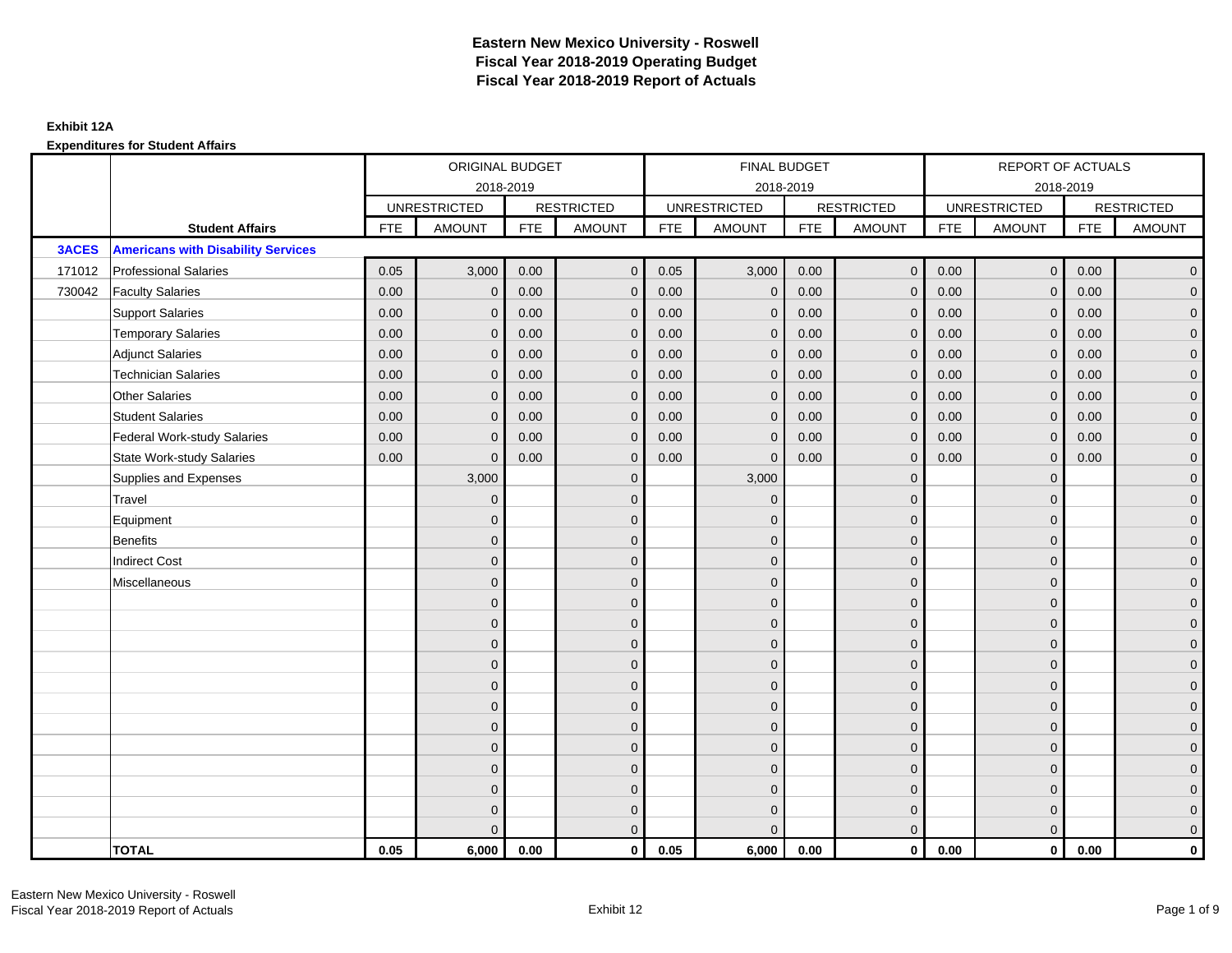|              |                                           | ORIGINAL BUDGET<br>2018-2019 |                     |            |                   |            | FINAL BUDGET        |            |                   |            | <b>REPORT OF ACTUALS</b> |            |                     |
|--------------|-------------------------------------------|------------------------------|---------------------|------------|-------------------|------------|---------------------|------------|-------------------|------------|--------------------------|------------|---------------------|
|              |                                           |                              |                     |            |                   |            | 2018-2019           |            |                   |            | 2018-2019                |            |                     |
|              |                                           |                              | <b>UNRESTRICTED</b> |            | <b>RESTRICTED</b> |            | <b>UNRESTRICTED</b> |            | <b>RESTRICTED</b> |            | <b>UNRESTRICTED</b>      |            | <b>RESTRICTED</b>   |
|              | <b>Student Affairs</b>                    | <b>FTE</b>                   | <b>AMOUNT</b>       | <b>FTE</b> | <b>AMOUNT</b>     | <b>FTE</b> | <b>AMOUNT</b>       | <b>FTE</b> | <b>AMOUNT</b>     | <b>FTE</b> | <b>AMOUNT</b>            | <b>FTE</b> | <b>AMOUNT</b>       |
| <b>3ACES</b> | <b>Americans with Disability Services</b> |                              |                     |            |                   |            |                     |            |                   |            |                          |            |                     |
| 171012       | <b>Professional Salaries</b>              | 0.05                         | 3,000               | 0.00       | $\mathbf{0}$      | 0.05       | 3,000               | 0.00       | $\overline{0}$    | 0.00       | $\mathbf 0$              | 0.00       | $\overline{0}$      |
| 730042       | <b>Faculty Salaries</b>                   | 0.00                         | $\mathbf 0$         | 0.00       | $\mathbf{0}$      | 0.00       | $\mathbf{0}$        | 0.00       | $\mathbf{0}$      | 0.00       | $\mathbf{0}$             | 0.00       | $\overline{0}$      |
|              | <b>Support Salaries</b>                   | 0.00                         | $\mathbf{0}$        | 0.00       | $\mathbf{0}$      | 0.00       | $\mathbf{0}$        | 0.00       | $\mathbf{0}$      | 0.00       | $\mathbf 0$              | 0.00       | $\overline{0}$      |
|              | <b>Temporary Salaries</b>                 | 0.00                         | $\mathbf{0}$        | 0.00       | $\Omega$          | 0.00       | $\mathbf{0}$        | 0.00       | $\mathbf{0}$      | 0.00       | $\mathbf{0}$             | 0.00       | $\overline{0}$      |
|              | <b>Adjunct Salaries</b>                   | 0.00                         | $\mathbf{0}$        | 0.00       | $\mathbf{0}$      | 0.00       | $\mathbf{0}$        | 0.00       | $\mathbf{0}$      | 0.00       | $\mathbf{0}$             | 0.00       | $\mathbf 0$         |
|              | <b>Technician Salaries</b>                | 0.00                         | $\mathbf{0}$        | 0.00       | $\mathbf{0}$      | 0.00       | $\mathbf{0}$        | 0.00       | $\mathbf{0}$      | 0.00       | $\Omega$                 | 0.00       | $\mathbf 0$         |
|              | <b>Other Salaries</b>                     | 0.00                         | $\Omega$            | 0.00       | $\Omega$          | 0.00       | $\Omega$            | 0.00       | $\mathbf{0}$      | 0.00       | $\Omega$                 | 0.00       | $\overline{0}$      |
|              | <b>Student Salaries</b>                   | 0.00                         | $\mathbf{0}$        | 0.00       | $\mathbf{0}$      | 0.00       | $\mathbf 0$         | 0.00       | $\mathbf 0$       | 0.00       | $\mathbf 0$              | 0.00       | $\overline{0}$      |
|              | <b>Federal Work-study Salaries</b>        | 0.00                         | $\mathbf{0}$        | 0.00       | $\Omega$          | 0.00       | $\mathbf 0$         | 0.00       | $\mathbf 0$       | 0.00       | $\mathbf{0}$             | 0.00       | $\overline{0}$      |
|              | <b>State Work-study Salaries</b>          | 0.00                         | $\mathbf{0}$        | 0.00       | $\mathbf{0}$      | 0.00       | $\mathbf{0}$        | 0.00       | $\mathbf{0}$      | 0.00       | $\mathbf{0}$             | 0.00       | $\overline{0}$      |
|              | Supplies and Expenses                     |                              | 3,000               |            | $\mathbf{0}$      |            | 3,000               |            | $\mathbf 0$       |            | $\mathbf{0}$             |            | $\mathsf{O}\xspace$ |
|              | Travel                                    |                              | $\mathbf{0}$        |            | $\mathbf{0}$      |            | $\overline{0}$      |            | $\mathbf 0$       |            | $\mathbf{0}$             |            | $\overline{0}$      |
|              | Equipment                                 |                              | $\mathbf{0}$        |            | $\mathbf{0}$      |            | $\Omega$            |            | $\mathbf 0$       |            | $\Omega$                 |            | $\overline{0}$      |
|              | Benefits                                  |                              | $\mathbf{0}$        |            | $\mathbf{0}$      |            | $\Omega$            |            | $\mathbf 0$       |            | $\mathbf{0}$             |            | $\mathbf 0$         |
|              | <b>Indirect Cost</b>                      |                              | $\mathbf{0}$        |            | $\mathbf{0}$      |            | $\Omega$            |            | $\mathbf{0}$      |            | $\mathbf{0}$             |            | $\mathbf 0$         |
|              | Miscellaneous                             |                              | $\mathbf{0}$        |            | $\mathbf{0}$      |            | $\Omega$            |            | $\mathbf 0$       |            | $\Omega$                 |            | $\overline{0}$      |
|              |                                           |                              | $\mathbf{0}$        |            | $\mathbf 0$       |            | $\overline{0}$      |            | $\mathbf 0$       |            | $\mathbf{0}$             |            | $\overline{0}$      |
|              |                                           |                              | $\mathbf{0}$        |            | $\mathbf 0$       |            | $\mathbf{0}$        |            | $\mathbf 0$       |            | $\Omega$                 |            | $\overline{0}$      |
|              |                                           |                              | $\Omega$            |            | $\mathbf{0}$      |            | $\Omega$            |            | $\mathbf 0$       |            | $\Omega$                 |            | $\overline{0}$      |
|              |                                           |                              | $\mathbf{0}$        |            | $\mathbf{0}$      |            | $\Omega$            |            | $\mathbf 0$       |            | $\mathbf{0}$             |            | $\overline{0}$      |
|              |                                           |                              | $\mathbf{0}$        |            | $\mathbf{0}$      |            | $\Omega$            |            | $\mathbf 0$       |            | $\Omega$                 |            | $\mathbf 0$         |
|              |                                           |                              | $\mathbf{0}$        |            | $\mathbf{0}$      |            | $\Omega$            |            | $\mathbf{0}$      |            | $\Omega$                 |            | $\overline{0}$      |
|              |                                           |                              | $\mathbf{0}$        |            | $\mathbf 0$       |            | $\overline{0}$      |            | $\mathbf 0$       |            | $\mathbf{0}$             |            | $\overline{0}$      |
|              |                                           |                              | $\Omega$            |            | $\mathbf{0}$      |            | $\Omega$            |            | $\mathbf{0}$      |            | $\mathbf{0}$             |            | $\overline{0}$      |
|              |                                           |                              | $\mathbf{0}$        |            | $\mathbf{0}$      |            | $\Omega$            |            | $\mathbf{0}$      |            | $\mathbf{0}$             |            | $\mathbf 0$         |
|              |                                           |                              | $\Omega$            |            | $\mathbf{0}$      |            | $\Omega$            |            | $\mathbf{0}$      |            | $\Omega$                 |            | $\mathbf 0$         |
|              |                                           |                              | $\mathbf{0}$        |            | $\mathbf 0$       |            | $\Omega$            |            | $\mathbf{0}$      |            | $\mathbf{0}$             |            | $\mathbf 0$         |
|              |                                           |                              | $\Omega$            |            | $\mathbf{0}$      |            | $\Omega$            |            | $\mathbf{0}$      |            | $\Omega$                 |            | $\overline{0}$      |
|              | <b>TOTAL</b>                              | 0.05                         | 6,000               | 0.00       | $\mathbf 0$       | 0.05       | 6,000               | 0.00       | $\overline{0}$    | 0.00       | $\mathbf 0$              | 0.00       | $\mathbf 0$         |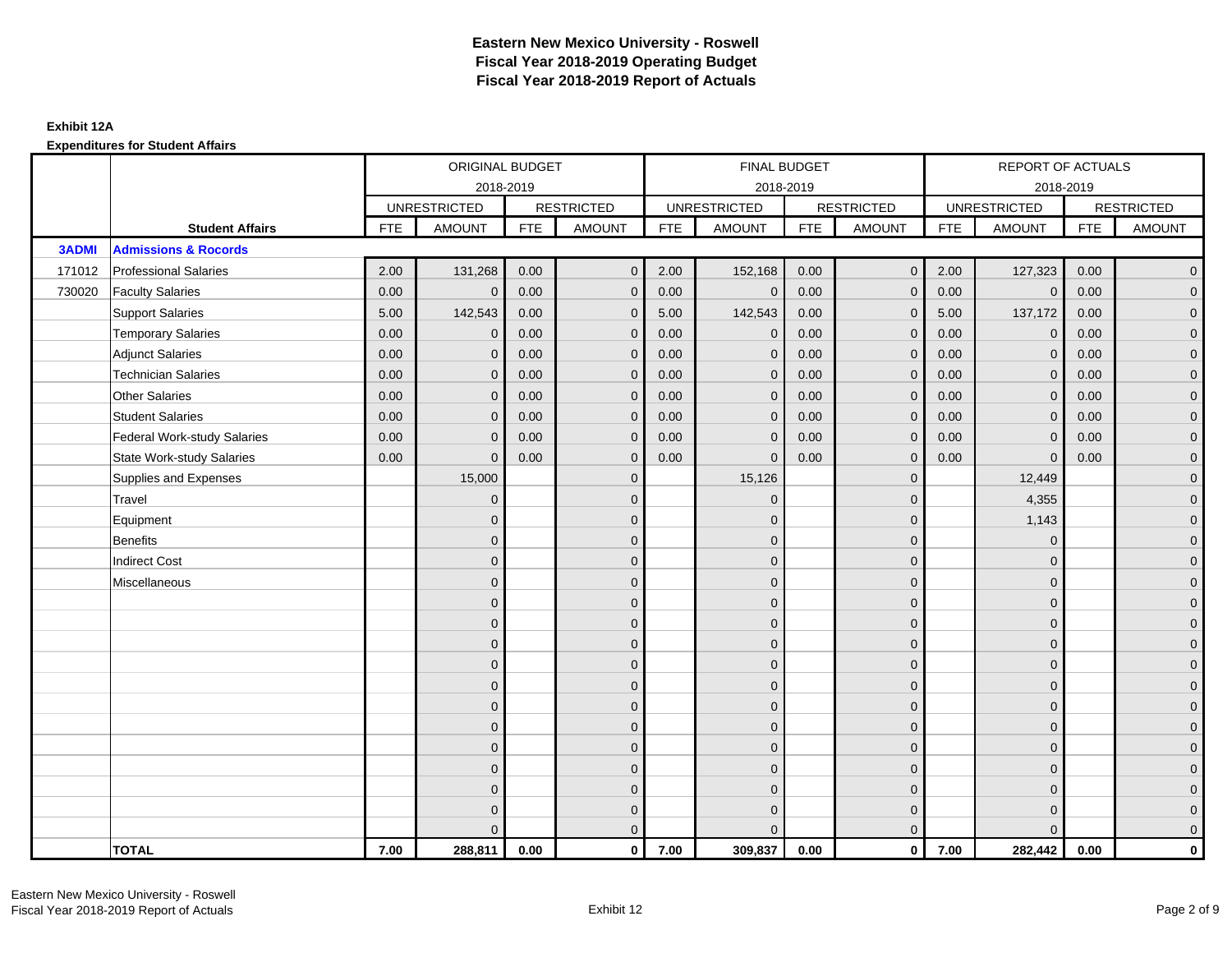|              |                                    | ORIGINAL BUDGET<br>2018-2019 |                     |            |                   |            | <b>FINAL BUDGET</b> |            |                   |            | <b>REPORT OF ACTUALS</b> |            |                     |
|--------------|------------------------------------|------------------------------|---------------------|------------|-------------------|------------|---------------------|------------|-------------------|------------|--------------------------|------------|---------------------|
|              |                                    |                              |                     |            |                   |            | 2018-2019           |            |                   |            | 2018-2019                |            |                     |
|              |                                    |                              | <b>UNRESTRICTED</b> |            | <b>RESTRICTED</b> |            | <b>UNRESTRICTED</b> |            | <b>RESTRICTED</b> |            | <b>UNRESTRICTED</b>      |            | <b>RESTRICTED</b>   |
|              | <b>Student Affairs</b>             | <b>FTE</b>                   | <b>AMOUNT</b>       | <b>FTE</b> | <b>AMOUNT</b>     | <b>FTE</b> | <b>AMOUNT</b>       | <b>FTE</b> | <b>AMOUNT</b>     | <b>FTE</b> | <b>AMOUNT</b>            | <b>FTE</b> | <b>AMOUNT</b>       |
| <b>3ADMI</b> | <b>Admissions &amp; Rocords</b>    |                              |                     |            |                   |            |                     |            |                   |            |                          |            |                     |
| 171012       | <b>Professional Salaries</b>       | 2.00                         | 131,268             | 0.00       | $\mathbf{0}$      | 2.00       | 152,168             | 0.00       | $\overline{0}$    | 2.00       | 127,323                  | 0.00       | $\overline{0}$      |
| 730020       | <b>Faculty Salaries</b>            | 0.00                         | $\mathbf 0$         | 0.00       | $\mathbf{0}$      | 0.00       | $\mathbf{0}$        | 0.00       | $\mathbf{0}$      | 0.00       | $\mathbf{0}$             | 0.00       | $\overline{0}$      |
|              | <b>Support Salaries</b>            | 5.00                         | 142,543             | 0.00       | $\mathbf 0$       | 5.00       | 142,543             | 0.00       | $\mathbf 0$       | 5.00       | 137,172                  | 0.00       | $\overline{0}$      |
|              | <b>Temporary Salaries</b>          | 0.00                         | $\mathbf{0}$        | 0.00       | $\mathbf{0}$      | 0.00       | $\mathbf{0}$        | 0.00       | $\mathbf{0}$      | 0.00       | $\mathbf 0$              | 0.00       | $\overline{0}$      |
|              | <b>Adjunct Salaries</b>            | 0.00                         | $\mathbf{0}$        | 0.00       | $\mathbf{0}$      | 0.00       | $\mathbf{0}$        | 0.00       | $\mathbf 0$       | 0.00       | $\mathbf{0}$             | 0.00       | $\mathbf{0}$        |
|              | <b>Technician Salaries</b>         | 0.00                         | $\mathbf{0}$        | 0.00       | $\mathbf 0$       | 0.00       | $\mathbf{0}$        | 0.00       | $\mathbf{0}$      | 0.00       | $\mathbf{0}$             | 0.00       | $\mathbf{0}$        |
|              | Other Salaries                     | 0.00                         | $\mathbf{0}$        | 0.00       | $\mathbf{0}$      | 0.00       | $\Omega$            | 0.00       | $\mathbf{0}$      | 0.00       | $\overline{0}$           | 0.00       | $\overline{0}$      |
|              | <b>Student Salaries</b>            | 0.00                         | $\mathbf 0$         | 0.00       | $\mathbf 0$       | 0.00       | $\overline{0}$      | 0.00       | $\mathbf 0$       | 0.00       | $\mathbf{0}$             | 0.00       | $\overline{0}$      |
|              | <b>Federal Work-study Salaries</b> | 0.00                         | $\mathbf{0}$        | 0.00       | $\mathbf 0$       | 0.00       | $\mathbf{0}$        | 0.00       | $\overline{0}$    | 0.00       | $\mathbf{0}$             | 0.00       | $\overline{0}$      |
|              | <b>State Work-study Salaries</b>   | 0.00                         | $\mathbf{0}$        | 0.00       | $\mathbf{0}$      | 0.00       | $\mathbf{0}$        | 0.00       | $\mathbf{0}$      | 0.00       | $\mathbf{0}$             | 0.00       | $\overline{0}$      |
|              | Supplies and Expenses              |                              | 15,000              |            | $\mathbf 0$       |            | 15,126              |            | $\mathbf 0$       |            | 12,449                   |            | $\mathsf{O}\xspace$ |
|              | Travel                             |                              | $\mathbf{0}$        |            | $\mathbf 0$       |            | $\mathbf{0}$        |            | $\mathbf 0$       |            | 4,355                    |            | $\overline{0}$      |
|              | Equipment                          |                              | $\mathbf{0}$        |            | $\mathbf 0$       |            | $\mathbf{0}$        |            | $\mathbf 0$       |            | 1,143                    |            | $\overline{0}$      |
|              | <b>Benefits</b>                    |                              | $\mathbf{0}$        |            | $\mathbf{0}$      |            | $\mathbf{0}$        |            | $\mathbf 0$       |            | $\mathbf 0$              |            | $\mathbf{0}$        |
|              | <b>Indirect Cost</b>               |                              | $\mathbf{0}$        |            | $\mathbf{0}$      |            | $\Omega$            |            | $\mathbf 0$       |            | $\mathbf 0$              |            | $\mathbf{0}$        |
|              | Miscellaneous                      |                              | $\Omega$            |            | $\mathbf{0}$      |            | $\mathbf{0}$        |            | $\mathbf 0$       |            | $\mathbf 0$              |            | $\overline{0}$      |
|              |                                    |                              | $\overline{0}$      |            | $\mathbf 0$       |            | $\mathbf{0}$        |            | $\mathbf 0$       |            | $\mathbf{0}$             |            | $\mathsf{O}\xspace$ |
|              |                                    |                              | $\mathbf{0}$        |            | $\mathbf 0$       |            | $\mathbf{0}$        |            | $\mathbf 0$       |            | $\mathbf{0}$             |            | $\overline{0}$      |
|              |                                    |                              | $\Omega$            |            | $\mathbf{0}$      |            | $\Omega$            |            | $\mathbf 0$       |            | $\Omega$                 |            | $\overline{0}$      |
|              |                                    |                              | $\overline{0}$      |            | $\mathbf 0$       |            | $\mathbf{0}$        |            | $\mathbf 0$       |            | $\mathbf 0$              |            | $\mathbf{0}$        |
|              |                                    |                              | $\mathbf{0}$        |            | $\mathbf 0$       |            | $\mathbf{0}$        |            | $\mathbf 0$       |            | $\mathbf 0$              |            | $\mathsf{O}\xspace$ |
|              |                                    |                              | $\overline{0}$      |            | $\mathbf 0$       |            | $\Omega$            |            | $\mathbf{0}$      |            | $\mathbf{0}$             |            | $\overline{0}$      |
|              |                                    |                              | $\overline{0}$      |            | $\mathbf 0$       |            | $\mathbf{0}$        |            | $\mathbf 0$       |            | $\mathbf 0$              |            | $\overline{0}$      |
|              |                                    |                              | $\mathbf{0}$        |            | $\mathbf{0}$      |            | $\Omega$            |            | $\mathbf 0$       |            | $\mathbf{0}$             |            | $\overline{0}$      |
|              |                                    |                              | $\mathbf{0}$        |            | $\mathbf{0}$      |            | $\Omega$            |            | $\mathbf{0}$      |            | $\mathbf{0}$             |            | $\mathbf{0}$        |
|              |                                    |                              | $\Omega$            |            | $\mathbf{0}$      |            | $\Omega$            |            | $\mathbf{0}$      |            | $\Omega$                 |            | $\pmb{0}$           |
|              |                                    |                              | $\overline{0}$      |            | $\mathbf 0$       |            | $\mathbf{0}$        |            | $\mathbf 0$       |            | $\mathbf{0}$             |            | $\mathbf{0}$        |
|              |                                    |                              | $\Omega$            |            | $\mathbf{0}$      |            | $\Omega$            |            | $\mathbf{0}$      |            | $\Omega$                 |            | $\overline{0}$      |
|              | <b>TOTAL</b>                       | 7.00                         | 288,811             | 0.00       | $\mathbf{0}$      | 7.00       | 309,837             | 0.00       | $\overline{0}$    | 7.00       | 282,442                  | 0.00       | $\mathbf{0}$        |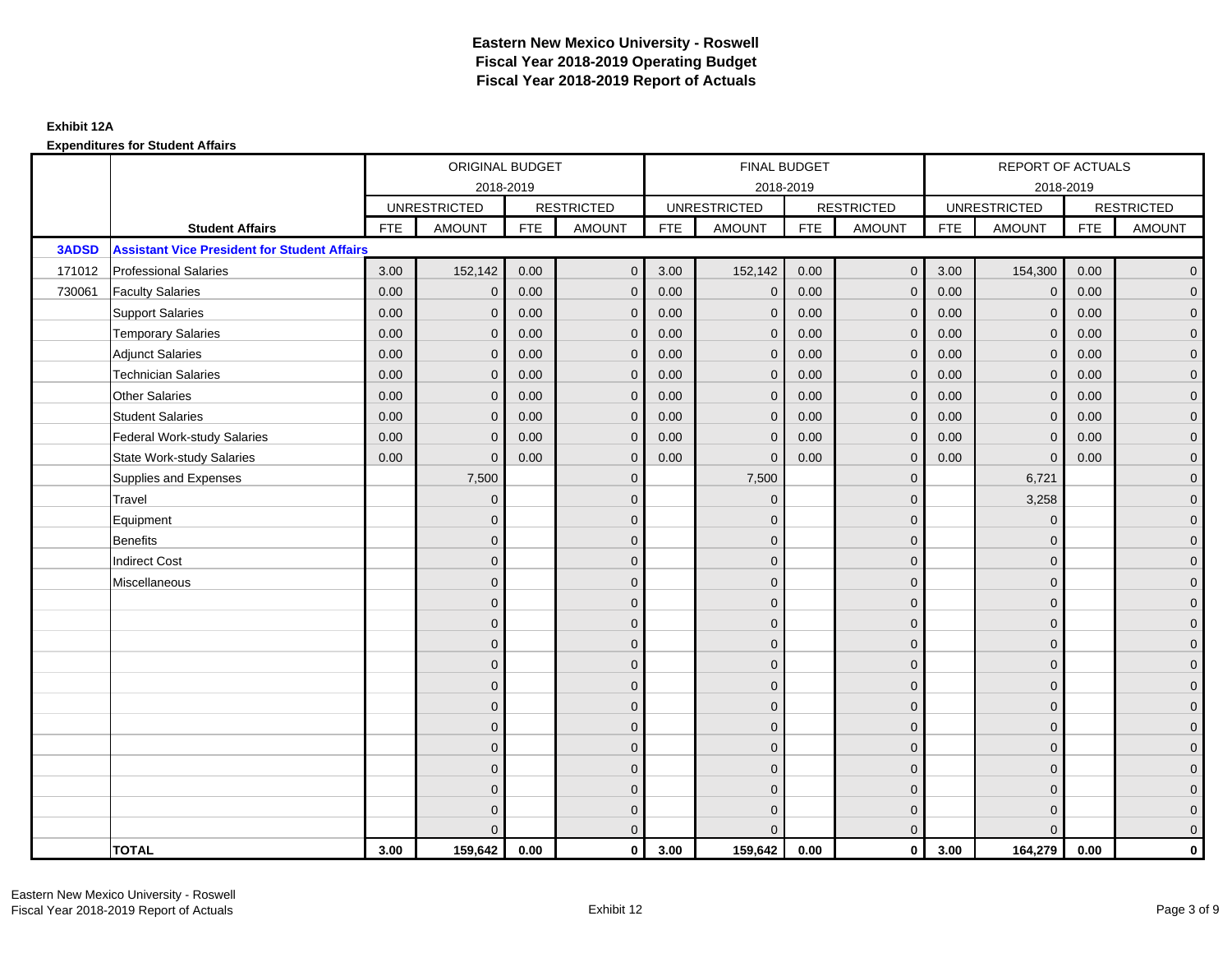|              |                                                     |            | ORIGINAL BUDGET     |            |                   |            | <b>FINAL BUDGET</b> |            |                   |            | <b>REPORT OF ACTUALS</b> |            |                     |
|--------------|-----------------------------------------------------|------------|---------------------|------------|-------------------|------------|---------------------|------------|-------------------|------------|--------------------------|------------|---------------------|
|              |                                                     |            | 2018-2019           |            |                   |            | 2018-2019           |            |                   |            | 2018-2019                |            |                     |
|              |                                                     |            | <b>UNRESTRICTED</b> |            | <b>RESTRICTED</b> |            | <b>UNRESTRICTED</b> |            | <b>RESTRICTED</b> |            | <b>UNRESTRICTED</b>      |            | <b>RESTRICTED</b>   |
|              | <b>Student Affairs</b>                              | <b>FTE</b> | <b>AMOUNT</b>       | <b>FTE</b> | <b>AMOUNT</b>     | <b>FTE</b> | <b>AMOUNT</b>       | <b>FTE</b> | <b>AMOUNT</b>     | <b>FTE</b> | <b>AMOUNT</b>            | <b>FTE</b> | <b>AMOUNT</b>       |
| <b>3ADSD</b> | <b>Assistant Vice President for Student Affairs</b> |            |                     |            |                   |            |                     |            |                   |            |                          |            |                     |
| 171012       | <b>Professional Salaries</b>                        | 3.00       | 152,142             | 0.00       | $\mathbf{0}$      | 3.00       | 152,142             | 0.00       | $\overline{0}$    | 3.00       | 154,300                  | 0.00       | $\overline{0}$      |
| 730061       | <b>Faculty Salaries</b>                             | 0.00       | $\mathbf 0$         | 0.00       | $\mathbf 0$       | 0.00       | $\mathbf 0$         | 0.00       | $\mathbf{0}$      | 0.00       | $\mathbf 0$              | 0.00       | $\overline{0}$      |
|              | <b>Support Salaries</b>                             | 0.00       | $\mathbf 0$         | 0.00       | $\mathbf 0$       | 0.00       | $\mathbf{0}$        | 0.00       | $\mathbf 0$       | 0.00       | $\mathbf{0}$             | 0.00       | $\overline{0}$      |
|              | <b>Temporary Salaries</b>                           | 0.00       | $\mathbf{0}$        | 0.00       | $\mathbf{0}$      | 0.00       | $\mathbf{0}$        | 0.00       | $\mathbf{0}$      | 0.00       | $\mathbf 0$              | 0.00       | $\overline{0}$      |
|              | <b>Adjunct Salaries</b>                             | 0.00       | $\Omega$            | 0.00       | $\Omega$          | 0.00       | $\Omega$            | 0.00       | $\mathbf{0}$      | 0.00       | $\mathbf{0}$             | 0.00       | $\overline{0}$      |
|              | <b>Technician Salaries</b>                          | 0.00       | $\mathbf{0}$        | 0.00       | $\mathbf 0$       | 0.00       | $\mathbf{0}$        | 0.00       | $\mathbf{0}$      | 0.00       | $\mathbf{0}$             | 0.00       | $\mathbf{0}$        |
|              | <b>Other Salaries</b>                               | 0.00       | $\mathbf{0}$        | 0.00       | $\mathbf{0}$      | 0.00       | $\mathbf{0}$        | 0.00       | $\mathbf{0}$      | 0.00       | $\mathbf{0}$             | 0.00       | $\overline{0}$      |
|              | <b>Student Salaries</b>                             | 0.00       | $\mathbf{0}$        | 0.00       | $\mathbf{0}$      | 0.00       | $\mathbf{0}$        | 0.00       | $\mathbf 0$       | 0.00       | $\mathbf{0}$             | 0.00       | $\overline{0}$      |
|              | <b>Federal Work-study Salaries</b>                  | 0.00       | $\mathbf 0$         | 0.00       | $\mathbf{0}$      | 0.00       | $\mathbf{0}$        | 0.00       | $\mathbf 0$       | 0.00       | $\mathbf 0$              | 0.00       | $\mathbf{0}$        |
|              | <b>State Work-study Salaries</b>                    | 0.00       | $\mathbf{0}$        | 0.00       | $\mathbf{0}$      | 0.00       | $\mathbf{0}$        | 0.00       | $\mathbf{0}$      | 0.00       | $\mathbf 0$              | 0.00       | $\overline{0}$      |
|              | Supplies and Expenses                               |            | 7,500               |            | $\mathbf 0$       |            | 7,500               |            | $\mathbf{0}$      |            | 6,721                    |            | $\mathsf{O}\xspace$ |
|              | Travel                                              |            | $\overline{0}$      |            | $\mathbf{0}$      |            | $\mathbf{0}$        |            | $\mathbf{0}$      |            | 3,258                    |            | $\overline{0}$      |
|              | Equipment                                           |            | $\mathbf{0}$        |            | $\mathbf 0$       |            | $\mathbf{0}$        |            | $\mathbf 0$       |            | $\mathbf 0$              |            | $\overline{0}$      |
|              | <b>Benefits</b>                                     |            | $\mathbf{0}$        |            | $\mathbf{0}$      |            | $\Omega$            |            | $\mathbf 0$       |            | $\mathbf 0$              |            | $\overline{0}$      |
|              | <b>Indirect Cost</b>                                |            | $\Omega$            |            | $\mathbf{0}$      |            | $\Omega$            |            | $\mathbf{0}$      |            | $\Omega$                 |            | $\overline{0}$      |
|              | Miscellaneous                                       |            | $\overline{0}$      |            | $\mathbf 0$       |            | $\mathbf{0}$        |            | $\mathbf 0$       |            | $\mathbf 0$              |            | $\mathsf{O}\xspace$ |
|              |                                                     |            | $\overline{0}$      |            | $\mathbf 0$       |            | $\mathbf{0}$        |            | $\mathbf 0$       |            | $\mathbf{0}$             |            | $\overline{0}$      |
|              |                                                     |            | $\Omega$            |            | $\mathbf 0$       |            | $\mathbf{0}$        |            | $\mathbf 0$       |            | $\mathbf{0}$             |            | $\overline{0}$      |
|              |                                                     |            | $\mathbf{0}$        |            | $\mathbf 0$       |            | $\Omega$            |            | $\mathsf{O}$      |            | $\mathbf{0}$             |            | $\mathbf{0}$        |
|              |                                                     |            | $\Omega$            |            | $\mathbf 0$       |            | $\Omega$            |            | $\mathbf 0$       |            | $\mathbf 0$              |            | $\mathbf{0}$        |
|              |                                                     |            | $\Omega$            |            | $\mathbf{0}$      |            | $\Omega$            |            | $\mathbf{0}$      |            | $\mathbf 0$              |            | $\mathbf{0}$        |
|              |                                                     |            | $\overline{0}$      |            | $\mathbf{0}$      |            | $\Omega$            |            | $\mathbf{0}$      |            | $\Omega$                 |            | $\overline{0}$      |
|              |                                                     |            | $\overline{0}$      |            | $\mathbf 0$       |            | $\mathbf{0}$        |            | $\mathbf 0$       |            | $\mathbf{0}$             |            | $\overline{0}$      |
|              |                                                     |            | $\overline{0}$      |            | $\mathbf{0}$      |            | $\Omega$            |            | $\mathbf 0$       |            | $\mathbf{0}$             |            | $\overline{0}$      |
|              |                                                     |            | $\Omega$            |            | $\mathbf{0}$      |            | $\Omega$            |            | $\mathbf{0}$      |            | $\Omega$                 |            | $\overline{0}$      |
|              |                                                     |            | $\mathbf{0}$        |            | $\mathbf 0$       |            | $\mathbf{0}$        |            | $\mathbf 0$       |            | $\mathbf 0$              |            | $\mathbf{0}$        |
|              |                                                     |            | $\overline{0}$      |            | $\mathbf 0$       |            | $\mathbf{0}$        |            | $\mathbf 0$       |            | $\mathbf{0}$             |            | $\mathbf{0}$        |
|              |                                                     |            | $\Omega$            |            | $\mathbf{0}$      |            | $\Omega$            |            | $\mathbf{0}$      |            | $\Omega$                 |            | $\overline{0}$      |
|              | <b>TOTAL</b>                                        | 3.00       | 159,642             | 0.00       | $\mathbf{0}$      | 3.00       | 159,642             | 0.00       | $\overline{0}$    | 3.00       | 164,279                  | 0.00       | $\mathbf{0}$        |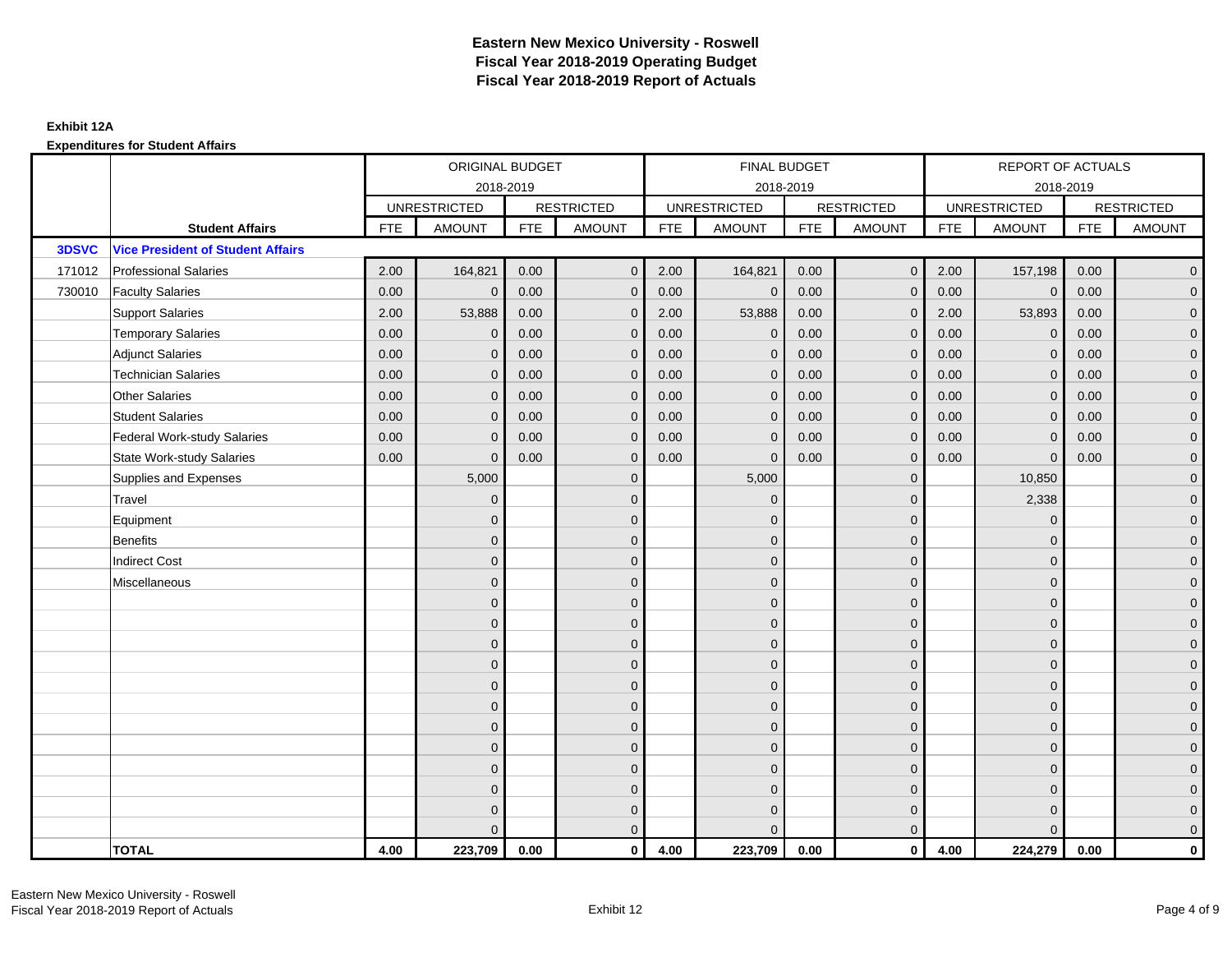|        |                                          | ORIGINAL BUDGET<br>2018-2019 |                     |            |                   |            | FINAL BUDGET        |            |                   |            | REPORT OF ACTUALS   |            |                   |
|--------|------------------------------------------|------------------------------|---------------------|------------|-------------------|------------|---------------------|------------|-------------------|------------|---------------------|------------|-------------------|
|        |                                          |                              |                     |            |                   |            | 2018-2019           |            |                   |            | 2018-2019           |            |                   |
|        |                                          |                              | <b>UNRESTRICTED</b> |            | <b>RESTRICTED</b> |            | <b>UNRESTRICTED</b> |            | <b>RESTRICTED</b> |            | <b>UNRESTRICTED</b> |            | <b>RESTRICTED</b> |
|        | <b>Student Affairs</b>                   | <b>FTE</b>                   | <b>AMOUNT</b>       | <b>FTE</b> | <b>AMOUNT</b>     | <b>FTE</b> | <b>AMOUNT</b>       | <b>FTE</b> | <b>AMOUNT</b>     | <b>FTE</b> | <b>AMOUNT</b>       | <b>FTE</b> | <b>AMOUNT</b>     |
| 3DSVC  | <b>Vice President of Student Affairs</b> |                              |                     |            |                   |            |                     |            |                   |            |                     |            |                   |
| 171012 | <b>Professional Salaries</b>             | 2.00                         | 164,821             | 0.00       | $\Omega$          | 2.00       | 164,821             | 0.00       | $\mathbf{0}$      | 2.00       | 157,198             | 0.00       | $\overline{0}$    |
| 730010 | <b>Faculty Salaries</b>                  | 0.00                         | $\mathbf{0}$        | 0.00       | $\mathbf{0}$      | 0.00       | $\mathbf 0$         | 0.00       | $\mathbf{0}$      | 0.00       | $\mathbf 0$         | 0.00       | $\overline{0}$    |
|        | <b>Support Salaries</b>                  | 2.00                         | 53,888              | 0.00       | $\mathbf 0$       | 2.00       | 53,888              | 0.00       | $\mathbf 0$       | 2.00       | 53,893              | 0.00       | $\overline{0}$    |
|        | <b>Temporary Salaries</b>                | 0.00                         | $\mathbf{0}$        | 0.00       | $\mathbf 0$       | 0.00       | $\mathbf{0}$        | 0.00       | $\mathbf{0}$      | 0.00       | $\mathbf 0$         | 0.00       | $\overline{0}$    |
|        | <b>Adjunct Salaries</b>                  | 0.00                         | $\Omega$            | 0.00       | $\Omega$          | 0.00       | $\Omega$            | 0.00       | $\mathbf{0}$      | 0.00       | $\mathbf{0}$        | 0.00       | $\overline{0}$    |
|        | <b>Technician Salaries</b>               | 0.00                         | $\mathbf{0}$        | 0.00       | $\Omega$          | 0.00       | $\mathbf{0}$        | 0.00       | $\mathbf{0}$      | 0.00       | $\mathbf{0}$        | 0.00       | $\mathbf{0}$      |
|        | <b>Other Salaries</b>                    | 0.00                         | $\mathbf{0}$        | 0.00       | $\mathbf{0}$      | 0.00       | $\mathbf{0}$        | 0.00       | $\mathbf 0$       | 0.00       | $\mathbf{0}$        | 0.00       | $\overline{0}$    |
|        | <b>Student Salaries</b>                  | 0.00                         | $\mathbf{0}$        | 0.00       | $\mathbf{0}$      | 0.00       | $\mathbf{0}$        | 0.00       | $\mathbf 0$       | 0.00       | $\mathbf 0$         | 0.00       | $\overline{0}$    |
|        | <b>Federal Work-study Salaries</b>       | 0.00                         | $\mathbf{0}$        | 0.00       | $\mathbf 0$       | 0.00       | $\mathbf{0}$        | 0.00       | $\mathbf 0$       | 0.00       | $\mathbf 0$         | 0.00       | $\overline{0}$    |
|        | <b>State Work-study Salaries</b>         | 0.00                         | $\mathbf{0}$        | 0.00       | $\mathbf 0$       | 0.00       | $\mathbf{0}$        | 0.00       | $\mathbf{0}$      | 0.00       | $\mathbf 0$         | 0.00       | $\overline{0}$    |
|        | Supplies and Expenses                    |                              | 5,000               |            | $\Omega$          |            | 5,000               |            | $\mathbf 0$       |            | 10,850              |            | $\mathbf{0}$      |
|        | Travel                                   |                              | $\mathbf{0}$        |            | $\mathbf{0}$      |            | $\Omega$            |            | $\mathbf{0}$      |            | 2,338               |            | $\overline{0}$    |
|        | Equipment                                |                              | $\mathbf{0}$        |            | $\mathbf{0}$      |            | $\mathbf{0}$        |            | $\mathbf 0$       |            | $\mathbf 0$         |            | $\overline{0}$    |
|        | <b>Benefits</b>                          |                              | $\mathbf{0}$        |            | $\mathbf{0}$      |            | $\Omega$            |            | $\mathbf 0$       |            | $\mathbf 0$         |            | $\overline{0}$    |
|        | <b>Indirect Cost</b>                     |                              | $\Omega$            |            | $\mathbf{0}$      |            | $\Omega$            |            | $\mathbf{0}$      |            | $\Omega$            |            | $\overline{0}$    |
|        | Miscellaneous                            |                              | $\mathbf{0}$        |            | $\mathbf{0}$      |            | $\mathbf{0}$        |            | $\mathbf 0$       |            | $\mathbf 0$         |            | $\mathbf{0}$      |
|        |                                          |                              | $\mathbf{0}$        |            | $\mathbf{0}$      |            | $\Omega$            |            | $\mathbf 0$       |            | $\mathbf{0}$        |            | $\overline{0}$    |
|        |                                          |                              | $\mathbf{0}$        |            | $\mathbf{0}$      |            | $\mathbf{0}$        |            | $\mathbf 0$       |            | $\mathbf 0$         |            | $\overline{0}$    |
|        |                                          |                              | $\mathbf{0}$        |            | $\mathbf{0}$      |            | $\Omega$            |            | $\mathbf 0$       |            | $\mathbf 0$         |            | $\mathbf{0}$      |
|        |                                          |                              | $\Omega$            |            | $\mathbf{0}$      |            | $\Omega$            |            | $\mathbf 0$       |            | $\mathbf 0$         |            | $\mathbf{0}$      |
|        |                                          |                              | $\Omega$            |            | $\mathbf{0}$      |            | $\Omega$            |            | $\mathbf 0$       |            | $\Omega$            |            | $\mathbf{0}$      |
|        |                                          |                              | $\mathbf{0}$        |            | $\mathbf{0}$      |            | $\Omega$            |            | $\mathbf{0}$      |            | $\Omega$            |            | $\overline{0}$    |
|        |                                          |                              | $\mathbf{0}$        |            | $\mathbf 0$       |            | $\mathbf{0}$        |            | $\mathbf 0$       |            | $\mathbf 0$         |            | $\overline{0}$    |
|        |                                          |                              | $\mathbf{0}$        |            | $\mathbf 0$       |            | $\Omega$            |            | $\mathbf 0$       |            | $\mathbf 0$         |            | $\overline{0}$    |
|        |                                          |                              | $\Omega$            |            | $\mathbf{0}$      |            | $\Omega$            |            | $\mathbf{0}$      |            | $\Omega$            |            | $\overline{0}$    |
|        |                                          |                              | $\mathbf{0}$        |            | $\mathbf 0$       |            | $\mathbf{0}$        |            | $\mathbf 0$       |            | $\mathbf 0$         |            | $\mathbf{0}$      |
|        |                                          |                              | $\mathbf{0}$        |            | $\mathbf{0}$      |            | $\Omega$            |            | $\mathbf 0$       |            | $\mathbf 0$         |            | $\mathbf{0}$      |
|        |                                          |                              | $\Omega$            |            | $\mathbf{0}$      |            | $\Omega$            |            | $\mathbf{0}$      |            | $\Omega$            |            | $\overline{0}$    |
|        | <b>TOTAL</b>                             | 4.00                         | 223,709             | 0.00       | $\mathbf{0}$      | 4.00       | 223,709             | 0.00       | $\mathbf{0}$      | 4.00       | 224,279             | 0.00       | $\mathbf 0$       |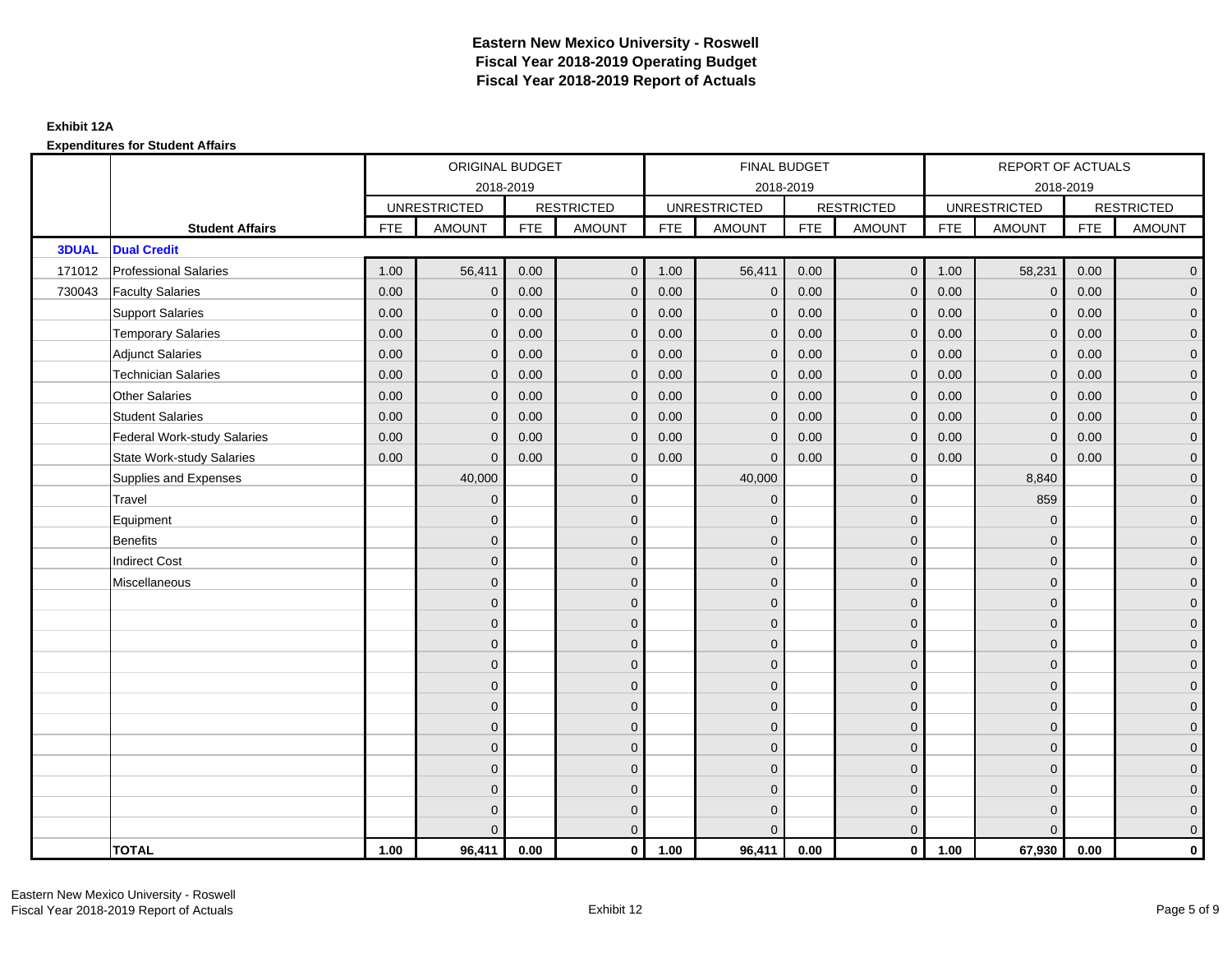|              |                                    | ORIGINAL BUDGET<br>2018-2019 |                     |            |                   |            | <b>FINAL BUDGET</b> |            |                   |            | REPORT OF ACTUALS   |            |                     |
|--------------|------------------------------------|------------------------------|---------------------|------------|-------------------|------------|---------------------|------------|-------------------|------------|---------------------|------------|---------------------|
|              |                                    |                              |                     |            |                   |            | 2018-2019           |            |                   |            | 2018-2019           |            |                     |
|              |                                    |                              | <b>UNRESTRICTED</b> |            | <b>RESTRICTED</b> |            | <b>UNRESTRICTED</b> |            | <b>RESTRICTED</b> |            | <b>UNRESTRICTED</b> |            | <b>RESTRICTED</b>   |
|              | <b>Student Affairs</b>             | <b>FTE</b>                   | <b>AMOUNT</b>       | <b>FTE</b> | <b>AMOUNT</b>     | <b>FTE</b> | <b>AMOUNT</b>       | <b>FTE</b> | <b>AMOUNT</b>     | <b>FTE</b> | <b>AMOUNT</b>       | <b>FTE</b> | <b>AMOUNT</b>       |
| <b>3DUAL</b> | <b>Dual Credit</b>                 |                              |                     |            |                   |            |                     |            |                   |            |                     |            |                     |
| 171012       | <b>Professional Salaries</b>       | 1.00                         | 56,411              | 0.00       | $\mathbf{0}$      | 1.00       | 56,411              | 0.00       | $\mathbf{0}$      | 1.00       | 58,231              | 0.00       | $\overline{0}$      |
| 730043       | <b>Faculty Salaries</b>            | 0.00                         | $\mathbf 0$         | 0.00       | $\mathbf 0$       | 0.00       | $\mathbf 0$         | 0.00       | $\mathbf{0}$      | 0.00       | $\mathbf 0$         | 0.00       | $\overline{0}$      |
|              | <b>Support Salaries</b>            | 0.00                         | $\mathbf{0}$        | 0.00       | $\mathbf{0}$      | 0.00       | $\mathbf{0}$        | 0.00       | $\mathbf 0$       | 0.00       | $\mathbf 0$         | 0.00       | $\overline{0}$      |
|              | <b>Temporary Salaries</b>          | 0.00                         | $\mathbf{0}$        | 0.00       | $\mathbf 0$       | 0.00       | $\mathbf{0}$        | 0.00       | $\mathbf{0}$      | 0.00       | $\mathbf{0}$        | 0.00       | $\overline{0}$      |
|              | <b>Adjunct Salaries</b>            | 0.00                         | $\mathbf{0}$        | 0.00       | $\Omega$          | 0.00       | $\mathbf{0}$        | 0.00       | $\mathbf 0$       | 0.00       | $\mathbf 0$         | 0.00       | $\mathbf{0}$        |
|              | <b>Technician Salaries</b>         | 0.00                         | $\Omega$            | 0.00       | $\Omega$          | 0.00       | $\mathbf{0}$        | 0.00       | $\mathbf{0}$      | 0.00       | $\mathbf{0}$        | 0.00       | $\mathbf{0}$        |
|              | <b>Other Salaries</b>              | 0.00                         | $\mathbf{0}$        | 0.00       | $\Omega$          | 0.00       | $\Omega$            | 0.00       | $\mathbf{0}$      | 0.00       | $\mathbf{0}$        | 0.00       | $\overline{0}$      |
|              | <b>Student Salaries</b>            | 0.00                         | $\mathbf{0}$        | 0.00       | $\mathbf{0}$      | 0.00       | $\mathbf{0}$        | 0.00       | $\mathbf 0$       | 0.00       | $\mathbf 0$         | 0.00       | $\mathbf{0}$        |
|              | <b>Federal Work-study Salaries</b> | 0.00                         | $\mathbf{0}$        | 0.00       | $\mathbf 0$       | 0.00       | $\mathbf{0}$        | 0.00       | $\mathbf 0$       | 0.00       | $\mathbf{0}$        | 0.00       | $\overline{0}$      |
|              | <b>State Work-study Salaries</b>   | 0.00                         | $\mathbf{0}$        | 0.00       | $\Omega$          | 0.00       | $\mathbf{0}$        | 0.00       | $\mathbf{0}$      | 0.00       | $\mathbf 0$         | 0.00       | $\overline{0}$      |
|              | Supplies and Expenses              |                              | 40,000              |            | $\mathbf{0}$      |            | 40,000              |            | $\mathbf 0$       |            | 8,840               |            | $\mathsf{O}\xspace$ |
|              | Travel                             |                              | $\overline{0}$      |            | $\mathbf{0}$      |            | $\mathbf{0}$        |            | $\mathbf 0$       |            | 859                 |            | $\overline{0}$      |
|              | Equipment                          |                              | $\mathbf{0}$        |            | $\mathbf{0}$      |            | $\Omega$            |            | $\mathbf 0$       |            | $\mathbf 0$         |            | $\overline{0}$      |
|              | <b>Benefits</b>                    |                              | $\mathbf{0}$        |            | $\mathbf 0$       |            | $\Omega$            |            | $\mathbf 0$       |            | $\mathbf 0$         |            | $\overline{0}$      |
|              | <b>Indirect Cost</b>               |                              | $\Omega$            |            | $\mathbf{0}$      |            | $\Omega$            |            | $\mathbf 0$       |            | $\mathbf 0$         |            | $\mathbf{0}$        |
|              | Miscellaneous                      |                              | $\Omega$            |            | $\mathbf{0}$      |            | $\Omega$            |            | $\mathbf{0}$      |            | $\Omega$            |            | $\mathsf{O}\xspace$ |
|              |                                    |                              | $\overline{0}$      |            | $\mathbf 0$       |            | $\mathbf{0}$        |            | $\mathbf 0$       |            | $\mathbf 0$         |            | $\mathsf{O}\xspace$ |
|              |                                    |                              | $\mathbf{0}$        |            | $\mathbf 0$       |            | $\mathbf{0}$        |            | $\mathbf 0$       |            | $\mathbf{0}$        |            | $\overline{0}$      |
|              |                                    |                              | $\Omega$            |            | $\mathbf{0}$      |            | $\Omega$            |            | $\mathbf 0$       |            | $\mathbf{0}$        |            | $\overline{0}$      |
|              |                                    |                              | $\mathbf{0}$        |            | $\mathbf 0$       |            | $\mathbf{0}$        |            | $\mathbf 0$       |            | $\mathbf 0$         |            | $\mathbf{0}$        |
|              |                                    |                              | $\mathbf{0}$        |            | $\mathbf{0}$      |            | $\mathbf{0}$        |            | $\mathbf 0$       |            | $\mathbf 0$         |            | $\mathbf{0}$        |
|              |                                    |                              | $\mathbf{0}$        |            | $\mathbf{0}$      |            | $\Omega$            |            | $\mathbf{0}$      |            | $\Omega$            |            | $\overline{0}$      |
|              |                                    |                              | $\overline{0}$      |            | $\mathbf 0$       |            | $\mathbf{0}$        |            | $\mathbf 0$       |            | $\mathbf 0$         |            | $\mathsf{O}\xspace$ |
|              |                                    |                              | $\overline{0}$      |            | $\mathbf{0}$      |            | $\Omega$            |            | $\mathbf 0$       |            | $\mathbf 0$         |            | $\overline{0}$      |
|              |                                    |                              | $\Omega$            |            | $\mathbf{0}$      |            | $\Omega$            |            | $\mathbf 0$       |            | $\mathbf 0$         |            | $\overline{0}$      |
|              |                                    |                              | $\Omega$            |            | $\mathbf 0$       |            | $\Omega$            |            | $\mathbf 0$       |            | $\Omega$            |            | $\overline{0}$      |
|              |                                    |                              | $\overline{0}$      |            | $\mathbf 0$       |            | $\mathbf{0}$        |            | $\mathbf 0$       |            | $\mathbf 0$         |            | $\mathbf{0}$        |
|              |                                    |                              | $\Omega$            |            | $\mathbf{0}$      |            | $\Omega$            |            | $\mathbf{0}$      |            | $\Omega$            |            | $\overline{0}$      |
|              | <b>TOTAL</b>                       | 1.00                         | 96,411              | 0.00       | $\mathbf 0$       | 1.00       | 96,411              | 0.00       | $\overline{0}$    | 1.00       | 67,930              | 0.00       | $\mathbf{0}$        |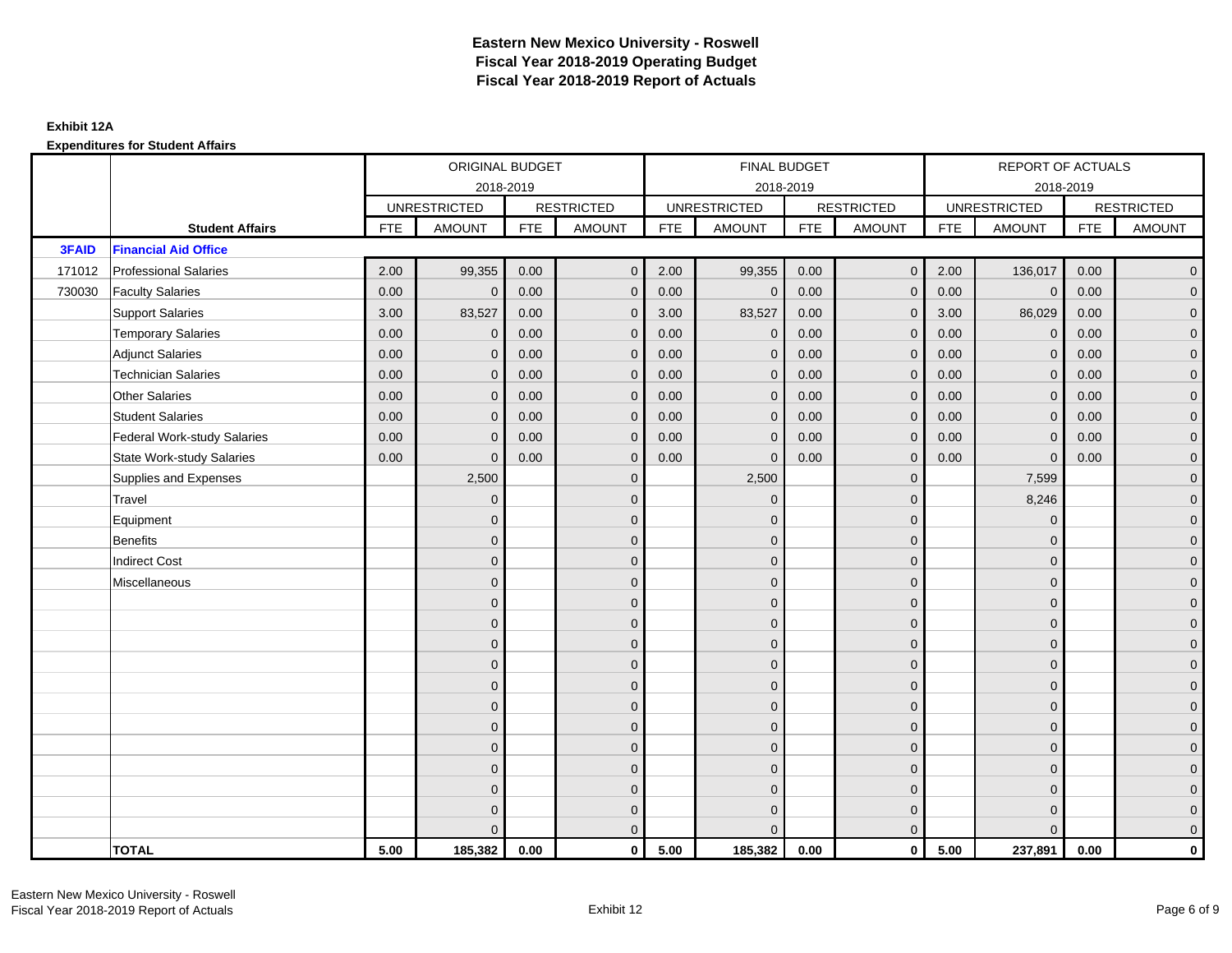|              |                                    | ORIGINAL BUDGET<br>2018-2019 |                     |            |                   |            | <b>FINAL BUDGET</b> |            |                   |            | REPORT OF ACTUALS   |            |                     |
|--------------|------------------------------------|------------------------------|---------------------|------------|-------------------|------------|---------------------|------------|-------------------|------------|---------------------|------------|---------------------|
|              |                                    |                              |                     |            |                   |            | 2018-2019           |            |                   |            | 2018-2019           |            |                     |
|              |                                    |                              | <b>UNRESTRICTED</b> |            | <b>RESTRICTED</b> |            | <b>UNRESTRICTED</b> |            | <b>RESTRICTED</b> |            | <b>UNRESTRICTED</b> |            | <b>RESTRICTED</b>   |
|              | <b>Student Affairs</b>             | <b>FTE</b>                   | <b>AMOUNT</b>       | <b>FTE</b> | <b>AMOUNT</b>     | <b>FTE</b> | <b>AMOUNT</b>       | <b>FTE</b> | <b>AMOUNT</b>     | <b>FTE</b> | <b>AMOUNT</b>       | <b>FTE</b> | <b>AMOUNT</b>       |
| <b>3FAID</b> | <b>Financial Aid Office</b>        |                              |                     |            |                   |            |                     |            |                   |            |                     |            |                     |
| 171012       | <b>Professional Salaries</b>       | 2.00                         | 99,355              | 0.00       | $\Omega$          | 2.00       | 99,355              | 0.00       | $\mathbf{0}$      | 2.00       | 136,017             | 0.00       | $\overline{0}$      |
| 730030       | <b>Faculty Salaries</b>            | 0.00                         | $\mathbf 0$         | 0.00       | $\mathbf{0}$      | 0.00       | $\mathbf 0$         | 0.00       | $\mathbf{0}$      | 0.00       | $\mathbf 0$         | 0.00       | $\overline{0}$      |
|              | <b>Support Salaries</b>            | 3.00                         | 83,527              | 0.00       | $\mathbf 0$       | 3.00       | 83,527              | 0.00       | $\mathbf{0}$      | 3.00       | 86,029              | 0.00       | $\overline{0}$      |
|              | <b>Temporary Salaries</b>          | 0.00                         | $\mathbf{0}$        | 0.00       | $\Omega$          | 0.00       | $\mathbf{0}$        | 0.00       | $\mathbf{0}$      | 0.00       | $\mathbf{0}$        | 0.00       | $\overline{0}$      |
|              | <b>Adjunct Salaries</b>            | 0.00                         | $\mathbf{0}$        | 0.00       | $\mathbf{0}$      | 0.00       | $\mathbf{0}$        | 0.00       | $\mathbf 0$       | 0.00       | $\mathbf{0}$        | 0.00       | $\mathbf{0}$        |
|              | <b>Technician Salaries</b>         | 0.00                         | $\mathbf{0}$        | 0.00       | $\Omega$          | 0.00       | $\mathbf{0}$        | 0.00       | $\mathbf{0}$      | 0.00       | $\mathbf{0}$        | 0.00       | $\mathbf{0}$        |
|              | <b>Other Salaries</b>              | 0.00                         | $\mathbf{0}$        | 0.00       | $\mathbf{0}$      | 0.00       | $\Omega$            | 0.00       | $\mathbf{0}$      | 0.00       | $\overline{0}$      | 0.00       | $\overline{0}$      |
|              | <b>Student Salaries</b>            | 0.00                         | $\mathbf 0$         | 0.00       | $\mathbf 0$       | 0.00       | $\mathbf{0}$        | 0.00       | $\mathbf 0$       | 0.00       | $\mathbf{0}$        | 0.00       | $\overline{0}$      |
|              | <b>Federal Work-study Salaries</b> | 0.00                         | $\mathbf{0}$        | 0.00       | $\mathbf 0$       | 0.00       | $\mathbf{0}$        | 0.00       | $\overline{0}$    | 0.00       | $\mathbf{0}$        | 0.00       | $\overline{0}$      |
|              | <b>State Work-study Salaries</b>   | 0.00                         | $\mathbf{0}$        | 0.00       | $\mathbf{0}$      | 0.00       | $\mathbf{0}$        | 0.00       | $\mathbf{0}$      | 0.00       | $\mathbf{0}$        | 0.00       | $\overline{0}$      |
|              | Supplies and Expenses              |                              | 2,500               |            | $\mathbf 0$       |            | 2,500               |            | $\overline{0}$    |            | 7,599               |            | $\mathbf{0}$        |
|              | Travel                             |                              | $\mathbf{0}$        |            | $\mathbf 0$       |            | $\mathbf{0}$        |            | $\mathbf 0$       |            | 8,246               |            | $\overline{0}$      |
|              | Equipment                          |                              | $\Omega$            |            | $\mathbf{0}$      |            | $\Omega$            |            | $\mathbf{0}$      |            | $\mathbf{0}$        |            | $\overline{0}$      |
|              | <b>Benefits</b>                    |                              | $\mathbf{0}$        |            | $\mathbf 0$       |            | $\mathbf{0}$        |            | $\mathbf 0$       |            | $\mathbf 0$         |            | $\overline{0}$      |
|              | <b>Indirect Cost</b>               |                              | $\mathbf{0}$        |            | $\mathbf{0}$      |            | $\Omega$            |            | $\mathbf 0$       |            | $\mathbf 0$         |            | $\overline{0}$      |
|              | Miscellaneous                      |                              | $\Omega$            |            | $\mathbf{0}$      |            | $\Omega$            |            | $\mathbf{0}$      |            | $\mathbf 0$         |            | $\mathsf{O}\xspace$ |
|              |                                    |                              | $\mathbf 0$         |            | $\mathbf 0$       |            | $\mathbf{0}$        |            | $\mathbf 0$       |            | $\mathbf{0}$        |            | $\overline{0}$      |
|              |                                    |                              | $\mathbf{0}$        |            | $\mathbf 0$       |            | $\mathbf{0}$        |            | $\mathbf 0$       |            | $\mathbf{0}$        |            | $\overline{0}$      |
|              |                                    |                              | $\mathbf{0}$        |            | $\mathbf{0}$      |            | $\Omega$            |            | $\mathbf 0$       |            | $\mathbf{0}$        |            | $\overline{0}$      |
|              |                                    |                              | $\mathbf{0}$        |            | $\mathbf 0$       |            | $\Omega$            |            | $\mathbf 0$       |            | $\mathbf 0$         |            | $\mathbf{0}$        |
|              |                                    |                              | $\mathbf{0}$        |            | $\mathbf 0$       |            | $\mathbf{0}$        |            | $\mathbf{0}$      |            | $\mathbf 0$         |            | $\mathbf{0}$        |
|              |                                    |                              | $\mathbf{0}$        |            | $\mathbf{0}$      |            | $\Omega$            |            | $\mathbf{0}$      |            | $\Omega$            |            | $\overline{0}$      |
|              |                                    |                              | $\overline{0}$      |            | $\mathbf 0$       |            | $\mathbf{0}$        |            | $\mathbf{0}$      |            | $\mathbf 0$         |            | $\mathsf{O}\xspace$ |
|              |                                    |                              | $\mathbf{0}$        |            | $\mathbf{0}$      |            | $\Omega$            |            | $\mathbf 0$       |            | $\mathbf{0}$        |            | $\overline{0}$      |
|              |                                    |                              | $\Omega$            |            | $\mathbf{0}$      |            | $\Omega$            |            | $\mathbf 0$       |            | $\mathbf 0$         |            | $\overline{0}$      |
|              |                                    |                              | $\Omega$            |            | $\mathbf 0$       |            | $\Omega$            |            | $\mathbf 0$       |            | $\Omega$            |            | $\mathbf{0}$        |
|              |                                    |                              | $\mathbf{0}$        |            | $\mathbf 0$       |            | $\mathbf{0}$        |            | $\mathbf 0$       |            | $\mathbf 0$         |            | $\mathbf{0}$        |
|              |                                    |                              | $\Omega$            |            | $\mathbf{0}$      |            | $\Omega$            |            | $\mathbf{0}$      |            | $\Omega$            |            | $\overline{0}$      |
|              | <b>TOTAL</b>                       | 5.00                         | 185,382             | 0.00       | $\mathbf{0}$      | 5.00       | 185,382             | 0.00       | $\overline{0}$    | 5.00       | 237,891             | 0.00       | $\mathbf{0}$        |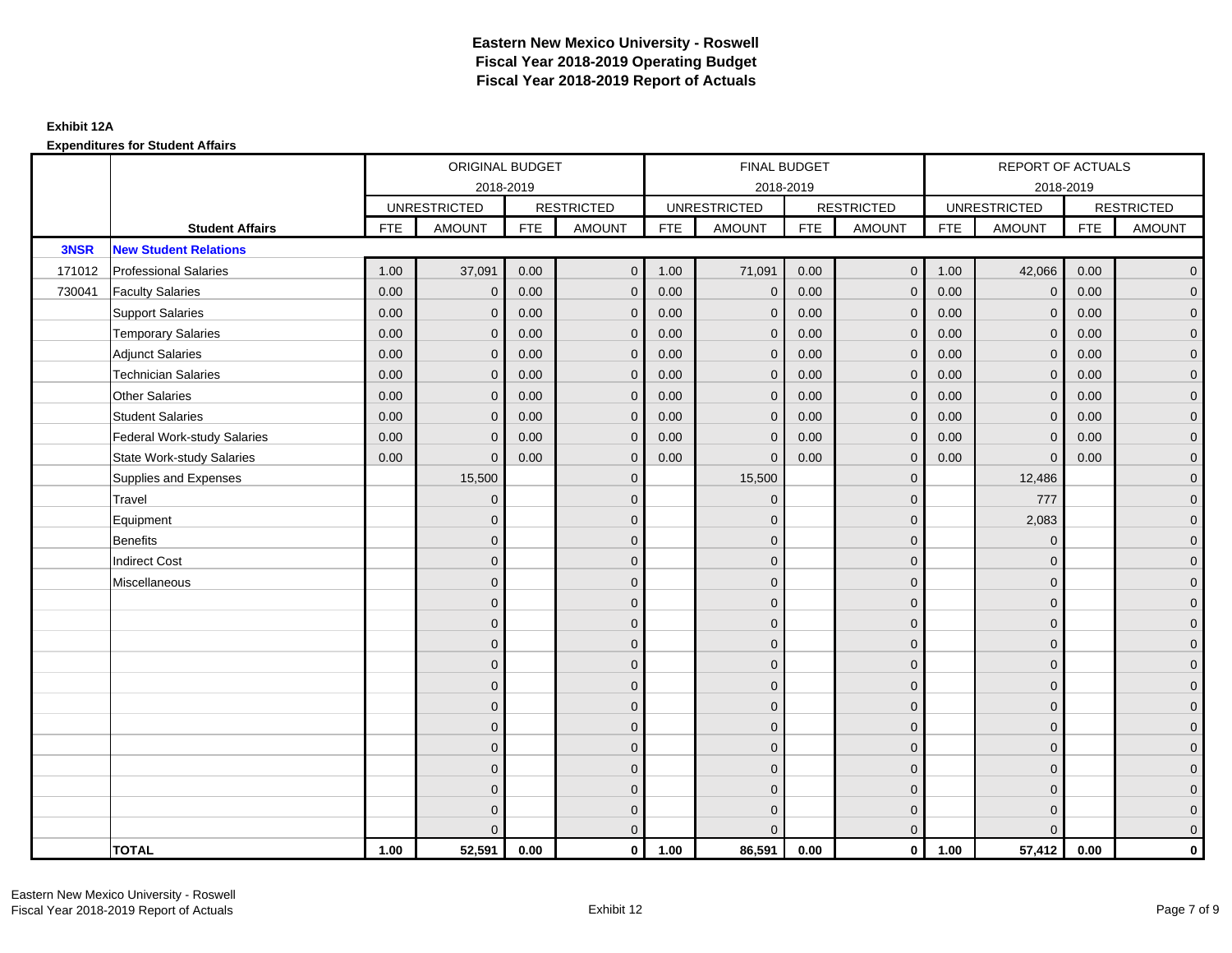|        |                                    |            | ORIGINAL BUDGET     |            |                   |            | <b>FINAL BUDGET</b> |            |                   |            | <b>REPORT OF ACTUALS</b> |            |                     |
|--------|------------------------------------|------------|---------------------|------------|-------------------|------------|---------------------|------------|-------------------|------------|--------------------------|------------|---------------------|
|        |                                    |            |                     | 2018-2019  |                   |            | 2018-2019           |            |                   |            | 2018-2019                |            |                     |
|        |                                    |            | <b>UNRESTRICTED</b> |            | <b>RESTRICTED</b> |            | <b>UNRESTRICTED</b> |            | <b>RESTRICTED</b> |            | <b>UNRESTRICTED</b>      |            | <b>RESTRICTED</b>   |
|        | <b>Student Affairs</b>             | <b>FTE</b> | <b>AMOUNT</b>       | <b>FTE</b> | <b>AMOUNT</b>     | <b>FTE</b> | <b>AMOUNT</b>       | <b>FTE</b> | <b>AMOUNT</b>     | <b>FTE</b> | <b>AMOUNT</b>            | <b>FTE</b> | <b>AMOUNT</b>       |
| 3NSR   | <b>New Student Relations</b>       |            |                     |            |                   |            |                     |            |                   |            |                          |            |                     |
| 171012 | <b>Professional Salaries</b>       | 1.00       | 37,091              | 0.00       | $\mathbf 0$       | 1.00       | 71,091              | 0.00       | $\overline{0}$    | 1.00       | 42,066                   | 0.00       | $\overline{0}$      |
| 730041 | <b>Faculty Salaries</b>            | 0.00       | $\mathbf 0$         | 0.00       | $\mathbf{0}$      | 0.00       | $\mathbf{0}$        | 0.00       | $\mathbf{0}$      | 0.00       | $\mathbf 0$              | 0.00       | $\overline{0}$      |
|        | <b>Support Salaries</b>            | 0.00       | $\mathbf 0$         | 0.00       | $\mathbf 0$       | 0.00       | $\mathbf{0}$        | 0.00       | $\mathbf 0$       | 0.00       | $\mathbf 0$              | 0.00       | $\overline{0}$      |
|        | <b>Temporary Salaries</b>          | 0.00       | $\mathbf{0}$        | 0.00       | $\mathbf{0}$      | 0.00       | $\mathbf{0}$        | 0.00       | $\overline{0}$    | 0.00       | $\mathbf 0$              | 0.00       | $\overline{0}$      |
|        | <b>Adjunct Salaries</b>            | 0.00       | $\Omega$            | 0.00       | $\Omega$          | 0.00       | $\Omega$            | 0.00       | $\mathbf{0}$      | 0.00       | $\mathbf{0}$             | 0.00       | $\overline{0}$      |
|        | <b>Technician Salaries</b>         | 0.00       | $\mathbf{0}$        | 0.00       | $\mathbf 0$       | 0.00       | $\mathbf{0}$        | 0.00       | $\mathbf{0}$      | 0.00       | $\mathbf{0}$             | 0.00       | $\mathsf{O}\xspace$ |
|        | <b>Other Salaries</b>              | 0.00       | $\mathbf{0}$        | 0.00       | $\mathbf{0}$      | 0.00       | $\mathbf{0}$        | 0.00       | $\mathbf{0}$      | 0.00       | $\overline{0}$           | 0.00       | $\overline{0}$      |
|        | <b>Student Salaries</b>            | 0.00       | $\mathbf{0}$        | 0.00       | $\mathbf{0}$      | 0.00       | $\mathbf{0}$        | 0.00       | $\mathbf{0}$      | 0.00       | $\overline{0}$           | 0.00       | $\overline{0}$      |
|        | <b>Federal Work-study Salaries</b> | 0.00       | $\mathbf{0}$        | 0.00       | $\mathbf{0}$      | 0.00       | $\mathbf{0}$        | 0.00       | $\overline{0}$    | 0.00       | $\mathbf 0$              | 0.00       | $\overline{0}$      |
|        | <b>State Work-study Salaries</b>   | 0.00       | $\mathbf{0}$        | 0.00       | $\mathbf{0}$      | 0.00       | $\mathbf{0}$        | 0.00       | $\mathbf{0}$      | 0.00       | $\mathbf{0}$             | 0.00       | $\overline{0}$      |
|        | Supplies and Expenses              |            | 15,500              |            | $\mathbf 0$       |            | 15,500              |            | $\mathbf 0$       |            | 12,486                   |            | $\mathbf{0}$        |
|        | Travel                             |            | $\mathbf{0}$        |            | $\mathbf 0$       |            | $\mathbf{0}$        |            | $\mathbf 0$       |            | 777                      |            | $\overline{0}$      |
|        | Equipment                          |            | $\Omega$            |            | $\mathbf{0}$      |            | $\mathbf{0}$        |            | $\mathbf 0$       |            | 2,083                    |            | $\overline{0}$      |
|        | Benefits                           |            | $\mathbf{0}$        |            | $\mathbf 0$       |            | $\Omega$            |            | $\mathbf 0$       |            | $\mathbf 0$              |            | $\overline{0}$      |
|        | <b>Indirect Cost</b>               |            | $\Omega$            |            | $\mathbf{0}$      |            | $\Omega$            |            | $\mathbf 0$       |            | $\Omega$                 |            | $\overline{0}$      |
|        | Miscellaneous                      |            | $\Omega$            |            | $\mathbf{0}$      |            | $\Omega$            |            | $\mathbf{0}$      |            | $\Omega$                 |            | $\mathsf{O}\xspace$ |
|        |                                    |            | $\mathbf{0}$        |            | $\mathbf 0$       |            | $\mathbf{0}$        |            | $\mathbf 0$       |            | $\mathbf{0}$             |            | $\overline{0}$      |
|        |                                    |            | $\Omega$            |            | $\mathbf 0$       |            | $\mathbf{0}$        |            | $\mathbf 0$       |            | $\mathbf{0}$             |            | $\overline{0}$      |
|        |                                    |            | $\overline{0}$      |            | $\mathbf 0$       |            | $\Omega$            |            | $\mathbf 0$       |            | $\mathbf{0}$             |            | $\mathbf{0}$        |
|        |                                    |            | $\Omega$            |            | $\mathbf{0}$      |            | $\Omega$            |            | $\mathbf 0$       |            | $\mathbf 0$              |            | $\overline{0}$      |
|        |                                    |            | $\Omega$            |            | $\mathbf 0$       |            | $\Omega$            |            | $\mathbf{0}$      |            | $\Omega$                 |            | $\mathsf{O}\xspace$ |
|        |                                    |            | $\mathbf{0}$        |            | $\mathbf 0$       |            | $\mathbf{0}$        |            | $\mathbf 0$       |            | $\mathbf{0}$             |            | $\overline{0}$      |
|        |                                    |            | $\mathbf{0}$        |            | $\mathbf{0}$      |            | $\mathbf{0}$        |            | $\mathbf 0$       |            | $\mathbf{0}$             |            | $\overline{0}$      |
|        |                                    |            | $\mathbf{0}$        |            | $\mathbf 0$       |            | $\Omega$            |            | $\mathbf 0$       |            | $\mathbf{0}$             |            | $\mathbf{0}$        |
|        |                                    |            | $\mathbf{0}$        |            | $\mathbf{0}$      |            | $\mathbf{0}$        |            | $\mathbf{0}$      |            | $\mathbf{0}$             |            | $\mathbf{0}$        |
|        |                                    |            | $\Omega$            |            | $\mathbf 0$       |            | $\Omega$            |            | $\mathbf{0}$      |            | $\Omega$                 |            | $\mathsf{O}\xspace$ |
|        |                                    |            | $\overline{0}$      |            | $\mathbf 0$       |            | $\mathbf{0}$        |            | $\mathbf 0$       |            | $\mathbf 0$              |            | $\mathsf{O}\xspace$ |
|        |                                    |            | $\Omega$            |            | $\mathbf{0}$      |            | $\Omega$            |            | $\mathbf{0}$      |            | $\Omega$                 |            | $\overline{0}$      |
|        | <b>TOTAL</b>                       | 1.00       | 52,591              | 0.00       | $\mathbf 0$       | 1.00       | 86,591              | 0.00       | $\overline{0}$    | 1.00       | 57,412                   | 0.00       | $\mathbf{0}$        |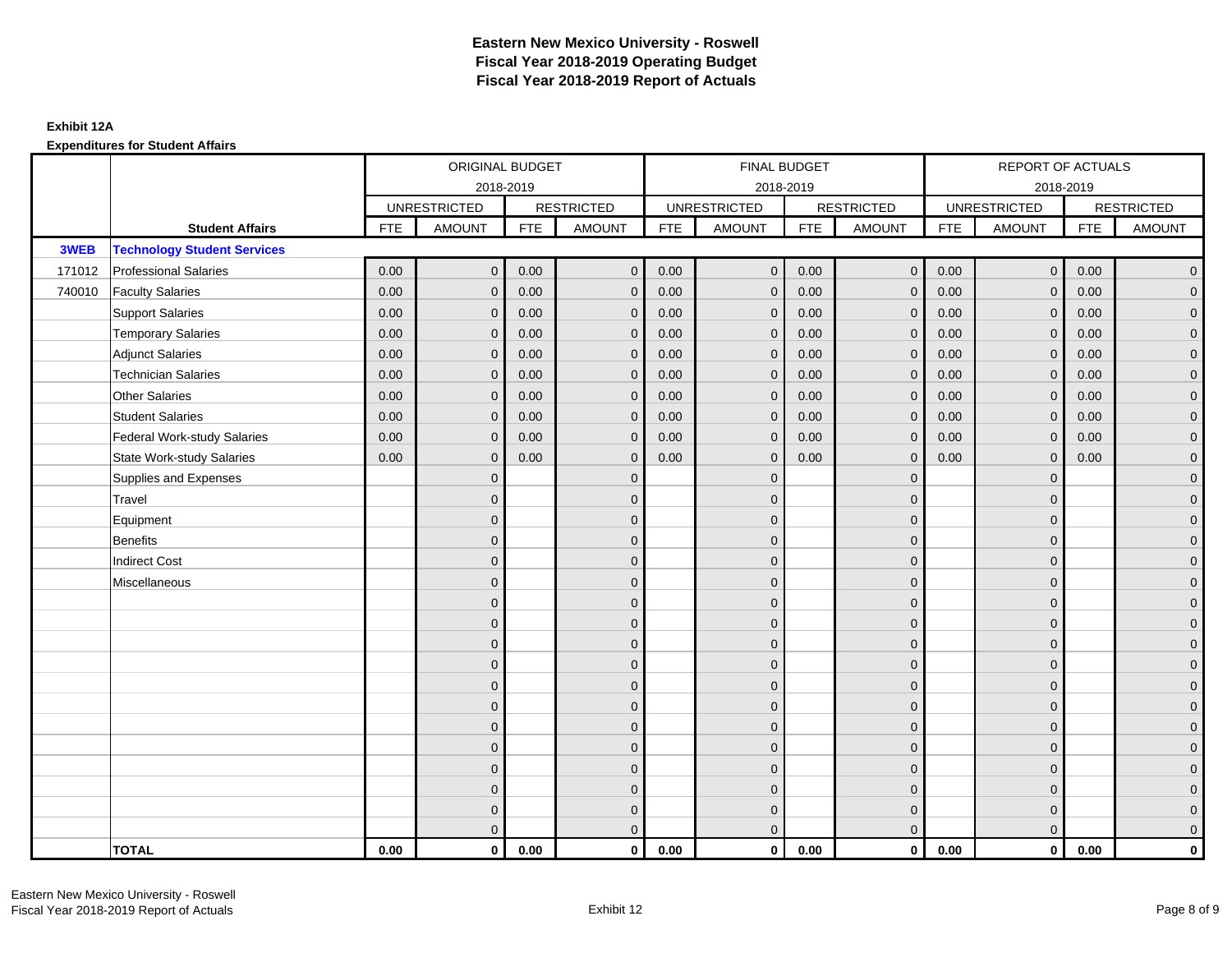|        |                                    | ORIGINAL BUDGET<br>2018-2019 |                     |            |                   |            | <b>FINAL BUDGET</b> |            |                   |            | REPORT OF ACTUALS   |            |                     |
|--------|------------------------------------|------------------------------|---------------------|------------|-------------------|------------|---------------------|------------|-------------------|------------|---------------------|------------|---------------------|
|        |                                    |                              |                     |            |                   |            | 2018-2019           |            |                   |            | 2018-2019           |            |                     |
|        |                                    |                              | <b>UNRESTRICTED</b> |            | <b>RESTRICTED</b> |            | <b>UNRESTRICTED</b> |            | <b>RESTRICTED</b> |            | <b>UNRESTRICTED</b> |            | <b>RESTRICTED</b>   |
|        | <b>Student Affairs</b>             | <b>FTE</b>                   | <b>AMOUNT</b>       | <b>FTE</b> | <b>AMOUNT</b>     | <b>FTE</b> | <b>AMOUNT</b>       | <b>FTE</b> | <b>AMOUNT</b>     | <b>FTE</b> | <b>AMOUNT</b>       | <b>FTE</b> | <b>AMOUNT</b>       |
| 3WEB   | <b>Technology Student Services</b> |                              |                     |            |                   |            |                     |            |                   |            |                     |            |                     |
| 171012 | <b>Professional Salaries</b>       | 0.00                         | $\mathbf{0}$        | 0.00       | $\mathbf{0}$      | 0.00       | $\mathbf{0}$        | 0.00       | $\mathbf{0}$      | 0.00       | $\overline{0}$      | 0.00       | $\overline{0}$      |
| 740010 | <b>Faculty Salaries</b>            | 0.00                         | $\mathbf 0$         | 0.00       | $\mathbf 0$       | 0.00       | $\mathbf{0}$        | 0.00       | $\mathbf{0}$      | 0.00       | $\overline{0}$      | 0.00       | $\overline{0}$      |
|        | <b>Support Salaries</b>            | 0.00                         | $\mathbf{0}$        | 0.00       | $\mathbf 0$       | 0.00       | $\mathbf{0}$        | 0.00       | $\mathbf 0$       | 0.00       | $\overline{0}$      | 0.00       | $\overline{0}$      |
|        | <b>Temporary Salaries</b>          | 0.00                         | $\mathbf{0}$        | 0.00       | $\Omega$          | 0.00       | $\mathbf{0}$        | 0.00       | $\overline{0}$    | 0.00       | $\mathbf 0$         | 0.00       | $\overline{0}$      |
|        | <b>Adjunct Salaries</b>            | 0.00                         | $\mathbf{0}$        | 0.00       | $\mathbf{0}$      | 0.00       | $\mathbf{0}$        | 0.00       | $\mathbf 0$       | 0.00       | $\mathbf 0$         | 0.00       | $\mathbf{0}$        |
|        | <b>Technician Salaries</b>         | 0.00                         | $\mathbf{0}$        | 0.00       | $\Omega$          | 0.00       | $\mathbf{0}$        | 0.00       | $\mathbf{0}$      | 0.00       | $\mathbf{0}$        | 0.00       | $\mathbf{0}$        |
|        | <b>Other Salaries</b>              | 0.00                         | $\mathbf{0}$        | 0.00       | $\mathbf{0}$      | 0.00       | $\Omega$            | 0.00       | $\mathbf{0}$      | 0.00       | $\mathbf{0}$        | 0.00       | $\overline{0}$      |
|        | <b>Student Salaries</b>            | 0.00                         | $\mathbf 0$         | 0.00       | $\mathbf 0$       | 0.00       | $\mathbf 0$         | 0.00       | $\mathbf 0$       | 0.00       | $\overline{0}$      | 0.00       | $\overline{0}$      |
|        | <b>Federal Work-study Salaries</b> | 0.00                         | $\mathbf{0}$        | 0.00       | $\mathbf 0$       | 0.00       | $\mathbf{0}$        | 0.00       | $\overline{0}$    | 0.00       | $\mathbf 0$         | 0.00       | $\overline{0}$      |
|        | <b>State Work-study Salaries</b>   | 0.00                         | $\mathbf{0}$        | 0.00       | $\Omega$          | 0.00       | $\mathbf{0}$        | 0.00       | $\mathbf{0}$      | 0.00       | $\mathbf{0}$        | 0.00       | $\overline{0}$      |
|        | Supplies and Expenses              |                              | $\mathbf{0}$        |            | $\mathbf 0$       |            | $\mathbf{0}$        |            | $\overline{0}$    |            | $\mathbf 0$         |            | $\mathsf{O}\xspace$ |
|        | Travel                             |                              | $\overline{0}$      |            | $\mathbf 0$       |            | $\mathbf{0}$        |            | $\mathbf 0$       |            | $\mathbf{0}$        |            | $\mathbf{0}$        |
|        | Equipment                          |                              | $\Omega$            |            | $\mathbf{0}$      |            | $\mathbf{0}$        |            | $\mathbf{0}$      |            | $\mathbf{0}$        |            | $\overline{0}$      |
|        | <b>Benefits</b>                    |                              | $\overline{0}$      |            | $\mathbf 0$       |            | $\mathbf{0}$        |            | $\mathbf 0$       |            | $\mathbf 0$         |            | $\overline{0}$      |
|        | <b>Indirect Cost</b>               |                              | $\overline{0}$      |            | $\mathbf{0}$      |            | $\Omega$            |            | $\mathbf 0$       |            | $\mathbf 0$         |            | $\overline{0}$      |
|        | Miscellaneous                      |                              | $\Omega$            |            | $\mathbf{0}$      |            | $\Omega$            |            | $\mathbf{0}$      |            | $\Omega$            |            | $\mathsf{O}\xspace$ |
|        |                                    |                              | $\mathbf 0$         |            | $\mathbf 0$       |            | $\mathbf{0}$        |            | $\mathbf 0$       |            | $\mathbf{0}$        |            | $\mathsf{O}\xspace$ |
|        |                                    |                              | $\overline{0}$      |            | $\mathbf 0$       |            | $\mathbf{0}$        |            | $\mathbf 0$       |            | $\mathbf{0}$        |            | $\overline{0}$      |
|        |                                    |                              | $\Omega$            |            | $\mathbf{0}$      |            | $\Omega$            |            | $\mathbf 0$       |            | $\mathbf{0}$        |            | $\overline{0}$      |
|        |                                    |                              | $\overline{0}$      |            | $\mathbf 0$       |            | $\Omega$            |            | $\mathbf 0$       |            | $\mathbf 0$         |            | $\mathbf{0}$        |
|        |                                    |                              | $\mathbf{0}$        |            | $\mathbf 0$       |            | $\mathbf{0}$        |            | $\mathbf{0}$      |            | $\mathbf 0$         |            | $\mathbf{0}$        |
|        |                                    |                              | $\overline{0}$      |            | $\mathbf{0}$      |            | $\Omega$            |            | $\mathbf{0}$      |            | $\Omega$            |            | $\overline{0}$      |
|        |                                    |                              | $\overline{0}$      |            | $\mathbf 0$       |            | $\mathbf{0}$        |            | $\mathbf{0}$      |            | $\mathbf 0$         |            | $\mathsf{O}\xspace$ |
|        |                                    |                              | $\overline{0}$      |            | $\mathbf{0}$      |            | $\Omega$            |            | $\mathbf 0$       |            | $\mathbf{0}$        |            | $\overline{0}$      |
|        |                                    |                              | $\Omega$            |            | $\mathbf{0}$      |            | $\Omega$            |            | $\mathbf{0}$      |            | $\mathbf 0$         |            | $\overline{0}$      |
|        |                                    |                              | $\Omega$            |            | $\mathbf 0$       |            | $\Omega$            |            | $\mathbf 0$       |            | $\Omega$            |            | $\overline{0}$      |
|        |                                    |                              | $\mathbf 0$         |            | $\mathbf 0$       |            | $\mathbf{0}$        |            | $\overline{0}$    |            | $\mathbf 0$         |            | $\mathbf{0}$        |
|        |                                    |                              | $\overline{0}$      |            | $\mathbf{0}$      |            | $\overline{0}$      |            | $\mathbf{0}$      |            | $\mathbf{0}$        |            | $\overline{0}$      |
|        | <b>TOTAL</b>                       | 0.00                         | $\mathbf{0}$        | 0.00       | $\mathbf 0$       | 0.00       | $\mathbf{0}$        | 0.00       | $\overline{0}$    | 0.00       | $\mathbf{0}$        | 0.00       | $\mathbf{0}$        |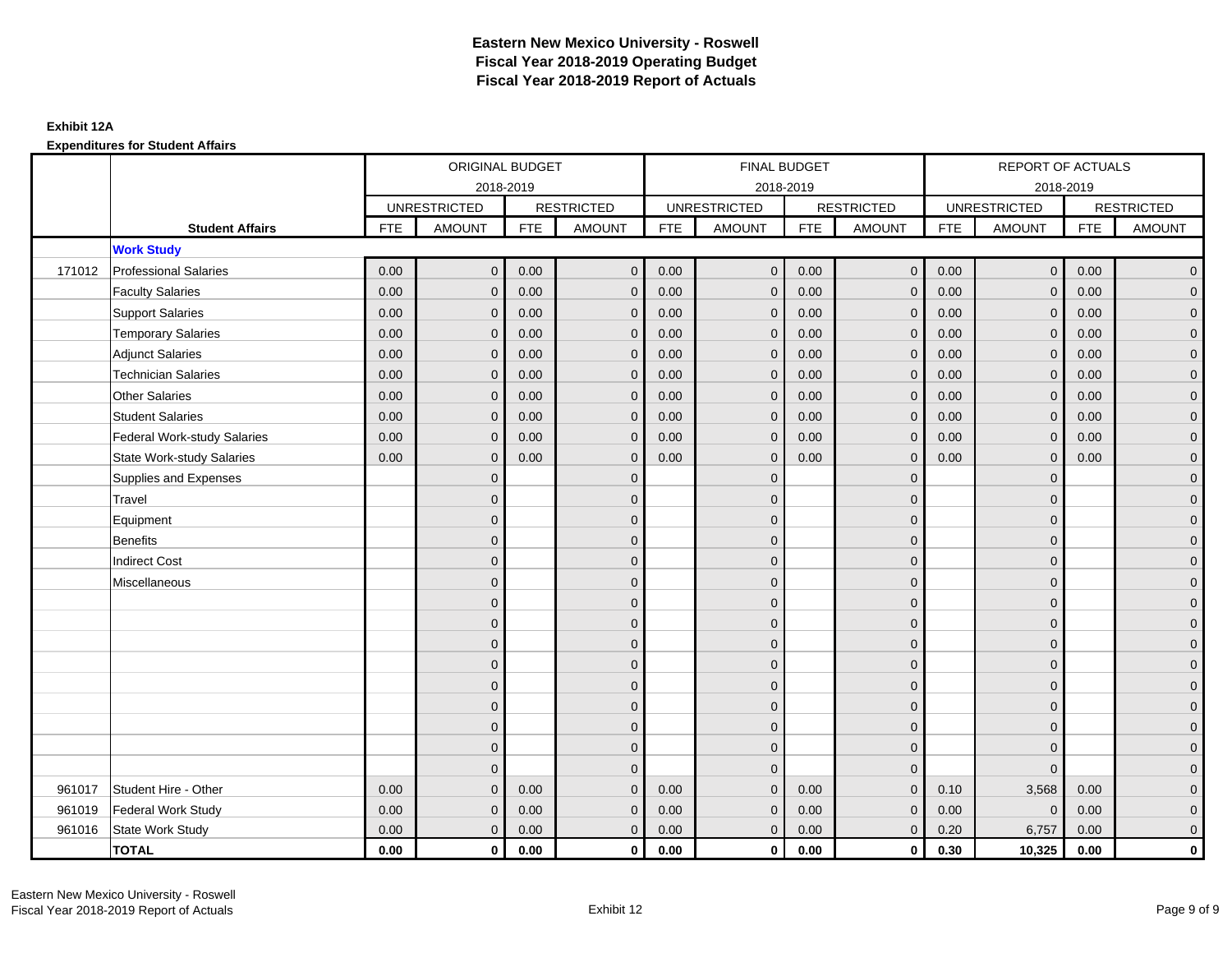|        |                                    |            | ORIGINAL BUDGET     |            |                   |            | <b>FINAL BUDGET</b> |            |                   |            | REPORT OF ACTUALS   |            |                     |
|--------|------------------------------------|------------|---------------------|------------|-------------------|------------|---------------------|------------|-------------------|------------|---------------------|------------|---------------------|
|        |                                    |            | 2018-2019           |            |                   |            | 2018-2019           |            |                   |            | 2018-2019           |            |                     |
|        |                                    |            | <b>UNRESTRICTED</b> |            | <b>RESTRICTED</b> |            | <b>UNRESTRICTED</b> |            | <b>RESTRICTED</b> |            | <b>UNRESTRICTED</b> |            | <b>RESTRICTED</b>   |
|        | <b>Student Affairs</b>             | <b>FTE</b> | <b>AMOUNT</b>       | <b>FTE</b> | <b>AMOUNT</b>     | <b>FTE</b> | <b>AMOUNT</b>       | <b>FTE</b> | <b>AMOUNT</b>     | <b>FTE</b> | <b>AMOUNT</b>       | <b>FTE</b> | <b>AMOUNT</b>       |
|        | <b>Work Study</b>                  |            |                     |            |                   |            |                     |            |                   |            |                     |            |                     |
| 171012 | <b>Professional Salaries</b>       | 0.00       | $\mathbf{0}$        | 0.00       | $\mathbf{0}$      | 0.00       | $\mathbf{0}$        | 0.00       | $\overline{0}$    | 0.00       | $\mathbf 0$         | 0.00       | $\overline{0}$      |
|        | <b>Faculty Salaries</b>            | 0.00       | $\mathbf{0}$        | 0.00       | $\Omega$          | 0.00       | $\Omega$            | 0.00       | $\mathbf{0}$      | 0.00       | $\mathbf{0}$        | 0.00       | $\overline{0}$      |
|        | <b>Support Salaries</b>            | 0.00       | $\mathbf 0$         | 0.00       | $\mathbf{0}$      | 0.00       | $\mathbf{0}$        | 0.00       | $\mathbf 0$       | 0.00       | $\mathbf 0$         | 0.00       | $\overline{0}$      |
|        | <b>Temporary Salaries</b>          | 0.00       | $\mathbf{0}$        | 0.00       | $\Omega$          | 0.00       | $\mathbf{0}$        | 0.00       | $\mathbf 0$       | 0.00       | $\mathbf 0$         | 0.00       | $\overline{0}$      |
|        | <b>Adjunct Salaries</b>            | 0.00       | $\mathbf{0}$        | 0.00       | $\mathbf{0}$      | 0.00       | $\mathbf{0}$        | 0.00       | $\mathbf{0}$      | 0.00       | $\mathbf 0$         | 0.00       | $\mathbf{0}$        |
|        | <b>Technician Salaries</b>         | 0.00       | $\mathbf{0}$        | 0.00       | $\Omega$          | 0.00       | $\mathbf{0}$        | 0.00       | $\mathbf{0}$      | 0.00       | $\mathbf 0$         | 0.00       | $\mathbf{0}$        |
|        | <b>Other Salaries</b>              | 0.00       | $\Omega$            | 0.00       | $\Omega$          | 0.00       | $\Omega$            | 0.00       | $\mathbf{0}$      | 0.00       | $\mathbf{0}$        | 0.00       | $\overline{0}$      |
|        | <b>Student Salaries</b>            | 0.00       | $\mathbf{0}$        | 0.00       | $\mathbf{0}$      | 0.00       | $\mathbf{0}$        | 0.00       | $\mathbf 0$       | 0.00       | $\mathbf 0$         | 0.00       | $\overline{0}$      |
|        | <b>Federal Work-study Salaries</b> | 0.00       | $\mathbf{0}$        | 0.00       | $\Omega$          | 0.00       | $\mathbf{0}$        | 0.00       | $\mathbf{0}$      | 0.00       | $\mathbf 0$         | 0.00       | $\overline{0}$      |
|        | State Work-study Salaries          | 0.00       | $\mathbf 0$         | 0.00       | $\mathbf{0}$      | 0.00       | $\mathbf{0}$        | 0.00       | $\mathbf{0}$      | 0.00       | $\mathbf 0$         | 0.00       | $\mathbf{0}$        |
|        | Supplies and Expenses              |            | $\mathbf{0}$        |            | $\mathbf{0}$      |            | $\mathbf{0}$        |            | $\mathbf{0}$      |            | $\mathbf 0$         |            | $\mathsf{O}\xspace$ |
|        | Travel                             |            | $\Omega$            |            | $\mathbf{0}$      |            | $\Omega$            |            | $\mathbf{0}$      |            | $\Omega$            |            | $\overline{0}$      |
|        | Equipment                          |            | $\overline{0}$      |            | $\mathbf 0$       |            | $\mathbf{0}$        |            | $\mathbf 0$       |            | $\mathbf 0$         |            | $\overline{0}$      |
|        | <b>Benefits</b>                    |            | $\Omega$            |            | $\mathbf{0}$      |            | $\Omega$            |            | $\mathbf 0$       |            | $\mathbf 0$         |            | $\overline{0}$      |
|        | <b>Indirect Cost</b>               |            | $\mathbf{0}$        |            | $\mathbf 0$       |            | $\mathbf{0}$        |            | $\mathbf 0$       |            | $\mathbf{0}$        |            | $\overline{0}$      |
|        | Miscellaneous                      |            | $\mathbf{0}$        |            | $\mathbf{0}$      |            | $\Omega$            |            | $\mathbf 0$       |            | $\Omega$            |            | $\overline{0}$      |
|        |                                    |            | $\Omega$            |            | $\mathbf 0$       |            | $\Omega$            |            | $\mathbf 0$       |            | $\Omega$            |            | $\mathbf{0}$        |
|        |                                    |            | $\mathbf{0}$        |            | $\mathbf{0}$      |            | $\Omega$            |            | $\mathbf 0$       |            | $\mathbf 0$         |            | $\overline{0}$      |
|        |                                    |            | $\Omega$            |            | $\mathbf{0}$      |            | $\Omega$            |            | $\mathbf{0}$      |            | $\Omega$            |            | $\overline{0}$      |
|        |                                    |            | $\mathbf{0}$        |            | $\mathbf{0}$      |            | $\Omega$            |            | $\mathbf 0$       |            | $\mathbf 0$         |            | $\mathbf{0}$        |
|        |                                    |            | $\Omega$            |            | $\mathbf{0}$      |            | $\Omega$            |            | $\mathbf{0}$      |            | $\Omega$            |            | $\overline{0}$      |
|        |                                    |            | $\mathbf{0}$        |            | $\mathbf 0$       |            | $\mathbf{0}$        |            | $\mathbf 0$       |            | $\mathbf 0$         |            | $\mathbf{0}$        |
|        |                                    |            | $\mathbf{0}$        |            | $\mathbf 0$       |            | $\mathbf{0}$        |            | $\mathbf 0$       |            | $\mathbf 0$         |            | $\overline{0}$      |
|        |                                    |            | $\Omega$            |            | $\mathbf{0}$      |            | $\Omega$            |            | $\mathbf 0$       |            | $\Omega$            |            | $\overline{0}$      |
|        |                                    |            | $\mathbf{0}$        |            | $\mathbf{0}$      |            | $\Omega$            |            | $\mathbf 0$       |            | $\mathbf 0$         |            | $\overline{0}$      |
| 961017 | Student Hire - Other               | 0.00       | $\Omega$            | 0.00       | $\Omega$          | 0.00       | $\Omega$            | 0.00       | $\Omega$          | 0.10       | 3,568               | 0.00       | $\mathbf 0$         |
| 961019 | Federal Work Study                 | 0.00       | $\mathbf{0}$        | 0.00       | $\mathbf{0}$      | 0.00       | $\mathbf{0}$        | 0.00       | $\mathbf 0$       | 0.00       | $\mathbf 0$         | 0.00       | $\mathbf{0}$        |
| 961016 | State Work Study                   | 0.00       | $\mathbf 0$         | 0.00       | $\mathbf{0}$      | 0.00       | $\mathbf{0}$        | 0.00       | $\mathbf 0$       | 0.20       | 6,757               | 0.00       | $\overline{0}$      |
|        | <b>TOTAL</b>                       | 0.00       | $\mathbf{0}$        | 0.00       | $\mathbf 0$       | 0.00       | $\bf{0}$            | 0.00       | $\mathbf{0}$      | 0.30       | 10,325              | 0.00       | $\mathbf 0$         |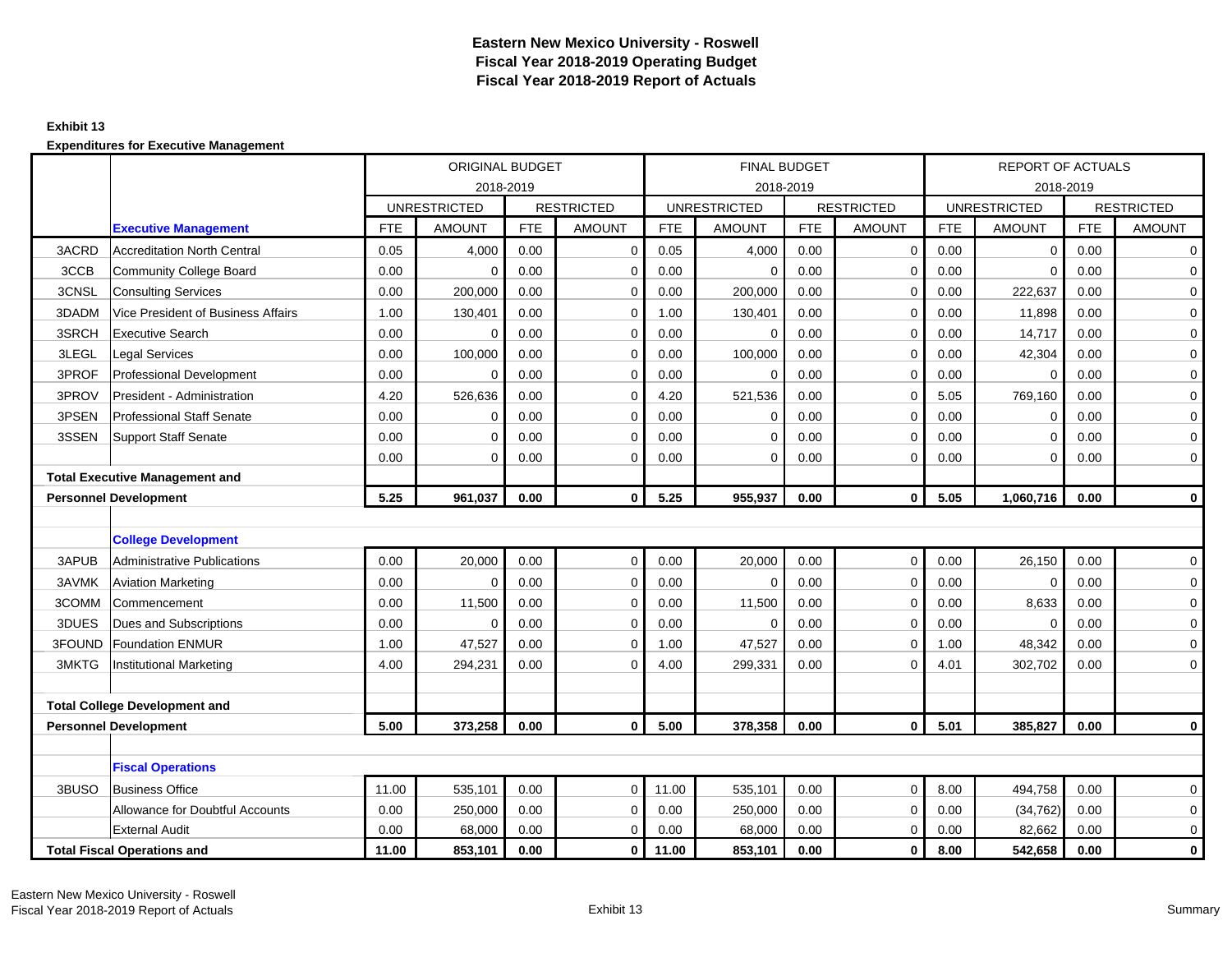#### **Exhibit 13**

|        |                                       |            | ORIGINAL BUDGET     |            |                   |            |                     | <b>FINAL BUDGET</b> |                   |            | <b>REPORT OF ACTUALS</b> |            |                   |
|--------|---------------------------------------|------------|---------------------|------------|-------------------|------------|---------------------|---------------------|-------------------|------------|--------------------------|------------|-------------------|
|        |                                       |            |                     | 2018-2019  |                   |            |                     | 2018-2019           |                   |            |                          | 2018-2019  |                   |
|        |                                       |            | <b>UNRESTRICTED</b> |            | <b>RESTRICTED</b> |            | <b>UNRESTRICTED</b> |                     | <b>RESTRICTED</b> |            | <b>UNRESTRICTED</b>      |            | <b>RESTRICTED</b> |
|        | <b>Executive Management</b>           | <b>FTE</b> | <b>AMOUNT</b>       | <b>FTE</b> | <b>AMOUNT</b>     | <b>FTE</b> | <b>AMOUNT</b>       | <b>FTE</b>          | <b>AMOUNT</b>     | <b>FTE</b> | <b>AMOUNT</b>            | <b>FTE</b> | <b>AMOUNT</b>     |
| 3ACRD  | <b>Accreditation North Central</b>    | 0.05       | 4,000               | 0.00       | $\mathbf 0$       | 0.05       | 4,000               | 0.00                | $\mathbf 0$       | 0.00       | $\mathbf{0}$             | 0.00       | 0                 |
| 3CCB   | Community College Board               | 0.00       | $\Omega$            | 0.00       | $\mathbf 0$       | 0.00       | $\Omega$            | 0.00                | 0                 | 0.00       | $\mathbf 0$              | 0.00       | 0                 |
| 3CNSL  | <b>Consulting Services</b>            | 0.00       | 200,000             | 0.00       | $\mathbf 0$       | 0.00       | 200,000             | 0.00                | 0                 | 0.00       | 222,637                  | 0.00       | 0                 |
| 3DADM  | Vice President of Business Affairs    | 1.00       | 130,401             | 0.00       | $\mathbf 0$       | 1.00       | 130,401             | 0.00                | $\mathbf 0$       | 0.00       | 11,898                   | 0.00       | 0                 |
| 3SRCH  | <b>Executive Search</b>               | 0.00       | $\mathbf 0$         | 0.00       | $\mathbf 0$       | 0.00       | $\mathbf 0$         | 0.00                | 0                 | 0.00       | 14,717                   | 0.00       | 0                 |
| 3LEGL  | <b>Legal Services</b>                 | 0.00       | 100,000             | 0.00       | $\mathbf 0$       | 0.00       | 100,000             | 0.00                | $\mathbf 0$       | 0.00       | 42,304                   | 0.00       | 0                 |
| 3PROF  | <b>Professional Development</b>       | 0.00       | $\Omega$            | 0.00       | $\mathbf 0$       | 0.00       | $\Omega$            | 0.00                | 0                 | 0.00       | $\Omega$                 | 0.00       | 0                 |
| 3PROV  | President - Administration            | 4.20       | 526.636             | 0.00       | $\Omega$          | 4.20       | 521,536             | 0.00                | $\Omega$          | 5.05       | 769,160                  | 0.00       | 0                 |
| 3PSEN  | <b>Professional Staff Senate</b>      | 0.00       | 0                   | 0.00       | $\mathbf 0$       | 0.00       | 0                   | 0.00                | 0                 | 0.00       | $\mathbf 0$              | 0.00       | 0                 |
| 3SSEN  | Support Staff Senate                  | 0.00       | $\mathbf 0$         | 0.00       | $\mathbf 0$       | 0.00       | $\mathbf 0$         | 0.00                | $\mathbf 0$       | 0.00       | $\mathbf 0$              | 0.00       | $\mathbf 0$       |
|        |                                       | 0.00       | $\mathbf 0$         | 0.00       | $\mathbf 0$       | 0.00       | $\mathbf 0$         | 0.00                | $\mathbf 0$       | 0.00       | $\mathbf 0$              | 0.00       | $\mathbf 0$       |
|        | <b>Total Executive Management and</b> |            |                     |            |                   |            |                     |                     |                   |            |                          |            |                   |
|        | <b>Personnel Development</b>          | 5.25       | 961.037             | 0.00       | $\mathbf{0}$      | 5.25       | 955,937             | 0.00                | $\mathbf{0}$      | 5.05       | 1,060,716                | 0.00       | $\mathbf{0}$      |
|        |                                       |            |                     |            |                   |            |                     |                     |                   |            |                          |            |                   |
|        | <b>College Development</b>            |            |                     |            |                   |            |                     |                     |                   |            |                          |            |                   |
| 3APUB  | Administrative Publications           | 0.00       | 20,000              | 0.00       | $\mathbf 0$       | 0.00       | 20,000              | 0.00                | $\mathbf 0$       | 0.00       | 26,150                   | 0.00       | $\mathbf{0}$      |
| 3AVMK  | <b>Aviation Marketing</b>             | 0.00       | $\Omega$            | 0.00       | $\mathbf 0$       | 0.00       | $\Omega$            | 0.00                | $\mathbf 0$       | 0.00       | $\Omega$                 | 0.00       | $\mathbf 0$       |
| 3COMM  | ICommencement                         | 0.00       | 11,500              | 0.00       | $\mathbf 0$       | 0.00       | 11,500              | 0.00                | $\mathbf 0$       | 0.00       | 8,633                    | 0.00       | 0                 |
| 3DUES  | Dues and Subscriptions                | 0.00       | $\mathbf 0$         | 0.00       | 0                 | 0.00       | $\mathbf 0$         | 0.00                | 0                 | 0.00       | $\mathbf 0$              | 0.00       | 0                 |
| 3FOUND | <b>Foundation ENMUR</b>               | 1.00       | 47,527              | 0.00       | $\mathbf 0$       | 1.00       | 47,527              | 0.00                | $\mathbf 0$       | 1.00       | 48,342                   | 0.00       | $\mathbf 0$       |
| 3MKTG  | <b>Institutional Marketing</b>        | 4.00       | 294,231             | 0.00       | $\Omega$          | 4.00       | 299,331             | 0.00                | $\Omega$          | 4.01       | 302,702                  | 0.00       | 0                 |
|        |                                       |            |                     |            |                   |            |                     |                     |                   |            |                          |            |                   |
|        | <b>Total College Development and</b>  |            |                     |            |                   |            |                     |                     |                   |            |                          |            |                   |
|        | <b>Personnel Development</b>          | 5.00       | 373,258             | 0.00       | $\bf{0}$          | 5.00       | 378,358             | 0.00                | $\mathbf{0}$      | 5.01       | 385,827                  | 0.00       | $\mathbf 0$       |
|        |                                       |            |                     |            |                   |            |                     |                     |                   |            |                          |            |                   |
|        | <b>Fiscal Operations</b>              |            |                     |            |                   |            |                     |                     |                   |            |                          |            |                   |
| 3BUSO  | <b>Business Office</b>                | 11.00      | 535,101             | 0.00       | $\mathbf 0$       | 11.00      | 535,101             | 0.00                | 0                 | 8.00       | 494,758                  | 0.00       | 0                 |
|        | Allowance for Doubtful Accounts       | 0.00       | 250,000             | 0.00       | $\mathbf 0$       | 0.00       | 250,000             | 0.00                | $\mathbf 0$       | 0.00       | (34, 762)                | 0.00       | 0                 |
|        | <b>External Audit</b>                 | 0.00       | 68,000              | 0.00       | 0                 | 0.00       | 68,000              | 0.00                | $\mathbf 0$       | 0.00       | 82,662                   | 0.00       | $\mathbf 0$       |
|        | <b>Total Fiscal Operations and</b>    | 11.00      | 853,101             | 0.00       | $\mathbf 0$       | 11.00      | 853,101             | 0.00                | 0                 | 8.00       | 542,658                  | 0.00       | $\mathbf{0}$      |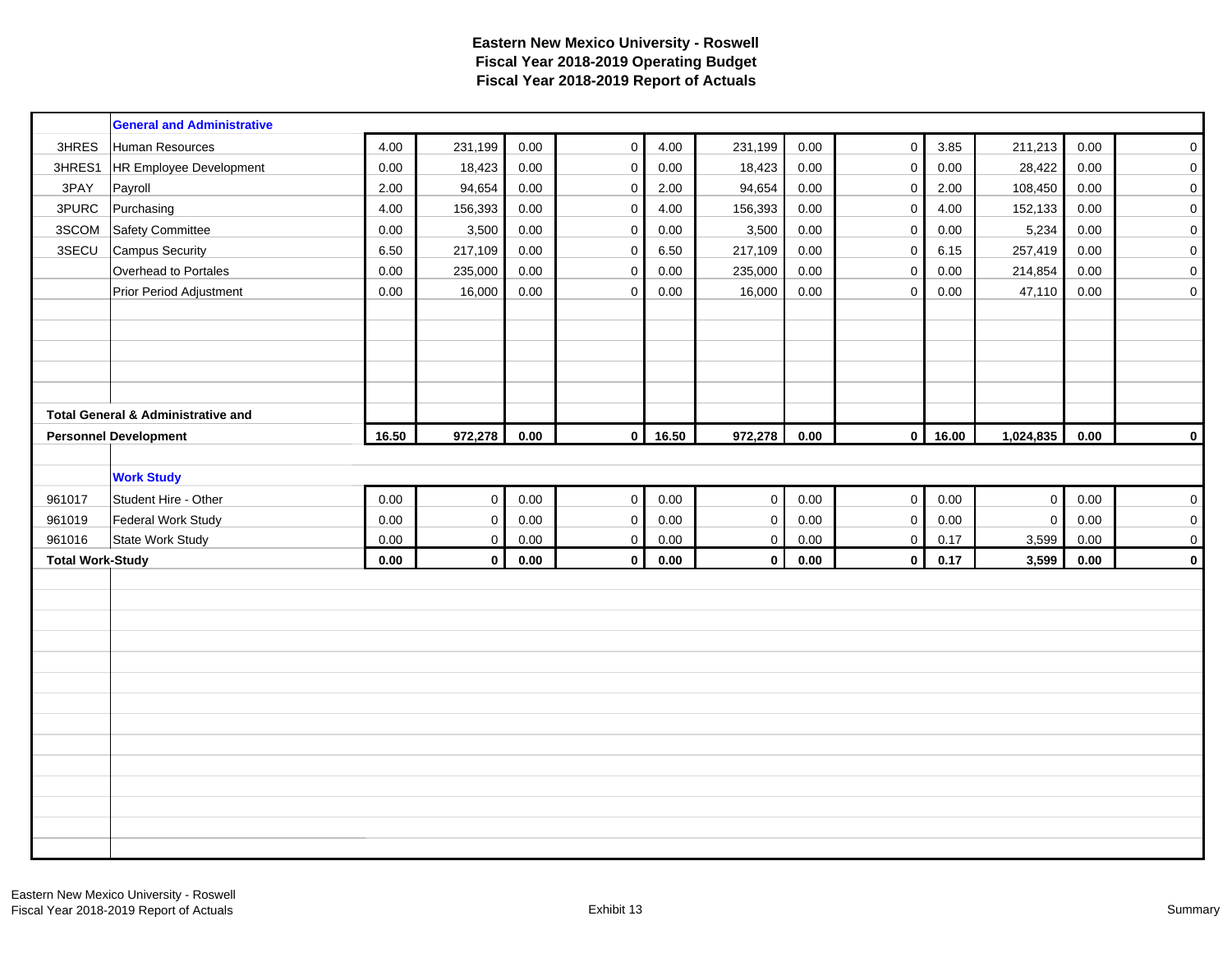|                         | <b>General and Administrative</b>             |          |             |            |              |       |                     |          |                     |       |                |          |                     |
|-------------------------|-----------------------------------------------|----------|-------------|------------|--------------|-------|---------------------|----------|---------------------|-------|----------------|----------|---------------------|
| 3HRES                   | Human Resources                               | 4.00     | 231,199     | 0.00       | $\mathsf 0$  | 4.00  | 231,199             | 0.00     | $\mathbf 0$         | 3.85  | 211,213        | 0.00     | $\mathsf{O}\xspace$ |
| 3HRES1                  | <b>HR Employee Development</b>                | 0.00     | 18,423      | 0.00       | $\pmb{0}$    | 0.00  | 18,423              | 0.00     | $\mathsf 0$         | 0.00  | 28,422         | 0.00     | $\pmb{0}$           |
| 3PAY                    | Payroll                                       | 2.00     | 94,654      | 0.00       | $\pmb{0}$    | 2.00  | 94,654              | 0.00     | $\mathsf{O}\xspace$ | 2.00  | 108,450        | 0.00     | $\pmb{0}$           |
| 3PURC                   | Purchasing                                    | 4.00     | 156,393     | $0.00\,$   | $\pmb{0}$    | 4.00  | 156,393             | 0.00     | $\mathsf{O}\xspace$ | 4.00  | 152,133        | 0.00     | $\pmb{0}$           |
| 3SCOM                   | <b>Safety Committee</b>                       | 0.00     | 3,500       | 0.00       | $\pmb{0}$    | 0.00  | 3,500               | 0.00     | $\mathbf 0$         | 0.00  | 5,234          | 0.00     | $\mathbf 0$         |
| 3SECU                   | <b>Campus Security</b>                        | 6.50     | 217,109     | 0.00       | $\mathsf 0$  | 6.50  | 217,109             | 0.00     | $\mathsf{O}\xspace$ | 6.15  | 257,419        | 0.00     | $\pmb{0}$           |
|                         | Overhead to Portales                          | 0.00     | 235,000     | 0.00       | $\mathbf 0$  | 0.00  | 235,000             | 0.00     | $\mathbf 0$         | 0.00  | 214,854        | 0.00     | $\pmb{0}$           |
|                         | Prior Period Adjustment                       | 0.00     | 16,000      | 0.00       | $\mathbf 0$  | 0.00  | 16,000              | 0.00     | 0                   | 0.00  | 47,110         | 0.00     | $\pmb{0}$           |
|                         |                                               |          |             |            |              |       |                     |          |                     |       |                |          |                     |
|                         |                                               |          |             |            |              |       |                     |          |                     |       |                |          |                     |
|                         |                                               |          |             |            |              |       |                     |          |                     |       |                |          |                     |
|                         |                                               |          |             |            |              |       |                     |          |                     |       |                |          |                     |
|                         |                                               |          |             |            |              |       |                     |          |                     |       |                |          |                     |
|                         | <b>Total General &amp; Administrative and</b> |          |             |            |              |       |                     |          |                     |       |                |          |                     |
|                         | <b>Personnel Development</b>                  | 16.50    | 972,278     | $\bf 0.00$ | $\mathbf 0$  | 16.50 | 972,278             | $0.00\,$ | $\mathbf{0}$        | 16.00 | 1,024,835      | 0.00     | $\mathbf 0$         |
|                         |                                               |          |             |            |              |       |                     |          |                     |       |                |          |                     |
|                         | <b>Work Study</b>                             |          |             |            |              |       |                     |          |                     |       |                |          |                     |
| 961017                  | Student Hire - Other                          | $0.00\,$ | $\pmb{0}$   | $0.00\,$   | $\pmb{0}$    | 0.00  | $\mathsf{O}\xspace$ | $0.00\,$ | $\mathbf 0$         | 0.00  | $\mathbf{0}$   | $0.00\,$ | $\pmb{0}$           |
| 961019                  | <b>Federal Work Study</b>                     | 0.00     | $\pmb{0}$   | 0.00       | $\pmb{0}$    | 0.00  | $\mathbf 0$         | 0.00     | $\mathbf 0$         | 0.00  | $\overline{0}$ | 0.00     | $\pmb{0}$           |
| 961016                  | State Work Study                              | 0.00     | $\mathbf 0$ | $0.00\,$   | $\mathbf 0$  | 0.00  | $\mathbf 0$         | 0.00     | $\mathbf 0$         | 0.17  | 3,599          | 0.00     | $\mathbf 0$         |
| <b>Total Work-Study</b> |                                               | 0.00     | $\mathbf 0$ | 0.00       | $\mathbf{0}$ | 0.00  | $\mathbf{0}$        | 0.00     | $\mathbf 0$         | 0.17  | 3,599          | 0.00     | $\mathbf 0$         |
|                         |                                               |          |             |            |              |       |                     |          |                     |       |                |          |                     |
|                         |                                               |          |             |            |              |       |                     |          |                     |       |                |          |                     |
|                         |                                               |          |             |            |              |       |                     |          |                     |       |                |          |                     |
|                         |                                               |          |             |            |              |       |                     |          |                     |       |                |          |                     |
|                         |                                               |          |             |            |              |       |                     |          |                     |       |                |          |                     |
|                         |                                               |          |             |            |              |       |                     |          |                     |       |                |          |                     |
|                         |                                               |          |             |            |              |       |                     |          |                     |       |                |          |                     |
|                         |                                               |          |             |            |              |       |                     |          |                     |       |                |          |                     |
|                         |                                               |          |             |            |              |       |                     |          |                     |       |                |          |                     |
|                         |                                               |          |             |            |              |       |                     |          |                     |       |                |          |                     |
|                         |                                               |          |             |            |              |       |                     |          |                     |       |                |          |                     |
|                         |                                               |          |             |            |              |       |                     |          |                     |       |                |          |                     |
|                         |                                               |          |             |            |              |       |                     |          |                     |       |                |          |                     |
|                         |                                               |          |             |            |              |       |                     |          |                     |       |                |          |                     |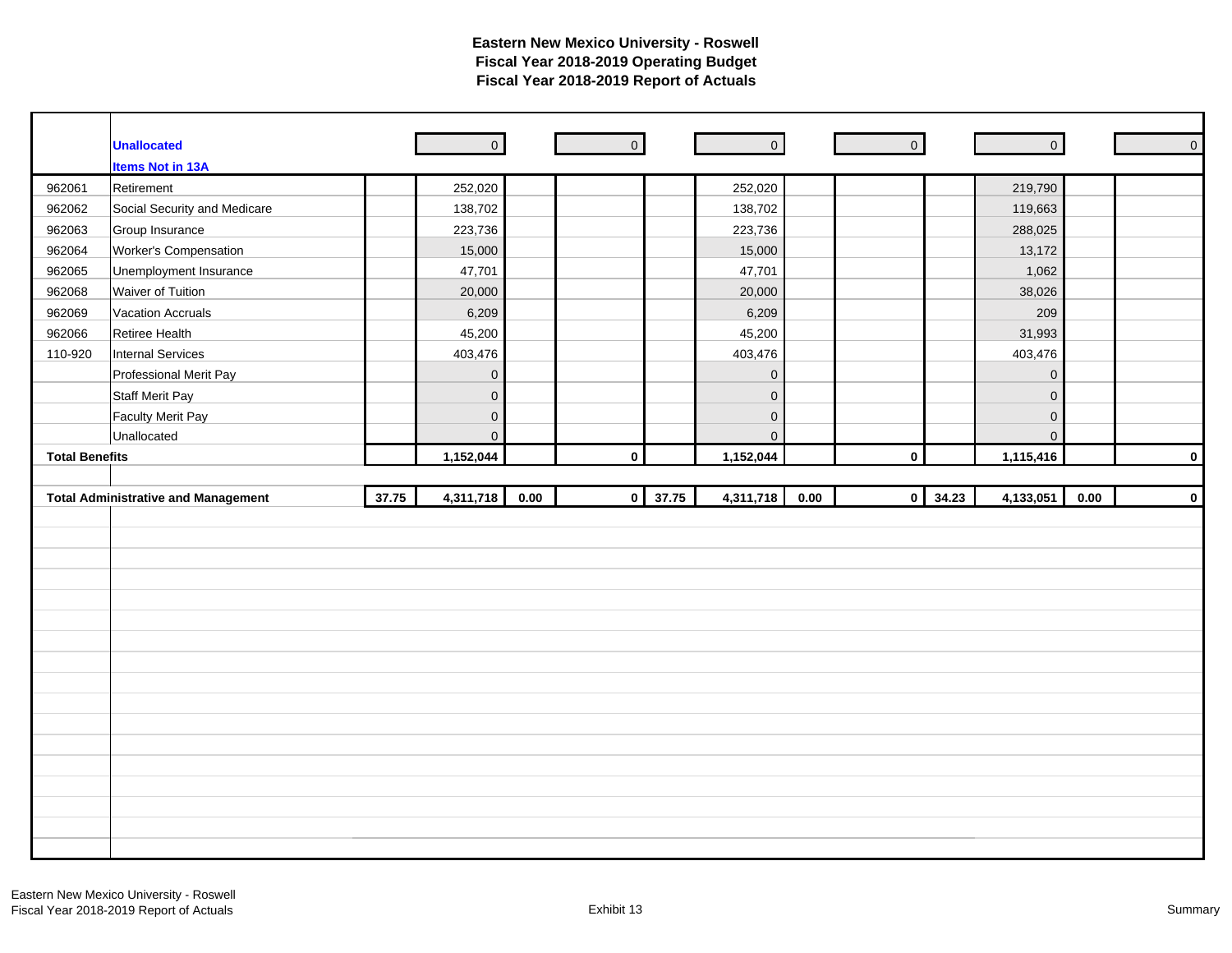|                       | <b>Unallocated</b>                         |       | $\overline{0}$      |      | $\overline{0}$ |       | $\overline{\phantom{a}}$ | $\overline{\phantom{a}}$ |                         | $\circ$        |          | $\mathsf{O}$ |
|-----------------------|--------------------------------------------|-------|---------------------|------|----------------|-------|--------------------------|--------------------------|-------------------------|----------------|----------|--------------|
|                       | <b>Items Not in 13A</b>                    |       |                     |      |                |       |                          |                          |                         |                |          |              |
| 962061                | Retirement                                 |       | 252,020             |      |                |       | 252,020                  |                          |                         | 219,790        |          |              |
| 962062                | Social Security and Medicare               |       | 138,702             |      |                |       | 138,702                  |                          |                         | 119,663        |          |              |
| 962063                | Group Insurance                            |       | 223,736             |      |                |       | 223,736                  |                          |                         | 288,025        |          |              |
| 962064                | Worker's Compensation                      |       | 15,000              |      |                |       | 15,000                   |                          |                         | 13,172         |          |              |
| 962065                | Unemployment Insurance                     |       | 47,701              |      |                |       | 47,701                   |                          |                         | 1,062          |          |              |
| 962068                | Waiver of Tuition                          |       | 20,000              |      |                |       | 20,000                   |                          |                         | 38,026         |          |              |
| 962069                | <b>Vacation Accruals</b>                   |       | 6,209               |      |                |       | 6,209                    |                          |                         | 209            |          |              |
| 962066                | Retiree Health                             |       | 45,200              |      |                |       | 45,200                   |                          |                         | 31,993         |          |              |
| 110-920               | Internal Services                          |       | 403,476             |      |                |       | 403,476                  |                          |                         | 403,476        |          |              |
|                       | Professional Merit Pay                     |       | $\mathbf 0$         |      |                |       | $\mathbf 0$              |                          |                         | $\mathbf 0$    |          |              |
|                       | <b>Staff Merit Pay</b>                     |       | $\mathsf{O}$        |      |                |       | $\mathbf 0$              |                          |                         | $\mathbf 0$    |          |              |
|                       | <b>Faculty Merit Pay</b>                   |       | $\mathbf 0$         |      |                |       | $\mathsf{O}\xspace$      |                          |                         | $\mathbf 0$    |          |              |
|                       | Unallocated                                |       | $\mathsf{O}\xspace$ |      |                |       | $\mathbf{0}$             |                          |                         | $\overline{0}$ |          |              |
| <b>Total Benefits</b> |                                            |       | 1,152,044           |      | $\pmb{0}$      |       | 1,152,044                |                          | $\mathbf 0$             | 1,115,416      |          | $\mathbf 0$  |
|                       |                                            |       |                     |      |                |       |                          |                          |                         |                |          |              |
|                       |                                            |       |                     |      |                |       |                          |                          |                         |                |          |              |
|                       | <b>Total Administrative and Management</b> | 37.75 | 4,311,718           | 0.00 | $\pmb{0}$      | 37.75 | 4,311,718                | 0.00                     | 34.23<br>$\overline{0}$ | 4,133,051      | $0.00\,$ |              |
|                       |                                            |       |                     |      |                |       |                          |                          |                         |                |          |              |
|                       |                                            |       |                     |      |                |       |                          |                          |                         |                |          |              |
|                       |                                            |       |                     |      |                |       |                          |                          |                         |                |          |              |
|                       |                                            |       |                     |      |                |       |                          |                          |                         |                |          |              |
|                       |                                            |       |                     |      |                |       |                          |                          |                         |                |          |              |
|                       |                                            |       |                     |      |                |       |                          |                          |                         |                |          |              |
|                       |                                            |       |                     |      |                |       |                          |                          |                         |                |          |              |
|                       |                                            |       |                     |      |                |       |                          |                          |                         |                |          |              |
|                       |                                            |       |                     |      |                |       |                          |                          |                         |                |          |              |
|                       |                                            |       |                     |      |                |       |                          |                          |                         |                |          |              |
|                       |                                            |       |                     |      |                |       |                          |                          |                         |                |          |              |
|                       |                                            |       |                     |      |                |       |                          |                          |                         |                |          |              |
|                       |                                            |       |                     |      |                |       |                          |                          |                         |                |          |              |
|                       |                                            |       |                     |      |                |       |                          |                          |                         |                |          |              |
|                       |                                            |       |                     |      |                |       |                          |                          |                         |                |          |              |
|                       |                                            |       |                     |      |                |       |                          |                          |                         |                |          |              |
|                       |                                            |       |                     |      |                |       |                          |                          |                         |                |          | $\mathbf 0$  |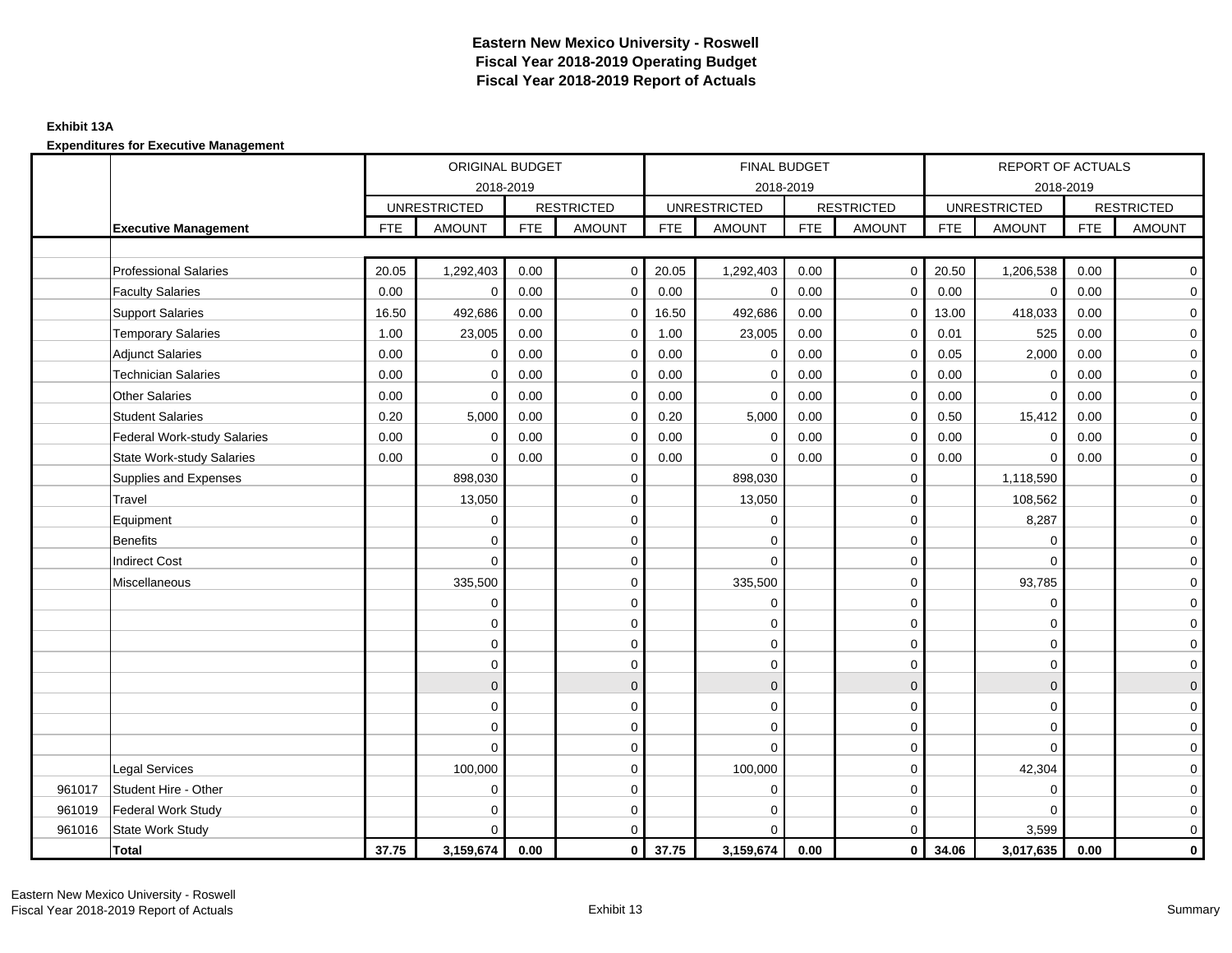### **Exhibit 13A**

|        |                              |            | ORIGINAL BUDGET     |            |                   |            | FINAL BUDGET        |            |                     |            | REPORT OF ACTUALS   |            |                   |
|--------|------------------------------|------------|---------------------|------------|-------------------|------------|---------------------|------------|---------------------|------------|---------------------|------------|-------------------|
|        |                              |            | 2018-2019           |            |                   |            | 2018-2019           |            |                     |            | 2018-2019           |            |                   |
|        |                              |            | <b>UNRESTRICTED</b> |            | <b>RESTRICTED</b> |            | <b>UNRESTRICTED</b> |            | <b>RESTRICTED</b>   |            | <b>UNRESTRICTED</b> |            | <b>RESTRICTED</b> |
|        | <b>Executive Management</b>  | <b>FTE</b> | <b>AMOUNT</b>       | <b>FTE</b> | <b>AMOUNT</b>     | <b>FTE</b> | <b>AMOUNT</b>       | <b>FTE</b> | <b>AMOUNT</b>       | <b>FTE</b> | <b>AMOUNT</b>       | <b>FTE</b> | <b>AMOUNT</b>     |
|        |                              |            |                     |            |                   |            |                     |            |                     |            |                     |            |                   |
|        | <b>Professional Salaries</b> | 20.05      | 1,292,403           | 0.00       | $\overline{0}$    | 20.05      | 1,292,403           | 0.00       | $\circ$             | 20.50      | 1,206,538           | 0.00       | $\overline{0}$    |
|        | <b>Faculty Salaries</b>      | 0.00       | $\mathbf 0$         | 0.00       | $\mathbf 0$       | 0.00       | $\mathbf 0$         | 0.00       | $\mathbf 0$         | 0.00       | $\mathbf 0$         | 0.00       | $\mathbf 0$       |
|        | Support Salaries             | 16.50      | 492,686             | 0.00       | $\mathbf 0$       | 16.50      | 492,686             | 0.00       | $\mathbf 0$         | 13.00      | 418,033             | 0.00       | $\overline{0}$    |
|        | <b>Temporary Salaries</b>    | 1.00       | 23,005              | 0.00       | $\mathbf 0$       | 1.00       | 23,005              | 0.00       | $\mathbf 0$         | 0.01       | 525                 | 0.00       | $\mathbf 0$       |
|        | <b>Adjunct Salaries</b>      | 0.00       | 0                   | 0.00       | 0                 | 0.00       | 0                   | 0.00       | $\mathbf 0$         | 0.05       | 2,000               | 0.00       | $\mathbf 0$       |
|        | <b>Technician Salaries</b>   | 0.00       | $\Omega$            | 0.00       | $\mathbf 0$       | 0.00       | $\Omega$            | 0.00       | $\mathbf 0$         | 0.00       | $\mathbf 0$         | 0.00       | $\mathbf 0$       |
|        | Other Salaries               | 0.00       | $\Omega$            | 0.00       | $\Omega$          | 0.00       | $\Omega$            | 0.00       | $\mathbf 0$         | 0.00       | $\Omega$            | 0.00       | $\overline{0}$    |
|        | <b>Student Salaries</b>      | 0.20       | 5,000               | 0.00       | 0                 | 0.20       | 5,000               | 0.00       | 0                   | 0.50       | 15,412              | 0.00       | $\overline{0}$    |
|        | Federal Work-study Salaries  | 0.00       | $\Omega$            | 0.00       | $\mathbf 0$       | 0.00       | $\mathbf 0$         | 0.00       | $\mathbf 0$         | 0.00       | $\mathbf 0$         | 0.00       | $\mathbf 0$       |
|        | State Work-study Salaries    | 0.00       | $\Omega$            | 0.00       | $\mathbf 0$       | 0.00       | $\Omega$            | 0.00       | $\mathbf 0$         | 0.00       | $\Omega$            | 0.00       | $\mathbf 0$       |
|        | Supplies and Expenses        |            | 898,030             |            | $\mathbf 0$       |            | 898,030             |            | $\mathbf 0$         |            | 1,118,590           |            | $\mathbf 0$       |
|        | Travel                       |            | 13,050              |            | 0                 |            | 13,050              |            | $\mathbf 0$         |            | 108,562             |            | $\mathbf 0$       |
|        | Equipment                    |            | $\mathbf 0$         |            | 0                 |            | 0                   |            | $\mathbf 0$         |            | 8,287               |            | $\mathbf 0$       |
|        | <b>Benefits</b>              |            | $\Omega$            |            | $\mathbf 0$       |            | $\Omega$            |            | $\mathbf 0$         |            | $\Omega$            |            | $\mathbf 0$       |
|        | <b>Indirect Cost</b>         |            | $\Omega$            |            | $\mathbf 0$       |            | $\Omega$            |            | $\mathbf 0$         |            | $\Omega$            |            | $\mathbf 0$       |
|        | Miscellaneous                |            | 335,500             |            | $\mathbf 0$       |            | 335,500             |            | $\mathbf 0$         |            | 93,785              |            | $\overline{0}$    |
|        |                              |            | $\mathbf 0$         |            | $\mathbf 0$       |            | $\mathbf 0$         |            | $\mathsf{O}\xspace$ |            | $\mathbf 0$         |            | $\overline{0}$    |
|        |                              |            | 0                   |            | 0                 |            | $\mathbf 0$         |            | $\mathbf 0$         |            | $\mathbf 0$         |            | $\overline{0}$    |
|        |                              |            | $\Omega$            |            | $\mathbf 0$       |            | $\Omega$            |            | $\mathbf 0$         |            | $\Omega$            |            | $\overline{0}$    |
|        |                              |            | $\mathbf 0$         |            | $\mathbf 0$       |            | 0                   |            | $\mathbf 0$         |            | 0                   |            | $\mathbf 0$       |
|        |                              |            | $\mathbf{0}$        |            | $\mathbf 0$       |            | $\mathbf{0}$        |            | $\mathbf{0}$        |            | $\mathbf{0}$        |            | $\mathbf{0}$      |
|        |                              |            | $\Omega$            |            | $\mathbf 0$       |            | $\Omega$            |            | $\mathbf 0$         |            | $\Omega$            |            | $\overline{0}$    |
|        |                              |            | $\mathbf 0$         |            | 0                 |            | 0                   |            | $\mathbf 0$         |            | $\mathbf 0$         |            | $\mathbf 0$       |
|        |                              |            | $\Omega$            |            | 0                 |            | $\Omega$            |            | $\mathbf 0$         |            | $\Omega$            |            | $\mathbf 0$       |
|        | <b>Legal Services</b>        |            | 100,000             |            | $\mathbf 0$       |            | 100,000             |            | $\mathbf 0$         |            | 42,304              |            | $\mathbf 0$       |
| 961017 | Student Hire - Other         |            | $\Omega$            |            | $\mathbf 0$       |            | 0                   |            | $\mathbf 0$         |            | $\Omega$            |            | $\mathbf 0$       |
| 961019 | <b>Federal Work Study</b>    |            | $\Omega$            |            | $\mathbf 0$       |            | $\mathbf 0$         |            | $\mathbf 0$         |            | $\Omega$            |            | $\mathbf 0$       |
| 961016 | <b>State Work Study</b>      |            | $\Omega$            |            | $\mathbf 0$       |            | $\Omega$            |            | $\mathbf 0$         |            | 3,599               |            | $\mathbf 0$       |
|        | <b>Total</b>                 | 37.75      | 3,159,674           | 0.00       | $\overline{0}$    | 37.75      | 3,159,674           | 0.00       | 0                   | 34.06      | 3,017,635           | 0.00       | $\mathbf 0$       |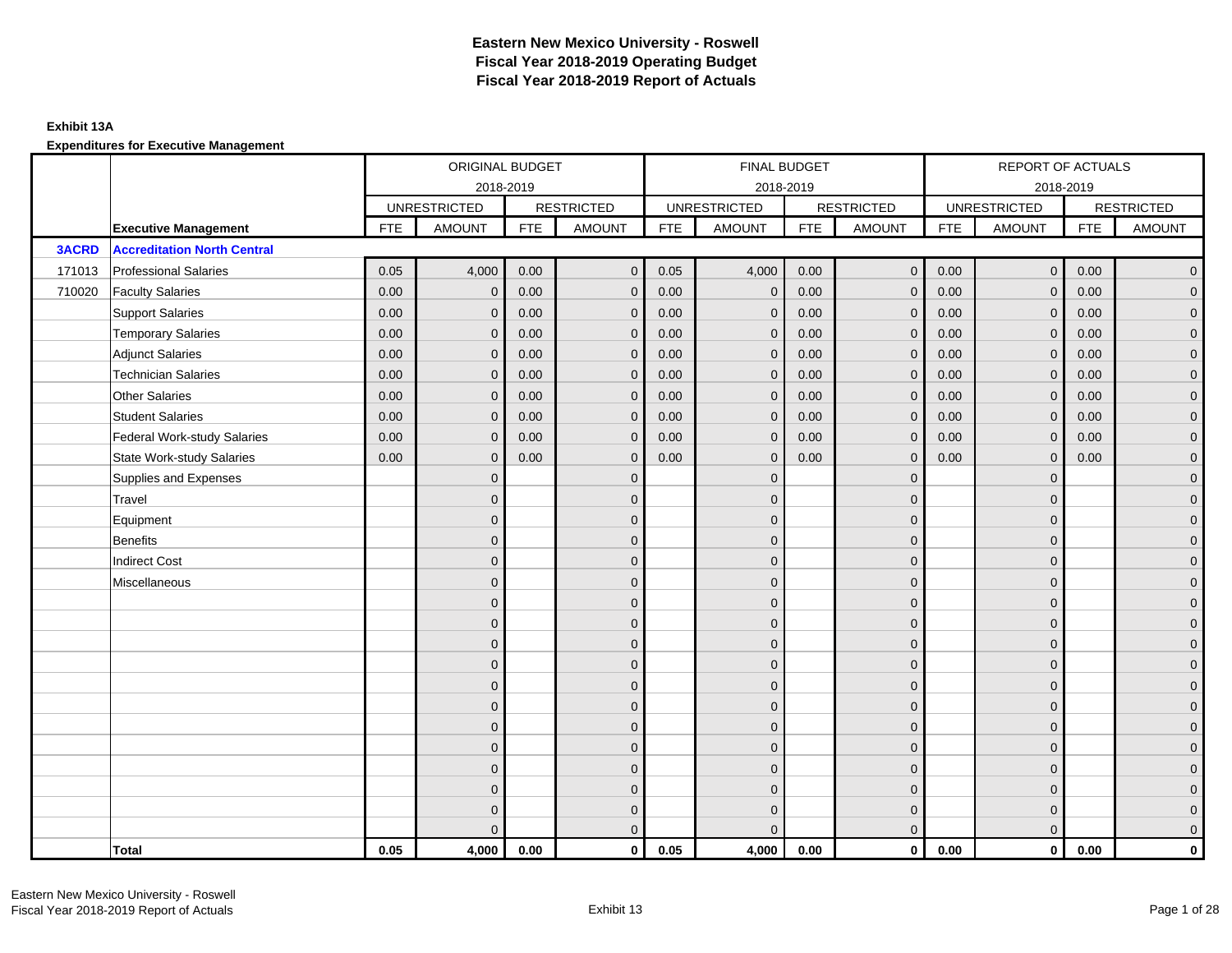### **Exhibit 13A**

|              |                                    |            | ORIGINAL BUDGET     |            |                   |            | <b>FINAL BUDGET</b> |            |                   |            | <b>REPORT OF ACTUALS</b> |            |                     |
|--------------|------------------------------------|------------|---------------------|------------|-------------------|------------|---------------------|------------|-------------------|------------|--------------------------|------------|---------------------|
|              |                                    |            |                     | 2018-2019  |                   |            | 2018-2019           |            |                   |            | 2018-2019                |            |                     |
|              |                                    |            | <b>UNRESTRICTED</b> |            | <b>RESTRICTED</b> |            | <b>UNRESTRICTED</b> |            | <b>RESTRICTED</b> |            | <b>UNRESTRICTED</b>      |            | <b>RESTRICTED</b>   |
|              | <b>Executive Management</b>        | <b>FTE</b> | <b>AMOUNT</b>       | <b>FTE</b> | <b>AMOUNT</b>     | <b>FTE</b> | <b>AMOUNT</b>       | <b>FTE</b> | <b>AMOUNT</b>     | <b>FTE</b> | <b>AMOUNT</b>            | <b>FTE</b> | <b>AMOUNT</b>       |
| <b>3ACRD</b> | <b>Accreditation North Central</b> |            |                     |            |                   |            |                     |            |                   |            |                          |            |                     |
| 171013       | <b>Professional Salaries</b>       | 0.05       | 4,000               | 0.00       | $\mathbf{0}$      | 0.05       | 4,000               | 0.00       | $\overline{0}$    | 0.00       | $\overline{0}$           | 0.00       | $\overline{0}$      |
| 710020       | <b>Faculty Salaries</b>            | 0.00       | $\mathbf{0}$        | 0.00       | $\mathbf 0$       | 0.00       | $\mathbf 0$         | 0.00       | $\mathbf{0}$      | 0.00       | $\mathbf 0$              | 0.00       | $\overline{0}$      |
|              | <b>Support Salaries</b>            | 0.00       | $\mathbf 0$         | 0.00       | $\mathbf 0$       | 0.00       | $\mathbf{0}$        | 0.00       | $\mathbf 0$       | 0.00       | $\overline{0}$           | 0.00       | $\overline{0}$      |
|              | <b>Temporary Salaries</b>          | 0.00       | $\mathbf{0}$        | 0.00       | $\mathbf{0}$      | 0.00       | $\mathbf{0}$        | 0.00       | $\mathbf{0}$      | 0.00       | $\mathbf 0$              | 0.00       | $\overline{0}$      |
|              | <b>Adjunct Salaries</b>            | 0.00       | $\mathbf{0}$        | 0.00       | $\Omega$          | 0.00       | $\Omega$            | 0.00       | $\mathbf{0}$      | 0.00       | $\mathbf{0}$             | 0.00       | $\overline{0}$      |
|              | <b>Technician Salaries</b>         | 0.00       | $\mathbf{0}$        | 0.00       | $\mathbf{0}$      | 0.00       | $\mathbf{0}$        | 0.00       | $\mathbf{0}$      | 0.00       | $\mathbf{0}$             | 0.00       | $\mathbf{0}$        |
|              | <b>Other Salaries</b>              | 0.00       | $\mathbf{0}$        | 0.00       | $\mathbf{0}$      | 0.00       | $\mathbf{0}$        | 0.00       | $\mathbf{0}$      | 0.00       | $\mathbf{0}$             | 0.00       | $\mathbf{0}$        |
|              | <b>Student Salaries</b>            | 0.00       | $\mathbf{0}$        | 0.00       | $\mathbf{0}$      | 0.00       | $\mathbf{0}$        | 0.00       | $\mathbf 0$       | 0.00       | $\overline{0}$           | 0.00       | $\overline{0}$      |
|              | <b>Federal Work-study Salaries</b> | 0.00       | $\mathbf 0$         | 0.00       | $\mathbf 0$       | 0.00       | $\mathbf{0}$        | 0.00       | $\mathbf 0$       | 0.00       | $\mathbf 0$              | 0.00       | $\overline{0}$      |
|              | <b>State Work-study Salaries</b>   | 0.00       | $\mathbf{0}$        | 0.00       | $\mathbf{0}$      | 0.00       | $\mathbf{0}$        | 0.00       | $\mathbf{0}$      | 0.00       | $\mathbf{0}$             | 0.00       | $\mathbf{0}$        |
|              | Supplies and Expenses              |            | $\mathbf{0}$        |            | $\mathbf{0}$      |            | $\mathbf{0}$        |            | $\overline{0}$    |            | $\mathbf 0$              |            | $\mathsf{O}\xspace$ |
|              | Travel                             |            | $\overline{0}$      |            | $\mathbf{0}$      |            | $\Omega$            |            | $\mathbf{0}$      |            | $\mathbf{0}$             |            | $\overline{0}$      |
|              | Equipment                          |            | $\mathbf{0}$        |            | $\mathbf 0$       |            | $\mathbf{0}$        |            | $\mathbf 0$       |            | $\mathbf 0$              |            | $\overline{0}$      |
|              | Benefits                           |            | $\overline{0}$      |            | $\mathbf{0}$      |            | $\Omega$            |            | $\mathbf 0$       |            | $\mathbf{0}$             |            | $\overline{0}$      |
|              | <b>Indirect Cost</b>               |            | $\Omega$            |            | $\mathbf{0}$      |            | $\Omega$            |            | $\mathbf{0}$      |            | $\Omega$                 |            | $\overline{0}$      |
|              | Miscellaneous                      |            | $\overline{0}$      |            | $\mathbf 0$       |            | $\mathbf{0}$        |            | $\mathbf 0$       |            | $\mathbf{0}$             |            | $\mathsf{O}\xspace$ |
|              |                                    |            | $\overline{0}$      |            | $\mathbf 0$       |            | $\mathbf{0}$        |            | $\mathbf 0$       |            | $\mathbf{0}$             |            | $\overline{0}$      |
|              |                                    |            | $\Omega$            |            | $\mathbf 0$       |            | $\mathbf{0}$        |            | $\mathbf 0$       |            | $\mathbf{0}$             |            | $\overline{0}$      |
|              |                                    |            | $\mathbf{0}$        |            | $\mathbf 0$       |            | $\Omega$            |            | $\mathsf{O}$      |            | $\mathbf 0$              |            | $\mathbf{0}$        |
|              |                                    |            | $\Omega$            |            | $\mathbf 0$       |            | $\Omega$            |            | $\mathbf 0$       |            | $\mathbf{0}$             |            | $\mathbf{0}$        |
|              |                                    |            | $\Omega$            |            | $\mathbf{0}$      |            | $\mathbf{0}$        |            | $\mathbf{0}$      |            | $\mathbf{0}$             |            | $\mathsf{O}\xspace$ |
|              |                                    |            | $\mathbf{0}$        |            | $\mathbf{0}$      |            | $\Omega$            |            | $\mathbf{0}$      |            | $\Omega$                 |            | $\overline{0}$      |
|              |                                    |            | $\mathbf{0}$        |            | $\mathbf 0$       |            | $\mathbf{0}$        |            | $\mathbf 0$       |            | $\mathbf 0$              |            | $\overline{0}$      |
|              |                                    |            | $\mathbf{0}$        |            | $\mathbf{0}$      |            | $\Omega$            |            | $\mathbf 0$       |            | $\mathbf{0}$             |            | $\overline{0}$      |
|              |                                    |            | $\Omega$            |            | $\mathbf{0}$      |            | $\Omega$            |            | $\mathbf 0$       |            | $\mathbf 0$              |            | $\overline{0}$      |
|              |                                    |            | $\mathbf{0}$        |            | $\mathbf 0$       |            | $\mathbf{0}$        |            | $\mathbf 0$       |            | $\mathbf 0$              |            | $\mathbf{0}$        |
|              |                                    |            | $\mathbf{0}$        |            | $\mathbf 0$       |            | $\mathbf{0}$        |            | $\mathbf 0$       |            | $\mathbf 0$              |            | $\mathbf{0}$        |
|              |                                    |            | $\Omega$            |            | $\mathbf{0}$      |            | $\Omega$            |            | $\mathbf 0$       |            | $\mathbf{0}$             |            | $\overline{0}$      |
|              | <b>Total</b>                       | 0.05       | 4,000               | 0.00       | $\mathbf{0}$      | 0.05       | 4,000               | 0.00       | $\overline{0}$    | 0.00       | $\mathbf{0}$             | 0.00       | $\mathbf{0}$        |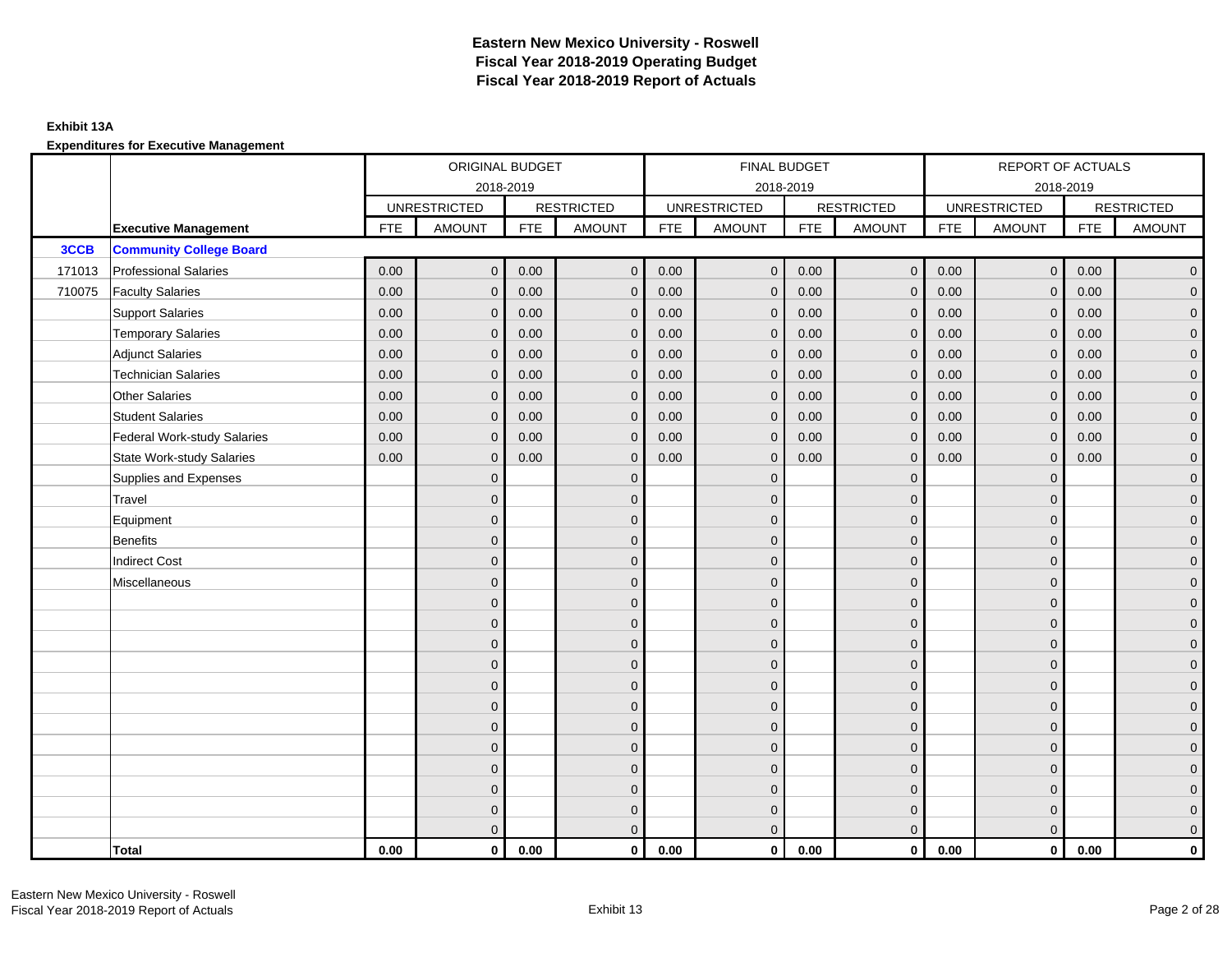### **Exhibit 13A**

|        |                                    |            | ORIGINAL BUDGET     |            |                   |            | FINAL BUDGET        |            |                   |            | REPORT OF ACTUALS   |            |                     |
|--------|------------------------------------|------------|---------------------|------------|-------------------|------------|---------------------|------------|-------------------|------------|---------------------|------------|---------------------|
|        |                                    |            |                     | 2018-2019  |                   |            | 2018-2019           |            |                   |            | 2018-2019           |            |                     |
|        |                                    |            | <b>UNRESTRICTED</b> |            | <b>RESTRICTED</b> |            | <b>UNRESTRICTED</b> |            | <b>RESTRICTED</b> |            | <b>UNRESTRICTED</b> |            | <b>RESTRICTED</b>   |
|        | <b>Executive Management</b>        | <b>FTE</b> | <b>AMOUNT</b>       | <b>FTE</b> | <b>AMOUNT</b>     | <b>FTE</b> | <b>AMOUNT</b>       | <b>FTE</b> | <b>AMOUNT</b>     | <b>FTE</b> | <b>AMOUNT</b>       | <b>FTE</b> | <b>AMOUNT</b>       |
| 3CCB   | <b>Community College Board</b>     |            |                     |            |                   |            |                     |            |                   |            |                     |            |                     |
| 171013 | <b>Professional Salaries</b>       | 0.00       | $\mathbf{0}$        | 0.00       | $\mathbf{0}$      | 0.00       | $\mathbf{0}$        | 0.00       | $\overline{0}$    | 0.00       | $\overline{0}$      | 0.00       | $\overline{0}$      |
| 710075 | <b>Faculty Salaries</b>            | 0.00       | $\mathbf{0}$        | 0.00       | $\mathbf{0}$      | 0.00       | $\mathbf{0}$        | 0.00       | $\mathbf{0}$      | 0.00       | $\overline{0}$      | 0.00       | $\overline{0}$      |
|        | <b>Support Salaries</b>            | 0.00       | $\mathbf{0}$        | 0.00       | $\mathbf{0}$      | 0.00       | $\overline{0}$      | 0.00       | $\mathbf 0$       | 0.00       | $\overline{0}$      | 0.00       | $\overline{0}$      |
|        | <b>Temporary Salaries</b>          | 0.00       | $\mathbf 0$         | 0.00       | $\mathbf 0$       | 0.00       | $\mathbf 0$         | 0.00       | $\mathbf 0$       | 0.00       | $\mathbf 0$         | 0.00       | $\mathsf{O}\xspace$ |
|        | <b>Adjunct Salaries</b>            | 0.00       | $\mathbf{0}$        | 0.00       | $\mathbf{0}$      | 0.00       | $\mathbf{0}$        | 0.00       | $\mathbf 0$       | 0.00       | $\mathbf{0}$        | 0.00       | $\mathbf{0}$        |
|        | <b>Technician Salaries</b>         | 0.00       | $\mathbf{0}$        | 0.00       | $\mathbf{0}$      | 0.00       | $\mathbf{0}$        | 0.00       | $\mathbf{0}$      | 0.00       | $\mathbf{0}$        | 0.00       | $\mathbf{0}$        |
|        | Other Salaries                     | 0.00       | $\mathbf{0}$        | 0.00       | $\mathbf{0}$      | 0.00       | $\Omega$            | 0.00       | $\mathbf{0}$      | 0.00       | $\overline{0}$      | 0.00       | $\overline{0}$      |
|        | <b>Student Salaries</b>            | 0.00       | $\mathbf 0$         | 0.00       | $\mathbf 0$       | 0.00       | $\mathbf{0}$        | 0.00       | $\mathbf 0$       | 0.00       | $\mathbf 0$         | 0.00       | $\overline{0}$      |
|        | <b>Federal Work-study Salaries</b> | 0.00       | $\mathbf 0$         | 0.00       | $\mathbf{0}$      | 0.00       | $\mathbf{0}$        | 0.00       | $\overline{0}$    | 0.00       | $\mathbf 0$         | 0.00       | $\overline{0}$      |
|        | <b>State Work-study Salaries</b>   | 0.00       | $\mathbf{0}$        | 0.00       | $\mathbf{0}$      | 0.00       | $\mathbf{0}$        | 0.00       | $\mathbf{0}$      | 0.00       | $\mathbf{0}$        | 0.00       | $\overline{0}$      |
|        | Supplies and Expenses              |            | $\Omega$            |            | $\mathbf{0}$      |            | $\mathbf{0}$        |            | $\overline{0}$    |            | $\mathbf 0$         |            | $\mathsf{O}\xspace$ |
|        | Travel                             |            | $\overline{0}$      |            | $\mathbf{0}$      |            | $\Omega$            |            | $\mathbf{0}$      |            | $\mathbf{0}$        |            | $\overline{0}$      |
|        | Equipment                          |            | $\overline{0}$      |            | $\mathbf 0$       |            | $\mathbf{0}$        |            | $\mathbf 0$       |            | $\mathbf{0}$        |            | $\overline{0}$      |
|        | Benefits                           |            | $\overline{0}$      |            | $\mathbf{0}$      |            | $\Omega$            |            | $\mathbf 0$       |            | $\mathbf{0}$        |            | $\overline{0}$      |
|        | <b>Indirect Cost</b>               |            | $\Omega$            |            | $\mathbf{0}$      |            | $\Omega$            |            | $\mathbf{0}$      |            | $\Omega$            |            | $\overline{0}$      |
|        | Miscellaneous                      |            | $\Omega$            |            | $\mathbf{0}$      |            | $\Omega$            |            | $\mathbf{0}$      |            | $\Omega$            |            | $\mathsf{O}\xspace$ |
|        |                                    |            | $\overline{0}$      |            | $\mathbf 0$       |            | $\mathbf{0}$        |            | $\mathbf 0$       |            | $\mathbf{0}$        |            | $\mathbf{0}$        |
|        |                                    |            | $\overline{0}$      |            | $\mathbf 0$       |            | $\mathbf{0}$        |            | $\mathbf 0$       |            | $\mathbf{0}$        |            | $\overline{0}$      |
|        |                                    |            | $\Omega$            |            | $\mathbf{0}$      |            | $\Omega$            |            | $\mathbf 0$       |            | $\mathbf{0}$        |            | $\overline{0}$      |
|        |                                    |            | $\Omega$            |            | $\mathbf{0}$      |            | $\Omega$            |            | $\mathbf{0}$      |            | $\Omega$            |            | $\overline{0}$      |
|        |                                    |            | $\mathbf{0}$        |            | $\mathbf 0$       |            | $\mathbf{0}$        |            | $\mathbf 0$       |            | $\mathbf 0$         |            | $\mathsf{O}\xspace$ |
|        |                                    |            | $\mathbf{0}$        |            | $\mathbf 0$       |            | $\mathbf{0}$        |            | $\mathbf 0$       |            | $\mathbf{0}$        |            | $\mathbf{0}$        |
|        |                                    |            | $\mathbf{0}$        |            | $\mathbf{0}$      |            | $\mathbf{0}$        |            | $\mathbf 0$       |            | $\mathbf{0}$        |            | $\overline{0}$      |
|        |                                    |            | $\overline{0}$      |            | $\mathbf{0}$      |            | $\Omega$            |            | $\mathbf{0}$      |            | $\mathbf{0}$        |            | $\overline{0}$      |
|        |                                    |            | $\overline{0}$      |            | $\mathbf 0$       |            | $\mathbf{0}$        |            | $\mathbf 0$       |            | $\mathbf{0}$        |            | $\mathbf{0}$        |
|        |                                    |            | $\overline{0}$      |            | $\mathbf 0$       |            | $\mathbf{0}$        |            | $\mathbf 0$       |            | $\mathbf 0$         |            | $\mathbf{0}$        |
|        |                                    |            | $\mathbf{0}$        |            | $\mathbf 0$       |            | $\mathbf{0}$        |            | $\mathbf 0$       |            | $\mathbf{0}$        |            | $\mathbf{0}$        |
|        |                                    |            | $\Omega$            |            | $\mathbf{0}$      |            | $\Omega$            |            | $\overline{0}$    |            | $\Omega$            |            | $\overline{0}$      |
|        | <b>Total</b>                       | 0.00       | $\mathbf{0}$        | 0.00       | $\mathbf{0}$      | 0.00       | $\mathbf{0}$        | 0.00       | $\mathbf{0}$      | 0.00       | $\mathbf{0}$        | 0.00       | $\mathbf 0$         |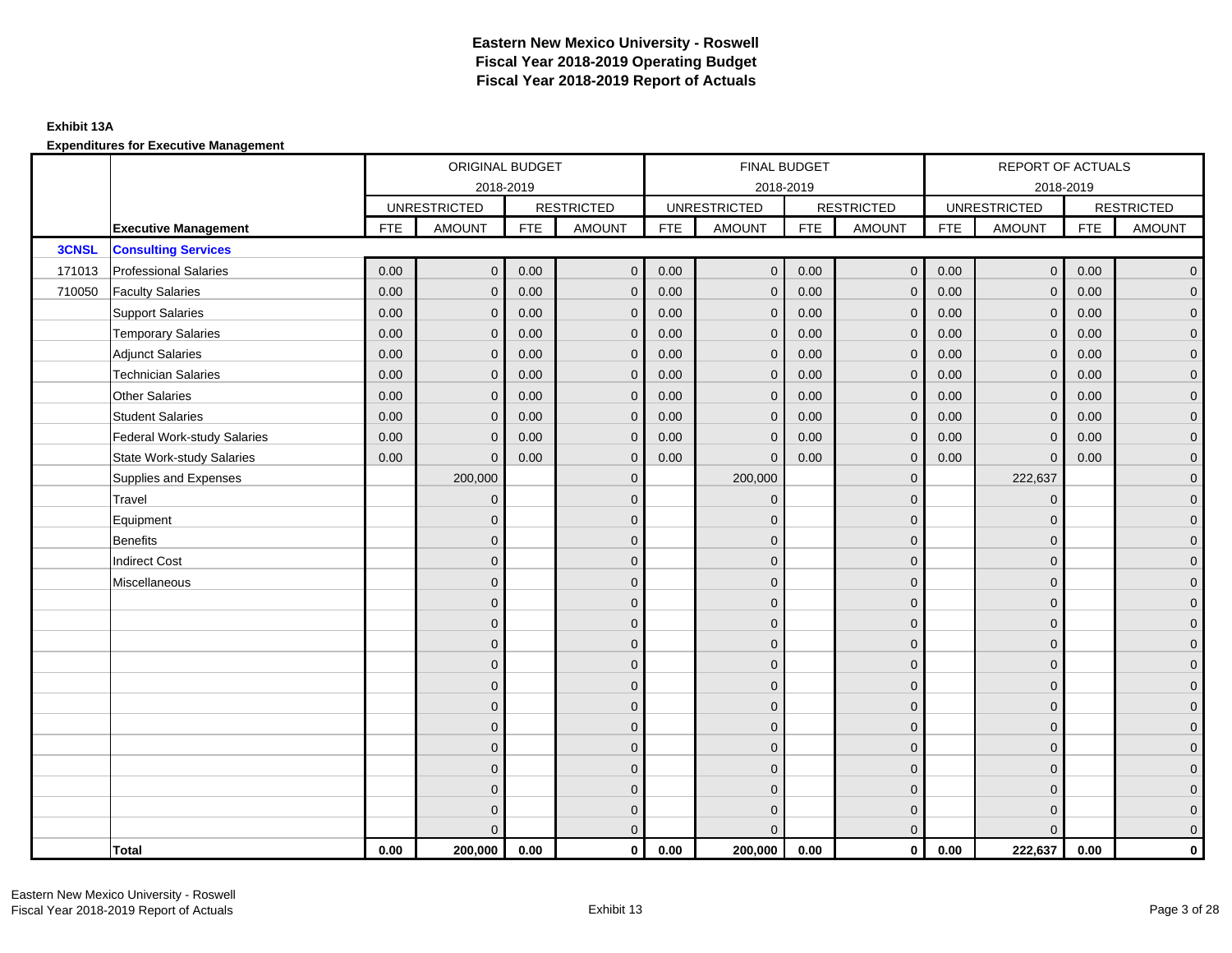### **Exhibit 13A**

|              |                                    |            | ORIGINAL BUDGET     |            |                   |            | FINAL BUDGET        |            |                   |            | REPORT OF ACTUALS   |            |                     |
|--------------|------------------------------------|------------|---------------------|------------|-------------------|------------|---------------------|------------|-------------------|------------|---------------------|------------|---------------------|
|              |                                    |            | 2018-2019           |            |                   |            | 2018-2019           |            |                   |            | 2018-2019           |            |                     |
|              |                                    |            | <b>UNRESTRICTED</b> |            | <b>RESTRICTED</b> |            | <b>UNRESTRICTED</b> |            | <b>RESTRICTED</b> |            | <b>UNRESTRICTED</b> |            | <b>RESTRICTED</b>   |
|              | <b>Executive Management</b>        | <b>FTE</b> | <b>AMOUNT</b>       | <b>FTE</b> | <b>AMOUNT</b>     | <b>FTE</b> | <b>AMOUNT</b>       | <b>FTE</b> | <b>AMOUNT</b>     | <b>FTE</b> | <b>AMOUNT</b>       | <b>FTE</b> | <b>AMOUNT</b>       |
| <b>3CNSL</b> | <b>Consulting Services</b>         |            |                     |            |                   |            |                     |            |                   |            |                     |            |                     |
| 171013       | <b>Professional Salaries</b>       | 0.00       | $\mathbf{0}$        | 0.00       | $\mathbf{0}$      | 0.00       | $\overline{0}$      | 0.00       | $\overline{0}$    | 0.00       | $\overline{0}$      | 0.00       | $\overline{0}$      |
| 710050       | <b>Faculty Salaries</b>            | 0.00       | $\mathbf{0}$        | 0.00       | $\Omega$          | 0.00       | $\mathbf{0}$        | 0.00       | $\mathbf{0}$      | 0.00       | $\mathbf{0}$        | 0.00       | $\overline{0}$      |
|              | <b>Support Salaries</b>            | 0.00       | $\mathbf{0}$        | 0.00       | $\mathbf{0}$      | 0.00       | $\overline{0}$      | 0.00       | $\mathbf 0$       | 0.00       | $\overline{0}$      | 0.00       | $\overline{0}$      |
|              | <b>Temporary Salaries</b>          | 0.00       | $\mathbf{0}$        | 0.00       | $\mathbf{0}$      | 0.00       | $\mathbf 0$         | 0.00       | $\mathbf 0$       | 0.00       | $\mathbf 0$         | 0.00       | $\mathbf{0}$        |
|              | <b>Adjunct Salaries</b>            | 0.00       | $\mathbf{0}$        | 0.00       | $\mathbf 0$       | 0.00       | $\overline{0}$      | 0.00       | $\mathbf 0$       | 0.00       | $\mathbf{0}$        | 0.00       | $\mathbf{0}$        |
|              | <b>Technician Salaries</b>         | 0.00       | $\mathbf{0}$        | 0.00       | $\Omega$          | 0.00       | $\mathbf{0}$        | 0.00       | $\mathbf{0}$      | 0.00       | $\mathbf{0}$        | 0.00       | $\mathbf{0}$        |
|              | <b>Other Salaries</b>              | 0.00       | $\Omega$            | 0.00       | $\Omega$          | 0.00       | $\Omega$            | 0.00       | $\mathbf{0}$      | 0.00       | $\mathbf{0}$        | 0.00       | $\overline{0}$      |
|              | <b>Student Salaries</b>            | 0.00       | $\mathbf 0$         | 0.00       | $\mathbf{0}$      | 0.00       | $\overline{0}$      | 0.00       | $\mathbf 0$       | 0.00       | $\mathbf 0$         | 0.00       | $\overline{0}$      |
|              | <b>Federal Work-study Salaries</b> | 0.00       | $\mathbf{0}$        | 0.00       | $\mathbf 0$       | 0.00       | $\mathbf{0}$        | 0.00       | $\mathbf 0$       | 0.00       | $\mathbf 0$         | 0.00       | $\overline{0}$      |
|              | <b>State Work-study Salaries</b>   | 0.00       | $\mathbf{0}$        | 0.00       | $\mathbf 0$       | 0.00       | $\mathbf{0}$        | 0.00       | $\mathbf{0}$      | 0.00       | $\mathbf{0}$        | 0.00       | $\overline{0}$      |
|              | Supplies and Expenses              |            | 200,000             |            | $\mathbf{0}$      |            | 200,000             |            | $\mathbf{0}$      |            | 222,637             |            | $\mathsf{O}\xspace$ |
|              | Travel                             |            | $\mathbf{0}$        |            | $\mathbf{0}$      |            | $\Omega$            |            | $\mathbf{0}$      |            | $\mathbf 0$         |            | $\overline{0}$      |
|              | Equipment                          |            | $\mathbf{0}$        |            | $\mathbf 0$       |            | $\mathbf{0}$        |            | $\mathbf 0$       |            | $\mathbf{0}$        |            | $\overline{0}$      |
|              | <b>Benefits</b>                    |            | $\Omega$            |            | $\mathbf{0}$      |            | $\Omega$            |            | $\mathbf 0$       |            | $\mathbf 0$         |            | $\overline{0}$      |
|              | <b>Indirect Cost</b>               |            | $\Omega$            |            | $\mathbf{0}$      |            | $\Omega$            |            | $\mathbf 0$       |            | $\Omega$            |            | $\mathbf{0}$        |
|              | Miscellaneous                      |            | $\Omega$            |            | $\mathbf{0}$      |            | $\Omega$            |            | $\mathbf{0}$      |            | $\Omega$            |            | $\mathsf{O}\xspace$ |
|              |                                    |            | $\overline{0}$      |            | $\mathbf 0$       |            | $\mathbf{0}$        |            | $\mathbf 0$       |            | $\mathbf 0$         |            | $\mathbf{0}$        |
|              |                                    |            | $\mathbf{0}$        |            | $\mathbf 0$       |            | $\mathbf{0}$        |            | $\mathbf 0$       |            | $\mathbf{0}$        |            | $\overline{0}$      |
|              |                                    |            | $\Omega$            |            | $\mathbf{0}$      |            | $\Omega$            |            | $\mathbf 0$       |            | $\mathbf{0}$        |            | $\overline{0}$      |
|              |                                    |            | $\Omega$            |            | $\mathbf{0}$      |            | $\Omega$            |            | $\mathbf{0}$      |            | $\Omega$            |            | $\overline{0}$      |
|              |                                    |            | $\mathbf{0}$        |            | $\mathbf{0}$      |            | $\mathbf{0}$        |            | $\mathbf 0$       |            | $\mathbf 0$         |            | $\mathsf{O}\xspace$ |
|              |                                    |            | $\mathbf{0}$        |            | $\mathbf{0}$      |            | $\mathbf{0}$        |            | $\mathbf 0$       |            | $\mathbf{0}$        |            | $\mathbf{0}$        |
|              |                                    |            | $\mathbf{0}$        |            | $\mathbf{0}$      |            | $\mathbf{0}$        |            | $\mathbf 0$       |            | $\mathbf 0$         |            | $\overline{0}$      |
|              |                                    |            | $\Omega$            |            | $\mathbf{0}$      |            | $\Omega$            |            | $\mathbf{0}$      |            | $\mathbf 0$         |            | $\overline{0}$      |
|              |                                    |            | $\overline{0}$      |            | $\mathbf 0$       |            | $\mathbf{0}$        |            | $\mathbf 0$       |            | $\mathbf 0$         |            | $\mathbf{0}$        |
|              |                                    |            | $\Omega$            |            | $\mathbf 0$       |            | $\Omega$            |            | $\mathbf 0$       |            | $\mathbf 0$         |            | $\mathbf{0}$        |
|              |                                    |            | $\mathbf{0}$        |            | $\mathbf{0}$      |            | $\Omega$            |            | $\mathbf 0$       |            | $\mathbf 0$         |            | $\mathbf{0}$        |
|              |                                    |            | $\Omega$            |            | $\mathbf{0}$      |            | $\Omega$            |            | $\mathbf{0}$      |            | $\Omega$            |            | $\overline{0}$      |
|              | Total                              | 0.00       | 200,000             | 0.00       | $\mathbf{0}$      | 0.00       | 200,000             | 0.00       | $\mathbf{0}$      | 0.00       | 222,637             | 0.00       | $\mathbf 0$         |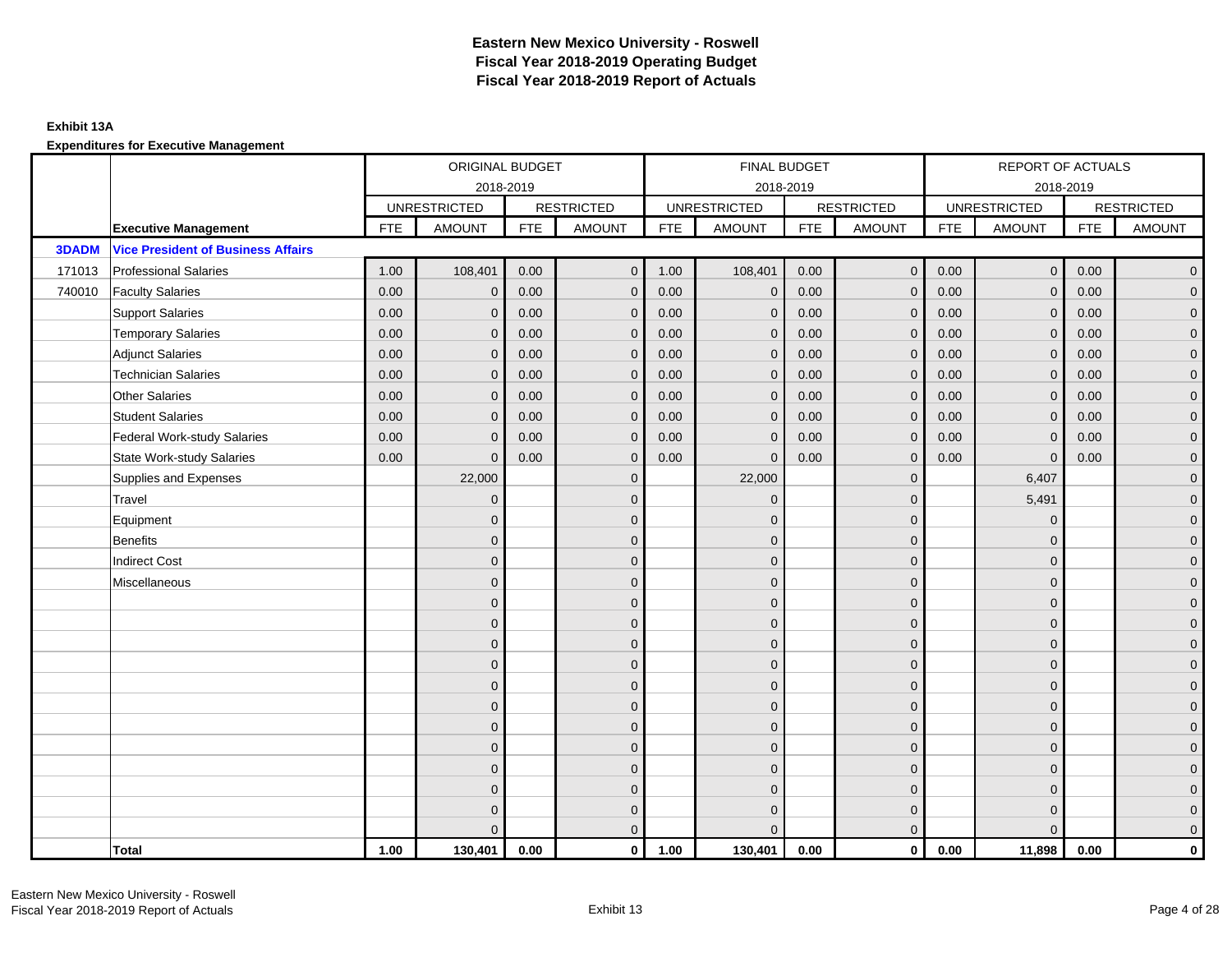### **Exhibit 13A**

|              |                                           |            | ORIGINAL BUDGET     |            |                   |            | FINAL BUDGET        |            |                   |            | REPORT OF ACTUALS   |            |                     |
|--------------|-------------------------------------------|------------|---------------------|------------|-------------------|------------|---------------------|------------|-------------------|------------|---------------------|------------|---------------------|
|              |                                           |            | 2018-2019           |            |                   |            | 2018-2019           |            |                   |            | 2018-2019           |            |                     |
|              |                                           |            | <b>UNRESTRICTED</b> |            | <b>RESTRICTED</b> |            | <b>UNRESTRICTED</b> |            | <b>RESTRICTED</b> |            | <b>UNRESTRICTED</b> |            | <b>RESTRICTED</b>   |
|              | <b>Executive Management</b>               | <b>FTE</b> | <b>AMOUNT</b>       | <b>FTE</b> | <b>AMOUNT</b>     | <b>FTE</b> | <b>AMOUNT</b>       | <b>FTE</b> | <b>AMOUNT</b>     | <b>FTE</b> | <b>AMOUNT</b>       | <b>FTE</b> | <b>AMOUNT</b>       |
| <b>3DADM</b> | <b>Vice President of Business Affairs</b> |            |                     |            |                   |            |                     |            |                   |            |                     |            |                     |
| 171013       | <b>Professional Salaries</b>              | 1.00       | 108,401             | 0.00       | $\overline{0}$    | 1.00       | 108,401             | 0.00       | $\overline{0}$    | 0.00       | $\overline{0}$      | 0.00       | $\overline{0}$      |
| 740010       | <b>Faculty Salaries</b>                   | 0.00       | $\mathbf{0}$        | 0.00       | $\Omega$          | 0.00       | $\mathbf{0}$        | 0.00       | $\mathbf{0}$      | 0.00       | $\mathbf{0}$        | 0.00       | $\overline{0}$      |
|              | <b>Support Salaries</b>                   | 0.00       | $\mathbf{0}$        | 0.00       | $\mathbf{0}$      | 0.00       | $\mathbf{0}$        | 0.00       | $\mathbf{0}$      | 0.00       | $\mathbf 0$         | 0.00       | $\overline{0}$      |
|              | <b>Temporary Salaries</b>                 | 0.00       | $\mathbf{0}$        | 0.00       | $\mathbf{0}$      | 0.00       | $\mathbf 0$         | 0.00       | $\mathbf 0$       | 0.00       | $\mathbf 0$         | 0.00       | $\mathbf{0}$        |
|              | <b>Adjunct Salaries</b>                   | 0.00       | $\mathbf{0}$        | 0.00       | $\mathbf{0}$      | 0.00       | $\mathbf{0}$        | 0.00       | $\mathbf{0}$      | 0.00       | $\mathbf 0$         | 0.00       | $\overline{0}$      |
|              | <b>Technician Salaries</b>                | 0.00       | $\mathbf{0}$        | 0.00       | $\Omega$          | 0.00       | $\mathbf{0}$        | 0.00       | $\mathbf{0}$      | 0.00       | $\mathbf 0$         | 0.00       | $\mathbf{0}$        |
|              | <b>Other Salaries</b>                     | 0.00       | $\Omega$            | 0.00       | $\Omega$          | 0.00       | $\Omega$            | 0.00       | $\mathbf{0}$      | 0.00       | $\mathbf{0}$        | 0.00       | $\overline{0}$      |
|              | <b>Student Salaries</b>                   | 0.00       | $\mathbf{0}$        | 0.00       | $\mathbf{0}$      | 0.00       | $\mathbf{0}$        | 0.00       | $\mathbf 0$       | 0.00       | $\mathbf 0$         | 0.00       | $\overline{0}$      |
|              | <b>Federal Work-study Salaries</b>        | 0.00       | $\mathbf{0}$        | 0.00       | $\mathbf{0}$      | 0.00       | $\mathbf{0}$        | 0.00       | $\mathbf 0$       | 0.00       | $\mathbf 0$         | 0.00       | $\overline{0}$      |
|              | State Work-study Salaries                 | 0.00       | $\mathbf{0}$        | 0.00       | $\mathbf{0}$      | 0.00       | $\mathbf{0}$        | 0.00       | $\mathbf{0}$      | 0.00       | $\mathbf 0$         | 0.00       | $\overline{0}$      |
|              | Supplies and Expenses                     |            | 22,000              |            | $\mathbf{0}$      |            | 22,000              |            | $\mathbf{0}$      |            | 6,407               |            | $\mathsf{O}\xspace$ |
|              | Travel                                    |            | $\mathbf{0}$        |            | $\mathbf{0}$      |            | $\Omega$            |            | $\mathbf{0}$      |            | 5,491               |            | $\overline{0}$      |
|              | Equipment                                 |            | $\mathbf{0}$        |            | $\mathbf 0$       |            | $\mathbf{0}$        |            | $\mathbf 0$       |            | $\mathbf 0$         |            | $\overline{0}$      |
|              | <b>Benefits</b>                           |            | $\Omega$            |            | $\mathbf{0}$      |            | $\Omega$            |            | $\mathbf 0$       |            | $\mathbf 0$         |            | $\overline{0}$      |
|              | <b>Indirect Cost</b>                      |            | $\Omega$            |            | $\mathbf{0}$      |            | $\Omega$            |            | $\mathbf{0}$      |            | $\Omega$            |            | $\overline{0}$      |
|              | Miscellaneous                             |            | $\Omega$            |            | $\mathbf{0}$      |            | $\Omega$            |            | $\mathbf{0}$      |            | $\Omega$            |            | $\overline{0}$      |
|              |                                           |            | $\mathbf{0}$        |            | $\mathbf 0$       |            | $\mathbf{0}$        |            | $\mathbf 0$       |            | $\mathbf 0$         |            | $\overline{0}$      |
|              |                                           |            | $\mathbf{0}$        |            | $\mathbf 0$       |            | $\mathbf{0}$        |            | $\mathbf 0$       |            | $\mathbf 0$         |            | $\overline{0}$      |
|              |                                           |            | $\Omega$            |            | $\mathbf{0}$      |            | $\Omega$            |            | $\mathbf 0$       |            | $\mathbf 0$         |            | $\overline{0}$      |
|              |                                           |            | $\Omega$            |            | $\mathbf{0}$      |            | $\Omega$            |            | $\mathbf{0}$      |            | $\Omega$            |            | $\overline{0}$      |
|              |                                           |            | $\mathbf{0}$        |            | $\mathbf{0}$      |            | $\mathbf{0}$        |            | $\mathbf 0$       |            | $\mathbf 0$         |            | $\mathsf{O}\xspace$ |
|              |                                           |            | $\mathbf{0}$        |            | $\mathbf 0$       |            | $\Omega$            |            | $\mathbf 0$       |            | $\Omega$            |            | $\overline{0}$      |
|              |                                           |            | $\overline{0}$      |            | $\mathbf{0}$      |            | $\Omega$            |            | $\mathbf 0$       |            | $\mathbf 0$         |            | $\overline{0}$      |
|              |                                           |            | $\Omega$            |            | $\mathbf{0}$      |            | $\Omega$            |            | $\mathbf{0}$      |            | $\Omega$            |            | $\mathbf 0$         |
|              |                                           |            | $\Omega$            |            | $\mathbf 0$       |            | $\mathbf{0}$        |            | $\mathbf 0$       |            | $\mathbf 0$         |            | $\mathbf 0$         |
|              |                                           |            | $\Omega$            |            | $\mathbf 0$       |            | $\Omega$            |            | $\mathbf 0$       |            | $\mathbf 0$         |            | $\mathbf{0}$        |
|              |                                           |            | $\Omega$            |            | $\mathbf 0$       |            | $\Omega$            |            | $\mathbf 0$       |            | $\Omega$            |            | $\mathbf{0}$        |
|              |                                           |            | $\Omega$            |            | $\Omega$          |            | $\Omega$            |            | $\mathbf{0}$      |            |                     |            | $\overline{0}$      |
|              | <b>Total</b>                              | 1.00       | 130,401             | 0.00       | $\mathbf{0}$      | 1.00       | 130,401             | 0.00       | $\mathbf{0}$      | 0.00       | 11,898              | 0.00       | $\mathbf{0}$        |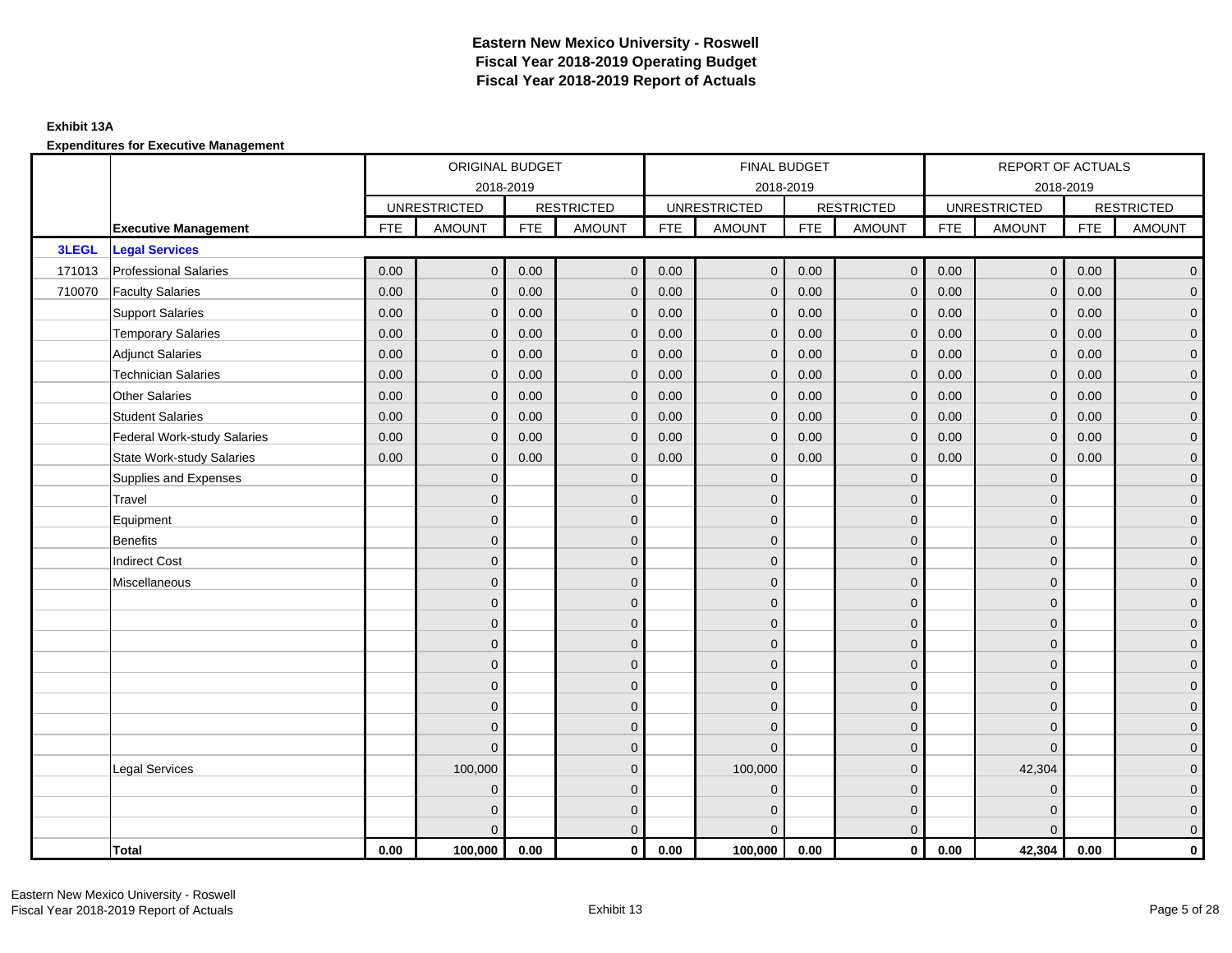### **Exhibit 13A**

|        |                                    |            | ORIGINAL BUDGET     |            |                   |            | FINAL BUDGET        |            |                   |            | REPORT OF ACTUALS   |            |                     |
|--------|------------------------------------|------------|---------------------|------------|-------------------|------------|---------------------|------------|-------------------|------------|---------------------|------------|---------------------|
|        |                                    |            | 2018-2019           |            |                   |            | 2018-2019           |            |                   |            |                     | 2018-2019  |                     |
|        |                                    |            | <b>UNRESTRICTED</b> |            | <b>RESTRICTED</b> |            | <b>UNRESTRICTED</b> |            | <b>RESTRICTED</b> |            | <b>UNRESTRICTED</b> |            | <b>RESTRICTED</b>   |
|        | <b>Executive Management</b>        | <b>FTE</b> | <b>AMOUNT</b>       | <b>FTE</b> | <b>AMOUNT</b>     | <b>FTE</b> | <b>AMOUNT</b>       | <b>FTE</b> | <b>AMOUNT</b>     | <b>FTE</b> | <b>AMOUNT</b>       | <b>FTE</b> | <b>AMOUNT</b>       |
| 3LEGL  | <b>Legal Services</b>              |            |                     |            |                   |            |                     |            |                   |            |                     |            |                     |
| 171013 | <b>Professional Salaries</b>       | 0.00       | $\mathbf{0}$        | 0.00       | $\overline{0}$    | 0.00       | $\mathbf{0}$        | 0.00       | $\overline{0}$    | 0.00       | $\mathbf 0$         | 0.00       | $\overline{0}$      |
| 710070 | <b>Faculty Salaries</b>            | 0.00       | $\mathbf{0}$        | 0.00       | $\mathbf{0}$      | 0.00       | $\mathbf{0}$        | 0.00       | $\mathbf 0$       | 0.00       | $\mathbf 0$         | 0.00       | $\overline{0}$      |
|        | <b>Support Salaries</b>            | 0.00       | $\mathbf 0$         | 0.00       | $\mathbf{0}$      | 0.00       | $\mathbf 0$         | 0.00       | $\mathbf 0$       | 0.00       | $\mathbf 0$         | 0.00       | $\overline{0}$      |
|        | <b>Temporary Salaries</b>          | 0.00       | $\mathbf{0}$        | 0.00       | $\mathbf{0}$      | 0.00       | $\mathbf{0}$        | 0.00       | $\mathbf 0$       | 0.00       | $\mathbf 0$         | 0.00       | $\overline{0}$      |
|        | <b>Adjunct Salaries</b>            | 0.00       | $\mathbf{0}$        | 0.00       | $\Omega$          | 0.00       | $\mathbf{0}$        | 0.00       | $\mathbf{0}$      | 0.00       | $\Omega$            | 0.00       | $\overline{0}$      |
|        | <b>Technician Salaries</b>         | 0.00       | $\mathbf{0}$        | 0.00       | $\mathbf{0}$      | 0.00       | $\mathbf{0}$        | 0.00       | $\mathbf{0}$      | 0.00       | $\Omega$            | 0.00       | $\mathbf 0$         |
|        | <b>Other Salaries</b>              | 0.00       | $\mathbf{0}$        | 0.00       | $\Omega$          | 0.00       | $\Omega$            | 0.00       | $\mathbf{0}$      | 0.00       | $\mathbf{0}$        | 0.00       | $\overline{0}$      |
|        | <b>Student Salaries</b>            | 0.00       | $\mathbf{0}$        | 0.00       | $\mathbf{0}$      | 0.00       | $\mathbf{0}$        | 0.00       | $\mathbf{0}$      | 0.00       | $\mathbf{0}$        | 0.00       | $\overline{0}$      |
|        | <b>Federal Work-study Salaries</b> | 0.00       | $\mathbf{0}$        | 0.00       | $\mathbf{0}$      | 0.00       | $\mathbf 0$         | 0.00       | $\mathbf 0$       | 0.00       | $\mathbf 0$         | 0.00       | $\overline{0}$      |
|        | <b>State Work-study Salaries</b>   | 0.00       | $\mathbf 0$         | 0.00       | $\mathbf{0}$      | 0.00       | $\mathbf{0}$        | 0.00       | $\mathbf{0}$      | 0.00       | $\mathbf{0}$        | 0.00       | $\overline{0}$      |
|        | Supplies and Expenses              |            | $\mathbf{0}$        |            | $\mathbf{0}$      |            | $\Omega$            |            | $\mathbf{0}$      |            | $\mathbf{0}$        |            | $\mathbf 0$         |
|        | Travel                             |            | $\Omega$            |            | $\mathbf{0}$      |            | $\Omega$            |            | $\mathbf{0}$      |            | $\Omega$            |            | $\overline{0}$      |
|        | Equipment                          |            | $\mathbf{0}$        |            | $\mathbf 0$       |            | $\mathbf{0}$        |            | $\mathbf 0$       |            | $\mathbf{0}$        |            | $\overline{0}$      |
|        | <b>Benefits</b>                    |            | $\Omega$            |            | $\mathbf{0}$      |            | $\Omega$            |            | $\mathbf{0}$      |            | $\mathbf{0}$        |            | $\overline{0}$      |
|        | <b>Indirect Cost</b>               |            | $\Omega$            |            | $\mathbf{0}$      |            | $\Omega$            |            | $\mathbf{0}$      |            | $\Omega$            |            | $\overline{0}$      |
|        | Miscellaneous                      |            | $\mathbf{0}$        |            | $\mathbf 0$       |            | $\mathbf{0}$        |            | $\mathbf 0$       |            | $\mathbf{0}$        |            | $\mathsf{O}\xspace$ |
|        |                                    |            | $\mathbf{0}$        |            | $\mathbf{0}$      |            | $\Omega$            |            | $\mathbf{0}$      |            | $\mathbf{0}$        |            | $\overline{0}$      |
|        |                                    |            | $\Omega$            |            | $\mathbf 0$       |            | $\Omega$            |            | $\mathbf 0$       |            | $\Omega$            |            | $\overline{0}$      |
|        |                                    |            | $\mathbf{0}$        |            | $\mathbf 0$       |            | $\mathbf{0}$        |            | $\mathbf{0}$      |            | $\mathbf{0}$        |            | $\overline{0}$      |
|        |                                    |            | $\mathbf{0}$        |            | $\mathbf{0}$      |            | $\Omega$            |            | $\mathbf{0}$      |            | $\mathbf{0}$        |            | $\overline{0}$      |
|        |                                    |            | $\Omega$            |            | $\mathbf{0}$      |            | $\Omega$            |            | $\mathbf 0$       |            | $\Omega$            |            | $\mathsf{O}\xspace$ |
|        |                                    |            | $\Omega$            |            | $\mathbf{0}$      |            | $\Omega$            |            | $\mathbf{0}$      |            | $\Omega$            |            | $\overline{0}$      |
|        |                                    |            | $\mathbf{0}$        |            | $\mathbf 0$       |            | $\mathbf{0}$        |            | $\mathbf 0$       |            | $\mathbf{0}$        |            | $\overline{0}$      |
|        |                                    |            | $\Omega$            |            | $\mathbf{0}$      |            | $\Omega$            |            | $\mathbf{0}$      |            | $\Omega$            |            | $\overline{0}$      |
|        | <b>Legal Services</b>              |            | 100,000             |            | $\mathbf{0}$      |            | 100,000             |            | $\mathbf{0}$      |            | 42,304              |            | $\overline{0}$      |
|        |                                    |            | $\mathbf{0}$        |            | $\mathbf 0$       |            | $\Omega$            |            | $\mathbf 0$       |            | $\overline{0}$      |            | $\mathbf 0$         |
|        |                                    |            | $\mathbf{0}$        |            | $\mathbf 0$       |            | $\Omega$            |            | $\mathbf 0$       |            | $\mathbf{0}$        |            | $\overline{0}$      |
|        |                                    |            | $\Omega$            |            | $\mathbf{0}$      |            | $\Omega$            |            | $\mathbf{0}$      |            | $\Omega$            |            | $\overline{0}$      |
|        | Total                              | 0.00       | 100,000             | 0.00       | $\mathbf 0$       | 0.00       | 100,000             | 0.00       | $\overline{0}$    | 0.00       | 42,304              | 0.00       | $\mathbf 0$         |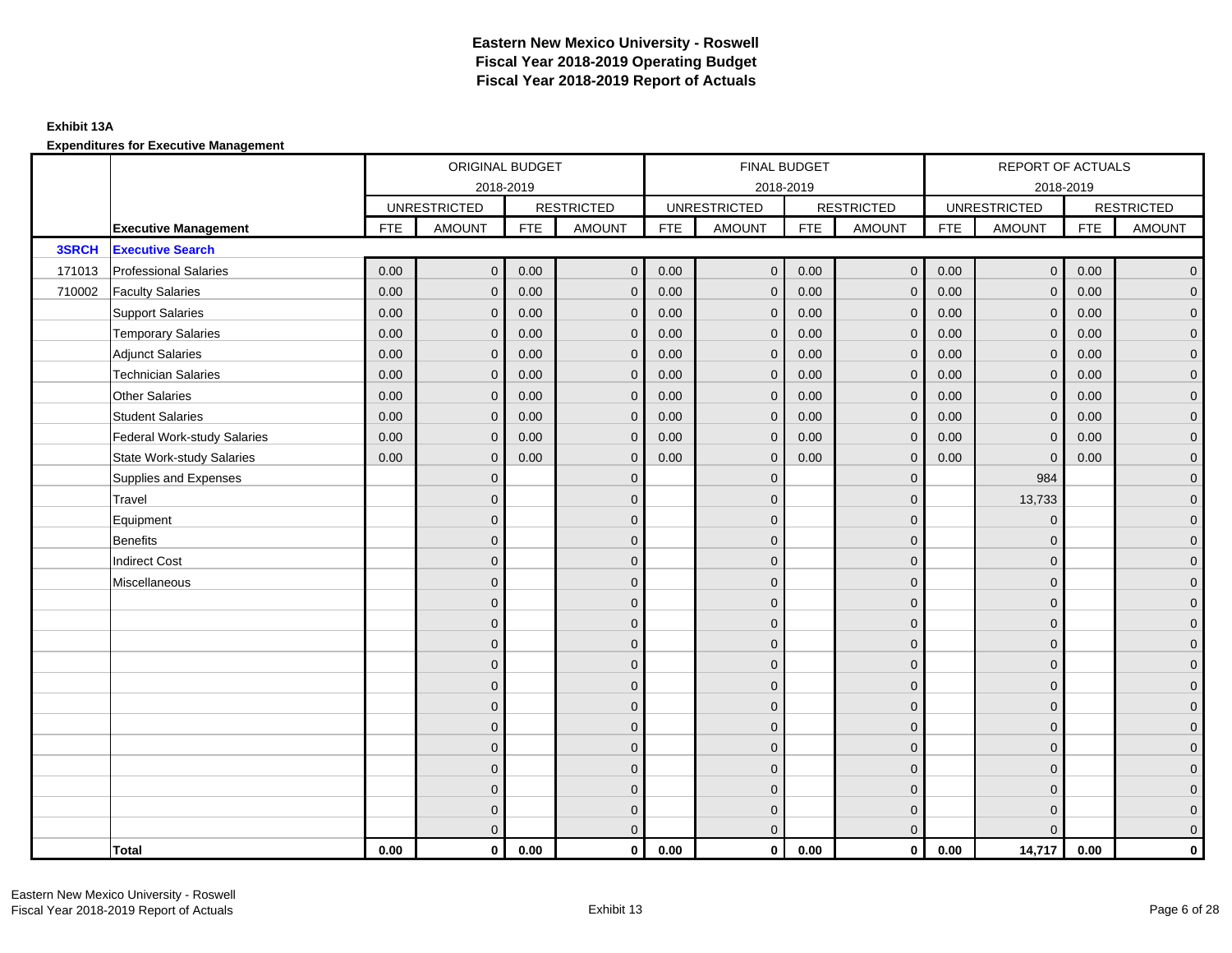### **Exhibit 13A**

|        |                                    | ORIGINAL BUDGET<br>2018-2019 |                     |            |                   |            | FINAL BUDGET        |            |                   |            | <b>REPORT OF ACTUALS</b> |            |                   |
|--------|------------------------------------|------------------------------|---------------------|------------|-------------------|------------|---------------------|------------|-------------------|------------|--------------------------|------------|-------------------|
|        |                                    |                              |                     |            |                   |            | 2018-2019           |            |                   |            | 2018-2019                |            |                   |
|        |                                    |                              | <b>UNRESTRICTED</b> |            | <b>RESTRICTED</b> |            | <b>UNRESTRICTED</b> |            | <b>RESTRICTED</b> |            | <b>UNRESTRICTED</b>      |            | <b>RESTRICTED</b> |
|        | <b>Executive Management</b>        | <b>FTE</b>                   | <b>AMOUNT</b>       | <b>FTE</b> | <b>AMOUNT</b>     | <b>FTE</b> | <b>AMOUNT</b>       | <b>FTE</b> | <b>AMOUNT</b>     | <b>FTE</b> | <b>AMOUNT</b>            | <b>FTE</b> | <b>AMOUNT</b>     |
| 3SRCH  | <b>Executive Search</b>            |                              |                     |            |                   |            |                     |            |                   |            |                          |            |                   |
| 171013 | <b>Professional Salaries</b>       | 0.00                         | $\mathbf{0}$        | 0.00       | $\overline{0}$    | 0.00       | $\mathbf 0$         | 0.00       | $\overline{0}$    | 0.00       | $\mathbf 0$              | 0.00       | $\overline{0}$    |
| 710002 | <b>Faculty Salaries</b>            | 0.00                         | $\Omega$            | 0.00       | $\Omega$          | 0.00       | $\mathbf{0}$        | 0.00       | $\mathbf{0}$      | 0.00       | $\mathbf{0}$             | 0.00       | $\overline{0}$    |
|        | <b>Support Salaries</b>            | 0.00                         | $\mathbf{0}$        | 0.00       | $\mathbf{0}$      | 0.00       | $\mathbf{0}$        | 0.00       | $\mathbf{0}$      | 0.00       | $\mathbf{0}$             | 0.00       | $\overline{0}$    |
|        | <b>Temporary Salaries</b>          | 0.00                         | $\mathbf{0}$        | 0.00       | $\mathbf{0}$      | 0.00       | $\mathbf 0$         | 0.00       | $\mathbf{0}$      | 0.00       | $\mathbf 0$              | 0.00       | $\overline{0}$    |
|        | <b>Adjunct Salaries</b>            | 0.00                         | $\mathbf{0}$        | 0.00       | $\mathbf{0}$      | 0.00       | $\mathbf{0}$        | 0.00       | $\mathbf{0}$      | 0.00       | $\mathbf{0}$             | 0.00       | $\mathbf 0$       |
|        | <b>Technician Salaries</b>         | 0.00                         | $\mathbf{0}$        | 0.00       | $\Omega$          | 0.00       | $\mathbf{0}$        | 0.00       | $\mathbf{0}$      | 0.00       | $\Omega$                 | 0.00       | $\overline{0}$    |
|        | <b>Other Salaries</b>              | 0.00                         | $\Omega$            | 0.00       | $\Omega$          | 0.00       | $\Omega$            | 0.00       | $\mathbf{0}$      | 0.00       | $\mathbf{0}$             | 0.00       | $\overline{0}$    |
|        | <b>Student Salaries</b>            | 0.00                         | $\mathbf 0$         | 0.00       | $\mathbf{0}$      | 0.00       | $\mathbf 0$         | 0.00       | $\mathbf{0}$      | 0.00       | $\mathbf 0$              | 0.00       | $\overline{0}$    |
|        | <b>Federal Work-study Salaries</b> | 0.00                         | $\mathbf{0}$        | 0.00       | $\mathbf{0}$      | 0.00       | $\mathbf{0}$        | 0.00       | $\mathbf 0$       | 0.00       | $\mathbf{0}$             | 0.00       | $\overline{0}$    |
|        | <b>State Work-study Salaries</b>   | 0.00                         | $\mathbf 0$         | 0.00       | $\mathbf{0}$      | 0.00       | $\mathbf{0}$        | 0.00       | $\mathbf{0}$      | 0.00       | $\mathbf{0}$             | 0.00       | $\overline{0}$    |
|        | Supplies and Expenses              |                              | $\mathbf{0}$        |            | $\mathbf{0}$      |            | $\Omega$            |            | $\mathbf{0}$      |            | 984                      |            | $\mathbf 0$       |
|        | Travel                             |                              | $\Omega$            |            | $\mathbf{0}$      |            | $\Omega$            |            | $\mathbf{0}$      |            | 13,733                   |            | $\overline{0}$    |
|        | Equipment                          |                              | $\mathbf{0}$        |            | $\mathbf 0$       |            | $\mathbf{0}$        |            | $\mathbf{0}$      |            | $\mathbf{0}$             |            | $\overline{0}$    |
|        | <b>Benefits</b>                    |                              | $\mathbf{0}$        |            | $\mathbf{0}$      |            | $\Omega$            |            | $\mathbf{0}$      |            | $\mathbf{0}$             |            | $\overline{0}$    |
|        | <b>Indirect Cost</b>               |                              | $\Omega$            |            | $\mathbf{0}$      |            | $\Omega$            |            | $\mathbf{0}$      |            | $\Omega$                 |            | $\overline{0}$    |
|        | Miscellaneous                      |                              | $\Omega$            |            | $\mathbf{0}$      |            | $\Omega$            |            | $\mathbf{0}$      |            | $\Omega$                 |            | $\mathbf 0$       |
|        |                                    |                              | $\mathbf{0}$        |            | $\mathbf 0$       |            | $\Omega$            |            | $\mathbf{0}$      |            | $\mathbf{0}$             |            | $\overline{0}$    |
|        |                                    |                              | $\mathbf{0}$        |            | $\mathbf 0$       |            | $\mathbf{0}$        |            | $\mathbf 0$       |            | $\Omega$                 |            | $\overline{0}$    |
|        |                                    |                              | $\Omega$            |            | $\mathbf{0}$      |            | $\Omega$            |            | $\mathbf 0$       |            | $\Omega$                 |            | $\overline{0}$    |
|        |                                    |                              | $\Omega$            |            | $\Omega$          |            | $\Omega$            |            | $\mathbf{0}$      |            | $\Omega$                 |            | $\overline{0}$    |
|        |                                    |                              | $\mathbf{0}$        |            | $\mathbf{0}$      |            | $\Omega$            |            | $\mathbf 0$       |            | $\mathbf{0}$             |            | $\mathbf 0$       |
|        |                                    |                              | $\mathbf{0}$        |            | $\mathbf 0$       |            | $\Omega$            |            | $\mathbf 0$       |            | $\Omega$                 |            | $\overline{0}$    |
|        |                                    |                              | $\mathbf{0}$        |            | $\mathbf{0}$      |            | $\Omega$            |            | $\mathbf{0}$      |            | $\Omega$                 |            | $\overline{0}$    |
|        |                                    |                              | $\Omega$            |            | $\mathbf{0}$      |            | $\Omega$            |            | $\mathbf{0}$      |            | $\mathbf{0}$             |            | $\overline{0}$    |
|        |                                    |                              | $\mathbf{0}$        |            | $\mathbf 0$       |            | $\Omega$            |            | $\mathbf 0$       |            | $\mathbf{0}$             |            | $\mathbf 0$       |
|        |                                    |                              | $\mathbf{0}$        |            | $\mathbf{0}$      |            | $\mathbf{0}$        |            | $\mathbf 0$       |            | $\mathbf{0}$             |            | $\overline{0}$    |
|        |                                    |                              | $\overline{0}$      |            | $\mathbf 0$       |            | $\mathbf{0}$        |            | $\mathbf 0$       |            | $\mathbf{0}$             |            | $\mathbf 0$       |
|        |                                    |                              | $\Omega$            |            | $\mathbf{0}$      |            | $\Omega$            |            | $\overline{0}$    |            | $\Omega$                 |            | $\overline{0}$    |
|        | Total                              | 0.00                         | $\mathbf 0$         | 0.00       | $\mathbf{0}$      | 0.00       | $\mathbf{0}$        | 0.00       | $\overline{0}$    | 0.00       | 14,717                   | 0.00       | $\mathbf{0}$      |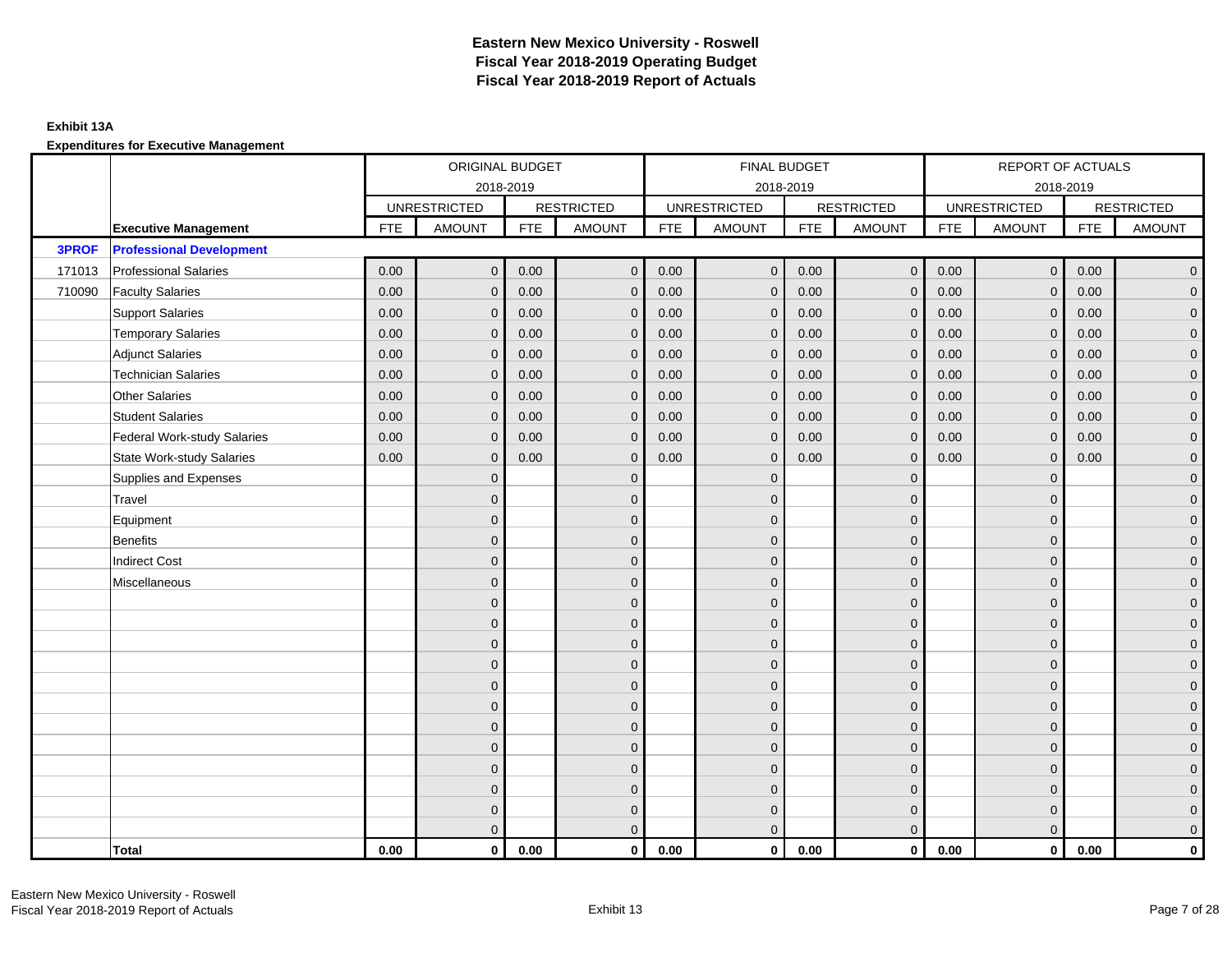### **Exhibit 13A**

|              |                                    |            | ORIGINAL BUDGET     |            |                   |            | <b>FINAL BUDGET</b> |            |                   |            | <b>REPORT OF ACTUALS</b> |            |                     |
|--------------|------------------------------------|------------|---------------------|------------|-------------------|------------|---------------------|------------|-------------------|------------|--------------------------|------------|---------------------|
|              |                                    |            |                     | 2018-2019  |                   |            | 2018-2019           |            |                   |            | 2018-2019                |            |                     |
|              |                                    |            | <b>UNRESTRICTED</b> |            | <b>RESTRICTED</b> |            | <b>UNRESTRICTED</b> |            | <b>RESTRICTED</b> |            | <b>UNRESTRICTED</b>      |            | <b>RESTRICTED</b>   |
|              | <b>Executive Management</b>        | <b>FTE</b> | <b>AMOUNT</b>       | <b>FTE</b> | <b>AMOUNT</b>     | <b>FTE</b> | <b>AMOUNT</b>       | <b>FTE</b> | <b>AMOUNT</b>     | <b>FTE</b> | <b>AMOUNT</b>            | <b>FTE</b> | <b>AMOUNT</b>       |
| <b>3PROF</b> | <b>Professional Development</b>    |            |                     |            |                   |            |                     |            |                   |            |                          |            |                     |
| 171013       | <b>Professional Salaries</b>       | 0.00       | $\mathbf{0}$        | 0.00       | $\mathbf{0}$      | 0.00       | $\overline{0}$      | 0.00       | $\overline{0}$    | 0.00       | $\overline{0}$           | 0.00       | $\overline{0}$      |
| 710090       | <b>Faculty Salaries</b>            | 0.00       | $\mathbf 0$         | 0.00       | $\mathbf 0$       | 0.00       | $\mathbf 0$         | 0.00       | $\mathbf{0}$      | 0.00       | $\mathbf 0$              | 0.00       | $\overline{0}$      |
|              | <b>Support Salaries</b>            | 0.00       | $\mathbf 0$         | 0.00       | $\mathbf 0$       | 0.00       | $\mathbf{0}$        | 0.00       | $\mathbf 0$       | 0.00       | $\overline{0}$           | 0.00       | $\overline{0}$      |
|              | <b>Temporary Salaries</b>          | 0.00       | $\mathbf{0}$        | 0.00       | $\mathbf{0}$      | 0.00       | $\mathbf{0}$        | 0.00       | $\mathbf 0$       | 0.00       | $\mathbf 0$              | 0.00       | $\overline{0}$      |
|              | <b>Adjunct Salaries</b>            | 0.00       | $\mathbf{0}$        | 0.00       | $\Omega$          | 0.00       | $\Omega$            | 0.00       | $\mathbf{0}$      | 0.00       | $\mathbf{0}$             | 0.00       | $\overline{0}$      |
|              | <b>Technician Salaries</b>         | 0.00       | $\mathbf{0}$        | 0.00       | $\mathbf 0$       | 0.00       | $\mathbf{0}$        | 0.00       | $\mathbf{0}$      | 0.00       | $\mathbf{0}$             | 0.00       | $\mathbf{0}$        |
|              | Other Salaries                     | 0.00       | $\mathbf{0}$        | 0.00       | $\mathbf{0}$      | 0.00       | $\mathbf{0}$        | 0.00       | $\mathbf{0}$      | 0.00       | $\mathbf{0}$             | 0.00       | $\mathbf{0}$        |
|              | <b>Student Salaries</b>            | 0.00       | $\mathbf{0}$        | 0.00       | $\mathbf{0}$      | 0.00       | $\mathbf{0}$        | 0.00       | $\mathbf 0$       | 0.00       | $\overline{0}$           | 0.00       | $\overline{0}$      |
|              | <b>Federal Work-study Salaries</b> | 0.00       | $\mathbf{0}$        | 0.00       | $\mathbf 0$       | 0.00       | $\mathbf{0}$        | 0.00       | $\mathbf 0$       | 0.00       | $\mathbf 0$              | 0.00       | $\overline{0}$      |
|              | <b>State Work-study Salaries</b>   | 0.00       | $\mathbf{0}$        | 0.00       | $\mathbf{0}$      | 0.00       | $\mathbf{0}$        | 0.00       | $\mathbf{0}$      | 0.00       | $\mathbf{0}$             | 0.00       | $\mathbf{0}$        |
|              | Supplies and Expenses              |            | $\mathbf{0}$        |            | $\mathbf 0$       |            | $\mathbf{0}$        |            | $\overline{0}$    |            | $\mathbf 0$              |            | $\mathsf{O}\xspace$ |
|              | Travel                             |            | $\overline{0}$      |            | $\mathbf{0}$      |            | $\Omega$            |            | $\mathbf{0}$      |            | $\mathbf{0}$             |            | $\overline{0}$      |
|              | Equipment                          |            | $\overline{0}$      |            | $\mathbf 0$       |            | $\mathbf{0}$        |            | $\mathbf 0$       |            | $\mathbf 0$              |            | $\overline{0}$      |
|              | Benefits                           |            | $\overline{0}$      |            | $\mathbf{0}$      |            | $\Omega$            |            | $\mathbf 0$       |            | $\mathbf{0}$             |            | $\overline{0}$      |
|              | <b>Indirect Cost</b>               |            | $\Omega$            |            | $\mathbf{0}$      |            | $\Omega$            |            | $\mathbf{0}$      |            | $\Omega$                 |            | $\overline{0}$      |
|              | Miscellaneous                      |            | $\overline{0}$      |            | $\mathbf 0$       |            | $\mathbf{0}$        |            | $\mathbf 0$       |            | $\mathbf 0$              |            | $\mathsf{O}\xspace$ |
|              |                                    |            | $\overline{0}$      |            | $\mathbf 0$       |            | $\mathbf{0}$        |            | $\mathbf 0$       |            | $\mathbf{0}$             |            | $\overline{0}$      |
|              |                                    |            | $\Omega$            |            | $\mathbf 0$       |            | $\mathbf{0}$        |            | $\mathbf 0$       |            | $\mathbf{0}$             |            | $\overline{0}$      |
|              |                                    |            | $\mathbf{0}$        |            | $\mathbf 0$       |            | $\Omega$            |            | $\mathsf{O}$      |            | $\mathbf 0$              |            | $\mathbf{0}$        |
|              |                                    |            | $\mathbf{0}$        |            | $\mathbf 0$       |            | $\Omega$            |            | $\mathbf 0$       |            | $\mathbf 0$              |            | $\mathbf{0}$        |
|              |                                    |            | $\Omega$            |            | $\mathbf 0$       |            | $\mathbf{0}$        |            | $\mathbf{0}$      |            | $\mathbf 0$              |            | $\mathsf{O}\xspace$ |
|              |                                    |            | $\overline{0}$      |            | $\mathbf{0}$      |            | $\Omega$            |            | $\mathbf{0}$      |            | $\Omega$                 |            | $\overline{0}$      |
|              |                                    |            | $\overline{0}$      |            | $\mathbf 0$       |            | $\mathbf{0}$        |            | $\mathbf 0$       |            | $\mathbf 0$              |            | $\mathbf{0}$        |
|              |                                    |            | $\overline{0}$      |            | $\mathbf{0}$      |            | $\Omega$            |            | $\mathbf 0$       |            | $\mathbf{0}$             |            | $\overline{0}$      |
|              |                                    |            | $\Omega$            |            | $\mathbf{0}$      |            | $\Omega$            |            | $\mathbf{0}$      |            | $\mathbf 0$              |            | $\overline{0}$      |
|              |                                    |            | $\mathbf{0}$        |            | $\mathbf 0$       |            | $\mathbf{0}$        |            | $\mathbf 0$       |            | $\mathbf 0$              |            | $\mathsf{O}\xspace$ |
|              |                                    |            | $\mathbf 0$         |            | $\mathbf 0$       |            | $\mathbf{0}$        |            | $\mathbf 0$       |            | $\mathbf 0$              |            | $\mathbf{0}$        |
|              |                                    |            | $\overline{0}$      |            | $\mathbf{0}$      |            | $\overline{0}$      |            | $\mathbf{0}$      |            | $\mathbf{0}$             |            | $\overline{0}$      |
|              | <b>Total</b>                       | 0.00       | $\mathbf 0$         | 0.00       | $\mathbf{0}$      | 0.00       | $\mathbf{0}$        | 0.00       | $\overline{0}$    | 0.00       | $\mathbf{0}$             | 0.00       | $\mathbf{0}$        |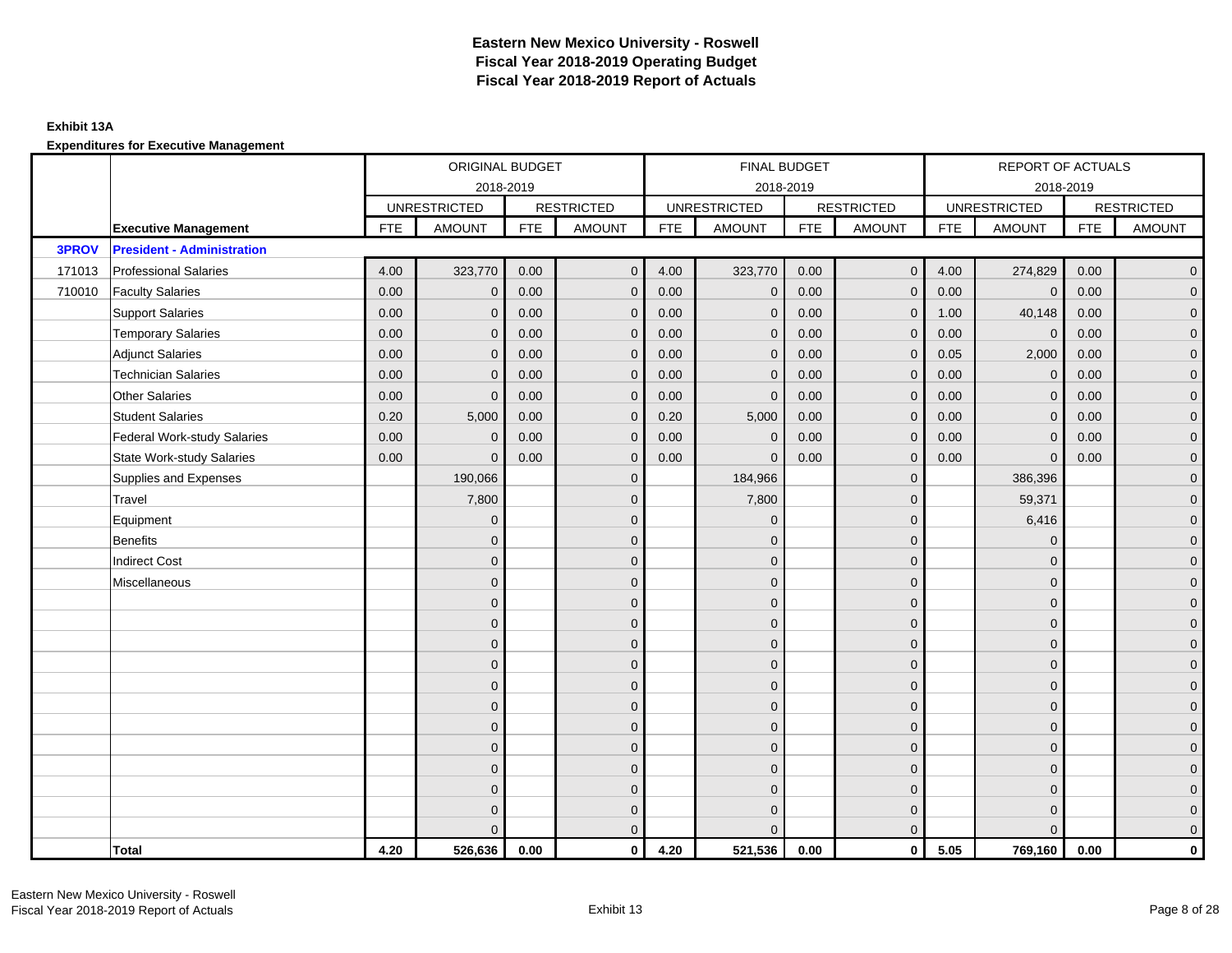### **Exhibit 13A**

|              |                                    |            | ORIGINAL BUDGET     |            |                   |            | FINAL BUDGET        |            |                   |            | REPORT OF ACTUALS   |            |                     |
|--------------|------------------------------------|------------|---------------------|------------|-------------------|------------|---------------------|------------|-------------------|------------|---------------------|------------|---------------------|
|              |                                    |            | 2018-2019           |            |                   |            | 2018-2019           |            |                   |            | 2018-2019           |            |                     |
|              |                                    |            | <b>UNRESTRICTED</b> |            | <b>RESTRICTED</b> |            | <b>UNRESTRICTED</b> |            | <b>RESTRICTED</b> |            | <b>UNRESTRICTED</b> |            | <b>RESTRICTED</b>   |
|              | <b>Executive Management</b>        | <b>FTE</b> | <b>AMOUNT</b>       | <b>FTE</b> | <b>AMOUNT</b>     | <b>FTE</b> | <b>AMOUNT</b>       | <b>FTE</b> | <b>AMOUNT</b>     | <b>FTE</b> | <b>AMOUNT</b>       | <b>FTE</b> | <b>AMOUNT</b>       |
| <b>3PROV</b> | <b>President - Administration</b>  |            |                     |            |                   |            |                     |            |                   |            |                     |            |                     |
| 171013       | <b>Professional Salaries</b>       | 4.00       | 323,770             | 0.00       | $\mathbf{0}$      | 4.00       | 323,770             | 0.00       | $\overline{0}$    | 4.00       | 274,829             | 0.00       | $\overline{0}$      |
| 710010       | <b>Faculty Salaries</b>            | 0.00       | $\mathbf{0}$        | 0.00       | $\Omega$          | 0.00       | $\mathbf{0}$        | 0.00       | $\mathbf{0}$      | 0.00       | $\mathbf{0}$        | 0.00       | $\overline{0}$      |
|              | <b>Support Salaries</b>            | 0.00       | $\mathbf{0}$        | 0.00       | $\mathbf{0}$      | 0.00       | $\mathbf{0}$        | 0.00       | $\overline{0}$    | 1.00       | 40,148              | 0.00       | $\overline{0}$      |
|              | <b>Temporary Salaries</b>          | 0.00       | $\mathbf{0}$        | 0.00       | 0                 | 0.00       | $\mathbf{0}$        | 0.00       | $\mathbf 0$       | 0.00       | $\pmb{0}$           | 0.00       | $\mathbf{0}$        |
|              | <b>Adjunct Salaries</b>            | 0.00       | $\mathbf{0}$        | 0.00       | $\mathbf 0$       | 0.00       | $\overline{0}$      | 0.00       | $\mathbf 0$       | 0.05       | 2,000               | 0.00       | $\mathbf{0}$        |
|              | <b>Technician Salaries</b>         | 0.00       | $\mathbf{0}$        | 0.00       | $\Omega$          | 0.00       | $\mathbf{0}$        | 0.00       | $\mathbf{0}$      | 0.00       | $\mathbf 0$         | 0.00       | $\mathbf{0}$        |
|              | <b>Other Salaries</b>              | 0.00       | $\mathbf{0}$        | 0.00       | $\Omega$          | 0.00       | $\Omega$            | 0.00       | $\mathbf{0}$      | 0.00       | $\mathbf{0}$        | 0.00       | $\overline{0}$      |
|              | <b>Student Salaries</b>            | 0.20       | 5,000               | 0.00       | $\mathbf{0}$      | 0.20       | 5,000               | 0.00       | $\mathbf 0$       | 0.00       | $\mathbf 0$         | 0.00       | $\overline{0}$      |
|              | <b>Federal Work-study Salaries</b> | 0.00       | $\mathbf{0}$        | 0.00       | $\mathbf 0$       | 0.00       | $\mathbf{0}$        | 0.00       | $\mathbf 0$       | 0.00       | $\mathbf 0$         | 0.00       | $\overline{0}$      |
|              | <b>State Work-study Salaries</b>   | 0.00       | $\mathbf{0}$        | 0.00       | $\mathbf 0$       | 0.00       | $\mathbf{0}$        | 0.00       | $\mathbf{0}$      | 0.00       | $\mathbf{0}$        | 0.00       | $\overline{0}$      |
|              | Supplies and Expenses              |            | 190,066             |            | $\mathbf{0}$      |            | 184,966             |            | $\mathbf{0}$      |            | 386,396             |            | $\mathsf{O}\xspace$ |
|              | Travel                             |            | 7,800               |            | $\mathbf{0}$      |            | 7,800               |            | $\mathbf{0}$      |            | 59,371              |            | $\overline{0}$      |
|              | Equipment                          |            | $\mathbf{0}$        |            | $\mathbf 0$       |            | $\mathbf{0}$        |            | $\mathbf 0$       |            | 6,416               |            | $\overline{0}$      |
|              | <b>Benefits</b>                    |            | $\Omega$            |            | $\mathbf{0}$      |            | $\Omega$            |            | $\mathbf 0$       |            | $\mathbf 0$         |            | $\overline{0}$      |
|              | <b>Indirect Cost</b>               |            | $\Omega$            |            | $\mathbf{0}$      |            | $\Omega$            |            | $\mathbf{0}$      |            | $\Omega$            |            | $\overline{0}$      |
|              | Miscellaneous                      |            | $\Omega$            |            | $\mathbf{0}$      |            | $\Omega$            |            | $\mathbf{0}$      |            | $\Omega$            |            | $\mathsf{O}\xspace$ |
|              |                                    |            | $\mathbf{0}$        |            | $\mathbf 0$       |            | $\mathbf{0}$        |            | $\mathbf 0$       |            | $\mathbf 0$         |            | $\overline{0}$      |
|              |                                    |            | $\mathbf{0}$        |            | $\mathbf 0$       |            | $\mathbf{0}$        |            | $\mathbf 0$       |            | $\mathbf{0}$        |            | $\overline{0}$      |
|              |                                    |            | $\Omega$            |            | $\mathbf{0}$      |            | $\Omega$            |            | $\mathbf 0$       |            | $\mathbf{0}$        |            | $\overline{0}$      |
|              |                                    |            | $\Omega$            |            | $\mathbf{0}$      |            | $\Omega$            |            | $\mathbf{0}$      |            | $\Omega$            |            | $\overline{0}$      |
|              |                                    |            | $\mathbf{0}$        |            | $\mathbf{0}$      |            | $\mathbf{0}$        |            | $\mathbf 0$       |            | $\mathbf 0$         |            | $\mathsf{O}\xspace$ |
|              |                                    |            | $\mathbf{0}$        |            | $\mathbf{0}$      |            | $\Omega$            |            | $\mathbf 0$       |            | $\mathbf{0}$        |            | $\mathbf{0}$        |
|              |                                    |            | $\mathbf{0}$        |            | $\mathbf{0}$      |            | $\mathbf{0}$        |            | $\mathbf 0$       |            | $\mathbf 0$         |            | $\overline{0}$      |
|              |                                    |            | $\Omega$            |            | $\mathbf{0}$      |            | $\Omega$            |            | $\mathbf{0}$      |            | $\Omega$            |            | $\overline{0}$      |
|              |                                    |            | $\mathbf{0}$        |            | $\mathbf 0$       |            | $\mathbf{0}$        |            | $\mathbf 0$       |            | $\mathbf 0$         |            | $\mathbf{0}$        |
|              |                                    |            | $\Omega$            |            | $\mathbf 0$       |            | $\Omega$            |            | $\mathbf 0$       |            | $\mathbf 0$         |            | $\mathbf{0}$        |
|              |                                    |            | $\mathbf{0}$        |            | $\mathbf{0}$      |            | $\Omega$            |            | $\mathbf 0$       |            | $\mathbf 0$         |            | $\mathbf{0}$        |
|              |                                    |            | $\Omega$            |            | $\mathbf{0}$      |            | $\Omega$            |            | $\mathbf{0}$      |            | $\Omega$            |            | $\overline{0}$      |
|              | Total                              | 4.20       | 526,636             | 0.00       | $\mathbf{0}$      | 4.20       | 521,536             | 0.00       | $\mathbf{0}$      | 5.05       | 769,160             | 0.00       | $\mathbf 0$         |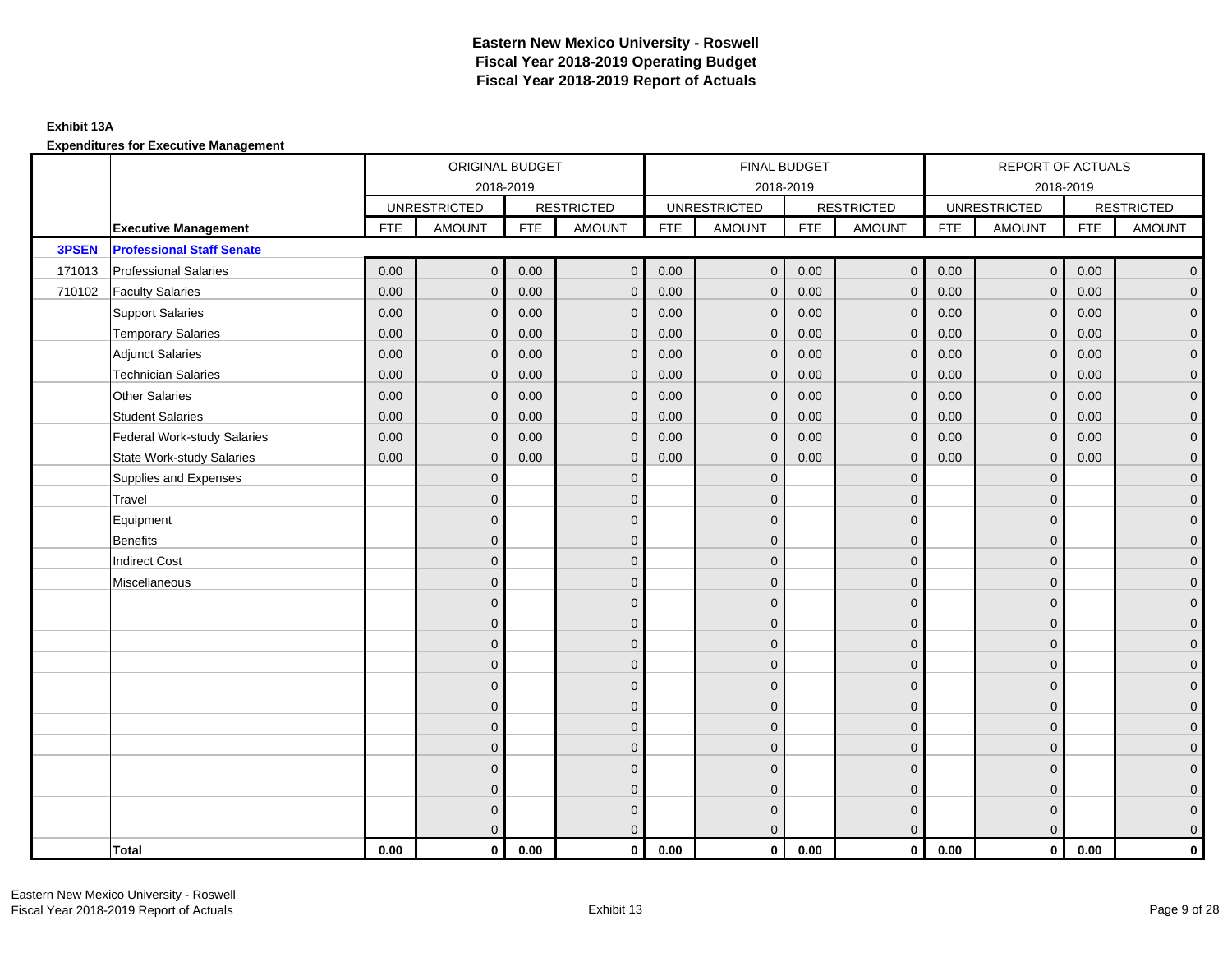### **Exhibit 13A**

|        |                                    | ORIGINAL BUDGET<br>2018-2019 |                     |            |                   |            | FINAL BUDGET        |            |                     |            | REPORT OF ACTUALS   |            |                     |
|--------|------------------------------------|------------------------------|---------------------|------------|-------------------|------------|---------------------|------------|---------------------|------------|---------------------|------------|---------------------|
|        |                                    |                              |                     |            |                   |            | 2018-2019           |            |                     |            | 2018-2019           |            |                     |
|        |                                    |                              | <b>UNRESTRICTED</b> |            | <b>RESTRICTED</b> |            | <b>UNRESTRICTED</b> |            | <b>RESTRICTED</b>   |            | <b>UNRESTRICTED</b> |            | <b>RESTRICTED</b>   |
|        | <b>Executive Management</b>        | <b>FTE</b>                   | <b>AMOUNT</b>       | <b>FTE</b> | <b>AMOUNT</b>     | <b>FTE</b> | <b>AMOUNT</b>       | <b>FTE</b> | <b>AMOUNT</b>       | <b>FTE</b> | <b>AMOUNT</b>       | <b>FTE</b> | <b>AMOUNT</b>       |
| 3PSEN  | <b>Professional Staff Senate</b>   |                              |                     |            |                   |            |                     |            |                     |            |                     |            |                     |
| 171013 | <b>Professional Salaries</b>       | 0.00                         | $\mathbf{0}$        | 0.00       | $\mathbf{0}$      | 0.00       | $\overline{0}$      | 0.00       | $\overline{0}$      | 0.00       | $\overline{0}$      | 0.00       | $\overline{0}$      |
| 710102 | <b>Faculty Salaries</b>            | 0.00                         | $\mathbf 0$         | 0.00       | $\mathbf{0}$      | 0.00       | $\mathbf{0}$        | 0.00       | $\mathbf{0}$        | 0.00       | $\mathbf 0$         | 0.00       | $\overline{0}$      |
|        | <b>Support Salaries</b>            | 0.00                         | $\mathbf{0}$        | 0.00       | $\mathbf{0}$      | 0.00       | $\overline{0}$      | 0.00       | $\overline{0}$      | 0.00       | $\mathbf{0}$        | 0.00       | $\overline{0}$      |
|        | <b>Temporary Salaries</b>          | 0.00                         | $\mathbf{0}$        | 0.00       | $\mathbf{0}$      | 0.00       | $\mathbf{0}$        | 0.00       | $\mathbf 0$         | 0.00       | $\mathbf 0$         | 0.00       | $\overline{0}$      |
|        | <b>Adjunct Salaries</b>            | 0.00                         | $\Omega$            | 0.00       | $\Omega$          | 0.00       | $\Omega$            | 0.00       | $\mathbf{0}$        | 0.00       | $\mathbf{0}$        | 0.00       | $\overline{0}$      |
|        | <b>Technician Salaries</b>         | 0.00                         | $\mathbf{0}$        | 0.00       | $\mathbf{0}$      | 0.00       | $\mathbf{0}$        | 0.00       | $\mathbf{0}$        | 0.00       | $\mathbf{0}$        | 0.00       | $\mathbf{0}$        |
|        | <b>Other Salaries</b>              | 0.00                         | $\mathbf{0}$        | 0.00       | $\mathbf{0}$      | 0.00       | $\mathbf{0}$        | 0.00       | $\mathbf{0}$        | 0.00       | $\mathbf{0}$        | 0.00       | $\overline{0}$      |
|        | <b>Student Salaries</b>            | 0.00                         | $\mathbf{0}$        | 0.00       | $\mathbf{0}$      | 0.00       | $\mathbf{0}$        | 0.00       | $\mathbf 0$         | 0.00       | $\mathbf 0$         | 0.00       | $\overline{0}$      |
|        | <b>Federal Work-study Salaries</b> | 0.00                         | $\mathbf 0$         | 0.00       | $\mathbf{0}$      | 0.00       | $\mathbf{0}$        | 0.00       | $\mathbf 0$         | 0.00       | $\mathbf 0$         | 0.00       | $\overline{0}$      |
|        | <b>State Work-study Salaries</b>   | 0.00                         | $\mathbf{0}$        | 0.00       | $\mathbf{0}$      | 0.00       | $\mathbf{0}$        | 0.00       | $\mathbf{0}$        | 0.00       | $\mathbf{0}$        | 0.00       | $\mathbf{0}$        |
|        | Supplies and Expenses              |                              | $\Omega$            |            | $\mathbf{0}$      |            | $\mathbf{0}$        |            | $\mathbf{0}$        |            | $\mathbf 0$         |            | $\mathsf{O}\xspace$ |
|        | Travel                             |                              | $\Omega$            |            | $\mathbf{0}$      |            | $\Omega$            |            | $\mathbf{0}$        |            | $\mathbf{0}$        |            | $\overline{0}$      |
|        | Equipment                          |                              | $\mathbf{0}$        |            | $\mathbf 0$       |            | $\mathbf{0}$        |            | $\mathbf 0$         |            | $\mathbf{0}$        |            | $\overline{0}$      |
|        | Benefits                           |                              | $\Omega$            |            | $\mathbf{0}$      |            | $\Omega$            |            | $\mathbf 0$         |            | $\mathbf 0$         |            | $\overline{0}$      |
|        | <b>Indirect Cost</b>               |                              | $\Omega$            |            | $\mathbf{0}$      |            | $\Omega$            |            | $\mathbf{0}$        |            | $\Omega$            |            | $\overline{0}$      |
|        | Miscellaneous                      |                              | $\mathbf{0}$        |            | $\mathbf 0$       |            | $\mathbf{0}$        |            | $\mathbf 0$         |            | $\mathbf 0$         |            | $\mathsf{O}\xspace$ |
|        |                                    |                              | $\overline{0}$      |            | $\mathbf 0$       |            | $\mathbf{0}$        |            | $\mathbf 0$         |            | $\mathbf{0}$        |            | $\overline{0}$      |
|        |                                    |                              | $\Omega$            |            | $\mathbf{0}$      |            | $\Omega$            |            | $\mathbf 0$         |            | $\mathbf{0}$        |            | $\overline{0}$      |
|        |                                    |                              | $\mathbf{0}$        |            | $\mathbf 0$       |            | $\Omega$            |            | $\mathsf{O}\xspace$ |            | $\mathbf 0$         |            | $\mathbf{0}$        |
|        |                                    |                              | $\Omega$            |            | $\mathbf{0}$      |            | $\Omega$            |            | $\mathbf 0$         |            | $\mathbf 0$         |            | $\mathbf{0}$        |
|        |                                    |                              | $\Omega$            |            | $\mathbf{0}$      |            | $\Omega$            |            | $\mathbf{0}$        |            | $\Omega$            |            | $\mathsf{O}\xspace$ |
|        |                                    |                              | $\overline{0}$      |            | $\mathbf{0}$      |            | $\Omega$            |            | $\mathbf{0}$        |            | $\Omega$            |            | $\overline{0}$      |
|        |                                    |                              | $\overline{0}$      |            | $\mathbf 0$       |            | $\mathbf{0}$        |            | $\mathbf 0$         |            | $\mathbf{0}$        |            | $\mathbf{0}$        |
|        |                                    |                              | $\Omega$            |            | $\mathbf{0}$      |            | $\Omega$            |            | $\mathbf 0$         |            | $\mathbf 0$         |            | $\overline{0}$      |
|        |                                    |                              | $\Omega$            |            | $\mathbf{0}$      |            | $\Omega$            |            | $\mathbf 0$         |            | $\mathbf 0$         |            | $\overline{0}$      |
|        |                                    |                              | $\mathbf{0}$        |            | $\mathbf 0$       |            | $\mathbf{0}$        |            | $\mathbf 0$         |            | $\mathbf 0$         |            | $\mathbf 0$         |
|        |                                    |                              | $\overline{0}$      |            | $\mathbf 0$       |            | $\mathbf{0}$        |            | $\mathbf 0$         |            | $\mathbf 0$         |            | $\mathbf{0}$        |
|        |                                    |                              | $\Omega$            |            | $\mathbf{0}$      |            | $\overline{0}$      |            | $\mathbf{0}$        |            | $\mathbf{0}$        |            | $\overline{0}$      |
|        | Total                              | 0.00                         | $\mathbf 0$         | 0.00       | $\mathbf{0}$      | 0.00       | $\mathbf{0}$        | 0.00       | $\overline{0}$      | 0.00       | $\mathbf{0}$        | 0.00       | $\mathbf{0}$        |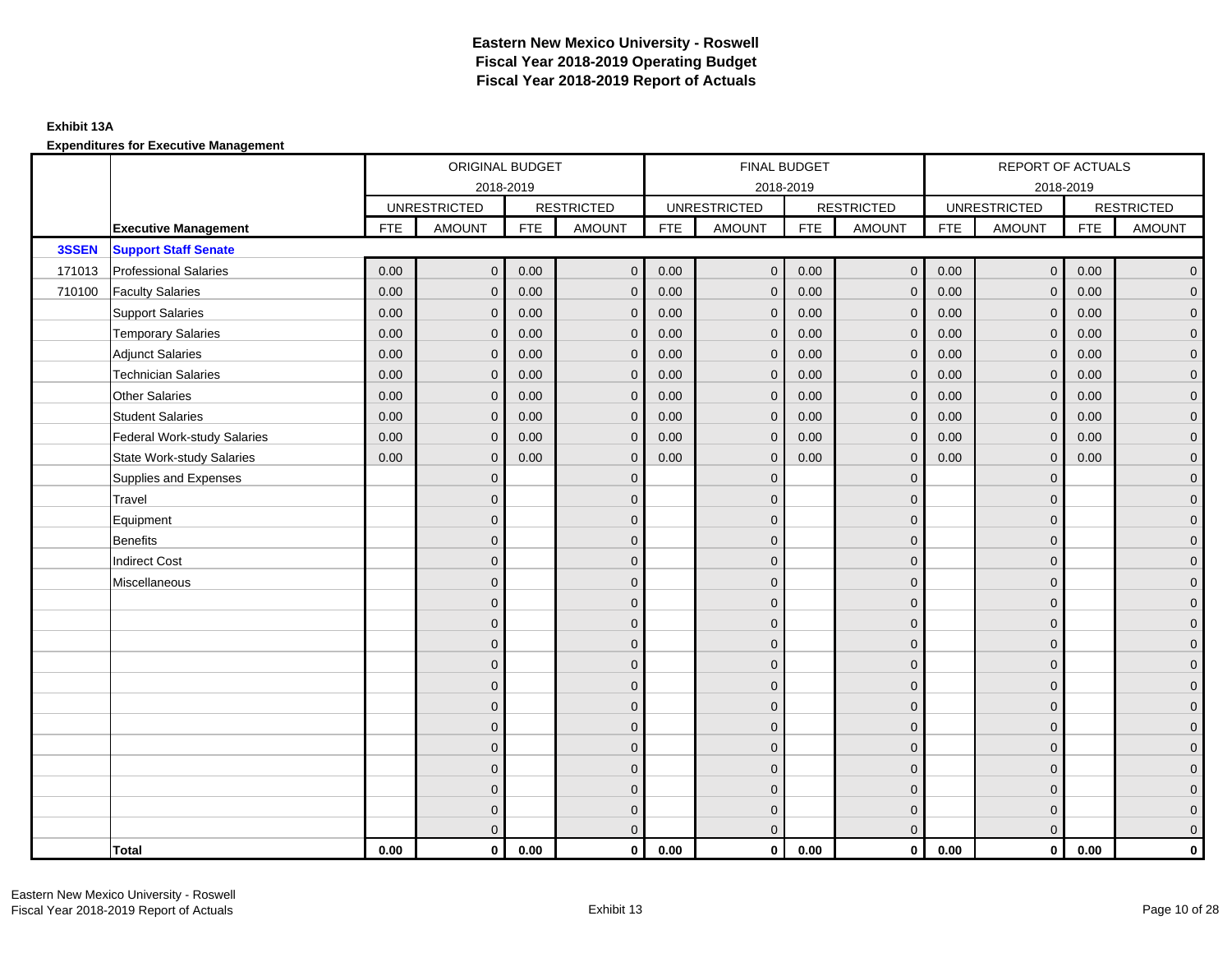## **Exhibit 13A**

**Expenditures for Executive Management**

|        |                                    | ORIGINAL BUDGET<br>2018-2019<br><b>UNRESTRICTED</b><br><b>RESTRICTED</b><br><b>FTE</b><br><b>AMOUNT</b><br><b>FTE</b> |              |      |               |            | FINAL BUDGET        |            |                     |            | REPORT OF ACTUALS   |            |                     |
|--------|------------------------------------|-----------------------------------------------------------------------------------------------------------------------|--------------|------|---------------|------------|---------------------|------------|---------------------|------------|---------------------|------------|---------------------|
|        |                                    |                                                                                                                       |              |      |               |            | 2018-2019           |            |                     |            | 2018-2019           |            |                     |
|        |                                    |                                                                                                                       |              |      |               |            | <b>UNRESTRICTED</b> |            | <b>RESTRICTED</b>   |            | <b>UNRESTRICTED</b> |            | <b>RESTRICTED</b>   |
|        | <b>Executive Management</b>        |                                                                                                                       |              |      | <b>AMOUNT</b> | <b>FTE</b> | <b>AMOUNT</b>       | <b>FTE</b> | <b>AMOUNT</b>       | <b>FTE</b> | <b>AMOUNT</b>       | <b>FTE</b> | <b>AMOUNT</b>       |
| 3SSEN  | <b>Support Staff Senate</b>        |                                                                                                                       |              |      |               |            |                     |            |                     |            |                     |            |                     |
| 171013 | <b>Professional Salaries</b>       | 0.00                                                                                                                  | $\mathbf{0}$ | 0.00 | $\mathbf{0}$  | 0.00       | $\overline{0}$      | 0.00       | $\overline{0}$      | 0.00       | $\overline{0}$      | 0.00       | $\overline{0}$      |
| 710100 | <b>Faculty Salaries</b>            | 0.00                                                                                                                  | $\mathbf 0$  | 0.00 | $\mathbf{0}$  | 0.00       | $\mathbf 0$         | 0.00       | $\mathbf 0$         | 0.00       | $\mathbf 0$         | 0.00       | $\overline{0}$      |
|        | <b>Support Salaries</b>            | 0.00                                                                                                                  | $\mathbf{0}$ | 0.00 | $\mathbf{0}$  | 0.00       | $\overline{0}$      | 0.00       | $\mathbf 0$         | 0.00       | $\overline{0}$      | 0.00       | $\overline{0}$      |
|        | <b>Temporary Salaries</b>          | 0.00                                                                                                                  | $\mathbf{0}$ | 0.00 | $\mathbf 0$   | 0.00       | $\mathbf{0}$        | 0.00       | $\mathbf 0$         | 0.00       | $\mathbf 0$         | 0.00       | $\overline{0}$      |
|        | <b>Adjunct Salaries</b>            | 0.00                                                                                                                  | $\Omega$     | 0.00 | $\Omega$      | 0.00       | $\overline{0}$      | 0.00       | $\mathbf{0}$        | 0.00       | $\mathbf{0}$        | 0.00       | $\overline{0}$      |
|        | <b>Technician Salaries</b>         | 0.00                                                                                                                  | $\mathbf{0}$ | 0.00 | $\mathbf{0}$  | 0.00       | $\mathbf{0}$        | 0.00       | $\mathbf 0$         | 0.00       | $\mathbf{0}$        | 0.00       | $\mathbf{0}$        |
|        | <b>Other Salaries</b>              | 0.00                                                                                                                  | $\mathbf{0}$ | 0.00 | $\mathbf{0}$  | 0.00       | $\mathbf{0}$        | 0.00       | $\mathbf{0}$        | 0.00       | $\mathbf{0}$        | 0.00       | $\overline{0}$      |
|        | <b>Student Salaries</b>            | 0.00                                                                                                                  | $\mathbf{0}$ | 0.00 | $\mathbf{0}$  | 0.00       | $\mathbf{0}$        | 0.00       | $\mathbf 0$         | 0.00       | $\mathbf 0$         | 0.00       | $\overline{0}$      |
|        | <b>Federal Work-study Salaries</b> | 0.00                                                                                                                  | $\mathbf 0$  | 0.00 | $\mathbf{0}$  | 0.00       | $\mathbf{0}$        | 0.00       | $\mathbf 0$         | 0.00       | $\mathbf 0$         | 0.00       | $\overline{0}$      |
|        | <b>State Work-study Salaries</b>   | 0.00                                                                                                                  | $\mathbf{0}$ | 0.00 | $\mathbf 0$   | 0.00       | $\mathbf{0}$        | 0.00       | $\mathbf{0}$        | 0.00       | $\mathbf{0}$        | 0.00       | $\mathbf{0}$        |
|        | Supplies and Expenses              |                                                                                                                       | $\Omega$     |      | $\mathbf{0}$  |            | $\mathbf{0}$        |            | $\mathbf{0}$        |            | $\mathbf 0$         |            | $\mathsf{O}\xspace$ |
|        | Travel                             |                                                                                                                       | $\Omega$     |      | $\mathbf{0}$  |            | $\Omega$            |            | $\mathbf{0}$        |            | $\mathbf{0}$        |            | $\overline{0}$      |
|        | Equipment                          |                                                                                                                       | $\mathbf{0}$ |      | $\mathbf 0$   |            | $\mathbf{0}$        |            | $\mathbf 0$         |            | $\mathbf{0}$        |            | $\overline{0}$      |
|        | Benefits                           |                                                                                                                       | $\Omega$     |      | $\mathbf{0}$  |            | $\Omega$            |            | $\mathbf 0$         |            | $\mathbf 0$         |            | $\overline{0}$      |
|        | <b>Indirect Cost</b>               |                                                                                                                       | $\Omega$     |      | $\mathbf{0}$  |            | $\Omega$            |            | $\mathbf{0}$        |            | $\Omega$            |            | $\overline{0}$      |
|        | Miscellaneous                      |                                                                                                                       | $\mathbf{0}$ |      | $\mathbf 0$   |            | $\mathbf{0}$        |            | $\mathbf 0$         |            | $\mathbf 0$         |            | $\mathsf{O}\xspace$ |
|        |                                    |                                                                                                                       | $\mathbf{0}$ |      | $\mathbf 0$   |            | $\mathbf{0}$        |            | $\mathbf 0$         |            | $\mathbf 0$         |            | $\mathbf{0}$        |
|        |                                    |                                                                                                                       | $\Omega$     |      | $\mathbf{0}$  |            | $\Omega$            |            | $\mathbf 0$         |            | $\mathbf{0}$        |            | $\overline{0}$      |
|        |                                    |                                                                                                                       | $\mathbf{0}$ |      | $\mathbf 0$   |            | $\Omega$            |            | $\mathsf{O}\xspace$ |            | $\mathbf 0$         |            | $\mathbf{0}$        |
|        |                                    |                                                                                                                       | $\Omega$     |      | $\mathbf{0}$  |            | $\Omega$            |            | $\mathbf 0$         |            | $\mathbf 0$         |            | $\mathbf{0}$        |
|        |                                    |                                                                                                                       | $\Omega$     |      | $\mathbf{0}$  |            | $\Omega$            |            | $\mathbf{0}$        |            | $\Omega$            |            | $\mathsf{O}\xspace$ |
|        |                                    |                                                                                                                       | $\mathbf{0}$ |      | $\mathbf{0}$  |            | $\Omega$            |            | $\mathbf{0}$        |            | $\Omega$            |            | $\overline{0}$      |
|        |                                    |                                                                                                                       | $\mathbf{0}$ |      | $\mathbf 0$   |            | $\mathbf{0}$        |            | $\mathbf 0$         |            | $\mathbf{0}$        |            | $\mathbf{0}$        |
|        |                                    |                                                                                                                       | $\mathbf{0}$ |      | $\mathbf{0}$  |            | $\Omega$            |            | $\mathbf 0$         |            | $\mathbf 0$         |            | $\overline{0}$      |
|        |                                    |                                                                                                                       | $\Omega$     |      | $\mathbf{0}$  |            | $\Omega$            |            | $\mathbf 0$         |            | $\mathbf 0$         |            | $\overline{0}$      |
|        |                                    |                                                                                                                       | $\mathbf{0}$ |      | $\mathbf 0$   |            | $\mathbf{0}$        |            | $\mathbf 0$         |            | $\mathbf 0$         |            | $\mathbf 0$         |
|        |                                    |                                                                                                                       | $\mathbf 0$  |      | $\mathbf 0$   |            | $\mathbf{0}$        |            | $\mathbf 0$         |            | $\mathbf 0$         |            | $\mathbf{0}$        |
|        |                                    |                                                                                                                       | $\Omega$     |      | $\mathbf{0}$  |            | $\overline{0}$      |            | $\mathbf 0$         |            | $\mathbf{0}$        |            | $\overline{0}$      |
|        | Total                              | 0.00                                                                                                                  | $\mathbf{0}$ | 0.00 | $\mathbf{0}$  | 0.00       | $\mathbf{0}$        | 0.00       | $\overline{0}$      | 0.00       | $\mathbf{0}$        | 0.00       | $\mathbf{0}$        |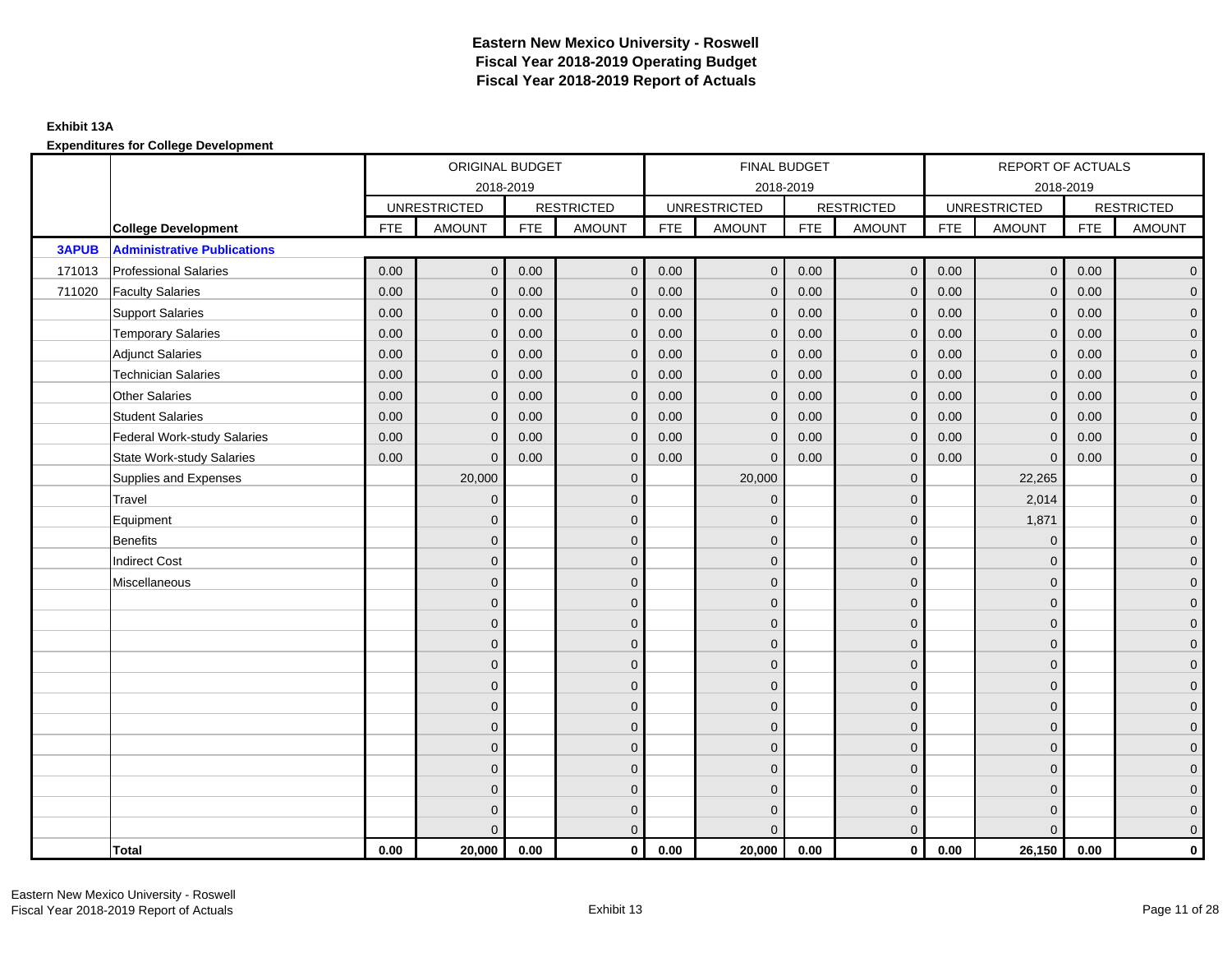|              |                                    | ORIGINAL BUDGET<br>2018-2019 |                     |            |                   | FINAL BUDGET |                     |            |                   | REPORT OF ACTUALS |                     |            |                     |
|--------------|------------------------------------|------------------------------|---------------------|------------|-------------------|--------------|---------------------|------------|-------------------|-------------------|---------------------|------------|---------------------|
|              |                                    |                              |                     |            |                   |              | 2018-2019           |            |                   |                   | 2018-2019           |            |                     |
|              |                                    |                              | <b>UNRESTRICTED</b> |            | <b>RESTRICTED</b> |              | <b>UNRESTRICTED</b> |            | <b>RESTRICTED</b> |                   | <b>UNRESTRICTED</b> |            | <b>RESTRICTED</b>   |
|              | <b>College Development</b>         | <b>FTE</b>                   | <b>AMOUNT</b>       | <b>FTE</b> | <b>AMOUNT</b>     | <b>FTE</b>   | <b>AMOUNT</b>       | <b>FTE</b> | <b>AMOUNT</b>     | <b>FTE</b>        | <b>AMOUNT</b>       | <b>FTE</b> | <b>AMOUNT</b>       |
| <b>3APUB</b> | <b>Administrative Publications</b> |                              |                     |            |                   |              |                     |            |                   |                   |                     |            |                     |
| 171013       | <b>Professional Salaries</b>       | 0.00                         | $\Omega$            | 0.00       | $\Omega$          | 0.00         | $\mathbf{0}$        | 0.00       | $\overline{0}$    | 0.00              | $\mathbf 0$         | 0.00       | $\overline{0}$      |
| 711020       | <b>Faculty Salaries</b>            | 0.00                         | $\mathbf 0$         | 0.00       | $\mathbf{0}$      | 0.00         | $\mathbf{0}$        | 0.00       | $\mathbf 0$       | 0.00              | $\mathbf{0}$        | 0.00       | $\overline{0}$      |
|              | <b>Support Salaries</b>            | 0.00                         | $\mathbf{0}$        | 0.00       | $\mathbf{0}$      | 0.00         | $\mathbf{0}$        | 0.00       | $\mathbf{0}$      | 0.00              | $\mathbf 0$         | 0.00       | $\overline{0}$      |
|              | <b>Temporary Salaries</b>          | 0.00                         | $\mathbf{0}$        | 0.00       | $\Omega$          | 0.00         | $\mathbf{0}$        | 0.00       | $\mathbf{0}$      | 0.00              | $\mathbf{0}$        | 0.00       | $\overline{0}$      |
|              | <b>Adjunct Salaries</b>            | 0.00                         | $\mathbf{0}$        | 0.00       | $\Omega$          | 0.00         | $\mathbf{0}$        | 0.00       | $\mathbf{0}$      | 0.00              | $\mathbf{0}$        | 0.00       | $\mathbf 0$         |
|              | <b>Technician Salaries</b>         | 0.00                         | $\Omega$            | 0.00       | $\Omega$          | 0.00         | $\mathbf{0}$        | 0.00       | $\mathbf{0}$      | 0.00              | $\Omega$            | 0.00       | $\mathbf 0$         |
|              | <b>Other Salaries</b>              | 0.00                         | $\mathbf{0}$        | 0.00       | $\Omega$          | 0.00         | $\Omega$            | 0.00       | $\mathbf{0}$      | 0.00              | $\mathbf{0}$        | 0.00       | $\overline{0}$      |
|              | <b>Student Salaries</b>            | 0.00                         | $\mathbf 0$         | 0.00       | $\mathbf{0}$      | 0.00         | $\mathbf 0$         | 0.00       | $\mathbf{0}$      | 0.00              | $\mathbf 0$         | 0.00       | $\overline{0}$      |
|              | Federal Work-study Salaries        | 0.00                         | $\mathbf{0}$        | 0.00       | $\Omega$          | 0.00         | $\mathbf{0}$        | 0.00       | $\mathbf{0}$      | 0.00              | $\mathbf{0}$        | 0.00       | $\overline{0}$      |
|              | <b>State Work-study Salaries</b>   | 0.00                         | $\mathbf{0}$        | 0.00       | $\Omega$          | 0.00         | $\Omega$            | 0.00       | $\mathbf{0}$      | 0.00              | $\Omega$            | 0.00       | $\overline{0}$      |
|              | Supplies and Expenses              |                              | 20,000              |            | $\mathbf{0}$      |              | 20,000              |            | $\mathbf 0$       |                   | 22,265              |            | $\overline{0}$      |
|              | Travel                             |                              | $\mathbf{0}$        |            | $\mathbf{0}$      |              | $\mathbf{0}$        |            | $\mathbf 0$       |                   | 2,014               |            | $\overline{0}$      |
|              | Equipment                          |                              | $\Omega$            |            | $\mathbf{0}$      |              | $\Omega$            |            | $\mathbf 0$       |                   | 1,871               |            | $\overline{0}$      |
|              | <b>Benefits</b>                    |                              | $\mathbf{0}$        |            | $\mathbf 0$       |              | $\Omega$            |            | $\mathbf 0$       |                   | $\mathbf 0$         |            | $\overline{0}$      |
|              | <b>Indirect Cost</b>               |                              | $\Omega$            |            | $\mathbf{0}$      |              | $\Omega$            |            | $\mathbf{0}$      |                   | $\Omega$            |            | $\mathbf 0$         |
|              | Miscellaneous                      |                              | $\Omega$            |            | $\mathbf{0}$      |              | $\Omega$            |            | $\mathbf{0}$      |                   | $\Omega$            |            | $\mathsf{O}\xspace$ |
|              |                                    |                              | $\mathbf{0}$        |            | $\mathbf 0$       |              | $\overline{0}$      |            | $\mathbf 0$       |                   | $\mathbf{0}$        |            | $\overline{0}$      |
|              |                                    |                              | $\mathbf{0}$        |            | $\mathbf 0$       |              | $\Omega$            |            | $\mathbf{0}$      |                   | $\mathbf{0}$        |            | $\overline{0}$      |
|              |                                    |                              | $\Omega$            |            | $\mathbf{0}$      |              | $\Omega$            |            | $\mathbf{0}$      |                   | $\mathbf{0}$        |            | $\overline{0}$      |
|              |                                    |                              | $\Omega$            |            | $\mathbf{0}$      |              | $\Omega$            |            | $\mathbf 0$       |                   | $\mathbf{0}$        |            | $\mathbf 0$         |
|              |                                    |                              | $\Omega$            |            | $\mathbf{0}$      |              | $\Omega$            |            | $\mathbf{0}$      |                   | $\mathbf{0}$        |            | $\overline{0}$      |
|              |                                    |                              | $\mathbf{0}$        |            | $\mathbf{0}$      |              | $\Omega$            |            | $\mathbf{0}$      |                   | $\Omega$            |            | $\overline{0}$      |
|              |                                    |                              | $\mathbf{0}$        |            | $\mathbf 0$       |              | $\overline{0}$      |            | $\mathbf 0$       |                   | $\mathbf{0}$        |            | $\mathsf{O}\xspace$ |
|              |                                    |                              | $\mathbf{0}$        |            | $\mathbf{0}$      |              | $\Omega$            |            | $\mathbf{0}$      |                   | $\mathbf{0}$        |            | $\overline{0}$      |
|              |                                    |                              | $\Omega$            |            | $\mathbf{0}$      |              | $\Omega$            |            | $\mathbf{0}$      |                   | $\Omega$            |            | $\mathbf 0$         |
|              |                                    |                              | $\Omega$            |            | $\mathbf 0$       |              | $\Omega$            |            | $\mathbf 0$       |                   | $\Omega$            |            | $\overline{0}$      |
|              |                                    |                              | $\mathbf{0}$        |            | $\mathbf 0$       |              | $\Omega$            |            | $\mathbf 0$       |                   | $\mathbf{0}$        |            | $\mathbf 0$         |
|              |                                    |                              | $\Omega$            |            | $\mathbf{0}$      |              | $\Omega$            |            | $\mathbf{0}$      |                   | $\Omega$            |            | $\overline{0}$      |
|              | Total                              | 0.00                         | 20,000              | 0.00       | $\mathbf{0}$      | 0.00         | 20,000              | 0.00       | $\overline{0}$    | 0.00              | 26,150              | 0.00       | $\mathbf{0}$        |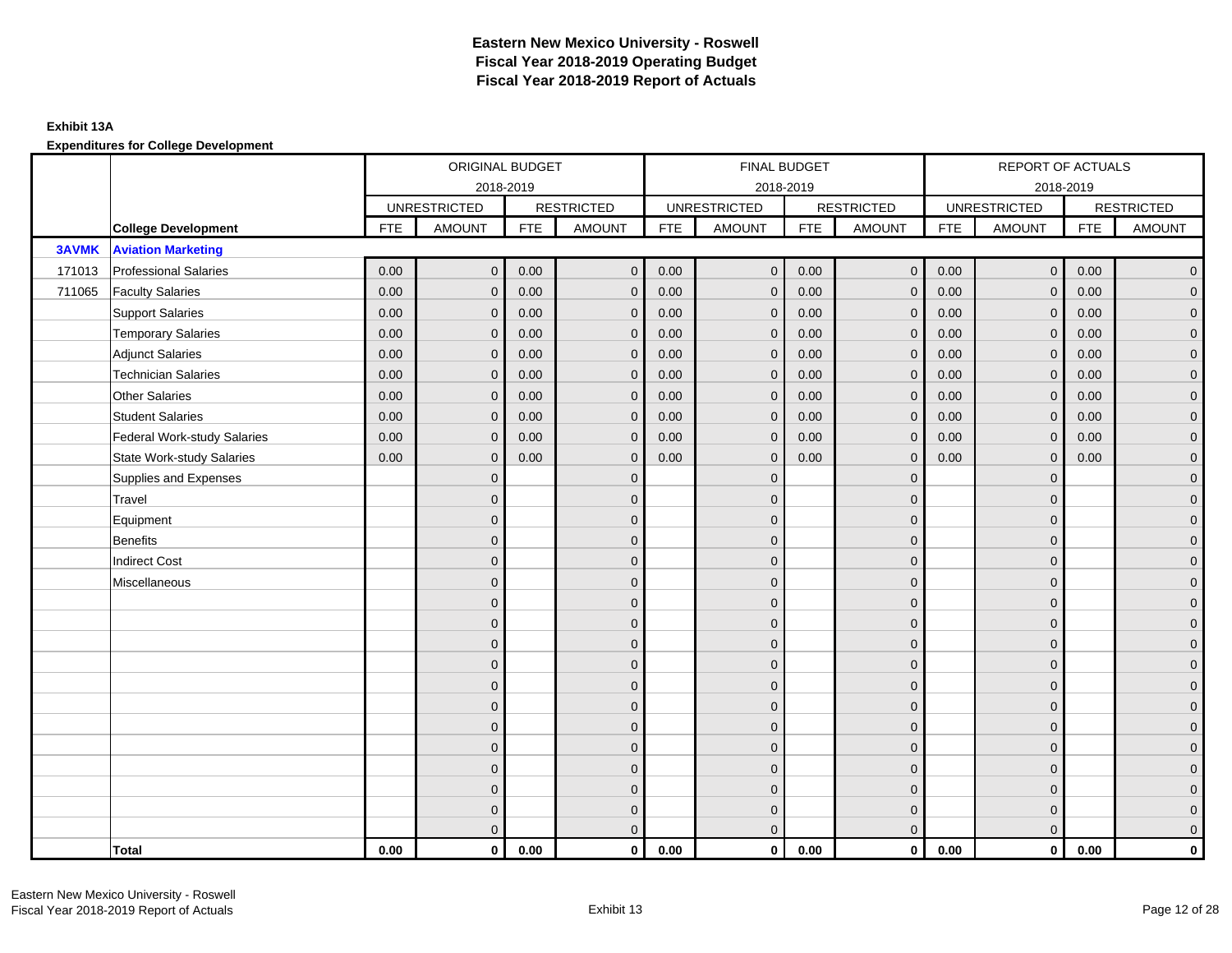|              |                                    |            | ORIGINAL BUDGET     |            |                   |            | FINAL BUDGET        |            |                   |            | REPORT OF ACTUALS   |            |                     |
|--------------|------------------------------------|------------|---------------------|------------|-------------------|------------|---------------------|------------|-------------------|------------|---------------------|------------|---------------------|
|              |                                    |            | 2018-2019           |            |                   |            | 2018-2019           |            |                   |            |                     | 2018-2019  |                     |
|              |                                    |            | <b>UNRESTRICTED</b> |            | <b>RESTRICTED</b> |            | <b>UNRESTRICTED</b> |            | <b>RESTRICTED</b> |            | <b>UNRESTRICTED</b> |            | <b>RESTRICTED</b>   |
|              | <b>College Development</b>         | <b>FTE</b> | <b>AMOUNT</b>       | <b>FTE</b> | <b>AMOUNT</b>     | <b>FTE</b> | <b>AMOUNT</b>       | <b>FTE</b> | <b>AMOUNT</b>     | <b>FTE</b> | <b>AMOUNT</b>       | <b>FTE</b> | <b>AMOUNT</b>       |
| <b>3AVMK</b> | <b>Aviation Marketing</b>          |            |                     |            |                   |            |                     |            |                   |            |                     |            |                     |
| 171013       | <b>Professional Salaries</b>       | 0.00       | $\mathbf{0}$        | 0.00       | $\overline{0}$    | 0.00       | $\overline{0}$      | 0.00       | $\overline{0}$    | 0.00       | $\mathbf 0$         | 0.00       | $\overline{0}$      |
| 711065       | <b>Faculty Salaries</b>            | 0.00       | $\mathbf{0}$        | 0.00       | $\mathbf{0}$      | 0.00       | $\mathbf{0}$        | 0.00       | $\mathbf{0}$      | 0.00       | $\mathbf 0$         | 0.00       | $\overline{0}$      |
|              | <b>Support Salaries</b>            | 0.00       | $\mathbf 0$         | 0.00       | $\mathbf{0}$      | 0.00       | $\mathbf 0$         | 0.00       | $\mathbf{0}$      | 0.00       | $\mathbf 0$         | 0.00       | $\overline{0}$      |
|              | <b>Temporary Salaries</b>          | 0.00       | $\mathbf{0}$        | 0.00       | $\mathbf{0}$      | 0.00       | $\mathbf{0}$        | 0.00       | $\mathbf 0$       | 0.00       | $\mathbf 0$         | 0.00       | $\overline{0}$      |
|              | <b>Adjunct Salaries</b>            | 0.00       | $\mathbf{0}$        | 0.00       | $\Omega$          | 0.00       | $\mathbf{0}$        | 0.00       | $\mathbf{0}$      | 0.00       | $\Omega$            | 0.00       | $\overline{0}$      |
|              | <b>Technician Salaries</b>         | 0.00       | $\mathbf{0}$        | 0.00       | $\mathbf{0}$      | 0.00       | $\mathbf{0}$        | 0.00       | $\mathbf{0}$      | 0.00       | $\Omega$            | 0.00       | $\mathbf 0$         |
|              | <b>Other Salaries</b>              | 0.00       | $\mathbf{0}$        | 0.00       | $\Omega$          | 0.00       | $\Omega$            | 0.00       | $\mathbf{0}$      | 0.00       | $\mathbf{0}$        | 0.00       | $\overline{0}$      |
|              | <b>Student Salaries</b>            | 0.00       | $\mathbf{0}$        | 0.00       | $\mathbf{0}$      | 0.00       | $\mathbf{0}$        | 0.00       | $\mathbf{0}$      | 0.00       | $\mathbf{0}$        | 0.00       | $\overline{0}$      |
|              | <b>Federal Work-study Salaries</b> | 0.00       | $\mathbf 0$         | 0.00       | $\mathbf{0}$      | 0.00       | $\mathbf 0$         | 0.00       | $\mathbf{0}$      | 0.00       | $\mathbf 0$         | 0.00       | $\overline{0}$      |
|              | <b>State Work-study Salaries</b>   | 0.00       | $\mathbf 0$         | 0.00       | $\mathbf{0}$      | 0.00       | $\mathbf{0}$        | 0.00       | $\mathbf{0}$      | 0.00       | $\mathbf{0}$        | 0.00       | $\overline{0}$      |
|              | Supplies and Expenses              |            | $\mathbf{0}$        |            | $\mathbf{0}$      |            | $\Omega$            |            | $\mathbf{0}$      |            | $\mathbf{0}$        |            | $\mathsf{O}\xspace$ |
|              | Travel                             |            | $\Omega$            |            | $\mathbf{0}$      |            | $\Omega$            |            | $\mathbf{0}$      |            | $\Omega$            |            | $\overline{0}$      |
|              | Equipment                          |            | $\mathbf{0}$        |            | $\mathbf 0$       |            | $\mathbf{0}$        |            | $\mathbf 0$       |            | $\mathbf{0}$        |            | $\overline{0}$      |
|              | <b>Benefits</b>                    |            | $\Omega$            |            | $\mathbf{0}$      |            | $\Omega$            |            | $\mathbf{0}$      |            | $\mathbf{0}$        |            | $\overline{0}$      |
|              | <b>Indirect Cost</b>               |            | $\Omega$            |            | $\mathbf{0}$      |            | $\Omega$            |            | $\mathbf{0}$      |            | $\Omega$            |            | $\overline{0}$      |
|              | Miscellaneous                      |            | $\mathbf{0}$        |            | $\mathbf 0$       |            | $\mathbf{0}$        |            | $\mathbf 0$       |            | $\mathbf{0}$        |            | $\mathsf{O}\xspace$ |
|              |                                    |            | $\mathbf{0}$        |            | $\mathbf{0}$      |            | $\Omega$            |            | $\mathbf{0}$      |            | $\mathbf{0}$        |            | $\overline{0}$      |
|              |                                    |            | $\Omega$            |            | $\mathbf{0}$      |            | $\Omega$            |            | $\mathbf 0$       |            | $\Omega$            |            | $\overline{0}$      |
|              |                                    |            | $\mathbf{0}$        |            | $\mathbf{0}$      |            | $\Omega$            |            | $\mathbf{0}$      |            | $\mathbf{0}$        |            | $\overline{0}$      |
|              |                                    |            | $\mathbf{0}$        |            | $\mathbf{0}$      |            | $\Omega$            |            | $\mathbf{0}$      |            | $\mathbf{0}$        |            | $\overline{0}$      |
|              |                                    |            | $\mathbf{0}$        |            | $\mathbf{0}$      |            | $\Omega$            |            | $\mathbf{0}$      |            | $\Omega$            |            | $\mathsf{O}\xspace$ |
|              |                                    |            | $\mathbf{0}$        |            | $\mathbf{0}$      |            | $\Omega$            |            | $\mathbf{0}$      |            | $\Omega$            |            | $\overline{0}$      |
|              |                                    |            | $\mathbf{0}$        |            | $\mathbf 0$       |            | $\mathbf{0}$        |            | $\mathbf 0$       |            | $\mathbf{0}$        |            | $\overline{0}$      |
|              |                                    |            | $\Omega$            |            | $\mathbf{0}$      |            | $\Omega$            |            | $\mathbf{0}$      |            | $\mathbf{0}$        |            | $\overline{0}$      |
|              |                                    |            | $\mathbf{0}$        |            | $\mathbf{0}$      |            | $\Omega$            |            | $\mathbf{0}$      |            | $\mathbf{0}$        |            | $\overline{0}$      |
|              |                                    |            | $\mathbf{0}$        |            | $\mathbf 0$       |            | $\Omega$            |            | $\mathbf 0$       |            | $\mathbf{0}$        |            | $\overline{0}$      |
|              |                                    |            | $\mathbf{0}$        |            | $\mathbf 0$       |            | $\overline{0}$      |            | $\mathbf 0$       |            | $\mathbf{0}$        |            | $\overline{0}$      |
|              |                                    |            | $\mathbf{0}$        |            | $\mathbf{0}$      |            | $\Omega$            |            | $\mathbf{0}$      |            | $\Omega$            |            | $\overline{0}$      |
|              | Total                              | 0.00       | $\mathbf 0$         | 0.00       | $\mathbf 0$       | 0.00       | $\mathbf{0}$        | 0.00       | $\overline{0}$    | 0.00       | $\mathbf 0$         | 0.00       | $\mathbf 0$         |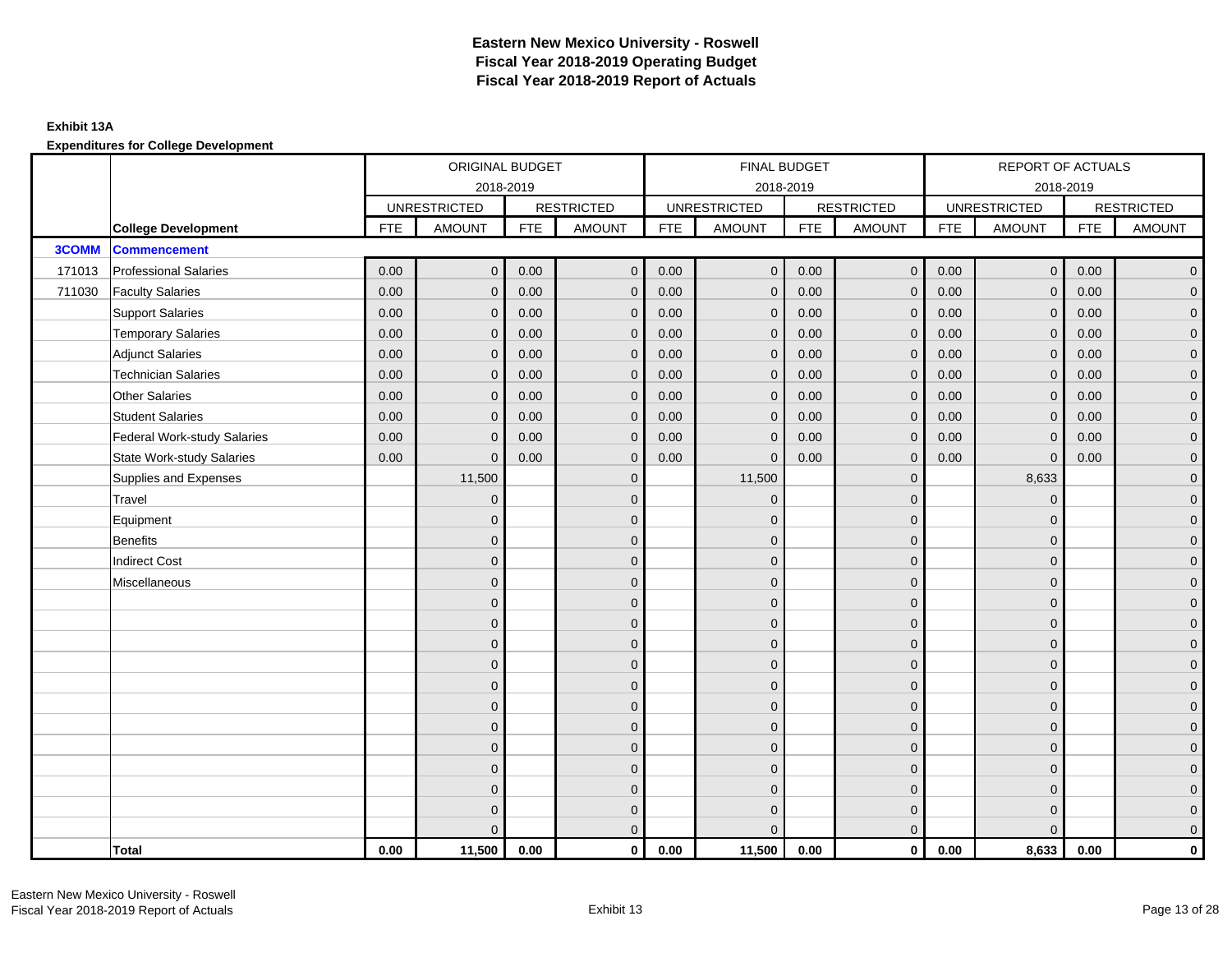|              |                                    |            | ORIGINAL BUDGET     |            |                   |            | FINAL BUDGET        |            |                   |            | REPORT OF ACTUALS   |            |                     |
|--------------|------------------------------------|------------|---------------------|------------|-------------------|------------|---------------------|------------|-------------------|------------|---------------------|------------|---------------------|
|              |                                    |            | 2018-2019           |            |                   |            | 2018-2019           |            |                   |            |                     | 2018-2019  |                     |
|              |                                    |            | <b>UNRESTRICTED</b> |            | <b>RESTRICTED</b> |            | <b>UNRESTRICTED</b> |            | <b>RESTRICTED</b> |            | <b>UNRESTRICTED</b> |            | <b>RESTRICTED</b>   |
|              | <b>College Development</b>         | <b>FTE</b> | <b>AMOUNT</b>       | <b>FTE</b> | <b>AMOUNT</b>     | <b>FTE</b> | <b>AMOUNT</b>       | <b>FTE</b> | <b>AMOUNT</b>     | <b>FTE</b> | <b>AMOUNT</b>       | <b>FTE</b> | <b>AMOUNT</b>       |
| <b>3COMM</b> | <b>Commencement</b>                |            |                     |            |                   |            |                     |            |                   |            |                     |            |                     |
| 171013       | <b>Professional Salaries</b>       | 0.00       | $\mathbf{0}$        | 0.00       | $\overline{0}$    | 0.00       | $\mathbf{0}$        | 0.00       | $\overline{0}$    | 0.00       | $\mathbf 0$         | 0.00       | $\overline{0}$      |
| 711030       | <b>Faculty Salaries</b>            | 0.00       | $\mathbf{0}$        | 0.00       | $\mathbf{0}$      | 0.00       | $\mathbf{0}$        | 0.00       | $\mathbf 0$       | 0.00       | $\mathbf 0$         | 0.00       | $\overline{0}$      |
|              | <b>Support Salaries</b>            | 0.00       | $\mathbf 0$         | 0.00       | $\mathbf{0}$      | 0.00       | $\mathbf 0$         | 0.00       | $\mathbf 0$       | 0.00       | $\mathbf 0$         | 0.00       | $\overline{0}$      |
|              | <b>Temporary Salaries</b>          | 0.00       | $\mathbf{0}$        | 0.00       | $\mathbf{0}$      | 0.00       | $\mathbf{0}$        | 0.00       | $\mathbf 0$       | 0.00       | $\mathbf 0$         | 0.00       | $\overline{0}$      |
|              | <b>Adjunct Salaries</b>            | 0.00       | $\mathbf{0}$        | 0.00       | $\Omega$          | 0.00       | $\mathbf{0}$        | 0.00       | $\mathbf{0}$      | 0.00       | $\Omega$            | 0.00       | $\overline{0}$      |
|              | <b>Technician Salaries</b>         | 0.00       | $\mathbf{0}$        | 0.00       | $\mathbf{0}$      | 0.00       | $\mathbf{0}$        | 0.00       | $\mathbf{0}$      | 0.00       | $\Omega$            | 0.00       | $\mathbf 0$         |
|              | <b>Other Salaries</b>              | 0.00       | $\mathbf{0}$        | 0.00       | $\Omega$          | 0.00       | $\Omega$            | 0.00       | $\mathbf{0}$      | 0.00       | $\mathbf{0}$        | 0.00       | $\overline{0}$      |
|              | <b>Student Salaries</b>            | 0.00       | $\mathbf{0}$        | 0.00       | $\mathbf{0}$      | 0.00       | $\overline{0}$      | 0.00       | $\mathbf{0}$      | 0.00       | $\mathbf{0}$        | 0.00       | $\overline{0}$      |
|              | <b>Federal Work-study Salaries</b> | 0.00       | $\mathbf{0}$        | 0.00       | $\mathbf{0}$      | 0.00       | $\mathbf 0$         | 0.00       | $\mathbf 0$       | 0.00       | $\mathbf 0$         | 0.00       | $\overline{0}$      |
|              | <b>State Work-study Salaries</b>   | 0.00       | $\mathbf{0}$        | 0.00       | $\mathbf{0}$      | 0.00       | $\mathbf{0}$        | 0.00       | $\mathbf 0$       | 0.00       | $\mathbf{0}$        | 0.00       | $\overline{0}$      |
|              | Supplies and Expenses              |            | 11,500              |            | $\mathbf{0}$      |            | 11,500              |            | $\mathbf 0$       |            | 8,633               |            | $\mathbf 0$         |
|              | Travel                             |            | $\mathbf{0}$        |            | $\mathbf{0}$      |            | $\mathbf{0}$        |            | $\mathbf{0}$      |            | $\mathbf{0}$        |            | $\overline{0}$      |
|              | Equipment                          |            | $\mathbf{0}$        |            | $\mathbf 0$       |            | $\mathbf{0}$        |            | $\mathbf{0}$      |            | $\mathbf{0}$        |            | $\overline{0}$      |
|              | <b>Benefits</b>                    |            | $\mathbf{0}$        |            | $\mathbf{0}$      |            | $\Omega$            |            | $\mathbf{0}$      |            | $\mathbf{0}$        |            | $\overline{0}$      |
|              | <b>Indirect Cost</b>               |            | $\Omega$            |            | $\mathbf{0}$      |            | $\Omega$            |            | $\mathbf{0}$      |            | $\Omega$            |            | $\overline{0}$      |
|              | Miscellaneous                      |            | $\mathbf{0}$        |            | $\mathbf 0$       |            | $\mathbf{0}$        |            | $\mathbf 0$       |            | $\mathbf{0}$        |            | $\mathsf{O}\xspace$ |
|              |                                    |            | $\mathbf{0}$        |            | $\mathbf{0}$      |            | $\Omega$            |            | $\mathbf{0}$      |            | $\mathbf{0}$        |            | $\overline{0}$      |
|              |                                    |            | $\mathbf{0}$        |            | $\mathbf 0$       |            | $\Omega$            |            | $\mathbf 0$       |            | $\Omega$            |            | $\overline{0}$      |
|              |                                    |            | $\mathbf{0}$        |            | $\mathbf 0$       |            | $\mathbf{0}$        |            | $\mathbf{0}$      |            | $\mathbf{0}$        |            | $\overline{0}$      |
|              |                                    |            | $\mathbf{0}$        |            | $\mathbf{0}$      |            | $\Omega$            |            | $\mathbf{0}$      |            | $\mathbf{0}$        |            | $\overline{0}$      |
|              |                                    |            | $\mathbf{0}$        |            | $\mathbf{0}$      |            | $\Omega$            |            | $\mathbf 0$       |            | $\Omega$            |            | $\mathsf{O}\xspace$ |
|              |                                    |            | $\mathbf{0}$        |            | $\mathbf{0}$      |            | $\Omega$            |            | $\mathbf{0}$      |            | $\Omega$            |            | $\overline{0}$      |
|              |                                    |            | $\mathbf{0}$        |            | $\mathbf 0$       |            | $\mathbf{0}$        |            | $\mathbf 0$       |            | $\mathbf{0}$        |            | $\overline{0}$      |
|              |                                    |            | $\Omega$            |            | $\mathbf{0}$      |            | $\Omega$            |            | $\mathbf{0}$      |            | $\mathbf{0}$        |            | $\overline{0}$      |
|              |                                    |            | $\Omega$            |            | $\mathbf{0}$      |            | $\Omega$            |            | $\mathbf{0}$      |            | $\mathbf{0}$        |            | $\mathbf 0$         |
|              |                                    |            | $\mathbf{0}$        |            | $\mathbf 0$       |            | $\Omega$            |            | $\mathbf 0$       |            | $\mathbf{0}$        |            | $\overline{0}$      |
|              |                                    |            | $\Omega$            |            | $\mathbf 0$       |            | $\Omega$            |            | $\mathbf{0}$      |            | $\mathbf{0}$        |            | $\overline{0}$      |
|              |                                    |            | $\Omega$            |            | $\mathbf{0}$      |            | $\Omega$            |            | $\mathbf{0}$      |            | $\Omega$            |            | $\overline{0}$      |
|              | Total                              | 0.00       | 11,500              | 0.00       | $\mathbf 0$       | 0.00       | 11,500              | 0.00       | $\overline{0}$    | 0.00       | 8,633               | 0.00       | $\mathbf 0$         |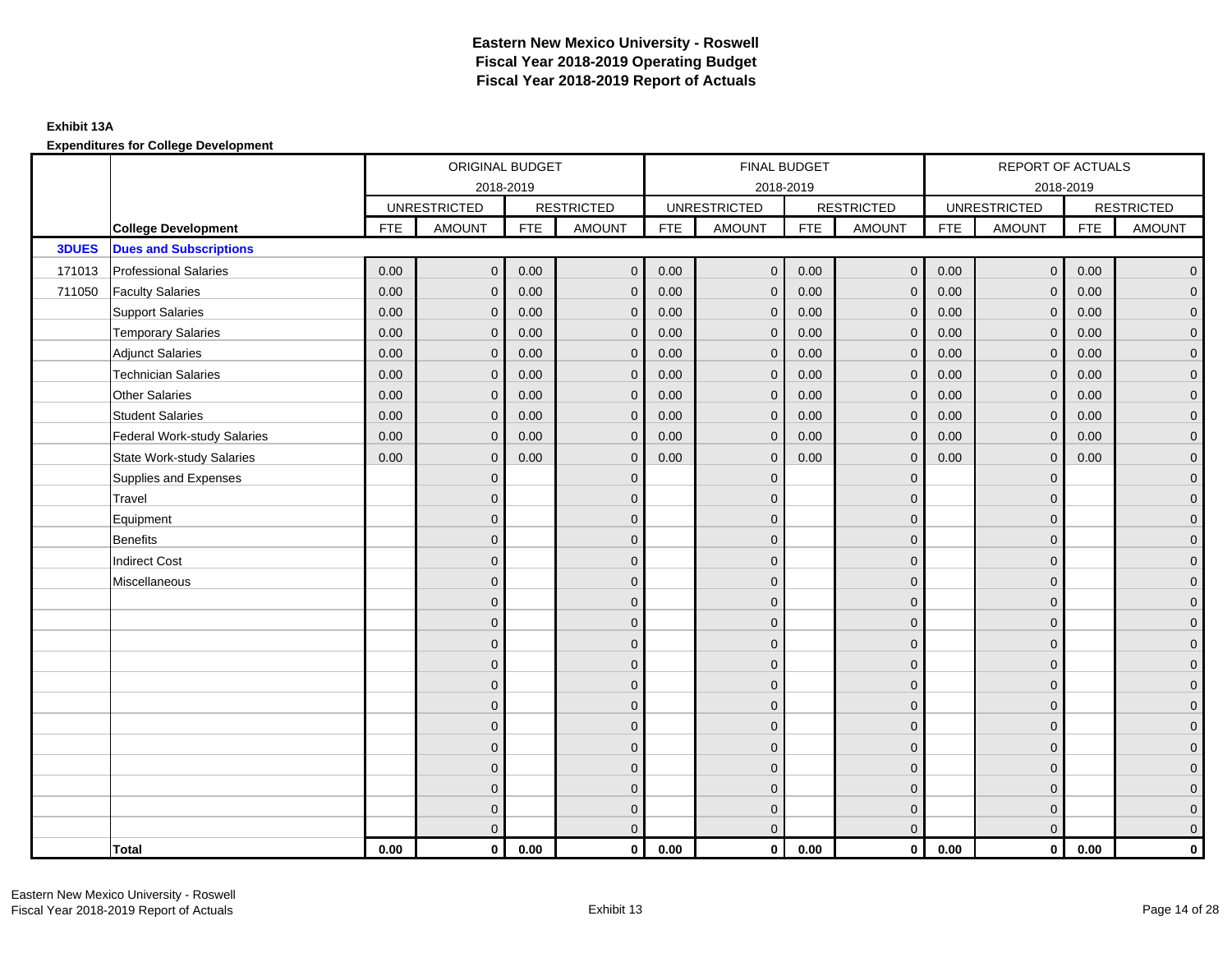|              |                                    |            | ORIGINAL BUDGET     |            |                   |            |                     | FINAL BUDGET |                   |            | REPORT OF ACTUALS   |            |                     |
|--------------|------------------------------------|------------|---------------------|------------|-------------------|------------|---------------------|--------------|-------------------|------------|---------------------|------------|---------------------|
|              |                                    |            |                     | 2018-2019  |                   |            | 2018-2019           |              |                   |            |                     | 2018-2019  |                     |
|              |                                    |            | <b>UNRESTRICTED</b> |            | <b>RESTRICTED</b> |            | <b>UNRESTRICTED</b> |              | <b>RESTRICTED</b> |            | <b>UNRESTRICTED</b> |            | <b>RESTRICTED</b>   |
|              | <b>College Development</b>         | <b>FTE</b> | <b>AMOUNT</b>       | <b>FTE</b> | <b>AMOUNT</b>     | <b>FTE</b> | <b>AMOUNT</b>       | <b>FTE</b>   | <b>AMOUNT</b>     | <b>FTE</b> | <b>AMOUNT</b>       | <b>FTE</b> | <b>AMOUNT</b>       |
| <b>3DUES</b> | <b>Dues and Subscriptions</b>      |            |                     |            |                   |            |                     |              |                   |            |                     |            |                     |
| 171013       | <b>Professional Salaries</b>       | 0.00       | $\mathbf{0}$        | 0.00       | $\mathbf 0$       | 0.00       | $\mathbf{0}$        | 0.00         | $\mathbf{0}$      | 0.00       | $\overline{0}$      | 0.00       | $\overline{0}$      |
| 711050       | <b>Faculty Salaries</b>            | 0.00       | $\mathbf 0$         | 0.00       | $\mathbf 0$       | 0.00       | $\mathbf{0}$        | 0.00         | $\mathbf 0$       | 0.00       | $\mathbf 0$         | 0.00       | $\mathsf{O}\xspace$ |
|              | <b>Support Salaries</b>            | 0.00       | $\overline{0}$      | 0.00       | $\mathbf 0$       | 0.00       | $\mathbf{0}$        | 0.00         | $\mathbf{0}$      | 0.00       | $\overline{0}$      | 0.00       | $\overline{0}$      |
|              | <b>Temporary Salaries</b>          | 0.00       | $\mathbf{0}$        | 0.00       | $\mathbf 0$       | 0.00       | $\mathbf{0}$        | 0.00         | $\mathbf{0}$      | 0.00       | $\mathbf{0}$        | 0.00       | $\overline{0}$      |
|              | <b>Adjunct Salaries</b>            | 0.00       | $\mathbf 0$         | 0.00       | $\mathbf 0$       | 0.00       | $\mathbf 0$         | 0.00         | $\mathbf{0}$      | 0.00       | $\mathbf 0$         | 0.00       | $\overline{0}$      |
|              | <b>Technician Salaries</b>         | 0.00       | $\Omega$            | 0.00       | $\mathbf{0}$      | 0.00       | $\mathbf{0}$        | 0.00         | $\Omega$          | 0.00       | $\mathbf{0}$        | 0.00       | $\overline{0}$      |
|              | <b>Other Salaries</b>              | 0.00       | $\mathbf 0$         | 0.00       | $\mathbf 0$       | 0.00       | $\mathbf{0}$        | 0.00         | $\mathbf{0}$      | 0.00       | $\overline{0}$      | 0.00       | $\mathsf{O}\xspace$ |
|              | <b>Student Salaries</b>            | 0.00       | $\Omega$            | 0.00       | $\mathbf{0}$      | 0.00       | $\mathbf{0}$        | 0.00         | $\Omega$          | 0.00       | $\overline{0}$      | 0.00       | $\overline{0}$      |
|              | <b>Federal Work-study Salaries</b> | 0.00       | $\mathbf 0$         | 0.00       | $\mathbf 0$       | 0.00       | $\mathbf{0}$        | 0.00         | $\overline{0}$    | 0.00       | $\mathbf 0$         | 0.00       | $\overline{0}$      |
|              | <b>State Work-study Salaries</b>   | 0.00       | $\mathbf 0$         | 0.00       | $\mathbf 0$       | 0.00       | $\Omega$            | 0.00         | $\mathbf{0}$      | 0.00       | $\mathbf 0$         | 0.00       | $\overline{0}$      |
|              | Supplies and Expenses              |            | $\mathbf{0}$        |            | $\mathbf 0$       |            | $\mathbf{0}$        |              | $\Omega$          |            | $\mathbf{0}$        |            | $\overline{0}$      |
|              | Travel                             |            | $\Omega$            |            | $\mathbf 0$       |            | $\Omega$            |              | $\mathbf{0}$      |            | $\Omega$            |            | $\mathbf 0$         |
|              | Equipment                          |            | $\Omega$            |            | $\mathbf 0$       |            | $\Omega$            |              | $\Omega$          |            | $\Omega$            |            | $\overline{0}$      |
|              | <b>Benefits</b>                    |            | $\mathbf{0}$        |            | $\mathbf 0$       |            | $\mathbf{0}$        |              | $\mathbf{0}$      |            | $\mathbf{0}$        |            | $\overline{0}$      |
|              | <b>Indirect Cost</b>               |            | $\mathbf{0}$        |            | $\mathbf 0$       |            | $\Omega$            |              | $\mathbf{0}$      |            | $\overline{0}$      |            | $\overline{0}$      |
|              | Miscellaneous                      |            | $\mathbf{0}$        |            | $\mathbf 0$       |            | $\overline{0}$      |              | $\mathbf{0}$      |            | $\mathbf{0}$        |            | $\overline{0}$      |
|              |                                    |            | $\Omega$            |            | $\mathbf{0}$      |            | $\Omega$            |              | $\Omega$          |            | $\Omega$            |            | $\overline{0}$      |
|              |                                    |            | $\mathbf{0}$        |            | $\mathbf 0$       |            | $\mathbf{0}$        |              | $\mathbf{0}$      |            | $\mathbf{0}$        |            | $\overline{0}$      |
|              |                                    |            | $\mathbf{0}$        |            | $\mathbf 0$       |            | $\Omega$            |              | $\mathbf{0}$      |            | $\Omega$            |            | $\overline{0}$      |
|              |                                    |            | $\mathbf{0}$        |            | $\mathbf{0}$      |            | $\Omega$            |              | $\mathbf{0}$      |            | $\Omega$            |            | $\overline{0}$      |
|              |                                    |            | $\mathbf{0}$        |            | $\mathbf 0$       |            | $\Omega$            |              | $\mathbf{0}$      |            | $\mathbf{0}$        |            | $\overline{0}$      |
|              |                                    |            | $\Omega$            |            | $\mathbf{0}$      |            | $\Omega$            |              | $\Omega$          |            | $\Omega$            |            | $\overline{0}$      |
|              |                                    |            | $\Omega$            |            | $\mathbf 0$       |            | $\Omega$            |              | $\mathbf{0}$      |            | $\mathbf{0}$        |            | $\overline{0}$      |
|              |                                    |            | $\mathbf{0}$        |            | $\mathbf 0$       |            | $\overline{0}$      |              | $\mathbf{0}$      |            | $\Omega$            |            | $\overline{0}$      |
|              |                                    |            | $\mathbf{0}$        |            | $\mathbf 0$       |            | $\overline{0}$      |              | $\mathbf{0}$      |            | $\mathbf{0}$        |            | $\mathsf{O}\xspace$ |
|              |                                    |            | $\Omega$            |            | $\mathbf 0$       |            | $\overline{0}$      |              | $\Omega$          |            | $\mathbf{0}$        |            | $\overline{0}$      |
|              |                                    |            | $\Omega$            |            | $\mathbf{0}$      |            | $\Omega$            |              | $\mathbf{0}$      |            | $\Omega$            |            | $\mathbf 0$         |
|              |                                    |            | $\Omega$            |            | $\mathbf 0$       |            | $\Omega$            |              | $\mathbf{0}$      |            | $\overline{0}$      |            | $\mathbf 0$         |
|              | <b>Total</b>                       | 0.00       | $\bf{0}$            | 0.00       | $\mathbf 0$       | 0.00       | $\mathbf 0$         | 0.00         | $\mathbf 0$       | 0.00       | $\mathbf{0}$        | 0.00       | 0                   |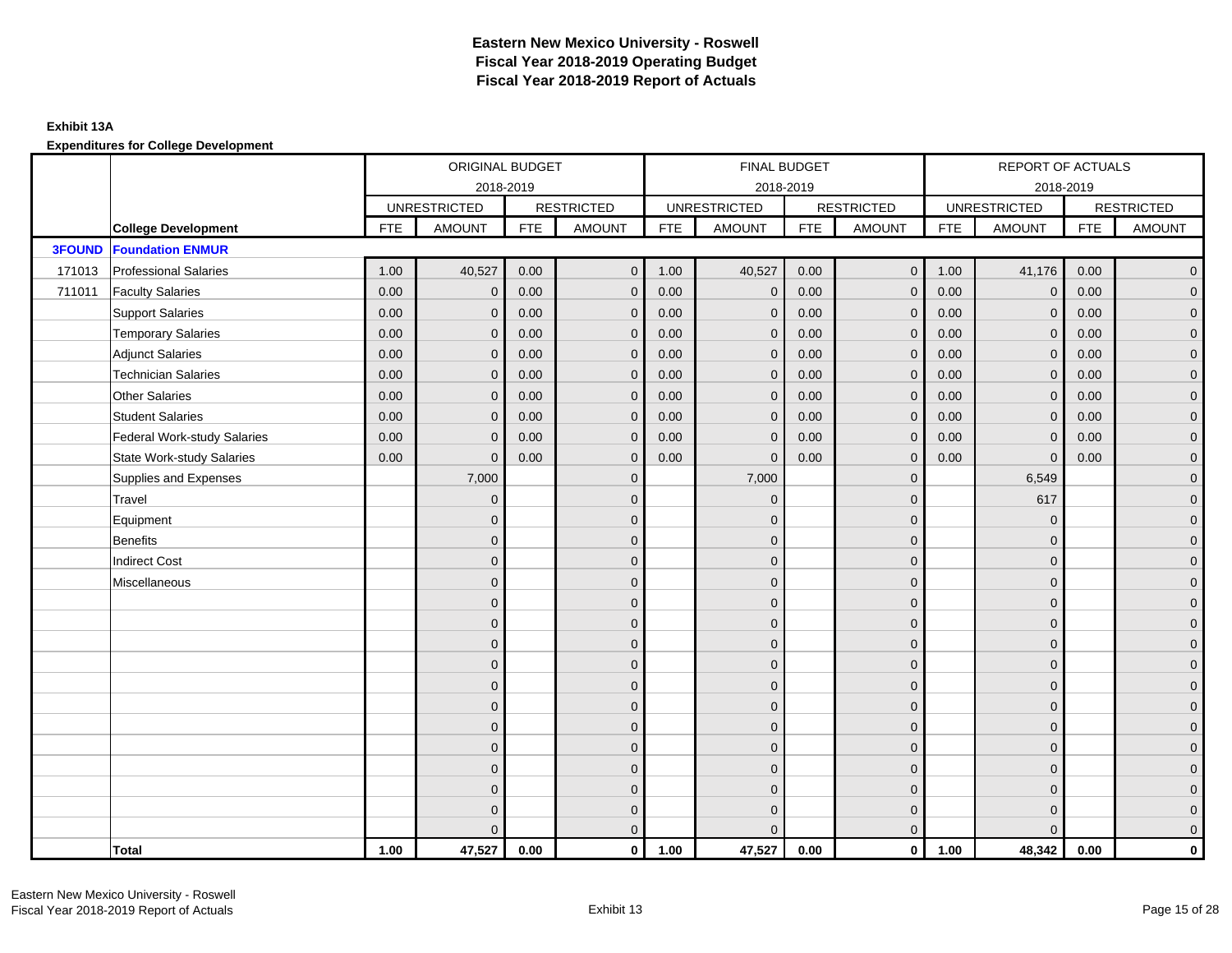|               |                                    |            | ORIGINAL BUDGET     |            |                   |            | FINAL BUDGET        |            |                   |            | <b>REPORT OF ACTUALS</b> |            |                     |
|---------------|------------------------------------|------------|---------------------|------------|-------------------|------------|---------------------|------------|-------------------|------------|--------------------------|------------|---------------------|
|               |                                    |            | 2018-2019           |            |                   |            | 2018-2019           |            |                   |            | 2018-2019                |            |                     |
|               |                                    |            | <b>UNRESTRICTED</b> |            | <b>RESTRICTED</b> |            | <b>UNRESTRICTED</b> |            | <b>RESTRICTED</b> |            | <b>UNRESTRICTED</b>      |            | <b>RESTRICTED</b>   |
|               | <b>College Development</b>         | <b>FTE</b> | <b>AMOUNT</b>       | <b>FTE</b> | <b>AMOUNT</b>     | <b>FTE</b> | <b>AMOUNT</b>       | <b>FTE</b> | <b>AMOUNT</b>     | <b>FTE</b> | <b>AMOUNT</b>            | <b>FTE</b> | <b>AMOUNT</b>       |
| <b>3FOUND</b> | <b>Foundation ENMUR</b>            |            |                     |            |                   |            |                     |            |                   |            |                          |            |                     |
| 171013        | <b>Professional Salaries</b>       | 1.00       | 40,527              | 0.00       | $\overline{0}$    | 1.00       | 40,527              | 0.00       | $\overline{0}$    | 1.00       | 41,176                   | 0.00       | $\overline{0}$      |
| 711011        | <b>Faculty Salaries</b>            | 0.00       | $\mathbf 0$         | 0.00       | $\mathbf{0}$      | 0.00       | $\mathbf 0$         | 0.00       | $\mathbf 0$       | 0.00       | $\mathbf 0$              | 0.00       | $\overline{0}$      |
|               | <b>Support Salaries</b>            | 0.00       | $\mathbf 0$         | 0.00       | $\mathbf 0$       | 0.00       | $\mathbf 0$         | 0.00       | $\mathbf{0}$      | 0.00       | $\mathbf 0$              | 0.00       | $\overline{0}$      |
|               | <b>Temporary Salaries</b>          | 0.00       | $\mathbf{0}$        | 0.00       | $\mathbf{0}$      | 0.00       | $\mathbf{0}$        | 0.00       | $\mathbf 0$       | 0.00       | $\mathbf 0$              | 0.00       | $\overline{0}$      |
|               | <b>Adjunct Salaries</b>            | 0.00       | $\Omega$            | 0.00       | $\Omega$          | 0.00       | $\mathbf{0}$        | 0.00       | $\mathbf{0}$      | 0.00       | $\Omega$                 | 0.00       | $\mathbf 0$         |
|               | <b>Technician Salaries</b>         | 0.00       | $\mathbf{0}$        | 0.00       | $\mathbf{0}$      | 0.00       | $\mathbf{0}$        | 0.00       | $\mathbf{0}$      | 0.00       | $\Omega$                 | 0.00       | $\mathbf 0$         |
|               | <b>Other Salaries</b>              | 0.00       | $\mathbf{0}$        | 0.00       | $\Omega$          | 0.00       | $\Omega$            | 0.00       | $\mathbf{0}$      | 0.00       | $\mathbf{0}$             | 0.00       | $\overline{0}$      |
|               | <b>Student Salaries</b>            | 0.00       | $\mathbf{0}$        | 0.00       | $\mathbf{0}$      | 0.00       | $\mathbf{0}$        | 0.00       | $\mathbf{0}$      | 0.00       | $\mathbf{0}$             | 0.00       | $\overline{0}$      |
|               | <b>Federal Work-study Salaries</b> | 0.00       | $\mathbf{0}$        | 0.00       | $\mathbf{0}$      | 0.00       | $\mathbf{0}$        | 0.00       | $\mathbf{0}$      | 0.00       | $\mathbf 0$              | 0.00       | $\overline{0}$      |
|               | <b>State Work-study Salaries</b>   | 0.00       | $\mathbf{0}$        | 0.00       | $\mathbf{0}$      | 0.00       | $\mathbf{0}$        | 0.00       | $\mathbf{0}$      | 0.00       | $\Omega$                 | 0.00       | $\overline{0}$      |
|               | Supplies and Expenses              |            | 7,000               |            | $\mathbf{0}$      |            | 7,000               |            | $\mathbf{0}$      |            | 6,549                    |            | $\overline{0}$      |
|               | Travel                             |            | $\mathbf{0}$        |            | $\mathbf{0}$      |            | $\Omega$            |            | $\mathbf{0}$      |            | 617                      |            | $\overline{0}$      |
|               | Equipment                          |            | $\mathbf{0}$        |            | $\mathbf 0$       |            | $\mathbf{0}$        |            | $\mathbf{0}$      |            | $\mathbf{0}$             |            | $\overline{0}$      |
|               | Benefits                           |            | $\Omega$            |            | $\mathbf{0}$      |            | $\Omega$            |            | $\mathbf{0}$      |            | $\mathbf{0}$             |            | $\overline{0}$      |
|               | <b>Indirect Cost</b>               |            | $\Omega$            |            | $\mathbf{0}$      |            | $\Omega$            |            | $\mathbf{0}$      |            | $\Omega$                 |            | $\mathbf 0$         |
|               | Miscellaneous                      |            | $\mathbf{0}$        |            | $\mathbf 0$       |            | $\mathbf{0}$        |            | $\mathbf 0$       |            | $\mathbf{0}$             |            | $\mathsf{O}\xspace$ |
|               |                                    |            | $\mathbf{0}$        |            | $\mathbf 0$       |            | $\mathbf{0}$        |            | $\mathbf 0$       |            | $\mathbf{0}$             |            | $\overline{0}$      |
|               |                                    |            | $\mathbf{0}$        |            | $\mathbf 0$       |            | $\Omega$            |            | $\mathbf{0}$      |            | $\Omega$                 |            | $\overline{0}$      |
|               |                                    |            | $\mathbf{0}$        |            | $\mathbf 0$       |            | $\Omega$            |            | $\mathbf 0$       |            | $\mathbf{0}$             |            | $\overline{0}$      |
|               |                                    |            | $\Omega$            |            | $\mathbf{0}$      |            | $\Omega$            |            | $\mathbf{0}$      |            | $\Omega$                 |            | $\mathbf 0$         |
|               |                                    |            | $\Omega$            |            | $\mathbf{0}$      |            | $\Omega$            |            | $\mathbf{0}$      |            | $\Omega$                 |            | $\mathbf 0$         |
|               |                                    |            | $\Omega$            |            | $\mathbf{0}$      |            | $\Omega$            |            | $\mathbf{0}$      |            | $\Omega$                 |            | $\overline{0}$      |
|               |                                    |            | $\mathbf{0}$        |            | $\mathbf 0$       |            | $\mathbf{0}$        |            | $\mathbf{0}$      |            | $\mathbf{0}$             |            | $\overline{0}$      |
|               |                                    |            | $\Omega$            |            | $\mathbf{0}$      |            | $\Omega$            |            | $\mathbf{0}$      |            | $\mathbf{0}$             |            | $\overline{0}$      |
|               |                                    |            | $\Omega$            |            | $\mathbf{0}$      |            | $\Omega$            |            | $\mathbf{0}$      |            | $\Omega$                 |            | $\mathbf 0$         |
|               |                                    |            | $\mathbf{0}$        |            | $\mathbf 0$       |            | $\overline{0}$      |            | $\mathbf 0$       |            | $\mathbf{0}$             |            | $\overline{0}$      |
|               |                                    |            | $\mathbf{0}$        |            | $\mathbf 0$       |            | $\Omega$            |            | $\mathbf 0$       |            | $\mathbf{0}$             |            | $\mathbf 0$         |
|               |                                    |            | $\Omega$            |            | $\mathbf{0}$      |            | $\Omega$            |            | $\mathbf{0}$      |            | $\Omega$                 |            | $\mathbf 0$         |
|               | Total                              | 1.00       | 47,527              | 0.00       | $\mathbf{0}$      | 1.00       | 47,527              | 0.00       | $\overline{0}$    | 1.00       | 48,342                   | 0.00       | $\mathbf{0}$        |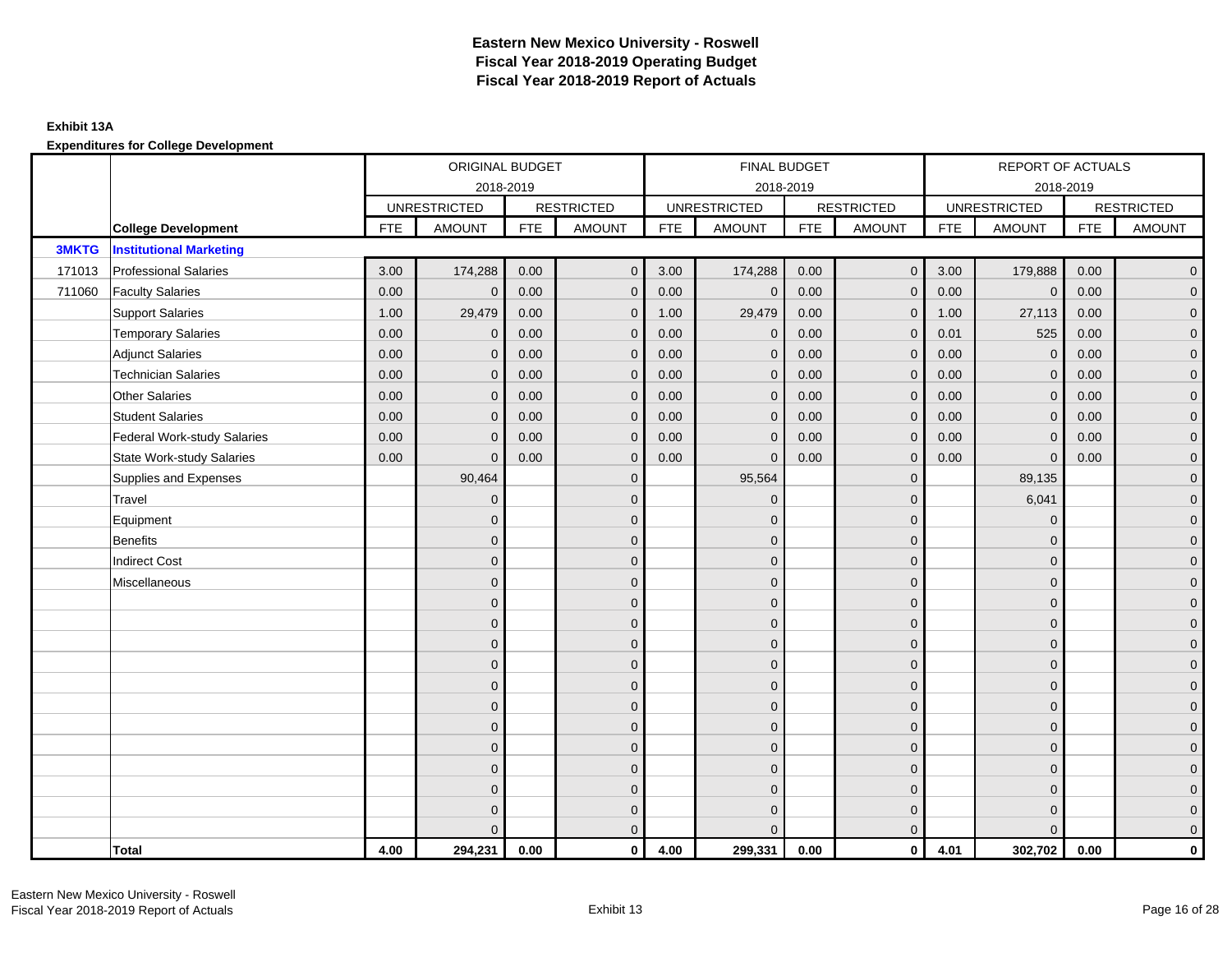|              |                                    |            | ORIGINAL BUDGET     |            |                   |            | FINAL BUDGET        |            |                   |            | REPORT OF ACTUALS   |            |                   |
|--------------|------------------------------------|------------|---------------------|------------|-------------------|------------|---------------------|------------|-------------------|------------|---------------------|------------|-------------------|
|              |                                    |            | 2018-2019           |            |                   |            | 2018-2019           |            |                   |            | 2018-2019           |            |                   |
|              |                                    |            | <b>UNRESTRICTED</b> |            | <b>RESTRICTED</b> |            | <b>UNRESTRICTED</b> |            | <b>RESTRICTED</b> |            | <b>UNRESTRICTED</b> |            | <b>RESTRICTED</b> |
|              | <b>College Development</b>         | <b>FTE</b> | <b>AMOUNT</b>       | <b>FTE</b> | <b>AMOUNT</b>     | <b>FTE</b> | <b>AMOUNT</b>       | <b>FTE</b> | <b>AMOUNT</b>     | <b>FTE</b> | <b>AMOUNT</b>       | <b>FTE</b> | <b>AMOUNT</b>     |
| <b>3MKTG</b> | <b>Institutional Marketing</b>     |            |                     |            |                   |            |                     |            |                   |            |                     |            |                   |
| 171013       | <b>Professional Salaries</b>       | 3.00       | 174,288             | 0.00       | $\mathbf{0}$      | 3.00       | 174,288             | 0.00       | $\overline{0}$    | 3.00       | 179,888             | 0.00       | $\overline{0}$    |
| 711060       | <b>Faculty Salaries</b>            | 0.00       | $\mathbf 0$         | 0.00       | $\mathbf{0}$      | 0.00       | $\mathbf{0}$        | 0.00       | $\mathbf{0}$      | 0.00       | $\mathbf 0$         | 0.00       | $\mathbf 0$       |
|              | <b>Support Salaries</b>            | 1.00       | 29,479              | 0.00       | $\mathbf{0}$      | 1.00       | 29,479              | 0.00       | $\mathbf 0$       | 1.00       | 27,113              | 0.00       | $\overline{0}$    |
|              | <b>Temporary Salaries</b>          | 0.00       | $\mathbf{0}$        | 0.00       | $\Omega$          | 0.00       | $\mathbf{0}$        | 0.00       | $\mathbf{0}$      | 0.01       | 525                 | 0.00       | $\overline{0}$    |
|              | <b>Adjunct Salaries</b>            | 0.00       | $\Omega$            | 0.00       | $\Omega$          | 0.00       | $\Omega$            | 0.00       | $\mathbf{0}$      | 0.00       | $\Omega$            | 0.00       | $\overline{0}$    |
|              | <b>Technician Salaries</b>         | 0.00       | $\mathbf{0}$        | 0.00       | $\Omega$          | 0.00       | $\mathbf{0}$        | 0.00       | $\mathbf{0}$      | 0.00       | $\Omega$            | 0.00       | $\mathbf 0$       |
|              | <b>Other Salaries</b>              | 0.00       | $\mathbf{0}$        | 0.00       | $\mathbf{0}$      | 0.00       | $\mathbf{0}$        | 0.00       | $\mathbf{0}$      | 0.00       | $\mathbf{0}$        | 0.00       | $\overline{0}$    |
|              | <b>Student Salaries</b>            | 0.00       | $\mathbf{0}$        | 0.00       | $\mathbf{0}$      | 0.00       | $\mathbf{0}$        | 0.00       | $\mathbf{0}$      | 0.00       | $\mathbf{0}$        | 0.00       | $\overline{0}$    |
|              | <b>Federal Work-study Salaries</b> | 0.00       | $\mathbf{0}$        | 0.00       | $\mathbf{0}$      | 0.00       | $\mathbf{0}$        | 0.00       | $\mathbf 0$       | 0.00       | $\Omega$            | 0.00       | $\overline{0}$    |
|              | <b>State Work-study Salaries</b>   | 0.00       | $\mathbf{0}$        | 0.00       | $\mathbf{0}$      | 0.00       | $\mathbf{0}$        | 0.00       | $\mathbf{0}$      | 0.00       | $\Omega$            | 0.00       | $\mathbf 0$       |
|              | Supplies and Expenses              |            | 90,464              |            | $\Omega$          |            | 95,564              |            | $\mathbf{0}$      |            | 89,135              |            | $\overline{0}$    |
|              | Travel                             |            | $\overline{0}$      |            | $\mathbf{0}$      |            | $\Omega$            |            | $\mathbf{0}$      |            | 6,041               |            | $\mathbf 0$       |
|              | Equipment                          |            | $\mathbf{0}$        |            | $\mathbf{0}$      |            | $\Omega$            |            | $\mathbf 0$       |            | $\mathbf{0}$        |            | $\overline{0}$    |
|              | <b>Benefits</b>                    |            | $\Omega$            |            | $\mathbf{0}$      |            | $\Omega$            |            | $\mathbf{0}$      |            | $\mathbf{0}$        |            | $\overline{0}$    |
|              | <b>Indirect Cost</b>               |            | $\Omega$            |            | $\Omega$          |            | $\Omega$            |            | $\mathbf{0}$      |            | $\Omega$            |            | $\overline{0}$    |
|              | Miscellaneous                      |            | $\mathbf{0}$        |            | $\mathbf{0}$      |            | $\mathbf{0}$        |            | $\mathbf 0$       |            | $\mathbf{0}$        |            | $\mathbf 0$       |
|              |                                    |            | $\overline{0}$      |            | $\mathbf{0}$      |            | $\Omega$            |            | $\mathbf{0}$      |            | $\Omega$            |            | $\overline{0}$    |
|              |                                    |            | $\mathbf{0}$        |            | $\mathbf{0}$      |            | $\Omega$            |            | $\mathbf 0$       |            | $\mathbf{0}$        |            | $\overline{0}$    |
|              |                                    |            | $\mathbf{0}$        |            | $\mathbf 0$       |            | $\Omega$            |            | $\mathbf 0$       |            | $\mathbf{0}$        |            | $\overline{0}$    |
|              |                                    |            | $\mathbf{0}$        |            | $\mathbf{0}$      |            | $\Omega$            |            | $\mathbf 0$       |            | $\mathbf{0}$        |            | $\mathbf 0$       |
|              |                                    |            | $\Omega$            |            | $\mathbf{0}$      |            | $\Omega$            |            | $\mathbf{0}$      |            | $\Omega$            |            | $\overline{0}$    |
|              |                                    |            | $\Omega$            |            | $\mathbf{0}$      |            | $\Omega$            |            | $\mathbf{0}$      |            | $\Omega$            |            | $\overline{0}$    |
|              |                                    |            | $\mathbf{0}$        |            | $\mathbf{0}$      |            | $\Omega$            |            | $\mathbf{0}$      |            | $\mathbf{0}$        |            | $\overline{0}$    |
|              |                                    |            | $\mathbf{0}$        |            | $\mathbf{0}$      |            | $\Omega$            |            | $\mathbf 0$       |            | $\mathbf{0}$        |            | $\overline{0}$    |
|              |                                    |            | $\Omega$            |            | $\mathbf{0}$      |            | $\Omega$            |            | $\mathbf{0}$      |            | $\Omega$            |            | $\overline{0}$    |
|              |                                    |            | $\Omega$            |            | $\mathbf 0$       |            | $\Omega$            |            | $\mathbf 0$       |            | $\mathbf{0}$        |            | $\overline{0}$    |
|              |                                    |            | $\mathbf{0}$        |            | $\mathbf 0$       |            | $\Omega$            |            | $\mathbf 0$       |            | $\mathbf{0}$        |            | $\overline{0}$    |
|              |                                    |            | $\Omega$            |            | $\mathbf{0}$      |            | $\Omega$            |            | $\mathbf{0}$      |            | $\Omega$            |            | $\mathbf 0$       |
|              | Total                              | 4.00       | 294,231             | 0.00       | $\mathbf{0}$      | 4.00       | 299,331             | 0.00       | $\mathbf 0$       | 4.01       | 302,702             | 0.00       | $\mathbf{0}$      |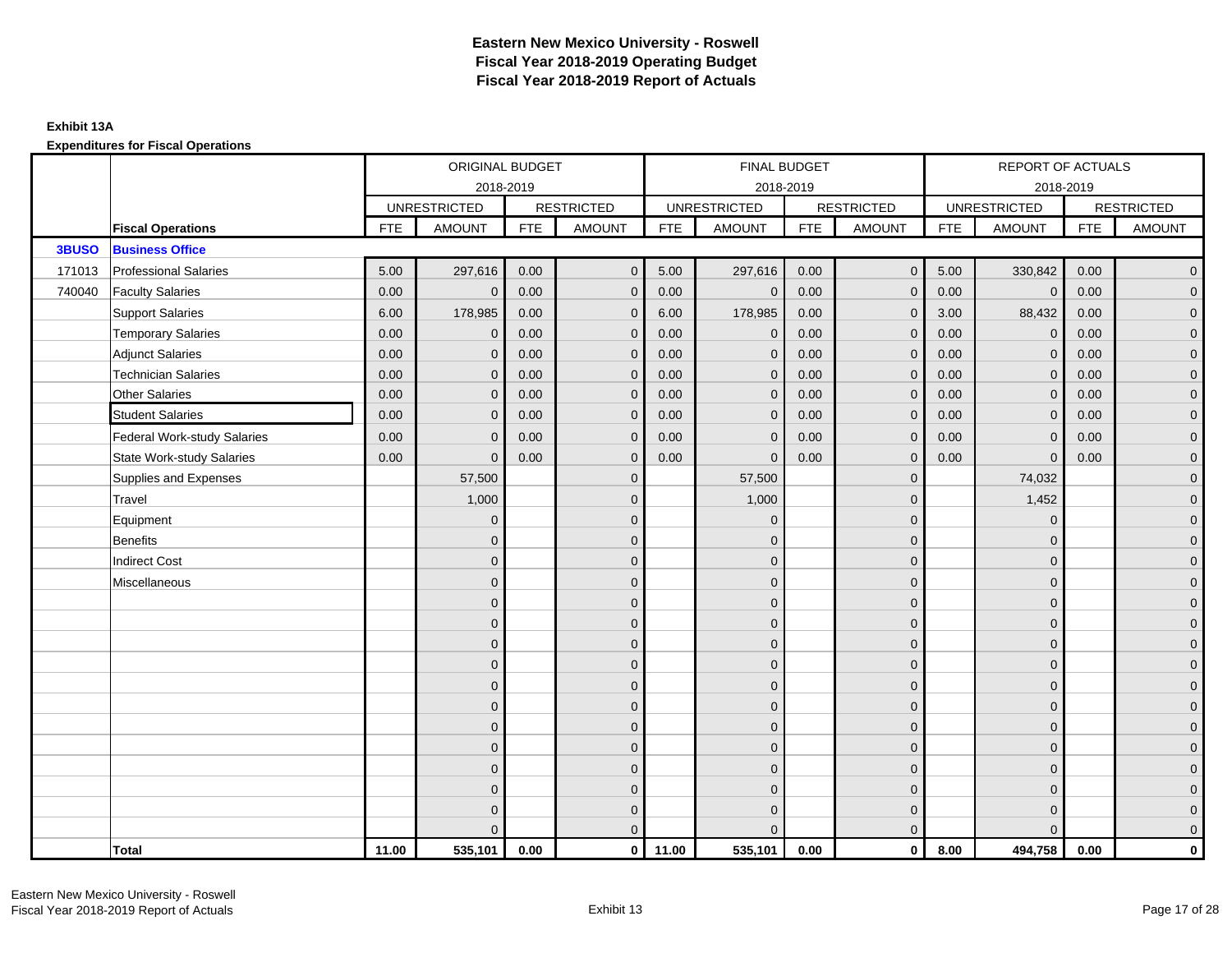**Expenditures for Fiscal Operations**

|        |                                    |            | ORIGINAL BUDGET     |            |                   |            | FINAL BUDGET        |            |                   |            | REPORT OF ACTUALS   |            |                     |
|--------|------------------------------------|------------|---------------------|------------|-------------------|------------|---------------------|------------|-------------------|------------|---------------------|------------|---------------------|
|        |                                    |            | 2018-2019           |            |                   |            | 2018-2019           |            |                   |            | 2018-2019           |            |                     |
|        |                                    |            | <b>UNRESTRICTED</b> |            | <b>RESTRICTED</b> |            | <b>UNRESTRICTED</b> |            | <b>RESTRICTED</b> |            | <b>UNRESTRICTED</b> |            | <b>RESTRICTED</b>   |
|        | <b>Fiscal Operations</b>           | <b>FTE</b> | <b>AMOUNT</b>       | <b>FTE</b> | <b>AMOUNT</b>     | <b>FTE</b> | <b>AMOUNT</b>       | <b>FTE</b> | <b>AMOUNT</b>     | <b>FTE</b> | <b>AMOUNT</b>       | <b>FTE</b> | <b>AMOUNT</b>       |
| 3BUSO  | <b>Business Office</b>             |            |                     |            |                   |            |                     |            |                   |            |                     |            |                     |
| 171013 | <b>Professional Salaries</b>       | 5.00       | 297,616             | 0.00       | $\mathbf{0}$      | 5.00       | 297,616             | 0.00       | $\overline{0}$    | 5.00       | 330,842             | 0.00       | $\overline{0}$      |
| 740040 | <b>Faculty Salaries</b>            | 0.00       | $\mathbf 0$         | 0.00       | $\mathbf{0}$      | 0.00       | $\mathbf 0$         | 0.00       | $\mathbf{0}$      | 0.00       | $\mathbf 0$         | 0.00       | $\overline{0}$      |
|        | <b>Support Salaries</b>            | 6.00       | 178,985             | 0.00       | $\mathbf 0$       | 6.00       | 178,985             | 0.00       | $\mathbf 0$       | 3.00       | 88,432              | 0.00       | $\overline{0}$      |
|        | <b>Temporary Salaries</b>          | 0.00       | $\mathbf 0$         | 0.00       | $\mathbf 0$       | 0.00       | $\mathbf 0$         | 0.00       | $\mathbf{0}$      | 0.00       | $\mathbf 0$         | 0.00       | $\overline{0}$      |
|        | <b>Adjunct Salaries</b>            | 0.00       | $\mathbf{0}$        | 0.00       | $\mathbf{0}$      | 0.00       | $\Omega$            | 0.00       | $\mathbf{0}$      | 0.00       | $\mathbf{0}$        | 0.00       | $\overline{0}$      |
|        | <b>Technician Salaries</b>         | 0.00       | $\mathbf{0}$        | 0.00       | $\mathbf 0$       | 0.00       | $\mathbf{0}$        | 0.00       | $\mathbf{0}$      | 0.00       | $\mathbf{0}$        | 0.00       | $\mathbf{0}$        |
|        | Other Salaries                     | 0.00       | $\mathbf{0}$        | 0.00       | $\Omega$          | 0.00       | $\mathbf{0}$        | 0.00       | $\mathbf{0}$      | 0.00       | $\mathbf{0}$        | 0.00       | $\mathbf{0}$        |
|        | <b>Student Salaries</b>            | 0.00       | $\mathbf{0}$        | 0.00       | $\mathbf{0}$      | 0.00       | $\mathbf{0}$        | 0.00       | $\mathbf{0}$      | 0.00       | $\mathbf{0}$        | 0.00       | $\overline{0}$      |
|        | <b>Federal Work-study Salaries</b> | 0.00       | $\mathbf{0}$        | 0.00       | $\mathbf 0$       | 0.00       | $\mathbf{0}$        | 0.00       | $\mathbf 0$       | 0.00       | $\mathbf 0$         | 0.00       | $\overline{0}$      |
|        | <b>State Work-study Salaries</b>   | 0.00       | $\mathbf{0}$        | 0.00       | $\mathbf{0}$      | 0.00       | $\mathbf{0}$        | 0.00       | $\mathbf{0}$      | 0.00       | $\mathbf{0}$        | 0.00       | $\mathbf{0}$        |
|        | Supplies and Expenses              |            | 57,500              |            | $\mathbf 0$       |            | 57,500              |            | $\mathbf 0$       |            | 74,032              |            | $\mathsf{O}\xspace$ |
|        | Travel                             |            | 1,000               |            | $\mathbf{0}$      |            | 1,000               |            | $\mathbf{0}$      |            | 1,452               |            | $\overline{0}$      |
|        | Equipment                          |            | $\mathbf 0$         |            | $\mathbf 0$       |            | $\mathbf 0$         |            | $\mathbf 0$       |            | $\mathbf 0$         |            | $\overline{0}$      |
|        | <b>Benefits</b>                    |            | $\Omega$            |            | $\mathbf{0}$      |            | $\Omega$            |            | $\mathbf 0$       |            | $\mathbf 0$         |            | $\overline{0}$      |
|        | <b>Indirect Cost</b>               |            | $\mathbf{0}$        |            | $\mathbf{0}$      |            | $\Omega$            |            | $\mathbf{0}$      |            | $\Omega$            |            | $\overline{0}$      |
|        | Miscellaneous                      |            | $\overline{0}$      |            | $\mathbf 0$       |            | $\mathbf{0}$        |            | $\mathbf 0$       |            | $\mathbf 0$         |            | $\mathsf{O}\xspace$ |
|        |                                    |            | $\overline{0}$      |            | $\mathbf 0$       |            | $\mathbf{0}$        |            | $\mathbf 0$       |            | $\mathbf{0}$        |            | $\overline{0}$      |
|        |                                    |            | $\overline{0}$      |            | $\mathbf 0$       |            | $\mathbf{0}$        |            | $\mathbf 0$       |            | $\mathbf{0}$        |            | $\overline{0}$      |
|        |                                    |            | $\mathbf{0}$        |            | $\mathbf 0$       |            | $\mathbf{0}$        |            | $\mathbf 0$       |            | $\mathbf{0}$        |            | $\overline{0}$      |
|        |                                    |            | $\mathbf{0}$        |            | $\mathbf{0}$      |            | $\Omega$            |            | $\mathbf 0$       |            | $\mathbf 0$         |            | $\mathbf{0}$        |
|        |                                    |            | $\Omega$            |            | $\mathbf{0}$      |            | $\mathbf{0}$        |            | $\mathbf 0$       |            | $\mathbf 0$         |            | $\mathsf{O}\xspace$ |
|        |                                    |            | $\overline{0}$      |            | $\mathbf{0}$      |            | $\Omega$            |            | $\mathbf{0}$      |            | $\Omega$            |            | $\overline{0}$      |
|        |                                    |            | $\overline{0}$      |            | $\mathbf 0$       |            | $\mathbf{0}$        |            | $\mathbf 0$       |            | $\mathbf 0$         |            | $\overline{0}$      |
|        |                                    |            | $\mathbf{0}$        |            | $\mathbf{0}$      |            | $\Omega$            |            | $\mathbf 0$       |            | $\mathbf{0}$        |            | $\overline{0}$      |
|        |                                    |            | $\mathbf{0}$        |            | $\mathbf{0}$      |            | $\Omega$            |            | $\mathbf{0}$      |            | $\mathbf{0}$        |            | $\overline{0}$      |
|        |                                    |            | $\mathbf{0}$        |            | $\mathbf 0$       |            | $\mathbf{0}$        |            | $\mathbf{0}$      |            | $\mathbf 0$         |            | $\pmb{0}$           |
|        |                                    |            | $\overline{0}$      |            | $\mathbf 0$       |            | $\mathbf{0}$        |            | $\mathbf 0$       |            | $\mathbf{0}$        |            | $\mathbf{0}$        |
|        |                                    |            | $\Omega$            |            | $\mathbf{0}$      |            | $\Omega$            |            | $\overline{0}$    |            | $\Omega$            |            | $\overline{0}$      |
|        | <b>Total</b>                       | 11.00      | 535,101             | 0.00       | $\mathbf 0$       | 11.00      | 535,101             | 0.00       | $\overline{0}$    | 8.00       | 494,758             | 0.00       | $\mathbf{0}$        |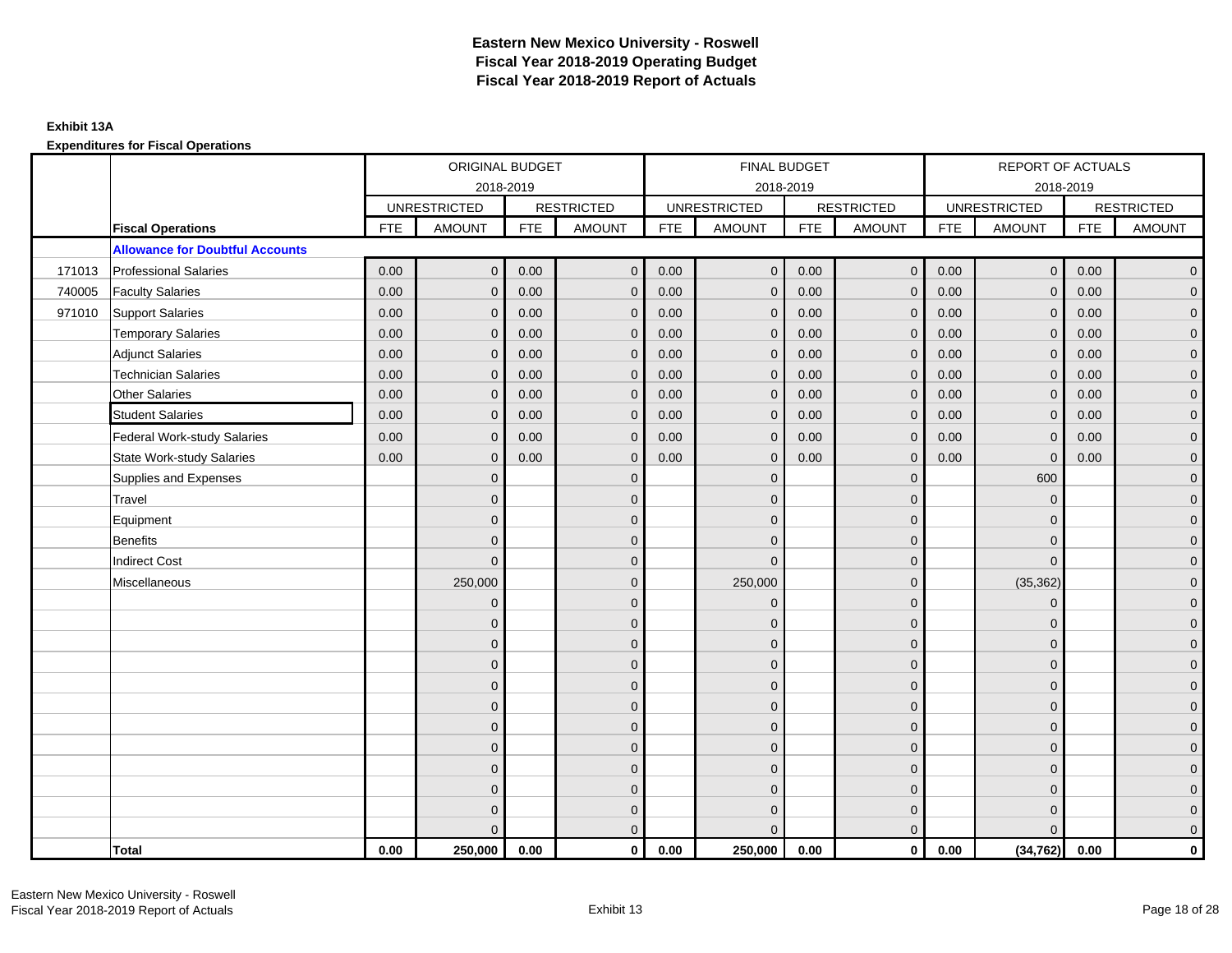**Expenditures for Fiscal Operations**

|        |                                        |            | ORIGINAL BUDGET     |            |                   |            | FINAL BUDGET        |            |                   |            | REPORT OF ACTUALS   |            |                     |
|--------|----------------------------------------|------------|---------------------|------------|-------------------|------------|---------------------|------------|-------------------|------------|---------------------|------------|---------------------|
|        |                                        |            |                     | 2018-2019  |                   |            | 2018-2019           |            |                   |            | 2018-2019           |            |                     |
|        |                                        |            | <b>UNRESTRICTED</b> |            | <b>RESTRICTED</b> |            | <b>UNRESTRICTED</b> |            | <b>RESTRICTED</b> |            | <b>UNRESTRICTED</b> |            | <b>RESTRICTED</b>   |
|        | <b>Fiscal Operations</b>               | <b>FTE</b> | <b>AMOUNT</b>       | <b>FTE</b> | <b>AMOUNT</b>     | <b>FTE</b> | <b>AMOUNT</b>       | <b>FTE</b> | <b>AMOUNT</b>     | <b>FTE</b> | <b>AMOUNT</b>       | <b>FTE</b> | <b>AMOUNT</b>       |
|        | <b>Allowance for Doubtful Accounts</b> |            |                     |            |                   |            |                     |            |                   |            |                     |            |                     |
| 171013 | <b>Professional Salaries</b>           | 0.00       | $\mathbf{0}$        | 0.00       | $\mathbf{0}$      | 0.00       | $\mathbf{0}$        | 0.00       | $\overline{0}$    | 0.00       | $\overline{0}$      | 0.00       | $\overline{0}$      |
| 740005 | <b>Faculty Salaries</b>                | 0.00       | $\mathbf{0}$        | 0.00       | $\mathbf{0}$      | 0.00       | $\mathbf{0}$        | 0.00       | $\mathbf{0}$      | 0.00       | $\mathbf{0}$        | 0.00       | $\overline{0}$      |
| 971010 | Support Salaries                       | 0.00       | $\mathbf{0}$        | 0.00       | $\mathbf{0}$      | 0.00       | $\overline{0}$      | 0.00       | $\mathbf 0$       | 0.00       | $\overline{0}$      | 0.00       | $\overline{0}$      |
|        | <b>Temporary Salaries</b>              | 0.00       | $\mathbf 0$         | 0.00       | $\mathbf 0$       | 0.00       | $\mathbf 0$         | 0.00       | $\mathbf 0$       | 0.00       | $\overline{0}$      | 0.00       | $\mathbf{0}$        |
|        | <b>Adjunct Salaries</b>                | 0.00       | $\mathbf{0}$        | 0.00       | $\mathbf{0}$      | 0.00       | $\mathbf{0}$        | 0.00       | $\mathbf{0}$      | 0.00       | $\mathbf{0}$        | 0.00       | $\overline{0}$      |
|        | <b>Technician Salaries</b>             | 0.00       | $\Omega$            | 0.00       | $\Omega$          | 0.00       | $\mathbf{0}$        | 0.00       | $\mathbf{0}$      | 0.00       | $\mathbf{0}$        | 0.00       | $\mathbf 0$         |
|        | Other Salaries                         | 0.00       | $\Omega$            | 0.00       | $\Omega$          | 0.00       | $\Omega$            | 0.00       | $\Omega$          | 0.00       | $\mathbf{0}$        | 0.00       | $\mathbf{0}$        |
|        | <b>Student Salaries</b>                | 0.00       | $\mathbf 0$         | 0.00       | $\mathbf 0$       | 0.00       | $\mathbf{0}$        | 0.00       | $\mathbf 0$       | 0.00       | $\mathbf 0$         | 0.00       | $\mathbf{0}$        |
|        | <b>Federal Work-study Salaries</b>     | 0.00       | $\mathbf 0$         | 0.00       | $\mathbf 0$       | 0.00       | $\mathbf{0}$        | 0.00       | $\overline{0}$    | 0.00       | $\mathbf 0$         | 0.00       | $\overline{0}$      |
|        | <b>State Work-study Salaries</b>       | 0.00       | $\mathbf{0}$        | 0.00       | $\mathbf{0}$      | 0.00       | $\mathbf{0}$        | 0.00       | $\mathbf{0}$      | 0.00       | $\mathbf 0$         | 0.00       | $\overline{0}$      |
|        | Supplies and Expenses                  |            | $\Omega$            |            | $\Omega$          |            | $\Omega$            |            | $\overline{0}$    |            | 600                 |            | $\mathsf{O}\xspace$ |
|        | Travel                                 |            | $\Omega$            |            | $\mathbf{0}$      |            | $\Omega$            |            | $\mathbf{0}$      |            | $\mathbf 0$         |            | $\overline{0}$      |
|        | Equipment                              |            | $\mathbf{0}$        |            | $\mathbf 0$       |            | $\mathbf{0}$        |            | $\mathbf 0$       |            | $\mathbf{0}$        |            | $\overline{0}$      |
|        | <b>Benefits</b>                        |            | $\mathbf{0}$        |            | $\mathbf{0}$      |            | $\Omega$            |            | $\mathbf 0$       |            | $\mathbf 0$         |            | $\overline{0}$      |
|        | <b>Indirect Cost</b>                   |            | $\Omega$            |            | $\mathbf{0}$      |            | $\Omega$            |            | $\mathbf{0}$      |            | $\Omega$            |            | $\overline{0}$      |
|        | Miscellaneous                          |            | 250,000             |            | $\mathbf{0}$      |            | 250,000             |            | $\mathbf{0}$      |            | (35, 362)           |            | $\overline{0}$      |
|        |                                        |            | $\mathbf 0$         |            | $\mathbf 0$       |            | $\mathbf{0}$        |            | $\mathbf 0$       |            | $\mathbf 0$         |            | $\mathbf{0}$        |
|        |                                        |            | $\Omega$            |            | $\mathbf 0$       |            | $\mathbf{0}$        |            | $\mathbf 0$       |            | $\mathbf{0}$        |            | $\overline{0}$      |
|        |                                        |            | $\Omega$            |            | $\mathbf{0}$      |            | $\Omega$            |            | $\mathbf 0$       |            | $\mathbf{0}$        |            | $\overline{0}$      |
|        |                                        |            | $\Omega$            |            | $\mathbf{0}$      |            | $\Omega$            |            | $\mathbf{0}$      |            | $\Omega$            |            | $\overline{0}$      |
|        |                                        |            | $\mathbf{0}$        |            | $\mathbf 0$       |            | $\mathbf{0}$        |            | $\mathbf 0$       |            | $\mathbf 0$         |            | $\mathsf{O}\xspace$ |
|        |                                        |            | $\mathbf{0}$        |            | $\mathbf 0$       |            | $\mathbf{0}$        |            | $\mathbf 0$       |            | $\mathbf{0}$        |            | $\mathbf{0}$        |
|        |                                        |            | $\Omega$            |            | $\mathbf{0}$      |            | $\mathbf{0}$        |            | $\mathbf 0$       |            | $\mathbf{0}$        |            | $\overline{0}$      |
|        |                                        |            | $\Omega$            |            | $\mathbf{0}$      |            | $\Omega$            |            | $\mathbf{0}$      |            | $\mathbf 0$         |            | $\overline{0}$      |
|        |                                        |            | $\mathbf{0}$        |            | $\mathbf 0$       |            | $\mathbf{0}$        |            | $\mathbf 0$       |            | $\mathbf 0$         |            | $\mathbf{0}$        |
|        |                                        |            | $\mathbf{0}$        |            | $\mathbf 0$       |            | $\Omega$            |            | $\mathbf 0$       |            | $\mathbf 0$         |            | $\mathbf{0}$        |
|        |                                        |            | 0                   |            | $\mathbf 0$       |            | $\Omega$            |            | $\mathbf 0$       |            | $\mathbf 0$         |            | $\mathbf{0}$        |
|        |                                        |            | $\Omega$            |            | $\mathbf{0}$      |            | $\Omega$            |            | $\overline{0}$    |            | $\Omega$            |            | $\overline{0}$      |
|        | <b>Total</b>                           | 0.00       | 250,000             | 0.00       | $\mathbf{0}$      | 0.00       | 250,000             | 0.00       | $\mathbf{0}$      | 0.00       | (34, 762)           | 0.00       | $\mathbf 0$         |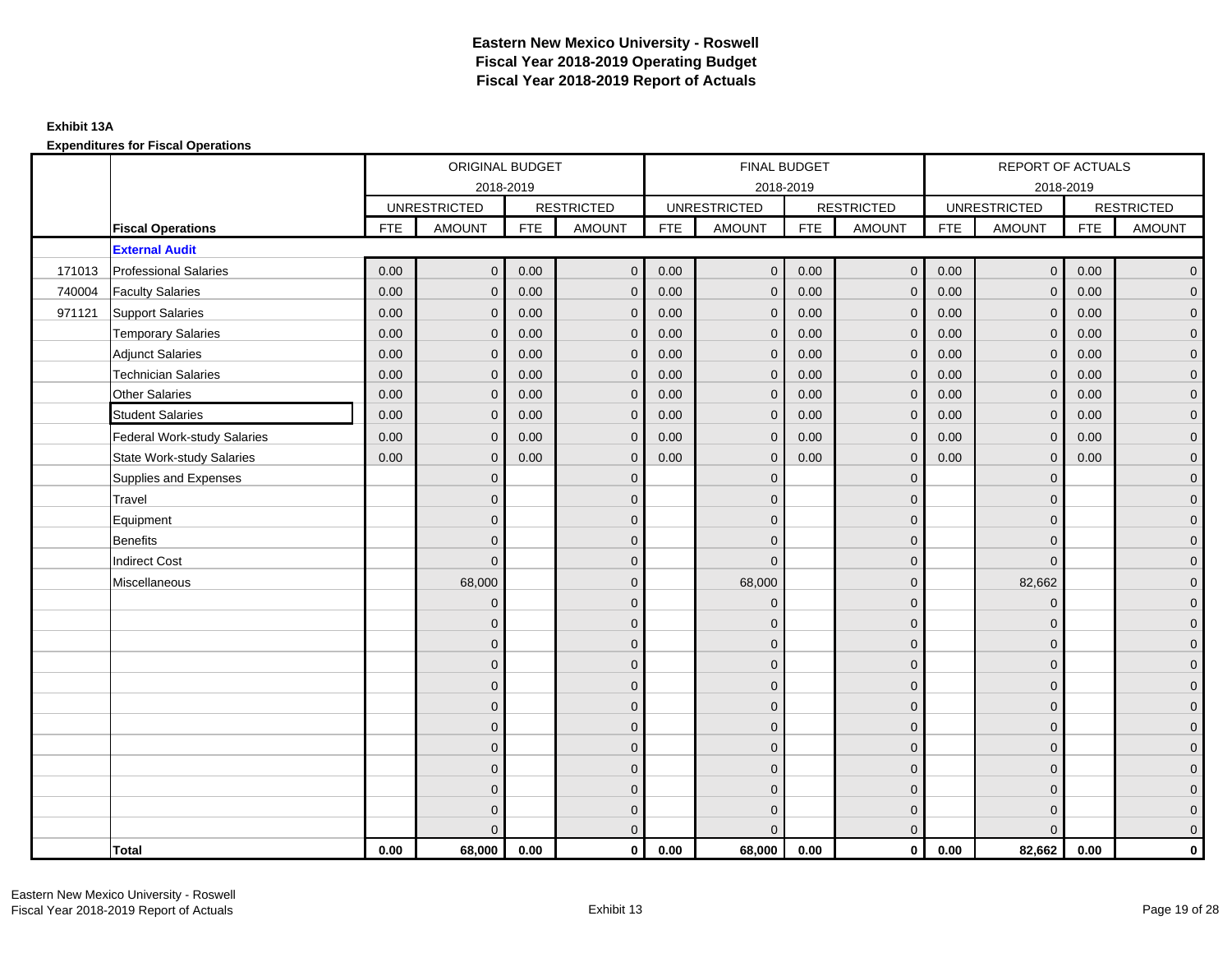**Expenditures for Fiscal Operations**

|        |                                    |            | ORIGINAL BUDGET     |            |                   |            | FINAL BUDGET        |            |                   |            | <b>REPORT OF ACTUALS</b> |            |                   |
|--------|------------------------------------|------------|---------------------|------------|-------------------|------------|---------------------|------------|-------------------|------------|--------------------------|------------|-------------------|
|        |                                    |            |                     | 2018-2019  |                   |            | 2018-2019           |            |                   |            | 2018-2019                |            |                   |
|        |                                    |            | <b>UNRESTRICTED</b> |            | <b>RESTRICTED</b> |            | <b>UNRESTRICTED</b> |            | <b>RESTRICTED</b> |            | <b>UNRESTRICTED</b>      |            | <b>RESTRICTED</b> |
|        | <b>Fiscal Operations</b>           | <b>FTE</b> | <b>AMOUNT</b>       | <b>FTE</b> | <b>AMOUNT</b>     | <b>FTE</b> | <b>AMOUNT</b>       | <b>FTE</b> | <b>AMOUNT</b>     | <b>FTE</b> | <b>AMOUNT</b>            | <b>FTE</b> | <b>AMOUNT</b>     |
|        | <b>External Audit</b>              |            |                     |            |                   |            |                     |            |                   |            |                          |            |                   |
| 171013 | <b>Professional Salaries</b>       | 0.00       | $\mathbf{0}$        | 0.00       | $\overline{0}$    | 0.00       | $\mathbf{0}$        | 0.00       | $\mathbf{0}$      | 0.00       | $\overline{0}$           | 0.00       | $\overline{0}$    |
| 740004 | <b>Faculty Salaries</b>            | 0.00       | $\mathbf{0}$        | 0.00       | $\mathbf{0}$      | 0.00       | $\mathbf{0}$        | 0.00       | $\mathbf{0}$      | 0.00       | $\mathbf{0}$             | 0.00       | $\overline{0}$    |
| 971121 | <b>Support Salaries</b>            | 0.00       | $\mathbf 0$         | 0.00       | $\mathbf 0$       | 0.00       | $\mathbf{0}$        | 0.00       | $\mathbf{0}$      | 0.00       | $\mathbf{0}$             | 0.00       | $\overline{0}$    |
|        | <b>Temporary Salaries</b>          | 0.00       | $\mathbf{0}$        | 0.00       | $\mathbf{0}$      | 0.00       | $\mathbf{0}$        | 0.00       | $\mathbf{0}$      | 0.00       | $\mathbf{0}$             | 0.00       | $\overline{0}$    |
|        | <b>Adjunct Salaries</b>            | 0.00       | $\mathbf 0$         | 0.00       | $\mathbf 0$       | 0.00       | $\mathbf{0}$        | 0.00       | $\mathbf{0}$      | 0.00       | $\mathbf 0$              | 0.00       | $\overline{0}$    |
|        | <b>Technician Salaries</b>         | 0.00       | $\mathbf{0}$        | 0.00       | $\mathbf{0}$      | 0.00       | $\Omega$            | 0.00       | $\mathbf{0}$      | 0.00       | $\mathbf{0}$             | 0.00       | $\overline{0}$    |
|        | <b>Other Salaries</b>              | 0.00       | $\Omega$            | 0.00       | $\mathbf{0}$      | 0.00       | $\Omega$            | 0.00       | $\mathbf{0}$      | 0.00       | $\mathbf 0$              | 0.00       | $\mathbf 0$       |
|        | <b>Student Salaries</b>            | 0.00       | $\mathbf{0}$        | 0.00       | $\mathbf 0$       | 0.00       | $\mathbf{0}$        | 0.00       | $\mathbf{0}$      | 0.00       | $\Omega$                 | 0.00       | $\overline{0}$    |
|        | <b>Federal Work-study Salaries</b> | 0.00       | $\mathbf{0}$        | 0.00       | $\mathbf{0}$      | 0.00       | $\Omega$            | 0.00       | $\mathbf{0}$      | 0.00       | $\mathbf{0}$             | 0.00       | $\overline{0}$    |
|        | <b>State Work-study Salaries</b>   | 0.00       | $\mathbf 0$         | 0.00       | $\mathbf 0$       | 0.00       | $\mathbf{0}$        | 0.00       | $\mathbf 0$       | 0.00       | $\mathbf 0$              | 0.00       | $\mathbf 0$       |
|        | Supplies and Expenses              |            | $\Omega$            |            | $\mathbf 0$       |            | $\mathbf{0}$        |            | $\mathbf{0}$      |            | $\mathbf 0$              |            | $\overline{0}$    |
|        | Travel                             |            | $\Omega$            |            | $\mathbf 0$       |            | $\mathbf{0}$        |            | $\mathbf{0}$      |            | $\Omega$                 |            | $\overline{0}$    |
|        | Equipment                          |            | $\Omega$            |            | $\mathbf 0$       |            | $\Omega$            |            | $\mathbf 0$       |            | $\mathbf{0}$             |            | $\overline{0}$    |
|        | <b>Benefits</b>                    |            | $\Omega$            |            | $\mathbf{0}$      |            | $\Omega$            |            | $\mathbf{0}$      |            | $\Omega$                 |            | $\mathbf 0$       |
|        | <b>Indirect Cost</b>               |            | $\mathbf{0}$        |            | $\mathbf 0$       |            | $\Omega$            |            | $\mathbf{0}$      |            | $\mathbf 0$              |            | $\pmb{0}$         |
|        | Miscellaneous                      |            | 68,000              |            | $\mathbf 0$       |            | 68,000              |            | $\mathbf 0$       |            | 82,662                   |            | $\pmb{0}$         |
|        |                                    |            | $\mathbf{0}$        |            | $\mathbf 0$       |            | $\mathbf{0}$        |            | $\mathbf 0$       |            | $\mathbf{0}$             |            | $\overline{0}$    |
|        |                                    |            | $\Omega$            |            | $\mathbf 0$       |            | $\Omega$            |            | $\mathbf 0$       |            | $\mathbf{0}$             |            | $\overline{0}$    |
|        |                                    |            | $\Omega$            |            | $\mathbf 0$       |            | $\Omega$            |            | $\Omega$          |            | $\Omega$                 |            | $\overline{0}$    |
|        |                                    |            | $\Omega$            |            | $\mathbf 0$       |            | $\Omega$            |            | $\mathbf{0}$      |            | $\mathbf 0$              |            | $\overline{0}$    |
|        |                                    |            | $\Omega$            |            | $\mathbf 0$       |            | $\Omega$            |            | $\mathbf{0}$      |            | $\mathbf 0$              |            | $\overline{0}$    |
|        |                                    |            | $\mathbf{0}$        |            | $\mathbf 0$       |            | $\Omega$            |            | $\mathbf{0}$      |            | $\mathbf{0}$             |            | $\overline{0}$    |
|        |                                    |            | $\Omega$            |            | $\mathbf 0$       |            | $\Omega$            |            | $\mathbf{0}$      |            | $\mathbf{0}$             |            | $\overline{0}$    |
|        |                                    |            | $\Omega$            |            | $\mathbf{0}$      |            | $\Omega$            |            | $\mathbf{0}$      |            | $\Omega$                 |            | $\overline{0}$    |
|        |                                    |            | $\Omega$            |            | $\mathbf 0$       |            | $\Omega$            |            | $\mathbf 0$       |            | $\mathbf{0}$             |            | $\mathbf 0$       |
|        |                                    |            | $\Omega$            |            | $\mathbf 0$       |            | $\Omega$            |            | $\mathbf 0$       |            | $\mathbf{0}$             |            | $\overline{0}$    |
|        |                                    |            | $\Omega$            |            | $\mathbf 0$       |            | $\Omega$            |            | $\mathbf{0}$      |            | $\mathbf 0$              |            | $\overline{0}$    |
|        |                                    |            | $\Omega$            |            | $\mathbf{0}$      |            |                     |            | $\Omega$          |            | $\Omega$                 |            | $\overline{0}$    |
|        | <b>Total</b>                       | 0.00       | 68,000              | 0.00       | $\mathbf{0}$      | 0.00       | 68,000              | 0.00       | $\mathbf{0}$      | 0.00       | 82,662                   | 0.00       | $\mathbf 0$       |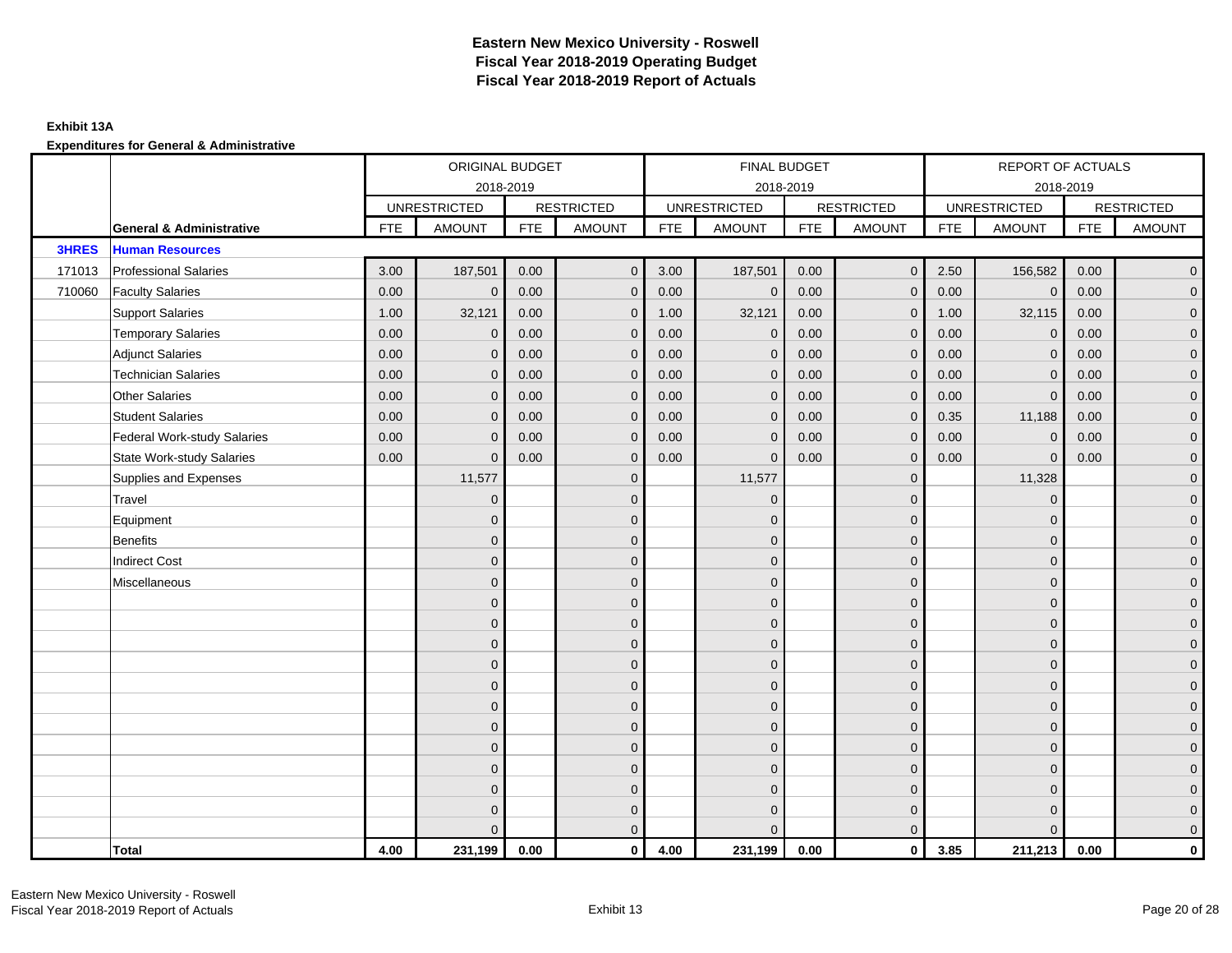## **Exhibit 13A**

|              |                                     |      | ORIGINAL BUDGET     |            |                   |            | FINAL BUDGET        |            |                   |            | REPORT OF ACTUALS   |            |                     |
|--------------|-------------------------------------|------|---------------------|------------|-------------------|------------|---------------------|------------|-------------------|------------|---------------------|------------|---------------------|
|              |                                     |      | 2018-2019           |            |                   |            | 2018-2019           |            |                   |            | 2018-2019           |            |                     |
|              |                                     |      | <b>UNRESTRICTED</b> |            | <b>RESTRICTED</b> |            | <b>UNRESTRICTED</b> |            | <b>RESTRICTED</b> |            | <b>UNRESTRICTED</b> |            | <b>RESTRICTED</b>   |
|              | <b>General &amp; Administrative</b> | FTE  | <b>AMOUNT</b>       | <b>FTE</b> | <b>AMOUNT</b>     | <b>FTE</b> | <b>AMOUNT</b>       | <b>FTE</b> | <b>AMOUNT</b>     | <b>FTE</b> | <b>AMOUNT</b>       | <b>FTE</b> | <b>AMOUNT</b>       |
| <b>3HRES</b> | <b>Human Resources</b>              |      |                     |            |                   |            |                     |            |                   |            |                     |            |                     |
| 171013       | <b>Professional Salaries</b>        | 3.00 | 187,501             | 0.00       | $\overline{0}$    | 3.00       | 187,501             | 0.00       | $\overline{0}$    | 2.50       | 156,582             | 0.00       | $\overline{0}$      |
| 710060       | <b>Faculty Salaries</b>             | 0.00 | $\mathbf{0}$        | 0.00       | $\Omega$          | 0.00       | $\mathbf{0}$        | 0.00       | $\mathbf{0}$      | 0.00       | $\mathbf 0$         | 0.00       | $\overline{0}$      |
|              | <b>Support Salaries</b>             | 1.00 | 32,121              | 0.00       | $\mathbf{0}$      | 1.00       | 32,121              | 0.00       | $\mathbf{0}$      | 1.00       | 32,115              | 0.00       | $\overline{0}$      |
|              | <b>Temporary Salaries</b>           | 0.00 | $\mathbf 0$         | 0.00       | $\mathbf{0}$      | 0.00       | $\mathbf 0$         | 0.00       | $\mathbf 0$       | 0.00       | $\mathbf 0$         | 0.00       | $\mathbf{0}$        |
|              | <b>Adjunct Salaries</b>             | 0.00 | $\mathbf{0}$        | 0.00       | $\mathbf{0}$      | 0.00       | $\mathbf{0}$        | 0.00       | $\mathbf{0}$      | 0.00       | $\mathbf 0$         | 0.00       | $\mathbf{0}$        |
|              | <b>Technician Salaries</b>          | 0.00 | $\mathbf{0}$        | 0.00       | $\mathbf{0}$      | 0.00       | $\mathbf{0}$        | 0.00       | $\mathbf{0}$      | 0.00       | $\Omega$            | 0.00       | $\mathbf{0}$        |
|              | <b>Other Salaries</b>               | 0.00 | $\mathbf{0}$        | 0.00       | $\Omega$          | 0.00       | $\Omega$            | 0.00       | $\mathbf{0}$      | 0.00       | $\mathbf{0}$        | 0.00       | $\overline{0}$      |
|              | <b>Student Salaries</b>             | 0.00 | $\mathbf 0$         | 0.00       | $\mathbf{0}$      | 0.00       | $\mathbf{0}$        | 0.00       | $\mathbf 0$       | 0.35       | 11,188              | 0.00       | $\overline{0}$      |
|              | <b>Federal Work-study Salaries</b>  | 0.00 | $\mathbf{0}$        | 0.00       | $\mathbf{0}$      | 0.00       | $\mathbf{0}$        | 0.00       | $\mathbf 0$       | 0.00       | $\mathbf 0$         | 0.00       | $\overline{0}$      |
|              | <b>State Work-study Salaries</b>    | 0.00 | $\mathbf{0}$        | 0.00       | $\mathbf{0}$      | 0.00       | $\mathbf{0}$        | 0.00       | $\mathbf{0}$      | 0.00       | $\mathbf 0$         | 0.00       | $\overline{0}$      |
|              | Supplies and Expenses               |      | 11,577              |            | $\mathbf{0}$      |            | 11,577              |            | $\mathbf{0}$      |            | 11,328              |            | $\mathsf{O}\xspace$ |
|              | Travel                              |      | $\mathbf{0}$        |            | $\mathbf{0}$      |            | $\mathbf{0}$        |            | $\mathbf{0}$      |            | $\mathbf 0$         |            | $\overline{0}$      |
|              | Equipment                           |      | $\mathbf{0}$        |            | $\mathbf 0$       |            | $\mathbf{0}$        |            | $\mathbf 0$       |            | $\mathbf 0$         |            | $\overline{0}$      |
|              | <b>Benefits</b>                     |      | $\Omega$            |            | $\mathbf{0}$      |            | $\Omega$            |            | $\mathbf 0$       |            | $\mathbf 0$         |            | $\overline{0}$      |
|              | <b>Indirect Cost</b>                |      | $\Omega$            |            | $\mathbf{0}$      |            | $\Omega$            |            | $\mathbf{0}$      |            | $\Omega$            |            | $\overline{0}$      |
|              | Miscellaneous                       |      | $\Omega$            |            | $\mathbf{0}$      |            | $\Omega$            |            | $\mathbf{0}$      |            | $\Omega$            |            | $\overline{0}$      |
|              |                                     |      | $\mathbf{0}$        |            | $\mathbf 0$       |            | $\mathbf{0}$        |            | $\mathbf 0$       |            | $\mathbf 0$         |            | $\overline{0}$      |
|              |                                     |      | $\mathbf{0}$        |            | $\mathbf 0$       |            | $\mathbf{0}$        |            | $\mathbf 0$       |            | $\mathbf 0$         |            | $\overline{0}$      |
|              |                                     |      | $\Omega$            |            | $\mathbf{0}$      |            | $\Omega$            |            | $\mathbf 0$       |            | $\mathbf 0$         |            | $\overline{0}$      |
|              |                                     |      | $\Omega$            |            | $\mathbf{0}$      |            | $\Omega$            |            | $\mathbf{0}$      |            | $\Omega$            |            | $\overline{0}$      |
|              |                                     |      | $\mathbf{0}$        |            | $\mathbf 0$       |            | $\mathbf{0}$        |            | $\mathbf 0$       |            | $\mathbf 0$         |            | $\mathsf{O}\xspace$ |
|              |                                     |      | $\mathbf{0}$        |            | $\mathbf 0$       |            | $\Omega$            |            | $\mathbf 0$       |            | $\mathbf 0$         |            | $\mathbf{0}$        |
|              |                                     |      | $\overline{0}$      |            | $\mathbf{0}$      |            | $\Omega$            |            | $\mathbf 0$       |            | $\mathbf 0$         |            | $\overline{0}$      |
|              |                                     |      | $\Omega$            |            | $\mathbf{0}$      |            | $\Omega$            |            | $\mathbf{0}$      |            | $\Omega$            |            | $\overline{0}$      |
|              |                                     |      | $\Omega$            |            | $\mathbf 0$       |            | $\mathbf{0}$        |            | $\mathbf 0$       |            | $\mathbf 0$         |            | $\mathbf{0}$        |
|              |                                     |      | $\Omega$            |            | $\mathbf 0$       |            | $\Omega$            |            | $\mathbf 0$       |            | $\mathbf 0$         |            | $\mathbf{0}$        |
|              |                                     |      | $\Omega$            |            | $\mathbf 0$       |            | $\Omega$            |            | $\mathbf 0$       |            | $\Omega$            |            | $\mathbf{0}$        |
|              |                                     |      | $\Omega$            |            | $\overline{0}$    |            | $\Omega$            |            | $\mathbf{0}$      |            | $\Omega$            |            | $\overline{0}$      |
|              | <b>Total</b>                        | 4.00 | 231,199             | 0.00       | $\mathbf{0}$      | 4.00       | 231,199             | 0.00       | $\mathbf{0}$      | 3.85       | 211,213             | 0.00       | $\mathbf 0$         |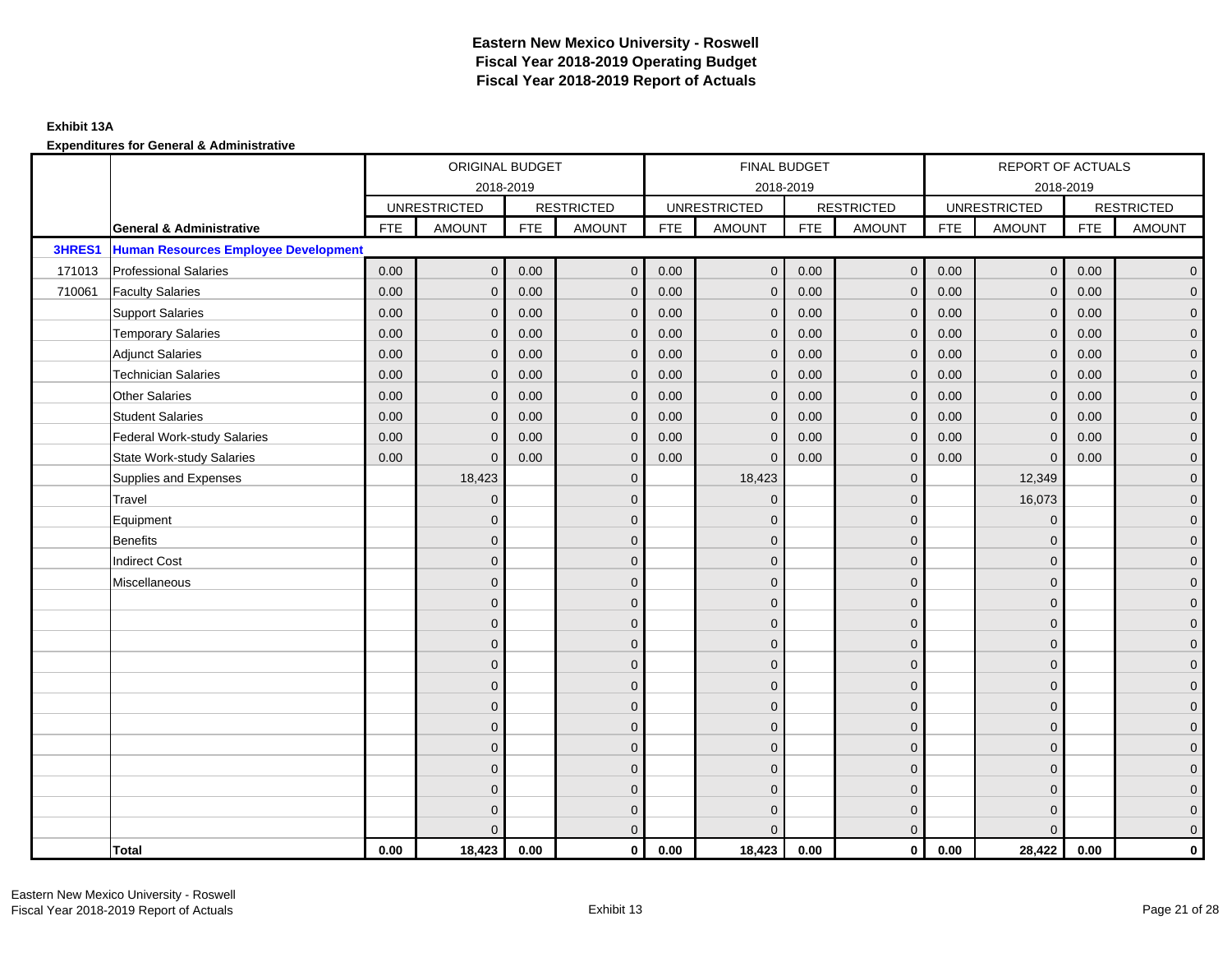## **Exhibit 13A**

|        |                                             |            | ORIGINAL BUDGET     |            |                   |            | FINAL BUDGET        |            |                   |            | REPORT OF ACTUALS   |            |                     |
|--------|---------------------------------------------|------------|---------------------|------------|-------------------|------------|---------------------|------------|-------------------|------------|---------------------|------------|---------------------|
|        |                                             |            |                     | 2018-2019  |                   |            | 2018-2019           |            |                   |            | 2018-2019           |            |                     |
|        |                                             |            | <b>UNRESTRICTED</b> |            | <b>RESTRICTED</b> |            | <b>UNRESTRICTED</b> |            | <b>RESTRICTED</b> |            | <b>UNRESTRICTED</b> |            | <b>RESTRICTED</b>   |
|        | <b>General &amp; Administrative</b>         | <b>FTE</b> | <b>AMOUNT</b>       | <b>FTE</b> | <b>AMOUNT</b>     | <b>FTE</b> | <b>AMOUNT</b>       | <b>FTE</b> | <b>AMOUNT</b>     | <b>FTE</b> | <b>AMOUNT</b>       | <b>FTE</b> | <b>AMOUNT</b>       |
| 3HRES1 | <b>Human Resources Employee Development</b> |            |                     |            |                   |            |                     |            |                   |            |                     |            |                     |
| 171013 | <b>Professional Salaries</b>                | 0.00       | $\mathbf{0}$        | 0.00       | $\mathbf{0}$      | 0.00       | $\overline{0}$      | 0.00       | $\overline{0}$    | 0.00       | $\overline{0}$      | 0.00       | $\overline{0}$      |
| 710061 | <b>Faculty Salaries</b>                     | 0.00       | $\mathbf{0}$        | 0.00       | $\mathbf{0}$      | 0.00       | $\mathbf{0}$        | 0.00       | $\mathbf{0}$      | 0.00       | $\overline{0}$      | 0.00       | $\overline{0}$      |
|        | <b>Support Salaries</b>                     | 0.00       | $\mathbf{0}$        | 0.00       | $\mathbf{0}$      | 0.00       | $\overline{0}$      | 0.00       | $\mathbf 0$       | 0.00       | $\overline{0}$      | 0.00       | $\overline{0}$      |
|        | <b>Temporary Salaries</b>                   | 0.00       | $\mathbf 0$         | 0.00       | $\mathbf 0$       | 0.00       | $\mathbf 0$         | 0.00       | $\mathbf 0$       | 0.00       | $\mathbf 0$         | 0.00       | $\mathbf{0}$        |
|        | <b>Adjunct Salaries</b>                     | 0.00       | $\mathbf{0}$        | 0.00       | $\mathbf{0}$      | 0.00       | $\mathbf{0}$        | 0.00       | $\mathbf{0}$      | 0.00       | $\mathbf{0}$        | 0.00       | $\overline{0}$      |
|        | <b>Technician Salaries</b>                  | 0.00       | $\mathbf{0}$        | 0.00       | $\Omega$          | 0.00       | $\mathbf{0}$        | 0.00       | $\mathbf{0}$      | 0.00       | $\mathbf{0}$        | 0.00       | $\mathbf{0}$        |
|        | Other Salaries                              | 0.00       | $\mathbf{0}$        | 0.00       | $\Omega$          | 0.00       | $\Omega$            | 0.00       | $\mathbf{0}$      | 0.00       | $\overline{0}$      | 0.00       | $\overline{0}$      |
|        | <b>Student Salaries</b>                     | 0.00       | $\mathbf 0$         | 0.00       | $\mathbf 0$       | 0.00       | $\mathbf{0}$        | 0.00       | $\mathbf 0$       | 0.00       | $\overline{0}$      | 0.00       | $\overline{0}$      |
|        | <b>Federal Work-study Salaries</b>          | 0.00       | $\mathbf{0}$        | 0.00       | $\mathbf 0$       | 0.00       | $\mathbf{0}$        | 0.00       | $\mathbf 0$       | 0.00       | $\mathbf 0$         | 0.00       | $\mathbf{0}$        |
|        | <b>State Work-study Salaries</b>            | 0.00       | $\mathbf{0}$        | 0.00       | $\mathbf{0}$      | 0.00       | $\mathbf{0}$        | 0.00       | $\mathbf{0}$      | 0.00       | $\mathbf{0}$        | 0.00       | $\overline{0}$      |
|        | Supplies and Expenses                       |            | 18,423              |            | $\mathbf 0$       |            | 18,423              |            | $\mathbf{0}$      |            | 12,349              |            | $\mathsf{O}\xspace$ |
|        | Travel                                      |            | $\overline{0}$      |            | $\mathbf{0}$      |            | $\Omega$            |            | $\mathbf{0}$      |            | 16,073              |            | $\overline{0}$      |
|        | Equipment                                   |            | $\mathbf{0}$        |            | $\mathbf 0$       |            | $\mathbf{0}$        |            | $\mathbf 0$       |            | $\mathbf 0$         |            | $\overline{0}$      |
|        | <b>Benefits</b>                             |            | $\mathbf{0}$        |            | $\mathbf{0}$      |            | $\Omega$            |            | $\mathbf 0$       |            | $\mathbf 0$         |            | $\overline{0}$      |
|        | <b>Indirect Cost</b>                        |            | $\Omega$            |            | $\mathbf{0}$      |            | $\Omega$            |            | $\mathbf{0}$      |            | $\Omega$            |            | $\overline{0}$      |
|        | Miscellaneous                               |            | $\Omega$            |            | $\mathbf{0}$      |            | $\Omega$            |            | $\mathbf{0}$      |            | $\Omega$            |            | $\overline{0}$      |
|        |                                             |            | $\mathbf{0}$        |            | $\mathbf 0$       |            | $\mathbf{0}$        |            | $\mathbf 0$       |            | $\mathbf{0}$        |            | $\overline{0}$      |
|        |                                             |            | $\mathbf{0}$        |            | $\mathbf 0$       |            | $\mathbf{0}$        |            | $\mathbf 0$       |            | $\mathbf{0}$        |            | $\overline{0}$      |
|        |                                             |            | $\Omega$            |            | $\mathbf{0}$      |            | $\Omega$            |            | $\mathbf 0$       |            | $\mathbf{0}$        |            | $\overline{0}$      |
|        |                                             |            | $\Omega$            |            | $\mathbf{0}$      |            | $\Omega$            |            | $\mathbf{0}$      |            | $\Omega$            |            | $\overline{0}$      |
|        |                                             |            | $\mathbf{0}$        |            | $\mathbf 0$       |            | $\mathbf{0}$        |            | $\mathbf 0$       |            | $\mathbf 0$         |            | $\mathsf{O}\xspace$ |
|        |                                             |            | $\mathbf{0}$        |            | $\mathbf 0$       |            | $\mathbf{0}$        |            | $\mathbf 0$       |            | $\mathbf{0}$        |            | $\overline{0}$      |
|        |                                             |            | $\Omega$            |            | $\mathbf{0}$      |            | $\mathbf{0}$        |            | $\mathbf 0$       |            | $\mathbf{0}$        |            | $\overline{0}$      |
|        |                                             |            | $\Omega$            |            | $\mathbf{0}$      |            | $\Omega$            |            | $\mathbf{0}$      |            | $\Omega$            |            | $\overline{0}$      |
|        |                                             |            | $\overline{0}$      |            | $\mathbf 0$       |            | $\mathbf{0}$        |            | $\mathbf 0$       |            | $\mathbf 0$         |            | $\mathbf{0}$        |
|        |                                             |            | $\mathbf{0}$        |            | $\mathbf 0$       |            | $\Omega$            |            | $\mathbf 0$       |            | $\mathbf 0$         |            | $\mathbf{0}$        |
|        |                                             |            | 0                   |            | $\mathbf 0$       |            | $\Omega$            |            | $\mathbf 0$       |            | $\mathbf 0$         |            | $\mathbf{0}$        |
|        |                                             |            | $\Omega$            |            | $\mathbf{0}$      |            | $\Omega$            |            | $\mathbf{0}$      |            | $\Omega$            |            | $\overline{0}$      |
|        | <b>Total</b>                                | 0.00       | 18,423              | 0.00       | $\mathbf{0}$      | 0.00       | 18,423              | 0.00       | $\mathbf{0}$      | 0.00       | 28.422              | 0.00       | $\mathbf{0}$        |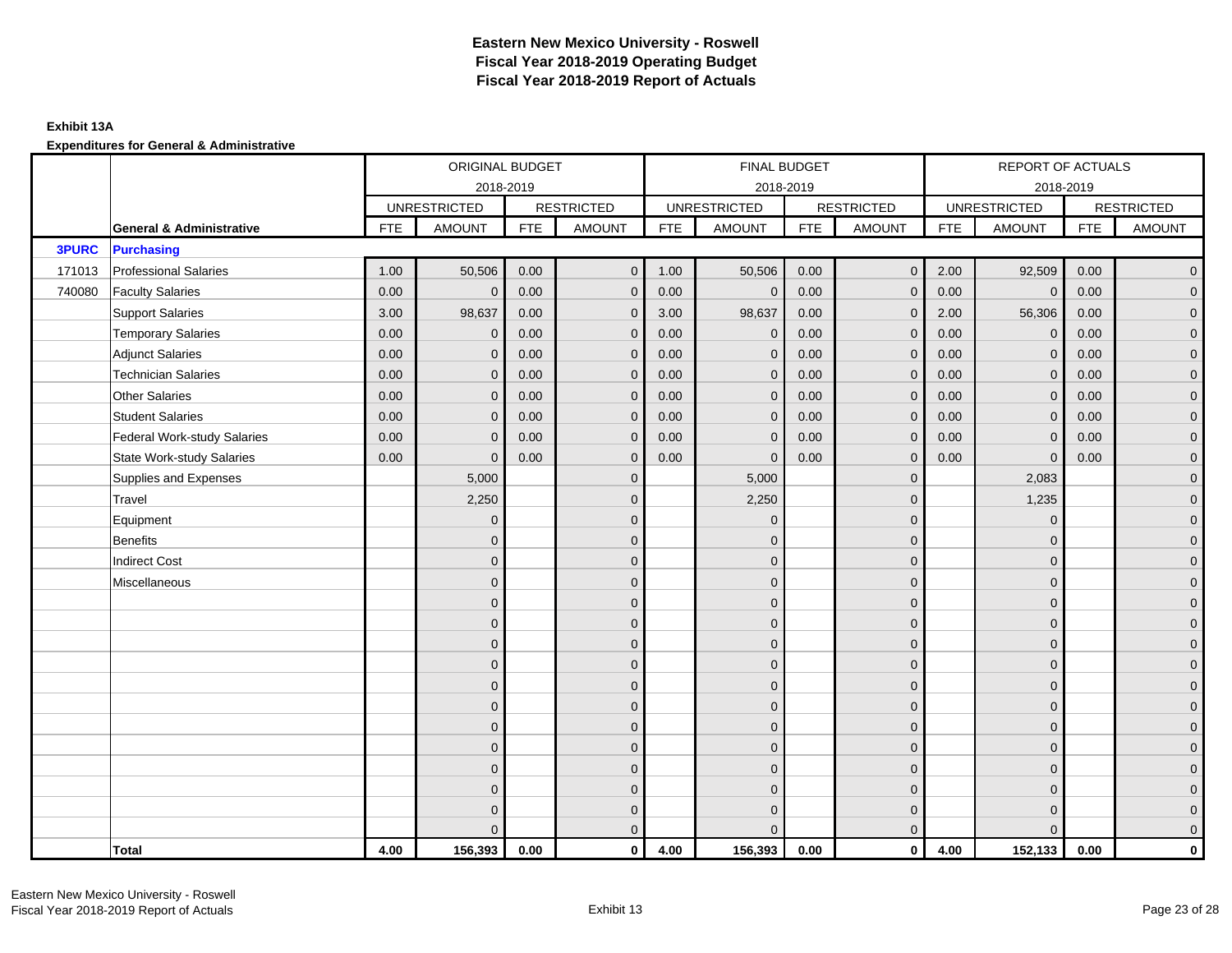## **Exhibit 13A**

|              |                                     |            | ORIGINAL BUDGET     |            |                   |            | FINAL BUDGET        |            |                   |            | REPORT OF ACTUALS   |            |                     |
|--------------|-------------------------------------|------------|---------------------|------------|-------------------|------------|---------------------|------------|-------------------|------------|---------------------|------------|---------------------|
|              |                                     |            | 2018-2019           |            |                   |            | 2018-2019           |            |                   |            | 2018-2019           |            |                     |
|              |                                     |            | <b>UNRESTRICTED</b> |            | <b>RESTRICTED</b> |            | <b>UNRESTRICTED</b> |            | <b>RESTRICTED</b> |            | <b>UNRESTRICTED</b> |            | <b>RESTRICTED</b>   |
|              | <b>General &amp; Administrative</b> | <b>FTE</b> | <b>AMOUNT</b>       | <b>FTE</b> | <b>AMOUNT</b>     | <b>FTE</b> | <b>AMOUNT</b>       | <b>FTE</b> | <b>AMOUNT</b>     | <b>FTE</b> | <b>AMOUNT</b>       | <b>FTE</b> | <b>AMOUNT</b>       |
| <b>3PURC</b> | <b>Purchasing</b>                   |            |                     |            |                   |            |                     |            |                   |            |                     |            |                     |
| 171013       | <b>Professional Salaries</b>        | 1.00       | 50,506              | 0.00       | $\mathbf{0}$      | 1.00       | 50,506              | 0.00       | $\overline{0}$    | 2.00       | 92,509              | 0.00       | $\overline{0}$      |
| 740080       | <b>Faculty Salaries</b>             | 0.00       | $\mathbf 0$         | 0.00       | $\mathbf{0}$      | 0.00       | $\mathbf 0$         | 0.00       | $\mathbf{0}$      | 0.00       | $\mathbf 0$         | 0.00       | $\overline{0}$      |
|              | <b>Support Salaries</b>             | 3.00       | 98,637              | 0.00       | $\mathbf 0$       | 3.00       | 98,637              | 0.00       | $\mathbf 0$       | 2.00       | 56,306              | 0.00       | $\overline{0}$      |
|              | <b>Temporary Salaries</b>           | 0.00       | $\mathbf 0$         | 0.00       | $\mathbf 0$       | 0.00       | $\mathbf 0$         | 0.00       | $\mathbf{0}$      | 0.00       | $\mathbf 0$         | 0.00       | $\overline{0}$      |
|              | <b>Adjunct Salaries</b>             | 0.00       | $\mathbf{0}$        | 0.00       | $\mathbf{0}$      | 0.00       | $\Omega$            | 0.00       | $\mathbf{0}$      | 0.00       | $\mathbf{0}$        | 0.00       | $\overline{0}$      |
|              | <b>Technician Salaries</b>          | 0.00       | $\mathbf{0}$        | 0.00       | $\mathbf 0$       | 0.00       | $\mathbf{0}$        | 0.00       | $\mathbf{0}$      | 0.00       | $\mathbf{0}$        | 0.00       | $\mathbf{0}$        |
|              | <b>Other Salaries</b>               | 0.00       | $\mathbf{0}$        | 0.00       | $\mathbf{0}$      | 0.00       | $\Omega$            | 0.00       | $\mathbf{0}$      | 0.00       | $\overline{0}$      | 0.00       | $\overline{0}$      |
|              | <b>Student Salaries</b>             | 0.00       | $\mathbf{0}$        | 0.00       | $\mathbf{0}$      | 0.00       | $\overline{0}$      | 0.00       | $\mathbf 0$       | 0.00       | $\mathbf{0}$        | 0.00       | $\overline{0}$      |
|              | <b>Federal Work-study Salaries</b>  | 0.00       | $\mathbf 0$         | 0.00       | $\mathbf 0$       | 0.00       | $\mathbf{0}$        | 0.00       | $\mathbf 0$       | 0.00       | $\mathbf 0$         | 0.00       | $\overline{0}$      |
|              | <b>State Work-study Salaries</b>    | 0.00       | $\mathbf{0}$        | 0.00       | $\mathbf{0}$      | 0.00       | $\mathbf{0}$        | 0.00       | $\mathbf 0$       | 0.00       | $\mathbf 0$         | 0.00       | $\mathbf{0}$        |
|              | Supplies and Expenses               |            | 5,000               |            | $\mathbf 0$       |            | 5,000               |            | $\mathbf 0$       |            | 2,083               |            | $\overline{0}$      |
|              | Travel                              |            | 2,250               |            | $\mathbf{0}$      |            | 2,250               |            | $\mathbf{0}$      |            | 1,235               |            | $\overline{0}$      |
|              | Equipment                           |            | $\mathbf 0$         |            | $\mathbf 0$       |            | $\mathbf{0}$        |            | $\mathbf 0$       |            | $\mathbf 0$         |            | $\overline{0}$      |
|              | <b>Benefits</b>                     |            | $\Omega$            |            | $\mathbf{0}$      |            | $\Omega$            |            | $\mathbf 0$       |            | $\mathbf 0$         |            | $\overline{0}$      |
|              | <b>Indirect Cost</b>                |            | $\mathbf{0}$        |            | $\mathbf{0}$      |            | $\Omega$            |            | $\mathbf{0}$      |            | $\Omega$            |            | $\overline{0}$      |
|              | Miscellaneous                       |            | $\overline{0}$      |            | $\mathbf 0$       |            | $\mathbf{0}$        |            | $\mathbf{0}$      |            | $\mathbf 0$         |            | $\mathsf{O}\xspace$ |
|              |                                     |            | $\mathbf{0}$        |            | $\mathbf 0$       |            | $\mathbf{0}$        |            | $\mathbf 0$       |            | $\mathbf{0}$        |            | $\mathbf{0}$        |
|              |                                     |            | $\mathbf{0}$        |            | $\mathbf 0$       |            | $\mathbf{0}$        |            | $\mathbf 0$       |            | $\mathbf{0}$        |            | $\overline{0}$      |
|              |                                     |            | $\mathbf{0}$        |            | $\mathbf 0$       |            | $\mathbf{0}$        |            | $\mathbf 0$       |            | $\mathbf{0}$        |            | $\overline{0}$      |
|              |                                     |            | $\mathbf{0}$        |            | $\mathbf{0}$      |            | $\Omega$            |            | $\mathbf 0$       |            | $\mathbf 0$         |            | $\mathbf{0}$        |
|              |                                     |            | $\Omega$            |            | $\mathbf{0}$      |            | $\mathbf{0}$        |            | $\mathbf 0$       |            | $\mathbf 0$         |            | $\mathsf{O}\xspace$ |
|              |                                     |            | $\overline{0}$      |            | $\mathbf{0}$      |            | $\Omega$            |            | $\mathbf{0}$      |            | $\Omega$            |            | $\overline{0}$      |
|              |                                     |            | $\mathbf{0}$        |            | $\mathbf 0$       |            | $\mathbf{0}$        |            | $\mathbf 0$       |            | $\mathbf 0$         |            | $\overline{0}$      |
|              |                                     |            | $\mathbf{0}$        |            | $\mathbf{0}$      |            | $\Omega$            |            | $\mathbf 0$       |            | $\mathbf{0}$        |            | $\overline{0}$      |
|              |                                     |            | $\mathbf{0}$        |            | $\mathbf{0}$      |            | $\Omega$            |            | $\mathbf{0}$      |            | $\mathbf{0}$        |            | $\overline{0}$      |
|              |                                     |            | $\mathbf{0}$        |            | $\mathbf 0$       |            | $\mathbf{0}$        |            | $\mathbf{0}$      |            | $\mathbf 0$         |            | $\pmb{0}$           |
|              |                                     |            | $\overline{0}$      |            | $\mathbf 0$       |            | $\mathbf{0}$        |            | $\mathbf 0$       |            | $\mathbf{0}$        |            | $\mathbf{0}$        |
|              |                                     |            | $\Omega$            |            | $\mathbf{0}$      |            | $\Omega$            |            | $\mathbf{0}$      |            | $\Omega$            |            | $\overline{0}$      |
|              | <b>Total</b>                        | 4.00       | 156,393             | 0.00       | $\mathbf 0$       | 4.00       | 156,393             | 0.00       | $\overline{0}$    | 4.00       | 152,133             | 0.00       | $\mathbf{0}$        |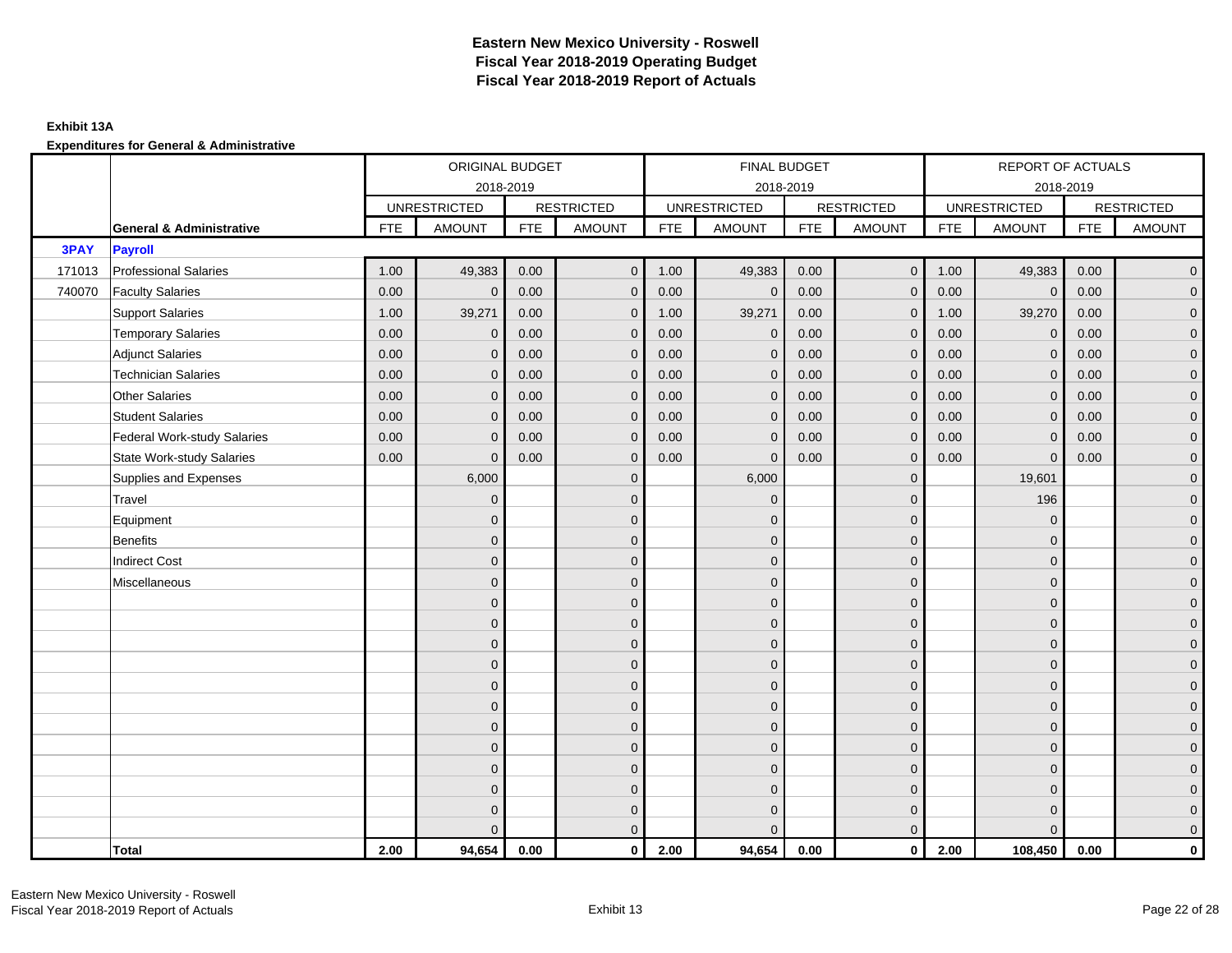## **Exhibit 13A**

|        |                                     |            | ORIGINAL BUDGET     |            |                   |            | FINAL BUDGET        |            |                   |            | <b>REPORT OF ACTUALS</b> |            |                   |
|--------|-------------------------------------|------------|---------------------|------------|-------------------|------------|---------------------|------------|-------------------|------------|--------------------------|------------|-------------------|
|        |                                     |            |                     | 2018-2019  |                   |            | 2018-2019           |            |                   |            | 2018-2019                |            |                   |
|        |                                     |            | <b>UNRESTRICTED</b> |            | <b>RESTRICTED</b> |            | <b>UNRESTRICTED</b> |            | <b>RESTRICTED</b> |            | <b>UNRESTRICTED</b>      |            | <b>RESTRICTED</b> |
|        | <b>General &amp; Administrative</b> | <b>FTE</b> | <b>AMOUNT</b>       | <b>FTE</b> | <b>AMOUNT</b>     | <b>FTE</b> | <b>AMOUNT</b>       | <b>FTE</b> | <b>AMOUNT</b>     | <b>FTE</b> | <b>AMOUNT</b>            | <b>FTE</b> | <b>AMOUNT</b>     |
| 3PAY   | <b>Payroll</b>                      |            |                     |            |                   |            |                     |            |                   |            |                          |            |                   |
| 171013 | <b>Professional Salaries</b>        | 1.00       | 49,383              | 0.00       | $\overline{0}$    | 1.00       | 49,383              | 0.00       | $\overline{0}$    | 1.00       | 49,383                   | 0.00       | $\overline{0}$    |
| 740070 | <b>Faculty Salaries</b>             | 0.00       | $\mathbf 0$         | 0.00       | $\mathbf{0}$      | 0.00       | $\mathbf{0}$        | 0.00       | $\mathbf{0}$      | 0.00       | $\mathbf{0}$             | 0.00       | $\overline{0}$    |
|        | <b>Support Salaries</b>             | 1.00       | 39,271              | 0.00       | $\mathbf{0}$      | 1.00       | 39,271              | 0.00       | $\mathbf{0}$      | 1.00       | 39,270                   | 0.00       | $\overline{0}$    |
|        | <b>Temporary Salaries</b>           | 0.00       | $\mathbf 0$         | 0.00       | $\mathbf 0$       | 0.00       | $\mathbf 0$         | 0.00       | $\mathbf 0$       | 0.00       | $\mathbf 0$              | 0.00       | $\overline{0}$    |
|        | <b>Adjunct Salaries</b>             | 0.00       | $\mathbf{0}$        | 0.00       | $\mathbf 0$       | 0.00       | $\mathbf{0}$        | 0.00       | $\mathbf 0$       | 0.00       | $\mathbf 0$              | 0.00       | $\mathbf{0}$      |
|        | <b>Technician Salaries</b>          | 0.00       | $\Omega$            | 0.00       | $\mathbf{0}$      | 0.00       | $\mathbf{0}$        | 0.00       | $\mathbf{0}$      | 0.00       | $\overline{0}$           | 0.00       | $\overline{0}$    |
|        | <b>Other Salaries</b>               | 0.00       | $\Omega$            | 0.00       | $\Omega$          | 0.00       | $\Omega$            | 0.00       | $\Omega$          | 0.00       | $\overline{0}$           | 0.00       | $\overline{0}$    |
|        | <b>Student Salaries</b>             | 0.00       | $\mathbf 0$         | 0.00       | $\mathbf 0$       | 0.00       | $\mathbf{0}$        | 0.00       | $\mathbf 0$       | 0.00       | $\mathbf{0}$             | 0.00       | $\overline{0}$    |
|        | <b>Federal Work-study Salaries</b>  | 0.00       | $\Omega$            | 0.00       | $\mathbf{0}$      | 0.00       | $\mathbf{0}$        | 0.00       | $\mathbf 0$       | 0.00       | $\mathbf 0$              | 0.00       | $\overline{0}$    |
|        | <b>State Work-study Salaries</b>    | 0.00       | $\mathbf{0}$        | 0.00       | $\mathbf 0$       | 0.00       | $\mathbf{0}$        | 0.00       | $\mathbf 0$       | 0.00       | $\mathbf{0}$             | 0.00       | $\mathbf{0}$      |
|        | Supplies and Expenses               |            | 6,000               |            | $\mathbf{0}$      |            | 6,000               |            | $\mathbf{0}$      |            | 19,601                   |            | $\overline{0}$    |
|        | Travel                              |            | $\Omega$            |            | $\mathbf{0}$      |            | $\mathbf{0}$        |            | $\mathbf{0}$      |            | 196                      |            | $\overline{0}$    |
|        | Equipment                           |            | $\mathbf{0}$        |            | $\mathbf 0$       |            | $\mathbf{0}$        |            | $\mathbf 0$       |            | $\mathbf 0$              |            | $\overline{0}$    |
|        | <b>Benefits</b>                     |            | $\Omega$            |            | $\mathbf{0}$      |            | $\mathbf{0}$        |            | $\mathbf 0$       |            | $\mathbf{0}$             |            | $\overline{0}$    |
|        | <b>Indirect Cost</b>                |            | $\mathbf{0}$        |            | $\mathbf{0}$      |            | $\Omega$            |            | $\mathbf{0}$      |            | $\mathbf 0$              |            | $\overline{0}$    |
|        | Miscellaneous                       |            | $\Omega$            |            | $\mathbf{0}$      |            | $\Omega$            |            | $\mathbf{0}$      |            | $\mathbf{0}$             |            | $\overline{0}$    |
|        |                                     |            | $\overline{0}$      |            | $\mathbf 0$       |            | $\mathbf{0}$        |            | $\mathbf 0$       |            | $\mathbf{0}$             |            | $\overline{0}$    |
|        |                                     |            | $\mathbf{0}$        |            | $\mathbf 0$       |            | $\mathbf{0}$        |            | $\mathbf 0$       |            | $\mathbf{0}$             |            | $\overline{0}$    |
|        |                                     |            | $\Omega$            |            | $\mathbf{0}$      |            | $\Omega$            |            | $\mathbf 0$       |            | $\mathbf{0}$             |            | $\overline{0}$    |
|        |                                     |            | $\Omega$            |            | $\mathbf{0}$      |            | $\Omega$            |            | $\mathbf{0}$      |            | $\Omega$                 |            | $\overline{0}$    |
|        |                                     |            | $\Omega$            |            | $\mathbf 0$       |            | $\mathbf{0}$        |            | $\mathbf 0$       |            | $\mathbf 0$              |            | $\pmb{0}$         |
|        |                                     |            | $\mathbf{0}$        |            | $\mathbf 0$       |            | $\mathbf{0}$        |            | $\mathbf 0$       |            | $\mathbf{0}$             |            | $\mathbf{0}$      |
|        |                                     |            | $\Omega$            |            | $\mathbf 0$       |            | $\mathbf{0}$        |            | $\mathbf 0$       |            | $\mathbf{0}$             |            | $\overline{0}$    |
|        |                                     |            | $\Omega$            |            | $\mathbf{0}$      |            | $\Omega$            |            | $\mathbf{0}$      |            | $\mathbf{0}$             |            | $\overline{0}$    |
|        |                                     |            | $\Omega$            |            | $\overline{0}$    |            | $\mathbf{0}$        |            | $\mathbf 0$       |            | $\mathbf{0}$             |            | $\mathbf{0}$      |
|        |                                     |            | $\Omega$            |            | $\mathbf 0$       |            | $\mathbf{0}$        |            | $\mathbf 0$       |            | $\mathbf{0}$             |            | $\overline{0}$    |
|        |                                     |            | $\Omega$            |            | $\overline{0}$    |            | $\mathbf{0}$        |            | $\mathbf 0$       |            | $\mathbf{0}$             |            | $\mathbf{0}$      |
|        |                                     |            | $\Omega$            |            | $\mathbf{0}$      |            | $\Omega$            |            | $\mathbf{0}$      |            | $\Omega$                 |            | $\overline{0}$    |
|        | <b>Total</b>                        | 2.00       | 94,654              | 0.00       | $\mathbf 0$       | 2.00       | 94,654              | 0.00       | $\overline{0}$    | 2.00       | 108,450                  | 0.00       | $\mathbf{0}$      |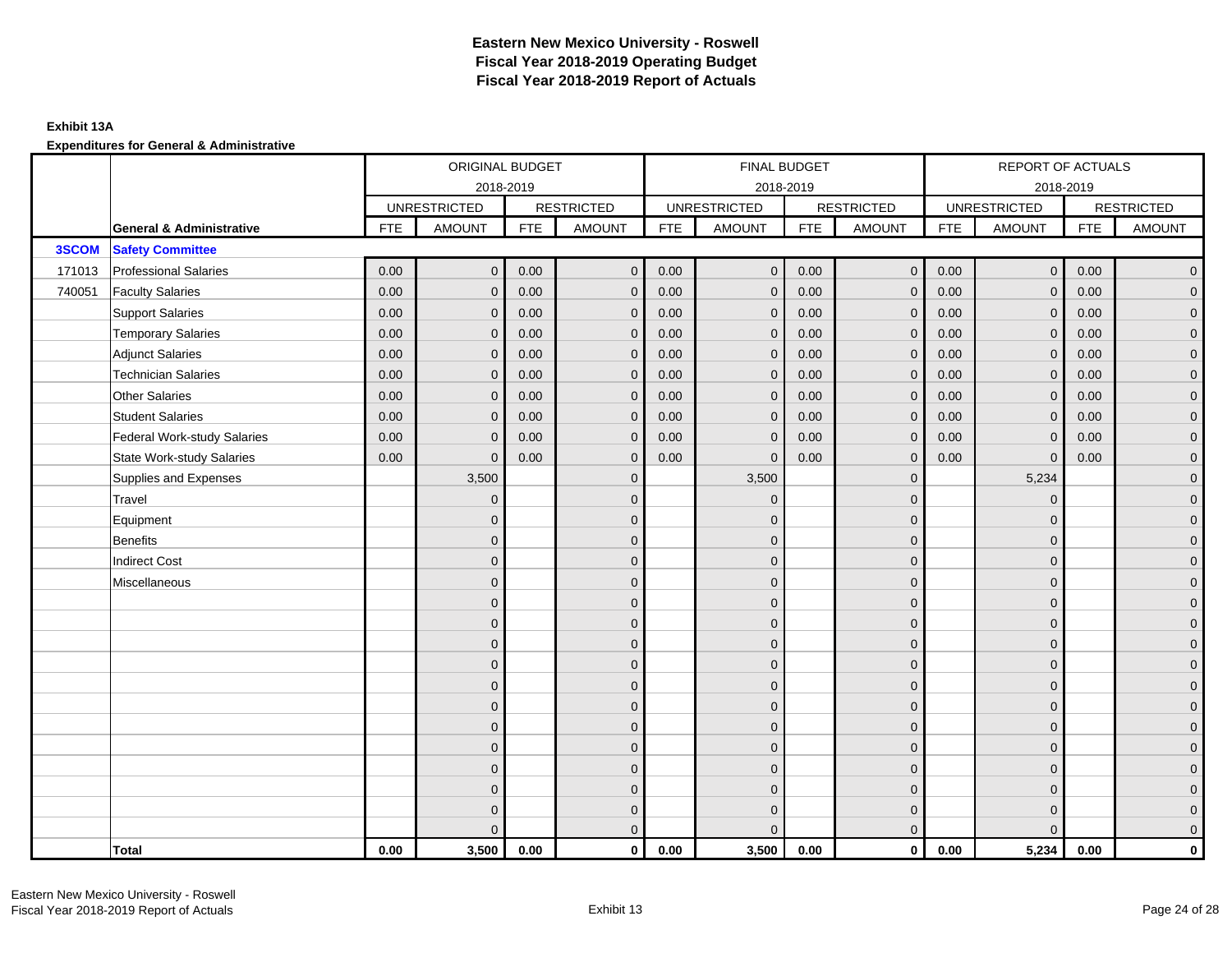## **Exhibit 13A**

|        |                                     |            | ORIGINAL BUDGET     |            |                   |            | FINAL BUDGET        |            |                   |            | REPORT OF ACTUALS   |            |                     |
|--------|-------------------------------------|------------|---------------------|------------|-------------------|------------|---------------------|------------|-------------------|------------|---------------------|------------|---------------------|
|        |                                     |            | 2018-2019           |            |                   |            | 2018-2019           |            |                   |            | 2018-2019           |            |                     |
|        |                                     |            | <b>UNRESTRICTED</b> |            | <b>RESTRICTED</b> |            | <b>UNRESTRICTED</b> |            | <b>RESTRICTED</b> |            | <b>UNRESTRICTED</b> |            | <b>RESTRICTED</b>   |
|        | <b>General &amp; Administrative</b> | <b>FTE</b> | <b>AMOUNT</b>       | <b>FTE</b> | <b>AMOUNT</b>     | <b>FTE</b> | <b>AMOUNT</b>       | <b>FTE</b> | <b>AMOUNT</b>     | <b>FTE</b> | <b>AMOUNT</b>       | <b>FTE</b> | <b>AMOUNT</b>       |
| 3SCOM  | <b>Safety Committee</b>             |            |                     |            |                   |            |                     |            |                   |            |                     |            |                     |
| 171013 | <b>Professional Salaries</b>        | 0.00       | $\mathbf{0}$        | 0.00       | $\mathbf{0}$      | 0.00       | $\overline{0}$      | 0.00       | $\overline{0}$    | 0.00       | $\overline{0}$      | 0.00       | $\overline{0}$      |
| 740051 | <b>Faculty Salaries</b>             | 0.00       | $\mathbf{0}$        | 0.00       | $\Omega$          | 0.00       | $\mathbf{0}$        | 0.00       | $\mathbf{0}$      | 0.00       | $\mathbf{0}$        | 0.00       | $\overline{0}$      |
|        | <b>Support Salaries</b>             | 0.00       | $\mathbf{0}$        | 0.00       | $\mathbf{0}$      | 0.00       | $\overline{0}$      | 0.00       | $\mathbf 0$       | 0.00       | $\overline{0}$      | 0.00       | $\overline{0}$      |
|        | <b>Temporary Salaries</b>           | 0.00       | $\mathbf{0}$        | 0.00       | $\mathbf{0}$      | 0.00       | $\mathbf 0$         | 0.00       | $\mathbf 0$       | 0.00       | $\mathbf 0$         | 0.00       | $\mathbf{0}$        |
|        | <b>Adjunct Salaries</b>             | 0.00       | $\mathbf{0}$        | 0.00       | $\mathbf 0$       | 0.00       | $\mathbf{0}$        | 0.00       | $\mathbf 0$       | 0.00       | $\mathbf{0}$        | 0.00       | $\mathbf{0}$        |
|        | <b>Technician Salaries</b>          | 0.00       | $\mathbf{0}$        | 0.00       | $\Omega$          | 0.00       | $\mathbf{0}$        | 0.00       | $\mathbf{0}$      | 0.00       | $\mathbf{0}$        | 0.00       | $\mathbf{0}$        |
|        | <b>Other Salaries</b>               | 0.00       | $\Omega$            | 0.00       | $\Omega$          | 0.00       | $\Omega$            | 0.00       | $\mathbf{0}$      | 0.00       | $\mathbf{0}$        | 0.00       | $\overline{0}$      |
|        | <b>Student Salaries</b>             | 0.00       | $\mathbf 0$         | 0.00       | $\mathbf{0}$      | 0.00       | $\overline{0}$      | 0.00       | $\mathbf 0$       | 0.00       | $\mathbf 0$         | 0.00       | $\overline{0}$      |
|        | <b>Federal Work-study Salaries</b>  | 0.00       | $\mathbf{0}$        | 0.00       | $\mathbf 0$       | 0.00       | $\mathbf{0}$        | 0.00       | $\mathbf 0$       | 0.00       | $\mathbf 0$         | 0.00       | $\overline{0}$      |
|        | <b>State Work-study Salaries</b>    | 0.00       | $\mathbf{0}$        | 0.00       | $\mathbf{0}$      | 0.00       | $\mathbf{0}$        | 0.00       | $\mathbf{0}$      | 0.00       | $\mathbf 0$         | 0.00       | $\overline{0}$      |
|        | Supplies and Expenses               |            | 3,500               |            | $\mathbf{0}$      |            | 3,500               |            | $\mathbf{0}$      |            | 5,234               |            | $\mathsf{O}\xspace$ |
|        | Travel                              |            | $\overline{0}$      |            | $\mathbf{0}$      |            | $\mathbf{0}$        |            | $\mathbf{0}$      |            | $\mathbf 0$         |            | $\overline{0}$      |
|        | Equipment                           |            | $\mathbf{0}$        |            | $\mathbf 0$       |            | $\mathbf{0}$        |            | $\mathbf 0$       |            | $\mathbf{0}$        |            | $\overline{0}$      |
|        | <b>Benefits</b>                     |            | $\Omega$            |            | $\mathbf{0}$      |            | $\Omega$            |            | $\mathbf 0$       |            | $\mathbf{0}$        |            | $\overline{0}$      |
|        | <b>Indirect Cost</b>                |            | $\Omega$            |            | $\mathbf{0}$      |            | $\Omega$            |            | $\mathbf 0$       |            | $\Omega$            |            | $\overline{0}$      |
|        | Miscellaneous                       |            | $\Omega$            |            | $\mathbf{0}$      |            | $\Omega$            |            | $\mathbf{0}$      |            | $\Omega$            |            | $\mathsf{O}\xspace$ |
|        |                                     |            | $\overline{0}$      |            | $\mathbf 0$       |            | $\mathbf{0}$        |            | $\mathbf 0$       |            | $\mathbf 0$         |            | $\overline{0}$      |
|        |                                     |            | $\mathbf{0}$        |            | $\mathbf 0$       |            | $\mathbf{0}$        |            | $\mathbf 0$       |            | $\mathbf{0}$        |            | $\overline{0}$      |
|        |                                     |            | $\Omega$            |            | $\mathbf{0}$      |            | $\Omega$            |            | $\mathbf 0$       |            | $\mathbf{0}$        |            | $\overline{0}$      |
|        |                                     |            | $\Omega$            |            | $\mathbf{0}$      |            | $\Omega$            |            | $\mathbf{0}$      |            | $\Omega$            |            | $\overline{0}$      |
|        |                                     |            | $\mathbf{0}$        |            | $\mathbf{0}$      |            | $\mathbf{0}$        |            | $\mathbf 0$       |            | $\mathbf 0$         |            | $\mathsf{O}\xspace$ |
|        |                                     |            | $\overline{0}$      |            | $\mathbf{0}$      |            | $\mathbf{0}$        |            | $\mathbf 0$       |            | $\mathbf{0}$        |            | $\mathbf{0}$        |
|        |                                     |            | $\mathbf{0}$        |            | $\mathbf{0}$      |            | $\mathbf{0}$        |            | $\mathbf 0$       |            | $\mathbf 0$         |            | $\overline{0}$      |
|        |                                     |            | $\Omega$            |            | $\mathbf{0}$      |            | $\Omega$            |            | $\mathbf{0}$      |            | $\mathbf 0$         |            | $\overline{0}$      |
|        |                                     |            | $\mathbf{0}$        |            | $\mathbf 0$       |            | $\mathbf{0}$        |            | $\mathbf 0$       |            | $\mathbf 0$         |            | $\mathbf{0}$        |
|        |                                     |            | $\mathbf{0}$        |            | $\mathbf 0$       |            | $\mathbf{0}$        |            | $\mathbf 0$       |            | $\mathbf 0$         |            | $\mathbf{0}$        |
|        |                                     |            | $\mathbf{0}$        |            | $\mathbf 0$       |            | $\Omega$            |            | $\mathbf 0$       |            | $\mathbf 0$         |            | $\mathbf{0}$        |
|        |                                     |            | $\Omega$            |            | $\mathbf{0}$      |            | $\Omega$            |            | $\mathbf{0}$      |            | $\Omega$            |            | $\overline{0}$      |
|        | Total                               | 0.00       | 3,500               | 0.00       | $\mathbf{0}$      | 0.00       | 3,500               | 0.00       | $\mathbf{0}$      | 0.00       | 5,234               | 0.00       | $\mathbf 0$         |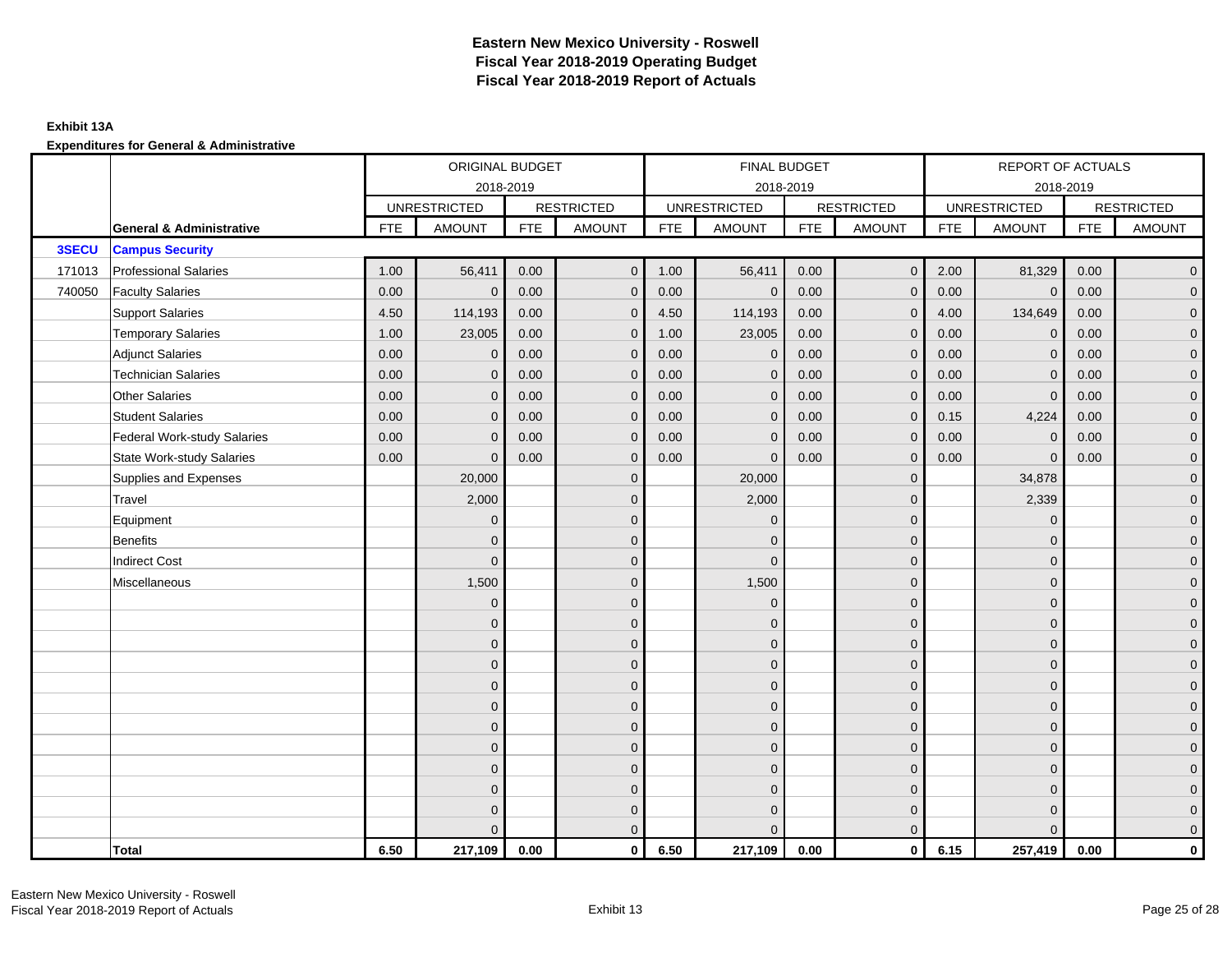## **Exhibit 13A**

|        |                                     |            | ORIGINAL BUDGET     |            |                   |            | FINAL BUDGET        |            |                   |            | REPORT OF ACTUALS   |            |                     |
|--------|-------------------------------------|------------|---------------------|------------|-------------------|------------|---------------------|------------|-------------------|------------|---------------------|------------|---------------------|
|        |                                     |            | 2018-2019           |            |                   |            | 2018-2019           |            |                   |            | 2018-2019           |            |                     |
|        |                                     |            | <b>UNRESTRICTED</b> |            | <b>RESTRICTED</b> |            | <b>UNRESTRICTED</b> |            | <b>RESTRICTED</b> |            | <b>UNRESTRICTED</b> |            | <b>RESTRICTED</b>   |
|        | <b>General &amp; Administrative</b> | <b>FTE</b> | <b>AMOUNT</b>       | <b>FTE</b> | <b>AMOUNT</b>     | <b>FTE</b> | <b>AMOUNT</b>       | <b>FTE</b> | <b>AMOUNT</b>     | <b>FTE</b> | <b>AMOUNT</b>       | <b>FTE</b> | <b>AMOUNT</b>       |
| 3SECU  | <b>Campus Security</b>              |            |                     |            |                   |            |                     |            |                   |            |                     |            |                     |
| 171013 | <b>Professional Salaries</b>        | 1.00       | 56,411              | 0.00       | $\mathbf{0}$      | 1.00       | 56,411              | 0.00       | $\overline{0}$    | 2.00       | 81,329              | 0.00       | $\overline{0}$      |
| 740050 | <b>Faculty Salaries</b>             | 0.00       | $\mathbf{0}$        | 0.00       | $\mathbf{0}$      | 0.00       | $\mathbf{0}$        | 0.00       | $\mathbf{0}$      | 0.00       | $\overline{0}$      | 0.00       | $\overline{0}$      |
|        | <b>Support Salaries</b>             | 4.50       | 114,193             | 0.00       | $\mathbf{0}$      | 4.50       | 114,193             | 0.00       | $\mathbf{0}$      | 4.00       | 134,649             | 0.00       | $\overline{0}$      |
|        | <b>Temporary Salaries</b>           | 1.00       | 23,005              | 0.00       | $\mathbf 0$       | 1.00       | 23,005              | 0.00       | $\mathbf 0$       | 0.00       | $\mathbf{0}$        | 0.00       | $\mathbf{0}$        |
|        | <b>Adjunct Salaries</b>             | 0.00       | $\mathbf{0}$        | 0.00       | $\mathbf{0}$      | 0.00       | $\mathbf{0}$        | 0.00       | $\mathbf{0}$      | 0.00       | $\mathbf{0}$        | 0.00       | $\overline{0}$      |
|        | <b>Technician Salaries</b>          | 0.00       | $\Omega$            | 0.00       | $\mathbf 0$       | 0.00       | $\mathbf{0}$        | 0.00       | $\mathbf{0}$      | 0.00       | $\mathbf{0}$        | 0.00       | $\mathbf{0}$        |
|        | Other Salaries                      | 0.00       | $\mathbf{0}$        | 0.00       | $\mathbf{0}$      | 0.00       | $\Omega$            | 0.00       | $\mathbf{0}$      | 0.00       | $\mathbf{0}$        | 0.00       | $\overline{0}$      |
|        | <b>Student Salaries</b>             | 0.00       | $\mathbf{0}$        | 0.00       | $\mathbf 0$       | 0.00       | $\overline{0}$      | 0.00       | $\mathbf 0$       | 0.15       | 4,224               | 0.00       | $\overline{0}$      |
|        | <b>Federal Work-study Salaries</b>  | 0.00       | $\mathbf{0}$        | 0.00       | $\mathbf 0$       | 0.00       | $\mathbf{0}$        | 0.00       | $\overline{0}$    | 0.00       | $\mathbf 0$         | 0.00       | $\overline{0}$      |
|        | <b>State Work-study Salaries</b>    | 0.00       | $\mathbf{0}$        | 0.00       | $\mathbf{0}$      | 0.00       | $\mathbf{0}$        | 0.00       | $\mathbf{0}$      | 0.00       | $\mathbf 0$         | 0.00       | $\overline{0}$      |
|        | Supplies and Expenses               |            | 20,000              |            | $\mathbf 0$       |            | 20,000              |            | $\mathbf{0}$      |            | 34,878              |            | $\mathsf{O}\xspace$ |
|        | Travel                              |            | 2,000               |            | $\mathbf{0}$      |            | 2,000               |            | $\mathbf{0}$      |            | 2,339               |            | $\overline{0}$      |
|        | Equipment                           |            | $\mathbf{0}$        |            | $\mathbf 0$       |            | $\mathbf{0}$        |            | $\mathbf 0$       |            | $\mathbf 0$         |            | $\overline{0}$      |
|        | <b>Benefits</b>                     |            | $\Omega$            |            | $\mathbf{0}$      |            | $\Omega$            |            | $\mathbf 0$       |            | $\mathbf 0$         |            | $\overline{0}$      |
|        | <b>Indirect Cost</b>                |            | $\Omega$            |            | $\mathbf{0}$      |            | $\Omega$            |            | $\mathbf{0}$      |            | $\Omega$            |            | $\overline{0}$      |
|        | Miscellaneous                       |            | 1,500               |            | $\mathbf{0}$      |            | 1,500               |            | $\mathbf{0}$      |            | $\Omega$            |            | $\overline{0}$      |
|        |                                     |            | $\mathbf 0$         |            | $\mathbf 0$       |            | $\mathbf{0}$        |            | $\mathbf 0$       |            | $\mathbf{0}$        |            | $\mathbf{0}$        |
|        |                                     |            | $\mathbf{0}$        |            | $\mathbf 0$       |            | $\mathbf{0}$        |            | $\mathbf 0$       |            | $\mathbf{0}$        |            | $\overline{0}$      |
|        |                                     |            | $\overline{0}$      |            | $\mathbf{0}$      |            | $\Omega$            |            | $\mathbf 0$       |            | $\mathbf{0}$        |            | $\overline{0}$      |
|        |                                     |            | $\Omega$            |            | $\mathbf{0}$      |            | $\Omega$            |            | $\mathbf{0}$      |            | $\Omega$            |            | $\overline{0}$      |
|        |                                     |            | $\mathbf{0}$        |            | $\mathbf 0$       |            | $\mathbf{0}$        |            | $\mathbf 0$       |            | $\mathbf 0$         |            | $\mathsf{O}\xspace$ |
|        |                                     |            | $\mathbf{0}$        |            | $\mathbf 0$       |            | $\mathbf{0}$        |            | $\mathbf 0$       |            | $\mathbf{0}$        |            | $\mathbf{0}$        |
|        |                                     |            | $\overline{0}$      |            | $\mathbf{0}$      |            | $\mathbf{0}$        |            | $\mathbf 0$       |            | $\mathbf{0}$        |            | $\overline{0}$      |
|        |                                     |            | $\Omega$            |            | $\mathbf{0}$      |            | $\Omega$            |            | $\mathbf{0}$      |            | $\mathbf{0}$        |            | $\overline{0}$      |
|        |                                     |            | $\overline{0}$      |            | $\mathbf 0$       |            | $\mathbf{0}$        |            | $\mathbf 0$       |            | $\mathbf{0}$        |            | $\mathbf{0}$        |
|        |                                     |            | $\overline{0}$      |            | $\mathbf 0$       |            | $\mathbf{0}$        |            | $\mathbf 0$       |            | $\mathbf 0$         |            | $\overline{0}$      |
|        |                                     |            | 0                   |            | $\mathbf 0$       |            | $\Omega$            |            | $\mathbf 0$       |            | $\mathbf 0$         |            | $\mathbf{0}$        |
|        |                                     |            | $\Omega$            |            | $\mathbf{0}$      |            | $\Omega$            |            | $\overline{0}$    |            | $\Omega$            |            | $\overline{0}$      |
|        | <b>Total</b>                        | 6.50       | 217,109             | 0.00       | $\mathbf{0}$      | 6.50       | 217,109             | 0.00       | $\mathbf{0}$      | 6.15       | 257,419             | 0.00       | $\mathbf 0$         |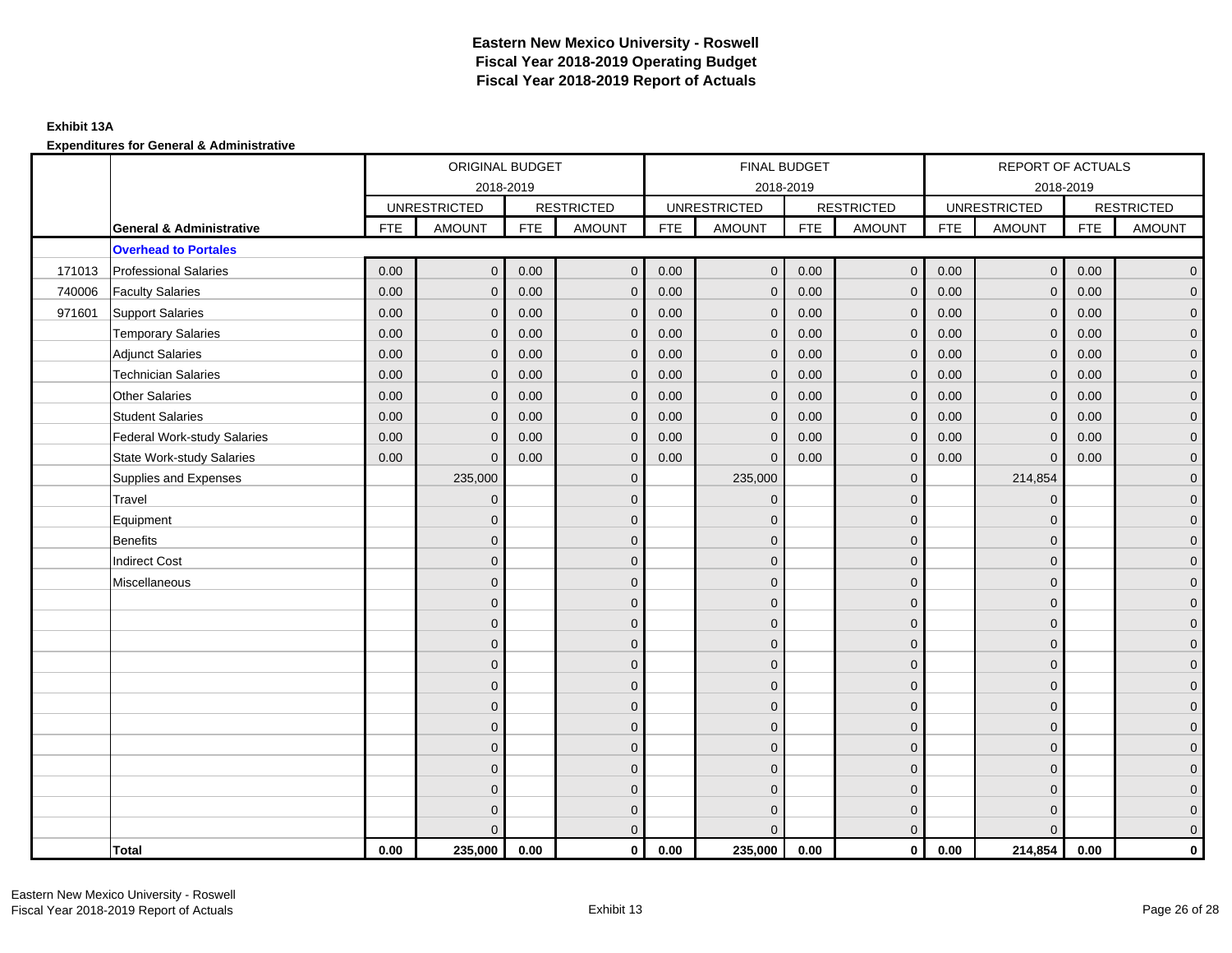## **Exhibit 13A**

|        |                                     |            | ORIGINAL BUDGET     |            |                   |            | <b>FINAL BUDGET</b> |            |                   |            | <b>REPORT OF ACTUALS</b> |            |                     |
|--------|-------------------------------------|------------|---------------------|------------|-------------------|------------|---------------------|------------|-------------------|------------|--------------------------|------------|---------------------|
|        |                                     |            |                     | 2018-2019  |                   |            | 2018-2019           |            |                   |            | 2018-2019                |            |                     |
|        |                                     |            | <b>UNRESTRICTED</b> |            | <b>RESTRICTED</b> |            | <b>UNRESTRICTED</b> |            | <b>RESTRICTED</b> |            | <b>UNRESTRICTED</b>      |            | <b>RESTRICTED</b>   |
|        | <b>General &amp; Administrative</b> | <b>FTE</b> | <b>AMOUNT</b>       | <b>FTE</b> | <b>AMOUNT</b>     | <b>FTE</b> | AMOUNT              | <b>FTE</b> | <b>AMOUNT</b>     | <b>FTE</b> | <b>AMOUNT</b>            | <b>FTE</b> | <b>AMOUNT</b>       |
|        | <b>Overhead to Portales</b>         |            |                     |            |                   |            |                     |            |                   |            |                          |            |                     |
| 171013 | <b>Professional Salaries</b>        | 0.00       | $\mathbf{0}$        | 0.00       | $\mathbf{0}$      | 0.00       | $\overline{0}$      | 0.00       | $\overline{0}$    | 0.00       | $\overline{0}$           | 0.00       | $\overline{0}$      |
| 740006 | <b>Faculty Salaries</b>             | 0.00       | $\mathbf 0$         | 0.00       | $\mathbf 0$       | 0.00       | $\mathbf 0$         | 0.00       | $\mathbf{0}$      | 0.00       | $\mathbf 0$              | 0.00       | $\overline{0}$      |
| 971601 | <b>Support Salaries</b>             | 0.00       | $\mathbf 0$         | 0.00       | $\mathbf 0$       | 0.00       | $\mathbf{0}$        | 0.00       | $\mathbf 0$       | 0.00       | $\overline{0}$           | 0.00       | $\overline{0}$      |
|        | <b>Temporary Salaries</b>           | 0.00       | $\mathbf{0}$        | 0.00       | $\mathbf{0}$      | 0.00       | $\mathbf{0}$        | 0.00       | $\mathbf{0}$      | 0.00       | $\mathbf 0$              | 0.00       | $\overline{0}$      |
|        | <b>Adjunct Salaries</b>             | 0.00       | $\Omega$            | 0.00       | $\Omega$          | 0.00       | $\Omega$            | 0.00       | $\mathbf{0}$      | 0.00       | $\mathbf{0}$             | 0.00       | $\overline{0}$      |
|        | <b>Technician Salaries</b>          | 0.00       | $\mathbf{0}$        | 0.00       | $\mathbf 0$       | 0.00       | $\mathbf{0}$        | 0.00       | $\mathbf{0}$      | 0.00       | $\mathbf{0}$             | 0.00       | $\mathbf{0}$        |
|        | <b>Other Salaries</b>               | 0.00       | $\mathbf{0}$        | 0.00       | $\mathbf{0}$      | 0.00       | $\mathbf{0}$        | 0.00       | $\mathbf{0}$      | 0.00       | $\mathbf{0}$             | 0.00       | $\mathbf{0}$        |
|        | <b>Student Salaries</b>             | 0.00       | $\mathbf{0}$        | 0.00       | $\mathbf{0}$      | 0.00       | $\mathbf{0}$        | 0.00       | $\mathbf 0$       | 0.00       | $\mathbf{0}$             | 0.00       | $\overline{0}$      |
|        | <b>Federal Work-study Salaries</b>  | 0.00       | $\mathbf 0$         | 0.00       | $\mathbf{0}$      | 0.00       | $\mathbf{0}$        | 0.00       | $\mathbf 0$       | 0.00       | $\mathbf 0$              | 0.00       | $\overline{0}$      |
|        | <b>State Work-study Salaries</b>    | 0.00       | $\mathbf{0}$        | 0.00       | $\mathbf{0}$      | 0.00       | $\mathbf{0}$        | 0.00       | $\mathbf{0}$      | 0.00       | $\mathbf{0}$             | 0.00       | $\overline{0}$      |
|        | Supplies and Expenses               |            | 235,000             |            | $\mathbf 0$       |            | 235,000             |            | $\overline{0}$    |            | 214,854                  |            | $\mathsf{O}\xspace$ |
|        | Travel                              |            | $\overline{0}$      |            | $\mathbf{0}$      |            | $\mathbf{0}$        |            | $\mathbf{0}$      |            | $\mathbf{0}$             |            | $\overline{0}$      |
|        | Equipment                           |            | $\mathbf{0}$        |            | $\mathbf 0$       |            | $\mathbf{0}$        |            | $\mathbf 0$       |            | $\mathbf 0$              |            | $\overline{0}$      |
|        | <b>Benefits</b>                     |            | $\mathbf{0}$        |            | $\mathbf{0}$      |            | $\Omega$            |            | $\mathbf 0$       |            | $\mathbf{0}$             |            | $\overline{0}$      |
|        | <b>Indirect Cost</b>                |            | $\Omega$            |            | $\mathbf{0}$      |            | $\Omega$            |            | $\mathbf{0}$      |            | $\Omega$                 |            | $\overline{0}$      |
|        | Miscellaneous                       |            | $\overline{0}$      |            | $\mathbf 0$       |            | $\mathbf{0}$        |            | $\mathbf 0$       |            | $\mathbf 0$              |            | $\mathsf{O}\xspace$ |
|        |                                     |            | $\overline{0}$      |            | $\mathbf 0$       |            | $\mathbf{0}$        |            | $\mathbf 0$       |            | $\mathbf{0}$             |            | $\overline{0}$      |
|        |                                     |            | $\Omega$            |            | $\mathbf 0$       |            | $\mathbf{0}$        |            | $\mathbf 0$       |            | $\mathbf{0}$             |            | $\overline{0}$      |
|        |                                     |            | $\mathbf{0}$        |            | $\mathbf 0$       |            | $\Omega$            |            | $\mathsf{O}$      |            | $\mathbf 0$              |            | $\mathbf{0}$        |
|        |                                     |            | $\Omega$            |            | $\mathbf 0$       |            | $\Omega$            |            | $\overline{0}$    |            | $\mathbf 0$              |            | $\mathbf{0}$        |
|        |                                     |            | $\Omega$            |            | $\mathbf{0}$      |            | $\Omega$            |            | $\mathbf{0}$      |            | $\mathbf 0$              |            | $\mathbf{0}$        |
|        |                                     |            | $\mathbf{0}$        |            | $\mathbf{0}$      |            | $\Omega$            |            | $\mathbf{0}$      |            | $\Omega$                 |            | $\overline{0}$      |
|        |                                     |            | $\mathbf{0}$        |            | $\mathbf 0$       |            | $\mathbf{0}$        |            | $\mathbf 0$       |            | $\mathbf{0}$             |            | $\overline{0}$      |
|        |                                     |            | $\mathbf{0}$        |            | $\mathbf{0}$      |            | $\Omega$            |            | $\mathbf 0$       |            | $\mathbf{0}$             |            | $\overline{0}$      |
|        |                                     |            | $\Omega$            |            | $\mathbf{0}$      |            | $\Omega$            |            | $\mathbf 0$       |            | $\Omega$                 |            | $\overline{0}$      |
|        |                                     |            | $\mathbf{0}$        |            | $\mathbf 0$       |            | $\mathbf{0}$        |            | $\mathbf 0$       |            | $\mathbf 0$              |            | $\mathbf{0}$        |
|        |                                     |            | $\mathbf{0}$        |            | $\mathbf 0$       |            | $\mathbf{0}$        |            | $\mathbf 0$       |            | $\mathbf 0$              |            | $\mathbf{0}$        |
|        |                                     |            | $\Omega$            |            | $\mathbf{0}$      |            | $\Omega$            |            | $\mathbf 0$       |            | $\Omega$                 |            | $\overline{0}$      |
|        | <b>Total</b>                        | 0.00       | 235,000             | 0.00       | $\mathbf{0}$      | 0.00       | 235,000             | 0.00       | $\overline{0}$    | 0.00       | 214,854                  | 0.00       | $\mathbf{0}$        |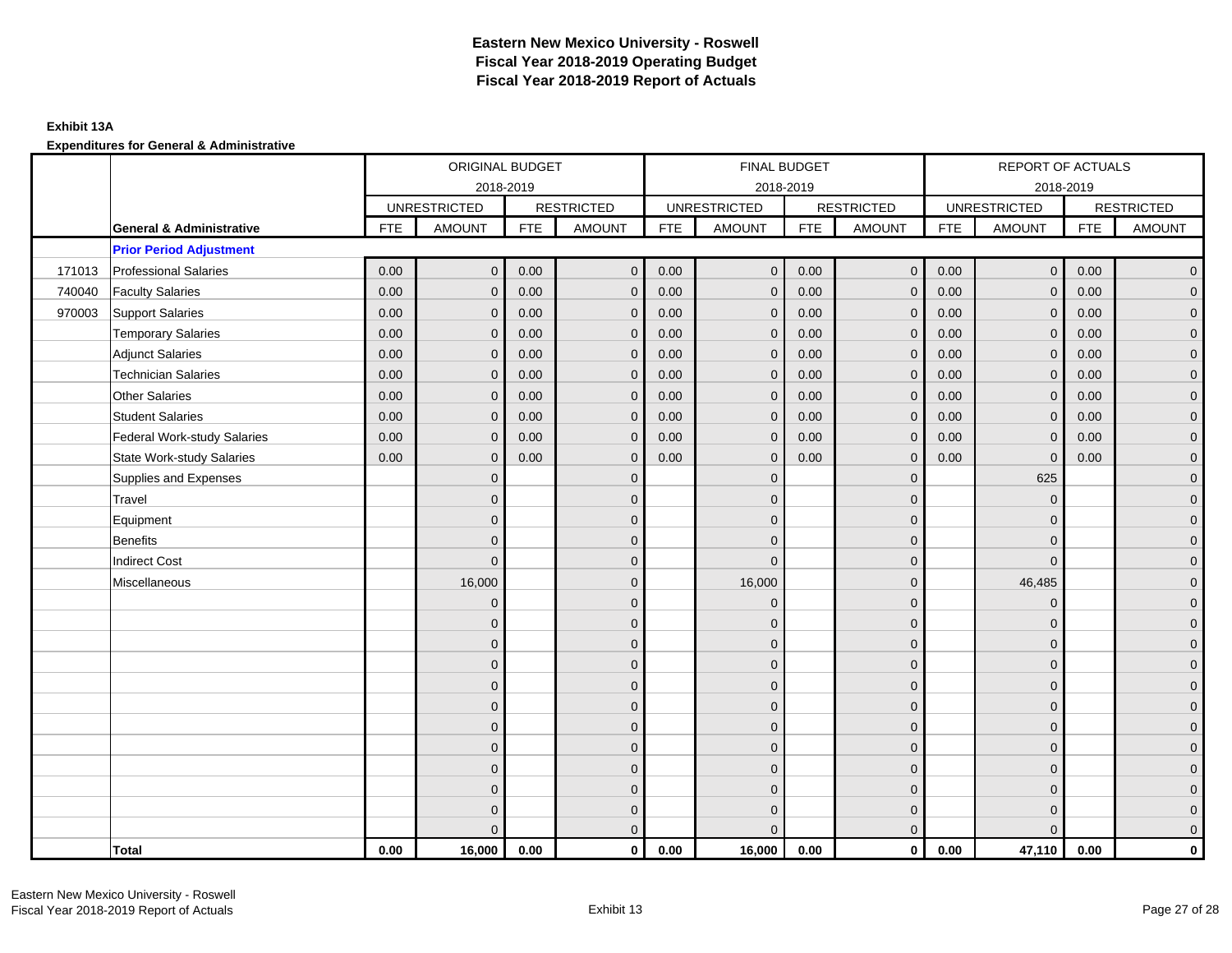## **Exhibit 13A**

|        |                                     |            | ORIGINAL BUDGET     |            |                   |            | FINAL BUDGET        |            |                   |            | REPORT OF ACTUALS   |            |                     |
|--------|-------------------------------------|------------|---------------------|------------|-------------------|------------|---------------------|------------|-------------------|------------|---------------------|------------|---------------------|
|        |                                     |            |                     | 2018-2019  |                   |            | 2018-2019           |            |                   |            | 2018-2019           |            |                     |
|        |                                     |            | <b>UNRESTRICTED</b> |            | <b>RESTRICTED</b> |            | <b>UNRESTRICTED</b> |            | <b>RESTRICTED</b> |            | <b>UNRESTRICTED</b> |            | <b>RESTRICTED</b>   |
|        | <b>General &amp; Administrative</b> | <b>FTE</b> | <b>AMOUNT</b>       | <b>FTE</b> | <b>AMOUNT</b>     | <b>FTE</b> | <b>AMOUNT</b>       | <b>FTE</b> | <b>AMOUNT</b>     | <b>FTE</b> | <b>AMOUNT</b>       | <b>FTE</b> | <b>AMOUNT</b>       |
|        | <b>Prior Period Adjustment</b>      |            |                     |            |                   |            |                     |            |                   |            |                     |            |                     |
| 171013 | <b>Professional Salaries</b>        | 0.00       | $\mathbf{0}$        | 0.00       | $\mathbf{0}$      | 0.00       | $\mathbf{0}$        | 0.00       | $\overline{0}$    | 0.00       | $\overline{0}$      | 0.00       | $\overline{0}$      |
| 740040 | <b>Faculty Salaries</b>             | 0.00       | $\mathbf{0}$        | 0.00       | $\mathbf{0}$      | 0.00       | $\mathbf{0}$        | 0.00       | $\mathbf{0}$      | 0.00       | $\mathbf{0}$        | 0.00       | $\overline{0}$      |
| 970003 | Support Salaries                    | 0.00       | $\mathbf{0}$        | 0.00       | $\mathbf{0}$      | 0.00       | $\overline{0}$      | 0.00       | $\mathbf 0$       | 0.00       | $\overline{0}$      | 0.00       | $\overline{0}$      |
|        | <b>Temporary Salaries</b>           | 0.00       | $\mathbf 0$         | 0.00       | $\mathbf 0$       | 0.00       | $\mathbf 0$         | 0.00       | $\mathbf 0$       | 0.00       | $\overline{0}$      | 0.00       | $\mathbf{0}$        |
|        | <b>Adjunct Salaries</b>             | 0.00       | $\mathbf{0}$        | 0.00       | $\mathbf{0}$      | 0.00       | $\mathbf{0}$        | 0.00       | $\mathbf{0}$      | 0.00       | $\mathbf{0}$        | 0.00       | $\mathbf{0}$        |
|        | <b>Technician Salaries</b>          | 0.00       | $\mathbf{0}$        | 0.00       | $\mathbf 0$       | 0.00       | $\mathbf{0}$        | 0.00       | $\mathbf{0}$      | 0.00       | $\mathbf{0}$        | 0.00       | $\mathbf{0}$        |
|        | <b>Other Salaries</b>               | 0.00       | $\mathbf{0}$        | 0.00       | $\mathbf{0}$      | 0.00       | $\Omega$            | 0.00       | $\mathbf{0}$      | 0.00       | $\mathbf{0}$        | 0.00       | $\overline{0}$      |
|        | <b>Student Salaries</b>             | 0.00       | $\mathbf 0$         | 0.00       | $\mathbf 0$       | 0.00       | $\mathbf{0}$        | 0.00       | $\mathbf 0$       | 0.00       | $\mathbf 0$         | 0.00       | $\mathbf{0}$        |
|        | <b>Federal Work-study Salaries</b>  | 0.00       | $\mathbf 0$         | 0.00       | $\mathbf 0$       | 0.00       | $\mathbf{0}$        | 0.00       | $\mathbf 0$       | 0.00       | $\mathbf 0$         | 0.00       | $\overline{0}$      |
|        | <b>State Work-study Salaries</b>    | 0.00       | $\mathbf{0}$        | 0.00       | $\mathbf{0}$      | 0.00       | $\mathbf{0}$        | 0.00       | $\mathbf{0}$      | 0.00       | $\mathbf 0$         | 0.00       | $\overline{0}$      |
|        | Supplies and Expenses               |            | $\Omega$            |            | $\mathbf 0$       |            | $\mathbf{0}$        |            | $\overline{0}$    |            | 625                 |            | $\mathsf{O}\xspace$ |
|        | Travel                              |            | $\overline{0}$      |            | $\mathbf{0}$      |            | $\Omega$            |            | $\mathbf{0}$      |            | $\mathbf 0$         |            | $\overline{0}$      |
|        | Equipment                           |            | $\overline{0}$      |            | $\mathbf 0$       |            | $\mathbf{0}$        |            | $\mathbf 0$       |            | $\mathbf{0}$        |            | $\overline{0}$      |
|        | <b>Benefits</b>                     |            | $\mathbf{0}$        |            | $\mathbf{0}$      |            | $\Omega$            |            | $\mathbf 0$       |            | $\mathbf 0$         |            | $\overline{0}$      |
|        | <b>Indirect Cost</b>                |            | $\Omega$            |            | $\mathbf{0}$      |            | $\Omega$            |            | $\mathbf{0}$      |            | $\Omega$            |            | $\overline{0}$      |
|        | Miscellaneous                       |            | 16,000              |            | $\mathbf{0}$      |            | 16,000              |            | $\mathbf{0}$      |            | 46,485              |            | $\overline{0}$      |
|        |                                     |            | $\mathbf 0$         |            | $\mathbf 0$       |            | $\mathbf{0}$        |            | $\mathbf 0$       |            | $\mathbf 0$         |            | $\mathbf{0}$        |
|        |                                     |            | $\mathbf{0}$        |            | $\mathbf 0$       |            | $\mathbf{0}$        |            | $\mathbf 0$       |            | $\mathbf{0}$        |            | $\overline{0}$      |
|        |                                     |            | $\overline{0}$      |            | $\mathbf{0}$      |            | $\Omega$            |            | $\mathbf 0$       |            | $\mathbf{0}$        |            | $\overline{0}$      |
|        |                                     |            | $\Omega$            |            | $\mathbf{0}$      |            | $\Omega$            |            | $\mathbf{0}$      |            | $\Omega$            |            | $\overline{0}$      |
|        |                                     |            | $\mathbf{0}$        |            | $\mathbf 0$       |            | $\mathbf{0}$        |            | $\mathbf 0$       |            | $\mathbf 0$         |            | $\mathsf{O}\xspace$ |
|        |                                     |            | $\mathbf{0}$        |            | $\mathbf 0$       |            | $\mathbf{0}$        |            | $\mathbf 0$       |            | $\mathbf{0}$        |            | $\mathbf{0}$        |
|        |                                     |            | $\mathbf{0}$        |            | $\mathbf{0}$      |            | $\mathbf{0}$        |            | $\mathbf 0$       |            | $\mathbf{0}$        |            | $\overline{0}$      |
|        |                                     |            | $\Omega$            |            | $\mathbf{0}$      |            | $\Omega$            |            | $\mathbf{0}$      |            | $\mathbf 0$         |            | $\overline{0}$      |
|        |                                     |            | $\mathbf{0}$        |            | $\mathbf 0$       |            | $\mathbf{0}$        |            | $\mathbf 0$       |            | $\mathbf 0$         |            | $\mathbf{0}$        |
|        |                                     |            | $\mathbf{0}$        |            | $\mathbf 0$       |            | $\mathbf{0}$        |            | $\mathbf 0$       |            | $\mathbf 0$         |            | $\mathbf{0}$        |
|        |                                     |            | 0                   |            | $\mathbf 0$       |            | $\Omega$            |            | $\mathbf 0$       |            | $\mathbf 0$         |            | $\mathbf{0}$        |
|        |                                     |            | $\Omega$            |            | $\mathbf{0}$      |            | $\Omega$            |            | $\overline{0}$    |            | $\Omega$            |            | $\overline{0}$      |
|        | <b>Total</b>                        | 0.00       | 16,000              | 0.00       | $\mathbf{0}$      | 0.00       | 16,000              | 0.00       | $\mathbf{0}$      | 0.00       | 47,110              | 0.00       | $\mathbf 0$         |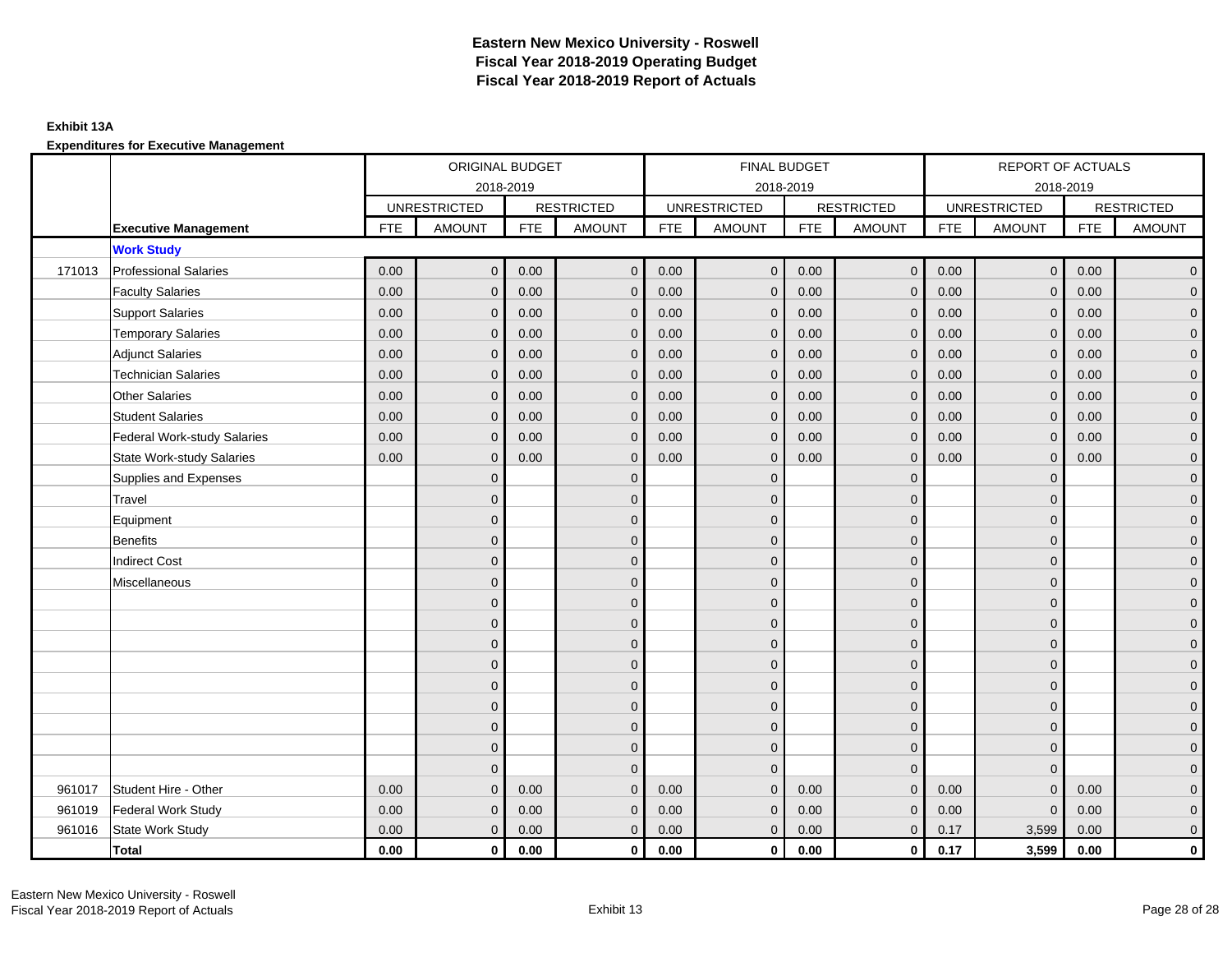## **Exhibit 13A**

**Expenditures for Executive Management**

|        |                                    |            | ORIGINAL BUDGET     |            |                   |            | FINAL BUDGET        |            |                   |      | REPORT OF ACTUALS   |            |                   |
|--------|------------------------------------|------------|---------------------|------------|-------------------|------------|---------------------|------------|-------------------|------|---------------------|------------|-------------------|
|        |                                    |            | 2018-2019           |            |                   |            | 2018-2019           |            |                   |      | 2018-2019           |            |                   |
|        |                                    |            | <b>UNRESTRICTED</b> |            | <b>RESTRICTED</b> |            | <b>UNRESTRICTED</b> |            | <b>RESTRICTED</b> |      | <b>UNRESTRICTED</b> |            | <b>RESTRICTED</b> |
|        | <b>Executive Management</b>        | <b>FTE</b> | <b>AMOUNT</b>       | <b>FTE</b> | <b>AMOUNT</b>     | <b>FTE</b> | <b>AMOUNT</b>       | <b>FTE</b> | <b>AMOUNT</b>     | FTE  | <b>AMOUNT</b>       | <b>FTE</b> | <b>AMOUNT</b>     |
|        | <b>Work Study</b>                  |            |                     |            |                   |            |                     |            |                   |      |                     |            |                   |
| 171013 | <b>Professional Salaries</b>       | 0.00       | $\mathbf{0}$        | 0.00       | $\mathbf{0}$      | 0.00       | $\overline{0}$      | 0.00       | $\overline{0}$    | 0.00 | $\overline{0}$      | 0.00       | $\mathbf{0}$      |
|        | <b>Faculty Salaries</b>            | 0.00       | $\Omega$            | 0.00       | $\mathbf{0}$      | 0.00       | $\mathbf 0$         | 0.00       | $\mathbf{0}$      | 0.00 | $\mathbf{0}$        | 0.00       | 0                 |
|        | <b>Support Salaries</b>            | 0.00       | $\mathbf{0}$        | 0.00       | $\mathbf 0$       | 0.00       | $\mathbf 0$         | 0.00       | $\mathbf 0$       | 0.00 | $\mathbf 0$         | 0.00       | 0                 |
|        | <b>Temporary Salaries</b>          | 0.00       | $\mathbf 0$         | 0.00       | $\mathbf{0}$      | 0.00       | $\mathbf 0$         | 0.00       | $\mathbf 0$       | 0.00 | $\mathbf 0$         | 0.00       | $\mathbf{0}$      |
|        | <b>Adjunct Salaries</b>            | 0.00       | $\Omega$            | 0.00       | $\Omega$          | 0.00       | $\Omega$            | 0.00       | $\mathbf{0}$      | 0.00 | $\mathbf{0}$        | 0.00       | 0                 |
|        | <b>Technician Salaries</b>         | 0.00       | $\mathbf{0}$        | 0.00       | $\mathbf{0}$      | 0.00       | $\mathbf{0}$        | 0.00       | $\mathbf{0}$      | 0.00 | $\mathbf{0}$        | 0.00       | 0                 |
|        | <b>Other Salaries</b>              | 0.00       | $\Omega$            | 0.00       | $\Omega$          | 0.00       | $\Omega$            | 0.00       | $\Omega$          | 0.00 | $\mathbf{0}$        | 0.00       | 0                 |
|        | <b>Student Salaries</b>            | 0.00       | $\mathbf{0}$        | 0.00       | $\Omega$          | 0.00       | $\Omega$            | 0.00       | $\mathbf{0}$      | 0.00 | $\mathbf{0}$        | 0.00       | $\overline{0}$    |
|        | <b>Federal Work-study Salaries</b> | 0.00       | $\mathbf 0$         | 0.00       | $\mathbf{0}$      | 0.00       | $\mathbf{0}$        | 0.00       | $\mathbf 0$       | 0.00 | $\mathbf 0$         | 0.00       | $\Omega$          |
|        | <b>State Work-study Salaries</b>   | 0.00       | $\mathbf{0}$        | 0.00       | $\mathbf{0}$      | 0.00       | $\mathbf{0}$        | 0.00       | $\mathbf{0}$      | 0.00 | $\mathbf 0$         | 0.00       | $\mathbf{0}$      |
|        | Supplies and Expenses              |            | $\Omega$            |            | $\mathbf{0}$      |            | $\Omega$            |            | $\mathbf 0$       |      | $\mathbf{0}$        |            | 0                 |
|        | Travel                             |            | $\Omega$            |            | $\mathbf{0}$      |            | 0                   |            | $\mathbf 0$       |      | $\Omega$            |            | 0                 |
|        | Equipment                          |            | $\Omega$            |            | $\mathbf{0}$      |            | $\Omega$            |            | $\mathbf 0$       |      | $\Omega$            |            | $\mathbf{0}$      |
|        | Benefits                           |            | $\Omega$            |            | $\mathbf 0$       |            | $\Omega$            |            | $\mathbf 0$       |      | $\mathbf{0}$        |            | $\Omega$          |
|        | <b>Indirect Cost</b>               |            | $\Omega$            |            | $\Omega$          |            | $\Omega$            |            | $\mathbf 0$       |      | $\mathbf{0}$        |            | 0                 |
|        | Miscellaneous                      |            | $\Omega$            |            | $\Omega$          |            | $\Omega$            |            | $\mathbf 0$       |      | $\Omega$            |            | $\mathbf{0}$      |
|        |                                    |            | $\Omega$            |            | $\mathbf{0}$      |            | 0                   |            | $\mathbf 0$       |      | $\Omega$            |            | 0                 |
|        |                                    |            | $\Omega$            |            | $\mathbf{0}$      |            | $\Omega$            |            | $\mathbf 0$       |      | $\mathbf{0}$        |            | $\mathbf{0}$      |
|        |                                    |            | $\Omega$            |            | $\mathbf 0$       |            | $\Omega$            |            | $\mathbf 0$       |      | $\overline{0}$      |            | $\Omega$          |
|        |                                    |            | $\Omega$            |            | $\mathbf{0}$      |            | $\Omega$            |            | $\mathbf 0$       |      | $\mathbf{0}$        |            | $\mathbf{0}$      |
|        |                                    |            | $\Omega$            |            | $\Omega$          |            | $\Omega$            |            | $\mathbf 0$       |      | $\Omega$            |            | 0                 |
|        |                                    |            | $\Omega$            |            | $\mathbf{0}$      |            | 0                   |            | $\mathbf 0$       |      | $\Omega$            |            | 0                 |
|        |                                    |            | $\Omega$            |            | $\mathbf{0}$      |            | $\Omega$            |            | $\mathbf 0$       |      | $\mathbf{0}$        |            | $\mathbf{0}$      |
|        |                                    |            | $\Omega$            |            | $\mathbf 0$       |            | $\Omega$            |            | $\mathbf 0$       |      | $\overline{0}$      |            | $\Omega$          |
|        |                                    |            | $\Omega$            |            | $\mathbf{0}$      |            | $\mathbf{0}$        |            | $\mathbf 0$       |      | $\mathbf{0}$        |            | $\Omega$          |
| 961017 | Student Hire - Other               | 0.00       | $\Omega$            | 0.00       | $\Omega$          | 0.00       | $\Omega$            | 0.00       | $\Omega$          | 0.00 | $\Omega$            | 0.00       | $\Omega$          |
| 961019 | Federal Work Study                 | 0.00       | $\mathbf{0}$        | 0.00       | $\mathbf 0$       | 0.00       | $\Omega$            | 0.00       | $\mathbf 0$       | 0.00 | $\mathbf{0}$        | 0.00       | 0                 |
| 961016 | State Work Study                   | 0.00       | $\mathbf{0}$        | 0.00       | $\overline{0}$    | 0.00       | $\mathbf{0}$        | 0.00       | $\mathbf{0}$      | 0.17 | 3,599               | 0.00       | 0                 |
|        | <b>Total</b>                       | 0.00       | $\mathbf 0$         | 0.00       | $\mathbf 0$       | 0.00       | 0                   | 0.00       | $\mathbf 0$       | 0.17 | 3,599               | 0.00       | 0                 |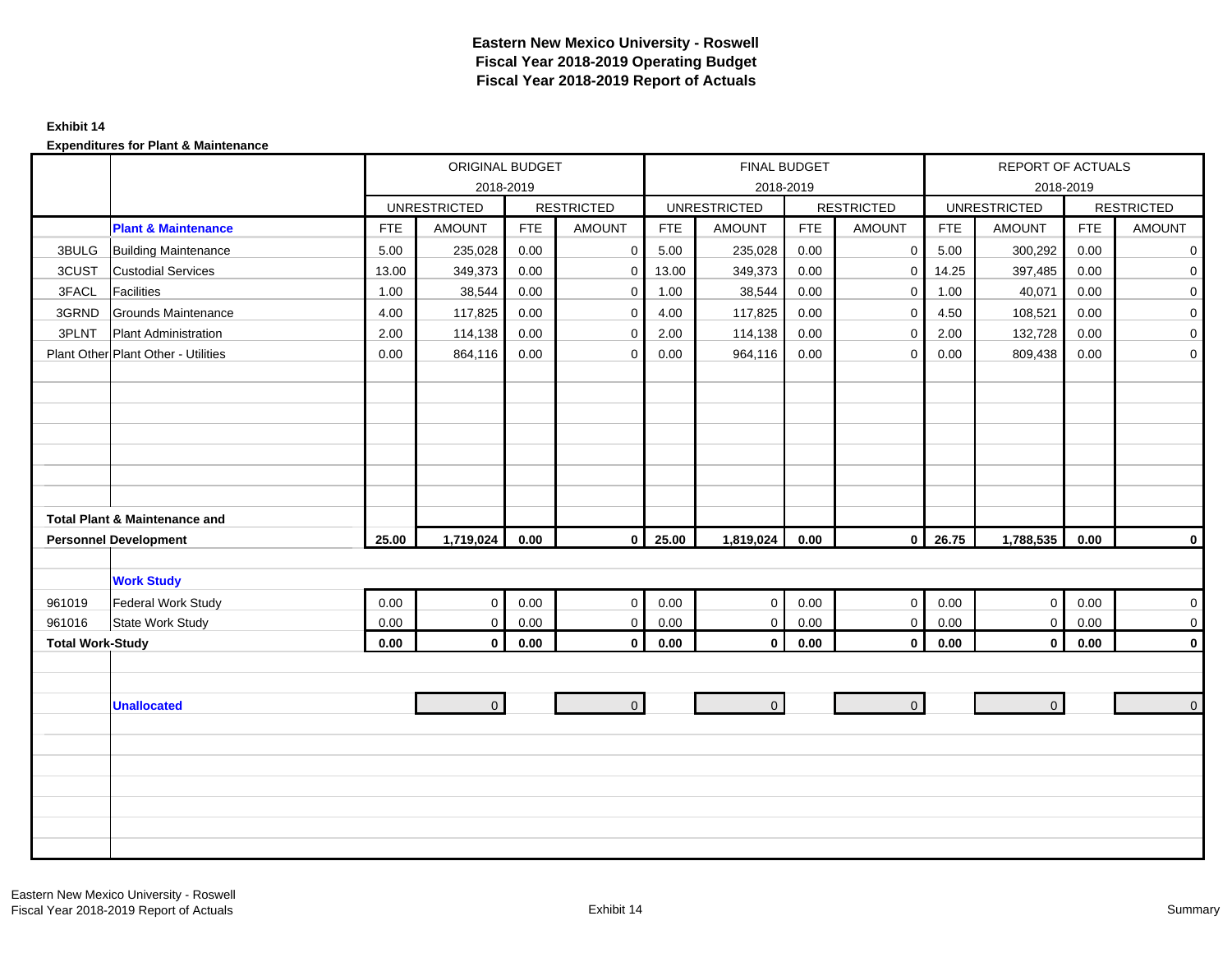#### **Exhibit 14**

|                         |                                          |            | ORIGINAL BUDGET     |            |                   |            | FINAL BUDGET        |            |                   |            | REPORT OF ACTUALS   |            |                   |
|-------------------------|------------------------------------------|------------|---------------------|------------|-------------------|------------|---------------------|------------|-------------------|------------|---------------------|------------|-------------------|
|                         |                                          |            |                     | 2018-2019  |                   |            |                     | 2018-2019  |                   |            |                     | 2018-2019  |                   |
|                         |                                          |            | <b>UNRESTRICTED</b> |            | <b>RESTRICTED</b> |            | <b>UNRESTRICTED</b> |            | <b>RESTRICTED</b> |            | <b>UNRESTRICTED</b> |            | <b>RESTRICTED</b> |
|                         | <b>Plant &amp; Maintenance</b>           | <b>FTE</b> | <b>AMOUNT</b>       | <b>FTE</b> | <b>AMOUNT</b>     | <b>FTE</b> | <b>AMOUNT</b>       | <b>FTE</b> | <b>AMOUNT</b>     | <b>FTE</b> | <b>AMOUNT</b>       | <b>FTE</b> | AMOUNT            |
| 3BULG                   | <b>Building Maintenance</b>              | 5.00       | 235,028             | 0.00       | $\mathbf 0$       | 5.00       | 235,028             | 0.00       | 0                 | 5.00       | 300,292             | 0.00       | $\mathbf 0$       |
| 3CUST                   | <b>Custodial Services</b>                | 13.00      | 349,373             | 0.00       | $\mathbf 0$       | 13.00      | 349,373             | 0.00       | $\mathbf 0$       | 14.25      | 397,485             | 0.00       | $\mathbf 0$       |
| 3FACL                   | <b>Facilities</b>                        | 1.00       | 38,544              | 0.00       | $\mathbf 0$       | 1.00       | 38,544              | 0.00       | $\mathbf 0$       | 1.00       | 40,071              | 0.00       | $\mathbf 0$       |
| 3GRND                   | Grounds Maintenance                      | 4.00       | 117,825             | 0.00       | $\mathbf 0$       | 4.00       | 117,825             | 0.00       | $\mathbf 0$       | 4.50       | 108,521             | 0.00       | $\overline{0}$    |
| 3PLNT                   | <b>Plant Administration</b>              | 2.00       | 114,138             | 0.00       | $\mathbf 0$       | 2.00       | 114,138             | 0.00       | $\Omega$          | 2.00       | 132,728             | 0.00       | $\overline{0}$    |
|                         | Plant Other Plant Other - Utilities      | 0.00       | 864,116             | 0.00       | $\mathbf 0$       | 0.00       | 964,116             | 0.00       | $\mathbf{0}$      | 0.00       | 809,438             | 0.00       | $\overline{0}$    |
|                         |                                          |            |                     |            |                   |            |                     |            |                   |            |                     |            |                   |
|                         |                                          |            |                     |            |                   |            |                     |            |                   |            |                     |            |                   |
|                         |                                          |            |                     |            |                   |            |                     |            |                   |            |                     |            |                   |
|                         |                                          |            |                     |            |                   |            |                     |            |                   |            |                     |            |                   |
|                         |                                          |            |                     |            |                   |            |                     |            |                   |            |                     |            |                   |
|                         |                                          |            |                     |            |                   |            |                     |            |                   |            |                     |            |                   |
|                         |                                          |            |                     |            |                   |            |                     |            |                   |            |                     |            |                   |
|                         | <b>Total Plant &amp; Maintenance and</b> |            |                     |            |                   |            |                     |            |                   |            |                     |            |                   |
|                         | <b>Personnel Development</b>             | 25.00      | 1,719,024           | 0.00       | $\mathbf 0$       | 25.00      | 1,819,024           | 0.00       | $\overline{0}$    | 26.75      | 1,788,535           | 0.00       | $\mathbf 0$       |
|                         |                                          |            |                     |            |                   |            |                     |            |                   |            |                     |            |                   |
|                         | <b>Work Study</b>                        |            |                     |            |                   |            |                     |            |                   |            |                     |            |                   |
| 961019                  | <b>Federal Work Study</b>                | 0.00       | $\mathbf 0$         | 0.00       | $\mathbf{0}$      | 0.00       | $\mathbf{0}$        | 0.00       | $\mathbf{0}$      | 0.00       | $\overline{0}$      | 0.00       | $\overline{0}$    |
| 961016                  | State Work Study                         | 0.00       | $\mathsf 0$         | 0.00       | $\mathsf 0$       | $0.00\,$   | $\mathbf 0$         | 0.00       | $\mathbf 0$       | $0.00\,$   | $\overline{0}$      | $0.00\,$   | $\mathbf 0$       |
| <b>Total Work-Study</b> |                                          | 0.00       | $\mathbf 0$         | $0.00\,$   | $\mathbf 0$       | 0.00       | $\mathbf{0}$        | $0.00\,$   | $\mathbf 0$       | 0.00       | $\overline{0}$      | 0.00       | $\mathbf 0$       |
|                         |                                          |            |                     |            |                   |            |                     |            |                   |            |                     |            |                   |
|                         |                                          |            |                     |            |                   |            |                     |            |                   |            |                     |            |                   |
|                         | <b>Unallocated</b>                       |            | $\Omega$            |            | $\mathbf{0}$      |            | $\mathbf{0}$        |            | $\overline{0}$    |            | $\overline{0}$      |            | $\overline{0}$    |
|                         |                                          |            |                     |            |                   |            |                     |            |                   |            |                     |            |                   |
|                         |                                          |            |                     |            |                   |            |                     |            |                   |            |                     |            |                   |
|                         |                                          |            |                     |            |                   |            |                     |            |                   |            |                     |            |                   |
|                         |                                          |            |                     |            |                   |            |                     |            |                   |            |                     |            |                   |
|                         |                                          |            |                     |            |                   |            |                     |            |                   |            |                     |            |                   |
|                         |                                          |            |                     |            |                   |            |                     |            |                   |            |                     |            |                   |
|                         |                                          |            |                     |            |                   |            |                     |            |                   |            |                     |            |                   |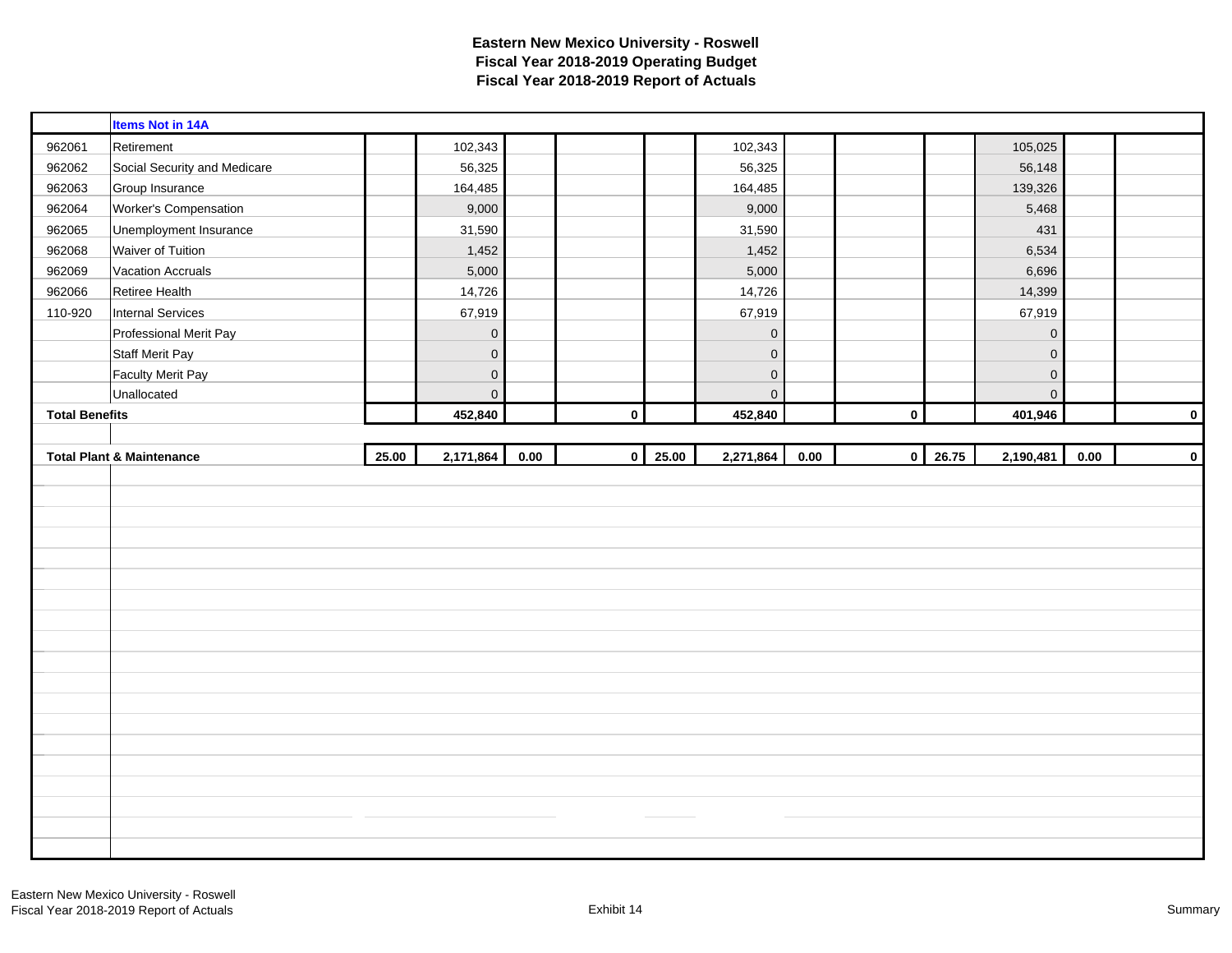|                       | <b>Items Not in 14A</b>              |       |             |      |             |                |                |      |              |       |                     |      |             |
|-----------------------|--------------------------------------|-------|-------------|------|-------------|----------------|----------------|------|--------------|-------|---------------------|------|-------------|
| 962061                | Retirement                           |       | 102,343     |      |             |                | 102,343        |      |              |       | 105,025             |      |             |
| 962062                | Social Security and Medicare         |       | 56,325      |      |             |                | 56,325         |      |              |       | 56,148              |      |             |
| 962063                | Group Insurance                      |       | 164,485     |      |             |                | 164,485        |      |              |       | 139,326             |      |             |
| 962064                | Worker's Compensation                |       | 9,000       |      |             |                | 9,000          |      |              |       | 5,468               |      |             |
| 962065                | Unemployment Insurance               |       | 31,590      |      |             |                | 31,590         |      |              |       | 431                 |      |             |
| 962068                | Waiver of Tuition                    |       | 1,452       |      |             |                | 1,452          |      |              |       | 6,534               |      |             |
| 962069                | <b>Vacation Accruals</b>             |       | 5,000       |      |             |                | 5,000          |      |              |       | 6,696               |      |             |
| 962066                | Retiree Health                       |       | 14,726      |      |             |                | 14,726         |      |              |       | 14,399              |      |             |
| 110-920               | <b>Internal Services</b>             |       | 67,919      |      |             |                | 67,919         |      |              |       | 67,919              |      |             |
|                       | Professional Merit Pay               |       | $\mathbf 0$ |      |             |                | $\mathbf 0$    |      |              |       | $\mathsf{O}\xspace$ |      |             |
|                       | <b>Staff Merit Pay</b>               |       | $\mathbf 0$ |      |             |                | $\mathbf 0$    |      |              |       | $\mathsf{O}\xspace$ |      |             |
|                       | <b>Faculty Merit Pay</b>             |       | $\mathbf 0$ |      |             |                | $\mathbf 0$    |      |              |       | $\mathbf 0$         |      |             |
|                       | Unallocated                          |       | $\mathbf 0$ |      |             |                | $\overline{0}$ |      |              |       | $\overline{0}$      |      |             |
| <b>Total Benefits</b> |                                      |       | 452,840     |      | $\mathbf 0$ |                | 452,840        |      | $\mathbf 0$  |       | 401,946             |      | $\mathbf 0$ |
|                       |                                      |       |             |      |             |                |                |      |              |       |                     |      |             |
|                       |                                      |       |             |      |             |                |                |      |              |       |                     |      |             |
|                       | <b>Total Plant &amp; Maintenance</b> | 25.00 | 2,171,864   | 0.00 |             | $0 \mid 25.00$ | 2,271,864      | 0.00 | $\mathbf{0}$ | 26.75 | 2,190,481           | 0.00 |             |
|                       |                                      |       |             |      |             |                |                |      |              |       |                     |      | $\pmb{0}$   |
|                       |                                      |       |             |      |             |                |                |      |              |       |                     |      |             |
|                       |                                      |       |             |      |             |                |                |      |              |       |                     |      |             |
|                       |                                      |       |             |      |             |                |                |      |              |       |                     |      |             |
|                       |                                      |       |             |      |             |                |                |      |              |       |                     |      |             |
|                       |                                      |       |             |      |             |                |                |      |              |       |                     |      |             |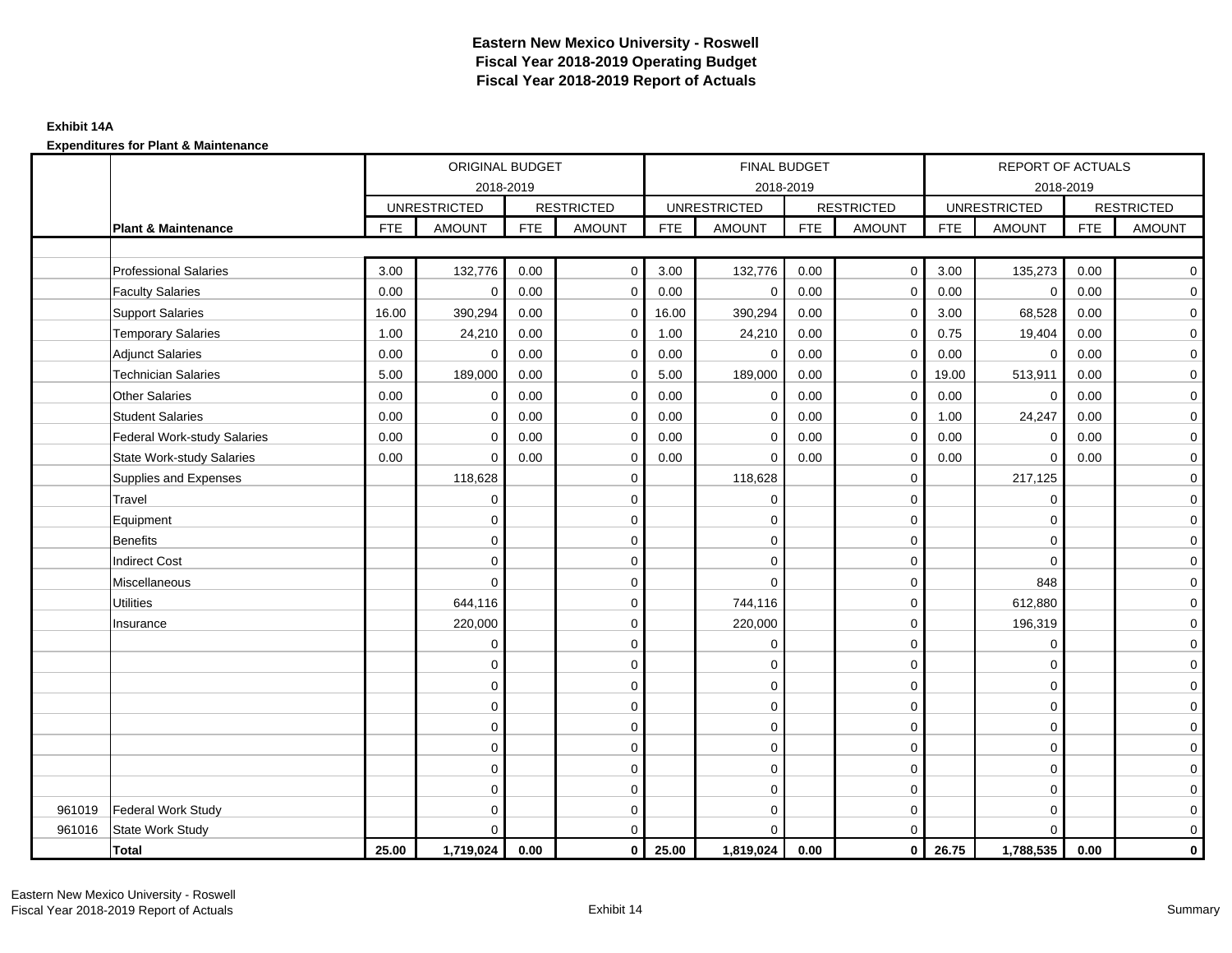## **Exhibit 14A**

|        |                                    |            | ORIGINAL BUDGET     |            |                   |            | FINAL BUDGET        |            |                   |            | REPORT OF ACTUALS   |            |                   |
|--------|------------------------------------|------------|---------------------|------------|-------------------|------------|---------------------|------------|-------------------|------------|---------------------|------------|-------------------|
|        |                                    |            | 2018-2019           |            |                   |            | 2018-2019           |            |                   |            | 2018-2019           |            |                   |
|        |                                    |            | <b>UNRESTRICTED</b> |            | <b>RESTRICTED</b> |            | <b>UNRESTRICTED</b> |            | <b>RESTRICTED</b> |            | <b>UNRESTRICTED</b> |            | <b>RESTRICTED</b> |
|        | <b>Plant &amp; Maintenance</b>     | <b>FTE</b> | <b>AMOUNT</b>       | <b>FTE</b> | <b>AMOUNT</b>     | <b>FTE</b> | <b>AMOUNT</b>       | <b>FTE</b> | <b>AMOUNT</b>     | <b>FTE</b> | <b>AMOUNT</b>       | <b>FTE</b> | <b>AMOUNT</b>     |
|        |                                    |            |                     |            |                   |            |                     |            |                   |            |                     |            |                   |
|        | <b>Professional Salaries</b>       | 3.00       | 132,776             | 0.00       | $\mathbf 0$       | 3.00       | 132,776             | 0.00       | $\overline{0}$    | 3.00       | 135,273             | 0.00       | $\overline{0}$    |
|        | <b>Faculty Salaries</b>            | 0.00       | $\mathbf 0$         | 0.00       | $\mathbf 0$       | 0.00       | $\mathbf 0$         | 0.00       | $\mathbf 0$       | 0.00       | $\mathbf 0$         | 0.00       | $\mathbf 0$       |
|        | <b>Support Salaries</b>            | 16.00      | 390,294             | 0.00       | 0                 | 16.00      | 390,294             | 0.00       | $\mathbf 0$       | 3.00       | 68,528              | 0.00       | $\mathbf 0$       |
|        | <b>Temporary Salaries</b>          | 1.00       | 24,210              | 0.00       | 0                 | 1.00       | 24,210              | 0.00       | $\mathbf 0$       | 0.75       | 19,404              | 0.00       | $\mathbf 0$       |
|        | <b>Adjunct Salaries</b>            | 0.00       | $\mathbf 0$         | 0.00       | $\Omega$          | 0.00       | $\Omega$            | 0.00       | $\Omega$          | 0.00       | $\Omega$            | 0.00       | $\mathbf 0$       |
|        | <b>Technician Salaries</b>         | 5.00       | 189,000             | 0.00       | $\mathbf 0$       | 5.00       | 189,000             | 0.00       | $\mathbf 0$       | 19.00      | 513,911             | 0.00       | $\mathbf 0$       |
|        | <b>Other Salaries</b>              | 0.00       | $\mathbf 0$         | 0.00       | $\Omega$          | 0.00       | $\Omega$            | 0.00       | $\mathbf 0$       | 0.00       | $\mathbf 0$         | 0.00       | $\overline{0}$    |
|        | <b>Student Salaries</b>            | 0.00       | $\mathbf 0$         | 0.00       | $\mathbf 0$       | 0.00       | $\mathbf{0}$        | 0.00       | $\mathbf 0$       | 1.00       | 24,247              | 0.00       | $\overline{0}$    |
|        | <b>Federal Work-study Salaries</b> | 0.00       | $\mathbf 0$         | 0.00       | $\mathbf 0$       | 0.00       | $\mathbf 0$         | 0.00       | $\mathbf 0$       | 0.00       | $\mathbf 0$         | 0.00       | $\overline{0}$    |
|        | <b>State Work-study Salaries</b>   | 0.00       | $\mathbf 0$         | 0.00       | $\mathbf 0$       | 0.00       | $\mathbf 0$         | 0.00       | $\mathbf 0$       | 0.00       | $\mathbf 0$         | 0.00       | $\mathbf 0$       |
|        | Supplies and Expenses              |            | 118,628             |            | $\mathbf 0$       |            | 118,628             |            | $\mathbf 0$       |            | 217,125             |            | $\mathbf 0$       |
|        | Travel                             |            | $\mathbf 0$         |            | $\mathbf 0$       |            | $\mathbf 0$         |            | $\mathbf 0$       |            | $\mathbf 0$         |            | $\mathbf 0$       |
|        | Equipment                          |            | $\mathbf 0$         |            | $\pmb{0}$         |            | $\mathbf 0$         |            | $\mathbf 0$       |            | $\mathbf 0$         |            | $\mathbf 0$       |
|        | <b>Benefits</b>                    |            | $\Omega$            |            | $\mathbf 0$       |            | $\Omega$            |            | $\mathbf 0$       |            | $\Omega$            |            | $\mathbf 0$       |
|        | <b>Indirect Cost</b>               |            | $\Omega$            |            | $\mathbf 0$       |            | $\Omega$            |            | $\mathbf 0$       |            | $\Omega$            |            | $\mathbf 0$       |
|        | Miscellaneous                      |            | $\mathbf 0$         |            | $\mathbf 0$       |            | $\Omega$            |            | $\mathbf 0$       |            | 848                 |            | $\mathbf 0$       |
|        | <b>Utilities</b>                   |            | 644,116             |            | $\mathbf 0$       |            | 744,116             |            | $\mathbf 0$       |            | 612,880             |            | $\overline{0}$    |
|        | Insurance                          |            | 220,000             |            | $\mathbf 0$       |            | 220,000             |            | $\mathbf 0$       |            | 196,319             |            | $\overline{0}$    |
|        |                                    |            | $\mathbf 0$         |            | $\mathbf 0$       |            | $\mathbf 0$         |            | $\mathbf 0$       |            | $\mathbf 0$         |            | $\mathbf 0$       |
|        |                                    |            | 0                   |            | $\mathbf 0$       |            | $\Omega$            |            | $\mathbf 0$       |            | $\Omega$            |            | $\mathbf 0$       |
|        |                                    |            | $\mathbf 0$         |            | $\mathbf 0$       |            | 0                   |            | $\mathbf 0$       |            | $\Omega$            |            | $\mathbf 0$       |
|        |                                    |            | $\mathbf 0$         |            | $\mathbf 0$       |            | $\Omega$            |            | $\mathbf 0$       |            | $\Omega$            |            | $\overline{0}$    |
|        |                                    |            | $\mathbf 0$         |            | 0                 |            | $\mathbf 0$         |            | $\mathbf 0$       |            | $\mathbf 0$         |            | $\mathbf 0$       |
|        |                                    |            | $\Omega$            |            | $\mathbf 0$       |            | $\Omega$            |            | $\mathbf 0$       |            | $\mathbf 0$         |            | $\mathbf 0$       |
|        |                                    |            | $\Omega$            |            | $\mathbf 0$       |            | $\Omega$            |            | $\mathbf 0$       |            | $\mathbf 0$         |            | $\mathbf 0$       |
|        |                                    |            | $\Omega$            |            | $\mathbf 0$       |            | $\mathbf 0$         |            | $\mathbf 0$       |            | $\mathbf 0$         |            | $\overline{O}$    |
| 961019 | <b>Federal Work Study</b>          |            | $\Omega$            |            | $\mathbf 0$       |            | $\mathbf 0$         |            | $\mathbf 0$       |            | $\mathbf 0$         |            | $\mathbf 0$       |
| 961016 | State Work Study                   |            | $\Omega$            |            | $\mathbf 0$       |            | $\Omega$            |            | $\mathbf 0$       |            | $\Omega$            |            | $\mathbf 0$       |
|        | <b>Total</b>                       | 25.00      | 1,719,024           | 0.00       | $\mathbf 0$       | 25.00      | 1,819,024           | 0.00       | $\overline{0}$    | 26.75      | 1,788,535           | 0.00       | $\mathbf{0}$      |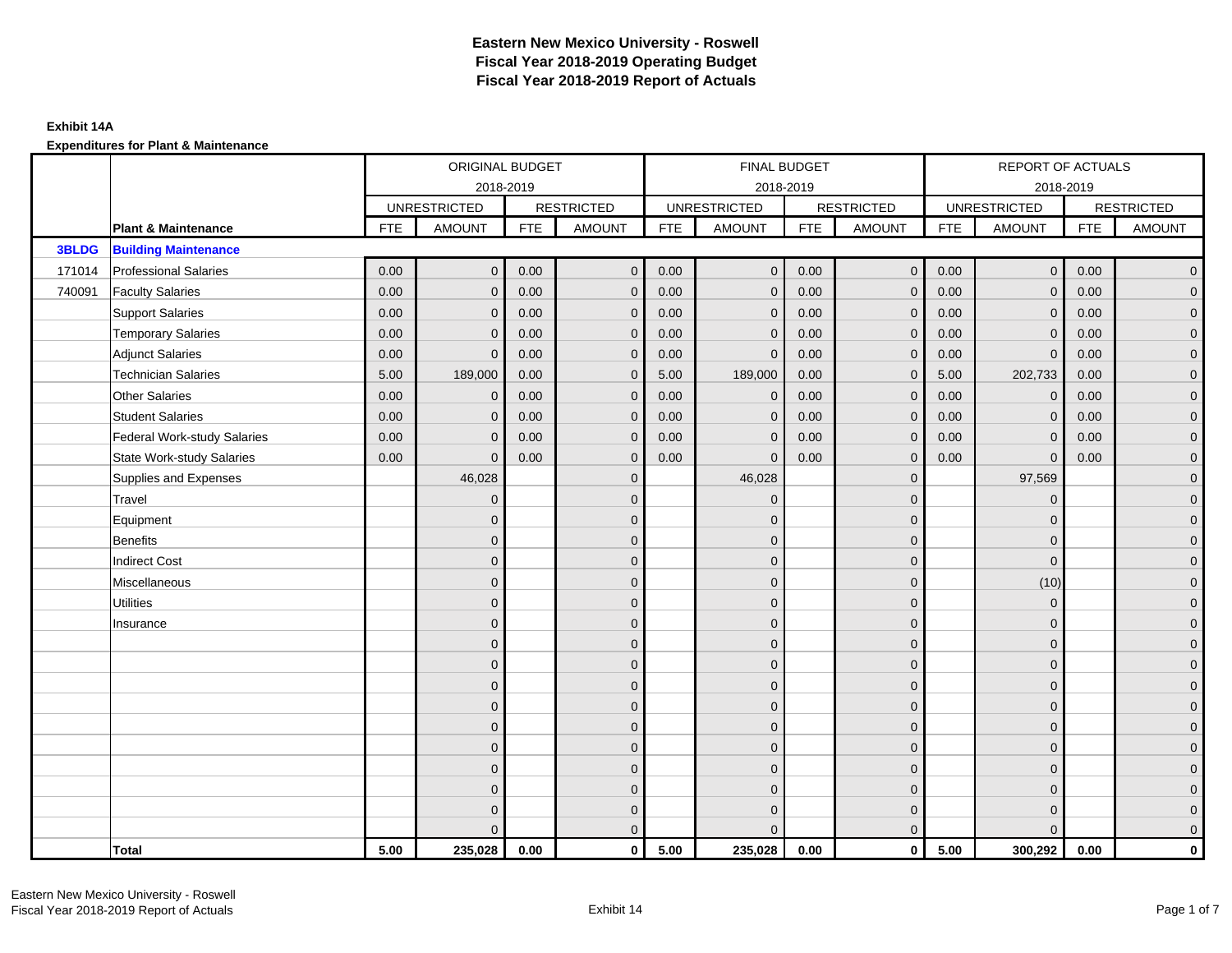|              |                                    |            | ORIGINAL BUDGET     |            |                   |            | FINAL BUDGET        |            |                   |            | REPORT OF ACTUALS   |            |                     |
|--------------|------------------------------------|------------|---------------------|------------|-------------------|------------|---------------------|------------|-------------------|------------|---------------------|------------|---------------------|
|              |                                    |            | 2018-2019           |            |                   |            | 2018-2019           |            |                   |            | 2018-2019           |            |                     |
|              |                                    |            | <b>UNRESTRICTED</b> |            | <b>RESTRICTED</b> |            | <b>UNRESTRICTED</b> |            | <b>RESTRICTED</b> |            | <b>UNRESTRICTED</b> |            | <b>RESTRICTED</b>   |
|              | <b>Plant &amp; Maintenance</b>     | <b>FTE</b> | <b>AMOUNT</b>       | <b>FTE</b> | <b>AMOUNT</b>     | <b>FTE</b> | <b>AMOUNT</b>       | <b>FTE</b> | <b>AMOUNT</b>     | <b>FTE</b> | <b>AMOUNT</b>       | <b>FTE</b> | <b>AMOUNT</b>       |
| <b>3BLDG</b> | <b>Building Maintenance</b>        |            |                     |            |                   |            |                     |            |                   |            |                     |            |                     |
| 171014       | <b>Professional Salaries</b>       | 0.00       | $\mathbf{0}$        | 0.00       | $\mathbf{0}$      | 0.00       | $\mathbf{0}$        | 0.00       | $\overline{0}$    | 0.00       | $\overline{0}$      | 0.00       | $\overline{0}$      |
| 740091       | <b>Faculty Salaries</b>            | 0.00       | $\mathbf{0}$        | 0.00       | $\mathbf{0}$      | 0.00       | $\mathbf{0}$        | 0.00       | $\mathbf{0}$      | 0.00       | $\mathbf{0}$        | 0.00       | $\overline{0}$      |
|              | <b>Support Salaries</b>            | 0.00       | $\mathbf{0}$        | 0.00       | $\mathbf{0}$      | 0.00       | $\overline{0}$      | 0.00       | $\mathbf 0$       | 0.00       | $\overline{0}$      | 0.00       | $\overline{0}$      |
|              | <b>Temporary Salaries</b>          | 0.00       | $\mathbf 0$         | 0.00       | $\mathbf 0$       | 0.00       | $\mathbf{0}$        | 0.00       | $\mathbf 0$       | 0.00       | $\mathbf 0$         | 0.00       | $\mathbf{0}$        |
|              | <b>Adjunct Salaries</b>            | 0.00       | $\mathbf{0}$        | 0.00       | $\mathbf{0}$      | 0.00       | $\mathbf{0}$        | 0.00       | $\mathbf{0}$      | 0.00       | $\mathbf{0}$        | 0.00       | $\mathbf{0}$        |
|              | <b>Technician Salaries</b>         | 5.00       | 189,000             | 0.00       | $\Omega$          | 5.00       | 189,000             | 0.00       | $\mathbf{0}$      | 5.00       | 202,733             | 0.00       | $\mathbf{0}$        |
|              | <b>Other Salaries</b>              | 0.00       | $\mathbf{0}$        | 0.00       | $\Omega$          | 0.00       | $\mathbf{0}$        | 0.00       | $\mathbf{0}$      | 0.00       | $\mathbf{0}$        | 0.00       | $\overline{0}$      |
|              | <b>Student Salaries</b>            | 0.00       | $\mathbf 0$         | 0.00       | $\mathbf 0$       | 0.00       | $\mathbf{0}$        | 0.00       | $\mathbf 0$       | 0.00       | $\mathsf{O}\xspace$ | 0.00       | $\mathbf{0}$        |
|              | <b>Federal Work-study Salaries</b> | 0.00       | $\mathbf 0$         | 0.00       | $\mathbf 0$       | 0.00       | $\mathbf{0}$        | 0.00       | $\mathbf 0$       | 0.00       | $\mathbf 0$         | 0.00       | $\mathbf{0}$        |
|              | <b>State Work-study Salaries</b>   | 0.00       | $\mathbf{0}$        | 0.00       | $\mathbf{0}$      | 0.00       | $\mathbf{0}$        | 0.00       | $\mathbf{0}$      | 0.00       | $\mathbf{0}$        | 0.00       | $\overline{0}$      |
|              | Supplies and Expenses              |            | 46,028              |            | $\mathbf 0$       |            | 46,028              |            | $\overline{0}$    |            | 97,569              |            | $\mathsf{O}\xspace$ |
|              | Travel                             |            | $\overline{0}$      |            | $\mathbf{0}$      |            | $\mathbf{0}$        |            | $\mathbf{0}$      |            | $\mathbf{0}$        |            | $\overline{0}$      |
|              | Equipment                          |            | $\mathbf{0}$        |            | $\mathbf 0$       |            | $\mathbf{0}$        |            | $\mathbf 0$       |            | $\mathbf{0}$        |            | $\overline{0}$      |
|              | <b>Benefits</b>                    |            | $\mathbf{0}$        |            | $\mathbf{0}$      |            | $\Omega$            |            | $\mathbf 0$       |            | $\mathbf{0}$        |            | $\overline{0}$      |
|              | <b>Indirect Cost</b>               |            | $\Omega$            |            | $\mathbf{0}$      |            | $\Omega$            |            | $\mathbf{0}$      |            | $\mathbf 0$         |            | $\overline{0}$      |
|              | Miscellaneous                      |            | $\Omega$            |            | $\mathbf{0}$      |            | $\Omega$            |            | $\mathbf{0}$      |            | (10)                |            | $\overline{0}$      |
|              | <b>Utilities</b>                   |            | $\mathbf{0}$        |            | $\mathbf 0$       |            | $\mathbf{0}$        |            | $\mathbf 0$       |            | $\mathbf{0}$        |            | $\mathbf{0}$        |
|              | Insurance                          |            | $\overline{0}$      |            | $\mathbf 0$       |            | $\mathbf{0}$        |            | $\mathbf 0$       |            | $\mathbf{0}$        |            | $\overline{0}$      |
|              |                                    |            | $\Omega$            |            | $\mathbf{0}$      |            | $\Omega$            |            | $\mathbf 0$       |            | $\mathbf{0}$        |            | $\overline{0}$      |
|              |                                    |            | $\Omega$            |            | $\mathbf{0}$      |            | $\Omega$            |            | $\mathbf{0}$      |            | $\Omega$            |            | $\overline{0}$      |
|              |                                    |            | $\mathbf{0}$        |            | $\mathbf 0$       |            | $\mathbf{0}$        |            | $\mathbf 0$       |            | $\mathbf 0$         |            | $\mathsf{O}\xspace$ |
|              |                                    |            | $\mathbf{0}$        |            | $\mathbf 0$       |            | $\mathbf{0}$        |            | $\mathbf 0$       |            | $\mathbf{0}$        |            | $\mathbf{0}$        |
|              |                                    |            | $\mathbf{0}$        |            | $\mathbf{0}$      |            | $\mathbf{0}$        |            | $\mathbf 0$       |            | $\mathbf{0}$        |            | $\overline{0}$      |
|              |                                    |            | $\Omega$            |            | $\mathbf{0}$      |            | $\Omega$            |            | $\mathbf{0}$      |            | $\mathbf 0$         |            | $\overline{0}$      |
|              |                                    |            | $\overline{0}$      |            | $\mathbf 0$       |            | $\mathbf{0}$        |            | $\mathbf 0$       |            | $\mathbf 0$         |            | $\mathbf{0}$        |
|              |                                    |            | $\mathbf{0}$        |            | $\mathbf 0$       |            | $\mathbf{0}$        |            | $\mathbf 0$       |            | $\mathbf 0$         |            | $\mathbf{0}$        |
|              |                                    |            | 0                   |            | $\mathbf 0$       |            | $\Omega$            |            | $\mathbf 0$       |            | $\mathbf 0$         |            | $\mathbf{0}$        |
|              |                                    |            | $\Omega$            |            | $\mathbf{0}$      |            | $\Omega$            |            | $\mathbf{0}$      |            | $\Omega$            |            | $\overline{0}$      |
|              | <b>Total</b>                       | 5.00       | 235,028             | 0.00       | $\mathbf{0}$      | 5.00       | 235,028             | 0.00       | $\mathbf{0}$      | 5.00       | 300,292             | 0.00       | $\mathbf 0$         |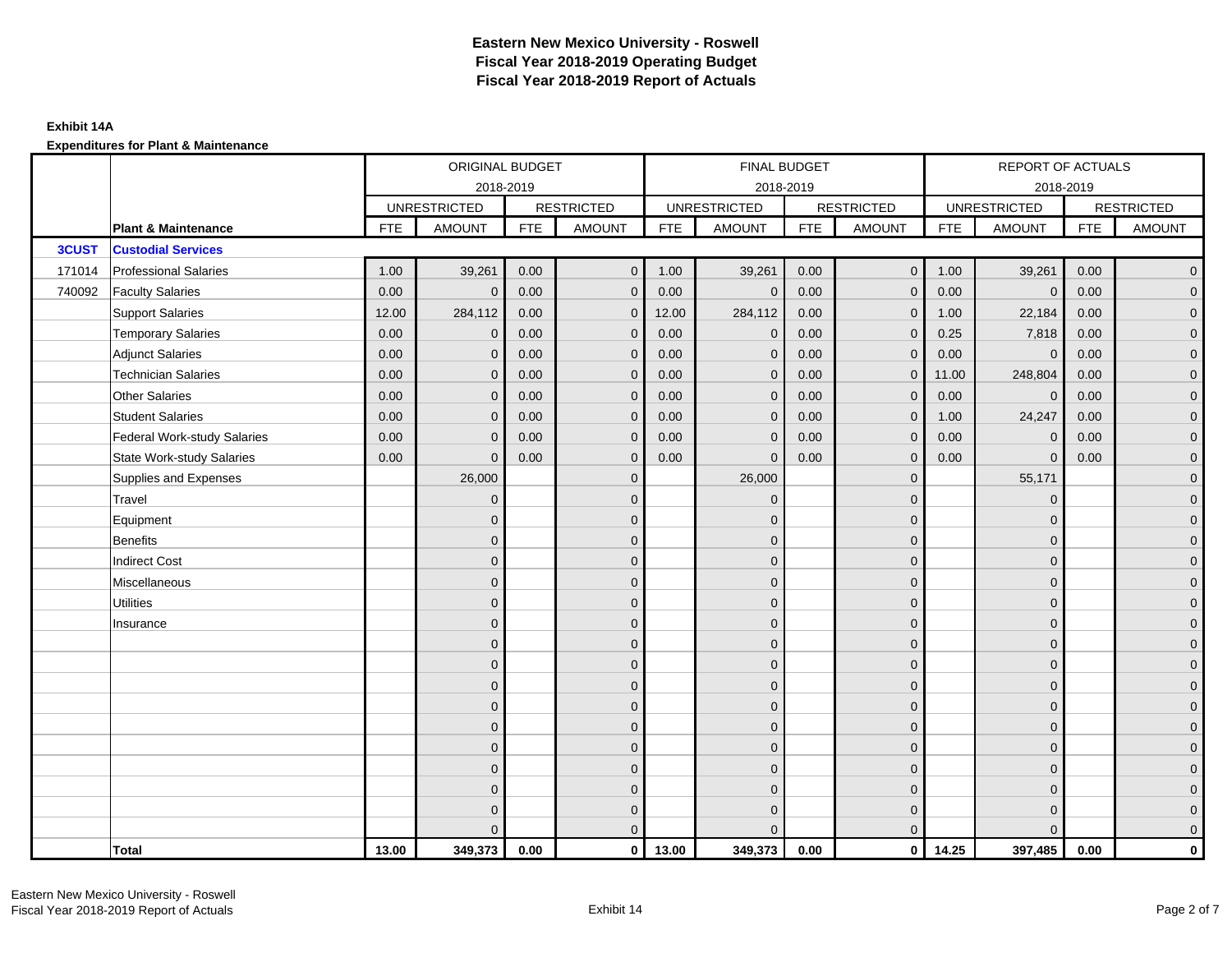|              |                                    |            | ORIGINAL BUDGET     |            |                   |            | FINAL BUDGET        |            |                   |            | REPORT OF ACTUALS   |            |                     |
|--------------|------------------------------------|------------|---------------------|------------|-------------------|------------|---------------------|------------|-------------------|------------|---------------------|------------|---------------------|
|              |                                    |            |                     | 2018-2019  |                   |            | 2018-2019           |            |                   |            | 2018-2019           |            |                     |
|              |                                    |            | <b>UNRESTRICTED</b> |            | <b>RESTRICTED</b> |            | <b>UNRESTRICTED</b> |            | <b>RESTRICTED</b> |            | <b>UNRESTRICTED</b> |            | <b>RESTRICTED</b>   |
|              | <b>Plant &amp; Maintenance</b>     | <b>FTE</b> | <b>AMOUNT</b>       | <b>FTE</b> | <b>AMOUNT</b>     | <b>FTE</b> | <b>AMOUNT</b>       | <b>FTE</b> | <b>AMOUNT</b>     | <b>FTE</b> | <b>AMOUNT</b>       | <b>FTE</b> | <b>AMOUNT</b>       |
| <b>3CUST</b> | <b>Custodial Services</b>          |            |                     |            |                   |            |                     |            |                   |            |                     |            |                     |
| 171014       | <b>Professional Salaries</b>       | 1.00       | 39,261              | 0.00       | $\overline{0}$    | 1.00       | 39,261              | 0.00       | $\overline{0}$    | 1.00       | 39,261              | 0.00       | $\overline{0}$      |
| 740092       | <b>Faculty Salaries</b>            | 0.00       | $\mathbf{0}$        | 0.00       | $\mathbf{0}$      | 0.00       | $\mathbf{0}$        | 0.00       | $\mathbf{0}$      | 0.00       | $\mathbf 0$         | 0.00       | $\overline{0}$      |
|              | <b>Support Salaries</b>            | 12.00      | 284,112             | 0.00       | $\mathbf 0$       | 12.00      | 284,112             | 0.00       | $\mathbf{0}$      | 1.00       | 22,184              | 0.00       | $\overline{0}$      |
|              | <b>Temporary Salaries</b>          | 0.00       | $\mathbf 0$         | 0.00       | $\mathbf{0}$      | 0.00       | $\mathbf 0$         | 0.00       | $\mathbf 0$       | 0.25       | 7,818               | 0.00       | $\mathbf{0}$        |
|              | <b>Adjunct Salaries</b>            | 0.00       | $\mathbf{0}$        | 0.00       | $\mathbf{0}$      | 0.00       | $\mathbf{0}$        | 0.00       | $\mathbf{0}$      | 0.00       | $\mathbf 0$         | 0.00       | $\mathbf{0}$        |
|              | <b>Technician Salaries</b>         | 0.00       | $\Omega$            | 0.00       | $\mathbf{0}$      | 0.00       | $\mathbf{0}$        | 0.00       | $\mathbf{0}$      | 11.00      | 248,804             | 0.00       | $\mathbf{0}$        |
|              | <b>Other Salaries</b>              | 0.00       | $\Omega$            | 0.00       | $\mathbf{0}$      | 0.00       | $\Omega$            | 0.00       | $\Omega$          | 0.00       | $\mathbf{0}$        | 0.00       | $\overline{0}$      |
|              | <b>Student Salaries</b>            | 0.00       | $\mathbf 0$         | 0.00       | $\mathbf 0$       | 0.00       | $\mathbf 0$         | 0.00       | $\mathbf 0$       | 1.00       | 24,247              | 0.00       | $\overline{0}$      |
|              | <b>Federal Work-study Salaries</b> | 0.00       | $\Omega$            | 0.00       | $\mathbf{0}$      | 0.00       | $\mathbf{0}$        | 0.00       | $\mathbf 0$       | 0.00       | $\mathbf 0$         | 0.00       | $\overline{0}$      |
|              | <b>State Work-study Salaries</b>   | 0.00       | $\mathbf{0}$        | 0.00       | $\mathbf{0}$      | 0.00       | $\mathbf{0}$        | 0.00       | $\mathbf{0}$      | 0.00       | $\mathbf{0}$        | 0.00       | $\overline{0}$      |
|              | Supplies and Expenses              |            | 26,000              |            | $\mathbf{0}$      |            | 26,000              |            | $\mathbf{0}$      |            | 55,171              |            | $\mathsf{O}\xspace$ |
|              | Travel                             |            | $\overline{0}$      |            | $\mathbf{0}$      |            | $\mathbf{0}$        |            | $\mathbf{0}$      |            | $\mathbf{0}$        |            | $\overline{0}$      |
|              | Equipment                          |            | $\Omega$            |            | $\mathbf 0$       |            | $\mathbf{0}$        |            | $\mathbf 0$       |            | $\mathbf{0}$        |            | $\overline{0}$      |
|              | <b>Benefits</b>                    |            | $\Omega$            |            | $\mathbf{0}$      |            | $\Omega$            |            | $\overline{0}$    |            | $\mathbf{0}$        |            | $\overline{0}$      |
|              | <b>Indirect Cost</b>               |            | $\Omega$            |            | $\mathbf 0$       |            | $\Omega$            |            | $\mathbf{0}$      |            | $\Omega$            |            | $\overline{0}$      |
|              | Miscellaneous                      |            | $\Omega$            |            | $\mathbf{0}$      |            | $\Omega$            |            | $\mathbf{0}$      |            | $\Omega$            |            | $\overline{0}$      |
|              | <b>Utilities</b>                   |            | $\mathbf{0}$        |            | $\mathbf 0$       |            | $\mathbf{0}$        |            | $\mathbf 0$       |            | $\mathbf{0}$        |            | $\mathbf{0}$        |
|              | Insurance                          |            | $\Omega$            |            | $\mathbf 0$       |            | $\mathbf{0}$        |            | $\mathbf 0$       |            | $\mathbf{0}$        |            | $\overline{0}$      |
|              |                                    |            | $\Omega$            |            | $\mathbf{0}$      |            | $\Omega$            |            | $\mathbf 0$       |            | $\mathbf{0}$        |            | $\overline{0}$      |
|              |                                    |            | $\Omega$            |            | $\mathbf{0}$      |            | $\Omega$            |            | $\mathbf{0}$      |            | $\Omega$            |            | $\overline{0}$      |
|              |                                    |            | $\Omega$            |            | $\mathbf 0$       |            | $\mathbf{0}$        |            | $\mathbf 0$       |            | $\mathbf{0}$        |            | $\mathsf{O}\xspace$ |
|              |                                    |            | $\mathbf{0}$        |            | $\mathbf 0$       |            | $\mathbf{0}$        |            | $\mathbf 0$       |            | $\mathbf{0}$        |            | $\mathbf{0}$        |
|              |                                    |            | $\Omega$            |            | $\mathbf 0$       |            | $\mathbf{0}$        |            | $\mathbf{0}$      |            | $\mathbf{0}$        |            | $\overline{0}$      |
|              |                                    |            | $\Omega$            |            | $\mathbf{0}$      |            | $\Omega$            |            | $\mathbf{0}$      |            | $\mathbf{0}$        |            | $\overline{0}$      |
|              |                                    |            | $\Omega$            |            | $\overline{0}$    |            | $\Omega$            |            | $\mathbf 0$       |            | $\mathbf{0}$        |            | $\mathbf{0}$        |
|              |                                    |            | $\Omega$            |            | $\mathbf 0$       |            | $\mathbf{0}$        |            | $\mathbf 0$       |            | $\mathbf{0}$        |            | $\mathbf{0}$        |
|              |                                    |            | $\Omega$            |            | $\mathbf 0$       |            | $\Omega$            |            | $\mathbf 0$       |            | $\mathbf 0$         |            | $\mathbf{0}$        |
|              |                                    |            | $\Omega$            |            | $\mathbf{0}$      |            | $\Omega$            |            | $\mathbf{0}$      |            | $\Omega$            |            | $\overline{0}$      |
|              | <b>Total</b>                       | 13.00      | 349,373             | 0.00       | $\mathbf{0}$      | 13.00      | 349,373             | 0.00       | $\mathbf{0}$      | 14.25      | 397,485             | 0.00       | $\mathbf 0$         |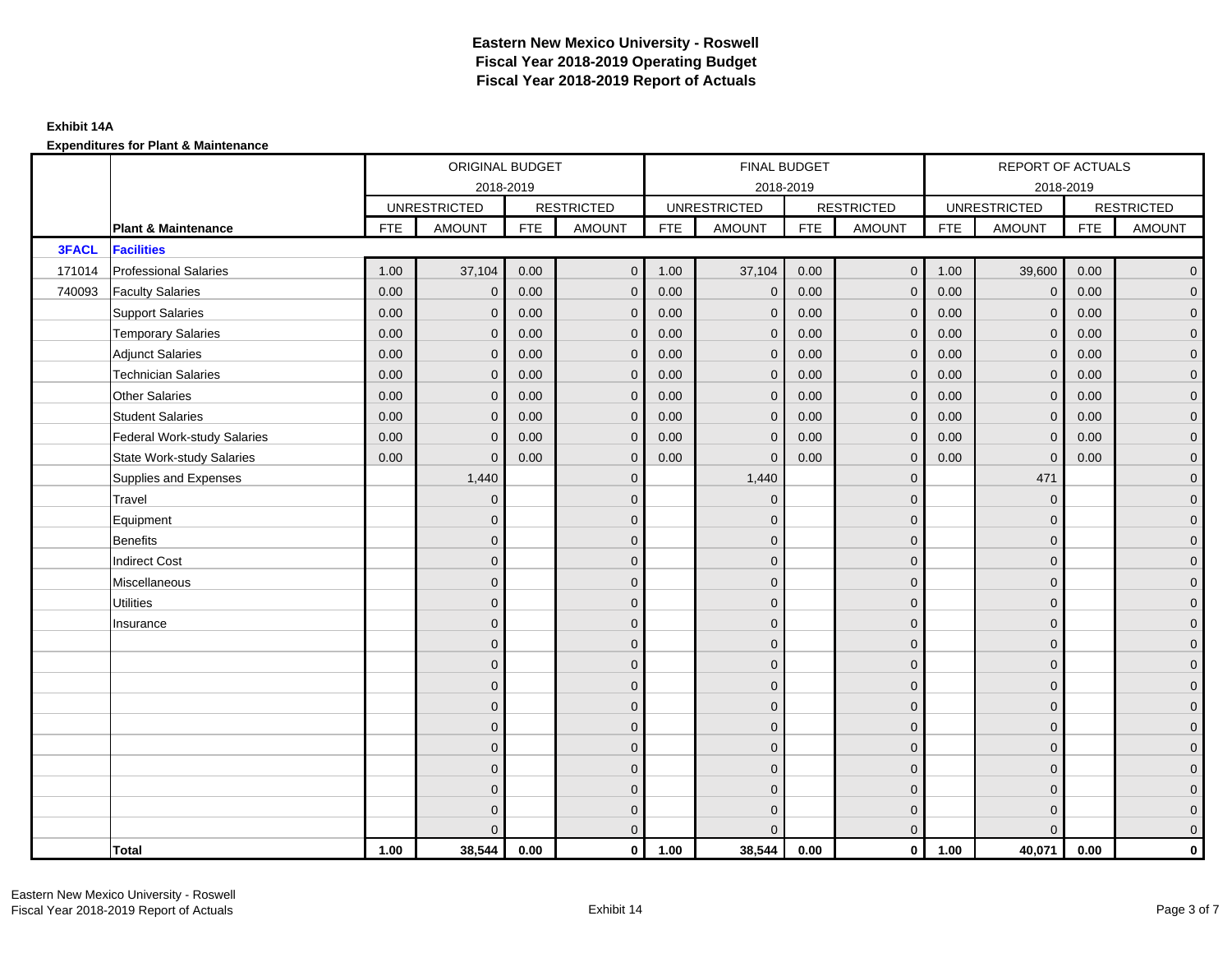|              |                                    |            | ORIGINAL BUDGET     |            |                   |            | FINAL BUDGET        |            |                   |            | REPORT OF ACTUALS   |            |                     |
|--------------|------------------------------------|------------|---------------------|------------|-------------------|------------|---------------------|------------|-------------------|------------|---------------------|------------|---------------------|
|              |                                    |            | 2018-2019           |            |                   |            | 2018-2019           |            |                   |            | 2018-2019           |            |                     |
|              |                                    |            | <b>UNRESTRICTED</b> |            | <b>RESTRICTED</b> |            | <b>UNRESTRICTED</b> |            | <b>RESTRICTED</b> |            | <b>UNRESTRICTED</b> |            | <b>RESTRICTED</b>   |
|              | <b>Plant &amp; Maintenance</b>     | <b>FTE</b> | <b>AMOUNT</b>       | <b>FTE</b> | <b>AMOUNT</b>     | <b>FTE</b> | <b>AMOUNT</b>       | <b>FTE</b> | <b>AMOUNT</b>     | <b>FTE</b> | <b>AMOUNT</b>       | <b>FTE</b> | <b>AMOUNT</b>       |
| <b>3FACL</b> | <b>Facilities</b>                  |            |                     |            |                   |            |                     |            |                   |            |                     |            |                     |
| 171014       | <b>Professional Salaries</b>       | 1.00       | 37,104              | 0.00       | $\mathbf{0}$      | 1.00       | 37,104              | 0.00       | $\overline{0}$    | 1.00       | 39,600              | 0.00       | $\overline{0}$      |
| 740093       | <b>Faculty Salaries</b>            | 0.00       | $\mathbf{0}$        | 0.00       | $\mathbf{0}$      | 0.00       | $\mathbf{0}$        | 0.00       | $\mathbf{0}$      | 0.00       | $\overline{0}$      | 0.00       | $\overline{0}$      |
|              | <b>Support Salaries</b>            | 0.00       | $\mathbf{0}$        | 0.00       | $\mathbf{0}$      | 0.00       | $\mathbf{0}$        | 0.00       | $\mathbf 0$       | 0.00       | $\overline{0}$      | 0.00       | $\overline{0}$      |
|              | <b>Temporary Salaries</b>          | 0.00       | $\mathbf 0$         | 0.00       | $\mathbf 0$       | 0.00       | $\mathbf 0$         | 0.00       | $\mathbf 0$       | 0.00       | $\overline{0}$      | 0.00       | $\mathbf{0}$        |
|              | <b>Adjunct Salaries</b>            | 0.00       | $\mathbf{0}$        | 0.00       | $\mathbf{0}$      | 0.00       | $\mathbf{0}$        | 0.00       | $\mathbf{0}$      | 0.00       | $\mathbf{0}$        | 0.00       | $\mathbf{0}$        |
|              | <b>Technician Salaries</b>         | 0.00       | $\mathbf{0}$        | 0.00       | $\mathbf 0$       | 0.00       | $\mathbf{0}$        | 0.00       | $\mathbf{0}$      | 0.00       | $\mathbf{0}$        | 0.00       | $\mathbf{0}$        |
|              | Other Salaries                     | 0.00       | $\mathbf{0}$        | 0.00       | $\mathbf{0}$      | 0.00       | $\Omega$            | 0.00       | $\mathbf{0}$      | 0.00       | $\mathbf{0}$        | 0.00       | $\overline{0}$      |
|              | <b>Student Salaries</b>            | 0.00       | $\mathbf{0}$        | 0.00       | $\mathbf 0$       | 0.00       | $\overline{0}$      | 0.00       | $\mathbf 0$       | 0.00       | $\mathbf 0$         | 0.00       | $\overline{0}$      |
|              | <b>Federal Work-study Salaries</b> | 0.00       | $\mathbf 0$         | 0.00       | $\mathbf 0$       | 0.00       | $\mathbf{0}$        | 0.00       | $\overline{0}$    | 0.00       | $\mathbf 0$         | 0.00       | $\overline{0}$      |
|              | <b>State Work-study Salaries</b>   | 0.00       | $\mathbf{0}$        | 0.00       | $\mathbf{0}$      | 0.00       | $\mathbf{0}$        | 0.00       | $\mathbf{0}$      | 0.00       | $\mathbf 0$         | 0.00       | $\overline{0}$      |
|              | Supplies and Expenses              |            | 1,440               |            | $\mathbf 0$       |            | 1,440               |            | $\mathbf{0}$      |            | 471                 |            | $\mathsf{O}\xspace$ |
|              | Travel                             |            | $\overline{0}$      |            | $\mathbf{0}$      |            | $\mathbf{0}$        |            | $\mathbf{0}$      |            | $\mathbf 0$         |            | $\overline{0}$      |
|              | Equipment                          |            | $\overline{0}$      |            | $\mathbf 0$       |            | $\mathbf{0}$        |            | $\mathbf 0$       |            | $\mathbf 0$         |            | $\overline{0}$      |
|              | Benefits                           |            | $\overline{0}$      |            | $\mathbf{0}$      |            | $\Omega$            |            | $\mathbf 0$       |            | $\mathbf{0}$        |            | $\overline{0}$      |
|              | <b>Indirect Cost</b>               |            | $\Omega$            |            | $\mathbf{0}$      |            | $\Omega$            |            | $\mathbf{0}$      |            | $\Omega$            |            | $\overline{0}$      |
|              | Miscellaneous                      |            | $\Omega$            |            | $\mathbf{0}$      |            | $\Omega$            |            | $\mathbf{0}$      |            | $\Omega$            |            | $\overline{0}$      |
|              | <b>Utilities</b>                   |            | $\overline{0}$      |            | $\mathbf 0$       |            | $\mathbf{0}$        |            | $\mathbf 0$       |            | $\mathbf{0}$        |            | $\mathbf{0}$        |
|              | Insurance                          |            | $\overline{0}$      |            | $\mathbf 0$       |            | $\mathbf{0}$        |            | $\mathbf 0$       |            | $\mathbf{0}$        |            | $\overline{0}$      |
|              |                                    |            | $\overline{0}$      |            | $\mathbf{0}$      |            | $\Omega$            |            | $\mathbf 0$       |            | $\mathbf{0}$        |            | $\overline{0}$      |
|              |                                    |            | $\Omega$            |            | $\mathbf{0}$      |            | $\Omega$            |            | $\mathbf{0}$      |            | $\Omega$            |            | $\overline{0}$      |
|              |                                    |            | $\mathbf{0}$        |            | $\mathbf 0$       |            | $\mathbf{0}$        |            | $\mathbf 0$       |            | $\mathbf 0$         |            | $\mathsf{O}\xspace$ |
|              |                                    |            | $\mathbf{0}$        |            | $\mathbf 0$       |            | $\mathbf{0}$        |            | $\mathbf 0$       |            | $\mathbf{0}$        |            | $\mathbf{0}$        |
|              |                                    |            | $\mathbf{0}$        |            | $\mathbf{0}$      |            | $\mathbf{0}$        |            | $\mathbf 0$       |            | $\mathbf{0}$        |            | $\overline{0}$      |
|              |                                    |            | $\overline{0}$      |            | $\mathbf{0}$      |            | $\Omega$            |            | $\mathbf{0}$      |            | $\mathbf{0}$        |            | $\overline{0}$      |
|              |                                    |            | $\mathbf{0}$        |            | $\mathbf 0$       |            | $\mathbf{0}$        |            | $\mathbf 0$       |            | $\mathbf 0$         |            | $\mathbf{0}$        |
|              |                                    |            | $\mathbf{0}$        |            | $\mathbf 0$       |            | $\mathbf{0}$        |            | $\mathbf 0$       |            | $\mathbf 0$         |            | $\mathbf{0}$        |
|              |                                    |            | 0                   |            | $\mathbf 0$       |            | $\Omega$            |            | $\mathbf 0$       |            | $\mathbf 0$         |            | $\mathbf{0}$        |
|              |                                    |            | $\Omega$            |            | $\mathbf{0}$      |            | $\Omega$            |            | $\mathbf{0}$      |            | $\Omega$            |            | $\overline{0}$      |
|              | <b>Total</b>                       | 1.00       | 38,544              | 0.00       | $\mathbf{0}$      | 1.00       | 38,544              | 0.00       | $\overline{0}$    | 1.00       | 40,071              | 0.00       | $\mathbf 0$         |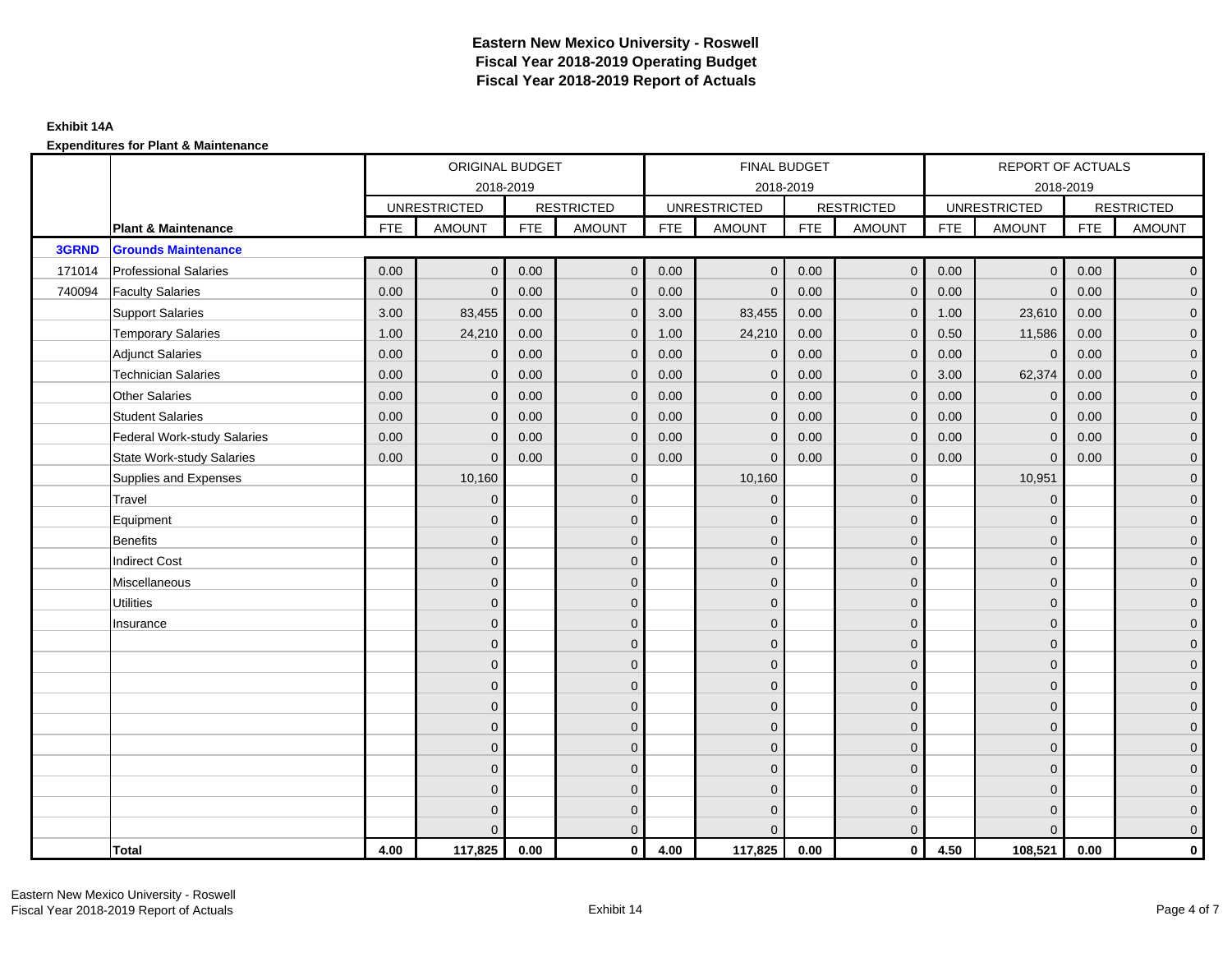|        |                                    |            | ORIGINAL BUDGET     |            |                   |            | FINAL BUDGET        |            |                   |            | REPORT OF ACTUALS   |            |                     |
|--------|------------------------------------|------------|---------------------|------------|-------------------|------------|---------------------|------------|-------------------|------------|---------------------|------------|---------------------|
|        |                                    |            |                     | 2018-2019  |                   |            | 2018-2019           |            |                   |            | 2018-2019           |            |                     |
|        |                                    |            | <b>UNRESTRICTED</b> |            | <b>RESTRICTED</b> |            | <b>UNRESTRICTED</b> |            | <b>RESTRICTED</b> |            | <b>UNRESTRICTED</b> |            | <b>RESTRICTED</b>   |
|        | <b>Plant &amp; Maintenance</b>     | <b>FTE</b> | <b>AMOUNT</b>       | <b>FTE</b> | <b>AMOUNT</b>     | <b>FTE</b> | <b>AMOUNT</b>       | <b>FTE</b> | <b>AMOUNT</b>     | <b>FTE</b> | <b>AMOUNT</b>       | <b>FTE</b> | <b>AMOUNT</b>       |
| 3GRND  | <b>Grounds Maintenance</b>         |            |                     |            |                   |            |                     |            |                   |            |                     |            |                     |
| 171014 | <b>Professional Salaries</b>       | 0.00       | $\mathbf{0}$        | 0.00       | $\overline{0}$    | 0.00       | $\overline{0}$      | 0.00       | $\overline{0}$    | 0.00       | $\overline{0}$      | 0.00       | $\overline{0}$      |
| 740094 | <b>Faculty Salaries</b>            | 0.00       | $\Omega$            | 0.00       | $\mathbf{0}$      | 0.00       | $\mathbf{0}$        | 0.00       | $\mathbf{0}$      | 0.00       | $\mathbf{0}$        | 0.00       | $\overline{0}$      |
|        | <b>Support Salaries</b>            | 3.00       | 83,455              | 0.00       | $\mathbf{0}$      | 3.00       | 83,455              | 0.00       | $\mathbf 0$       | 1.00       | 23,610              | 0.00       | $\overline{0}$      |
|        | <b>Temporary Salaries</b>          | 1.00       | 24,210              | 0.00       | $\mathbf 0$       | 1.00       | 24,210              | 0.00       | $\mathbf 0$       | 0.50       | 11,586              | 0.00       | $\overline{0}$      |
|        | <b>Adjunct Salaries</b>            | 0.00       | $\mathbf{0}$        | 0.00       | $\mathbf{0}$      | 0.00       | $\mathbf{0}$        | 0.00       | $\mathbf{0}$      | 0.00       | $\mathbf 0$         | 0.00       | $\mathbf{0}$        |
|        | <b>Technician Salaries</b>         | 0.00       | $\Omega$            | 0.00       | $\mathbf{0}$      | 0.00       | $\mathbf{0}$        | 0.00       | $\mathbf{0}$      | 3.00       | 62,374              | 0.00       | $\mathbf{0}$        |
|        | <b>Other Salaries</b>              | 0.00       | $\Omega$            | 0.00       | $\mathbf{0}$      | 0.00       | $\Omega$            | 0.00       | $\Omega$          | 0.00       | $\mathbf{0}$        | 0.00       | $\overline{0}$      |
|        | <b>Student Salaries</b>            | 0.00       | $\mathbf 0$         | 0.00       | $\mathbf 0$       | 0.00       | $\mathbf 0$         | 0.00       | $\mathbf 0$       | 0.00       | $\overline{0}$      | 0.00       | $\overline{0}$      |
|        | <b>Federal Work-study Salaries</b> | 0.00       | $\Omega$            | 0.00       | $\mathbf{0}$      | 0.00       | $\mathbf{0}$        | 0.00       | $\mathbf 0$       | 0.00       | $\mathbf 0$         | 0.00       | $\overline{0}$      |
|        | <b>State Work-study Salaries</b>   | 0.00       | $\mathbf{0}$        | 0.00       | $\mathbf{0}$      | 0.00       | $\mathbf{0}$        | 0.00       | $\mathbf{0}$      | 0.00       | $\mathbf{0}$        | 0.00       | $\overline{0}$      |
|        | Supplies and Expenses              |            | 10,160              |            | $\mathbf{0}$      |            | 10,160              |            | $\overline{0}$    |            | 10,951              |            | $\mathsf{O}\xspace$ |
|        | Travel                             |            | $\Omega$            |            | $\mathbf{0}$      |            | $\Omega$            |            | $\mathbf{0}$      |            | $\mathbf{0}$        |            | $\overline{0}$      |
|        | Equipment                          |            | $\Omega$            |            | $\mathbf 0$       |            | $\mathbf{0}$        |            | $\mathbf 0$       |            | $\mathbf{0}$        |            | $\overline{0}$      |
|        | <b>Benefits</b>                    |            | $\Omega$            |            | $\mathbf{0}$      |            | $\Omega$            |            | $\overline{0}$    |            | $\mathbf{0}$        |            | $\overline{0}$      |
|        | <b>Indirect Cost</b>               |            | $\Omega$            |            | $\mathbf 0$       |            | $\Omega$            |            | $\mathbf{0}$      |            | $\Omega$            |            | $\overline{0}$      |
|        | Miscellaneous                      |            | $\Omega$            |            | $\mathbf{0}$      |            | $\Omega$            |            | $\mathbf{0}$      |            | $\Omega$            |            | $\mathsf{O}\xspace$ |
|        | <b>Utilities</b>                   |            | $\mathbf{0}$        |            | $\mathbf 0$       |            | $\mathbf{0}$        |            | $\mathbf 0$       |            | $\mathbf{0}$        |            | $\mathbf{0}$        |
|        | Insurance                          |            | $\Omega$            |            | $\mathbf 0$       |            | $\mathbf{0}$        |            | $\mathbf 0$       |            | $\mathbf{0}$        |            | $\overline{0}$      |
|        |                                    |            | $\Omega$            |            | $\mathbf{0}$      |            | $\Omega$            |            | $\mathbf 0$       |            | $\mathbf{0}$        |            | $\overline{0}$      |
|        |                                    |            | $\Omega$            |            | $\mathbf{0}$      |            | $\Omega$            |            | $\mathbf{0}$      |            | $\Omega$            |            | $\overline{0}$      |
|        |                                    |            | $\Omega$            |            | $\mathbf 0$       |            | $\mathbf{0}$        |            | $\mathbf 0$       |            | $\mathbf{0}$        |            | $\mathsf{O}\xspace$ |
|        |                                    |            | $\mathbf{0}$        |            | $\mathbf 0$       |            | $\mathbf{0}$        |            | $\mathbf 0$       |            | $\mathbf{0}$        |            | $\overline{0}$      |
|        |                                    |            | $\Omega$            |            | $\mathbf 0$       |            | $\mathbf{0}$        |            | $\mathbf{0}$      |            | $\mathbf{0}$        |            | $\overline{0}$      |
|        |                                    |            | $\Omega$            |            | $\mathbf{0}$      |            | $\Omega$            |            | $\mathbf{0}$      |            | $\mathbf{0}$        |            | $\overline{0}$      |
|        |                                    |            | $\Omega$            |            | $\overline{0}$    |            | $\Omega$            |            | $\mathbf 0$       |            | $\mathbf{0}$        |            | $\mathbf{0}$        |
|        |                                    |            | $\Omega$            |            | $\mathbf 0$       |            | $\mathbf{0}$        |            | $\mathbf 0$       |            | $\mathbf{0}$        |            | $\mathbf{0}$        |
|        |                                    |            | $\Omega$            |            | $\mathbf 0$       |            | $\Omega$            |            | $\mathbf 0$       |            | $\mathbf{0}$        |            | $\mathbf{0}$        |
|        |                                    |            | $\Omega$            |            | $\mathbf{0}$      |            | $\Omega$            |            | $\mathbf{0}$      |            | $\Omega$            |            | $\overline{0}$      |
|        | <b>Total</b>                       | 4.00       | 117,825             | 0.00       | $\mathbf{0}$      | 4.00       | 117,825             | 0.00       | $\mathbf{0}$      | 4.50       | 108,521             | 0.00       | $\mathbf 0$         |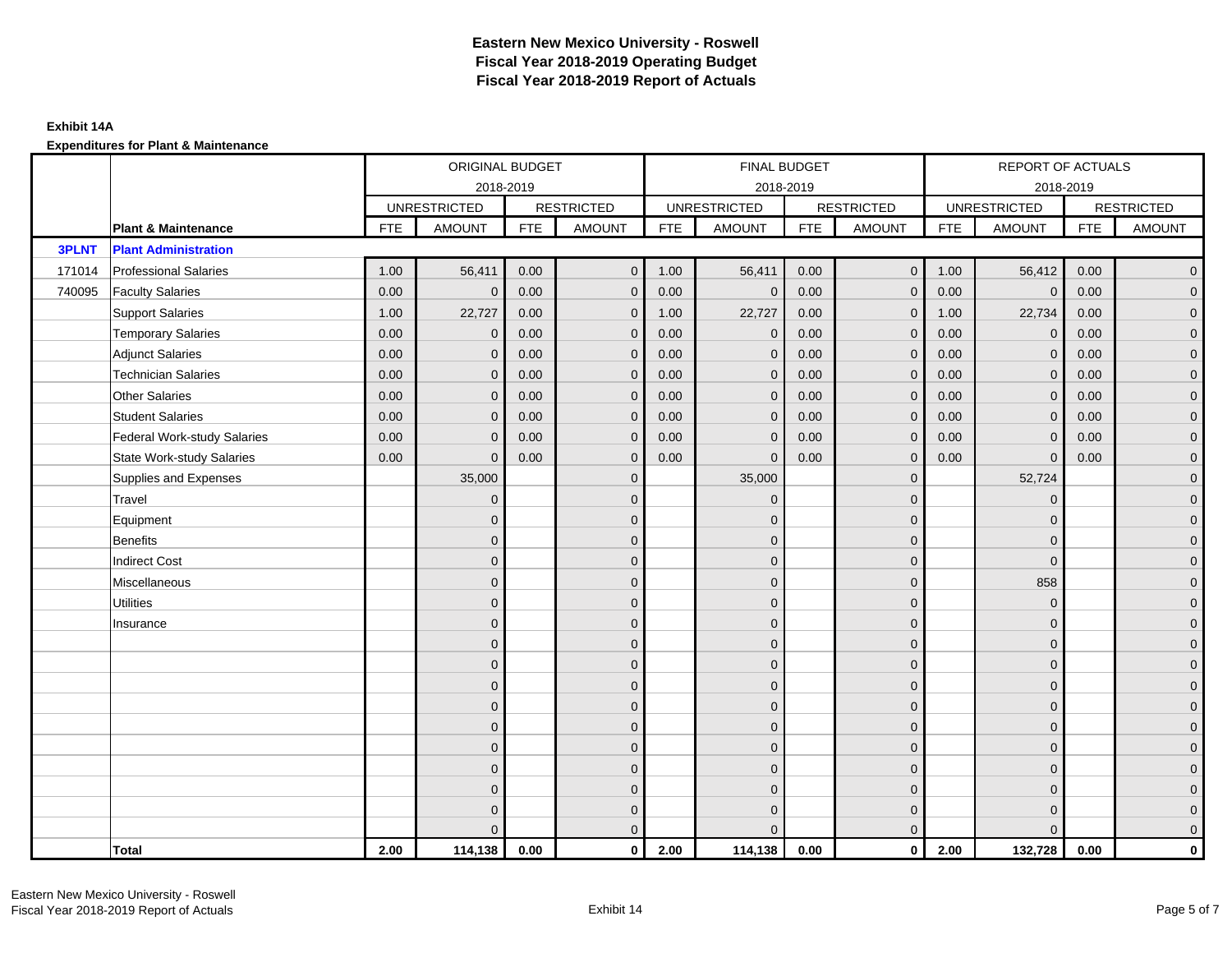|              |                                    |            | ORIGINAL BUDGET     |            |                   |            | FINAL BUDGET        |            |                   |            | REPORT OF ACTUALS   |            |                     |
|--------------|------------------------------------|------------|---------------------|------------|-------------------|------------|---------------------|------------|-------------------|------------|---------------------|------------|---------------------|
|              |                                    |            |                     | 2018-2019  |                   |            | 2018-2019           |            |                   |            | 2018-2019           |            |                     |
|              |                                    |            | <b>UNRESTRICTED</b> |            | <b>RESTRICTED</b> |            | <b>UNRESTRICTED</b> |            | <b>RESTRICTED</b> |            | <b>UNRESTRICTED</b> |            | <b>RESTRICTED</b>   |
|              | <b>Plant &amp; Maintenance</b>     | <b>FTE</b> | <b>AMOUNT</b>       | <b>FTE</b> | <b>AMOUNT</b>     | <b>FTE</b> | <b>AMOUNT</b>       | <b>FTE</b> | <b>AMOUNT</b>     | <b>FTE</b> | <b>AMOUNT</b>       | <b>FTE</b> | <b>AMOUNT</b>       |
| <b>3PLNT</b> | <b>Plant Administration</b>        |            |                     |            |                   |            |                     |            |                   |            |                     |            |                     |
| 171014       | <b>Professional Salaries</b>       | 1.00       | 56,411              | 0.00       | $\overline{0}$    | 1.00       | 56,411              | 0.00       | $\overline{0}$    | 1.00       | 56,412              | 0.00       | $\overline{0}$      |
| 740095       | <b>Faculty Salaries</b>            | 0.00       | $\mathbf{0}$        | 0.00       | $\mathbf{0}$      | 0.00       | $\mathbf{0}$        | 0.00       | $\mathbf{0}$      | 0.00       | $\overline{0}$      | 0.00       | $\overline{0}$      |
|              | <b>Support Salaries</b>            | 1.00       | 22,727              | 0.00       | $\mathbf 0$       | 1.00       | 22,727              | 0.00       | $\mathbf 0$       | 1.00       | 22,734              | 0.00       | $\overline{0}$      |
|              | <b>Temporary Salaries</b>          | 0.00       | 0                   | 0.00       | $\mathbf{0}$      | 0.00       | $\mathbf 0$         | 0.00       | $\mathbf 0$       | 0.00       | $\mathbf 0$         | 0.00       | $\mathbf{0}$        |
|              | <b>Adjunct Salaries</b>            | 0.00       | $\mathbf{0}$        | 0.00       | $\mathbf{0}$      | 0.00       | $\mathbf{0}$        | 0.00       | $\mathbf{0}$      | 0.00       | $\mathbf{0}$        | 0.00       | $\mathbf{0}$        |
|              | <b>Technician Salaries</b>         | 0.00       | $\Omega$            | 0.00       | $\mathbf{0}$      | 0.00       | $\mathbf{0}$        | 0.00       | $\mathbf{0}$      | 0.00       | $\mathbf{0}$        | 0.00       | $\mathbf{0}$        |
|              | <b>Other Salaries</b>              | 0.00       | $\Omega$            | 0.00       | $\mathbf{0}$      | 0.00       | $\Omega$            | 0.00       | $\Omega$          | 0.00       | $\mathbf{0}$        | 0.00       | $\overline{0}$      |
|              | <b>Student Salaries</b>            | 0.00       | $\mathbf 0$         | 0.00       | $\mathbf 0$       | 0.00       | $\mathbf 0$         | 0.00       | $\mathbf 0$       | 0.00       | $\overline{0}$      | 0.00       | $\overline{0}$      |
|              | <b>Federal Work-study Salaries</b> | 0.00       | $\Omega$            | 0.00       | $\mathbf{0}$      | 0.00       | $\mathbf{0}$        | 0.00       | $\mathbf 0$       | 0.00       | $\mathbf 0$         | 0.00       | $\overline{0}$      |
|              | <b>State Work-study Salaries</b>   | 0.00       | $\mathbf{0}$        | 0.00       | $\mathbf{0}$      | 0.00       | $\mathbf{0}$        | 0.00       | $\mathbf 0$       | 0.00       | $\mathbf{0}$        | 0.00       | $\overline{0}$      |
|              | Supplies and Expenses              |            | 35,000              |            | $\mathbf{0}$      |            | 35,000              |            | $\overline{0}$    |            | 52,724              |            | $\mathsf{O}\xspace$ |
|              | Travel                             |            | $\Omega$            |            | $\mathbf{0}$      |            | $\mathbf{0}$        |            | $\mathbf{0}$      |            | $\mathbf{0}$        |            | $\overline{0}$      |
|              | Equipment                          |            | $\Omega$            |            | $\mathbf 0$       |            | $\mathbf{0}$        |            | $\mathbf 0$       |            | $\mathbf{0}$        |            | $\overline{0}$      |
|              | <b>Benefits</b>                    |            | $\Omega$            |            | $\mathbf{0}$      |            | $\Omega$            |            | $\overline{0}$    |            | $\mathbf{0}$        |            | $\overline{0}$      |
|              | <b>Indirect Cost</b>               |            | $\Omega$            |            | $\mathbf 0$       |            | $\Omega$            |            | $\mathbf{0}$      |            | $\mathbf 0$         |            | $\overline{0}$      |
|              | Miscellaneous                      |            | $\Omega$            |            | $\mathbf{0}$      |            | $\Omega$            |            | $\mathbf{0}$      |            | 858                 |            | $\overline{0}$      |
|              | <b>Utilities</b>                   |            | $\mathbf{0}$        |            | $\mathbf 0$       |            | $\mathbf{0}$        |            | $\mathbf 0$       |            | $\mathbf{0}$        |            | $\mathbf{0}$        |
|              | Insurance                          |            | $\Omega$            |            | $\mathbf 0$       |            | $\mathbf{0}$        |            | $\mathbf 0$       |            | $\mathbf{0}$        |            | $\overline{0}$      |
|              |                                    |            | $\Omega$            |            | $\mathbf{0}$      |            | $\Omega$            |            | $\mathbf 0$       |            | $\mathbf{0}$        |            | $\overline{0}$      |
|              |                                    |            | $\Omega$            |            | $\mathbf{0}$      |            | $\Omega$            |            | $\mathbf{0}$      |            | $\Omega$            |            | $\overline{0}$      |
|              |                                    |            | $\Omega$            |            | $\mathbf 0$       |            | $\mathbf{0}$        |            | $\mathbf 0$       |            | $\mathbf{0}$        |            | $\mathsf{O}\xspace$ |
|              |                                    |            | $\mathbf{0}$        |            | $\mathbf 0$       |            | $\mathbf{0}$        |            | $\mathbf 0$       |            | $\mathbf{0}$        |            | $\overline{0}$      |
|              |                                    |            | $\Omega$            |            | $\mathbf 0$       |            | $\mathbf{0}$        |            | $\mathbf{0}$      |            | $\mathbf{0}$        |            | $\overline{0}$      |
|              |                                    |            | $\Omega$            |            | $\mathbf{0}$      |            | $\Omega$            |            | $\mathbf{0}$      |            | $\mathbf{0}$        |            | $\overline{0}$      |
|              |                                    |            | $\Omega$            |            | $\mathbf{0}$      |            | $\Omega$            |            | $\mathbf 0$       |            | $\mathbf{0}$        |            | $\mathbf{0}$        |
|              |                                    |            | $\Omega$            |            | $\mathbf 0$       |            | $\mathbf{0}$        |            | $\mathbf 0$       |            | $\mathbf{0}$        |            | $\mathbf{0}$        |
|              |                                    |            | $\Omega$            |            | $\mathbf 0$       |            | $\Omega$            |            | $\mathbf 0$       |            | $\mathbf{0}$        |            | $\mathbf{0}$        |
|              |                                    |            |                     |            | $\mathbf{0}$      |            | $\Omega$            |            | $\mathbf{0}$      |            | $\Omega$            |            | $\overline{0}$      |
|              | <b>Total</b>                       | 2.00       | 114,138             | 0.00       | $\mathbf{0}$      | 2.00       | 114,138             | 0.00       | $\mathbf{0}$      | 2.00       | 132,728             | 0.00       | $\mathbf 0$         |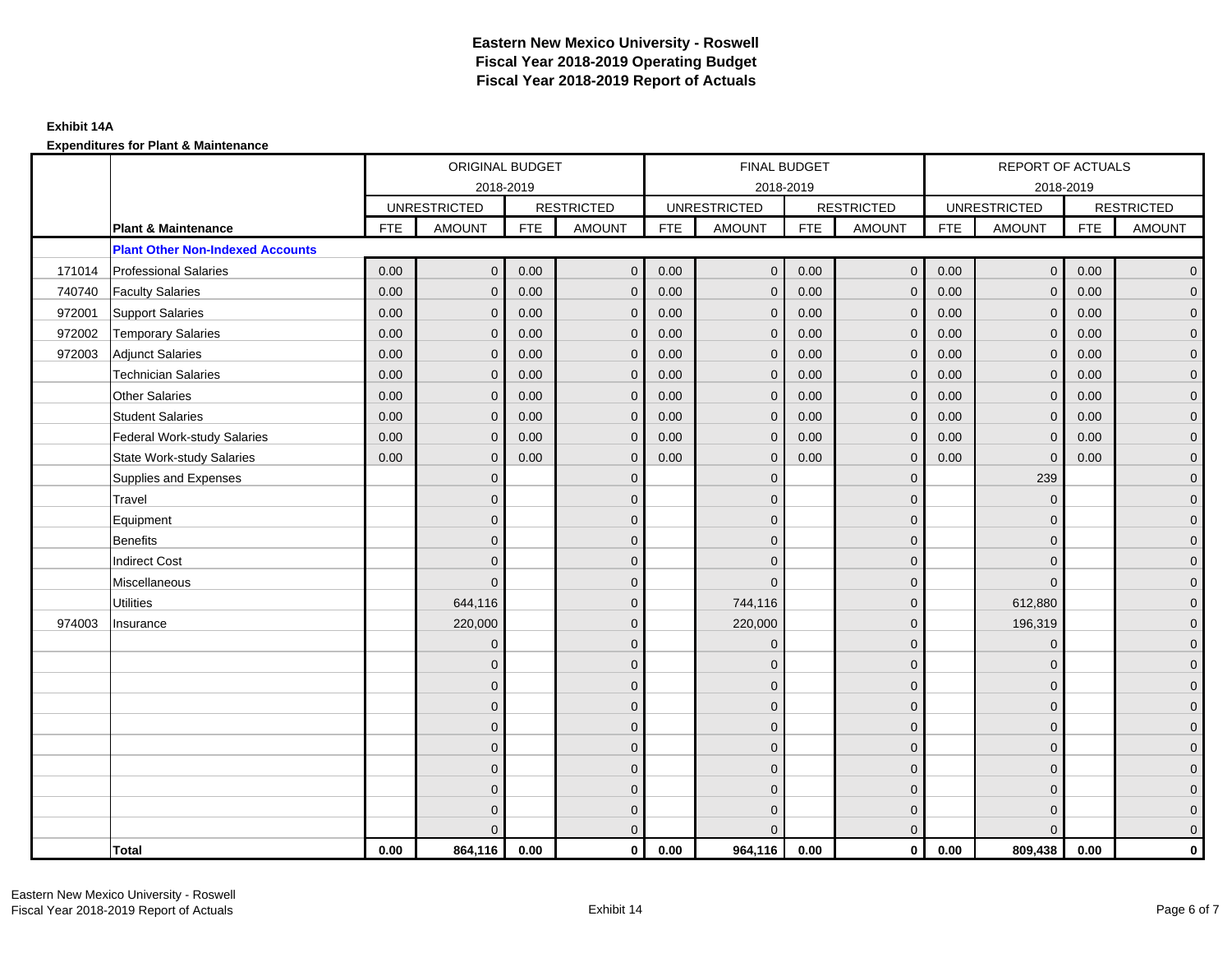|        |                                         |            | ORIGINAL BUDGET     |            |                   |            | <b>FINAL BUDGET</b> |            |                   |            | <b>REPORT OF ACTUALS</b> |            |                   |
|--------|-----------------------------------------|------------|---------------------|------------|-------------------|------------|---------------------|------------|-------------------|------------|--------------------------|------------|-------------------|
|        |                                         |            |                     | 2018-2019  |                   |            | 2018-2019           |            |                   |            | 2018-2019                |            |                   |
|        |                                         |            | <b>UNRESTRICTED</b> |            | <b>RESTRICTED</b> |            | <b>UNRESTRICTED</b> |            | <b>RESTRICTED</b> |            | <b>UNRESTRICTED</b>      |            | <b>RESTRICTED</b> |
|        | <b>Plant &amp; Maintenance</b>          | <b>FTE</b> | <b>AMOUNT</b>       | <b>FTE</b> | <b>AMOUNT</b>     | <b>FTE</b> | <b>AMOUNT</b>       | <b>FTE</b> | <b>AMOUNT</b>     | <b>FTE</b> | <b>AMOUNT</b>            | <b>FTE</b> | <b>AMOUNT</b>     |
|        | <b>Plant Other Non-Indexed Accounts</b> |            |                     |            |                   |            |                     |            |                   |            |                          |            |                   |
| 171014 | <b>Professional Salaries</b>            | 0.00       | $\mathbf{0}$        | 0.00       | $\mathbf{0}$      | 0.00       | $\overline{0}$      | 0.00       | $\overline{0}$    | 0.00       | $\overline{0}$           | 0.00       | $\overline{0}$    |
| 740740 | <b>Faculty Salaries</b>                 | 0.00       | $\mathbf{0}$        | 0.00       | $\mathbf{0}$      | 0.00       | $\mathbf{0}$        | 0.00       | $\mathbf{0}$      | 0.00       | $\mathbf{0}$             | 0.00       | $\overline{0}$    |
| 972001 | <b>Support Salaries</b>                 | 0.00       | $\mathbf{0}$        | 0.00       | $\mathbf 0$       | 0.00       | $\mathbf{0}$        | 0.00       | $\mathbf 0$       | 0.00       | $\overline{0}$           | 0.00       | $\overline{0}$    |
| 972002 | <b>Temporary Salaries</b>               | 0.00       | $\mathbf 0$         | 0.00       | $\mathbf{0}$      | 0.00       | $\mathbf{0}$        | 0.00       | $\mathbf 0$       | 0.00       | $\mathbf 0$              | 0.00       | $\overline{0}$    |
| 972003 | <b>Adjunct Salaries</b>                 | 0.00       | $\mathbf{0}$        | 0.00       | $\mathbf{0}$      | 0.00       | $\overline{0}$      | 0.00       | $\mathbf{0}$      | 0.00       | $\mathbf{0}$             | 0.00       | $\overline{0}$    |
|        | <b>Technician Salaries</b>              | 0.00       | $\Omega$            | 0.00       | $\Omega$          | 0.00       | $\Omega$            | 0.00       | $\mathbf{0}$      | 0.00       | $\mathbf{0}$             | 0.00       | $\overline{0}$    |
|        | <b>Other Salaries</b>                   | 0.00       | $\mathbf 0$         | 0.00       | $\mathbf 0$       | 0.00       | $\mathbf{0}$        | 0.00       | $\mathbf{0}$      | 0.00       | $\mathbf 0$              | 0.00       | $\mathbf{0}$      |
|        | <b>Student Salaries</b>                 | 0.00       | $\mathbf 0$         | 0.00       | $\mathbf 0$       | 0.00       | $\mathbf{0}$        | 0.00       | $\mathbf 0$       | 0.00       | $\overline{0}$           | 0.00       | $\overline{0}$    |
|        | Federal Work-study Salaries             | 0.00       | $\mathbf{0}$        | 0.00       | $\mathbf{0}$      | 0.00       | $\mathbf{0}$        | 0.00       | $\overline{0}$    | 0.00       | $\mathbf{0}$             | 0.00       | $\overline{0}$    |
|        | <b>State Work-study Salaries</b>        | 0.00       | $\mathbf{0}$        | 0.00       | $\Omega$          | 0.00       | $\Omega$            | 0.00       | $\mathbf{0}$      | 0.00       | $\mathbf 0$              | 0.00       | $\overline{0}$    |
|        | Supplies and Expenses                   |            | $\mathbf{0}$        |            | $\mathbf 0$       |            | $\mathbf{0}$        |            | $\overline{0}$    |            | 239                      |            | $\mathbf{0}$      |
|        | Travel                                  |            | $\overline{0}$      |            | $\mathbf 0$       |            | $\mathbf{0}$        |            | $\mathbf{0}$      |            | $\mathbf 0$              |            | $\overline{0}$    |
|        | Equipment                               |            | $\Omega$            |            | $\mathbf{0}$      |            | $\mathbf{0}$        |            | $\mathbf 0$       |            | $\mathbf 0$              |            | $\overline{0}$    |
|        | Benefits                                |            | $\overline{0}$      |            | $\mathbf 0$       |            | $\Omega$            |            | $\mathbf 0$       |            | $\mathbf 0$              |            | $\overline{0}$    |
|        | <b>Indirect Cost</b>                    |            | $\Omega$            |            | $\mathbf 0$       |            | $\Omega$            |            | $\mathbf 0$       |            | $\mathbf 0$              |            | $\overline{0}$    |
|        | Miscellaneous                           |            | $\Omega$            |            | $\mathbf{0}$      |            | $\Omega$            |            | $\mathbf 0$       |            | $\Omega$                 |            | $\mathbf 0$       |
|        | <b>Utilities</b>                        |            | 644,116             |            | $\mathbf{0}$      |            | 744,116             |            | $\mathbf{0}$      |            | 612,880                  |            | $\overline{0}$    |
| 974003 | Insurance                               |            | 220,000             |            | $\mathbf 0$       |            | 220,000             |            | $\mathbf 0$       |            | 196,319                  |            | $\overline{0}$    |
|        |                                         |            | $\mathbf{0}$        |            | $\mathbf 0$       |            | $\mathbf{0}$        |            | $\mathbf 0$       |            | $\mathbf 0$              |            | $\overline{0}$    |
|        |                                         |            | $\Omega$            |            | $\mathbf{0}$      |            | $\Omega$            |            | $\mathbf{0}$      |            | $\mathbf 0$              |            | $\overline{0}$    |
|        |                                         |            | $\Omega$            |            | $\mathbf 0$       |            | $\Omega$            |            | $\mathbf{0}$      |            | $\Omega$                 |            | $\mathbf{0}$      |
|        |                                         |            | $\mathbf{0}$        |            | $\mathbf 0$       |            | $\mathbf{0}$        |            | $\mathbf 0$       |            | $\mathbf{0}$             |            | $\mathbf{0}$      |
|        |                                         |            | 0                   |            | $\mathbf{0}$      |            | $\mathbf{0}$        |            | $\mathbf 0$       |            | $\mathbf 0$              |            | $\overline{0}$    |
|        |                                         |            | $\overline{0}$      |            | $\mathbf{0}$      |            | $\Omega$            |            | $\mathbf{0}$      |            | $\mathbf 0$              |            | $\mathbf 0$       |
|        |                                         |            | $\Omega$            |            | $\mathbf{0}$      |            | $\Omega$            |            | $\mathbf{0}$      |            | $\Omega$                 |            | $\overline{0}$    |
|        |                                         |            | $\mathbf{0}$        |            | $\mathbf 0$       |            | $\mathbf{0}$        |            | $\mathbf 0$       |            | $\mathbf 0$              |            | $\mathbf{0}$      |
|        |                                         |            | 0                   |            | $\mathbf 0$       |            | $\Omega$            |            | $\mathbf 0$       |            | $\mathbf 0$              |            | $\mathbf{0}$      |
|        |                                         |            | $\Omega$            |            | $\mathbf{0}$      |            | $\Omega$            |            | $\mathbf{0}$      |            | $\Omega$                 |            | $\overline{0}$    |
|        | <b>Total</b>                            | 0.00       | 864,116             | 0.00       | $\mathbf{0}$      | 0.00       | 964,116             | 0.00       | $\mathbf{0}$      | 0.00       | 809,438                  | 0.00       | $\mathbf 0$       |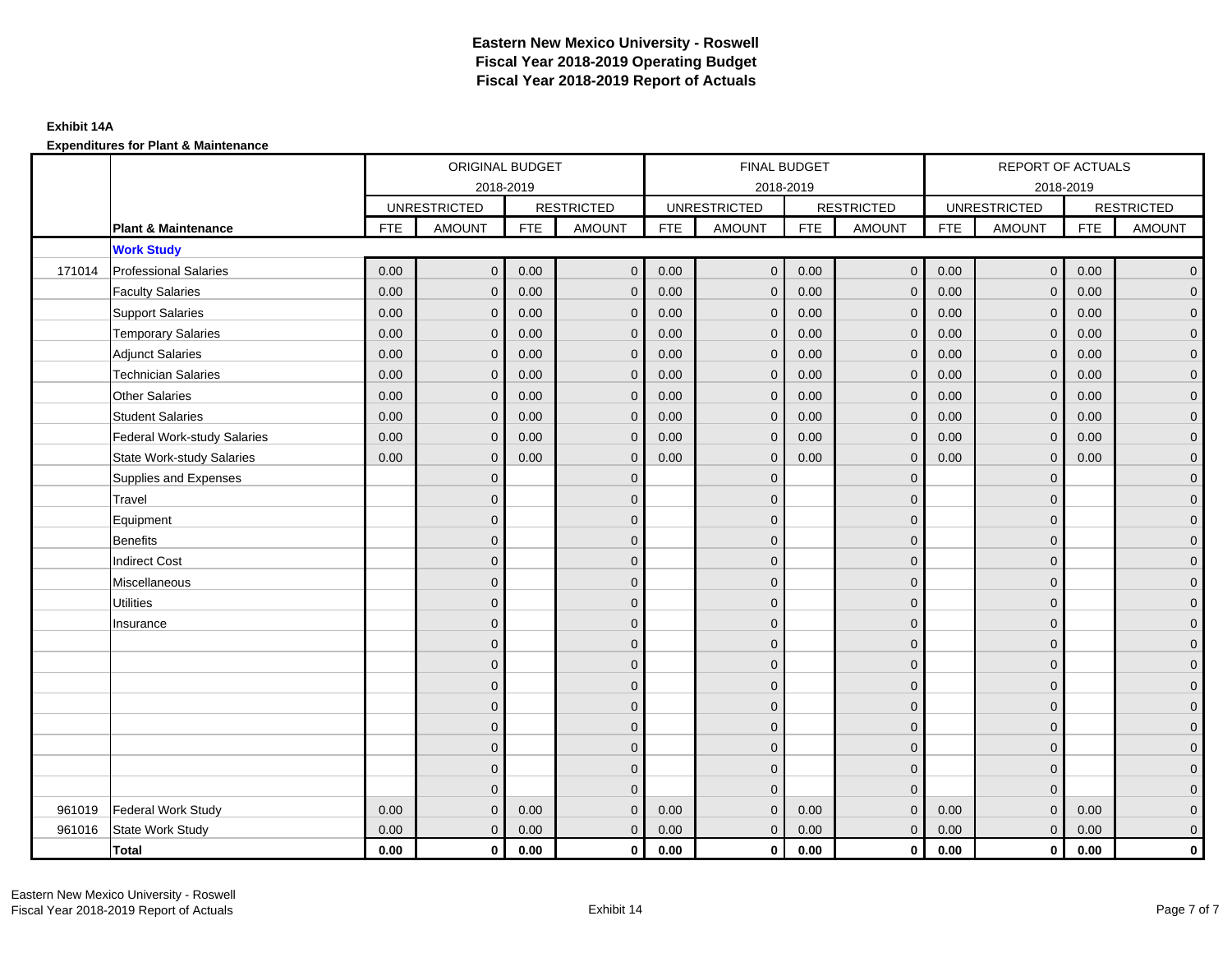|        |                                    |            | ORIGINAL BUDGET     |            |                   |            | FINAL BUDGET        |            |                         |            | REPORT OF ACTUALS   |            |                     |
|--------|------------------------------------|------------|---------------------|------------|-------------------|------------|---------------------|------------|-------------------------|------------|---------------------|------------|---------------------|
|        |                                    |            | 2018-2019           |            |                   |            | 2018-2019           |            |                         |            | 2018-2019           |            |                     |
|        |                                    |            | <b>UNRESTRICTED</b> |            | <b>RESTRICTED</b> |            | <b>UNRESTRICTED</b> |            | <b>RESTRICTED</b>       |            | <b>UNRESTRICTED</b> |            | <b>RESTRICTED</b>   |
|        | <b>Plant &amp; Maintenance</b>     | <b>FTE</b> | <b>AMOUNT</b>       | <b>FTE</b> | <b>AMOUNT</b>     | <b>FTE</b> | <b>AMOUNT</b>       | <b>FTE</b> | <b>AMOUNT</b>           | <b>FTE</b> | <b>AMOUNT</b>       | <b>FTE</b> | <b>AMOUNT</b>       |
|        | <b>Work Study</b>                  |            |                     |            |                   |            |                     |            |                         |            |                     |            |                     |
| 171014 | <b>Professional Salaries</b>       | 0.00       | $\mathbf{0}$        | 0.00       | $\mathbf{0}$      | 0.00       | $\overline{0}$      | 0.00       | $\overline{0}$          | 0.00       | $\overline{0}$      | 0.00       | $\overline{0}$      |
|        | <b>Faculty Salaries</b>            | 0.00       | $\mathbf{0}$        | 0.00       | $\Omega$          | 0.00       | $\mathbf{0}$        | 0.00       | $\mathbf{0}$            | 0.00       | $\mathbf{0}$        | 0.00       | $\overline{0}$      |
|        | <b>Support Salaries</b>            | 0.00       | $\mathbf{0}$        | 0.00       | $\mathbf{0}$      | 0.00       | $\overline{0}$      | 0.00       | $\mathbf 0$             | 0.00       | $\overline{0}$      | 0.00       | $\overline{0}$      |
|        | <b>Temporary Salaries</b>          | 0.00       | $\mathbf{0}$        | 0.00       | $\Omega$          | 0.00       | $\mathbf{0}$        | 0.00       | $\mathbf{0}$            | 0.00       | $\mathbf 0$         | 0.00       | $\overline{0}$      |
|        | <b>Adjunct Salaries</b>            | 0.00       | $\mathbf{0}$        | 0.00       | $\mathbf 0$       | 0.00       | $\mathbf{0}$        | 0.00       | $\mathbf 0$             | 0.00       | $\mathbf 0$         | 0.00       | $\overline{0}$      |
|        | <b>Technician Salaries</b>         | 0.00       | $\mathbf{0}$        | 0.00       | $\Omega$          | 0.00       | $\mathbf{0}$        | 0.00       | $\mathbf{0}$            | 0.00       | $\mathbf{0}$        | 0.00       | $\overline{0}$      |
|        | <b>Other Salaries</b>              | 0.00       | $\Omega$            | 0.00       | $\Omega$          | 0.00       | $\Omega$            | 0.00       | $\mathbf{0}$            | 0.00       | $\mathbf{0}$        | 0.00       | $\overline{0}$      |
|        | <b>Student Salaries</b>            | 0.00       | $\mathbf{0}$        | 0.00       | $\mathbf 0$       | 0.00       | $\overline{0}$      | 0.00       | $\mathbf 0$             | 0.00       | $\mathbf{0}$        | 0.00       | $\overline{0}$      |
|        | <b>Federal Work-study Salaries</b> | 0.00       | $\mathbf{0}$        | 0.00       | $\mathbf 0$       | 0.00       | $\mathbf{0}$        | 0.00       | $\mathbf 0$             | 0.00       | $\mathbf{0}$        | 0.00       | $\overline{0}$      |
|        | <b>State Work-study Salaries</b>   | 0.00       | $\mathbf{0}$        | 0.00       | $\Omega$          | 0.00       | $\mathbf{0}$        | 0.00       | $\mathbf 0$             | 0.00       | $\mathbf{0}$        | 0.00       | $\overline{0}$      |
|        | Supplies and Expenses              |            | $\mathbf{0}$        |            | $\mathbf{0}$      |            | $\mathbf{0}$        |            | $\mathbf 0$             |            | $\mathbf 0$         |            | $\mathsf{O}\xspace$ |
|        | Travel                             |            | $\Omega$            |            | $\mathbf{0}$      |            | $\mathbf{0}$        |            | $\mathbf{0}$            |            | $\mathbf 0$         |            | $\mathbf{0}$        |
|        | Equipment                          |            | $\overline{0}$      |            | $\mathbf{0}$      |            | $\Omega$            |            | $\mathbf 0$             |            | $\Omega$            |            | $\overline{0}$      |
|        | <b>Benefits</b>                    |            | $\mathbf{0}$        |            | $\mathbf{0}$      |            | $\mathbf{0}$        |            | $\mathbf 0$             |            | $\mathbf 0$         |            | $\mathsf{O}\xspace$ |
|        | <b>Indirect Cost</b>               |            | $\mathbf{0}$        |            | $\mathbf 0$       |            | $\Omega$            |            | $\mathbf 0$             |            | $\mathbf{0}$        |            | $\overline{0}$      |
|        | Miscellaneous                      |            | $\Omega$            |            | $\mathbf{0}$      |            | $\Omega$            |            | $\mathbf{0}$            |            | $\Omega$            |            | $\overline{0}$      |
|        | <b>Utilities</b>                   |            | $\mathbf{0}$        |            | $\mathbf 0$       |            | $\mathbf{0}$        |            | $\mathbf 0$             |            | $\mathbf 0$         |            | $\overline{0}$      |
|        | Insurance                          |            | $\mathbf{0}$        |            | $\mathbf{0}$      |            | $\mathbf{0}$        |            | $\mathbf 0$             |            | $\mathbf{0}$        |            | $\overline{0}$      |
|        |                                    |            | $\Omega$            |            | $\mathbf{0}$      |            | $\Omega$            |            | $\mathbf 0$             |            | $\Omega$            |            | $\overline{0}$      |
|        |                                    |            | $\mathbf{0}$        |            | $\mathbf{0}$      |            | $\Omega$            |            | $\mathbf 0$             |            | $\mathbf 0$         |            | $\mathsf{O}\xspace$ |
|        |                                    |            | $\Omega$            |            | $\mathbf{0}$      |            | $\mathbf{0}$        |            | $\mathbf 0$             |            | $\mathbf 0$         |            | $\mathbf{0}$        |
|        |                                    |            | $\Omega$            |            | $\mathbf{0}$      |            | $\Omega$            |            | $\mathbf{0}$            |            | $\mathbf{0}$        |            | $\overline{0}$      |
|        |                                    |            | $\overline{0}$      |            | $\mathbf 0$       |            | $\mathbf{0}$        |            | $\mathbf 0$             |            | $\mathbf{0}$        |            | $\overline{0}$      |
|        |                                    |            | $\Omega$            |            | $\mathbf{0}$      |            | $\Omega$            |            | $\mathbf 0$             |            | $\mathbf 0$         |            | $\overline{0}$      |
|        |                                    |            | $\overline{0}$      |            | $\mathbf{0}$      |            | $\Omega$            |            | $\mathbf 0$             |            | $\mathbf{0}$        |            | $\overline{0}$      |
|        |                                    |            | $\Omega$            |            | $\Omega$          |            | $\Omega$            |            | $\overline{0}$          |            | $\Omega$            |            | $\overline{0}$      |
| 961019 | <b>Federal Work Study</b>          | 0.00       | $\mathbf{0}$        | 0.00       | $\Omega$          | 0.00       | $\mathbf{0}$        | 0.00       | $\mathbf{0}$            | 0.00       | $\mathbf{0}$        | 0.00       | $\mathbf{0}$        |
| 961016 | State Work Study                   | 0.00       | $\mathbf{0}$        | 0.00       | $\mathbf{0}$      | 0.00       | $\mathbf{0}$        | 0.00       | $\mathbf{0}$            | 0.00       | $\mathbf{0}$        | 0.00       | $\overline{0}$      |
|        | <b>Total</b>                       | 0.00       | $\mathbf{0}$        | 0.00       | $\mathbf 0$       | 0.00       | $\mathbf 0$         | 0.00       | $\overline{\mathbf{0}}$ | 0.00       | $\overline{0}$      | 0.00       | $\mathbf 0$         |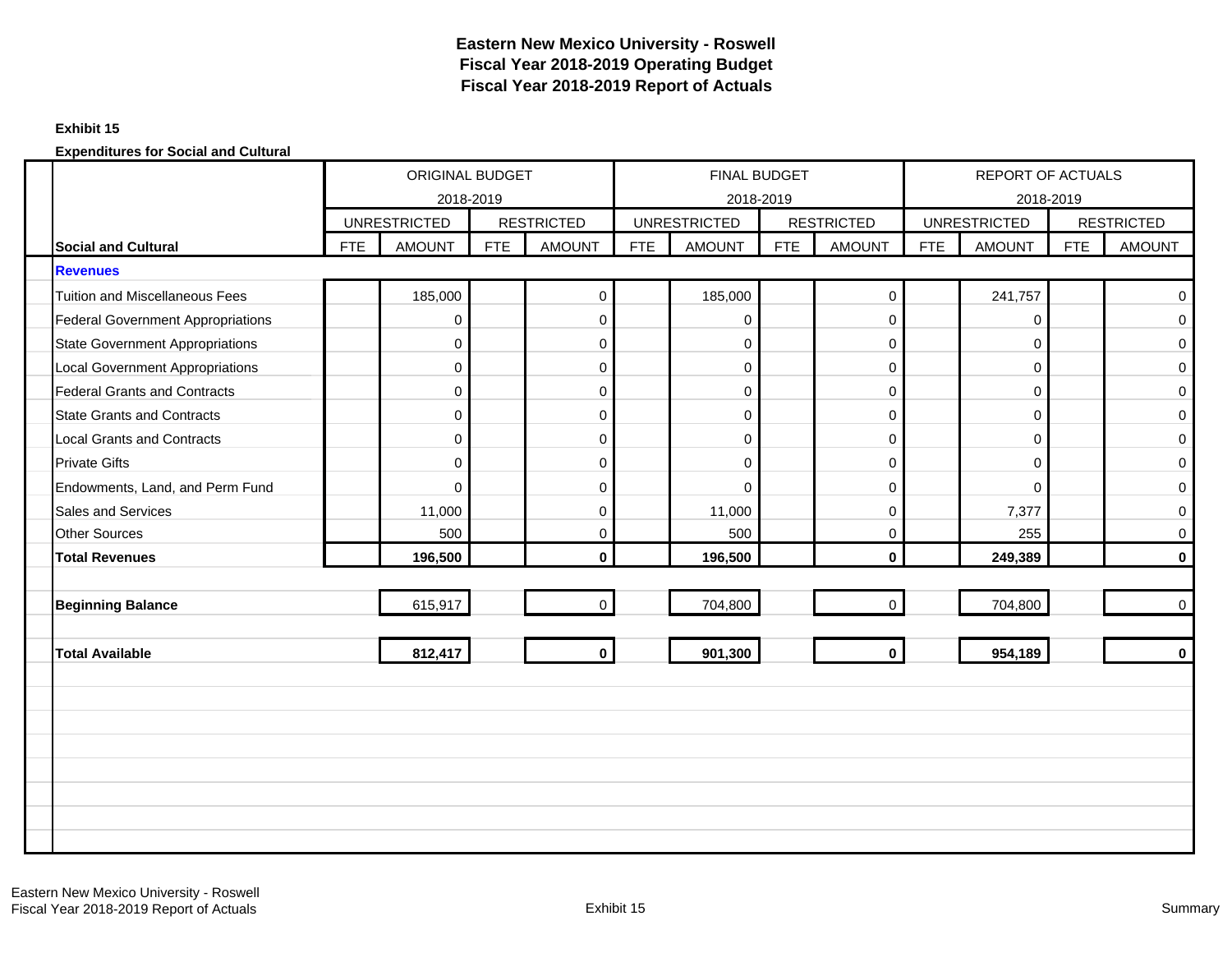## **Exhibit 15**

|                                          |            | ORIGINAL BUDGET<br>2018-2019 |            |                   |     | FINAL BUDGET<br>2018-2019 |     |                   |            | REPORT OF ACTUALS<br>2018-2019 |            |                   |
|------------------------------------------|------------|------------------------------|------------|-------------------|-----|---------------------------|-----|-------------------|------------|--------------------------------|------------|-------------------|
|                                          |            | <b>UNRESTRICTED</b>          |            | <b>RESTRICTED</b> |     | <b>UNRESTRICTED</b>       |     | <b>RESTRICTED</b> |            | <b>UNRESTRICTED</b>            |            | <b>RESTRICTED</b> |
| <b>Social and Cultural</b>               | <b>FTE</b> | <b>AMOUNT</b>                | <b>FTE</b> | <b>AMOUNT</b>     | FTE | <b>AMOUNT</b>             | FTE | <b>AMOUNT</b>     | <b>FTE</b> | <b>AMOUNT</b>                  | <b>FTE</b> | <b>AMOUNT</b>     |
| <b>Revenues</b>                          |            |                              |            |                   |     |                           |     |                   |            |                                |            |                   |
| <b>Tuition and Miscellaneous Fees</b>    |            | 185,000                      |            | $\pmb{0}$         |     | 185,000                   |     | $\mathbf 0$       |            | 241,757                        |            | $\mathbf 0$       |
| <b>Federal Government Appropriations</b> |            | 0                            |            | $\pmb{0}$         |     | 0                         |     | $\mathbf 0$       |            | 0                              |            | $\mathbf 0$       |
| <b>State Government Appropriations</b>   |            | 0                            |            | $\pmb{0}$         |     | $\mathbf 0$               |     | $\mathbf 0$       |            | 0                              |            | $\mathbf 0$       |
| <b>Local Government Appropriations</b>   |            | 0                            |            | $\pmb{0}$         |     | $\mathbf 0$               |     | $\mathbf 0$       |            | $\mathbf 0$                    |            | $\mathbf 0$       |
| <b>Federal Grants and Contracts</b>      |            | 0                            |            | $\pmb{0}$         |     | $\mathbf 0$               |     | $\mathbf 0$       |            | 0                              |            | $\mathbf 0$       |
| <b>State Grants and Contracts</b>        |            | 0                            |            | 0                 |     | $\mathbf 0$               |     | $\mathbf 0$       |            | $\mathbf 0$                    |            | $\mathbf 0$       |
| <b>Local Grants and Contracts</b>        |            | 0                            |            | $\pmb{0}$         |     | $\mathbf 0$               |     | $\mathbf 0$       |            | 0                              |            | $\mathbf 0$       |
| <b>Private Gifts</b>                     |            | 0                            |            | $\pmb{0}$         |     | $\mathbf 0$               |     | $\mathbf 0$       |            | 0                              |            | $\mathbf 0$       |
| Endowments, Land, and Perm Fund          |            | $\Omega$                     |            | $\mathbf 0$       |     | $\Omega$                  |     | $\Omega$          |            | $\Omega$                       |            | $\mathbf 0$       |
| Sales and Services                       |            | 11,000                       |            | $\pmb{0}$         |     | 11,000                    |     | $\mathbf 0$       |            | 7,377                          |            | 0                 |
| <b>Other Sources</b>                     |            | 500                          |            | $\pmb{0}$         |     | 500                       |     | $\mathbf 0$       |            | 255                            |            | $\mathbf 0$       |
| <b>Total Revenues</b>                    |            | 196,500                      |            | $\mathbf 0$       |     | 196,500                   |     | $\mathbf{0}$      |            | 249,389                        |            | $\bf{0}$          |
|                                          |            |                              |            |                   |     |                           |     |                   |            |                                |            |                   |
| <b>Beginning Balance</b>                 |            | 615,917                      |            | $\mathbf 0$       |     | 704,800                   |     | $\mathbf 0$       |            | 704,800                        |            | $\mathbf 0$       |
|                                          |            |                              |            |                   |     |                           |     |                   |            |                                |            |                   |
| <b>Total Available</b>                   |            | 812,417                      |            | $\mathbf 0$       |     | 901,300                   |     | $\mathbf 0$       |            | 954,189                        |            | $\mathbf 0$       |
|                                          |            |                              |            |                   |     |                           |     |                   |            |                                |            |                   |
|                                          |            |                              |            |                   |     |                           |     |                   |            |                                |            |                   |
|                                          |            |                              |            |                   |     |                           |     |                   |            |                                |            |                   |
|                                          |            |                              |            |                   |     |                           |     |                   |            |                                |            |                   |
|                                          |            |                              |            |                   |     |                           |     |                   |            |                                |            |                   |
|                                          |            |                              |            |                   |     |                           |     |                   |            |                                |            |                   |
|                                          |            |                              |            |                   |     |                           |     |                   |            |                                |            |                   |
|                                          |            |                              |            |                   |     |                           |     |                   |            |                                |            |                   |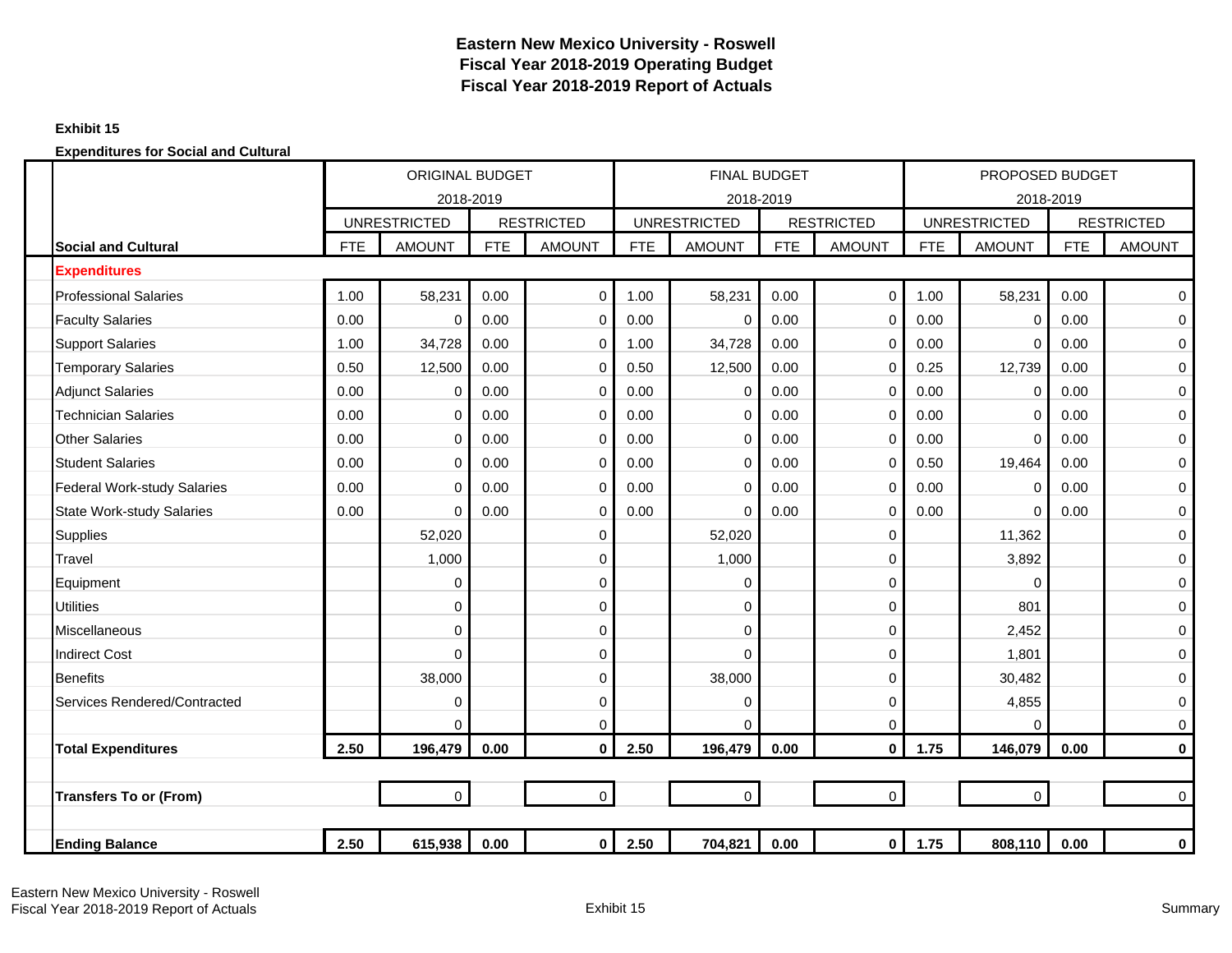## **Exhibit 15**

|                                    |            | <b>ORIGINAL BUDGET</b> |            |                   |            | <b>FINAL BUDGET</b> |            |                   |            | PROPOSED BUDGET     |            |                   |
|------------------------------------|------------|------------------------|------------|-------------------|------------|---------------------|------------|-------------------|------------|---------------------|------------|-------------------|
|                                    |            | 2018-2019              |            |                   |            | 2018-2019           |            |                   |            | 2018-2019           |            |                   |
|                                    |            | <b>UNRESTRICTED</b>    |            | <b>RESTRICTED</b> |            | <b>UNRESTRICTED</b> |            | <b>RESTRICTED</b> |            | <b>UNRESTRICTED</b> |            | <b>RESTRICTED</b> |
| <b>Social and Cultural</b>         | <b>FTE</b> | <b>AMOUNT</b>          | <b>FTE</b> | <b>AMOUNT</b>     | <b>FTE</b> | <b>AMOUNT</b>       | <b>FTE</b> | <b>AMOUNT</b>     | <b>FTE</b> | <b>AMOUNT</b>       | <b>FTE</b> | <b>AMOUNT</b>     |
| <b>Expenditures</b>                |            |                        |            |                   |            |                     |            |                   |            |                     |            |                   |
| <b>Professional Salaries</b>       | 1.00       | 58,231                 | 0.00       | $\mathbf 0$       | 1.00       | 58,231              | 0.00       | $\mathbf 0$       | 1.00       | 58,231              | 0.00       | $\mathbf 0$       |
| <b>Faculty Salaries</b>            | 0.00       | 0                      | 0.00       | $\mathbf 0$       | 0.00       | $\Omega$            | 0.00       | $\mathbf 0$       | 0.00       | $\mathbf 0$         | 0.00       | 0                 |
| <b>Support Salaries</b>            | 1.00       | 34,728                 | 0.00       | 0                 | 1.00       | 34,728              | 0.00       | $\mathbf 0$       | 0.00       | $\Omega$            | 0.00       | 0                 |
| <b>Temporary Salaries</b>          | 0.50       | 12,500                 | 0.00       | 0                 | 0.50       | 12,500              | 0.00       | $\mathbf 0$       | 0.25       | 12,739              | 0.00       | $\pmb{0}$         |
| <b>Adjunct Salaries</b>            | 0.00       | 0                      | 0.00       | 0                 | 0.00       | $\Omega$            | 0.00       | $\mathbf 0$       | 0.00       | 0                   | 0.00       | 0                 |
| <b>Technician Salaries</b>         | 0.00       | 0                      | 0.00       | 0                 | 0.00       | 0                   | 0.00       | 0                 | 0.00       | $\mathbf 0$         | 0.00       | 0                 |
| <b>Other Salaries</b>              | 0.00       | 0                      | 0.00       | $\mathbf 0$       | 0.00       | $\Omega$            | 0.00       | $\Omega$          | 0.00       | $\Omega$            | 0.00       | 0                 |
| <b>Student Salaries</b>            | 0.00       | 0                      | 0.00       | $\mathbf 0$       | 0.00       | $\Omega$            | 0.00       | $\mathbf 0$       | 0.50       | 19,464              | 0.00       | 0                 |
| <b>Federal Work-study Salaries</b> | 0.00       | $\Omega$               | 0.00       | $\mathbf 0$       | 0.00       | $\Omega$            | 0.00       | $\mathbf 0$       | 0.00       | $\mathbf 0$         | 0.00       | $\mathsf 0$       |
| <b>State Work-study Salaries</b>   | 0.00       | 0                      | 0.00       | 0                 | 0.00       | $\Omega$            | 0.00       | $\mathbf 0$       | 0.00       | $\Omega$            | 0.00       | 0                 |
| <b>Supplies</b>                    |            | 52,020                 |            | 0                 |            | 52,020              |            | $\mathbf 0$       |            | 11,362              |            | $\mathsf 0$       |
| Travel                             |            | 1,000                  |            | 0                 |            | 1,000               |            | $\mathbf 0$       |            | 3,892               |            | 0                 |
| Equipment                          |            | 0                      |            | 0                 |            | $\Omega$            |            | 0                 |            | $\Omega$            |            | 0                 |
| <b>Utilities</b>                   |            | $\Omega$               |            | $\mathbf 0$       |            | $\Omega$            |            | $\Omega$          |            | 801                 |            | $\mathbf 0$       |
| Miscellaneous                      |            | 0                      |            | 0                 |            | 0                   |            | 0                 |            | 2,452               |            | $\pmb{0}$         |
| <b>Indirect Cost</b>               |            | $\Omega$               |            | 0                 |            | $\Omega$            |            | $\Omega$          |            | 1,801               |            | 0                 |
| <b>Benefits</b>                    |            | 38,000                 |            | 0                 |            | 38,000              |            | $\mathbf 0$       |            | 30,482              |            | 0                 |
| Services Rendered/Contracted       |            | 0                      |            | 0                 |            | 0                   |            | $\mathbf 0$       |            | 4,855               |            | $\pmb{0}$         |
|                                    |            | $\Omega$               |            | 0                 |            | $\Omega$            |            | $\mathbf 0$       |            | $\Omega$            |            | 0                 |
| <b>Total Expenditures</b>          | 2.50       | 196,479                | 0.00       | $\mathbf{0}$      | 2.50       | 196,479             | 0.00       | $\mathbf{0}$      | 1.75       | 146,079             | 0.00       | $\mathbf 0$       |
|                                    |            |                        |            |                   |            |                     |            |                   |            |                     |            |                   |
| <b>Transfers To or (From)</b>      |            | 0                      |            | $\mathsf{O}$      |            | $\overline{0}$      |            | $\mathsf{O}$      |            | $\mathbf 0$         |            | $\mathbf 0$       |
|                                    |            |                        |            |                   |            |                     |            |                   |            |                     |            |                   |
| <b>Ending Balance</b>              | 2.50       | 615,938                | 0.00       | $\mathbf 0$       | 2.50       | 704,821             | 0.00       | $\mathbf{0}$      | 1.75       | 808,110             | 0.00       | $\bf{0}$          |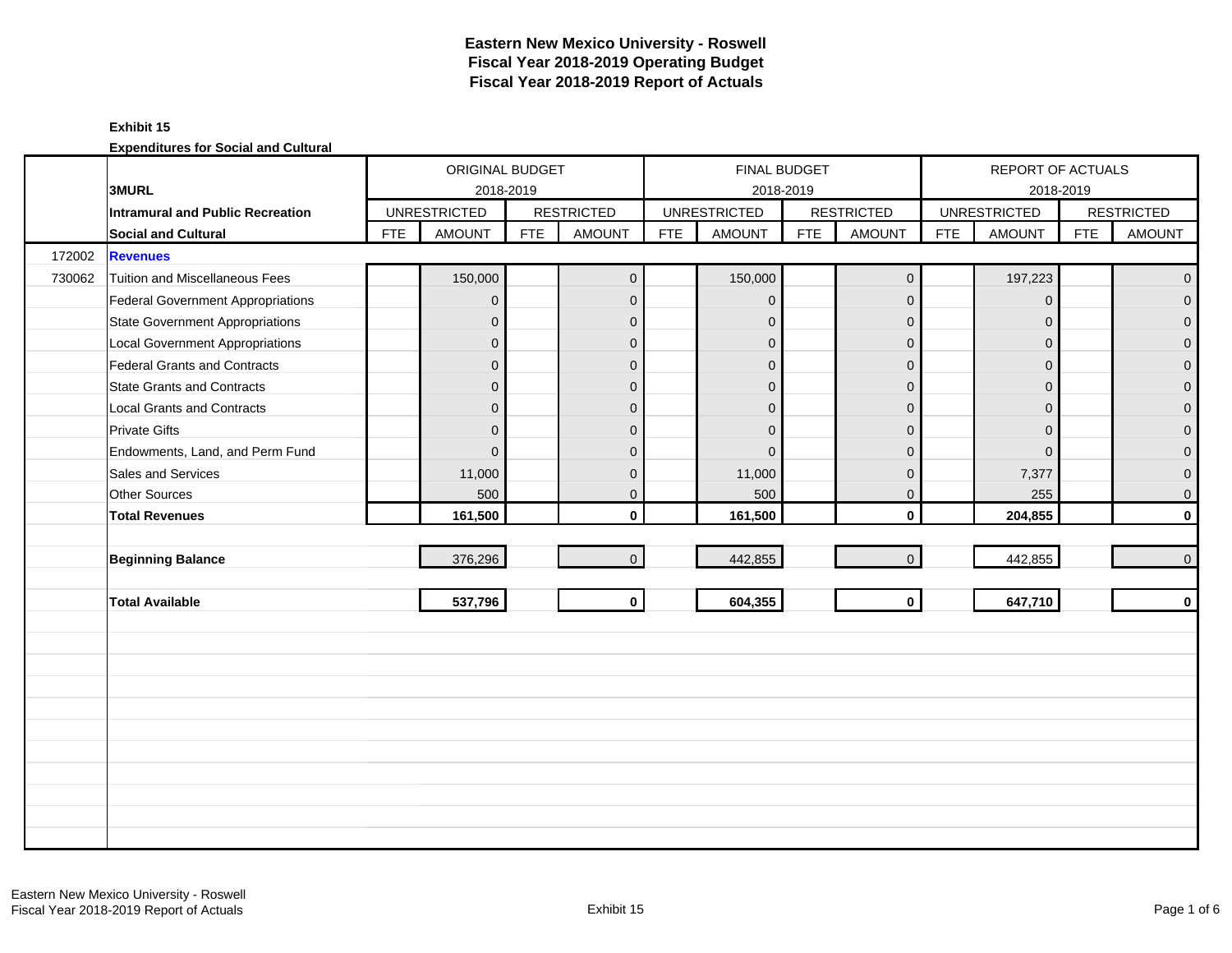## **Exhibit 15**

|        |                                        |            | ORIGINAL BUDGET     |            |                   |            | <b>FINAL BUDGET</b> |            |                   |            | REPORT OF ACTUALS   |            |                     |
|--------|----------------------------------------|------------|---------------------|------------|-------------------|------------|---------------------|------------|-------------------|------------|---------------------|------------|---------------------|
|        | 3MURL                                  |            | 2018-2019           |            |                   |            |                     | 2018-2019  |                   |            | 2018-2019           |            |                     |
|        | Intramural and Public Recreation       |            | <b>UNRESTRICTED</b> |            | <b>RESTRICTED</b> |            | <b>UNRESTRICTED</b> |            | <b>RESTRICTED</b> |            | <b>UNRESTRICTED</b> |            | <b>RESTRICTED</b>   |
|        | Social and Cultural                    | <b>FTE</b> | <b>AMOUNT</b>       | <b>FTE</b> | <b>AMOUNT</b>     | <b>FTE</b> | <b>AMOUNT</b>       | <b>FTE</b> | <b>AMOUNT</b>     | <b>FTE</b> | <b>AMOUNT</b>       | <b>FTE</b> | <b>AMOUNT</b>       |
| 172002 | <b>Revenues</b>                        |            |                     |            |                   |            |                     |            |                   |            |                     |            |                     |
| 730062 | <b>Tuition and Miscellaneous Fees</b>  |            | 150,000             |            | $\mathbf{0}$      |            | 150,000             |            | $\mathbf 0$       |            | 197,223             |            | $\overline{0}$      |
|        | Federal Government Appropriations      |            | $\overline{0}$      |            | $\mathbf{0}$      |            | $\mathbf{0}$        |            | $\mathbf 0$       |            | $\Omega$            |            | $\mathbf 0$         |
|        | <b>State Government Appropriations</b> |            | $\overline{0}$      |            | $\mathbf{0}$      |            | $\mathbf{0}$        |            | $\mathbf 0$       |            | $\Omega$            |            | $\mathbf 0$         |
|        | <b>Local Government Appropriations</b> |            | $\mathbf{0}$        |            | $\mathbf{0}$      |            | $\mathbf{0}$        |            | $\mathbf 0$       |            | $\mathbf 0$         |            | $\mathbf 0$         |
|        | Federal Grants and Contracts           |            | $\mathbf 0$         |            | $\mathbf{0}$      |            | $\mathbf{0}$        |            | $\mathbf 0$       |            | $\Omega$            |            | $\pmb{0}$           |
|        | <b>State Grants and Contracts</b>      |            | $\overline{0}$      |            | $\Omega$          |            | $\Omega$            |            | $\mathbf{0}$      |            | $\Omega$            |            | $\mathbf{0}$        |
|        | <b>Local Grants and Contracts</b>      |            | $\overline{0}$      |            | $\Omega$          |            | $\Omega$            |            | $\mathbf 0$       |            | $\Omega$            |            | $\mathsf{O}\xspace$ |
|        | <b>Private Gifts</b>                   |            | $\overline{0}$      |            | $\mathbf{0}$      |            | $\Omega$            |            | $\mathbf 0$       |            | $\Omega$            |            | $\mathbf 0$         |
|        | Endowments, Land, and Perm Fund        |            | $\overline{0}$      |            | $\mathbf{0}$      |            | $\Omega$            |            | $\mathbf{0}$      |            | $\Omega$            |            | $\mathbf{0}$        |
|        | Sales and Services                     |            | 11,000              |            | $\mathbf{0}$      |            | 11,000              |            | $\mathbf 0$       |            | 7,377               |            | $\mathbf 0$         |
|        | Other Sources                          |            | 500                 |            | $\mathbf 0$       |            | 500                 |            | $\mathbf 0$       |            | 255                 |            | $\mathsf{O}\xspace$ |
|        | <b>Total Revenues</b>                  |            | 161,500             |            | $\mathbf{0}$      |            | 161,500             |            | $\mathbf 0$       |            | 204,855             |            | $\mathbf 0$         |
|        |                                        |            |                     |            |                   |            |                     |            |                   |            |                     |            |                     |
|        | <b>Beginning Balance</b>               |            | 376,296             |            | $\overline{0}$    |            | 442,855             |            | $\mathbf 0$       |            | 442,855             |            | $\overline{0}$      |
|        |                                        |            |                     |            |                   |            |                     |            |                   |            |                     |            |                     |
|        | <b>Total Available</b>                 |            | 537,796             |            | $\mathbf 0$       |            | 604,355             |            | $\mathbf 0$       |            | 647,710             |            | $\mathbf 0$         |
|        |                                        |            |                     |            |                   |            |                     |            |                   |            |                     |            |                     |
|        |                                        |            |                     |            |                   |            |                     |            |                   |            |                     |            |                     |
|        |                                        |            |                     |            |                   |            |                     |            |                   |            |                     |            |                     |
|        |                                        |            |                     |            |                   |            |                     |            |                   |            |                     |            |                     |
|        |                                        |            |                     |            |                   |            |                     |            |                   |            |                     |            |                     |
|        |                                        |            |                     |            |                   |            |                     |            |                   |            |                     |            |                     |
|        |                                        |            |                     |            |                   |            |                     |            |                   |            |                     |            |                     |
|        |                                        |            |                     |            |                   |            |                     |            |                   |            |                     |            |                     |
|        |                                        |            |                     |            |                   |            |                     |            |                   |            |                     |            |                     |
|        |                                        |            |                     |            |                   |            |                     |            |                   |            |                     |            |                     |
|        |                                        |            |                     |            |                   |            |                     |            |                   |            |                     |            |                     |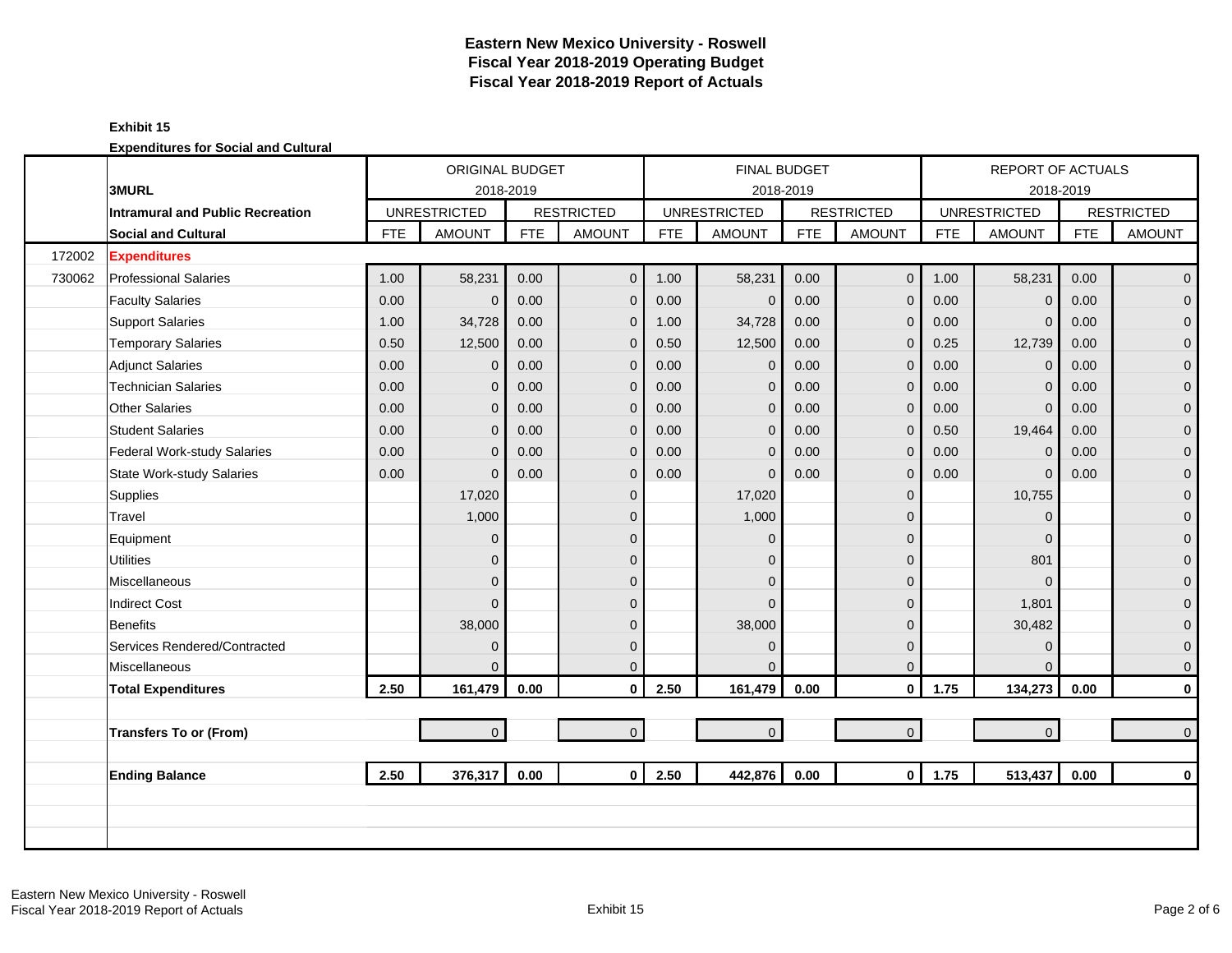## **Exhibit 15**

|        |                                         |            | ORIGINAL BUDGET     |            |                   |            | FINAL BUDGET        |            |                     |            | <b>REPORT OF ACTUALS</b> |            |                   |
|--------|-----------------------------------------|------------|---------------------|------------|-------------------|------------|---------------------|------------|---------------------|------------|--------------------------|------------|-------------------|
|        | <b>3MURL</b>                            |            | 2018-2019           |            |                   |            | 2018-2019           |            |                     |            | 2018-2019                |            |                   |
|        | <b>Intramural and Public Recreation</b> |            | <b>UNRESTRICTED</b> |            | <b>RESTRICTED</b> |            | <b>UNRESTRICTED</b> |            | <b>RESTRICTED</b>   |            | <b>UNRESTRICTED</b>      |            | <b>RESTRICTED</b> |
|        | <b>Social and Cultural</b>              | <b>FTE</b> | <b>AMOUNT</b>       | <b>FTE</b> | <b>AMOUNT</b>     | <b>FTE</b> | <b>AMOUNT</b>       | <b>FTE</b> | <b>AMOUNT</b>       | <b>FTE</b> | <b>AMOUNT</b>            | <b>FTE</b> | <b>AMOUNT</b>     |
| 172002 | <b>Expenditures</b>                     |            |                     |            |                   |            |                     |            |                     |            |                          |            |                   |
| 730062 | <b>Professional Salaries</b>            | 1.00       | 58,231              | 0.00       | $\mathbf 0$       | 1.00       | 58,231              | 0.00       | $\mathbf 0$         | 1.00       | 58,231                   | 0.00       | $\overline{0}$    |
|        | <b>Faculty Salaries</b>                 | 0.00       | $\mathbf{0}$        | 0.00       | $\mathbf{0}$      | 0.00       | $\mathbf 0$         | 0.00       | $\mathbf 0$         | 0.00       | $\Omega$                 | 0.00       | $\overline{0}$    |
|        | <b>Support Salaries</b>                 | 1.00       | 34,728              | 0.00       | $\mathbf 0$       | 1.00       | 34,728              | 0.00       | $\mathbf 0$         | 0.00       | $\overline{0}$           | 0.00       | $\overline{0}$    |
|        | <b>Temporary Salaries</b>               | 0.50       | 12,500              | 0.00       | $\mathbf 0$       | 0.50       | 12,500              | 0.00       | $\mathbf 0$         | 0.25       | 12,739                   | 0.00       | $\mathbf 0$       |
|        | <b>Adjunct Salaries</b>                 | 0.00       | $\mathbf{0}$        | 0.00       | $\overline{0}$    | 0.00       | $\mathbf 0$         | 0.00       | $\mathbf{0}$        | 0.00       | $\Omega$                 | 0.00       | $\mathbf{0}$      |
|        | <b>Technician Salaries</b>              | 0.00       | $\mathbf{0}$        | 0.00       | $\mathbf 0$       | 0.00       | $\mathbf{0}$        | 0.00       | $\mathbf 0$         | 0.00       | $\Omega$                 | 0.00       | $\mathbf{0}$      |
|        | <b>Other Salaries</b>                   | 0.00       | $\Omega$            | 0.00       | $\mathbf 0$       | 0.00       | $\mathbf{0}$        | 0.00       | $\mathbf{0}$        | 0.00       | $\Omega$                 | 0.00       | $\mathbf 0$       |
|        | <b>Student Salaries</b>                 | 0.00       | $\Omega$            | 0.00       | $\mathbf{0}$      | 0.00       | $\mathbf{0}$        | 0.00       | $\mathbf 0$         | 0.50       | 19,464                   | 0.00       | $\overline{0}$    |
|        | Federal Work-study Salaries             | 0.00       | $\Omega$            | 0.00       | $\mathbf 0$       | 0.00       | $\mathbf{0}$        | 0.00       | $\mathbf 0$         | 0.00       | $\Omega$                 | 0.00       | $\mathbf{0}$      |
|        | <b>State Work-study Salaries</b>        | 0.00       | $\Omega$            | 0.00       | $\mathbf 0$       | 0.00       | $\Omega$            | 0.00       | $\mathbf 0$         | 0.00       | $\Omega$                 | 0.00       | $\mathbf{O}$      |
|        | Supplies                                |            | 17,020              |            | $\overline{0}$    |            | 17,020              |            | $\mathbf 0$         |            | 10,755                   |            | $\mathbf{O}$      |
|        | Travel                                  |            | 1,000               |            | $\mathbf{0}$      |            | 1,000               |            | $\mathbf 0$         |            | $\Omega$                 |            | $\mathbf 0$       |
|        | Equipment                               |            | $\mathbf{0}$        |            | $\mathbf{0}$      |            | $\Omega$            |            | $\mathbf 0$         |            | $\Omega$                 |            | $\pmb{0}$         |
|        | <b>Utilities</b>                        |            | $\mathbf{0}$        |            | $\Omega$          |            | $\Omega$            |            | $\mathsf{O}\xspace$ |            | 801                      |            | $\mathbf{0}$      |
|        | <b>Miscellaneous</b>                    |            | $\overline{0}$      |            | $\mathbf{0}$      |            | $\Omega$            |            | $\mathbf 0$         |            | $\Omega$                 |            | $\mathbf{0}$      |
|        | <b>Indirect Cost</b>                    |            | $\Omega$            |            | $\mathbf{0}$      |            | $\Omega$            |            | $\mathbf 0$         |            | 1,801                    |            | $\mathbf 0$       |
|        | <b>Benefits</b>                         |            | 38,000              |            | $\mathbf 0$       |            | 38,000              |            | $\mathbf 0$         |            | 30,482                   |            | $\mathbf{0}$      |
|        | Services Rendered/Contracted            |            | $\mathbf{0}$        |            | $\mathbf{0}$      |            | $\mathbf{0}$        |            | $\mathbf 0$         |            | $\Omega$                 |            | $\mathbf{0}$      |
|        | <b>Miscellaneous</b>                    |            | $\Omega$            |            | $\Omega$          |            | $\Omega$            |            | $\mathbf{0}$        |            | $\Omega$                 |            | $\mathbf{0}$      |
|        | <b>Total Expenditures</b>               | 2.50       | 161,479             | 0.00       | $\mathbf 0$       | 2.50       | 161,479             | 0.00       | $\mathbf 0$         | 1.75       | 134,273                  | 0.00       | $\mathbf{0}$      |
|        |                                         |            |                     |            |                   |            |                     |            |                     |            |                          |            |                   |
|        | <b>Transfers To or (From)</b>           |            | $\overline{0}$      |            | $\overline{0}$    |            | $\pmb{0}$           |            | $\mathbf{0}$        |            | $\mathbf 0$              |            | $\mathbf{0}$      |
|        |                                         |            |                     |            |                   |            |                     |            |                     |            |                          |            |                   |
|        | <b>Ending Balance</b>                   | 2.50       | 376,317             | 0.00       | $\mathbf{0}$      | 2.50       | 442,876             | 0.00       | $\mathbf{0}$        | 1.75       | 513,437                  | 0.00       | $\mathbf{0}$      |
|        |                                         |            |                     |            |                   |            |                     |            |                     |            |                          |            |                   |
|        |                                         |            |                     |            |                   |            |                     |            |                     |            |                          |            |                   |
|        |                                         |            |                     |            |                   |            |                     |            |                     |            |                          |            |                   |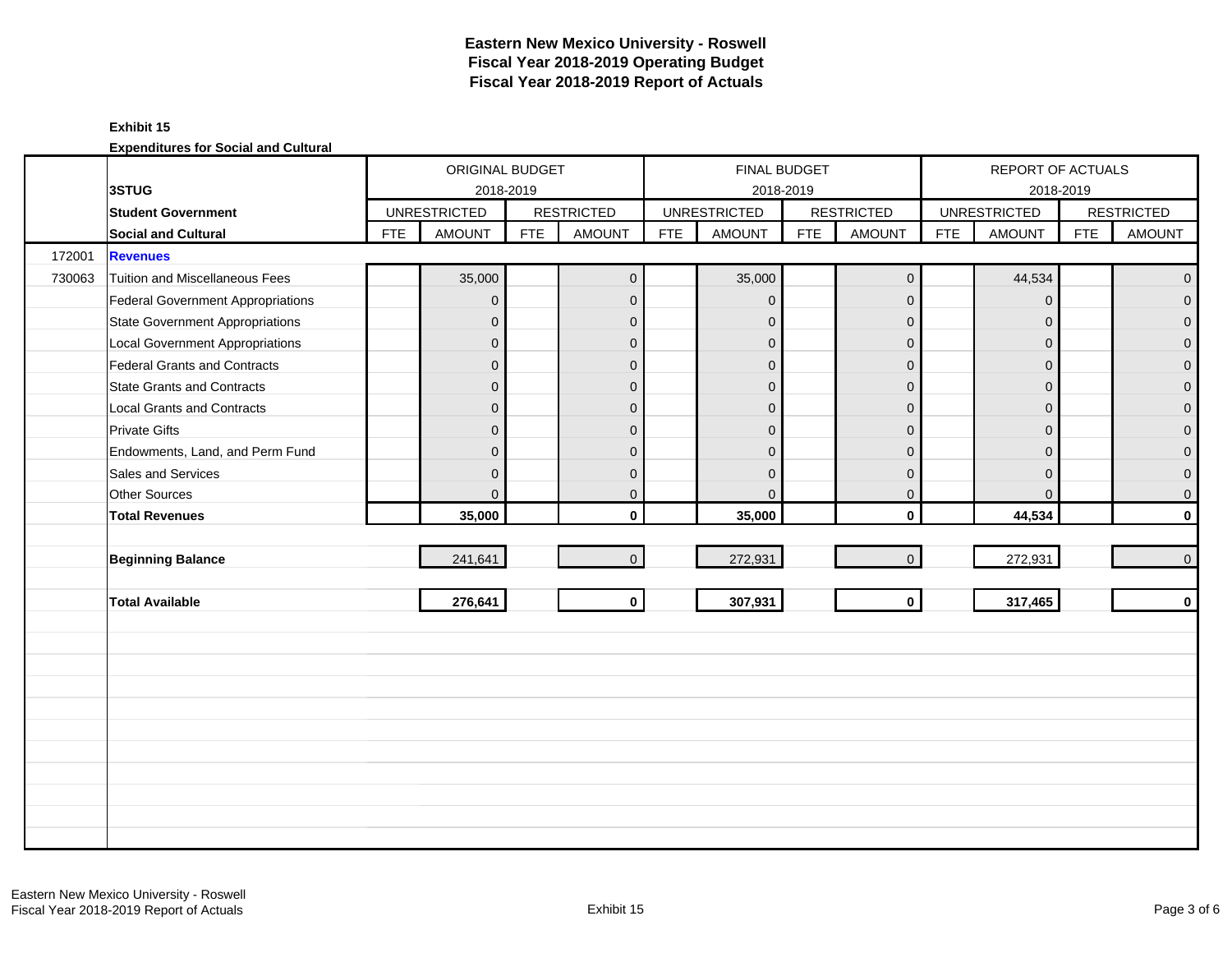## **Exhibit 15**

|        |                                          |            | ORIGINAL BUDGET     |            |                   |            | FINAL BUDGET        |            |                   | REPORT OF ACTUALS |                     |            |                     |
|--------|------------------------------------------|------------|---------------------|------------|-------------------|------------|---------------------|------------|-------------------|-------------------|---------------------|------------|---------------------|
|        | 3STUG                                    |            | 2018-2019           |            |                   |            |                     | 2018-2019  |                   |                   | 2018-2019           |            |                     |
|        | <b>Student Government</b>                |            | <b>UNRESTRICTED</b> |            | <b>RESTRICTED</b> |            | <b>UNRESTRICTED</b> |            | <b>RESTRICTED</b> |                   | <b>UNRESTRICTED</b> |            | <b>RESTRICTED</b>   |
|        | Social and Cultural                      | <b>FTE</b> | <b>AMOUNT</b>       | <b>FTE</b> | <b>AMOUNT</b>     | <b>FTE</b> | <b>AMOUNT</b>       | <b>FTE</b> | <b>AMOUNT</b>     | <b>FTE</b>        | <b>AMOUNT</b>       | <b>FTE</b> | <b>AMOUNT</b>       |
| 172001 | <b>Revenues</b>                          |            |                     |            |                   |            |                     |            |                   |                   |                     |            |                     |
| 730063 | Tuition and Miscellaneous Fees           |            | 35,000              |            | $\mathbf 0$       |            | 35,000              |            | $\mathbf 0$       |                   | 44,534              |            | $\overline{0}$      |
|        | <b>Federal Government Appropriations</b> |            | $\overline{0}$      |            | $\mathbf{0}$      |            | $\mathbf{0}$        |            | $\mathbf{0}$      |                   | $\mathbf{0}$        |            | $\overline{0}$      |
|        | <b>State Government Appropriations</b>   |            | $\mathbf{0}$        |            | $\Omega$          |            | $\mathbf{0}$        |            | $\mathbf{0}$      |                   | $\Omega$            |            | $\overline{0}$      |
|        | <b>Local Government Appropriations</b>   |            | $\mathbf 0$         |            | $\mathbf{0}$      |            | $\mathbf{0}$        |            | $\mathbf 0$       |                   | $\mathbf{0}$        |            | $\mathsf{O}\xspace$ |
|        | <b>Federal Grants and Contracts</b>      |            | $\mathbf 0$         |            | $\mathbf{0}$      |            | $\mathbf{0}$        |            | $\mathbf 0$       |                   | $\Omega$            |            | $\overline{0}$      |
|        | <b>State Grants and Contracts</b>        |            | $\mathbf 0$         |            | $\mathbf{0}$      |            | $\mathbf{0}$        |            | $\mathbf{0}$      |                   | $\overline{0}$      |            | $\mathbf{0}$        |
|        | <b>Local Grants and Contracts</b>        |            | 0                   |            | $\mathbf{0}$      |            | $\mathbf{0}$        |            | $\mathbf 0$       |                   | $\overline{0}$      |            | 0                   |
|        | <b>Private Gifts</b>                     |            | $\overline{0}$      |            | $\Omega$          |            | $\Omega$            |            | $\mathbf{0}$      |                   | $\Omega$            |            | $\overline{0}$      |
|        | Endowments, Land, and Perm Fund          |            | $\mathbf 0$         |            | $\Omega$          |            | $\Omega$            |            | $\Omega$          |                   | $\Omega$            |            | $\overline{0}$      |
|        | Sales and Services                       |            | 0                   |            | $\mathbf{0}$      |            | $\Omega$            |            | $\mathbf{0}$      |                   | $\Omega$            |            | $\mathbf 0$         |
|        | <b>Other Sources</b>                     |            | 0                   |            | $\mathbf 0$       |            | $\Omega$            |            | $\mathbf 0$       |                   | $\mathbf{0}$        |            | $\mathbf 0$         |
|        | <b>Total Revenues</b>                    |            | 35,000              |            | $\mathbf{0}$      |            | 35,000              |            | $\mathbf 0$       |                   | 44,534              |            | $\mathbf 0$         |
|        |                                          |            |                     |            |                   |            |                     |            |                   |                   |                     |            |                     |
|        | <b>Beginning Balance</b>                 |            | 241,641             |            | $\mathbf{0}$      |            | 272,931             |            | $\mathbf{0}$      |                   | 272,931             |            | 0                   |
|        |                                          |            |                     |            |                   |            |                     |            |                   |                   |                     |            |                     |
|        | <b>Total Available</b>                   |            | 276,641             |            | $\mathbf 0$       |            | 307,931             |            | $\mathbf 0$       |                   | 317,465             |            | $\mathbf 0$         |
|        |                                          |            |                     |            |                   |            |                     |            |                   |                   |                     |            |                     |
|        |                                          |            |                     |            |                   |            |                     |            |                   |                   |                     |            |                     |
|        |                                          |            |                     |            |                   |            |                     |            |                   |                   |                     |            |                     |
|        |                                          |            |                     |            |                   |            |                     |            |                   |                   |                     |            |                     |
|        |                                          |            |                     |            |                   |            |                     |            |                   |                   |                     |            |                     |
|        |                                          |            |                     |            |                   |            |                     |            |                   |                   |                     |            |                     |
|        |                                          |            |                     |            |                   |            |                     |            |                   |                   |                     |            |                     |
|        |                                          |            |                     |            |                   |            |                     |            |                   |                   |                     |            |                     |
|        |                                          |            |                     |            |                   |            |                     |            |                   |                   |                     |            |                     |
|        |                                          |            |                     |            |                   |            |                     |            |                   |                   |                     |            |                     |
|        |                                          |            |                     |            |                   |            |                     |            |                   |                   |                     |            |                     |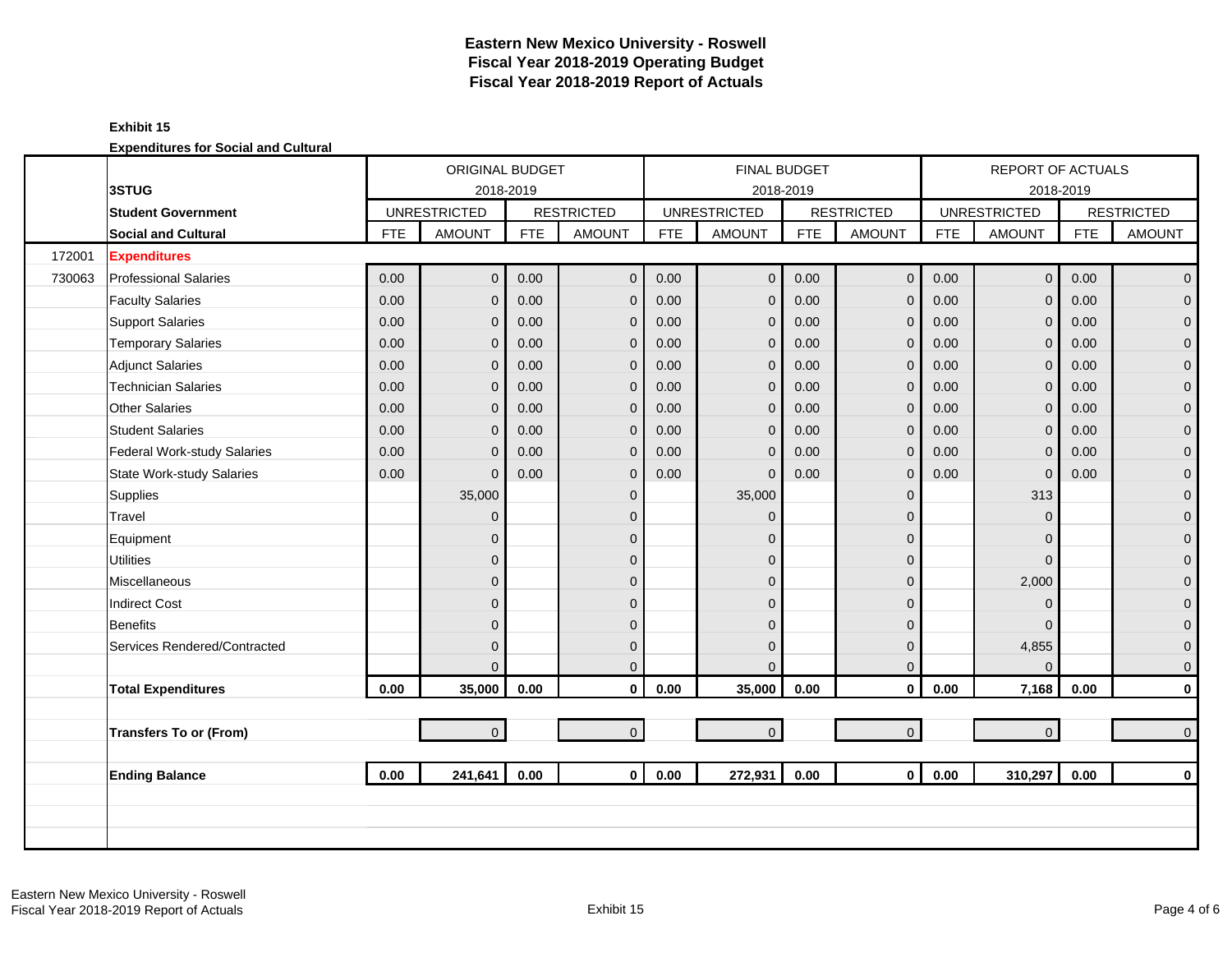## **Exhibit 15**

|        |                                  |            | <b>ORIGINAL BUDGET</b> |            |                   |            |                     | <b>FINAL BUDGET</b> |                   |            | <b>REPORT OF ACTUALS</b> |            |                   |
|--------|----------------------------------|------------|------------------------|------------|-------------------|------------|---------------------|---------------------|-------------------|------------|--------------------------|------------|-------------------|
|        | 3STUG                            |            | 2018-2019              |            |                   |            |                     | 2018-2019           |                   |            |                          | 2018-2019  |                   |
|        | <b>Student Government</b>        |            | <b>UNRESTRICTED</b>    |            | <b>RESTRICTED</b> |            | <b>UNRESTRICTED</b> |                     | <b>RESTRICTED</b> |            | <b>UNRESTRICTED</b>      |            | <b>RESTRICTED</b> |
|        | <b>Social and Cultural</b>       | <b>FTE</b> | <b>AMOUNT</b>          | <b>FTE</b> | <b>AMOUNT</b>     | <b>FTE</b> | <b>AMOUNT</b>       | <b>FTE</b>          | <b>AMOUNT</b>     | <b>FTE</b> | <b>AMOUNT</b>            | <b>FTE</b> | <b>AMOUNT</b>     |
| 172001 | <b>Expenditures</b>              |            |                        |            |                   |            |                     |                     |                   |            |                          |            |                   |
| 730063 | <b>Professional Salaries</b>     | 0.00       | $\overline{0}$         | 0.00       | $\mathbf 0$       | 0.00       | $\overline{0}$      | 0.00                | $\mathbf 0$       | 0.00       | $\overline{0}$           | 0.00       | $\overline{0}$    |
|        | <b>Faculty Salaries</b>          | 0.00       | $\overline{0}$         | 0.00       | $\mathbf{0}$      | 0.00       | $\mathbf{0}$        | 0.00                | $\mathbf{0}$      | 0.00       | $\Omega$                 | 0.00       | $\overline{0}$    |
|        | <b>Support Salaries</b>          | 0.00       | $\mathbf{0}$           | 0.00       | $\mathbf 0$       | 0.00       | $\mathbf 0$         | 0.00                | $\mathbf 0$       | 0.00       | $\mathbf{0}$             | 0.00       | $\overline{0}$    |
|        | <b>Temporary Salaries</b>        | 0.00       | 0                      | 0.00       | $\mathbf 0$       | 0.00       | $\mathbf 0$         | 0.00                | $\mathbf 0$       | 0.00       | $\mathbf{0}$             | 0.00       | $\mathbf 0$       |
|        | <b>Adjunct Salaries</b>          | 0.00       | $\overline{0}$         | 0.00       | $\Omega$          | 0.00       | $\mathbf{0}$        | 0.00                | $\mathbf{0}$      | 0.00       | $\Omega$                 | 0.00       | $\mathbf{0}$      |
|        | <b>Technician Salaries</b>       | 0.00       | $\overline{0}$         | 0.00       | $\mathbf{0}$      | 0.00       | $\mathbf 0$         | 0.00                | $\mathbf 0$       | 0.00       | $\mathbf{0}$             | 0.00       | $\mathbf{0}$      |
|        | <b>Other Salaries</b>            | 0.00       | $\overline{0}$         | 0.00       | $\mathbf{0}$      | 0.00       | $\mathbf 0$         | 0.00                | $\mathbf{0}$      | 0.00       | $\Omega$                 | 0.00       | $\mathbf{O}$      |
|        | <b>Student Salaries</b>          | 0.00       | $\overline{0}$         | 0.00       | $\mathbf{0}$      | 0.00       | $\mathbf{0}$        | 0.00                | $\mathbf 0$       | 0.00       | $\Omega$                 | 0.00       | $\overline{0}$    |
|        | Federal Work-study Salaries      | 0.00       | $\overline{0}$         | 0.00       | $\mathbf{0}$      | 0.00       | $\Omega$            | 0.00                | $\mathbf{0}$      | 0.00       | $\Omega$                 | 0.00       | $\mathbf{0}$      |
|        | <b>State Work-study Salaries</b> | 0.00       | $\overline{0}$         | 0.00       | $\mathbf{0}$      | 0.00       | $\Omega$            | 0.00                | $\mathbf{0}$      | 0.00       | $\mathbf{0}$             | 0.00       | $\mathbf{O}$      |
|        | Supplies                         |            | 35,000                 |            | $\mathbf{0}$      |            | 35,000              |                     | $\mathbf{0}$      |            | 313                      |            | $\mathbf{O}$      |
|        | Travel                           |            | $\overline{0}$         |            | $\mathbf{0}$      |            | $\Omega$            |                     | $\mathbf{0}$      |            | $\Omega$                 |            | $\mathbf{O}$      |
|        | Equipment                        |            | 0                      |            | $\mathbf{0}$      |            | $\Omega$            |                     | $\mathbf 0$       |            | $\Omega$                 |            | $\pmb{0}$         |
|        | <b>Utilities</b>                 |            | $\overline{0}$         |            | $\Omega$          |            | $\Omega$            |                     | $\mathbf 0$       |            | $\Omega$                 |            | $\mathbf{O}$      |
|        | Miscellaneous                    |            | $\overline{0}$         |            | $\mathbf{0}$      |            | $\Omega$            |                     | $\mathbf 0$       |            | 2,000                    |            | $\mathbf 0$       |
|        | <b>Indirect Cost</b>             |            | $\overline{0}$         |            | $\mathbf{0}$      |            | $\Omega$            |                     | $\mathbf 0$       |            | $\Omega$                 |            | $\pmb{0}$         |
|        | <b>Benefits</b>                  |            | $\overline{0}$         |            | $\Omega$          |            | $\mathbf{0}$        |                     | $\mathbf{0}$      |            | $\Omega$                 |            | $\mathbf{0}$      |
|        | Services Rendered/Contracted     |            | $\overline{0}$         |            | $\mathbf{0}$      |            | $\mathbf{0}$        |                     | $\mathbf{0}$      |            | 4,855                    |            | $\mathbf{0}$      |
|        |                                  |            | $\Omega$               |            | $\Omega$          |            | $\Omega$            |                     | $\mathbf{0}$      |            | $\Omega$                 |            | $\mathbf{0}$      |
|        | <b>Total Expenditures</b>        | 0.00       | 35,000                 | 0.00       | $\mathbf 0$       | 0.00       | 35,000              | 0.00                | $\mathbf 0$       | 0.00       | 7,168                    | 0.00       | $\mathbf{0}$      |
|        |                                  |            |                        |            |                   |            |                     |                     |                   |            |                          |            |                   |
|        | <b>Transfers To or (From)</b>    |            | $\overline{0}$         |            | $\mathbf 0$       |            | $\mathbf 0$         |                     | $\mathbf{O}$      |            | $\overline{0}$           |            | $\mathbf{0}$      |
|        |                                  |            |                        |            |                   |            |                     |                     |                   |            |                          |            |                   |
|        | <b>Ending Balance</b>            | 0.00       | 241,641                | 0.00       | $\mathbf{0}$      | 0.00       | 272,931             | 0.00                | $\mathbf{0}$      | 0.00       | 310,297                  | 0.00       | $\mathbf 0$       |
|        |                                  |            |                        |            |                   |            |                     |                     |                   |            |                          |            |                   |
|        |                                  |            |                        |            |                   |            |                     |                     |                   |            |                          |            |                   |
|        |                                  |            |                        |            |                   |            |                     |                     |                   |            |                          |            |                   |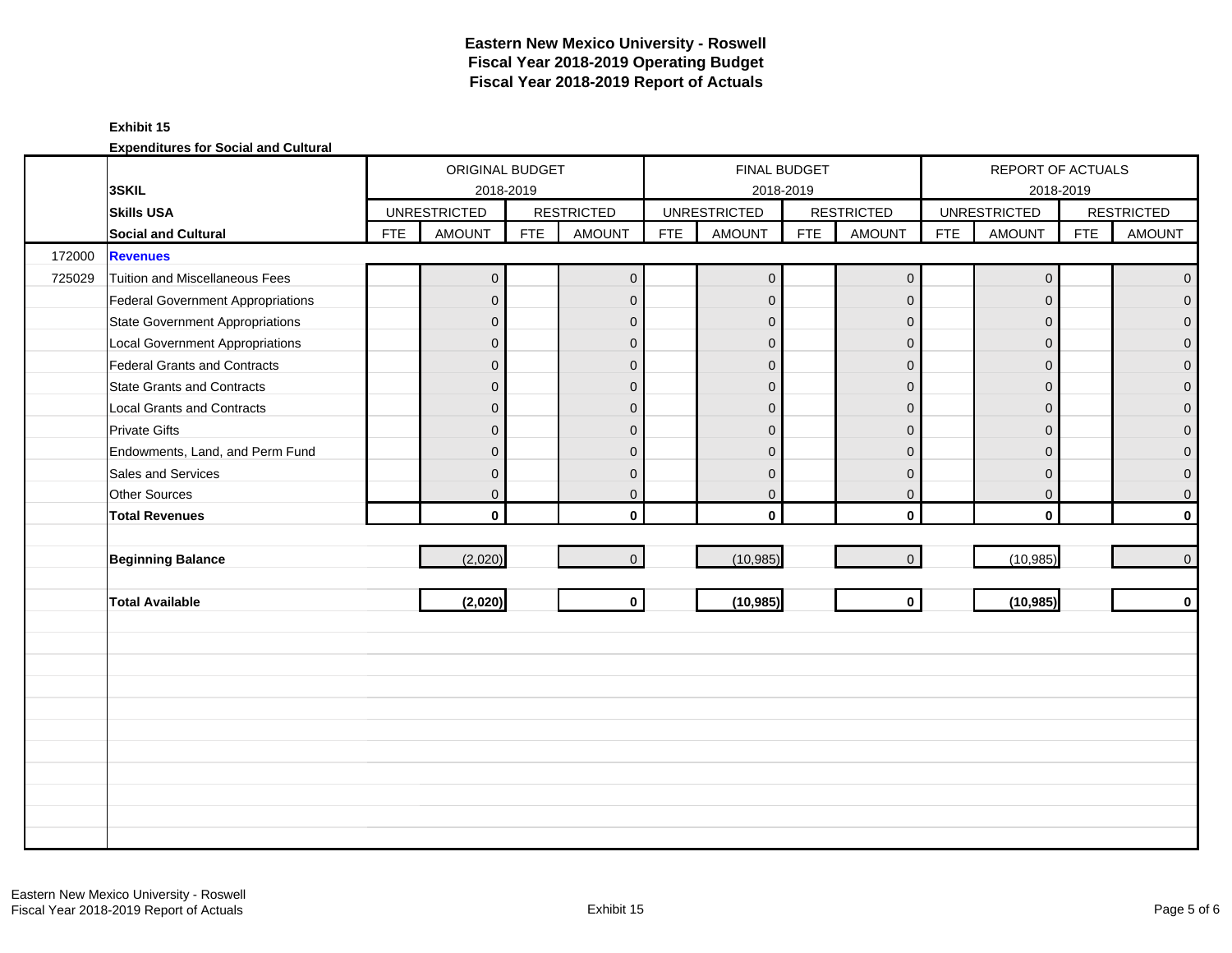### **Exhibit 15**

|        |                                          |            | ORIGINAL BUDGET     |            |                   |            | FINAL BUDGET        |            |                     |            | <b>REPORT OF ACTUALS</b> |            |                     |
|--------|------------------------------------------|------------|---------------------|------------|-------------------|------------|---------------------|------------|---------------------|------------|--------------------------|------------|---------------------|
|        | 3SKIL                                    |            | 2018-2019           |            |                   |            | 2018-2019           |            |                     |            | 2018-2019                |            |                     |
|        | <b>Skills USA</b>                        |            | <b>UNRESTRICTED</b> |            | <b>RESTRICTED</b> |            | <b>UNRESTRICTED</b> |            | <b>RESTRICTED</b>   |            | <b>UNRESTRICTED</b>      |            | <b>RESTRICTED</b>   |
|        | <b>Social and Cultural</b>               | <b>FTE</b> | <b>AMOUNT</b>       | <b>FTE</b> | <b>AMOUNT</b>     | <b>FTE</b> | <b>AMOUNT</b>       | <b>FTE</b> | AMOUNT              | <b>FTE</b> | <b>AMOUNT</b>            | <b>FTE</b> | <b>AMOUNT</b>       |
| 172000 | <b>Revenues</b>                          |            |                     |            |                   |            |                     |            |                     |            |                          |            |                     |
| 725029 | Tuition and Miscellaneous Fees           |            | $\mathsf{O}\xspace$ |            | $\mathbf 0$       |            | $\pmb{0}$           |            | $\mathsf{O}\xspace$ |            | $\mathbf 0$              |            | $\overline{0}$      |
|        | <b>Federal Government Appropriations</b> |            | $\overline{0}$      |            | $\mathbf 0$       |            | $\mathbf 0$         |            | $\mathbf 0$         |            | $\mathbf{0}$             |            | $\overline{O}$      |
|        | <b>State Government Appropriations</b>   |            | $\overline{0}$      |            | $\mathbf 0$       |            | $\mathbf 0$         |            | $\mathbf 0$         |            | $\mathbf 0$              |            | $\overline{0}$      |
|        | <b>Local Government Appropriations</b>   |            | $\mathsf{O}\xspace$ |            | $\mathbf{0}$      |            | $\mathbf{0}$        |            | $\mathbf 0$         |            | $\mathbf 0$              |            | $\mathbf 0$         |
|        | <b>Federal Grants and Contracts</b>      |            | $\overline{0}$      |            | $\mathbf{0}$      |            | $\overline{0}$      |            | $\mathbf 0$         |            | $\Omega$                 |            | $\overline{0}$      |
|        | <b>State Grants and Contracts</b>        |            | $\overline{0}$      |            | $\mathbf{0}$      |            | $\mathbf{0}$        |            | $\mathbf{0}$        |            | $\Omega$                 |            | $\mathbf 0$         |
|        | <b>Local Grants and Contracts</b>        |            | $\overline{0}$      |            | $\mathbf 0$       |            | $\mathbf{0}$        |            | $\mathbf 0$         |            | $\mathbf 0$              |            | $\pmb{0}$           |
|        | <b>Private Gifts</b>                     |            | $\overline{0}$      |            | $\mathbf{0}$      |            | $\overline{0}$      |            | $\mathbf 0$         |            | $\Omega$                 |            | $\overline{0}$      |
|        | Endowments, Land, and Perm Fund          |            | $\overline{0}$      |            | $\mathbf{0}$      |            | $\overline{0}$      |            | $\overline{0}$      |            | $\Omega$                 |            | $\mathbf{0}$        |
|        | Sales and Services                       |            | $\mathbf 0$         |            | $\mathbf{0}$      |            | $\mathbf{0}$        |            | $\mathbf 0$         |            | $\mathbf 0$              |            | $\mathbf 0$         |
|        | Other Sources                            |            | $\overline{0}$      |            | $\mathbf 0$       |            | $\mathbf 0$         |            | $\overline{0}$      |            | $\mathbf 0$              |            | $\mathsf{O}\xspace$ |
|        | <b>Total Revenues</b>                    |            | $\mathbf 0$         |            | $\mathbf{0}$      |            | $\mathbf{0}$        |            | $\mathbf{0}$        |            | $\mathbf{0}$             |            | $\mathbf 0$         |
|        |                                          |            |                     |            |                   |            |                     |            |                     |            |                          |            |                     |
|        | <b>Beginning Balance</b>                 |            | (2,020)             |            | $\mathbf{0}$      |            | (10, 985)           |            | $\mathsf{O}\xspace$ |            | (10, 985)                |            | $\overline{0}$      |
|        |                                          |            |                     |            |                   |            |                     |            |                     |            |                          |            |                     |
|        | <b>Total Available</b>                   |            | (2,020)             |            | $\mathbf{0}$      |            | (10, 985)           |            | $\mathbf{0}$        |            | (10, 985)                |            | $\mathbf 0$         |
|        |                                          |            |                     |            |                   |            |                     |            |                     |            |                          |            |                     |
|        |                                          |            |                     |            |                   |            |                     |            |                     |            |                          |            |                     |
|        |                                          |            |                     |            |                   |            |                     |            |                     |            |                          |            |                     |
|        |                                          |            |                     |            |                   |            |                     |            |                     |            |                          |            |                     |
|        |                                          |            |                     |            |                   |            |                     |            |                     |            |                          |            |                     |
|        |                                          |            |                     |            |                   |            |                     |            |                     |            |                          |            |                     |
|        |                                          |            |                     |            |                   |            |                     |            |                     |            |                          |            |                     |
|        |                                          |            |                     |            |                   |            |                     |            |                     |            |                          |            |                     |
|        |                                          |            |                     |            |                   |            |                     |            |                     |            |                          |            |                     |
|        |                                          |            |                     |            |                   |            |                     |            |                     |            |                          |            |                     |
|        |                                          |            |                     |            |                   |            |                     |            |                     |            |                          |            |                     |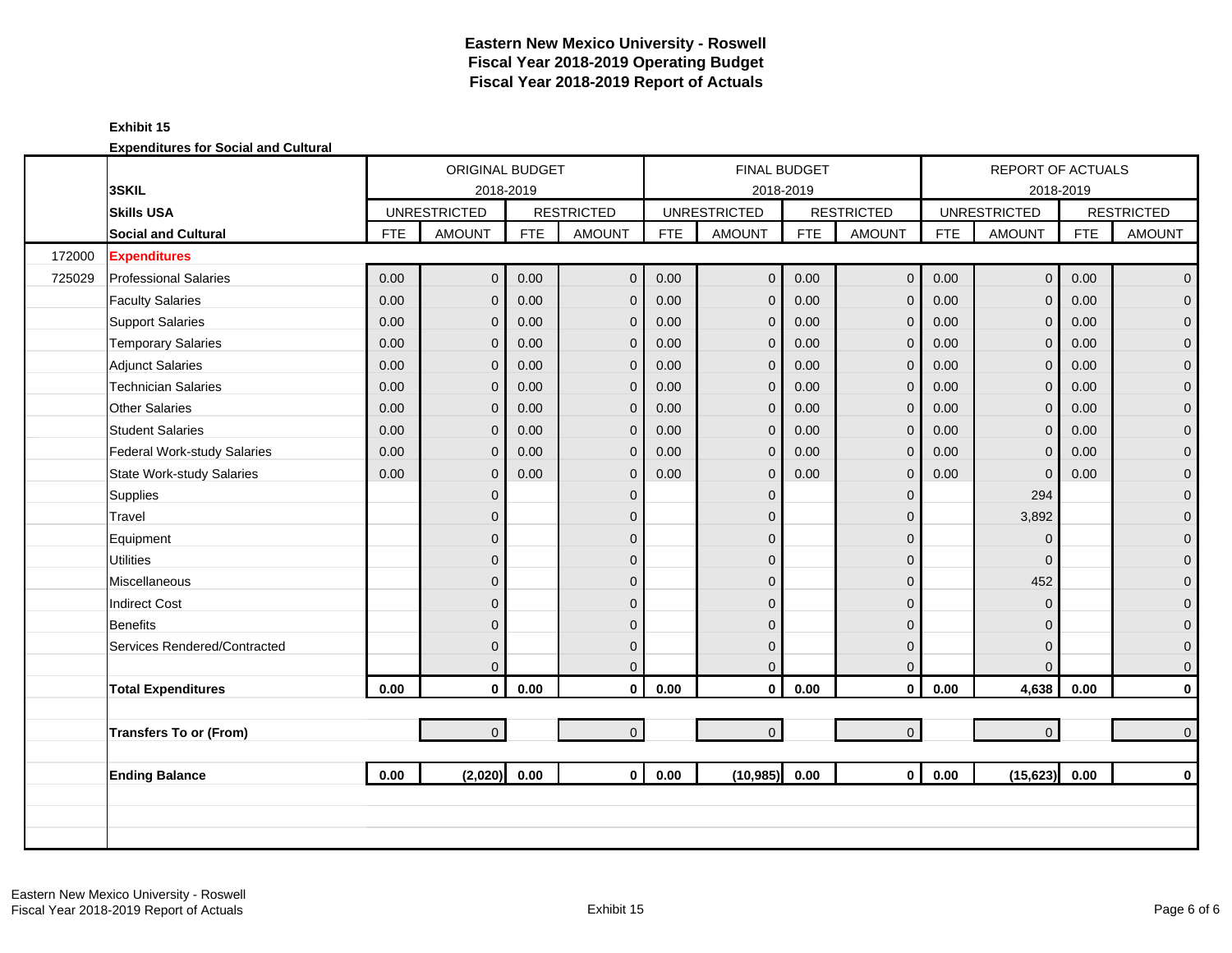**Expenditures for Social and Cultural**

|        |                                  | ORIGINAL BUDGET<br><b>UNRESTRICTED</b><br><b>AMOUNT</b><br><b>FTE</b><br>0.00<br>0.00<br>0.00<br>$\Omega$<br>0.00<br>$\Omega$<br>0.00<br>0.00<br>$\Omega$ |                |            |                   |          | <b>FINAL BUDGET</b> |            |                   |            | <b>REPORT OF ACTUALS</b> |            |                   |
|--------|----------------------------------|-----------------------------------------------------------------------------------------------------------------------------------------------------------|----------------|------------|-------------------|----------|---------------------|------------|-------------------|------------|--------------------------|------------|-------------------|
|        | 3SKIL                            |                                                                                                                                                           | 2018-2019      |            |                   |          | 2018-2019           |            |                   |            | 2018-2019                |            |                   |
|        | <b>Skills USA</b>                |                                                                                                                                                           |                |            | <b>RESTRICTED</b> |          | <b>UNRESTRICTED</b> |            | <b>RESTRICTED</b> |            | <b>UNRESTRICTED</b>      |            | <b>RESTRICTED</b> |
|        | <b>Social and Cultural</b>       |                                                                                                                                                           |                | <b>FTE</b> | <b>AMOUNT</b>     | FTE      | <b>AMOUNT</b>       | <b>FTE</b> | <b>AMOUNT</b>     | <b>FTE</b> | <b>AMOUNT</b>            | <b>FTE</b> | <b>AMOUNT</b>     |
| 172000 | <b>Expenditures</b>              |                                                                                                                                                           |                |            |                   |          |                     |            |                   |            |                          |            |                   |
| 725029 | <b>Professional Salaries</b>     |                                                                                                                                                           | $\overline{0}$ | 0.00       | $\mathbf 0$       | 0.00     | $\mathbf 0$         | 0.00       | $\mathbf 0$       | 0.00       | $\overline{0}$           | 0.00       | $\mathbf 0$       |
|        | <b>Faculty Salaries</b>          |                                                                                                                                                           | $\mathbf{0}$   | 0.00       | $\mathbf 0$       | 0.00     | $\mathbf{0}$        | 0.00       | $\mathbf{0}$      | 0.00       | $\overline{0}$           | 0.00       | $\overline{0}$    |
|        | <b>Support Salaries</b>          |                                                                                                                                                           |                | 0.00       | $\mathbf 0$       | 0.00     | $\mathbf{0}$        | 0.00       | $\mathbf{0}$      | 0.00       | $\mathbf{0}$             | 0.00       | $\overline{0}$    |
|        | <b>Temporary Salaries</b>        |                                                                                                                                                           |                | 0.00       | $\mathbf 0$       | 0.00     | $\mathbf{0}$        | 0.00       | $\mathbf{0}$      | 0.00       | $\mathbf 0$              | 0.00       | 0                 |
|        | <b>Adjunct Salaries</b>          |                                                                                                                                                           | $\mathbf{0}$   | 0.00       | $\mathbf 0$       | 0.00     | $\mathbf{0}$        | 0.00       | $\mathbf{0}$      | 0.00       | $\mathbf{0}$             | 0.00       | $\mathbf 0$       |
|        | <b>Technician Salaries</b>       |                                                                                                                                                           |                | 0.00       | $\mathbf 0$       | 0.00     | $\mathbf 0$         | 0.00       | $\mathbf{0}$      | 0.00       | $\mathbf{0}$             | 0.00       | $\mathbf 0$       |
|        | <b>Other Salaries</b>            | 0.00                                                                                                                                                      | $\Omega$       | 0.00       | $\mathbf 0$       | 0.00     | $\mathbf{0}$        | 0.00       | $\mathbf 0$       | 0.00       | $\mathbf 0$              | 0.00       | 0                 |
|        | <b>Student Salaries</b>          | 0.00                                                                                                                                                      | $\Omega$       | 0.00       | $\overline{0}$    | 0.00     | $\mathbf{0}$        | 0.00       | $\Omega$          | 0.00       | $\mathbf{0}$             | 0.00       | $\overline{0}$    |
|        | Federal Work-study Salaries      | 0.00                                                                                                                                                      | $\Omega$       | 0.00       | $\mathbf 0$       | 0.00     | $\mathbf{0}$        | 0.00       | $\mathbf{0}$      | 0.00       | $\mathbf{0}$             | 0.00       | $\boldsymbol{0}$  |
|        | <b>State Work-study Salaries</b> | 0.00                                                                                                                                                      | $\Omega$       | 0.00       | $\mathbf 0$       | 0.00     | $\mathbf{0}$        | 0.00       | $\mathbf{0}$      | 0.00       | $\mathbf 0$              | 0.00       | 0                 |
|        | Supplies                         |                                                                                                                                                           | $\mathbf{0}$   |            | $\overline{0}$    |          | $\Omega$            |            | $\mathbf{0}$      |            | 294                      |            | $\mathbf 0$       |
|        | Travel                           |                                                                                                                                                           | $\mathbf{0}$   |            | $\mathbf 0$       |          | $\Omega$            |            | $\mathbf{0}$      |            | 3,892                    |            | $\mathbf 0$       |
|        | Equipment                        |                                                                                                                                                           | $\mathbf{0}$   |            | $\mathbf{0}$      |          | $\Omega$            |            | $\mathbf 0$       |            | $\mathbf 0$              |            | 0                 |
|        | <b>Utilities</b>                 |                                                                                                                                                           | $\mathbf{0}$   |            | $\mathbf{0}$      |          | $\mathbf{0}$        |            | $\mathbf 0$       |            | $\overline{0}$           |            | $\mathbf 0$       |
|        | <b>Miscellaneous</b>             |                                                                                                                                                           | $\Omega$       |            | $\mathbf{0}$      |          | $\Omega$            |            | $\mathbf{0}$      |            | 452                      |            | $\overline{0}$    |
|        | Indirect Cost                    |                                                                                                                                                           | $\Omega$       |            | $\Omega$          |          | $\Omega$            |            | $\mathbf{0}$      |            | $\mathbf{0}$             |            | $\mathbf 0$       |
|        | <b>Benefits</b>                  |                                                                                                                                                           | $\Omega$       |            | $\Omega$          |          | $\Omega$            |            | $\mathbf 0$       |            | $\Omega$                 |            | $\mathbf 0$       |
|        | Services Rendered/Contracted     |                                                                                                                                                           | $\mathbf{0}$   |            | $\mathbf 0$       |          | $\Omega$            |            | $\mathbf 0$       |            | $\mathbf{0}$             |            | $\mathbf 0$       |
|        |                                  |                                                                                                                                                           | $\Omega$       |            | $\mathbf{0}$      |          | $\Omega$            |            | $\mathbf{0}$      |            | $\Omega$                 |            | $\mathbf 0$       |
|        | <b>Total Expenditures</b>        | 0.00                                                                                                                                                      | $\mathbf 0$    | 0.00       | $\bf{0}$          | $0.00\,$ | $\mathbf{0}$        | 0.00       | $\mathbf 0$       | 0.00       | 4,638                    | 0.00       | 0                 |
|        |                                  |                                                                                                                                                           |                |            |                   |          |                     |            |                   |            |                          |            |                   |
|        | <b>Transfers To or (From)</b>    |                                                                                                                                                           | $\overline{0}$ |            | $\overline{0}$    |          | $\overline{0}$      |            | $\overline{0}$    |            | $\overline{0}$           |            | $\mathbf 0$       |
|        |                                  |                                                                                                                                                           |                |            |                   |          |                     |            |                   |            |                          |            |                   |
|        | <b>Ending Balance</b>            | 0.00                                                                                                                                                      | (2,020)        | 0.00       | $\overline{0}$    | 0.00     | (10, 985)           | 0.00       | $\mathbf{0}$      | 0.00       | (15, 623)                | 0.00       | $\mathbf{0}$      |
|        |                                  |                                                                                                                                                           |                |            |                   |          |                     |            |                   |            |                          |            |                   |
|        |                                  |                                                                                                                                                           |                |            |                   |          |                     |            |                   |            |                          |            |                   |
|        |                                  |                                                                                                                                                           |                |            |                   |          |                     |            |                   |            |                          |            |                   |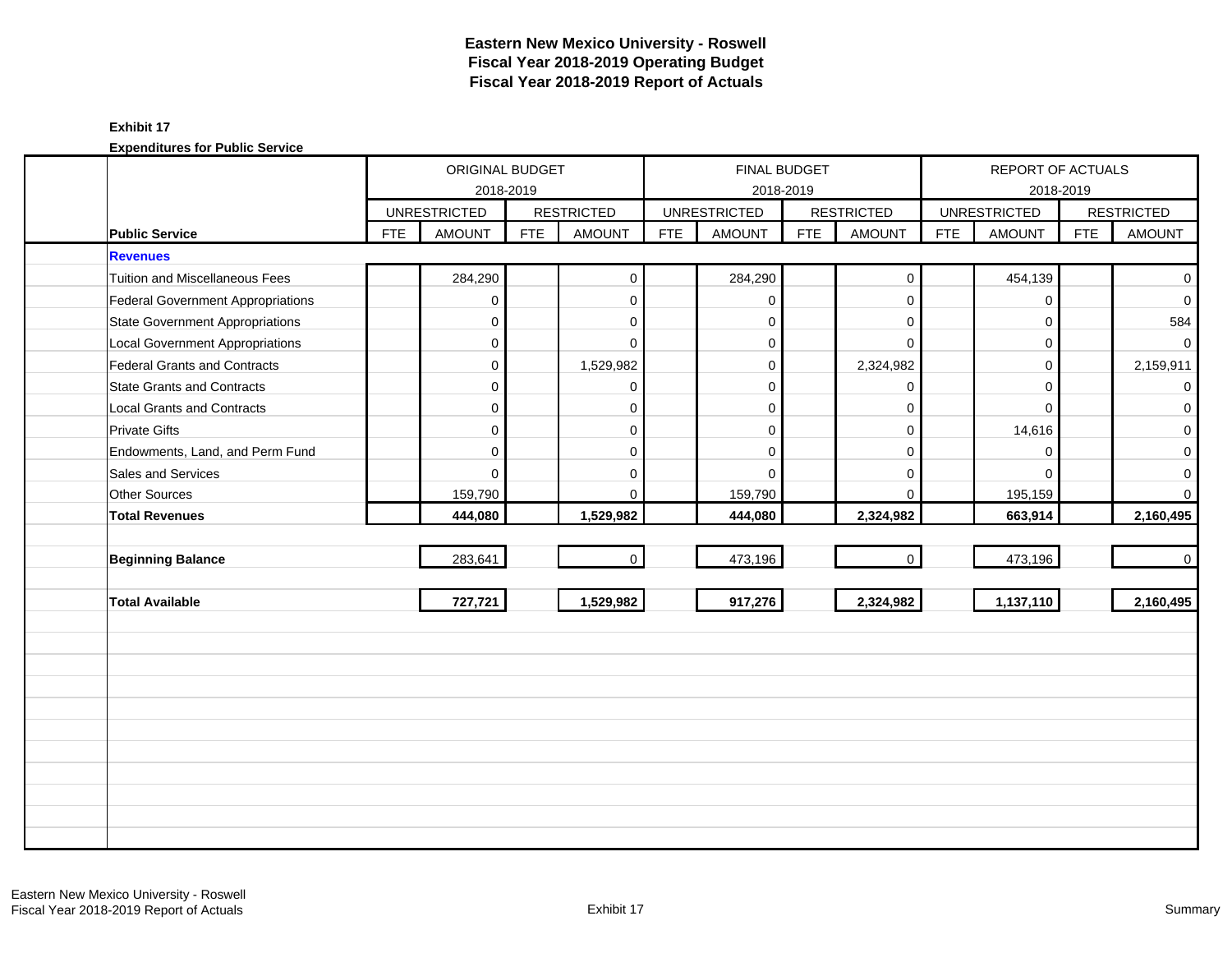|                                        |            | ORIGINAL BUDGET     |            |                   |            | <b>FINAL BUDGET</b> |            |                   |            | REPORT OF ACTUALS   |            |                   |
|----------------------------------------|------------|---------------------|------------|-------------------|------------|---------------------|------------|-------------------|------------|---------------------|------------|-------------------|
|                                        |            |                     | 2018-2019  |                   |            | 2018-2019           |            |                   |            |                     | 2018-2019  |                   |
|                                        |            | <b>UNRESTRICTED</b> |            | <b>RESTRICTED</b> |            | <b>UNRESTRICTED</b> |            | <b>RESTRICTED</b> |            | <b>UNRESTRICTED</b> |            | <b>RESTRICTED</b> |
| <b>Public Service</b>                  | <b>FTE</b> | <b>AMOUNT</b>       | <b>FTE</b> | <b>AMOUNT</b>     | <b>FTE</b> | <b>AMOUNT</b>       | <b>FTE</b> | <b>AMOUNT</b>     | <b>FTE</b> | <b>AMOUNT</b>       | <b>FTE</b> | <b>AMOUNT</b>     |
| <b>Revenues</b>                        |            |                     |            |                   |            |                     |            |                   |            |                     |            |                   |
| <b>Tuition and Miscellaneous Fees</b>  |            | 284,290             |            | $\mathbf 0$       |            | 284,290             |            | $\boldsymbol{0}$  |            | 454,139             |            | $\overline{0}$    |
| Federal Government Appropriations      |            | 0                   |            | $\mathbf{0}$      |            | $\mathbf 0$         |            | $\mathbf 0$       |            | $\Omega$            |            | $\overline{0}$    |
| <b>State Government Appropriations</b> |            | $\mathbf 0$         |            | $\mathbf 0$       |            | $\Omega$            |            | $\mathbf 0$       |            | $\Omega$            |            | 584               |
| <b>Local Government Appropriations</b> |            | 0                   |            | $\mathbf 0$       |            | $\mathbf 0$         |            | $\mathbf 0$       |            | $\mathbf 0$         |            | $\mathbf 0$       |
| Federal Grants and Contracts           |            | 0                   |            | 1,529,982         |            | $\mathbf 0$         |            | 2,324,982         |            | $\Omega$            |            | 2,159,911         |
| <b>State Grants and Contracts</b>      |            | $\Omega$            |            | $\mathbf{0}$      |            | $\Omega$            |            | $\mathbf 0$       |            | $\Omega$            |            | $\overline{0}$    |
| <b>Local Grants and Contracts</b>      |            | $\Omega$            |            | $\mathbf 0$       |            | $\Omega$            |            | $\mathbf 0$       |            | $\Omega$            |            | $\overline{0}$    |
| <b>Private Gifts</b>                   |            | $\overline{0}$      |            | $\mathbf{0}$      |            | $\mathbf 0$         |            | $\mathbf 0$       |            | 14,616              |            | $\overline{0}$    |
| Endowments, Land, and Perm Fund        |            | $\mathbf 0$         |            | $\mathbf 0$       |            | $\Omega$            |            | $\mathbf 0$       |            | $\mathbf 0$         |            | $\overline{0}$    |
| Sales and Services                     |            | $\Omega$            |            | 0                 |            | $\Omega$            |            | $\mathbf 0$       |            | $\Omega$            |            | $\mathbf{O}$      |
| Other Sources                          |            | 159,790             |            | $\mathbf{0}$      |            | 159,790             |            | $\mathbf 0$       |            | 195,159             |            | $\overline{0}$    |
| <b>Total Revenues</b>                  |            | 444,080             |            | 1,529,982         |            | 444,080             |            | 2,324,982         |            | 663,914             |            | 2,160,495         |
|                                        |            |                     |            |                   |            |                     |            |                   |            |                     |            |                   |
| <b>Beginning Balance</b>               |            | 283,641             |            | $\mathbf{0}$      |            | 473,196             |            | $\mathbf 0$       |            | 473,196             |            | $\overline{0}$    |
|                                        |            |                     |            |                   |            |                     |            |                   |            |                     |            |                   |
| <b>Total Available</b>                 |            | 727,721             |            | 1,529,982         |            | 917,276             |            | 2,324,982         |            | 1,137,110           |            | 2,160,495         |
|                                        |            |                     |            |                   |            |                     |            |                   |            |                     |            |                   |
|                                        |            |                     |            |                   |            |                     |            |                   |            |                     |            |                   |
|                                        |            |                     |            |                   |            |                     |            |                   |            |                     |            |                   |
|                                        |            |                     |            |                   |            |                     |            |                   |            |                     |            |                   |
|                                        |            |                     |            |                   |            |                     |            |                   |            |                     |            |                   |
|                                        |            |                     |            |                   |            |                     |            |                   |            |                     |            |                   |
|                                        |            |                     |            |                   |            |                     |            |                   |            |                     |            |                   |
|                                        |            |                     |            |                   |            |                     |            |                   |            |                     |            |                   |
|                                        |            |                     |            |                   |            |                     |            |                   |            |                     |            |                   |
|                                        |            |                     |            |                   |            |                     |            |                   |            |                     |            |                   |
|                                        |            |                     |            |                   |            |                     |            |                   |            |                     |            |                   |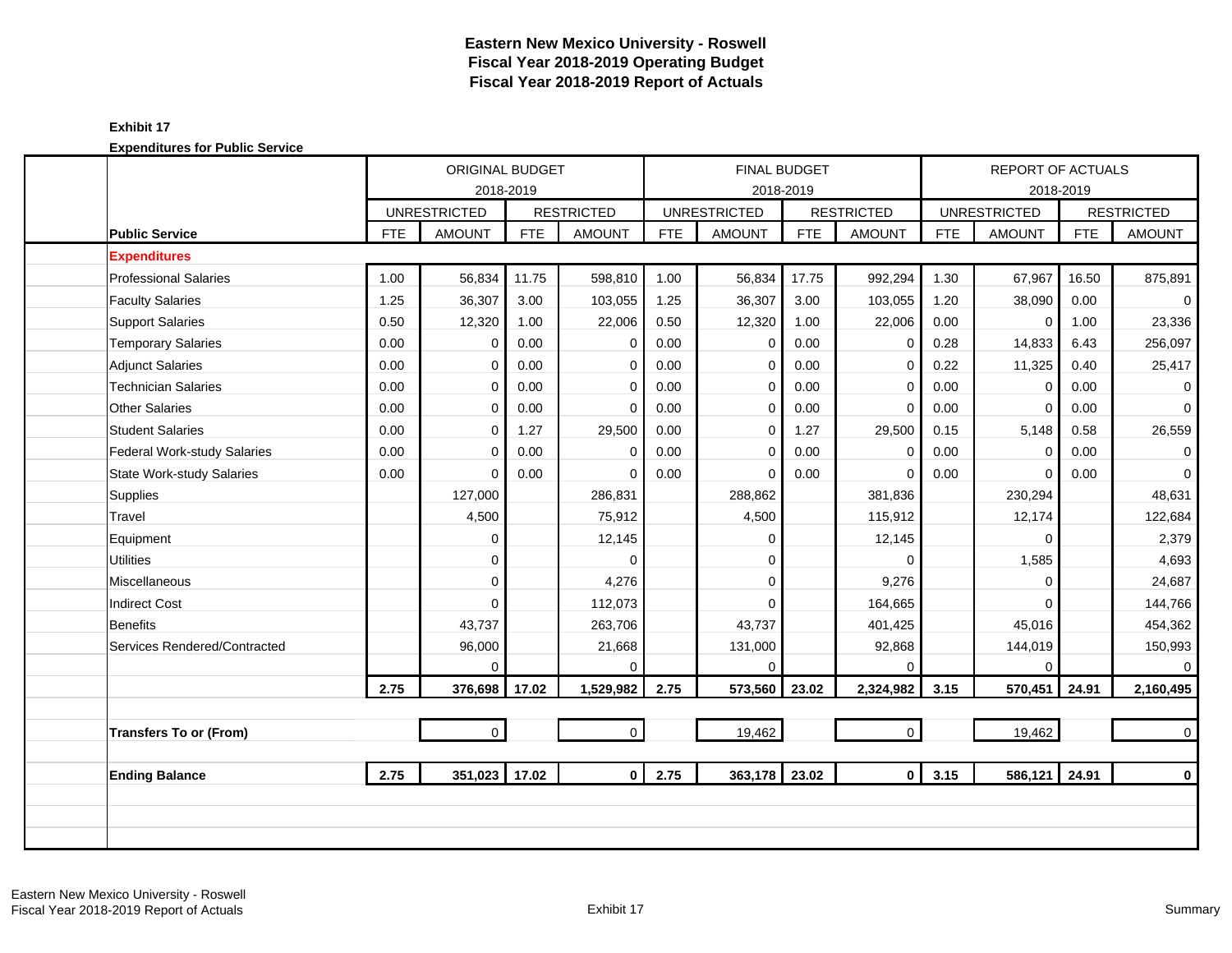# **Eastern New Mexico University - Roswell Fiscal Year 2018-2019 Operating Budget Fiscal Year 2018-2019 Report of Actuals**

#### **Exhibit 17 Expenditures for Public Service**

|                                  |            | ORIGINAL BUDGET                  |            |                   |            |                     | FINAL BUDGET |                   |            | <b>REPORT OF ACTUALS</b> |            |                     |
|----------------------------------|------------|----------------------------------|------------|-------------------|------------|---------------------|--------------|-------------------|------------|--------------------------|------------|---------------------|
|                                  |            | 2018-2019<br><b>UNRESTRICTED</b> |            | <b>RESTRICTED</b> |            | <b>UNRESTRICTED</b> | 2018-2019    | <b>RESTRICTED</b> |            | <b>UNRESTRICTED</b>      | 2018-2019  | <b>RESTRICTED</b>   |
| <b>Public Service</b>            | <b>FTE</b> | <b>AMOUNT</b>                    | <b>FTE</b> | <b>AMOUNT</b>     | <b>FTE</b> | <b>AMOUNT</b>       | <b>FTE</b>   | <b>AMOUNT</b>     | <b>FTE</b> | <b>AMOUNT</b>            | <b>FTE</b> | <b>AMOUNT</b>       |
| <b>Expenditures</b>              |            |                                  |            |                   |            |                     |              |                   |            |                          |            |                     |
| <b>Professional Salaries</b>     | 1.00       | 56,834                           | 11.75      | 598,810           | 1.00       | 56,834              | 17.75        | 992,294           | 1.30       | 67,967                   | 16.50      | 875,891             |
| <b>Faculty Salaries</b>          | 1.25       | 36,307                           | 3.00       | 103,055           | 1.25       | 36,307              | 3.00         | 103,055           | 1.20       | 38,090                   | 0.00       | $\mathbf 0$         |
| <b>Support Salaries</b>          | 0.50       | 12,320                           | 1.00       | 22,006            | 0.50       | 12,320              | 1.00         | 22,006            | 0.00       | $\mathbf 0$              | 1.00       | 23,336              |
| <b>Temporary Salaries</b>        | 0.00       | $\mathbf 0$                      | 0.00       | 0                 | 0.00       | $\Omega$            | 0.00         | 0                 | 0.28       | 14,833                   | 6.43       | 256,097             |
| <b>Adjunct Salaries</b>          | 0.00       | 0                                | 0.00       | $\mathbf 0$       | 0.00       | 0                   | 0.00         | 0                 | 0.22       | 11,325                   | 0.40       | 25,417              |
| <b>Technician Salaries</b>       | 0.00       | $\Omega$                         | 0.00       | $\mathbf 0$       | 0.00       | $\mathbf 0$         | 0.00         | $\mathbf 0$       | 0.00       | $\mathbf 0$              | 0.00       | $\mathbf 0$         |
| <b>Other Salaries</b>            | 0.00       | $\Omega$                         | 0.00       | $\mathbf 0$       | 0.00       | $\mathbf 0$         | 0.00         | $\mathbf 0$       | 0.00       | $\Omega$                 | 0.00       | $\mathbf 0$         |
| <b>Student Salaries</b>          | 0.00       | 0                                | 1.27       | 29,500            | 0.00       | $\mathbf 0$         | 1.27         | 29,500            | 0.15       | 5,148                    | 0.58       | 26,559              |
| Federal Work-study Salaries      | 0.00       | $\Omega$                         | 0.00       | 0                 | 0.00       | $\mathbf 0$         | 0.00         | 0                 | 0.00       | $\mathbf 0$              | 0.00       | $\mathbf 0$         |
| <b>State Work-study Salaries</b> | 0.00       | $\Omega$                         | 0.00       | 0                 | 0.00       | $\mathbf 0$         | 0.00         | $\mathbf 0$       | 0.00       | $\mathbf 0$              | 0.00       | $\mathsf{O}\xspace$ |
| <b>Supplies</b>                  |            | 127,000                          |            | 286,831           |            | 288,862             |              | 381,836           |            | 230,294                  |            | 48,631              |
| Travel                           |            | 4,500                            |            | 75,912            |            | 4,500               |              | 115,912           |            | 12,174                   |            | 122,684             |
| Equipment                        |            | $\mathbf 0$                      |            | 12,145            |            | $\Omega$            |              | 12,145            |            | $\Omega$                 |            | 2,379               |
| <b>Utilities</b>                 |            | $\mathbf 0$                      |            | $\Omega$          |            | $\Omega$            |              | $\Omega$          |            | 1,585                    |            | 4,693               |
| <b>Miscellaneous</b>             |            | $\Omega$                         |            | 4,276             |            | $\Omega$            |              | 9,276             |            | $\Omega$                 |            | 24,687              |
| <b>Indirect Cost</b>             |            | $\Omega$                         |            | 112,073           |            | $\Omega$            |              | 164,665           |            | $\Omega$                 |            | 144,766             |
| <b>Benefits</b>                  |            | 43,737                           |            | 263,706           |            | 43,737              |              | 401,425           |            | 45,016                   |            | 454,362             |
| Services Rendered/Contracted     |            | 96,000                           |            | 21,668            |            | 131,000             |              | 92,868            |            | 144,019                  |            | 150,993             |
|                                  |            | $\Omega$                         |            | $\Omega$          |            | $\Omega$            |              | $\Omega$          |            | $\Omega$                 |            | $\mathbf 0$         |
|                                  | 2.75       | 376,698                          | 17.02      | 1,529,982         | 2.75       | 573,560             | 23.02        | 2,324,982         | 3.15       | 570,451                  | 24.91      | 2,160,495           |
|                                  |            |                                  |            |                   |            |                     |              |                   |            |                          |            |                     |
| <b>Transfers To or (From)</b>    |            | $\mathbf 0$                      |            | $\mathbf 0$       |            | 19,462              |              | $\mathbf 0$       |            | 19,462                   |            | $\mathbf 0$         |
|                                  |            |                                  |            |                   |            |                     |              |                   |            |                          |            |                     |
| <b>Ending Balance</b>            | 2.75       | 351,023                          | 17.02      | $\mathbf{0}$      | 2.75       | 363,178 23.02       |              | $\mathbf 0$       | 3.15       | 586,121                  | 24.91      | $\mathbf 0$         |
|                                  |            |                                  |            |                   |            |                     |              |                   |            |                          |            |                     |
|                                  |            |                                  |            |                   |            |                     |              |                   |            |                          |            |                     |
|                                  |            |                                  |            |                   |            |                     |              |                   |            |                          |            |                     |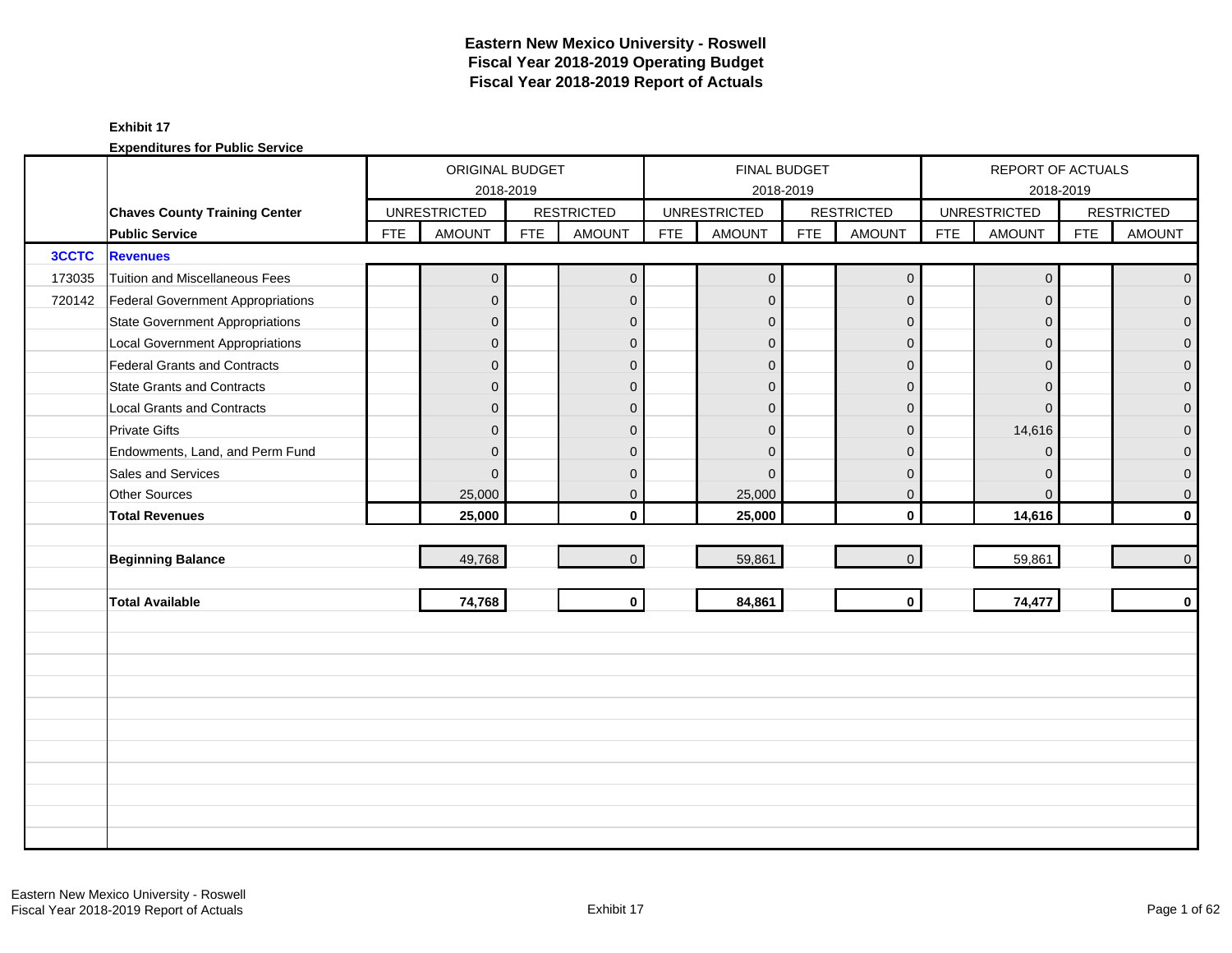|              |                                          |            | ORIGINAL BUDGET     |            |                   |            |                     | <b>FINAL BUDGET</b> |                   |            | REPORT OF ACTUALS   |            |                     |
|--------------|------------------------------------------|------------|---------------------|------------|-------------------|------------|---------------------|---------------------|-------------------|------------|---------------------|------------|---------------------|
|              |                                          |            | 2018-2019           |            |                   |            |                     | 2018-2019           |                   |            | 2018-2019           |            |                     |
|              | <b>Chaves County Training Center</b>     |            | <b>UNRESTRICTED</b> |            | <b>RESTRICTED</b> |            | <b>UNRESTRICTED</b> |                     | <b>RESTRICTED</b> |            | <b>UNRESTRICTED</b> |            | <b>RESTRICTED</b>   |
|              | <b>Public Service</b>                    | <b>FTE</b> | <b>AMOUNT</b>       | <b>FTE</b> | <b>AMOUNT</b>     | <b>FTE</b> | <b>AMOUNT</b>       | <b>FTE</b>          | <b>AMOUNT</b>     | <b>FTE</b> | <b>AMOUNT</b>       | <b>FTE</b> | <b>AMOUNT</b>       |
| <b>3CCTC</b> | <b>Revenues</b>                          |            |                     |            |                   |            |                     |                     |                   |            |                     |            |                     |
| 173035       | Tuition and Miscellaneous Fees           |            | $\overline{0}$      |            | $\mathbf 0$       |            | $\pmb{0}$           |                     | $\mathbf 0$       |            | $\mathbf 0$         |            | $\mathbf 0$         |
| 720142       | <b>Federal Government Appropriations</b> |            | $\overline{0}$      |            | $\mathbf 0$       |            | $\mathbf{0}$        |                     | $\mathbf{0}$      |            | $\mathbf{0}$        |            | $\overline{0}$      |
|              | <b>State Government Appropriations</b>   |            | $\overline{0}$      |            | $\mathbf{0}$      |            | $\mathbf{0}$        |                     | $\mathbf{0}$      |            | $\overline{0}$      |            | $\overline{0}$      |
|              | <b>Local Government Appropriations</b>   |            | $\mathbf{0}$        |            | $\mathbf{0}$      |            | $\mathbf{0}$        |                     | $\overline{0}$    |            | $\mathbf{0}$        |            | $\mathsf{O}\xspace$ |
|              | <b>Federal Grants and Contracts</b>      |            | $\overline{0}$      |            | $\mathbf{0}$      |            | $\overline{0}$      |                     | $\mathbf{0}$      |            | $\Omega$            |            | $\overline{0}$      |
|              | <b>State Grants and Contracts</b>        |            | $\overline{0}$      |            | $\mathbf{0}$      |            | $\Omega$            |                     | $\mathbf{0}$      |            | $\Omega$            |            | $\mathbf 0$         |
|              | <b>Local Grants and Contracts</b>        |            | $\overline{0}$      |            | $\mathbf 0$       |            | $\mathbf{0}$        |                     | $\mathbf{0}$      |            | $\mathbf{0}$        |            | $\mathbf 0$         |
|              | <b>Private Gifts</b>                     |            | $\overline{0}$      |            | $\mathbf{0}$      |            | $\Omega$            |                     | $\mathbf{0}$      |            | 14,616              |            | $\overline{0}$      |
|              | Endowments, Land, and Perm Fund          |            | $\overline{0}$      |            | $\mathbf{0}$      |            | $\Omega$            |                     | $\mathbf{0}$      |            | $\mathbf{0}$        |            | $\overline{0}$      |
|              | Sales and Services                       |            | $\overline{0}$      |            | $\mathbf{0}$      |            | $\Omega$            |                     | $\mathbf 0$       |            | $\overline{0}$      |            | $\boldsymbol{0}$    |
|              | Other Sources                            |            | 25,000              |            | $\mathbf{0}$      |            | 25,000              |                     | $\mathbf 0$       |            | $\mathbf{0}$        |            | 0                   |
|              | <b>Total Revenues</b>                    |            | 25,000              |            | $\mathbf{0}$      |            | 25,000              |                     | $\mathbf 0$       |            | 14,616              |            | $\mathbf 0$         |
|              |                                          |            |                     |            |                   |            |                     |                     |                   |            |                     |            |                     |
|              | <b>Beginning Balance</b>                 |            | 49,768              |            | $\mathbf{0}$      |            | 59,861              |                     | $\mathbf{0}$      |            | 59,861              |            | $\mathbf 0$         |
|              |                                          |            |                     |            |                   |            |                     |                     |                   |            |                     |            |                     |
|              | <b>Total Available</b>                   |            | 74,768              |            | $\mathbf{0}$      |            | 84,861              |                     | $\mathbf 0$       |            | 74,477              |            | $\mathbf 0$         |
|              |                                          |            |                     |            |                   |            |                     |                     |                   |            |                     |            |                     |
|              |                                          |            |                     |            |                   |            |                     |                     |                   |            |                     |            |                     |
|              |                                          |            |                     |            |                   |            |                     |                     |                   |            |                     |            |                     |
|              |                                          |            |                     |            |                   |            |                     |                     |                   |            |                     |            |                     |
|              |                                          |            |                     |            |                   |            |                     |                     |                   |            |                     |            |                     |
|              |                                          |            |                     |            |                   |            |                     |                     |                   |            |                     |            |                     |
|              |                                          |            |                     |            |                   |            |                     |                     |                   |            |                     |            |                     |
|              |                                          |            |                     |            |                   |            |                     |                     |                   |            |                     |            |                     |
|              |                                          |            |                     |            |                   |            |                     |                     |                   |            |                     |            |                     |
|              |                                          |            |                     |            |                   |            |                     |                     |                   |            |                     |            |                     |
|              |                                          |            |                     |            |                   |            |                     |                     |                   |            |                     |            |                     |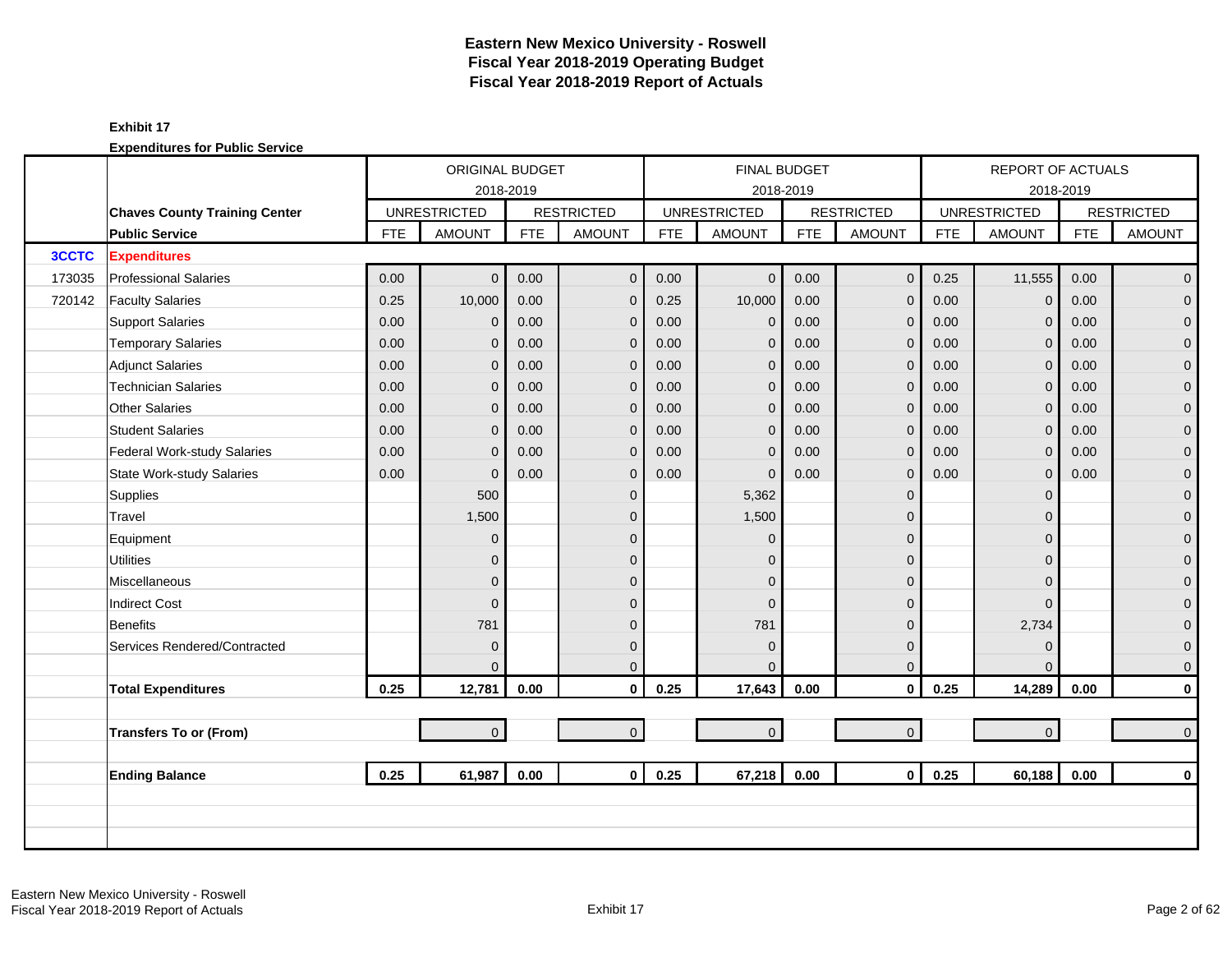|              |                                      |            | <b>ORIGINAL BUDGET</b> |            |                   |            |                     | <b>FINAL BUDGET</b> |                   |            | <b>REPORT OF ACTUALS</b> |            |                   |
|--------------|--------------------------------------|------------|------------------------|------------|-------------------|------------|---------------------|---------------------|-------------------|------------|--------------------------|------------|-------------------|
|              |                                      |            | 2018-2019              |            |                   |            |                     | 2018-2019           |                   |            |                          | 2018-2019  |                   |
|              | <b>Chaves County Training Center</b> |            | <b>UNRESTRICTED</b>    |            | <b>RESTRICTED</b> |            | <b>UNRESTRICTED</b> |                     | <b>RESTRICTED</b> |            | <b>UNRESTRICTED</b>      |            | <b>RESTRICTED</b> |
|              | <b>Public Service</b>                | <b>FTE</b> | <b>AMOUNT</b>          | <b>FTE</b> | <b>AMOUNT</b>     | <b>FTE</b> | <b>AMOUNT</b>       | <b>FTE</b>          | <b>AMOUNT</b>     | <b>FTE</b> | <b>AMOUNT</b>            | <b>FTE</b> | <b>AMOUNT</b>     |
| <b>3CCTC</b> | <b>Expenditures</b>                  |            |                        |            |                   |            |                     |                     |                   |            |                          |            |                   |
| 173035       | <b>Professional Salaries</b>         | 0.00       | $\overline{0}$         | 0.00       | $\mathbf 0$       | 0.00       | $\mathbf{0}$        | 0.00                | $\mathbf 0$       | 0.25       | 11,555                   | 0.00       | $\overline{0}$    |
| 720142       | <b>Faculty Salaries</b>              | 0.25       | 10,000                 | 0.00       | $\mathbf{0}$      | 0.25       | 10,000              | 0.00                | $\mathbf{0}$      | 0.00       | $\Omega$                 | 0.00       | $\overline{0}$    |
|              | <b>Support Salaries</b>              | 0.00       | $\mathbf{0}$           | 0.00       | $\mathbf 0$       | 0.00       | $\mathbf 0$         | 0.00                | $\mathbf 0$       | 0.00       | $\mathbf{0}$             | 0.00       | $\overline{0}$    |
|              | <b>Temporary Salaries</b>            | 0.00       | 0                      | 0.00       | $\mathbf 0$       | 0.00       | $\mathbf{0}$        | 0.00                | $\mathbf 0$       | 0.00       | $\mathbf{0}$             | 0.00       | $\mathbf 0$       |
|              | <b>Adjunct Salaries</b>              | 0.00       | $\overline{0}$         | 0.00       | $\Omega$          | 0.00       | $\mathbf{0}$        | 0.00                | $\mathbf{0}$      | 0.00       | $\Omega$                 | 0.00       | $\mathbf{0}$      |
|              | <b>Technician Salaries</b>           | 0.00       | $\overline{0}$         | 0.00       | $\mathbf{0}$      | 0.00       | $\mathbf{0}$        | 0.00                | $\mathbf{0}$      | 0.00       | $\Omega$                 | 0.00       | $\mathbf{0}$      |
|              | <b>Other Salaries</b>                | 0.00       | $\overline{0}$         | 0.00       | $\mathbf{0}$      | 0.00       | $\mathbf 0$         | 0.00                | $\mathbf{0}$      | 0.00       | $\Omega$                 | 0.00       | $\mathbf{O}$      |
|              | <b>Student Salaries</b>              | 0.00       | $\overline{0}$         | 0.00       | $\mathbf{0}$      | 0.00       | $\mathbf{0}$        | 0.00                | $\mathbf 0$       | 0.00       | $\Omega$                 | 0.00       | $\overline{0}$    |
|              | Federal Work-study Salaries          | 0.00       | $\Omega$               | 0.00       | $\mathbf{0}$      | 0.00       | $\Omega$            | 0.00                | $\mathbf{0}$      | 0.00       | $\Omega$                 | 0.00       | $\mathbf{0}$      |
|              | <b>State Work-study Salaries</b>     | 0.00       | $\overline{0}$         | 0.00       | $\mathbf{0}$      | 0.00       | $\Omega$            | 0.00                | $\mathbf{0}$      | 0.00       | $\mathbf{0}$             | 0.00       | $\mathbf{O}$      |
|              | Supplies                             |            | 500                    |            | $\mathbf{0}$      |            | 5,362               |                     | $\mathbf{0}$      |            | $\Omega$                 |            | $\mathbf{O}$      |
|              | Travel                               |            | 1,500                  |            | $\Omega$          |            | 1,500               |                     | $\mathbf{0}$      |            | $\Omega$                 |            | $\mathbf{0}$      |
|              | Equipment                            |            | 0                      |            | $\mathbf{0}$      |            | $\Omega$            |                     | $\mathbf 0$       |            | $\Omega$                 |            | $\pmb{0}$         |
|              | <b>Utilities</b>                     |            | $\overline{0}$         |            | $\Omega$          |            | $\Omega$            |                     | $\mathbf 0$       |            | $\Omega$                 |            | $\mathbf{0}$      |
|              | Miscellaneous                        |            | $\overline{0}$         |            | $\Omega$          |            | $\Omega$            |                     | $\mathbf 0$       |            | $\Omega$                 |            | $\mathbf 0$       |
|              | <b>Indirect Cost</b>                 |            | $\Omega$               |            | $\Omega$          |            | $\Omega$            |                     | $\mathbf 0$       |            | $\Omega$                 |            | $\mathbf 0$       |
|              | <b>Benefits</b>                      |            | 781                    |            | $\Omega$          |            | 781                 |                     | $\mathbf{0}$      |            | 2,734                    |            | $\mathbf{0}$      |
|              | Services Rendered/Contracted         |            | $\overline{0}$         |            | $\mathbf{0}$      |            | 0                   |                     | $\mathbf{0}$      |            | $\mathbf 0$              |            | $\mathbf{0}$      |
|              |                                      |            | $\Omega$               |            | $\Omega$          |            | $\Omega$            |                     | $\mathbf{0}$      |            |                          |            | $\mathbf{0}$      |
|              | <b>Total Expenditures</b>            | 0.25       | 12,781                 | 0.00       | $\mathbf 0$       | 0.25       | 17,643              | 0.00                | $\mathbf 0$       | 0.25       | 14,289                   | 0.00       | $\mathbf{0}$      |
|              |                                      |            |                        |            |                   |            |                     |                     |                   |            |                          |            |                   |
|              | <b>Transfers To or (From)</b>        |            | $\overline{0}$         |            | $\overline{0}$    |            | $\mathbf 0$         |                     | $\mathbf{O}$      |            | $\overline{0}$           |            | $\mathbf{0}$      |
|              |                                      |            |                        |            |                   |            |                     |                     |                   |            |                          |            |                   |
|              | <b>Ending Balance</b>                | 0.25       | 61,987                 | 0.00       | $\mathbf{0}$      | 0.25       | 67,218              | 0.00                | $\mathbf{0}$      | 0.25       | 60,188                   | 0.00       | $\mathbf{0}$      |
|              |                                      |            |                        |            |                   |            |                     |                     |                   |            |                          |            |                   |
|              |                                      |            |                        |            |                   |            |                     |                     |                   |            |                          |            |                   |
|              |                                      |            |                        |            |                   |            |                     |                     |                   |            |                          |            |                   |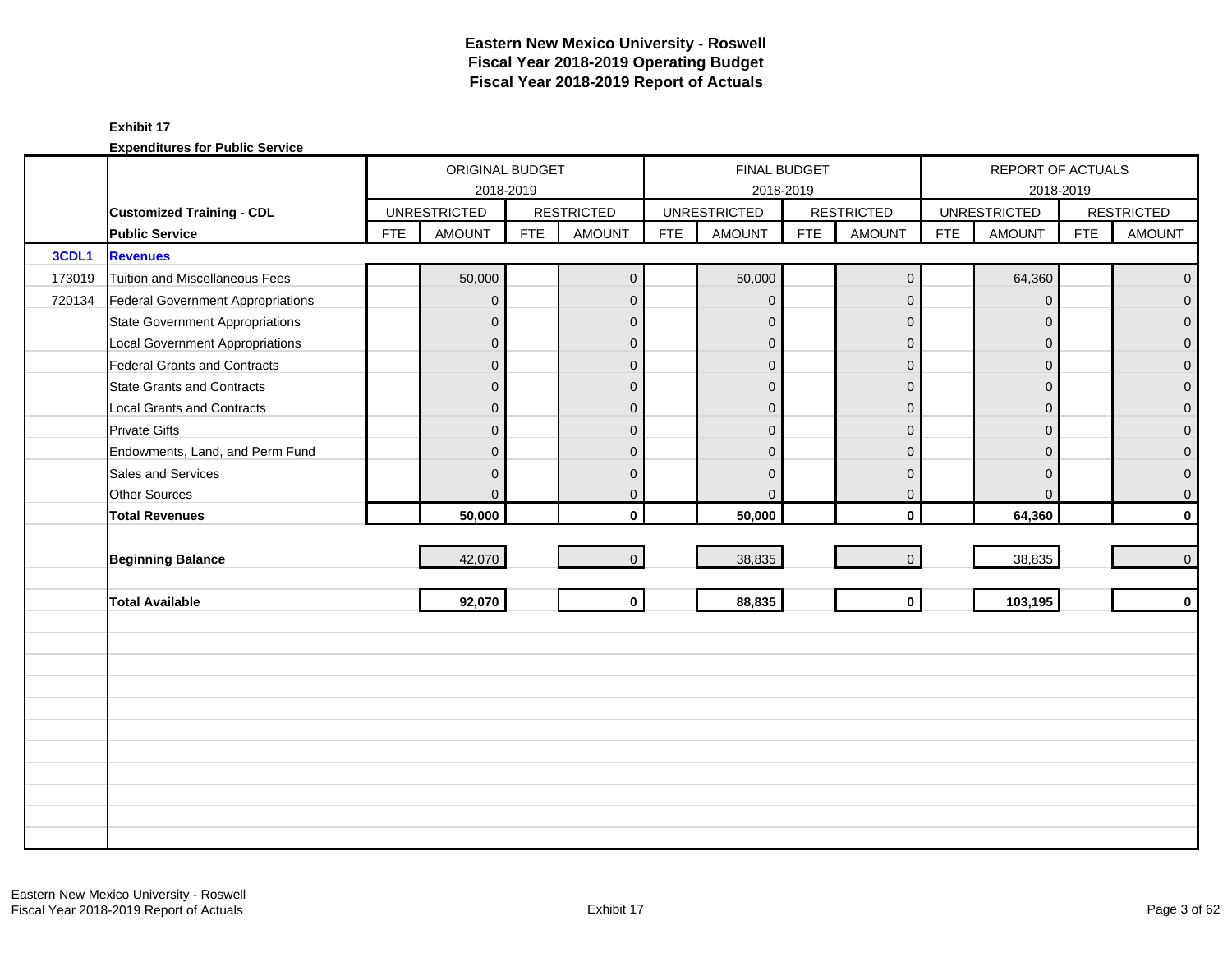|        |                                        |            | ORIGINAL BUDGET     |            |                   |            | <b>FINAL BUDGET</b> |            |                   |            | REPORT OF ACTUALS   |            |                     |
|--------|----------------------------------------|------------|---------------------|------------|-------------------|------------|---------------------|------------|-------------------|------------|---------------------|------------|---------------------|
|        |                                        |            | 2018-2019           |            |                   |            |                     | 2018-2019  |                   |            | 2018-2019           |            |                     |
|        | <b>Customized Training - CDL</b>       |            | <b>UNRESTRICTED</b> |            | <b>RESTRICTED</b> |            | <b>UNRESTRICTED</b> |            | <b>RESTRICTED</b> |            | <b>UNRESTRICTED</b> |            | <b>RESTRICTED</b>   |
|        | <b>Public Service</b>                  | <b>FTE</b> | <b>AMOUNT</b>       | <b>FTE</b> | <b>AMOUNT</b>     | <b>FTE</b> | <b>AMOUNT</b>       | <b>FTE</b> | <b>AMOUNT</b>     | <b>FTE</b> | <b>AMOUNT</b>       | <b>FTE</b> | <b>AMOUNT</b>       |
| 3CDL1  | <b>Revenues</b>                        |            |                     |            |                   |            |                     |            |                   |            |                     |            |                     |
| 173019 | Tuition and Miscellaneous Fees         |            | 50,000              |            | $\mathbf 0$       |            | 50,000              |            | $\mathbf 0$       |            | 64,360              |            | $\overline{0}$      |
| 720134 | Federal Government Appropriations      |            | $\overline{0}$      |            | $\mathbf{0}$      |            | $\mathbf{0}$        |            | $\mathbf 0$       |            | $\mathbf{0}$        |            | $\overline{0}$      |
|        | <b>State Government Appropriations</b> |            | $\overline{0}$      |            | $\mathbf{0}$      |            | $\mathbf{0}$        |            | $\mathbf 0$       |            | $\Omega$            |            | $\mathbf 0$         |
|        | <b>Local Government Appropriations</b> |            | $\overline{0}$      |            | $\mathbf{0}$      |            | $\Omega$            |            | $\mathbf 0$       |            | $\Omega$            |            | $\mathsf{O}\xspace$ |
|        | Federal Grants and Contracts           |            | $\mathbf 0$         |            | $\mathbf{0}$      |            | $\mathbf{0}$        |            | $\mathbf 0$       |            | $\Omega$            |            | $\mathsf{O}\xspace$ |
|        | State Grants and Contracts             |            | $\overline{0}$      |            | $\mathbf{0}$      |            | $\mathbf{0}$        |            | $\mathbf{0}$      |            | $\Omega$            |            | $\mathsf{O}\xspace$ |
|        | <b>Local Grants and Contracts</b>      |            | $\overline{0}$      |            | $\mathbf 0$       |            | $\Omega$            |            | $\mathbf 0$       |            | $\mathbf 0$         |            | $\pmb{0}$           |
|        | <b>Private Gifts</b>                   |            | $\overline{0}$      |            | $\Omega$          |            | $\Omega$            |            | $\mathbf 0$       |            | $\Omega$            |            | $\overline{0}$      |
|        | Endowments, Land, and Perm Fund        |            | $\overline{0}$      |            | $\Omega$          |            | $\Omega$            |            | $\mathbf{0}$      |            | $\Omega$            |            | $\mathbf 0$         |
|        | Sales and Services                     |            | $\overline{0}$      |            | $\mathbf{0}$      |            | $\mathbf{0}$        |            | $\mathbf 0$       |            | $\mathbf 0$         |            | $\mathbf 0$         |
|        | Other Sources                          |            | $\overline{0}$      |            | $\mathbf{0}$      |            | $\mathbf{0}$        |            | $\mathbf 0$       |            | $\Omega$            |            | $\mathsf{O}\xspace$ |
|        | <b>Total Revenues</b>                  |            | 50,000              |            | $\mathbf{0}$      |            | 50,000              |            | $\mathbf 0$       |            | 64,360              |            | $\mathbf 0$         |
|        |                                        |            |                     |            |                   |            |                     |            |                   |            |                     |            |                     |
|        | <b>Beginning Balance</b>               |            | 42,070              |            | $\Omega$          |            | 38,835              |            | $\mathbf 0$       |            | 38,835              |            | $\overline{0}$      |
|        |                                        |            |                     |            |                   |            |                     |            |                   |            |                     |            |                     |
|        | <b>Total Available</b>                 |            | 92,070              |            | $\mathbf 0$       |            | 88,835              |            | $\mathbf{0}$      |            | 103,195             |            | $\mathbf 0$         |
|        |                                        |            |                     |            |                   |            |                     |            |                   |            |                     |            |                     |
|        |                                        |            |                     |            |                   |            |                     |            |                   |            |                     |            |                     |
|        |                                        |            |                     |            |                   |            |                     |            |                   |            |                     |            |                     |
|        |                                        |            |                     |            |                   |            |                     |            |                   |            |                     |            |                     |
|        |                                        |            |                     |            |                   |            |                     |            |                   |            |                     |            |                     |
|        |                                        |            |                     |            |                   |            |                     |            |                   |            |                     |            |                     |
|        |                                        |            |                     |            |                   |            |                     |            |                   |            |                     |            |                     |
|        |                                        |            |                     |            |                   |            |                     |            |                   |            |                     |            |                     |
|        |                                        |            |                     |            |                   |            |                     |            |                   |            |                     |            |                     |
|        |                                        |            |                     |            |                   |            |                     |            |                   |            |                     |            |                     |
|        |                                        |            |                     |            |                   |            |                     |            |                   |            |                     |            |                     |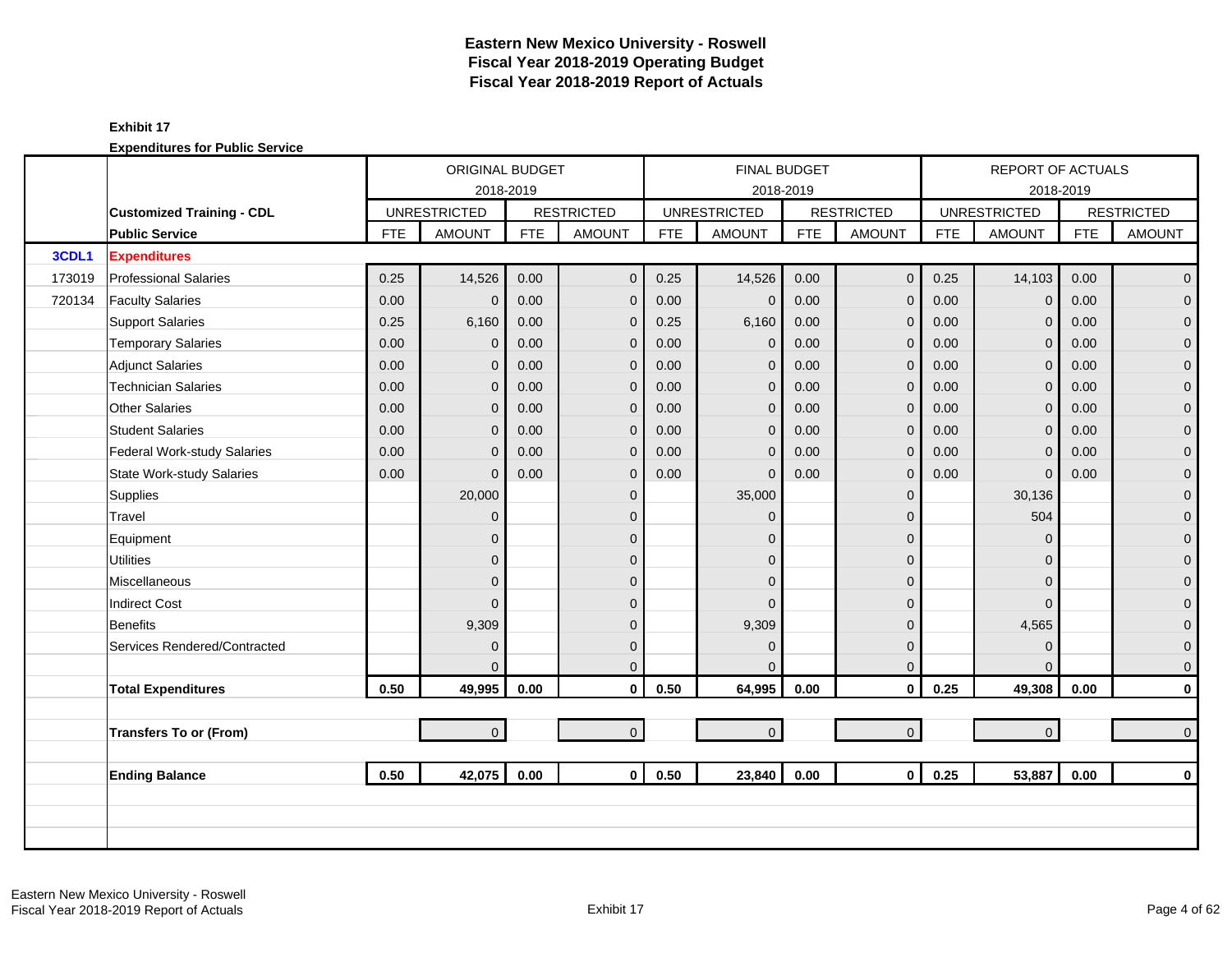|        |                                  |            | ORIGINAL BUDGET     |            |                   |            | <b>FINAL BUDGET</b> |            |                   |            | REPORT OF ACTUALS   |            |                     |
|--------|----------------------------------|------------|---------------------|------------|-------------------|------------|---------------------|------------|-------------------|------------|---------------------|------------|---------------------|
|        |                                  |            | 2018-2019           |            |                   |            | 2018-2019           |            |                   |            |                     | 2018-2019  |                     |
|        | <b>Customized Training - CDL</b> |            | <b>UNRESTRICTED</b> |            | <b>RESTRICTED</b> |            | <b>UNRESTRICTED</b> |            | <b>RESTRICTED</b> |            | <b>UNRESTRICTED</b> |            | <b>RESTRICTED</b>   |
|        | <b>Public Service</b>            | <b>FTE</b> | <b>AMOUNT</b>       | <b>FTE</b> | <b>AMOUNT</b>     | <b>FTE</b> | <b>AMOUNT</b>       | <b>FTE</b> | <b>AMOUNT</b>     | <b>FTE</b> | <b>AMOUNT</b>       | <b>FTE</b> | <b>AMOUNT</b>       |
| 3CDL1  | <b>Expenditures</b>              |            |                     |            |                   |            |                     |            |                   |            |                     |            |                     |
| 173019 | <b>Professional Salaries</b>     | 0.25       | 14,526              | 0.00       | $\mathbf 0$       | 0.25       | 14,526              | 0.00       | $\mathbf 0$       | 0.25       | 14,103              | 0.00       | $\overline{0}$      |
| 720134 | <b>Faculty Salaries</b>          | 0.00       | $\overline{0}$      | 0.00       | $\mathbf{0}$      | 0.00       | $\mathbf{0}$        | 0.00       | $\mathbf 0$       | 0.00       | $\Omega$            | 0.00       | $\overline{0}$      |
|        | <b>Support Salaries</b>          | 0.25       | 6,160               | 0.00       | $\mathbf 0$       | 0.25       | 6,160               | 0.00       | $\mathbf{0}$      | 0.00       | $\mathbf 0$         | 0.00       | $\overline{0}$      |
|        | <b>Temporary Salaries</b>        | 0.00       | $\mathbf 0$         | 0.00       | $\overline{0}$    | 0.00       | $\mathbf{0}$        | 0.00       | $\mathbf{0}$      | 0.00       | $\mathbf{0}$        | 0.00       | $\pmb{0}$           |
|        | <b>Adjunct Salaries</b>          | 0.00       | $\mathbf{0}$        | 0.00       | $\mathbf{0}$      | 0.00       | $\mathbf{0}$        | 0.00       | $\mathbf 0$       | 0.00       | $\Omega$            | 0.00       | $\mathbf 0$         |
|        | <b>Technician Salaries</b>       | 0.00       | $\overline{0}$      | 0.00       | $\mathbf 0$       | 0.00       | $\mathbf{0}$        | 0.00       | $\mathbf 0$       | 0.00       | $\mathbf{0}$        | 0.00       | $\mathbf 0$         |
|        | <b>Other Salaries</b>            | 0.00       | $\overline{0}$      | 0.00       | $\mathbf{0}$      | 0.00       | $\mathbf{0}$        | 0.00       | $\mathbf 0$       | 0.00       | $\mathbf{0}$        | 0.00       | $\pmb{0}$           |
|        | <b>Student Salaries</b>          | 0.00       | $\Omega$            | 0.00       | $\Omega$          | 0.00       | $\mathbf{0}$        | 0.00       | $\mathbf{0}$      | 0.00       | $\Omega$            | 0.00       | $\overline{0}$      |
|        | Federal Work-study Salaries      | 0.00       | $\overline{0}$      | 0.00       | $\mathbf 0$       | 0.00       | $\overline{0}$      | 0.00       | $\mathbf{0}$      | 0.00       | $\Omega$            | 0.00       | $\mathbf{0}$        |
|        | <b>State Work-study Salaries</b> | 0.00       | $\Omega$            | 0.00       | $\mathbf 0$       | 0.00       | $\Omega$            | 0.00       | $\mathbf 0$       | 0.00       | $\mathbf 0$         | 0.00       | $\mathbf 0$         |
|        | Supplies                         |            | 20,000              |            | $\mathbf{0}$      |            | 35,000              |            | $\mathbf 0$       |            | 30,136              |            | $\overline{0}$      |
|        | Travel                           |            | $\overline{0}$      |            | $\mathbf{0}$      |            | $\Omega$            |            | $\mathbf{0}$      |            | 504                 |            | $\mathbf 0$         |
|        | Equipment                        |            | $\overline{0}$      |            | $\mathbf{0}$      |            | $\Omega$            |            | $\mathbf 0$       |            | $\mathbf 0$         |            | $\boldsymbol{0}$    |
|        | <b>Utilities</b>                 |            | $\overline{0}$      |            | $\mathbf{0}$      |            | $\mathbf{0}$        |            | $\mathbf 0$       |            | $\Omega$            |            | $\overline{0}$      |
|        | <b>Miscellaneous</b>             |            | $\Omega$            |            | $\Omega$          |            | $\Omega$            |            | $\mathbf{0}$      |            | $\Omega$            |            | $\mathsf{O}\xspace$ |
|        | <b>Indirect Cost</b>             |            | $\Omega$            |            | $\Omega$          |            | $\Omega$            |            | $\mathbf{0}$      |            | $\Omega$            |            | $\mathbf 0$         |
|        | <b>Benefits</b>                  |            | 9,309               |            | $\Omega$          |            | 9,309               |            | $\mathbf{0}$      |            | 4,565               |            | $\overline{0}$      |
|        | Services Rendered/Contracted     |            | $\overline{0}$      |            | $\mathbf{0}$      |            | $\mathbf{0}$        |            | $\mathbf 0$       |            | $\mathbf 0$         |            | $\boldsymbol{0}$    |
|        |                                  |            | $\Omega$            |            | $\Omega$          |            | $\Omega$            |            | $\mathbf 0$       |            | $\Omega$            |            | $\mathbf{0}$        |
|        | <b>Total Expenditures</b>        | 0.50       | 49,995              | 0.00       | $\mathbf 0$       | 0.50       | 64,995              | 0.00       | $\mathbf 0$       | 0.25       | 49,308              | 0.00       | $\pmb{0}$           |
|        |                                  |            |                     |            |                   |            |                     |            |                   |            |                     |            |                     |
|        | <b>Transfers To or (From)</b>    |            | $\overline{0}$      |            | $\overline{0}$    |            | $\overline{0}$      |            | $\mathbf{0}$      |            | $\overline{0}$      |            | $\mathbf 0$         |
|        |                                  |            |                     |            |                   |            |                     |            |                   |            |                     |            |                     |
|        | <b>Ending Balance</b>            | 0.50       | 42,075              | 0.00       | $\mathbf{0}$      | 0.50       | 23,840              | 0.00       | $\mathbf{0}$      | 0.25       | 53,887              | 0.00       | $\mathbf 0$         |
|        |                                  |            |                     |            |                   |            |                     |            |                   |            |                     |            |                     |
|        |                                  |            |                     |            |                   |            |                     |            |                   |            |                     |            |                     |
|        |                                  |            |                     |            |                   |            |                     |            |                   |            |                     |            |                     |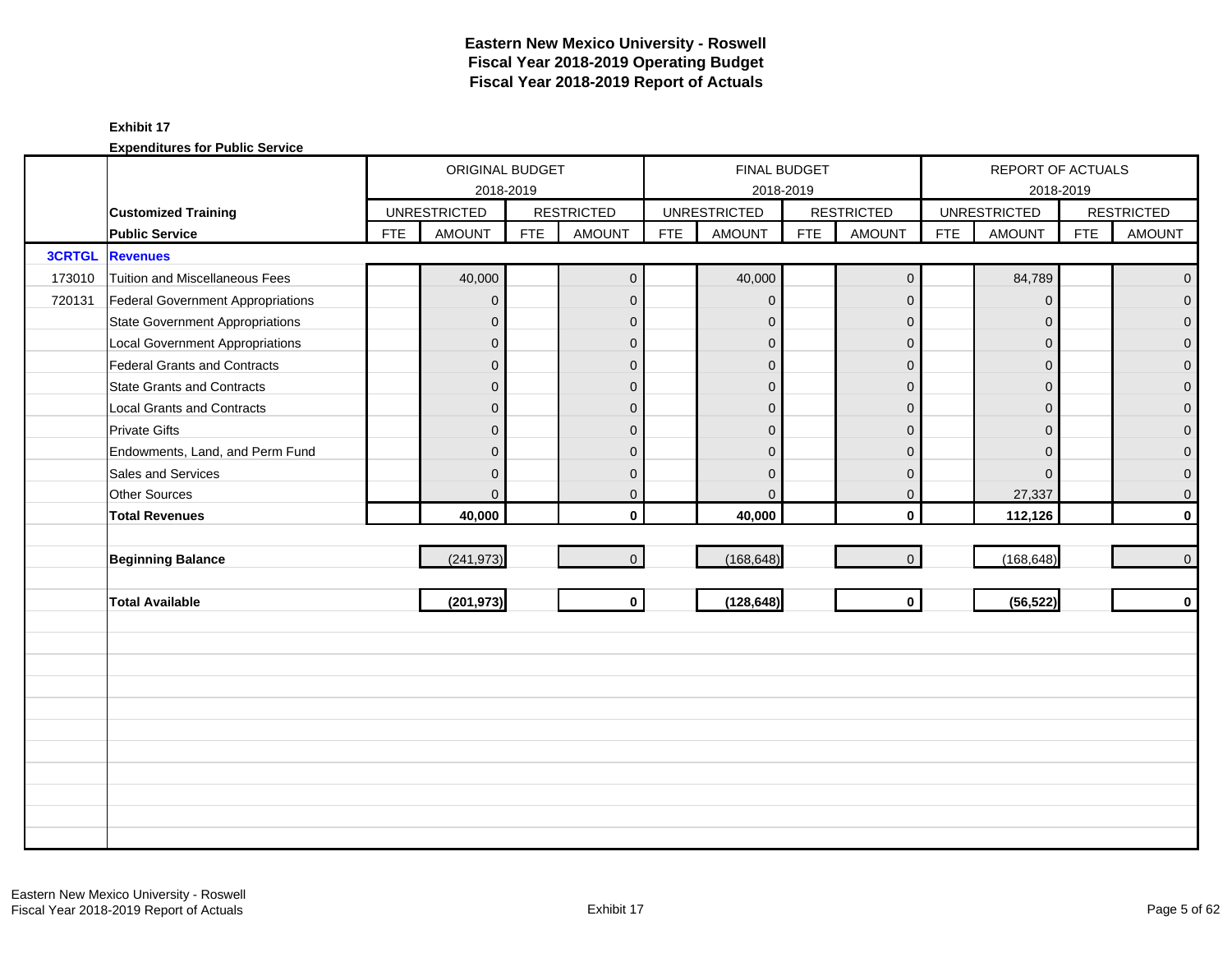|               |                                        |            | ORIGINAL BUDGET     |            |                   |            |                     | <b>FINAL BUDGET</b> |                     |            | REPORT OF ACTUALS   |            |                   |
|---------------|----------------------------------------|------------|---------------------|------------|-------------------|------------|---------------------|---------------------|---------------------|------------|---------------------|------------|-------------------|
|               |                                        |            | 2018-2019           |            |                   |            |                     | 2018-2019           |                     |            |                     | 2018-2019  |                   |
|               | <b>Customized Training</b>             |            | <b>UNRESTRICTED</b> |            | <b>RESTRICTED</b> |            | <b>UNRESTRICTED</b> |                     | <b>RESTRICTED</b>   |            | <b>UNRESTRICTED</b> |            | <b>RESTRICTED</b> |
|               | <b>Public Service</b>                  | <b>FTE</b> | <b>AMOUNT</b>       | <b>FTE</b> | <b>AMOUNT</b>     | <b>FTE</b> | <b>AMOUNT</b>       | <b>FTE</b>          | <b>AMOUNT</b>       | <b>FTE</b> | <b>AMOUNT</b>       | <b>FTE</b> | <b>AMOUNT</b>     |
| <b>3CRTGL</b> | <b>Revenues</b>                        |            |                     |            |                   |            |                     |                     |                     |            |                     |            |                   |
| 173010        | Tuition and Miscellaneous Fees         |            | 40,000              |            | $\mathbf{0}$      |            | 40,000              |                     | $\mathsf{O}\xspace$ |            | 84,789              |            | $\overline{0}$    |
| 720131        | Federal Government Appropriations      |            | $\overline{0}$      |            | $\mathbf{0}$      |            | $\mathbf{0}$        |                     | $\mathbf{0}$        |            | $\Omega$            |            | $\overline{0}$    |
|               | <b>State Government Appropriations</b> |            | $\mathbf 0$         |            | $\mathbf{0}$      |            | $\mathbf 0$         |                     | $\mathbf{0}$        |            | $\Omega$            |            | $\overline{0}$    |
|               | <b>Local Government Appropriations</b> |            | 0                   |            | $\mathbf{0}$      |            | $\Omega$            |                     | $\mathbf{0}$        |            | $\Omega$            |            | $\mathbf 0$       |
|               | <b>Federal Grants and Contracts</b>    |            | $\overline{0}$      |            | $\mathbf{0}$      |            | $\overline{0}$      |                     | $\mathbf 0$         |            | $\Omega$            |            | $\overline{0}$    |
|               | <b>State Grants and Contracts</b>      |            | $\mathbf{0}$        |            | $\mathbf{0}$      |            | $\mathbf{0}$        |                     | $\mathbf{0}$        |            | $\Omega$            |            | $\mathbf{O}$      |
|               | <b>Local Grants and Contracts</b>      |            | 0                   |            | $\mathbf{0}$      |            | $\Omega$            |                     | $\mathbf 0$         |            | $\Omega$            |            | $\mathbf 0$       |
|               | <b>Private Gifts</b>                   |            | $\overline{0}$      |            | $\mathbf{0}$      |            | $\Omega$            |                     | $\mathbf{0}$        |            | $\Omega$            |            | $\overline{0}$    |
|               | Endowments, Land, and Perm Fund        |            | 0                   |            | $\mathbf{0}$      |            | $\Omega$            |                     | $\overline{0}$      |            | $\Omega$            |            | $\overline{0}$    |
|               | Sales and Services                     |            | 0                   |            | $\mathbf{0}$      |            | $\Omega$            |                     | $\mathbf 0$         |            | $\Omega$            |            | $\pmb{0}$         |
|               | Other Sources                          |            | $\Omega$            |            | $\mathbf 0$       |            | $\mathbf 0$         |                     | $\mathbf 0$         |            | 27,337              |            | $\overline{0}$    |
|               | <b>Total Revenues</b>                  |            | 40,000              |            | $\mathbf{0}$      |            | 40,000              |                     | $\mathbf{0}$        |            | 112,126             |            | $\mathbf{0}$      |
|               |                                        |            |                     |            |                   |            |                     |                     |                     |            |                     |            |                   |
|               | <b>Beginning Balance</b>               |            | (241, 973)          |            | $\overline{0}$    |            | (168, 648)          |                     | $\mathsf{O}\xspace$ |            | (168, 648)          |            | $\overline{0}$    |
|               |                                        |            |                     |            |                   |            |                     |                     |                     |            |                     |            |                   |
|               | <b>Total Available</b>                 |            | (201, 973)          |            | $\mathbf{0}$      |            | (128, 648)          |                     | $\mathbf{0}$        |            | (56, 522)           |            | $\mathbf{0}$      |
|               |                                        |            |                     |            |                   |            |                     |                     |                     |            |                     |            |                   |
|               |                                        |            |                     |            |                   |            |                     |                     |                     |            |                     |            |                   |
|               |                                        |            |                     |            |                   |            |                     |                     |                     |            |                     |            |                   |
|               |                                        |            |                     |            |                   |            |                     |                     |                     |            |                     |            |                   |
|               |                                        |            |                     |            |                   |            |                     |                     |                     |            |                     |            |                   |
|               |                                        |            |                     |            |                   |            |                     |                     |                     |            |                     |            |                   |
|               |                                        |            |                     |            |                   |            |                     |                     |                     |            |                     |            |                   |
|               |                                        |            |                     |            |                   |            |                     |                     |                     |            |                     |            |                   |
|               |                                        |            |                     |            |                   |            |                     |                     |                     |            |                     |            |                   |
|               |                                        |            |                     |            |                   |            |                     |                     |                     |            |                     |            |                   |
|               |                                        |            |                     |            |                   |            |                     |                     |                     |            |                     |            |                   |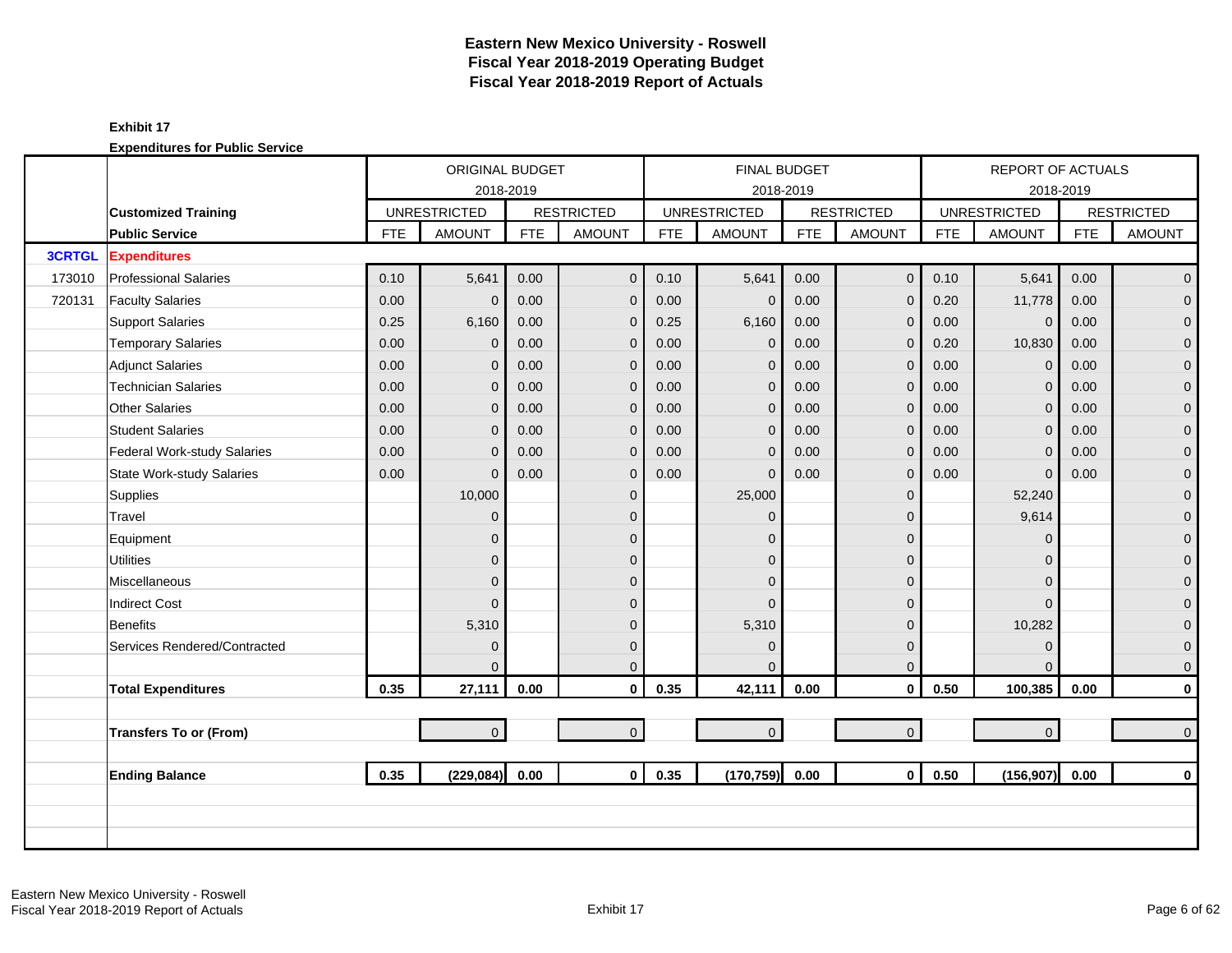|               |                                  |            | ORIGINAL BUDGET     |            |                   |            | <b>FINAL BUDGET</b> |            |                     |            | <b>REPORT OF ACTUALS</b> |            |                   |
|---------------|----------------------------------|------------|---------------------|------------|-------------------|------------|---------------------|------------|---------------------|------------|--------------------------|------------|-------------------|
|               |                                  |            | 2018-2019           |            |                   |            |                     | 2018-2019  |                     |            |                          | 2018-2019  |                   |
|               | <b>Customized Training</b>       |            | <b>UNRESTRICTED</b> |            | <b>RESTRICTED</b> |            | <b>UNRESTRICTED</b> |            | <b>RESTRICTED</b>   |            | <b>UNRESTRICTED</b>      |            | <b>RESTRICTED</b> |
|               | <b>Public Service</b>            | <b>FTE</b> | <b>AMOUNT</b>       | <b>FTE</b> | <b>AMOUNT</b>     | <b>FTE</b> | <b>AMOUNT</b>       | <b>FTE</b> | <b>AMOUNT</b>       | <b>FTE</b> | <b>AMOUNT</b>            | <b>FTE</b> | <b>AMOUNT</b>     |
| <b>3CRTGL</b> | <b>Expenditures</b>              |            |                     |            |                   |            |                     |            |                     |            |                          |            |                   |
| 173010        | <b>Professional Salaries</b>     | 0.10       | 5,641               | 0.00       | $\overline{0}$    | 0.10       | 5,641               | 0.00       | $\mathbf 0$         | 0.10       | 5,641                    | 0.00       | $\overline{0}$    |
| 720131        | <b>Faculty Salaries</b>          | 0.00       | $\mathbf{0}$        | 0.00       | $\mathbf{0}$      | 0.00       | $\mathbf 0$         | 0.00       | $\mathbf{0}$        | 0.20       | 11,778                   | 0.00       | $\overline{0}$    |
|               | <b>Support Salaries</b>          | 0.25       | 6,160               | 0.00       | $\mathbf{0}$      | 0.25       | 6,160               | 0.00       | $\mathbf{0}$        | 0.00       | $\mathbf 0$              | 0.00       | $\overline{0}$    |
|               | <b>Temporary Salaries</b>        | 0.00       | 0                   | 0.00       | $\mathbf{0}$      | 0.00       | $\mathbf{0}$        | 0.00       | $\mathbf{0}$        | 0.20       | 10,830                   | 0.00       | $\mathbf{O}$      |
|               | <b>Adjunct Salaries</b>          | 0.00       | 0                   | 0.00       | $\mathbf{0}$      | 0.00       | $\mathbf{0}$        | 0.00       | $\mathbf{0}$        | 0.00       | $\Omega$                 | 0.00       | $\mathbf{O}$      |
|               | <b>Technician Salaries</b>       | 0.00       | 0                   | 0.00       | $\mathbf{0}$      | 0.00       | $\mathbf{0}$        | 0.00       | $\mathbf 0$         | 0.00       | $\mathbf{0}$             | 0.00       | $\mathbf{O}$      |
|               | <b>Other Salaries</b>            | 0.00       | 0                   | 0.00       | $\mathbf{0}$      | 0.00       | $\mathbf{0}$        | 0.00       | $\mathbf{0}$        | 0.00       | $\mathbf{0}$             | 0.00       | $\mathbf 0$       |
|               | <b>Student Salaries</b>          | 0.00       | $\Omega$            | 0.00       | $\Omega$          | 0.00       | $\mathbf{0}$        | 0.00       | $\mathbf{0}$        | 0.00       | $\Omega$                 | 0.00       | $\overline{0}$    |
|               | Federal Work-study Salaries      | 0.00       | $\Omega$            | 0.00       | $\mathbf{0}$      | 0.00       | $\overline{0}$      | 0.00       | $\mathbf{0}$        | 0.00       | $\Omega$                 | 0.00       | $\mathbf 0$       |
|               | <b>State Work-study Salaries</b> | 0.00       | $\Omega$            | 0.00       | $\mathbf{0}$      | 0.00       | $\Omega$            | 0.00       | $\mathbf{0}$        | 0.00       | $\Omega$                 | 0.00       | $\mathbf{O}$      |
|               | Supplies                         |            | 10,000              |            | $\mathbf{0}$      |            | 25,000              |            | $\mathbf{0}$        |            | 52,240                   |            | $\mathbf{O}$      |
|               | Travel                           |            | 0                   |            | $\mathbf{0}$      |            | $\Omega$            |            | $\mathbf{0}$        |            | 9,614                    |            | $\mathbf{O}$      |
|               | Equipment                        |            | 0                   |            | $\Omega$          |            | $\Omega$            |            | $\mathbf 0$         |            | $\Omega$                 |            | $\pmb{0}$         |
|               | <b>Utilities</b>                 |            | 0                   |            | $\mathbf{0}$      |            | $\mathbf{0}$        |            | $\mathbf{0}$        |            | $\Omega$                 |            | $\mathbf{0}$      |
|               | Miscellaneous                    |            | $\Omega$            |            | $\Omega$          |            | $\Omega$            |            | $\mathbf 0$         |            | $\Omega$                 |            | $\mathbf{0}$      |
|               | <b>Indirect Cost</b>             |            | $\Omega$            |            | $\Omega$          |            | $\Omega$            |            | $\mathbf{0}$        |            | $\Omega$                 |            | $\pmb{0}$         |
|               | Benefits                         |            | 5,310               |            | $\Omega$          |            | 5,310               |            | $\mathbf{0}$        |            | 10,282                   |            | $\mathbf{0}$      |
|               | Services Rendered/Contracted     |            | 0                   |            | $\mathbf{0}$      |            | $\mathbf 0$         |            | $\mathbf{0}$        |            | $\Omega$                 |            | $\mathbf{O}$      |
|               |                                  |            | $\Omega$            |            | $\Omega$          |            | $\Omega$            |            | $\mathbf{0}$        |            | $\Omega$                 |            | $\mathbf{O}$      |
|               | <b>Total Expenditures</b>        | 0.35       | 27,111              | 0.00       | $\mathbf 0$       | 0.35       | 42,111              | 0.00       | $\mathbf 0$         | 0.50       | 100,385                  | 0.00       | $\mathbf{0}$      |
|               |                                  |            |                     |            |                   |            |                     |            |                     |            |                          |            |                   |
|               | <b>Transfers To or (From)</b>    |            | $\overline{0}$      |            | $\overline{0}$    |            | $\overline{0}$      |            | $\mathsf{O}\xspace$ |            | $\overline{0}$           |            | $\overline{0}$    |
|               |                                  |            |                     |            |                   |            |                     |            |                     |            |                          |            |                   |
|               | <b>Ending Balance</b>            | 0.35       | (229, 084)          | 0.00       | $\mathbf{0}$      | 0.35       | (170, 759)          | 0.00       | $\mathbf{0}$        | 0.50       | (156, 907)               | 0.00       | $\mathbf 0$       |
|               |                                  |            |                     |            |                   |            |                     |            |                     |            |                          |            |                   |
|               |                                  |            |                     |            |                   |            |                     |            |                     |            |                          |            |                   |
|               |                                  |            |                     |            |                   |            |                     |            |                     |            |                          |            |                   |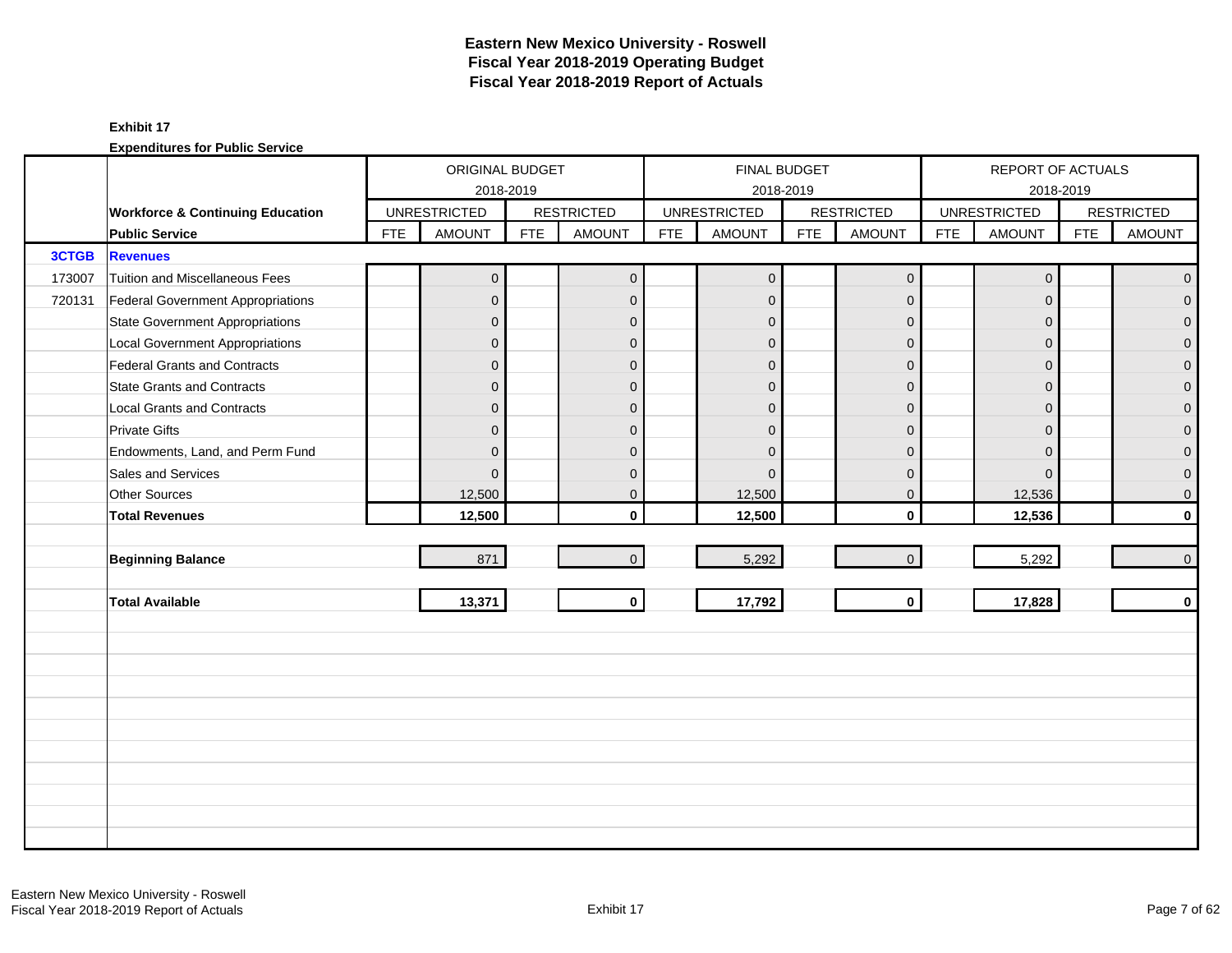# **Eastern New Mexico University - Roswell Fiscal Year 2018-2019 Operating Budget Fiscal Year 2018-2019 Report of Actuals**

### **Exhibit 17**

|        |                                             |            | ORIGINAL BUDGET     |            |                   |            | FINAL BUDGET        |            |                   |            | REPORT OF ACTUALS   |            |                   |
|--------|---------------------------------------------|------------|---------------------|------------|-------------------|------------|---------------------|------------|-------------------|------------|---------------------|------------|-------------------|
|        |                                             |            | 2018-2019           |            |                   |            |                     | 2018-2019  |                   |            | 2018-2019           |            |                   |
|        | <b>Workforce &amp; Continuing Education</b> |            | <b>UNRESTRICTED</b> |            | <b>RESTRICTED</b> |            | <b>UNRESTRICTED</b> |            | <b>RESTRICTED</b> |            | <b>UNRESTRICTED</b> |            | <b>RESTRICTED</b> |
|        | <b>Public Service</b>                       | <b>FTE</b> | <b>AMOUNT</b>       | <b>FTE</b> | <b>AMOUNT</b>     | <b>FTE</b> | <b>AMOUNT</b>       | <b>FTE</b> | <b>AMOUNT</b>     | <b>FTE</b> | <b>AMOUNT</b>       | <b>FTE</b> | <b>AMOUNT</b>     |
| 3CTGB  | <b>Revenues</b>                             |            |                     |            |                   |            |                     |            |                   |            |                     |            |                   |
| 173007 | <b>Tuition and Miscellaneous Fees</b>       |            | $\mathbf 0$         |            | $\mathbf{0}$      |            | $\mathbf 0$         |            | $\mathbf 0$       |            | $\mathbf 0$         |            | $\mathbf{0}$      |
| 720131 | Federal Government Appropriations           |            | $\overline{0}$      |            | $\mathbf{0}$      |            | $\mathbf{0}$        |            | $\mathbf{0}$      |            | $\mathbf{0}$        |            | $\overline{0}$    |
|        | <b>State Government Appropriations</b>      |            | $\overline{0}$      |            | $\mathbf{0}$      |            | $\Omega$            |            | $\mathbf{0}$      |            | $\Omega$            |            | $\overline{0}$    |
|        | <b>Local Government Appropriations</b>      |            | $\overline{0}$      |            | $\mathbf 0$       |            | $\Omega$            |            | $\mathbf 0$       |            | $\overline{0}$      |            | 0                 |
|        | <b>Federal Grants and Contracts</b>         |            | $\mathbf 0$         |            | $\mathbf{0}$      |            | $\mathbf 0$         |            | $\mathbf{0}$      |            | $\mathbf{0}$        |            | $\overline{0}$    |
|        | <b>State Grants and Contracts</b>           |            | $\overline{0}$      |            | $\mathbf{0}$      |            | $\Omega$            |            | $\Omega$          |            | $\Omega$            |            | $\Omega$          |
|        | <b>Local Grants and Contracts</b>           |            | $\overline{0}$      |            | $\mathbf{0}$      |            | $\Omega$            |            | $\mathbf{0}$      |            | $\Omega$            |            | $\mathbf 0$       |
|        | <b>Private Gifts</b>                        |            | $\mathbf 0$         |            | $\mathbf{0}$      |            | $\mathbf 0$         |            | $\mathbf{0}$      |            | $\Omega$            |            | $\overline{0}$    |
|        | Endowments, Land, and Perm Fund             |            | $\overline{0}$      |            | $\mathbf{0}$      |            | $\Omega$            |            | $\mathbf{0}$      |            | $\overline{0}$      |            | $\mathbf{0}$      |
|        | Sales and Services                          |            | $\Omega$            |            | $\mathbf{0}$      |            | $\Omega$            |            | $\overline{0}$    |            | $\Omega$            |            | $\mathbf 0$       |
|        | <b>Other Sources</b>                        |            | 12,500              |            | $\mathbf 0$       |            | 12,500              |            | $\mathbf 0$       |            | 12,536              |            | $\mathbf 0$       |
|        | <b>Total Revenues</b>                       |            | 12,500              |            | $\mathbf{0}$      |            | 12,500              |            | $\mathbf{0}$      |            | 12,536              |            | $\mathbf 0$       |
|        |                                             |            |                     |            |                   |            |                     |            |                   |            |                     |            |                   |
|        | <b>Beginning Balance</b>                    |            | 871                 |            | $\overline{0}$    |            | 5,292               |            | $\mathbf{0}$      |            | 5,292               |            | $\mathbf 0$       |
|        |                                             |            |                     |            |                   |            |                     |            |                   |            |                     |            |                   |
|        | <b>Total Available</b>                      |            | 13,371              |            | $\mathbf{0}$      |            | 17,792              |            | $\mathbf 0$       |            | 17,828              |            | $\mathbf 0$       |
|        |                                             |            |                     |            |                   |            |                     |            |                   |            |                     |            |                   |
|        |                                             |            |                     |            |                   |            |                     |            |                   |            |                     |            |                   |
|        |                                             |            |                     |            |                   |            |                     |            |                   |            |                     |            |                   |
|        |                                             |            |                     |            |                   |            |                     |            |                   |            |                     |            |                   |
|        |                                             |            |                     |            |                   |            |                     |            |                   |            |                     |            |                   |
|        |                                             |            |                     |            |                   |            |                     |            |                   |            |                     |            |                   |
|        |                                             |            |                     |            |                   |            |                     |            |                   |            |                     |            |                   |
|        |                                             |            |                     |            |                   |            |                     |            |                   |            |                     |            |                   |
|        |                                             |            |                     |            |                   |            |                     |            |                   |            |                     |            |                   |
|        |                                             |            |                     |            |                   |            |                     |            |                   |            |                     |            |                   |
|        |                                             |            |                     |            |                   |            |                     |            |                   |            |                     |            |                   |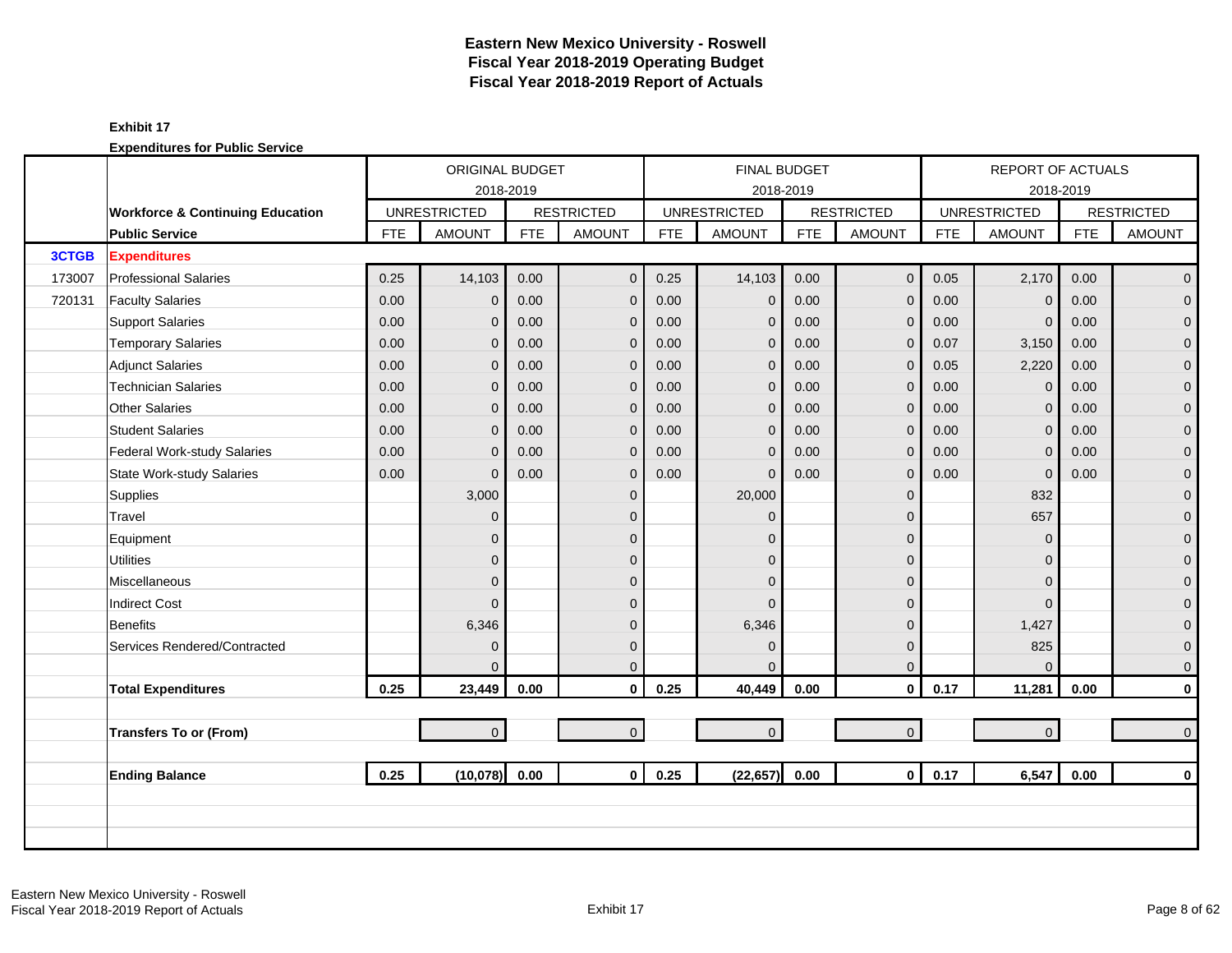# **Eastern New Mexico University - Roswell Fiscal Year 2018-2019 Operating Budget Fiscal Year 2018-2019 Report of Actuals**

# **Exhibit 17**

|        |                                             |            | <b>ORIGINAL BUDGET</b> |            |                   |            |                     | <b>FINAL BUDGET</b> |                   |            | <b>REPORT OF ACTUALS</b> |            |                   |
|--------|---------------------------------------------|------------|------------------------|------------|-------------------|------------|---------------------|---------------------|-------------------|------------|--------------------------|------------|-------------------|
|        |                                             |            | 2018-2019              |            |                   |            |                     | 2018-2019           |                   |            |                          | 2018-2019  |                   |
|        | <b>Workforce &amp; Continuing Education</b> |            | <b>UNRESTRICTED</b>    |            | <b>RESTRICTED</b> |            | <b>UNRESTRICTED</b> |                     | <b>RESTRICTED</b> |            | <b>UNRESTRICTED</b>      |            | <b>RESTRICTED</b> |
|        | <b>Public Service</b>                       | <b>FTE</b> | <b>AMOUNT</b>          | <b>FTE</b> | <b>AMOUNT</b>     | <b>FTE</b> | <b>AMOUNT</b>       | <b>FTE</b>          | <b>AMOUNT</b>     | <b>FTE</b> | <b>AMOUNT</b>            | <b>FTE</b> | <b>AMOUNT</b>     |
| 3CTGB  | <b>Expenditures</b>                         |            |                        |            |                   |            |                     |                     |                   |            |                          |            |                   |
| 173007 | <b>Professional Salaries</b>                | 0.25       | 14,103                 | 0.00       | $\mathbf{0}$      | 0.25       | 14,103              | 0.00                | $\mathbf 0$       | 0.05       | 2,170                    | 0.00       | $\overline{0}$    |
| 720131 | <b>Faculty Salaries</b>                     | 0.00       | $\mathbf{0}$           | 0.00       | $\mathbf{0}$      | 0.00       | $\mathbf 0$         | 0.00                | $\mathbf{0}$      | 0.00       | $\Omega$                 | 0.00       | $\overline{0}$    |
|        | <b>Support Salaries</b>                     | 0.00       | 0                      | 0.00       | $\mathbf 0$       | 0.00       | $\mathbf 0$         | 0.00                | $\mathbf 0$       | 0.00       | $\mathbf 0$              | 0.00       | $\overline{0}$    |
|        | <b>Temporary Salaries</b>                   | 0.00       | $\mathbf{0}$           | 0.00       | $\mathbf{0}$      | 0.00       | $\mathbf 0$         | 0.00                | $\mathbf{0}$      | 0.07       | 3,150                    | 0.00       | $\mathbf 0$       |
|        | <b>Adjunct Salaries</b>                     | 0.00       | $\overline{0}$         | 0.00       | $\mathbf{0}$      | 0.00       | $\mathbf{0}$        | 0.00                | $\mathbf{0}$      | 0.05       | 2,220                    | 0.00       | $\mathbf{0}$      |
|        | <b>Technician Salaries</b>                  | 0.00       | $\overline{0}$         | 0.00       | $\mathbf 0$       | 0.00       | $\overline{0}$      | 0.00                | $\mathbf 0$       | 0.00       | $\Omega$                 | 0.00       | $\mathbf{O}$      |
|        | <b>Other Salaries</b>                       | 0.00       | 0                      | 0.00       | $\mathbf{0}$      | 0.00       | $\mathbf{0}$        | 0.00                | $\mathbf 0$       | 0.00       | $\mathbf 0$              | 0.00       | $\mathbf 0$       |
|        | <b>Student Salaries</b>                     | 0.00       | $\Omega$               | 0.00       | $\mathbf{0}$      | 0.00       | $\mathbf{0}$        | 0.00                | $\mathbf{0}$      | 0.00       | $\Omega$                 | 0.00       | $\overline{0}$    |
|        | Federal Work-study Salaries                 | 0.00       | $\overline{0}$         | 0.00       | $\mathbf 0$       | 0.00       | $\overline{0}$      | 0.00                | $\mathbf{0}$      | 0.00       | $\mathbf{0}$             | 0.00       | $\overline{0}$    |
|        | <b>State Work-study Salaries</b>            | 0.00       | $\overline{0}$         | 0.00       | $\mathbf{0}$      | 0.00       | $\mathbf{0}$        | 0.00                | $\mathbf 0$       | 0.00       | $\mathbf{0}$             | 0.00       | $\mathbf 0$       |
|        | Supplies                                    |            | 3,000                  |            | $\mathbf{0}$      |            | 20,000              |                     | $\mathbf 0$       |            | 832                      |            | $\mathbf{0}$      |
|        | Travel                                      |            | $\overline{0}$         |            | $\Omega$          |            | $\Omega$            |                     | $\overline{0}$    |            | 657                      |            | $\mathbf{0}$      |
|        | Equipment                                   |            | $\overline{0}$         |            | $\Omega$          |            | $\Omega$            |                     | $\mathbf 0$       |            | $\Omega$                 |            | $\mathbf 0$       |
|        | <b>Utilities</b>                            |            | $\overline{0}$         |            | $\Omega$          |            | $\mathbf{0}$        |                     | $\mathbf{0}$      |            | $\Omega$                 |            | $\overline{0}$    |
|        | Miscellaneous                               |            | $\overline{0}$         |            | $\mathbf{0}$      |            | $\Omega$            |                     | $\mathbf{0}$      |            | $\Omega$                 |            | $\mathbf 0$       |
|        | <b>Indirect Cost</b>                        |            | $\Omega$               |            | $\Omega$          |            | $\Omega$            |                     | $\mathbf{0}$      |            | $\Omega$                 |            | $\pmb{0}$         |
|        | <b>Benefits</b>                             |            | 6,346                  |            | $\Omega$          |            | 6,346               |                     | $\mathbf 0$       |            | 1,427                    |            | $\mathbf{0}$      |
|        | Services Rendered/Contracted                |            | $\overline{0}$         |            | $\mathbf{0}$      |            | $\Omega$            |                     | $\mathbf{0}$      |            | 825                      |            | $\mathbf{O}$      |
|        |                                             |            | $\Omega$               |            | $\mathbf{0}$      |            | $\Omega$            |                     | $\mathbf{0}$      |            | $\Omega$                 |            | $\mathbf{0}$      |
|        | <b>Total Expenditures</b>                   | 0.25       | 23,449                 | 0.00       | $\mathbf 0$       | 0.25       | 40,449              | 0.00                | $\mathbf 0$       | 0.17       | 11,281                   | 0.00       | $\mathbf{0}$      |
|        |                                             |            |                        |            |                   |            |                     |                     |                   |            |                          |            |                   |
|        | <b>Transfers To or (From)</b>               |            | $\overline{0}$         |            | $\overline{0}$    |            | $\mathbf 0$         |                     | $\mathbf{O}$      |            | $\overline{0}$           |            | $\mathbf{0}$      |
|        |                                             |            |                        |            |                   |            |                     |                     |                   |            |                          |            |                   |
|        | <b>Ending Balance</b>                       | 0.25       | (10,078) 0.00          |            | $\mathbf{0}$      | 0.25       | (22, 657)           | 0.00                | $\overline{0}$    | 0.17       | 6,547                    | 0.00       | $\mathbf 0$       |
|        |                                             |            |                        |            |                   |            |                     |                     |                   |            |                          |            |                   |
|        |                                             |            |                        |            |                   |            |                     |                     |                   |            |                          |            |                   |
|        |                                             |            |                        |            |                   |            |                     |                     |                   |            |                          |            |                   |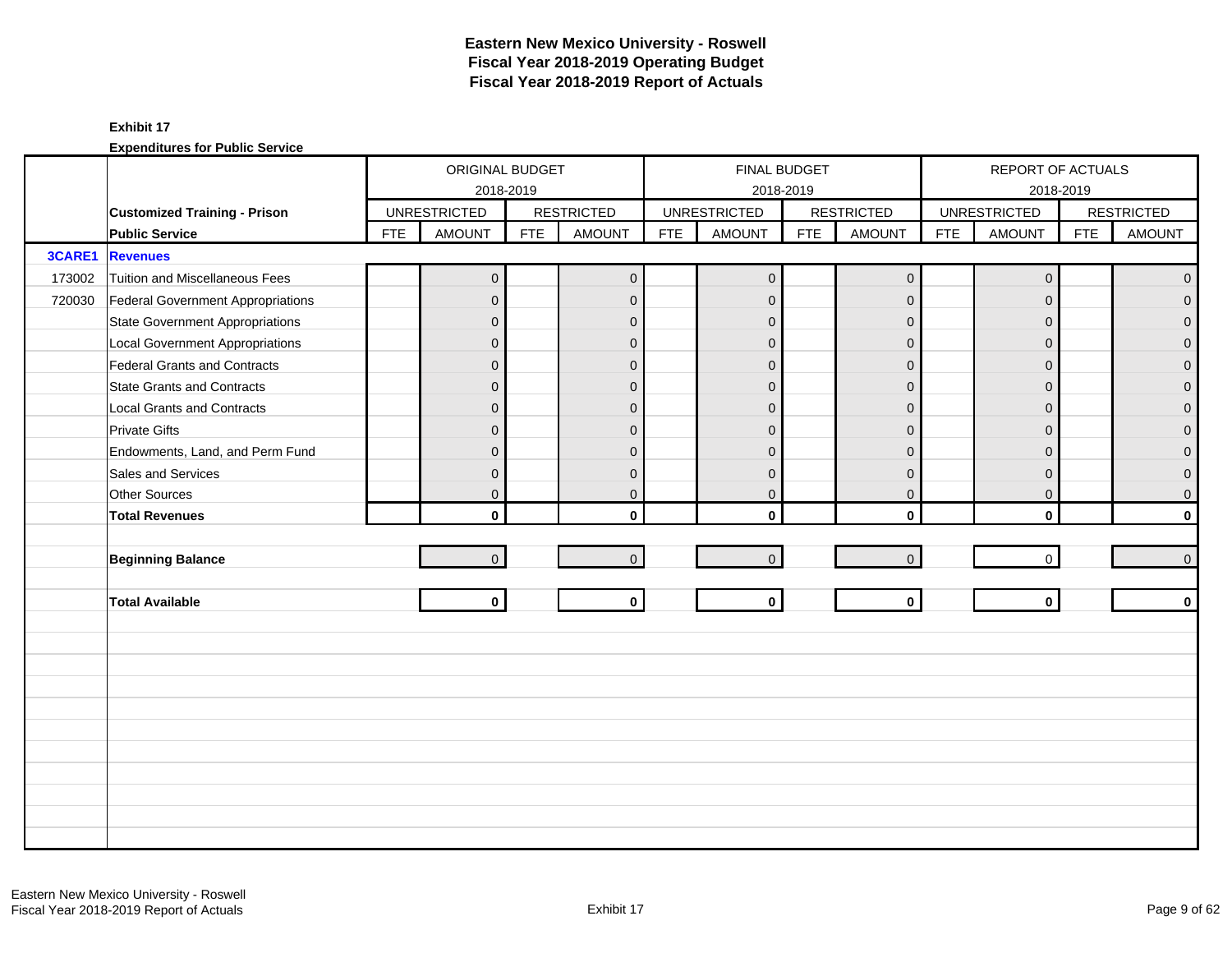|        |                                        |            | ORIGINAL BUDGET     |            |                   |            | FINAL BUDGET        |            |                   |            | REPORT OF ACTUALS   |            |                   |
|--------|----------------------------------------|------------|---------------------|------------|-------------------|------------|---------------------|------------|-------------------|------------|---------------------|------------|-------------------|
|        |                                        |            | 2018-2019           |            |                   |            | 2018-2019           |            |                   |            | 2018-2019           |            |                   |
|        | <b>Customized Training - Prison</b>    |            | <b>UNRESTRICTED</b> |            | <b>RESTRICTED</b> |            | <b>UNRESTRICTED</b> |            | <b>RESTRICTED</b> |            | <b>UNRESTRICTED</b> |            | <b>RESTRICTED</b> |
|        | <b>Public Service</b>                  | <b>FTE</b> | <b>AMOUNT</b>       | <b>FTE</b> | <b>AMOUNT</b>     | <b>FTE</b> | <b>AMOUNT</b>       | <b>FTE</b> | <b>AMOUNT</b>     | <b>FTE</b> | <b>AMOUNT</b>       | <b>FTE</b> | <b>AMOUNT</b>     |
| 3CARE1 | <b>Revenues</b>                        |            |                     |            |                   |            |                     |            |                   |            |                     |            |                   |
| 173002 | Tuition and Miscellaneous Fees         |            | $\mathbf 0$         |            | $\mathbf{0}$      |            | $\mathbf{0}$        |            | $\mathbf 0$       |            | $\mathbf 0$         |            | $\overline{0}$    |
| 720030 | Federal Government Appropriations      |            | $\overline{0}$      |            | $\mathbf{0}$      |            | $\mathbf{0}$        |            | $\mathbf{0}$      |            | $\mathbf{0}$        |            | $\overline{0}$    |
|        | <b>State Government Appropriations</b> |            | $\overline{0}$      |            | $\mathbf 0$       |            | $\Omega$            |            | $\mathbf{0}$      |            | $\overline{0}$      |            | 0                 |
|        | <b>Local Government Appropriations</b> |            | $\mathbf{0}$        |            | $\mathbf{0}$      |            | $\Omega$            |            | $\overline{0}$    |            | $\mathbf{0}$        |            | $\mathbf 0$       |
|        | <b>Federal Grants and Contracts</b>    |            | $\overline{0}$      |            | $\mathbf{0}$      |            | $\Omega$            |            | $\mathbf{0}$      |            | $\Omega$            |            | $\overline{0}$    |
|        | <b>State Grants and Contracts</b>      |            | $\overline{0}$      |            | $\mathbf{0}$      |            | $\Omega$            |            | $\Omega$          |            | $\Omega$            |            | 0                 |
|        | <b>Local Grants and Contracts</b>      |            | $\overline{0}$      |            | $\mathbf 0$       |            | $\Omega$            |            | $\mathbf 0$       |            | $\mathbf{0}$        |            | 0                 |
|        | <b>Private Gifts</b>                   |            | $\overline{0}$      |            | $\Omega$          |            | $\Omega$            |            | $\overline{0}$    |            | $\Omega$            |            | $\overline{0}$    |
|        | Endowments, Land, and Perm Fund        |            | $\overline{0}$      |            | $\mathbf{0}$      |            | $\Omega$            |            | $\Omega$          |            | $\Omega$            |            | 0                 |
|        | Sales and Services                     |            | $\mathbf 0$         |            | $\mathbf{0}$      |            | $\mathbf{0}$        |            | $\overline{0}$    |            | $\mathbf{0}$        |            | $\mathbf 0$       |
|        | Other Sources                          |            | $\overline{0}$      |            | $\mathbf 0$       |            | $\mathbf{0}$        |            | $\mathbf 0$       |            | $\mathbf 0$         |            | $\mathbf 0$       |
|        | <b>Total Revenues</b>                  |            | $\mathbf{0}$        |            | $\mathbf{0}$      |            | $\mathbf{0}$        |            | $\mathbf{0}$      |            | $\mathbf{0}$        |            | $\mathbf{0}$      |
|        |                                        |            |                     |            |                   |            |                     |            |                   |            |                     |            |                   |
|        | <b>Beginning Balance</b>               |            | $\mathbf{0}$        |            | $\mathbf{0}$      |            | $\mathbf{0}$        |            | $\mathbf 0$       |            | $\mathbf 0$         |            | $\mathbf{0}$      |
|        |                                        |            |                     |            |                   |            |                     |            |                   |            |                     |            |                   |
|        | <b>Total Available</b>                 |            | $\mathbf{0}$        |            | $\mathbf 0$       |            | $\mathbf 0$         |            | $\mathbf 0$       |            | $\mathbf{0}$        |            | $\mathbf{0}$      |
|        |                                        |            |                     |            |                   |            |                     |            |                   |            |                     |            |                   |
|        |                                        |            |                     |            |                   |            |                     |            |                   |            |                     |            |                   |
|        |                                        |            |                     |            |                   |            |                     |            |                   |            |                     |            |                   |
|        |                                        |            |                     |            |                   |            |                     |            |                   |            |                     |            |                   |
|        |                                        |            |                     |            |                   |            |                     |            |                   |            |                     |            |                   |
|        |                                        |            |                     |            |                   |            |                     |            |                   |            |                     |            |                   |
|        |                                        |            |                     |            |                   |            |                     |            |                   |            |                     |            |                   |
|        |                                        |            |                     |            |                   |            |                     |            |                   |            |                     |            |                   |
|        |                                        |            |                     |            |                   |            |                     |            |                   |            |                     |            |                   |
|        |                                        |            |                     |            |                   |            |                     |            |                   |            |                     |            |                   |
|        |                                        |            |                     |            |                   |            |                     |            |                   |            |                     |            |                   |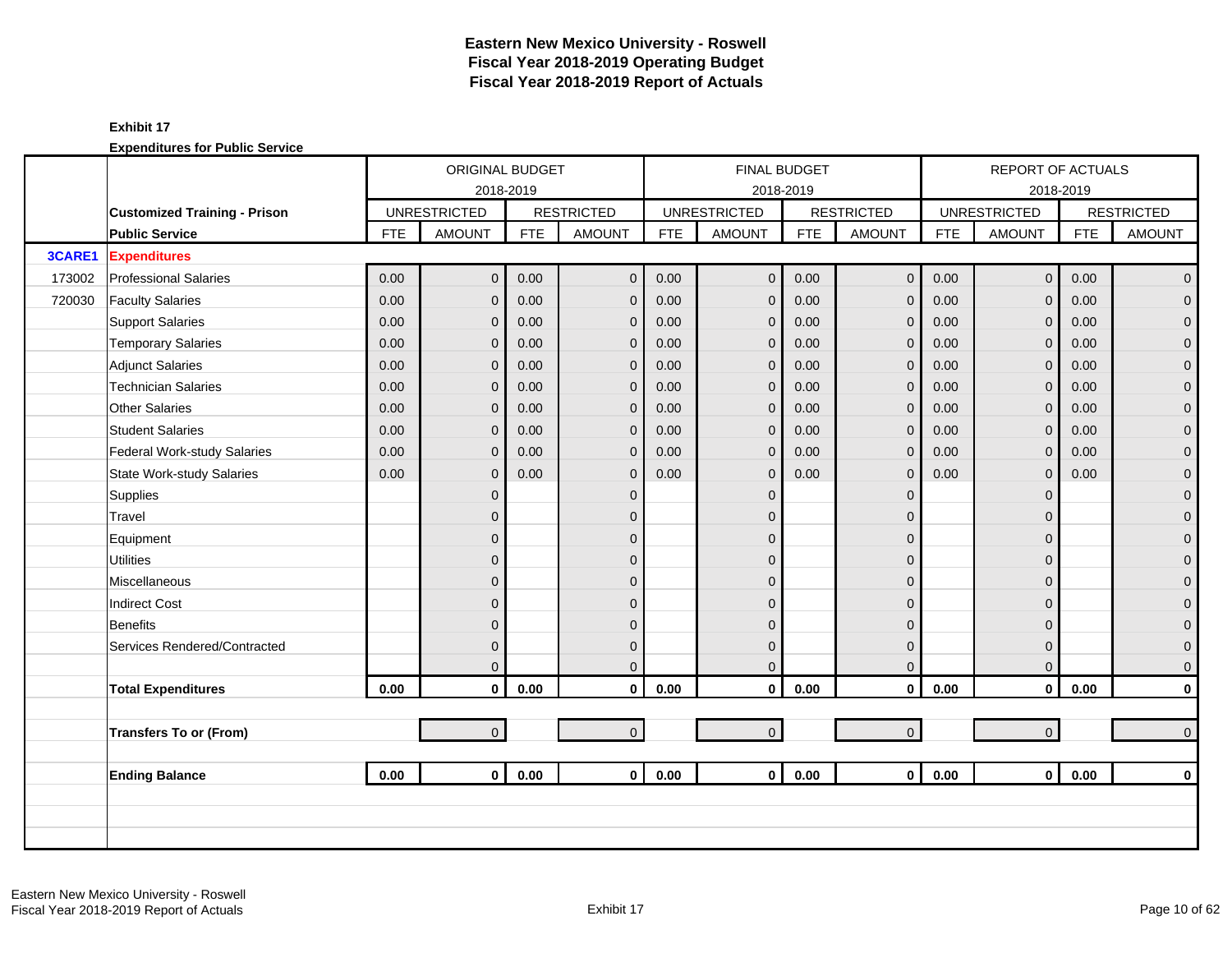|        |                                     |            | <b>ORIGINAL BUDGET</b> |            |                   |            | <b>FINAL BUDGET</b> |            |                   |            | <b>REPORT OF ACTUALS</b> |            |                   |
|--------|-------------------------------------|------------|------------------------|------------|-------------------|------------|---------------------|------------|-------------------|------------|--------------------------|------------|-------------------|
|        |                                     |            | 2018-2019              |            |                   |            |                     | 2018-2019  |                   |            |                          | 2018-2019  |                   |
|        | <b>Customized Training - Prison</b> |            | <b>UNRESTRICTED</b>    |            | <b>RESTRICTED</b> |            | <b>UNRESTRICTED</b> |            | <b>RESTRICTED</b> |            | <b>UNRESTRICTED</b>      |            | <b>RESTRICTED</b> |
|        | <b>Public Service</b>               | <b>FTE</b> | <b>AMOUNT</b>          | <b>FTE</b> | <b>AMOUNT</b>     | <b>FTE</b> | <b>AMOUNT</b>       | <b>FTE</b> | <b>AMOUNT</b>     | <b>FTE</b> | <b>AMOUNT</b>            | <b>FTE</b> | <b>AMOUNT</b>     |
| 3CARE1 | <b>Expenditures</b>                 |            |                        |            |                   |            |                     |            |                   |            |                          |            |                   |
| 173002 | <b>Professional Salaries</b>        | 0.00       | $\overline{0}$         | 0.00       | $\mathbf{0}$      | 0.00       | $\mathbf{0}$        | 0.00       | $\mathbf 0$       | 0.00       | $\mathbf{0}$             | 0.00       | $\overline{0}$    |
| 720030 | <b>Faculty Salaries</b>             | 0.00       | $\overline{0}$         | 0.00       | $\mathbf{0}$      | 0.00       | $\mathbf{0}$        | 0.00       | $\mathbf{0}$      | 0.00       | $\Omega$                 | 0.00       | $\overline{0}$    |
|        | <b>Support Salaries</b>             | 0.00       | $\mathbf{0}$           | 0.00       | $\mathbf 0$       | 0.00       | $\mathbf{0}$        | 0.00       | $\mathbf 0$       | 0.00       | $\mathbf{0}$             | 0.00       | $\overline{0}$    |
|        | <b>Temporary Salaries</b>           | 0.00       | $\overline{0}$         | 0.00       | $\mathbf 0$       | 0.00       | $\mathbf{0}$        | 0.00       | $\mathbf 0$       | 0.00       | $\mathbf{0}$             | 0.00       | $\mathbf 0$       |
|        | <b>Adjunct Salaries</b>             | 0.00       | $\mathbf{0}$           | 0.00       | $\mathbf{0}$      | 0.00       | $\mathbf 0$         | 0.00       | $\mathbf{0}$      | 0.00       | $\Omega$                 | 0.00       | $\mathbf{O}$      |
|        | <b>Technician Salaries</b>          | 0.00       | $\overline{0}$         | 0.00       | $\mathbf{0}$      | 0.00       | $\mathbf 0$         | 0.00       | $\mathbf{0}$      | 0.00       | $\Omega$                 | 0.00       | $\mathbf{0}$      |
|        | <b>Other Salaries</b>               | 0.00       | $\overline{0}$         | 0.00       | $\mathbf{0}$      | 0.00       | $\mathbf{0}$        | 0.00       | $\mathbf{0}$      | 0.00       | $\Omega$                 | 0.00       | $\mathbf{O}$      |
|        | <b>Student Salaries</b>             | 0.00       | $\overline{0}$         | 0.00       | $\mathbf{0}$      | 0.00       | $\mathbf{0}$        | 0.00       | $\mathbf 0$       | 0.00       | $\Omega$                 | 0.00       | $\overline{0}$    |
|        | Federal Work-study Salaries         | 0.00       | $\overline{0}$         | 0.00       | $\mathbf 0$       | 0.00       | $\mathbf{0}$        | 0.00       | $\mathbf 0$       | 0.00       | $\mathbf{0}$             | 0.00       | $\overline{0}$    |
|        | <b>State Work-study Salaries</b>    | 0.00       | $\overline{0}$         | 0.00       | $\mathbf{0}$      | 0.00       | $\mathbf 0$         | 0.00       | $\mathbf 0$       | 0.00       | $\mathbf{0}$             | 0.00       | $\mathbf 0$       |
|        | Supplies                            |            | $\overline{0}$         |            | $\mathbf{0}$      |            | $\mathbf{0}$        |            | $\mathbf 0$       |            | $\Omega$                 |            | $\mathbf 0$       |
|        | Travel                              |            | $\overline{0}$         |            | $\Omega$          |            | $\Omega$            |            | $\mathbf{0}$      |            | $\Omega$                 |            | $\mathbf{0}$      |
|        | Equipment                           |            | $\overline{0}$         |            | $\Omega$          |            | $\Omega$            |            | $\mathbf{0}$      |            | $\Omega$                 |            | $\mathbf 0$       |
|        | <b>Utilities</b>                    |            | $\overline{0}$         |            | $\overline{0}$    |            | $\overline{0}$      |            | $\mathbf{0}$      |            | $\Omega$                 |            | $\mathbf{O}$      |
|        | Miscellaneous                       |            | $\overline{0}$         |            | $\mathbf{0}$      |            | $\mathbf{0}$        |            | $\mathbf{0}$      |            | $\Omega$                 |            | $\mathbf{O}$      |
|        | <b>Indirect Cost</b>                |            | 0                      |            | $\mathbf{0}$      |            | $\Omega$            |            | $\mathbf 0$       |            | $\Omega$                 |            | $\pmb{0}$         |
|        | <b>Benefits</b>                     |            | $\overline{0}$         |            | $\Omega$          |            | $\Omega$            |            | $\mathbf 0$       |            | $\Omega$                 |            | $\mathbf{0}$      |
|        | Services Rendered/Contracted        |            | $\overline{0}$         |            | $\mathbf{0}$      |            | $\overline{0}$      |            | $\mathbf{0}$      |            | $\Omega$                 |            | $\mathbf 0$       |
|        |                                     |            | $\overline{0}$         |            | $\Omega$          |            | $\Omega$            |            | $\mathbf{0}$      |            | $\Omega$                 |            | $\mathbf{0}$      |
|        | <b>Total Expenditures</b>           | 0.00       | $\mathbf 0$            | 0.00       | $\mathbf 0$       | 0.00       | $\mathbf 0$         | 0.00       | $\mathbf 0$       | 0.00       | $\mathbf 0$              | 0.00       | $\mathbf{0}$      |
|        |                                     |            |                        |            |                   |            |                     |            |                   |            |                          |            |                   |
|        | <b>Transfers To or (From)</b>       |            | $\overline{0}$         |            | $\overline{0}$    |            | $\mathbf{0}$        |            | $\mathbf{0}$      |            | $\mathbf{0}$             |            | $\overline{0}$    |
|        |                                     |            |                        |            |                   |            |                     |            |                   |            |                          |            |                   |
|        | <b>Ending Balance</b>               | 0.00       | 0 I                    | 0.00       | $\mathbf{0}$      | 0.00       | $\mathbf{0}$        | 0.00       | $\mathbf{0}$      | 0.00       | $\mathbf{0}$             | 0.00       | $\mathbf 0$       |
|        |                                     |            |                        |            |                   |            |                     |            |                   |            |                          |            |                   |
|        |                                     |            |                        |            |                   |            |                     |            |                   |            |                          |            |                   |
|        |                                     |            |                        |            |                   |            |                     |            |                   |            |                          |            |                   |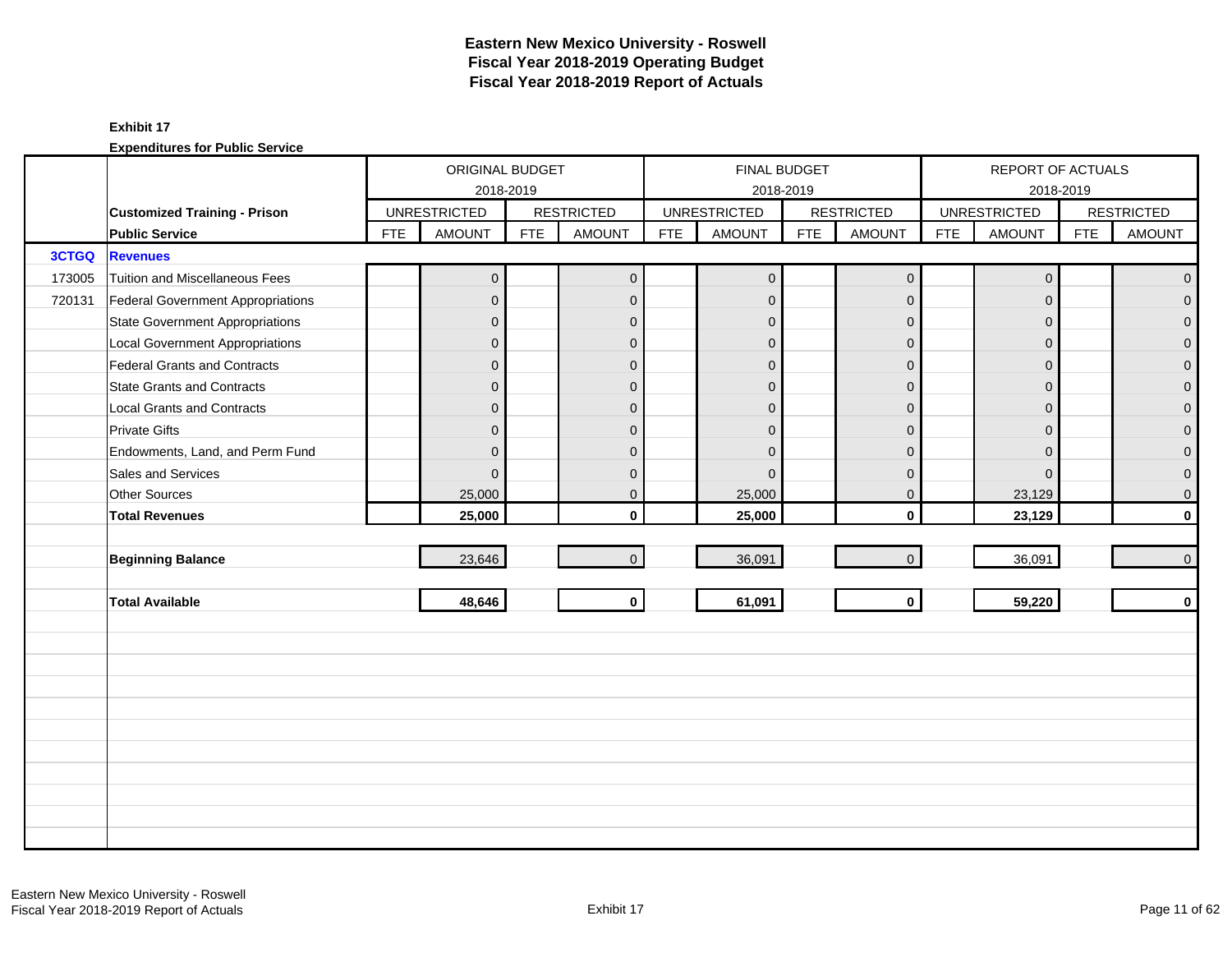|              |                                          |            | ORIGINAL BUDGET     |            |                   |            |                     | FINAL BUDGET |                     |            | REPORT OF ACTUALS   |            |                   |
|--------------|------------------------------------------|------------|---------------------|------------|-------------------|------------|---------------------|--------------|---------------------|------------|---------------------|------------|-------------------|
|              |                                          |            | 2018-2019           |            |                   |            |                     | 2018-2019    |                     |            | 2018-2019           |            |                   |
|              | <b>Customized Training - Prison</b>      |            | <b>UNRESTRICTED</b> |            | <b>RESTRICTED</b> |            | <b>UNRESTRICTED</b> |              | <b>RESTRICTED</b>   |            | <b>UNRESTRICTED</b> |            | <b>RESTRICTED</b> |
|              | <b>Public Service</b>                    | <b>FTE</b> | <b>AMOUNT</b>       | <b>FTE</b> | <b>AMOUNT</b>     | <b>FTE</b> | <b>AMOUNT</b>       | <b>FTE</b>   | <b>AMOUNT</b>       | <b>FTE</b> | <b>AMOUNT</b>       | <b>FTE</b> | <b>AMOUNT</b>     |
| <b>3CTGQ</b> | <b>Revenues</b>                          |            |                     |            |                   |            |                     |              |                     |            |                     |            |                   |
| 173005       | Tuition and Miscellaneous Fees           |            | $\mathbf 0$         |            | $\mathbf 0$       |            | $\mathbf 0$         |              | $\mathsf{O}\xspace$ |            | $\mathbf 0$         |            | $\mathbf 0$       |
| 720131       | <b>Federal Government Appropriations</b> |            | $\mathbf 0$         |            | $\mathbf{0}$      |            | $\mathbf{0}$        |              | $\mathbf 0$         |            | $\mathbf{0}$        |            | $\overline{0}$    |
|              | <b>State Government Appropriations</b>   |            | $\mathbf 0$         |            | $\mathbf{0}$      |            | $\mathbf 0$         |              | $\mathbf 0$         |            | $\mathbf{0}$        |            | $\overline{0}$    |
|              | <b>Local Government Appropriations</b>   |            | $\mathbf 0$         |            | $\mathbf{0}$      |            | $\Omega$            |              | $\mathbf 0$         |            | $\mathbf{0}$        |            | $\mathbf 0$       |
|              | <b>Federal Grants and Contracts</b>      |            | $\mathbf 0$         |            | $\mathbf{0}$      |            | $\mathbf{0}$        |              | $\mathbf{0}$        |            | $\Omega$            |            | $\overline{0}$    |
|              | <b>State Grants and Contracts</b>        |            | $\mathbf{0}$        |            | $\mathbf{0}$      |            | $\Omega$            |              | $\mathbf{0}$        |            | $\Omega$            |            | $\mathbf{0}$      |
|              | <b>Local Grants and Contracts</b>        |            | 0                   |            | $\mathbf 0$       |            | $\Omega$            |              | $\mathbf 0$         |            | $\overline{0}$      |            | $\mathbf 0$       |
|              | <b>Private Gifts</b>                     |            | $\overline{0}$      |            | $\Omega$          |            | $\Omega$            |              | $\mathbf{0}$        |            | $\Omega$            |            | $\overline{0}$    |
|              | Endowments, Land, and Perm Fund          |            | $\mathbf{0}$        |            | $\Omega$          |            | $\Omega$            |              | $\mathbf{0}$        |            | $\Omega$            |            | $\overline{0}$    |
|              | Sales and Services                       |            | $\Omega$            |            | $\mathbf{0}$      |            | $\Omega$            |              | $\mathbf 0$         |            | $\mathbf{0}$        |            | 0                 |
|              | <b>Other Sources</b>                     |            | 25,000              |            | $\mathbf 0$       |            | 25,000              |              | $\mathbf 0$         |            | 23,129              |            | 0                 |
|              | <b>Total Revenues</b>                    |            | 25,000              |            | $\mathbf{0}$      |            | 25,000              |              | $\mathbf 0$         |            | 23,129              |            | $\mathbf{0}$      |
|              |                                          |            |                     |            |                   |            |                     |              |                     |            |                     |            |                   |
|              | <b>Beginning Balance</b>                 |            | 23,646              |            | $\Omega$          |            | 36,091              |              | $\mathbf 0$         |            | 36,091              |            | $\mathbf 0$       |
|              |                                          |            |                     |            |                   |            |                     |              |                     |            |                     |            |                   |
|              | <b>Total Available</b>                   |            | 48,646              |            | $\mathbf 0$       |            | 61,091              |              | $\mathbf 0$         |            | 59,220              |            | $\mathbf 0$       |
|              |                                          |            |                     |            |                   |            |                     |              |                     |            |                     |            |                   |
|              |                                          |            |                     |            |                   |            |                     |              |                     |            |                     |            |                   |
|              |                                          |            |                     |            |                   |            |                     |              |                     |            |                     |            |                   |
|              |                                          |            |                     |            |                   |            |                     |              |                     |            |                     |            |                   |
|              |                                          |            |                     |            |                   |            |                     |              |                     |            |                     |            |                   |
|              |                                          |            |                     |            |                   |            |                     |              |                     |            |                     |            |                   |
|              |                                          |            |                     |            |                   |            |                     |              |                     |            |                     |            |                   |
|              |                                          |            |                     |            |                   |            |                     |              |                     |            |                     |            |                   |
|              |                                          |            |                     |            |                   |            |                     |              |                     |            |                     |            |                   |
|              |                                          |            |                     |            |                   |            |                     |              |                     |            |                     |            |                   |
|              |                                          |            |                     |            |                   |            |                     |              |                     |            |                     |            |                   |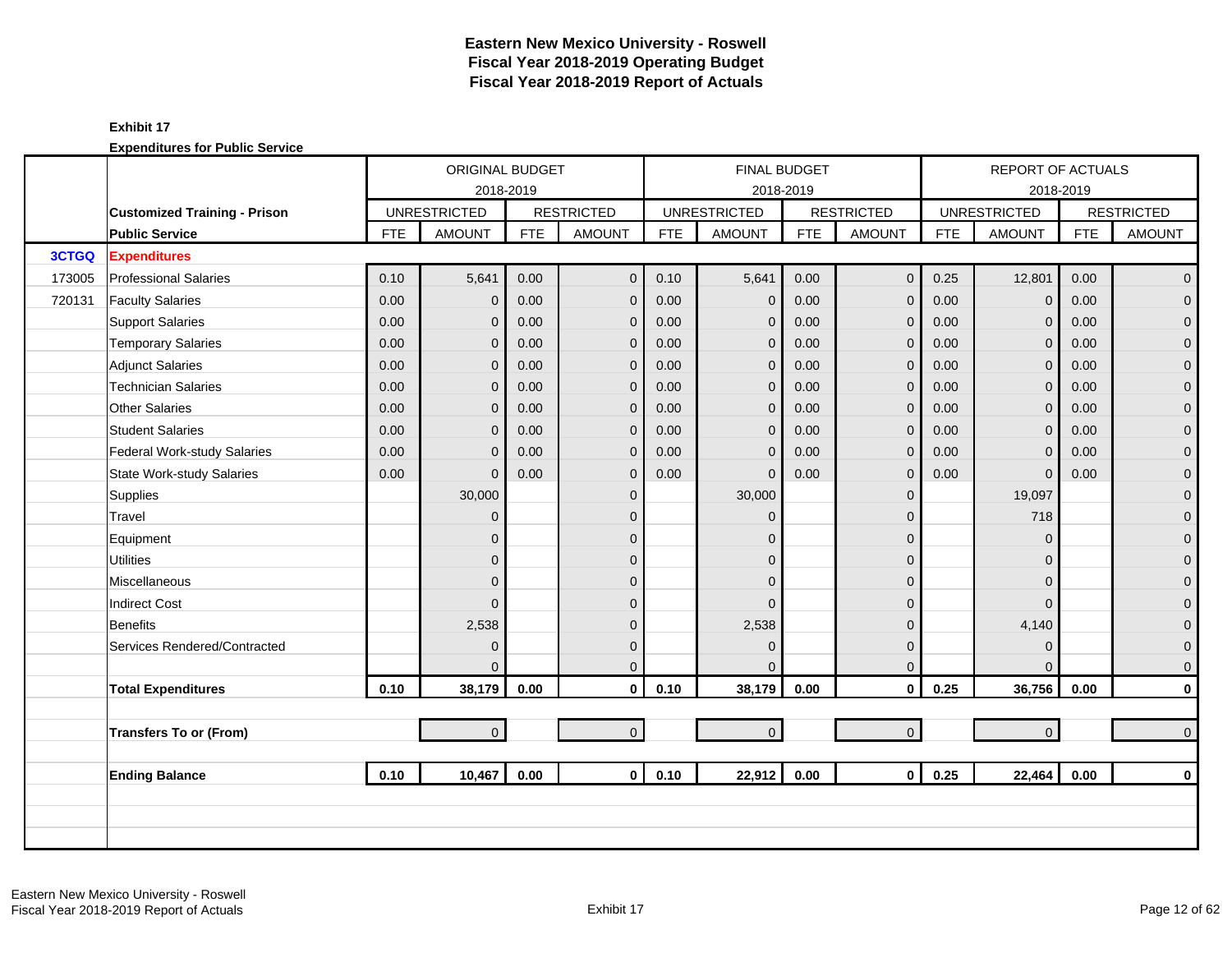|        |                                     |            | ORIGINAL BUDGET     |            |                   |            | FINAL BUDGET        |            |                   |            | <b>REPORT OF ACTUALS</b> |            |                   |
|--------|-------------------------------------|------------|---------------------|------------|-------------------|------------|---------------------|------------|-------------------|------------|--------------------------|------------|-------------------|
|        |                                     |            | 2018-2019           |            |                   |            | 2018-2019           |            |                   |            |                          | 2018-2019  |                   |
|        | <b>Customized Training - Prison</b> |            | <b>UNRESTRICTED</b> |            | <b>RESTRICTED</b> |            | <b>UNRESTRICTED</b> |            | <b>RESTRICTED</b> |            | <b>UNRESTRICTED</b>      |            | <b>RESTRICTED</b> |
|        | <b>Public Service</b>               | <b>FTE</b> | <b>AMOUNT</b>       | <b>FTE</b> | <b>AMOUNT</b>     | <b>FTE</b> | <b>AMOUNT</b>       | <b>FTE</b> | <b>AMOUNT</b>     | <b>FTE</b> | <b>AMOUNT</b>            | <b>FTE</b> | <b>AMOUNT</b>     |
| 3CTGQ  | <b>Expenditures</b>                 |            |                     |            |                   |            |                     |            |                   |            |                          |            |                   |
| 173005 | <b>Professional Salaries</b>        | 0.10       | 5,641               | 0.00       | $\mathbf{0}$      | 0.10       | 5,641               | 0.00       | $\mathbf{0}$      | 0.25       | 12,801                   | 0.00       | $\overline{0}$    |
| 720131 | <b>Faculty Salaries</b>             | 0.00       | $\overline{0}$      | 0.00       | $\mathbf 0$       | 0.00       | $\mathbf 0$         | 0.00       | $\mathbf{0}$      | 0.00       | $\mathbf 0$              | 0.00       | $\overline{0}$    |
|        | <b>Support Salaries</b>             | 0.00       | $\mathbf{0}$        | 0.00       | $\mathbf 0$       | 0.00       | $\mathbf 0$         | 0.00       | $\mathbf 0$       | 0.00       | $\mathbf 0$              | 0.00       | $\mathbf 0$       |
|        | <b>Temporary Salaries</b>           | 0.00       | $\overline{0}$      | 0.00       | $\overline{0}$    | 0.00       | $\mathbf{0}$        | 0.00       | $\mathbf{0}$      | 0.00       | $\mathbf{0}$             | 0.00       | $\mathbf 0$       |
|        | <b>Adjunct Salaries</b>             | 0.00       | $\overline{0}$      | 0.00       | $\overline{0}$    | 0.00       | $\mathbf{0}$        | 0.00       | $\mathbf{0}$      | 0.00       | $\mathbf{0}$             | 0.00       | $\overline{0}$    |
|        | <b>Technician Salaries</b>          | 0.00       | $\overline{0}$      | 0.00       | $\mathbf{0}$      | 0.00       | $\mathbf{0}$        | 0.00       | $\mathbf{0}$      | 0.00       | $\overline{0}$           | 0.00       | $\overline{0}$    |
|        | Other Salaries                      | 0.00       | $\overline{0}$      | 0.00       | $\overline{0}$    | 0.00       | $\mathbf{0}$        | 0.00       | $\mathbf{0}$      | 0.00       | $\overline{0}$           | 0.00       | $\mathbf 0$       |
|        | <b>Student Salaries</b>             | 0.00       | $\overline{0}$      | 0.00       | $\mathbf 0$       | 0.00       | $\mathbf{0}$        | 0.00       | $\mathbf{0}$      | 0.00       | $\mathbf{0}$             | 0.00       | $\mathbf 0$       |
|        | Federal Work-study Salaries         | 0.00       | $\overline{0}$      | 0.00       | $\mathbf 0$       | 0.00       | $\mathbf{0}$        | 0.00       | $\mathbf{0}$      | 0.00       | $\mathbf 0$              | 0.00       | $\mathbf 0$       |
|        | <b>State Work-study Salaries</b>    | 0.00       | $\overline{0}$      | 0.00       | $\mathbf 0$       | 0.00       | $\mathbf{0}$        | 0.00       | $\mathbf 0$       | 0.00       | $\mathbf{0}$             | 0.00       | 0                 |
|        | Supplies                            |            | 30,000              |            | $\mathbf 0$       |            | 30,000              |            | $\mathbf 0$       |            | 19,097                   |            | $\mathbf 0$       |
|        | Travel                              |            | $\overline{0}$      |            | $\Omega$          |            | $\Omega$            |            | $\Omega$          |            | 718                      |            | $\overline{0}$    |
|        | Equipment                           |            | $\overline{0}$      |            | $\Omega$          |            | $\Omega$            |            | $\mathbf{0}$      |            | $\overline{0}$           |            | $\mathbf 0$       |
|        | <b>Utilities</b>                    |            | $\overline{0}$      |            | $\mathbf{0}$      |            | $\Omega$            |            | $\mathbf{0}$      |            | $\Omega$                 |            | $\mathbf 0$       |
|        | Miscellaneous                       |            | $\overline{0}$      |            | $\mathbf{0}$      |            | $\Omega$            |            | $\mathbf{0}$      |            | $\Omega$                 |            | 0                 |
|        | <b>Indirect Cost</b>                |            | $\Omega$            |            | $\Omega$          |            | $\Omega$            |            | $\mathbf{0}$      |            | $\Omega$                 |            | $\mathbf 0$       |
|        | Benefits                            |            | 2,538               |            | $\Omega$          |            | 2,538               |            | $\mathbf{0}$      |            | 4,140                    |            | $\mathbf 0$       |
|        | Services Rendered/Contracted        |            | $\mathbf{0}$        |            | $\mathbf 0$       |            | $\mathbf{0}$        |            | $\mathbf 0$       |            | $\mathbf 0$              |            | $\mathbf 0$       |
|        |                                     |            | $\Omega$            |            | $\Omega$          |            | $\Omega$            |            | $\mathbf{0}$      |            | $\Omega$                 |            | $\mathbf 0$       |
|        | <b>Total Expenditures</b>           | 0.10       | 38,179              | 0.00       | $\mathbf 0$       | 0.10       | 38,179              | 0.00       | $\mathbf 0$       | 0.25       | 36,756                   | 0.00       | $\mathbf 0$       |
|        |                                     |            |                     |            |                   |            |                     |            |                   |            |                          |            |                   |
|        | Transfers To or (From)              |            | $\overline{0}$      |            | $\mathbf{0}$      |            | $\mathbf 0$         |            | $\mathbf{0}$      |            | $\overline{0}$           |            | $\overline{0}$    |
|        |                                     |            |                     |            |                   |            |                     |            |                   |            |                          |            |                   |
|        | <b>Ending Balance</b>               | 0.10       | 10,467              | 0.00       | $\mathbf{0}$      | 0.10       | 22,912              | 0.00       | $\mathbf{0}$      | 0.25       | 22,464                   | 0.00       | $\mathbf{0}$      |
|        |                                     |            |                     |            |                   |            |                     |            |                   |            |                          |            |                   |
|        |                                     |            |                     |            |                   |            |                     |            |                   |            |                          |            |                   |
|        |                                     |            |                     |            |                   |            |                     |            |                   |            |                          |            |                   |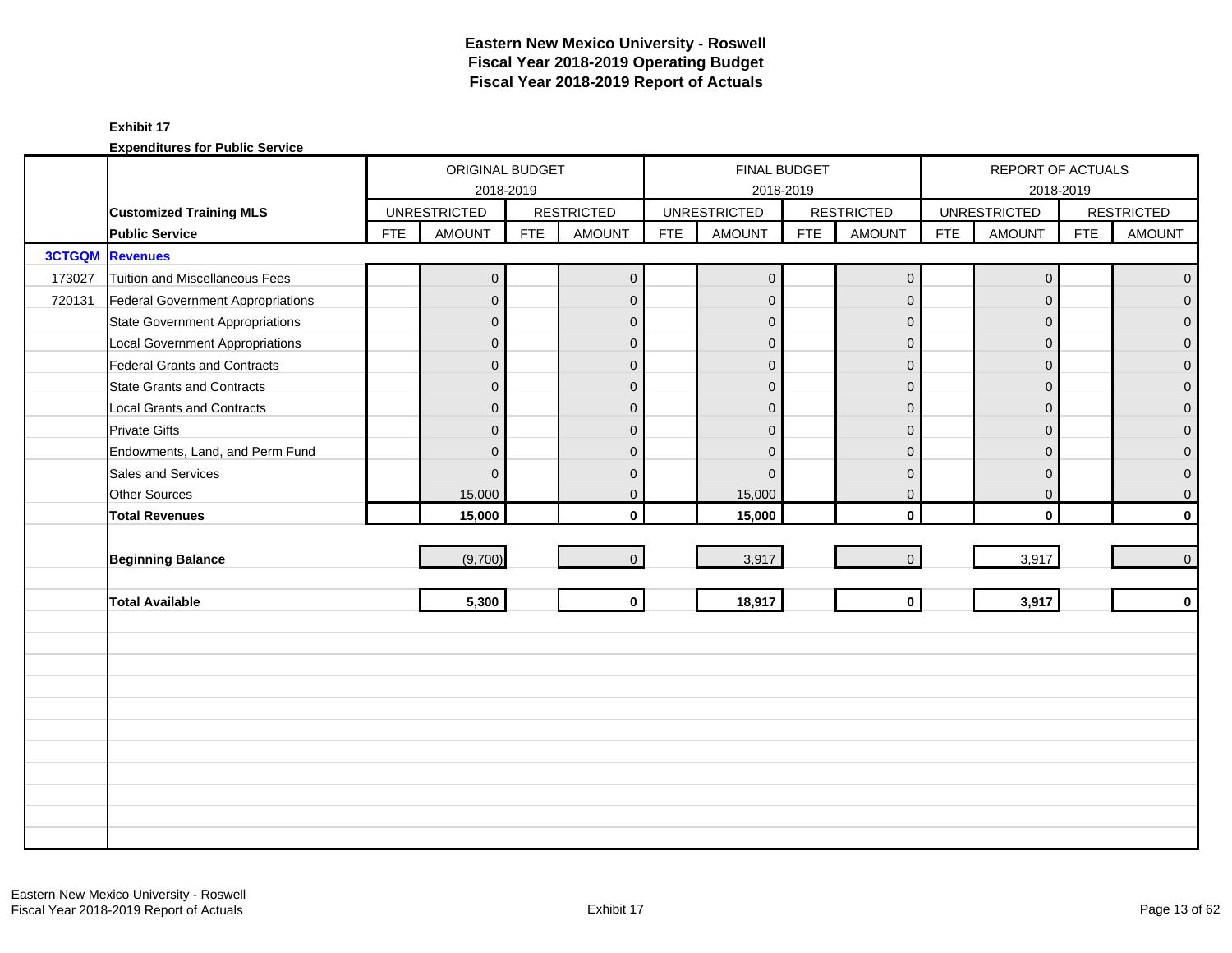|        |                                          |            | ORIGINAL BUDGET     |            |                   |            | FINAL BUDGET        |            |                   |            | REPORT OF ACTUALS   |            |                     |
|--------|------------------------------------------|------------|---------------------|------------|-------------------|------------|---------------------|------------|-------------------|------------|---------------------|------------|---------------------|
|        |                                          |            | 2018-2019           |            |                   |            |                     | 2018-2019  |                   |            |                     | 2018-2019  |                     |
|        | <b>Customized Training MLS</b>           |            | <b>UNRESTRICTED</b> |            | <b>RESTRICTED</b> |            | <b>UNRESTRICTED</b> |            | <b>RESTRICTED</b> |            | <b>UNRESTRICTED</b> |            | <b>RESTRICTED</b>   |
|        | <b>Public Service</b>                    | <b>FTE</b> | <b>AMOUNT</b>       | <b>FTE</b> | <b>AMOUNT</b>     | <b>FTE</b> | <b>AMOUNT</b>       | <b>FTE</b> | <b>AMOUNT</b>     | <b>FTE</b> | <b>AMOUNT</b>       | <b>FTE</b> | <b>AMOUNT</b>       |
|        | <b>3CTGQM Revenues</b>                   |            |                     |            |                   |            |                     |            |                   |            |                     |            |                     |
| 173027 | Tuition and Miscellaneous Fees           |            | $\mathbf 0$         |            | $\mathbf 0$       |            | $\mathbf 0$         |            | $\mathbf 0$       |            | $\mathbf 0$         |            | $\mathbf{0}$        |
| 720131 | <b>Federal Government Appropriations</b> |            | $\overline{0}$      |            | $\mathbf 0$       |            | $\mathbf 0$         |            | $\mathbf 0$       |            | $\mathbf{0}$        |            | $\overline{0}$      |
|        | <b>State Government Appropriations</b>   |            | $\overline{0}$      |            | $\Omega$          |            | $\Omega$            |            | $\mathbf{0}$      |            | $\Omega$            |            | $\mathbf 0$         |
|        | <b>Local Government Appropriations</b>   |            | $\overline{0}$      |            | $\mathbf{0}$      |            | $\Omega$            |            | $\mathbf 0$       |            | $\mathbf 0$         |            | $\mathbf 0$         |
|        | Federal Grants and Contracts             |            | $\mathbf 0$         |            | $\mathbf{0}$      |            | $\mathbf{0}$        |            | $\mathbf 0$       |            | $\Omega$            |            | $\overline{0}$      |
|        | <b>State Grants and Contracts</b>        |            | $\overline{0}$      |            | $\Omega$          |            | $\Omega$            |            | $\mathbf{0}$      |            | $\Omega$            |            | $\overline{0}$      |
|        | <b>Local Grants and Contracts</b>        |            | $\overline{0}$      |            | $\mathbf{0}$      |            | $\Omega$            |            | $\mathbf 0$       |            | $\Omega$            |            | $\mathsf{O}\xspace$ |
|        | <b>Private Gifts</b>                     |            | $\overline{0}$      |            | $\mathbf{0}$      |            | $\mathbf{0}$        |            | $\mathbf 0$       |            | $\Omega$            |            | $\mathbf 0$         |
|        | Endowments, Land, and Perm Fund          |            | $\overline{0}$      |            | $\mathbf{0}$      |            | $\Omega$            |            | $\mathbf 0$       |            | $\Omega$            |            | $\mathsf{O}\xspace$ |
|        | Sales and Services                       |            | $\Omega$            |            | $\mathbf{0}$      |            | $\Omega$            |            | $\mathbf 0$       |            | $\Omega$            |            | $\mathbf 0$         |
|        | Other Sources                            |            | 15,000              |            | $\mathbf 0$       |            | 15,000              |            | $\mathbf 0$       |            | $\mathbf 0$         |            | $\mathsf{O}\xspace$ |
|        | <b>Total Revenues</b>                    |            | 15,000              |            | $\mathbf{0}$      |            | 15,000              |            | $\mathbf 0$       |            | $\mathbf{0}$        |            | $\mathbf 0$         |
|        |                                          |            |                     |            |                   |            |                     |            |                   |            |                     |            |                     |
|        | <b>Beginning Balance</b>                 |            | (9,700)             |            | $\mathbf{0}$      |            | 3,917               |            | $\mathbf 0$       |            | 3,917               |            | $\overline{0}$      |
|        |                                          |            |                     |            |                   |            |                     |            |                   |            |                     |            |                     |
|        | <b>Total Available</b>                   |            | 5,300               |            | $\mathbf 0$       |            | 18,917              |            | $\mathbf 0$       |            | 3,917               |            | $\mathbf 0$         |
|        |                                          |            |                     |            |                   |            |                     |            |                   |            |                     |            |                     |
|        |                                          |            |                     |            |                   |            |                     |            |                   |            |                     |            |                     |
|        |                                          |            |                     |            |                   |            |                     |            |                   |            |                     |            |                     |
|        |                                          |            |                     |            |                   |            |                     |            |                   |            |                     |            |                     |
|        |                                          |            |                     |            |                   |            |                     |            |                   |            |                     |            |                     |
|        |                                          |            |                     |            |                   |            |                     |            |                   |            |                     |            |                     |
|        |                                          |            |                     |            |                   |            |                     |            |                   |            |                     |            |                     |
|        |                                          |            |                     |            |                   |            |                     |            |                   |            |                     |            |                     |
|        |                                          |            |                     |            |                   |            |                     |            |                   |            |                     |            |                     |
|        |                                          |            |                     |            |                   |            |                     |            |                   |            |                     |            |                     |
|        |                                          |            |                     |            |                   |            |                     |            |                   |            |                     |            |                     |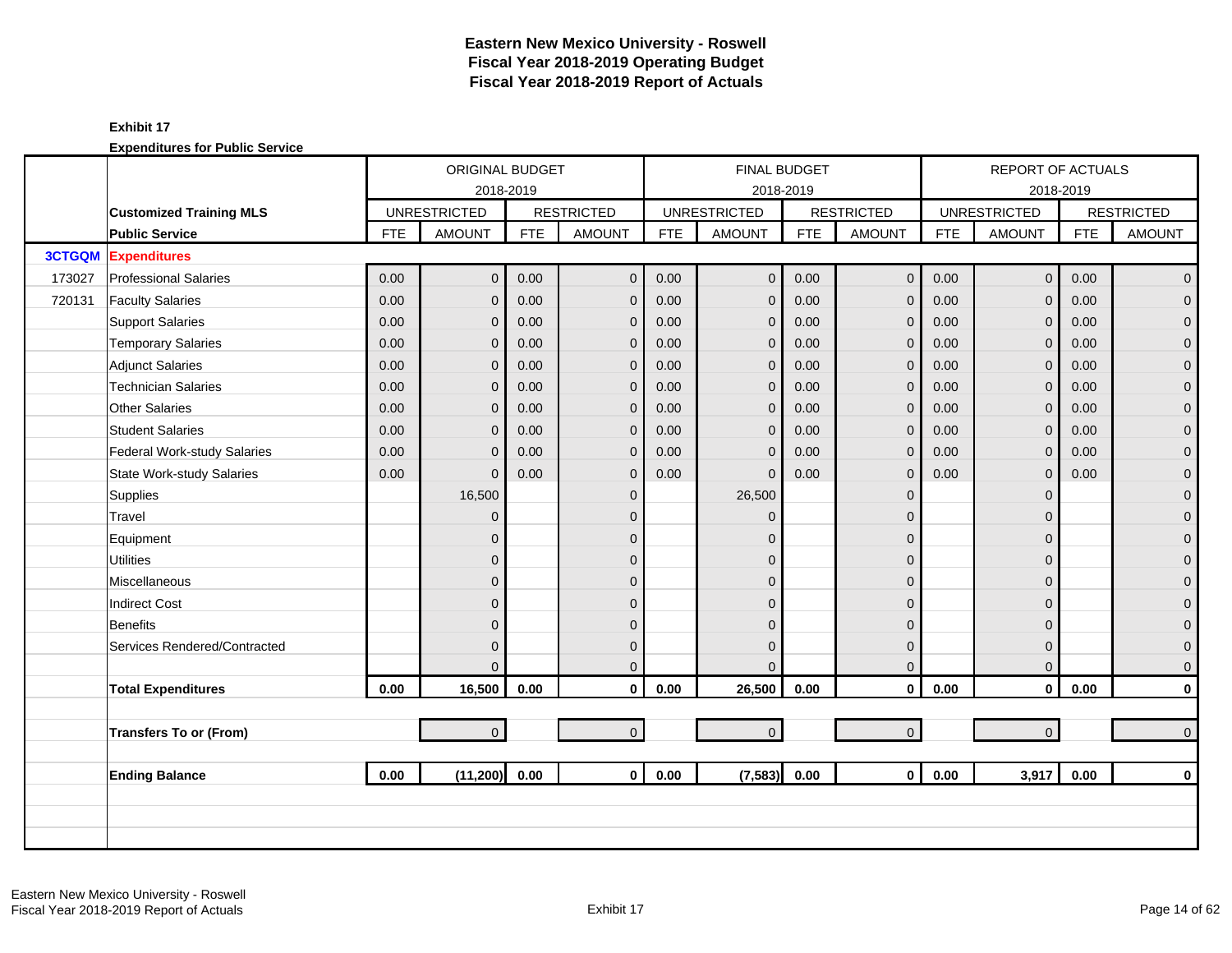|        |                                  |            | ORIGINAL BUDGET     |            |                   |            | <b>FINAL BUDGET</b> |            |                   |            | REPORT OF ACTUALS   |            |                   |
|--------|----------------------------------|------------|---------------------|------------|-------------------|------------|---------------------|------------|-------------------|------------|---------------------|------------|-------------------|
|        |                                  |            | 2018-2019           |            |                   |            | 2018-2019           |            |                   |            |                     | 2018-2019  |                   |
|        | <b>Customized Training MLS</b>   |            | <b>UNRESTRICTED</b> |            | <b>RESTRICTED</b> |            | <b>UNRESTRICTED</b> |            | <b>RESTRICTED</b> |            | <b>UNRESTRICTED</b> |            | <b>RESTRICTED</b> |
|        | <b>Public Service</b>            | <b>FTE</b> | <b>AMOUNT</b>       | <b>FTE</b> | <b>AMOUNT</b>     | <b>FTE</b> | <b>AMOUNT</b>       | <b>FTE</b> | <b>AMOUNT</b>     | <b>FTE</b> | <b>AMOUNT</b>       | <b>FTE</b> | <b>AMOUNT</b>     |
|        | <b>3CTGQM</b> Expenditures       |            |                     |            |                   |            |                     |            |                   |            |                     |            |                   |
| 173027 | <b>Professional Salaries</b>     | 0.00       | $\overline{0}$      | 0.00       | $\mathbf{0}$      | 0.00       | $\overline{0}$      | 0.00       | $\mathbf{0}$      | 0.00       | $\overline{0}$      | 0.00       | $\overline{0}$    |
| 720131 | <b>Faculty Salaries</b>          | 0.00       | $\overline{0}$      | 0.00       | $\mathbf{0}$      | 0.00       | $\overline{0}$      | 0.00       | $\mathbf 0$       | 0.00       | $\mathbf{0}$        | 0.00       | $\overline{0}$    |
|        | <b>Support Salaries</b>          | 0.00       | $\mathbf 0$         | 0.00       | $\mathbf 0$       | 0.00       | $\mathbf{0}$        | 0.00       | $\mathbf{0}$      | 0.00       | $\mathbf 0$         | 0.00       | $\overline{0}$    |
|        | <b>Temporary Salaries</b>        | 0.00       | $\mathbf{0}$        | 0.00       | $\mathbf{0}$      | 0.00       | $\mathbf{0}$        | 0.00       | $\mathbf 0$       | 0.00       | $\mathbf 0$         | 0.00       | 0                 |
|        | <b>Adjunct Salaries</b>          | 0.00       | $\mathbf{0}$        | 0.00       | $\mathbf{0}$      | 0.00       | $\mathbf 0$         | 0.00       | $\mathbf 0$       | 0.00       | $\mathbf{0}$        | 0.00       | $\mathbf 0$       |
|        | <b>Technician Salaries</b>       | 0.00       | $\mathbf{0}$        | 0.00       | $\mathbf{0}$      | 0.00       | $\mathbf{0}$        | 0.00       | $\mathbf{0}$      | 0.00       | $\mathbf{0}$        | 0.00       | $\mathbf{0}$      |
|        | <b>Other Salaries</b>            | 0.00       | 0                   | 0.00       | $\mathbf{0}$      | 0.00       | $\mathbf{0}$        | 0.00       | $\mathbf{0}$      | 0.00       | $\overline{0}$      | 0.00       | $\mathbf 0$       |
|        | <b>Student Salaries</b>          | 0.00       | 0                   | 0.00       | $\mathbf{0}$      | 0.00       | $\mathbf{0}$        | 0.00       | $\mathbf{0}$      | 0.00       | $\Omega$            | 0.00       | $\overline{0}$    |
|        | Federal Work-study Salaries      | 0.00       | $\mathbf{0}$        | 0.00       | $\mathbf 0$       | 0.00       | $\mathbf{0}$        | 0.00       | $\mathbf{0}$      | 0.00       | $\mathbf 0$         | 0.00       | $\mathbf 0$       |
|        | <b>State Work-study Salaries</b> | 0.00       | $\mathbf{0}$        | 0.00       | $\mathbf{0}$      | 0.00       | $\mathbf{0}$        | 0.00       | $\mathbf 0$       | 0.00       | $\mathbf 0$         | 0.00       | 0                 |
|        | Supplies                         |            | 16,500              |            | $\mathbf{0}$      |            | 26,500              |            | $\mathbf 0$       |            | $\mathbf{0}$        |            | 0                 |
|        | Travel                           |            | $\Omega$            |            | $\Omega$          |            | $\Omega$            |            | $\Omega$          |            | $\Omega$            |            | 0                 |
|        | Equipment                        |            | 0                   |            | $\Omega$          |            | $\Omega$            |            | $\mathbf{0}$      |            | $\Omega$            |            | $\mathbf 0$       |
|        | <b>Utilities</b>                 |            | $\overline{0}$      |            | $\Omega$          |            | $\Omega$            |            | $\mathbf 0$       |            | $\Omega$            |            | $\mathbf 0$       |
|        | Miscellaneous                    |            | 0                   |            | $\mathbf{0}$      |            | $\Omega$            |            | $\mathbf{0}$      |            | $\mathbf{0}$        |            | 0                 |
|        | <b>Indirect Cost</b>             |            | 0                   |            | $\mathbf{0}$      |            | $\Omega$            |            | $\mathbf{0}$      |            | $\mathbf 0$         |            | $\mathbf 0$       |
|        | <b>Benefits</b>                  |            | $\overline{0}$      |            | $\Omega$          |            | $\Omega$            |            | $\mathbf{0}$      |            | $\Omega$            |            | $\overline{0}$    |
|        | Services Rendered/Contracted     |            | 0                   |            | $\Omega$          |            | $\Omega$            |            | $\mathbf{0}$      |            | $\mathbf 0$         |            | $\overline{0}$    |
|        |                                  |            | $\Omega$            |            | $\Omega$          |            | $\Omega$            |            | $\mathbf{0}$      |            | $\Omega$            |            | $\mathbf 0$       |
|        | <b>Total Expenditures</b>        | 0.00       | 16,500              | 0.00       | $\mathbf 0$       | 0.00       | 26,500              | 0.00       | $\mathbf 0$       | 0.00       | $\mathbf 0$         | 0.00       | $\mathbf 0$       |
|        |                                  |            |                     |            |                   |            |                     |            |                   |            |                     |            |                   |
|        | <b>Transfers To or (From)</b>    |            | $\overline{0}$      |            | $\Omega$          |            | $\mathbf 0$         |            | $\mathbf{0}$      |            | $\overline{0}$      |            | $\mathbf 0$       |
|        |                                  |            |                     |            |                   |            |                     |            |                   |            |                     |            |                   |
|        | <b>Ending Balance</b>            | 0.00       | (11, 200)           | 0.00       | $\mathbf{0}$      | 0.00       | (7, 583)            | 0.00       | $\mathbf{0}$      | 0.00       | 3,917               | 0.00       | $\bf{0}$          |
|        |                                  |            |                     |            |                   |            |                     |            |                   |            |                     |            |                   |
|        |                                  |            |                     |            |                   |            |                     |            |                   |            |                     |            |                   |
|        |                                  |            |                     |            |                   |            |                     |            |                   |            |                     |            |                   |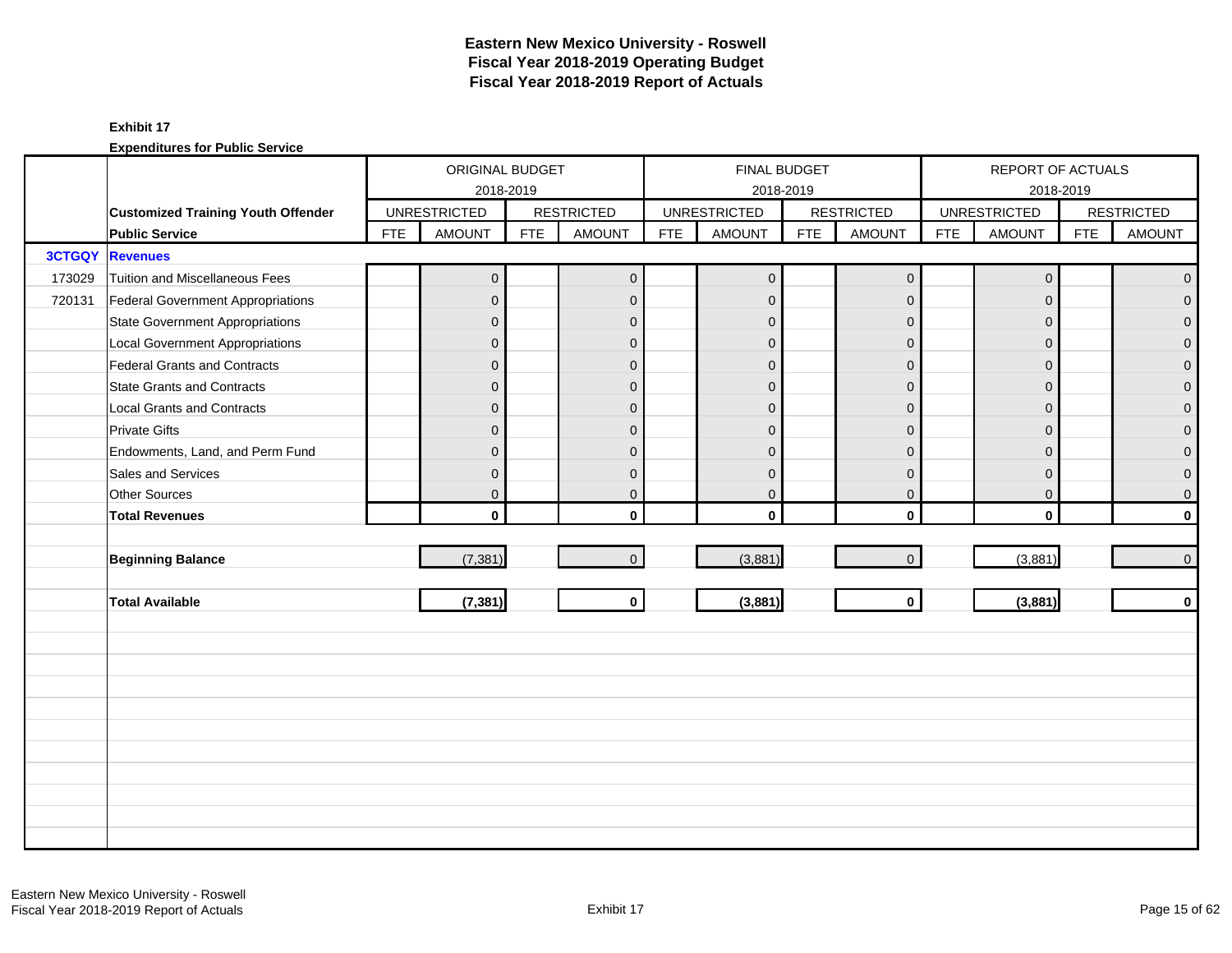# **Eastern New Mexico University - Roswell Fiscal Year 2018-2019 Operating Budget Fiscal Year 2018-2019 Report of Actuals**

### **Exhibit 17**

|               |                                           |            | ORIGINAL BUDGET     |            |                   |            | FINAL BUDGET        |            |                   |            | REPORT OF ACTUALS   |            |                   |
|---------------|-------------------------------------------|------------|---------------------|------------|-------------------|------------|---------------------|------------|-------------------|------------|---------------------|------------|-------------------|
|               |                                           |            | 2018-2019           |            |                   |            | 2018-2019           |            |                   |            | 2018-2019           |            |                   |
|               | <b>Customized Training Youth Offender</b> |            | <b>UNRESTRICTED</b> |            | <b>RESTRICTED</b> |            | <b>UNRESTRICTED</b> |            | <b>RESTRICTED</b> |            | <b>UNRESTRICTED</b> |            | <b>RESTRICTED</b> |
|               | <b>Public Service</b>                     | <b>FTE</b> | <b>AMOUNT</b>       | <b>FTE</b> | <b>AMOUNT</b>     | <b>FTE</b> | <b>AMOUNT</b>       | <b>FTE</b> | <b>AMOUNT</b>     | <b>FTE</b> | <b>AMOUNT</b>       | <b>FTE</b> | <b>AMOUNT</b>     |
| <b>3CTGQY</b> | <b>Revenues</b>                           |            |                     |            |                   |            |                     |            |                   |            |                     |            |                   |
| 173029        | <b>Tuition and Miscellaneous Fees</b>     |            | $\mathbf 0$         |            | $\mathbf{0}$      |            | $\mathbf 0$         |            | $\mathbf 0$       |            | $\mathbf 0$         |            | $\mathbf{0}$      |
| 720131        | Federal Government Appropriations         |            | $\overline{0}$      |            | $\mathbf{0}$      |            | $\mathbf{0}$        |            | $\mathbf{0}$      |            | $\mathbf{0}$        |            | $\overline{0}$    |
|               | <b>State Government Appropriations</b>    |            | $\overline{0}$      |            | $\mathbf 0$       |            | $\Omega$            |            | $\mathbf 0$       |            | $\mathbf{0}$        |            | $\overline{0}$    |
|               | <b>Local Government Appropriations</b>    |            | $\mathbf 0$         |            | $\mathbf{0}$      |            | $\Omega$            |            | $\mathbf{0}$      |            | $\Omega$            |            | $\mathbf 0$       |
|               | <b>Federal Grants and Contracts</b>       |            | $\mathbf 0$         |            | $\mathbf{0}$      |            | $\mathbf 0$         |            | $\overline{0}$    |            | $\Omega$            |            | $\overline{0}$    |
|               | <b>State Grants and Contracts</b>         |            | $\overline{0}$      |            | $\mathbf{0}$      |            | $\Omega$            |            | $\mathbf{0}$      |            | $\overline{0}$      |            | 0                 |
|               | <b>Local Grants and Contracts</b>         |            | $\overline{0}$      |            | $\mathbf 0$       |            | $\mathbf{0}$        |            | $\mathbf{0}$      |            | $\overline{0}$      |            | 0                 |
|               | <b>Private Gifts</b>                      |            | $\overline{0}$      |            | $\mathbf{0}$      |            | $\Omega$            |            | $\mathbf{0}$      |            | $\Omega$            |            | $\overline{0}$    |
|               | Endowments, Land, and Perm Fund           |            | $\overline{0}$      |            | $\mathbf{0}$      |            | $\Omega$            |            | $\mathbf{0}$      |            | $\mathbf{0}$        |            | 0                 |
|               | Sales and Services                        |            | $\overline{0}$      |            | $\mathbf{0}$      |            | $\mathbf{0}$        |            | $\mathbf 0$       |            | $\overline{0}$      |            | 0                 |
|               | Other Sources                             |            | $\overline{0}$      |            | $\mathbf 0$       |            | $\mathbf 0$         |            | $\mathbf 0$       |            | $\mathbf 0$         |            | 0                 |
|               | <b>Total Revenues</b>                     |            | $\mathbf 0$         |            | $\mathbf{0}$      |            | $\mathbf{0}$        |            | $\mathbf 0$       |            | $\mathbf{0}$        |            | $\mathbf{0}$      |
|               |                                           |            |                     |            |                   |            |                     |            |                   |            |                     |            |                   |
|               | <b>Beginning Balance</b>                  |            | (7, 381)            |            | $\mathbf{0}$      |            | (3,881)             |            | $\mathbf 0$       |            | (3,881)             |            | $\pmb{0}$         |
|               |                                           |            |                     |            |                   |            |                     |            |                   |            |                     |            |                   |
|               | <b>Total Available</b>                    |            | (7, 381)            |            | $\mathbf 0$       |            | (3,881)             |            | $\mathbf 0$       |            | (3,881)             |            | $\mathbf 0$       |
|               |                                           |            |                     |            |                   |            |                     |            |                   |            |                     |            |                   |
|               |                                           |            |                     |            |                   |            |                     |            |                   |            |                     |            |                   |
|               |                                           |            |                     |            |                   |            |                     |            |                   |            |                     |            |                   |
|               |                                           |            |                     |            |                   |            |                     |            |                   |            |                     |            |                   |
|               |                                           |            |                     |            |                   |            |                     |            |                   |            |                     |            |                   |
|               |                                           |            |                     |            |                   |            |                     |            |                   |            |                     |            |                   |
|               |                                           |            |                     |            |                   |            |                     |            |                   |            |                     |            |                   |
|               |                                           |            |                     |            |                   |            |                     |            |                   |            |                     |            |                   |
|               |                                           |            |                     |            |                   |            |                     |            |                   |            |                     |            |                   |
|               |                                           |            |                     |            |                   |            |                     |            |                   |            |                     |            |                   |
|               |                                           |            |                     |            |                   |            |                     |            |                   |            |                     |            |                   |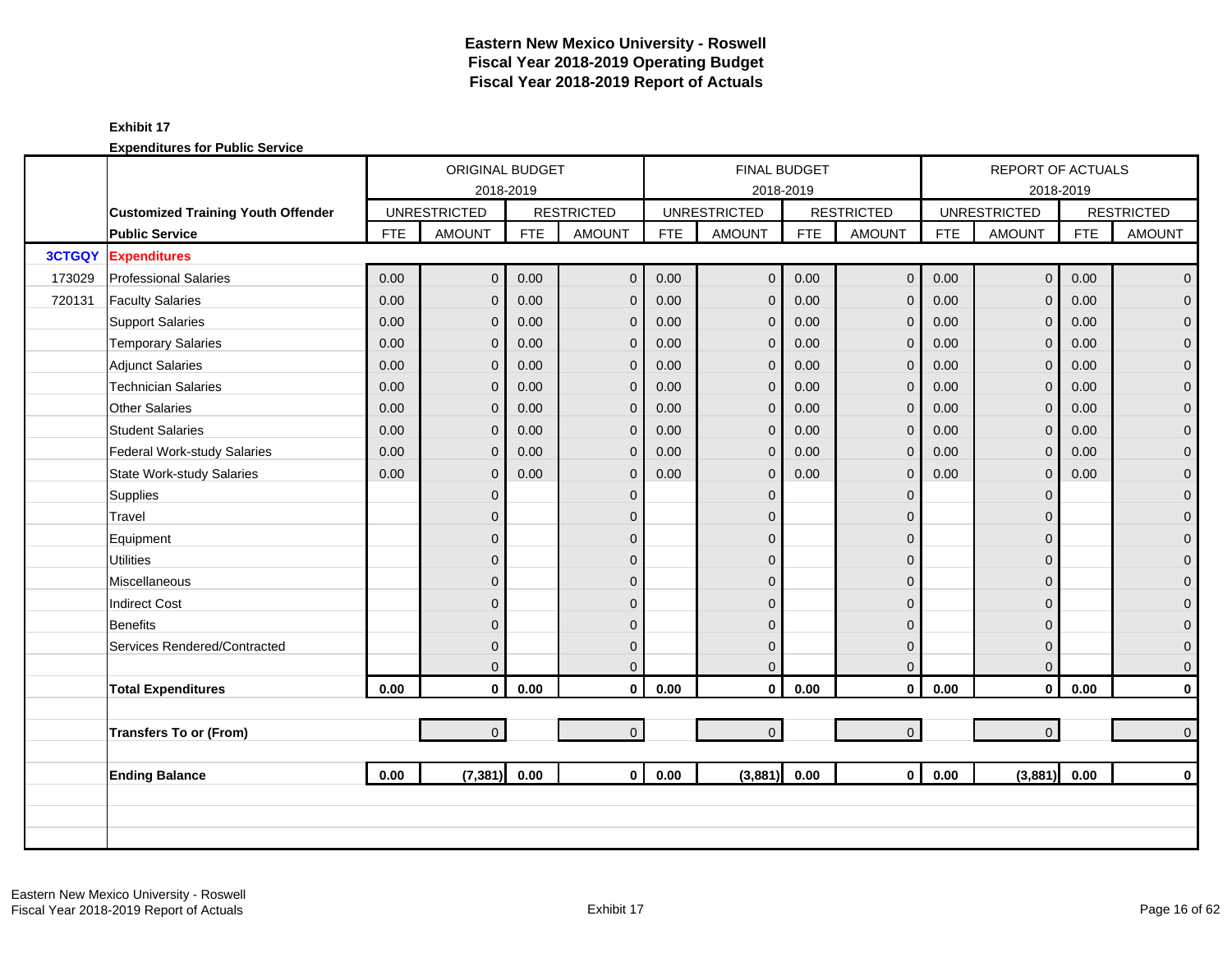# **Eastern New Mexico University - Roswell Fiscal Year 2018-2019 Operating Budget Fiscal Year 2018-2019 Report of Actuals**

### **Exhibit 17**

|               |                                           |            | <b>ORIGINAL BUDGET</b> |            |                   |            | <b>FINAL BUDGET</b> |            |                   |            | <b>REPORT OF ACTUALS</b> |            |                   |
|---------------|-------------------------------------------|------------|------------------------|------------|-------------------|------------|---------------------|------------|-------------------|------------|--------------------------|------------|-------------------|
|               |                                           |            | 2018-2019              |            |                   |            | 2018-2019           |            |                   |            |                          | 2018-2019  |                   |
|               | <b>Customized Training Youth Offender</b> |            | <b>UNRESTRICTED</b>    |            | <b>RESTRICTED</b> |            | <b>UNRESTRICTED</b> |            | <b>RESTRICTED</b> |            | <b>UNRESTRICTED</b>      |            | <b>RESTRICTED</b> |
|               | <b>Public Service</b>                     | <b>FTE</b> | <b>AMOUNT</b>          | <b>FTE</b> | <b>AMOUNT</b>     | <b>FTE</b> | <b>AMOUNT</b>       | <b>FTE</b> | <b>AMOUNT</b>     | <b>FTE</b> | <b>AMOUNT</b>            | <b>FTE</b> | <b>AMOUNT</b>     |
| <b>3CTGQY</b> | <b>Expenditures</b>                       |            |                        |            |                   |            |                     |            |                   |            |                          |            |                   |
| 173029        | <b>Professional Salaries</b>              | 0.00       | $\overline{0}$         | 0.00       | $\mathbf 0$       | 0.00       | $\mathbf 0$         | 0.00       | $\mathbf 0$       | 0.00       | $\mathbf 0$              | 0.00       | $\overline{0}$    |
| 720131        | <b>Faculty Salaries</b>                   | 0.00       | $\mathbf{0}$           | 0.00       | $\mathbf 0$       | 0.00       | $\mathbf 0$         | 0.00       | $\mathbf{0}$      | 0.00       | $\mathbf{0}$             | 0.00       | $\overline{0}$    |
|               | <b>Support Salaries</b>                   | 0.00       | $\overline{0}$         | 0.00       | $\mathbf{0}$      | 0.00       | $\mathbf 0$         | 0.00       | $\mathbf 0$       | 0.00       | $\mathbf{0}$             | 0.00       | $\overline{0}$    |
|               | <b>Temporary Salaries</b>                 | 0.00       | $\overline{0}$         | 0.00       | $\mathbf{0}$      | 0.00       | $\mathbf 0$         | 0.00       | $\mathbf{0}$      | 0.00       | $\mathbf{0}$             | 0.00       | $\mathbf{O}$      |
|               | <b>Adjunct Salaries</b>                   | 0.00       | $\overline{0}$         | 0.00       | $\mathbf{0}$      | 0.00       | $\mathbf{0}$        | 0.00       | $\mathbf 0$       | 0.00       | $\Omega$                 | 0.00       | $\overline{0}$    |
|               | <b>Technician Salaries</b>                | 0.00       | $\overline{0}$         | 0.00       | $\mathbf{0}$      | 0.00       | $\mathbf 0$         | 0.00       | $\mathbf{0}$      | 0.00       | $\Omega$                 | 0.00       | $\overline{0}$    |
|               | <b>Other Salaries</b>                     | 0.00       | $\overline{0}$         | 0.00       | $\mathbf{0}$      | 0.00       | $\mathbf 0$         | 0.00       | $\mathbf{0}$      | 0.00       | $\Omega$                 | 0.00       | $\mathbf{O}$      |
|               | <b>Student Salaries</b>                   | 0.00       | $\overline{0}$         | 0.00       | $\mathbf{0}$      | 0.00       | $\mathbf{0}$        | 0.00       | $\mathbf 0$       | 0.00       | $\Omega$                 | 0.00       | $\overline{0}$    |
|               | Federal Work-study Salaries               | 0.00       | 0                      | 0.00       | $\mathbf 0$       | 0.00       | $\mathbf 0$         | 0.00       | $\mathbf 0$       | 0.00       | $\mathbf{0}$             | 0.00       | $\mathbf{O}$      |
|               | <b>State Work-study Salaries</b>          | 0.00       | $\overline{0}$         | 0.00       | $\mathbf{0}$      | 0.00       | $\mathbf{0}$        | 0.00       | $\mathbf{0}$      | 0.00       | $\mathbf{0}$             | 0.00       | $\mathbf{O}$      |
|               | Supplies                                  |            | $\overline{0}$         |            | $\mathbf{0}$      |            | $\Omega$            |            | $\mathbf{0}$      |            | $\Omega$                 |            | $\mathbf{O}$      |
|               | Travel                                    |            | $\overline{0}$         |            | $\Omega$          |            | $\Omega$            |            | $\mathbf 0$       |            | $\Omega$                 |            | $\mathbf{O}$      |
|               | Equipment                                 |            | $\overline{0}$         |            | $\Omega$          |            | $\Omega$            |            | $\mathbf 0$       |            | $\Omega$                 |            | $\mathbf 0$       |
|               | <b>Utilities</b>                          |            | $\overline{0}$         |            | $\Omega$          |            | $\Omega$            |            | $\mathbf 0$       |            | $\Omega$                 |            | $\mathbf{O}$      |
|               | Miscellaneous                             |            | $\overline{0}$         |            | $\mathbf{0}$      |            | $\Omega$            |            | $\mathbf{0}$      |            | $\Omega$                 |            | $\mathbf{O}$      |
|               | <b>Indirect Cost</b>                      |            | $\mathbf 0$            |            | $\mathbf{0}$      |            | $\Omega$            |            | $\mathbf 0$       |            | $\Omega$                 |            | $\mathbf 0$       |
|               | <b>Benefits</b>                           |            | $\overline{0}$         |            | $\Omega$          |            | $\Omega$            |            | $\mathbf{0}$      |            | $\Omega$                 |            | $\overline{0}$    |
|               | Services Rendered/Contracted              |            | $\overline{0}$         |            | $\mathbf{0}$      |            | $\mathbf{0}$        |            | $\mathbf{0}$      |            | $\Omega$                 |            | $\mathbf{0}$      |
|               |                                           |            | $\overline{0}$         |            | $\mathbf{0}$      |            | $\Omega$            |            | $\mathbf{0}$      |            | 0                        |            | $\overline{0}$    |
|               | <b>Total Expenditures</b>                 | 0.00       | $\mathbf{0}$           | 0.00       | $\mathbf 0$       | 0.00       | $\mathbf 0$         | 0.00       | $\pmb{0}$         | 0.00       | $\mathbf 0$              | 0.00       | $\mathbf{0}$      |
|               |                                           |            |                        |            |                   |            |                     |            |                   |            |                          |            |                   |
|               | <b>Transfers To or (From)</b>             |            | $\overline{0}$         |            | $\overline{0}$    |            | $\overline{0}$      |            | $\mathbf{O}$      |            | $\overline{0}$           |            | $\overline{0}$    |
|               |                                           |            |                        |            |                   |            |                     |            |                   |            |                          |            |                   |
|               | <b>Ending Balance</b>                     | 0.00       | (7, 381)               | 0.00       | $\mathbf{0}$      | 0.00       | (3,881)             | 0.00       | $\mathbf{0}$      | 0.00       | (3,881)                  | 0.00       | $\mathbf{0}$      |
|               |                                           |            |                        |            |                   |            |                     |            |                   |            |                          |            |                   |
|               |                                           |            |                        |            |                   |            |                     |            |                   |            |                          |            |                   |
|               |                                           |            |                        |            |                   |            |                     |            |                   |            |                          |            |                   |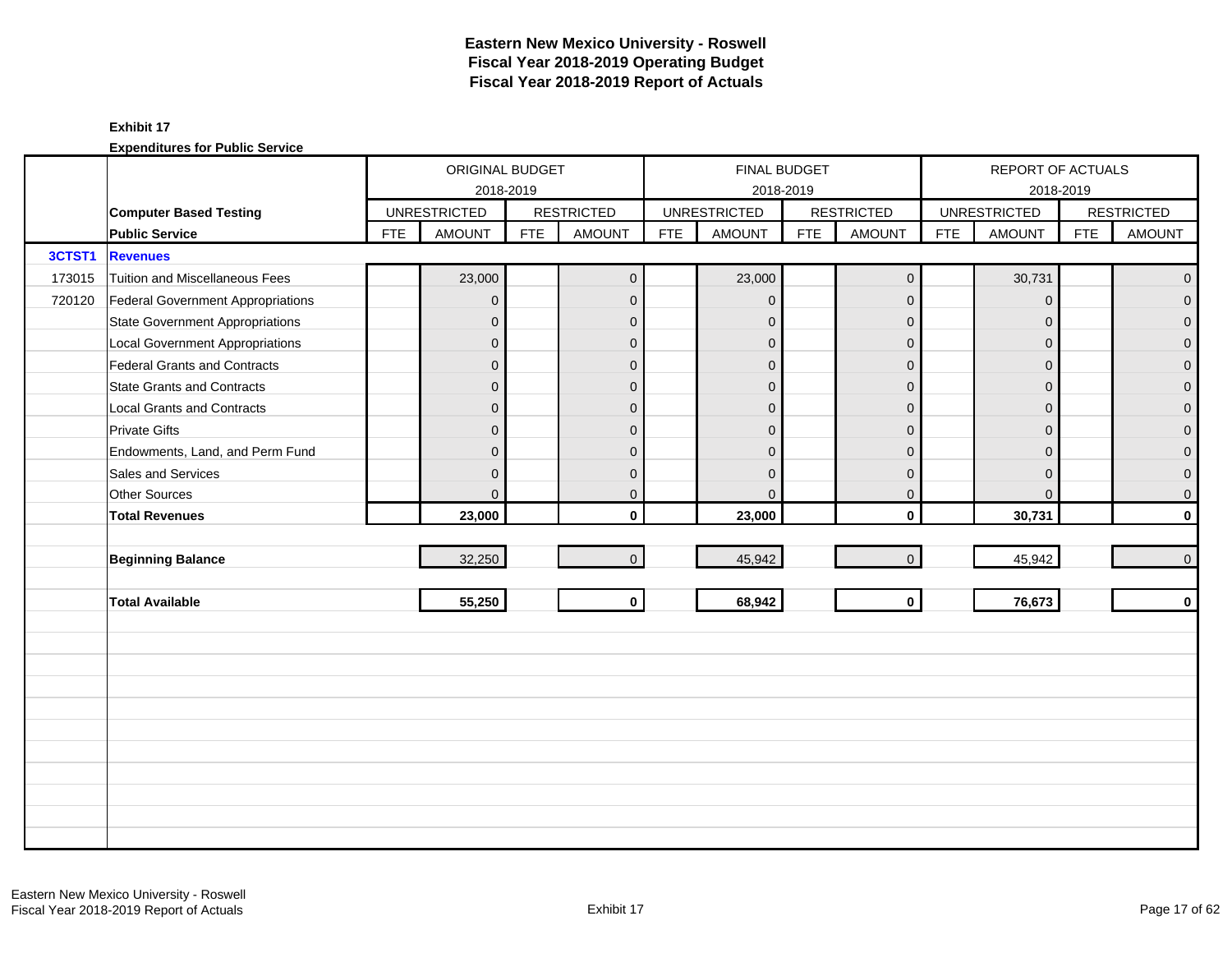|        |                                        |            | ORIGINAL BUDGET     |            |                   |            |                     | FINAL BUDGET |                   |            | REPORT OF ACTUALS   |            |                   |
|--------|----------------------------------------|------------|---------------------|------------|-------------------|------------|---------------------|--------------|-------------------|------------|---------------------|------------|-------------------|
|        |                                        |            | 2018-2019           |            |                   |            |                     | 2018-2019    |                   |            | 2018-2019           |            |                   |
|        | <b>Computer Based Testing</b>          |            | <b>UNRESTRICTED</b> |            | <b>RESTRICTED</b> |            | <b>UNRESTRICTED</b> |              | <b>RESTRICTED</b> |            | <b>UNRESTRICTED</b> |            | <b>RESTRICTED</b> |
|        | <b>Public Service</b>                  | <b>FTE</b> | <b>AMOUNT</b>       | <b>FTE</b> | <b>AMOUNT</b>     | <b>FTE</b> | <b>AMOUNT</b>       | <b>FTE</b>   | <b>AMOUNT</b>     | <b>FTE</b> | <b>AMOUNT</b>       | <b>FTE</b> | <b>AMOUNT</b>     |
| 3CTST1 | <b>Revenues</b>                        |            |                     |            |                   |            |                     |              |                   |            |                     |            |                   |
| 173015 | Tuition and Miscellaneous Fees         |            | 23,000              |            | $\mathbf{0}$      |            | 23,000              |              | $\mathbf 0$       |            | 30,731              |            | $\overline{0}$    |
| 720120 | Federal Government Appropriations      |            | $\overline{0}$      |            | $\mathbf{0}$      |            | $\mathbf{0}$        |              | $\mathbf 0$       |            | $\mathbf 0$         |            | $\overline{0}$    |
|        | <b>State Government Appropriations</b> |            | $\mathbf 0$         |            | $\mathbf{0}$      |            | $\mathbf{0}$        |              | $\mathbf 0$       |            | $\mathbf{0}$        |            | $\overline{0}$    |
|        | <b>Local Government Appropriations</b> |            | $\mathbf 0$         |            | $\mathbf{0}$      |            | $\Omega$            |              | $\mathbf 0$       |            | $\mathbf{0}$        |            | $\mathbf 0$       |
|        | Federal Grants and Contracts           |            | $\mathbf 0$         |            | $\mathbf{0}$      |            | $\mathbf{0}$        |              | $\mathbf{0}$      |            | $\Omega$            |            | $\overline{0}$    |
|        | <b>State Grants and Contracts</b>      |            | $\mathbf{0}$        |            | $\Omega$          |            | $\Omega$            |              | $\mathbf{0}$      |            | $\Omega$            |            | $\mathbf{0}$      |
|        | Local Grants and Contracts             |            | 0                   |            | $\mathbf 0$       |            | $\Omega$            |              | $\mathbf 0$       |            | $\mathbf{0}$        |            | $\mathbf 0$       |
|        | <b>Private Gifts</b>                   |            | $\overline{0}$      |            | $\Omega$          |            | $\Omega$            |              | $\mathbf{0}$      |            | $\Omega$            |            | $\overline{0}$    |
|        | Endowments, Land, and Perm Fund        |            | $\mathbf{0}$        |            | $\Omega$          |            | $\Omega$            |              | $\mathbf{0}$      |            | $\Omega$            |            | $\overline{0}$    |
|        | Sales and Services                     |            | 0                   |            | $\mathbf{0}$      |            | $\mathbf{0}$        |              | $\mathbf 0$       |            | $\mathbf{0}$        |            | 0                 |
|        | <b>Other Sources</b>                   |            | 0                   |            | $\mathbf 0$       |            | $\mathbf{0}$        |              | $\mathbf 0$       |            | $\mathbf{0}$        |            | 0                 |
|        | <b>Total Revenues</b>                  |            | 23,000              |            | $\mathbf{0}$      |            | 23,000              |              | $\mathbf 0$       |            | 30,731              |            | $\mathbf{0}$      |
|        |                                        |            |                     |            |                   |            |                     |              |                   |            |                     |            |                   |
|        | <b>Beginning Balance</b>               |            | 32,250              |            | $\Omega$          |            | 45,942              |              | $\mathbf 0$       |            | 45,942              |            | $\mathbf 0$       |
|        |                                        |            |                     |            |                   |            |                     |              |                   |            |                     |            |                   |
|        | <b>Total Available</b>                 |            | 55,250              |            | $\mathbf 0$       |            | 68,942              |              | $\mathbf 0$       |            | 76,673              |            | $\mathbf 0$       |
|        |                                        |            |                     |            |                   |            |                     |              |                   |            |                     |            |                   |
|        |                                        |            |                     |            |                   |            |                     |              |                   |            |                     |            |                   |
|        |                                        |            |                     |            |                   |            |                     |              |                   |            |                     |            |                   |
|        |                                        |            |                     |            |                   |            |                     |              |                   |            |                     |            |                   |
|        |                                        |            |                     |            |                   |            |                     |              |                   |            |                     |            |                   |
|        |                                        |            |                     |            |                   |            |                     |              |                   |            |                     |            |                   |
|        |                                        |            |                     |            |                   |            |                     |              |                   |            |                     |            |                   |
|        |                                        |            |                     |            |                   |            |                     |              |                   |            |                     |            |                   |
|        |                                        |            |                     |            |                   |            |                     |              |                   |            |                     |            |                   |
|        |                                        |            |                     |            |                   |            |                     |              |                   |            |                     |            |                   |
|        |                                        |            |                     |            |                   |            |                     |              |                   |            |                     |            |                   |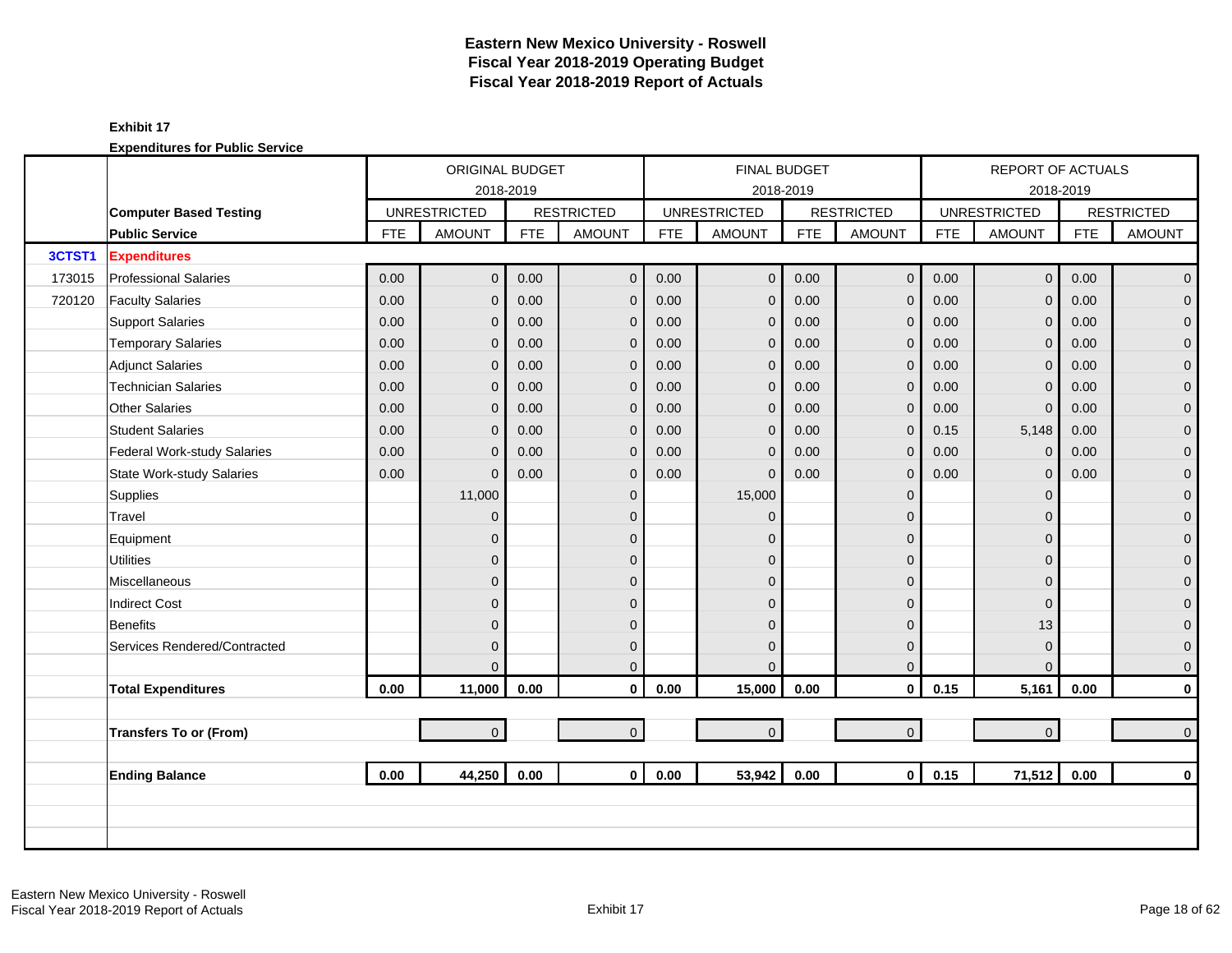|        |                                  |            | ORIGINAL BUDGET     |            |                   |            | <b>FINAL BUDGET</b> |            |                   |            | <b>REPORT OF ACTUALS</b> |            |                   |
|--------|----------------------------------|------------|---------------------|------------|-------------------|------------|---------------------|------------|-------------------|------------|--------------------------|------------|-------------------|
|        |                                  |            | 2018-2019           |            |                   |            | 2018-2019           |            |                   |            |                          | 2018-2019  |                   |
|        | <b>Computer Based Testing</b>    |            | <b>UNRESTRICTED</b> |            | <b>RESTRICTED</b> |            | <b>UNRESTRICTED</b> |            | <b>RESTRICTED</b> |            | <b>UNRESTRICTED</b>      |            | <b>RESTRICTED</b> |
|        | <b>Public Service</b>            | <b>FTE</b> | <b>AMOUNT</b>       | <b>FTE</b> | <b>AMOUNT</b>     | <b>FTE</b> | <b>AMOUNT</b>       | <b>FTE</b> | <b>AMOUNT</b>     | <b>FTE</b> | <b>AMOUNT</b>            | <b>FTE</b> | <b>AMOUNT</b>     |
| 3CTST1 | <b>Expenditures</b>              |            |                     |            |                   |            |                     |            |                   |            |                          |            |                   |
| 173015 | <b>Professional Salaries</b>     | 0.00       | $\overline{0}$      | 0.00       | $\mathbf{0}$      | 0.00       | $\mathbf 0$         | 0.00       | $\mathbf 0$       | 0.00       | $\overline{0}$           | 0.00       | $\overline{0}$    |
| 720120 | <b>Faculty Salaries</b>          | 0.00       | $\overline{0}$      | 0.00       | $\mathbf 0$       | 0.00       | $\overline{0}$      | 0.00       | $\mathbf{0}$      | 0.00       | $\overline{0}$           | 0.00       | $\overline{0}$    |
|        | <b>Support Salaries</b>          | 0.00       | $\mathbf{0}$        | 0.00       | $\mathbf{0}$      | 0.00       | $\mathbf{0}$        | 0.00       | $\mathbf{0}$      | 0.00       | $\overline{0}$           | 0.00       | $\overline{0}$    |
|        | <b>Temporary Salaries</b>        | 0.00       | $\mathbf{0}$        | 0.00       | $\mathbf{0}$      | 0.00       | $\mathbf{0}$        | 0.00       | $\mathbf{0}$      | 0.00       | $\overline{0}$           | 0.00       | $\mathbf 0$       |
|        | <b>Adjunct Salaries</b>          | 0.00       | $\overline{0}$      | 0.00       | $\mathbf{0}$      | 0.00       | $\mathbf{0}$        | 0.00       | $\mathbf 0$       | 0.00       | $\overline{0}$           | 0.00       | $\mathbf 0$       |
|        | Technician Salaries              | 0.00       | 0                   | 0.00       | $\mathbf{0}$      | 0.00       | $\mathbf 0$         | 0.00       | $\mathbf{0}$      | 0.00       | $\mathbf 0$              | 0.00       | $\mathbf 0$       |
|        | <b>Other Salaries</b>            | 0.00       | $\Omega$            | 0.00       | $\mathbf{0}$      | 0.00       | $\mathbf{0}$        | 0.00       | $\mathbf 0$       | 0.00       | $\mathbf 0$              | 0.00       | 0                 |
|        | <b>Student Salaries</b>          | 0.00       | $\overline{0}$      | 0.00       | $\mathbf{0}$      | 0.00       | $\mathbf{0}$        | 0.00       | $\mathbf{0}$      | 0.15       | 5,148                    | 0.00       | $\overline{0}$    |
|        | Federal Work-study Salaries      | 0.00       | $\mathbf{0}$        | 0.00       | $\mathbf{0}$      | 0.00       | $\mathbf{0}$        | 0.00       | $\mathbf{0}$      | 0.00       | $\mathbf 0$              | 0.00       | $\boldsymbol{0}$  |
|        | <b>State Work-study Salaries</b> | 0.00       | $\Omega$            | 0.00       | $\mathbf{0}$      | 0.00       | $\Omega$            | 0.00       | $\mathbf 0$       | 0.00       | $\mathbf 0$              | 0.00       | 0                 |
|        | Supplies                         |            | 11,000              |            | $\mathbf{0}$      |            | 15,000              |            | $\mathbf 0$       |            | $\Omega$                 |            | $\mathbf 0$       |
|        | Travel                           |            | 0                   |            | $\Omega$          |            | $\Omega$            |            | $\mathbf{0}$      |            | $\Omega$                 |            | $\mathbf{0}$      |
|        | Equipment                        |            | 0                   |            | $\mathbf{0}$      |            | $\Omega$            |            | $\mathbf 0$       |            | $\mathbf 0$              |            | $\mathbf 0$       |
|        | <b>Utilities</b>                 |            | 0                   |            | $\mathbf{0}$      |            | $\mathbf{0}$        |            | $\mathbf 0$       |            | $\mathbf{0}$             |            | $\mathbf 0$       |
|        | <b>Miscellaneous</b>             |            | 0                   |            | $\Omega$          |            | $\Omega$            |            | $\Omega$          |            | $\Omega$                 |            | 0                 |
|        | <b>Indirect Cost</b>             |            | 0                   |            | $\Omega$          |            | $\Omega$            |            | $\mathbf{0}$      |            | $\Omega$                 |            | $\mathbf{0}$      |
|        | <b>Benefits</b>                  |            | 0                   |            | $\Omega$          |            | $\Omega$            |            | $\mathbf{0}$      |            | 13                       |            | 0                 |
|        | Services Rendered/Contracted     |            | 0                   |            | $\mathbf{0}$      |            | $\mathbf{0}$        |            | $\mathbf 0$       |            | $\mathbf{0}$             |            | 0                 |
|        |                                  |            | $\Omega$            |            | $\Omega$          |            | $\Omega$            |            | $\mathbf{0}$      |            | $\Omega$                 |            | 0                 |
|        | <b>Total Expenditures</b>        | 0.00       | 11,000              | 0.00       | $\mathbf 0$       | 0.00       | 15,000              | 0.00       | $\mathbf 0$       | 0.15       | 5,161                    | 0.00       | 0                 |
|        |                                  |            |                     |            |                   |            |                     |            |                   |            |                          |            |                   |
|        | <b>Transfers To or (From)</b>    |            | $\overline{0}$      |            | $\overline{0}$    |            | $\mathbf 0$         |            | $\overline{0}$    |            | $\overline{0}$           |            | $\mathbf{0}$      |
|        |                                  |            |                     |            |                   |            |                     |            |                   |            |                          |            |                   |
|        | <b>Ending Balance</b>            | 0.00       | 44,250              | 0.00       | $\mathbf{0}$      | 0.00       | 53,942              | 0.00       | $\mathbf{0}$      | 0.15       | 71,512                   | 0.00       | $\bf{0}$          |
|        |                                  |            |                     |            |                   |            |                     |            |                   |            |                          |            |                   |
|        |                                  |            |                     |            |                   |            |                     |            |                   |            |                          |            |                   |
|        |                                  |            |                     |            |                   |            |                     |            |                   |            |                          |            |                   |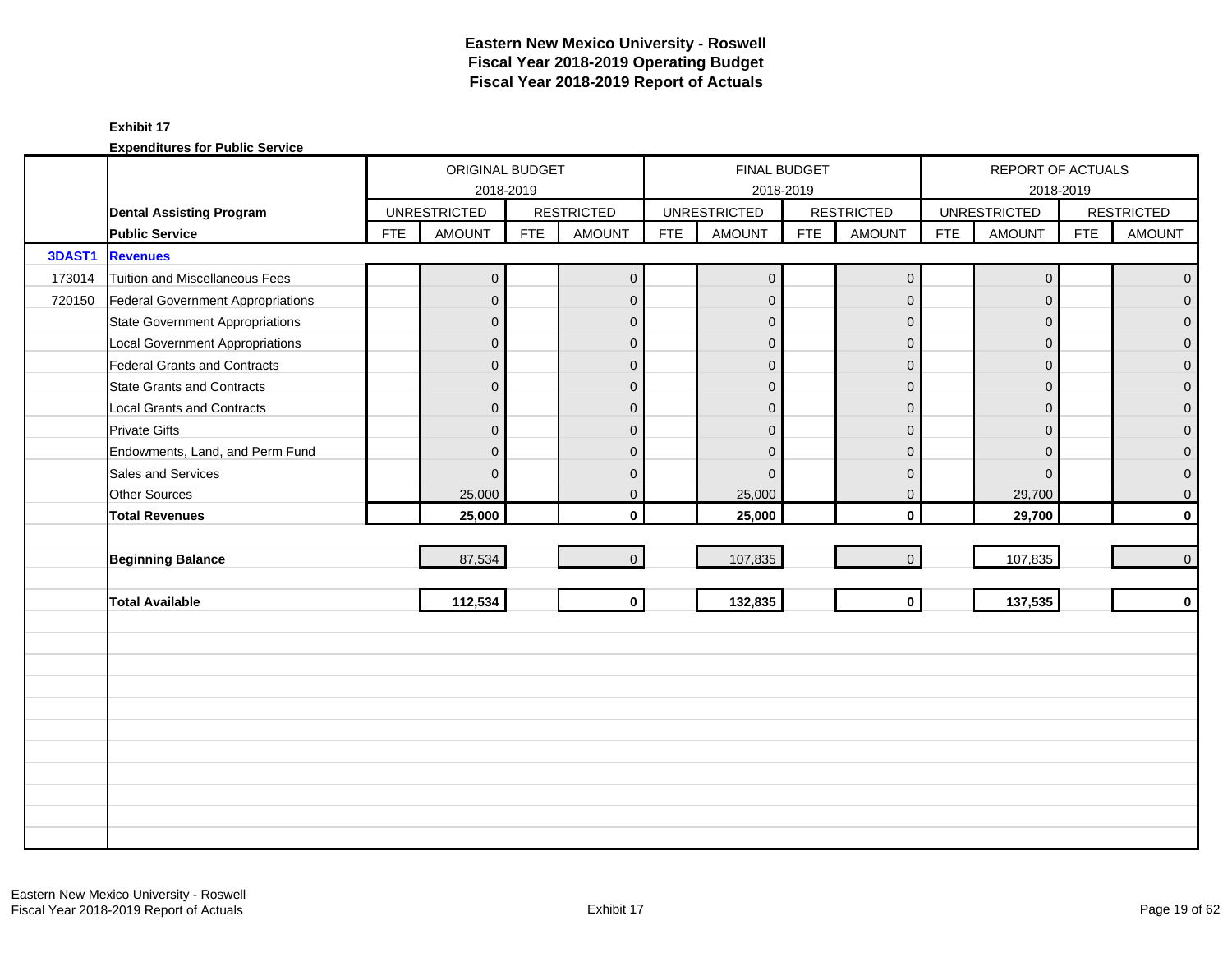|               |                                        |            | ORIGINAL BUDGET     |            |                   |            |                     | <b>FINAL BUDGET</b> |                     |            | REPORT OF ACTUALS   |            |                   |
|---------------|----------------------------------------|------------|---------------------|------------|-------------------|------------|---------------------|---------------------|---------------------|------------|---------------------|------------|-------------------|
|               |                                        |            |                     | 2018-2019  |                   |            |                     | 2018-2019           |                     |            |                     | 2018-2019  |                   |
|               | <b>Dental Assisting Program</b>        |            | <b>UNRESTRICTED</b> |            | <b>RESTRICTED</b> |            | <b>UNRESTRICTED</b> |                     | <b>RESTRICTED</b>   |            | <b>UNRESTRICTED</b> |            | <b>RESTRICTED</b> |
|               | <b>Public Service</b>                  | <b>FTE</b> | <b>AMOUNT</b>       | <b>FTE</b> | <b>AMOUNT</b>     | <b>FTE</b> | <b>AMOUNT</b>       | <b>FTE</b>          | <b>AMOUNT</b>       | <b>FTE</b> | <b>AMOUNT</b>       | <b>FTE</b> | <b>AMOUNT</b>     |
| <b>3DAST1</b> | <b>Revenues</b>                        |            |                     |            |                   |            |                     |                     |                     |            |                     |            |                   |
| 173014        | Tuition and Miscellaneous Fees         |            | 0                   |            | $\mathbf{0}$      |            | $\mathbf 0$         |                     | $\mathbf 0$         |            | 0                   |            | $\overline{0}$    |
| 720150        | Federal Government Appropriations      |            | $\overline{0}$      |            | $\mathbf{0}$      |            | $\mathbf 0$         |                     | $\mathbf 0$         |            | $\mathbf{0}$        |            | $\overline{0}$    |
|               | State Government Appropriations        |            | $\overline{0}$      |            | $\Omega$          |            | $\Omega$            |                     | $\mathbf{0}$        |            | $\Omega$            |            | $\overline{0}$    |
|               | <b>Local Government Appropriations</b> |            | $\overline{0}$      |            | $\mathbf{0}$      |            | $\mathbf 0$         |                     | $\mathbf{0}$        |            | $\Omega$            |            | $\pmb{0}$         |
|               | Federal Grants and Contracts           |            | $\mathbf 0$         |            | $\mathbf{0}$      |            | $\mathbf 0$         |                     | $\mathbf{0}$        |            | $\Omega$            |            | $\overline{0}$    |
|               | <b>State Grants and Contracts</b>      |            | $\overline{0}$      |            | $\Omega$          |            | $\Omega$            |                     | $\Omega$            |            | $\Omega$            |            | $\overline{0}$    |
|               | <b>Local Grants and Contracts</b>      |            | $\overline{0}$      |            | $\mathbf{0}$      |            | $\Omega$            |                     | $\mathbf{0}$        |            | $\Omega$            |            | $\mathbf{O}$      |
|               | <b>Private Gifts</b>                   |            | $\overline{0}$      |            | $\mathbf{0}$      |            | $\Omega$            |                     | $\mathbf{0}$        |            | $\Omega$            |            | $\overline{0}$    |
|               | Endowments, Land, and Perm Fund        |            | $\overline{0}$      |            | $\mathbf{0}$      |            | $\mathbf 0$         |                     | $\mathbf{0}$        |            | $\Omega$            |            | $\overline{0}$    |
|               | Sales and Services                     |            | $\Omega$            |            | $\mathbf{0}$      |            | $\Omega$            |                     | $\mathbf{0}$        |            | $\Omega$            |            | $\overline{0}$    |
|               | <b>Other Sources</b>                   |            | 25,000              |            | $\mathbf 0$       |            | 25,000              |                     | $\mathbf 0$         |            | 29,700              |            | $\overline{0}$    |
|               | <b>Total Revenues</b>                  |            | 25,000              |            | $\mathbf{0}$      |            | 25,000              |                     | $\mathbf{0}$        |            | 29,700              |            | $\mathbf{0}$      |
|               |                                        |            |                     |            |                   |            |                     |                     |                     |            |                     |            |                   |
|               | <b>Beginning Balance</b>               |            | 87,534              |            | $\overline{0}$    |            | 107,835             |                     | $\mathsf{O}\xspace$ |            | 107,835             |            | $\overline{0}$    |
|               |                                        |            |                     |            |                   |            |                     |                     |                     |            |                     |            |                   |
|               | <b>Total Available</b>                 |            | 112,534             |            | $\mathbf{0}$      |            | 132,835             |                     | $\mathbf 0$         |            | 137,535             |            | $\mathbf{0}$      |
|               |                                        |            |                     |            |                   |            |                     |                     |                     |            |                     |            |                   |
|               |                                        |            |                     |            |                   |            |                     |                     |                     |            |                     |            |                   |
|               |                                        |            |                     |            |                   |            |                     |                     |                     |            |                     |            |                   |
|               |                                        |            |                     |            |                   |            |                     |                     |                     |            |                     |            |                   |
|               |                                        |            |                     |            |                   |            |                     |                     |                     |            |                     |            |                   |
|               |                                        |            |                     |            |                   |            |                     |                     |                     |            |                     |            |                   |
|               |                                        |            |                     |            |                   |            |                     |                     |                     |            |                     |            |                   |
|               |                                        |            |                     |            |                   |            |                     |                     |                     |            |                     |            |                   |
|               |                                        |            |                     |            |                   |            |                     |                     |                     |            |                     |            |                   |
|               |                                        |            |                     |            |                   |            |                     |                     |                     |            |                     |            |                   |
|               |                                        |            |                     |            |                   |            |                     |                     |                     |            |                     |            |                   |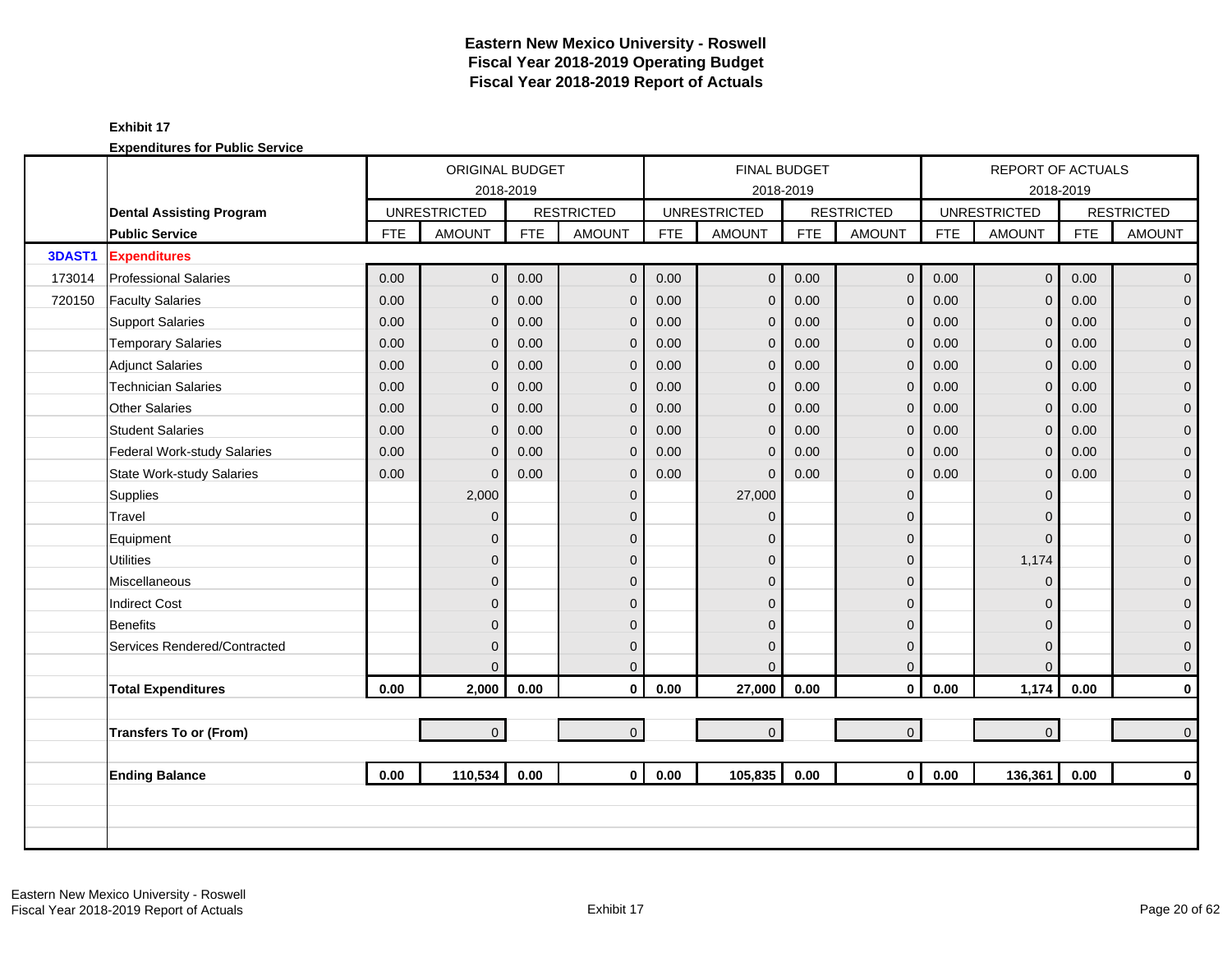|        |                                  |            | ORIGINAL BUDGET     |            |                   |            | <b>FINAL BUDGET</b> |            |                   |            | REPORT OF ACTUALS   |            |                     |
|--------|----------------------------------|------------|---------------------|------------|-------------------|------------|---------------------|------------|-------------------|------------|---------------------|------------|---------------------|
|        |                                  |            | 2018-2019           |            |                   |            |                     | 2018-2019  |                   |            |                     | 2018-2019  |                     |
|        | <b>Dental Assisting Program</b>  |            | <b>UNRESTRICTED</b> |            | <b>RESTRICTED</b> |            | <b>UNRESTRICTED</b> |            | <b>RESTRICTED</b> |            | <b>UNRESTRICTED</b> |            | <b>RESTRICTED</b>   |
|        | <b>Public Service</b>            | <b>FTE</b> | <b>AMOUNT</b>       | <b>FTE</b> | <b>AMOUNT</b>     | <b>FTE</b> | <b>AMOUNT</b>       | <b>FTE</b> | <b>AMOUNT</b>     | <b>FTE</b> | <b>AMOUNT</b>       | <b>FTE</b> | <b>AMOUNT</b>       |
| 3DAST1 | <b>Expenditures</b>              |            |                     |            |                   |            |                     |            |                   |            |                     |            |                     |
| 173014 | <b>Professional Salaries</b>     | 0.00       | $\overline{0}$      | 0.00       | $\mathbf 0$       | 0.00       | $\mathbf 0$         | 0.00       | $\mathbf 0$       | 0.00       | $\mathbf 0$         | 0.00       | $\mathbf{0}$        |
| 720150 | <b>Faculty Salaries</b>          | 0.00       | $\overline{0}$      | 0.00       | $\mathbf{0}$      | 0.00       | $\overline{0}$      | 0.00       | $\mathbf 0$       | 0.00       | $\Omega$            | 0.00       | $\mathbf 0$         |
|        | <b>Support Salaries</b>          | 0.00       | 0                   | 0.00       | $\mathbf{0}$      | 0.00       | $\mathbf{0}$        | 0.00       | $\mathbf 0$       | 0.00       | $\mathbf{0}$        | 0.00       | $\mathbf 0$         |
|        | <b>Temporary Salaries</b>        | 0.00       | 0                   | 0.00       | $\mathbf{0}$      | 0.00       | $\mathbf 0$         | 0.00       | $\mathbf{0}$      | 0.00       | $\mathbf 0$         | 0.00       | $\pmb{0}$           |
|        | <b>Adjunct Salaries</b>          | 0.00       | $\overline{0}$      | 0.00       | $\mathbf{0}$      | 0.00       | $\mathbf{0}$        | 0.00       | $\mathbf 0$       | 0.00       | $\Omega$            | 0.00       | $\mathbf 0$         |
|        | <b>Technician Salaries</b>       | 0.00       | 0                   | 0.00       | $\mathbf{0}$      | 0.00       | $\mathbf 0$         | 0.00       | $\mathbf 0$       | 0.00       | $\mathbf{0}$        | 0.00       | $\mathbf 0$         |
|        | <b>Other Salaries</b>            | 0.00       | 0                   | 0.00       | $\mathbf{0}$      | 0.00       | $\mathbf 0$         | 0.00       | $\mathbf 0$       | 0.00       | $\mathbf{0}$        | 0.00       | $\mathbf 0$         |
|        | <b>Student Salaries</b>          | 0.00       | $\Omega$            | 0.00       | $\Omega$          | 0.00       | $\mathbf 0$         | 0.00       | $\mathbf{0}$      | 0.00       | $\Omega$            | 0.00       | $\overline{0}$      |
|        | Federal Work-study Salaries      | 0.00       | $\overline{0}$      | 0.00       | $\mathbf{0}$      | 0.00       | $\Omega$            | 0.00       | $\mathbf 0$       | 0.00       | $\Omega$            | 0.00       | $\mathbf{0}$        |
|        | <b>State Work-study Salaries</b> | 0.00       | $\Omega$            | 0.00       | $\mathbf{0}$      | 0.00       | $\Omega$            | 0.00       | $\mathbf 0$       | 0.00       | $\mathbf 0$         | 0.00       | $\pmb{0}$           |
|        | Supplies                         |            | 2,000               |            | $\mathbf{0}$      |            | 27,000              |            | $\mathbf 0$       |            | $\Omega$            |            | $\mathbf 0$         |
|        | Travel                           |            | 0                   |            | $\mathbf{0}$      |            | $\Omega$            |            | $\mathbf 0$       |            | $\Omega$            |            | $\mathbf 0$         |
|        | Equipment                        |            | 0                   |            | $\mathbf{0}$      |            | $\Omega$            |            | $\mathbf 0$       |            | $\Omega$            |            | $\boldsymbol{0}$    |
|        | <b>Utilities</b>                 |            | 0                   |            | $\mathbf{0}$      |            | $\mathbf 0$         |            | $\mathbf 0$       |            | 1,174               |            | $\overline{0}$      |
|        | <b>Miscellaneous</b>             |            | $\overline{0}$      |            | $\Omega$          |            | $\Omega$            |            | $\mathbf{0}$      |            | $\Omega$            |            | $\mathsf{O}\xspace$ |
|        | <b>Indirect Cost</b>             |            | 0                   |            | $\Omega$          |            | $\Omega$            |            | $\mathbf{0}$      |            | $\Omega$            |            | $\mathbf 0$         |
|        | <b>Benefits</b>                  |            | 0                   |            | $\Omega$          |            | $\Omega$            |            | $\mathbf 0$       |            | $\Omega$            |            | $\overline{0}$      |
|        | Services Rendered/Contracted     |            | 0                   |            | $\mathbf{0}$      |            | $\Omega$            |            | $\mathbf 0$       |            | $\Omega$            |            | $\boldsymbol{0}$    |
|        |                                  |            | $\Omega$            |            | $\Omega$          |            | $\Omega$            |            | $\mathbf 0$       |            | $\Omega$            |            | $\mathbf{0}$        |
|        | <b>Total Expenditures</b>        | 0.00       | 2,000               | 0.00       | $\mathbf{0}$      | 0.00       | 27,000              | 0.00       | $\mathbf 0$       | 0.00       | 1,174               | 0.00       | $\pmb{0}$           |
|        |                                  |            |                     |            |                   |            |                     |            |                   |            |                     |            |                     |
|        | <b>Transfers To or (From)</b>    |            | $\overline{0}$      |            | $\overline{0}$    |            | $\mathbf{0}$        |            | $\mathbf 0$       |            | $\mathbf{0}$        |            | $\mathbf 0$         |
|        |                                  |            |                     |            |                   |            |                     |            |                   |            |                     |            |                     |
|        | <b>Ending Balance</b>            | 0.00       | 110,534             | 0.00       | $\mathbf{0}$      | 0.00       | 105,835             | 0.00       | $\mathbf 0$       | 0.00       | 136,361             | 0.00       | $\mathbf 0$         |
|        |                                  |            |                     |            |                   |            |                     |            |                   |            |                     |            |                     |
|        |                                  |            |                     |            |                   |            |                     |            |                   |            |                     |            |                     |
|        |                                  |            |                     |            |                   |            |                     |            |                   |            |                     |            |                     |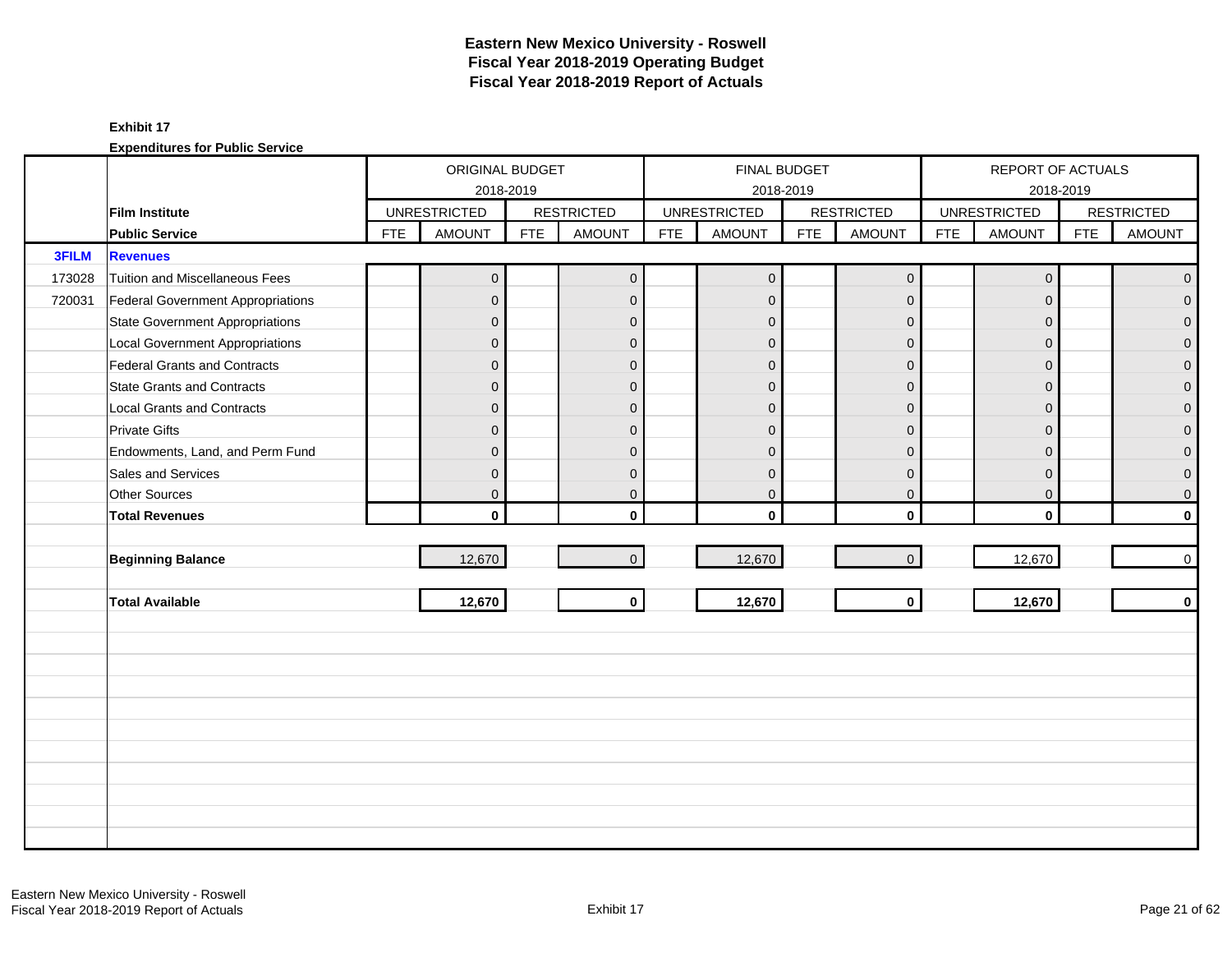|        |                                          |            | ORIGINAL BUDGET     |            |                   |            | <b>FINAL BUDGET</b> |            |                   |            | REPORT OF ACTUALS   |            |                   |
|--------|------------------------------------------|------------|---------------------|------------|-------------------|------------|---------------------|------------|-------------------|------------|---------------------|------------|-------------------|
|        |                                          |            |                     | 2018-2019  |                   |            |                     | 2018-2019  |                   |            | 2018-2019           |            |                   |
|        | <b>Film Institute</b>                    |            | <b>UNRESTRICTED</b> |            | <b>RESTRICTED</b> |            | <b>UNRESTRICTED</b> |            | <b>RESTRICTED</b> |            | <b>UNRESTRICTED</b> |            | <b>RESTRICTED</b> |
|        | <b>Public Service</b>                    | <b>FTE</b> | <b>AMOUNT</b>       | <b>FTE</b> | <b>AMOUNT</b>     | <b>FTE</b> | <b>AMOUNT</b>       | <b>FTE</b> | <b>AMOUNT</b>     | <b>FTE</b> | <b>AMOUNT</b>       | <b>FTE</b> | <b>AMOUNT</b>     |
| 3FILM  | <b>Revenues</b>                          |            |                     |            |                   |            |                     |            |                   |            |                     |            |                   |
| 173028 | Tuition and Miscellaneous Fees           |            | $\mathbf 0$         |            | $\overline{0}$    |            | $\mathbf{0}$        |            | $\mathbf 0$       |            | $\mathbf 0$         |            | $\mathbf 0$       |
| 720031 | <b>Federal Government Appropriations</b> |            | $\overline{0}$      |            | $\mathbf{0}$      |            | $\mathbf{0}$        |            | $\mathbf{0}$      |            | $\Omega$            |            | $\overline{0}$    |
|        | <b>State Government Appropriations</b>   |            | $\overline{0}$      |            | $\mathbf{0}$      |            | $\mathbf{0}$        |            | $\mathbf{0}$      |            | $\Omega$            |            | 0                 |
|        | <b>Local Government Appropriations</b>   |            | $\overline{0}$      |            | $\mathbf{0}$      |            | $\mathbf{0}$        |            | $\mathbf 0$       |            | $\mathbf{0}$        |            | 0                 |
|        | <b>Federal Grants and Contracts</b>      |            | $\overline{0}$      |            | $\mathbf{0}$      |            | $\mathbf{0}$        |            | $\mathbf 0$       |            | $\mathbf{0}$        |            | $\mathbf{0}$      |
|        | State Grants and Contracts               |            | $\overline{0}$      |            | $\Omega$          |            | $\Omega$            |            | $\Omega$          |            | $\Omega$            |            | 0                 |
|        | <b>Local Grants and Contracts</b>        |            | $\overline{0}$      |            | $\mathbf{0}$      |            | $\Omega$            |            | $\mathbf 0$       |            | $\Omega$            |            | $\mathbf 0$       |
|        | <b>Private Gifts</b>                     |            | $\overline{0}$      |            | $\mathbf{0}$      |            | $\mathbf{0}$        |            | $\mathbf{0}$      |            | $\Omega$            |            | $\overline{0}$    |
|        | Endowments, Land, and Perm Fund          |            | $\overline{0}$      |            | $\mathbf{0}$      |            | $\mathbf{0}$        |            | $\mathbf{0}$      |            | $\Omega$            |            | 0                 |
|        | Sales and Services                       |            | 0                   |            | $\mathbf{0}$      |            | $\mathbf{0}$        |            | $\mathbf 0$       |            | $\mathbf{0}$        |            | 0                 |
|        | Other Sources                            |            | $\overline{0}$      |            | $\mathbf 0$       |            | $\mathbf 0$         |            | $\mathbf 0$       |            | $\mathbf 0$         |            | $\mathbf 0$       |
|        | <b>Total Revenues</b>                    |            | $\mathbf{0}$        |            | $\mathbf{0}$      |            | $\mathbf{0}$        |            | $\mathbf 0$       |            | $\mathbf 0$         |            | $\mathbf{0}$      |
|        |                                          |            |                     |            |                   |            |                     |            |                   |            |                     |            |                   |
|        | <b>Beginning Balance</b>                 |            | 12,670              |            | $\mathbf{0}$      |            | 12,670              |            | $\mathbf 0$       |            | 12,670              |            | $\mathbf 0$       |
|        |                                          |            |                     |            |                   |            |                     |            |                   |            |                     |            |                   |
|        | <b>Total Available</b>                   |            | 12,670              |            | $\mathbf{0}$      |            | 12,670              |            | $\mathbf 0$       |            | 12,670              |            | $\mathbf 0$       |
|        |                                          |            |                     |            |                   |            |                     |            |                   |            |                     |            |                   |
|        |                                          |            |                     |            |                   |            |                     |            |                   |            |                     |            |                   |
|        |                                          |            |                     |            |                   |            |                     |            |                   |            |                     |            |                   |
|        |                                          |            |                     |            |                   |            |                     |            |                   |            |                     |            |                   |
|        |                                          |            |                     |            |                   |            |                     |            |                   |            |                     |            |                   |
|        |                                          |            |                     |            |                   |            |                     |            |                   |            |                     |            |                   |
|        |                                          |            |                     |            |                   |            |                     |            |                   |            |                     |            |                   |
|        |                                          |            |                     |            |                   |            |                     |            |                   |            |                     |            |                   |
|        |                                          |            |                     |            |                   |            |                     |            |                   |            |                     |            |                   |
|        |                                          |            |                     |            |                   |            |                     |            |                   |            |                     |            |                   |
|        |                                          |            |                     |            |                   |            |                     |            |                   |            |                     |            |                   |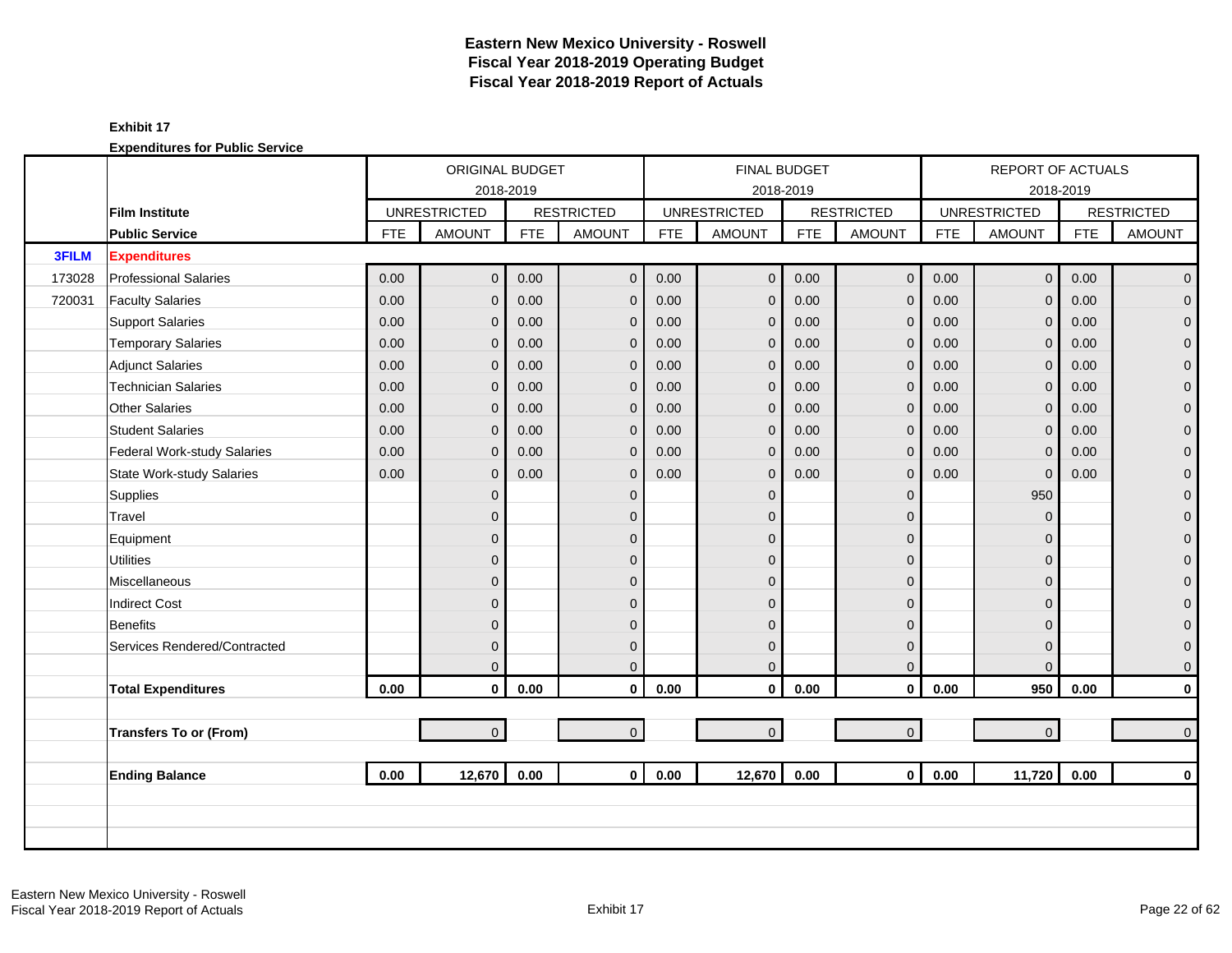|              |                                  |            | ORIGINAL BUDGET     |            |                   |            | <b>FINAL BUDGET</b> |            |                   |            | REPORT OF ACTUALS   |            |                     |
|--------------|----------------------------------|------------|---------------------|------------|-------------------|------------|---------------------|------------|-------------------|------------|---------------------|------------|---------------------|
|              |                                  |            | 2018-2019           |            |                   |            | 2018-2019           |            |                   |            |                     | 2018-2019  |                     |
|              | <b>Film Institute</b>            |            | <b>UNRESTRICTED</b> |            | <b>RESTRICTED</b> |            | <b>UNRESTRICTED</b> |            | <b>RESTRICTED</b> |            | <b>UNRESTRICTED</b> |            | <b>RESTRICTED</b>   |
|              | <b>Public Service</b>            | <b>FTE</b> | <b>AMOUNT</b>       | <b>FTE</b> | <b>AMOUNT</b>     | <b>FTE</b> | <b>AMOUNT</b>       | <b>FTE</b> | <b>AMOUNT</b>     | <b>FTE</b> | <b>AMOUNT</b>       | <b>FTE</b> | <b>AMOUNT</b>       |
| <b>3FILM</b> | <b>Expenditures</b>              |            |                     |            |                   |            |                     |            |                   |            |                     |            |                     |
| 173028       | <b>Professional Salaries</b>     | 0.00       | $\overline{0}$      | 0.00       | $\mathbf{0}$      | 0.00       | $\overline{0}$      | 0.00       | $\mathbf 0$       | 0.00       | $\mathbf 0$         | 0.00       | $\overline{0}$      |
| 720031       | <b>Faculty Salaries</b>          | 0.00       | 0                   | 0.00       | $\mathbf{0}$      | 0.00       | $\mathbf{0}$        | 0.00       | $\mathbf 0$       | 0.00       | $\Omega$            | 0.00       | $\pmb{0}$           |
|              | <b>Support Salaries</b>          | 0.00       | 0                   | 0.00       | $\mathbf{0}$      | 0.00       | $\mathbf 0$         | 0.00       | $\mathbf 0$       | 0.00       | $\mathbf 0$         | 0.00       | $\mathsf{O}\xspace$ |
|              | <b>Temporary Salaries</b>        | 0.00       | 0                   | 0.00       | $\mathbf 0$       | 0.00       | $\mathbf 0$         | 0.00       | $\mathbf 0$       | 0.00       | $\mathbf 0$         | 0.00       | $\pmb{0}$           |
|              | <b>Adjunct Salaries</b>          | 0.00       | 0                   | 0.00       | $\mathbf 0$       | 0.00       | $\mathbf 0$         | 0.00       | $\mathbf 0$       | 0.00       | $\Omega$            | 0.00       | $\boldsymbol{0}$    |
|              | <b>Technician Salaries</b>       | 0.00       | 0                   | 0.00       | $\mathbf{0}$      | 0.00       | $\mathbf 0$         | 0.00       | $\mathbf{0}$      | 0.00       | $\Omega$            | 0.00       | $\mathbf 0$         |
|              | <b>Other Salaries</b>            | 0.00       | 0                   | 0.00       | $\mathbf{0}$      | 0.00       | $\mathbf{0}$        | 0.00       | $\mathbf{0}$      | 0.00       | $\mathbf{0}$        | 0.00       | $\boldsymbol{0}$    |
|              | <b>Student Salaries</b>          | 0.00       | $\overline{0}$      | 0.00       | $\mathbf{0}$      | 0.00       | $\mathbf{0}$        | 0.00       | $\mathbf 0$       | 0.00       | $\Omega$            | 0.00       | $\boldsymbol{0}$    |
|              | Federal Work-study Salaries      | 0.00       | 0                   | 0.00       | $\mathbf{0}$      | 0.00       | $\mathbf{0}$        | 0.00       | $\mathbf 0$       | 0.00       | $\mathbf 0$         | 0.00       | $\mathbf 0$         |
|              | <b>State Work-study Salaries</b> | 0.00       | 0                   | 0.00       | $\mathbf 0$       | 0.00       | $\mathbf 0$         | 0.00       | $\mathbf 0$       | 0.00       | $\mathbf 0$         | 0.00       | $\pmb{0}$           |
|              | Supplies                         |            | $\overline{0}$      |            | $\mathbf 0$       |            | $\Omega$            |            | $\mathbf 0$       |            | 950                 |            | $\boldsymbol{0}$    |
|              | Travel                           |            | 0                   |            | $\Omega$          |            | $\Omega$            |            | $\mathbf{0}$      |            | $\Omega$            |            | $\overline{0}$      |
|              | Equipment                        |            | 0                   |            | $\Omega$          |            | $\Omega$            |            | $\mathbf 0$       |            | $\Omega$            |            | $\pmb{0}$           |
|              | <b>Utilities</b>                 |            | $\overline{0}$      |            | $\mathbf{0}$      |            | $\overline{0}$      |            | $\mathbf 0$       |            | $\Omega$            |            | $\boldsymbol{0}$    |
|              | Miscellaneous                    |            | 0                   |            | $\mathbf{0}$      |            | $\Omega$            |            | $\mathbf 0$       |            | $\Omega$            |            | 0                   |
|              | <b>Indirect Cost</b>             |            | 0                   |            | $\mathbf{0}$      |            | $\Omega$            |            | $\mathbf 0$       |            | $\Omega$            |            | 0                   |
|              | <b>Benefits</b>                  |            | $\overline{0}$      |            | $\Omega$          |            | $\Omega$            |            | $\mathbf 0$       |            | $\Omega$            |            | 0                   |
|              | Services Rendered/Contracted     |            | 0                   |            | $\mathbf{0}$      |            | $\overline{0}$      |            | $\mathbf 0$       |            | $\Omega$            |            | $\mathbf 0$         |
|              |                                  |            | $\Omega$            |            | $\Omega$          |            | $\Omega$            |            | $\mathbf{0}$      |            | $\Omega$            |            | $\mathbf{0}$        |
|              | <b>Total Expenditures</b>        | 0.00       | $\mathbf{0}$        | 0.00       | $\mathbf 0$       | 0.00       | $\mathbf 0$         | 0.00       | $\mathbf 0$       | 0.00       | 950                 | 0.00       | $\mathbf 0$         |
|              |                                  |            |                     |            |                   |            |                     |            |                   |            |                     |            |                     |
|              | <b>Transfers To or (From)</b>    |            | $\overline{0}$      |            | $\overline{0}$    |            | $\mathbf{0}$        |            | $\overline{0}$    |            | $\overline{0}$      |            | $\mathbf 0$         |
|              |                                  |            |                     |            |                   |            |                     |            |                   |            |                     |            |                     |
|              | <b>Ending Balance</b>            | 0.00       | 12,670              | 0.00       | $\mathbf{0}$      | 0.00       | 12,670              | 0.00       | $\mathbf{0}$      | 0.00       | 11,720              | 0.00       | $\bf{0}$            |
|              |                                  |            |                     |            |                   |            |                     |            |                   |            |                     |            |                     |
|              |                                  |            |                     |            |                   |            |                     |            |                   |            |                     |            |                     |
|              |                                  |            |                     |            |                   |            |                     |            |                   |            |                     |            |                     |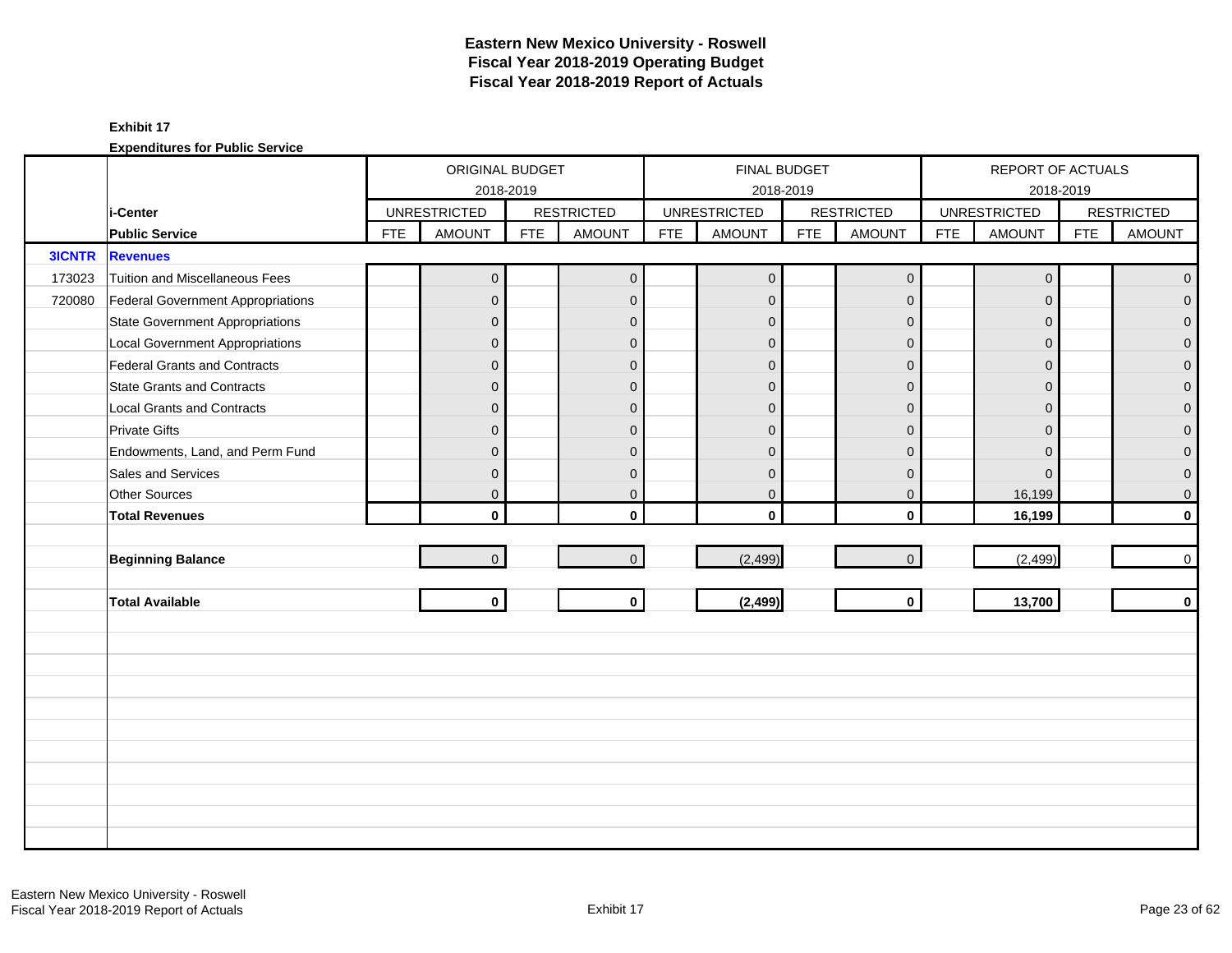|               |                                        |            | ORIGINAL BUDGET     | 2018-2019  |                   |            | FINAL BUDGET        | 2018-2019  |                   |            | REPORT OF ACTUALS   | 2018-2019  |                   |
|---------------|----------------------------------------|------------|---------------------|------------|-------------------|------------|---------------------|------------|-------------------|------------|---------------------|------------|-------------------|
|               | i-Center                               |            | <b>UNRESTRICTED</b> |            | <b>RESTRICTED</b> |            | <b>UNRESTRICTED</b> |            | <b>RESTRICTED</b> |            | <b>UNRESTRICTED</b> |            | <b>RESTRICTED</b> |
|               | <b>Public Service</b>                  | <b>FTE</b> | <b>AMOUNT</b>       | <b>FTE</b> | <b>AMOUNT</b>     | <b>FTE</b> | <b>AMOUNT</b>       | <b>FTE</b> | <b>AMOUNT</b>     | <b>FTE</b> | <b>AMOUNT</b>       | <b>FTE</b> | <b>AMOUNT</b>     |
| <b>3ICNTR</b> | <b>Revenues</b>                        |            |                     |            |                   |            |                     |            |                   |            |                     |            |                   |
| 173023        | Tuition and Miscellaneous Fees         |            | $\mathbf 0$         |            | $\overline{0}$    |            | $\overline{0}$      |            | $\mathbf 0$       |            | $\mathbf{0}$        |            | $\overline{0}$    |
| 720080        | Federal Government Appropriations      |            | $\overline{0}$      |            | $\mathbf{0}$      |            | $\mathbf{0}$        |            | $\mathbf 0$       |            | $\Omega$            |            | $\overline{0}$    |
|               | <b>State Government Appropriations</b> |            | $\overline{0}$      |            | $\mathbf{0}$      |            | $\overline{0}$      |            | $\mathbf 0$       |            | $\Omega$            |            | $\overline{0}$    |
|               | <b>Local Government Appropriations</b> |            | $\pmb{0}$           |            | $\mathbf{0}$      |            | $\mathbf{0}$        |            | $\mathbf 0$       |            | $\mathbf{0}$        |            | $\overline{0}$    |
|               | Federal Grants and Contracts           |            | $\overline{0}$      |            | $\mathbf{0}$      |            | $\mathbf{0}$        |            | $\mathbf 0$       |            | $\Omega$            |            | $\mathbf 0$       |
|               | <b>State Grants and Contracts</b>      |            | $\overline{0}$      |            | $\Omega$          |            | $\mathbf{0}$        |            | $\mathbf 0$       |            | $\Omega$            |            | $\overline{0}$    |
|               | <b>Local Grants and Contracts</b>      |            | $\overline{0}$      |            | $\mathbf{0}$      |            | $\Omega$            |            | $\mathbf 0$       |            | $\Omega$            |            | $\overline{0}$    |
|               | <b>Private Gifts</b>                   |            | 0                   |            | $\mathbf{0}$      |            | $\Omega$            |            | $\mathbf 0$       |            | $\Omega$            |            | $\overline{0}$    |
|               | Endowments, Land, and Perm Fund        |            | $\overline{0}$      |            | $\mathbf{0}$      |            | $\mathbf{0}$        |            | $\mathbf 0$       |            | $\Omega$            |            | $\mathbf 0$       |
|               | Sales and Services                     |            | $\mathbf 0$         |            | $\mathbf{0}$      |            | $\mathbf 0$         |            | $\mathbf 0$       |            | $\Omega$            |            | $\overline{0}$    |
|               | <b>Other Sources</b>                   |            | $\overline{0}$      |            | $\mathbf{0}$      |            | $\mathbf 0$         |            | $\mathbf 0$       |            | 16,199              |            | $\pmb{0}$         |
|               | <b>Total Revenues</b>                  |            | $\mathbf{0}$        |            | $\mathbf{0}$      |            | $\Omega$            |            | $\mathbf{0}$      |            | 16,199              |            | $\mathbf 0$       |
|               |                                        |            |                     |            |                   |            |                     |            |                   |            |                     |            |                   |
|               | <b>Beginning Balance</b>               |            | $\overline{0}$      |            | $\overline{0}$    |            | (2, 499)            |            | $\mathbf 0$       |            | (2, 499)            |            | $\mathsf{O}$      |
|               | <b>Total Available</b>                 |            | $\mathbf{0}$        |            | $\mathbf{0}$      |            | (2, 499)            |            | $\mathbf{0}$      |            | 13,700              |            | $\mathbf 0$       |
|               |                                        |            |                     |            |                   |            |                     |            |                   |            |                     |            |                   |
|               |                                        |            |                     |            |                   |            |                     |            |                   |            |                     |            |                   |
|               |                                        |            |                     |            |                   |            |                     |            |                   |            |                     |            |                   |
|               |                                        |            |                     |            |                   |            |                     |            |                   |            |                     |            |                   |
|               |                                        |            |                     |            |                   |            |                     |            |                   |            |                     |            |                   |
|               |                                        |            |                     |            |                   |            |                     |            |                   |            |                     |            |                   |
|               |                                        |            |                     |            |                   |            |                     |            |                   |            |                     |            |                   |
|               |                                        |            |                     |            |                   |            |                     |            |                   |            |                     |            |                   |
|               |                                        |            |                     |            |                   |            |                     |            |                   |            |                     |            |                   |
|               |                                        |            |                     |            |                   |            |                     |            |                   |            |                     |            |                   |
|               |                                        |            |                     |            |                   |            |                     |            |                   |            |                     |            |                   |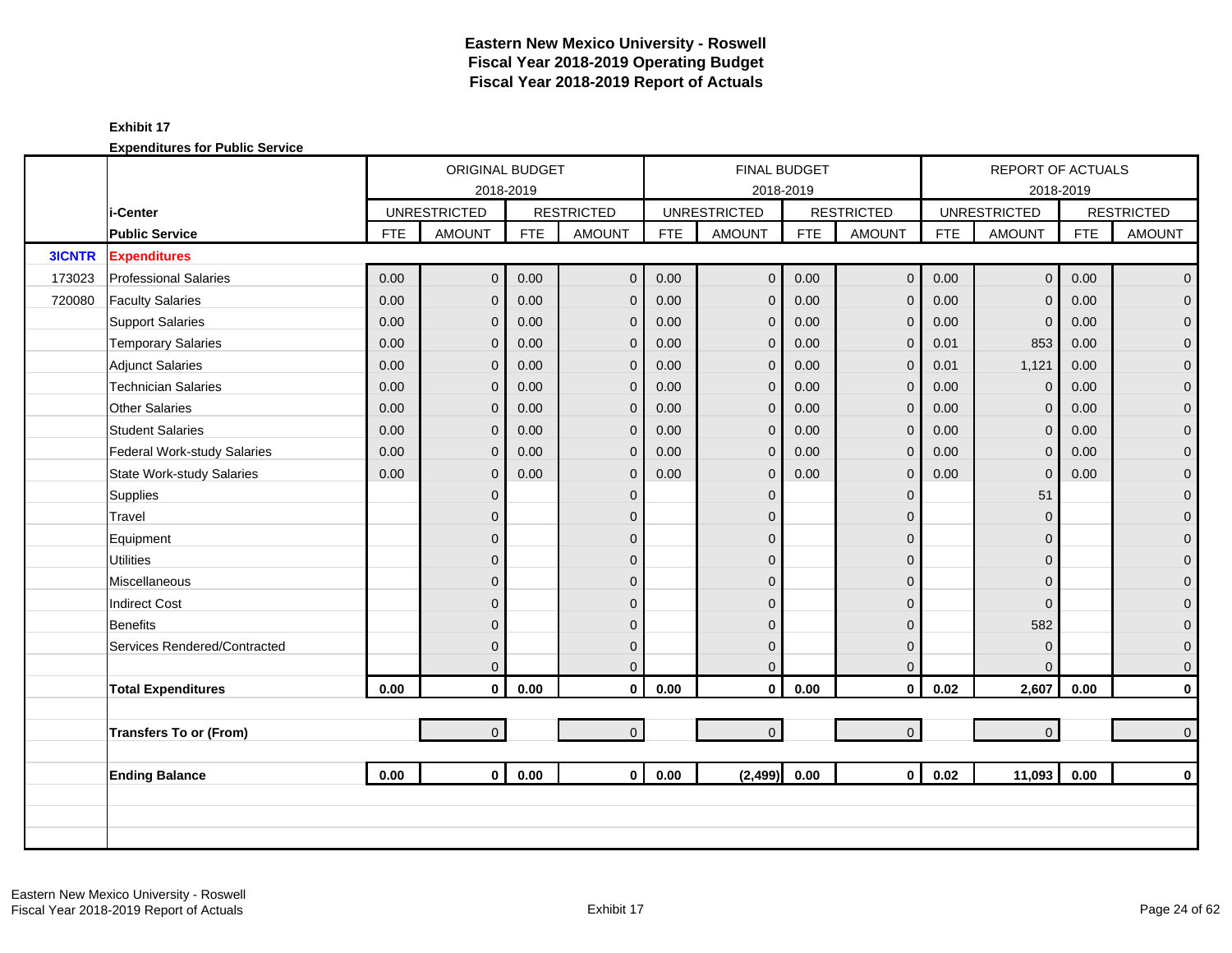|               |                                  |            | ORIGINAL BUDGET     |            |                   |            |                     | FINAL BUDGET |                     |            | <b>REPORT OF ACTUALS</b> |            |                   |
|---------------|----------------------------------|------------|---------------------|------------|-------------------|------------|---------------------|--------------|---------------------|------------|--------------------------|------------|-------------------|
|               |                                  |            |                     | 2018-2019  |                   |            |                     | 2018-2019    |                     |            |                          | 2018-2019  |                   |
|               | i-Center                         |            | <b>UNRESTRICTED</b> |            | <b>RESTRICTED</b> |            | <b>UNRESTRICTED</b> |              | <b>RESTRICTED</b>   |            | <b>UNRESTRICTED</b>      |            | <b>RESTRICTED</b> |
|               | <b>Public Service</b>            | <b>FTE</b> | <b>AMOUNT</b>       | <b>FTE</b> | <b>AMOUNT</b>     | <b>FTE</b> | <b>AMOUNT</b>       | <b>FTE</b>   | <b>AMOUNT</b>       | <b>FTE</b> | <b>AMOUNT</b>            | <b>FTE</b> | <b>AMOUNT</b>     |
| <b>3ICNTR</b> | <b>Expenditures</b>              |            |                     |            |                   |            |                     |              |                     |            |                          |            |                   |
| 173023        | <b>Professional Salaries</b>     | 0.00       | $\overline{0}$      | 0.00       | $\overline{0}$    | 0.00       | $\mathbf{0}$        | 0.00         | $\mathbf{0}$        | 0.00       | $\overline{0}$           | 0.00       | $\overline{0}$    |
| 720080        | <b>Faculty Salaries</b>          | 0.00       | $\overline{0}$      | 0.00       | $\mathbf{0}$      | 0.00       | $\mathbf 0$         | 0.00         | $\mathbf 0$         | 0.00       | $\Omega$                 | 0.00       | $\overline{0}$    |
|               | <b>Support Salaries</b>          | 0.00       | 0                   | 0.00       | $\mathbf{0}$      | 0.00       | $\mathbf 0$         | 0.00         | $\mathbf 0$         | 0.00       | $\mathbf 0$              | 0.00       | $\overline{0}$    |
|               | <b>Temporary Salaries</b>        | 0.00       | 0                   | 0.00       | $\mathbf 0$       | 0.00       | $\mathbf 0$         | 0.00         | $\mathbf 0$         | 0.01       | 853                      | 0.00       | $\mathbf 0$       |
|               | <b>Adjunct Salaries</b>          | 0.00       | $\overline{0}$      | 0.00       | $\Omega$          | 0.00       | $\mathbf 0$         | 0.00         | $\mathbf{0}$        | 0.01       | 1,121                    | 0.00       | $\mathbf{0}$      |
|               | <b>Technician Salaries</b>       | 0.00       | $\overline{0}$      | 0.00       | $\mathbf{0}$      | 0.00       | $\mathbf 0$         | 0.00         | $\mathbf{0}$        | 0.00       | $\mathbf{0}$             | 0.00       | $\mathbf{O}$      |
|               | <b>Other Salaries</b>            | 0.00       | $\overline{0}$      | 0.00       | $\mathbf{0}$      | 0.00       | $\mathbf 0$         | 0.00         | $\mathbf{0}$        | 0.00       | $\Omega$                 | 0.00       | $\mathbf 0$       |
|               | <b>Student Salaries</b>          | 0.00       | $\overline{0}$      | 0.00       | $\mathbf{0}$      | 0.00       | $\mathbf 0$         | 0.00         | $\mathbf 0$         | 0.00       | $\Omega$                 | 0.00       | $\overline{0}$    |
|               | Federal Work-study Salaries      | 0.00       | $\overline{0}$      | 0.00       | $\mathbf{0}$      | 0.00       | $\mathbf 0$         | 0.00         | $\mathbf{0}$        | 0.00       | $\Omega$                 | 0.00       | $\overline{0}$    |
|               | <b>State Work-study Salaries</b> | 0.00       | $\overline{0}$      | 0.00       | $\mathbf{0}$      | 0.00       | $\mathbf 0$         | 0.00         | $\mathbf{0}$        | 0.00       | $\Omega$                 | 0.00       | $\pmb{0}$         |
|               | Supplies                         |            | $\overline{0}$      |            | $\mathbf{0}$      |            | $\mathbf 0$         |              | $\mathbf{0}$        |            | 51                       |            | $\mathbf{O}$      |
|               | Travel                           |            | $\overline{0}$      |            | $\mathbf{0}$      |            | $\Omega$            |              | $\mathbf{0}$        |            | $\Omega$                 |            | $\mathbf{O}$      |
|               | Equipment                        |            | 0                   |            | $\mathbf{0}$      |            | $\Omega$            |              | $\mathbf{0}$        |            | $\Omega$                 |            | $\pmb{0}$         |
|               | <b>Utilities</b>                 |            | $\overline{0}$      |            | $\Omega$          |            | $\Omega$            |              | $\mathbf 0$         |            | $\Omega$                 |            | $\overline{0}$    |
|               | Miscellaneous                    |            | $\overline{0}$      |            | $\overline{0}$    |            | $\Omega$            |              | $\mathbf{0}$        |            | $\Omega$                 |            | $\mathbf 0$       |
|               | <b>Indirect Cost</b>             |            | $\overline{0}$      |            | $\Omega$          |            | $\Omega$            |              | $\mathbf{0}$        |            | $\Omega$                 |            | $\pmb{0}$         |
|               | <b>Benefits</b>                  |            | 0                   |            | $\mathbf{0}$      |            | $\Omega$            |              | $\mathbf 0$         |            | 582                      |            | $\mathbf{0}$      |
|               | Services Rendered/Contracted     |            | $\overline{0}$      |            | $\mathbf{0}$      |            | $\mathbf{0}$        |              | $\mathbf{0}$        |            | $\mathbf{0}$             |            | $\mathbf{O}$      |
|               |                                  |            | $\Omega$            |            | $\Omega$          |            | $\Omega$            |              | $\mathbf{0}$        |            | $\Omega$                 |            | $\mathbf{0}$      |
|               | <b>Total Expenditures</b>        | 0.00       | $\mathbf 0$         | 0.00       | $\mathbf{0}$      | 0.00       | $\mathbf 0$         | 0.00         | $\mathbf 0$         | 0.02       | 2,607                    | 0.00       | $\mathbf{0}$      |
|               |                                  |            |                     |            |                   |            |                     |              |                     |            |                          |            |                   |
|               | <b>Transfers To or (From)</b>    |            | $\overline{0}$      |            | $\overline{0}$    |            | $\mathbf 0$         |              | $\mathsf{O}\xspace$ |            | $\overline{0}$           |            | $\mathbf{0}$      |
|               |                                  |            |                     |            |                   |            |                     |              |                     |            |                          |            |                   |
|               | <b>Ending Balance</b>            | 0.00       | $\mathbf{0}$        | 0.00       | $\mathbf{0}$      | 0.00       | (2, 499)            | 0.00         | $\mathbf{0}$        | 0.02       | 11,093                   | 0.00       | $\mathbf 0$       |
|               |                                  |            |                     |            |                   |            |                     |              |                     |            |                          |            |                   |
|               |                                  |            |                     |            |                   |            |                     |              |                     |            |                          |            |                   |
|               |                                  |            |                     |            |                   |            |                     |              |                     |            |                          |            |                   |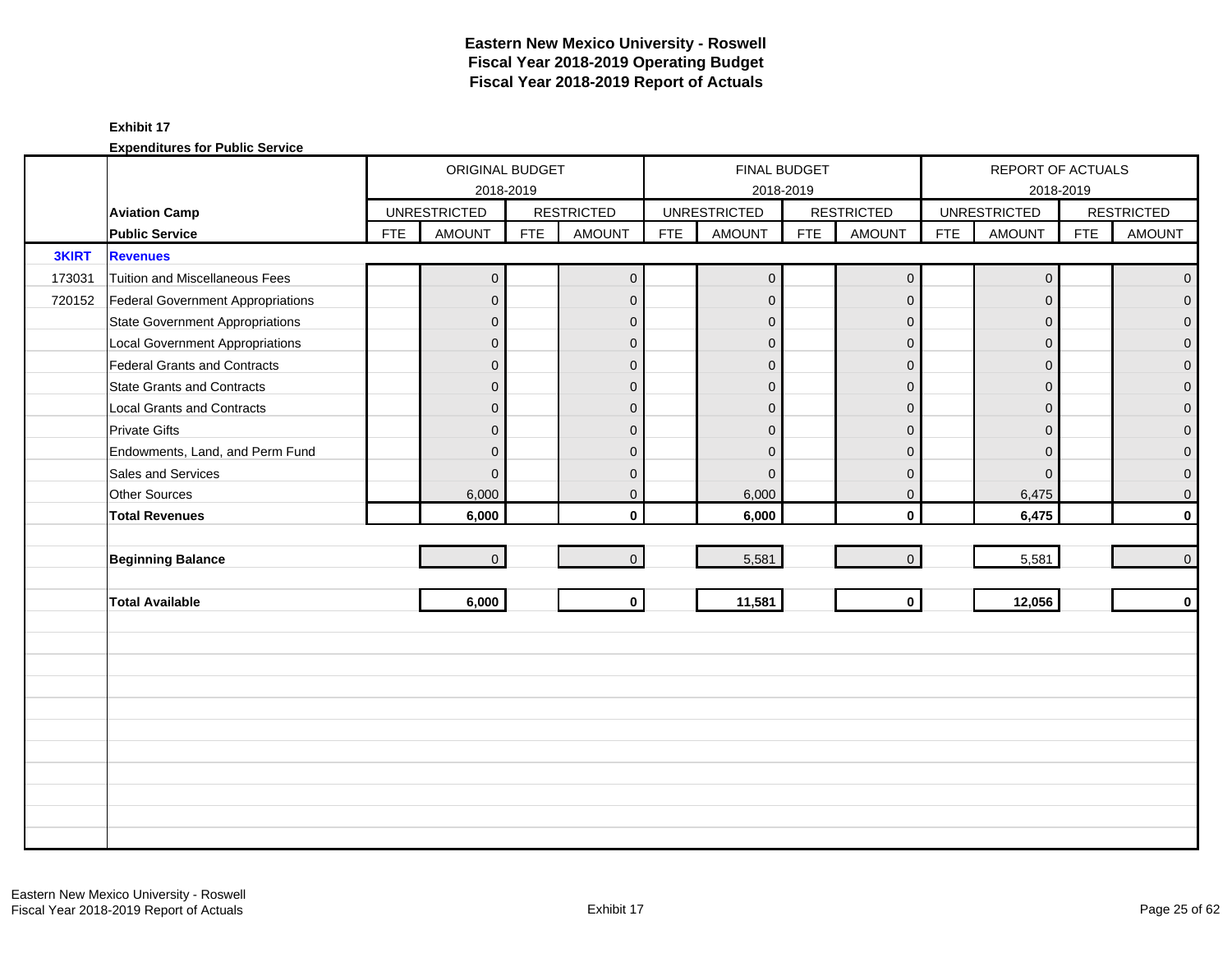|              |                                        |            | ORIGINAL BUDGET     |            |                   |            |                     | FINAL BUDGET |                   |            | REPORT OF ACTUALS   |            |                   |
|--------------|----------------------------------------|------------|---------------------|------------|-------------------|------------|---------------------|--------------|-------------------|------------|---------------------|------------|-------------------|
|              |                                        |            | 2018-2019           |            |                   |            |                     | 2018-2019    |                   |            | 2018-2019           |            |                   |
|              | <b>Aviation Camp</b>                   |            | <b>UNRESTRICTED</b> |            | <b>RESTRICTED</b> |            | <b>UNRESTRICTED</b> |              | <b>RESTRICTED</b> |            | <b>UNRESTRICTED</b> |            | <b>RESTRICTED</b> |
|              | <b>Public Service</b>                  | <b>FTE</b> | <b>AMOUNT</b>       | <b>FTE</b> | <b>AMOUNT</b>     | <b>FTE</b> | <b>AMOUNT</b>       | <b>FTE</b>   | <b>AMOUNT</b>     | <b>FTE</b> | <b>AMOUNT</b>       | <b>FTE</b> | <b>AMOUNT</b>     |
| <b>3KIRT</b> | <b>Revenues</b>                        |            |                     |            |                   |            |                     |              |                   |            |                     |            |                   |
| 173031       | <b>Tuition and Miscellaneous Fees</b>  |            | $\overline{0}$      |            | $\overline{0}$    |            | $\overline{0}$      |              | $\mathbf 0$       |            | $\mathbf 0$         |            | $\mathbf 0$       |
| 720152       | Federal Government Appropriations      |            | $\mathbf 0$         |            | $\mathbf{0}$      |            | $\mathbf{0}$        |              | $\mathbf{0}$      |            | $\mathbf{0}$        |            | $\overline{0}$    |
|              | <b>State Government Appropriations</b> |            | $\mathbf 0$         |            | $\Omega$          |            | $\mathbf{0}$        |              | $\mathbf{0}$      |            | $\Omega$            |            | $\overline{0}$    |
|              | <b>Local Government Appropriations</b> |            | $\pmb{0}$           |            | $\mathbf{0}$      |            | $\mathbf{0}$        |              | $\mathbf 0$       |            | $\mathbf{0}$        |            | 0                 |
|              | <b>Federal Grants and Contracts</b>    |            | $\mathbf 0$         |            | $\mathbf{0}$      |            | $\mathbf{0}$        |              | $\mathbf 0$       |            | $\mathbf{0}$        |            | $\overline{0}$    |
|              | <b>State Grants and Contracts</b>      |            | $\mathbf{0}$        |            | $\Omega$          |            | $\Omega$            |              | $\Omega$          |            | $\Omega$            |            | $\Omega$          |
|              | <b>Local Grants and Contracts</b>      |            | $\overline{0}$      |            | $\mathbf{0}$      |            | $\Omega$            |              | $\mathbf{0}$      |            | $\Omega$            |            | $\mathbf 0$       |
|              | <b>Private Gifts</b>                   |            | $\overline{0}$      |            | $\mathbf{0}$      |            | $\mathbf{0}$        |              | $\mathbf{0}$      |            | $\Omega$            |            | $\overline{0}$    |
|              | Endowments, Land, and Perm Fund        |            | $\mathbf{0}$        |            | $\Omega$          |            | $\Omega$            |              | $\mathbf{0}$      |            | $\Omega$            |            | $\overline{0}$    |
|              | Sales and Services                     |            | $\mathbf{0}$        |            | $\mathbf{0}$      |            | $\mathbf{0}$        |              | $\mathbf 0$       |            | $\mathbf{0}$        |            | 0                 |
|              | <b>Other Sources</b>                   |            | 6,000               |            | $\mathbf 0$       |            | 6,000               |              | $\mathbf 0$       |            | 6,475               |            | 0                 |
|              | <b>Total Revenues</b>                  |            | 6,000               |            | $\mathbf{0}$      |            | 6,000               |              | $\mathbf 0$       |            | 6,475               |            | $\mathbf{0}$      |
|              |                                        |            |                     |            |                   |            |                     |              |                   |            |                     |            |                   |
|              | <b>Beginning Balance</b>               |            | $\mathbf 0$         |            | $\Omega$          |            | 5,581               |              | $\mathbf 0$       |            | 5,581               |            | $\mathbf 0$       |
|              |                                        |            |                     |            |                   |            |                     |              |                   |            |                     |            |                   |
|              | <b>Total Available</b>                 |            | 6,000               |            | $\mathbf 0$       |            | 11,581              |              | $\mathbf 0$       |            | 12,056              |            | $\mathbf 0$       |
|              |                                        |            |                     |            |                   |            |                     |              |                   |            |                     |            |                   |
|              |                                        |            |                     |            |                   |            |                     |              |                   |            |                     |            |                   |
|              |                                        |            |                     |            |                   |            |                     |              |                   |            |                     |            |                   |
|              |                                        |            |                     |            |                   |            |                     |              |                   |            |                     |            |                   |
|              |                                        |            |                     |            |                   |            |                     |              |                   |            |                     |            |                   |
|              |                                        |            |                     |            |                   |            |                     |              |                   |            |                     |            |                   |
|              |                                        |            |                     |            |                   |            |                     |              |                   |            |                     |            |                   |
|              |                                        |            |                     |            |                   |            |                     |              |                   |            |                     |            |                   |
|              |                                        |            |                     |            |                   |            |                     |              |                   |            |                     |            |                   |
|              |                                        |            |                     |            |                   |            |                     |              |                   |            |                     |            |                   |
|              |                                        |            |                     |            |                   |            |                     |              |                   |            |                     |            |                   |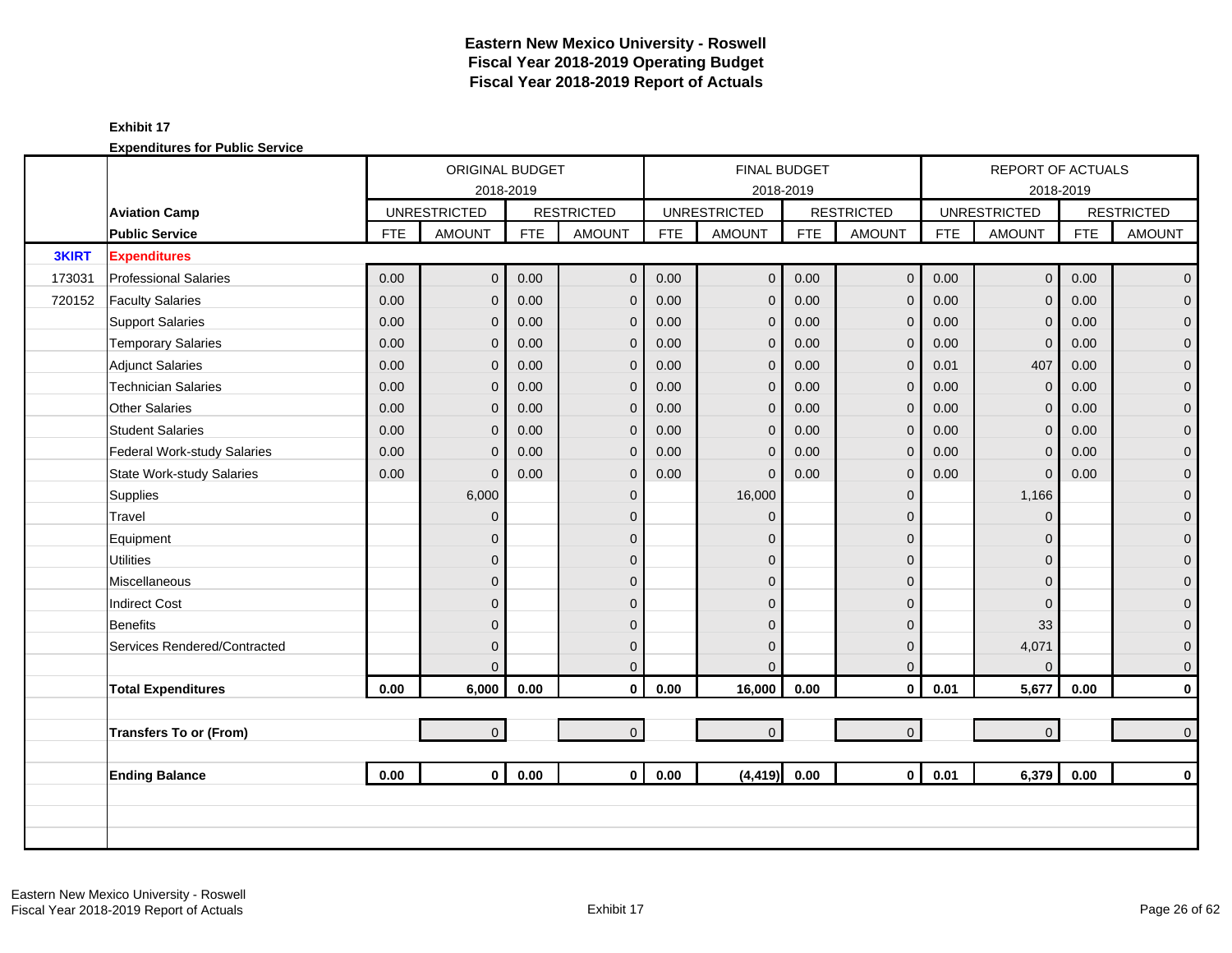|              |                                  |            | ORIGINAL BUDGET     |            |                   |            |                     | <b>FINAL BUDGET</b> |                     |            | <b>REPORT OF ACTUALS</b> |            |                   |
|--------------|----------------------------------|------------|---------------------|------------|-------------------|------------|---------------------|---------------------|---------------------|------------|--------------------------|------------|-------------------|
|              |                                  |            |                     | 2018-2019  |                   |            |                     | 2018-2019           |                     |            |                          | 2018-2019  |                   |
|              | <b>Aviation Camp</b>             |            | <b>UNRESTRICTED</b> |            | <b>RESTRICTED</b> |            | <b>UNRESTRICTED</b> |                     | <b>RESTRICTED</b>   |            | <b>UNRESTRICTED</b>      |            | <b>RESTRICTED</b> |
|              | <b>Public Service</b>            | <b>FTE</b> | <b>AMOUNT</b>       | <b>FTE</b> | <b>AMOUNT</b>     | <b>FTE</b> | <b>AMOUNT</b>       | <b>FTE</b>          | <b>AMOUNT</b>       | <b>FTE</b> | <b>AMOUNT</b>            | <b>FTE</b> | <b>AMOUNT</b>     |
| <b>3KIRT</b> | <b>Expenditures</b>              |            |                     |            |                   |            |                     |                     |                     |            |                          |            |                   |
| 173031       | <b>Professional Salaries</b>     | 0.00       | $\overline{0}$      | 0.00       | $\mathbf 0$       | 0.00       | $\overline{0}$      | 0.00                | $\mathbf 0$         | 0.00       | $\overline{0}$           | 0.00       | $\overline{0}$    |
| 720152       | <b>Faculty Salaries</b>          | 0.00       | $\overline{0}$      | 0.00       | $\mathbf{0}$      | 0.00       | $\mathbf{0}$        | 0.00                | $\mathbf{0}$        | 0.00       | $\Omega$                 | 0.00       | $\overline{0}$    |
|              | <b>Support Salaries</b>          | 0.00       | $\mathbf{0}$        | 0.00       | $\mathbf 0$       | 0.00       | $\mathbf 0$         | 0.00                | $\mathbf 0$         | 0.00       | $\mathbf{0}$             | 0.00       | $\overline{0}$    |
|              | <b>Temporary Salaries</b>        | 0.00       | 0                   | 0.00       | $\mathbf 0$       | 0.00       | $\mathbf{0}$        | 0.00                | $\mathbf 0$         | 0.00       | $\mathbf 0$              | 0.00       | $\mathbf 0$       |
|              | <b>Adjunct Salaries</b>          | 0.00       | $\Omega$            | 0.00       | $\mathbf{0}$      | 0.00       | $\mathbf{0}$        | 0.00                | $\mathbf{0}$        | 0.01       | 407                      | 0.00       | $\mathbf{0}$      |
|              | <b>Technician Salaries</b>       | 0.00       | 0                   | 0.00       | $\mathbf{0}$      | 0.00       | $\overline{0}$      | 0.00                | $\mathbf{0}$        | 0.00       | $\mathbf{0}$             | 0.00       | $\mathbf{O}$      |
|              | Other Salaries                   | 0.00       | 0                   | 0.00       | $\mathbf{0}$      | 0.00       | $\mathbf{0}$        | 0.00                | $\mathbf{0}$        | 0.00       | $\Omega$                 | 0.00       | $\mathbf 0$       |
|              | <b>Student Salaries</b>          | 0.00       | 0                   | 0.00       | $\mathbf{0}$      | 0.00       | $\mathbf 0$         | 0.00                | $\mathbf 0$         | 0.00       | $\Omega$                 | 0.00       | $\overline{0}$    |
|              | Federal Work-study Salaries      | 0.00       | $\Omega$            | 0.00       | $\mathbf{0}$      | 0.00       | $\Omega$            | 0.00                | $\mathbf{0}$        | 0.00       | $\Omega$                 | 0.00       | $\mathbf{O}$      |
|              | <b>State Work-study Salaries</b> | 0.00       | $\Omega$            | 0.00       | $\mathbf{0}$      | 0.00       | $\Omega$            | 0.00                | $\mathbf{0}$        | 0.00       | $\mathbf{0}$             | 0.00       | $\mathbf{O}$      |
|              | Supplies                         |            | 6,000               |            | $\mathbf{0}$      |            | 16,000              |                     | $\mathbf{0}$        |            | 1,166                    |            | $\mathbf{O}$      |
|              | Travel                           |            | $\mathbf{0}$        |            | $\mathbf{0}$      |            | $\Omega$            |                     | $\mathbf 0$         |            | $\Omega$                 |            | $\mathbf{O}$      |
|              | Equipment                        |            | 0                   |            | $\mathbf{0}$      |            | $\Omega$            |                     | $\mathbf 0$         |            | $\Omega$                 |            | $\pmb{0}$         |
|              | <b>Utilities</b>                 |            | $\overline{0}$      |            | $\Omega$          |            | $\Omega$            |                     | $\mathbf 0$         |            | $\Omega$                 |            | $\overline{0}$    |
|              | Miscellaneous                    |            | 0                   |            | $\mathbf{0}$      |            | $\Omega$            |                     | $\overline{0}$      |            | $\Omega$                 |            | $\mathbf 0$       |
|              | <b>Indirect Cost</b>             |            | 0                   |            | $\Omega$          |            | $\Omega$            |                     | $\mathbf 0$         |            | $\Omega$                 |            | $\pmb{0}$         |
|              | Benefits                         |            | 0                   |            | $\mathbf{0}$      |            | $\mathbf{0}$        |                     | $\mathbf{0}$        |            | 33                       |            | $\mathbf{0}$      |
|              | Services Rendered/Contracted     |            | 0                   |            | $\mathbf{0}$      |            | $\mathbf{0}$        |                     | $\mathbf{0}$        |            | 4,071                    |            | $\mathbf{0}$      |
|              |                                  |            | $\Omega$            |            | $\Omega$          |            | $\Omega$            |                     | $\mathbf{0}$        |            | $\Omega$                 |            | $\mathbf{0}$      |
|              | <b>Total Expenditures</b>        | 0.00       | 6,000               | 0.00       | $\mathbf 0$       | 0.00       | 16,000              | 0.00                | $\mathbf 0$         | 0.01       | 5,677                    | 0.00       | $\mathbf{0}$      |
|              |                                  |            |                     |            |                   |            |                     |                     |                     |            |                          |            |                   |
|              | <b>Transfers To or (From)</b>    |            | $\overline{0}$      |            | $\overline{0}$    |            | $\pmb{0}$           |                     | $\mathsf{O}\xspace$ |            | $\overline{0}$           |            | $\mathbf{0}$      |
|              |                                  |            |                     |            |                   |            |                     |                     |                     |            |                          |            |                   |
|              | <b>Ending Balance</b>            | 0.00       | $\mathbf{0}$        | 0.00       | $\overline{0}$    | 0.00       | (4, 419)            | 0.00                | $\mathbf{0}$        | 0.01       | 6,379                    | 0.00       | $\mathbf{0}$      |
|              |                                  |            |                     |            |                   |            |                     |                     |                     |            |                          |            |                   |
|              |                                  |            |                     |            |                   |            |                     |                     |                     |            |                          |            |                   |
|              |                                  |            |                     |            |                   |            |                     |                     |                     |            |                          |            |                   |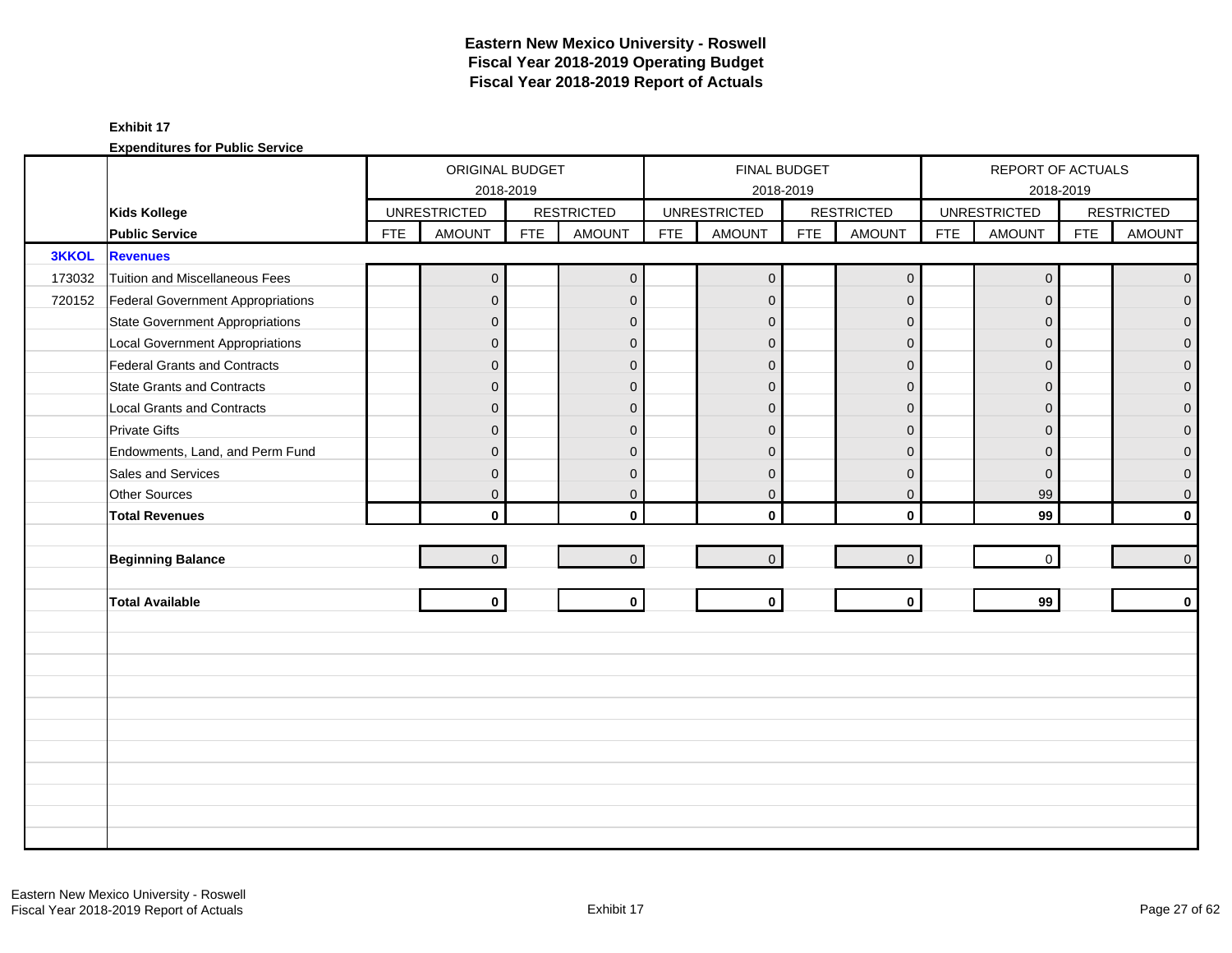|              |                                        |            | ORIGINAL BUDGET     |            |                   |            | <b>FINAL BUDGET</b> |            |                   |            | REPORT OF ACTUALS   |            |                   |
|--------------|----------------------------------------|------------|---------------------|------------|-------------------|------------|---------------------|------------|-------------------|------------|---------------------|------------|-------------------|
|              |                                        |            |                     | 2018-2019  |                   |            | 2018-2019           |            |                   |            | 2018-2019           |            |                   |
|              | <b>Kids Kollege</b>                    |            | <b>UNRESTRICTED</b> |            | <b>RESTRICTED</b> |            | <b>UNRESTRICTED</b> |            | <b>RESTRICTED</b> |            | <b>UNRESTRICTED</b> |            | <b>RESTRICTED</b> |
|              | <b>Public Service</b>                  | <b>FTE</b> | <b>AMOUNT</b>       | <b>FTE</b> | <b>AMOUNT</b>     | <b>FTE</b> | <b>AMOUNT</b>       | <b>FTE</b> | <b>AMOUNT</b>     | <b>FTE</b> | <b>AMOUNT</b>       | <b>FTE</b> | <b>AMOUNT</b>     |
| <b>3KKOL</b> | <b>Revenues</b>                        |            |                     |            |                   |            |                     |            |                   |            |                     |            |                   |
| 173032       | Tuition and Miscellaneous Fees         |            | $\overline{0}$      |            | $\overline{0}$    |            | $\overline{0}$      |            | $\mathbf 0$       |            | $\mathbf{0}$        |            | $\overline{0}$    |
| 720152       | Federal Government Appropriations      |            | $\overline{0}$      |            | $\mathbf{0}$      |            | $\Omega$            |            | $\mathbf{0}$      |            | $\Omega$            |            | $\overline{0}$    |
|              | <b>State Government Appropriations</b> |            | $\mathbf{0}$        |            | $\mathbf{0}$      |            | $\mathbf{0}$        |            | $\mathbf{0}$      |            | $\Omega$            |            | $\overline{0}$    |
|              | <b>Local Government Appropriations</b> |            | $\mathbf 0$         |            | $\mathbf{0}$      |            | $\mathbf{0}$        |            | $\mathbf{0}$      |            | $\mathbf{0}$        |            | $\mathbf 0$       |
|              | Federal Grants and Contracts           |            | $\overline{0}$      |            | $\mathbf{0}$      |            | $\mathbf{0}$        |            | $\mathbf{0}$      |            | $\Omega$            |            | $\mathbf{O}$      |
|              | <b>State Grants and Contracts</b>      |            | $\mathbf{0}$        |            | $\Omega$          |            | $\Omega$            |            | $\mathbf{0}$      |            | $\Omega$            |            | $\mathbf{0}$      |
|              | <b>Local Grants and Contracts</b>      |            | $\mathbf 0$         |            | $\mathbf{0}$      |            | $\Omega$            |            | $\mathbf{0}$      |            | $\Omega$            |            | $\mathbf{O}$      |
|              | <b>Private Gifts</b>                   |            | $\overline{0}$      |            | $\mathbf{0}$      |            | $\Omega$            |            | $\mathbf{0}$      |            | $\Omega$            |            | $\mathbf 0$       |
|              | Endowments, Land, and Perm Fund        |            | $\mathbf{0}$        |            | $\Omega$          |            | $\Omega$            |            | $\mathbf{0}$      |            | $\Omega$            |            | $\mathbf 0$       |
|              | Sales and Services                     |            | $\mathbf 0$         |            | $\mathbf{0}$      |            | $\mathbf{0}$        |            | $\mathbf{0}$      |            | $\mathbf{0}$        |            | $\pmb{0}$         |
|              | Other Sources                          |            | $\overline{0}$      |            | $\mathbf 0$       |            | $\mathbf 0$         |            | $\mathbf{0}$      |            | 99                  |            | $\mathsf{O}^-$    |
|              | <b>Total Revenues</b>                  |            | $\mathbf{0}$        |            | $\mathbf{0}$      |            | $\Omega$            |            | $\mathbf{0}$      |            | 99                  |            | $\mathbf{0}$      |
|              |                                        |            |                     |            |                   |            |                     |            |                   |            |                     |            |                   |
|              | <b>Beginning Balance</b>               |            | 0                   |            | $\overline{0}$    |            | $\mathbf 0$         |            | $\mathbf 0$       |            | $\mathbf 0$         |            | $\overline{0}$    |
|              |                                        |            |                     |            |                   |            |                     |            |                   |            |                     |            |                   |
|              | <b>Total Available</b>                 |            | $\mathbf 0$         |            | $\mathbf{0}$      |            | $\mathbf 0$         |            | $\mathbf 0$       |            | 99                  |            | $\mathbf{0}$      |
|              |                                        |            |                     |            |                   |            |                     |            |                   |            |                     |            |                   |
|              |                                        |            |                     |            |                   |            |                     |            |                   |            |                     |            |                   |
|              |                                        |            |                     |            |                   |            |                     |            |                   |            |                     |            |                   |
|              |                                        |            |                     |            |                   |            |                     |            |                   |            |                     |            |                   |
|              |                                        |            |                     |            |                   |            |                     |            |                   |            |                     |            |                   |
|              |                                        |            |                     |            |                   |            |                     |            |                   |            |                     |            |                   |
|              |                                        |            |                     |            |                   |            |                     |            |                   |            |                     |            |                   |
|              |                                        |            |                     |            |                   |            |                     |            |                   |            |                     |            |                   |
|              |                                        |            |                     |            |                   |            |                     |            |                   |            |                     |            |                   |
|              |                                        |            |                     |            |                   |            |                     |            |                   |            |                     |            |                   |
|              |                                        |            |                     |            |                   |            |                     |            |                   |            |                     |            |                   |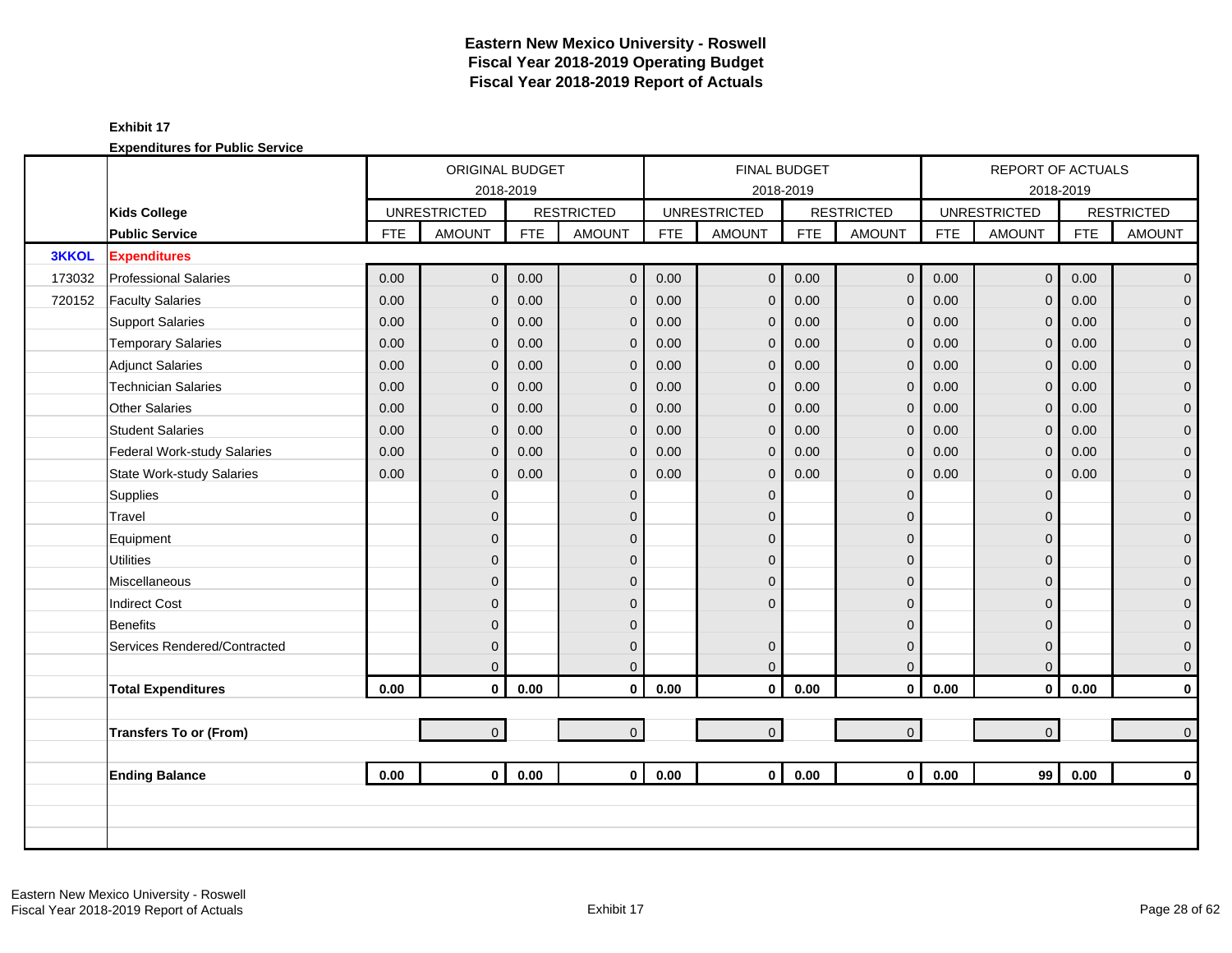|              |                                  |            | ORIGINAL BUDGET     |            |                   |            | <b>FINAL BUDGET</b> |            |                   |            | REPORT OF ACTUALS   |            |                     |
|--------------|----------------------------------|------------|---------------------|------------|-------------------|------------|---------------------|------------|-------------------|------------|---------------------|------------|---------------------|
|              |                                  |            | 2018-2019           |            |                   |            |                     | 2018-2019  |                   |            |                     | 2018-2019  |                     |
|              | <b>Kids College</b>              |            | <b>UNRESTRICTED</b> |            | <b>RESTRICTED</b> |            | <b>UNRESTRICTED</b> |            | <b>RESTRICTED</b> |            | <b>UNRESTRICTED</b> |            | <b>RESTRICTED</b>   |
|              | <b>Public Service</b>            | <b>FTE</b> | <b>AMOUNT</b>       | <b>FTE</b> | <b>AMOUNT</b>     | <b>FTE</b> | <b>AMOUNT</b>       | <b>FTE</b> | <b>AMOUNT</b>     | <b>FTE</b> | <b>AMOUNT</b>       | <b>FTE</b> | <b>AMOUNT</b>       |
| <b>3KKOL</b> | <b>Expenditures</b>              |            |                     |            |                   |            |                     |            |                   |            |                     |            |                     |
| 173032       | <b>Professional Salaries</b>     | 0.00       | $\overline{0}$      | 0.00       | $\mathbf{0}$      | 0.00       | $\mathbf 0$         | 0.00       | $\mathbf 0$       | 0.00       | $\overline{0}$      | 0.00       | $\overline{0}$      |
| 720152       | <b>Faculty Salaries</b>          | 0.00       | $\overline{0}$      | 0.00       | $\mathbf{0}$      | 0.00       | $\mathbf{0}$        | 0.00       | $\mathbf 0$       | 0.00       | $\Omega$            | 0.00       | $\mathbf 0$         |
|              | <b>Support Salaries</b>          | 0.00       | $\overline{0}$      | 0.00       | $\mathbf 0$       | 0.00       | $\mathbf{0}$        | 0.00       | $\mathbf 0$       | 0.00       | $\mathbf{0}$        | 0.00       | $\mathbf 0$         |
|              | <b>Temporary Salaries</b>        | 0.00       | $\mathbf{0}$        | 0.00       | $\mathbf{0}$      | 0.00       | $\mathbf{0}$        | 0.00       | $\mathbf 0$       | 0.00       | $\mathbf{0}$        | 0.00       | $\pmb{0}$           |
|              | <b>Adjunct Salaries</b>          | 0.00       | $\overline{0}$      | 0.00       | $\mathbf{0}$      | 0.00       | $\mathbf{0}$        | 0.00       | $\mathbf 0$       | 0.00       | $\Omega$            | 0.00       | $\mathbf 0$         |
|              | <b>Technician Salaries</b>       | 0.00       | $\mathbf{0}$        | 0.00       | $\mathbf 0$       | 0.00       | $\mathbf{0}$        | 0.00       | $\mathbf 0$       | 0.00       | $\mathbf{0}$        | 0.00       | $\mathbf 0$         |
|              | <b>Other Salaries</b>            | 0.00       | $\mathbf 0$         | 0.00       | $\mathbf{0}$      | 0.00       | $\mathbf{0}$        | 0.00       | $\mathbf 0$       | 0.00       | $\mathbf{0}$        | 0.00       | $\pmb{0}$           |
|              | <b>Student Salaries</b>          | 0.00       | $\Omega$            | 0.00       | $\Omega$          | 0.00       | $\mathbf{0}$        | 0.00       | $\mathbf{0}$      | 0.00       | $\Omega$            | 0.00       | $\overline{0}$      |
|              | Federal Work-study Salaries      | 0.00       | $\overline{0}$      | 0.00       | $\mathbf{0}$      | 0.00       | $\overline{0}$      | 0.00       | $\mathbf 0$       | 0.00       | $\mathbf{0}$        | 0.00       | $\overline{0}$      |
|              | <b>State Work-study Salaries</b> | 0.00       | $\overline{0}$      | 0.00       | $\mathbf{0}$      | 0.00       | $\mathbf{0}$        | 0.00       | $\mathbf 0$       | 0.00       | $\mathbf{0}$        | 0.00       | $\pmb{0}$           |
|              | Supplies                         |            | $\overline{0}$      |            | $\mathbf{0}$      |            | $\Omega$            |            | $\mathbf 0$       |            | $\Omega$            |            | $\mathbf 0$         |
|              | Travel                           |            | $\overline{0}$      |            | $\Omega$          |            | $\Omega$            |            | $\mathbf 0$       |            | $\Omega$            |            | $\mathbf 0$         |
|              | Equipment                        |            | 0                   |            | $\mathbf{0}$      |            | $\Omega$            |            | $\mathbf 0$       |            | $\Omega$            |            | $\pmb{0}$           |
|              | <b>Utilities</b>                 |            | $\mathbf{0}$        |            | $\mathbf{0}$      |            | $\mathbf{0}$        |            | $\pmb{0}$         |            | $\Omega$            |            | $\overline{0}$      |
|              | Miscellaneous                    |            | $\overline{0}$      |            | $\Omega$          |            | $\Omega$            |            | $\mathbf{0}$      |            | $\Omega$            |            | $\mathsf{O}\xspace$ |
|              | <b>Indirect Cost</b>             |            | $\overline{0}$      |            | $\Omega$          |            | $\Omega$            |            | $\mathbf{0}$      |            | $\Omega$            |            | $\mathbf 0$         |
|              | Benefits                         |            | $\overline{0}$      |            | $\Omega$          |            |                     |            | $\mathbf 0$       |            | $\Omega$            |            | $\overline{0}$      |
|              | Services Rendered/Contracted     |            | $\overline{0}$      |            | $\mathbf{0}$      |            | $\mathbf 0$         |            | $\mathbf 0$       |            | $\Omega$            |            | $\mathbf 0$         |
|              |                                  |            | $\overline{0}$      |            | $\Omega$          |            | $\mathbf{0}$        |            | $\mathbf 0$       |            | $\mathbf{0}$        |            | $\mathbf 0$         |
|              | <b>Total Expenditures</b>        | 0.00       | $\mathbf 0$         | 0.00       | $\mathbf 0$       | 0.00       | $\mathbf 0$         | 0.00       | $\mathbf 0$       | 0.00       | $\mathbf 0$         | 0.00       | $\pmb{0}$           |
|              |                                  |            |                     |            |                   |            |                     |            |                   |            |                     |            |                     |
|              | <b>Transfers To or (From)</b>    |            | $\overline{0}$      |            | $\overline{0}$    |            | $\mathbf 0$         |            | $\mathbf{0}$      |            | $\overline{0}$      |            | $\mathbf 0$         |
|              |                                  |            |                     |            |                   |            |                     |            |                   |            |                     |            |                     |
|              | <b>Ending Balance</b>            | 0.00       | $\mathbf{0}$        | 0.00       | $\mathbf{0}$      | 0.00       | $\mathbf{0}$        | 0.00       | $\mathbf 0$       | 0.00       | 99                  | 0.00       | $\mathbf 0$         |
|              |                                  |            |                     |            |                   |            |                     |            |                   |            |                     |            |                     |
|              |                                  |            |                     |            |                   |            |                     |            |                   |            |                     |            |                     |
|              |                                  |            |                     |            |                   |            |                     |            |                   |            |                     |            |                     |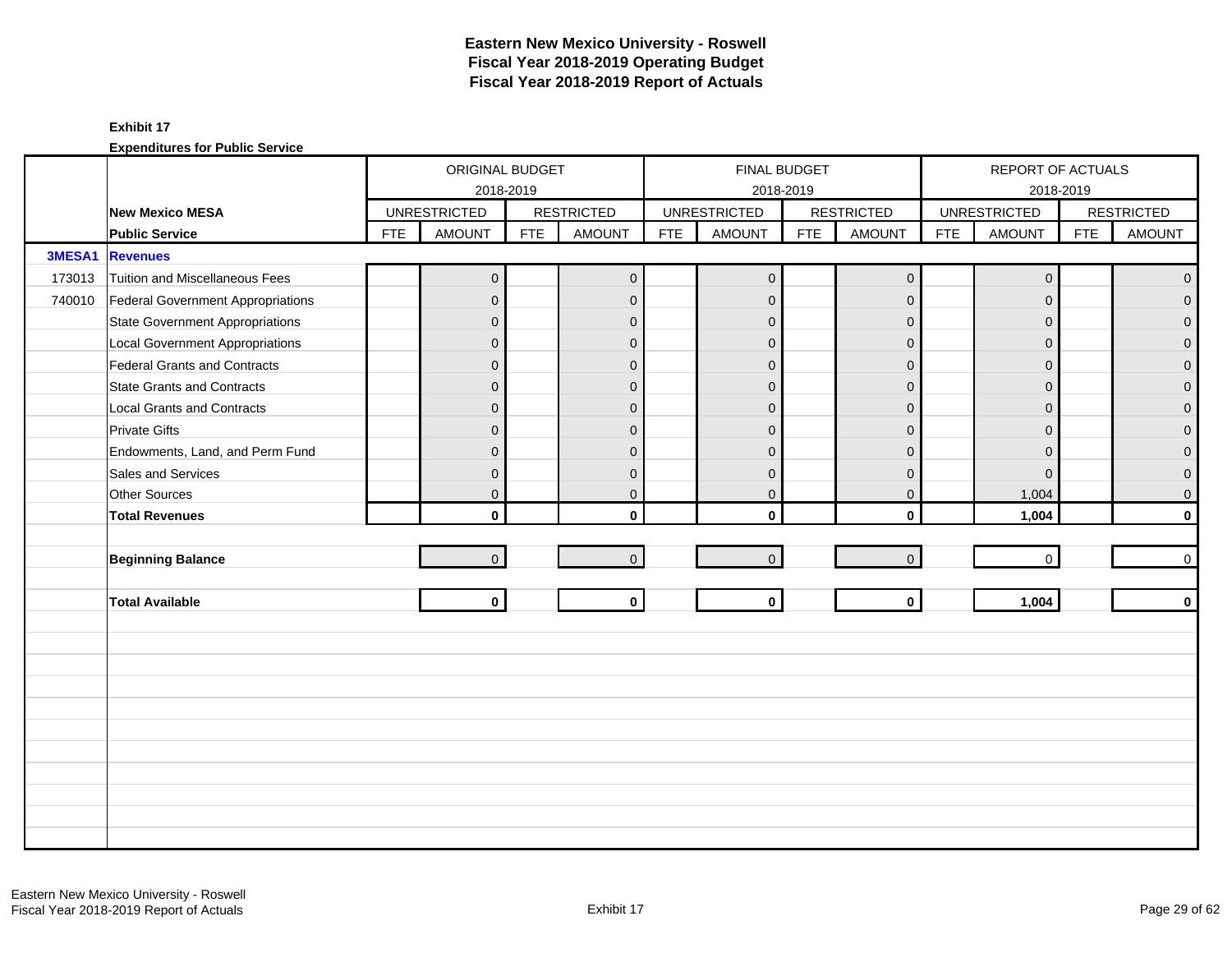|        |                                          |            | ORIGINAL BUDGET     |            |                   |            | FINAL BUDGET        |            |                   |            | REPORT OF ACTUALS   |            |                   |
|--------|------------------------------------------|------------|---------------------|------------|-------------------|------------|---------------------|------------|-------------------|------------|---------------------|------------|-------------------|
|        |                                          |            | 2018-2019           |            |                   |            | 2018-2019           |            |                   |            | 2018-2019           |            |                   |
|        | New Mexico MESA                          |            | <b>UNRESTRICTED</b> |            | <b>RESTRICTED</b> |            | <b>UNRESTRICTED</b> |            | <b>RESTRICTED</b> |            | <b>UNRESTRICTED</b> |            | <b>RESTRICTED</b> |
|        | <b>Public Service</b>                    | <b>FTE</b> | <b>AMOUNT</b>       | <b>FTE</b> | <b>AMOUNT</b>     | <b>FTE</b> | <b>AMOUNT</b>       | <b>FTE</b> | <b>AMOUNT</b>     | <b>FTE</b> | <b>AMOUNT</b>       | <b>FTE</b> | <b>AMOUNT</b>     |
| 3MESA1 | <b>Revenues</b>                          |            |                     |            |                   |            |                     |            |                   |            |                     |            |                   |
| 173013 | <b>Tuition and Miscellaneous Fees</b>    |            | $\overline{0}$      |            | $\overline{0}$    |            | $\overline{0}$      |            | $\mathbf 0$       |            | $\mathbf 0$         |            | $\mathbf 0$       |
| 740010 | <b>Federal Government Appropriations</b> |            | $\overline{0}$      |            | $\mathbf{0}$      |            | $\mathbf{0}$        |            | $\mathbf{0}$      |            | $\Omega$            |            | $\overline{0}$    |
|        | <b>State Government Appropriations</b>   |            | $\mathbf{0}$        |            | $\Omega$          |            | $\mathbf{0}$        |            | $\mathbf{0}$      |            | $\Omega$            |            | 0                 |
|        | <b>Local Government Appropriations</b>   |            | $\mathbf 0$         |            | $\mathbf{0}$      |            | $\mathbf{0}$        |            | $\mathbf 0$       |            | $\mathbf{0}$        |            | 0                 |
|        | <b>Federal Grants and Contracts</b>      |            | $\overline{0}$      |            | $\mathbf{0}$      |            | $\mathbf{0}$        |            | $\mathbf 0$       |            | $\Omega$            |            | $\overline{0}$    |
|        | <b>State Grants and Contracts</b>        |            | $\mathbf{0}$        |            | $\Omega$          |            | $\Omega$            |            | $\Omega$          |            | $\Omega$            |            | $\Omega$          |
|        | <b>Local Grants and Contracts</b>        |            | $\mathbf 0$         |            | $\mathbf{0}$      |            | $\Omega$            |            | $\mathbf{0}$      |            | $\Omega$            |            | $\mathbf 0$       |
|        | <b>Private Gifts</b>                     |            | $\overline{0}$      |            | $\Omega$          |            | $\mathbf{0}$        |            | $\mathbf{0}$      |            | $\Omega$            |            | $\overline{0}$    |
|        | Endowments, Land, and Perm Fund          |            | $\mathbf{0}$        |            | $\Omega$          |            | $\mathbf{0}$        |            | $\mathbf{0}$      |            | $\Omega$            |            | 0                 |
|        | Sales and Services                       |            | $\mathbf 0$         |            | $\mathbf{0}$      |            | $\mathbf{0}$        |            | $\mathbf 0$       |            | $\mathbf{0}$        |            | 0                 |
|        | Other Sources                            |            | $\overline{0}$      |            | $\mathbf 0$       |            | $\mathbf 0$         |            | $\mathbf 0$       |            | 1,004               |            | 0                 |
|        | <b>Total Revenues</b>                    |            | $\mathbf{0}$        |            | $\mathbf{0}$      |            | $\mathbf{0}$        |            | $\mathbf 0$       |            | 1,004               |            | $\mathbf{0}$      |
|        |                                          |            |                     |            |                   |            |                     |            |                   |            |                     |            |                   |
|        | <b>Beginning Balance</b>                 |            | $\mathbf 0$         |            | $\Omega$          |            | $\overline{0}$      |            | $\mathbf 0$       |            | $\mathbf 0$         |            | $\mathbf 0$       |
|        |                                          |            |                     |            |                   |            |                     |            |                   |            |                     |            |                   |
|        | <b>Total Available</b>                   |            | $\mathbf{0}$        |            | $\mathbf 0$       |            | $\mathbf{0}$        |            | $\mathbf 0$       |            | 1,004               |            | $\mathbf 0$       |
|        |                                          |            |                     |            |                   |            |                     |            |                   |            |                     |            |                   |
|        |                                          |            |                     |            |                   |            |                     |            |                   |            |                     |            |                   |
|        |                                          |            |                     |            |                   |            |                     |            |                   |            |                     |            |                   |
|        |                                          |            |                     |            |                   |            |                     |            |                   |            |                     |            |                   |
|        |                                          |            |                     |            |                   |            |                     |            |                   |            |                     |            |                   |
|        |                                          |            |                     |            |                   |            |                     |            |                   |            |                     |            |                   |
|        |                                          |            |                     |            |                   |            |                     |            |                   |            |                     |            |                   |
|        |                                          |            |                     |            |                   |            |                     |            |                   |            |                     |            |                   |
|        |                                          |            |                     |            |                   |            |                     |            |                   |            |                     |            |                   |
|        |                                          |            |                     |            |                   |            |                     |            |                   |            |                     |            |                   |
|        |                                          |            |                     |            |                   |            |                     |            |                   |            |                     |            |                   |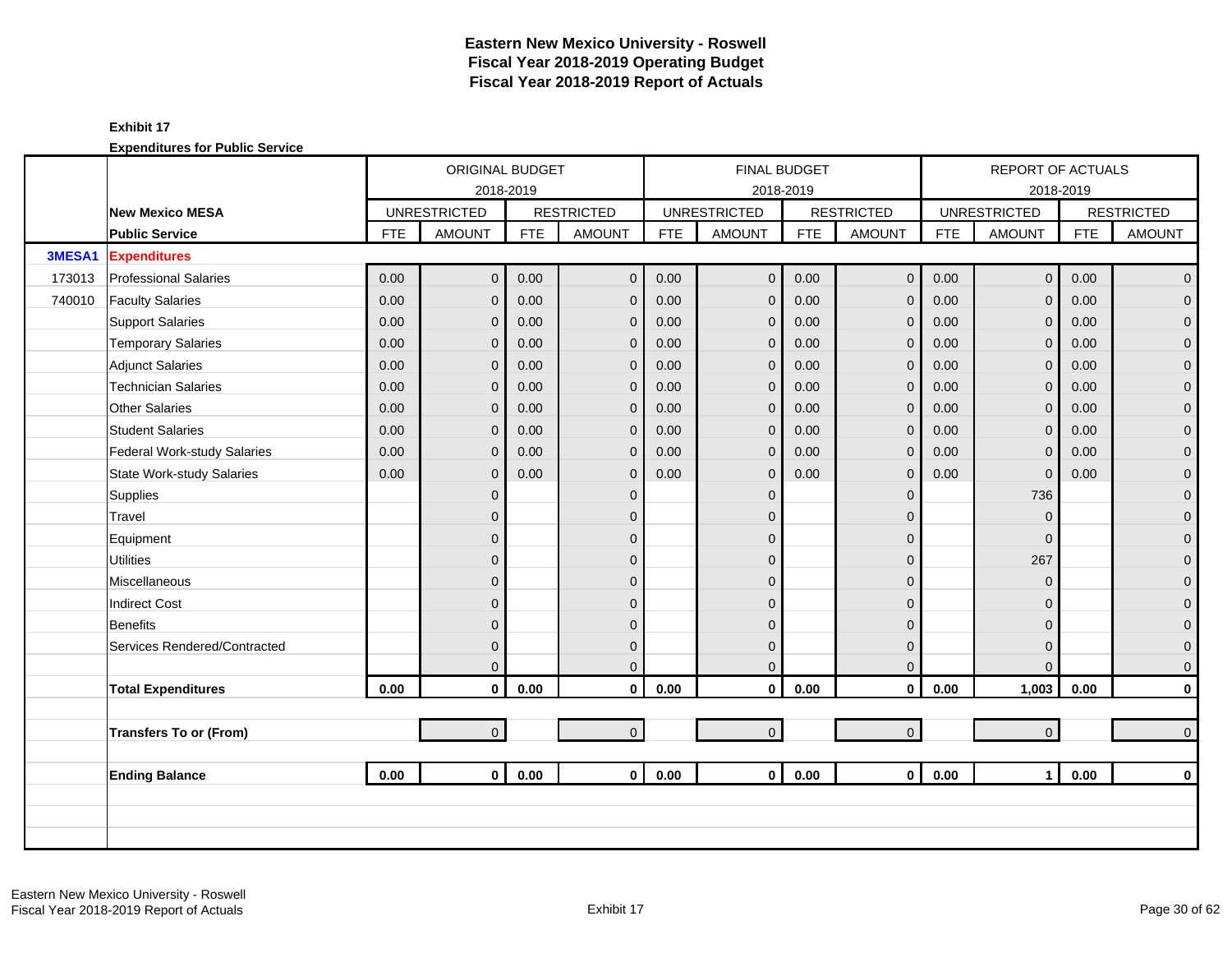|        |                                  |            | ORIGINAL BUDGET     |            |                   |            | <b>FINAL BUDGET</b> |            |                   |            | REPORT OF ACTUALS   |            |                     |
|--------|----------------------------------|------------|---------------------|------------|-------------------|------------|---------------------|------------|-------------------|------------|---------------------|------------|---------------------|
|        |                                  |            | 2018-2019           |            |                   |            |                     | 2018-2019  |                   |            |                     | 2018-2019  |                     |
|        | New Mexico MESA                  |            | <b>UNRESTRICTED</b> |            | <b>RESTRICTED</b> |            | <b>UNRESTRICTED</b> |            | <b>RESTRICTED</b> |            | <b>UNRESTRICTED</b> |            | <b>RESTRICTED</b>   |
|        | <b>Public Service</b>            | <b>FTE</b> | <b>AMOUNT</b>       | <b>FTE</b> | <b>AMOUNT</b>     | <b>FTE</b> | <b>AMOUNT</b>       | <b>FTE</b> | <b>AMOUNT</b>     | <b>FTE</b> | <b>AMOUNT</b>       | <b>FTE</b> | <b>AMOUNT</b>       |
| 3MESA1 | <b>Expenditures</b>              |            |                     |            |                   |            |                     |            |                   |            |                     |            |                     |
| 173013 | <b>Professional Salaries</b>     | 0.00       | $\overline{0}$      | 0.00       | $\mathbf 0$       | 0.00       | $\mathbf 0$         | 0.00       | $\mathbf 0$       | 0.00       | $\overline{0}$      | 0.00       | $\mathbf{0}$        |
| 740010 | <b>Faculty Salaries</b>          | 0.00       | $\overline{0}$      | 0.00       | $\mathbf{0}$      | 0.00       | $\overline{0}$      | 0.00       | $\mathbf 0$       | 0.00       | $\Omega$            | 0.00       | $\mathbf 0$         |
|        | <b>Support Salaries</b>          | 0.00       | 0                   | 0.00       | $\mathbf{0}$      | 0.00       | $\mathbf{0}$        | 0.00       | $\mathbf 0$       | 0.00       | $\mathbf 0$         | 0.00       | $\mathbf 0$         |
|        | <b>Temporary Salaries</b>        | 0.00       | 0                   | 0.00       | $\mathbf{0}$      | 0.00       | $\mathbf 0$         | 0.00       | $\mathbf{0}$      | 0.00       | $\mathbf{0}$        | 0.00       | $\pmb{0}$           |
|        | <b>Adjunct Salaries</b>          | 0.00       | $\overline{0}$      | 0.00       | $\mathbf{0}$      | 0.00       | $\mathbf{0}$        | 0.00       | $\mathbf 0$       | 0.00       | $\Omega$            | 0.00       | $\mathbf 0$         |
|        | <b>Technician Salaries</b>       | 0.00       | 0                   | 0.00       | $\mathbf{0}$      | 0.00       | $\mathbf 0$         | 0.00       | $\mathbf 0$       | 0.00       | $\mathbf{0}$        | 0.00       | $\mathbf 0$         |
|        | <b>Other Salaries</b>            | 0.00       | 0                   | 0.00       | $\mathbf{0}$      | 0.00       | $\mathbf 0$         | 0.00       | $\mathbf 0$       | 0.00       | $\mathbf{0}$        | 0.00       | $\pmb{0}$           |
|        | <b>Student Salaries</b>          | 0.00       | $\Omega$            | 0.00       | $\Omega$          | 0.00       | $\mathbf 0$         | 0.00       | $\mathbf{0}$      | 0.00       | $\Omega$            | 0.00       | $\overline{0}$      |
|        | Federal Work-study Salaries      | 0.00       | 0                   | 0.00       | $\mathbf{0}$      | 0.00       | $\Omega$            | 0.00       | $\mathbf 0$       | 0.00       | $\Omega$            | 0.00       | $\overline{0}$      |
|        | <b>State Work-study Salaries</b> | 0.00       | 0                   | 0.00       | $\mathbf{0}$      | 0.00       | $\mathbf{0}$        | 0.00       | $\mathbf 0$       | 0.00       | $\mathbf 0$         | 0.00       | $\pmb{0}$           |
|        | Supplies                         |            | $\overline{0}$      |            | $\mathbf{0}$      |            | $\Omega$            |            | $\mathbf 0$       |            | 736                 |            | $\mathbf 0$         |
|        | Travel                           |            | 0                   |            | $\mathbf{0}$      |            | $\Omega$            |            | $\mathbf 0$       |            | $\Omega$            |            | $\mathbf 0$         |
|        | Equipment                        |            | 0                   |            | $\mathbf{0}$      |            | $\Omega$            |            | $\mathbf 0$       |            | $\Omega$            |            | $\boldsymbol{0}$    |
|        | <b>Utilities</b>                 |            | 0                   |            | $\mathbf{0}$      |            | $\mathbf{0}$        |            | $\pmb{0}$         |            | 267                 |            | $\overline{0}$      |
|        | <b>Miscellaneous</b>             |            | $\overline{0}$      |            | $\Omega$          |            | $\Omega$            |            | $\mathbf 0$       |            | $\Omega$            |            | $\mathsf{O}\xspace$ |
|        | <b>Indirect Cost</b>             |            | 0                   |            | $\Omega$          |            | $\Omega$            |            | $\mathbf{0}$      |            | $\Omega$            |            | $\mathbf 0$         |
|        | <b>Benefits</b>                  |            | 0                   |            | $\Omega$          |            | $\Omega$            |            | $\mathbf 0$       |            | $\Omega$            |            | $\mathbf{0}$        |
|        | Services Rendered/Contracted     |            | 0                   |            | $\mathbf{0}$      |            | $\overline{0}$      |            | $\mathbf 0$       |            | $\Omega$            |            | $\mathbf 0$         |
|        |                                  |            | $\overline{0}$      |            | $\mathbf{0}$      |            | $\overline{0}$      |            | $\mathbf 0$       |            | $\Omega$            |            | $\mathbf 0$         |
|        | <b>Total Expenditures</b>        | 0.00       | $\mathbf{0}$        | 0.00       | $\mathbf{0}$      | 0.00       | $\mathbf 0$         | 0.00       | $\mathbf 0$       | 0.00       | 1,003               | 0.00       | $\pmb{0}$           |
|        |                                  |            |                     |            |                   |            |                     |            |                   |            |                     |            |                     |
|        | <b>Transfers To or (From)</b>    |            | $\overline{0}$      |            | $\overline{0}$    |            | $\overline{0}$      |            | $\mathbf 0$       |            | $\overline{0}$      |            | $\mathbf 0$         |
|        |                                  |            |                     |            |                   |            |                     |            |                   |            |                     |            |                     |
|        | <b>Ending Balance</b>            | 0.00       | $\mathbf{0}$        | 0.00       | $\mathbf{0}$      | 0.00       | $\mathbf 0$         | 0.00       | $\mathbf 0$       | 0.00       | $\mathbf 1$         | 0.00       | $\mathbf 0$         |
|        |                                  |            |                     |            |                   |            |                     |            |                   |            |                     |            |                     |
|        |                                  |            |                     |            |                   |            |                     |            |                   |            |                     |            |                     |
|        |                                  |            |                     |            |                   |            |                     |            |                   |            |                     |            |                     |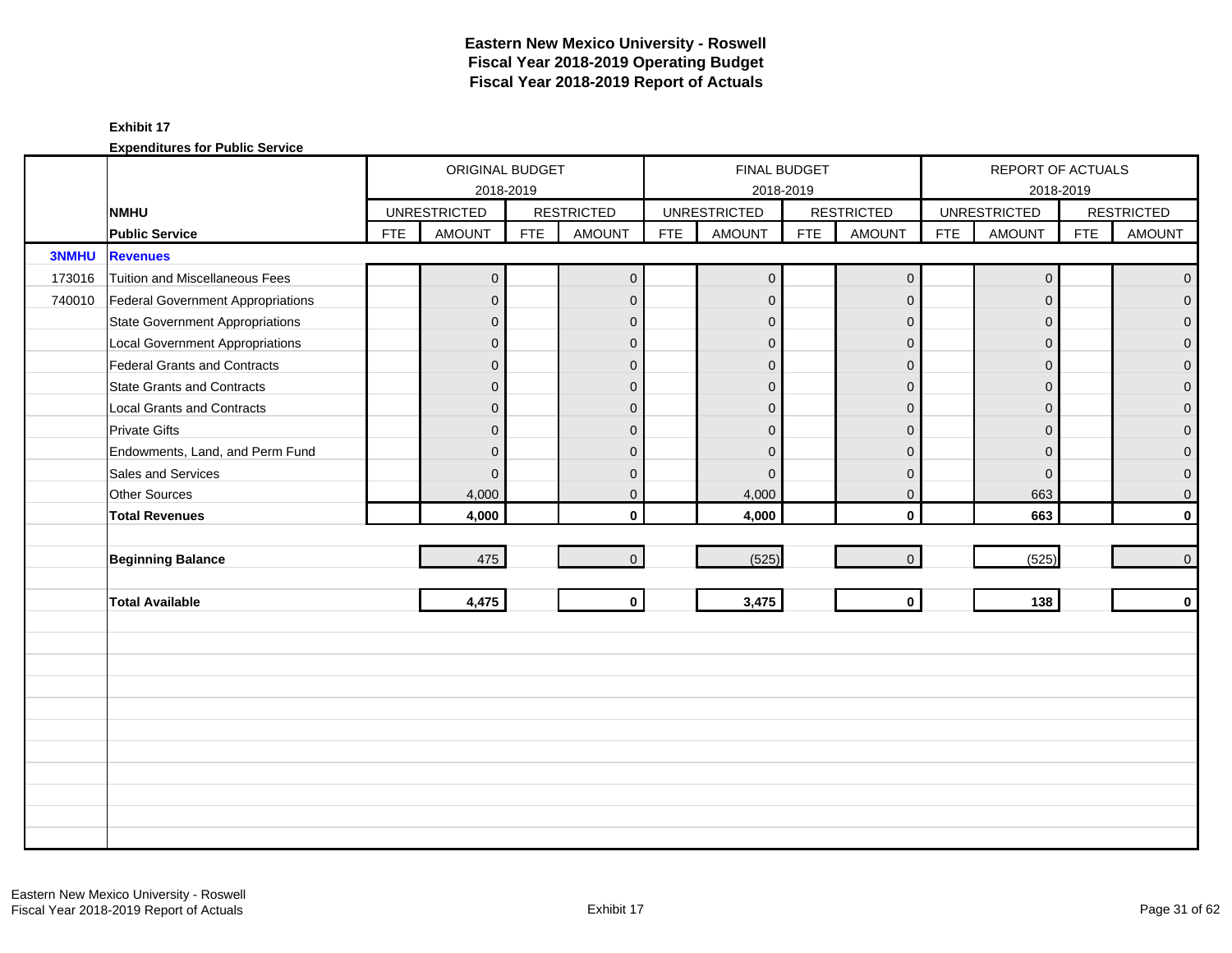|              |                                        |            | ORIGINAL BUDGET     |            |                   |            | FINAL BUDGET        |            |                   |            | REPORT OF ACTUALS   |            |                   |
|--------------|----------------------------------------|------------|---------------------|------------|-------------------|------------|---------------------|------------|-------------------|------------|---------------------|------------|-------------------|
|              |                                        |            | 2018-2019           |            |                   |            |                     | 2018-2019  |                   |            | 2018-2019           |            |                   |
|              | <b>NMHU</b>                            |            | <b>UNRESTRICTED</b> |            | <b>RESTRICTED</b> |            | <b>UNRESTRICTED</b> |            | <b>RESTRICTED</b> |            | <b>UNRESTRICTED</b> |            | <b>RESTRICTED</b> |
|              | <b>Public Service</b>                  | <b>FTE</b> | <b>AMOUNT</b>       | <b>FTE</b> | <b>AMOUNT</b>     | <b>FTE</b> | <b>AMOUNT</b>       | <b>FTE</b> | <b>AMOUNT</b>     | <b>FTE</b> | AMOUNT              | <b>FTE</b> | <b>AMOUNT</b>     |
| <b>3NMHU</b> | <b>Revenues</b>                        |            |                     |            |                   |            |                     |            |                   |            |                     |            |                   |
| 173016       | <b>Tuition and Miscellaneous Fees</b>  |            | $\overline{0}$      |            | $\mathbf 0$       |            | $\mathbf{0}$        |            | $\mathbf 0$       |            | $\mathsf{O}\xspace$ |            | $\overline{0}$    |
| 740010       | Federal Government Appropriations      |            | $\overline{0}$      |            | $\mathbf{0}$      |            | $\Omega$            |            | $\mathbf{0}$      |            | $\Omega$            |            | $\overline{0}$    |
|              | <b>State Government Appropriations</b> |            | $\overline{0}$      |            | $\mathbf{0}$      |            | $\Omega$            |            | $\mathbf{0}$      |            | $\mathbf{0}$        |            | $\overline{0}$    |
|              | <b>Local Government Appropriations</b> |            | $\mathbf 0$         |            | $\mathbf{0}$      |            | $\mathbf{0}$        |            | $\mathbf{0}$      |            | $\mathbf 0$         |            | $\overline{0}$    |
|              | <b>Federal Grants and Contracts</b>    |            | $\overline{0}$      |            | $\mathbf{0}$      |            | $\overline{0}$      |            | $\mathbf{0}$      |            | $\mathbf{0}$        |            | $\overline{0}$    |
|              | <b>State Grants and Contracts</b>      |            | $\overline{0}$      |            | $\Omega$          |            | $\Omega$            |            | $\Omega$          |            | $\Omega$            |            | $\overline{0}$    |
|              | Local Grants and Contracts             |            | $\overline{0}$      |            | $\mathbf{0}$      |            | $\Omega$            |            | $\mathbf{0}$      |            | $\mathbf{0}$        |            | $\overline{0}$    |
|              | <b>Private Gifts</b>                   |            | $\overline{0}$      |            | $\mathbf{0}$      |            | $\Omega$            |            | $\mathbf{0}$      |            | $\Omega$            |            | $\overline{0}$    |
|              | Endowments, Land, and Perm Fund        |            | $\overline{0}$      |            | $\mathbf{0}$      |            | $\Omega$            |            | $\mathbf{0}$      |            | $\mathbf{0}$        |            | $\overline{0}$    |
|              | Sales and Services                     |            | $\overline{0}$      |            | $\mathbf{0}$      |            | $\mathbf 0$         |            | $\mathbf 0$       |            | $\mathbf 0$         |            | $\mathbf 0$       |
|              | Other Sources                          |            | 4,000               |            | $\mathbf 0$       |            | 4,000               |            | $\mathbf 0$       |            | 663                 |            | $\mathbf{0}$      |
|              | <b>Total Revenues</b>                  |            | 4,000               |            | $\mathbf{0}$      |            | 4,000               |            | $\mathbf{0}$      |            | 663                 |            | $\mathbf{0}$      |
|              |                                        |            |                     |            |                   |            |                     |            |                   |            |                     |            |                   |
|              | <b>Beginning Balance</b>               |            | 475                 |            | $\mathbf{0}$      |            | (525)               |            | $\mathbf 0$       |            | (525)               |            | $\overline{0}$    |
|              |                                        |            |                     |            |                   |            |                     |            |                   |            |                     |            |                   |
|              | <b>Total Available</b>                 |            | 4,475               |            | $\mathbf{0}$      |            | 3,475               |            | $\mathbf 0$       |            | 138                 |            | $\mathbf 0$       |
|              |                                        |            |                     |            |                   |            |                     |            |                   |            |                     |            |                   |
|              |                                        |            |                     |            |                   |            |                     |            |                   |            |                     |            |                   |
|              |                                        |            |                     |            |                   |            |                     |            |                   |            |                     |            |                   |
|              |                                        |            |                     |            |                   |            |                     |            |                   |            |                     |            |                   |
|              |                                        |            |                     |            |                   |            |                     |            |                   |            |                     |            |                   |
|              |                                        |            |                     |            |                   |            |                     |            |                   |            |                     |            |                   |
|              |                                        |            |                     |            |                   |            |                     |            |                   |            |                     |            |                   |
|              |                                        |            |                     |            |                   |            |                     |            |                   |            |                     |            |                   |
|              |                                        |            |                     |            |                   |            |                     |            |                   |            |                     |            |                   |
|              |                                        |            |                     |            |                   |            |                     |            |                   |            |                     |            |                   |
|              |                                        |            |                     |            |                   |            |                     |            |                   |            |                     |            |                   |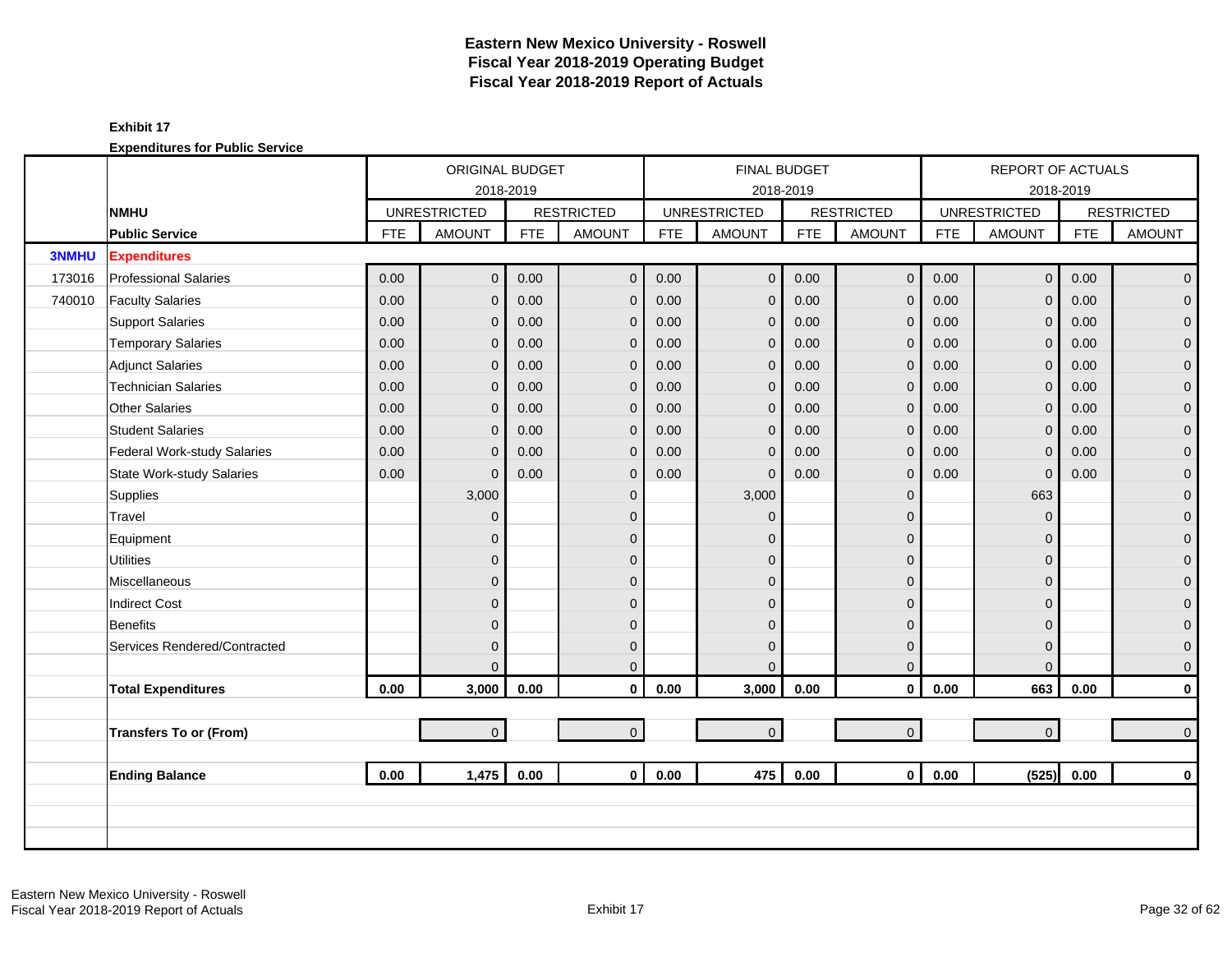|              |                                  |            | ORIGINAL BUDGET     |            |                   |            | <b>FINAL BUDGET</b> |            |                   |            | REPORT OF ACTUALS   |            |                     |
|--------------|----------------------------------|------------|---------------------|------------|-------------------|------------|---------------------|------------|-------------------|------------|---------------------|------------|---------------------|
|              |                                  |            | 2018-2019           |            |                   |            | 2018-2019           |            |                   |            |                     | 2018-2019  |                     |
|              | <b>NMHU</b>                      |            | <b>UNRESTRICTED</b> |            | <b>RESTRICTED</b> |            | <b>UNRESTRICTED</b> |            | <b>RESTRICTED</b> |            | <b>UNRESTRICTED</b> |            | <b>RESTRICTED</b>   |
|              | <b>Public Service</b>            | <b>FTE</b> | <b>AMOUNT</b>       | <b>FTE</b> | <b>AMOUNT</b>     | <b>FTE</b> | <b>AMOUNT</b>       | <b>FTE</b> | <b>AMOUNT</b>     | <b>FTE</b> | <b>AMOUNT</b>       | <b>FTE</b> | <b>AMOUNT</b>       |
| <b>3NMHU</b> | <b>Expenditures</b>              |            |                     |            |                   |            |                     |            |                   |            |                     |            |                     |
| 173016       | <b>Professional Salaries</b>     | 0.00       | $\overline{0}$      | 0.00       | $\mathbf 0$       | 0.00       | $\mathbf{0}$        | 0.00       | $\mathbf 0$       | 0.00       | $\overline{0}$      | 0.00       | $\overline{0}$      |
| 740010       | <b>Faculty Salaries</b>          | 0.00       | $\overline{0}$      | 0.00       | $\mathbf{0}$      | 0.00       | $\mathbf{0}$        | 0.00       | $\mathbf 0$       | 0.00       | $\Omega$            | 0.00       | $\overline{0}$      |
|              | <b>Support Salaries</b>          | 0.00       | $\mathbf 0$         | 0.00       | $\mathbf 0$       | 0.00       | $\mathbf{0}$        | 0.00       | $\mathbf 0$       | 0.00       | $\mathbf{0}$        | 0.00       | $\mathbf{0}$        |
|              | <b>Temporary Salaries</b>        | 0.00       | $\mathbf 0$         | 0.00       | $\mathbf 0$       | 0.00       | $\mathbf{0}$        | 0.00       | $\mathbf 0$       | 0.00       | 0                   | 0.00       | $\pmb{0}$           |
|              | <b>Adjunct Salaries</b>          | 0.00       | $\overline{0}$      | 0.00       | $\Omega$          | 0.00       | $\mathbf{0}$        | 0.00       | $\mathbf{0}$      | 0.00       | $\Omega$            | 0.00       | $\overline{0}$      |
|              | <b>Technician Salaries</b>       | 0.00       | $\mathbf{0}$        | 0.00       | $\mathbf{0}$      | 0.00       | $\mathbf 0$         | 0.00       | $\mathbf 0$       | 0.00       | $\mathbf{0}$        | 0.00       | $\mathbf 0$         |
|              | Other Salaries                   | 0.00       | $\mathbf{0}$        | 0.00       | $\mathbf{0}$      | 0.00       | $\mathbf{0}$        | 0.00       | $\mathbf{0}$      | 0.00       | $\mathbf 0$         | 0.00       | $\pmb{0}$           |
|              | <b>Student Salaries</b>          | 0.00       | $\mathbf{0}$        | 0.00       | $\mathbf{0}$      | 0.00       | $\mathbf 0$         | 0.00       | $\mathbf 0$       | 0.00       | $\Omega$            | 0.00       | $\overline{0}$      |
|              | Federal Work-study Salaries      | 0.00       | $\Omega$            | 0.00       | $\mathbf{0}$      | 0.00       | $\mathbf 0$         | 0.00       | $\mathbf{0}$      | 0.00       | $\Omega$            | 0.00       | $\overline{0}$      |
|              | <b>State Work-study Salaries</b> | 0.00       | $\Omega$            | 0.00       | $\mathbf{0}$      | 0.00       | $\Omega$            | 0.00       | $\mathbf 0$       | 0.00       | $\mathbf 0$         | 0.00       | $\pmb{0}$           |
|              | Supplies                         |            | 3,000               |            | $\mathbf{0}$      |            | 3,000               |            | $\mathbf 0$       |            | 663                 |            | $\mathbf 0$         |
|              | Travel                           |            | $\overline{0}$      |            | $\Omega$          |            | $\Omega$            |            | $\mathbf 0$       |            | $\Omega$            |            | $\mathbf 0$         |
|              | Equipment                        |            | $\mathbf 0$         |            | $\mathbf{0}$      |            | $\Omega$            |            | $\mathbf 0$       |            | $\Omega$            |            | $\pmb{0}$           |
|              | <b>Utilities</b>                 |            | $\overline{0}$      |            | $\Omega$          |            | $\Omega$            |            | $\mathbf 0$       |            | $\Omega$            |            | $\overline{0}$      |
|              | Miscellaneous                    |            | $\overline{0}$      |            | $\mathbf{0}$      |            | $\Omega$            |            | $\mathbf 0$       |            | $\Omega$            |            | $\mathsf{O}\xspace$ |
|              | <b>Indirect Cost</b>             |            | $\overline{0}$      |            | $\mathbf{0}$      |            | $\Omega$            |            | $\mathbf 0$       |            | $\Omega$            |            | $\boldsymbol{0}$    |
|              | Benefits                         |            | $\overline{0}$      |            | $\Omega$          |            | $\mathbf{0}$        |            | $\mathbf 0$       |            | $\Omega$            |            | $\mathbf{0}$        |
|              | Services Rendered/Contracted     |            | $\mathbf{0}$        |            | $\mathbf{0}$      |            | $\mathbf{0}$        |            | $\mathbf 0$       |            | $\Omega$            |            | $\mathbf 0$         |
|              |                                  |            | $\Omega$            |            | $\Omega$          |            | $\Omega$            |            | $\mathbf{0}$      |            | $\Omega$            |            | $\mathbf 0$         |
|              | <b>Total Expenditures</b>        | 0.00       | 3,000               | 0.00       | $\mathbf 0$       | 0.00       | 3,000               | 0.00       | $\mathbf 0$       | 0.00       | 663                 | 0.00       | $\mathbf 0$         |
|              |                                  |            |                     |            |                   |            |                     |            |                   |            |                     |            |                     |
|              | <b>Transfers To or (From)</b>    |            | $\overline{0}$      |            | $\overline{0}$    |            | $\pmb{0}$           |            | $\mathbf{0}$      |            | $\overline{0}$      |            | $\pmb{0}$           |
|              |                                  |            |                     |            |                   |            |                     |            |                   |            |                     |            |                     |
|              | <b>Ending Balance</b>            | 0.00       | 1,475               | 0.00       | $\mathbf{0}$      | 0.00       | 475                 | 0.00       | $\mathbf{0}$      | 0.00       | (525)               | 0.00       | $\mathbf 0$         |
|              |                                  |            |                     |            |                   |            |                     |            |                   |            |                     |            |                     |
|              |                                  |            |                     |            |                   |            |                     |            |                   |            |                     |            |                     |
|              |                                  |            |                     |            |                   |            |                     |            |                   |            |                     |            |                     |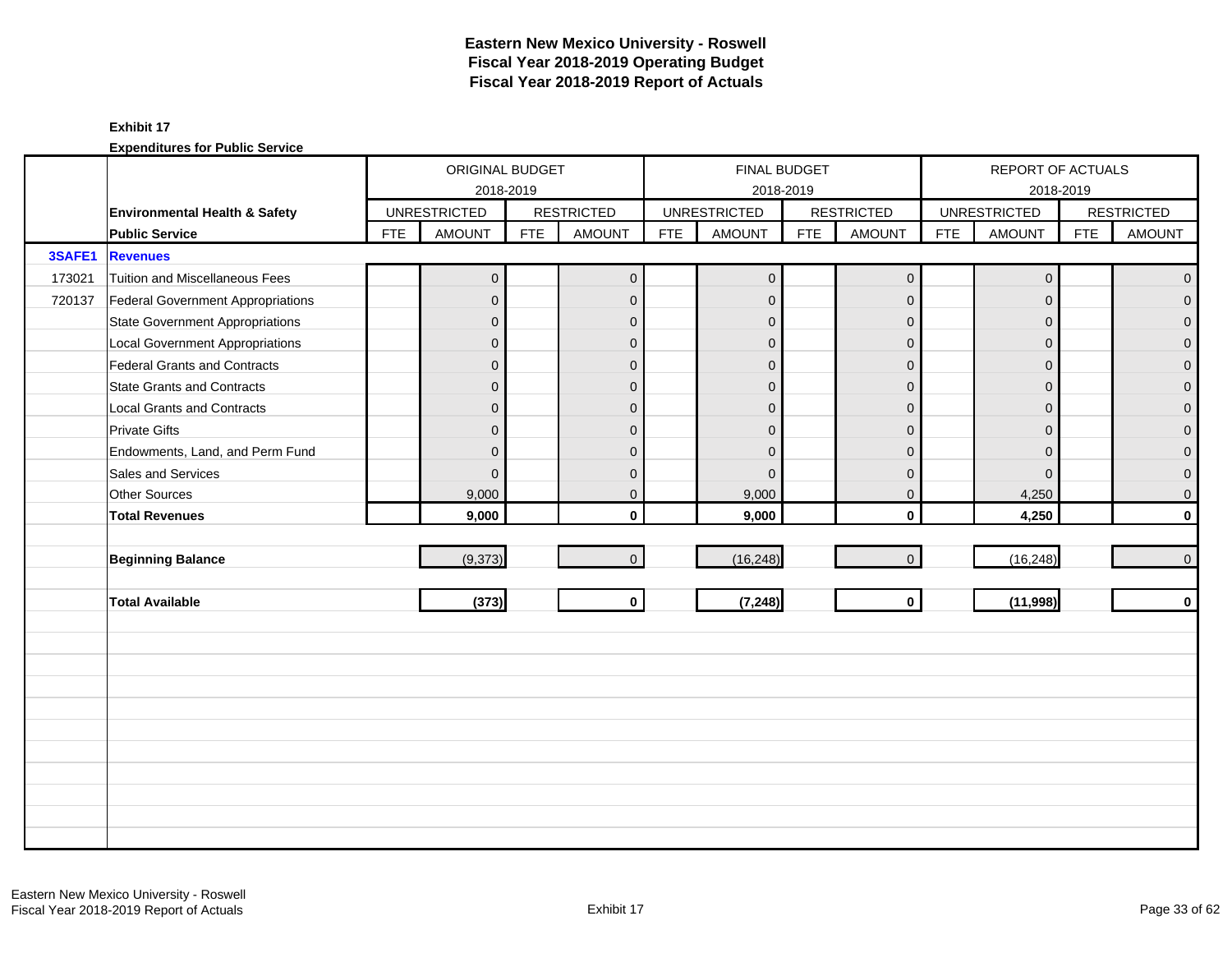|        |                                          |            | ORIGINAL BUDGET     |            |                   |            |                     | FINAL BUDGET |                   |            | REPORT OF ACTUALS   |            |                   |
|--------|------------------------------------------|------------|---------------------|------------|-------------------|------------|---------------------|--------------|-------------------|------------|---------------------|------------|-------------------|
|        |                                          |            | 2018-2019           |            |                   |            |                     | 2018-2019    |                   |            | 2018-2019           |            |                   |
|        | Environmental Health & Safety            |            | <b>UNRESTRICTED</b> |            | <b>RESTRICTED</b> |            | <b>UNRESTRICTED</b> |              | <b>RESTRICTED</b> |            | <b>UNRESTRICTED</b> |            | <b>RESTRICTED</b> |
|        | <b>Public Service</b>                    | <b>FTE</b> | <b>AMOUNT</b>       | <b>FTE</b> | <b>AMOUNT</b>     | <b>FTE</b> | <b>AMOUNT</b>       | <b>FTE</b>   | <b>AMOUNT</b>     | <b>FTE</b> | <b>AMOUNT</b>       | <b>FTE</b> | <b>AMOUNT</b>     |
| 3SAFE1 | <b>Revenues</b>                          |            |                     |            |                   |            |                     |              |                   |            |                     |            |                   |
| 173021 | Tuition and Miscellaneous Fees           |            | $\overline{0}$      |            | $\mathbf 0$       |            | $\mathbf 0$         |              | $\mathbf 0$       |            | $\mathbf 0$         |            | $\mathbf{0}$      |
| 720137 | <b>Federal Government Appropriations</b> |            | $\overline{0}$      |            | $\mathbf{0}$      |            | $\mathbf{0}$        |              | $\mathbf{0}$      |            | $\mathbf{0}$        |            | $\overline{0}$    |
|        | <b>State Government Appropriations</b>   |            | $\overline{0}$      |            | $\mathbf{0}$      |            | $\mathbf{0}$        |              | $\mathbf 0$       |            | $\mathbf{0}$        |            | $\overline{0}$    |
|        | <b>Local Government Appropriations</b>   |            | $\mathbf{0}$        |            | $\mathbf{0}$      |            | $\Omega$            |              | $\mathbf{0}$      |            | $\mathbf{0}$        |            | $\overline{0}$    |
|        | Federal Grants and Contracts             |            | $\overline{0}$      |            | $\mathbf{0}$      |            | $\mathbf{0}$        |              | $\mathbf{0}$      |            | $\Omega$            |            | $\overline{0}$    |
|        | <b>State Grants and Contracts</b>        |            | $\overline{0}$      |            | $\mathbf{0}$      |            | $\Omega$            |              | $\mathbf{0}$      |            | $\Omega$            |            | $\mathbf{0}$      |
|        | <b>Local Grants and Contracts</b>        |            | $\overline{0}$      |            | $\mathbf 0$       |            | $\Omega$            |              | $\mathbf{0}$      |            | $\mathbf{0}$        |            | 0                 |
|        | <b>Private Gifts</b>                     |            | $\overline{0}$      |            | $\Omega$          |            | $\overline{0}$      |              | $\mathbf{0}$      |            | $\Omega$            |            | $\overline{0}$    |
|        | Endowments, Land, and Perm Fund          |            | $\overline{0}$      |            | $\Omega$          |            | $\Omega$            |              | $\Omega$          |            | $\Omega$            |            | $\overline{0}$    |
|        | Sales and Services                       |            | $\Omega$            |            | $\mathbf{0}$      |            | $\Omega$            |              | $\mathbf 0$       |            | $\mathbf{0}$        |            | 0                 |
|        | Other Sources                            |            | 9,000               |            | $\mathbf 0$       |            | 9,000               |              | $\mathbf 0$       |            | 4,250               |            | $\mathbf 0$       |
|        | <b>Total Revenues</b>                    |            | 9,000               |            | $\mathbf{0}$      |            | 9,000               |              | $\mathbf 0$       |            | 4,250               |            | $\mathbf{0}$      |
|        |                                          |            |                     |            |                   |            |                     |              |                   |            |                     |            |                   |
|        | <b>Beginning Balance</b>                 |            | (9,373)             |            | $\mathbf{0}$      |            | (16, 248)           |              | $\mathbf{0}$      |            | (16, 248)           |            | $\mathbf{0}$      |
|        |                                          |            |                     |            |                   |            |                     |              |                   |            |                     |            |                   |
|        | <b>Total Available</b>                   |            | (373)               |            | $\mathbf 0$       |            | (7, 248)            |              | $\mathbf{0}$      |            | (11,998)            |            | $\mathbf 0$       |
|        |                                          |            |                     |            |                   |            |                     |              |                   |            |                     |            |                   |
|        |                                          |            |                     |            |                   |            |                     |              |                   |            |                     |            |                   |
|        |                                          |            |                     |            |                   |            |                     |              |                   |            |                     |            |                   |
|        |                                          |            |                     |            |                   |            |                     |              |                   |            |                     |            |                   |
|        |                                          |            |                     |            |                   |            |                     |              |                   |            |                     |            |                   |
|        |                                          |            |                     |            |                   |            |                     |              |                   |            |                     |            |                   |
|        |                                          |            |                     |            |                   |            |                     |              |                   |            |                     |            |                   |
|        |                                          |            |                     |            |                   |            |                     |              |                   |            |                     |            |                   |
|        |                                          |            |                     |            |                   |            |                     |              |                   |            |                     |            |                   |
|        |                                          |            |                     |            |                   |            |                     |              |                   |            |                     |            |                   |
|        |                                          |            |                     |            |                   |            |                     |              |                   |            |                     |            |                   |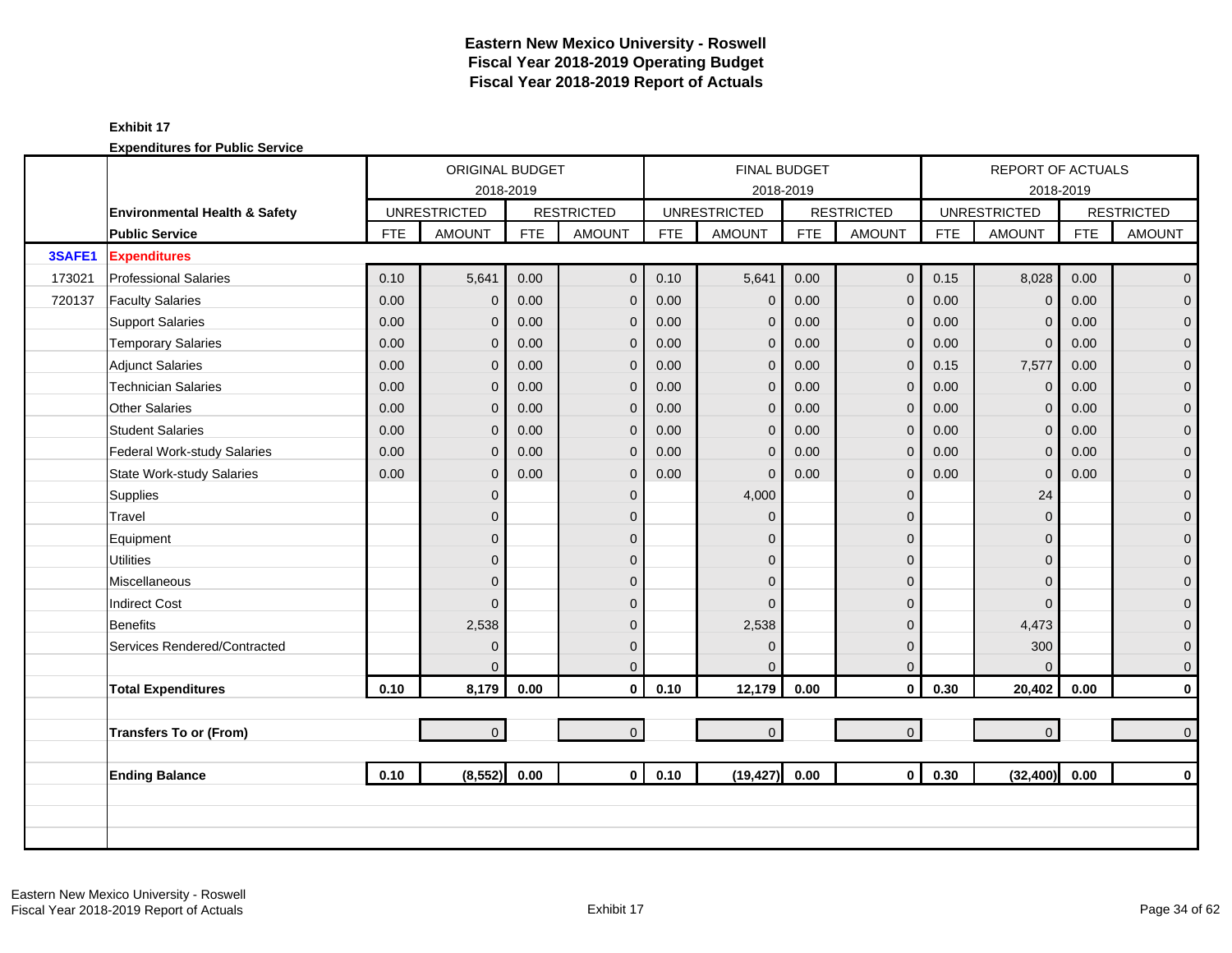|        |                                  |            | ORIGINAL BUDGET     |            |                   |            |                     | <b>FINAL BUDGET</b> |                     |            |                     |                                                                                                                                                                                                                                                                                                                                                                                                                             |                   |  |  |
|--------|----------------------------------|------------|---------------------|------------|-------------------|------------|---------------------|---------------------|---------------------|------------|---------------------|-----------------------------------------------------------------------------------------------------------------------------------------------------------------------------------------------------------------------------------------------------------------------------------------------------------------------------------------------------------------------------------------------------------------------------|-------------------|--|--|
|        |                                  |            | 2018-2019           |            |                   |            |                     | 2018-2019           |                     |            |                     | REPORT OF ACTUALS<br>2018-2019<br><b>FTE</b><br>8,028<br>0.00<br>0.00<br>$\Omega$<br>0.00<br>$\mathbf 0$<br>0.00<br>$\mathbf{0}$<br>7,577<br>0.00<br>0.00<br>$\mathbf 0$<br>0.00<br>$\mathbf{0}$<br>$\Omega$<br>0.00<br>0.00<br>$\mathbf{0}$<br>0.00<br>$\mathbf{0}$<br>24<br>$\Omega$<br>$\Omega$<br>$\Omega$<br>$\Omega$<br>$\Omega$<br>4,473<br>300<br>$\Omega$<br>20,402<br>0.00<br>$\overline{0}$<br>(32, 400)<br>0.00 |                   |  |  |
|        | Environmental Health & Safety    |            | <b>UNRESTRICTED</b> |            | <b>RESTRICTED</b> |            | <b>UNRESTRICTED</b> |                     | <b>RESTRICTED</b>   |            | <b>UNRESTRICTED</b> |                                                                                                                                                                                                                                                                                                                                                                                                                             | <b>RESTRICTED</b> |  |  |
|        | <b>Public Service</b>            | <b>FTE</b> | <b>AMOUNT</b>       | <b>FTE</b> | <b>AMOUNT</b>     | <b>FTE</b> | <b>AMOUNT</b>       | <b>FTE</b>          | <b>AMOUNT</b>       | <b>FTE</b> | <b>AMOUNT</b>       |                                                                                                                                                                                                                                                                                                                                                                                                                             | <b>AMOUNT</b>     |  |  |
| 3SAFE1 | <b>Expenditures</b>              |            |                     |            |                   |            |                     |                     |                     |            |                     |                                                                                                                                                                                                                                                                                                                                                                                                                             |                   |  |  |
| 173021 | <b>Professional Salaries</b>     | 0.10       | 5,641               | 0.00       | $\mathbf{0}$      | 0.10       | 5,641               | 0.00                | $\mathbf 0$         | 0.15       |                     |                                                                                                                                                                                                                                                                                                                                                                                                                             | $\overline{0}$    |  |  |
| 720137 | <b>Faculty Salaries</b>          | 0.00       | $\mathbf 0$         | 0.00       | $\mathbf{0}$      | 0.00       | $\mathbf 0$         | 0.00                | $\mathbf{0}$        | 0.00       |                     |                                                                                                                                                                                                                                                                                                                                                                                                                             | $\overline{0}$    |  |  |
|        | <b>Support Salaries</b>          | 0.00       | 0                   | 0.00       | $\mathbf 0$       | 0.00       | $\mathbf 0$         | 0.00                | $\mathbf 0$         | 0.00       |                     |                                                                                                                                                                                                                                                                                                                                                                                                                             | $\overline{0}$    |  |  |
|        | <b>Temporary Salaries</b>        | 0.00       | 0                   | 0.00       | $\mathbf{0}$      | 0.00       | $\mathbf{0}$        | 0.00                | $\mathbf{0}$        | 0.00       |                     |                                                                                                                                                                                                                                                                                                                                                                                                                             | $\mathbf 0$       |  |  |
|        | <b>Adjunct Salaries</b>          | 0.00       | 0                   | 0.00       | $\mathbf{0}$      | 0.00       | $\mathbf 0$         | 0.00                | $\mathbf{0}$        | 0.15       |                     |                                                                                                                                                                                                                                                                                                                                                                                                                             | $\mathbf{0}$      |  |  |
|        | <b>Technician Salaries</b>       | 0.00       | 0                   | 0.00       | $\mathbf 0$       | 0.00       | $\mathbf 0$         | 0.00                | $\mathbf 0$         | 0.00       |                     |                                                                                                                                                                                                                                                                                                                                                                                                                             | $\mathbf{O}$      |  |  |
|        | <b>Other Salaries</b>            | 0.00       | 0                   | 0.00       | $\mathbf{0}$      | 0.00       | $\mathbf 0$         | 0.00                | $\mathbf 0$         | 0.00       |                     |                                                                                                                                                                                                                                                                                                                                                                                                                             | $\mathbf 0$       |  |  |
|        | <b>Student Salaries</b>          | 0.00       | 0                   | 0.00       | $\mathbf{0}$      | 0.00       | $\mathbf{0}$        | 0.00                | $\mathbf{0}$        | 0.00       |                     |                                                                                                                                                                                                                                                                                                                                                                                                                             | $\overline{0}$    |  |  |
|        | Federal Work-study Salaries      | 0.00       | 0                   | 0.00       | $\mathbf 0$       | 0.00       | $\overline{0}$      | 0.00                | $\mathbf 0$         | 0.00       |                     |                                                                                                                                                                                                                                                                                                                                                                                                                             | $\overline{0}$    |  |  |
|        | <b>State Work-study Salaries</b> | 0.00       | 0                   | 0.00       | $\mathbf{0}$      | 0.00       | $\mathbf{0}$        | 0.00                | $\mathbf 0$         | 0.00       |                     |                                                                                                                                                                                                                                                                                                                                                                                                                             | $\mathbf 0$       |  |  |
|        | Supplies                         |            | $\mathbf{0}$        |            | $\mathbf 0$       |            | 4,000               |                     | $\mathbf{0}$        |            |                     |                                                                                                                                                                                                                                                                                                                                                                                                                             | $\mathbf{0}$      |  |  |
|        | Travel                           |            | 0                   |            | $\Omega$          |            | $\Omega$            |                     | $\mathbf{0}$        |            |                     |                                                                                                                                                                                                                                                                                                                                                                                                                             | $\mathbf{0}$      |  |  |
|        | Equipment                        |            | 0                   |            | $\Omega$          |            | $\Omega$            |                     | $\mathbf{0}$        |            |                     |                                                                                                                                                                                                                                                                                                                                                                                                                             | $\mathbf 0$       |  |  |
|        | <b>Utilities</b>                 |            | 0                   |            | $\mathbf{0}$      |            | $\mathbf{0}$        |                     | $\mathbf{0}$        |            |                     |                                                                                                                                                                                                                                                                                                                                                                                                                             | $\overline{0}$    |  |  |
|        | Miscellaneous                    |            | 0                   |            | $\mathbf{0}$      |            | $\Omega$            |                     | $\mathbf{0}$        |            |                     |                                                                                                                                                                                                                                                                                                                                                                                                                             | $\mathbf{O}$      |  |  |
|        | <b>Indirect Cost</b>             |            | $\Omega$            |            | $\Omega$          |            | $\Omega$            |                     | $\mathbf{0}$        |            |                     |                                                                                                                                                                                                                                                                                                                                                                                                                             | $\pmb{0}$         |  |  |
|        | Benefits                         |            | 2,538               |            | $\Omega$          |            | 2,538               |                     | $\mathbf{0}$        |            |                     |                                                                                                                                                                                                                                                                                                                                                                                                                             | $\mathbf{O}$      |  |  |
|        | Services Rendered/Contracted     |            | 0                   |            | $\mathbf{0}$      |            | $\mathbf 0$         |                     | $\mathbf{0}$        |            |                     |                                                                                                                                                                                                                                                                                                                                                                                                                             | $\mathbf{O}$      |  |  |
|        |                                  |            | $\Omega$            |            | $\mathbf{0}$      |            | $\Omega$            |                     | $\mathbf{0}$        |            |                     |                                                                                                                                                                                                                                                                                                                                                                                                                             | $\mathbf{0}$      |  |  |
|        | <b>Total Expenditures</b>        | 0.10       | 8,179               | 0.00       | $\mathbf{0}$      | 0.10       | 12,179              | 0.00                | $\mathbf 0$         | 0.30       |                     |                                                                                                                                                                                                                                                                                                                                                                                                                             | $\mathbf{0}$      |  |  |
|        |                                  |            |                     |            |                   |            |                     |                     |                     |            |                     |                                                                                                                                                                                                                                                                                                                                                                                                                             |                   |  |  |
|        | <b>Transfers To or (From)</b>    |            | $\overline{0}$      |            | $\overline{0}$    |            | $\mathbf{0}$        |                     | $\mathsf{O}\xspace$ |            |                     |                                                                                                                                                                                                                                                                                                                                                                                                                             | $\mathbf{0}$      |  |  |
|        |                                  |            |                     |            |                   |            |                     |                     |                     |            |                     |                                                                                                                                                                                                                                                                                                                                                                                                                             |                   |  |  |
|        | <b>Ending Balance</b>            | 0.10       | (8, 552)            | 0.00       |                   | $0$ 0.10   | (19, 427)           | 0.00                | $\mathbf{0}$        | 0.30       |                     |                                                                                                                                                                                                                                                                                                                                                                                                                             | $\mathbf 0$       |  |  |
|        |                                  |            |                     |            |                   |            |                     |                     |                     |            |                     |                                                                                                                                                                                                                                                                                                                                                                                                                             |                   |  |  |
|        |                                  |            |                     |            |                   |            |                     |                     |                     |            |                     |                                                                                                                                                                                                                                                                                                                                                                                                                             |                   |  |  |
|        |                                  |            |                     |            |                   |            |                     |                     |                     |            |                     |                                                                                                                                                                                                                                                                                                                                                                                                                             |                   |  |  |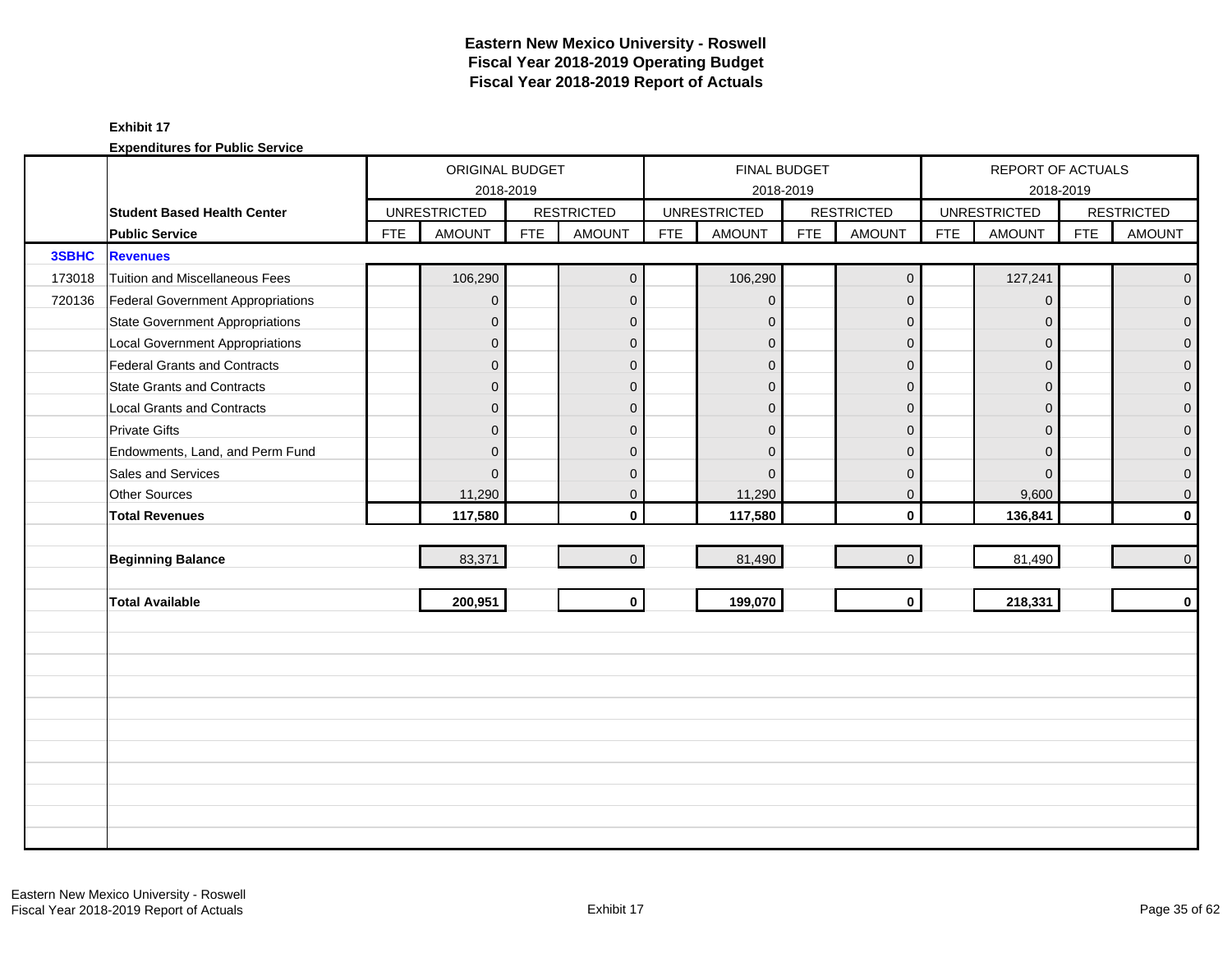|        |                                          |            | ORIGINAL BUDGET     |            |                   |            |                     | FINAL BUDGET |                   |            | REPORT OF ACTUALS   |            |                   |
|--------|------------------------------------------|------------|---------------------|------------|-------------------|------------|---------------------|--------------|-------------------|------------|---------------------|------------|-------------------|
|        |                                          |            | 2018-2019           |            |                   |            |                     | 2018-2019    |                   |            | 2018-2019           |            |                   |
|        | <b>Student Based Health Center</b>       |            | <b>UNRESTRICTED</b> |            | <b>RESTRICTED</b> |            | <b>UNRESTRICTED</b> |              | <b>RESTRICTED</b> |            | <b>UNRESTRICTED</b> |            | <b>RESTRICTED</b> |
|        | <b>Public Service</b>                    | <b>FTE</b> | <b>AMOUNT</b>       | <b>FTE</b> | <b>AMOUNT</b>     | <b>FTE</b> | <b>AMOUNT</b>       | <b>FTE</b>   | <b>AMOUNT</b>     | <b>FTE</b> | <b>AMOUNT</b>       | <b>FTE</b> | <b>AMOUNT</b>     |
| 3SBHC  | <b>Revenues</b>                          |            |                     |            |                   |            |                     |              |                   |            |                     |            |                   |
| 173018 | Tuition and Miscellaneous Fees           |            | 106,290             |            | $\overline{0}$    |            | 106,290             |              | $\mathbf 0$       |            | 127,241             |            | $\overline{0}$    |
| 720136 | <b>Federal Government Appropriations</b> |            | $\overline{0}$      |            | $\mathbf{0}$      |            | $\mathbf{0}$        |              | $\mathbf 0$       |            | $\mathbf 0$         |            | $\overline{0}$    |
|        | <b>State Government Appropriations</b>   |            | $\mathbf 0$         |            | $\mathbf{0}$      |            | $\mathbf{0}$        |              | $\mathbf 0$       |            | $\Omega$            |            | $\overline{0}$    |
|        | <b>Local Government Appropriations</b>   |            | 0                   |            | $\mathbf 0$       |            | $\mathbf{0}$        |              | $\mathbf 0$       |            | $\mathbf 0$         |            | $\pmb{0}$         |
|        | <b>Federal Grants and Contracts</b>      |            | $\overline{0}$      |            | $\mathbf{0}$      |            | $\Omega$            |              | $\mathbf{0}$      |            | $\Omega$            |            | $\overline{0}$    |
|        | <b>State Grants and Contracts</b>        |            | 0                   |            | $\Omega$          |            | $\Omega$            |              | $\mathbf{0}$      |            | $\Omega$            |            | $\overline{0}$    |
|        | <b>Local Grants and Contracts</b>        |            | 0                   |            | $\mathbf{0}$      |            | $\mathbf{0}$        |              | $\mathbf 0$       |            | $\mathbf{0}$        |            | 0                 |
|        | <b>Private Gifts</b>                     |            | $\overline{0}$      |            | $\mathbf{0}$      |            | $\mathbf{0}$        |              | $\mathbf 0$       |            | $\Omega$            |            | $\overline{0}$    |
|        | Endowments, Land, and Perm Fund          |            | 0                   |            | $\Omega$          |            | $\Omega$            |              | $\Omega$          |            | $\Omega$            |            | $\mathbf{0}$      |
|        | Sales and Services                       |            | $\overline{0}$      |            | $\Omega$          |            | $\Omega$            |              | $\mathbf{0}$      |            | $\Omega$            |            | $\mathbf 0$       |
|        | <b>Other Sources</b>                     |            | 11,290              |            | $\overline{0}$    |            | 11,290              |              | $\mathbf 0$       |            | 9,600               |            | $\mathbf 0$       |
|        | <b>Total Revenues</b>                    |            | 117,580             |            | $\mathbf{0}$      |            | 117,580             |              | $\mathbf 0$       |            | 136,841             |            | $\mathbf 0$       |
|        |                                          |            |                     |            |                   |            |                     |              |                   |            |                     |            |                   |
|        | <b>Beginning Balance</b>                 |            | 83,371              |            | $\Omega$          |            | 81,490              |              | $\overline{0}$    |            | 81,490              |            | $\mathbf 0$       |
|        |                                          |            |                     |            |                   |            |                     |              |                   |            |                     |            |                   |
|        | <b>Total Available</b>                   |            | 200,951             |            | $\mathbf 0$       |            | 199,070             |              | $\mathbf 0$       |            | 218,331             |            | $\mathbf 0$       |
|        |                                          |            |                     |            |                   |            |                     |              |                   |            |                     |            |                   |
|        |                                          |            |                     |            |                   |            |                     |              |                   |            |                     |            |                   |
|        |                                          |            |                     |            |                   |            |                     |              |                   |            |                     |            |                   |
|        |                                          |            |                     |            |                   |            |                     |              |                   |            |                     |            |                   |
|        |                                          |            |                     |            |                   |            |                     |              |                   |            |                     |            |                   |
|        |                                          |            |                     |            |                   |            |                     |              |                   |            |                     |            |                   |
|        |                                          |            |                     |            |                   |            |                     |              |                   |            |                     |            |                   |
|        |                                          |            |                     |            |                   |            |                     |              |                   |            |                     |            |                   |
|        |                                          |            |                     |            |                   |            |                     |              |                   |            |                     |            |                   |
|        |                                          |            |                     |            |                   |            |                     |              |                   |            |                     |            |                   |
|        |                                          |            |                     |            |                   |            |                     |              |                   |            |                     |            |                   |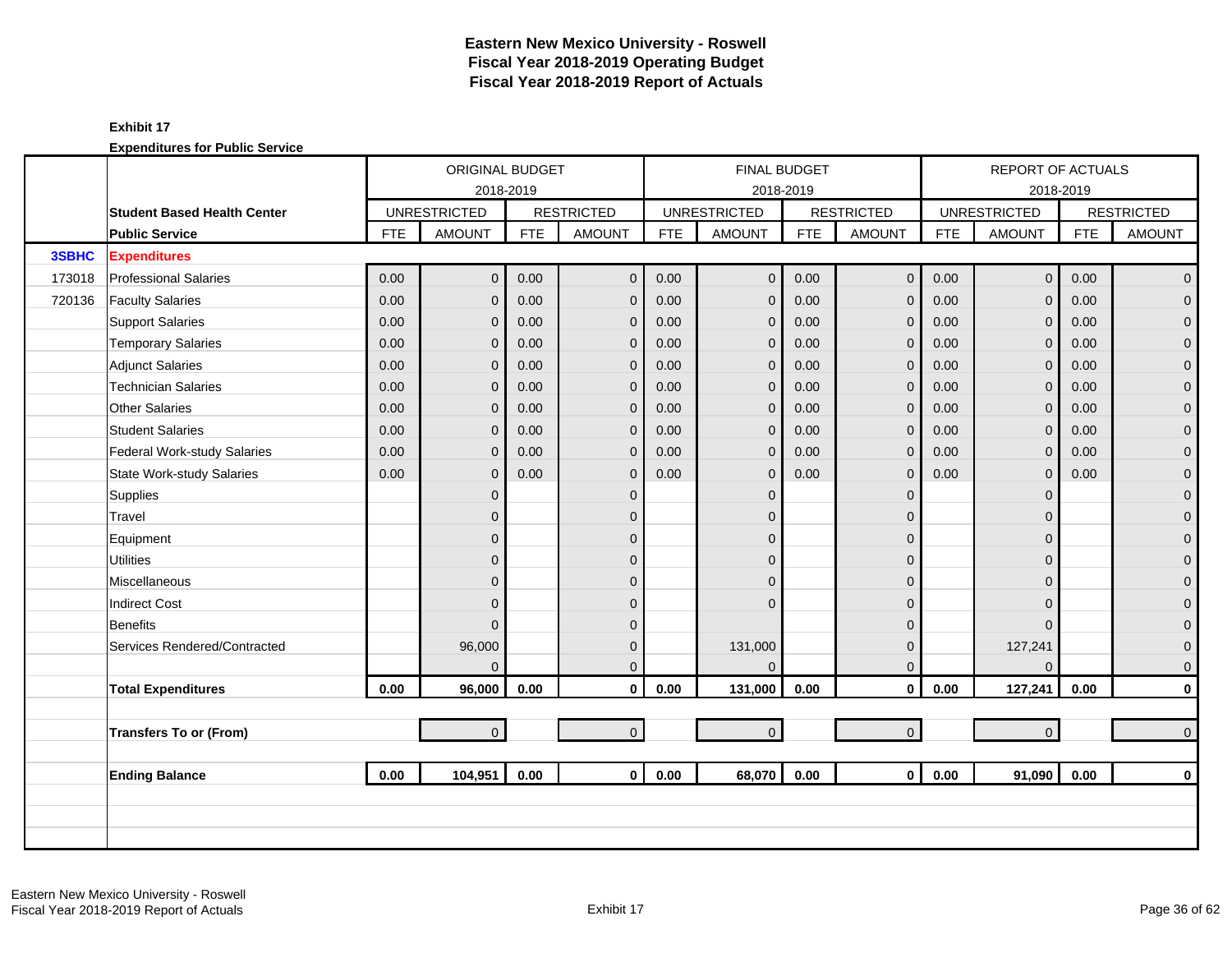|        |                                    | ORIGINAL BUDGET<br>2018-2019<br><b>UNRESTRICTED</b><br><b>FTE</b><br><b>AMOUNT</b><br><b>FTE</b><br>0.00<br>$\overline{0}$<br>0.00<br>0.00<br>0.00<br>$\overline{0}$<br>0.00<br>0.00<br>0<br>0.00<br>0.00<br>0<br>0.00<br>0.00<br>$\Omega$<br>0.00<br>0.00<br>0<br>0.00<br>0.00<br>0<br>0.00<br>0.00<br>0<br>0.00<br>0.00<br>0<br>0.00<br>0.00<br>0<br>$\overline{0}$<br>0<br>0<br>$\overline{0}$<br>0<br>0<br>$\Omega$<br>96,000 |                |      |                   |            |                     | <b>FINAL BUDGET</b> |                     |            | <b>REPORT OF ACTUALS</b> |            |                   |
|--------|------------------------------------|-----------------------------------------------------------------------------------------------------------------------------------------------------------------------------------------------------------------------------------------------------------------------------------------------------------------------------------------------------------------------------------------------------------------------------------|----------------|------|-------------------|------------|---------------------|---------------------|---------------------|------------|--------------------------|------------|-------------------|
|        |                                    |                                                                                                                                                                                                                                                                                                                                                                                                                                   |                |      |                   |            |                     | 2018-2019           |                     |            |                          | 2018-2019  |                   |
|        | <b>Student Based Health Center</b> |                                                                                                                                                                                                                                                                                                                                                                                                                                   |                |      | <b>RESTRICTED</b> |            | <b>UNRESTRICTED</b> |                     | <b>RESTRICTED</b>   |            | <b>UNRESTRICTED</b>      |            | <b>RESTRICTED</b> |
|        | <b>Public Service</b>              |                                                                                                                                                                                                                                                                                                                                                                                                                                   |                |      | <b>AMOUNT</b>     | <b>FTE</b> | <b>AMOUNT</b>       | <b>FTE</b>          | <b>AMOUNT</b>       | <b>FTE</b> | <b>AMOUNT</b>            | <b>FTE</b> | <b>AMOUNT</b>     |
| 3SBHC  | <b>Expenditures</b>                |                                                                                                                                                                                                                                                                                                                                                                                                                                   |                |      |                   |            |                     |                     |                     |            |                          |            |                   |
| 173018 | <b>Professional Salaries</b>       |                                                                                                                                                                                                                                                                                                                                                                                                                                   |                |      | $\mathbf 0$       | 0.00       | $\overline{0}$      | 0.00                | $\mathbf 0$         | 0.00       | $\overline{0}$           | 0.00       | $\overline{0}$    |
| 720136 | <b>Faculty Salaries</b>            |                                                                                                                                                                                                                                                                                                                                                                                                                                   |                |      | $\mathbf{0}$      | 0.00       | $\mathbf{0}$        | 0.00                | $\mathbf{0}$        | 0.00       | $\Omega$                 | 0.00       | $\overline{0}$    |
|        | <b>Support Salaries</b>            |                                                                                                                                                                                                                                                                                                                                                                                                                                   |                |      | $\mathbf 0$       | 0.00       | $\mathbf 0$         | 0.00                | $\mathbf 0$         | 0.00       | $\mathbf{0}$             | 0.00       | $\overline{0}$    |
|        | <b>Temporary Salaries</b>          |                                                                                                                                                                                                                                                                                                                                                                                                                                   |                |      | $\mathbf 0$       | 0.00       | $\mathbf{0}$        | 0.00                | $\mathbf 0$         | 0.00       | $\mathbf{0}$             | 0.00       | $\mathbf 0$       |
|        | Adjunct Salaries                   |                                                                                                                                                                                                                                                                                                                                                                                                                                   |                |      | $\Omega$          | 0.00       | $\mathbf{0}$        | 0.00                | $\mathbf{0}$        | 0.00       | $\Omega$                 | 0.00       | $\mathbf{0}$      |
|        | <b>Technician Salaries</b>         |                                                                                                                                                                                                                                                                                                                                                                                                                                   |                |      | $\mathbf{0}$      | 0.00       | $\overline{0}$      | 0.00                | $\mathbf{0}$        | 0.00       | $\Omega$                 | 0.00       | $\mathbf{0}$      |
|        | Other Salaries                     |                                                                                                                                                                                                                                                                                                                                                                                                                                   |                |      | $\mathbf{0}$      | 0.00       | $\mathbf{0}$        | 0.00                | $\mathbf{0}$        | 0.00       | $\Omega$                 | 0.00       | $\mathbf{O}$      |
|        | <b>Student Salaries</b>            |                                                                                                                                                                                                                                                                                                                                                                                                                                   |                |      | $\mathbf{0}$      | 0.00       | $\mathbf 0$         | 0.00                | $\mathbf 0$         | 0.00       | $\Omega$                 | 0.00       | $\overline{0}$    |
|        | Federal Work-study Salaries        |                                                                                                                                                                                                                                                                                                                                                                                                                                   |                |      | $\mathbf{0}$      | 0.00       | $\mathbf{0}$        | 0.00                | $\mathbf{0}$        | 0.00       | $\Omega$                 | 0.00       | $\mathbf{0}$      |
|        | <b>State Work-study Salaries</b>   |                                                                                                                                                                                                                                                                                                                                                                                                                                   |                |      | $\mathbf{0}$      | 0.00       | $\mathbf{0}$        | 0.00                | $\mathbf{0}$        | 0.00       | $\overline{0}$           | 0.00       | $\mathbf 0$       |
|        | Supplies                           |                                                                                                                                                                                                                                                                                                                                                                                                                                   |                |      | $\mathbf{0}$      |            | $\Omega$            |                     | $\mathbf{0}$        |            | $\Omega$                 |            | $\mathbf{O}$      |
|        | Travel                             |                                                                                                                                                                                                                                                                                                                                                                                                                                   |                |      | $\mathbf{0}$      |            | $\Omega$            |                     | $\mathbf{0}$        |            | $\Omega$                 |            | $\mathbf{O}$      |
|        | Equipment                          |                                                                                                                                                                                                                                                                                                                                                                                                                                   |                |      | $\mathbf{0}$      |            | $\Omega$            |                     | $\mathbf 0$         |            | $\Omega$                 |            | $\pmb{0}$         |
|        | <b>Utilities</b>                   |                                                                                                                                                                                                                                                                                                                                                                                                                                   |                |      | $\Omega$          |            | $\Omega$            |                     | $\mathbf{0}$        |            | $\Omega$                 |            | $\mathbf{O}$      |
|        | Miscellaneous                      |                                                                                                                                                                                                                                                                                                                                                                                                                                   |                |      | $\mathbf{0}$      |            | $\Omega$            |                     | $\mathbf{0}$        |            | $\Omega$                 |            | $\mathbf 0$       |
|        | <b>Indirect Cost</b>               |                                                                                                                                                                                                                                                                                                                                                                                                                                   |                |      | $\Omega$          |            | $\Omega$            |                     | $\mathbf 0$         |            | $\Omega$                 |            | $\mathbf 0$       |
|        | Benefits                           |                                                                                                                                                                                                                                                                                                                                                                                                                                   |                |      | $\mathbf{0}$      |            |                     |                     | $\mathbf 0$         |            | $\Omega$                 |            | $\mathbf{0}$      |
|        | Services Rendered/Contracted       |                                                                                                                                                                                                                                                                                                                                                                                                                                   |                |      | $\mathbf{0}$      |            | 131,000             |                     | $\mathbf{0}$        |            | 127,241                  |            | $\mathbf 0$       |
|        |                                    |                                                                                                                                                                                                                                                                                                                                                                                                                                   | $\Omega$       |      | $\Omega$          |            | $\Omega$            |                     | $\overline{0}$      |            | $\Omega$                 |            | $\mathbf{0}$      |
|        | <b>Total Expenditures</b>          | 0.00                                                                                                                                                                                                                                                                                                                                                                                                                              | 96,000         | 0.00 | $\mathbf 0$       | 0.00       | 131,000             | 0.00                | $\mathbf 0$         | 0.00       | 127,241                  | 0.00       | $\mathbf{0}$      |
|        |                                    |                                                                                                                                                                                                                                                                                                                                                                                                                                   |                |      |                   |            |                     |                     |                     |            |                          |            |                   |
|        | <b>Transfers To or (From)</b>      |                                                                                                                                                                                                                                                                                                                                                                                                                                   | $\overline{0}$ |      | $\overline{0}$    |            | $\mathbf 0$         |                     | $\mathsf{O}\xspace$ |            | $\overline{0}$           |            | $\mathbf{0}$      |
|        |                                    |                                                                                                                                                                                                                                                                                                                                                                                                                                   |                |      |                   |            |                     |                     |                     |            |                          |            |                   |
|        | <b>Ending Balance</b>              | 0.00                                                                                                                                                                                                                                                                                                                                                                                                                              | 104,951        | 0.00 | $\mathbf{0}$      | 0.00       | 68,070              | 0.00                | $\mathbf{0}$        | 0.00       | 91,090                   | 0.00       | $\mathbf{0}$      |
|        |                                    |                                                                                                                                                                                                                                                                                                                                                                                                                                   |                |      |                   |            |                     |                     |                     |            |                          |            |                   |
|        |                                    |                                                                                                                                                                                                                                                                                                                                                                                                                                   |                |      |                   |            |                     |                     |                     |            |                          |            |                   |
|        |                                    |                                                                                                                                                                                                                                                                                                                                                                                                                                   |                |      |                   |            |                     |                     |                     |            |                          |            |                   |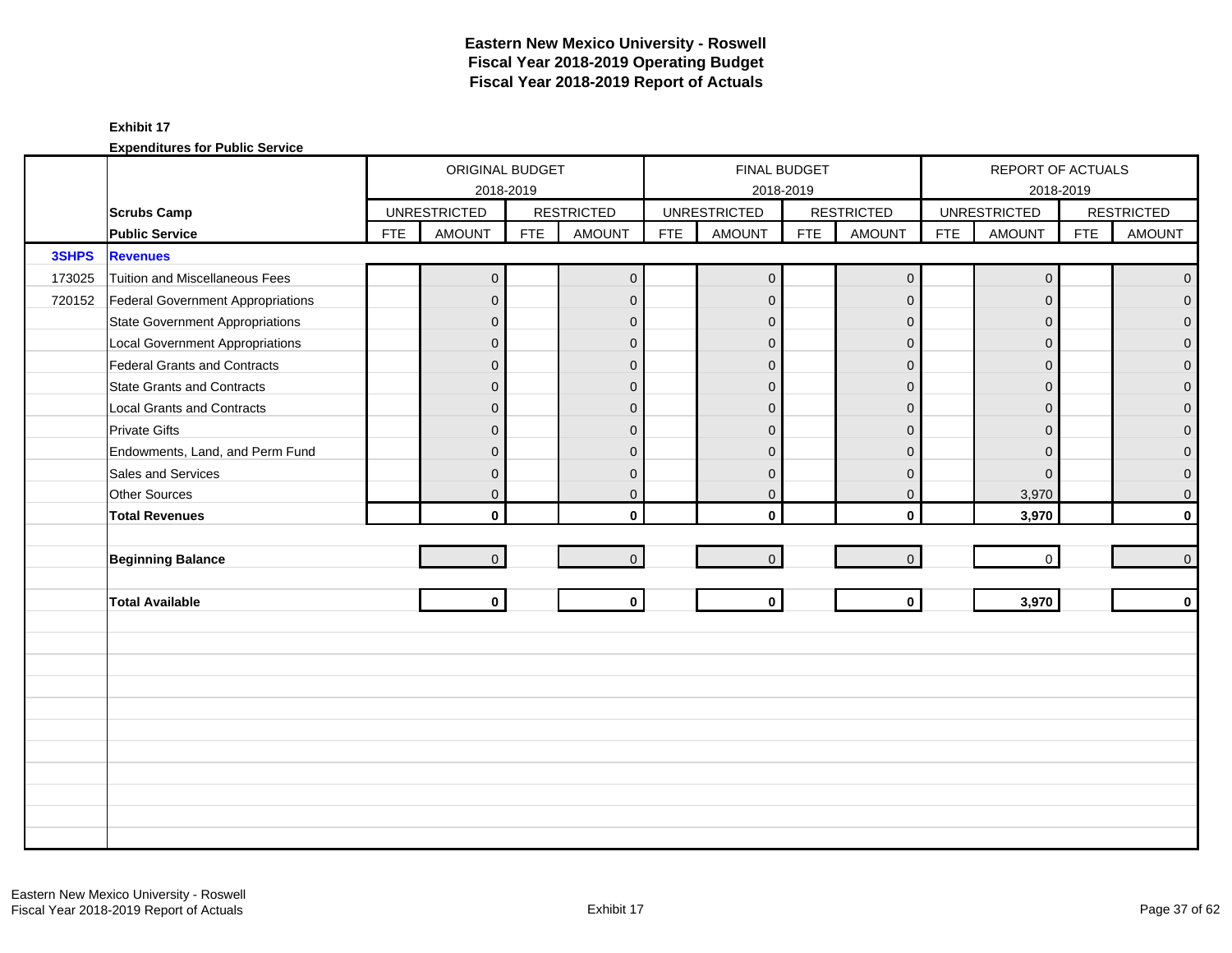|              |                                          |            | ORIGINAL BUDGET     |            |                   |            | <b>FINAL BUDGET</b> |            |                   |            | REPORT OF ACTUALS   |            |                   |
|--------------|------------------------------------------|------------|---------------------|------------|-------------------|------------|---------------------|------------|-------------------|------------|---------------------|------------|-------------------|
|              |                                          |            | 2018-2019           |            |                   |            | 2018-2019           |            |                   |            |                     | 2018-2019  |                   |
|              | <b>Scrubs Camp</b>                       |            | <b>UNRESTRICTED</b> |            | <b>RESTRICTED</b> |            | <b>UNRESTRICTED</b> |            | <b>RESTRICTED</b> |            | <b>UNRESTRICTED</b> |            | <b>RESTRICTED</b> |
|              | <b>Public Service</b>                    | <b>FTE</b> | <b>AMOUNT</b>       | <b>FTE</b> | <b>AMOUNT</b>     | <b>FTE</b> | <b>AMOUNT</b>       | <b>FTE</b> | <b>AMOUNT</b>     | <b>FTE</b> | <b>AMOUNT</b>       | <b>FTE</b> | <b>AMOUNT</b>     |
| <b>3SHPS</b> | <b>Revenues</b>                          |            |                     |            |                   |            |                     |            |                   |            |                     |            |                   |
| 173025       | Tuition and Miscellaneous Fees           |            | $\mathbf 0$         |            | $\mathbf{0}$      |            | $\mathbf 0$         |            | $\mathbf 0$       |            | $\mathbf 0$         |            | $\overline{0}$    |
| 720152       | <b>Federal Government Appropriations</b> |            | $\overline{0}$      |            | $\overline{0}$    |            | $\mathbf{0}$        |            | $\mathbf{0}$      |            | $\Omega$            |            | $\overline{0}$    |
|              | <b>State Government Appropriations</b>   |            | $\mathbf 0$         |            | $\mathbf{0}$      |            | $\mathbf 0$         |            | $\mathbf 0$       |            | $\Omega$            |            | $\overline{0}$    |
|              | <b>Local Government Appropriations</b>   |            | $\mathbf 0$         |            | $\mathbf{0}$      |            | $\Omega$            |            | $\mathbf{0}$      |            | $\Omega$            |            | $\pmb{0}$         |
|              | Federal Grants and Contracts             |            | $\mathbf 0$         |            | $\mathbf{0}$      |            | $\overline{0}$      |            | $\mathbf{0}$      |            | $\Omega$            |            | $\mathbf 0$       |
|              | <b>State Grants and Contracts</b>        |            | $\overline{0}$      |            | $\mathbf{0}$      |            | $\mathbf{0}$        |            | $\mathbf{0}$      |            | $\Omega$            |            | $\mathbf{O}$      |
|              | <b>Local Grants and Contracts</b>        |            | $\mathbf{0}$        |            | $\mathbf 0$       |            | $\Omega$            |            | $\mathbf 0$       |            | $\Omega$            |            | $\mathbf{O}$      |
|              | <b>Private Gifts</b>                     |            | $\overline{0}$      |            | $\overline{0}$    |            | $\Omega$            |            | $\overline{0}$    |            | $\Omega$            |            | $\mathbf 0$       |
|              | Endowments, Land, and Perm Fund          |            | $\mathbf{0}$        |            | $\Omega$          |            | $\Omega$            |            | $\mathbf{0}$      |            | $\Omega$            |            | $\overline{0}$    |
|              | Sales and Services                       |            | $\mathbf 0$         |            | $\mathbf{0}$      |            | $\mathbf{0}$        |            | $\mathbf{0}$      |            | $\Omega$            |            | $\pmb{0}$         |
|              | Other Sources                            |            | $\overline{0}$      |            | $\mathbf{0}$      |            | $\mathbf 0$         |            | $\mathbf{0}$      |            | 3,970               |            | $\mathbf 0$       |
|              | <b>Total Revenues</b>                    |            | $\mathbf{0}$        |            | $\mathbf{0}$      |            | $\Omega$            |            | $\mathbf{0}$      |            | 3,970               |            | $\mathbf{0}$      |
|              |                                          |            |                     |            |                   |            |                     |            |                   |            |                     |            |                   |
|              | <b>Beginning Balance</b>                 |            | $\overline{0}$      |            | $\mathbf{0}$      |            | $\mathbf{0}$        |            | $\mathbf 0$       |            | $\mathbf 0$         |            | $\overline{0}$    |
|              |                                          |            |                     |            |                   |            |                     |            |                   |            |                     |            |                   |
|              | <b>Total Available</b>                   |            | $\mathbf 0$         |            | $\mathbf{0}$      |            | $\mathbf 0$         |            | $\mathbf{0}$      |            | 3,970               |            | $\mathbf{0}$      |
|              |                                          |            |                     |            |                   |            |                     |            |                   |            |                     |            |                   |
|              |                                          |            |                     |            |                   |            |                     |            |                   |            |                     |            |                   |
|              |                                          |            |                     |            |                   |            |                     |            |                   |            |                     |            |                   |
|              |                                          |            |                     |            |                   |            |                     |            |                   |            |                     |            |                   |
|              |                                          |            |                     |            |                   |            |                     |            |                   |            |                     |            |                   |
|              |                                          |            |                     |            |                   |            |                     |            |                   |            |                     |            |                   |
|              |                                          |            |                     |            |                   |            |                     |            |                   |            |                     |            |                   |
|              |                                          |            |                     |            |                   |            |                     |            |                   |            |                     |            |                   |
|              |                                          |            |                     |            |                   |            |                     |            |                   |            |                     |            |                   |
|              |                                          |            |                     |            |                   |            |                     |            |                   |            |                     |            |                   |
|              |                                          |            |                     |            |                   |            |                     |            |                   |            |                     |            |                   |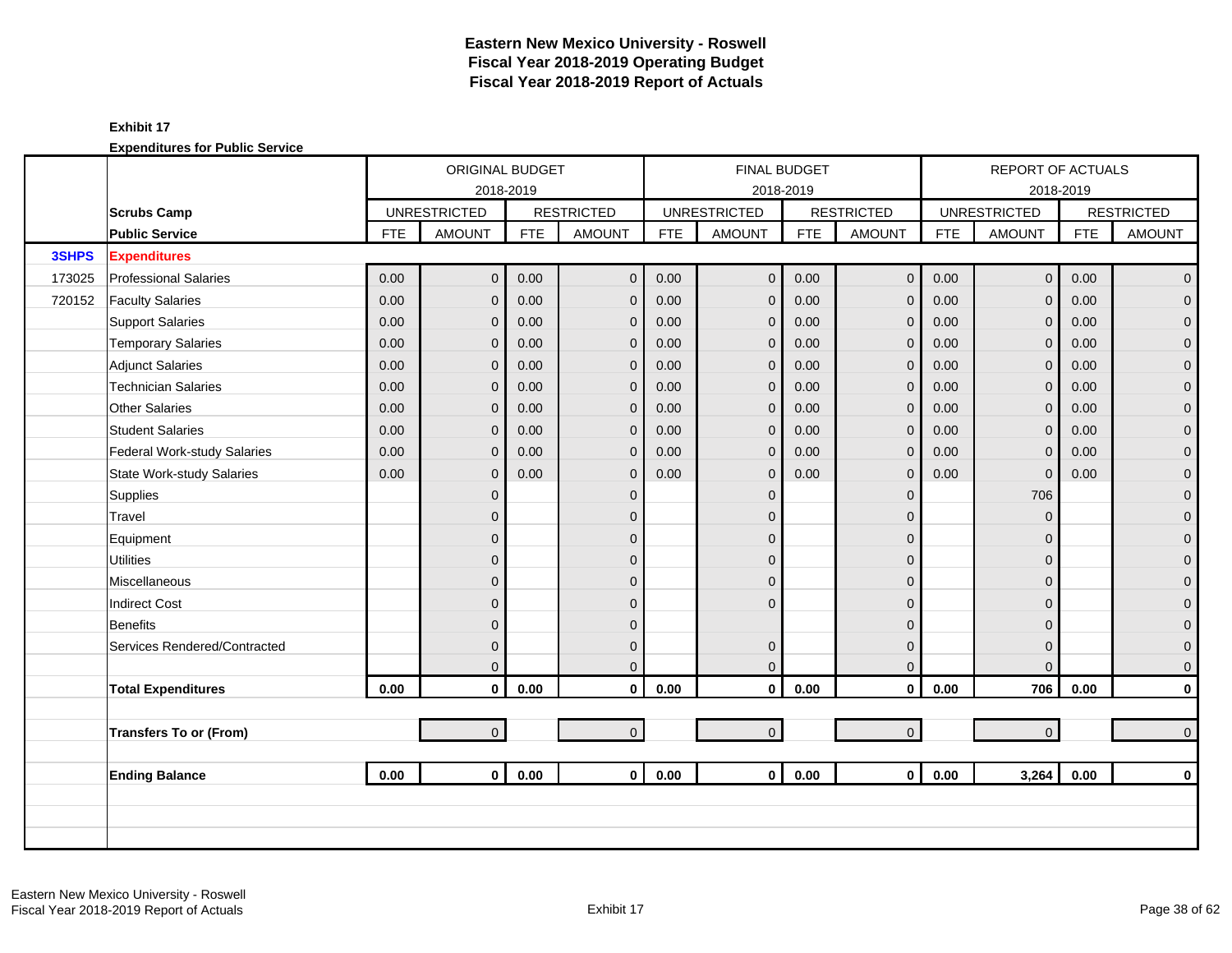|        |                                  | ORIGINAL BUDGET<br>2018-2019<br><b>UNRESTRICTED</b><br><b>FTE</b><br><b>AMOUNT</b><br><b>FTE</b><br>0.00<br>$\overline{0}$<br>0.00<br>0.00<br>0.00<br>$\overline{0}$<br>0.00<br>0.00<br>$\mathbf{0}$<br>0.00<br>0.00<br>0<br>0.00<br>0.00<br>$\overline{0}$<br>0.00<br>0.00<br>0<br>0.00<br>0.00<br>0<br>0.00<br>0.00<br>0<br>0.00<br>0.00<br>0<br>0.00<br>0.00<br>0<br>$\overline{0}$<br>0<br>0<br>$\overline{0}$<br>0<br>0<br>0 |                |      |                   |            | <b>FINAL BUDGET</b> |            |                     | <b>REPORT OF ACTUALS</b> |                     |            |                   |
|--------|----------------------------------|-----------------------------------------------------------------------------------------------------------------------------------------------------------------------------------------------------------------------------------------------------------------------------------------------------------------------------------------------------------------------------------------------------------------------------------|----------------|------|-------------------|------------|---------------------|------------|---------------------|--------------------------|---------------------|------------|-------------------|
|        |                                  |                                                                                                                                                                                                                                                                                                                                                                                                                                   |                |      |                   |            |                     | 2018-2019  |                     |                          |                     | 2018-2019  |                   |
|        | <b>Scrubs Camp</b>               |                                                                                                                                                                                                                                                                                                                                                                                                                                   |                |      | <b>RESTRICTED</b> |            | <b>UNRESTRICTED</b> |            | <b>RESTRICTED</b>   |                          | <b>UNRESTRICTED</b> |            | <b>RESTRICTED</b> |
|        | <b>Public Service</b>            |                                                                                                                                                                                                                                                                                                                                                                                                                                   |                |      | <b>AMOUNT</b>     | <b>FTE</b> | <b>AMOUNT</b>       | <b>FTE</b> | <b>AMOUNT</b>       | <b>FTE</b>               | <b>AMOUNT</b>       | <b>FTE</b> | <b>AMOUNT</b>     |
| 3SHPS  | <b>Expenditures</b>              |                                                                                                                                                                                                                                                                                                                                                                                                                                   |                |      |                   |            |                     |            |                     |                          |                     |            |                   |
| 173025 | <b>Professional Salaries</b>     |                                                                                                                                                                                                                                                                                                                                                                                                                                   |                |      | $\mathbf 0$       | 0.00       | $\overline{0}$      | 0.00       | $\mathbf 0$         | 0.00                     | $\overline{0}$      | 0.00       | $\overline{0}$    |
| 720152 | <b>Faculty Salaries</b>          |                                                                                                                                                                                                                                                                                                                                                                                                                                   |                |      | $\mathbf{0}$      | 0.00       | $\mathbf{0}$        | 0.00       | $\mathbf{0}$        | 0.00                     | $\Omega$            | 0.00       | $\overline{0}$    |
|        | <b>Support Salaries</b>          |                                                                                                                                                                                                                                                                                                                                                                                                                                   |                |      | $\mathbf 0$       | 0.00       | $\mathbf 0$         | 0.00       | $\mathbf 0$         | 0.00                     | $\mathbf{0}$        | 0.00       | $\overline{0}$    |
|        | <b>Temporary Salaries</b>        |                                                                                                                                                                                                                                                                                                                                                                                                                                   |                |      | $\mathbf 0$       | 0.00       | $\mathbf 0$         | 0.00       | $\mathbf 0$         | 0.00                     | $\mathbf{0}$        | 0.00       | $\mathbf 0$       |
|        | Adjunct Salaries                 |                                                                                                                                                                                                                                                                                                                                                                                                                                   |                |      | $\mathbf{0}$      | 0.00       | $\mathbf{0}$        | 0.00       | $\mathbf{0}$        | 0.00                     | $\Omega$            | 0.00       | $\mathbf{0}$      |
|        | <b>Technician Salaries</b>       |                                                                                                                                                                                                                                                                                                                                                                                                                                   |                |      | $\mathbf{0}$      | 0.00       | $\overline{0}$      | 0.00       | $\mathbf{0}$        | 0.00                     | $\mathbf{0}$        | 0.00       | $\mathbf{O}$      |
|        | Other Salaries                   |                                                                                                                                                                                                                                                                                                                                                                                                                                   |                |      | $\mathbf{0}$      | 0.00       | $\mathbf{0}$        | 0.00       | $\mathbf{0}$        | 0.00                     | $\Omega$            | 0.00       | $\mathbf 0$       |
|        | <b>Student Salaries</b>          |                                                                                                                                                                                                                                                                                                                                                                                                                                   |                |      | $\mathbf{0}$      | 0.00       | $\mathbf 0$         | 0.00       | $\mathbf 0$         | 0.00                     | $\Omega$            | 0.00       | $\overline{0}$    |
|        | Federal Work-study Salaries      |                                                                                                                                                                                                                                                                                                                                                                                                                                   |                |      | $\mathbf{0}$      | 0.00       | $\mathbf{0}$        | 0.00       | $\mathbf{0}$        | 0.00                     | $\Omega$            | 0.00       | $\overline{0}$    |
|        | <b>State Work-study Salaries</b> |                                                                                                                                                                                                                                                                                                                                                                                                                                   |                |      | $\mathbf{0}$      | 0.00       | $\mathbf{0}$        | 0.00       | $\mathbf{0}$        | 0.00                     | $\mathbf{0}$        | 0.00       | $\mathbf 0$       |
|        | Supplies                         |                                                                                                                                                                                                                                                                                                                                                                                                                                   |                |      | $\mathbf{0}$      |            | $\overline{0}$      |            | $\mathbf{0}$        |                          | 706                 |            | $\mathbf{O}$      |
|        | Travel                           |                                                                                                                                                                                                                                                                                                                                                                                                                                   |                |      | $\mathbf{0}$      |            | $\Omega$            |            | $\mathbf{0}$        |                          | $\Omega$            |            | $\mathbf{O}$      |
|        | Equipment                        |                                                                                                                                                                                                                                                                                                                                                                                                                                   |                |      | $\mathbf{0}$      |            | $\Omega$            |            | $\mathbf 0$         |                          | $\Omega$            |            | $\pmb{0}$         |
|        | <b>Utilities</b>                 |                                                                                                                                                                                                                                                                                                                                                                                                                                   |                |      | $\Omega$          |            | $\Omega$            |            | $\mathbf 0$         |                          | $\Omega$            |            | $\overline{0}$    |
|        | Miscellaneous                    |                                                                                                                                                                                                                                                                                                                                                                                                                                   |                |      | $\mathbf{0}$      |            | $\Omega$            |            | $\overline{0}$      |                          | $\Omega$            |            | $\mathbf 0$       |
|        | <b>Indirect Cost</b>             |                                                                                                                                                                                                                                                                                                                                                                                                                                   |                |      | $\Omega$          |            | $\Omega$            |            | $\mathbf 0$         |                          | $\Omega$            |            | $\pmb{0}$         |
|        | <b>Benefits</b>                  |                                                                                                                                                                                                                                                                                                                                                                                                                                   |                |      | $\mathbf{0}$      |            |                     |            | $\mathbf 0$         |                          | $\Omega$            |            | $\mathbf{0}$      |
|        | Services Rendered/Contracted     |                                                                                                                                                                                                                                                                                                                                                                                                                                   | 0              |      | $\mathbf{0}$      |            | $\mathbf 0$         |            | $\overline{0}$      |                          | $\Omega$            |            | $\mathbf{0}$      |
|        |                                  |                                                                                                                                                                                                                                                                                                                                                                                                                                   | $\overline{0}$ |      | $\Omega$          |            | $\Omega$            |            | $\overline{0}$      |                          | $\Omega$            |            | $\mathbf{0}$      |
|        | <b>Total Expenditures</b>        | 0.00                                                                                                                                                                                                                                                                                                                                                                                                                              | $\mathbf{0}$   | 0.00 | $\mathbf 0$       | 0.00       | $\mathbf 0$         | 0.00       | $\mathbf 0$         | 0.00                     | 706                 | 0.00       | $\mathbf{0}$      |
|        |                                  |                                                                                                                                                                                                                                                                                                                                                                                                                                   |                |      |                   |            |                     |            |                     |                          |                     |            |                   |
|        | <b>Transfers To or (From)</b>    |                                                                                                                                                                                                                                                                                                                                                                                                                                   | $\overline{0}$ |      | $\overline{0}$    |            | $\pmb{0}$           |            | $\mathsf{O}\xspace$ |                          | $\overline{0}$      |            | $\mathbf{0}$      |
|        |                                  |                                                                                                                                                                                                                                                                                                                                                                                                                                   |                |      |                   |            |                     |            |                     |                          |                     |            |                   |
|        | <b>Ending Balance</b>            | 0.00                                                                                                                                                                                                                                                                                                                                                                                                                              | $\mathbf{0}$   | 0.00 | $\overline{0}$    | 0.00       | $\mathbf{0}$        | 0.00       | $\mathbf{0}$        | 0.00                     | 3,264               | 0.00       | $\mathbf 0$       |
|        |                                  |                                                                                                                                                                                                                                                                                                                                                                                                                                   |                |      |                   |            |                     |            |                     |                          |                     |            |                   |
|        |                                  |                                                                                                                                                                                                                                                                                                                                                                                                                                   |                |      |                   |            |                     |            |                     |                          |                     |            |                   |
|        |                                  |                                                                                                                                                                                                                                                                                                                                                                                                                                   |                |      |                   |            |                     |            |                     |                          |                     |            |                   |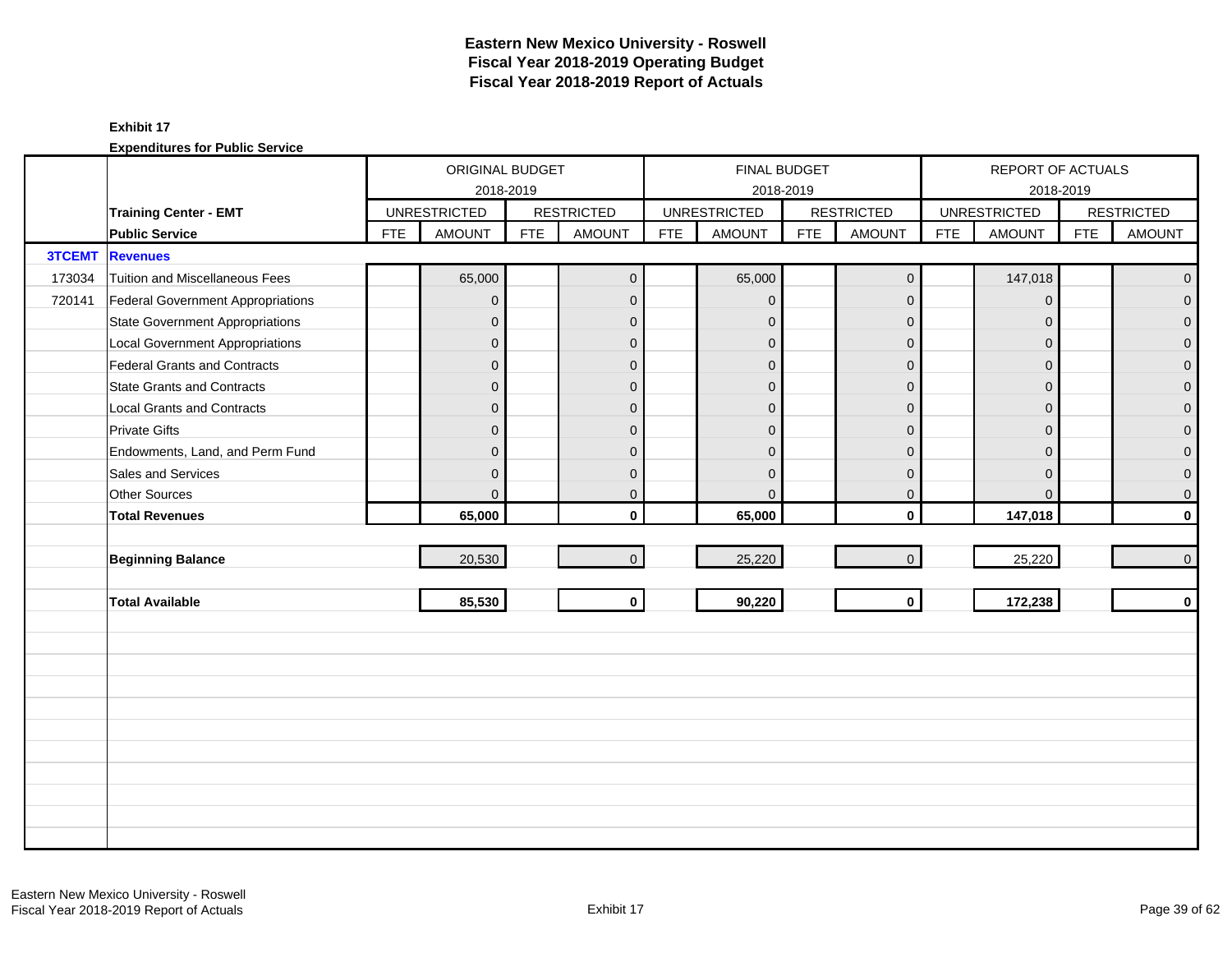|               |                                        |            | ORIGINAL BUDGET     |            |                   |            | FINAL BUDGET        |            |                   |            | REPORT OF ACTUALS   |            |                   |
|---------------|----------------------------------------|------------|---------------------|------------|-------------------|------------|---------------------|------------|-------------------|------------|---------------------|------------|-------------------|
|               |                                        |            | 2018-2019           |            |                   |            | 2018-2019           |            |                   |            | 2018-2019           |            |                   |
|               | <b>Training Center - EMT</b>           |            | <b>UNRESTRICTED</b> |            | <b>RESTRICTED</b> |            | <b>UNRESTRICTED</b> |            | <b>RESTRICTED</b> |            | <b>UNRESTRICTED</b> |            | <b>RESTRICTED</b> |
|               | <b>Public Service</b>                  | <b>FTE</b> | <b>AMOUNT</b>       | <b>FTE</b> | <b>AMOUNT</b>     | <b>FTE</b> | <b>AMOUNT</b>       | <b>FTE</b> | <b>AMOUNT</b>     | <b>FTE</b> | <b>AMOUNT</b>       | <b>FTE</b> | <b>AMOUNT</b>     |
| <b>3TCEMT</b> | <b>Revenues</b>                        |            |                     |            |                   |            |                     |            |                   |            |                     |            |                   |
| 173034        | Tuition and Miscellaneous Fees         |            | 65,000              |            | $\mathbf{0}$      |            | 65,000              |            | $\mathbf 0$       |            | 147,018             |            | $\mathbf{0}$      |
| 720141        | Federal Government Appropriations      |            | $\mathbf 0$         |            | $\mathbf{0}$      |            | $\mathbf{0}$        |            | $\mathbf{0}$      |            | $\mathbf 0$         |            | $\overline{0}$    |
|               | <b>State Government Appropriations</b> |            | $\overline{0}$      |            | $\mathbf 0$       |            | $\Omega$            |            | $\mathbf 0$       |            | $\overline{0}$      |            | $\overline{0}$    |
|               | <b>Local Government Appropriations</b> |            | $\overline{0}$      |            | $\mathbf{0}$      |            | $\Omega$            |            | $\mathbf{0}$      |            | $\Omega$            |            | $\mathbf 0$       |
|               | <b>Federal Grants and Contracts</b>    |            | $\mathbf 0$         |            | $\mathbf{0}$      |            | $\mathbf 0$         |            | $\mathbf{0}$      |            | $\Omega$            |            | $\overline{0}$    |
|               | <b>State Grants and Contracts</b>      |            | $\overline{0}$      |            | $\mathbf{0}$      |            | $\Omega$            |            | $\mathbf{0}$      |            | $\overline{0}$      |            | $\mathbf{0}$      |
|               | <b>Local Grants and Contracts</b>      |            | $\overline{0}$      |            | $\mathbf 0$       |            | $\mathbf{0}$        |            | $\mathbf{0}$      |            | $\mathbf 0$         |            | 0                 |
|               | <b>Private Gifts</b>                   |            | $\overline{0}$      |            | $\mathbf{0}$      |            | $\Omega$            |            | $\mathbf{0}$      |            | $\Omega$            |            | $\overline{0}$    |
|               | Endowments, Land, and Perm Fund        |            | $\overline{0}$      |            | $\mathbf{0}$      |            | $\Omega$            |            | $\mathbf{0}$      |            | $\Omega$            |            | 0                 |
|               | Sales and Services                     |            | $\overline{0}$      |            | $\mathbf{0}$      |            | $\Omega$            |            | $\mathbf{0}$      |            | $\Omega$            |            | 0                 |
|               | Other Sources                          |            | $\overline{0}$      |            | $\mathbf 0$       |            | $\Omega$            |            | $\mathbf 0$       |            | $\mathbf{0}$        |            | 0                 |
|               | <b>Total Revenues</b>                  |            | 65,000              |            | $\mathbf{0}$      |            | 65,000              |            | $\mathbf 0$       |            | 147,018             |            | $\mathbf 0$       |
|               |                                        |            |                     |            |                   |            |                     |            |                   |            |                     |            |                   |
|               | <b>Beginning Balance</b>               |            | 20,530              |            | $\mathbf{0}$      |            | 25,220              |            | $\mathbf 0$       |            | 25,220              |            | $\pmb{0}$         |
|               |                                        |            |                     |            |                   |            |                     |            |                   |            |                     |            |                   |
|               | <b>Total Available</b>                 |            | 85,530              |            | $\mathbf 0$       |            | 90,220              |            | $\mathbf 0$       |            | 172,238             |            | $\mathbf 0$       |
|               |                                        |            |                     |            |                   |            |                     |            |                   |            |                     |            |                   |
|               |                                        |            |                     |            |                   |            |                     |            |                   |            |                     |            |                   |
|               |                                        |            |                     |            |                   |            |                     |            |                   |            |                     |            |                   |
|               |                                        |            |                     |            |                   |            |                     |            |                   |            |                     |            |                   |
|               |                                        |            |                     |            |                   |            |                     |            |                   |            |                     |            |                   |
|               |                                        |            |                     |            |                   |            |                     |            |                   |            |                     |            |                   |
|               |                                        |            |                     |            |                   |            |                     |            |                   |            |                     |            |                   |
|               |                                        |            |                     |            |                   |            |                     |            |                   |            |                     |            |                   |
|               |                                        |            |                     |            |                   |            |                     |            |                   |            |                     |            |                   |
|               |                                        |            |                     |            |                   |            |                     |            |                   |            |                     |            |                   |
|               |                                        |            |                     |            |                   |            |                     |            |                   |            |                     |            |                   |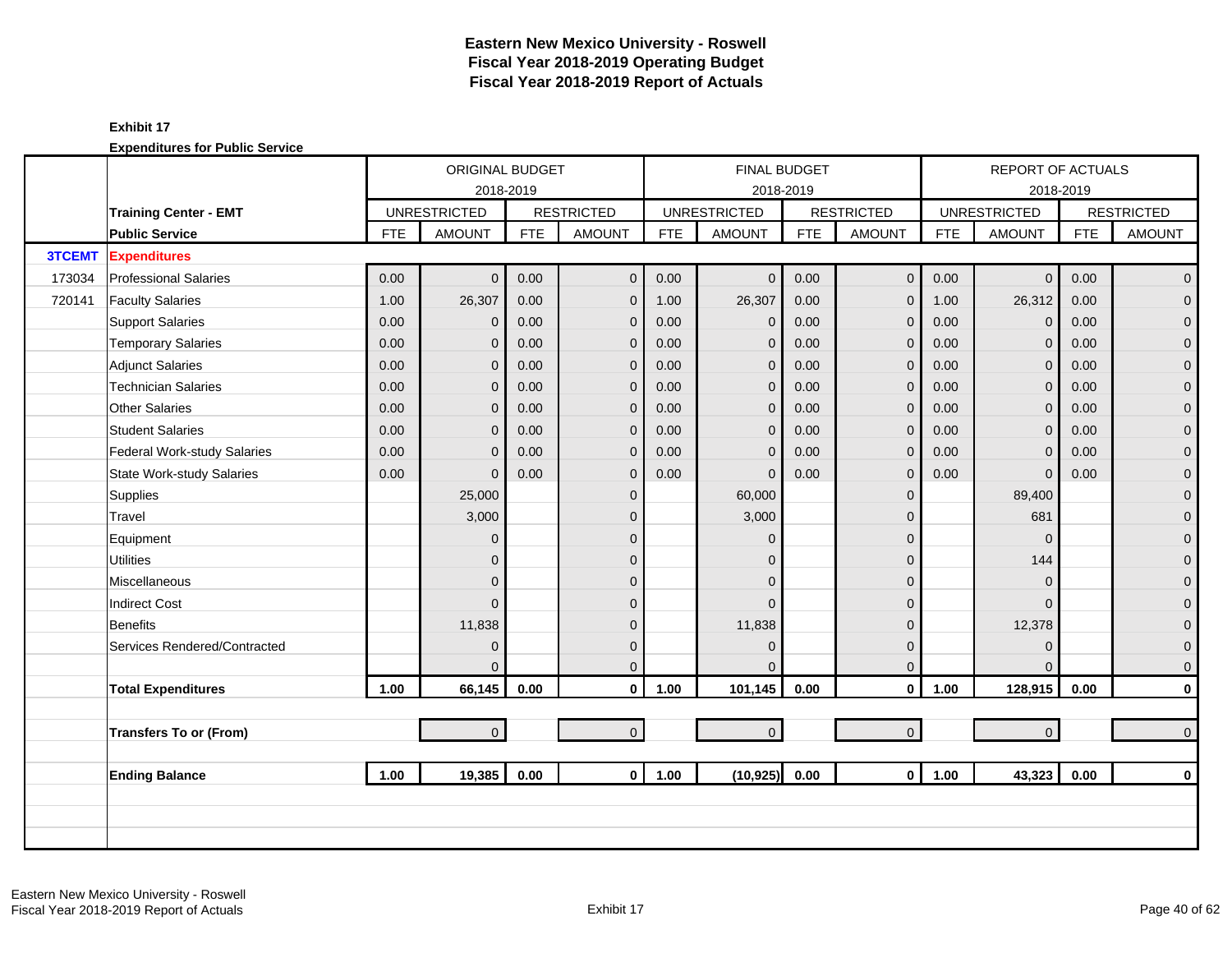|               |                                  |                | ORIGINAL BUDGET     |            |                   |            | <b>FINAL BUDGET</b> |            |                   |            | <b>REPORT OF ACTUALS</b> |            |                   |
|---------------|----------------------------------|----------------|---------------------|------------|-------------------|------------|---------------------|------------|-------------------|------------|--------------------------|------------|-------------------|
|               |                                  |                | 2018-2019           |            |                   |            | 2018-2019           |            |                   |            |                          | 2018-2019  |                   |
|               | <b>Training Center - EMT</b>     |                | <b>UNRESTRICTED</b> |            | <b>RESTRICTED</b> |            | <b>UNRESTRICTED</b> |            | <b>RESTRICTED</b> |            | <b>UNRESTRICTED</b>      |            | <b>RESTRICTED</b> |
|               | <b>Public Service</b>            | <b>FTE</b>     | <b>AMOUNT</b>       | <b>FTE</b> | <b>AMOUNT</b>     | <b>FTE</b> | <b>AMOUNT</b>       | <b>FTE</b> | <b>AMOUNT</b>     | <b>FTE</b> | <b>AMOUNT</b>            | <b>FTE</b> | <b>AMOUNT</b>     |
| <b>3TCEMT</b> | <b>Expenditures</b>              |                |                     |            |                   |            |                     |            |                   |            |                          |            |                   |
| 173034        | <b>Professional Salaries</b>     | 0.00           | $\overline{0}$      | 0.00       | $\mathbf{0}$      | 0.00       | $\mathbf{0}$        | 0.00       | $\mathbf 0$       | 0.00       | $\overline{0}$           | 0.00       | $\overline{0}$    |
| 720141        | <b>Faculty Salaries</b>          | 1.00           | 26,307              | 0.00       | $\mathbf 0$       | 1.00       | 26,307              | 0.00       | $\overline{0}$    | 1.00       | 26,312                   | 0.00       | $\overline{0}$    |
|               | <b>Support Salaries</b>          | 0.00           | $\mathbf{0}$        | 0.00       | $\mathbf 0$       | 0.00       | $\mathbf 0$         | 0.00       | $\mathbf{0}$      | 0.00       | $\mathbf 0$              | 0.00       | $\overline{0}$    |
|               | <b>Temporary Salaries</b>        | 0.00           | $\overline{0}$      | 0.00       | $\mathbf 0$       | 0.00       | $\mathbf{0}$        | 0.00       | $\mathbf{0}$      | 0.00       | $\mathbf 0$              | 0.00       | 0                 |
|               | <b>Adjunct Salaries</b>          | 0.00           | $\overline{0}$      | 0.00       | $\overline{0}$    | 0.00       | $\mathbf{0}$        | 0.00       | $\mathbf{0}$      | 0.00       | $\overline{0}$           | 0.00       | $\mathbf 0$       |
|               | <b>Technician Salaries</b>       | 0.00           | $\overline{0}$      | 0.00       | $\mathbf 0$       | 0.00       | $\mathbf{0}$        | 0.00       | $\mathbf{0}$      | 0.00       | $\mathbf 0$              | 0.00       | $\mathbf 0$       |
|               | <b>Other Salaries</b>            | 0.00           | $\overline{0}$      | 0.00       | $\overline{0}$    | 0.00       | $\mathbf{0}$        | 0.00       | $\mathbf{0}$      | 0.00       | $\mathbf 0$              | 0.00       | 0                 |
|               | <b>Student Salaries</b>          | 0.00           | $\overline{0}$      | 0.00       | $\overline{0}$    | 0.00       | $\mathbf{0}$        | 0.00       | $\mathbf{0}$      | 0.00       | $\mathbf{0}$             | 0.00       | 0                 |
|               | Federal Work-study Salaries      | 0.00           | $\overline{0}$      | 0.00       | $\mathbf 0$       | 0.00       | $\mathbf 0$         | 0.00       | $\mathbf{0}$      | 0.00       | $\mathbf 0$              | 0.00       | $\mathbf 0$       |
|               | <b>State Work-study Salaries</b> | 0.00           | $\overline{0}$      | 0.00       | $\mathbf 0$       | 0.00       | $\mathbf{0}$        | 0.00       | $\mathbf{0}$      | 0.00       | $\mathbf 0$              | 0.00       | 0                 |
|               | Supplies                         |                | 25,000              |            | $\mathbf 0$       |            | 60,000              |            | $\mathbf 0$       |            | 89,400                   |            | $\mathbf 0$       |
|               | Travel                           |                | 3,000               |            | $\Omega$          |            | 3,000               |            | $\mathbf{0}$      |            | 681                      |            | $\overline{0}$    |
|               | Equipment                        |                | $\overline{0}$      |            | $\Omega$          |            | $\Omega$            |            | $\mathbf{0}$      |            | $\Omega$                 |            | $\overline{0}$    |
|               | <b>Utilities</b>                 |                | $\overline{0}$      |            | $\Omega$          |            | $\Omega$            |            | $\mathbf{0}$      |            | 144                      |            | $\overline{0}$    |
|               | Miscellaneous                    |                | $\overline{0}$      |            | $\mathbf{0}$      |            | $\Omega$            |            | $\mathbf{0}$      |            | $\overline{0}$           |            | 0                 |
|               | <b>Indirect Cost</b>             |                | $\Omega$            |            | $\Omega$          |            | $\Omega$            |            | $\mathbf{0}$      |            | $\Omega$                 |            | $\mathbf{0}$      |
|               | <b>Benefits</b>                  |                | 11,838              |            | $\Omega$          |            | 11,838              |            | $\mathbf{0}$      |            | 12,378                   |            | $\mathbf 0$       |
|               | Services Rendered/Contracted     |                | $\overline{0}$      |            | $\mathbf{0}$      |            | $\mathbf{0}$        |            | $\mathbf 0$       |            | $\overline{0}$           |            | $\mathbf 0$       |
|               |                                  |                | 0                   |            | $\mathbf{0}$      |            | $\Omega$            |            | $\mathbf{0}$      |            | $\Omega$                 |            | $\mathbf 0$       |
|               | <b>Total Expenditures</b>        | 1.00           | 66,145              | 0.00       | $\mathbf 0$       | 1.00       | 101,145             | 0.00       | $\mathbf 0$       | 1.00       | 128,915                  | 0.00       | 0                 |
|               | <b>Transfers To or (From)</b>    |                | $\overline{0}$      |            | $\overline{0}$    |            | $\pmb{0}$           |            | $\mathbf{0}$      |            | $\overline{0}$           |            | $\boldsymbol{0}$  |
|               |                                  |                |                     |            |                   |            |                     |            |                   |            |                          |            |                   |
|               | <b>Ending Balance</b>            | 19,385<br>1.00 |                     | 0.00       | $\mathbf{0}$      | 1.00       | (10, 925)           | 0.00       | $\mathbf 0$       | 1.00       | 43,323                   | 0.00       | $\bf{0}$          |
|               |                                  |                |                     |            |                   |            |                     |            |                   |            |                          |            |                   |
|               |                                  |                |                     |            |                   |            |                     |            |                   |            |                          |            |                   |
|               |                                  |                |                     |            |                   |            |                     |            |                   |            |                          |            |                   |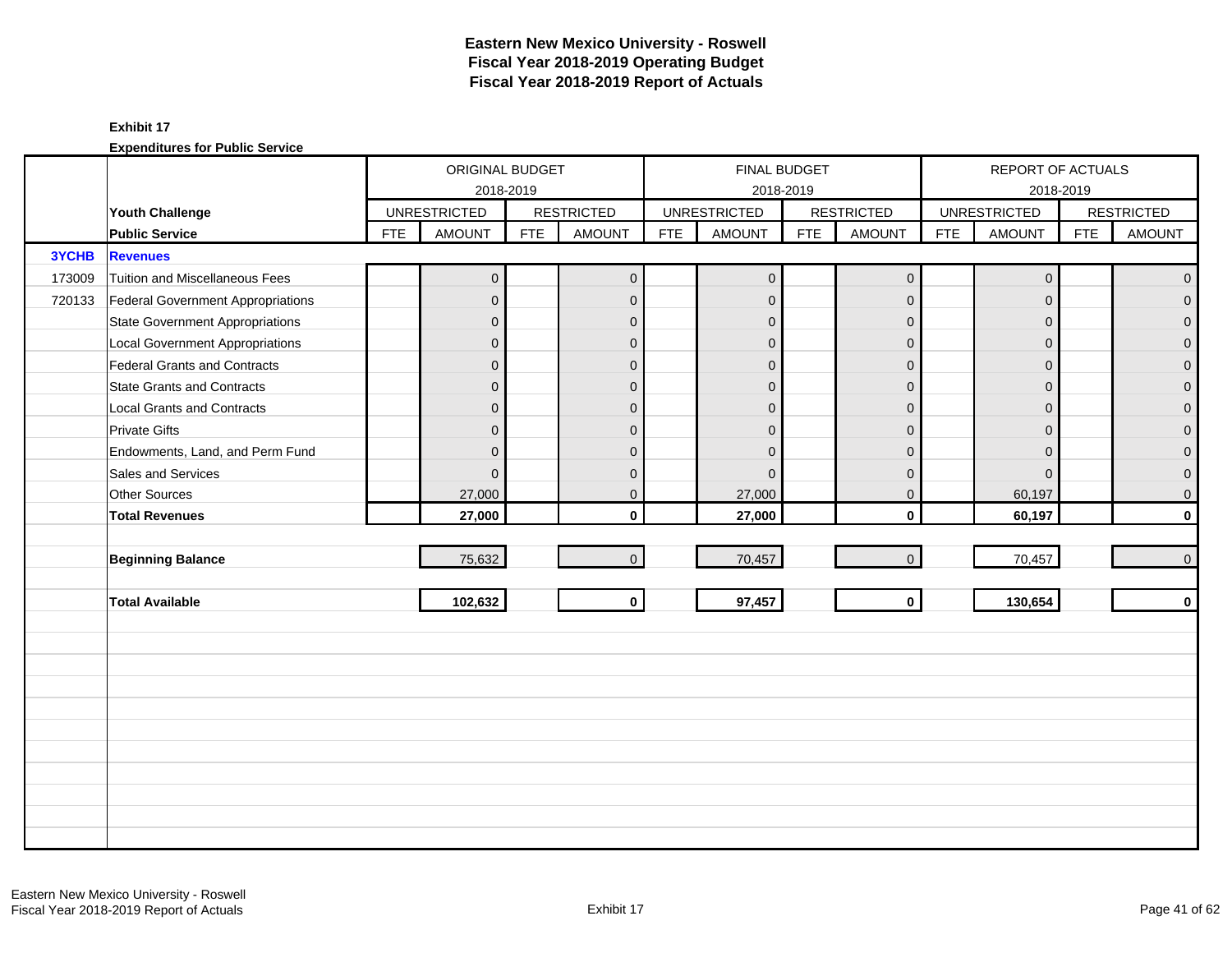|              |                                        |            | ORIGINAL BUDGET     |            |                   |            |                     | FINAL BUDGET |                   |            | REPORT OF ACTUALS   |            |                   |
|--------------|----------------------------------------|------------|---------------------|------------|-------------------|------------|---------------------|--------------|-------------------|------------|---------------------|------------|-------------------|
|              |                                        |            | 2018-2019           |            |                   |            |                     | 2018-2019    |                   |            | 2018-2019           |            |                   |
|              | Youth Challenge                        |            | <b>UNRESTRICTED</b> |            | <b>RESTRICTED</b> |            | <b>UNRESTRICTED</b> |              | <b>RESTRICTED</b> |            | <b>UNRESTRICTED</b> |            | <b>RESTRICTED</b> |
|              | <b>Public Service</b>                  | <b>FTE</b> | <b>AMOUNT</b>       | <b>FTE</b> | <b>AMOUNT</b>     | <b>FTE</b> | <b>AMOUNT</b>       | <b>FTE</b>   | <b>AMOUNT</b>     | <b>FTE</b> | <b>AMOUNT</b>       | <b>FTE</b> | <b>AMOUNT</b>     |
| <b>3YCHB</b> | <b>Revenues</b>                        |            |                     |            |                   |            |                     |              |                   |            |                     |            |                   |
| 173009       | Tuition and Miscellaneous Fees         |            | $\mathbf{0}$        |            | $\mathbf{0}$      |            | $\mathbf 0$         |              | $\mathbf 0$       |            | $\mathbf 0$         |            | $\overline{0}$    |
| 720133       | Federal Government Appropriations      |            | $\mathbf{0}$        |            | $\mathbf{0}$      |            | $\mathbf{0}$        |              | $\overline{0}$    |            | $\mathbf{0}$        |            | $\overline{0}$    |
|              | <b>State Government Appropriations</b> |            | $\overline{0}$      |            | $\mathbf 0$       |            | $\mathbf{0}$        |              | $\mathbf{0}$      |            | $\mathbf{0}$        |            | $\overline{0}$    |
|              | <b>Local Government Appropriations</b> |            | $\overline{0}$      |            | $\mathbf{0}$      |            | $\Omega$            |              | $\mathbf{0}$      |            | $\Omega$            |            | $\mathbf 0$       |
|              | <b>Federal Grants and Contracts</b>    |            | $\overline{0}$      |            | $\mathbf{0}$      |            | $\mathbf{0}$        |              | $\mathbf{0}$      |            | $\Omega$            |            | $\overline{0}$    |
|              | <b>State Grants and Contracts</b>      |            | $\overline{0}$      |            | $\mathbf{0}$      |            | $\overline{0}$      |              | $\mathbf{0}$      |            | $\mathbf{0}$        |            | $\mathbf{0}$      |
|              | <b>Local Grants and Contracts</b>      |            | $\overline{0}$      |            | $\mathbf 0$       |            | $\mathbf{0}$        |              | $\mathbf{0}$      |            | $\mathbf{0}$        |            | 0                 |
|              | <b>Private Gifts</b>                   |            | $\overline{0}$      |            | $\mathbf{0}$      |            | $\Omega$            |              | $\mathbf{0}$      |            | $\Omega$            |            | $\overline{0}$    |
|              | Endowments, Land, and Perm Fund        |            | $\overline{0}$      |            | $\mathbf{0}$      |            | $\Omega$            |              | $\mathbf{0}$      |            | $\Omega$            |            | 0                 |
|              | Sales and Services                     |            | $\overline{0}$      |            | $\mathbf{0}$      |            | $\Omega$            |              | $\mathbf{0}$      |            | $\Omega$            |            | 0                 |
|              | Other Sources                          |            | 27,000              |            | $\mathbf 0$       |            | 27,000              |              | $\mathbf 0$       |            | 60,197              |            | 0                 |
|              | <b>Total Revenues</b>                  |            | 27,000              |            | $\mathbf{0}$      |            | 27,000              |              | $\mathbf 0$       |            | 60,197              |            | $\mathbf 0$       |
|              |                                        |            |                     |            |                   |            |                     |              |                   |            |                     |            |                   |
|              | <b>Beginning Balance</b>               |            | 75,632              |            | $\overline{0}$    |            | 70,457              |              | $\mathbf{0}$      |            | 70,457              |            | $\mathbf 0$       |
|              |                                        |            |                     |            |                   |            |                     |              |                   |            |                     |            |                   |
|              | <b>Total Available</b>                 |            | 102,632             |            | $\mathbf 0$       |            | 97,457              |              | $\mathbf 0$       |            | 130,654             |            | $\mathbf 0$       |
|              |                                        |            |                     |            |                   |            |                     |              |                   |            |                     |            |                   |
|              |                                        |            |                     |            |                   |            |                     |              |                   |            |                     |            |                   |
|              |                                        |            |                     |            |                   |            |                     |              |                   |            |                     |            |                   |
|              |                                        |            |                     |            |                   |            |                     |              |                   |            |                     |            |                   |
|              |                                        |            |                     |            |                   |            |                     |              |                   |            |                     |            |                   |
|              |                                        |            |                     |            |                   |            |                     |              |                   |            |                     |            |                   |
|              |                                        |            |                     |            |                   |            |                     |              |                   |            |                     |            |                   |
|              |                                        |            |                     |            |                   |            |                     |              |                   |            |                     |            |                   |
|              |                                        |            |                     |            |                   |            |                     |              |                   |            |                     |            |                   |
|              |                                        |            |                     |            |                   |            |                     |              |                   |            |                     |            |                   |
|              |                                        |            |                     |            |                   |            |                     |              |                   |            |                     |            |                   |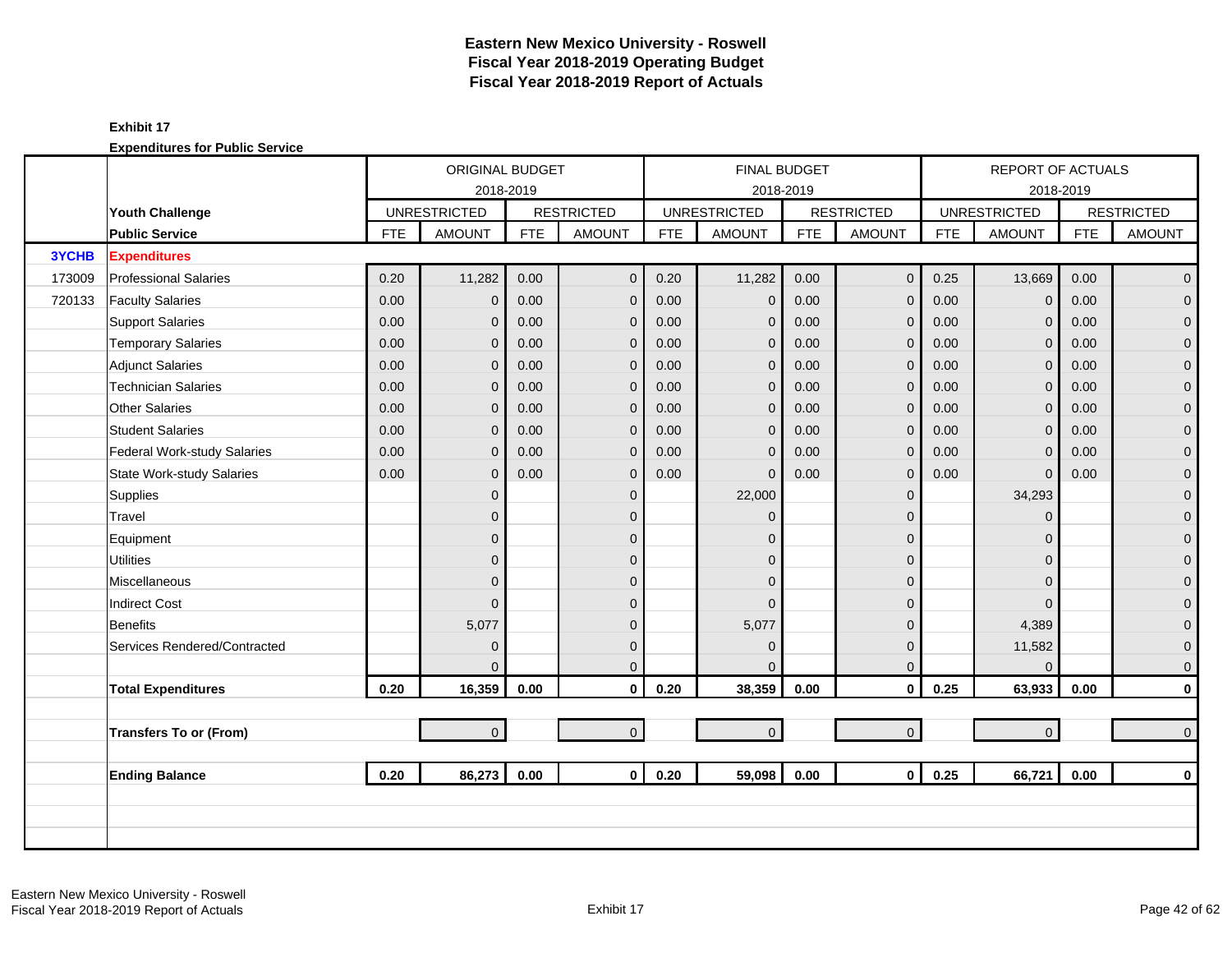|        |                                  |            | ORIGINAL BUDGET     |            |                   |            |                     | <b>FINAL BUDGET</b> |                   |            | REPORT OF ACTUALS   |            |                     |
|--------|----------------------------------|------------|---------------------|------------|-------------------|------------|---------------------|---------------------|-------------------|------------|---------------------|------------|---------------------|
|        |                                  |            | 2018-2019           |            |                   |            |                     | 2018-2019           |                   |            | 2018-2019           |            |                     |
|        | Youth Challenge                  |            | <b>UNRESTRICTED</b> |            | <b>RESTRICTED</b> |            | <b>UNRESTRICTED</b> |                     | <b>RESTRICTED</b> |            | <b>UNRESTRICTED</b> |            | <b>RESTRICTED</b>   |
|        | <b>Public Service</b>            | <b>FTE</b> | <b>AMOUNT</b>       | <b>FTE</b> | <b>AMOUNT</b>     | <b>FTE</b> | <b>AMOUNT</b>       | <b>FTE</b>          | <b>AMOUNT</b>     | <b>FTE</b> | <b>AMOUNT</b>       | <b>FTE</b> | <b>AMOUNT</b>       |
| 3YCHB  | <b>Expenditures</b>              |            |                     |            |                   |            |                     |                     |                   |            |                     |            |                     |
| 173009 | <b>Professional Salaries</b>     | 0.20       | 11,282              | 0.00       | $\mathbf{0}$      | 0.20       | 11,282              | 0.00                | $\mathbf 0$       | 0.25       | 13,669              | 0.00       | $\overline{0}$      |
| 720133 | <b>Faculty Salaries</b>          | 0.00       | $\mathbf{0}$        | 0.00       | $\mathbf{0}$      | 0.00       | $\mathbf{0}$        | 0.00                | $\mathbf 0$       | 0.00       | $\Omega$            | 0.00       | $\mathbf 0$         |
|        | <b>Support Salaries</b>          | 0.00       | $\overline{0}$      | 0.00       | $\mathbf{0}$      | 0.00       | $\mathbf{0}$        | 0.00                | $\mathbf 0$       | 0.00       | $\mathbf 0$         | 0.00       | $\mathbf 0$         |
|        | <b>Temporary Salaries</b>        | 0.00       | $\mathbf{0}$        | 0.00       | $\mathbf{0}$      | 0.00       | $\mathbf{0}$        | 0.00                | $\mathbf 0$       | 0.00       | $\mathbf{0}$        | 0.00       | $\pmb{0}$           |
|        | <b>Adjunct Salaries</b>          | 0.00       | $\overline{0}$      | 0.00       | $\mathbf{0}$      | 0.00       | $\mathbf{0}$        | 0.00                | $\mathbf 0$       | 0.00       | $\Omega$            | 0.00       | $\mathbf 0$         |
|        | <b>Technician Salaries</b>       | 0.00       | $\mathbf{0}$        | 0.00       | $\mathbf{0}$      | 0.00       | $\mathbf 0$         | 0.00                | $\mathbf 0$       | 0.00       | $\mathbf{0}$        | 0.00       | $\mathbf 0$         |
|        | <b>Other Salaries</b>            | 0.00       | $\mathbf{0}$        | 0.00       | $\mathbf{0}$      | 0.00       | $\mathbf{0}$        | 0.00                | $\mathbf 0$       | 0.00       | $\mathbf{0}$        | 0.00       | $\pmb{0}$           |
|        | <b>Student Salaries</b>          | 0.00       | $\Omega$            | 0.00       | $\Omega$          | 0.00       | $\mathbf{0}$        | 0.00                | $\mathbf{0}$      | 0.00       | $\Omega$            | 0.00       | $\overline{0}$      |
|        | Federal Work-study Salaries      | 0.00       | $\overline{0}$      | 0.00       | $\mathbf{0}$      | 0.00       | $\overline{0}$      | 0.00                | $\mathbf 0$       | 0.00       | $\Omega$            | 0.00       | $\mathbf{0}$        |
|        | <b>State Work-study Salaries</b> | 0.00       | $\mathbf{0}$        | 0.00       | $\mathbf{0}$      | 0.00       | $\Omega$            | 0.00                | $\mathbf 0$       | 0.00       | $\mathbf{0}$        | 0.00       | $\mathbf 0$         |
|        | Supplies                         |            | $\overline{0}$      |            | $\mathbf{0}$      |            | 22,000              |                     | $\mathbf 0$       |            | 34,293              |            | $\overline{0}$      |
|        | Travel                           |            | $\overline{0}$      |            | $\Omega$          |            | $\Omega$            |                     | $\mathbf{0}$      |            | $\Omega$            |            | $\mathbf 0$         |
|        | Equipment                        |            | 0                   |            | $\mathbf{0}$      |            | $\Omega$            |                     | $\mathbf 0$       |            | $\Omega$            |            | $\boldsymbol{0}$    |
|        | <b>Utilities</b>                 |            | 0                   |            | $\mathbf{0}$      |            | $\mathbf{0}$        |                     | $\pmb{0}$         |            | $\Omega$            |            | $\overline{0}$      |
|        | Miscellaneous                    |            | $\Omega$            |            | $\Omega$          |            | $\Omega$            |                     | $\mathbf{0}$      |            | $\Omega$            |            | $\mathsf{O}\xspace$ |
|        | <b>Indirect Cost</b>             |            | $\Omega$            |            | $\Omega$          |            | $\Omega$            |                     | $\mathbf{0}$      |            | $\Omega$            |            | $\mathbf 0$         |
|        | Benefits                         |            | 5,077               |            | $\Omega$          |            | 5,077               |                     | $\mathbf 0$       |            | 4,389               |            | $\overline{0}$      |
|        | Services Rendered/Contracted     |            | $\mathbf{0}$        |            | $\mathbf{0}$      |            | $\mathbf{0}$        |                     | $\mathbf 0$       |            | 11,582              |            | $\boldsymbol{0}$    |
|        |                                  |            | $\Omega$            |            | $\Omega$          |            | $\Omega$            |                     | $\mathbf 0$       |            | $\Omega$            |            | $\mathbf{0}$        |
|        | <b>Total Expenditures</b>        | 0.20       | 16,359              | 0.00       | $\mathbf 0$       | 0.20       | 38,359              | 0.00                | $\mathbf 0$       | 0.25       | 63,933              | 0.00       | $\pmb{0}$           |
|        |                                  |            |                     |            |                   |            |                     |                     |                   |            |                     |            |                     |
|        | <b>Transfers To or (From)</b>    |            | $\overline{0}$      |            | $\overline{0}$    |            | $\mathbf{0}$        |                     | $\mathbf{0}$      |            | $\mathbf{0}$        |            | $\mathbf 0$         |
|        |                                  |            |                     |            |                   |            |                     |                     |                   |            |                     |            |                     |
|        | <b>Ending Balance</b>            | 0.20       | 86,273              | 0.00       | $\mathbf{0}$      | 0.20       | 59,098              | 0.00                | $\mathbf{0}$      | 0.25       | 66,721              | 0.00       | $\mathbf 0$         |
|        |                                  |            |                     |            |                   |            |                     |                     |                   |            |                     |            |                     |
|        |                                  |            |                     |            |                   |            |                     |                     |                   |            |                     |            |                     |
|        |                                  |            |                     |            |                   |            |                     |                     |                   |            |                     |            |                     |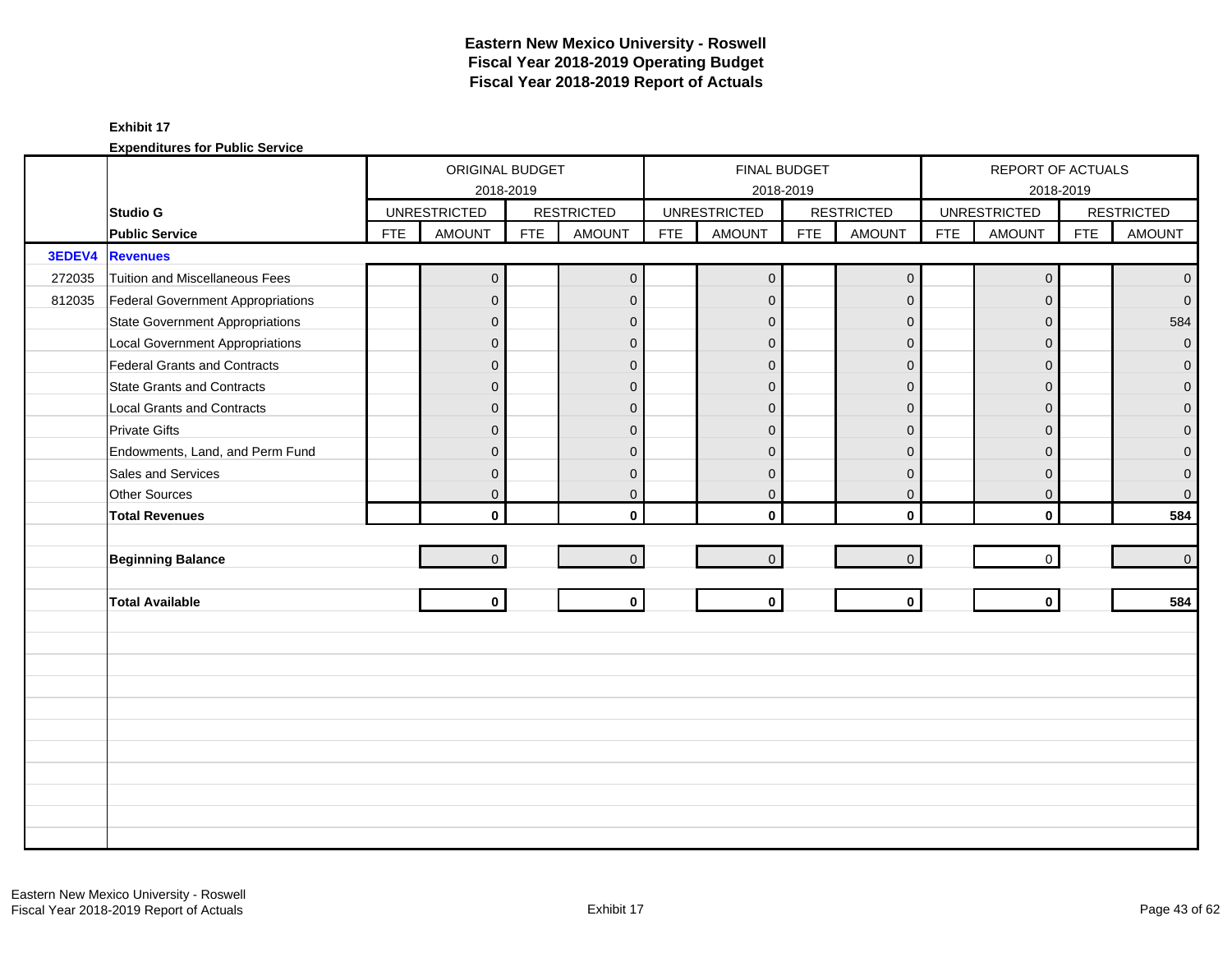|        |                                        |            | ORIGINAL BUDGET     |            |                   |            | FINAL BUDGET        |            |                     |            | REPORT OF ACTUALS   |            |                   |
|--------|----------------------------------------|------------|---------------------|------------|-------------------|------------|---------------------|------------|---------------------|------------|---------------------|------------|-------------------|
|        |                                        |            | 2018-2019           |            |                   |            |                     | 2018-2019  |                     |            |                     | 2018-2019  |                   |
|        | <b>Studio G</b>                        |            | <b>UNRESTRICTED</b> |            | <b>RESTRICTED</b> |            | <b>UNRESTRICTED</b> |            | <b>RESTRICTED</b>   |            | <b>UNRESTRICTED</b> |            | <b>RESTRICTED</b> |
|        | <b>Public Service</b>                  | <b>FTE</b> | <b>AMOUNT</b>       | <b>FTE</b> | <b>AMOUNT</b>     | <b>FTE</b> | <b>AMOUNT</b>       | <b>FTE</b> | <b>AMOUNT</b>       | <b>FTE</b> | <b>AMOUNT</b>       | <b>FTE</b> | <b>AMOUNT</b>     |
| 3EDEV4 | <b>Revenues</b>                        |            |                     |            |                   |            |                     |            |                     |            |                     |            |                   |
| 272035 | Tuition and Miscellaneous Fees         |            | $\overline{0}$      |            | $\mathbf 0$       |            | $\mathbf 0$         |            | $\mathsf{O}\xspace$ |            | $\mathbf 0$         |            | $\mathbf{0}$      |
| 812035 | Federal Government Appropriations      |            | $\overline{0}$      |            | $\mathbf{0}$      |            | $\mathbf{0}$        |            | $\mathbf{0}$        |            | $\Omega$            |            | $\overline{0}$    |
|        | <b>State Government Appropriations</b> |            | $\overline{0}$      |            | $\mathbf{0}$      |            | $\mathbf{0}$        |            | $\mathbf{0}$        |            | $\Omega$            |            | 584               |
|        | <b>Local Government Appropriations</b> |            | $\overline{0}$      |            | $\mathbf{0}$      |            | $\Omega$            |            | $\mathbf{0}$        |            | $\Omega$            |            | $\mathbf 0$       |
|        | <b>Federal Grants and Contracts</b>    |            | $\overline{0}$      |            | $\mathbf{0}$      |            | $\overline{0}$      |            | $\mathbf{0}$        |            | $\Omega$            |            | $\overline{0}$    |
|        | <b>State Grants and Contracts</b>      |            | $\overline{0}$      |            | $\mathbf{0}$      |            | $\mathbf{0}$        |            | $\mathbf{0}$        |            | $\Omega$            |            | $\mathbf{O}$      |
|        | <b>Local Grants and Contracts</b>      |            | $\overline{0}$      |            | $\mathbf{0}$      |            | $\Omega$            |            | $\mathbf 0$         |            | $\Omega$            |            | $\mathbf 0$       |
|        | <b>Private Gifts</b>                   |            | $\overline{0}$      |            | $\Omega$          |            | $\Omega$            |            | $\mathbf 0$         |            | $\Omega$            |            | $\overline{0}$    |
|        | Endowments, Land, and Perm Fund        |            | $\overline{0}$      |            | $\Omega$          |            | $\Omega$            |            | $\mathbf{0}$        |            | $\Omega$            |            | $\mathbf{0}$      |
|        | Sales and Services                     |            | $\overline{0}$      |            | $\mathbf{0}$      |            | $\Omega$            |            | $\mathbf{0}$        |            | $\Omega$            |            | $\pmb{0}$         |
|        | <b>Other Sources</b>                   |            | $\overline{0}$      |            | $\mathbf{0}$      |            | $\mathbf 0$         |            | $\mathbf 0$         |            | $\mathbf 0$         |            | $\mathsf{O}^-$    |
|        | <b>Total Revenues</b>                  |            | $\mathbf{0}$        |            | $\mathbf{0}$      |            | $\Omega$            |            | $\mathbf 0$         |            | $\mathbf{0}$        |            | 584               |
|        |                                        |            |                     |            |                   |            |                     |            |                     |            |                     |            |                   |
|        | <b>Beginning Balance</b>               |            | $\overline{0}$      |            | $\overline{0}$    |            | $\mathbf{0}$        |            | $\mathbf{0}$        |            | $\mathbf 0$         |            | $\overline{0}$    |
|        |                                        |            |                     |            |                   |            |                     |            |                     |            |                     |            |                   |
|        | <b>Total Available</b>                 |            | $\mathbf{0}$        |            | $\mathbf 0$       |            | $\mathbf 0$         |            | $\mathbf{0}$        |            | $\mathbf{0}$        |            | 584               |
|        |                                        |            |                     |            |                   |            |                     |            |                     |            |                     |            |                   |
|        |                                        |            |                     |            |                   |            |                     |            |                     |            |                     |            |                   |
|        |                                        |            |                     |            |                   |            |                     |            |                     |            |                     |            |                   |
|        |                                        |            |                     |            |                   |            |                     |            |                     |            |                     |            |                   |
|        |                                        |            |                     |            |                   |            |                     |            |                     |            |                     |            |                   |
|        |                                        |            |                     |            |                   |            |                     |            |                     |            |                     |            |                   |
|        |                                        |            |                     |            |                   |            |                     |            |                     |            |                     |            |                   |
|        |                                        |            |                     |            |                   |            |                     |            |                     |            |                     |            |                   |
|        |                                        |            |                     |            |                   |            |                     |            |                     |            |                     |            |                   |
|        |                                        |            |                     |            |                   |            |                     |            |                     |            |                     |            |                   |
|        |                                        |            |                     |            |                   |            |                     |            |                     |            |                     |            |                   |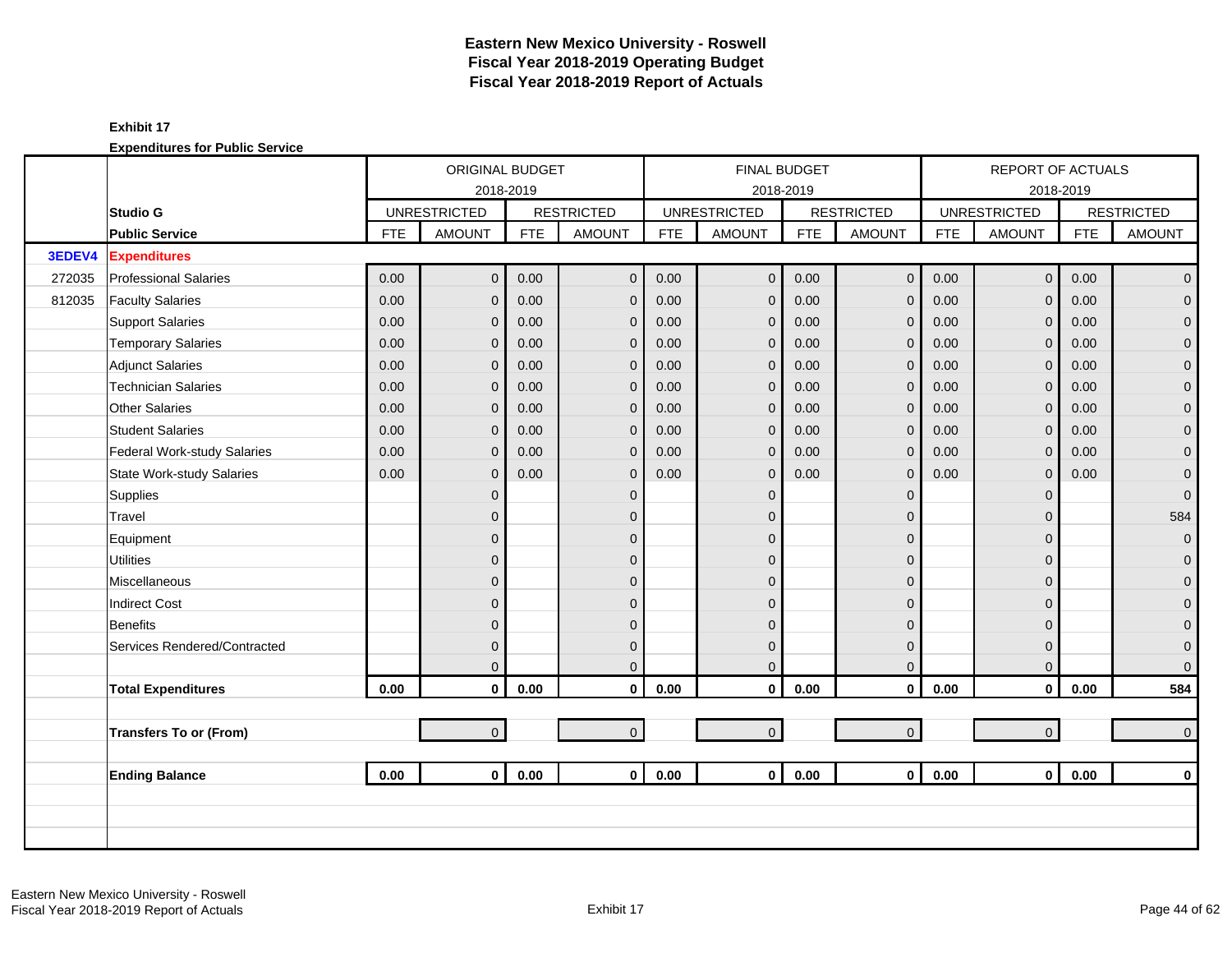|        |                                  | ORIGINAL BUDGET<br>2018-2019<br><b>UNRESTRICTED</b><br><b>AMOUNT</b><br><b>FTE</b><br>0.00<br>$\overline{0}$<br>0.00<br>$\overline{0}$<br>0.00<br>$\overline{0}$<br>0.00<br>$\mathbf{0}$<br>0.00<br>$\overline{0}$<br>0.00<br>$\overline{0}$<br>0.00<br>$\mathbf{0}$<br>0.00<br>$\Omega$<br>0.00<br>$\overline{0}$<br>0.00<br>$\Omega$<br>$\mathbf 0$<br>$\overline{0}$<br>$\overline{0}$<br>$\overline{0}$<br>$\overline{0}$<br>$\overline{0}$<br>$\mathbf 0$ |                |            |                   |            | <b>FINAL BUDGET</b> |            |                   |            | REPORT OF ACTUALS   |            |                   |
|--------|----------------------------------|----------------------------------------------------------------------------------------------------------------------------------------------------------------------------------------------------------------------------------------------------------------------------------------------------------------------------------------------------------------------------------------------------------------------------------------------------------------|----------------|------------|-------------------|------------|---------------------|------------|-------------------|------------|---------------------|------------|-------------------|
|        |                                  |                                                                                                                                                                                                                                                                                                                                                                                                                                                                |                |            |                   |            | 2018-2019           |            |                   |            |                     | 2018-2019  |                   |
|        | <b>Studio G</b>                  |                                                                                                                                                                                                                                                                                                                                                                                                                                                                |                |            | <b>RESTRICTED</b> |            | <b>UNRESTRICTED</b> |            | <b>RESTRICTED</b> |            | <b>UNRESTRICTED</b> |            | <b>RESTRICTED</b> |
|        | <b>Public Service</b>            |                                                                                                                                                                                                                                                                                                                                                                                                                                                                |                | <b>FTE</b> | <b>AMOUNT</b>     | <b>FTE</b> | <b>AMOUNT</b>       | <b>FTE</b> | <b>AMOUNT</b>     | <b>FTE</b> | <b>AMOUNT</b>       | <b>FTE</b> | <b>AMOUNT</b>     |
| 3EDEV4 | <b>Expenditures</b>              |                                                                                                                                                                                                                                                                                                                                                                                                                                                                |                |            |                   |            |                     |            |                   |            |                     |            |                   |
| 272035 | <b>Professional Salaries</b>     |                                                                                                                                                                                                                                                                                                                                                                                                                                                                |                | 0.00       | $\mathbf 0$       | 0.00       | $\mathbf 0$         | 0.00       | $\mathbf 0$       | 0.00       | $\overline{0}$      | 0.00       | $\mathbf{0}$      |
| 812035 | <b>Faculty Salaries</b>          |                                                                                                                                                                                                                                                                                                                                                                                                                                                                |                | 0.00       | $\overline{0}$    | 0.00       | $\mathbf{0}$        | 0.00       | $\mathbf{0}$      | 0.00       | $\overline{0}$      | 0.00       | $\overline{0}$    |
|        | <b>Support Salaries</b>          |                                                                                                                                                                                                                                                                                                                                                                                                                                                                |                | 0.00       | $\overline{0}$    | 0.00       | $\mathbf{0}$        | 0.00       | $\mathbf{0}$      | 0.00       | $\mathbf 0$         | 0.00       | $\overline{0}$    |
|        | <b>Temporary Salaries</b>        |                                                                                                                                                                                                                                                                                                                                                                                                                                                                |                | 0.00       | $\overline{0}$    | 0.00       | $\mathbf{0}$        | 0.00       | $\mathbf{0}$      | 0.00       | $\mathbf 0$         | 0.00       | 0                 |
|        | <b>Adjunct Salaries</b>          |                                                                                                                                                                                                                                                                                                                                                                                                                                                                |                | 0.00       | $\overline{0}$    | 0.00       | $\mathbf{0}$        | 0.00       | $\mathbf{0}$      | 0.00       | $\mathbf{0}$        | 0.00       | $\mathbf 0$       |
|        | <b>Technician Salaries</b>       |                                                                                                                                                                                                                                                                                                                                                                                                                                                                |                | 0.00       | $\mathbf 0$       | 0.00       | $\mathbf 0$         | 0.00       | $\mathbf 0$       | 0.00       | $\mathbf 0$         | 0.00       | $\mathbf 0$       |
|        | <b>Other Salaries</b>            |                                                                                                                                                                                                                                                                                                                                                                                                                                                                |                | 0.00       | $\mathbf 0$       | 0.00       | $\mathbf{0}$        | 0.00       | $\mathbf 0$       | 0.00       | $\mathbf 0$         | 0.00       | 0                 |
|        | <b>Student Salaries</b>          |                                                                                                                                                                                                                                                                                                                                                                                                                                                                |                | 0.00       | $\mathbf{0}$      | 0.00       | $\mathbf{0}$        | 0.00       | $\mathbf{0}$      | 0.00       | $\overline{0}$      | 0.00       | $\overline{0}$    |
|        | Federal Work-study Salaries      |                                                                                                                                                                                                                                                                                                                                                                                                                                                                |                | 0.00       | $\overline{0}$    | 0.00       | $\mathbf{0}$        | 0.00       | $\mathbf{0}$      | 0.00       | $\overline{0}$      | 0.00       | $\overline{0}$    |
|        | <b>State Work-study Salaries</b> |                                                                                                                                                                                                                                                                                                                                                                                                                                                                |                | 0.00       | $\mathbf 0$       | 0.00       | $\mathbf{0}$        | 0.00       | $\mathbf{0}$      | 0.00       | $\mathbf 0$         | 0.00       | $\mathbf 0$       |
|        | <b>Supplies</b>                  |                                                                                                                                                                                                                                                                                                                                                                                                                                                                |                |            | $\overline{0}$    |            | $\Omega$            |            | $\mathbf{0}$      |            | $\mathbf{0}$        |            | $\mathbf 0$       |
|        | Travel                           |                                                                                                                                                                                                                                                                                                                                                                                                                                                                |                |            | $\mathbf{0}$      |            | $\Omega$            |            | $\mathbf{0}$      |            | $\mathbf 0$         |            | 584               |
|        | Equipment                        |                                                                                                                                                                                                                                                                                                                                                                                                                                                                |                |            | $\mathbf{0}$      |            | $\Omega$            |            | $\mathbf{0}$      |            | $\overline{0}$      |            | $\mathbf 0$       |
|        | <b>Utilities</b>                 |                                                                                                                                                                                                                                                                                                                                                                                                                                                                |                |            | $\mathbf{0}$      |            | $\overline{0}$      |            | $\mathbf{0}$      |            | $\mathbf{0}$        |            | $\mathbf 0$       |
|        | Miscellaneous                    |                                                                                                                                                                                                                                                                                                                                                                                                                                                                |                |            | $\mathbf{0}$      |            | $\Omega$            |            | $\mathbf{0}$      |            | $\Omega$            |            | $\overline{0}$    |
|        | <b>Indirect Cost</b>             |                                                                                                                                                                                                                                                                                                                                                                                                                                                                |                |            | $\Omega$          |            | $\Omega$            |            | $\Omega$          |            | $\Omega$            |            | $\mathbf{0}$      |
|        | <b>Benefits</b>                  |                                                                                                                                                                                                                                                                                                                                                                                                                                                                |                |            | $\mathbf 0$       |            | $\Omega$            |            | $\mathbf{0}$      |            | $\Omega$            |            | $\mathbf 0$       |
|        | Services Rendered/Contracted     |                                                                                                                                                                                                                                                                                                                                                                                                                                                                | $\overline{0}$ |            | $\mathbf 0$       |            | $\overline{0}$      |            | $\mathbf{0}$      |            | $\mathbf 0$         |            | $\mathbf 0$       |
|        |                                  |                                                                                                                                                                                                                                                                                                                                                                                                                                                                | $\overline{0}$ |            | $\mathbf{0}$      |            | $\Omega$            |            | $\mathbf{0}$      |            | $\mathbf{0}$        |            | $\overline{0}$    |
|        | <b>Total Expenditures</b>        | 0.00                                                                                                                                                                                                                                                                                                                                                                                                                                                           | $\mathbf 0$    | 0.00       | $\mathbf{0}$      | 0.00       | $\mathbf 0$         | 0.00       | $\mathbf 0$       | 0.00       | $\mathbf{0}$        | 0.00       | 584               |
|        |                                  |                                                                                                                                                                                                                                                                                                                                                                                                                                                                |                |            |                   |            |                     |            |                   |            |                     |            |                   |
|        | <b>Transfers To or (From)</b>    |                                                                                                                                                                                                                                                                                                                                                                                                                                                                | $\overline{0}$ |            | $\overline{0}$    |            | $\mathbf 0$         |            | $\mathbf{O}$      |            | $\overline{0}$      |            | $\mathbf{0}$      |
|        |                                  |                                                                                                                                                                                                                                                                                                                                                                                                                                                                |                |            |                   |            |                     |            |                   |            |                     |            |                   |
|        | <b>Ending Balance</b>            | 0.00                                                                                                                                                                                                                                                                                                                                                                                                                                                           | $\mathbf{0}$   | 0.00       | $\mathbf{0}$      | 0.00       | $\mathbf{0}$        | 0.00       | $\mathbf{0}$      | 0.00       | $\overline{0}$      | 0.00       | $\mathbf{0}$      |
|        |                                  |                                                                                                                                                                                                                                                                                                                                                                                                                                                                |                |            |                   |            |                     |            |                   |            |                     |            |                   |
|        |                                  |                                                                                                                                                                                                                                                                                                                                                                                                                                                                |                |            |                   |            |                     |            |                   |            |                     |            |                   |
|        |                                  |                                                                                                                                                                                                                                                                                                                                                                                                                                                                |                |            |                   |            |                     |            |                   |            |                     |            |                   |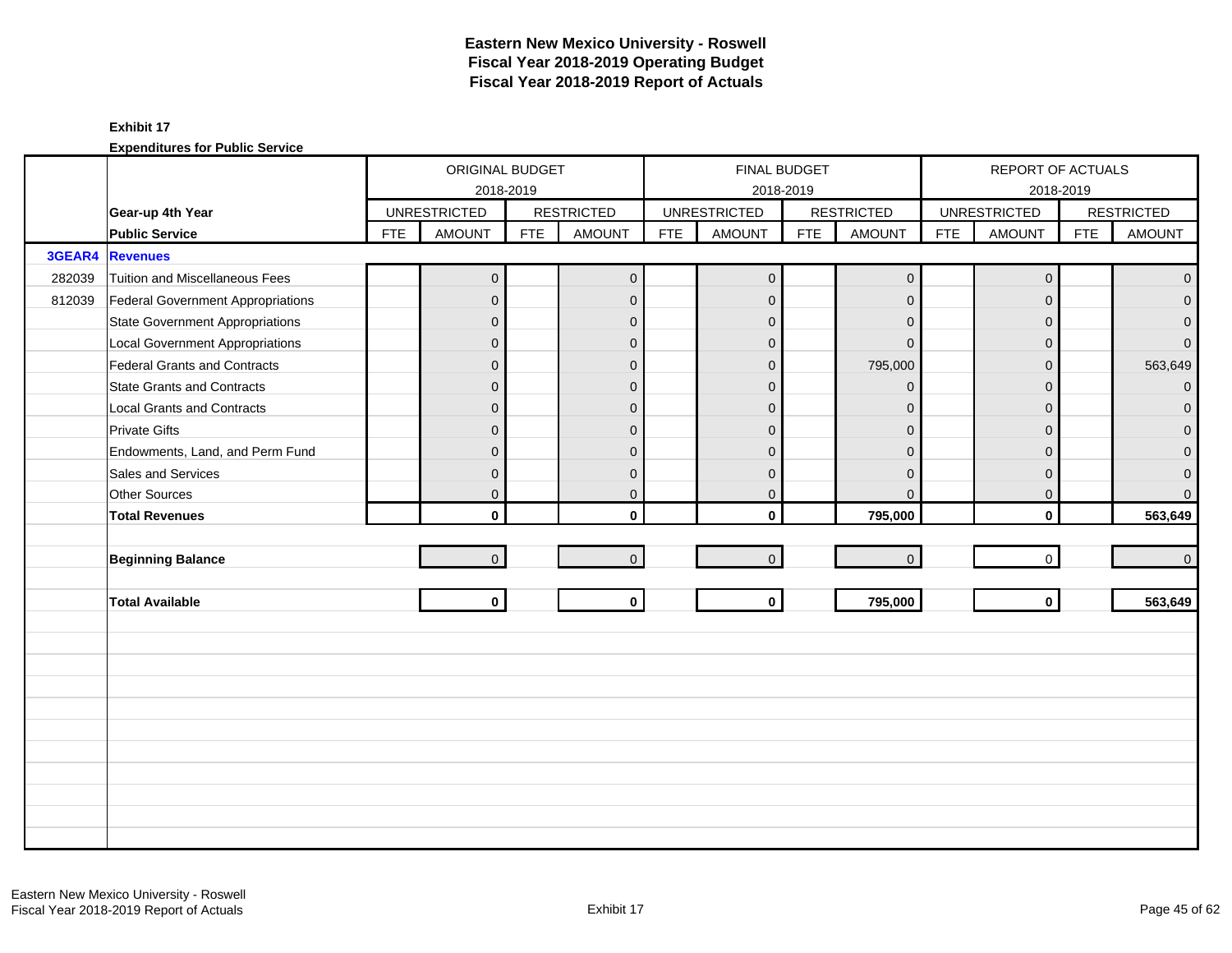|        |                                        |            | ORIGINAL BUDGET     |            |                   |            |                     | FINAL BUDGET |                     |            | REPORT OF ACTUALS   |            |                   |
|--------|----------------------------------------|------------|---------------------|------------|-------------------|------------|---------------------|--------------|---------------------|------------|---------------------|------------|-------------------|
|        |                                        |            | 2018-2019           |            |                   |            |                     | 2018-2019    |                     |            |                     | 2018-2019  |                   |
|        | Gear-up 4th Year                       |            | <b>UNRESTRICTED</b> |            | <b>RESTRICTED</b> |            | <b>UNRESTRICTED</b> |              | <b>RESTRICTED</b>   |            | <b>UNRESTRICTED</b> |            | <b>RESTRICTED</b> |
|        | <b>Public Service</b>                  | <b>FTE</b> | <b>AMOUNT</b>       | <b>FTE</b> | <b>AMOUNT</b>     | <b>FTE</b> | <b>AMOUNT</b>       | <b>FTE</b>   | <b>AMOUNT</b>       | <b>FTE</b> | <b>AMOUNT</b>       | <b>FTE</b> | <b>AMOUNT</b>     |
| 3GEAR4 | <b>Revenues</b>                        |            |                     |            |                   |            |                     |              |                     |            |                     |            |                   |
| 282039 | Tuition and Miscellaneous Fees         |            | $\boldsymbol{0}$    |            | $\mathbf{0}$      |            | $\mathbf 0$         |              | $\mathsf{O}\xspace$ |            | $\mathbf 0$         |            | $\mathbf{0}$      |
| 812039 | Federal Government Appropriations      |            | 0                   |            | $\mathbf 0$       |            | $\mathbf{0}$        |              | $\mathbf{0}$        |            | $\Omega$            |            | $\overline{0}$    |
|        | <b>State Government Appropriations</b> |            | $\mathbf 0$         |            | $\mathbf{0}$      |            | $\mathbf{0}$        |              | $\mathbf 0$         |            | $\Omega$            |            | $\mathbf{0}$      |
|        | <b>Local Government Appropriations</b> |            | 0                   |            | $\mathbf{0}$      |            | $\Omega$            |              | $\Omega$            |            | $\Omega$            |            | $\overline{0}$    |
|        | Federal Grants and Contracts           |            | $\overline{0}$      |            | $\mathbf{0}$      |            | $\Omega$            |              | 795,000             |            | $\Omega$            |            | 563,649           |
|        | <b>State Grants and Contracts</b>      |            | $\mathbf{0}$        |            | $\mathbf{0}$      |            | $\mathbf{0}$        |              | $\mathbf{0}$        |            | $\Omega$            |            | $\overline{0}$    |
|        | <b>Local Grants and Contracts</b>      |            | 0                   |            | $\mathbf{0}$      |            | $\Omega$            |              | $\mathbf{0}$        |            | $\Omega$            |            | $\mathbf 0$       |
|        | <b>Private Gifts</b>                   |            | $\overline{0}$      |            | $\mathbf{0}$      |            | $\Omega$            |              | $\mathbf{0}$        |            | $\Omega$            |            | $\overline{0}$    |
|        | Endowments, Land, and Perm Fund        |            | $\mathbf{0}$        |            | $\mathbf{0}$      |            | $\Omega$            |              | $\mathbf{0}$        |            | $\Omega$            |            | $\overline{0}$    |
|        | Sales and Services                     |            | $\mathbf{0}$        |            | $\mathbf{0}$      |            | $\mathbf{0}$        |              | $\mathbf{0}$        |            | $\Omega$            |            | $\mathbf 0$       |
|        | Other Sources                          |            | 0                   |            | $\mathbf 0$       |            | $\mathbf 0$         |              | $\mathbf{0}$        |            | 0                   |            | $\overline{0}$    |
|        | <b>Total Revenues</b>                  |            | $\mathbf{0}$        |            | $\mathbf{0}$      |            | $\mathbf{0}$        |              | 795,000             |            | $\mathbf{0}$        |            | 563,649           |
|        |                                        |            |                     |            |                   |            |                     |              |                     |            |                     |            |                   |
|        | <b>Beginning Balance</b>               |            | $\overline{0}$      |            | $\overline{0}$    |            | $\mathbf{0}$        |              | $\mathsf{O}\xspace$ |            | $\mathbf 0$         |            | $\overline{0}$    |
|        |                                        |            |                     |            |                   |            |                     |              |                     |            |                     |            |                   |
|        | <b>Total Available</b>                 |            | $\mathbf{0}$        |            | $\mathbf{0}$      |            | $\mathbf 0$         |              | 795,000             |            | $\mathbf{0}$        |            | 563,649           |
|        |                                        |            |                     |            |                   |            |                     |              |                     |            |                     |            |                   |
|        |                                        |            |                     |            |                   |            |                     |              |                     |            |                     |            |                   |
|        |                                        |            |                     |            |                   |            |                     |              |                     |            |                     |            |                   |
|        |                                        |            |                     |            |                   |            |                     |              |                     |            |                     |            |                   |
|        |                                        |            |                     |            |                   |            |                     |              |                     |            |                     |            |                   |
|        |                                        |            |                     |            |                   |            |                     |              |                     |            |                     |            |                   |
|        |                                        |            |                     |            |                   |            |                     |              |                     |            |                     |            |                   |
|        |                                        |            |                     |            |                   |            |                     |              |                     |            |                     |            |                   |
|        |                                        |            |                     |            |                   |            |                     |              |                     |            |                     |            |                   |
|        |                                        |            |                     |            |                   |            |                     |              |                     |            |                     |            |                   |
|        |                                        |            |                     |            |                   |            |                     |              |                     |            |                     |            |                   |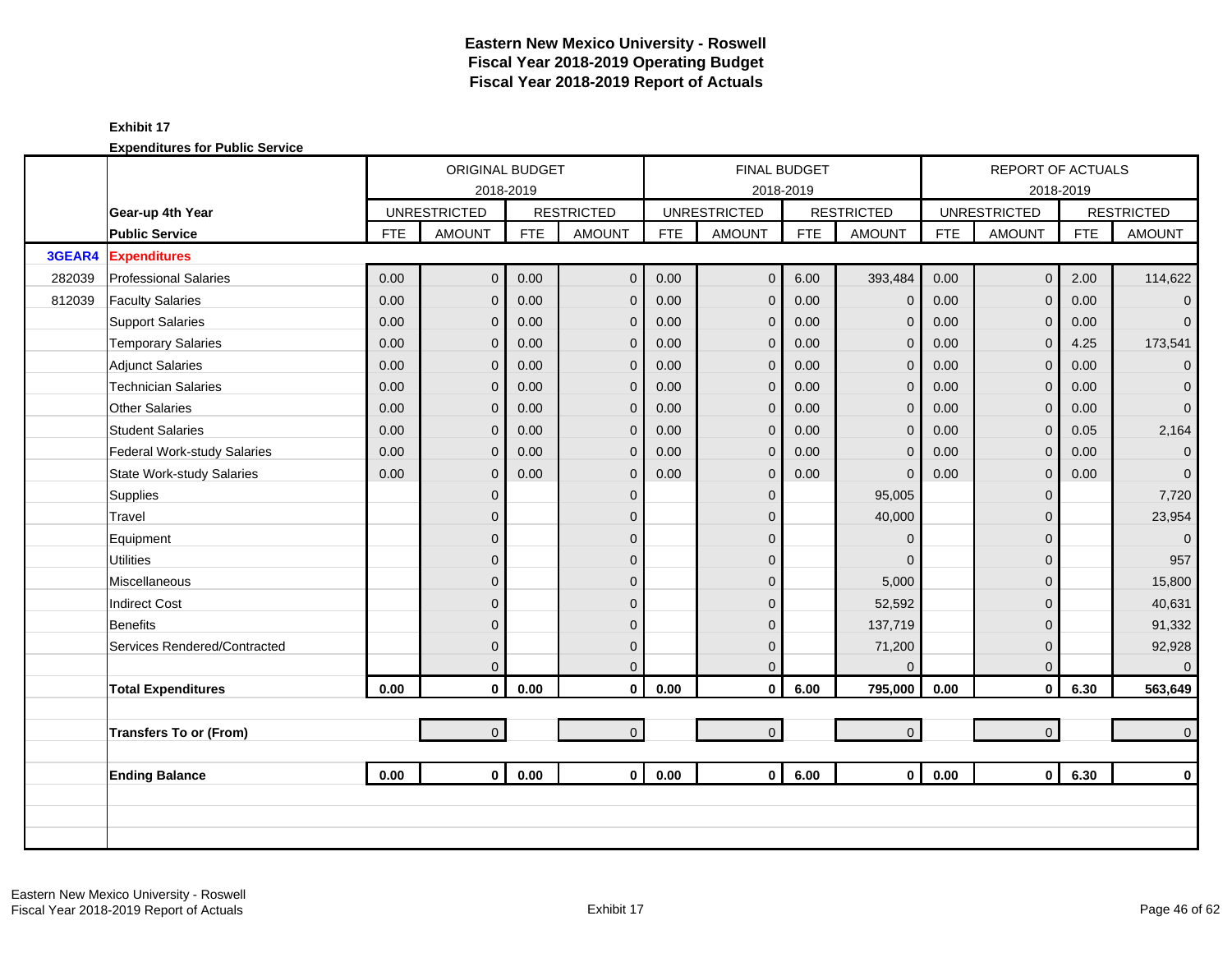|        |                                    |            | ORIGINAL BUDGET     |            |                   |            | <b>FINAL BUDGET</b> |            |                     |            | <b>REPORT OF ACTUALS</b> |            |                   |
|--------|------------------------------------|------------|---------------------|------------|-------------------|------------|---------------------|------------|---------------------|------------|--------------------------|------------|-------------------|
|        |                                    |            | 2018-2019           |            |                   |            |                     | 2018-2019  |                     |            |                          | 2018-2019  |                   |
|        | Gear-up 4th Year                   |            | <b>UNRESTRICTED</b> |            | <b>RESTRICTED</b> |            | <b>UNRESTRICTED</b> |            | <b>RESTRICTED</b>   |            | <b>UNRESTRICTED</b>      |            | <b>RESTRICTED</b> |
|        | <b>Public Service</b>              | <b>FTE</b> | <b>AMOUNT</b>       | <b>FTE</b> | <b>AMOUNT</b>     | <b>FTE</b> | <b>AMOUNT</b>       | <b>FTE</b> | <b>AMOUNT</b>       | <b>FTE</b> | <b>AMOUNT</b>            | <b>FTE</b> | <b>AMOUNT</b>     |
| 3GEAR4 | <b>Expenditures</b>                |            |                     |            |                   |            |                     |            |                     |            |                          |            |                   |
| 282039 | <b>Professional Salaries</b>       | 0.00       | $\overline{0}$      | 0.00       | $\mathbf 0$       | 0.00       | $\mathbf 0$         | 6.00       | 393,484             | 0.00       | $\mathbf 0$              | 2.00       | 114,622           |
| 812039 | <b>Faculty Salaries</b>            | 0.00       | 0                   | 0.00       | $\mathbf{0}$      | 0.00       | $\mathbf{0}$        | 0.00       | $\mathbf{0}$        | 0.00       | $\Omega$                 | 0.00       | $\mathbf{0}$      |
|        | <b>Support Salaries</b>            | 0.00       | 0                   | 0.00       | $\mathbf{0}$      | 0.00       | $\overline{0}$      | 0.00       | $\mathbf{0}$        | 0.00       | $\mathbf{0}$             | 0.00       | $\overline{0}$    |
|        | <b>Temporary Salaries</b>          | 0.00       | 0                   | 0.00       | $\mathbf{0}$      | 0.00       | $\mathbf{0}$        | 0.00       | $\mathbf{0}$        | 0.00       | $\mathbf{0}$             | 4.25       | 173,541           |
|        | Adjunct Salaries                   | 0.00       | 0                   | 0.00       | $\mathbf{0}$      | 0.00       | $\mathbf{0}$        | 0.00       | $\mathbf{0}$        | 0.00       | $\Omega$                 | 0.00       | $\mathbf{0}$      |
|        | <b>Technician Salaries</b>         | 0.00       | 0                   | 0.00       | $\mathbf 0$       | 0.00       | $\mathbf 0$         | 0.00       | $\mathbf 0$         | 0.00       | $\mathbf{0}$             | 0.00       | $\mathbf 0$       |
|        | <b>Other Salaries</b>              | 0.00       | 0                   | 0.00       | $\mathbf{0}$      | 0.00       | $\mathbf{0}$        | 0.00       | $\mathbf{0}$        | 0.00       | $\mathbf{0}$             | 0.00       | $\mathbf{0}$      |
|        | <b>Student Salaries</b>            | 0.00       | $\Omega$            | 0.00       | $\mathbf{0}$      | 0.00       | $\mathbf 0$         | 0.00       | $\Omega$            | 0.00       | $\Omega$                 | 0.05       | 2,164             |
|        | <b>Federal Work-study Salaries</b> | 0.00       | $\mathbf{0}$        | 0.00       | $\mathbf{0}$      | 0.00       | $\overline{0}$      | 0.00       | $\mathbf{0}$        | 0.00       | $\mathbf{0}$             | 0.00       | $\mathbf 0$       |
|        | <b>State Work-study Salaries</b>   | 0.00       | 0                   | 0.00       | $\mathbf{0}$      | 0.00       | $\mathbf{0}$        | 0.00       | $\mathbf{0}$        | 0.00       | $\mathbf{0}$             | 0.00       | $\mathbf{0}$      |
|        | Supplies                           |            | $\overline{0}$      |            | $\mathbf{0}$      |            | $\mathbf{0}$        |            | 95,005              |            | $\Omega$                 |            | 7,720             |
|        | Travel                             |            | 0                   |            | $\mathbf{0}$      |            | $\mathbf{0}$        |            | 40,000              |            | $\Omega$                 |            | 23,954            |
|        | Equipment                          |            | 0                   |            | $\mathbf{0}$      |            | $\Omega$            |            | $\mathbf{0}$        |            | $\Omega$                 |            | $\overline{0}$    |
|        | <b>Utilities</b>                   |            | 0                   |            | $\mathbf{0}$      |            | $\mathbf{0}$        |            | $\mathbf{0}$        |            | $\Omega$                 |            | 957               |
|        | Miscellaneous                      |            | $\mathbf 0$         |            | $\mathbf{0}$      |            | $\overline{0}$      |            | 5,000               |            | $\Omega$                 |            | 15,800            |
|        | <b>Indirect Cost</b>               |            | 0                   |            | $\Omega$          |            | $\Omega$            |            | 52,592              |            | $\Omega$                 |            | 40,631            |
|        | <b>Benefits</b>                    |            | 0                   |            | $\Omega$          |            | $\Omega$            |            | 137,719             |            | $\Omega$                 |            | 91,332            |
|        | Services Rendered/Contracted       |            | 0                   |            | $\mathbf 0$       |            | $\mathbf{0}$        |            | 71,200              |            | $\Omega$                 |            | 92,928            |
|        |                                    |            | 0                   |            | $\overline{0}$    |            | $\mathbf{0}$        |            | $\Omega$            |            | $\mathbf{0}$             |            | $\overline{0}$    |
|        | <b>Total Expenditures</b>          | 0.00       | $\mathbf 0$         | 0.00       | $\mathbf 0$       | 0.00       | $\mathbf 0$         | 6.00       | 795,000             | 0.00       | $\mathbf 0$              | 6.30       | 563,649           |
|        |                                    |            |                     |            |                   |            |                     |            |                     |            |                          |            |                   |
|        | <b>Transfers To or (From)</b>      |            | $\overline{0}$      |            | $\overline{0}$    |            | $\mathbf 0$         |            | $\mathsf{O}\xspace$ |            | $\overline{0}$           |            | $\overline{0}$    |
|        |                                    |            |                     |            |                   |            |                     |            |                     |            |                          |            |                   |
|        | <b>Ending Balance</b>              | 0.00       | $\mathbf{0}$        | 0.00       | $\mathbf{0}$      | 0.00       | $\mathbf{0}$        | 6.00       | $\mathbf 0$         | 0.00       | $\mathbf{0}$             | 6.30       | $\mathbf{0}$      |
|        |                                    |            |                     |            |                   |            |                     |            |                     |            |                          |            |                   |
|        |                                    |            |                     |            |                   |            |                     |            |                     |            |                          |            |                   |
|        |                                    |            |                     |            |                   |            |                     |            |                     |            |                          |            |                   |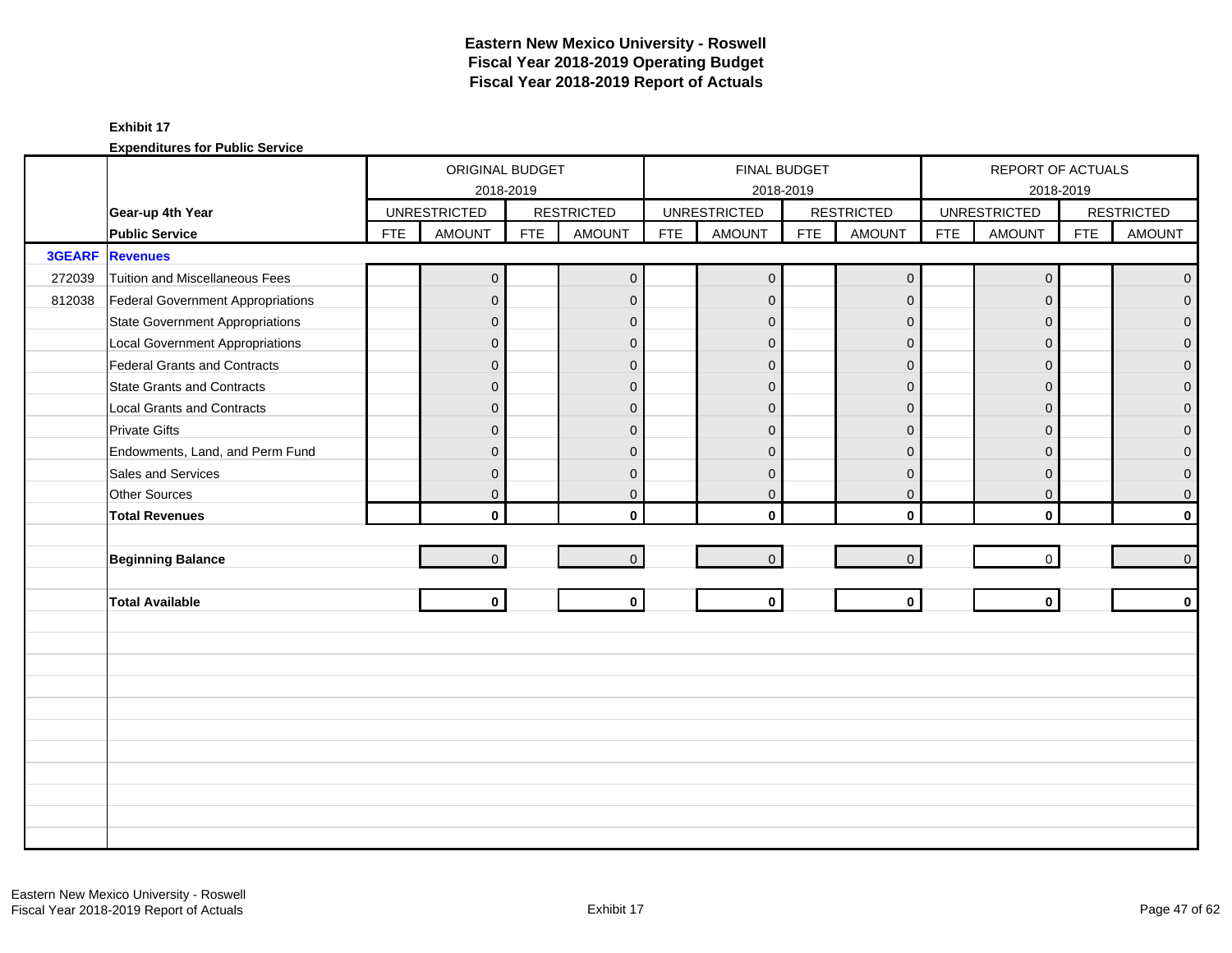|               |                                        |            | ORIGINAL BUDGET     |            |                   |            | FINAL BUDGET        |            |                     |            | REPORT OF ACTUALS   |            |                   |
|---------------|----------------------------------------|------------|---------------------|------------|-------------------|------------|---------------------|------------|---------------------|------------|---------------------|------------|-------------------|
|               |                                        |            | 2018-2019           |            |                   |            | 2018-2019           |            |                     |            |                     | 2018-2019  |                   |
|               | Gear-up 4th Year                       |            | <b>UNRESTRICTED</b> |            | <b>RESTRICTED</b> |            | <b>UNRESTRICTED</b> |            | <b>RESTRICTED</b>   |            | <b>UNRESTRICTED</b> |            | <b>RESTRICTED</b> |
|               | <b>Public Service</b>                  | <b>FTE</b> | <b>AMOUNT</b>       | <b>FTE</b> | AMOUNT            | <b>FTE</b> | <b>AMOUNT</b>       | <b>FTE</b> | <b>AMOUNT</b>       | <b>FTE</b> | <b>AMOUNT</b>       | <b>FTE</b> | <b>AMOUNT</b>     |
| <b>3GEARF</b> | <b>Revenues</b>                        |            |                     |            |                   |            |                     |            |                     |            |                     |            |                   |
| 272039        | Tuition and Miscellaneous Fees         |            | $\overline{0}$      |            | $\mathbf 0$       |            | $\mathbf 0$         |            | $\mathsf{O}\xspace$ |            | $\mathbf 0$         |            | $\overline{0}$    |
| 812038        | Federal Government Appropriations      |            | $\mathbf{0}$        |            | $\mathbf{0}$      |            | $\mathbf{0}$        |            | $\mathbf{0}$        |            | $\Omega$            |            | $\overline{0}$    |
|               | <b>State Government Appropriations</b> |            | $\overline{0}$      |            | $\mathbf{0}$      |            | $\mathbf 0$         |            | $\mathbf{0}$        |            | $\Omega$            |            | $\overline{0}$    |
|               | <b>Local Government Appropriations</b> |            | $\overline{0}$      |            | $\mathbf{0}$      |            | $\Omega$            |            | $\mathbf{0}$        |            | $\Omega$            |            | $\mathbf 0$       |
|               | <b>Federal Grants and Contracts</b>    |            | $\overline{0}$      |            | $\mathbf{0}$      |            | $\overline{0}$      |            | $\mathbf{0}$        |            | $\Omega$            |            | $\mathbf{O}$      |
|               | <b>State Grants and Contracts</b>      |            | $\overline{0}$      |            | $\mathbf{0}$      |            | $\mathbf{0}$        |            | $\mathbf{0}$        |            | $\Omega$            |            | $\mathbf{O}$      |
|               | <b>Local Grants and Contracts</b>      |            | $\mathbf{0}$        |            | $\mathbf{0}$      |            | $\Omega$            |            | $\mathbf 0$         |            | $\Omega$            |            | $\mathbf 0$       |
|               | <b>Private Gifts</b>                   |            | $\overline{0}$      |            | $\Omega$          |            | $\Omega$            |            | $\mathbf 0$         |            | $\Omega$            |            | $\overline{0}$    |
|               | Endowments, Land, and Perm Fund        |            | $\overline{0}$      |            | $\Omega$          |            | $\Omega$            |            | $\mathbf{0}$        |            | $\Omega$            |            | $\mathbf{O}$      |
|               | Sales and Services                     |            | $\mathbf{0}$        |            | $\mathbf{0}$      |            | $\Omega$            |            | $\mathbf{0}$        |            | $\Omega$            |            | $\pmb{0}$         |
|               | Other Sources                          |            | $\overline{0}$      |            | $\mathbf{0}$      |            | $\mathbf 0$         |            | $\mathbf 0$         |            | $\mathbf 0$         |            | $\overline{0}$    |
|               | <b>Total Revenues</b>                  |            | $\mathbf{0}$        |            | $\mathbf{0}$      |            | $\Omega$            |            | $\mathbf 0$         |            | $\mathbf{0}$        |            | $\mathbf{0}$      |
|               |                                        |            |                     |            |                   |            |                     |            |                     |            |                     |            |                   |
|               | <b>Beginning Balance</b>               |            | $\overline{0}$      |            | $\overline{0}$    |            | $\mathbf 0$         |            | $\mathbf{0}$        |            | $\mathbf 0$         |            | $\overline{0}$    |
|               |                                        |            |                     |            |                   |            |                     |            |                     |            |                     |            |                   |
|               | <b>Total Available</b>                 |            | $\mathbf{0}$        |            | $\mathbf 0$       |            | $\mathbf 0$         |            | $\mathbf{0}$        |            | $\mathbf{0}$        |            | $\mathbf 0$       |
|               |                                        |            |                     |            |                   |            |                     |            |                     |            |                     |            |                   |
|               |                                        |            |                     |            |                   |            |                     |            |                     |            |                     |            |                   |
|               |                                        |            |                     |            |                   |            |                     |            |                     |            |                     |            |                   |
|               |                                        |            |                     |            |                   |            |                     |            |                     |            |                     |            |                   |
|               |                                        |            |                     |            |                   |            |                     |            |                     |            |                     |            |                   |
|               |                                        |            |                     |            |                   |            |                     |            |                     |            |                     |            |                   |
|               |                                        |            |                     |            |                   |            |                     |            |                     |            |                     |            |                   |
|               |                                        |            |                     |            |                   |            |                     |            |                     |            |                     |            |                   |
|               |                                        |            |                     |            |                   |            |                     |            |                     |            |                     |            |                   |
|               |                                        |            |                     |            |                   |            |                     |            |                     |            |                     |            |                   |
|               |                                        |            |                     |            |                   |            |                     |            |                     |            |                     |            |                   |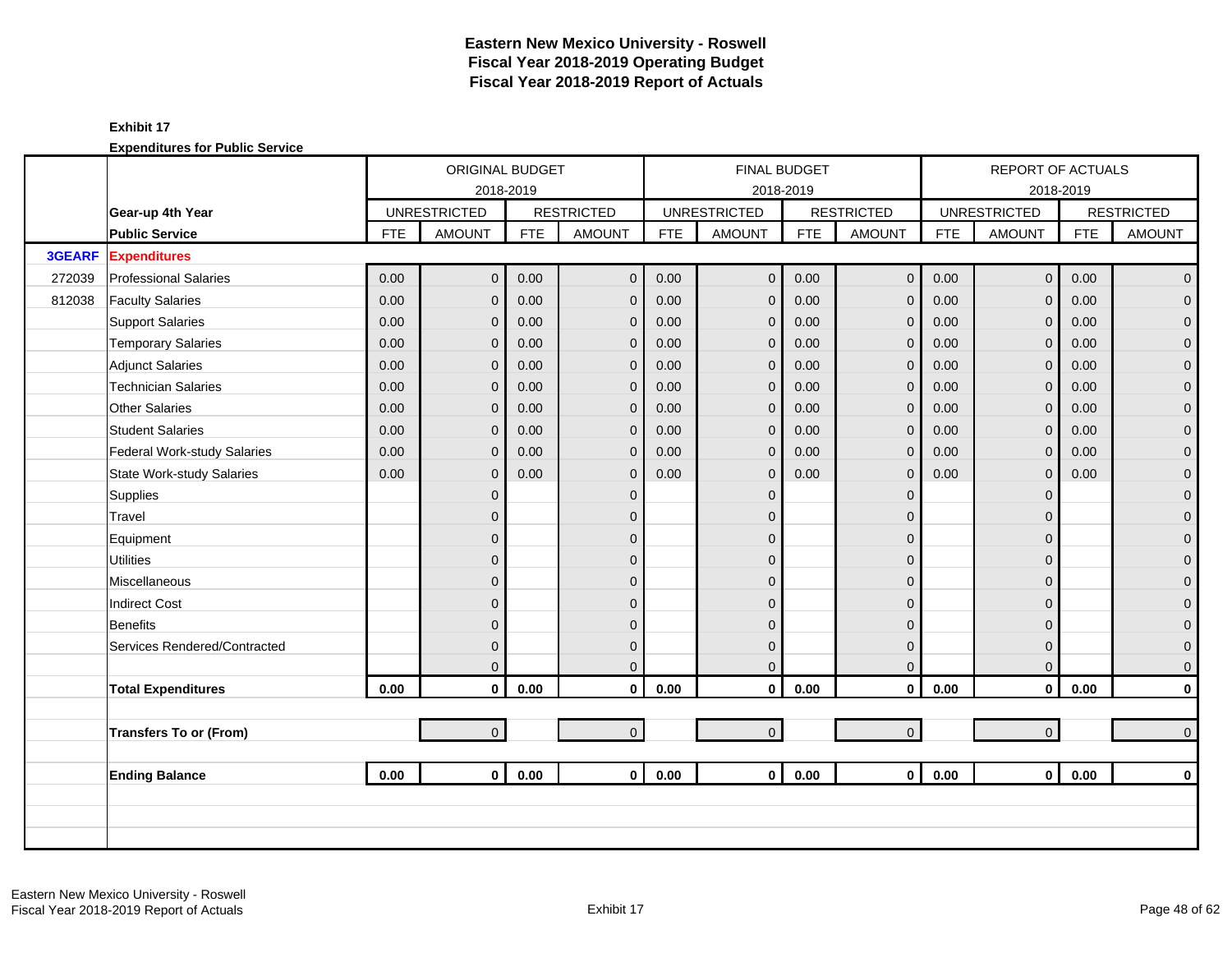|               |                                  |            | ORIGINAL BUDGET     |            |                   |            | <b>FINAL BUDGET</b> |            |                   |            | REPORT OF ACTUALS   |            |                     |
|---------------|----------------------------------|------------|---------------------|------------|-------------------|------------|---------------------|------------|-------------------|------------|---------------------|------------|---------------------|
|               |                                  |            | 2018-2019           |            |                   |            |                     | 2018-2019  |                   |            |                     | 2018-2019  |                     |
|               | Gear-up 4th Year                 |            | <b>UNRESTRICTED</b> |            | <b>RESTRICTED</b> |            | <b>UNRESTRICTED</b> |            | <b>RESTRICTED</b> |            | <b>UNRESTRICTED</b> |            | <b>RESTRICTED</b>   |
|               | <b>Public Service</b>            | <b>FTE</b> | <b>AMOUNT</b>       | <b>FTE</b> | <b>AMOUNT</b>     | <b>FTE</b> | <b>AMOUNT</b>       | <b>FTE</b> | <b>AMOUNT</b>     | <b>FTE</b> | <b>AMOUNT</b>       | <b>FTE</b> | <b>AMOUNT</b>       |
| <b>3GEARF</b> | <b>Expenditures</b>              |            |                     |            |                   |            |                     |            |                   |            |                     |            |                     |
| 272039        | <b>Professional Salaries</b>     | 0.00       | $\overline{0}$      | 0.00       | $\mathbf{0}$      | 0.00       | $\mathbf 0$         | 0.00       | $\mathbf 0$       | 0.00       | $\overline{0}$      | 0.00       | $\overline{0}$      |
| 812038        | <b>Faculty Salaries</b>          | 0.00       | $\overline{0}$      | 0.00       | $\mathbf{0}$      | 0.00       | $\mathbf{0}$        | 0.00       | $\mathbf 0$       | 0.00       | $\Omega$            | 0.00       | $\mathbf 0$         |
|               | <b>Support Salaries</b>          | 0.00       | $\overline{0}$      | 0.00       | $\mathbf 0$       | 0.00       | $\mathbf{0}$        | 0.00       | $\mathbf 0$       | 0.00       | $\mathbf{0}$        | 0.00       | $\mathbf 0$         |
|               | <b>Temporary Salaries</b>        | 0.00       | $\mathbf{0}$        | 0.00       | $\mathbf{0}$      | 0.00       | $\mathbf{0}$        | 0.00       | $\mathbf 0$       | 0.00       | $\mathbf{0}$        | 0.00       | $\pmb{0}$           |
|               | <b>Adjunct Salaries</b>          | 0.00       | $\overline{0}$      | 0.00       | $\mathbf{0}$      | 0.00       | $\mathbf{0}$        | 0.00       | $\mathbf 0$       | 0.00       | $\Omega$            | 0.00       | $\mathbf 0$         |
|               | <b>Technician Salaries</b>       | 0.00       | $\mathbf{0}$        | 0.00       | $\mathbf 0$       | 0.00       | $\mathbf 0$         | 0.00       | $\mathbf 0$       | 0.00       | $\mathbf{0}$        | 0.00       | $\mathbf 0$         |
|               | <b>Other Salaries</b>            | 0.00       | $\mathbf 0$         | 0.00       | $\mathbf{0}$      | 0.00       | $\mathbf{0}$        | 0.00       | $\mathbf 0$       | 0.00       | $\mathbf{0}$        | 0.00       | $\pmb{0}$           |
|               | <b>Student Salaries</b>          | 0.00       | $\Omega$            | 0.00       | $\Omega$          | 0.00       | $\mathbf{0}$        | 0.00       | $\mathbf{0}$      | 0.00       | $\Omega$            | 0.00       | $\overline{0}$      |
|               | Federal Work-study Salaries      | 0.00       | $\overline{0}$      | 0.00       | $\mathbf{0}$      | 0.00       | $\overline{0}$      | 0.00       | $\mathbf 0$       | 0.00       | $\mathbf{0}$        | 0.00       | $\mathbf{0}$        |
|               | <b>State Work-study Salaries</b> | 0.00       | $\overline{0}$      | 0.00       | $\mathbf{0}$      | 0.00       | $\mathbf{0}$        | 0.00       | $\mathbf 0$       | 0.00       | $\mathbf 0$         | 0.00       | $\pmb{0}$           |
|               | Supplies                         |            | $\overline{0}$      |            | $\mathbf{0}$      |            | $\Omega$            |            | $\mathbf 0$       |            | $\Omega$            |            | $\mathbf 0$         |
|               | Travel                           |            | $\overline{0}$      |            | $\Omega$          |            | $\Omega$            |            | $\mathbf 0$       |            | $\Omega$            |            | $\mathbf 0$         |
|               | Equipment                        |            | 0                   |            | $\mathbf{0}$      |            | $\Omega$            |            | $\mathbf 0$       |            | $\Omega$            |            | $\pmb{0}$           |
|               | <b>Utilities</b>                 |            | $\mathbf{0}$        |            | $\mathbf{0}$      |            | $\mathbf{0}$        |            | $\pmb{0}$         |            | $\Omega$            |            | $\overline{0}$      |
|               | Miscellaneous                    |            | $\overline{0}$      |            | $\Omega$          |            | $\Omega$            |            | $\mathbf{0}$      |            | $\Omega$            |            | $\mathsf{O}\xspace$ |
|               | <b>Indirect Cost</b>             |            | $\overline{0}$      |            | $\Omega$          |            | $\Omega$            |            | $\mathbf{0}$      |            | $\Omega$            |            | $\mathbf 0$         |
|               | Benefits                         |            | $\overline{0}$      |            | $\Omega$          |            | $\Omega$            |            | $\mathbf 0$       |            | $\Omega$            |            | $\mathbf{0}$        |
|               | Services Rendered/Contracted     |            | $\overline{0}$      |            | $\mathbf{0}$      |            | $\mathbf{0}$        |            | $\mathbf 0$       |            | $\Omega$            |            | $\mathbf 0$         |
|               |                                  |            | $\overline{0}$      |            | $\Omega$          |            | $\mathbf{0}$        |            | $\mathbf 0$       |            | $\mathbf{0}$        |            | $\mathbf 0$         |
|               | <b>Total Expenditures</b>        | 0.00       | $\mathbf 0$         | 0.00       | $\mathbf 0$       | 0.00       | $\mathbf 0$         | 0.00       | $\mathbf 0$       | 0.00       | $\mathbf 0$         | 0.00       | $\pmb{0}$           |
|               |                                  |            |                     |            |                   |            |                     |            |                   |            |                     |            |                     |
|               | <b>Transfers To or (From)</b>    |            | $\overline{0}$      |            | $\overline{0}$    |            | $\mathbf 0$         |            | $\mathbf{0}$      |            | $\overline{0}$      |            | $\mathbf 0$         |
|               |                                  |            |                     |            |                   |            |                     |            |                   |            |                     |            |                     |
|               | <b>Ending Balance</b>            | 0.00       | $\mathbf{0}$        | 0.00       | $\mathbf{0}$      | 0.00       | $\mathbf{0}$        | 0.00       | $\mathbf 0$       | 0.00       | $\mathbf 0$         | 0.00       | $\mathbf 0$         |
|               |                                  |            |                     |            |                   |            |                     |            |                   |            |                     |            |                     |
|               |                                  |            |                     |            |                   |            |                     |            |                   |            |                     |            |                     |
|               |                                  |            |                     |            |                   |            |                     |            |                   |            |                     |            |                     |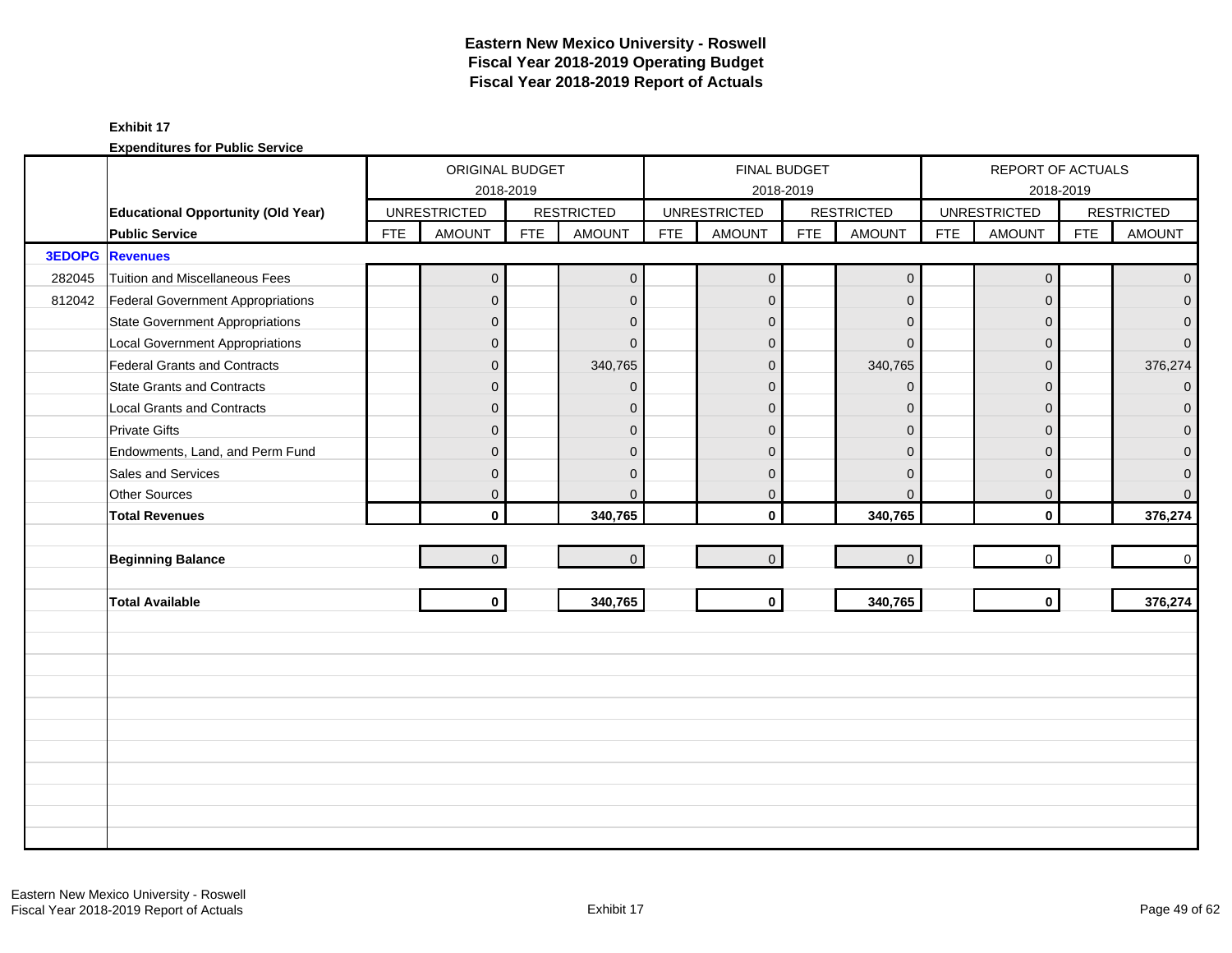|        |                                           |            | ORIGINAL BUDGET     |            |                   |            | <b>FINAL BUDGET</b> |            |                     |            | REPORT OF ACTUALS   |            |                   |
|--------|-------------------------------------------|------------|---------------------|------------|-------------------|------------|---------------------|------------|---------------------|------------|---------------------|------------|-------------------|
|        |                                           |            | 2018-2019           |            |                   |            | 2018-2019           |            |                     |            |                     | 2018-2019  |                   |
|        | <b>Educational Opportunity (Old Year)</b> |            | <b>UNRESTRICTED</b> |            | <b>RESTRICTED</b> |            | <b>UNRESTRICTED</b> |            | <b>RESTRICTED</b>   |            | <b>UNRESTRICTED</b> |            | <b>RESTRICTED</b> |
|        | <b>Public Service</b>                     | <b>FTE</b> | <b>AMOUNT</b>       | <b>FTE</b> | <b>AMOUNT</b>     | <b>FTE</b> | <b>AMOUNT</b>       | <b>FTE</b> | <b>AMOUNT</b>       | <b>FTE</b> | <b>AMOUNT</b>       | <b>FTE</b> | <b>AMOUNT</b>     |
| 3EDOPG | <b>Revenues</b>                           |            |                     |            |                   |            |                     |            |                     |            |                     |            |                   |
| 282045 | Tuition and Miscellaneous Fees            |            | $\mathbf{0}$        |            | $\mathbf 0$       |            | $\mathbf 0$         |            | $\mathsf{O}\xspace$ |            | $\mathbf 0$         |            | $\mathbf{0}$      |
| 812042 | <b>Federal Government Appropriations</b>  |            | $\overline{0}$      |            | $\mathbf{0}$      |            | $\mathbf 0$         |            | $\mathbf{0}$        |            | $\Omega$            |            | $\overline{0}$    |
|        | <b>State Government Appropriations</b>    |            | $\overline{0}$      |            | $\mathbf{0}$      |            | $\mathbf 0$         |            | $\mathbf 0$         |            | $\Omega$            |            | $\mathbf{0}$      |
|        | <b>Local Government Appropriations</b>    |            | $\overline{0}$      |            | $\Omega$          |            | $\Omega$            |            | $\Omega$            |            | $\Omega$            |            | $\overline{0}$    |
|        | <b>Federal Grants and Contracts</b>       |            | $\overline{0}$      |            | 340,765           |            | $\overline{0}$      |            | 340,765             |            | $\Omega$            |            | 376,274           |
|        | <b>State Grants and Contracts</b>         |            | $\overline{0}$      |            | $\Omega$          |            | $\mathbf{0}$        |            | $\mathbf{0}$        |            | $\Omega$            |            | $\overline{0}$    |
|        | <b>Local Grants and Contracts</b>         |            | 0                   |            | $\mathbf{0}$      |            | $\Omega$            |            | $\mathbf{0}$        |            | $\Omega$            |            | $\mathbf 0$       |
|        | <b>Private Gifts</b>                      |            | $\overline{0}$      |            | $\Omega$          |            | $\Omega$            |            | $\mathbf{0}$        |            | $\Omega$            |            | $\overline{0}$    |
|        | Endowments, Land, and Perm Fund           |            | $\overline{0}$      |            | $\Omega$          |            | $\Omega$            |            | $\overline{0}$      |            | $\Omega$            |            | $\mathbf{0}$      |
|        | Sales and Services                        |            | $\overline{0}$      |            | $\Omega$          |            | $\Omega$            |            | $\mathbf{0}$        |            | $\Omega$            |            | $\mathbf{O}$      |
|        | <b>Other Sources</b>                      |            | $\mathbf{0}$        |            | $\Omega$          |            | $\mathbf 0$         |            | $\mathbf{0}$        |            | $\mathbf 0$         |            | $\overline{0}$    |
|        | <b>Total Revenues</b>                     |            | $\mathbf{0}$        |            | 340,765           |            | $\Omega$            |            | 340,765             |            | $\mathbf{0}$        |            | 376,274           |
|        |                                           |            |                     |            |                   |            |                     |            |                     |            |                     |            |                   |
|        | <b>Beginning Balance</b>                  |            | $\overline{0}$      |            | $\overline{0}$    |            | $\mathbf 0$         |            | $\mathbf{0}$        |            | $\mathbf 0$         |            | $\overline{0}$    |
|        |                                           |            |                     |            |                   |            |                     |            |                     |            |                     |            |                   |
|        | <b>Total Available</b>                    |            | $\mathbf{0}$        |            | 340,765           |            | $\mathbf 0$         |            | 340,765             |            | $\mathbf{0}$        |            | 376,274           |
|        |                                           |            |                     |            |                   |            |                     |            |                     |            |                     |            |                   |
|        |                                           |            |                     |            |                   |            |                     |            |                     |            |                     |            |                   |
|        |                                           |            |                     |            |                   |            |                     |            |                     |            |                     |            |                   |
|        |                                           |            |                     |            |                   |            |                     |            |                     |            |                     |            |                   |
|        |                                           |            |                     |            |                   |            |                     |            |                     |            |                     |            |                   |
|        |                                           |            |                     |            |                   |            |                     |            |                     |            |                     |            |                   |
|        |                                           |            |                     |            |                   |            |                     |            |                     |            |                     |            |                   |
|        |                                           |            |                     |            |                   |            |                     |            |                     |            |                     |            |                   |
|        |                                           |            |                     |            |                   |            |                     |            |                     |            |                     |            |                   |
|        |                                           |            |                     |            |                   |            |                     |            |                     |            |                     |            |                   |
|        |                                           |            |                     |            |                   |            |                     |            |                     |            |                     |            |                   |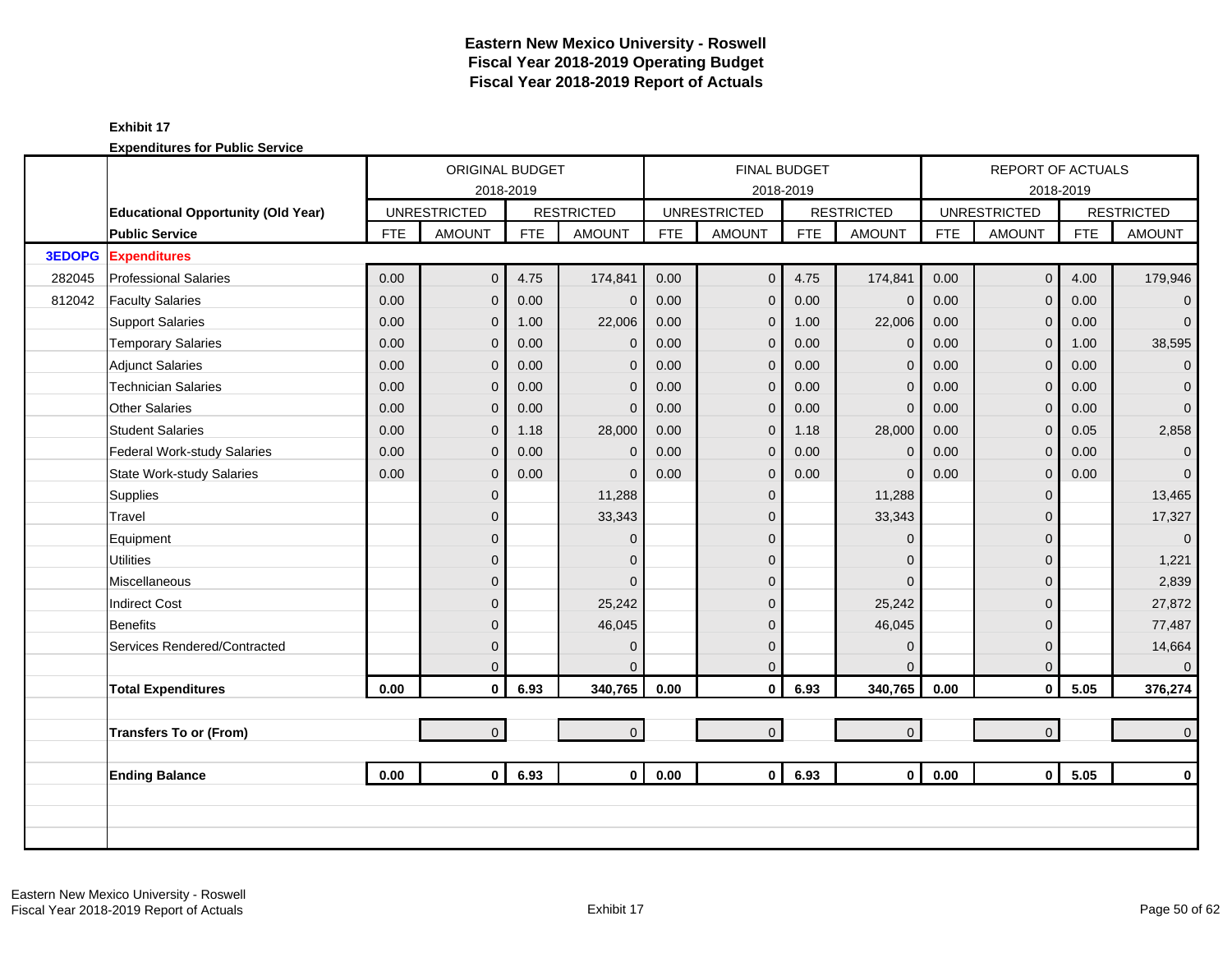|               |                                           |            | ORIGINAL BUDGET     |            |                   |            |                     | <b>FINAL BUDGET</b> |                     |            | <b>REPORT OF ACTUALS</b> |            |                   |
|---------------|-------------------------------------------|------------|---------------------|------------|-------------------|------------|---------------------|---------------------|---------------------|------------|--------------------------|------------|-------------------|
|               |                                           |            | 2018-2019           |            |                   |            |                     | 2018-2019           |                     |            |                          | 2018-2019  |                   |
|               | <b>Educational Opportunity (Old Year)</b> |            | <b>UNRESTRICTED</b> |            | <b>RESTRICTED</b> |            | <b>UNRESTRICTED</b> |                     | <b>RESTRICTED</b>   |            | <b>UNRESTRICTED</b>      |            | <b>RESTRICTED</b> |
|               | <b>Public Service</b>                     | <b>FTE</b> | <b>AMOUNT</b>       | <b>FTE</b> | <b>AMOUNT</b>     | <b>FTE</b> | <b>AMOUNT</b>       | <b>FTE</b>          | <b>AMOUNT</b>       | <b>FTE</b> | <b>AMOUNT</b>            | <b>FTE</b> | <b>AMOUNT</b>     |
| <b>3EDOPG</b> | <b>Expenditures</b>                       |            |                     |            |                   |            |                     |                     |                     |            |                          |            |                   |
| 282045        | <b>Professional Salaries</b>              | 0.00       | $\overline{0}$      | 4.75       | 174,841           | 0.00       | $\overline{0}$      | 4.75                | 174,841             | 0.00       | $\mathbf{0}$             | 4.00       | 179,946           |
| 812042        | <b>Faculty Salaries</b>                   | 0.00       | 0                   | 0.00       | $\mathbf{0}$      | 0.00       | $\mathbf 0$         | 0.00                | $\mathbf{0}$        | 0.00       | $\Omega$                 | 0.00       | $\overline{0}$    |
|               | <b>Support Salaries</b>                   | 0.00       | 0                   | 1.00       | 22,006            | 0.00       | $\mathbf 0$         | 1.00                | 22,006              | 0.00       | $\mathbf 0$              | 0.00       | $\overline{0}$    |
|               | <b>Temporary Salaries</b>                 | 0.00       | 0                   | 0.00       | $\mathbf{0}$      | 0.00       | $\mathbf{0}$        | 0.00                | $\mathbf 0$         | 0.00       | $\mathbf{0}$             | 1.00       | 38,595            |
|               | <b>Adjunct Salaries</b>                   | 0.00       | 0                   | 0.00       | $\mathbf{0}$      | 0.00       | $\overline{0}$      | 0.00                | $\mathbf{0}$        | 0.00       | $\Omega$                 | 0.00       | $\overline{0}$    |
|               | <b>Technician Salaries</b>                | 0.00       | 0                   | 0.00       | $\mathbf{0}$      | 0.00       | $\mathbf 0$         | 0.00                | $\mathbf{0}$        | 0.00       | $\mathbf{0}$             | 0.00       | $\mathbf{0}$      |
|               | <b>Other Salaries</b>                     | 0.00       | 0                   | 0.00       | $\mathbf{0}$      | 0.00       | $\mathbf 0$         | 0.00                | $\mathbf{0}$        | 0.00       | $\mathbf{0}$             | 0.00       | $\mathbf{0}$      |
|               | <b>Student Salaries</b>                   | 0.00       | $\overline{0}$      | 1.18       | 28,000            | 0.00       | $\mathbf{0}$        | 1.18                | 28,000              | 0.00       | $\Omega$                 | 0.05       | 2,858             |
|               | Federal Work-study Salaries               | 0.00       | 0                   | 0.00       | $\mathbf{0}$      | 0.00       | $\overline{0}$      | 0.00                | $\mathbf{0}$        | 0.00       | $\mathbf{0}$             | 0.00       | $\mathbf{0}$      |
|               | <b>State Work-study Salaries</b>          | 0.00       | 0                   | 0.00       | $\mathbf{0}$      | 0.00       | $\mathbf{0}$        | 0.00                | $\mathbf 0$         | 0.00       | 0                        | 0.00       | $\mathbf{0}$      |
|               | Supplies                                  |            | $\overline{0}$      |            | 11,288            |            | $\mathbf 0$         |                     | 11,288              |            | $\Omega$                 |            | 13,465            |
|               | Travel                                    |            | $\overline{0}$      |            | 33,343            |            | $\Omega$            |                     | 33,343              |            | $\Omega$                 |            | 17,327            |
|               | Equipment                                 |            | 0                   |            | $\Omega$          |            | $\Omega$            |                     | $\mathbf{0}$        |            | $\Omega$                 |            | $\overline{0}$    |
|               | <b>Utilities</b>                          |            | 0                   |            | $\mathbf{0}$      |            | $\overline{0}$      |                     | $\mathbf 0$         |            | $\Omega$                 |            | 1,221             |
|               | Miscellaneous                             |            | 0                   |            | $\mathbf{0}$      |            | $\mathbf{0}$        |                     | $\mathbf{0}$        |            | $\Omega$                 |            | 2,839             |
|               | <b>Indirect Cost</b>                      |            | 0                   |            | 25,242            |            | $\Omega$            |                     | 25,242              |            | $\Omega$                 |            | 27,872            |
|               | Benefits                                  |            | 0                   |            | 46,045            |            | $\overline{0}$      |                     | 46,045              |            | $\Omega$                 |            | 77,487            |
|               | Services Rendered/Contracted              |            | 0                   |            | $\mathbf 0$       |            | $\mathbf{0}$        |                     | $\mathbf 0$         |            | $\mathbf{0}$             |            | 14,664            |
|               |                                           |            | 0                   |            | $\Omega$          |            | $\mathbf{0}$        |                     | $\mathbf{0}$        |            | $\Omega$                 |            | $\overline{0}$    |
|               | <b>Total Expenditures</b>                 | 0.00       | $\mathbf 0$         | 6.93       | 340,765           | 0.00       | $\mathbf 0$         | 6.93                | 340,765             | 0.00       | $\mathbf{0}$             | 5.05       | 376,274           |
|               |                                           |            |                     |            |                   |            |                     |                     |                     |            |                          |            |                   |
|               | <b>Transfers To or (From)</b>             |            | $\overline{0}$      |            | $\overline{0}$    |            | $\overline{0}$      |                     | $\mathsf{O}\xspace$ |            | $\overline{0}$           |            | $\mathbf{0}$      |
|               |                                           |            |                     |            |                   |            |                     |                     |                     |            |                          |            |                   |
|               | <b>Ending Balance</b>                     | 0.00       | $\mathbf{0}$        | 6.93       | $\overline{0}$    | 0.00       | $\mathbf{0}$        | 6.93                | $\mathbf{0}$        | 0.00       | $\mathbf{0}$             | 5.05       | $\mathbf 0$       |
|               |                                           |            |                     |            |                   |            |                     |                     |                     |            |                          |            |                   |
|               |                                           |            |                     |            |                   |            |                     |                     |                     |            |                          |            |                   |
|               |                                           |            |                     |            |                   |            |                     |                     |                     |            |                          |            |                   |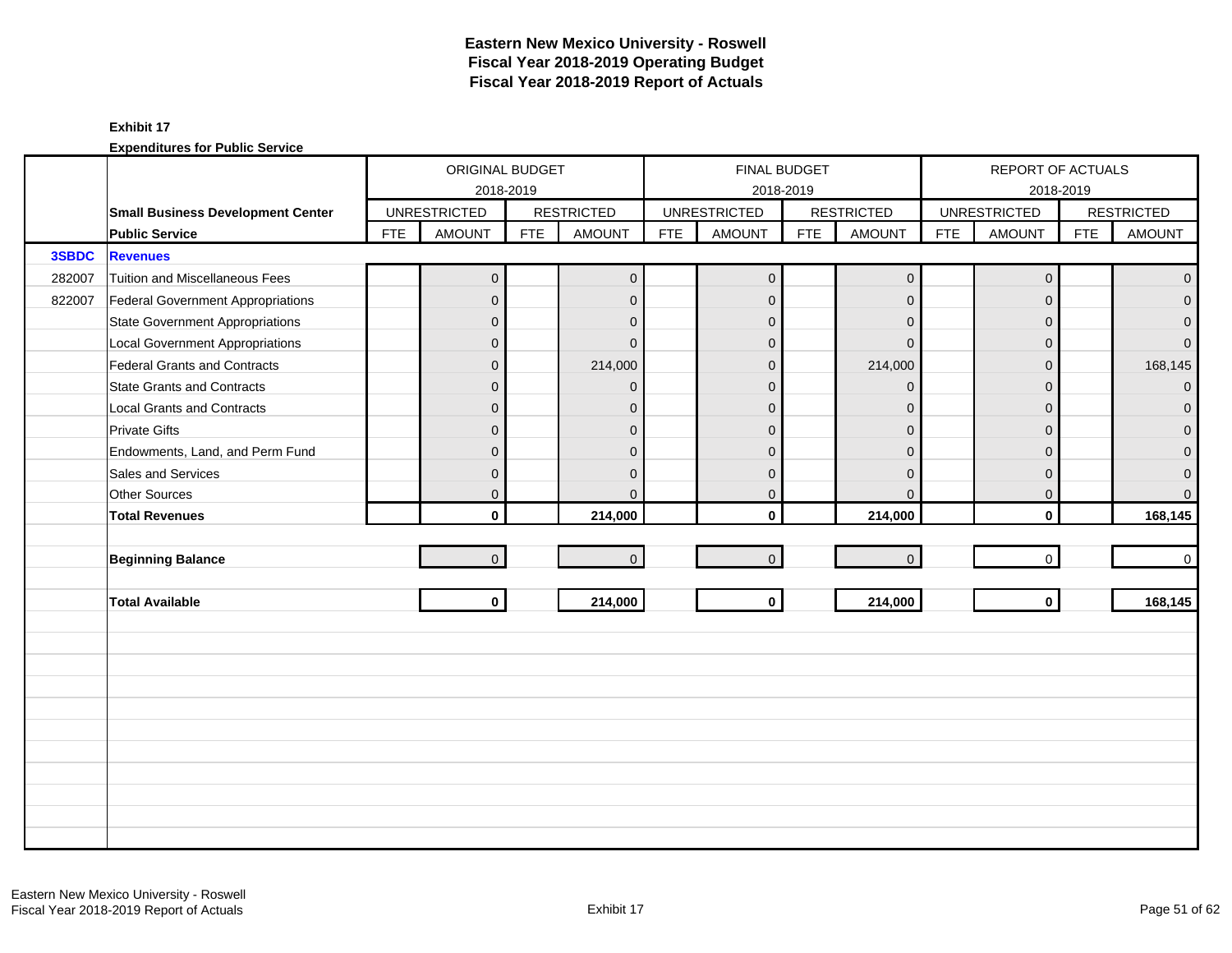#### **Exhibit 17**

|        |                                          |            | ORIGINAL BUDGET     |            |                   |            |                     | FINAL BUDGET |                     |            | REPORT OF ACTUALS   |            |                   |
|--------|------------------------------------------|------------|---------------------|------------|-------------------|------------|---------------------|--------------|---------------------|------------|---------------------|------------|-------------------|
|        |                                          |            |                     | 2018-2019  |                   |            |                     | 2018-2019    |                     |            |                     | 2018-2019  |                   |
|        | <b>Small Business Development Center</b> |            | <b>UNRESTRICTED</b> |            | <b>RESTRICTED</b> |            | <b>UNRESTRICTED</b> |              | <b>RESTRICTED</b>   |            | <b>UNRESTRICTED</b> |            | <b>RESTRICTED</b> |
|        | <b>Public Service</b>                    | <b>FTE</b> | <b>AMOUNT</b>       | <b>FTE</b> | <b>AMOUNT</b>     | <b>FTE</b> | <b>AMOUNT</b>       | <b>FTE</b>   | <b>AMOUNT</b>       | <b>FTE</b> | <b>AMOUNT</b>       | <b>FTE</b> | <b>AMOUNT</b>     |
| 3SBDC  | <b>Revenues</b>                          |            |                     |            |                   |            |                     |              |                     |            |                     |            |                   |
| 282007 | Tuition and Miscellaneous Fees           |            | 0                   |            | $\mathbf{0}$      |            | $\mathbf 0$         |              | $\mathsf{O}\xspace$ |            | $\mathbf 0$         |            | $\overline{0}$    |
| 822007 | Federal Government Appropriations        |            | $\overline{0}$      |            | $\Omega$          |            | $\Omega$            |              | $\mathbf{0}$        |            | $\Omega$            |            | $\overline{0}$    |
|        | <b>State Government Appropriations</b>   |            | $\overline{0}$      |            | $\overline{0}$    |            | $\mathbf 0$         |              | $\mathbf{0}$        |            | $\Omega$            |            | $\mathbf{0}$      |
|        | <b>Local Government Appropriations</b>   |            | 0                   |            | $\mathbf{0}$      |            | $\Omega$            |              | $\mathbf{0}$        |            | $\Omega$            |            | $\mathbf{0}$      |
|        | Federal Grants and Contracts             |            | $\overline{0}$      |            | 214,000           |            | $\Omega$            |              | 214,000             |            | $\Omega$            |            | 168,145           |
|        | State Grants and Contracts               |            | $\overline{0}$      |            | $\mathbf{0}$      |            | $\Omega$            |              | $\mathbf{0}$        |            | $\Omega$            |            | $\overline{0}$    |
|        | Local Grants and Contracts               |            | 0                   |            | $\mathbf{0}$      |            | $\Omega$            |              | $\mathbf{0}$        |            | $\Omega$            |            | $\mathbf{0}$      |
|        | <b>Private Gifts</b>                     |            | $\overline{0}$      |            | $\Omega$          |            | $\Omega$            |              | $\mathbf{0}$        |            | $\Omega$            |            | $\overline{0}$    |
|        | Endowments, Land, and Perm Fund          |            | $\overline{0}$      |            | $\Omega$          |            | $\Omega$            |              | $\mathbf{0}$        |            | $\Omega$            |            | $\mathbf{0}$      |
|        | Sales and Services                       |            | $\overline{0}$      |            | $\Omega$          |            | $\Omega$            |              | $\mathbf{0}$        |            | $\Omega$            |            | $\pmb{0}$         |
|        | Other Sources                            |            | 0                   |            | $\Omega$          |            | $\mathbf 0$         |              | $\mathbf{0}$        |            | 0                   |            | $\overline{0}$    |
|        | <b>Total Revenues</b>                    |            | $\mathbf{0}$        |            | 214,000           |            | $\mathbf{0}$        |              | 214,000             |            | $\mathbf{0}$        |            | 168,145           |
|        |                                          |            |                     |            |                   |            |                     |              |                     |            |                     |            |                   |
|        | <b>Beginning Balance</b>                 |            | $\overline{0}$      |            | $\overline{0}$    |            | $\mathbf 0$         |              | $\mathbf{0}$        |            | $\mathbf 0$         |            | $\mathbf 0$       |
|        |                                          |            |                     |            |                   |            |                     |              |                     |            |                     |            |                   |
|        | <b>Total Available</b>                   |            | $\mathbf 0$         |            | 214,000           |            | $\mathbf 0$         |              | 214,000             |            | $\mathbf{0}$        |            | 168,145           |
|        |                                          |            |                     |            |                   |            |                     |              |                     |            |                     |            |                   |
|        |                                          |            |                     |            |                   |            |                     |              |                     |            |                     |            |                   |
|        |                                          |            |                     |            |                   |            |                     |              |                     |            |                     |            |                   |
|        |                                          |            |                     |            |                   |            |                     |              |                     |            |                     |            |                   |
|        |                                          |            |                     |            |                   |            |                     |              |                     |            |                     |            |                   |
|        |                                          |            |                     |            |                   |            |                     |              |                     |            |                     |            |                   |
|        |                                          |            |                     |            |                   |            |                     |              |                     |            |                     |            |                   |
|        |                                          |            |                     |            |                   |            |                     |              |                     |            |                     |            |                   |
|        |                                          |            |                     |            |                   |            |                     |              |                     |            |                     |            |                   |
|        |                                          |            |                     |            |                   |            |                     |              |                     |            |                     |            |                   |
|        |                                          |            |                     |            |                   |            |                     |              |                     |            |                     |            |                   |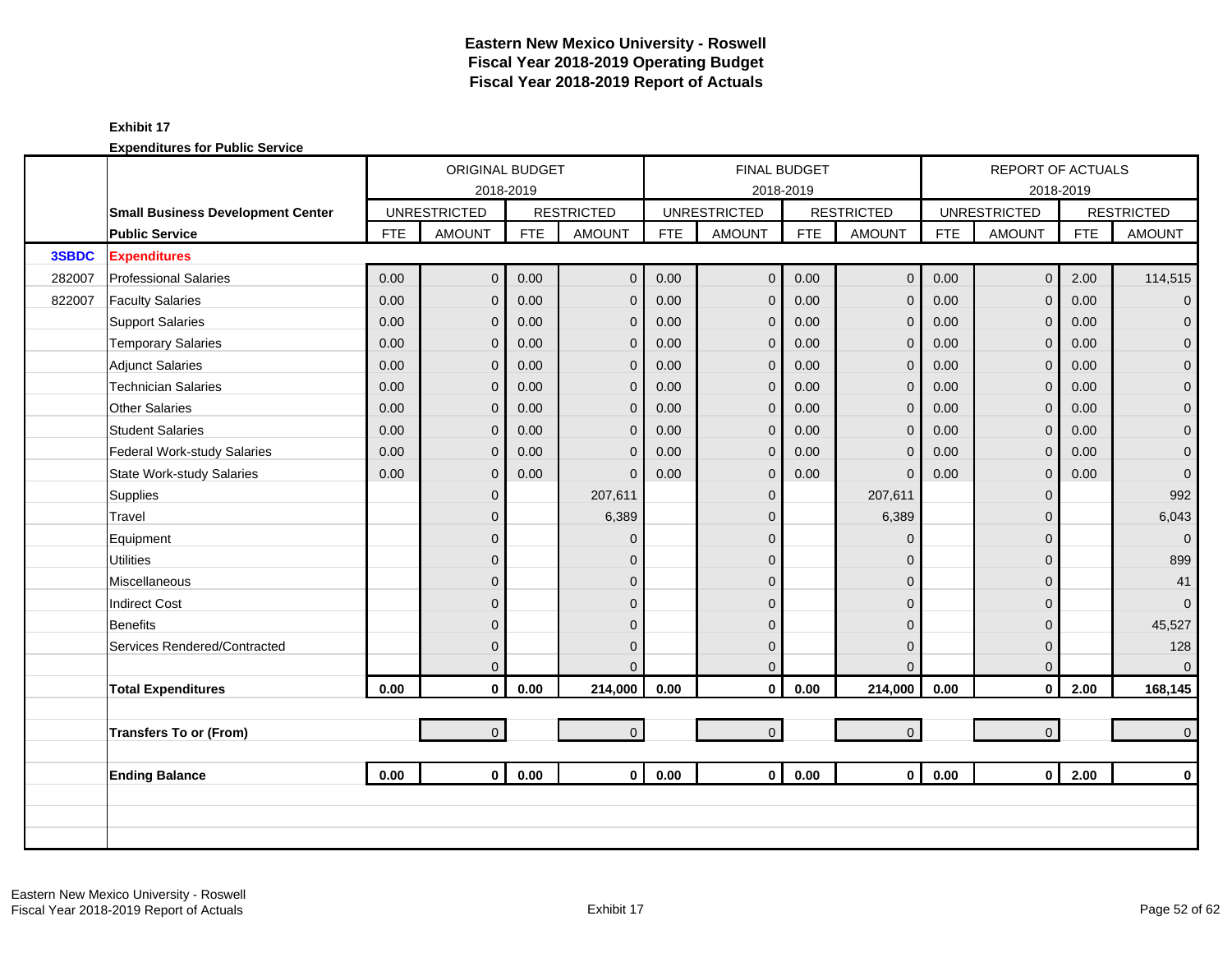### **Exhibit 17**

|        |                                          |            | ORIGINAL BUDGET     |            |                   |            |                     | <b>FINAL BUDGET</b> |                     |            | <b>REPORT OF ACTUALS</b> |            |                     |
|--------|------------------------------------------|------------|---------------------|------------|-------------------|------------|---------------------|---------------------|---------------------|------------|--------------------------|------------|---------------------|
|        |                                          |            | 2018-2019           |            |                   |            |                     | 2018-2019           |                     |            |                          | 2018-2019  |                     |
|        | <b>Small Business Development Center</b> |            | <b>UNRESTRICTED</b> |            | <b>RESTRICTED</b> |            | <b>UNRESTRICTED</b> |                     | <b>RESTRICTED</b>   |            | <b>UNRESTRICTED</b>      |            | <b>RESTRICTED</b>   |
|        | <b>Public Service</b>                    | <b>FTE</b> | <b>AMOUNT</b>       | <b>FTE</b> | <b>AMOUNT</b>     | <b>FTE</b> | <b>AMOUNT</b>       | <b>FTE</b>          | <b>AMOUNT</b>       | <b>FTE</b> | <b>AMOUNT</b>            | <b>FTE</b> | <b>AMOUNT</b>       |
| 3SBDC  | <b>Expenditures</b>                      |            |                     |            |                   |            |                     |                     |                     |            |                          |            |                     |
| 282007 | <b>Professional Salaries</b>             | 0.00       | $\overline{0}$      | 0.00       | $\mathbf{0}$      | 0.00       | $\overline{0}$      | 0.00                | $\mathbf 0$         | 0.00       | $\overline{0}$           | 2.00       | 114,515             |
| 822007 | <b>Faculty Salaries</b>                  | 0.00       | 0                   | 0.00       | $\mathbf 0$       | 0.00       | $\mathbf{0}$        | 0.00                | $\mathbf 0$         | 0.00       | $\overline{0}$           | 0.00       | $\mathbf{0}$        |
|        | <b>Support Salaries</b>                  | 0.00       | 0                   | 0.00       | $\mathbf 0$       | 0.00       | $\mathbf 0$         | 0.00                | $\mathbf 0$         | 0.00       | $\mathbf{0}$             | 0.00       | $\mathsf{O}\xspace$ |
|        | <b>Temporary Salaries</b>                | 0.00       | $\overline{0}$      | 0.00       | $\Omega$          | 0.00       | $\mathbf{0}$        | 0.00                | $\mathbf{0}$        | 0.00       | $\Omega$                 | 0.00       | $\pmb{0}$           |
|        | <b>Adjunct Salaries</b>                  | 0.00       | $\overline{0}$      | 0.00       | $\mathbf 0$       | 0.00       | $\mathbf{0}$        | 0.00                | $\mathbf{0}$        | 0.00       | $\Omega$                 | 0.00       | $\pmb{0}$           |
|        | <b>Technician Salaries</b>               | 0.00       | 0                   | 0.00       | $\mathbf 0$       | 0.00       | $\mathbf 0$         | 0.00                | $\mathbf 0$         | 0.00       | $\mathbf{0}$             | 0.00       | $\pmb{0}$           |
|        | <b>Other Salaries</b>                    | 0.00       | 0                   | 0.00       | $\mathbf 0$       | 0.00       | $\mathbf{0}$        | 0.00                | $\mathbf 0$         | 0.00       | $\mathbf{0}$             | 0.00       | $\pmb{0}$           |
|        | <b>Student Salaries</b>                  | 0.00       | $\overline{0}$      | 0.00       | $\Omega$          | 0.00       | $\mathbf{0}$        | 0.00                | $\mathbf{0}$        | 0.00       | $\Omega$                 | 0.00       | $\overline{0}$      |
|        | Federal Work-study Salaries              | 0.00       | $\overline{0}$      | 0.00       | $\Omega$          | 0.00       | $\mathbf 0$         | 0.00                | $\mathbf{0}$        | 0.00       | $\mathbf{0}$             | 0.00       | $\mathbf{O}$        |
|        | <b>State Work-study Salaries</b>         | 0.00       | 0                   | 0.00       | $\Omega$          | 0.00       | $\mathbf 0$         | 0.00                | $\mathbf{0}$        | 0.00       | $\mathbf{0}$             | 0.00       | $\boldsymbol{0}$    |
|        | Supplies                                 |            | $\overline{0}$      |            | 207,611           |            | $\mathbf 0$         |                     | 207,611             |            | $\Omega$                 |            | 992                 |
|        | Travel                                   |            | $\overline{0}$      |            | 6,389             |            | $\mathbf{0}$        |                     | 6,389               |            | $\Omega$                 |            | 6,043               |
|        | Equipment                                |            | $\overline{0}$      |            | $\Omega$          |            | $\Omega$            |                     | $\Omega$            |            | $\Omega$                 |            | $\mathbf{0}$        |
|        | <b>Utilities</b>                         |            | $\overline{0}$      |            | $\Omega$          |            | $\mathbf{0}$        |                     | $\mathbf{0}$        |            | $\Omega$                 |            | 899                 |
|        | Miscellaneous                            |            | $\overline{0}$      |            | $\mathbf{0}$      |            | $\mathbf{0}$        |                     | 0                   |            | $\Omega$                 |            | 41                  |
|        | <b>Indirect Cost</b>                     |            | $\overline{0}$      |            | $\Omega$          |            | $\Omega$            |                     | $\mathbf{0}$        |            | $\Omega$                 |            | $\overline{0}$      |
|        | <b>Benefits</b>                          |            | $\overline{0}$      |            | $\Omega$          |            | $\Omega$            |                     | $\mathbf{0}$        |            | $\Omega$                 |            | 45,527              |
|        | Services Rendered/Contracted             |            | $\overline{0}$      |            | $\mathbf{0}$      |            | $\mathbf 0$         |                     | $\mathbf{0}$        |            | $\mathbf{0}$             |            | 128                 |
|        |                                          |            | $\Omega$            |            | $\Omega$          |            | $\mathbf{0}$        |                     | $\Omega$            |            | $\Omega$                 |            | $\overline{0}$      |
|        | <b>Total Expenditures</b>                | 0.00       | $\mathbf{0}$        | 0.00       | 214,000           | 0.00       | $\mathbf 0$         | 0.00                | 214,000             | 0.00       | $\mathbf 0$              | 2.00       | 168,145             |
|        |                                          |            |                     |            |                   |            |                     |                     |                     |            |                          |            |                     |
|        | <b>Transfers To or (From)</b>            |            | $\overline{0}$      |            | $\overline{0}$    |            | $\overline{0}$      |                     | $\mathsf{O}\xspace$ |            | $\overline{0}$           |            | $\mathbf{0}$        |
|        |                                          |            |                     |            |                   |            |                     |                     |                     |            |                          |            |                     |
|        | <b>Ending Balance</b>                    | 0.00       | $\mathbf{0}$        | 0.00       | $\mathbf{0}$      | 0.00       | $\overline{0}$      | 0.00                | $\mathbf{0}$        | 0.00       | $\mathbf{0}$             | 2.00       | $\mathbf 0$         |
|        |                                          |            |                     |            |                   |            |                     |                     |                     |            |                          |            |                     |
|        |                                          |            |                     |            |                   |            |                     |                     |                     |            |                          |            |                     |
|        |                                          |            |                     |            |                   |            |                     |                     |                     |            |                          |            |                     |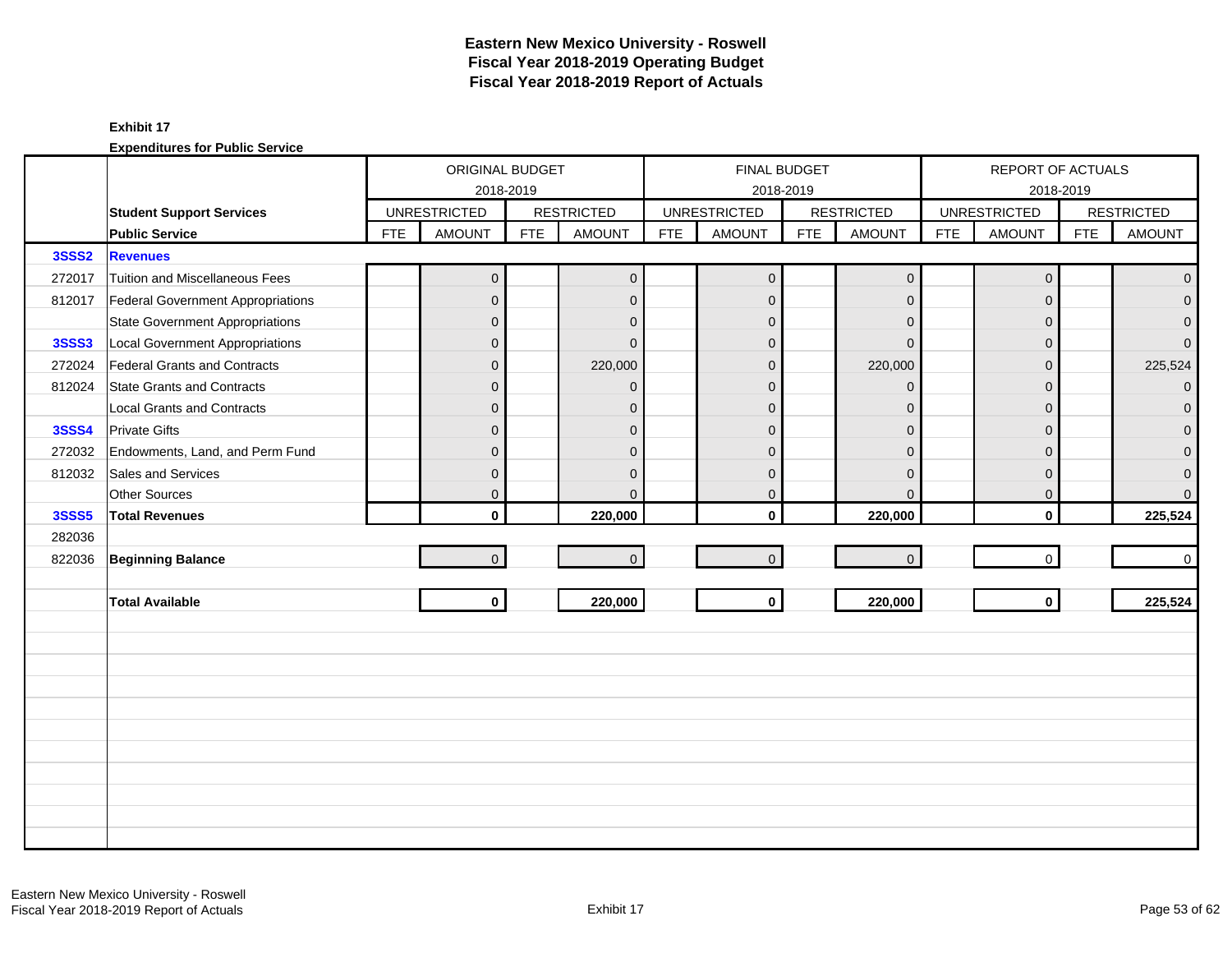|              |                                          |            | ORIGINAL BUDGET     |            |                   |            | <b>FINAL BUDGET</b> |            |                   |            | REPORT OF ACTUALS   |            |                     |
|--------------|------------------------------------------|------------|---------------------|------------|-------------------|------------|---------------------|------------|-------------------|------------|---------------------|------------|---------------------|
|              |                                          |            | 2018-2019           |            |                   |            |                     | 2018-2019  |                   |            |                     | 2018-2019  |                     |
|              | <b>Student Support Services</b>          |            | <b>UNRESTRICTED</b> |            | <b>RESTRICTED</b> |            | <b>UNRESTRICTED</b> |            | <b>RESTRICTED</b> |            | <b>UNRESTRICTED</b> |            | <b>RESTRICTED</b>   |
|              | <b>Public Service</b>                    | <b>FTE</b> | <b>AMOUNT</b>       | <b>FTE</b> | <b>AMOUNT</b>     | <b>FTE</b> | <b>AMOUNT</b>       | <b>FTE</b> | <b>AMOUNT</b>     | <b>FTE</b> | <b>AMOUNT</b>       | <b>FTE</b> | <b>AMOUNT</b>       |
| <b>3SSS2</b> | <b>Revenues</b>                          |            |                     |            |                   |            |                     |            |                   |            |                     |            |                     |
| 272017       | Tuition and Miscellaneous Fees           |            | $\overline{0}$      |            | $\mathbf{0}$      |            | $\mathbf{0}$        |            | $\mathbf 0$       |            | $\mathbf 0$         |            | $\overline{0}$      |
| 812017       | <b>Federal Government Appropriations</b> |            | $\overline{0}$      |            | $\mathbf{0}$      |            | $\mathbf{0}$        |            | $\mathbf 0$       |            | $\Omega$            |            | $\mathbf 0$         |
|              | State Government Appropriations          |            | 0                   |            | $\mathbf{0}$      |            | $\mathbf 0$         |            | $\mathbf 0$       |            | $\Omega$            |            | $\overline{0}$      |
| <b>3SSS3</b> | Local Government Appropriations          |            | $\overline{0}$      |            | $\Omega$          |            | $\Omega$            |            | $\mathbf{0}$      |            | $\Omega$            |            | $\overline{0}$      |
| 272024       | Federal Grants and Contracts             |            | 0                   |            | 220,000           |            | $\Omega$            |            | 220,000           |            | $\Omega$            |            | 225,524             |
| 812024       | State Grants and Contracts               |            | 0                   |            | $\Omega$          |            | $\mathbf{0}$        |            | $\mathbf 0$       |            | $\Omega$            |            | $\overline{0}$      |
|              | Local Grants and Contracts               |            | 0                   |            | $\mathbf{0}$      |            | $\Omega$            |            | $\mathbf 0$       |            | $\mathbf 0$         |            | $\mathbf{0}$        |
| <b>3SSS4</b> | <b>Private Gifts</b>                     |            | $\overline{0}$      |            | $\Omega$          |            | $\Omega$            |            | $\mathbf 0$       |            | $\Omega$            |            | $\mathbf{0}$        |
| 272032       | Endowments, Land, and Perm Fund          |            | 0                   |            | $\Omega$          |            | $\Omega$            |            | $\mathbf{0}$      |            | $\Omega$            |            | $\mathsf{O}\xspace$ |
| 812032       | Sales and Services                       |            | 0                   |            | $\mathbf{0}$      |            | $\Omega$            |            | $\mathbf 0$       |            | $\mathbf 0$         |            | $\pmb{0}$           |
|              | Other Sources                            |            | $\overline{0}$      |            | $\mathbf{0}$      |            | $\mathbf 0$         |            | $\mathbf 0$       |            | $\mathbf 0$         |            | $\overline{0}$      |
| <b>3SSS5</b> | <b>Total Revenues</b>                    |            | $\mathbf{0}$        |            | 220,000           |            | $\Omega$            |            | 220,000           |            | $\mathbf{0}$        |            | 225,524             |
| 282036       |                                          |            |                     |            |                   |            |                     |            |                   |            |                     |            |                     |
| 822036       | <b>Beginning Balance</b>                 |            | $\overline{0}$      |            | $\overline{0}$    |            | $\mathbf 0$         |            | $\mathbf{0}$      |            | $\mathbf 0$         |            | $\mathbf 0$         |
|              |                                          |            |                     |            |                   |            |                     |            |                   |            |                     |            |                     |
|              | <b>Total Available</b>                   |            | $\mathbf 0$         |            | 220,000           |            | $\mathbf 0$         |            | 220,000           |            | $\mathbf{0}$        |            | 225,524             |
|              |                                          |            |                     |            |                   |            |                     |            |                   |            |                     |            |                     |
|              |                                          |            |                     |            |                   |            |                     |            |                   |            |                     |            |                     |
|              |                                          |            |                     |            |                   |            |                     |            |                   |            |                     |            |                     |
|              |                                          |            |                     |            |                   |            |                     |            |                   |            |                     |            |                     |
|              |                                          |            |                     |            |                   |            |                     |            |                   |            |                     |            |                     |
|              |                                          |            |                     |            |                   |            |                     |            |                   |            |                     |            |                     |
|              |                                          |            |                     |            |                   |            |                     |            |                   |            |                     |            |                     |
|              |                                          |            |                     |            |                   |            |                     |            |                   |            |                     |            |                     |
|              |                                          |            |                     |            |                   |            |                     |            |                   |            |                     |            |                     |
|              |                                          |            |                     |            |                   |            |                     |            |                   |            |                     |            |                     |
|              |                                          |            |                     |            |                   |            |                     |            |                   |            |                     |            |                     |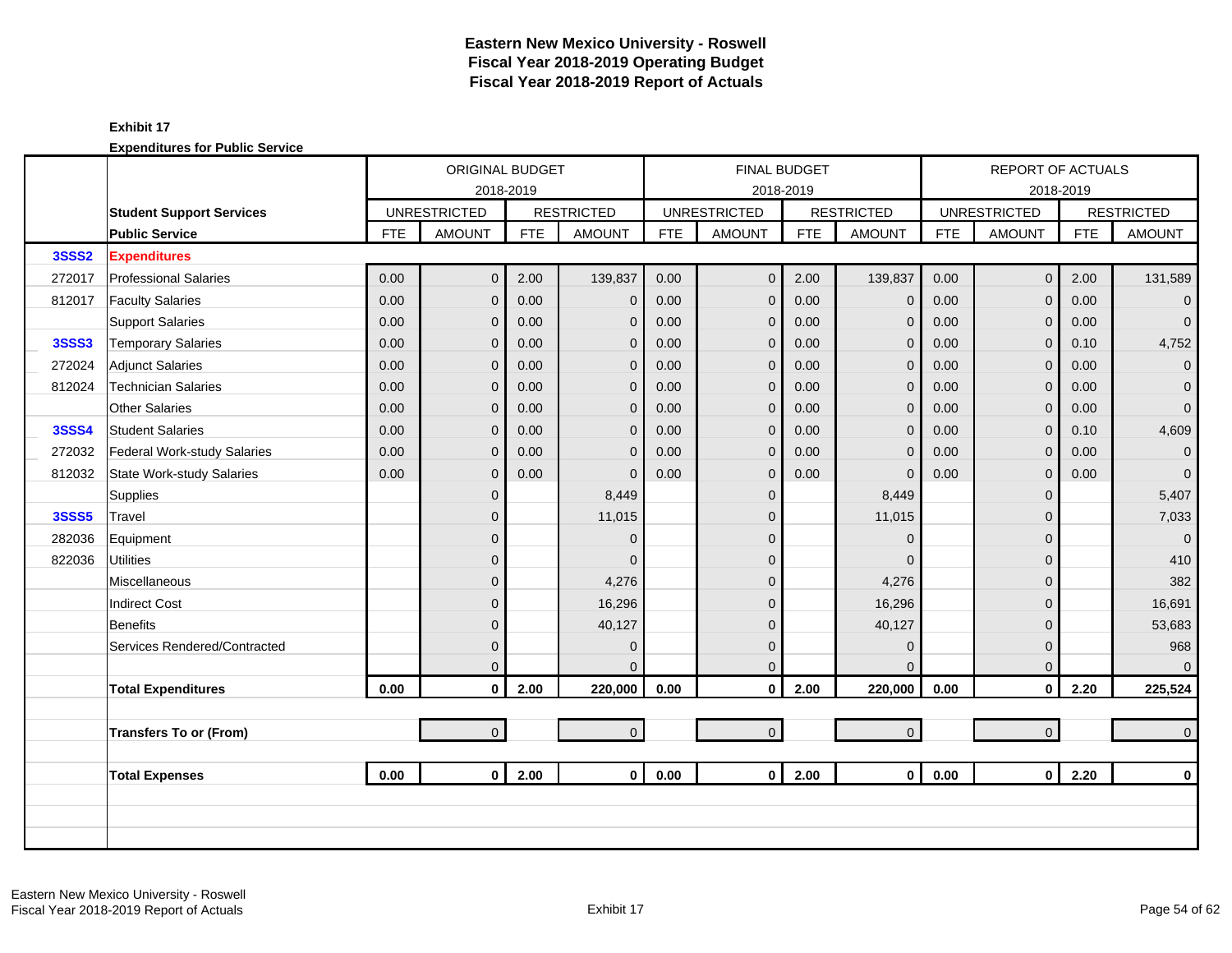|              |                                  |            | ORIGINAL BUDGET     |            |                   |            |                     | <b>FINAL BUDGET</b> |                   |            | <b>REPORT OF ACTUALS</b> |            |                   |
|--------------|----------------------------------|------------|---------------------|------------|-------------------|------------|---------------------|---------------------|-------------------|------------|--------------------------|------------|-------------------|
|              |                                  |            |                     | 2018-2019  |                   |            |                     | 2018-2019           |                   |            |                          | 2018-2019  |                   |
|              | <b>Student Support Services</b>  |            | <b>UNRESTRICTED</b> |            | <b>RESTRICTED</b> |            | <b>UNRESTRICTED</b> |                     | <b>RESTRICTED</b> |            | <b>UNRESTRICTED</b>      |            | <b>RESTRICTED</b> |
|              | <b>Public Service</b>            | <b>FTE</b> | <b>AMOUNT</b>       | <b>FTE</b> | <b>AMOUNT</b>     | <b>FTE</b> | <b>AMOUNT</b>       | <b>FTE</b>          | <b>AMOUNT</b>     | <b>FTE</b> | <b>AMOUNT</b>            | <b>FTE</b> | <b>AMOUNT</b>     |
| <b>3SSS2</b> | <b>Expenditures</b>              |            |                     |            |                   |            |                     |                     |                   |            |                          |            |                   |
| 272017       | <b>Professional Salaries</b>     | 0.00       | $\overline{0}$      | 2.00       | 139,837           | 0.00       | $\overline{0}$      | 2.00                | 139,837           | 0.00       | $\mathbf{0}$             | 2.00       | 131,589           |
| 812017       | <b>Faculty Salaries</b>          | 0.00       | $\overline{0}$      | 0.00       | $\mathbf 0$       | 0.00       | $\mathbf 0$         | 0.00                | $\mathbf 0$       | 0.00       | $\overline{0}$           | 0.00       | $\mathbf{0}$      |
|              | <b>Support Salaries</b>          | 0.00       | $\overline{0}$      | 0.00       | $\mathbf 0$       | 0.00       | $\mathbf 0$         | 0.00                | $\mathbf 0$       | 0.00       | $\mathbf{0}$             | 0.00       | $\overline{0}$    |
| <b>3SSS3</b> | <b>Temporary Salaries</b>        | 0.00       | $\overline{0}$      | 0.00       | $\mathbf 0$       | 0.00       | $\mathbf 0$         | 0.00                | $\mathbf{0}$      | 0.00       | $\mathbf{0}$             | 0.10       | 4,752             |
| 272024       | <b>Adjunct Salaries</b>          | 0.00       | 0                   | 0.00       | $\mathbf{0}$      | 0.00       | $\mathbf 0$         | 0.00                | $\mathbf 0$       | 0.00       | $\Omega$                 | 0.00       | $\overline{0}$    |
| 812024       | <b>Technician Salaries</b>       | 0.00       | $\overline{0}$      | 0.00       | $\Omega$          | 0.00       | $\mathbf 0$         | 0.00                | $\mathbf{0}$      | 0.00       | $\Omega$                 | 0.00       | $\overline{0}$    |
|              | <b>Other Salaries</b>            | 0.00       | $\overline{0}$      | 0.00       | $\Omega$          | 0.00       | $\mathbf 0$         | 0.00                | $\mathbf{0}$      | 0.00       | $\Omega$                 | 0.00       | $\mathbf{0}$      |
| <b>3SSS4</b> | <b>Student Salaries</b>          | 0.00       | $\overline{0}$      | 0.00       | $\mathbf{0}$      | 0.00       | $\mathbf{0}$        | 0.00                | $\mathbf{0}$      | 0.00       | $\Omega$                 | 0.10       | 4,609             |
| 272032       | Federal Work-study Salaries      | 0.00       | $\overline{0}$      | 0.00       | $\mathbf{0}$      | 0.00       | $\mathbf 0$         | 0.00                | $\mathbf{0}$      | 0.00       | $\mathbf{0}$             | 0.00       | $\overline{0}$    |
| 812032       | <b>State Work-study Salaries</b> | 0.00       | 0                   | 0.00       | $\Omega$          | 0.00       | $\mathbf 0$         | 0.00                | $\Omega$          | 0.00       | 0                        | 0.00       | $\mathbf 0$       |
|              | Supplies                         |            | $\overline{0}$      |            | 8,449             |            | $\mathbf 0$         |                     | 8,449             |            | $\mathbf{0}$             |            | 5,407             |
| <b>3SSS5</b> | Travel                           |            | $\overline{0}$      |            | 11,015            |            | $\Omega$            |                     | 11,015            |            | $\Omega$                 |            | 7,033             |
| 282036       | Equipment                        |            | $\overline{0}$      |            | $\Omega$          |            | $\Omega$            |                     | $\Omega$          |            | $\Omega$                 |            | $\overline{0}$    |
| 822036       | <b>Utilities</b>                 |            | $\mathbf 0$         |            | $\Omega$          |            | $\mathbf 0$         |                     | $\Omega$          |            | $\Omega$                 |            | 410               |
|              | Miscellaneous                    |            | $\overline{0}$      |            | 4,276             |            | $\mathbf{0}$        |                     | 4,276             |            | $\Omega$                 |            | 382               |
|              | <b>Indirect Cost</b>             |            | $\overline{0}$      |            | 16,296            |            | $\mathbf 0$         |                     | 16,296            |            | $\Omega$                 |            | 16,691            |
|              | <b>Benefits</b>                  |            | $\overline{0}$      |            | 40,127            |            | $\Omega$            |                     | 40,127            |            | $\Omega$                 |            | 53,683            |
|              | Services Rendered/Contracted     |            | $\overline{0}$      |            | $\mathbf{0}$      |            | $\mathbf{0}$        |                     | $\mathbf{0}$      |            | $\Omega$                 |            | 968               |
|              |                                  |            | $\Omega$            |            | $\Omega$          |            | $\Omega$            |                     | $\Omega$          |            | $\Omega$                 |            | $\overline{0}$    |
|              | <b>Total Expenditures</b>        | 0.00       | 0                   | 2.00       | 220,000           | 0.00       | $\pmb{0}$           | 2.00                | 220,000           | 0.00       | $\mathbf 0$              | 2.20       | 225,524           |
|              |                                  |            |                     |            |                   |            |                     |                     |                   |            |                          |            |                   |
|              | <b>Transfers To or (From)</b>    |            | $\overline{0}$      |            | $\overline{0}$    |            | $\mathbf{0}$        |                     | $\mathbf{0}$      |            | $\Omega$                 |            | $\overline{0}$    |
|              |                                  |            |                     |            |                   |            |                     |                     |                   |            |                          |            |                   |
|              | <b>Total Expenses</b>            | 0.00       | $\mathbf{0}$        | 2.00       | $\mathbf{0}$      | 0.00       | $\mathbf{0}$        | 2.00                | $\mathbf{0}$      | 0.00       | $\mathbf{0}$             | 2.20       | $\mathbf{0}$      |
|              |                                  |            |                     |            |                   |            |                     |                     |                   |            |                          |            |                   |
|              |                                  |            |                     |            |                   |            |                     |                     |                   |            |                          |            |                   |
|              |                                  |            |                     |            |                   |            |                     |                     |                   |            |                          |            |                   |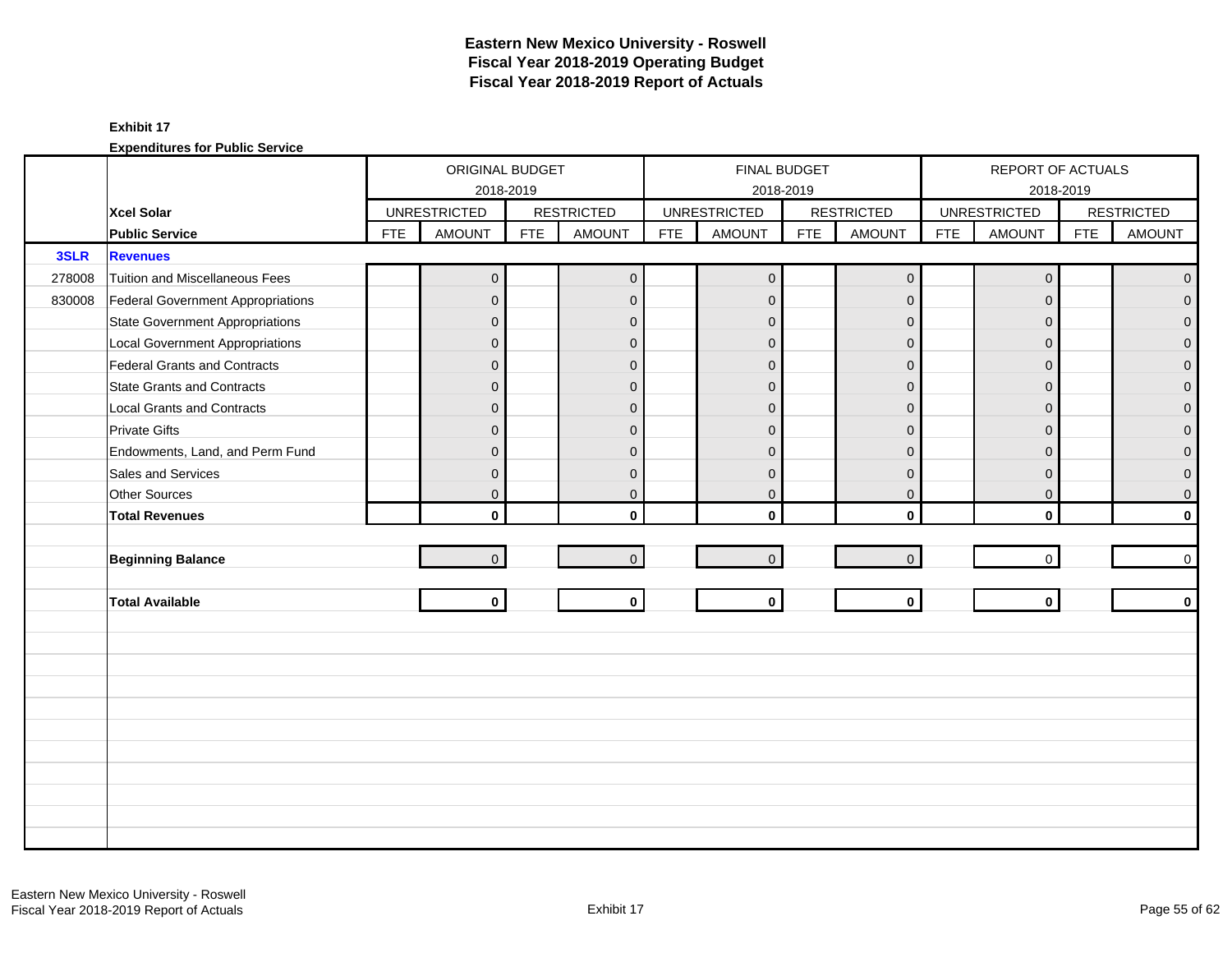|        |                                        |            | ORIGINAL BUDGET     |            |                   |            | FINAL BUDGET        |            |                   |            | REPORT OF ACTUALS   |            |                   |
|--------|----------------------------------------|------------|---------------------|------------|-------------------|------------|---------------------|------------|-------------------|------------|---------------------|------------|-------------------|
|        |                                        |            | 2018-2019           |            |                   |            |                     | 2018-2019  |                   |            | 2018-2019           |            |                   |
|        | Xcel Solar                             |            | <b>UNRESTRICTED</b> |            | <b>RESTRICTED</b> |            | <b>UNRESTRICTED</b> |            | <b>RESTRICTED</b> |            | <b>UNRESTRICTED</b> |            | <b>RESTRICTED</b> |
|        | <b>Public Service</b>                  | <b>FTE</b> | AMOUNT              | <b>FTE</b> | <b>AMOUNT</b>     | <b>FTE</b> | <b>AMOUNT</b>       | <b>FTE</b> | <b>AMOUNT</b>     | <b>FTE</b> | <b>AMOUNT</b>       | <b>FTE</b> | <b>AMOUNT</b>     |
| 3SLR   | <b>Revenues</b>                        |            |                     |            |                   |            |                     |            |                   |            |                     |            |                   |
| 278008 | Tuition and Miscellaneous Fees         |            | $\overline{0}$      |            | $\mathbf 0$       |            | $\overline{0}$      |            | $\mathbf 0$       |            | $\mathbf 0$         |            | $\overline{0}$    |
| 830008 | Federal Government Appropriations      |            | $\mathbf{0}$        |            | $\mathbf{0}$      |            | $\mathbf{0}$        |            | $\mathbf{0}$      |            | $\Omega$            |            | $\Omega$          |
|        | <b>State Government Appropriations</b> |            | $\overline{0}$      |            | $\mathbf{0}$      |            | $\mathbf{0}$        |            | $\mathbf{0}$      |            | $\Omega$            |            | 0                 |
|        | <b>Local Government Appropriations</b> |            | $\mathbf{0}$        |            | $\mathbf{0}$      |            | $\mathbf{0}$        |            | $\mathbf{0}$      |            | $\mathbf{0}$        |            | 0                 |
|        | Federal Grants and Contracts           |            | $\mathbf{0}$        |            | $\mathbf{0}$      |            | $\mathbf{0}$        |            | $\mathbf{0}$      |            | $\Omega$            |            | $\mathbf{0}$      |
|        | <b>State Grants and Contracts</b>      |            | $\overline{0}$      |            | $\Omega$          |            | $\Omega$            |            | $\Omega$          |            | $\Omega$            |            | 0                 |
|        | <b>Local Grants and Contracts</b>      |            | $\overline{0}$      |            | $\mathbf{0}$      |            | $\Omega$            |            | $\overline{0}$    |            | $\Omega$            |            | $\mathbf 0$       |
|        | <b>Private Gifts</b>                   |            | $\overline{0}$      |            | $\mathbf{0}$      |            | $\mathbf{0}$        |            | $\mathbf{0}$      |            | $\Omega$            |            | 0                 |
|        | Endowments, Land, and Perm Fund        |            | $\overline{0}$      |            | $\Omega$          |            | $\Omega$            |            | $\mathbf{0}$      |            | $\Omega$            |            | 0                 |
|        | Sales and Services                     |            | $\mathsf{O}\xspace$ |            | $\mathbf{0}$      |            | $\mathbf{0}$        |            | $\mathbf{0}$      |            | $\mathbf{0}$        |            | 0                 |
|        | Other Sources                          |            | $\overline{0}$      |            | $\mathbf 0$       |            | $\mathbf 0$         |            | $\mathbf 0$       |            | $\mathbf 0$         |            | $\mathbf 0$       |
|        | <b>Total Revenues</b>                  |            | $\mathbf{0}$        |            | $\mathbf{0}$      |            | $\mathbf{0}$        |            | $\mathbf 0$       |            | $\mathbf{0}$        |            | $\mathbf{0}$      |
|        |                                        |            |                     |            |                   |            |                     |            |                   |            |                     |            |                   |
|        | <b>Beginning Balance</b>               |            | $\overline{0}$      |            | $\overline{0}$    |            | $\mathbf 0$         |            | $\mathbf 0$       |            | $\mathbf 0$         |            | 0                 |
|        |                                        |            |                     |            |                   |            |                     |            |                   |            |                     |            |                   |
|        | <b>Total Available</b>                 |            | $\mathbf{0}$        |            | $\mathbf{0}$      |            | $\mathbf 0$         |            | $\mathbf 0$       |            | $\mathbf{0}$        |            | $\mathbf 0$       |
|        |                                        |            |                     |            |                   |            |                     |            |                   |            |                     |            |                   |
|        |                                        |            |                     |            |                   |            |                     |            |                   |            |                     |            |                   |
|        |                                        |            |                     |            |                   |            |                     |            |                   |            |                     |            |                   |
|        |                                        |            |                     |            |                   |            |                     |            |                   |            |                     |            |                   |
|        |                                        |            |                     |            |                   |            |                     |            |                   |            |                     |            |                   |
|        |                                        |            |                     |            |                   |            |                     |            |                   |            |                     |            |                   |
|        |                                        |            |                     |            |                   |            |                     |            |                   |            |                     |            |                   |
|        |                                        |            |                     |            |                   |            |                     |            |                   |            |                     |            |                   |
|        |                                        |            |                     |            |                   |            |                     |            |                   |            |                     |            |                   |
|        |                                        |            |                     |            |                   |            |                     |            |                   |            |                     |            |                   |
|        |                                        |            |                     |            |                   |            |                     |            |                   |            |                     |            |                   |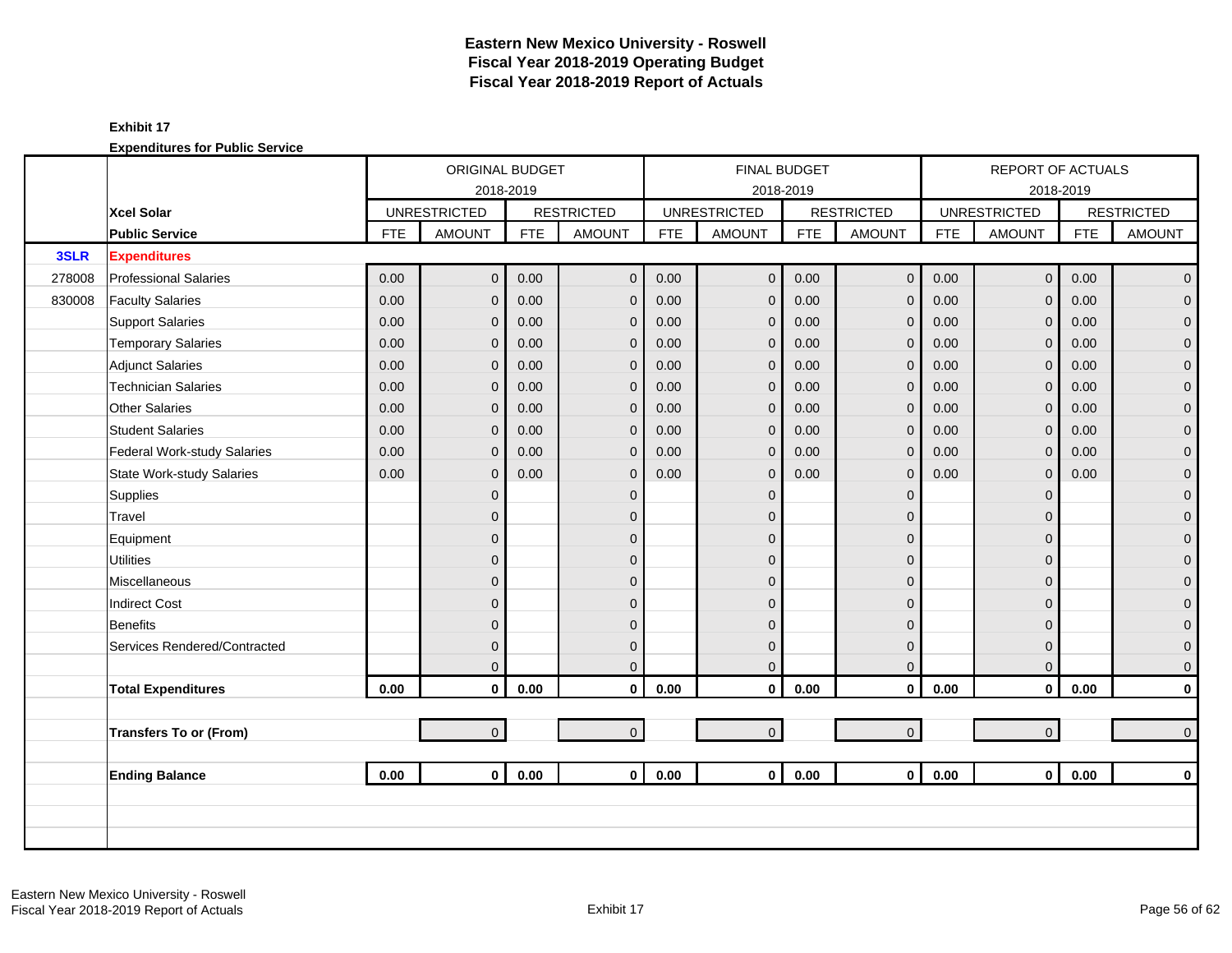|        |                                  |            | ORIGINAL BUDGET     |            |                   |            | <b>FINAL BUDGET</b> |            |                   |            | REPORT OF ACTUALS   |            |                     |
|--------|----------------------------------|------------|---------------------|------------|-------------------|------------|---------------------|------------|-------------------|------------|---------------------|------------|---------------------|
|        |                                  |            | 2018-2019           |            |                   |            | 2018-2019           |            |                   |            | 2018-2019           |            |                     |
|        | <b>Xcel Solar</b>                |            | <b>UNRESTRICTED</b> |            | <b>RESTRICTED</b> |            | <b>UNRESTRICTED</b> |            | <b>RESTRICTED</b> |            | <b>UNRESTRICTED</b> |            | <b>RESTRICTED</b>   |
|        | <b>Public Service</b>            | <b>FTE</b> | <b>AMOUNT</b>       | <b>FTE</b> | <b>AMOUNT</b>     | <b>FTE</b> | <b>AMOUNT</b>       | <b>FTE</b> | <b>AMOUNT</b>     | <b>FTE</b> | <b>AMOUNT</b>       | <b>FTE</b> | <b>AMOUNT</b>       |
| 3SLR   | <b>Expenditures</b>              |            |                     |            |                   |            |                     |            |                   |            |                     |            |                     |
| 278008 | <b>Professional Salaries</b>     | 0.00       | $\overline{0}$      | 0.00       | $\mathbf 0$       | 0.00       | $\mathbf 0$         | 0.00       | $\mathbf 0$       | 0.00       | $\overline{0}$      | 0.00       | $\mathbf{0}$        |
| 830008 | <b>Faculty Salaries</b>          | 0.00       | $\overline{0}$      | 0.00       | $\mathbf{0}$      | 0.00       | $\overline{0}$      | 0.00       | $\mathbf 0$       | 0.00       | $\Omega$            | 0.00       | $\mathbf 0$         |
|        | <b>Support Salaries</b>          | 0.00       | $\overline{0}$      | 0.00       | $\mathbf 0$       | 0.00       | $\mathbf{0}$        | 0.00       | $\mathbf{0}$      | 0.00       | $\mathbf 0$         | 0.00       | $\mathbf 0$         |
|        | <b>Temporary Salaries</b>        | 0.00       | $\mathbf{0}$        | 0.00       | $\mathbf 0$       | 0.00       | $\mathbf{0}$        | 0.00       | $\mathbf 0$       | 0.00       | $\mathbf{0}$        | 0.00       | $\pmb{0}$           |
|        | <b>Adjunct Salaries</b>          | 0.00       | $\overline{0}$      | 0.00       | $\mathbf{0}$      | 0.00       | $\mathbf{0}$        | 0.00       | $\mathbf 0$       | 0.00       | $\Omega$            | 0.00       | $\mathbf 0$         |
|        | <b>Technician Salaries</b>       | 0.00       | $\mathbf{0}$        | 0.00       | $\mathbf 0$       | 0.00       | $\mathbf 0$         | 0.00       | $\mathbf 0$       | 0.00       | $\mathbf{0}$        | 0.00       | $\mathbf 0$         |
|        | <b>Other Salaries</b>            | 0.00       | $\overline{0}$      | 0.00       | $\mathbf 0$       | 0.00       | $\mathbf{0}$        | 0.00       | $\mathbf 0$       | 0.00       | $\mathbf 0$         | 0.00       | $\pmb{0}$           |
|        | <b>Student Salaries</b>          | 0.00       | $\overline{0}$      | 0.00       | $\overline{0}$    | 0.00       | $\mathbf{0}$        | 0.00       | $\mathbf{0}$      | 0.00       | $\Omega$            | 0.00       | $\overline{0}$      |
|        | Federal Work-study Salaries      | 0.00       | $\overline{0}$      | 0.00       | $\mathbf 0$       | 0.00       | $\overline{0}$      | 0.00       | $\mathbf{0}$      | 0.00       | $\mathbf 0$         | 0.00       | $\overline{0}$      |
|        | <b>State Work-study Salaries</b> | 0.00       | $\overline{0}$      | 0.00       | $\mathbf{0}$      | 0.00       | $\mathbf{0}$        | 0.00       | $\mathbf 0$       | 0.00       | $\mathbf{0}$        | 0.00       | $\pmb{0}$           |
|        | Supplies                         |            | $\overline{0}$      |            | $\mathbf{0}$      |            | $\overline{0}$      |            | $\mathbf 0$       |            | $\Omega$            |            | $\mathbf 0$         |
|        | Travel                           |            | $\overline{0}$      |            | $\mathbf{0}$      |            | $\Omega$            |            | $\mathbf{0}$      |            | $\Omega$            |            | $\mathbf 0$         |
|        | Equipment                        |            | $\overline{0}$      |            | $\mathbf{0}$      |            | $\Omega$            |            | $\mathbf 0$       |            | $\Omega$            |            | $\pmb{0}$           |
|        | <b>Utilities</b>                 |            | $\mathbf 0$         |            | $\mathbf{0}$      |            | $\overline{0}$      |            | $\mathbf 0$       |            | $\Omega$            |            | $\overline{0}$      |
|        | Miscellaneous                    |            | $\mathbf{0}$        |            | $\mathbf{0}$      |            | $\Omega$            |            | $\mathbf{0}$      |            | $\Omega$            |            | $\mathsf{O}\xspace$ |
|        | <b>Indirect Cost</b>             |            | $\overline{0}$      |            | $\Omega$          |            | $\Omega$            |            | $\mathbf{0}$      |            | $\Omega$            |            | $\mathbf 0$         |
|        | <b>Benefits</b>                  |            | $\overline{0}$      |            | $\Omega$          |            | $\Omega$            |            | $\mathbf 0$       |            | $\Omega$            |            | $\overline{0}$      |
|        | Services Rendered/Contracted     |            | $\overline{0}$      |            | $\mathbf 0$       |            | $\overline{0}$      |            | $\mathbf 0$       |            | $\mathbf 0$         |            | $\mathbf 0$         |
|        |                                  |            | $\overline{0}$      |            | $\mathbf{0}$      |            | $\overline{0}$      |            | $\mathbf 0$       |            | $\mathbf{0}$        |            | $\mathbf 0$         |
|        | <b>Total Expenditures</b>        | 0.00       | $\mathbf 0$         | 0.00       | $\mathbf 0$       | $0.00\,$   | $\mathbf 0$         | 0.00       | $\mathbf 0$       | $0.00\,$   | $\mathbf 0$         | 0.00       | $\pmb{0}$           |
|        |                                  |            |                     |            |                   |            |                     |            |                   |            |                     |            |                     |
|        | <b>Transfers To or (From)</b>    |            | $\overline{0}$      |            | $\mathbf{0}$      |            | $\mathbf 0$         |            | $\mathbf 0$       |            | $\overline{0}$      |            | $\mathbf 0$         |
|        |                                  |            |                     |            |                   |            |                     |            |                   |            |                     |            |                     |
|        | <b>Ending Balance</b>            | 0.00       | $\mathbf{0}$        | 0.00       | $\mathbf{0}$      | 0.00       | $\mathbf{0}$        | 0.00       | $\mathbf{0}$      | 0.00       | $\overline{0}$      | 0.00       | $\mathbf 0$         |
|        |                                  |            |                     |            |                   |            |                     |            |                   |            |                     |            |                     |
|        |                                  |            |                     |            |                   |            |                     |            |                   |            |                     |            |                     |
|        |                                  |            |                     |            |                   |            |                     |            |                   |            |                     |            |                     |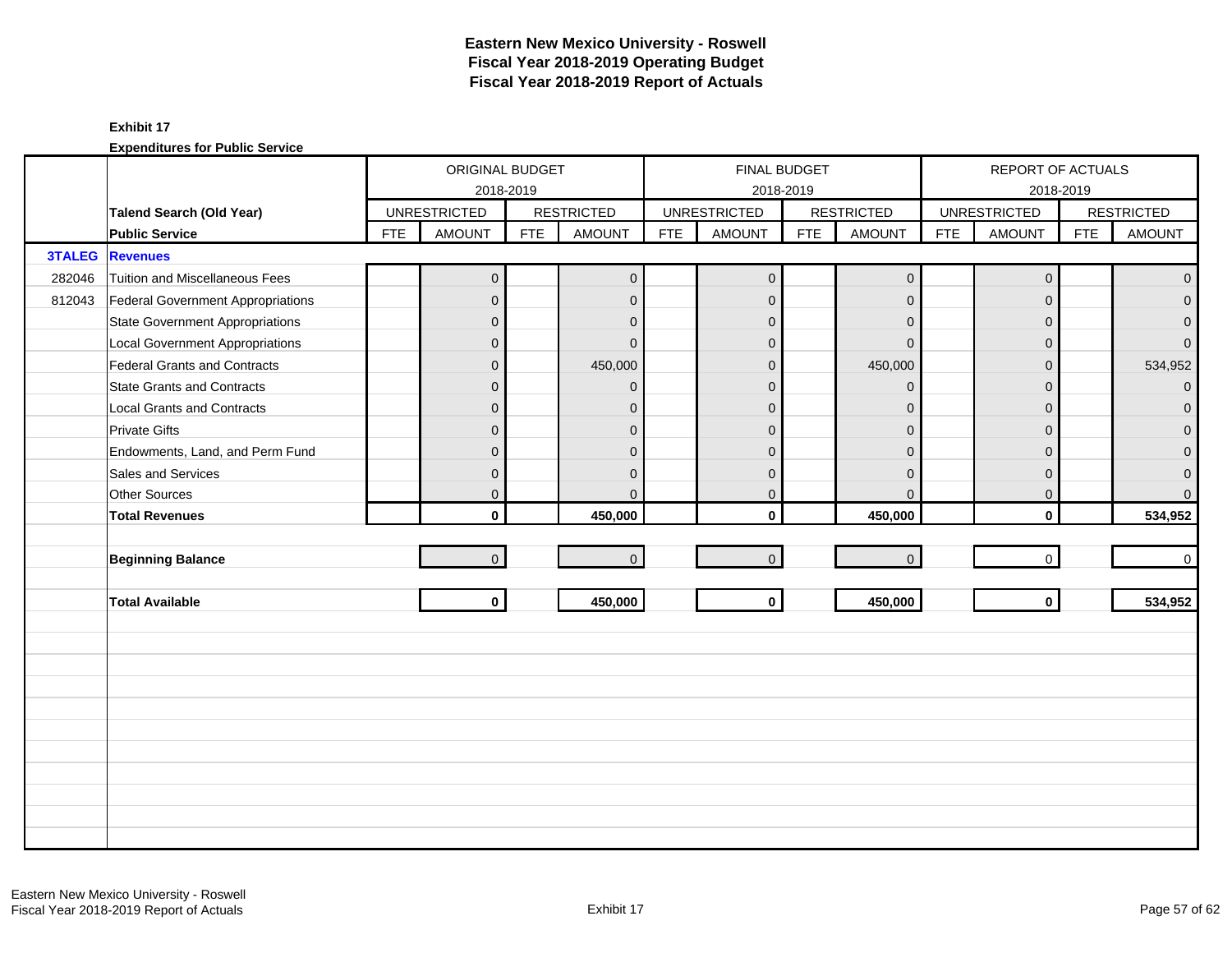|               |                                        |            | ORIGINAL BUDGET     |            |                   |            |                     | FINAL BUDGET |                     |            | REPORT OF ACTUALS   |            |                   |
|---------------|----------------------------------------|------------|---------------------|------------|-------------------|------------|---------------------|--------------|---------------------|------------|---------------------|------------|-------------------|
|               |                                        |            | 2018-2019           |            |                   |            |                     | 2018-2019    |                     |            |                     | 2018-2019  |                   |
|               | Talend Search (Old Year)               |            | <b>UNRESTRICTED</b> |            | <b>RESTRICTED</b> |            | <b>UNRESTRICTED</b> |              | <b>RESTRICTED</b>   |            | <b>UNRESTRICTED</b> |            | <b>RESTRICTED</b> |
|               | <b>Public Service</b>                  | <b>FTE</b> | <b>AMOUNT</b>       | <b>FTE</b> | <b>AMOUNT</b>     | <b>FTE</b> | <b>AMOUNT</b>       | <b>FTE</b>   | <b>AMOUNT</b>       | <b>FTE</b> | <b>AMOUNT</b>       | <b>FTE</b> | <b>AMOUNT</b>     |
| <b>3TALEG</b> | <b>Revenues</b>                        |            |                     |            |                   |            |                     |              |                     |            |                     |            |                   |
| 282046        | Tuition and Miscellaneous Fees         |            | $\mathbf 0$         |            | $\mathbf{0}$      |            | $\mathbf 0$         |              | $\mathsf{O}\xspace$ |            | $\mathbf 0$         |            | $\overline{0}$    |
| 812043        | Federal Government Appropriations      |            | $\overline{0}$      |            | $\mathbf{0}$      |            | $\mathbf{0}$        |              | $\mathbf{0}$        |            | $\mathbf{0}$        |            | $\overline{0}$    |
|               | <b>State Government Appropriations</b> |            | $\mathbf 0$         |            | $\Omega$          |            | $\Omega$            |              | $\mathbf{0}$        |            | $\Omega$            |            | $\overline{0}$    |
|               | <b>Local Government Appropriations</b> |            | $\mathbf 0$         |            | $\Omega$          |            | $\Omega$            |              | $\Omega$            |            | $\Omega$            |            | $\overline{0}$    |
|               | Federal Grants and Contracts           |            | 0                   |            | 450,000           |            | $\overline{0}$      |              | 450,000             |            | $\Omega$            |            | 534,952           |
|               | <b>State Grants and Contracts</b>      |            | $\mathbf{0}$        |            | $\Omega$          |            | $\Omega$            |              | $\Omega$            |            | $\Omega$            |            | $\overline{0}$    |
|               | <b>Local Grants and Contracts</b>      |            | 0                   |            | $\Omega$          |            | $\Omega$            |              | $\Omega$            |            | $\Omega$            |            | $\mathbf{0}$      |
|               | <b>Private Gifts</b>                   |            | $\overline{0}$      |            | $\mathbf{0}$      |            | $\overline{0}$      |              | $\mathbf{0}$        |            | $\Omega$            |            | $\overline{0}$    |
|               | Endowments, Land, and Perm Fund        |            | $\mathbf{0}$        |            | $\mathbf{0}$      |            | $\mathbf{0}$        |              | $\mathbf{0}$        |            | $\Omega$            |            | $\overline{0}$    |
|               | Sales and Services                     |            | $\mathbf{0}$        |            | $\mathbf{0}$      |            | $\Omega$            |              | $\mathbf{0}$        |            | $\Omega$            |            | $\mathbf 0$       |
|               | Other Sources                          |            | $\overline{0}$      |            | $\mathbf{0}$      |            | $\mathbf 0$         |              | $\mathbf{0}$        |            | $\mathbf 0$         |            | $\overline{0}$    |
|               | <b>Total Revenues</b>                  |            | $\mathbf{0}$        |            | 450,000           |            | $\mathbf{0}$        |              | 450,000             |            | $\mathbf{0}$        |            | 534,952           |
|               |                                        |            |                     |            |                   |            |                     |              |                     |            |                     |            |                   |
|               | <b>Beginning Balance</b>               |            | $\overline{0}$      |            | $\overline{0}$    |            | $\mathbf{0}$        |              | $\mathsf{O}\xspace$ |            | $\mathbf 0$         |            | $\overline{0}$    |
|               |                                        |            |                     |            |                   |            |                     |              |                     |            |                     |            |                   |
|               | <b>Total Available</b>                 |            | $\mathbf 0$         |            | 450,000           |            | $\mathbf 0$         |              | 450,000             |            | $\mathbf{0}$        |            | 534,952           |
|               |                                        |            |                     |            |                   |            |                     |              |                     |            |                     |            |                   |
|               |                                        |            |                     |            |                   |            |                     |              |                     |            |                     |            |                   |
|               |                                        |            |                     |            |                   |            |                     |              |                     |            |                     |            |                   |
|               |                                        |            |                     |            |                   |            |                     |              |                     |            |                     |            |                   |
|               |                                        |            |                     |            |                   |            |                     |              |                     |            |                     |            |                   |
|               |                                        |            |                     |            |                   |            |                     |              |                     |            |                     |            |                   |
|               |                                        |            |                     |            |                   |            |                     |              |                     |            |                     |            |                   |
|               |                                        |            |                     |            |                   |            |                     |              |                     |            |                     |            |                   |
|               |                                        |            |                     |            |                   |            |                     |              |                     |            |                     |            |                   |
|               |                                        |            |                     |            |                   |            |                     |              |                     |            |                     |            |                   |
|               |                                        |            |                     |            |                   |            |                     |              |                     |            |                     |            |                   |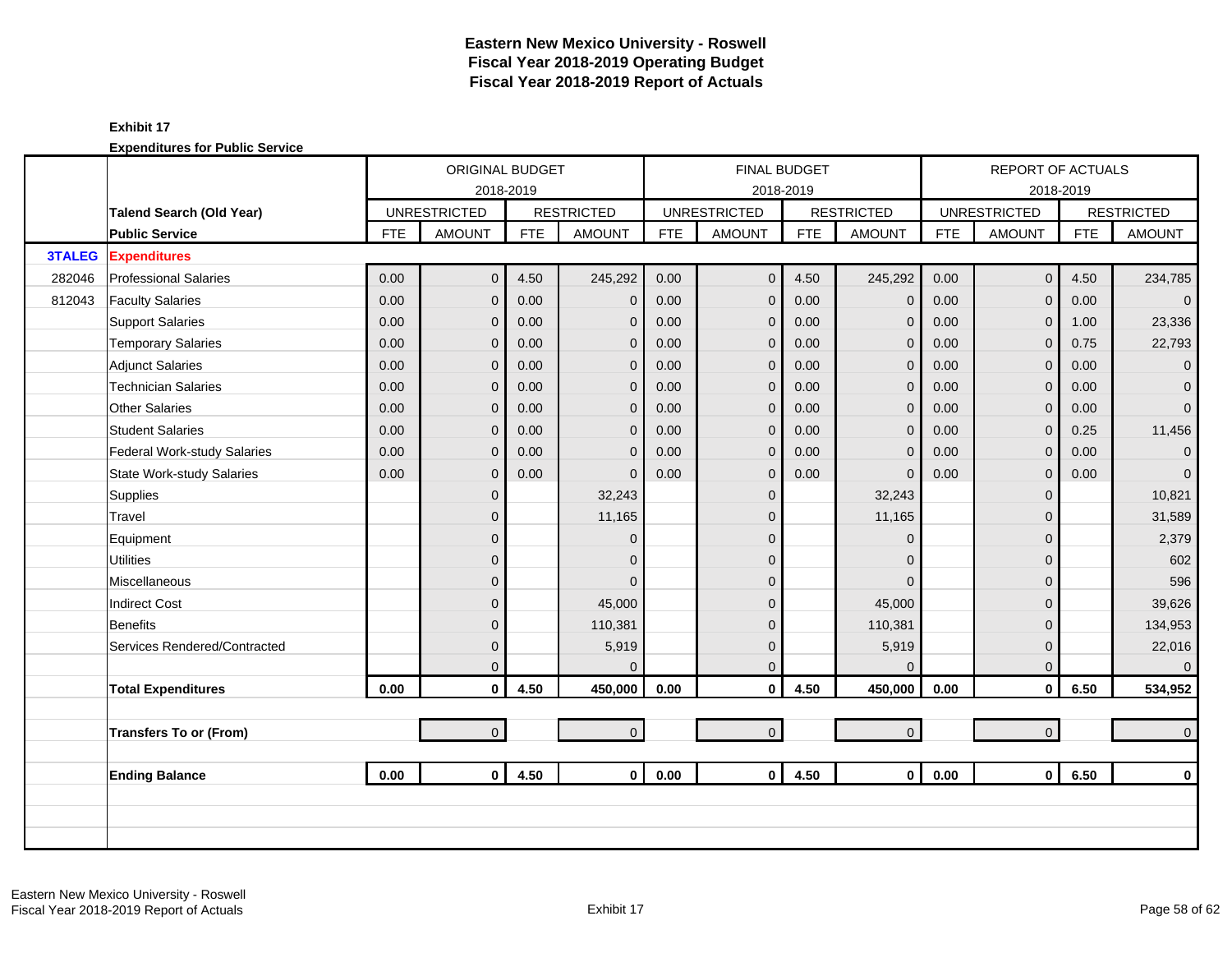|               |                                  |            | ORIGINAL BUDGET     |            |                   |            | <b>FINAL BUDGET</b> |            |                   |            | REPORT OF ACTUALS   |            |                   |
|---------------|----------------------------------|------------|---------------------|------------|-------------------|------------|---------------------|------------|-------------------|------------|---------------------|------------|-------------------|
|               |                                  |            | 2018-2019           |            |                   |            | 2018-2019           |            |                   |            |                     | 2018-2019  |                   |
|               | Talend Search (Old Year)         |            | <b>UNRESTRICTED</b> |            | <b>RESTRICTED</b> |            | <b>UNRESTRICTED</b> |            | <b>RESTRICTED</b> |            | <b>UNRESTRICTED</b> |            | <b>RESTRICTED</b> |
|               | <b>Public Service</b>            | <b>FTE</b> | <b>AMOUNT</b>       | <b>FTE</b> | <b>AMOUNT</b>     | <b>FTE</b> | <b>AMOUNT</b>       | <b>FTE</b> | <b>AMOUNT</b>     | <b>FTE</b> | <b>AMOUNT</b>       | <b>FTE</b> | <b>AMOUNT</b>     |
| <b>3TALEG</b> | <b>Expenditures</b>              |            |                     |            |                   |            |                     |            |                   |            |                     |            |                   |
| 282046        | <b>Professional Salaries</b>     | 0.00       | $\overline{0}$      | 4.50       | 245,292           | 0.00       | $\mathbf 0$         | 4.50       | 245,292           | 0.00       | $\overline{0}$      | 4.50       | 234,785           |
| 812043        | <b>Faculty Salaries</b>          | 0.00       | $\overline{0}$      | 0.00       | $\mathbf{0}$      | 0.00       | $\overline{0}$      | 0.00       | $\mathbf 0$       | 0.00       | $\overline{0}$      | 0.00       | $\overline{0}$    |
|               | <b>Support Salaries</b>          | 0.00       | $\overline{0}$      | 0.00       | $\mathbf 0$       | 0.00       | $\mathbf{0}$        | 0.00       | $\mathbf{0}$      | 0.00       | $\overline{0}$      | 1.00       | 23,336            |
|               | <b>Temporary Salaries</b>        | 0.00       | $\overline{0}$      | 0.00       | $\mathbf 0$       | 0.00       | $\mathbf{0}$        | 0.00       | $\mathbf{0}$      | 0.00       | $\mathbf{0}$        | 0.75       | 22,793            |
|               | <b>Adjunct Salaries</b>          | 0.00       | $\overline{0}$      | 0.00       | $\mathbf{0}$      | 0.00       | $\mathbf{0}$        | 0.00       | $\mathbf{0}$      | 0.00       | $\mathbf{0}$        | 0.00       | $\mathbf 0$       |
|               | <b>Technician Salaries</b>       | 0.00       | $\overline{0}$      | 0.00       | $\mathbf 0$       | 0.00       | $\mathbf{0}$        | 0.00       | $\mathbf{0}$      | 0.00       | $\mathbf 0$         | 0.00       | $\mathbf{0}$      |
|               | <b>Other Salaries</b>            | 0.00       | $\overline{0}$      | 0.00       | $\mathbf 0$       | 0.00       | $\mathbf{0}$        | 0.00       | $\mathbf{0}$      | 0.00       | $\mathbf{0}$        | 0.00       | $\overline{0}$    |
|               | <b>Student Salaries</b>          | 0.00       | $\overline{0}$      | 0.00       | $\overline{0}$    | 0.00       | $\mathbf{0}$        | 0.00       | $\mathbf{0}$      | 0.00       | $\Omega$            | 0.25       | 11,456            |
|               | Federal Work-study Salaries      | 0.00       | $\overline{0}$      | 0.00       | $\mathbf{0}$      | 0.00       | $\overline{0}$      | 0.00       | $\mathbf{0}$      | 0.00       | $\mathsf{O}\xspace$ | 0.00       | $\overline{0}$    |
|               | <b>State Work-study Salaries</b> | 0.00       | $\overline{0}$      | 0.00       | $\mathbf{0}$      | 0.00       | $\mathbf{0}$        | 0.00       | $\Omega$          | 0.00       | $\mathbf 0$         | 0.00       | $\overline{0}$    |
|               | Supplies                         |            | $\mathbf{0}$        |            | 32,243            |            | $\overline{0}$      |            | 32,243            |            | $\mathbf{0}$        |            | 10,821            |
|               | Travel                           |            | $\mathbf{0}$        |            | 11,165            |            | $\overline{0}$      |            | 11,165            |            | $\mathbf{0}$        |            | 31,589            |
|               | Equipment                        |            | $\overline{0}$      |            | $\mathbf{0}$      |            | $\Omega$            |            | $\mathbf{0}$      |            | $\overline{0}$      |            | 2,379             |
|               | <b>Utilities</b>                 |            | $\overline{0}$      |            | $\mathbf{0}$      |            | $\overline{0}$      |            | $\mathbf 0$       |            | $\mathbf{0}$        |            | 602               |
|               | Miscellaneous                    |            | $\overline{0}$      |            | $\Omega$          |            | $\Omega$            |            | $\Omega$          |            | $\Omega$            |            | 596               |
|               | <b>Indirect Cost</b>             |            | $\overline{0}$      |            | 45,000            |            | $\Omega$            |            | 45,000            |            | $\Omega$            |            | 39,626            |
|               | Benefits                         |            | $\overline{0}$      |            | 110,381           |            | $\overline{0}$      |            | 110,381           |            | $\Omega$            |            | 134,953           |
|               | Services Rendered/Contracted     |            | $\overline{0}$      |            | 5,919             |            | $\overline{0}$      |            | 5,919             |            | $\mathbf 0$         |            | 22,016            |
|               |                                  |            | $\overline{0}$      |            | $\Omega$          |            | $\Omega$            |            | $\mathbf{0}$      |            | $\mathbf{0}$        |            |                   |
|               | <b>Total Expenditures</b>        | 0.00       | $\mathbf 0$         | 4.50       | 450,000           | $0.00\,$   | $\mathbf 0$         | 4.50       | 450,000           | 0.00       | $\mathbf{0}$        | 6.50       | 534,952           |
|               |                                  |            |                     |            |                   |            |                     |            |                   |            |                     |            |                   |
|               | <b>Transfers To or (From)</b>    |            | $\overline{0}$      |            | $\overline{0}$    |            | $\mathbf 0$         |            | $\mathbf{0}$      |            | $\overline{0}$      |            | $\overline{0}$    |
|               |                                  |            |                     |            |                   |            |                     |            |                   |            |                     |            |                   |
|               | <b>Ending Balance</b>            | 0.00       | $\overline{0}$      | 4.50       | $\mathbf{0}$      | 0.00       | $\mathbf{0}$        | 4.50       | $\mathbf{0}$      | 0.00       | $\overline{0}$      | 6.50       | $\bf{0}$          |
|               |                                  |            |                     |            |                   |            |                     |            |                   |            |                     |            |                   |
|               |                                  |            |                     |            |                   |            |                     |            |                   |            |                     |            |                   |
|               |                                  |            |                     |            |                   |            |                     |            |                   |            |                     |            |                   |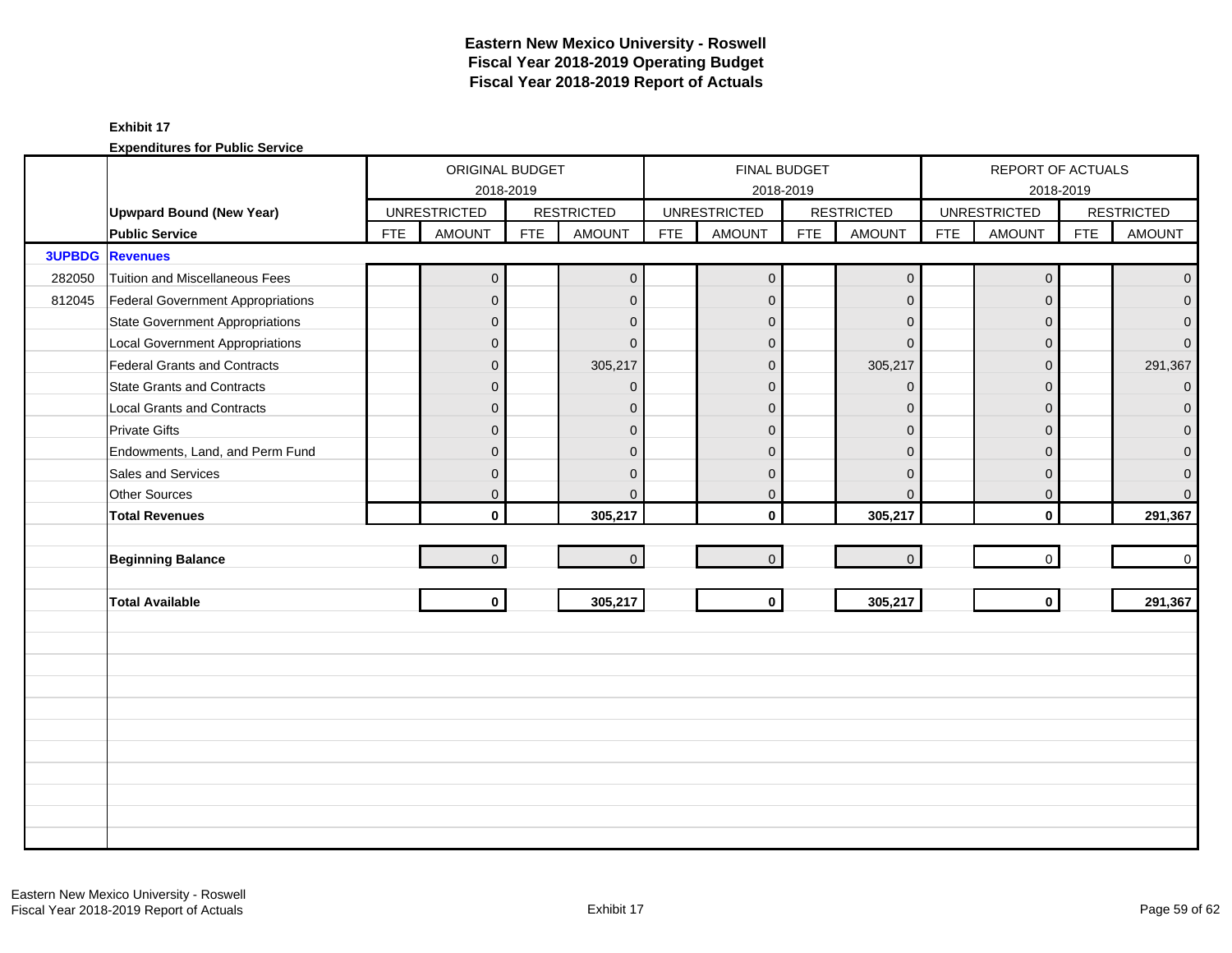|        |                                        |            | ORIGINAL BUDGET     |            |                   |            |                     | FINAL BUDGET |                   |            | REPORT OF ACTUALS   |            |                   |
|--------|----------------------------------------|------------|---------------------|------------|-------------------|------------|---------------------|--------------|-------------------|------------|---------------------|------------|-------------------|
|        |                                        |            | 2018-2019           |            |                   |            |                     | 2018-2019    |                   |            |                     | 2018-2019  |                   |
|        | <b>Upwpard Bound (New Year)</b>        |            | <b>UNRESTRICTED</b> |            | <b>RESTRICTED</b> |            | <b>UNRESTRICTED</b> |              | <b>RESTRICTED</b> |            | <b>UNRESTRICTED</b> |            | <b>RESTRICTED</b> |
|        | <b>Public Service</b>                  | <b>FTE</b> | <b>AMOUNT</b>       | <b>FTE</b> | <b>AMOUNT</b>     | <b>FTE</b> | <b>AMOUNT</b>       | <b>FTE</b>   | <b>AMOUNT</b>     | <b>FTE</b> | <b>AMOUNT</b>       | <b>FTE</b> | <b>AMOUNT</b>     |
|        | <b>3UPBDG</b> Revenues                 |            |                     |            |                   |            |                     |              |                   |            |                     |            |                   |
| 282050 | Tuition and Miscellaneous Fees         |            | $\overline{0}$      |            | $\mathbf 0$       |            | $\mathbf 0$         |              | $\mathbf 0$       |            | $\mathbf 0$         |            | $\mathbf{0}$      |
| 812045 | Federal Government Appropriations      |            | $\overline{0}$      |            | $\mathbf{0}$      |            | $\mathbf{0}$        |              | $\mathbf{0}$      |            | $\mathbf{0}$        |            | $\overline{0}$    |
|        | <b>State Government Appropriations</b> |            | $\mathbf 0$         |            | $\Omega$          |            | $\mathbf{0}$        |              | $\mathbf{0}$      |            | $\Omega$            |            | $\mathbf{0}$      |
|        | Local Government Appropriations        |            | $\mathbf 0$         |            | $\Omega$          |            | $\Omega$            |              | $\Omega$          |            | $\Omega$            |            | $\overline{0}$    |
|        | Federal Grants and Contracts           |            | $\mathbf 0$         |            | 305,217           |            | $\mathbf{0}$        |              | 305,217           |            | $\Omega$            |            | 291,367           |
|        | <b>State Grants and Contracts</b>      |            | $\mathbf{0}$        |            | $\Omega$          |            | $\Omega$            |              | $\mathbf{0}$      |            | $\Omega$            |            | $\overline{0}$    |
|        | Local Grants and Contracts             |            | 0                   |            | $\mathbf{0}$      |            | $\Omega$            |              | $\mathbf{0}$      |            | $\mathbf{0}$        |            | $\mathbf{0}$      |
|        | <b>Private Gifts</b>                   |            | $\overline{0}$      |            | $\Omega$          |            | $\Omega$            |              | $\mathbf{0}$      |            | $\Omega$            |            | $\Omega$          |
|        | Endowments, Land, and Perm Fund        |            | $\mathbf{0}$        |            | $\Omega$          |            | $\Omega$            |              | $\Omega$          |            | $\Omega$            |            | 0                 |
|        | Sales and Services                     |            | $\mathbf 0$         |            | $\mathbf{0}$      |            | $\mathbf{0}$        |              | $\mathbf{0}$      |            | $\mathbf{0}$        |            | $\mathbf 0$       |
|        | Other Sources                          |            | $\overline{0}$      |            | $\Omega$          |            | $\mathbf 0$         |              | $\mathbf 0$       |            | $\mathbf 0$         |            | $\mathbf{0}$      |
|        | <b>Total Revenues</b>                  |            | $\mathbf{0}$        |            | 305,217           |            | $\mathbf{0}$        |              | 305,217           |            | $\mathbf{0}$        |            | 291,367           |
|        |                                        |            |                     |            |                   |            |                     |              |                   |            |                     |            |                   |
|        | <b>Beginning Balance</b>               |            | $\mathbf 0$         |            | $\Omega$          |            | $\overline{0}$      |              | $\mathbf 0$       |            | $\mathbf 0$         |            | $\mathbf 0$       |
|        |                                        |            |                     |            |                   |            |                     |              |                   |            |                     |            |                   |
|        | <b>Total Available</b>                 |            | $\mathbf{0}$        |            | 305,217           |            | $\mathbf{0}$        |              | 305,217           |            | $\mathbf{0}$        |            | 291,367           |
|        |                                        |            |                     |            |                   |            |                     |              |                   |            |                     |            |                   |
|        |                                        |            |                     |            |                   |            |                     |              |                   |            |                     |            |                   |
|        |                                        |            |                     |            |                   |            |                     |              |                   |            |                     |            |                   |
|        |                                        |            |                     |            |                   |            |                     |              |                   |            |                     |            |                   |
|        |                                        |            |                     |            |                   |            |                     |              |                   |            |                     |            |                   |
|        |                                        |            |                     |            |                   |            |                     |              |                   |            |                     |            |                   |
|        |                                        |            |                     |            |                   |            |                     |              |                   |            |                     |            |                   |
|        |                                        |            |                     |            |                   |            |                     |              |                   |            |                     |            |                   |
|        |                                        |            |                     |            |                   |            |                     |              |                   |            |                     |            |                   |
|        |                                        |            |                     |            |                   |            |                     |              |                   |            |                     |            |                   |
|        |                                        |            |                     |            |                   |            |                     |              |                   |            |                     |            |                   |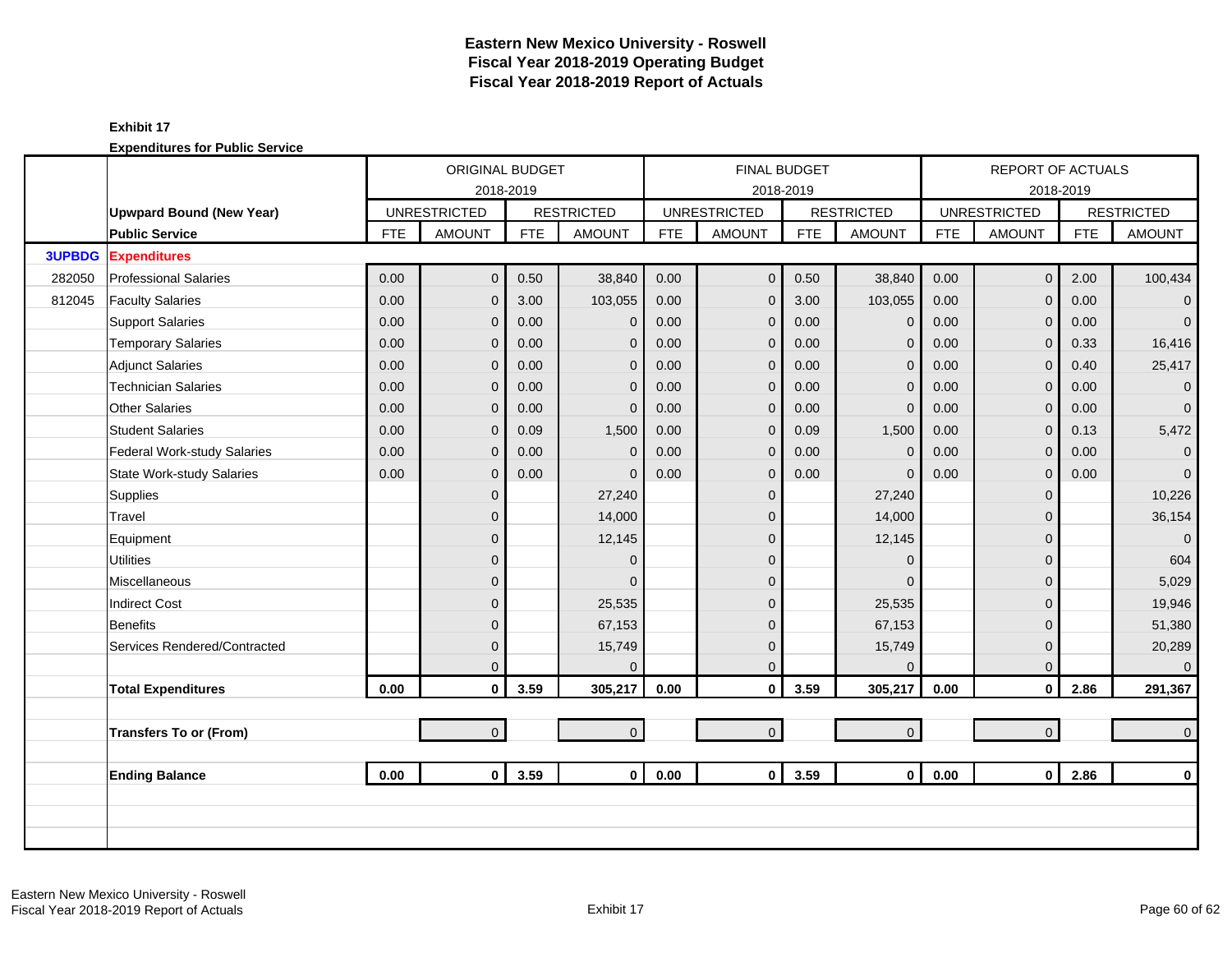|               |                                  |            | ORIGINAL BUDGET     |            |                   |            | FINAL BUDGET        |            |                   |            | <b>REPORT OF ACTUALS</b> |            |                   |
|---------------|----------------------------------|------------|---------------------|------------|-------------------|------------|---------------------|------------|-------------------|------------|--------------------------|------------|-------------------|
|               |                                  |            | 2018-2019           |            |                   |            | 2018-2019           |            |                   |            |                          | 2018-2019  |                   |
|               | <b>Upwpard Bound (New Year)</b>  |            | <b>UNRESTRICTED</b> |            | <b>RESTRICTED</b> |            | <b>UNRESTRICTED</b> |            | <b>RESTRICTED</b> |            | <b>UNRESTRICTED</b>      |            | <b>RESTRICTED</b> |
|               | <b>Public Service</b>            | <b>FTE</b> | <b>AMOUNT</b>       | <b>FTE</b> | <b>AMOUNT</b>     | <b>FTE</b> | <b>AMOUNT</b>       | <b>FTE</b> | <b>AMOUNT</b>     | <b>FTE</b> | <b>AMOUNT</b>            | <b>FTE</b> | <b>AMOUNT</b>     |
| <b>3UPBDG</b> | <b>Expenditures</b>              |            |                     |            |                   |            |                     |            |                   |            |                          |            |                   |
| 282050        | <b>Professional Salaries</b>     | 0.00       | $\overline{0}$      | 0.50       | 38,840            | 0.00       | $\mathbf 0$         | 0.50       | 38,840            | 0.00       | $\overline{0}$           | 2.00       | 100,434           |
| 812045        | <b>Faculty Salaries</b>          | 0.00       | $\mathbf{0}$        | 3.00       | 103,055           | 0.00       | $\mathbf 0$         | 3.00       | 103,055           | 0.00       | $\mathbf 0$              | 0.00       | $\mathbf 0$       |
|               | <b>Support Salaries</b>          | 0.00       | $\mathbf 0$         | 0.00       | $\mathbf{0}$      | 0.00       | $\mathbf 0$         | 0.00       | $\mathbf 0$       | 0.00       | $\mathbf 0$              | 0.00       | $\overline{0}$    |
|               | <b>Temporary Salaries</b>        | 0.00       | $\mathbf{0}$        | 0.00       | $\mathbf{0}$      | 0.00       | $\mathbf{0}$        | 0.00       | $\mathbf{0}$      | 0.00       | $\mathbf{0}$             | 0.33       | 16,416            |
|               | <b>Adjunct Salaries</b>          | 0.00       | $\overline{0}$      | 0.00       | $\mathbf{0}$      | 0.00       | $\overline{0}$      | 0.00       | $\mathbf{0}$      | 0.00       | $\overline{0}$           | 0.40       | 25,417            |
|               | <b>Technician Salaries</b>       | 0.00       | $\Omega$            | 0.00       | $\mathbf{0}$      | 0.00       | $\mathbf{0}$        | 0.00       | $\Omega$          | 0.00       | $\mathbf 0$              | 0.00       | $\mathbf{0}$      |
|               | <b>Other Salaries</b>            | 0.00       | $\Omega$            | 0.00       | $\mathbf{0}$      | 0.00       | $\mathbf{0}$        | 0.00       | $\mathbf{0}$      | 0.00       | $\mathbf{0}$             | 0.00       | $\overline{0}$    |
|               | <b>Student Salaries</b>          | 0.00       | 0                   | 0.09       | 1,500             | 0.00       | $\mathbf{0}$        | 0.09       | 1,500             | 0.00       | $\overline{0}$           | 0.13       | 5,472             |
|               | Federal Work-study Salaries      | 0.00       | $\mathbf{0}$        | 0.00       | $\mathbf 0$       | 0.00       | $\mathbf 0$         | 0.00       | $\mathbf{0}$      | 0.00       | $\mathbf 0$              | 0.00       | $\mathbf 0$       |
|               | <b>State Work-study Salaries</b> | 0.00       | $\mathbf 0$         | 0.00       | $\mathbf 0$       | 0.00       | $\mathbf 0$         | 0.00       | $\mathbf{0}$      | 0.00       | $\mathbf 0$              | 0.00       | $\overline{0}$    |
|               | Supplies                         |            | $\overline{0}$      |            | 27,240            |            | $\mathbf 0$         |            | 27,240            |            | $\mathbf 0$              |            | 10,226            |
|               | Travel                           |            | $\mathbf 0$         |            | 14,000            |            | $\Omega$            |            | 14,000            |            | $\mathbf{0}$             |            | 36,154            |
|               | Equipment                        |            | 0                   |            | 12,145            |            | $\Omega$            |            | 12,145            |            | $\mathbf{0}$             |            | $\Omega$          |
|               | <b>Utilities</b>                 |            | $\overline{0}$      |            | $\Omega$          |            | $\overline{0}$      |            | $\mathbf{0}$      |            | $\Omega$                 |            | 604               |
|               | Miscellaneous                    |            | $\mathbf{0}$        |            | $\Omega$          |            | $\mathbf{0}$        |            | $\Omega$          |            | $\mathbf{0}$             |            | 5,029             |
|               | <b>Indirect Cost</b>             |            | 0                   |            | 25,535            |            | $\mathbf{0}$        |            | 25,535            |            | $\Omega$                 |            | 19,946            |
|               | <b>Benefits</b>                  |            | 0                   |            | 67,153            |            | $\mathbf{0}$        |            | 67,153            |            | $\Omega$                 |            | 51,380            |
|               | Services Rendered/Contracted     |            | $\mathbf 0$         |            | 15,749            |            | $\mathbf 0$         |            | 15,749            |            | $\mathbf 0$              |            | 20,289            |
|               |                                  |            | 0                   |            | $\Omega$          |            | $\Omega$            |            | $\mathbf{0}$      |            | $\mathbf{0}$             |            | $\Omega$          |
|               | <b>Total Expenditures</b>        | 0.00       | $\mathbf 0$         | 3.59       | 305,217           | 0.00       | $\mathbf 0$         | 3.59       | 305,217           | 0.00       | $\mathbf{0}$             | 2.86       | 291,367           |
|               |                                  |            |                     |            |                   |            |                     |            |                   |            |                          |            |                   |
|               | <b>Transfers To or (From)</b>    |            | $\overline{0}$      |            | $\overline{0}$    |            | $\mathbf 0$         |            | $\mathbf{0}$      |            | $\overline{0}$           |            | $\overline{0}$    |
|               | <b>Ending Balance</b>            | 0.00       | $\mathbf{0}$        | 3.59       | $\mathbf{0}$      | 0.00       | $\mathbf 0$         | 3.59       | $\mathbf 0$       | 0.00       | $\overline{0}$           | 2.86       | $\mathbf{0}$      |
|               |                                  |            |                     |            |                   |            |                     |            |                   |            |                          |            |                   |
|               |                                  |            |                     |            |                   |            |                     |            |                   |            |                          |            |                   |
|               |                                  |            |                     |            |                   |            |                     |            |                   |            |                          |            |                   |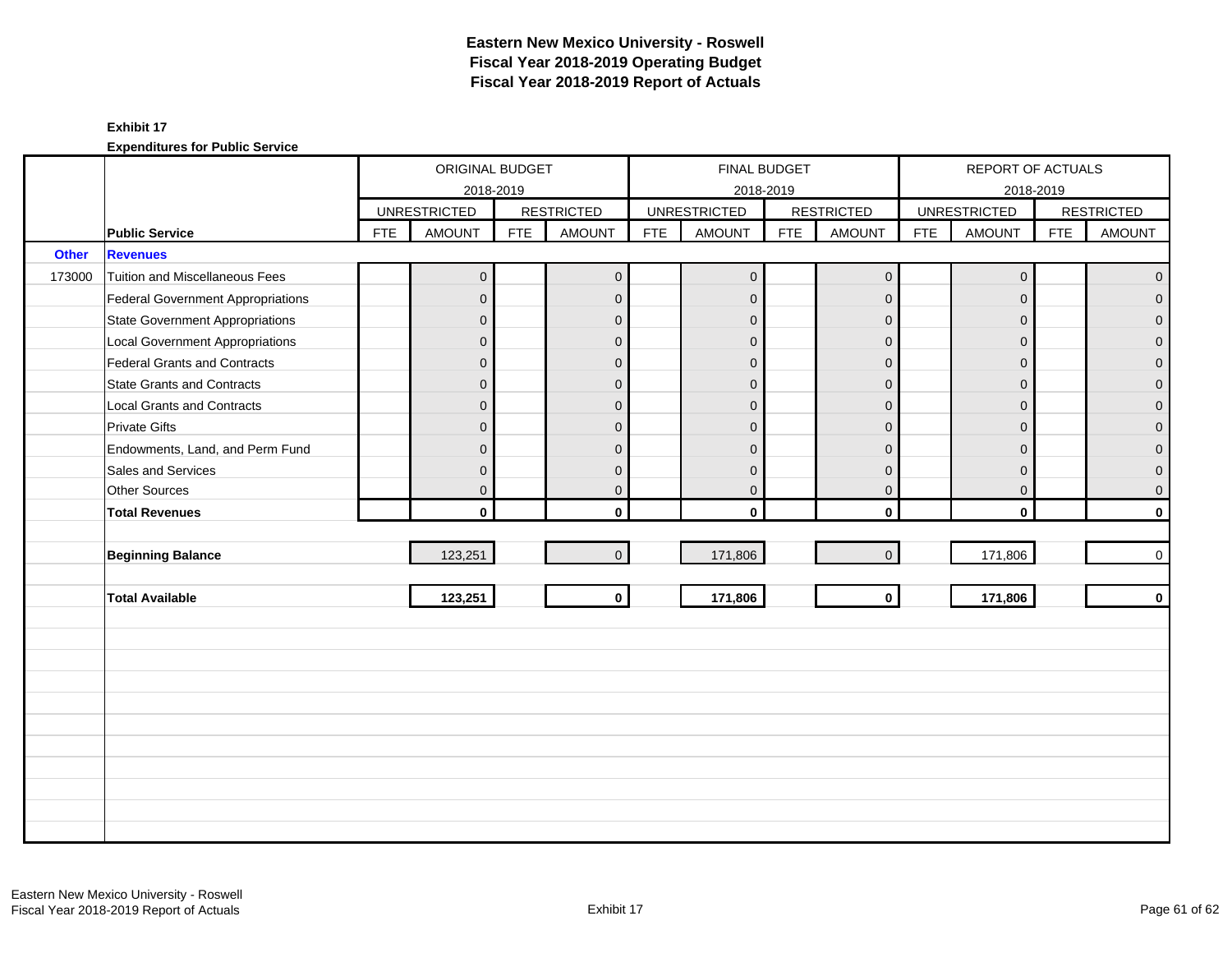#### **Exhibit 17**

|              |                                          |            | ORIGINAL BUDGET     |            |                   |            |                     | FINAL BUDGET |                   |            | REPORT OF ACTUALS   |            |                   |
|--------------|------------------------------------------|------------|---------------------|------------|-------------------|------------|---------------------|--------------|-------------------|------------|---------------------|------------|-------------------|
|              |                                          |            | 2018-2019           |            |                   |            | 2018-2019           |              |                   |            | 2018-2019           |            |                   |
|              |                                          |            | <b>UNRESTRICTED</b> |            | <b>RESTRICTED</b> |            | <b>UNRESTRICTED</b> |              | <b>RESTRICTED</b> |            | <b>UNRESTRICTED</b> |            | <b>RESTRICTED</b> |
|              | <b>Public Service</b>                    | <b>FTE</b> | <b>AMOUNT</b>       | <b>FTE</b> | <b>AMOUNT</b>     | <b>FTE</b> | <b>AMOUNT</b>       | <b>FTE</b>   | <b>AMOUNT</b>     | <b>FTE</b> | <b>AMOUNT</b>       | <b>FTE</b> | <b>AMOUNT</b>     |
| <b>Other</b> | <b>Revenues</b>                          |            |                     |            |                   |            |                     |              |                   |            |                     |            |                   |
| 173000       | <b>Tuition and Miscellaneous Fees</b>    |            | $\mathbf 0$         |            | $\mathbf 0$       |            | $\mathbf 0$         |              | $\pmb{0}$         |            | $\mathbf 0$         |            | $\overline{0}$    |
|              | <b>Federal Government Appropriations</b> |            | $\mathbf{0}$        |            | $\mathbf 0$       |            | $\overline{0}$      |              | $\overline{0}$    |            | $\mathbf 0$         |            | $\overline{0}$    |
|              | <b>State Government Appropriations</b>   |            | $\mathbf{0}$        |            | $\mathbf 0$       |            | $\Omega$            |              | $\mathbf{0}$      |            | $\overline{0}$      |            | $\overline{0}$    |
|              | <b>Local Government Appropriations</b>   |            | $\mathbf{0}$        |            | $\mathbf 0$       |            | $\Omega$            |              | $\Omega$          |            | $\Omega$            |            | $\overline{0}$    |
|              | <b>Federal Grants and Contracts</b>      |            | $\mathbf{0}$        |            | $\mathbf 0$       |            | $\Omega$            |              | $\mathbf{0}$      |            | $\mathbf{0}$        |            | $\overline{0}$    |
|              | <b>State Grants and Contracts</b>        |            | $\mathbf{0}$        |            | $\mathbf{0}$      |            | $\Omega$            |              | $\Omega$          |            | $\overline{0}$      |            | $\overline{0}$    |
|              | <b>Local Grants and Contracts</b>        |            | $\mathbf{0}$        |            | $\mathbf 0$       |            | $\Omega$            |              | $\Omega$          |            | $\mathbf{0}$        |            | $\mathbf{0}$      |
|              | <b>Private Gifts</b>                     |            | $\mathbf{0}$        |            | $\mathbf 0$       |            | $\Omega$            |              | $\Omega$          |            | $\mathbf{0}$        |            | $\overline{0}$    |
|              | Endowments, Land, and Perm Fund          |            | $\mathbf{0}$        |            | $\mathbf 0$       |            | $\Omega$            |              | $\mathbf{0}$      |            | $\overline{0}$      |            | $\overline{0}$    |
|              | Sales and Services                       |            | $\mathbf{0}$        |            | $\mathbf 0$       |            | $\Omega$            |              | $\mathbf{0}$      |            | $\mathbf 0$         |            | $\overline{0}$    |
|              | Other Sources                            |            | $\mathbf 0$         |            | $\mathbf 0$       |            | 0                   |              | $\mathbf 0$       |            | $\mathbf 0$         |            | $\mathbf 0$       |
|              | <b>Total Revenues</b>                    |            | $\mathbf{0}$        |            | $\mathbf{0}$      |            | $\mathbf{0}$        |              | $\mathbf{0}$      |            | $\mathbf{0}$        |            | $\mathbf{0}$      |
|              |                                          |            |                     |            |                   |            |                     |              |                   |            |                     |            |                   |
|              | <b>Beginning Balance</b>                 |            | 123,251             |            | $\overline{0}$    |            | 171,806             |              | $\overline{0}$    |            | 171,806             |            | $\mathbf 0$       |
|              |                                          |            |                     |            |                   |            |                     |              |                   |            |                     |            |                   |
|              | <b>Total Available</b>                   |            | 123,251             |            | $\mathbf{0}$      |            | 171,806             |              | $\mathbf 0$       |            | 171,806             |            | $\mathbf 0$       |
|              |                                          |            |                     |            |                   |            |                     |              |                   |            |                     |            |                   |
|              |                                          |            |                     |            |                   |            |                     |              |                   |            |                     |            |                   |
|              |                                          |            |                     |            |                   |            |                     |              |                   |            |                     |            |                   |
|              |                                          |            |                     |            |                   |            |                     |              |                   |            |                     |            |                   |
|              |                                          |            |                     |            |                   |            |                     |              |                   |            |                     |            |                   |
|              |                                          |            |                     |            |                   |            |                     |              |                   |            |                     |            |                   |
|              |                                          |            |                     |            |                   |            |                     |              |                   |            |                     |            |                   |
|              |                                          |            |                     |            |                   |            |                     |              |                   |            |                     |            |                   |
|              |                                          |            |                     |            |                   |            |                     |              |                   |            |                     |            |                   |
|              |                                          |            |                     |            |                   |            |                     |              |                   |            |                     |            |                   |
|              |                                          |            |                     |            |                   |            |                     |              |                   |            |                     |            |                   |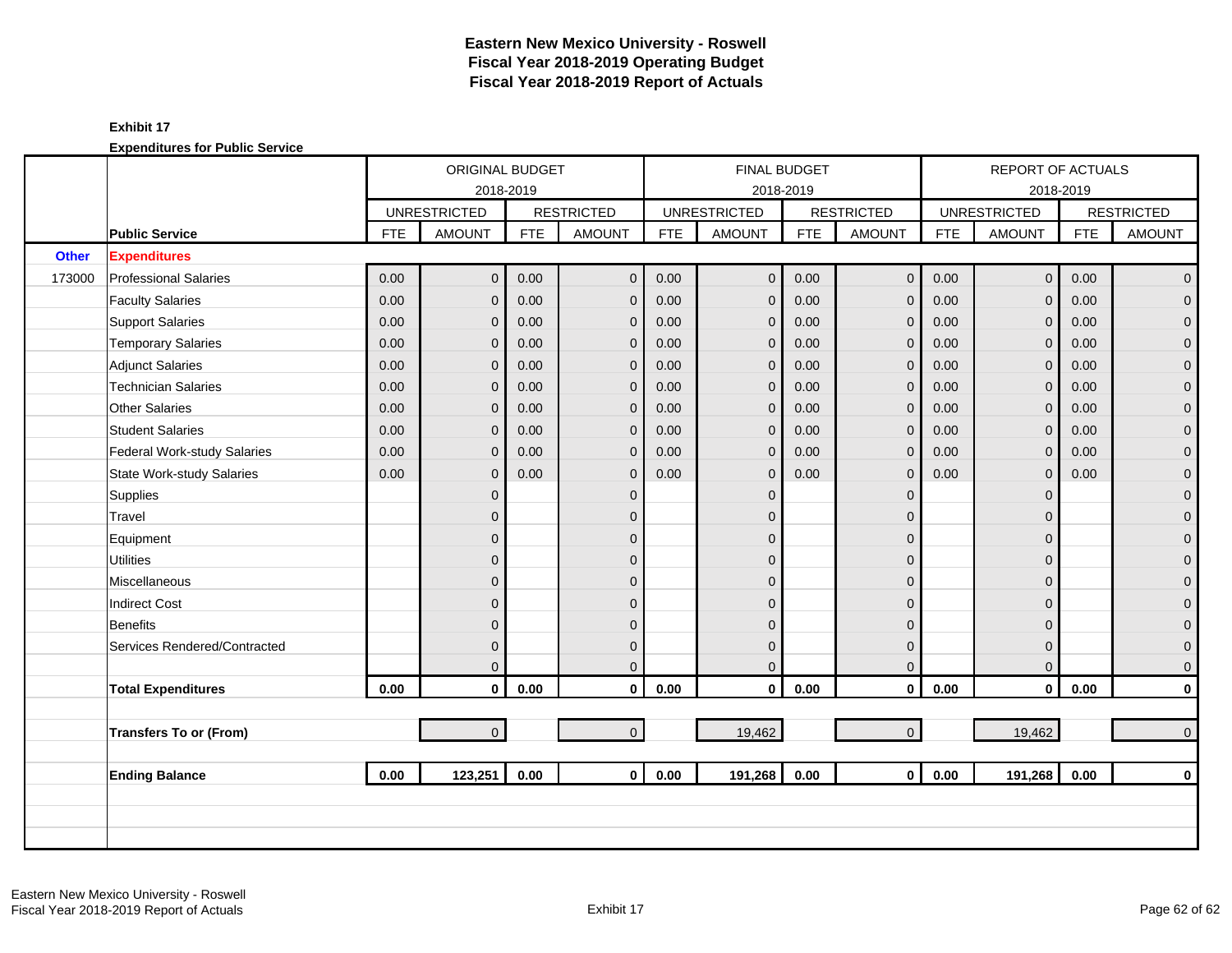|              |                                  |            | ORIGINAL BUDGET     |            |                   |            |                     | <b>FINAL BUDGET</b> |                     |            | REPORT OF ACTUALS   |            |                   |
|--------------|----------------------------------|------------|---------------------|------------|-------------------|------------|---------------------|---------------------|---------------------|------------|---------------------|------------|-------------------|
|              |                                  |            | 2018-2019           |            |                   |            |                     | 2018-2019           |                     |            |                     | 2018-2019  |                   |
|              |                                  |            | <b>UNRESTRICTED</b> |            | <b>RESTRICTED</b> |            | <b>UNRESTRICTED</b> |                     | <b>RESTRICTED</b>   |            | <b>UNRESTRICTED</b> |            | <b>RESTRICTED</b> |
|              | <b>Public Service</b>            | <b>FTE</b> | <b>AMOUNT</b>       | <b>FTE</b> | <b>AMOUNT</b>     | <b>FTE</b> | <b>AMOUNT</b>       | <b>FTE</b>          | <b>AMOUNT</b>       | <b>FTE</b> | <b>AMOUNT</b>       | <b>FTE</b> | <b>AMOUNT</b>     |
| <b>Other</b> | <b>Expenditures</b>              |            |                     |            |                   |            |                     |                     |                     |            |                     |            |                   |
| 173000       | <b>Professional Salaries</b>     | 0.00       | $\overline{0}$      | 0.00       | $\mathbf{0}$      | 0.00       | $\overline{0}$      | 0.00                | $\mathbf 0$         | 0.00       | $\overline{0}$      | 0.00       | $\overline{0}$    |
|              | <b>Faculty Salaries</b>          | 0.00       | 0                   | 0.00       | $\mathbf{0}$      | 0.00       | $\mathbf{0}$        | 0.00                | $\mathbf 0$         | 0.00       | $\Omega$            | 0.00       | $\overline{0}$    |
|              | <b>Support Salaries</b>          | 0.00       | 0                   | 0.00       | $\mathbf 0$       | 0.00       | $\mathbf 0$         | 0.00                | $\mathbf 0$         | 0.00       | $\mathbf{0}$        | 0.00       | $\overline{0}$    |
|              | <b>Temporary Salaries</b>        | 0.00       | $\overline{0}$      | 0.00       | $\Omega$          | 0.00       | $\mathbf{0}$        | 0.00                | $\mathbf{0}$        | 0.00       | $\Omega$            | 0.00       | $\mathbf 0$       |
|              | Adjunct Salaries                 | 0.00       | $\overline{0}$      | 0.00       | $\mathbf{0}$      | 0.00       | $\mathbf{0}$        | 0.00                | $\mathbf{0}$        | 0.00       | $\Omega$            | 0.00       | $\overline{0}$    |
|              | <b>Technician Salaries</b>       | 0.00       | 0                   | 0.00       | $\mathbf{0}$      | 0.00       | $\mathbf 0$         | 0.00                | $\mathbf 0$         | 0.00       | $\mathbf{0}$        | 0.00       | $\mathbf{O}$      |
|              | <b>Other Salaries</b>            | 0.00       | 0                   | 0.00       | $\mathbf 0$       | 0.00       | $\mathbf{0}$        | 0.00                | $\mathbf 0$         | 0.00       | $\mathbf{0}$        | 0.00       | $\mathbf 0$       |
|              | <b>Student Salaries</b>          | 0.00       | $\overline{0}$      | 0.00       | $\Omega$          | 0.00       | $\mathbf{0}$        | 0.00                | $\mathbf{0}$        | 0.00       | $\Omega$            | 0.00       | $\overline{0}$    |
|              | Federal Work-study Salaries      | 0.00       | $\mathbf 0$         | 0.00       | $\mathbf 0$       | 0.00       | $\mathbf 0$         | 0.00                | $\mathbf{0}$        | 0.00       | $\mathbf{0}$        | 0.00       | $\overline{0}$    |
|              | <b>State Work-study Salaries</b> | 0.00       | $\overline{0}$      | 0.00       | $\mathbf 0$       | 0.00       | $\mathbf 0$         | 0.00                | $\mathbf 0$         | 0.00       | $\mathbf{0}$        | 0.00       | $\pmb{0}$         |
|              | Supplies                         |            | $\mathbf 0$         |            | $\mathbf{0}$      |            | $\mathbf 0$         |                     | $\mathbf 0$         |            | $\Omega$            |            | $\mathbf{0}$      |
|              | Travel                           |            | $\overline{0}$      |            | $\Omega$          |            | $\Omega$            |                     | $\mathbf 0$         |            | $\Omega$            |            | $\mathbf{0}$      |
|              | Equipment                        |            | $\mathbf{0}$        |            | $\Omega$          |            | $\Omega$            |                     | $\mathbf{0}$        |            | $\Omega$            |            | $\mathbf 0$       |
|              | <b>Utilities</b>                 |            | $\overline{0}$      |            | $\Omega$          |            | $\Omega$            |                     | $\mathbf{0}$        |            | $\Omega$            |            | $\overline{0}$    |
|              | Miscellaneous                    |            | $\overline{0}$      |            | $\mathbf{0}$      |            | $\mathbf{0}$        |                     | $\mathbf 0$         |            | $\Omega$            |            | $\mathbf 0$       |
|              | <b>Indirect Cost</b>             |            | $\overline{0}$      |            | $\Omega$          |            | $\Omega$            |                     | $\mathbf{0}$        |            | $\Omega$            |            | $\mathbf 0$       |
|              | <b>Benefits</b>                  |            | $\overline{0}$      |            | $\Omega$          |            | $\Omega$            |                     | $\mathbf{0}$        |            | $\Omega$            |            | $\mathbf{O}$      |
|              | Services Rendered/Contracted     |            | $\overline{0}$      |            | $\mathbf{0}$      |            | $\mathbf 0$         |                     | $\mathbf 0$         |            | $\Omega$            |            | $\mathbf{O}$      |
|              |                                  |            | $\Omega$            |            | $\mathbf{0}$      |            | $\mathbf 0$         |                     | $\mathbf{0}$        |            | $\Omega$            |            | $\mathbf{0}$      |
|              | <b>Total Expenditures</b>        | 0.00       | $\mathbf{0}$        | 0.00       | $\mathbf 0$       | 0.00       | $\mathbf 0$         | 0.00                | $\mathbf 0$         | 0.00       | $\mathbf{0}$        | 0.00       | $\mathbf{0}$      |
|              |                                  |            |                     |            |                   |            |                     |                     |                     |            |                     |            |                   |
|              | Transfers To or (From)           |            | $\overline{0}$      |            | $\overline{0}$    |            | 19,462              |                     | $\mathsf{O}\xspace$ |            | 19,462              |            | $\mathbf{0}$      |
|              |                                  |            |                     |            |                   |            |                     |                     |                     |            |                     |            |                   |
|              | <b>Ending Balance</b>            | 0.00       | 123,251             | 0.00       | $\mathbf{0}$      | 0.00       | 191,268             | 0.00                | $\mathbf{0}$        | 0.00       | 191,268             | 0.00       | $\mathbf 0$       |
|              |                                  |            |                     |            |                   |            |                     |                     |                     |            |                     |            |                   |
|              |                                  |            |                     |            |                   |            |                     |                     |                     |            |                     |            |                   |
|              |                                  |            |                     |            |                   |            |                     |                     |                     |            |                     |            |                   |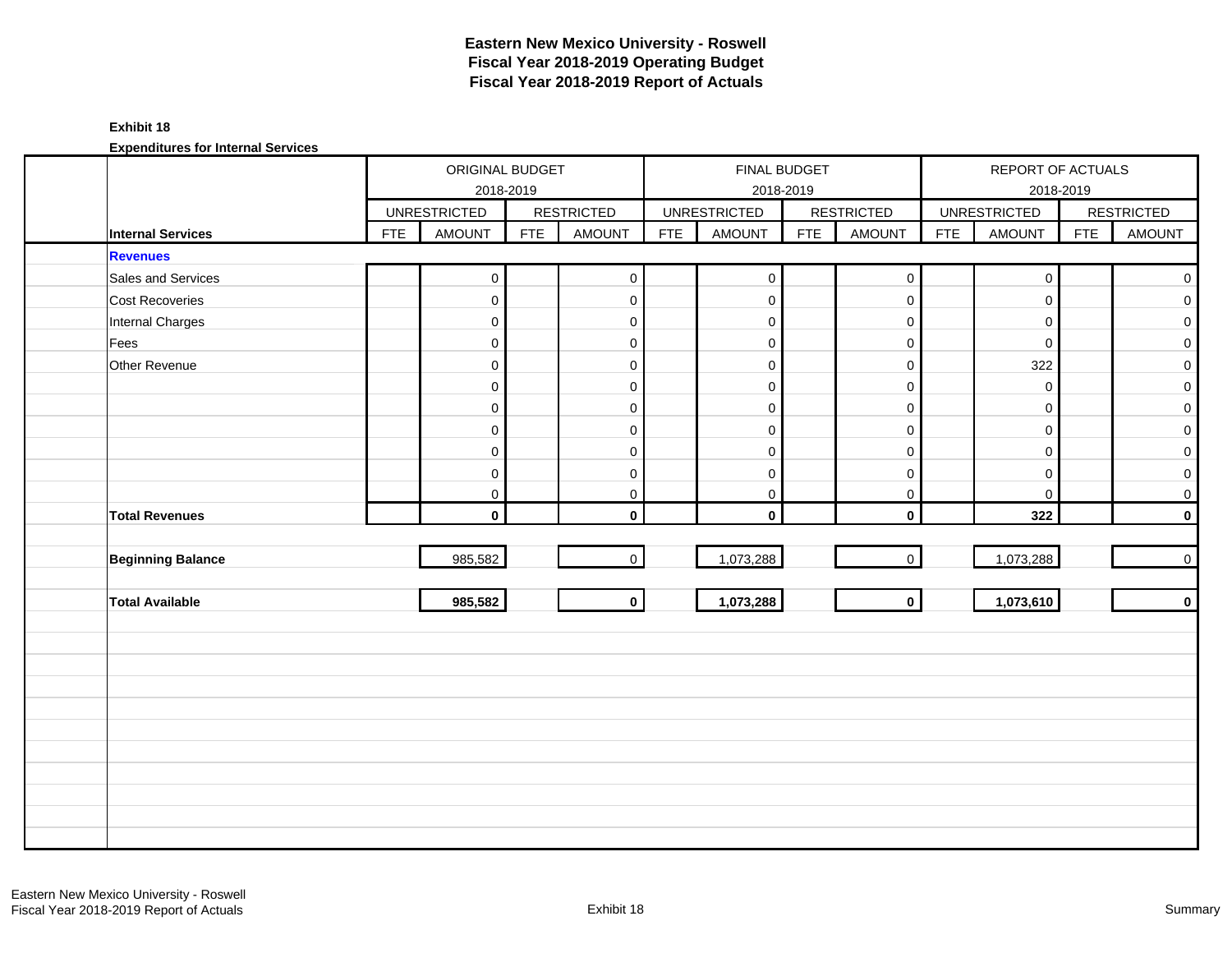#### **Exhibit 18**

|                          |            | ORIGINAL BUDGET     | 2018-2019  |                     |            |                     | FINAL BUDGET<br>2018-2019 |                   |            | REPORT OF ACTUALS   | 2018-2019  |                   |
|--------------------------|------------|---------------------|------------|---------------------|------------|---------------------|---------------------------|-------------------|------------|---------------------|------------|-------------------|
|                          |            | <b>UNRESTRICTED</b> |            | <b>RESTRICTED</b>   |            | <b>UNRESTRICTED</b> |                           | <b>RESTRICTED</b> |            | <b>UNRESTRICTED</b> |            | <b>RESTRICTED</b> |
| <b>Internal Services</b> | <b>FTE</b> | <b>AMOUNT</b>       | <b>FTE</b> | <b>AMOUNT</b>       | <b>FTE</b> | <b>AMOUNT</b>       | <b>FTE</b>                | <b>AMOUNT</b>     | <b>FTE</b> | AMOUNT              | <b>FTE</b> | <b>AMOUNT</b>     |
| <b>Revenues</b>          |            |                     |            |                     |            |                     |                           |                   |            |                     |            |                   |
| Sales and Services       |            | $\mathsf{O}\xspace$ |            | $\mathbf 0$         |            | $\pmb{0}$           |                           | $\mathsf{O}$      |            | $\mathbf 0$         |            | $\overline{0}$    |
| Cost Recoveries          |            | $\mathbf 0$         |            | $\mathbf 0$         |            | $\mathbf 0$         |                           | $\mathbf 0$       |            | $\mathbf 0$         |            | $\overline{0}$    |
| Internal Charges         |            | $\mathbf 0$         |            | $\mathbf 0$         |            | $\mathbf 0$         |                           | $\mathbf 0$       |            | $\mathbf 0$         |            | $\overline{0}$    |
| Fees                     |            | $\pmb{0}$           |            | $\mathsf{O}\xspace$ |            | $\boldsymbol{0}$    |                           | $\mathbf 0$       |            | $\mathbf 0$         |            | $\overline{0}$    |
| Other Revenue            |            | $\mathsf 0$         |            | $\mathbf{0}$        |            | $\boldsymbol{0}$    |                           | $\mathbf 0$       |            | 322                 |            | $\overline{0}$    |
|                          |            | $\mathsf 0$         |            | $\mathbf 0$         |            | $\mathbf 0$         |                           | $\mathbf 0$       |            | $\mathbf 0$         |            | $\overline{0}$    |
|                          |            | $\mathsf 0$         |            | $\mathsf{O}\xspace$ |            | $\boldsymbol{0}$    |                           | $\mathsf 0$       |            | $\mathbf 0$         |            | $\overline{O}$    |
|                          |            | $\mathsf 0$         |            | $\mathbf 0$         |            | $\boldsymbol{0}$    |                           | $\mathbf 0$       |            | $\mathbf 0$         |            | $\overline{O}$    |
|                          |            | $\mathbf 0$         |            | $\mathbf 0$         |            | $\mathbf 0$         |                           | $\mathbf 0$       |            | $\mathbf 0$         |            | $\overline{0}$    |
|                          |            | $\mathsf 0$         |            | $\mathsf{O}\xspace$ |            | $\mathbf 0$         |                           | $\mathbf 0$       |            | 0                   |            | $\overline{O}$    |
|                          |            | 0                   |            | 0                   |            | $\pmb{0}$           |                           | $\pmb{0}$         |            | $\mathbf 0$         |            | $\overline{0}$    |
| <b>Total Revenues</b>    |            | $\mathbf{0}$        |            | $\mathbf{0}$        |            | $\mathbf 0$         |                           | $\mathbf 0$       |            | 322                 |            | $\mathbf{0}$      |
|                          |            |                     |            |                     |            |                     |                           |                   |            |                     |            |                   |
| <b>Beginning Balance</b> |            | 985,582             |            | $\overline{0}$      |            | 1,073,288           |                           | $\mathbf 0$       |            | 1,073,288           |            | $\overline{0}$    |
|                          |            |                     |            |                     |            |                     |                           |                   |            |                     |            |                   |
| <b>Total Available</b>   |            | 985,582             |            | $\circ$             |            | 1,073,288           |                           | $\mathbf{0}$      |            | 1,073,610           |            | $\mathbf{0}$      |
|                          |            |                     |            |                     |            |                     |                           |                   |            |                     |            |                   |
|                          |            |                     |            |                     |            |                     |                           |                   |            |                     |            |                   |
|                          |            |                     |            |                     |            |                     |                           |                   |            |                     |            |                   |
|                          |            |                     |            |                     |            |                     |                           |                   |            |                     |            |                   |
|                          |            |                     |            |                     |            |                     |                           |                   |            |                     |            |                   |
|                          |            |                     |            |                     |            |                     |                           |                   |            |                     |            |                   |
|                          |            |                     |            |                     |            |                     |                           |                   |            |                     |            |                   |
|                          |            |                     |            |                     |            |                     |                           |                   |            |                     |            |                   |
|                          |            |                     |            |                     |            |                     |                           |                   |            |                     |            |                   |
|                          |            |                     |            |                     |            |                     |                           |                   |            |                     |            |                   |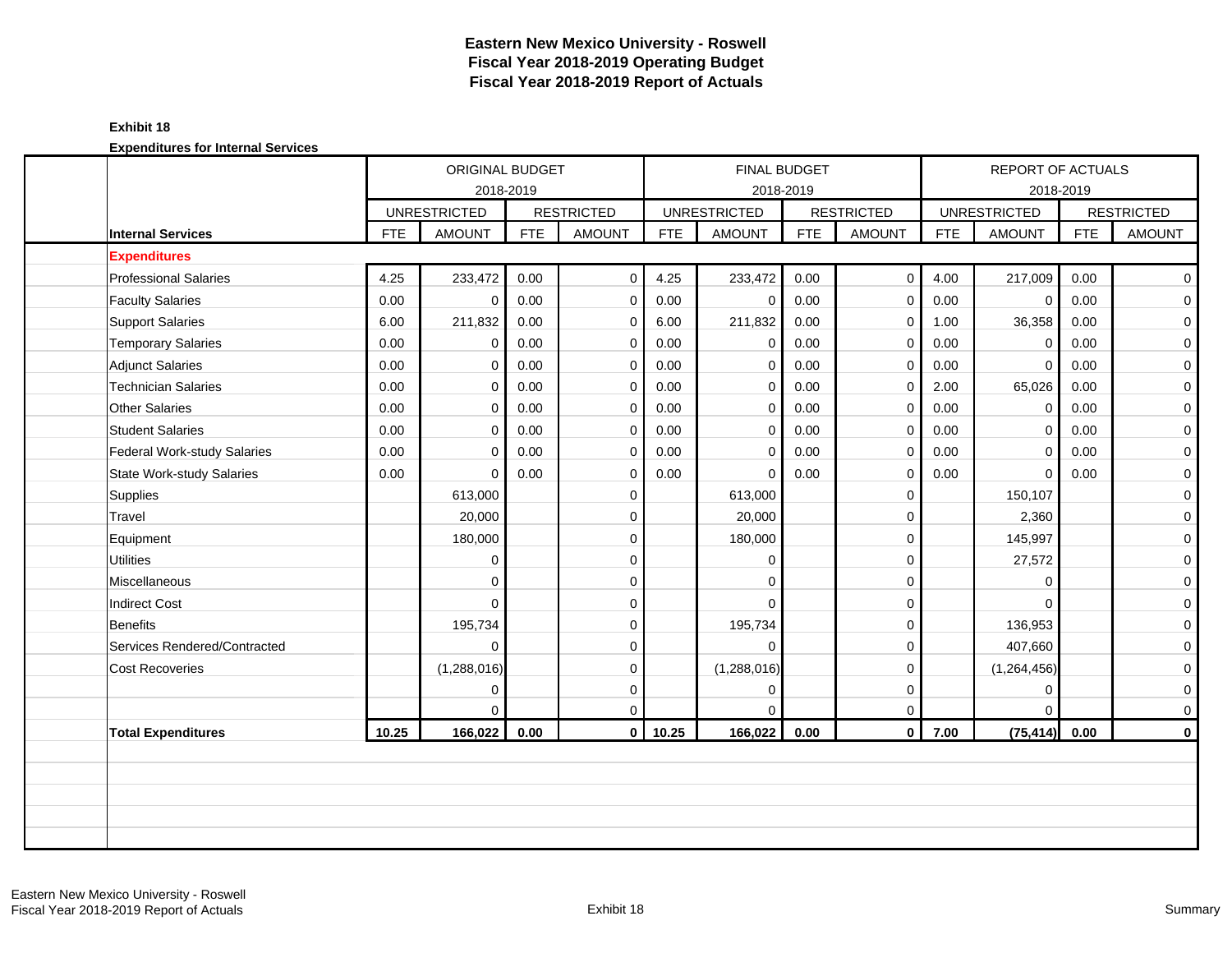#### **Exhibit 18**

|                                  |            | ORIGINAL BUDGET<br>2018-2019 |            |                   |            | FINAL BUDGET<br>2018-2019 |            |                   |            | <b>REPORT OF ACTUALS</b> | 2018-2019  |                     |
|----------------------------------|------------|------------------------------|------------|-------------------|------------|---------------------------|------------|-------------------|------------|--------------------------|------------|---------------------|
|                                  |            | <b>UNRESTRICTED</b>          |            | <b>RESTRICTED</b> |            | <b>UNRESTRICTED</b>       |            | <b>RESTRICTED</b> |            | <b>UNRESTRICTED</b>      |            | <b>RESTRICTED</b>   |
| <b>Internal Services</b>         | <b>FTE</b> | <b>AMOUNT</b>                | <b>FTE</b> | <b>AMOUNT</b>     | <b>FTE</b> | <b>AMOUNT</b>             | <b>FTE</b> | <b>AMOUNT</b>     | <b>FTE</b> | <b>AMOUNT</b>            | <b>FTE</b> | <b>AMOUNT</b>       |
| <b>Expenditures</b>              |            |                              |            |                   |            |                           |            |                   |            |                          |            |                     |
| <b>Professional Salaries</b>     | 4.25       | 233,472                      | 0.00       | $\mathbf 0$       | 4.25       | 233,472                   | 0.00       | $\mathbf 0$       | 4.00       | 217,009                  | 0.00       | $\overline{0}$      |
| <b>Faculty Salaries</b>          | 0.00       | $\overline{0}$               | 0.00       | $\mathbf 0$       | 0.00       | $\mathbf 0$               | 0.00       | $\mathbf 0$       | 0.00       | $\mathbf 0$              | 0.00       | $\mathbf 0$         |
| <b>Support Salaries</b>          | 6.00       | 211,832                      | 0.00       | $\mathbf 0$       | 6.00       | 211,832                   | 0.00       | 0                 | 1.00       | 36,358                   | 0.00       | $\overline{0}$      |
| <b>Temporary Salaries</b>        | 0.00       | $\mathbf 0$                  | 0.00       | $\mathbf 0$       | 0.00       | $\mathbf 0$               | 0.00       | $\mathbf 0$       | 0.00       | $\Omega$                 | 0.00       | $\mathbf 0$         |
| <b>Adjunct Salaries</b>          | 0.00       | $\mathbf 0$                  | 0.00       | $\mathbf 0$       | 0.00       | $\mathbf 0$               | 0.00       | $\mathbf 0$       | 0.00       | $\Omega$                 | 0.00       | $\mathbf 0$         |
| <b>Technician Salaries</b>       | 0.00       | $\mathbf 0$                  | 0.00       | $\mathbf 0$       | 0.00       | $\mathbf 0$               | 0.00       | $\mathbf 0$       | 2.00       | 65,026                   | 0.00       | 0                   |
| <b>Other Salaries</b>            | 0.00       | $\Omega$                     | 0.00       | $\mathbf 0$       | 0.00       | $\mathbf 0$               | 0.00       | $\mathbf 0$       | 0.00       | $\mathbf 0$              | 0.00       | $\mathbf 0$         |
| <b>Student Salaries</b>          | 0.00       | $\mathbf 0$                  | 0.00       | $\mathbf 0$       | 0.00       | $\mathbf 0$               | 0.00       | $\mathbf 0$       | 0.00       | $\mathbf 0$              | 0.00       | $\mathbf 0$         |
| Federal Work-study Salaries      | 0.00       | $\Omega$                     | 0.00       | $\mathbf 0$       | 0.00       | $\Omega$                  | 0.00       | $\mathbf 0$       | 0.00       | $\Omega$                 | 0.00       | $\mathbf 0$         |
| <b>State Work-study Salaries</b> | 0.00       | $\Omega$                     | 0.00       | $\mathbf 0$       | 0.00       | $\Omega$                  | 0.00       | $\mathbf 0$       | 0.00       | $\Omega$                 | 0.00       | $\mathbf 0$         |
| Supplies                         |            | 613,000                      |            | $\mathbf 0$       |            | 613,000                   |            | $\mathbf 0$       |            | 150,107                  |            | $\mathbf 0$         |
| Travel                           |            | 20,000                       |            | $\mathbf 0$       |            | 20,000                    |            | $\mathbf 0$       |            | 2,360                    |            | $\mathsf{O}\xspace$ |
| Equipment                        |            | 180,000                      |            | $\mathbf{0}$      |            | 180,000                   |            | $\mathbf 0$       |            | 145,997                  |            | $\mathbf 0$         |
| <b>Utilities</b>                 |            | $\mathbf 0$                  |            | $\Omega$          |            | $\Omega$                  |            | $\mathbf 0$       |            | 27,572                   |            | $\mathbf 0$         |
| Miscellaneous                    |            | $\mathbf 0$                  |            | $\mathbf 0$       |            | $\Omega$                  |            | $\mathbf 0$       |            | $\Omega$                 |            | $\mathbf 0$         |
| <b>Indirect Cost</b>             |            | $\Omega$                     |            | $\mathbf 0$       |            | $\Omega$                  |            | $\mathbf 0$       |            | $\Omega$                 |            | $\mathsf{O}\xspace$ |
| <b>Benefits</b>                  |            | 195,734                      |            | $\mathbf 0$       |            | 195,734                   |            | 0                 |            | 136,953                  |            | 0                   |
| Services Rendered/Contracted     |            | $\Omega$                     |            | $\Omega$          |            | $\Omega$                  |            | $\mathbf 0$       |            | 407,660                  |            | $\mathbf 0$         |
| <b>Cost Recoveries</b>           |            | (1,288,016)                  |            | $\mathbf 0$       |            | (1,288,016)               |            | $\mathbf 0$       |            | (1,264,456)              |            | $\mathbf 0$         |
|                                  |            | $\mathbf 0$                  |            | $\mathbf 0$       |            | 0                         |            | $\mathbf 0$       |            | $\mathbf 0$              |            | $\mathbf 0$         |
|                                  |            | $\Omega$                     |            | $\mathbf 0$       |            | $\Omega$                  |            | $\mathbf 0$       |            | $\Omega$                 |            | 0                   |
| <b>Total Expenditures</b>        | 10.25      | 166,022                      | 0.00       | $\mathbf{0}$      | 10.25      | 166,022                   | 0.00       | $\mathbf 0$       | 7.00       | (75, 414)                | 0.00       | $\mathbf 0$         |
|                                  |            |                              |            |                   |            |                           |            |                   |            |                          |            |                     |
|                                  |            |                              |            |                   |            |                           |            |                   |            |                          |            |                     |
|                                  |            |                              |            |                   |            |                           |            |                   |            |                          |            |                     |
|                                  |            |                              |            |                   |            |                           |            |                   |            |                          |            |                     |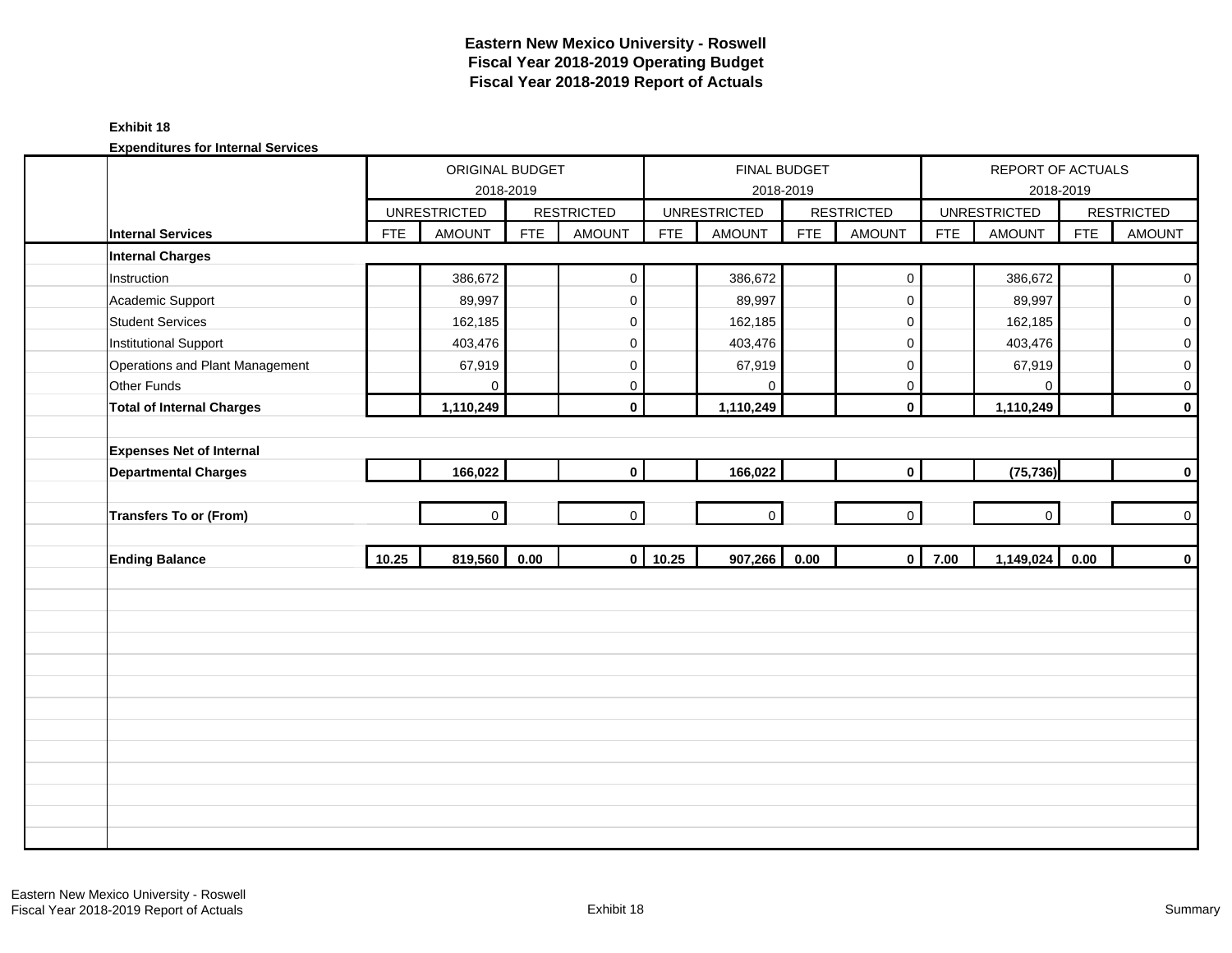#### **Exhibit 18**

|                                  |            | ORIGINAL BUDGET     |            |                   |            |                     | FINAL BUDGET |                     |            | REPORT OF ACTUALS   |            |                   |
|----------------------------------|------------|---------------------|------------|-------------------|------------|---------------------|--------------|---------------------|------------|---------------------|------------|-------------------|
|                                  |            |                     | 2018-2019  |                   |            |                     | 2018-2019    |                     |            |                     | 2018-2019  |                   |
|                                  |            | <b>UNRESTRICTED</b> |            | <b>RESTRICTED</b> |            | <b>UNRESTRICTED</b> |              | <b>RESTRICTED</b>   |            | <b>UNRESTRICTED</b> |            | <b>RESTRICTED</b> |
| <b>Internal Services</b>         | <b>FTE</b> | AMOUNT              | <b>FTE</b> | <b>AMOUNT</b>     | <b>FTE</b> | <b>AMOUNT</b>       | <b>FTE</b>   | <b>AMOUNT</b>       | <b>FTE</b> | <b>AMOUNT</b>       | <b>FTE</b> | <b>AMOUNT</b>     |
| <b>Internal Charges</b>          |            |                     |            |                   |            |                     |              |                     |            |                     |            |                   |
| Instruction                      |            | 386,672             |            | $\mathbf 0$       |            | 386,672             |              | $\mathsf{O}\xspace$ |            | 386,672             |            | $\mathbf 0$       |
| Academic Support                 |            | 89,997              |            | $\mathbf 0$       |            | 89,997              |              | $\mathbf 0$         |            | 89,997              |            | $\overline{0}$    |
| <b>Student Services</b>          |            | 162,185             |            | $\mathbf 0$       |            | 162,185             |              | $\mathbf 0$         |            | 162,185             |            | $\overline{0}$    |
| <b>Institutional Support</b>     |            | 403,476             |            | 0                 |            | 403,476             |              | 0                   |            | 403,476             |            | $\mathbf{O}$      |
| Operations and Plant Management  |            | 67,919              |            | $\mathbf 0$       |            | 67,919              |              | $\mathsf{O}\xspace$ |            | 67,919              |            | $\overline{0}$    |
| Other Funds                      |            | 0                   |            | 0                 |            | $\Omega$            |              | $\mathbf 0$         |            | $\Omega$            |            | $\mathbf 0$       |
| <b>Total of Internal Charges</b> |            | 1,110,249           |            | $\mathbf 0$       |            | 1,110,249           |              | $\mathbf 0$         |            | 1,110,249           |            | $\mathbf{0}$      |
|                                  |            |                     |            |                   |            |                     |              |                     |            |                     |            |                   |
| <b>Expenses Net of Internal</b>  |            |                     |            |                   |            |                     |              |                     |            |                     |            |                   |
| <b>Departmental Charges</b>      |            | 166,022             |            | $\mathbf 0$       |            | 166,022             |              | $\mathbf{0}$        |            | (75, 736)           |            | $\mathbf{0}$      |
|                                  |            |                     |            |                   |            |                     |              |                     |            |                     |            |                   |
| <b>Transfers To or (From)</b>    |            | $\overline{0}$      |            | $\overline{0}$    |            | $\mathbf 0$         |              | $\overline{0}$      |            | $\mathbf 0$         |            | $\overline{0}$    |
|                                  |            |                     |            |                   |            |                     |              |                     |            |                     |            |                   |
| <b>Ending Balance</b>            | 10.25      | 819,560 0.00        |            |                   | $0$ 10.25  | 907,266             | 0.00         | $\mathbf{0}$        | 7.00       | 1,149,024           | 0.00       | $\mathbf{0}$      |
|                                  |            |                     |            |                   |            |                     |              |                     |            |                     |            |                   |
|                                  |            |                     |            |                   |            |                     |              |                     |            |                     |            |                   |
|                                  |            |                     |            |                   |            |                     |              |                     |            |                     |            |                   |
|                                  |            |                     |            |                   |            |                     |              |                     |            |                     |            |                   |
|                                  |            |                     |            |                   |            |                     |              |                     |            |                     |            |                   |
|                                  |            |                     |            |                   |            |                     |              |                     |            |                     |            |                   |
|                                  |            |                     |            |                   |            |                     |              |                     |            |                     |            |                   |
|                                  |            |                     |            |                   |            |                     |              |                     |            |                     |            |                   |
|                                  |            |                     |            |                   |            |                     |              |                     |            |                     |            |                   |
|                                  |            |                     |            |                   |            |                     |              |                     |            |                     |            |                   |
|                                  |            |                     |            |                   |            |                     |              |                     |            |                     |            |                   |
|                                  |            |                     |            |                   |            |                     |              |                     |            |                     |            |                   |
|                                  |            |                     |            |                   |            |                     |              |                     |            |                     |            |                   |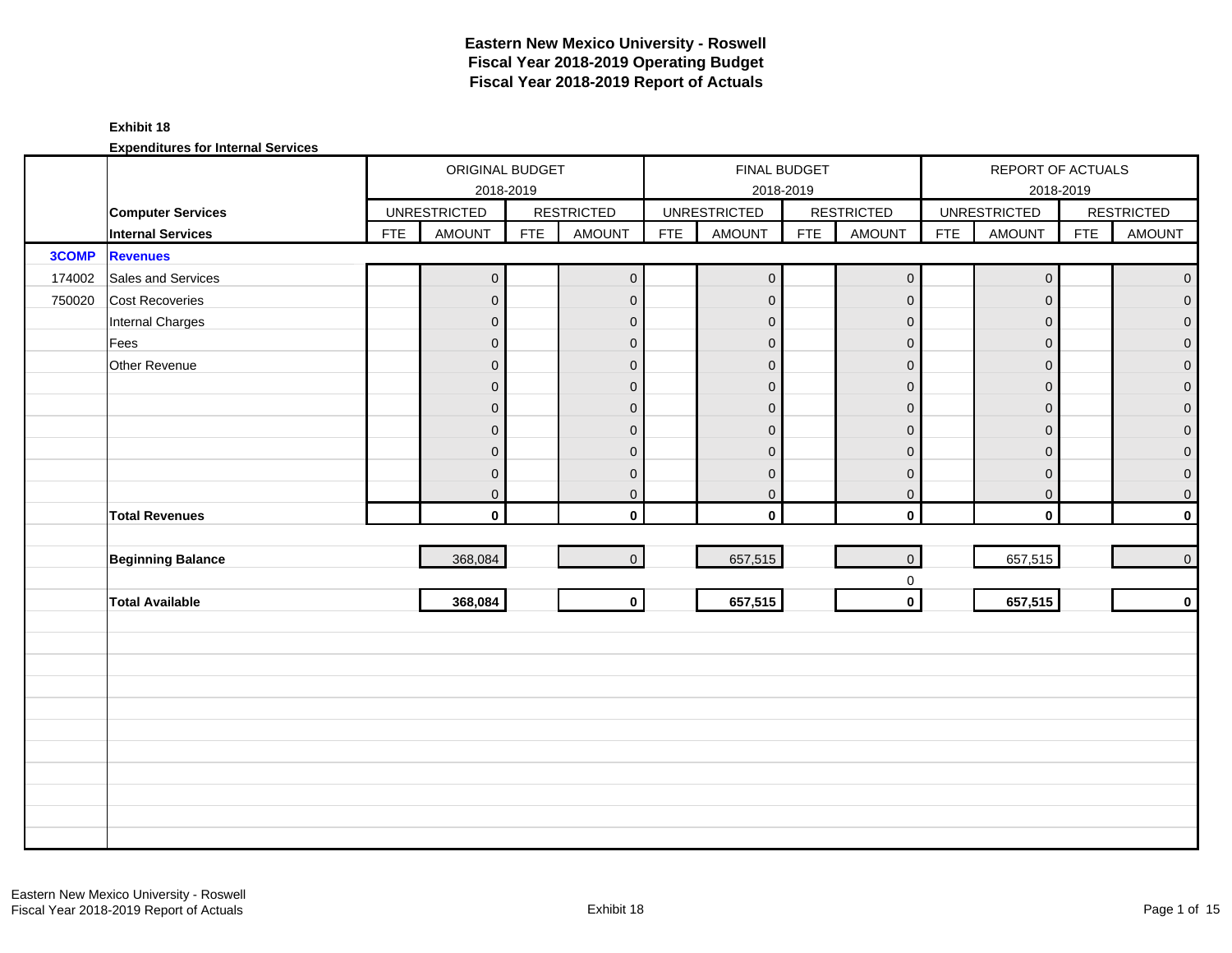#### **Exhibit 18**

|        |                          |            | ORIGINAL BUDGET     |            |                   |            | FINAL BUDGET        |            |                         |            | REPORT OF ACTUALS   |            |                   |
|--------|--------------------------|------------|---------------------|------------|-------------------|------------|---------------------|------------|-------------------------|------------|---------------------|------------|-------------------|
|        |                          |            |                     | 2018-2019  |                   |            |                     | 2018-2019  |                         |            |                     | 2018-2019  |                   |
|        | <b>Computer Services</b> |            | <b>UNRESTRICTED</b> |            | <b>RESTRICTED</b> |            | <b>UNRESTRICTED</b> |            | <b>RESTRICTED</b>       |            | <b>UNRESTRICTED</b> |            | <b>RESTRICTED</b> |
|        | <b>Internal Services</b> | <b>FTE</b> | <b>AMOUNT</b>       | <b>FTE</b> | <b>AMOUNT</b>     | <b>FTE</b> | AMOUNT              | <b>FTE</b> | <b>AMOUNT</b>           | <b>FTE</b> | AMOUNT              | <b>FTE</b> | AMOUNT            |
| 3COMP  | <b>Revenues</b>          |            |                     |            |                   |            |                     |            |                         |            |                     |            |                   |
| 174002 | Sales and Services       |            | $\pmb{0}$           |            | $\mathbf{0}$      |            | $\mathbf 0$         |            | $\mathsf{O}\xspace$     |            | $\mathbf 0$         |            | $\overline{0}$    |
| 750020 | Cost Recoveries          |            | $\mathbf 0$         |            | $\mathbf{0}$      |            | $\mathbf{0}$        |            | $\mathbf{O}$            |            | $\mathbf{0}$        |            | $\mathbf{0}$      |
|        | Internal Charges         |            | $\mathbf 0$         |            | $\mathbf 0$       |            | $\mathbf 0$         |            | $\mathbf 0$             |            | $\mathbf{0}$        |            | $\overline{0}$    |
|        | Fees                     |            | $\mathbf 0$         |            | $\mathbf 0$       |            | $\mathbf 0$         |            | $\mathbf 0$             |            | $\mathbf 0$         |            | $\overline{0}$    |
|        | Other Revenue            |            | $\boldsymbol{0}$    |            | $\mathbf{0}$      |            | $\mathbf 0$         |            | $\mathbf 0$             |            | $\mathbf{0}$        |            | $\overline{0}$    |
|        |                          |            | $\overline{0}$      |            | $\mathbf{0}$      |            | $\mathbf 0$         |            | $\mathbf 0$             |            | $\Omega$            |            | $\mathbf 0$       |
|        |                          |            | 0                   |            | $\mathbf{0}$      |            | $\Omega$            |            | $\mathbf 0$             |            | $\mathbf{0}$        |            | $\overline{0}$    |
|        |                          |            | $\mathbf 0$         |            | $\mathbf{0}$      |            | $\overline{0}$      |            | $\pmb{0}$               |            | $\mathbf{0}$        |            | $\overline{0}$    |
|        |                          |            | $\mathbf 0$         |            | $\mathbf{0}$      |            | $\mathbf{0}$        |            | $\pmb{0}$               |            | $\mathbf{0}$        |            | $\overline{0}$    |
|        |                          |            | $\mathbf 0$         |            | $\mathbf 0$       |            | $\mathbf 0$         |            | $\mathbf 0$             |            | $\mathbf 0$         |            | $\overline{0}$    |
|        |                          |            | 0                   |            | $\mathbf 0$       |            | $\mathbf 0$         |            | $\pmb{0}$               |            | 0                   |            | $\overline{0}$    |
|        | <b>Total Revenues</b>    |            | $\mathbf{0}$        |            | $\mathbf{0}$      |            | $\mathbf 0$         |            | $\mathbf 0$             |            | $\mathbf 0$         |            | $\mathbf{0}$      |
|        |                          |            |                     |            |                   |            |                     |            |                         |            |                     |            |                   |
|        | <b>Beginning Balance</b> |            | 368,084             |            | $\overline{0}$    |            | 657,515             |            | $\mathbf{0}$            |            | 657,515             |            | $\overline{0}$    |
|        |                          |            |                     |            |                   |            |                     |            | $\mathbf 0$             |            |                     |            |                   |
|        | <b>Total Available</b>   |            | 368,084             |            | 0                 |            | 657,515             |            | $\overline{\mathbf{0}}$ |            | 657,515             |            | $\mathbf 0$       |
|        |                          |            |                     |            |                   |            |                     |            |                         |            |                     |            |                   |
|        |                          |            |                     |            |                   |            |                     |            |                         |            |                     |            |                   |
|        |                          |            |                     |            |                   |            |                     |            |                         |            |                     |            |                   |
|        |                          |            |                     |            |                   |            |                     |            |                         |            |                     |            |                   |
|        |                          |            |                     |            |                   |            |                     |            |                         |            |                     |            |                   |
|        |                          |            |                     |            |                   |            |                     |            |                         |            |                     |            |                   |
|        |                          |            |                     |            |                   |            |                     |            |                         |            |                     |            |                   |
|        |                          |            |                     |            |                   |            |                     |            |                         |            |                     |            |                   |
|        |                          |            |                     |            |                   |            |                     |            |                         |            |                     |            |                   |
|        |                          |            |                     |            |                   |            |                     |            |                         |            |                     |            |                   |
|        |                          |            |                     |            |                   |            |                     |            |                         |            |                     |            |                   |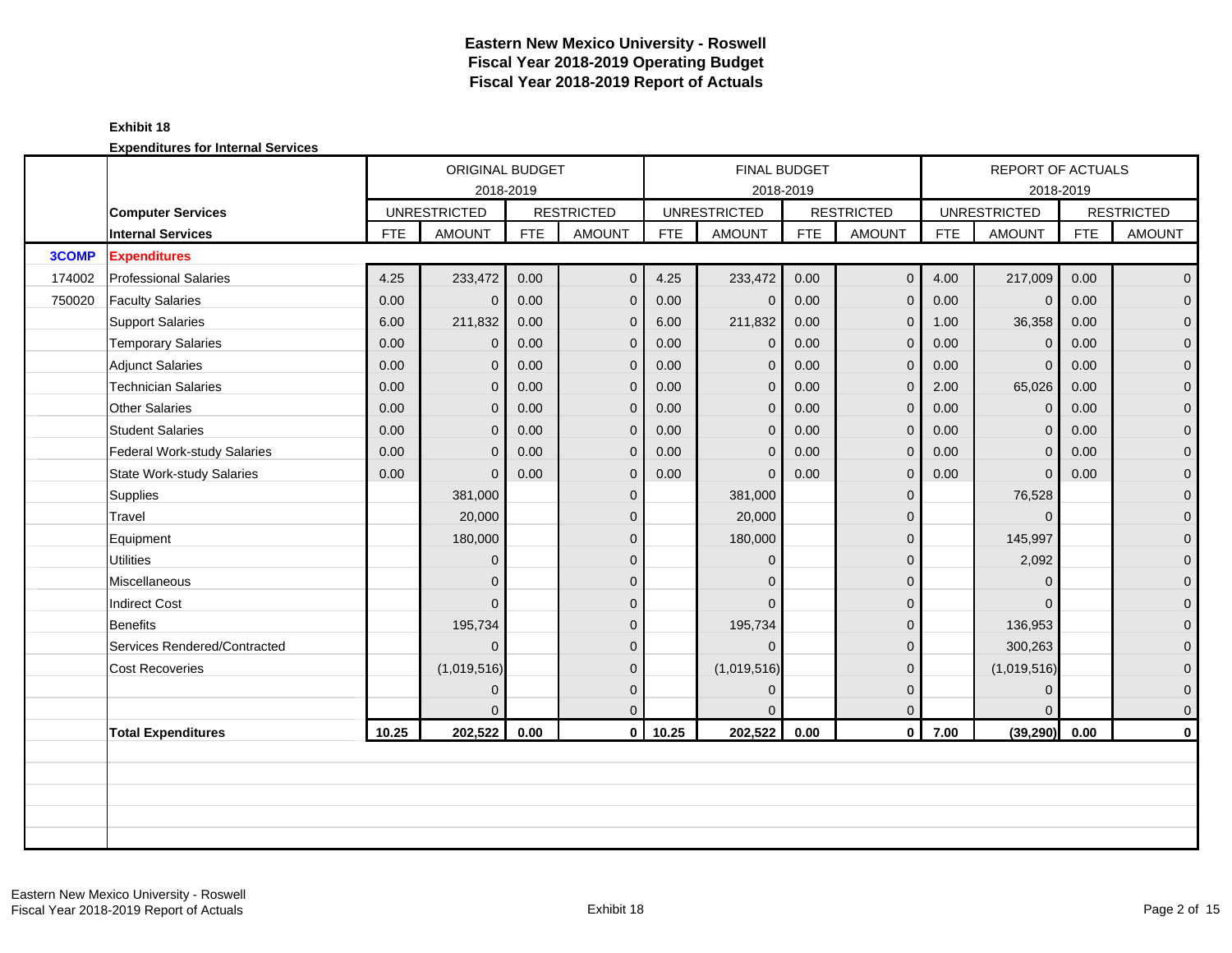#### **Exhibit 18**

|              |                                  |            | ORIGINAL BUDGET                  |            |                   |            | FINAL BUDGET                     |            |                   |            | <b>REPORT OF ACTUALS</b> |            |                   |
|--------------|----------------------------------|------------|----------------------------------|------------|-------------------|------------|----------------------------------|------------|-------------------|------------|--------------------------|------------|-------------------|
|              | <b>Computer Services</b>         |            | 2018-2019<br><b>UNRESTRICTED</b> |            | <b>RESTRICTED</b> |            | 2018-2019<br><b>UNRESTRICTED</b> |            | <b>RESTRICTED</b> |            | <b>UNRESTRICTED</b>      | 2018-2019  | <b>RESTRICTED</b> |
|              | <b>Internal Services</b>         | <b>FTE</b> | <b>AMOUNT</b>                    | <b>FTE</b> | <b>AMOUNT</b>     | <b>FTE</b> | <b>AMOUNT</b>                    | <b>FTE</b> | <b>AMOUNT</b>     | <b>FTE</b> | <b>AMOUNT</b>            | <b>FTE</b> | <b>AMOUNT</b>     |
| <b>3COMP</b> | <b>Expenditures</b>              |            |                                  |            |                   |            |                                  |            |                   |            |                          |            |                   |
| 174002       | <b>Professional Salaries</b>     | 4.25       | 233,472                          | 0.00       | $\mathbf{0}$      | 4.25       | 233,472                          | 0.00       | $\overline{0}$    | 4.00       | 217,009                  | 0.00       | $\overline{0}$    |
| 750020       | <b>Faculty Salaries</b>          | 0.00       | $\overline{0}$                   | 0.00       | $\mathbf 0$       | 0.00       | $\mathbf{0}$                     | 0.00       | $\mathbf{0}$      | 0.00       | $\mathbf 0$              | 0.00       | $\overline{0}$    |
|              | <b>Support Salaries</b>          | 6.00       | 211,832                          | 0.00       | $\mathbf{0}$      | 6.00       | 211,832                          | 0.00       | $\mathbf 0$       | 1.00       | 36,358                   | 0.00       | $\overline{0}$    |
|              | <b>Temporary Salaries</b>        | 0.00       | 0                                | 0.00       | $\mathbf{0}$      | 0.00       | $\mathbf 0$                      | 0.00       | $\mathbf{0}$      | 0.00       | $\mathbf 0$              | 0.00       | 0                 |
|              | <b>Adjunct Salaries</b>          | 0.00       | $\mathbf{0}$                     | 0.00       | $\mathbf{0}$      | 0.00       | $\mathbf{0}$                     | 0.00       | $\mathbf{0}$      | 0.00       | $\mathbf{0}$             | 0.00       | $\overline{0}$    |
|              | <b>Technician Salaries</b>       | 0.00       | 0                                | 0.00       | $\Omega$          | 0.00       | $\mathbf{0}$                     | 0.00       | $\mathbf{0}$      | 2.00       | 65,026                   | 0.00       | $\overline{0}$    |
|              | <b>Other Salaries</b>            | 0.00       | $\Omega$                         | 0.00       | $\mathbf{0}$      | 0.00       | $\mathbf{0}$                     | 0.00       | $\mathbf{0}$      | 0.00       | $\mathbf{0}$             | 0.00       | 0                 |
|              | <b>Student Salaries</b>          | 0.00       | $\overline{0}$                   | 0.00       | $\mathbf 0$       | 0.00       | $\mathbf{0}$                     | 0.00       | $\mathbf 0$       | 0.00       | $\mathbf{0}$             | 0.00       | 0                 |
|              | Federal Work-study Salaries      | 0.00       | $\Omega$                         | 0.00       | $\Omega$          | 0.00       | $\Omega$                         | 0.00       | $\mathbf{0}$      | 0.00       | $\mathbf{0}$             | 0.00       | $\overline{0}$    |
|              | <b>State Work-study Salaries</b> | 0.00       | $\Omega$                         | 0.00       | $\mathbf{0}$      | 0.00       | $\Omega$                         | 0.00       | $\mathbf{0}$      | 0.00       | $\mathbf{0}$             | 0.00       | $\overline{0}$    |
|              | Supplies                         |            | 381,000                          |            | $\mathbf{0}$      |            | 381,000                          |            | $\mathbf{0}$      |            | 76,528                   |            | $\mathbf 0$       |
|              | Travel                           |            | 20,000                           |            | $\Omega$          |            | 20,000                           |            | $\mathbf 0$       |            | $\Omega$                 |            | $\mathbf 0$       |
|              | Equipment                        |            | 180,000                          |            | $\mathbf{0}$      |            | 180,000                          |            | $\mathbf{0}$      |            | 145,997                  |            | $\mathbf 0$       |
|              | <b>Utilities</b>                 |            | $\overline{0}$                   |            | $\Omega$          |            | $\Omega$                         |            | $\mathbf{0}$      |            | 2,092                    |            | $\overline{0}$    |
|              | Miscellaneous                    |            | 0                                |            | $\Omega$          |            | $\Omega$                         |            | $\mathbf{0}$      |            | $\Omega$                 |            | $\mathbf 0$       |
|              | <b>Indirect Cost</b>             |            | $\Omega$                         |            | $\Omega$          |            | $\Omega$                         |            | $\mathbf{0}$      |            | $\Omega$                 |            | $\mathbf 0$       |
|              | <b>Benefits</b>                  |            | 195,734                          |            | $\Omega$          |            | 195,734                          |            | $\mathbf{0}$      |            | 136,953                  |            | $\mathbf{0}$      |
|              | Services Rendered/Contracted     |            | $\Omega$                         |            | $\Omega$          |            | $\Omega$                         |            | $\Omega$          |            | 300,263                  |            | 0                 |
|              | <b>Cost Recoveries</b>           |            | (1,019,516)                      |            | $\Omega$          |            | (1,019,516)                      |            | $\Omega$          |            | (1,019,516)              |            | $\overline{0}$    |
|              |                                  |            | $\Omega$                         |            | $\Omega$          |            | $\Omega$                         |            | $\mathbf{0}$      |            | $\overline{0}$           |            | $\mathbf 0$       |
|              |                                  |            |                                  |            | $\overline{0}$    |            |                                  |            | $\mathbf 0$       |            | $\Omega$                 |            | 0                 |
|              | <b>Total Expenditures</b>        | 10.25      | 202,522                          | 0.00       | $\mathbf{0}$      | 10.25      | 202,522                          | 0.00       | $\mathbf 0$       | 7.00       | (39, 290)                | 0.00       | $\mathbf 0$       |
|              |                                  |            |                                  |            |                   |            |                                  |            |                   |            |                          |            |                   |
|              |                                  |            |                                  |            |                   |            |                                  |            |                   |            |                          |            |                   |
|              |                                  |            |                                  |            |                   |            |                                  |            |                   |            |                          |            |                   |
|              |                                  |            |                                  |            |                   |            |                                  |            |                   |            |                          |            |                   |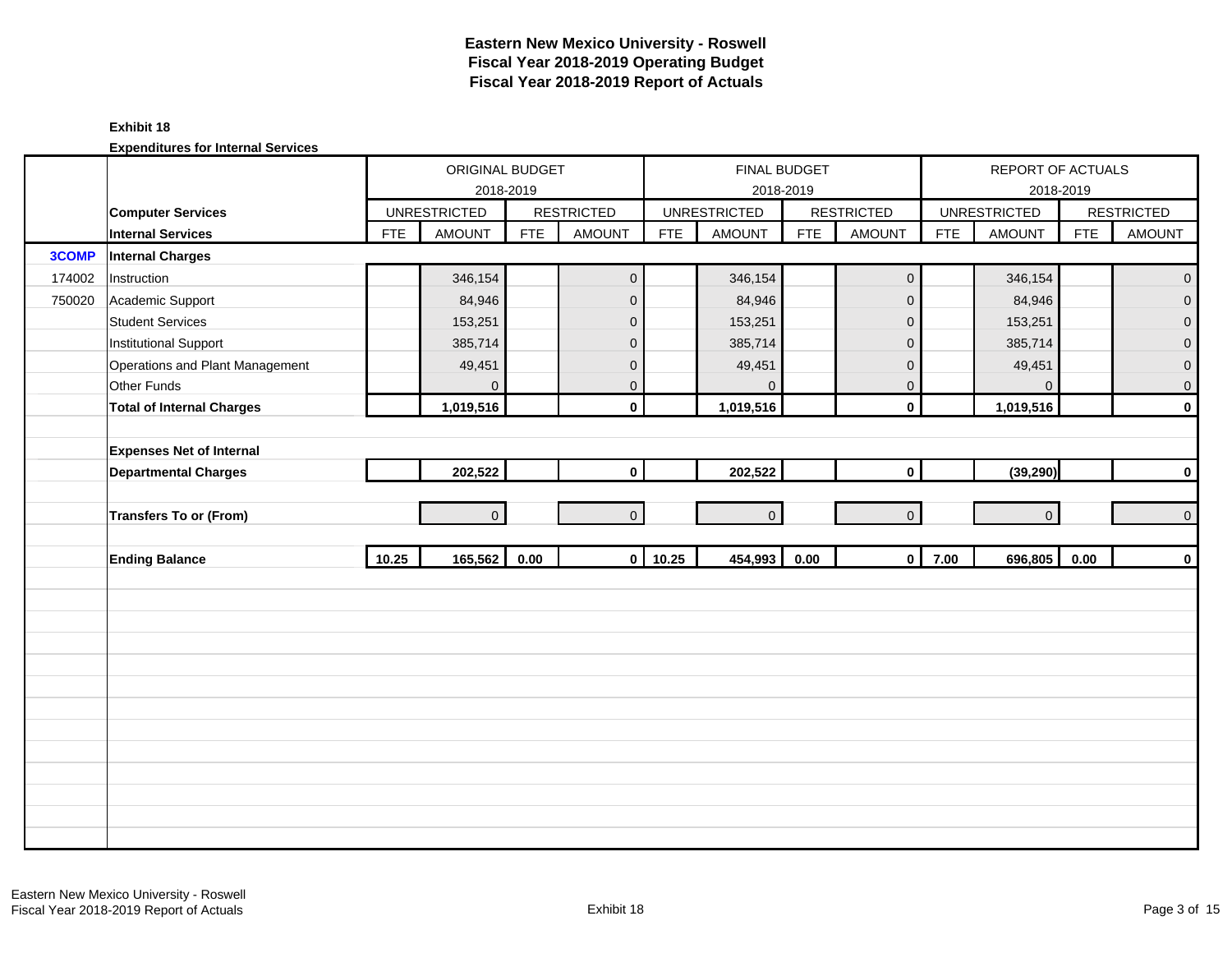#### **Exhibit 18**

|        |                                  |            | ORIGINAL BUDGET     | 2018-2019  |                         |            | FINAL BUDGET<br>2018-2019 |            |                     |            | REPORT OF ACTUALS<br>2018-2019 |            |                   |
|--------|----------------------------------|------------|---------------------|------------|-------------------------|------------|---------------------------|------------|---------------------|------------|--------------------------------|------------|-------------------|
|        | <b>Computer Services</b>         |            | <b>UNRESTRICTED</b> |            | <b>RESTRICTED</b>       |            | <b>UNRESTRICTED</b>       |            | <b>RESTRICTED</b>   |            | <b>UNRESTRICTED</b>            |            | <b>RESTRICTED</b> |
|        | Internal Services                | <b>FTE</b> | <b>AMOUNT</b>       | <b>FTE</b> | <b>AMOUNT</b>           | <b>FTE</b> | <b>AMOUNT</b>             | <b>FTE</b> | <b>AMOUNT</b>       | <b>FTE</b> | <b>AMOUNT</b>                  | <b>FTE</b> | <b>AMOUNT</b>     |
| 3COMP  | <b>Internal Charges</b>          |            |                     |            |                         |            |                           |            |                     |            |                                |            |                   |
| 174002 | Instruction                      |            | 346,154             |            | $\mathbf 0$             |            | 346,154                   |            | $\mathsf{O}\xspace$ |            | 346,154                        |            | $\mathbf 0$       |
| 750020 | Academic Support                 |            | 84,946              |            | $\mathbf 0$             |            | 84,946                    |            | $\mathbf 0$         |            | 84,946                         |            | $\overline{0}$    |
|        | <b>Student Services</b>          |            | 153,251             |            | $\mathbf{0}$            |            | 153,251                   |            | $\mathbf 0$         |            | 153,251                        |            | $\mathbf 0$       |
|        | <b>Institutional Support</b>     |            | 385,714             |            | $\mathbf 0$             |            | 385,714                   |            | $\mathbf 0$         |            | 385,714                        |            | $\overline{0}$    |
|        | Operations and Plant Management  |            | 49,451              |            | $\mathbf 0$             |            | 49,451                    |            | $\mathbf 0$         |            | 49,451                         |            | $\pmb{0}$         |
|        | Other Funds                      |            | 0                   |            | $\mathbf{0}$            |            | $\Omega$                  |            | $\mathbf 0$         |            | $\overline{0}$                 |            | $\mathbf 0$       |
|        | <b>Total of Internal Charges</b> |            | 1,019,516           |            | $\mathbf 0$             |            | 1,019,516                 |            | $\mathbf 0$         |            | 1,019,516                      |            | $\pmb{0}$         |
|        |                                  |            |                     |            |                         |            |                           |            |                     |            |                                |            |                   |
|        | <b>Expenses Net of Internal</b>  |            |                     |            |                         |            |                           |            |                     |            |                                |            |                   |
|        | <b>Departmental Charges</b>      |            | 202,522             |            | $\mathbf{0}$            |            | 202,522                   |            | $\mathbf 0$         |            | (39, 290)                      |            | $\pmb{0}$         |
|        |                                  |            |                     |            |                         |            |                           |            |                     |            |                                |            |                   |
|        | <b>Transfers To or (From)</b>    |            | $\Omega$            |            | $\Omega$                |            | $\Omega$                  |            | $\overline{0}$      |            | $\overline{0}$                 |            | $\pmb{0}$         |
|        |                                  |            |                     |            |                         |            |                           |            |                     |            |                                |            |                   |
|        | <b>Ending Balance</b>            | 10.25      | 165,562             | 0.00       | $\overline{\mathbf{0}}$ | 10.25      | 454,993                   | 0.00       | $\mathbf 0$         | 7.00       | 696,805                        | 0.00       | $\mathbf 0$       |
|        |                                  |            |                     |            |                         |            |                           |            |                     |            |                                |            |                   |
|        |                                  |            |                     |            |                         |            |                           |            |                     |            |                                |            |                   |
|        |                                  |            |                     |            |                         |            |                           |            |                     |            |                                |            |                   |
|        |                                  |            |                     |            |                         |            |                           |            |                     |            |                                |            |                   |
|        |                                  |            |                     |            |                         |            |                           |            |                     |            |                                |            |                   |
|        |                                  |            |                     |            |                         |            |                           |            |                     |            |                                |            |                   |
|        |                                  |            |                     |            |                         |            |                           |            |                     |            |                                |            |                   |
|        |                                  |            |                     |            |                         |            |                           |            |                     |            |                                |            |                   |
|        |                                  |            |                     |            |                         |            |                           |            |                     |            |                                |            |                   |
|        |                                  |            |                     |            |                         |            |                           |            |                     |            |                                |            |                   |
|        |                                  |            |                     |            |                         |            |                           |            |                     |            |                                |            |                   |
|        |                                  |            |                     |            |                         |            |                           |            |                     |            |                                |            |                   |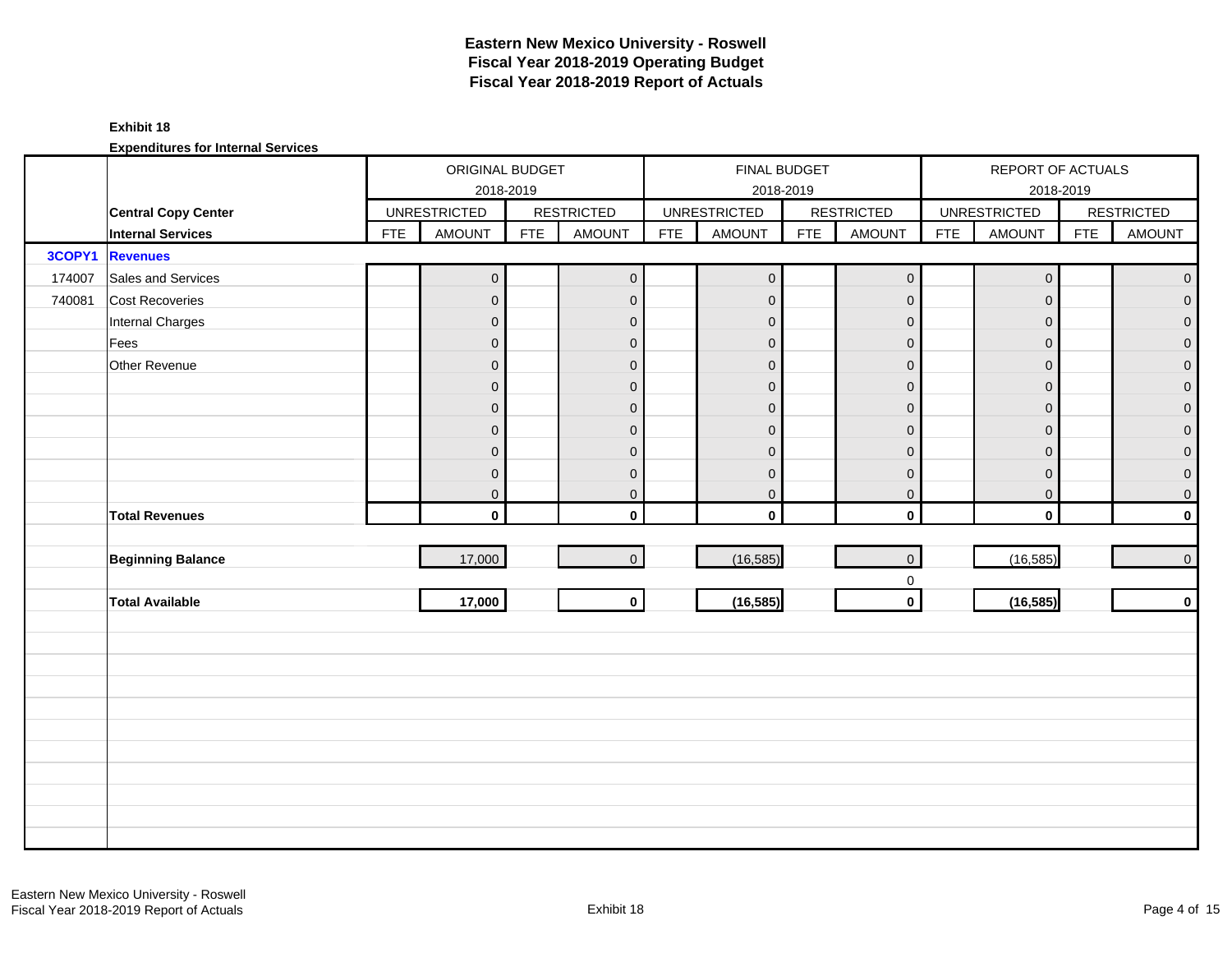#### **Exhibit 18**

|        |                            |            | ORIGINAL BUDGET     | 2018-2019  |                   |            | FINAL BUDGET<br>2018-2019 |            |                     |            | REPORT OF ACTUALS<br>2018-2019 |            |                   |
|--------|----------------------------|------------|---------------------|------------|-------------------|------------|---------------------------|------------|---------------------|------------|--------------------------------|------------|-------------------|
|        | <b>Central Copy Center</b> |            | <b>UNRESTRICTED</b> |            | <b>RESTRICTED</b> |            | <b>UNRESTRICTED</b>       |            | <b>RESTRICTED</b>   |            | <b>UNRESTRICTED</b>            |            | <b>RESTRICTED</b> |
|        | <b>Internal Services</b>   | <b>FTE</b> | <b>AMOUNT</b>       | <b>FTE</b> | <b>AMOUNT</b>     | <b>FTE</b> | <b>AMOUNT</b>             | <b>FTE</b> | <b>AMOUNT</b>       | <b>FTE</b> | <b>AMOUNT</b>                  | <b>FTE</b> | <b>AMOUNT</b>     |
| 3COPY1 | <b>Revenues</b>            |            |                     |            |                   |            |                           |            |                     |            |                                |            |                   |
| 174007 | Sales and Services         |            | $\overline{0}$      |            | $\mathbf{O}$      |            | $\pmb{0}$                 |            | $\mathbf 0$         |            | $\boldsymbol{0}$               |            | $\overline{0}$    |
| 740081 | Cost Recoveries            |            | $\mathbf 0$         |            | $\mathbf{0}$      |            | $\mathbf 0$               |            | $\mathbf 0$         |            | $\mathbf{0}$                   |            | $\overline{0}$    |
|        | Internal Charges           |            | $\overline{0}$      |            | $\mathbf{0}$      |            | $\mathbf{0}$              |            | $\mathbf{0}$        |            | $\mathbf{0}$                   |            | $\overline{0}$    |
|        | Fees                       |            | $\pmb{0}$           |            | $\mathbf{0}$      |            | $\overline{0}$            |            | $\mathbf 0$         |            | $\mathbf{0}$                   |            | $\overline{0}$    |
|        | Other Revenue              |            | $\mathsf{O}\xspace$ |            | $\mathbf{0}$      |            | $\overline{0}$            |            | $\mathbf 0$         |            | $\Omega$                       |            | $\overline{0}$    |
|        |                            |            | $\mathbf 0$         |            | $\mathbf{0}$      |            | $\mathbf{0}$              |            | $\mathbf{0}$        |            | $\Omega$                       |            | $\overline{0}$    |
|        |                            |            | $\pmb{0}$           |            | $\mathbf 0$       |            | $\mathbf{0}$              |            | $\mathbf 0$         |            | $\mathbf{0}$                   |            | $\overline{0}$    |
|        |                            |            | $\boldsymbol{0}$    |            | $\mathbf 0$       |            | $\mathbf{0}$              |            | $\mathbf 0$         |            | $\mathbf{0}$                   |            | $\overline{0}$    |
|        |                            |            | $\boldsymbol{0}$    |            | $\mathbf 0$       |            | $\mathbf 0$               |            | $\mathsf{O}\xspace$ |            | $\mathbf{0}$                   |            | $\overline{0}$    |
|        |                            |            | $\mathbf 0$         |            | $\mathbf 0$       |            | $\mathbf 0$               |            | $\mathsf{O}\xspace$ |            | $\mathbf 0$                    |            | $\overline{0}$    |
|        |                            |            | $\mathbf 0$         |            | $\mathbf{0}$      |            | $\pmb{0}$                 |            | $\mathbf 0$         |            | $\boldsymbol{0}$               |            | $\overline{0}$    |
|        | <b>Total Revenues</b>      |            | $\mathbf{0}$        |            | $\mathbf{0}$      |            | $\mathbf 0$               |            | $\mathbf{0}$        |            | $\mathbf{0}$                   |            | $\mathbf{0}$      |
|        |                            |            |                     |            |                   |            |                           |            |                     |            |                                |            |                   |
|        | <b>Beginning Balance</b>   |            | 17,000              |            | $\overline{0}$    |            | (16, 585)                 |            | $\mathsf{O}\xspace$ |            | (16, 585)                      |            | $\overline{0}$    |
|        |                            |            |                     |            |                   |            |                           |            | $\mathbf 0$         |            |                                |            |                   |
|        | <b>Total Available</b>     |            | 17,000              |            | $\circ$           |            | (16, 585)                 |            | $\mathbf 0$         |            | (16, 585)                      |            | $\mathbf{0}$      |
|        |                            |            |                     |            |                   |            |                           |            |                     |            |                                |            |                   |
|        |                            |            |                     |            |                   |            |                           |            |                     |            |                                |            |                   |
|        |                            |            |                     |            |                   |            |                           |            |                     |            |                                |            |                   |
|        |                            |            |                     |            |                   |            |                           |            |                     |            |                                |            |                   |
|        |                            |            |                     |            |                   |            |                           |            |                     |            |                                |            |                   |
|        |                            |            |                     |            |                   |            |                           |            |                     |            |                                |            |                   |
|        |                            |            |                     |            |                   |            |                           |            |                     |            |                                |            |                   |
|        |                            |            |                     |            |                   |            |                           |            |                     |            |                                |            |                   |
|        |                            |            |                     |            |                   |            |                           |            |                     |            |                                |            |                   |
|        |                            |            |                     |            |                   |            |                           |            |                     |            |                                |            |                   |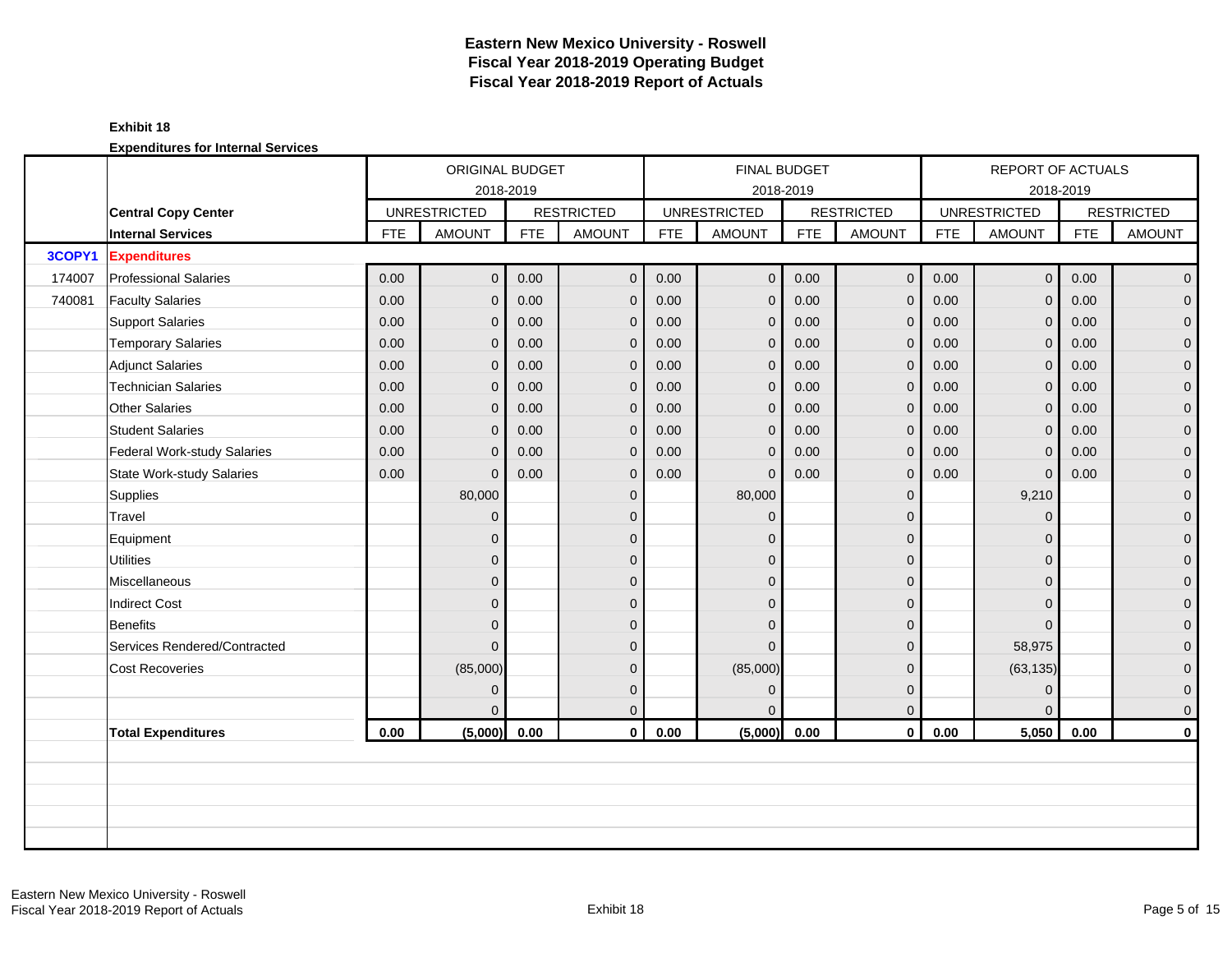|        |                              |            | ORIGINAL BUDGET     |            |                   |            | <b>FINAL BUDGET</b> |            |                   |            | <b>REPORT OF ACTUALS</b> |            |                   |
|--------|------------------------------|------------|---------------------|------------|-------------------|------------|---------------------|------------|-------------------|------------|--------------------------|------------|-------------------|
|        |                              |            | 2018-2019           |            |                   |            | 2018-2019           |            |                   |            |                          | 2018-2019  |                   |
|        | <b>Central Copy Center</b>   |            | <b>UNRESTRICTED</b> |            | <b>RESTRICTED</b> |            | <b>UNRESTRICTED</b> |            | <b>RESTRICTED</b> |            | <b>UNRESTRICTED</b>      |            | <b>RESTRICTED</b> |
|        | <b>Internal Services</b>     | <b>FTE</b> | <b>AMOUNT</b>       | <b>FTE</b> | <b>AMOUNT</b>     | <b>FTE</b> | <b>AMOUNT</b>       | <b>FTE</b> | <b>AMOUNT</b>     | <b>FTE</b> | <b>AMOUNT</b>            | <b>FTE</b> | <b>AMOUNT</b>     |
| 3COPY1 | <b>Expenditures</b>          |            |                     |            |                   |            |                     |            |                   |            |                          |            |                   |
| 174007 | <b>Professional Salaries</b> | 0.00       | $\overline{O}$      | 0.00       | $\mathbf 0$       | 0.00       | $\pmb{0}$           | 0.00       | $\mathbf 0$       | 0.00       | 0 <sup>1</sup>           | 0.00       | $\overline{0}$    |
| 740081 | <b>Faculty Salaries</b>      | 0.00       | $\overline{0}$      | 0.00       | $\mathbf 0$       | 0.00       | $\mathbf 0$         | 0.00       | $\mathbf{0}$      | 0.00       | $\mathbf{0}$             | 0.00       | $\mathbf{0}$      |
|        | <b>Support Salaries</b>      | 0.00       | $\overline{0}$      | 0.00       | $\overline{0}$    | 0.00       | $\mathbf{0}$        | 0.00       | $\mathbf{0}$      | 0.00       | $\mathbf{0}$             | 0.00       | $\overline{0}$    |
|        | <b>Temporary Salaries</b>    | 0.00       | $\overline{0}$      | 0.00       | $\overline{0}$    | 0.00       | $\mathbf{0}$        | 0.00       | $\mathbf{0}$      | 0.00       | $\overline{0}$           | 0.00       | $\mathbf 0$       |
|        | <b>Adjunct Salaries</b>      | 0.00       | $\overline{0}$      | 0.00       | $\mathbf 0$       | 0.00       | $\mathbf{0}$        | 0.00       | $\mathbf 0$       | 0.00       | $\mathbf{0}$             | 0.00       | $\mathbf 0$       |
|        | <b>Technician Salaries</b>   | 0.00       | $\Omega$            | 0.00       | $\mathbf{0}$      | 0.00       | $\mathbf{0}$        | 0.00       | $\mathbf{0}$      | 0.00       | $\overline{0}$           | 0.00       | $\mathbf{0}$      |
|        | Other Salaries               | 0.00       | $\Omega$            | 0.00       | $\overline{0}$    | 0.00       | $\mathbf{0}$        | 0.00       | $\mathbf{0}$      | 0.00       | $\overline{0}$           | 0.00       | 0                 |
|        | <b>Student Salaries</b>      | 0.00       | $\overline{0}$      | 0.00       | $\mathbf 0$       | 0.00       | $\mathbf{0}$        | 0.00       | $\mathbf{0}$      | 0.00       | $\mathbf{0}$             | 0.00       | $\overline{0}$    |
|        | Federal Work-study Salaries  | 0.00       | $\overline{0}$      | 0.00       | $\mathbf 0$       | 0.00       | $\mathbf 0$         | 0.00       | $\mathbf 0$       | 0.00       | $\mathbf 0$              | 0.00       | $\mathbf 0$       |
|        | State Work-study Salaries    | 0.00       | $\Omega$            | 0.00       | $\mathbf{0}$      | 0.00       | $\Omega$            | 0.00       | $\mathbf{0}$      | 0.00       | $\mathbf{0}$             | 0.00       | $\mathbf 0$       |
|        | Supplies                     |            | 80,000              |            | $\mathbf{0}$      |            | 80,000              |            | $\mathbf{0}$      |            | 9,210                    |            | $\mathbf 0$       |
|        | Travel                       |            | $\overline{0}$      |            | $\mathbf{0}$      |            | $\mathbf{0}$        |            | $\mathbf 0$       |            | $\mathbf{0}$             |            | $\mathbf 0$       |
|        | Equipment                    |            | $\overline{0}$      |            | $\Omega$          |            | $\Omega$            |            | $\mathbf{0}$      |            | $\Omega$                 |            | $\mathbf 0$       |
|        | <b>Utilities</b>             |            | $\overline{0}$      |            | $\mathbf{0}$      |            | $\Omega$            |            | $\mathbf{0}$      |            | $\Omega$                 |            | $\overline{0}$    |
|        | Miscellaneous                |            | $\overline{0}$      |            | $\mathbf{0}$      |            | $\Omega$            |            | $\mathbf{0}$      |            | $\Omega$                 |            | $\mathbf 0$       |
|        | <b>Indirect Cost</b>         |            | $\overline{0}$      |            | $\mathbf 0$       |            | $\Omega$            |            | $\mathbf{0}$      |            | $\Omega$                 |            | $\mathbf 0$       |
|        | Benefits                     |            | $\overline{0}$      |            | $\Omega$          |            | $\Omega$            |            | $\Omega$          |            | $\Omega$                 |            | $\overline{0}$    |
|        | Services Rendered/Contracted |            | $\overline{0}$      |            | $\Omega$          |            | $\Omega$            |            | $\mathbf{0}$      |            | 58,975                   |            | 0                 |
|        | <b>Cost Recoveries</b>       |            | (85,000)            |            | $\mathbf{0}$      |            | (85,000)            |            | $\mathbf 0$       |            | (63, 135)                |            | 0                 |
|        |                              |            | $\overline{0}$      |            | $\mathbf{0}$      |            | $\mathbf{0}$        |            | $\mathbf{0}$      |            | $\mathbf 0$              |            | $\mathbf 0$       |
|        |                              |            | 0                   |            | $\mathbf{0}$      |            | $\Omega$            |            | $\overline{0}$    |            | $\Omega$                 |            | $\mathbf 0$       |
|        | <b>Total Expenditures</b>    | 0.00       | (5,000)             | 0.00       | $\mathbf{0}$      | 0.00       | (5,000)             | 0.00       | $\mathbf 0$       | 0.00       | 5,050                    | 0.00       | $\mathbf 0$       |
|        |                              |            |                     |            |                   |            |                     |            |                   |            |                          |            |                   |
|        |                              |            |                     |            |                   |            |                     |            |                   |            |                          |            |                   |
|        |                              |            |                     |            |                   |            |                     |            |                   |            |                          |            |                   |
|        |                              |            |                     |            |                   |            |                     |            |                   |            |                          |            |                   |
|        |                              |            |                     |            |                   |            |                     |            |                   |            |                          |            |                   |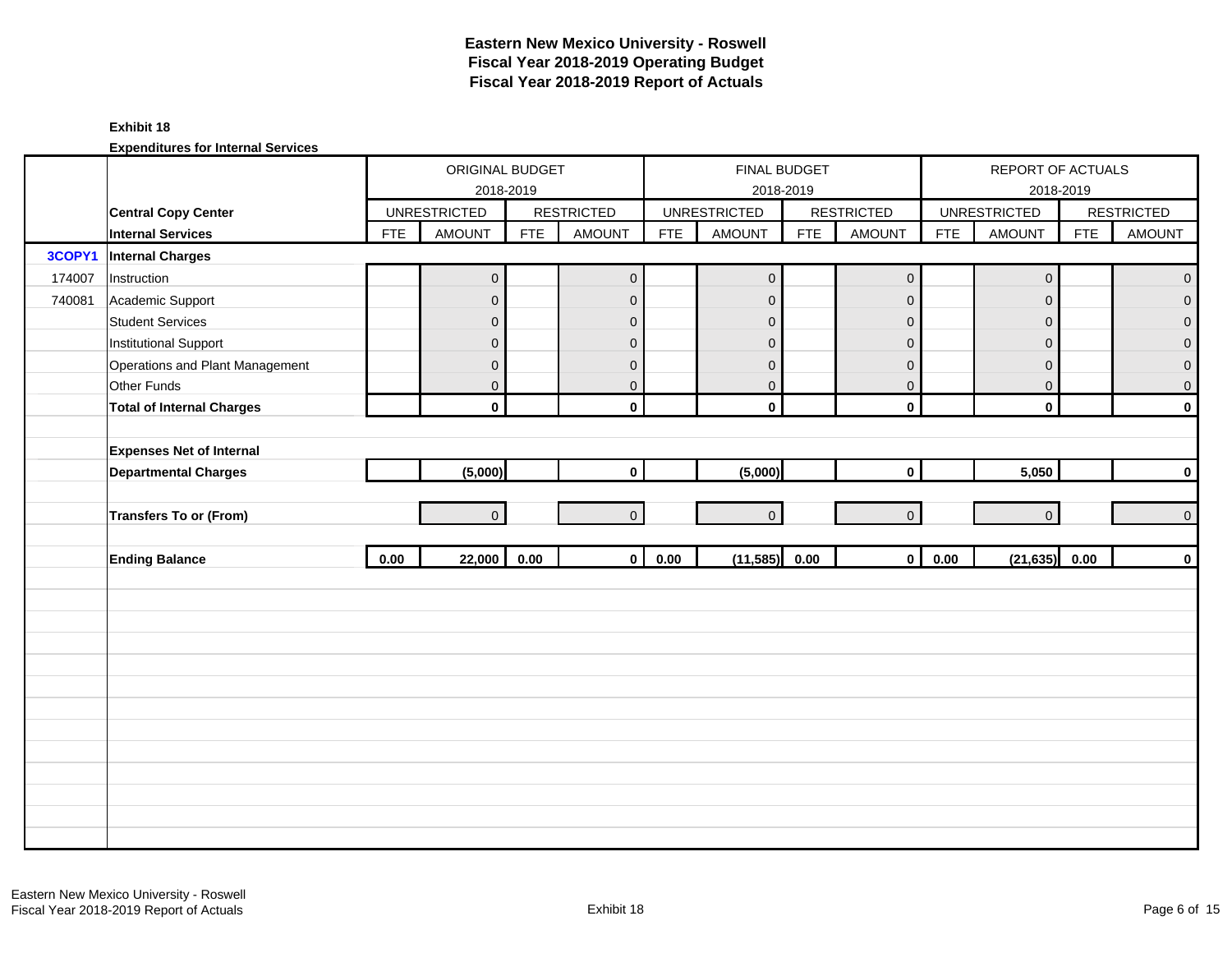#### **Exhibit 18**

|        |                                  |            | ORIGINAL BUDGET<br>2018-2019 |            |                     |            | FINAL BUDGET<br>2018-2019 |            |                     |            | REPORT OF ACTUALS<br>2018-2019 |            |                   |
|--------|----------------------------------|------------|------------------------------|------------|---------------------|------------|---------------------------|------------|---------------------|------------|--------------------------------|------------|-------------------|
|        | <b>Central Copy Center</b>       |            | <b>UNRESTRICTED</b>          |            | <b>RESTRICTED</b>   |            | <b>UNRESTRICTED</b>       |            | <b>RESTRICTED</b>   |            | <b>UNRESTRICTED</b>            |            | <b>RESTRICTED</b> |
|        | <b>Internal Services</b>         | <b>FTE</b> | <b>AMOUNT</b>                | <b>FTE</b> | <b>AMOUNT</b>       | <b>FTE</b> | <b>AMOUNT</b>             | <b>FTE</b> | <b>AMOUNT</b>       | <b>FTE</b> | <b>AMOUNT</b>                  | <b>FTE</b> | <b>AMOUNT</b>     |
| 3COPY1 | <b>Internal Charges</b>          |            |                              |            |                     |            |                           |            |                     |            |                                |            |                   |
| 174007 | Instruction                      |            | $\overline{0}$               |            | $\mathsf{O}\xspace$ |            | $\mathbf 0$               |            | $\mathsf{O}\xspace$ |            | $\mathsf{O}\xspace$            |            | $\overline{0}$    |
| 740081 | Academic Support                 |            | $\mathsf{O}\xspace$          |            | $\mathbf 0$         |            | $\mathbf 0$               |            | $\mathbf 0$         |            | $\mathbf 0$                    |            | $\overline{0}$    |
|        | <b>Student Services</b>          |            | $\overline{0}$               |            | $\mathbf 0$         |            | $\mathbf 0$               |            | $\mathbf 0$         |            | $\mathbf{0}$                   |            | $\overline{0}$    |
|        | <b>Institutional Support</b>     |            | $\mathsf{O}\xspace$          |            | $\mathbf 0$         |            | $\mathbf 0$               |            | $\mathbf 0$         |            | $\mathbf 0$                    |            | $\pmb{0}$         |
|        | Operations and Plant Management  |            | $\mathsf{O}\xspace$          |            | $\mathbf 0$         |            | $\mathbf 0$               |            | $\mathbf 0$         |            | $\mathbf 0$                    |            | $\pmb{0}$         |
|        | Other Funds                      |            | $\overline{0}$               |            | $\mathbf{0}$        |            | $\mathbf{0}$              |            | $\mathbf{0}$        |            | $\mathbf{0}$                   |            | $\pmb{0}$         |
|        | <b>Total of Internal Charges</b> |            | $\mathbf 0$                  |            | $\mathbf{0}$        |            | $\mathbf 0$               |            | $\mathbf 0$         |            | $\mathbf 0$                    |            | $\pmb{0}$         |
|        |                                  |            |                              |            |                     |            |                           |            |                     |            |                                |            |                   |
|        | <b>Expenses Net of Internal</b>  |            |                              |            |                     |            |                           |            |                     |            |                                |            |                   |
|        | <b>Departmental Charges</b>      |            | (5,000)                      |            | $\mathbf{0}$        |            | (5,000)                   |            | $\mathbf 0$         |            | 5,050                          |            | $\pmb{0}$         |
|        |                                  |            |                              |            |                     |            |                           |            |                     |            |                                |            |                   |
|        | Transfers To or (From)           |            | $\overline{0}$               |            | $\overline{0}$      |            | $\Omega$                  |            | $\overline{0}$      |            | $\overline{0}$                 |            | $\pmb{0}$         |
|        |                                  |            |                              |            |                     |            |                           |            |                     |            |                                |            |                   |
|        | <b>Ending Balance</b>            | 0.00       | 22,000                       | 0.00       | $\mathbf{0}$        | 0.00       | (11, 585)                 | 0.00       | $\mathbf 0$         | 0.00       | (21, 635)                      | 0.00       | $\pmb{0}$         |
|        |                                  |            |                              |            |                     |            |                           |            |                     |            |                                |            |                   |
|        |                                  |            |                              |            |                     |            |                           |            |                     |            |                                |            |                   |
|        |                                  |            |                              |            |                     |            |                           |            |                     |            |                                |            |                   |
|        |                                  |            |                              |            |                     |            |                           |            |                     |            |                                |            |                   |
|        |                                  |            |                              |            |                     |            |                           |            |                     |            |                                |            |                   |
|        |                                  |            |                              |            |                     |            |                           |            |                     |            |                                |            |                   |
|        |                                  |            |                              |            |                     |            |                           |            |                     |            |                                |            |                   |
|        |                                  |            |                              |            |                     |            |                           |            |                     |            |                                |            |                   |
|        |                                  |            |                              |            |                     |            |                           |            |                     |            |                                |            |                   |
|        |                                  |            |                              |            |                     |            |                           |            |                     |            |                                |            |                   |
|        |                                  |            |                              |            |                     |            |                           |            |                     |            |                                |            |                   |
|        |                                  |            |                              |            |                     |            |                           |            |                     |            |                                |            |                   |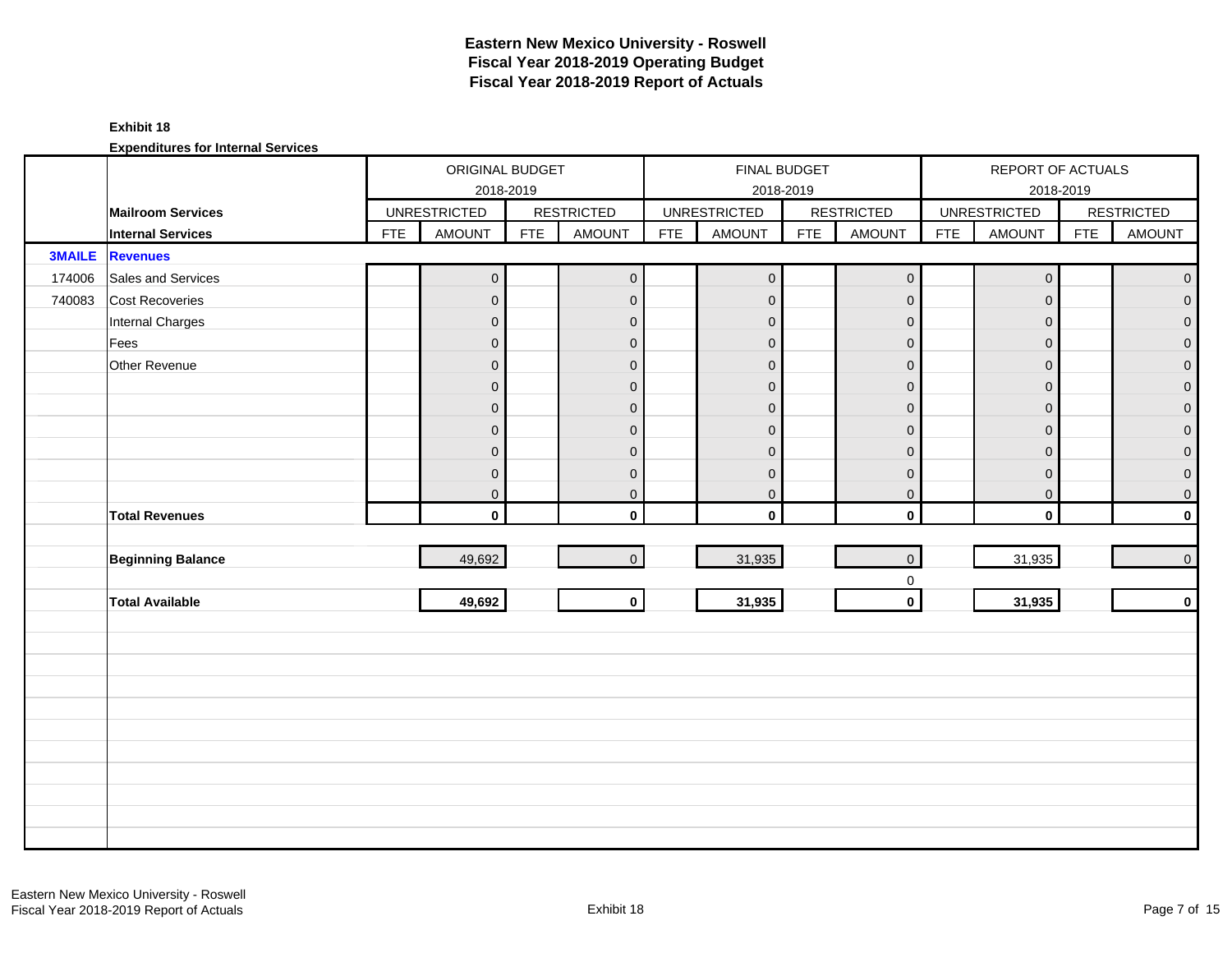### **Exhibit 18**

|               |                          |            | ORIGINAL BUDGET     |            |                         |            |                     | FINAL BUDGET |                   |            | REPORT OF ACTUALS   |            |                   |
|---------------|--------------------------|------------|---------------------|------------|-------------------------|------------|---------------------|--------------|-------------------|------------|---------------------|------------|-------------------|
|               |                          |            |                     | 2018-2019  |                         |            |                     | 2018-2019    |                   |            |                     | 2018-2019  |                   |
|               | <b>Mailroom Services</b> |            | <b>UNRESTRICTED</b> |            | <b>RESTRICTED</b>       |            | <b>UNRESTRICTED</b> |              | <b>RESTRICTED</b> |            | <b>UNRESTRICTED</b> |            | <b>RESTRICTED</b> |
|               | <b>Internal Services</b> | <b>FTE</b> | <b>AMOUNT</b>       | <b>FTE</b> | <b>AMOUNT</b>           | <b>FTE</b> | <b>AMOUNT</b>       | <b>FTE</b>   | <b>AMOUNT</b>     | <b>FTE</b> | <b>AMOUNT</b>       | <b>FTE</b> | <b>AMOUNT</b>     |
| <b>3MAILE</b> | <b>Revenues</b>          |            |                     |            |                         |            |                     |              |                   |            |                     |            |                   |
| 174006        | Sales and Services       |            | $\mathbf{0}$        |            | $\overline{0}$          |            | $\mathbf 0$         |              | $\mathbf 0$       |            | $\mathsf{O}\xspace$ |            | $\overline{0}$    |
| 740083        | <b>Cost Recoveries</b>   |            | $\mathbf 0$         |            | $\mathbf{O}$            |            | $\mathbf{0}$        |              | $\mathbf 0$       |            | $\Omega$            |            | $\overline{0}$    |
|               | Internal Charges         |            | $\overline{0}$      |            | $\mathbf{0}$            |            | $\mathbf 0$         |              | $\mathbf 0$       |            | $\Omega$            |            | $\overline{0}$    |
|               | Fees                     |            | $\mathbf 0$         |            | $\mathbf{0}$            |            | $\mathbf 0$         |              | $\mathbf 0$       |            | $\mathbf 0$         |            | $\mathbf{0}$      |
|               | Other Revenue            |            | $\boldsymbol{0}$    |            | $\mathbf{0}$            |            | $\mathbf 0$         |              | $\pmb{0}$         |            | $\mathbf{0}$        |            | $\mathbf{0}$      |
|               |                          |            | $\mathbf 0$         |            | $\mathbf{0}$            |            | $\mathbf{0}$        |              | $\mathbf{0}$      |            | $\Omega$            |            | $\mathbf 0$       |
|               |                          |            | $\mathbf 0$         |            | $\overline{0}$          |            | $\mathbf{0}$        |              | $\mathbf 0$       |            | $\mathbf{0}$        |            | $\overline{0}$    |
|               |                          |            | $\mathbf 0$         |            | $\overline{0}$          |            | $\mathbf{0}$        |              | $\pmb{0}$         |            | $\Omega$            |            | $\overline{0}$    |
|               |                          |            | $\mathbf 0$         |            | $\mathbf{0}$            |            | $\mathbf{0}$        |              | $\mathbf{0}$      |            | $\Omega$            |            | $\overline{0}$    |
|               |                          |            | $\boldsymbol{0}$    |            | $\mathbf{0}$            |            | $\mathbf 0$         |              | $\mathbf 0$       |            | $\mathbf 0$         |            | $\overline{0}$    |
|               |                          |            | 0                   |            | $\mathbf{0}$            |            | $\boldsymbol{0}$    |              | $\pmb{0}$         |            | $\mathbf 0$         |            | $\overline{0}$    |
|               | <b>Total Revenues</b>    |            | $\mathbf{0}$        |            | $\mathbf{0}$            |            | $\mathbf 0$         |              | $\mathbf 0$       |            | $\mathbf 0$         |            | $\mathbf{0}$      |
|               |                          |            |                     |            |                         |            |                     |              |                   |            |                     |            |                   |
|               | <b>Beginning Balance</b> |            | 49,692              |            | $\overline{0}$          |            | 31,935              |              | $\mathbf 0$       |            | 31,935              |            | $\circ$           |
|               |                          |            |                     |            |                         |            |                     |              | $\mathbf 0$       |            |                     |            |                   |
|               | <b>Total Available</b>   |            | 49,692              |            | $\overline{\mathbf{0}}$ |            | 31,935              |              | $\mathbf 0$       |            | 31,935              |            | $\mathbf{0}$      |
|               |                          |            |                     |            |                         |            |                     |              |                   |            |                     |            |                   |
|               |                          |            |                     |            |                         |            |                     |              |                   |            |                     |            |                   |
|               |                          |            |                     |            |                         |            |                     |              |                   |            |                     |            |                   |
|               |                          |            |                     |            |                         |            |                     |              |                   |            |                     |            |                   |
|               |                          |            |                     |            |                         |            |                     |              |                   |            |                     |            |                   |
|               |                          |            |                     |            |                         |            |                     |              |                   |            |                     |            |                   |
|               |                          |            |                     |            |                         |            |                     |              |                   |            |                     |            |                   |
|               |                          |            |                     |            |                         |            |                     |              |                   |            |                     |            |                   |
|               |                          |            |                     |            |                         |            |                     |              |                   |            |                     |            |                   |
|               |                          |            |                     |            |                         |            |                     |              |                   |            |                     |            |                   |
|               |                          |            |                     |            |                         |            |                     |              |                   |            |                     |            |                   |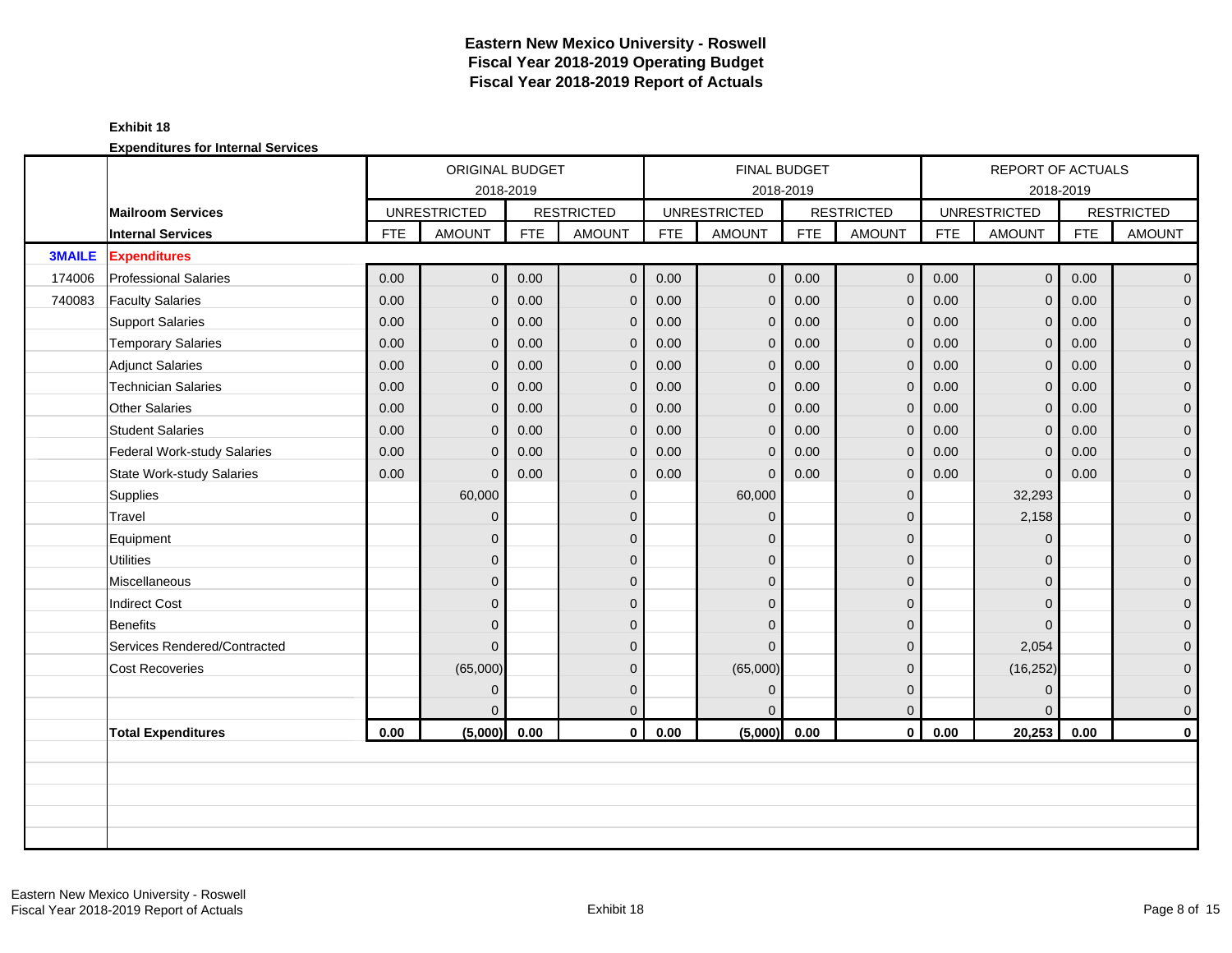### **Exhibit 18**

|               |                              |            | ORIGINAL BUDGET     |            |                   |            | <b>FINAL BUDGET</b> |            |                   |            | <b>REPORT OF ACTUALS</b> |            |                   |
|---------------|------------------------------|------------|---------------------|------------|-------------------|------------|---------------------|------------|-------------------|------------|--------------------------|------------|-------------------|
|               |                              |            | 2018-2019           |            |                   |            | 2018-2019           |            |                   |            |                          | 2018-2019  |                   |
|               | <b>Mailroom Services</b>     |            | <b>UNRESTRICTED</b> |            | <b>RESTRICTED</b> |            | <b>UNRESTRICTED</b> |            | <b>RESTRICTED</b> |            | <b>UNRESTRICTED</b>      |            | <b>RESTRICTED</b> |
|               | <b>Internal Services</b>     | <b>FTE</b> | <b>AMOUNT</b>       | <b>FTE</b> | <b>AMOUNT</b>     | <b>FTE</b> | <b>AMOUNT</b>       | <b>FTE</b> | <b>AMOUNT</b>     | <b>FTE</b> | <b>AMOUNT</b>            | <b>FTE</b> | <b>AMOUNT</b>     |
| <b>3MAILE</b> | <b>Expenditures</b>          |            |                     |            |                   |            |                     |            |                   |            |                          |            |                   |
| 174006        | <b>Professional Salaries</b> | 0.00       | $\overline{O}$      | 0.00       | $\mathbf 0$       | 0.00       | $\overline{0}$      | 0.00       | $\mathbf{O}$      | 0.00       | 0 <sup>1</sup>           | 0.00       | $\overline{0}$    |
| 740083        | <b>Faculty Salaries</b>      | 0.00       | $\overline{0}$      | 0.00       | $\mathbf 0$       | 0.00       | $\mathbf 0$         | 0.00       | $\mathbf{0}$      | 0.00       | $\mathbf{0}$             | 0.00       | $\mathbf{0}$      |
|               | <b>Support Salaries</b>      | 0.00       | $\overline{0}$      | 0.00       | $\overline{0}$    | 0.00       | $\mathbf{0}$        | 0.00       | $\mathbf{0}$      | 0.00       | $\mathbf{0}$             | 0.00       | $\overline{0}$    |
|               | <b>Temporary Salaries</b>    | 0.00       | $\overline{0}$      | 0.00       | $\overline{0}$    | 0.00       | $\mathbf{0}$        | 0.00       | $\mathbf{0}$      | 0.00       | $\mathbf{0}$             | 0.00       | $\mathbf 0$       |
|               | <b>Adjunct Salaries</b>      | 0.00       | $\overline{0}$      | 0.00       | $\mathbf 0$       | 0.00       | $\mathbf{0}$        | 0.00       | $\mathbf 0$       | 0.00       | $\mathbf{0}$             | 0.00       | $\mathbf 0$       |
|               | <b>Technician Salaries</b>   | 0.00       | $\Omega$            | 0.00       | $\mathbf{0}$      | 0.00       | $\mathbf{0}$        | 0.00       | $\mathbf{0}$      | 0.00       | $\overline{0}$           | 0.00       | $\mathbf{0}$      |
|               | Other Salaries               | 0.00       | $\Omega$            | 0.00       | $\overline{0}$    | 0.00       | $\mathbf{0}$        | 0.00       | $\mathbf{0}$      | 0.00       | $\mathbf{0}$             | 0.00       | 0                 |
|               | <b>Student Salaries</b>      | 0.00       | $\overline{0}$      | 0.00       | $\mathbf 0$       | 0.00       | $\mathbf{0}$        | 0.00       | $\mathbf{0}$      | 0.00       | $\mathbf{0}$             | 0.00       | $\mathbf{0}$      |
|               | Federal Work-study Salaries  | 0.00       | $\overline{0}$      | 0.00       | $\mathbf 0$       | 0.00       | $\mathbf 0$         | 0.00       | $\mathbf 0$       | 0.00       | $\mathbf 0$              | 0.00       | $\mathbf 0$       |
|               | State Work-study Salaries    | 0.00       | $\Omega$            | 0.00       | $\mathbf{0}$      | 0.00       | $\Omega$            | 0.00       | $\mathbf{0}$      | 0.00       | $\mathbf{0}$             | 0.00       | $\mathbf 0$       |
|               | Supplies                     |            | 60,000              |            | $\mathbf{0}$      |            | 60,000              |            | $\mathbf{0}$      |            | 32,293                   |            | $\mathbf 0$       |
|               | Travel                       |            | $\overline{0}$      |            | $\mathbf{0}$      |            | $\mathbf{0}$        |            | $\mathbf{0}$      |            | 2,158                    |            | $\mathbf 0$       |
|               | Equipment                    |            | $\overline{0}$      |            | $\Omega$          |            | $\Omega$            |            | $\mathbf{0}$      |            | $\Omega$                 |            | $\mathbf 0$       |
|               | <b>Utilities</b>             |            | $\overline{0}$      |            | $\mathbf{0}$      |            | $\Omega$            |            | $\mathbf{0}$      |            | $\Omega$                 |            | $\overline{0}$    |
|               | Miscellaneous                |            | $\overline{0}$      |            | $\mathbf{0}$      |            | $\Omega$            |            | $\mathbf{0}$      |            | $\Omega$                 |            | $\mathbf 0$       |
|               | <b>Indirect Cost</b>         |            | $\overline{0}$      |            | $\mathbf{0}$      |            | $\Omega$            |            | $\mathbf{0}$      |            | $\Omega$                 |            | $\mathbf 0$       |
|               | Benefits                     |            | $\overline{0}$      |            | $\Omega$          |            | $\Omega$            |            | $\Omega$          |            | $\Omega$                 |            | $\overline{0}$    |
|               | Services Rendered/Contracted |            | $\overline{0}$      |            | $\Omega$          |            | $\Omega$            |            | $\mathbf{0}$      |            | 2,054                    |            | 0                 |
|               | <b>Cost Recoveries</b>       |            | (65,000)            |            | $\mathbf{0}$      |            | (65,000)            |            | $\mathbf{0}$      |            | (16, 252)                |            | 0                 |
|               |                              |            | $\overline{0}$      |            | $\mathbf{0}$      |            | $\mathbf{0}$        |            | $\mathbf{0}$      |            | $\mathbf{0}$             |            | $\mathbf 0$       |
|               |                              |            | 0                   |            | $\overline{0}$    |            | $\Omega$            |            | $\mathbf{0}$      |            | $\Omega$                 |            | $\mathbf 0$       |
|               | <b>Total Expenditures</b>    | 0.00       | (5,000)             | 0.00       | $\mathbf{0}$      | 0.00       | (5,000)             | 0.00       | $\mathbf 0$       | 0.00       | 20,253                   | 0.00       | $\mathbf 0$       |
|               |                              |            |                     |            |                   |            |                     |            |                   |            |                          |            |                   |
|               |                              |            |                     |            |                   |            |                     |            |                   |            |                          |            |                   |
|               |                              |            |                     |            |                   |            |                     |            |                   |            |                          |            |                   |
|               |                              |            |                     |            |                   |            |                     |            |                   |            |                          |            |                   |
|               |                              |            |                     |            |                   |            |                     |            |                   |            |                          |            |                   |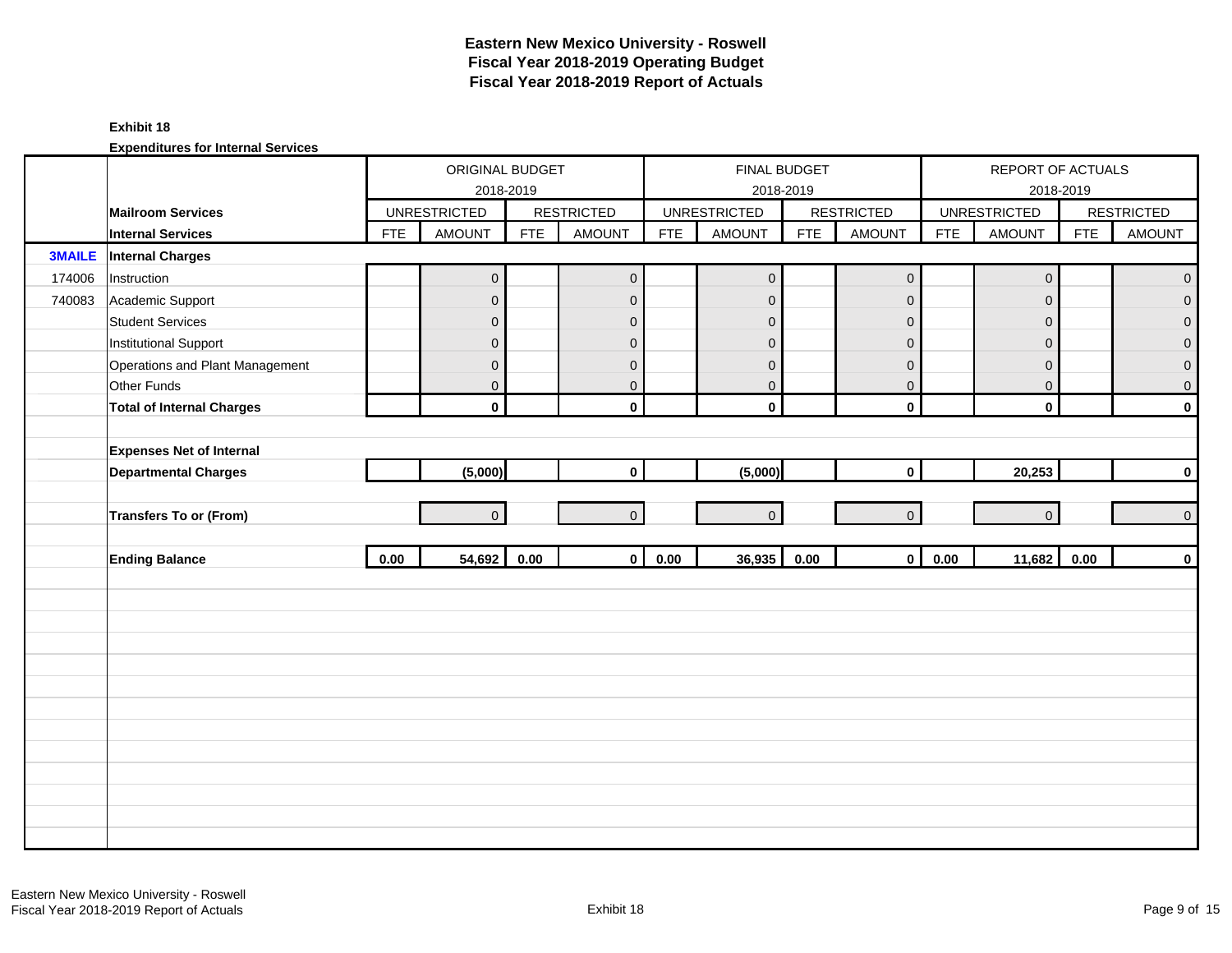#### **Exhibit 18**

|               |                                  |            | ORIGINAL BUDGET<br>2018-2019 |            |                   |            | FINAL BUDGET<br>2018-2019 |            |                   |            | REPORT OF ACTUALS   | 2018-2019  |                   |
|---------------|----------------------------------|------------|------------------------------|------------|-------------------|------------|---------------------------|------------|-------------------|------------|---------------------|------------|-------------------|
|               | <b>Mailroom Services</b>         |            | <b>UNRESTRICTED</b>          |            | <b>RESTRICTED</b> |            | <b>UNRESTRICTED</b>       |            | <b>RESTRICTED</b> |            | <b>UNRESTRICTED</b> |            | <b>RESTRICTED</b> |
|               | <b>Internal Services</b>         | <b>FTE</b> | <b>AMOUNT</b>                | <b>FTE</b> | <b>AMOUNT</b>     | <b>FTE</b> | <b>AMOUNT</b>             | <b>FTE</b> | <b>AMOUNT</b>     | <b>FTE</b> | <b>AMOUNT</b>       | <b>FTE</b> | <b>AMOUNT</b>     |
| <b>3MAILE</b> | <b>Internal Charges</b>          |            |                              |            |                   |            |                           |            |                   |            |                     |            |                   |
| 174006        | Instruction                      |            | $\mathsf{O}\xspace$          |            | $\mathbf 0$       |            | $\pmb{0}$                 |            | $\mathbf 0$       |            | $\pmb{0}$           |            | $\pmb{0}$         |
| 740083        | Academic Support                 |            | $\mathsf{O}\xspace$          |            | $\mathbf{0}$      |            | $\pmb{0}$                 |            | $\mathbf{0}$      |            | $\mathbf 0$         |            | 0                 |
|               | <b>Student Services</b>          |            | $\overline{0}$               |            | $\mathbf 0$       |            | $\mathbf 0$               |            | $\mathbf 0$       |            | $\mathbf{0}$        |            | $\overline{0}$    |
|               | <b>Institutional Support</b>     |            | $\mathbf 0$                  |            | $\mathbf 0$       |            | $\mathbf 0$               |            | $\mathbf 0$       |            | $\mathbf 0$         |            | 0                 |
|               | Operations and Plant Management  |            | $\mathsf{O}\xspace$          |            | $\mathbf 0$       |            | $\pmb{0}$                 |            | $\pmb{0}$         |            | $\mathbf 0$         |            | $\pmb{0}$         |
|               | Other Funds                      |            | $\overline{0}$               |            | $\mathbf{0}$      |            | $\mathbf{0}$              |            | $\mathbf{0}$      |            | $\mathbf{0}$        |            | $\mathbf 0$       |
|               | <b>Total of Internal Charges</b> |            | $\mathbf 0$                  |            | $\mathbf{0}$      |            | $\mathbf 0$               |            | $\mathbf 0$       |            | $\mathbf 0$         |            | $\mathbf 0$       |
|               |                                  |            |                              |            |                   |            |                           |            |                   |            |                     |            |                   |
|               | <b>Expenses Net of Internal</b>  |            |                              |            |                   |            |                           |            |                   |            |                     |            |                   |
|               | <b>Departmental Charges</b>      |            | (5,000)                      |            | $\mathbf 0$       |            | (5,000)                   |            | $\mathbf 0$       |            | 20,253              |            | $\mathbf 0$       |
|               |                                  |            |                              |            |                   |            |                           |            |                   |            |                     |            |                   |
|               | Transfers To or (From)           |            | $\Omega$                     |            | $\overline{0}$    |            | $\Omega$                  |            | $\overline{0}$    |            | $\Omega$            |            | $\mathbf 0$       |
|               |                                  |            |                              |            |                   |            |                           |            |                   |            |                     |            |                   |
|               | <b>Ending Balance</b>            | 0.00       | 54,692                       | 0.00       | $\mathbf{0}$      | 0.00       | 36,935                    | 0.00       | $\mathbf 0$       | 0.00       | 11,682              | 0.00       | $\pmb{0}$         |
|               |                                  |            |                              |            |                   |            |                           |            |                   |            |                     |            |                   |
|               |                                  |            |                              |            |                   |            |                           |            |                   |            |                     |            |                   |
|               |                                  |            |                              |            |                   |            |                           |            |                   |            |                     |            |                   |
|               |                                  |            |                              |            |                   |            |                           |            |                   |            |                     |            |                   |
|               |                                  |            |                              |            |                   |            |                           |            |                   |            |                     |            |                   |
|               |                                  |            |                              |            |                   |            |                           |            |                   |            |                     |            |                   |
|               |                                  |            |                              |            |                   |            |                           |            |                   |            |                     |            |                   |
|               |                                  |            |                              |            |                   |            |                           |            |                   |            |                     |            |                   |
|               |                                  |            |                              |            |                   |            |                           |            |                   |            |                     |            |                   |
|               |                                  |            |                              |            |                   |            |                           |            |                   |            |                     |            |                   |
|               |                                  |            |                              |            |                   |            |                           |            |                   |            |                     |            |                   |
|               |                                  |            |                              |            |                   |            |                           |            |                   |            |                     |            |                   |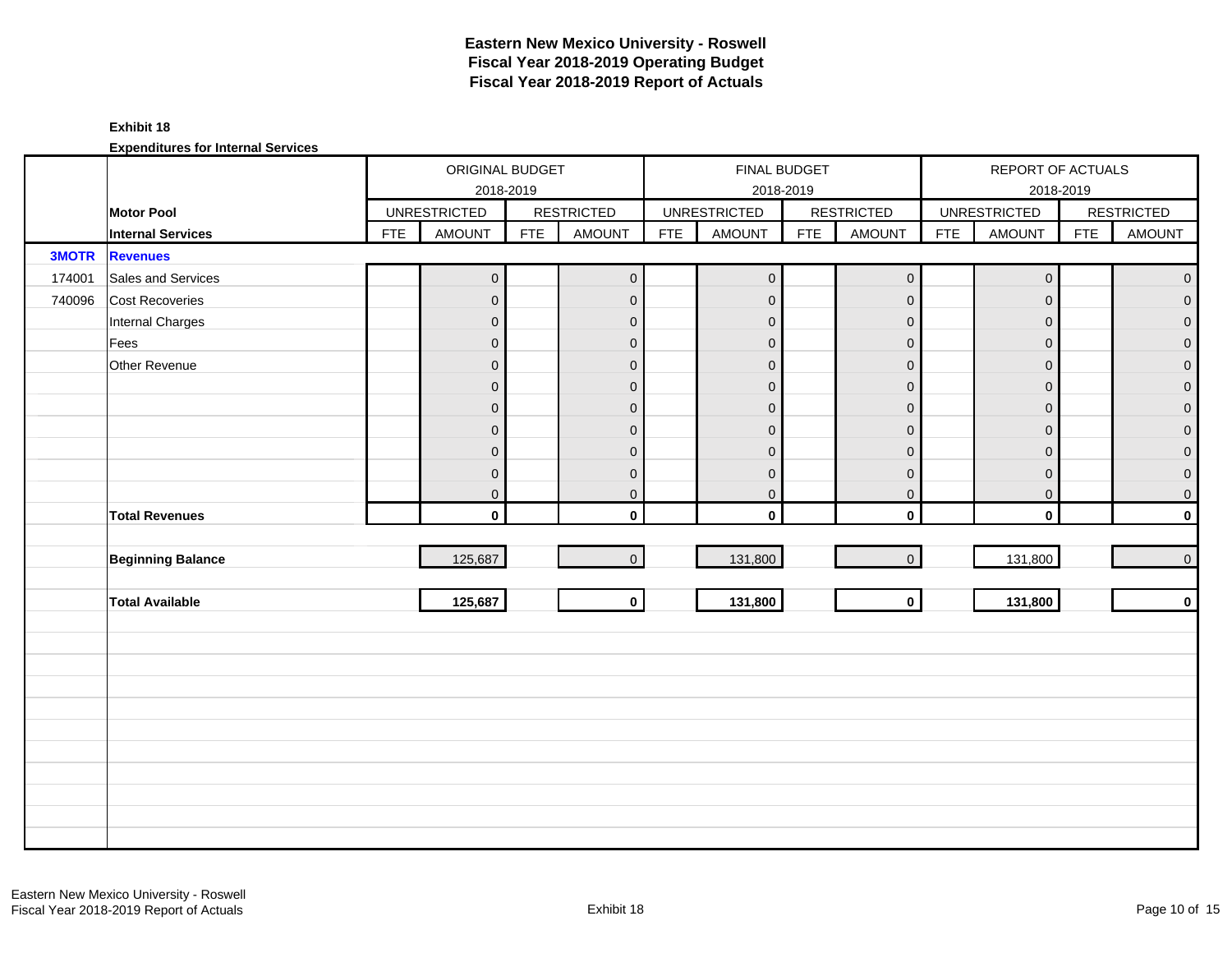#### **Exhibit 18**

|              |                          |            | ORIGINAL BUDGET<br>2018-2019 |            |                     |            | FINAL BUDGET<br>2018-2019 |            |                     |            | REPORT OF ACTUALS<br>2018-2019 |            |                     |
|--------------|--------------------------|------------|------------------------------|------------|---------------------|------------|---------------------------|------------|---------------------|------------|--------------------------------|------------|---------------------|
|              | <b>Motor Pool</b>        |            | <b>UNRESTRICTED</b>          |            | <b>RESTRICTED</b>   |            | <b>UNRESTRICTED</b>       |            | <b>RESTRICTED</b>   |            | <b>UNRESTRICTED</b>            |            | <b>RESTRICTED</b>   |
|              | <b>Internal Services</b> | <b>FTE</b> | <b>AMOUNT</b>                | <b>FTE</b> | <b>AMOUNT</b>       | <b>FTE</b> | <b>AMOUNT</b>             | <b>FTE</b> | <b>AMOUNT</b>       | <b>FTE</b> | <b>AMOUNT</b>                  | <b>FTE</b> | <b>AMOUNT</b>       |
| <b>3MOTR</b> | <b>Revenues</b>          |            |                              |            |                     |            |                           |            |                     |            |                                |            |                     |
| 174001       | Sales and Services       |            | $\mathsf{O}\xspace$          |            | $\mathsf{O}\xspace$ |            | $\mathbf 0$               |            | $\mathsf{O}\xspace$ |            | $\mathsf{O}\xspace$            |            | $\pmb{0}$           |
| 740096       | Cost Recoveries          |            | $\overline{0}$               |            | $\mathbf 0$         |            | $\pmb{0}$                 |            | $\mathbf 0$         |            | $\mathbf 0$                    |            | $\overline{0}$      |
|              | Internal Charges         |            | $\overline{0}$               |            | $\mathbf{0}$        |            | $\mathbf{0}$              |            | $\mathbf{0}$        |            | $\mathbf{0}$                   |            | $\overline{0}$      |
|              | Fees                     |            | $\mathbf 0$                  |            | $\mathbf 0$         |            | $\overline{0}$            |            | $\mathbf{O}$        |            | $\mathbf{0}$                   |            | $\mathbf 0$         |
|              | Other Revenue            |            | $\mathbf 0$                  |            | $\mathbf{0}$        |            | $\overline{0}$            |            | $\mathbf{0}$        |            | $\mathbf{0}$                   |            | $\overline{0}$      |
|              |                          |            | $\overline{0}$               |            | $\mathbf{0}$        |            | $\mathbf{0}$              |            | $\mathbf{0}$        |            | $\mathbf{0}$                   |            | $\boldsymbol{0}$    |
|              |                          |            | $\overline{0}$               |            | $\mathbf 0$         |            | $\overline{0}$            |            | $\mathbf{0}$        |            | $\boldsymbol{0}$               |            | $\mathbf 0$         |
|              |                          |            | $\mathsf{O}\xspace$          |            | $\mathbf{0}$        |            | $\pmb{0}$                 |            | $\overline{0}$      |            | $\mathbf{0}$                   |            | $\mathsf{O}\xspace$ |
|              |                          |            | $\overline{0}$               |            | $\mathbf{0}$        |            | $\mathbf 0$               |            | $\mathbf{0}$        |            | $\mathbf{0}$                   |            | $\boldsymbol{0}$    |
|              |                          |            | $\pmb{0}$                    |            | $\mathbf 0$         |            | $\mathbf 0$               |            | $\mathbf 0$         |            | $\mathbf 0$                    |            | $\mathbf 0$         |
|              |                          |            | $\mathsf{O}\xspace$          |            | $\pmb{0}$           |            | $\mathbf 0$               |            | $\mathbf 0$         |            | $\mathbf 0$                    |            | 0                   |
|              | <b>Total Revenues</b>    |            | $\mathbf{0}$                 |            | $\mathbf{0}$        |            | $\mathbf 0$               |            | $\mathbf 0$         |            | $\mathbf 0$                    |            | $\mathbf 0$         |
|              |                          |            |                              |            |                     |            |                           |            |                     |            |                                |            |                     |
|              | <b>Beginning Balance</b> |            | 125,687                      |            | $\mathbf{0}$        |            | 131,800                   |            | $\mathbf 0$         |            | 131,800                        |            | $\mathsf{O}\xspace$ |
|              |                          |            |                              |            |                     |            |                           |            |                     |            |                                |            |                     |
|              | <b>Total Available</b>   |            | 125,687                      |            | $\mathbf{0}$        |            | 131,800                   |            | $\mathbf{0}$        |            | 131,800                        |            | $\mathbf 0$         |
|              |                          |            |                              |            |                     |            |                           |            |                     |            |                                |            |                     |
|              |                          |            |                              |            |                     |            |                           |            |                     |            |                                |            |                     |
|              |                          |            |                              |            |                     |            |                           |            |                     |            |                                |            |                     |
|              |                          |            |                              |            |                     |            |                           |            |                     |            |                                |            |                     |
|              |                          |            |                              |            |                     |            |                           |            |                     |            |                                |            |                     |
|              |                          |            |                              |            |                     |            |                           |            |                     |            |                                |            |                     |
|              |                          |            |                              |            |                     |            |                           |            |                     |            |                                |            |                     |
|              |                          |            |                              |            |                     |            |                           |            |                     |            |                                |            |                     |
|              |                          |            |                              |            |                     |            |                           |            |                     |            |                                |            |                     |
|              |                          |            |                              |            |                     |            |                           |            |                     |            |                                |            |                     |
|              |                          |            |                              |            |                     |            |                           |            |                     |            |                                |            |                     |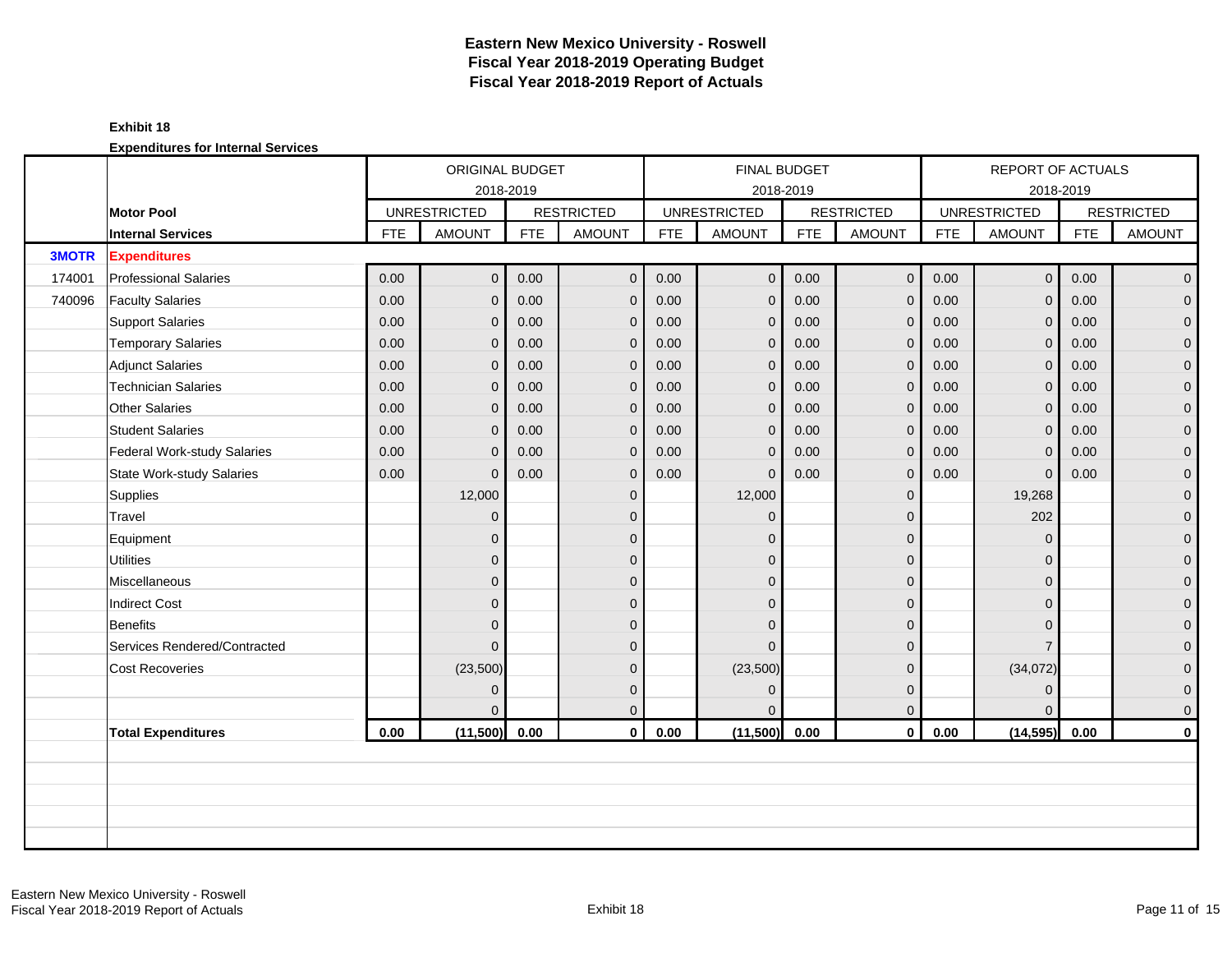#### **Exhibit 18**

|              |                                  |            | ORIGINAL BUDGET     |            |                   |            | <b>FINAL BUDGET</b> |            |                   |            | REPORT OF ACTUALS   |            |                   |
|--------------|----------------------------------|------------|---------------------|------------|-------------------|------------|---------------------|------------|-------------------|------------|---------------------|------------|-------------------|
|              |                                  |            | 2018-2019           |            |                   |            |                     | 2018-2019  |                   |            |                     | 2018-2019  |                   |
|              | <b>Motor Pool</b>                |            | <b>UNRESTRICTED</b> |            | <b>RESTRICTED</b> |            | <b>UNRESTRICTED</b> |            | <b>RESTRICTED</b> |            | <b>UNRESTRICTED</b> |            | <b>RESTRICTED</b> |
|              | <b>Internal Services</b>         | <b>FTE</b> | <b>AMOUNT</b>       | <b>FTE</b> | <b>AMOUNT</b>     | <b>FTE</b> | <b>AMOUNT</b>       | <b>FTE</b> | <b>AMOUNT</b>     | <b>FTE</b> | <b>AMOUNT</b>       | <b>FTE</b> | <b>AMOUNT</b>     |
| <b>3MOTR</b> | <b>Expenditures</b>              |            |                     |            |                   |            |                     |            |                   |            |                     |            |                   |
| 174001       | <b>Professional Salaries</b>     | 0.00       | $\overline{0}$      | 0.00       | $\mathbf{0}$      | 0.00       | $\mathbf{0}$        | 0.00       | $\overline{0}$    | 0.00       | $\overline{0}$      | 0.00       | $\overline{0}$    |
| 740096       | <b>Faculty Salaries</b>          | 0.00       | $\mathbf{0}$        | 0.00       | $\mathbf 0$       | 0.00       | $\mathbf 0$         | 0.00       | $\mathbf{0}$      | 0.00       | $\mathbf 0$         | 0.00       | $\overline{0}$    |
|              | <b>Support Salaries</b>          | 0.00       | $\mathbf{0}$        | 0.00       | $\overline{0}$    | 0.00       | $\mathbf{0}$        | 0.00       | $\Omega$          | 0.00       | $\mathbf{0}$        | 0.00       | $\overline{0}$    |
|              | <b>Temporary Salaries</b>        | 0.00       | $\Omega$            | 0.00       | $\overline{0}$    | 0.00       | $\mathbf{0}$        | 0.00       | $\Omega$          | 0.00       | $\mathbf{0}$        | 0.00       | $\overline{0}$    |
|              | <b>Adjunct Salaries</b>          | 0.00       | $\mathbf{0}$        | 0.00       | $\overline{0}$    | 0.00       | $\mathbf{0}$        | 0.00       | $\Omega$          | 0.00       | $\mathbf 0$         | 0.00       | $\overline{0}$    |
|              | <b>Technician Salaries</b>       | 0.00       | $\Omega$            | 0.00       | $\overline{0}$    | 0.00       | 0                   | 0.00       | $\Omega$          | 0.00       | $\mathbf 0$         | 0.00       | $\overline{0}$    |
|              | <b>Other Salaries</b>            | 0.00       | $\mathbf{0}$        | 0.00       | $\mathbf 0$       | 0.00       | $\mathbf{0}$        | 0.00       | $\mathbf{0}$      | 0.00       | $\mathbf 0$         | 0.00       | $\mathbf{0}$      |
|              | <b>Student Salaries</b>          | 0.00       | $\Omega$            | 0.00       | $\overline{0}$    | 0.00       | $\overline{0}$      | 0.00       | $\Omega$          | 0.00       | $\overline{0}$      | 0.00       | $\overline{0}$    |
|              | Federal Work-study Salaries      | 0.00       | $\Omega$            | 0.00       | $\mathbf 0$       | 0.00       | $\overline{0}$      | 0.00       | $\Omega$          | 0.00       | $\mathbf 0$         | 0.00       | $\overline{0}$    |
|              | <b>State Work-study Salaries</b> | 0.00       | $\Omega$            | 0.00       | $\mathbf 0$       | 0.00       | $\mathbf{0}$        | 0.00       | $\mathbf{0}$      | 0.00       | $\mathbf 0$         | 0.00       | $\mathbf{0}$      |
|              | Supplies                         |            | 12,000              |            | $\mathbf 0$       |            | 12,000              |            | $\Omega$          |            | 19,268              |            | $\mathbf{0}$      |
|              | Travel                           |            | $\Omega$            |            | $\mathbf{0}$      |            | $\Omega$            |            | $\Omega$          |            | 202                 |            | $\overline{0}$    |
|              | Equipment                        |            | $\mathbf{0}$        |            | $\mathbf{0}$      |            | $\Omega$            |            | $\mathbf{0}$      |            | $\mathbf 0$         |            | $\overline{0}$    |
|              | <b>Utilities</b>                 |            | $\mathbf{0}$        |            | $\overline{0}$    |            | $\Omega$            |            | $\mathbf{0}$      |            | $\Omega$            |            | $\overline{0}$    |
|              | Miscellaneous                    |            | $\mathbf{0}$        |            | $\mathbf{0}$      |            | 0                   |            | $\mathbf{0}$      |            | $\mathbf{0}$        |            | $\overline{0}$    |
|              | <b>Indirect Cost</b>             |            | $\Omega$            |            | $\overline{0}$    |            | $\Omega$            |            | $\Omega$          |            | $\Omega$            |            | $\overline{0}$    |
|              | <b>Benefits</b>                  |            | $\mathbf{0}$        |            | $\overline{0}$    |            | $\Omega$            |            | $\Omega$          |            | $\Omega$            |            | $\overline{0}$    |
|              | Services Rendered/Contracted     |            | $\Omega$            |            | $\mathbf{0}$      |            | $\Omega$            |            | $\Omega$          |            | $\overline{7}$      |            | $\overline{0}$    |
|              | <b>Cost Recoveries</b>           |            | (23,500)            |            | $\mathbf{0}$      |            | (23,500)            |            | $\mathbf{0}$      |            | (34,072)            |            | $\overline{0}$    |
|              |                                  |            | $\Omega$            |            | $\mathbf{0}$      |            | $\Omega$            |            | $\mathbf{0}$      |            | $\mathbf{0}$        |            | $\mathbf{0}$      |
|              |                                  |            |                     |            | $\mathbf 0$       |            |                     |            | $\mathbf{0}$      |            | $\Omega$            |            | $\mathbf{0}$      |
|              | <b>Total Expenditures</b>        | 0.00       | (11,500)            | 0.00       | $\mathbf 0$       | 0.00       | (11,500)            | 0.00       | $\mathbf 0$       | 0.00       | (14, 595)           | 0.00       | $\mathbf 0$       |
|              |                                  |            |                     |            |                   |            |                     |            |                   |            |                     |            |                   |
|              |                                  |            |                     |            |                   |            |                     |            |                   |            |                     |            |                   |
|              |                                  |            |                     |            |                   |            |                     |            |                   |            |                     |            |                   |
|              |                                  |            |                     |            |                   |            |                     |            |                   |            |                     |            |                   |
|              |                                  |            |                     |            |                   |            |                     |            |                   |            |                     |            |                   |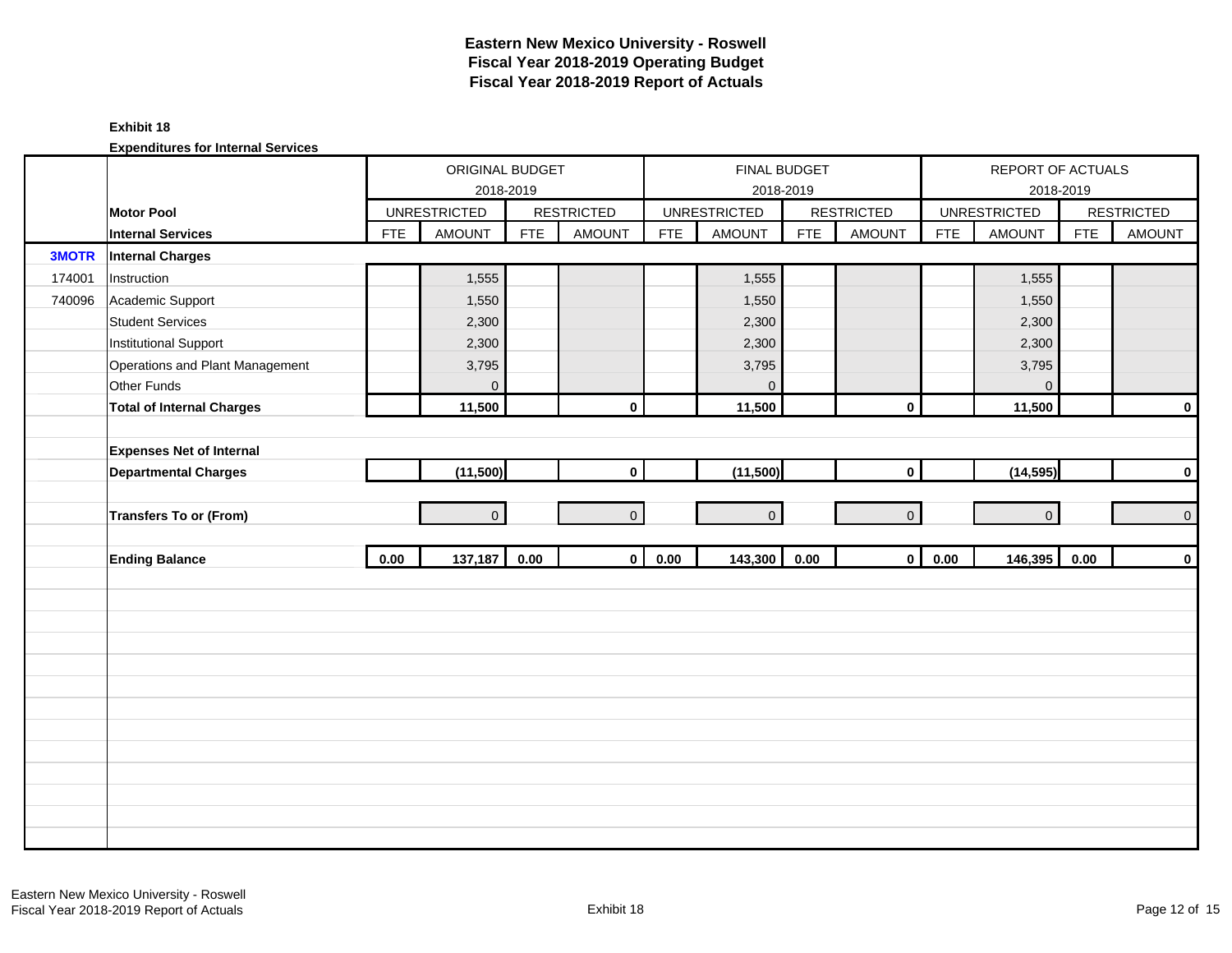#### **Exhibit 18**

|              |                                  |            | ORIGINAL BUDGET     | 2018-2019  |                   |            | FINAL BUDGET<br>2018-2019 |            |                   |            | REPORT OF ACTUALS<br>2018-2019 |            |                   |
|--------------|----------------------------------|------------|---------------------|------------|-------------------|------------|---------------------------|------------|-------------------|------------|--------------------------------|------------|-------------------|
|              | <b>Motor Pool</b>                |            | <b>UNRESTRICTED</b> |            | <b>RESTRICTED</b> |            | <b>UNRESTRICTED</b>       |            | <b>RESTRICTED</b> |            | <b>UNRESTRICTED</b>            |            | <b>RESTRICTED</b> |
|              | <b>Internal Services</b>         | <b>FTE</b> | <b>AMOUNT</b>       | <b>FTE</b> | <b>AMOUNT</b>     | <b>FTE</b> | <b>AMOUNT</b>             | <b>FTE</b> | <b>AMOUNT</b>     | <b>FTE</b> | <b>AMOUNT</b>                  | <b>FTE</b> | <b>AMOUNT</b>     |
| <b>3MOTR</b> | <b>Internal Charges</b>          |            |                     |            |                   |            |                           |            |                   |            |                                |            |                   |
| 174001       | Instruction                      |            | 1,555               |            |                   |            | 1,555                     |            |                   |            | 1,555                          |            |                   |
| 740096       | Academic Support                 |            | 1,550               |            |                   |            | 1,550                     |            |                   |            | 1,550                          |            |                   |
|              | <b>Student Services</b>          |            | 2,300               |            |                   |            | 2,300                     |            |                   |            | 2,300                          |            |                   |
|              | <b>Institutional Support</b>     |            | 2,300               |            |                   |            | 2,300                     |            |                   |            | 2,300                          |            |                   |
|              | Operations and Plant Management  |            | 3,795               |            |                   |            | 3,795                     |            |                   |            | 3,795                          |            |                   |
|              | Other Funds                      |            | $\overline{0}$      |            |                   |            | $\mathbf{0}$              |            |                   |            | $\mathbf 0$                    |            |                   |
|              | <b>Total of Internal Charges</b> |            | 11,500              |            | $\mathbf 0$       |            | 11,500                    |            | $\pmb{0}$         |            | 11,500                         |            | $\mathbf 0$       |
|              |                                  |            |                     |            |                   |            |                           |            |                   |            |                                |            |                   |
|              | <b>Expenses Net of Internal</b>  |            |                     |            |                   |            |                           |            |                   |            |                                |            |                   |
|              | <b>Departmental Charges</b>      |            | (11,500)            |            | $\mathbf 0$       |            | (11,500)                  |            | $\mathbf 0$       |            | (14, 595)                      |            | $\pmb{0}$         |
|              |                                  |            |                     |            |                   |            |                           |            |                   |            |                                |            |                   |
|              | Transfers To or (From)           |            | $\overline{0}$      |            | $\overline{0}$    |            | $\overline{0}$            |            | $\mathbf{O}$      |            | $\overline{0}$                 |            | $\mathbf 0$       |
|              |                                  |            |                     |            |                   |            |                           |            |                   |            |                                |            |                   |
|              | <b>Ending Balance</b>            | 0.00       | 137,187             | 0.00       | $\mathbf{0}$      | 0.00       | 143,300                   | 0.00       | $\mathbf 0$       | 0.00       | 146,395                        | 0.00       | $\pmb{0}$         |
|              |                                  |            |                     |            |                   |            |                           |            |                   |            |                                |            |                   |
|              |                                  |            |                     |            |                   |            |                           |            |                   |            |                                |            |                   |
|              |                                  |            |                     |            |                   |            |                           |            |                   |            |                                |            |                   |
|              |                                  |            |                     |            |                   |            |                           |            |                   |            |                                |            |                   |
|              |                                  |            |                     |            |                   |            |                           |            |                   |            |                                |            |                   |
|              |                                  |            |                     |            |                   |            |                           |            |                   |            |                                |            |                   |
|              |                                  |            |                     |            |                   |            |                           |            |                   |            |                                |            |                   |
|              |                                  |            |                     |            |                   |            |                           |            |                   |            |                                |            |                   |
|              |                                  |            |                     |            |                   |            |                           |            |                   |            |                                |            |                   |
|              |                                  |            |                     |            |                   |            |                           |            |                   |            |                                |            |                   |
|              |                                  |            |                     |            |                   |            |                           |            |                   |            |                                |            |                   |
|              |                                  |            |                     |            |                   |            |                           |            |                   |            |                                |            |                   |
|              |                                  |            |                     |            |                   |            |                           |            |                   |            |                                |            |                   |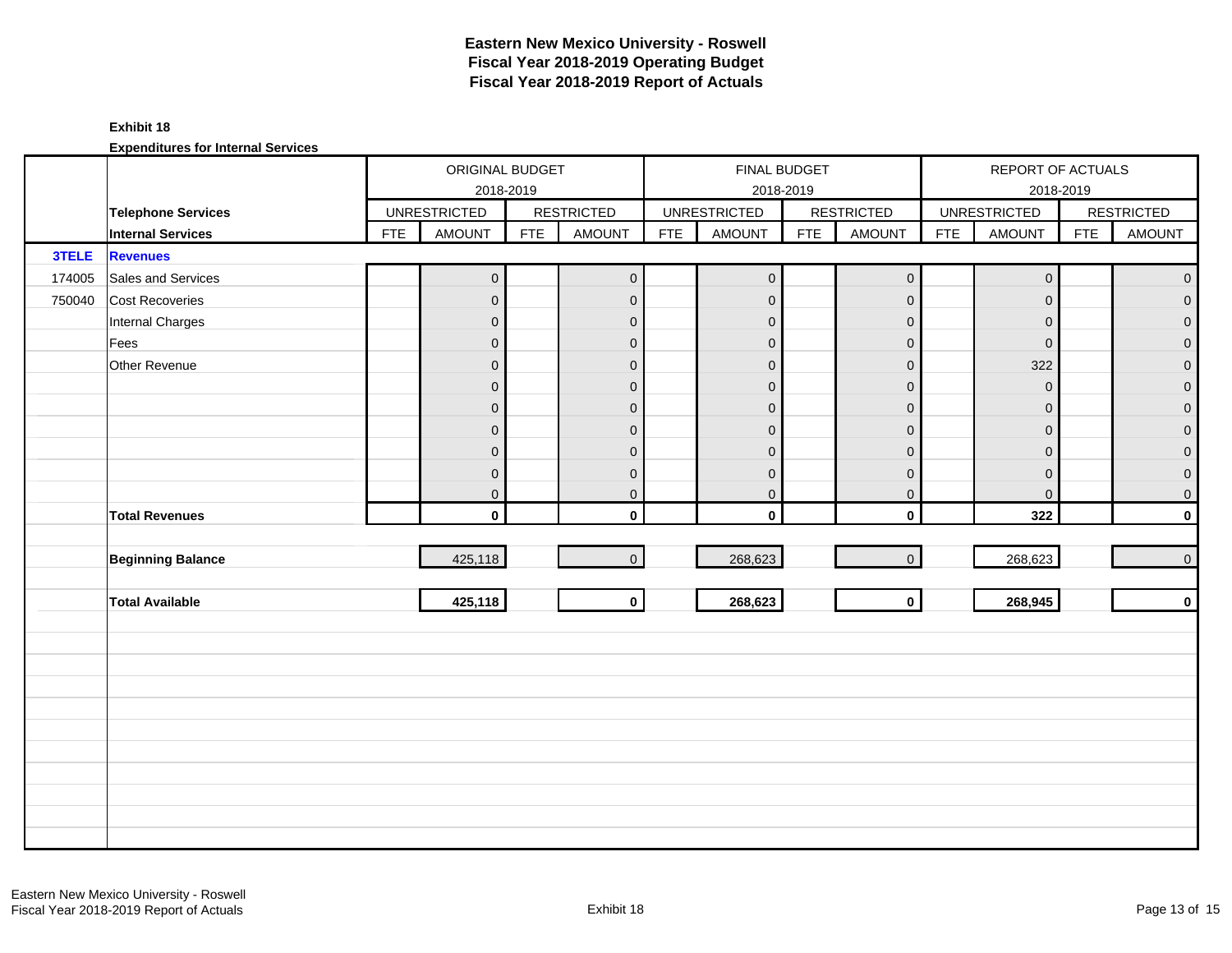#### **Exhibit 18**

|        |                           |            | ORIGINAL BUDGET     | 2018-2019  |                     |            | FINAL BUDGET        | 2018-2019  |                     |            | REPORT OF ACTUALS<br>2018-2019 |            |                     |
|--------|---------------------------|------------|---------------------|------------|---------------------|------------|---------------------|------------|---------------------|------------|--------------------------------|------------|---------------------|
|        | <b>Telephone Services</b> |            | <b>UNRESTRICTED</b> |            | <b>RESTRICTED</b>   |            | <b>UNRESTRICTED</b> |            | <b>RESTRICTED</b>   |            | <b>UNRESTRICTED</b>            |            | <b>RESTRICTED</b>   |
|        | <b>Internal Services</b>  | <b>FTE</b> | <b>AMOUNT</b>       | <b>FTE</b> | <b>AMOUNT</b>       | <b>FTE</b> | <b>AMOUNT</b>       | <b>FTE</b> | <b>AMOUNT</b>       | <b>FTE</b> | AMOUNT                         | <b>FTE</b> | <b>AMOUNT</b>       |
| 3TELE  | <b>Revenues</b>           |            |                     |            |                     |            |                     |            |                     |            |                                |            |                     |
| 174005 | Sales and Services        |            | $\overline{0}$      |            | $\mathsf{O}\xspace$ |            | $\mathbf 0$         |            | $\mathsf{O}\xspace$ |            | $\mathbf 0$                    |            | $\overline{0}$      |
| 750040 | <b>Cost Recoveries</b>    |            | $\overline{0}$      |            | $\mathbf 0$         |            | $\mathbf 0$         |            | $\mathbf 0$         |            | $\mathbf 0$                    |            | $\overline{0}$      |
|        | Internal Charges          |            | $\overline{0}$      |            | $\mathbf{0}$        |            | $\mathbf{0}$        |            | $\mathbf 0$         |            | $\mathbf{0}$                   |            | $\overline{0}$      |
|        | Fees                      |            | $\mathbf 0$         |            | $\mathbf 0$         |            | $\mathbf{0}$        |            | $\mathbf 0$         |            | $\mathsf{O}\xspace$            |            | $\mathsf{O}\xspace$ |
|        | Other Revenue             |            | $\overline{0}$      |            | $\mathbf{0}$        |            | $\mathbf{0}$        |            | $\mathbf{0}$        |            | 322                            |            | $\overline{0}$      |
|        |                           |            | $\overline{0}$      |            | $\mathbf{0}$        |            | $\mathbf{0}$        |            | $\mathbf{0}$        |            | $\mathsf{O}\xspace$            |            | $\overline{0}$      |
|        |                           |            | $\overline{0}$      |            | $\mathbf{0}$        |            | $\mathbf{0}$        |            | $\mathbf{0}$        |            | $\mathbf 0$                    |            | $\overline{0}$      |
|        |                           |            | $\overline{0}$      |            | $\mathbf 0$         |            | $\mathbf{0}$        |            | $\mathbf{0}$        |            | $\mathbf{0}$                   |            | $\overline{0}$      |
|        |                           |            | $\overline{0}$      |            | $\mathbf 0$         |            | $\mathbf{0}$        |            | $\mathbf{0}$        |            | $\mathbf 0$                    |            | $\overline{0}$      |
|        |                           |            | $\pmb{0}$           |            | $\mathbf 0$         |            | $\mathbf 0$         |            | $\mathbf 0$         |            | $\mathbf 0$                    |            | $\pmb{0}$           |
|        |                           |            | $\overline{0}$      |            | $\pmb{0}$           |            | $\mathbf 0$         |            | $\mathbf 0$         |            | $\pmb{0}$                      |            | $\mathbf 0$         |
|        | <b>Total Revenues</b>     |            | $\mathbf{0}$        |            | $\mathbf{0}$        |            | $\mathbf 0$         |            | $\mathbf 0$         |            | 322                            |            | $\mathbf 0$         |
|        |                           |            |                     |            |                     |            |                     |            |                     |            |                                |            |                     |
|        | <b>Beginning Balance</b>  |            | 425,118             |            | $\overline{0}$      |            | 268,623             |            | $\mathbf{0}$        |            | 268,623                        |            | $\overline{0}$      |
|        |                           |            |                     |            |                     |            |                     |            |                     |            |                                |            |                     |
|        | <b>Total Available</b>    |            | 425,118             |            | $\mathbf{0}$        |            | 268,623             |            | $\mathbf 0$         |            | 268,945                        |            | $\mathbf 0$         |
|        |                           |            |                     |            |                     |            |                     |            |                     |            |                                |            |                     |
|        |                           |            |                     |            |                     |            |                     |            |                     |            |                                |            |                     |
|        |                           |            |                     |            |                     |            |                     |            |                     |            |                                |            |                     |
|        |                           |            |                     |            |                     |            |                     |            |                     |            |                                |            |                     |
|        |                           |            |                     |            |                     |            |                     |            |                     |            |                                |            |                     |
|        |                           |            |                     |            |                     |            |                     |            |                     |            |                                |            |                     |
|        |                           |            |                     |            |                     |            |                     |            |                     |            |                                |            |                     |
|        |                           |            |                     |            |                     |            |                     |            |                     |            |                                |            |                     |
|        |                           |            |                     |            |                     |            |                     |            |                     |            |                                |            |                     |
|        |                           |            |                     |            |                     |            |                     |            |                     |            |                                |            |                     |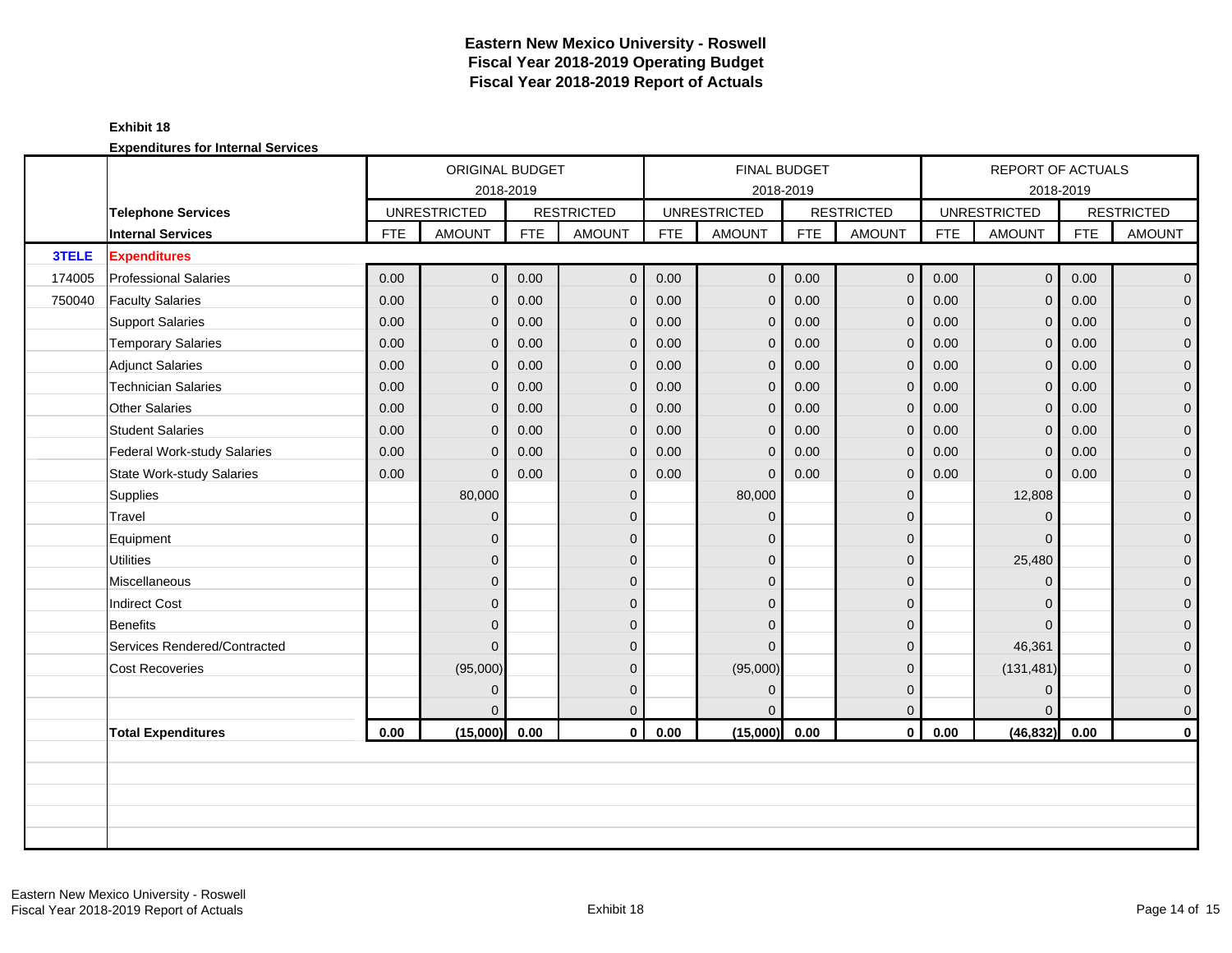#### **Exhibit 18**

|        |                              |            | ORIGINAL BUDGET     |            |                   |            |                     | <b>FINAL BUDGET</b> |                   |            | REPORT OF ACTUALS   |            |                   |
|--------|------------------------------|------------|---------------------|------------|-------------------|------------|---------------------|---------------------|-------------------|------------|---------------------|------------|-------------------|
|        |                              |            | 2018-2019           |            |                   |            |                     | 2018-2019           |                   |            |                     | 2018-2019  |                   |
|        | <b>Telephone Services</b>    |            | <b>UNRESTRICTED</b> |            | <b>RESTRICTED</b> |            | <b>UNRESTRICTED</b> |                     | <b>RESTRICTED</b> |            | <b>UNRESTRICTED</b> |            | <b>RESTRICTED</b> |
|        | <b>Internal Services</b>     | <b>FTE</b> | <b>AMOUNT</b>       | <b>FTE</b> | <b>AMOUNT</b>     | <b>FTE</b> | <b>AMOUNT</b>       | <b>FTE</b>          | <b>AMOUNT</b>     | <b>FTE</b> | <b>AMOUNT</b>       | <b>FTE</b> | <b>AMOUNT</b>     |
| 3TELE  | <b>Expenditures</b>          |            |                     |            |                   |            |                     |                     |                   |            |                     |            |                   |
| 174005 | <b>Professional Salaries</b> | 0.00       | $\overline{0}$      | 0.00       | $\mathbf{0}$      | 0.00       | $\mathbf{0}$        | 0.00                | $\mathbf 0$       | 0.00       | $\overline{0}$      | 0.00       | $\overline{0}$    |
| 750040 | <b>Faculty Salaries</b>      | 0.00       | $\overline{0}$      | 0.00       | $\mathbf 0$       | 0.00       | $\mathbf 0$         | 0.00                | $\mathbf 0$       | 0.00       | $\mathbf{0}$        | 0.00       | $\overline{0}$    |
|        | <b>Support Salaries</b>      | 0.00       | $\overline{0}$      | 0.00       | $\overline{0}$    | 0.00       | $\mathbf{0}$        | 0.00                | $\Omega$          | 0.00       | $\mathbf{0}$        | 0.00       | $\overline{0}$    |
|        | <b>Temporary Salaries</b>    | 0.00       | $\overline{0}$      | 0.00       | $\overline{0}$    | 0.00       | $\mathbf{0}$        | 0.00                | $\mathbf{0}$      | 0.00       | $\mathbf 0$         | 0.00       | $\overline{0}$    |
|        | <b>Adjunct Salaries</b>      | 0.00       | $\mathbf{0}$        | 0.00       | $\overline{0}$    | 0.00       | $\mathbf{0}$        | 0.00                | $\mathbf{0}$      | 0.00       | $\mathbf{0}$        | 0.00       | $\overline{0}$    |
|        | <b>Technician Salaries</b>   | 0.00       | $\Omega$            | 0.00       | $\mathbf 0$       | 0.00       | $\mathbf{0}$        | 0.00                | $\Omega$          | 0.00       | $\mathbf{0}$        | 0.00       | 0                 |
|        | Other Salaries               | 0.00       | $\Omega$            | 0.00       | $\mathbf{0}$      | 0.00       | $\mathbf{0}$        | 0.00                | $\mathbf{0}$      | 0.00       | $\mathbf{0}$        | 0.00       | $\overline{0}$    |
|        | <b>Student Salaries</b>      | 0.00       | $\overline{0}$      | 0.00       | $\overline{0}$    | 0.00       | $\mathbf{0}$        | 0.00                | $\mathbf{0}$      | 0.00       | $\mathbf{0}$        | 0.00       | $\overline{0}$    |
|        | Federal Work-study Salaries  | 0.00       | $\mathbf{0}$        | 0.00       | $\mathbf 0$       | 0.00       | $\mathbf{0}$        | 0.00                | $\mathbf{0}$      | 0.00       | $\mathbf 0$         | 0.00       | $\overline{0}$    |
|        | State Work-study Salaries    | 0.00       | $\Omega$            | 0.00       | $\overline{0}$    | 0.00       | $\mathbf{0}$        | 0.00                | $\mathbf{0}$      | 0.00       | $\mathbf{0}$        | 0.00       | 0                 |
|        | Supplies                     |            | 80,000              |            | $\mathbf 0$       |            | 80,000              |                     | $\mathbf{0}$      |            | 12,808              |            | $\overline{0}$    |
|        | Travel                       |            | $\mathbf{0}$        |            | $\mathbf 0$       |            | $\Omega$            |                     | $\mathbf{0}$      |            | $\mathbf{0}$        |            | $\overline{0}$    |
|        | Equipment                    |            | $\overline{0}$      |            | $\mathbf{0}$      |            | $\Omega$            |                     | $\mathbf{0}$      |            | $\Omega$            |            | $\overline{0}$    |
|        | <b>Utilities</b>             |            | $\overline{0}$      |            | $\mathbf 0$       |            | $\Omega$            |                     | $\mathbf{0}$      |            | 25,480              |            | $\overline{0}$    |
|        | Miscellaneous                |            | $\overline{0}$      |            | $\mathbf 0$       |            | $\Omega$            |                     | $\mathbf{0}$      |            | $\mathbf{0}$        |            | $\overline{0}$    |
|        | <b>Indirect Cost</b>         |            | $\overline{0}$      |            | $\mathbf 0$       |            | $\Omega$            |                     | $\mathbf{0}$      |            | $\Omega$            |            | $\overline{0}$    |
|        | Benefits                     |            | $\overline{0}$      |            | $\Omega$          |            | $\Omega$            |                     | $\Omega$          |            | $\Omega$            |            | $\overline{0}$    |
|        | Services Rendered/Contracted |            | $\Omega$            |            | $\Omega$          |            | $\Omega$            |                     | $\Omega$          |            | 46,361              |            | $\overline{0}$    |
|        | <b>Cost Recoveries</b>       |            | (95,000)            |            | $\mathbf 0$       |            | (95,000)            |                     | $\mathbf{0}$      |            | (131, 481)          |            | $\overline{0}$    |
|        |                              |            | $\Omega$            |            | $\mathbf{0}$      |            | $\Omega$            |                     | $\mathbf{0}$      |            | $\mathbf{0}$        |            | 0                 |
|        |                              |            | $\Omega$            |            | $\mathbf{0}$      |            |                     |                     | $\mathbf{0}$      |            | $\Omega$            |            | $\overline{0}$    |
|        | <b>Total Expenditures</b>    | 0.00       | (15,000)            | 0.00       | $\mathbf{0}$      | 0.00       | (15,000)            | 0.00                | $\mathbf 0$       | 0.00       | (46, 832)           | 0.00       | $\mathbf 0$       |
|        |                              |            |                     |            |                   |            |                     |                     |                   |            |                     |            |                   |
|        |                              |            |                     |            |                   |            |                     |                     |                   |            |                     |            |                   |
|        |                              |            |                     |            |                   |            |                     |                     |                   |            |                     |            |                   |
|        |                              |            |                     |            |                   |            |                     |                     |                   |            |                     |            |                   |
|        |                              |            |                     |            |                   |            |                     |                     |                   |            |                     |            |                   |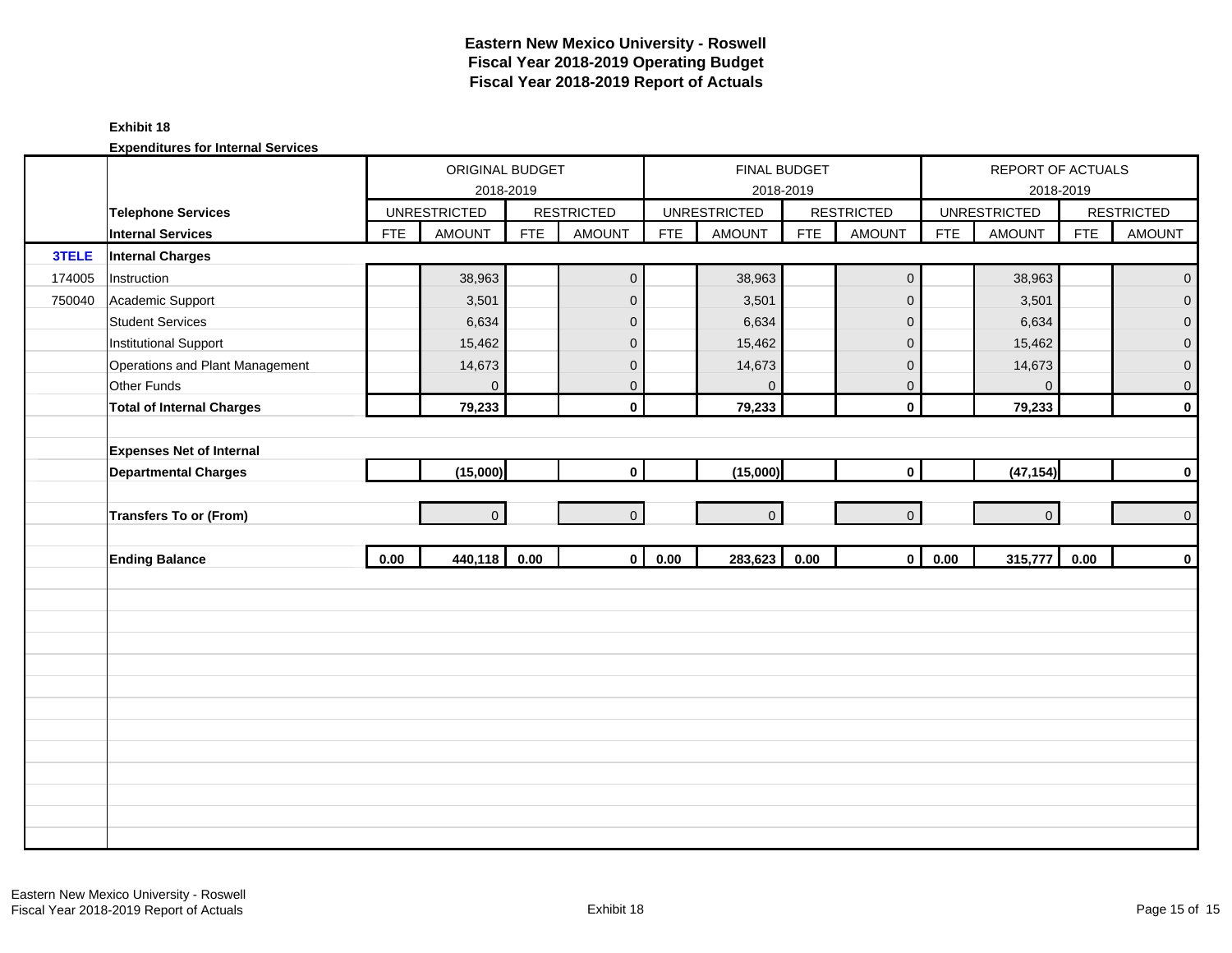#### **Exhibit 18**

|        |                                  |            | ORIGINAL BUDGET     |            |                   |            | FINAL BUDGET        |            |                   |            | REPORT OF ACTUALS   |            |                   |
|--------|----------------------------------|------------|---------------------|------------|-------------------|------------|---------------------|------------|-------------------|------------|---------------------|------------|-------------------|
|        |                                  |            | 2018-2019           |            |                   |            |                     | 2018-2019  |                   |            |                     | 2018-2019  |                   |
|        | <b>Telephone Services</b>        |            | <b>UNRESTRICTED</b> |            | <b>RESTRICTED</b> |            | <b>UNRESTRICTED</b> |            | <b>RESTRICTED</b> |            | <b>UNRESTRICTED</b> |            | <b>RESTRICTED</b> |
|        | <b>Internal Services</b>         | <b>FTE</b> | <b>AMOUNT</b>       | <b>FTE</b> | <b>AMOUNT</b>     | <b>FTE</b> | <b>AMOUNT</b>       | <b>FTE</b> | <b>AMOUNT</b>     | <b>FTE</b> | AMOUNT              | <b>FTE</b> | <b>AMOUNT</b>     |
| 3TELE  | <b>Internal Charges</b>          |            |                     |            |                   |            |                     |            |                   |            |                     |            |                   |
| 174005 | Instruction                      |            | 38,963              |            | $\mathbf 0$       |            | 38,963              |            | $\mathbf 0$       |            | 38,963              |            | $\mathbf{O}$      |
| 750040 | Academic Support                 |            | 3,501               |            | $\mathbf{0}$      |            | 3,501               |            | $\mathbf 0$       |            | 3,501               |            | $\overline{0}$    |
|        | <b>Student Services</b>          |            | 6,634               |            | $\mathbf 0$       |            | 6,634               |            | $\mathbf 0$       |            | 6,634               |            | $\overline{0}$    |
|        | <b>Institutional Support</b>     |            | 15,462              |            | $\mathbf 0$       |            | 15,462              |            | $\mathbf 0$       |            | 15,462              |            | 0                 |
|        | Operations and Plant Management  |            | 14,673              |            | $\mathbf 0$       |            | 14,673              |            | $\pmb{0}$         |            | 14,673              |            | $\overline{0}$    |
|        | Other Funds                      |            | $\Omega$            |            | $\mathbf{0}$      |            | $\Omega$            |            | $\mathbf 0$       |            | $\mathbf{0}$        |            | $\mathbf{0}$      |
|        | <b>Total of Internal Charges</b> |            | 79,233              |            | $\mathbf{0}$      |            | 79,233              |            | $\mathbf 0$       |            | 79,233              |            | $\mathbf 0$       |
|        |                                  |            |                     |            |                   |            |                     |            |                   |            |                     |            |                   |
|        | <b>Expenses Net of Internal</b>  |            |                     |            |                   |            |                     |            |                   |            |                     |            |                   |
|        | <b>Departmental Charges</b>      |            | (15,000)            |            | $\mathbf{0}$      |            | (15,000)            |            | $\mathbf 0$       |            | (47, 154)           |            | $\mathbf 0$       |
|        |                                  |            |                     |            |                   |            |                     |            |                   |            |                     |            |                   |
|        | Transfers To or (From)           |            | $\overline{0}$      |            | $\mathbf{0}$      |            | $\Omega$            |            | $\mathbf{0}$      |            | $\Omega$            |            | $\mathbf{0}$      |
|        |                                  |            |                     |            |                   |            |                     |            |                   |            |                     |            |                   |
|        | <b>Ending Balance</b>            | 0.00       | 440,118             | 0.00       | $\mathbf{0}$      | 0.00       | 283,623             | 0.00       | $\mathbf 0$       | 0.00       | 315,777             | 0.00       | $\mathbf 0$       |
|        |                                  |            |                     |            |                   |            |                     |            |                   |            |                     |            |                   |
|        |                                  |            |                     |            |                   |            |                     |            |                   |            |                     |            |                   |
|        |                                  |            |                     |            |                   |            |                     |            |                   |            |                     |            |                   |
|        |                                  |            |                     |            |                   |            |                     |            |                   |            |                     |            |                   |
|        |                                  |            |                     |            |                   |            |                     |            |                   |            |                     |            |                   |
|        |                                  |            |                     |            |                   |            |                     |            |                   |            |                     |            |                   |
|        |                                  |            |                     |            |                   |            |                     |            |                   |            |                     |            |                   |
|        |                                  |            |                     |            |                   |            |                     |            |                   |            |                     |            |                   |
|        |                                  |            |                     |            |                   |            |                     |            |                   |            |                     |            |                   |
|        |                                  |            |                     |            |                   |            |                     |            |                   |            |                     |            |                   |
|        |                                  |            |                     |            |                   |            |                     |            |                   |            |                     |            |                   |
|        |                                  |            |                     |            |                   |            |                     |            |                   |            |                     |            |                   |
|        |                                  |            |                     |            |                   |            |                     |            |                   |            |                     |            |                   |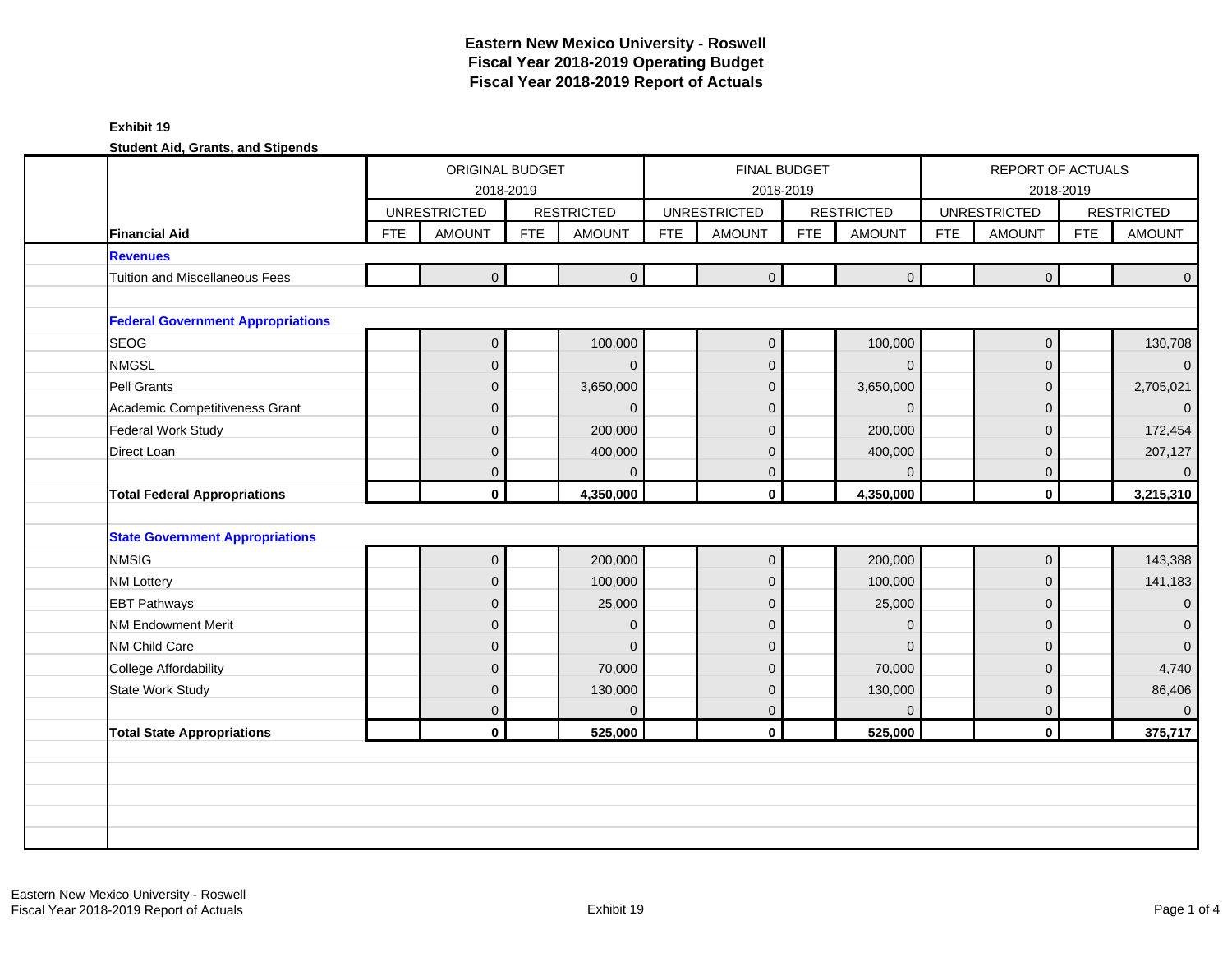|                                          |            | ORIGINAL BUDGET                  |            |                        |            | <b>FINAL BUDGET</b>              |                             |                         |            | REPORT OF ACTUALS                |            |                         |
|------------------------------------------|------------|----------------------------------|------------|------------------------|------------|----------------------------------|-----------------------------|-------------------------|------------|----------------------------------|------------|-------------------------|
|                                          |            | 2018-2019<br><b>UNRESTRICTED</b> |            | <b>RESTRICTED</b>      |            | 2018-2019<br><b>UNRESTRICTED</b> | <b>RESTRICTED</b>           |                         |            | 2018-2019<br><b>UNRESTRICTED</b> |            | <b>RESTRICTED</b>       |
| <b>Financial Aid</b>                     | <b>FTE</b> | <b>AMOUNT</b>                    | <b>FTE</b> | <b>AMOUNT</b>          | <b>FTE</b> | <b>AMOUNT</b>                    | <b>FTE</b><br><b>AMOUNT</b> |                         | <b>FTE</b> | <b>AMOUNT</b>                    | <b>FTE</b> | <b>AMOUNT</b>           |
| <b>Revenues</b>                          |            |                                  |            |                        |            |                                  |                             |                         |            |                                  |            |                         |
| <b>Tuition and Miscellaneous Fees</b>    |            | $\overline{0}$                   |            | $\mathbf{0}$           |            | $\overline{0}$                   |                             | $\overline{0}$          |            | $\overline{0}$                   |            | $\Omega$                |
| <b>Federal Government Appropriations</b> |            |                                  |            |                        |            |                                  |                             |                         |            |                                  |            |                         |
| <b>SEOG</b>                              |            | $\overline{0}$                   |            | 100,000                |            | $\mathbf 0$                      |                             | 100,000                 |            | $\overline{0}$                   |            | 130,708                 |
| <b>NMGSL</b>                             |            | $\overline{0}$                   |            | $\Omega$               |            | $\Omega$                         |                             | $\Omega$                |            | $\mathbf{0}$                     |            | $\overline{0}$          |
| Pell Grants                              |            | $\overline{0}$                   |            | 3,650,000              |            | $\Omega$                         | 3,650,000                   |                         |            | $\mathbf 0$                      |            | 2,705,021               |
| Academic Competitiveness Grant           |            | $\Omega$                         |            | $\Omega$               |            | $\Omega$                         |                             | $\Omega$                |            | $\overline{0}$                   |            | $\Omega$                |
| Federal Work Study                       |            | $\overline{0}$                   |            | 200,000                |            | $\Omega$                         |                             | 200,000                 |            | $\mathbf{0}$                     |            | 172,454                 |
| Direct Loan                              |            | $\overline{0}$                   |            | 400,000                |            | 0                                |                             | 400,000                 |            | $\mathbf 0$                      |            | 207,127                 |
|                                          |            | $\mathbf{0}$                     |            | $\Omega$               |            | $\Omega$                         |                             | $\Omega$                |            | $\mathbf 0$                      |            | $\overline{0}$          |
| <b>Total Federal Appropriations</b>      |            | $\mathbf{0}$                     |            | 4,350,000              |            | $\mathbf{0}$                     | 4,350,000                   |                         |            | $\mathbf{0}$                     |            | 3,215,310               |
|                                          |            |                                  |            |                        |            |                                  |                             |                         |            |                                  |            |                         |
| <b>State Government Appropriations</b>   |            |                                  |            |                        |            |                                  |                             |                         |            |                                  |            |                         |
| <b>NMSIG</b>                             |            | $\overline{0}$                   |            | 200,000                |            | $\mathbf{0}$                     |                             | 200,000                 |            | $\mathbf 0$                      |            | 143,388                 |
| <b>NM Lottery</b>                        |            | $\overline{0}$                   |            | 100,000                |            | 0                                |                             | 100,000                 |            | $\mathbf 0$                      |            | 141,183                 |
| <b>EBT Pathways</b>                      |            | $\mathbf{0}$                     |            | 25,000                 |            | $\Omega$                         |                             | 25,000                  |            | $\mathbf{0}$                     |            | $\overline{0}$          |
| <b>NM Endowment Merit</b>                |            | $\overline{0}$                   |            | $\mathbf{0}$           |            | $\Omega$                         |                             | $\Omega$                |            |                                  |            | $\overline{0}$          |
|                                          |            |                                  |            |                        |            |                                  |                             |                         |            | $\overline{0}$                   |            |                         |
| NM Child Care                            |            | $\overline{0}$                   |            | $\Omega$               |            | 0                                |                             | $\Omega$                |            | $\mathbf{0}$                     |            | $\overline{0}$          |
| College Affordability                    |            | $\mathbf{0}$                     |            | 70,000                 |            | $\Omega$                         |                             | 70,000                  |            | $\overline{0}$                   |            | 4,740                   |
| <b>State Work Study</b>                  |            | $\overline{0}$                   |            | 130,000                |            | 0                                |                             | 130,000                 |            | $\mathbf 0$                      |            | 86,406                  |
| <b>Total State Appropriations</b>        |            | $\overline{0}$<br>$\mathbf{0}$   |            | $\mathbf 0$<br>525,000 |            | 0<br>$\mathbf{0}$                |                             | $\mathbf{0}$<br>525,000 |            | $\mathbf 0$<br>$\mathbf 0$       |            | $\mathbf{0}$<br>375,717 |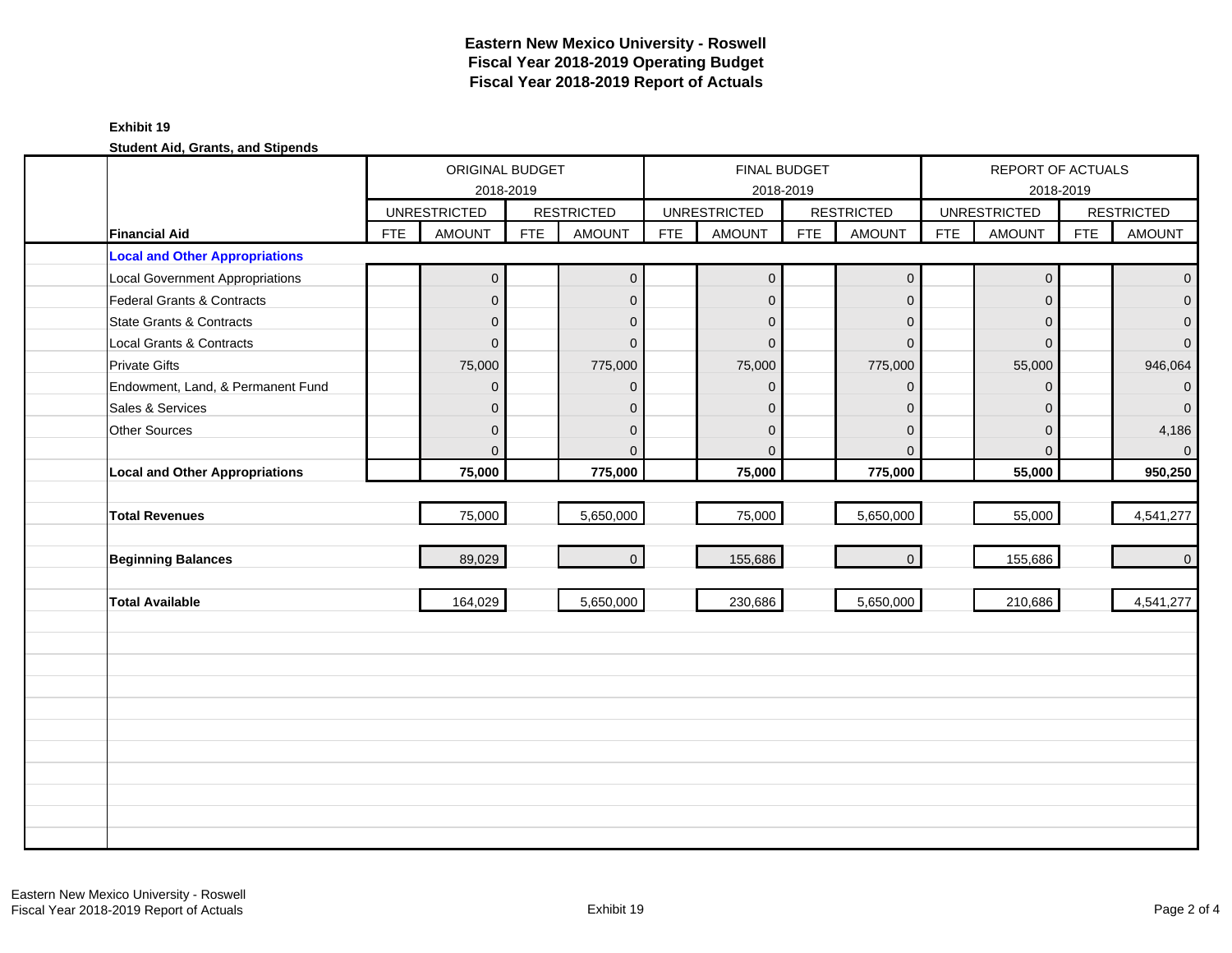|                                        |            | ORIGINAL BUDGET     | 2018-2019  |                   |            |                     | <b>FINAL BUDGET</b><br>2018-2019 |                   |            | REPORT OF ACTUALS   | 2018-2019  |                   |
|----------------------------------------|------------|---------------------|------------|-------------------|------------|---------------------|----------------------------------|-------------------|------------|---------------------|------------|-------------------|
|                                        |            | <b>UNRESTRICTED</b> |            | <b>RESTRICTED</b> |            | <b>UNRESTRICTED</b> |                                  | <b>RESTRICTED</b> |            | <b>UNRESTRICTED</b> |            | <b>RESTRICTED</b> |
| <b>Financial Aid</b>                   | <b>FTE</b> | <b>AMOUNT</b>       | <b>FTE</b> | <b>AMOUNT</b>     | <b>FTE</b> | <b>AMOUNT</b>       | <b>FTE</b>                       | <b>AMOUNT</b>     | <b>FTE</b> | <b>AMOUNT</b>       | <b>FTE</b> | <b>AMOUNT</b>     |
| <b>Local and Other Appropriations</b>  |            |                     |            |                   |            |                     |                                  |                   |            |                     |            |                   |
| <b>Local Government Appropriations</b> |            | $\overline{0}$      |            | $\overline{0}$    |            | $\mathbf 0$         |                                  | $\mathbf 0$       |            | $\mathbf 0$         |            | $\overline{0}$    |
| Federal Grants & Contracts             |            | $\mathbf 0$         |            | $\overline{0}$    |            | $\Omega$            |                                  | $\mathbf{0}$      |            | $\Omega$            |            | $\overline{0}$    |
| <b>State Grants &amp; Contracts</b>    |            | $\overline{0}$      |            | $\mathbf{0}$      |            | $\Omega$            |                                  | $\mathbf{0}$      |            | $\Omega$            |            | $\overline{0}$    |
| Local Grants & Contracts               |            | $\overline{0}$      |            | $\Omega$          |            | $\Omega$            |                                  | $\Omega$          |            | $\Omega$            |            | $\overline{0}$    |
| <b>Private Gifts</b>                   |            | 75,000              |            | 775,000           |            | 75,000              |                                  | 775,000           |            | 55,000              |            | 946,064           |
| Endowment, Land, & Permanent Fund      |            | $\overline{0}$      |            | $\Omega$          |            | $\Omega$            |                                  | $\mathbf{0}$      |            | $\Omega$            |            | $\overline{0}$    |
| Sales & Services                       |            | $\overline{0}$      |            | $\mathbf{0}$      |            | $\Omega$            |                                  | $\mathbf{0}$      |            | $\Omega$            |            | $\overline{0}$    |
| Other Sources                          |            | $\overline{0}$      |            | $\mathbf{0}$      |            | $\Omega$            |                                  | $\mathbf{0}$      |            | $\Omega$            |            | 4,186             |
|                                        |            | $\Omega$            |            | $\Omega$          |            | $\Omega$            |                                  | $\Omega$          |            | $\Omega$            |            | $\overline{0}$    |
| <b>Local and Other Appropriations</b>  |            | 75,000              |            | 775,000           |            | 75,000              |                                  | 775,000           |            | 55,000              |            | 950,250           |
|                                        |            |                     |            |                   |            |                     |                                  |                   |            |                     |            |                   |
| <b>Total Revenues</b>                  |            | 75,000              |            | 5,650,000         |            | 75,000              |                                  | 5,650,000         |            | 55,000              |            | 4,541,277         |
|                                        |            |                     |            |                   |            |                     |                                  |                   |            |                     |            |                   |
| <b>Beginning Balances</b>              |            | 89,029              |            | $\mathbf{0}$      |            | 155,686             |                                  | $\mathbf{O}$      |            | 155,686             |            | $\overline{0}$    |
|                                        |            |                     |            |                   |            |                     |                                  |                   |            |                     |            |                   |
| <b>Total Available</b>                 |            | 164,029             |            | 5,650,000         |            | 230,686             |                                  | 5,650,000         |            | 210,686             |            | 4,541,277         |
|                                        |            |                     |            |                   |            |                     |                                  |                   |            |                     |            |                   |
|                                        |            |                     |            |                   |            |                     |                                  |                   |            |                     |            |                   |
|                                        |            |                     |            |                   |            |                     |                                  |                   |            |                     |            |                   |
|                                        |            |                     |            |                   |            |                     |                                  |                   |            |                     |            |                   |
|                                        |            |                     |            |                   |            |                     |                                  |                   |            |                     |            |                   |
|                                        |            |                     |            |                   |            |                     |                                  |                   |            |                     |            |                   |
|                                        |            |                     |            |                   |            |                     |                                  |                   |            |                     |            |                   |
|                                        |            |                     |            |                   |            |                     |                                  |                   |            |                     |            |                   |
|                                        |            |                     |            |                   |            |                     |                                  |                   |            |                     |            |                   |
|                                        |            |                     |            |                   |            |                     |                                  |                   |            |                     |            |                   |
|                                        |            |                     |            |                   |            |                     |                                  |                   |            |                     |            |                   |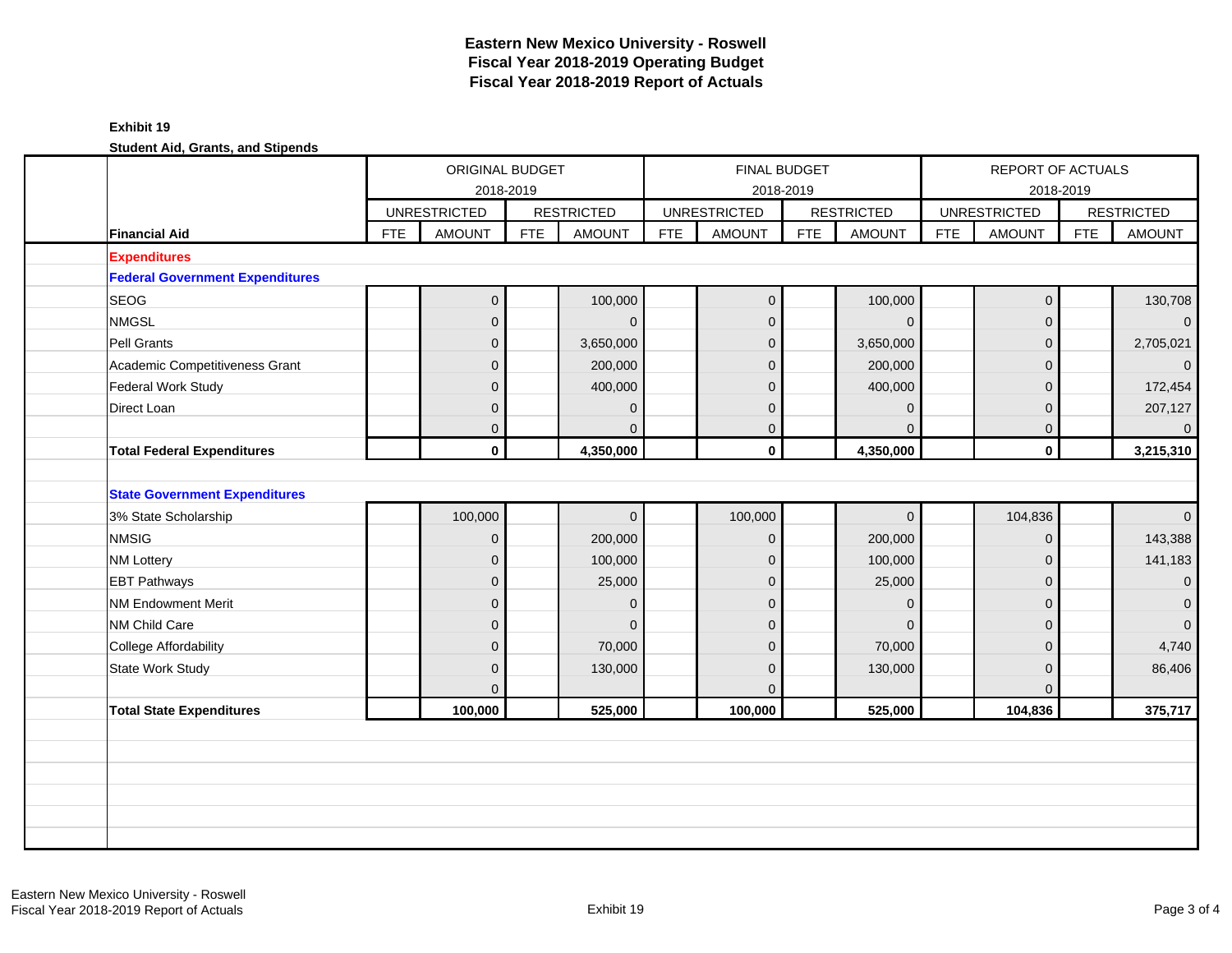|              |                                        |     | ORIGINAL BUDGET     | 2018-2019  |                   |            | FINAL BUDGET        | 2018-2019  |                   |            | REPORT OF ACTUALS   | 2018-2019  |                   |
|--------------|----------------------------------------|-----|---------------------|------------|-------------------|------------|---------------------|------------|-------------------|------------|---------------------|------------|-------------------|
|              |                                        |     | <b>UNRESTRICTED</b> |            | <b>RESTRICTED</b> |            | <b>UNRESTRICTED</b> |            | <b>RESTRICTED</b> |            | <b>UNRESTRICTED</b> |            | <b>RESTRICTED</b> |
|              | <b>Financial Aid</b>                   | FTE | <b>AMOUNT</b>       | <b>FTE</b> | <b>AMOUNT</b>     | <b>FTE</b> | <b>AMOUNT</b>       | <b>FTE</b> | <b>AMOUNT</b>     | <b>FTE</b> | <b>AMOUNT</b>       | <b>FTE</b> | <b>AMOUNT</b>     |
|              | <b>Expenditures</b>                    |     |                     |            |                   |            |                     |            |                   |            |                     |            |                   |
|              | <b>Federal Government Expenditures</b> |     |                     |            |                   |            |                     |            |                   |            |                     |            |                   |
| <b>SEOG</b>  |                                        |     | $\overline{0}$      |            | 100,000           |            | $\mathbf 0$         |            | 100,000           |            | $\mathbf 0$         |            | 130,708           |
| <b>NMGSL</b> |                                        |     | $\overline{0}$      |            | $\Omega$          |            | $\mathbf{0}$        |            | $\Omega$          |            | $\mathbf{0}$        |            | $\overline{0}$    |
|              | Pell Grants                            |     | $\mathbf 0$         |            | 3,650,000         |            | $\mathbf{0}$        |            | 3,650,000         |            | $\mathbf{0}$        |            | 2,705,021         |
|              | Academic Competitiveness Grant         |     | $\mathbf 0$         |            | 200,000           |            | $\mathbf{0}$        |            | 200,000           |            | $\mathbf 0$         |            | $\mathbf{0}$      |
|              | Federal Work Study                     |     | $\overline{0}$      |            | 400,000           |            | $\overline{0}$      |            | 400,000           |            | $\mathbf{0}$        |            | 172,454           |
|              | Direct Loan                            |     | $\overline{0}$      |            | $\Omega$          |            | $\mathbf{0}$        |            | $\mathbf{0}$      |            | $\Omega$            |            | 207,127           |
|              |                                        |     | $\overline{0}$      |            | $\Omega$          |            | $\overline{0}$      |            | $\Omega$          |            | $\overline{0}$      |            | $\overline{0}$    |
|              | <b>Total Federal Expenditures</b>      |     | $\mathbf 0$         |            | 4,350,000         |            | $\mathbf 0$         |            | 4,350,000         |            | $\mathbf 0$         |            | 3,215,310         |
|              | <b>State Government Expenditures</b>   |     |                     |            |                   |            |                     |            |                   |            |                     |            |                   |
|              | 3% State Scholarship                   |     | 100,000             |            | $\mathbf{0}$      |            | 100,000             |            | $\overline{0}$    |            | 104,836             |            | $\Omega$          |
| <b>NMSIG</b> |                                        |     | $\mathbf 0$         |            | 200,000           |            | $\mathbf{0}$        |            | 200,000           |            | $\overline{0}$      |            | 143,388           |
|              | <b>NM Lottery</b>                      |     | $\mathbf 0$         |            | 100,000           |            | $\mathbf 0$         |            | 100,000           |            | $\mathbf 0$         |            | 141,183           |
|              | <b>EBT Pathways</b>                    |     | $\overline{0}$      |            | 25,000            |            | $\mathbf{0}$        |            | 25,000            |            | $\mathbf{0}$        |            | $\overline{0}$    |
|              | <b>NM Endowment Merit</b>              |     | $\overline{0}$      |            | $\Omega$          |            | $\mathbf{0}$        |            | $\mathbf{0}$      |            | $\Omega$            |            | $\mathbf 0$       |
|              | NM Child Care                          |     | $\overline{0}$      |            | $\mathbf{0}$      |            | $\overline{0}$      |            | $\Omega$          |            | $\mathbf{0}$        |            | $\overline{0}$    |
|              | <b>College Affordability</b>           |     | $\overline{0}$      |            | 70,000            |            | $\overline{0}$      |            | 70,000            |            | $\mathbf{0}$        |            | 4,740             |
|              | <b>State Work Study</b>                |     | $\overline{0}$      |            | 130,000           |            | $\mathbf{0}$        |            | 130,000           |            | $\mathbf{0}$        |            | 86,406            |
|              |                                        |     | $\Omega$            |            |                   |            | $\Omega$            |            |                   |            | $\Omega$            |            |                   |
|              | <b>Total State Expenditures</b>        |     | 100,000             |            | 525,000           |            | 100,000             |            | 525,000           |            | 104,836             |            | 375,717           |
|              |                                        |     |                     |            |                   |            |                     |            |                   |            |                     |            |                   |
|              |                                        |     |                     |            |                   |            |                     |            |                   |            |                     |            |                   |
|              |                                        |     |                     |            |                   |            |                     |            |                   |            |                     |            |                   |
|              |                                        |     |                     |            |                   |            |                     |            |                   |            |                     |            |                   |
|              |                                        |     |                     |            |                   |            |                     |            |                   |            |                     |            |                   |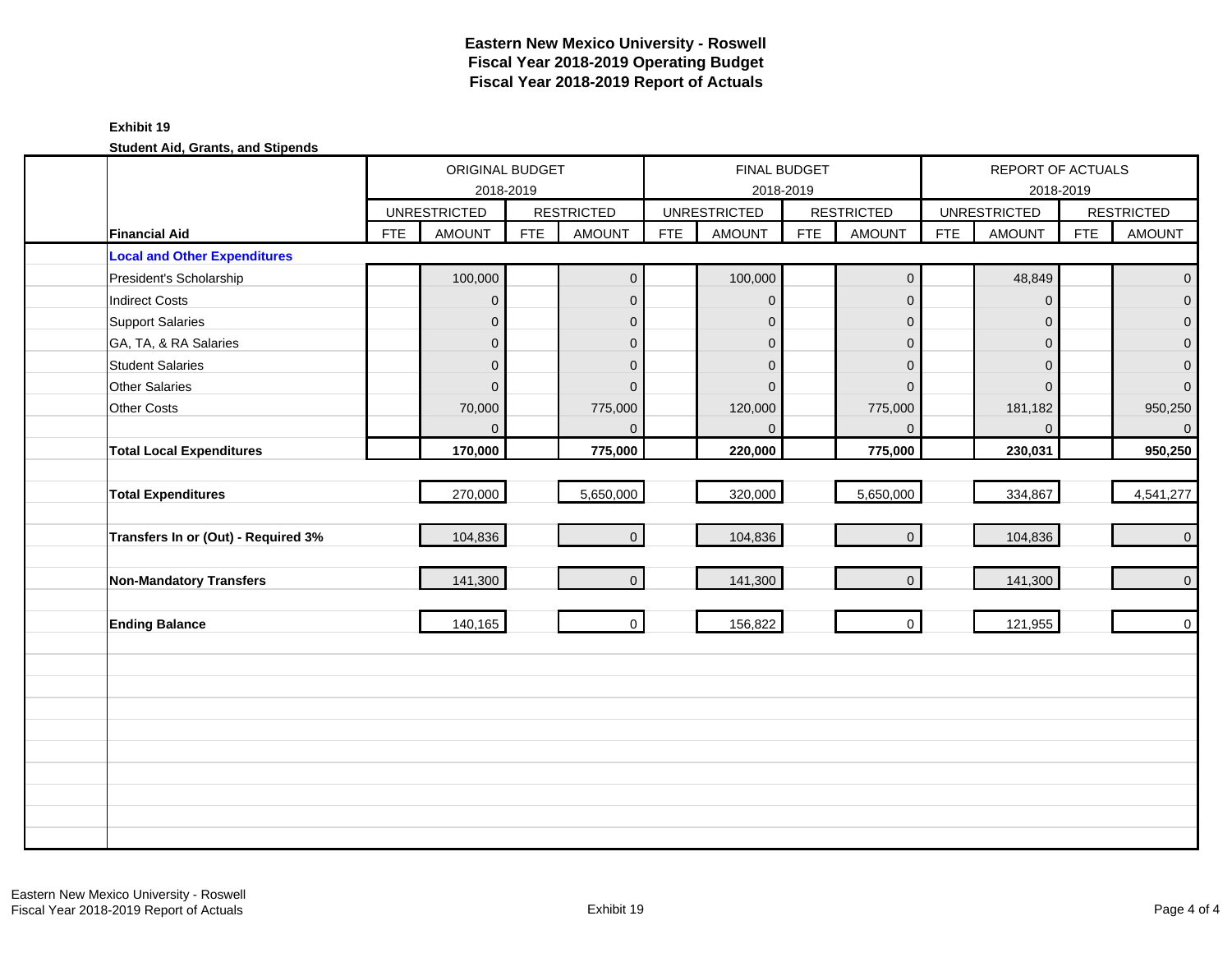#### **Exhibit 19**

|                                     |            | ORIGINAL BUDGET                  |            |                   |            | <b>FINAL BUDGET</b>              |            |                     |            | REPORT OF ACTUALS                |            |                     |
|-------------------------------------|------------|----------------------------------|------------|-------------------|------------|----------------------------------|------------|---------------------|------------|----------------------------------|------------|---------------------|
|                                     |            | 2018-2019<br><b>UNRESTRICTED</b> |            | <b>RESTRICTED</b> |            | 2018-2019<br><b>UNRESTRICTED</b> |            | <b>RESTRICTED</b>   |            | 2018-2019<br><b>UNRESTRICTED</b> |            | <b>RESTRICTED</b>   |
| <b>Financial Aid</b>                | <b>FTE</b> | <b>AMOUNT</b>                    | <b>FTE</b> | <b>AMOUNT</b>     | <b>FTE</b> | <b>AMOUNT</b>                    | <b>FTE</b> | <b>AMOUNT</b>       | <b>FTE</b> | <b>AMOUNT</b>                    | <b>FTE</b> | <b>AMOUNT</b>       |
| <b>Local and Other Expenditures</b> |            |                                  |            |                   |            |                                  |            |                     |            |                                  |            |                     |
| President's Scholarship             |            | 100,000                          |            | $\mathbf{0}$      |            | 100,000                          |            | $\mathbf 0$         |            | 48,849                           |            | $\mathbf 0$         |
| <b>Indirect Costs</b>               |            | $\boldsymbol{0}$                 |            | $\mathbf 0$       |            | $\mathbf 0$                      |            | $\overline{0}$      |            | $\overline{0}$                   |            | $\mathbf 0$         |
| <b>Support Salaries</b>             |            | $\mathbf{0}$                     |            | $\mathbf{0}$      |            | $\mathbf{0}$                     |            | 0                   |            | $\Omega$                         |            | $\overline{0}$      |
| GA, TA, & RA Salaries               |            | $\pmb{0}$                        |            | $\mathbf{0}$      |            | $\mathbf 0$                      |            | 0                   |            | $\mathbf{0}$                     |            | $\overline{0}$      |
| <b>Student Salaries</b>             |            | $\boldsymbol{0}$                 |            | $\mathbf{0}$      |            | $\mathbf{0}$                     |            | 0                   |            | $\Omega$                         |            | $\pmb{0}$           |
| <b>Other Salaries</b>               |            | $\Omega$                         |            | $\Omega$          |            | $\Omega$                         |            | $\Omega$            |            | $\Omega$                         |            | $\mathsf{O}\xspace$ |
| Other Costs                         |            | 70,000                           |            | 775,000           |            | 120,000                          |            | 775,000             |            | 181,182                          |            | 950,250             |
|                                     |            | $\Omega$                         |            | $\Omega$          |            | $\Omega$                         |            | $\Omega$            |            | $\Omega$                         |            | $\mathsf{O}\xspace$ |
| <b>Total Local Expenditures</b>     |            | 170,000                          |            | 775,000           |            | 220,000                          |            | 775,000             |            | 230,031                          |            | 950,250             |
|                                     |            |                                  |            |                   |            |                                  |            |                     |            |                                  |            |                     |
| <b>Total Expenditures</b>           |            | 270,000                          |            | 5,650,000         |            | 320,000                          |            | 5,650,000           |            | 334,867                          |            | 4,541,277           |
|                                     |            |                                  |            |                   |            |                                  |            |                     |            |                                  |            |                     |
| Transfers In or (Out) - Required 3% |            | 104,836                          |            | $\overline{0}$    |            | 104,836                          |            | $\mathsf{O}\xspace$ |            | 104,836                          |            | $\mathbf 0$         |
|                                     |            |                                  |            |                   |            |                                  |            |                     |            |                                  |            |                     |
| <b>Non-Mandatory Transfers</b>      |            | 141,300                          |            | $\mathbf{0}$      |            | 141,300                          |            | $\mathbf 0$         |            | 141,300                          |            | $\mathsf{O}\xspace$ |
|                                     |            |                                  |            |                   |            |                                  |            |                     |            |                                  |            |                     |
| <b>Ending Balance</b>               |            | 140,165                          |            | $\overline{0}$    |            | 156,822                          |            | $\mathbf 0$         |            | 121,955                          |            | $\overline{0}$      |
|                                     |            |                                  |            |                   |            |                                  |            |                     |            |                                  |            |                     |
|                                     |            |                                  |            |                   |            |                                  |            |                     |            |                                  |            |                     |
|                                     |            |                                  |            |                   |            |                                  |            |                     |            |                                  |            |                     |
|                                     |            |                                  |            |                   |            |                                  |            |                     |            |                                  |            |                     |
|                                     |            |                                  |            |                   |            |                                  |            |                     |            |                                  |            |                     |
|                                     |            |                                  |            |                   |            |                                  |            |                     |            |                                  |            |                     |
|                                     |            |                                  |            |                   |            |                                  |            |                     |            |                                  |            |                     |
|                                     |            |                                  |            |                   |            |                                  |            |                     |            |                                  |            |                     |
|                                     |            |                                  |            |                   |            |                                  |            |                     |            |                                  |            |                     |
|                                     |            |                                  |            |                   |            |                                  |            |                     |            |                                  |            |                     |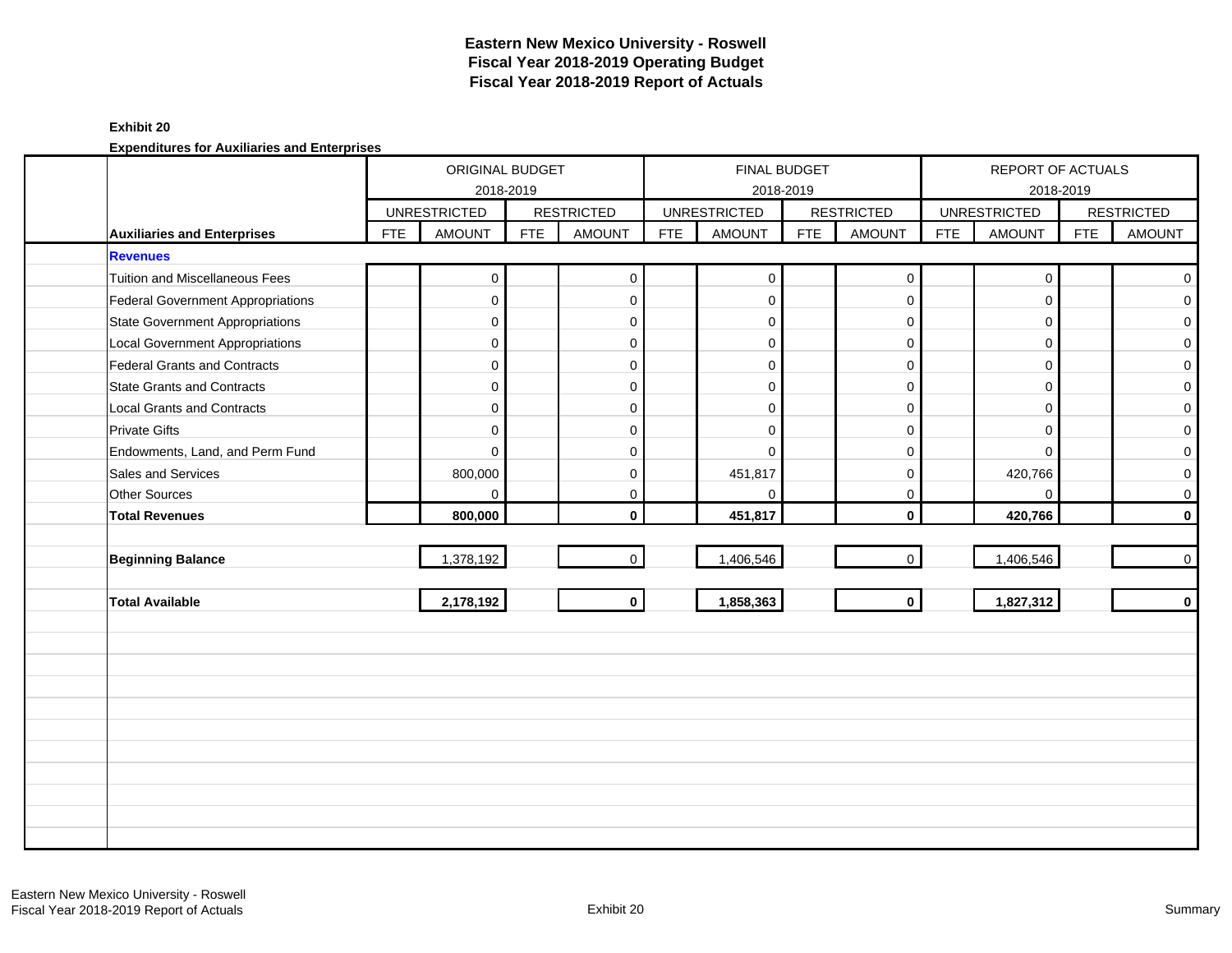#### **Exhibit 20**

|                                        |            | ORIGINAL BUDGET     |            |                   |            | <b>FINAL BUDGET</b> |            |                     |            | REPORT OF ACTUALS   |            |                   |
|----------------------------------------|------------|---------------------|------------|-------------------|------------|---------------------|------------|---------------------|------------|---------------------|------------|-------------------|
|                                        |            | 2018-2019           |            |                   |            | 2018-2019           |            |                     |            |                     | 2018-2019  |                   |
|                                        |            | <b>UNRESTRICTED</b> |            | <b>RESTRICTED</b> |            | <b>UNRESTRICTED</b> |            | <b>RESTRICTED</b>   |            | <b>UNRESTRICTED</b> |            | <b>RESTRICTED</b> |
| <b>Auxiliaries and Enterprises</b>     | <b>FTE</b> | <b>AMOUNT</b>       | <b>FTE</b> | <b>AMOUNT</b>     | <b>FTE</b> | <b>AMOUNT</b>       | <b>FTE</b> | <b>AMOUNT</b>       | <b>FTE</b> | <b>AMOUNT</b>       | <b>FTE</b> | <b>AMOUNT</b>     |
| <b>Revenues</b>                        |            |                     |            |                   |            |                     |            |                     |            |                     |            |                   |
| <b>Tuition and Miscellaneous Fees</b>  |            | 0                   |            | $\mathbf 0$       |            | $\mathbf 0$         |            | $\boldsymbol{0}$    |            | $\mathbf 0$         |            | $\mathbf{0}$      |
| Federal Government Appropriations      |            | 0                   |            | $\mathbf 0$       |            | $\mathbf 0$         |            | $\mathbf 0$         |            | $\Omega$            |            | $\overline{0}$    |
| <b>State Government Appropriations</b> |            | $\mathbf 0$         |            | $\mathbf 0$       |            | $\mathbf 0$         |            | $\mathbf 0$         |            | $\Omega$            |            | $\overline{0}$    |
| <b>Local Government Appropriations</b> |            | $\mathbf 0$         |            | 0                 |            | $\mathbf 0$         |            | $\mathbf 0$         |            | $\Omega$            |            | $\mathbf{O}$      |
| Federal Grants and Contracts           |            | $\mathbf 0$         |            | $\mathbf{0}$      |            | $\mathbf 0$         |            | $\mathsf{O}\xspace$ |            | $\Omega$            |            | $\mathbf{O}$      |
| <b>State Grants and Contracts</b>      |            | $\mathbf 0$         |            | $\mathbf 0$       |            | $\Omega$            |            | $\mathbf 0$         |            | $\Omega$            |            | $\overline{0}$    |
| <b>Local Grants and Contracts</b>      |            | $\mathbf 0$         |            | 0                 |            | $\Omega$            |            | $\mathbf 0$         |            | $\mathbf 0$         |            | $\mathbf{O}$      |
| <b>Private Gifts</b>                   |            | $\Omega$            |            | $\mathbf{0}$      |            | $\Omega$            |            | $\mathbf 0$         |            | $\Omega$            |            | $\mathbf{O}$      |
| Endowments, Land, and Perm Fund        |            | $\Omega$            |            | $\mathbf 0$       |            | $\Omega$            |            | $\mathbf 0$         |            | $\Omega$            |            | $\overline{0}$    |
| Sales and Services                     |            | 800,000             |            | 0                 |            | 451,817             |            | $\mathbf 0$         |            | 420,766             |            | $\mathbf{O}$      |
| Other Sources                          |            | 0                   |            | $\mathbf 0$       |            | $\mathbf 0$         |            | $\mathbf 0$         |            | $\Omega$            |            | $\overline{0}$    |
| <b>Total Revenues</b>                  |            | 800,000             |            | $\mathbf{0}$      |            | 451,817             |            | $\mathbf{0}$        |            | 420,766             |            | $\mathbf{0}$      |
|                                        |            |                     |            |                   |            |                     |            |                     |            |                     |            |                   |
| <b>Beginning Balance</b>               |            | 1,378,192           |            | $\mathbf{0}$      |            | 1,406,546           |            | $\mathbf 0$         |            | 1,406,546           |            | $\overline{0}$    |
|                                        |            |                     |            |                   |            |                     |            |                     |            |                     |            |                   |
| <b>Total Available</b>                 |            | 2,178,192           |            | $\mathbf{0}$      |            | 1,858,363           |            | $\mathbf{0}$        |            | 1,827,312           |            | $\mathbf{0}$      |
|                                        |            |                     |            |                   |            |                     |            |                     |            |                     |            |                   |
|                                        |            |                     |            |                   |            |                     |            |                     |            |                     |            |                   |
|                                        |            |                     |            |                   |            |                     |            |                     |            |                     |            |                   |
|                                        |            |                     |            |                   |            |                     |            |                     |            |                     |            |                   |
|                                        |            |                     |            |                   |            |                     |            |                     |            |                     |            |                   |
|                                        |            |                     |            |                   |            |                     |            |                     |            |                     |            |                   |
|                                        |            |                     |            |                   |            |                     |            |                     |            |                     |            |                   |
|                                        |            |                     |            |                   |            |                     |            |                     |            |                     |            |                   |
|                                        |            |                     |            |                   |            |                     |            |                     |            |                     |            |                   |
|                                        |            |                     |            |                   |            |                     |            |                     |            |                     |            |                   |
|                                        |            |                     |            |                   |            |                     |            |                     |            |                     |            |                   |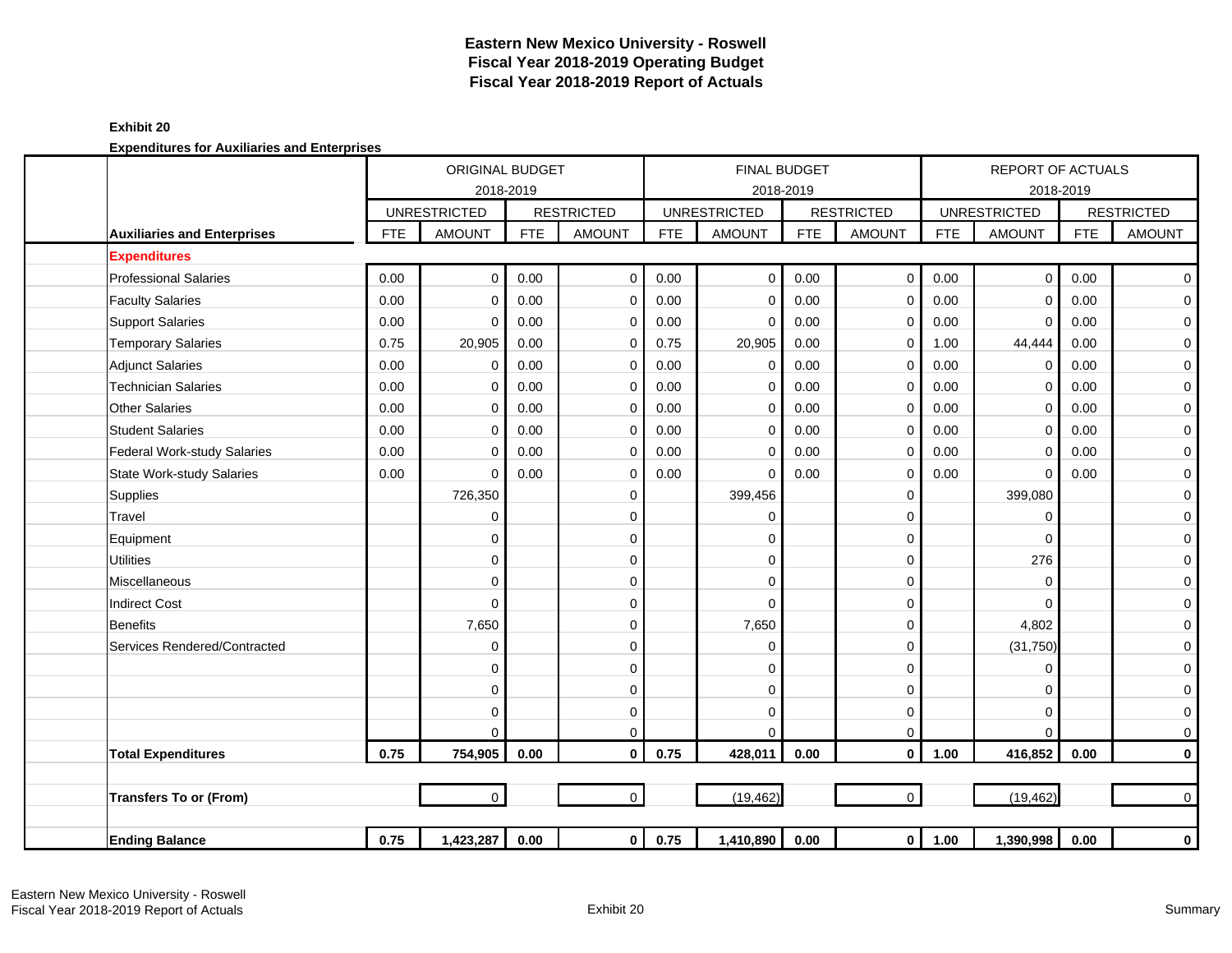#### **Exhibit 20**

|                                    |            | ORIGINAL BUDGET     |            |                   |            |                     | <b>FINAL BUDGET</b> |                   |            | <b>REPORT OF ACTUALS</b> |            |                     |
|------------------------------------|------------|---------------------|------------|-------------------|------------|---------------------|---------------------|-------------------|------------|--------------------------|------------|---------------------|
|                                    |            | 2018-2019           |            |                   |            |                     | 2018-2019           |                   |            | 2018-2019                |            |                     |
|                                    |            | <b>UNRESTRICTED</b> |            | <b>RESTRICTED</b> |            | <b>UNRESTRICTED</b> |                     | <b>RESTRICTED</b> |            | <b>UNRESTRICTED</b>      |            | <b>RESTRICTED</b>   |
| <b>Auxiliaries and Enterprises</b> | <b>FTE</b> | <b>AMOUNT</b>       | <b>FTE</b> | <b>AMOUNT</b>     | <b>FTE</b> | <b>AMOUNT</b>       | <b>FTE</b>          | <b>AMOUNT</b>     | <b>FTE</b> | <b>AMOUNT</b>            | <b>FTE</b> | <b>AMOUNT</b>       |
| <b>Expenditures</b>                |            |                     |            |                   |            |                     |                     |                   |            |                          |            |                     |
| <b>Professional Salaries</b>       | 0.00       | $\mathbf 0$         | 0.00       | $\mathbf 0$       | 0.00       | $\mathbf 0$         | 0.00                | $\mathbf 0$       | 0.00       | $\mathbf 0$              | 0.00       | $\overline{0}$      |
| <b>Faculty Salaries</b>            | 0.00       | $\Omega$            | 0.00       | $\mathbf 0$       | 0.00       | $\Omega$            | 0.00                | $\mathbf 0$       | 0.00       | $\mathbf 0$              | 0.00       | $\overline{0}$      |
| <b>Support Salaries</b>            | 0.00       | $\mathbf 0$         | 0.00       | $\mathbf 0$       | 0.00       | $\mathbf 0$         | 0.00                | $\mathbf 0$       | 0.00       | $\mathbf 0$              | 0.00       | $\mathbf{O}$        |
| <b>Temporary Salaries</b>          | 0.75       | 20,905              | 0.00       | $\mathbf 0$       | 0.75       | 20,905              | 0.00                | $\mathbf 0$       | 1.00       | 44,444                   | 0.00       | $\mathbf 0$         |
| <b>Adjunct Salaries</b>            | 0.00       | $\mathbf 0$         | 0.00       | $\mathbf 0$       | 0.00       | $\mathbf 0$         | 0.00                | $\mathbf 0$       | 0.00       | $\mathbf 0$              | 0.00       | $\mathbf 0$         |
| <b>Technician Salaries</b>         | 0.00       | $\mathbf 0$         | 0.00       | $\mathbf 0$       | 0.00       | 0                   | 0.00                | $\mathbf 0$       | 0.00       | $\mathbf 0$              | 0.00       | $\mathbf 0$         |
| <b>Other Salaries</b>              | 0.00       | $\mathbf 0$         | 0.00       | $\mathbf 0$       | 0.00       | $\mathbf 0$         | 0.00                | $\mathbf 0$       | 0.00       | $\mathbf 0$              | 0.00       | 0                   |
| <b>Student Salaries</b>            | 0.00       | $\Omega$            | 0.00       | $\mathbf 0$       | 0.00       | $\Omega$            | 0.00                | $\mathbf 0$       | 0.00       | $\mathbf 0$              | 0.00       | $\mathbf 0$         |
| <b>Federal Work-study Salaries</b> | 0.00       | $\mathbf 0$         | 0.00       | 0                 | 0.00       | $\mathbf 0$         | 0.00                | $\mathbf 0$       | 0.00       | $\Omega$                 | 0.00       | $\mathbf 0$         |
| <b>State Work-study Salaries</b>   | 0.00       | $\mathbf 0$         | 0.00       | $\mathbf 0$       | 0.00       | $\mathbf 0$         | 0.00                | 0                 | 0.00       | $\mathbf 0$              | 0.00       | $\mathbf 0$         |
| Supplies                           |            | 726,350             |            | 0                 |            | 399,456             |                     | 0                 |            | 399,080                  |            | $\mathbf 0$         |
| Travel                             |            | $\mathbf{0}$        |            | $\Omega$          |            | $\Omega$            |                     | $\mathbf 0$       |            | $\Omega$                 |            | $\pmb{0}$           |
| Equipment                          |            | $\mathbf 0$         |            | $\Omega$          |            | $\Omega$            |                     | $\mathbf 0$       |            | $\Omega$                 |            | $\mathbf 0$         |
| <b>Utilities</b>                   |            | $\mathbf 0$         |            | $\mathbf 0$       |            | $\Omega$            |                     | $\mathbf 0$       |            | 276                      |            | $\mathbf 0$         |
| Miscellaneous                      |            | $\mathbf 0$         |            | $\Omega$          |            | $\Omega$            |                     | $\mathbf 0$       |            | $\Omega$                 |            | $\pmb{0}$           |
| <b>Indirect Cost</b>               |            | $\Omega$            |            | $\Omega$          |            | $\Omega$            |                     | $\mathbf 0$       |            | $\Omega$                 |            | $\pmb{0}$           |
| <b>Benefits</b>                    |            | 7,650               |            | 0                 |            | 7,650               |                     | $\mathbf 0$       |            | 4,802                    |            | $\pmb{0}$           |
| Services Rendered/Contracted       |            | $\mathbf 0$         |            | 0                 |            | $\mathbf 0$         |                     | $\mathbf 0$       |            | (31, 750)                |            | $\pmb{0}$           |
|                                    |            | $\mathbf 0$         |            | $\Omega$          |            | $\Omega$            |                     | $\mathbf 0$       |            | $\Omega$                 |            | $\mathbf 0$         |
|                                    |            | $\mathbf 0$         |            | $\mathbf 0$       |            | $\Omega$            |                     | $\mathbf 0$       |            | $\mathbf 0$              |            | $\mathbf 0$         |
|                                    |            | $\mathbf 0$         |            | 0                 |            | $\Omega$            |                     | 0                 |            | $\mathbf 0$              |            | $\mathbf 0$         |
|                                    |            | $\Omega$            |            | $\mathbf 0$       |            | $\Omega$            |                     | $\mathbf 0$       |            | $\Omega$                 |            | $\mathsf{O}\xspace$ |
| <b>Total Expenditures</b>          | 0.75       | 754,905             | 0.00       | $\mathbf{0}$      | 0.75       | 428,011             | 0.00                | $\mathbf 0$       | 1.00       | 416,852                  | 0.00       | $\mathbf 0$         |
|                                    |            |                     |            |                   |            |                     |                     |                   |            |                          |            |                     |
| <b>Transfers To or (From)</b>      |            | $\Omega$            |            | $\Omega$          |            | (19, 462)           |                     | $\Omega$          |            | (19, 462)                |            | $\overline{0}$      |
|                                    |            |                     |            |                   |            |                     |                     |                   |            |                          |            |                     |
| <b>Ending Balance</b>              | 0.75       | 1,423,287           | 0.00       | $\mathbf 0$       | 0.75       | 1,410,890           | 0.00                | $\mathbf 0$       | 1.00       | 1,390,998                | 0.00       | $\mathbf 0$         |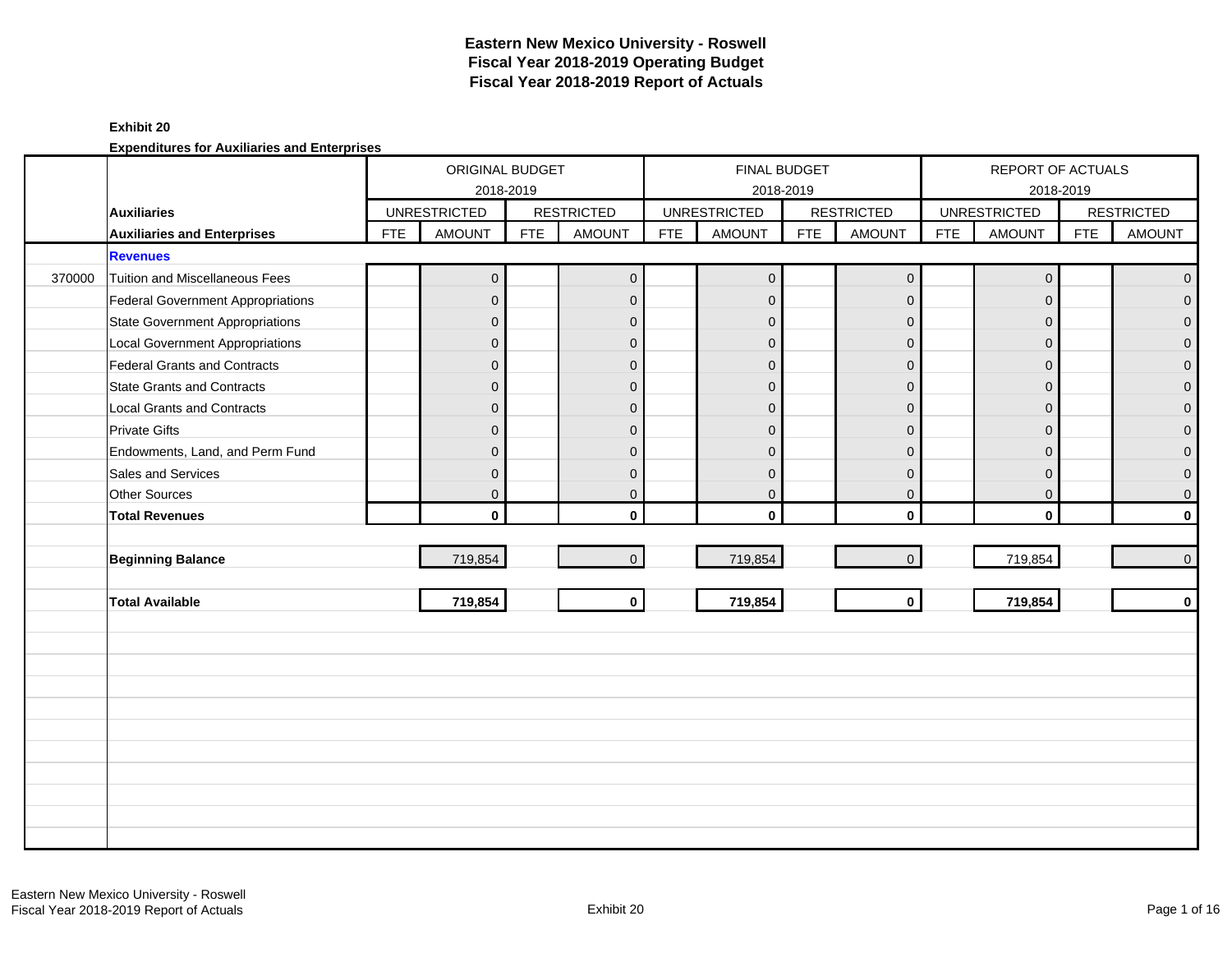### **Exhibit 20**

|        |                                          |            | ORIGINAL BUDGET<br>2018-2019 |            |                         |            | FINAL BUDGET<br>2018-2019 |            |                   |            | REPORT OF ACTUALS<br>2018-2019 |            |                   |
|--------|------------------------------------------|------------|------------------------------|------------|-------------------------|------------|---------------------------|------------|-------------------|------------|--------------------------------|------------|-------------------|
|        | <b>Auxiliaries</b>                       |            | <b>UNRESTRICTED</b>          |            | <b>RESTRICTED</b>       |            | <b>UNRESTRICTED</b>       |            | <b>RESTRICTED</b> |            | <b>UNRESTRICTED</b>            |            | <b>RESTRICTED</b> |
|        | <b>Auxiliaries and Enterprises</b>       | <b>FTE</b> | <b>AMOUNT</b>                | <b>FTE</b> | <b>AMOUNT</b>           | <b>FTE</b> | <b>AMOUNT</b>             | <b>FTE</b> | <b>AMOUNT</b>     | <b>FTE</b> | <b>AMOUNT</b>                  | <b>FTE</b> | <b>AMOUNT</b>     |
|        | <b>Revenues</b>                          |            |                              |            |                         |            |                           |            |                   |            |                                |            |                   |
| 370000 | <b>Tuition and Miscellaneous Fees</b>    |            | $\overline{0}$               |            | $\mathbf 0$             |            | $\pmb{0}$                 |            | $\mathbf 0$       |            | $\mathbf 0$                    |            | $\overline{0}$    |
|        | <b>Federal Government Appropriations</b> |            | $\overline{0}$               |            | $\mathbf 0$             |            | $\mathbf{0}$              |            | $\mathbf 0$       |            | $\mathbf{0}$                   |            | $\overline{0}$    |
|        | <b>State Government Appropriations</b>   |            | $\mathbf{0}$                 |            | $\mathbf 0$             |            | $\Omega$                  |            | $\mathbf{0}$      |            | $\Omega$                       |            | $\overline{0}$    |
|        | <b>Local Government Appropriations</b>   |            | $\mathbf{0}$                 |            | $\overline{0}$          |            | $\mathbf 0$               |            | $\mathbf 0$       |            | $\mathbf{0}$                   |            | $\mathbf 0$       |
|        | Federal Grants and Contracts             |            | $\mathbf{0}$                 |            | $\mathbf 0$             |            | $\mathbf{0}$              |            | $\mathbf 0$       |            | $\Omega$                       |            | $\mathbf 0$       |
|        | <b>State Grants and Contracts</b>        |            | $\Omega$                     |            | $\mathbf 0$             |            | $\Omega$                  |            | $\mathbf{0}$      |            | $\Omega$                       |            | $\mathbf{O}$      |
|        | <b>Local Grants and Contracts</b>        |            | $\mathbf{0}$                 |            | $\mathbf 0$             |            | $\mathbf{0}$              |            | $\mathbf 0$       |            | $\mathbf{0}$                   |            | $\mathbf{O}$      |
|        | <b>Private Gifts</b>                     |            | $\Omega$                     |            | $\mathbf{0}$            |            | $\Omega$                  |            | $\mathbf{0}$      |            | $\Omega$                       |            | $\overline{0}$    |
|        | Endowments, Land, and Perm Fund          |            | $\Omega$                     |            | $\mathbf{0}$            |            | $\Omega$                  |            | $\mathbf{0}$      |            | $\Omega$                       |            | $\overline{0}$    |
|        | Sales and Services                       |            | $\mathbf{0}$                 |            | $\mathbf 0$             |            | $\overline{0}$            |            | $\mathbf 0$       |            | $\overline{0}$                 |            | $\overline{0}$    |
|        | Other Sources                            |            | $\mathbf{0}$                 |            | $\mathbf 0$             |            | $\mathbf 0$               |            | $\mathbf 0$       |            | $\mathbf{0}$                   |            | $\mathsf{O}^-$    |
|        | <b>Total Revenues</b>                    |            | $\mathbf{0}$                 |            | $\mathbf 0$             |            | $\mathbf{0}$              |            | $\mathbf{0}$      |            | $\mathbf 0$                    |            | $\mathbf{0}$      |
|        |                                          |            |                              |            |                         |            |                           |            |                   |            |                                |            |                   |
|        | <b>Beginning Balance</b>                 |            | 719,854                      |            | $\mathbf{0}$            |            | 719,854                   |            | $\mathbf 0$       |            | 719,854                        |            | $\overline{0}$    |
|        |                                          |            |                              |            |                         |            |                           |            |                   |            |                                |            |                   |
|        | <b>Total Available</b>                   |            | 719,854                      |            | $\overline{\mathbf{o}}$ |            | 719,854                   |            | $\mathbf 0$       |            | 719,854                        |            | $\mathbf{0}$      |
|        |                                          |            |                              |            |                         |            |                           |            |                   |            |                                |            |                   |
|        |                                          |            |                              |            |                         |            |                           |            |                   |            |                                |            |                   |
|        |                                          |            |                              |            |                         |            |                           |            |                   |            |                                |            |                   |
|        |                                          |            |                              |            |                         |            |                           |            |                   |            |                                |            |                   |
|        |                                          |            |                              |            |                         |            |                           |            |                   |            |                                |            |                   |
|        |                                          |            |                              |            |                         |            |                           |            |                   |            |                                |            |                   |
|        |                                          |            |                              |            |                         |            |                           |            |                   |            |                                |            |                   |
|        |                                          |            |                              |            |                         |            |                           |            |                   |            |                                |            |                   |
|        |                                          |            |                              |            |                         |            |                           |            |                   |            |                                |            |                   |
|        |                                          |            |                              |            |                         |            |                           |            |                   |            |                                |            |                   |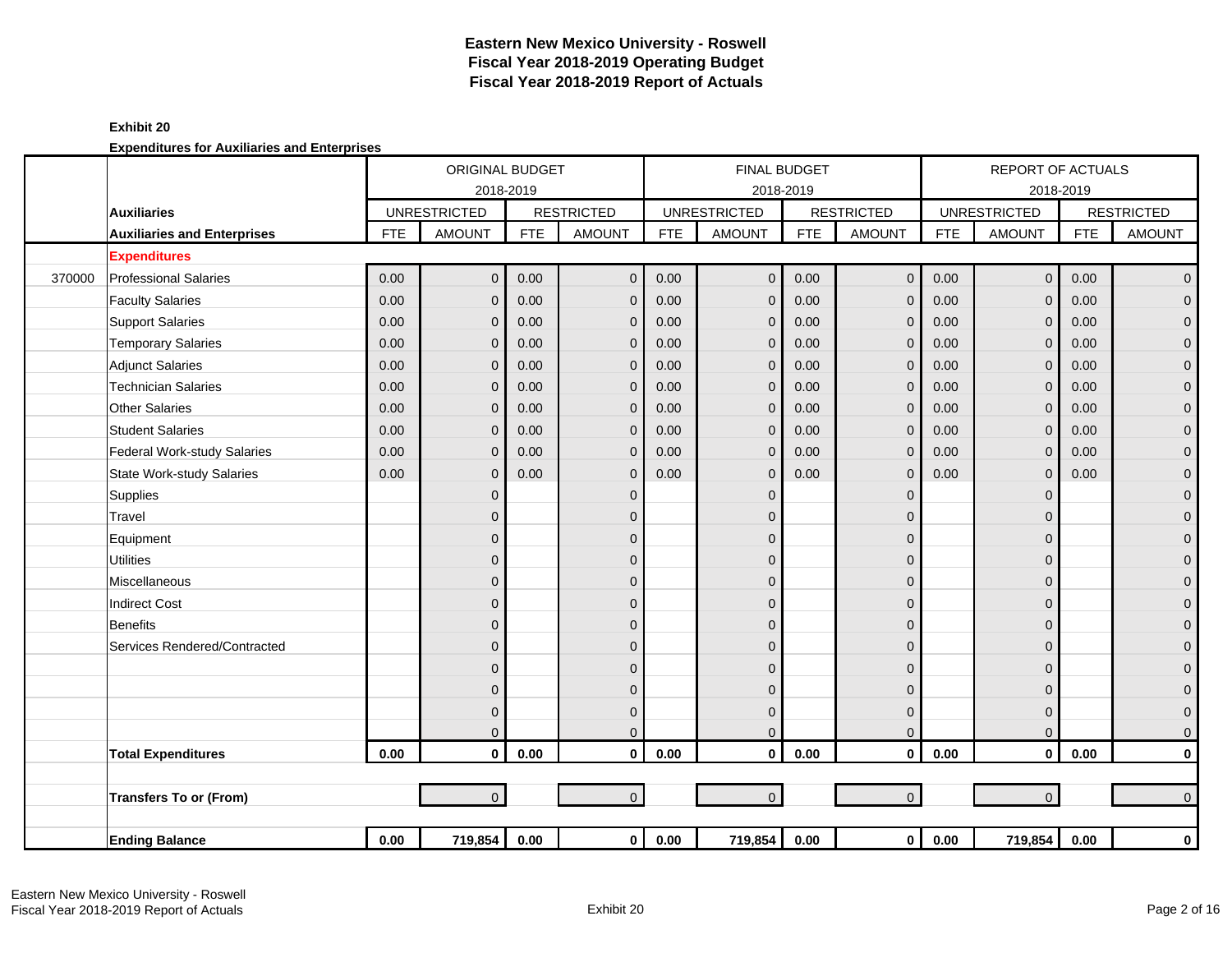### **Exhibit 20**

|        |                                    |            | ORIGINAL BUDGET     |            |                   |            | <b>FINAL BUDGET</b> |            |                     |            | <b>REPORT OF ACTUALS</b> |            |                   |
|--------|------------------------------------|------------|---------------------|------------|-------------------|------------|---------------------|------------|---------------------|------------|--------------------------|------------|-------------------|
|        |                                    |            | 2018-2019           |            |                   |            | 2018-2019           |            |                     |            | 2018-2019                |            |                   |
|        | <b>Auxiliaries</b>                 |            | <b>UNRESTRICTED</b> |            | <b>RESTRICTED</b> |            | <b>UNRESTRICTED</b> |            | <b>RESTRICTED</b>   |            | <b>UNRESTRICTED</b>      |            | <b>RESTRICTED</b> |
|        | <b>Auxiliaries and Enterprises</b> | <b>FTE</b> | <b>AMOUNT</b>       | <b>FTE</b> | <b>AMOUNT</b>     | <b>FTE</b> | <b>AMOUNT</b>       | <b>FTE</b> | <b>AMOUNT</b>       | <b>FTE</b> | <b>AMOUNT</b>            | <b>FTE</b> | <b>AMOUNT</b>     |
|        | <b>Expenditures</b>                |            |                     |            |                   |            |                     |            |                     |            |                          |            |                   |
| 370000 | <b>Professional Salaries</b>       | 0.00       | $\Omega$            | 0.00       | $\mathbf 0$       | 0.00       | $\overline{0}$      | 0.00       | $\mathsf{O}\xspace$ | 0.00       | $\overline{0}$           | 0.00       | $\overline{0}$    |
|        | <b>Faculty Salaries</b>            | 0.00       | $\Omega$            | 0.00       | $\overline{0}$    | 0.00       | $\mathbf{0}$        | 0.00       | $\mathbf{0}$        | 0.00       | $\mathbf{0}$             | 0.00       | $\overline{0}$    |
|        | <b>Support Salaries</b>            | 0.00       | $\Omega$            | 0.00       | $\mathbf 0$       | 0.00       | $\mathbf{0}$        | 0.00       | $\mathbf 0$         | 0.00       | $\mathbf{0}$             | 0.00       | $\mathbf{O}$      |
|        | <b>Temporary Salaries</b>          | 0.00       | $\Omega$            | 0.00       | $\mathbf 0$       | 0.00       | $\mathbf{0}$        | 0.00       | $\mathbf{0}$        | 0.00       | $\mathbf{0}$             | 0.00       | $\pmb{0}$         |
|        | <b>Adjunct Salaries</b>            | 0.00       | $\Omega$            | 0.00       | $\mathbf 0$       | 0.00       | $\mathbf{0}$        | 0.00       | $\mathbf 0$         | 0.00       | $\Omega$                 | 0.00       | $\mathbf 0$       |
|        | <b>Technician Salaries</b>         | 0.00       | $\Omega$            | 0.00       | $\mathbf 0$       | 0.00       | $\mathbf 0$         | 0.00       | $\mathbf{0}$        | 0.00       | $\Omega$                 | 0.00       | $\mathbf{0}$      |
|        | <b>Other Salaries</b>              | 0.00       | $\Omega$            | 0.00       | $\mathbf 0$       | 0.00       | $\Omega$            | 0.00       | $\mathbf{0}$        | 0.00       | $\Omega$                 | 0.00       | $\pmb{0}$         |
|        | <b>Student Salaries</b>            | 0.00       | $\Omega$            | 0.00       | $\overline{0}$    | 0.00       | $\mathbf{0}$        | 0.00       | $\mathbf{0}$        | 0.00       | $\Omega$                 | 0.00       | $\mathsf{O}^-$    |
|        | Federal Work-study Salaries        | 0.00       | $\Omega$            | 0.00       | $\mathbf 0$       | 0.00       | $\mathbf 0$         | 0.00       | $\mathbf 0$         | 0.00       | $\mathbf{0}$             | 0.00       | $\mathbf 0$       |
|        | <b>State Work-study Salaries</b>   | 0.00       | $\Omega$            | 0.00       | $\mathbf 0$       | 0.00       | $\mathbf{0}$        | 0.00       | $\mathbf 0$         | 0.00       | $\mathbf{0}$             | 0.00       | $\pmb{0}$         |
|        | Supplies                           |            | $\mathbf{0}$        |            | $\mathbf 0$       |            | $\mathbf{0}$        |            | $\mathbf 0$         |            | $\Omega$                 |            | $\mathbf 0$       |
|        | Travel                             |            | $\Omega$            |            | $\mathbf{0}$      |            | $\Omega$            |            | $\mathbf{0}$        |            | $\Omega$                 |            | $\mathbf 0$       |
|        | Equipment                          |            | $\Omega$            |            | $\mathbf 0$       |            | $\Omega$            |            | $\mathbf{0}$        |            | $\Omega$                 |            | $\mathbf 0$       |
|        | <b>Utilities</b>                   |            | $\mathbf{0}$        |            | $\mathbf{0}$      |            | $\mathbf{0}$        |            | $\mathbf 0$         |            | $\Omega$                 |            | $\mathbf 0$       |
|        | Miscellaneous                      |            | $\mathbf{0}$        |            | $\mathbf 0$       |            | $\Omega$            |            | $\mathbf 0$         |            | $\Omega$                 |            | $\mathbf 0$       |
|        | <b>Indirect Cost</b>               |            | $\mathbf{0}$        |            | $\Omega$          |            | $\mathbf{0}$        |            | $\mathbf{0}$        |            | $\Omega$                 |            | $\mathbf 0$       |
|        | <b>Benefits</b>                    |            | $\Omega$            |            | $\Omega$          |            | $\Omega$            |            | $\mathbf 0$         |            | $\Omega$                 |            | $\mathbf{O}$      |
|        | Services Rendered/Contracted       |            | $\Omega$            |            | $\mathbf{0}$      |            | $\Omega$            |            | $\Omega$            |            | $\Omega$                 |            | $\mathbf 0$       |
|        |                                    |            | $\Omega$            |            | $\mathbf 0$       |            | $\Omega$            |            | $\mathbf{0}$        |            | $\Omega$                 |            | $\mathbf 0$       |
|        |                                    |            | $\mathbf{0}$        |            | $\mathbf{0}$      |            | $\mathbf{0}$        |            | $\mathbf 0$         |            | $\Omega$                 |            | $\mathbf 0$       |
|        |                                    |            | $\mathbf{0}$        |            | $\mathbf 0$       |            | $\mathbf 0$         |            | $\mathbf 0$         |            | $\mathbf 0$              |            | $\mathbf 0$       |
|        |                                    |            | $\Omega$            |            | $\mathbf{0}$      |            | $\mathbf{0}$        |            | $\mathbf{0}$        |            | $\Omega$                 |            | $\overline{0}$    |
|        | <b>Total Expenditures</b>          | 0.00       | $\mathbf{0}$        | 0.00       | $\mathbf{0}$      | 0.00       | $\mathbf{0}$        | 0.00       | $\mathbf{0}$        | 0.00       | $\mathbf{0}$             | 0.00       | $\mathbf 0$       |
|        |                                    |            |                     |            |                   |            |                     |            |                     |            |                          |            |                   |
|        | <b>Transfers To or (From)</b>      |            | $\Omega$            |            | $\mathbf{0}$      |            | $\mathbf{0}$        |            | $\mathbf{0}$        |            | $\overline{0}$           |            | $\overline{0}$    |
|        |                                    |            |                     |            |                   |            |                     |            |                     |            |                          |            |                   |
|        | <b>Ending Balance</b>              | $0.00\,$   | 719,854             | 0.00       | $\overline{0}$    | $0.00\,$   | 719,854             | 0.00       | $\mathbf 0$         | 0.00       | 719,854                  | 0.00       | $\mathbf 0$       |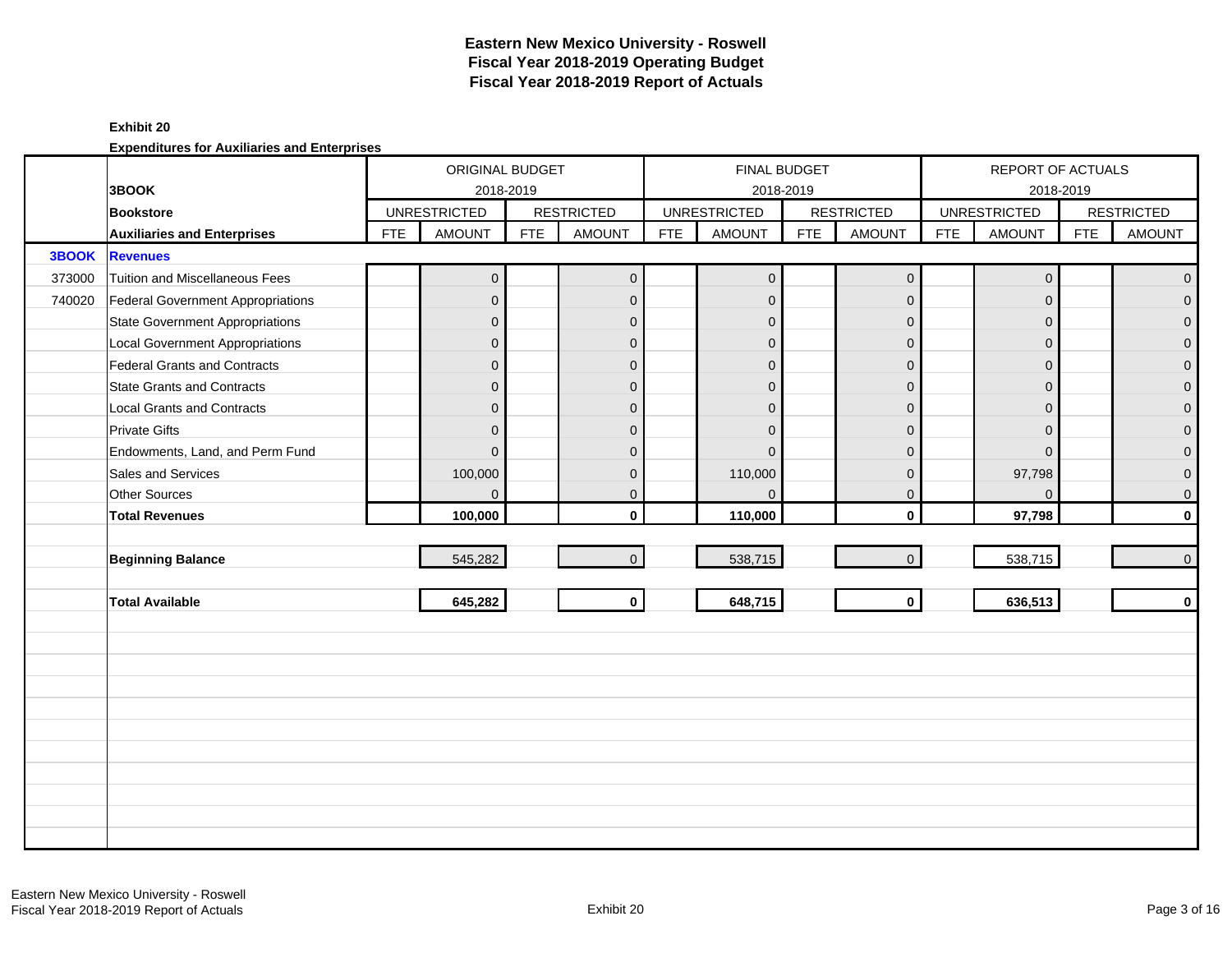#### **Exhibit 20**

|        |                                          |            | ORIGINAL BUDGET     |            |                   |            | <b>FINAL BUDGET</b> |            |                   |            | REPORT OF ACTUALS   |            |                     |
|--------|------------------------------------------|------------|---------------------|------------|-------------------|------------|---------------------|------------|-------------------|------------|---------------------|------------|---------------------|
|        | 3BOOK                                    |            | 2018-2019           |            |                   |            |                     | 2018-2019  |                   |            |                     | 2018-2019  |                     |
|        | <b>Bookstore</b>                         |            | <b>UNRESTRICTED</b> |            | <b>RESTRICTED</b> |            | <b>UNRESTRICTED</b> |            | <b>RESTRICTED</b> |            | <b>UNRESTRICTED</b> |            | <b>RESTRICTED</b>   |
|        | <b>Auxiliaries and Enterprises</b>       | <b>FTE</b> | <b>AMOUNT</b>       | <b>FTE</b> | <b>AMOUNT</b>     | <b>FTE</b> | <b>AMOUNT</b>       | <b>FTE</b> | <b>AMOUNT</b>     | <b>FTE</b> | <b>AMOUNT</b>       | <b>FTE</b> | <b>AMOUNT</b>       |
| 3BOOK  | <b>Revenues</b>                          |            |                     |            |                   |            |                     |            |                   |            |                     |            |                     |
| 373000 | Tuition and Miscellaneous Fees           |            | $\overline{0}$      |            | $\mathbf 0$       |            | $\mathbf{0}$        |            | $\mathbf 0$       |            | $\mathbf 0$         |            | $\overline{0}$      |
| 740020 | <b>Federal Government Appropriations</b> |            | $\overline{0}$      |            | $\mathbf{0}$      |            | $\mathbf{0}$        |            | $\mathbf 0$       |            | $\Omega$            |            | $\mathbf 0$         |
|        | <b>State Government Appropriations</b>   |            | $\overline{0}$      |            | $\mathbf{0}$      |            | $\mathbf{0}$        |            | $\mathbf 0$       |            | $\Omega$            |            | $\mathbf 0$         |
|        | <b>Local Government Appropriations</b>   |            | $\mathbf{0}$        |            | $\mathbf 0$       |            | $\mathbf{0}$        |            | $\mathbf 0$       |            | $\mathbf{0}$        |            | $\mathbf 0$         |
|        | Federal Grants and Contracts             |            | $\overline{0}$      |            | $\mathbf{0}$      |            | $\Omega$            |            | $\mathbf 0$       |            | $\Omega$            |            | $\mathsf{O}\xspace$ |
|        | <b>State Grants and Contracts</b>        |            | $\overline{0}$      |            | $\Omega$          |            | $\Omega$            |            | $\mathbf{0}$      |            | $\Omega$            |            | $\overline{0}$      |
|        | <b>Local Grants and Contracts</b>        |            | $\overline{0}$      |            | $\mathbf{0}$      |            | $\Omega$            |            | $\mathbf 0$       |            | $\mathbf{0}$        |            | $\mathbf 0$         |
|        | <b>Private Gifts</b>                     |            | $\overline{0}$      |            | $\mathbf{0}$      |            | $\Omega$            |            | $\mathbf 0$       |            | $\Omega$            |            | $\overline{0}$      |
|        | Endowments, Land, and Perm Fund          |            | $\Omega$            |            | $\Omega$          |            | $\Omega$            |            | $\mathbf{0}$      |            | $\Omega$            |            | $\mathbf 0$         |
|        | Sales and Services                       |            | 100,000             |            | $\mathbf{0}$      |            | 110,000             |            | $\mathbf 0$       |            | 97,798              |            | $\overline{0}$      |
|        | Other Sources                            |            | $\overline{0}$      |            | $\mathbf{0}$      |            | $\Omega$            |            | $\mathbf 0$       |            | $\Omega$            |            | $\mathsf{O}\xspace$ |
|        | <b>Total Revenues</b>                    |            | 100,000             |            | $\mathbf{0}$      |            | 110,000             |            | $\mathbf 0$       |            | 97,798              |            | $\mathbf 0$         |
|        |                                          |            |                     |            |                   |            |                     |            |                   |            |                     |            |                     |
|        | <b>Beginning Balance</b>                 |            | 545,282             |            | $\Omega$          |            | 538,715             |            | $\overline{0}$    |            | 538,715             |            | $\overline{0}$      |
|        |                                          |            |                     |            |                   |            |                     |            |                   |            |                     |            |                     |
|        | <b>Total Available</b>                   |            | 645,282             |            | $\mathbf{0}$      |            | 648,715             |            | $\mathbf 0$       |            | 636,513             |            | $\mathbf 0$         |
|        |                                          |            |                     |            |                   |            |                     |            |                   |            |                     |            |                     |
|        |                                          |            |                     |            |                   |            |                     |            |                   |            |                     |            |                     |
|        |                                          |            |                     |            |                   |            |                     |            |                   |            |                     |            |                     |
|        |                                          |            |                     |            |                   |            |                     |            |                   |            |                     |            |                     |
|        |                                          |            |                     |            |                   |            |                     |            |                   |            |                     |            |                     |
|        |                                          |            |                     |            |                   |            |                     |            |                   |            |                     |            |                     |
|        |                                          |            |                     |            |                   |            |                     |            |                   |            |                     |            |                     |
|        |                                          |            |                     |            |                   |            |                     |            |                   |            |                     |            |                     |
|        |                                          |            |                     |            |                   |            |                     |            |                   |            |                     |            |                     |
|        |                                          |            |                     |            |                   |            |                     |            |                   |            |                     |            |                     |
|        |                                          |            |                     |            |                   |            |                     |            |                   |            |                     |            |                     |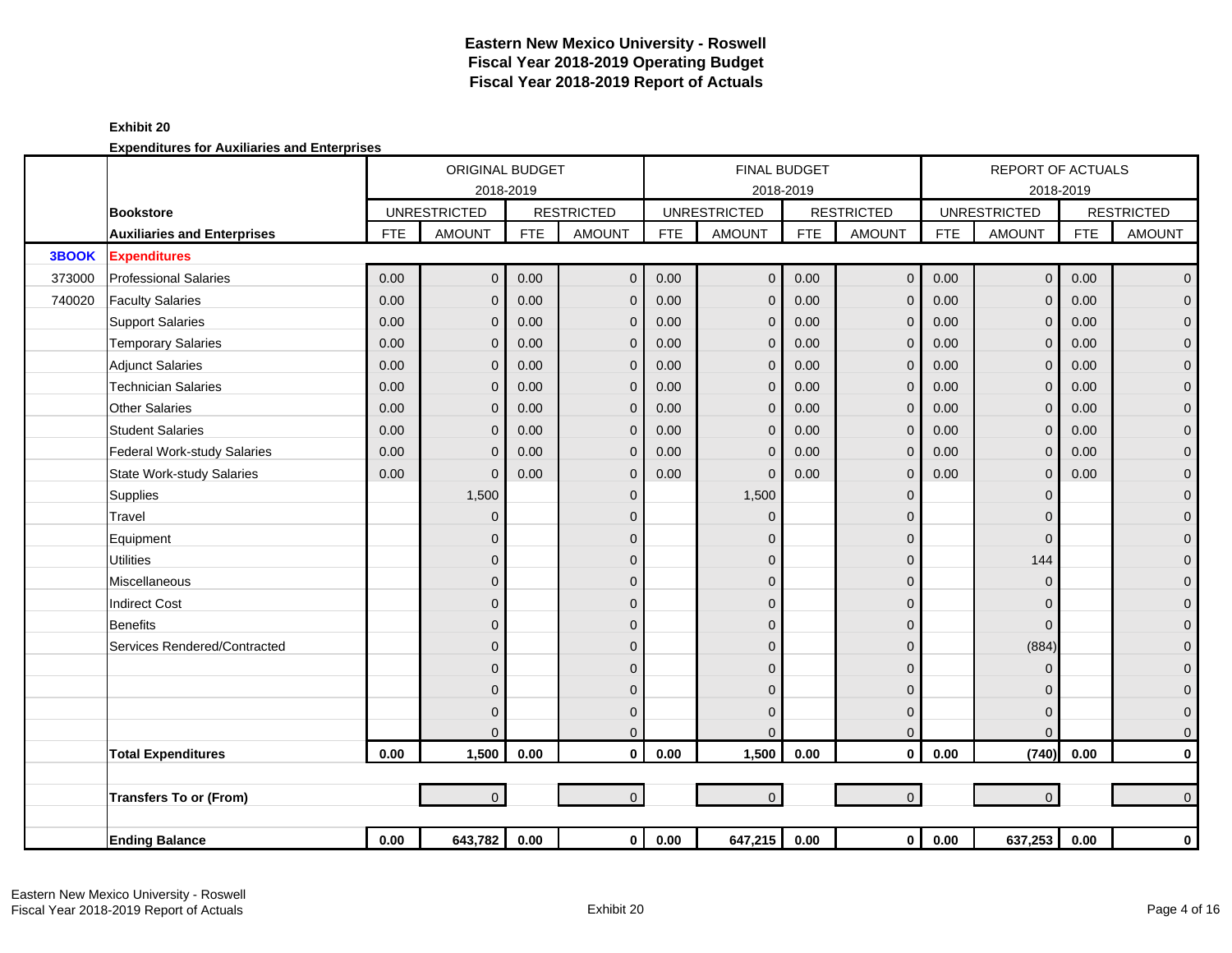### **Exhibit 20**

|              |                                    |            | ORIGINAL BUDGET     |            |                   |            |                     | <b>FINAL BUDGET</b> |                   |            | <b>REPORT OF ACTUALS</b> |            |                   |
|--------------|------------------------------------|------------|---------------------|------------|-------------------|------------|---------------------|---------------------|-------------------|------------|--------------------------|------------|-------------------|
|              |                                    |            | 2018-2019           |            |                   |            |                     | 2018-2019           |                   |            |                          | 2018-2019  |                   |
|              | <b>Bookstore</b>                   |            | <b>UNRESTRICTED</b> |            | <b>RESTRICTED</b> |            | <b>UNRESTRICTED</b> |                     | <b>RESTRICTED</b> |            | <b>UNRESTRICTED</b>      |            | <b>RESTRICTED</b> |
|              | <b>Auxiliaries and Enterprises</b> | <b>FTE</b> | <b>AMOUNT</b>       | <b>FTE</b> | <b>AMOUNT</b>     | <b>FTE</b> | <b>AMOUNT</b>       | <b>FTE</b>          | <b>AMOUNT</b>     | <b>FTE</b> | <b>AMOUNT</b>            | <b>FTE</b> | <b>AMOUNT</b>     |
| <b>3BOOK</b> | <b>Expenditures</b>                |            |                     |            |                   |            |                     |                     |                   |            |                          |            |                   |
| 373000       | <b>Professional Salaries</b>       | 0.00       | $\overline{0}$      | 0.00       | $\mathbf 0$       | 0.00       | $\mathbf 0$         | 0.00                | $\mathbf 0$       | 0.00       | $\mathsf{O}\xspace$      | 0.00       | $\overline{0}$    |
| 740020       | <b>Faculty Salaries</b>            | 0.00       | $\overline{0}$      | 0.00       | $\mathbf{0}$      | 0.00       | $\mathbf{0}$        | 0.00                | $\mathbf{0}$      | 0.00       | $\Omega$                 | 0.00       | $\overline{0}$    |
|              | <b>Support Salaries</b>            | 0.00       | $\mathbf{0}$        | 0.00       | $\mathbf{0}$      | 0.00       | $\mathbf 0$         | 0.00                | $\mathbf{0}$      | 0.00       | $\mathbf{0}$             | 0.00       | $\mathbf 0$       |
|              | <b>Temporary Salaries</b>          | 0.00       | $\mathbf{0}$        | 0.00       | $\mathbf{0}$      | 0.00       | $\Omega$            | 0.00                | $\mathbf{0}$      | 0.00       | $\Omega$                 | 0.00       | $\pmb{0}$         |
|              | <b>Adjunct Salaries</b>            | 0.00       | $\mathbf{0}$        | 0.00       | $\mathbf{0}$      | 0.00       | $\mathbf{0}$        | 0.00                | $\mathbf{0}$      | 0.00       | $\Omega$                 | 0.00       | $\mathbf 0$       |
|              | <b>Technician Salaries</b>         | 0.00       | $\mathbf{0}$        | 0.00       | $\mathbf 0$       | 0.00       | $\mathbf 0$         | 0.00                | $\mathbf 0$       | 0.00       | $\mathbf{0}$             | 0.00       | $\mathbf 0$       |
|              | <b>Other Salaries</b>              | 0.00       | $\mathbf{0}$        | 0.00       | $\mathbf{0}$      | 0.00       | $\mathbf 0$         | 0.00                | $\mathbf 0$       | 0.00       | $\mathbf{0}$             | 0.00       | $\pmb{0}$         |
|              | <b>Student Salaries</b>            | 0.00       | $\Omega$            | 0.00       | $\Omega$          | 0.00       | $\Omega$            | 0.00                | $\mathbf{0}$      | 0.00       | $\Omega$                 | 0.00       | $\overline{0}$    |
|              | Federal Work-study Salaries        | 0.00       | $\mathbf{0}$        | 0.00       | $\mathbf{0}$      | 0.00       | $\mathbf 0$         | 0.00                | $\mathbf{0}$      | 0.00       | $\mathbf{0}$             | 0.00       | $\mathbf 0$       |
|              | <b>State Work-study Salaries</b>   | 0.00       | $\mathbf{0}$        | 0.00       | $\mathbf{0}$      | 0.00       | $\Omega$            | 0.00                | $\mathbf{0}$      | 0.00       | $\Omega$                 | 0.00       | $\pmb{0}$         |
|              | Supplies                           |            | 1,500               |            | $\mathbf{0}$      |            | 1,500               |                     | $\mathbf 0$       |            | $\Omega$                 |            | $\mathbf 0$       |
|              | Travel                             |            | $\mathbf{0}$        |            | $\mathbf{0}$      |            | $\mathbf 0$         |                     | $\Omega$          |            | $\Omega$                 |            | $\mathbf 0$       |
|              | Equipment                          |            | $\mathbf 0$         |            | $\mathbf{0}$      |            | $\Omega$            |                     | $\mathbf 0$       |            | $\Omega$                 |            | $\mathbf 0$       |
|              | <b>Utilities</b>                   |            | $\mathbf 0$         |            | $\mathbf{0}$      |            | $\mathbf 0$         |                     | $\mathbf 0$       |            | 144                      |            | $\mathbf 0$       |
|              | Miscellaneous                      |            | $\overline{0}$      |            | $\mathbf{0}$      |            | $\Omega$            |                     | $\mathbf 0$       |            | $\Omega$                 |            | $\mathbf 0$       |
|              | <b>Indirect Cost</b>               |            | $\overline{0}$      |            | $\Omega$          |            | $\Omega$            |                     | $\overline{0}$    |            | $\Omega$                 |            | $\pmb{0}$         |
|              | Benefits                           |            | $\overline{0}$      |            | $\Omega$          |            | $\Omega$            |                     | $\mathbf{0}$      |            | $\Omega$                 |            | $\mathbf 0$       |
|              | Services Rendered/Contracted       |            | $\overline{0}$      |            | $\mathbf{0}$      |            | $\Omega$            |                     | $\Omega$          |            | (884)                    |            | $\mathbf 0$       |
|              |                                    |            | 0                   |            | $\mathbf{0}$      |            | $\Omega$            |                     | 0                 |            | $\Omega$                 |            | $\mathbf 0$       |
|              |                                    |            | $\mathbf 0$         |            | $\mathbf{0}$      |            | $\mathbf{0}$        |                     | $\mathbf 0$       |            | $\Omega$                 |            | $\pmb{0}$         |
|              |                                    |            | $\Omega$            |            | $\mathbf{0}$      |            | $\Omega$            |                     | $\mathbf 0$       |            | $\Omega$                 |            | $\mathbf 0$       |
|              |                                    |            | $\Omega$            |            | $\overline{0}$    |            | $\Omega$            |                     | $\mathbf{0}$      |            | $\Omega$                 |            | $\mathbf{O}$      |
|              | <b>Total Expenditures</b>          | 0.00       | 1,500               | 0.00       | $\mathbf{0}$      | 0.00       | 1,500               | 0.00                | $\mathbf{0}$      | 0.00       | (740)                    | 0.00       | $\mathbf 0$       |
|              |                                    |            |                     |            |                   |            |                     |                     |                   |            |                          |            |                   |
|              | <b>Transfers To or (From)</b>      |            | $\overline{0}$      |            | $\overline{0}$    |            | $\Omega$            |                     | $\mathbf 0$       |            | $\overline{0}$           |            | $\overline{0}$    |
|              |                                    |            |                     |            |                   |            |                     |                     |                   |            |                          |            |                   |
|              | <b>Ending Balance</b>              | 0.00       | 643,782             | 0.00       | $\mathbf{0}$      | 0.00       | 647,215             | 0.00                | $\mathbf 0$       | 0.00       | 637,253                  | 0.00       | $\mathbf 0$       |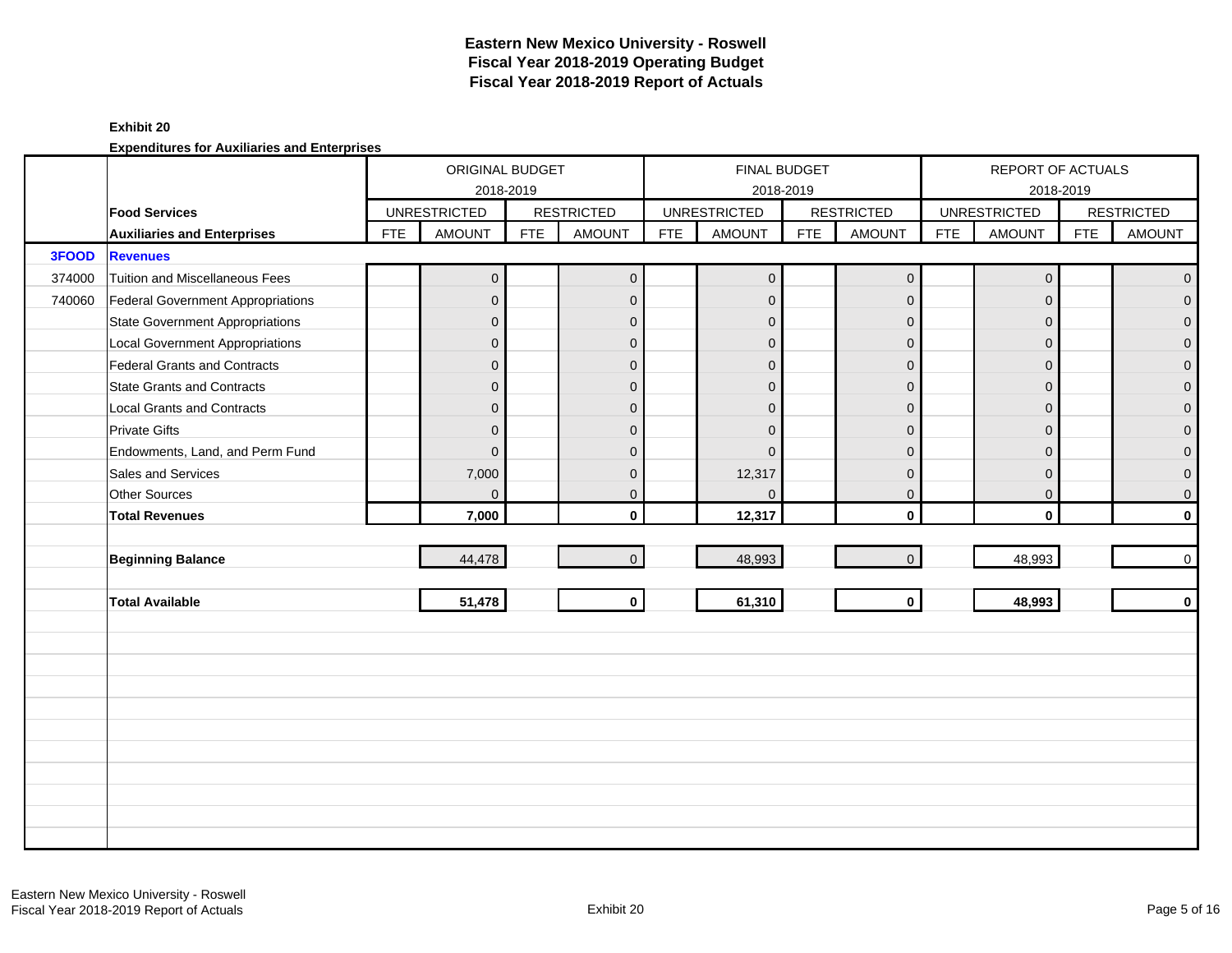### **Exhibit 20**

|        |                                        |            | ORIGINAL BUDGET     |            |                         |            | <b>FINAL BUDGET</b> |            |                   |            | REPORT OF ACTUALS   |            |                   |
|--------|----------------------------------------|------------|---------------------|------------|-------------------------|------------|---------------------|------------|-------------------|------------|---------------------|------------|-------------------|
|        |                                        |            |                     | 2018-2019  |                         |            | 2018-2019           |            |                   |            |                     | 2018-2019  |                   |
|        | <b>Food Services</b>                   |            | <b>UNRESTRICTED</b> |            | <b>RESTRICTED</b>       |            | <b>UNRESTRICTED</b> |            | <b>RESTRICTED</b> |            | <b>UNRESTRICTED</b> |            | <b>RESTRICTED</b> |
|        | <b>Auxiliaries and Enterprises</b>     | <b>FTE</b> | <b>AMOUNT</b>       | <b>FTE</b> | <b>AMOUNT</b>           | <b>FTE</b> | <b>AMOUNT</b>       | <b>FTE</b> | <b>AMOUNT</b>     | <b>FTE</b> | <b>AMOUNT</b>       | <b>FTE</b> | <b>AMOUNT</b>     |
| 3FOOD  | <b>Revenues</b>                        |            |                     |            |                         |            |                     |            |                   |            |                     |            |                   |
| 374000 | Tuition and Miscellaneous Fees         |            | $\mathbf 0$         |            | $\mathbf 0$             |            | $\boldsymbol{0}$    |            | $\mathbf 0$       |            | $\mathbf 0$         |            | $\overline{0}$    |
| 740060 | Federal Government Appropriations      |            | $\overline{0}$      |            | $\mathbf 0$             |            | $\mathbf{0}$        |            | $\mathbf 0$       |            | $\Omega$            |            | $\overline{0}$    |
|        | <b>State Government Appropriations</b> |            | $\overline{0}$      |            | $\mathbf{0}$            |            | $\mathbf{0}$        |            | $\mathbf{0}$      |            | $\Omega$            |            | $\overline{0}$    |
|        | <b>Local Government Appropriations</b> |            | $\overline{0}$      |            | $\mathbf 0$             |            | $\overline{0}$      |            | $\mathbf{0}$      |            | $\Omega$            |            | $\mathbf 0$       |
|        | Federal Grants and Contracts           |            | $\overline{0}$      |            | $\mathbf{0}$            |            | $\Omega$            |            | $\overline{0}$    |            | $\Omega$            |            | $\mathbf 0$       |
|        | <b>State Grants and Contracts</b>      |            | 0                   |            | $\mathbf{0}$            |            | $\mathbf{0}$        |            | $\mathbf{0}$      |            | $\Omega$            |            | $\mathbf{O}$      |
|        | <b>Local Grants and Contracts</b>      |            | 0                   |            | $\mathbf 0$             |            | $\mathbf{0}$        |            | $\mathbf{0}$      |            | $\mathbf{0}$        |            | $\mathbf{O}$      |
|        | <b>Private Gifts</b>                   |            | $\overline{0}$      |            | $\mathbf{0}$            |            | $\Omega$            |            | $\mathbf{0}$      |            | $\Omega$            |            | $\pmb{0}$         |
|        | Endowments, Land, and Perm Fund        |            | $\mathbf{0}$        |            | $\Omega$                |            | $\Omega$            |            | $\mathbf{0}$      |            | $\Omega$            |            | $\overline{0}$    |
|        | Sales and Services                     |            | 7,000               |            | $\mathbf{0}$            |            | 12,317              |            | $\mathbf{0}$      |            | $\mathbf{0}$        |            | $\overline{0}$    |
|        | Other Sources                          |            | $\Omega$            |            | $\mathbf{0}$            |            | $\mathbf{0}$        |            | $\mathbf{0}$      |            | $\mathbf{0}$        |            | $\overline{0}$    |
|        | <b>Total Revenues</b>                  |            | 7,000               |            | $\mathbf{0}$            |            | 12,317              |            | $\mathbf 0$       |            | $\mathbf{0}$        |            | $\mathbf{0}$      |
|        |                                        |            |                     |            |                         |            |                     |            |                   |            |                     |            |                   |
|        | <b>Beginning Balance</b>               |            | 44,478              |            | $\overline{0}$          |            | 48,993              |            | $\mathbf 0$       |            | 48,993              |            | $\overline{0}$    |
|        |                                        |            |                     |            |                         |            |                     |            |                   |            |                     |            |                   |
|        | <b>Total Available</b>                 |            | 51,478              |            | $\overline{\mathbf{0}}$ |            | 61,310              |            | $\mathbf{0}$      |            | 48,993              |            | $\mathbf{0}$      |
|        |                                        |            |                     |            |                         |            |                     |            |                   |            |                     |            |                   |
|        |                                        |            |                     |            |                         |            |                     |            |                   |            |                     |            |                   |
|        |                                        |            |                     |            |                         |            |                     |            |                   |            |                     |            |                   |
|        |                                        |            |                     |            |                         |            |                     |            |                   |            |                     |            |                   |
|        |                                        |            |                     |            |                         |            |                     |            |                   |            |                     |            |                   |
|        |                                        |            |                     |            |                         |            |                     |            |                   |            |                     |            |                   |
|        |                                        |            |                     |            |                         |            |                     |            |                   |            |                     |            |                   |
|        |                                        |            |                     |            |                         |            |                     |            |                   |            |                     |            |                   |
|        |                                        |            |                     |            |                         |            |                     |            |                   |            |                     |            |                   |
|        |                                        |            |                     |            |                         |            |                     |            |                   |            |                     |            |                   |
|        |                                        |            |                     |            |                         |            |                     |            |                   |            |                     |            |                   |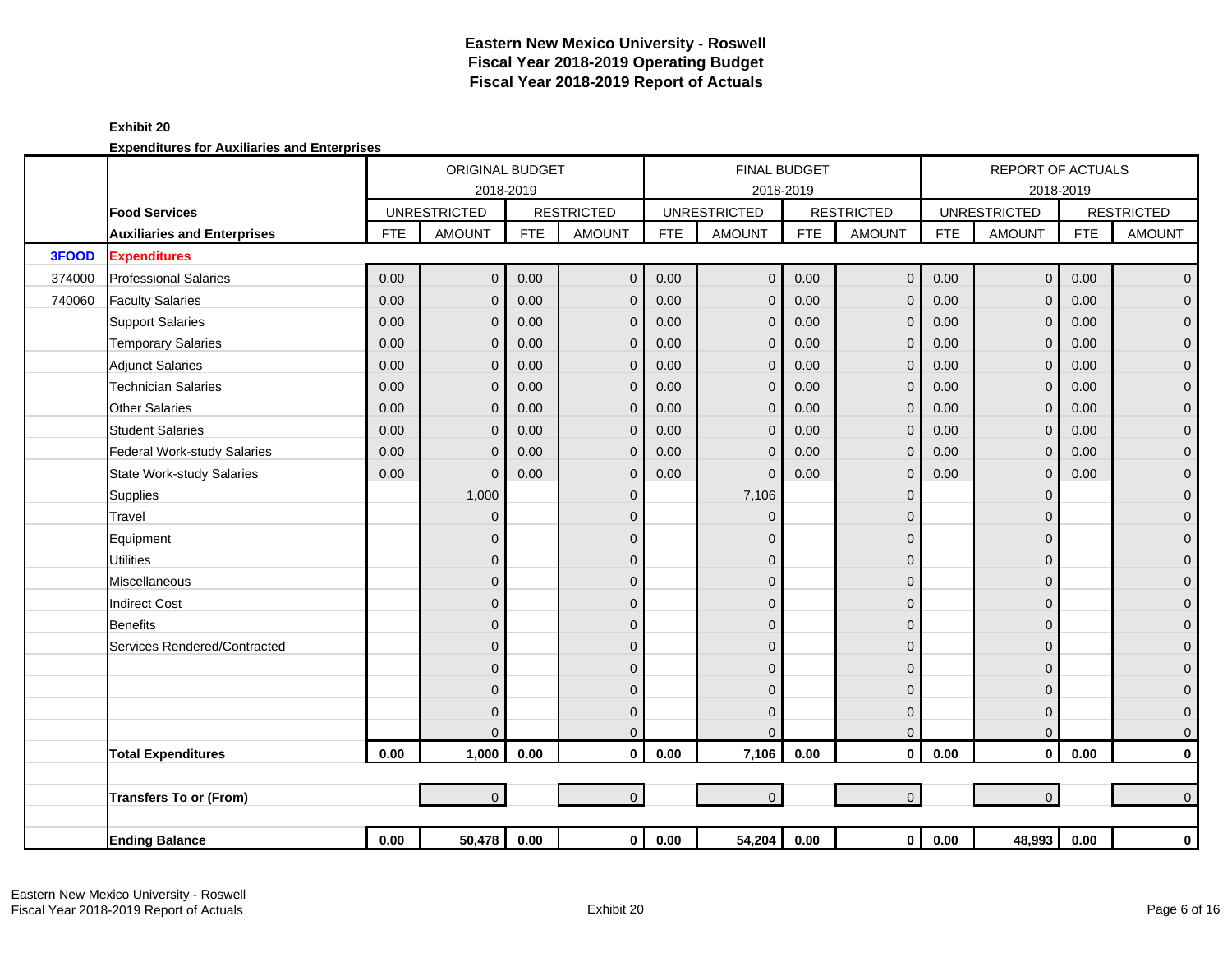|        |                                    |            | ORIGINAL BUDGET     |            |                   |            |                     | <b>FINAL BUDGET</b> |                   |            | <b>REPORT OF ACTUALS</b> |            |                   |
|--------|------------------------------------|------------|---------------------|------------|-------------------|------------|---------------------|---------------------|-------------------|------------|--------------------------|------------|-------------------|
|        |                                    |            |                     | 2018-2019  |                   |            |                     | 2018-2019           |                   |            |                          | 2018-2019  |                   |
|        | <b>Food Services</b>               |            | <b>UNRESTRICTED</b> |            | <b>RESTRICTED</b> |            | <b>UNRESTRICTED</b> |                     | <b>RESTRICTED</b> |            | <b>UNRESTRICTED</b>      |            | <b>RESTRICTED</b> |
|        | <b>Auxiliaries and Enterprises</b> | <b>FTE</b> | <b>AMOUNT</b>       | <b>FTE</b> | <b>AMOUNT</b>     | <b>FTE</b> | <b>AMOUNT</b>       | <b>FTE</b>          | <b>AMOUNT</b>     | <b>FTE</b> | <b>AMOUNT</b>            | <b>FTE</b> | <b>AMOUNT</b>     |
| 3FOOD  | <b>Expenditures</b>                |            |                     |            |                   |            |                     |                     |                   |            |                          |            |                   |
| 374000 | <b>Professional Salaries</b>       | 0.00       | $\overline{0}$      | 0.00       | $\mathbf{0}$      | 0.00       | $\mathbf 0$         | 0.00                | $\mathbf{0}$      | 0.00       | $\mathbf 0$              | 0.00       | $\overline{0}$    |
| 740060 | <b>Faculty Salaries</b>            | 0.00       | $\overline{0}$      | 0.00       | $\mathbf{0}$      | 0.00       | $\mathbf{0}$        | 0.00                | $\mathbf{0}$      | 0.00       | $\Omega$                 | 0.00       | $\mathbf{O}$      |
|        | <b>Support Salaries</b>            | 0.00       | 0                   | 0.00       | $\Omega$          | 0.00       | $\mathbf{0}$        | 0.00                | $\mathbf{0}$      | 0.00       | $\Omega$                 | 0.00       | $\mathbf 0$       |
|        | <b>Temporary Salaries</b>          | 0.00       | 0                   | 0.00       | $\mathbf{0}$      | 0.00       | $\mathbf 0$         | 0.00                | $\mathbf{0}$      | 0.00       | $\Omega$                 | 0.00       | $\mathbf 0$       |
|        | <b>Adjunct Salaries</b>            | 0.00       | 0                   | 0.00       | $\mathbf 0$       | 0.00       | $\mathbf{0}$        | 0.00                | $\mathbf{0}$      | 0.00       | $\Omega$                 | 0.00       | $\mathbf 0$       |
|        | <b>Technician Salaries</b>         | 0.00       | 0                   | 0.00       | $\mathbf{0}$      | 0.00       | $\mathbf{0}$        | 0.00                | $\mathbf 0$       | 0.00       | $\mathbf{0}$             | 0.00       | $\mathbf 0$       |
|        | <b>Other Salaries</b>              | 0.00       | 0                   | 0.00       | $\mathbf{0}$      | 0.00       | $\Omega$            | 0.00                | $\mathbf{0}$      | 0.00       | $\Omega$                 | 0.00       | $\pmb{0}$         |
|        | <b>Student Salaries</b>            | 0.00       | $\Omega$            | 0.00       | $\Omega$          | 0.00       | $\Omega$            | 0.00                | $\mathbf{0}$      | 0.00       | $\Omega$                 | 0.00       | $\overline{0}$    |
|        | <b>Federal Work-study Salaries</b> | 0.00       | $\Omega$            | 0.00       | $\mathbf{0}$      | 0.00       | $\mathbf{0}$        | 0.00                | $\mathbf{0}$      | 0.00       | $\Omega$                 | 0.00       | $\mathbf 0$       |
|        | <b>State Work-study Salaries</b>   | 0.00       | $\Omega$            | 0.00       | $\mathbf{0}$      | 0.00       | $\Omega$            | 0.00                | $\mathbf{0}$      | 0.00       | $\Omega$                 | 0.00       | $\pmb{0}$         |
|        | Supplies                           |            | 1,000               |            | $\mathbf{0}$      |            | 7,106               |                     | $\mathbf 0$       |            | $\Omega$                 |            | $\mathbf 0$       |
|        | Travel                             |            | 0                   |            | $\mathbf{0}$      |            | $\Omega$            |                     | 0                 |            | $\Omega$                 |            | $\mathbf{O}$      |
|        | Equipment                          |            | 0                   |            | $\Omega$          |            | $\Omega$            |                     | 0                 |            | $\Omega$                 |            | $\pmb{0}$         |
|        | <b>Utilities</b>                   |            | 0                   |            | $\mathbf{0}$      |            | $\mathbf{0}$        |                     | $\mathbf 0$       |            | $\mathbf{0}$             |            | $\mathbf 0$       |
|        | Miscellaneous                      |            | 0                   |            | $\Omega$          |            | $\Omega$            |                     | 0                 |            | $\Omega$                 |            | $\mathbf 0$       |
|        | <b>Indirect Cost</b>               |            | 0                   |            | $\Omega$          |            | $\Omega$            |                     | 0                 |            | $\Omega$                 |            | $\mathbf 0$       |
|        | <b>Benefits</b>                    |            | 0                   |            | $\Omega$          |            | $\Omega$            |                     | 0                 |            | $\Omega$                 |            | $\mathbf{O}$      |
|        | Services Rendered/Contracted       |            | 0                   |            | $\mathbf{0}$      |            | $\mathbf{0}$        |                     | 0                 |            | $\Omega$                 |            | $\mathbf 0$       |
|        |                                    |            | 0                   |            | $\Omega$          |            | $\Omega$            |                     | 0                 |            | $\Omega$                 |            | $\pmb{0}$         |
|        |                                    |            | 0                   |            | $\mathbf{0}$      |            | $\mathbf{0}$        |                     | $\mathbf 0$       |            | $\Omega$                 |            | $\mathbf 0$       |
|        |                                    |            | $\Omega$            |            | $\mathbf{0}$      |            | $\mathbf{0}$        |                     | $\mathbf 0$       |            | $\Omega$                 |            | $\mathbf{O}$      |
|        |                                    |            | 0                   |            | $\Omega$          |            | $\Omega$            |                     | $\mathbf{0}$      |            | $\Omega$                 |            | $\mathbf{O}$      |
|        | <b>Total Expenditures</b>          | 0.00       | 1,000               | 0.00       | $\mathbf{0}$      | 0.00       | 7,106               | 0.00                | $\mathbf{0}$      | 0.00       | $\mathbf{0}$             | 0.00       | $\mathbf 0$       |
|        |                                    |            |                     |            |                   |            |                     |                     |                   |            |                          |            |                   |
|        | <b>Transfers To or (From)</b>      |            | $\overline{0}$      |            | $\overline{0}$    |            | $\overline{0}$      |                     | $\mathbf{0}$      |            | $\overline{0}$           |            | $\mathbf{0}$      |
|        |                                    |            |                     |            |                   |            |                     |                     |                   |            |                          |            |                   |
|        | <b>Ending Balance</b>              | 0.00       | 50,478              | 0.00       | $\overline{0}$    | 0.00       | 54,204              | 0.00                | $\mathbf 0$       | $0.00\,$   | 48,993                   | 0.00       | $\mathbf 0$       |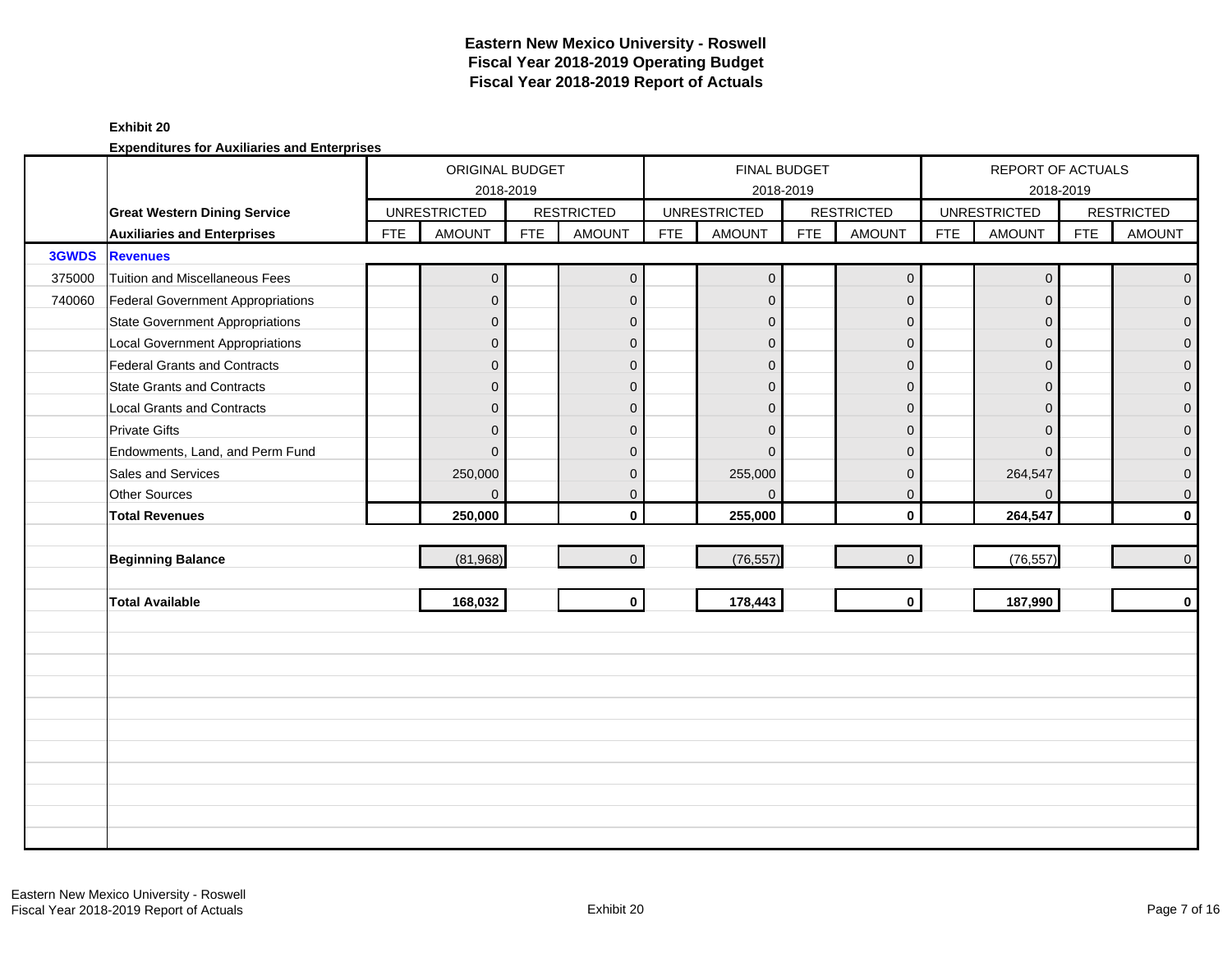#### **Exhibit 20**

|        |                                          |            | ORIGINAL BUDGET<br>2018-2019 |            |                   |            | <b>FINAL BUDGET</b> | 2018-2019  |                     |            | REPORT OF ACTUALS   | 2018-2019  |                   |
|--------|------------------------------------------|------------|------------------------------|------------|-------------------|------------|---------------------|------------|---------------------|------------|---------------------|------------|-------------------|
|        | <b>Great Western Dining Service</b>      |            | <b>UNRESTRICTED</b>          |            | <b>RESTRICTED</b> |            | <b>UNRESTRICTED</b> |            | <b>RESTRICTED</b>   |            | <b>UNRESTRICTED</b> |            | <b>RESTRICTED</b> |
|        | <b>Auxiliaries and Enterprises</b>       | <b>FTE</b> | <b>AMOUNT</b>                | <b>FTE</b> | <b>AMOUNT</b>     | <b>FTE</b> | <b>AMOUNT</b>       | <b>FTE</b> | <b>AMOUNT</b>       | <b>FTE</b> | <b>AMOUNT</b>       | <b>FTE</b> | <b>AMOUNT</b>     |
| 3GWDS  | <b>Revenues</b>                          |            |                              |            |                   |            |                     |            |                     |            |                     |            |                   |
| 375000 | Tuition and Miscellaneous Fees           |            | $\overline{0}$               |            | $\overline{0}$    |            | $\overline{0}$      |            | $\mathsf{O}\xspace$ |            | $\mathbf{0}$        |            | $\overline{0}$    |
| 740060 | <b>Federal Government Appropriations</b> |            | $\overline{0}$               |            | $\mathbf{0}$      |            | $\mathbf{0}$        |            | $\mathbf{0}$        |            | $\Omega$            |            | $\overline{0}$    |
|        | <b>State Government Appropriations</b>   |            | $\overline{0}$               |            | $\mathbf{0}$      |            | $\overline{0}$      |            | $\mathbf{0}$        |            | $\Omega$            |            | $\overline{0}$    |
|        | <b>Local Government Appropriations</b>   |            | $\mathbf 0$                  |            | $\mathbf{0}$      |            | $\mathbf{0}$        |            | $\mathbf{0}$        |            | $\mathbf{0}$        |            | $\pmb{0}$         |
|        | <b>Federal Grants and Contracts</b>      |            | $\overline{0}$               |            | $\mathbf{0}$      |            | $\mathbf{0}$        |            | $\mathbf 0$         |            | $\Omega$            |            | $\pmb{0}$         |
|        | <b>State Grants and Contracts</b>        |            | $\overline{0}$               |            | $\Omega$          |            | $\Omega$            |            | $\mathbf{0}$        |            | $\Omega$            |            | $\mathbf{0}$      |
|        | <b>Local Grants and Contracts</b>        |            | $\overline{0}$               |            | $\mathbf{0}$      |            | $\Omega$            |            | $\mathbf{0}$        |            | $\Omega$            |            | $\mathbf 0$       |
|        | <b>Private Gifts</b>                     |            | $\overline{0}$               |            | $\mathbf{0}$      |            | $\Omega$            |            | $\mathbf{0}$        |            | $\Omega$            |            | $\mathsf{O}^-$    |
|        | Endowments, Land, and Perm Fund          |            | $\overline{0}$               |            | $\Omega$          |            | $\Omega$            |            | $\mathbf{0}$        |            | $\Omega$            |            | $\mathbf 0$       |
|        | Sales and Services                       |            | 250,000                      |            | $\mathbf{0}$      |            | 255,000             |            | $\mathbf{0}$        |            | 264,547             |            | $\overline{0}$    |
|        | Other Sources                            |            | $\overline{0}$               |            | $\mathbf{0}$      |            | $\Omega$            |            | $\mathbf{0}$        |            | $\Omega$            |            | $\overline{0}$    |
|        | <b>Total Revenues</b>                    |            | 250,000                      |            | $\mathbf{0}$      |            | 255,000             |            | $\mathbf{0}$        |            | 264,547             |            | $\mathbf{0}$      |
|        |                                          |            |                              |            |                   |            |                     |            |                     |            |                     |            |                   |
|        | <b>Beginning Balance</b>                 |            | (81,968)                     |            | $\mathbf{0}$      |            | (76, 557)           |            | $\mathbf{0}$        |            | (76, 557)           |            | $\overline{0}$    |
|        |                                          |            |                              |            |                   |            |                     |            |                     |            |                     |            |                   |
|        | <b>Total Available</b>                   |            | 168,032                      |            | $\mathbf 0$       |            | 178,443             |            | $\mathbf{0}$        |            | 187,990             |            | $\mathbf{0}$      |
|        |                                          |            |                              |            |                   |            |                     |            |                     |            |                     |            |                   |
|        |                                          |            |                              |            |                   |            |                     |            |                     |            |                     |            |                   |
|        |                                          |            |                              |            |                   |            |                     |            |                     |            |                     |            |                   |
|        |                                          |            |                              |            |                   |            |                     |            |                     |            |                     |            |                   |
|        |                                          |            |                              |            |                   |            |                     |            |                     |            |                     |            |                   |
|        |                                          |            |                              |            |                   |            |                     |            |                     |            |                     |            |                   |
|        |                                          |            |                              |            |                   |            |                     |            |                     |            |                     |            |                   |
|        |                                          |            |                              |            |                   |            |                     |            |                     |            |                     |            |                   |
|        |                                          |            |                              |            |                   |            |                     |            |                     |            |                     |            |                   |
|        |                                          |            |                              |            |                   |            |                     |            |                     |            |                     |            |                   |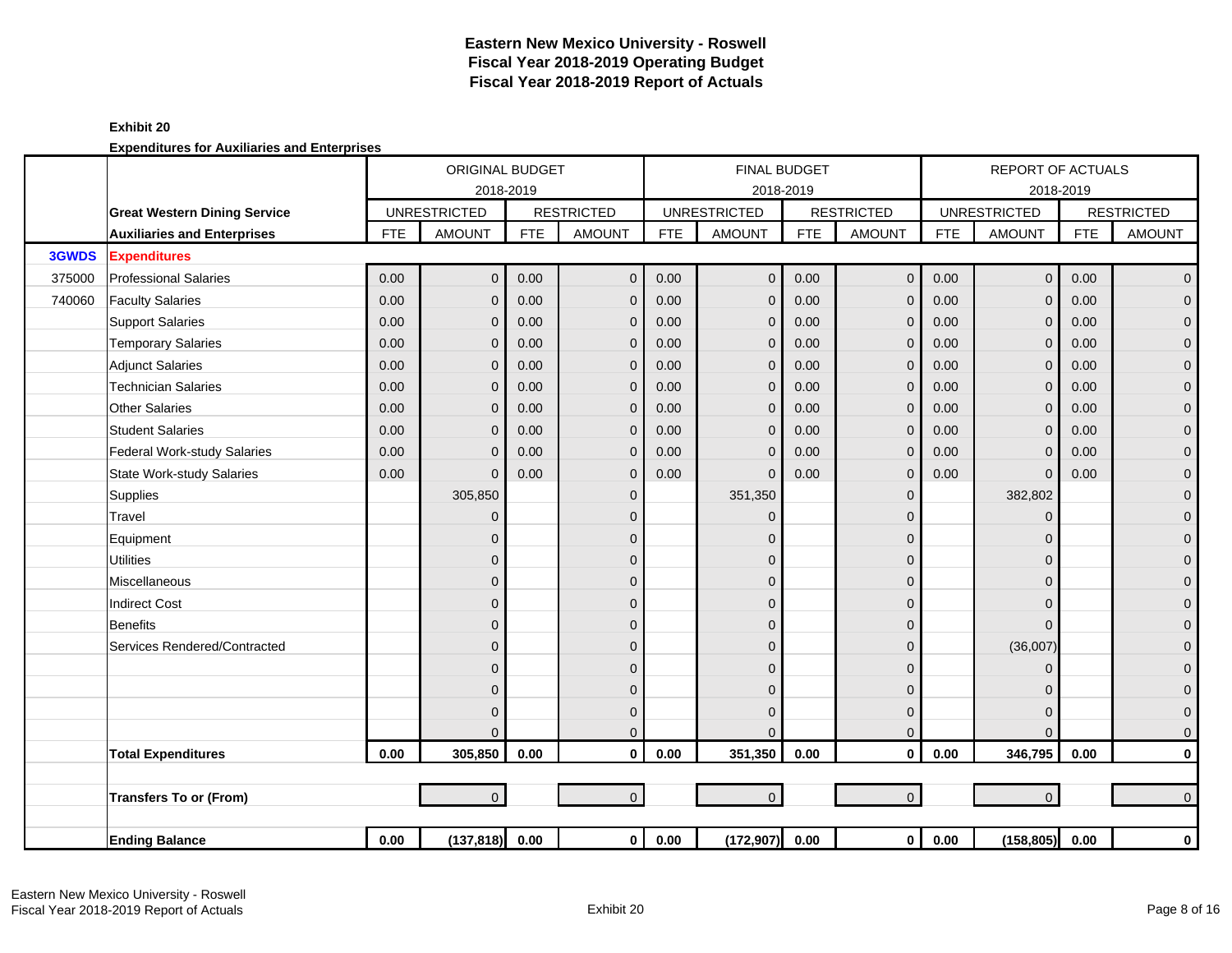### **Exhibit 20**

|        |                                     |            | ORIGINAL BUDGET     |            |                   |            |                     | <b>FINAL BUDGET</b> |                   |            | <b>REPORT OF ACTUALS</b> |            |                   |
|--------|-------------------------------------|------------|---------------------|------------|-------------------|------------|---------------------|---------------------|-------------------|------------|--------------------------|------------|-------------------|
|        |                                     |            | 2018-2019           |            |                   |            | 2018-2019           |                     |                   |            | 2018-2019                |            |                   |
|        | <b>Great Western Dining Service</b> |            | <b>UNRESTRICTED</b> |            | <b>RESTRICTED</b> |            | <b>UNRESTRICTED</b> |                     | <b>RESTRICTED</b> |            | <b>UNRESTRICTED</b>      |            | <b>RESTRICTED</b> |
|        | <b>Auxiliaries and Enterprises</b>  | <b>FTE</b> | <b>AMOUNT</b>       | <b>FTE</b> | <b>AMOUNT</b>     | <b>FTE</b> | <b>AMOUNT</b>       | <b>FTE</b>          | <b>AMOUNT</b>     | <b>FTE</b> | <b>AMOUNT</b>            | <b>FTE</b> | <b>AMOUNT</b>     |
| 3GWDS  | <b>Expenditures</b>                 |            |                     |            |                   |            |                     |                     |                   |            |                          |            |                   |
| 375000 | <b>Professional Salaries</b>        | 0.00       | $\overline{0}$      | 0.00       | $\mathbf{0}$      | 0.00       | $\overline{0}$      | 0.00                | $\mathbf 0$       | 0.00       | $\overline{0}$           | 0.00       | $\overline{0}$    |
| 740060 | <b>Faculty Salaries</b>             | 0.00       | $\mathbf{0}$        | 0.00       | $\mathbf{0}$      | 0.00       | $\mathbf 0$         | 0.00                | $\mathbf{0}$      | 0.00       | $\mathbf{0}$             | 0.00       | $\mathbf 0$       |
|        | <b>Support Salaries</b>             | 0.00       | $\mathbf{0}$        | 0.00       | $\mathbf 0$       | 0.00       | $\mathbf 0$         | 0.00                | $\mathbf 0$       | 0.00       | $\mathbf{0}$             | 0.00       | $\mathbf 0$       |
|        | <b>Temporary Salaries</b>           | 0.00       | $\mathbf 0$         | 0.00       | $\mathbf{0}$      | 0.00       | $\mathbf 0$         | 0.00                | $\mathbf 0$       | 0.00       | $\mathbf{0}$             | 0.00       | $\pmb{0}$         |
|        | <b>Adjunct Salaries</b>             | 0.00       | $\mathbf{0}$        | 0.00       | $\mathbf{0}$      | 0.00       | $\mathbf{0}$        | 0.00                | $\mathbf{0}$      | 0.00       | $\Omega$                 | 0.00       | $\mathbf 0$       |
|        | <b>Technician Salaries</b>          | 0.00       | $\mathbf{0}$        | 0.00       | $\mathbf{0}$      | 0.00       | $\overline{0}$      | 0.00                | $\mathbf{0}$      | 0.00       | $\Omega$                 | 0.00       | $\mathbf{0}$      |
|        | <b>Other Salaries</b>               | 0.00       | $\Omega$            | 0.00       | $\Omega$          | 0.00       | $\Omega$            | 0.00                | $\mathbf{0}$      | 0.00       | $\Omega$                 | 0.00       | $\mathbf 0$       |
|        | <b>Student Salaries</b>             | 0.00       | $\Omega$            | 0.00       | $\mathbf{0}$      | 0.00       | $\Omega$            | 0.00                | $\mathbf{0}$      | 0.00       | $\Omega$                 | 0.00       | $\mathsf{O}^-$    |
|        | Federal Work-study Salaries         | 0.00       | $\mathbf{0}$        | 0.00       | $\mathbf{0}$      | 0.00       | $\overline{0}$      | 0.00                | $\mathbf{0}$      | 0.00       | $\Omega$                 | 0.00       | $\mathbf 0$       |
|        | <b>State Work-study Salaries</b>    | 0.00       | $\mathbf{0}$        | 0.00       | $\mathbf{0}$      | 0.00       | $\Omega$            | 0.00                | $\mathbf 0$       | 0.00       | $\mathbf{0}$             | 0.00       | $\mathbf 0$       |
|        | Supplies                            |            | 305,850             |            | $\mathbf{0}$      |            | 351,350             |                     | $\mathbf 0$       |            | 382,802                  |            | $\mathbf 0$       |
|        | Travel                              |            | $\mathbf{0}$        |            | $\mathbf{0}$      |            | $\Omega$            |                     | $\Omega$          |            | $\Omega$                 |            | $\pmb{0}$         |
|        | Equipment                           |            | $\Omega$            |            | $\mathbf{0}$      |            | $\Omega$            |                     | 0                 |            | $\Omega$                 |            | $\mathbf 0$       |
|        | <b>Utilities</b>                    |            | $\overline{0}$      |            | $\mathbf{0}$      |            | $\mathbf 0$         |                     | $\mathbf 0$       |            | $\Omega$                 |            | $\mathbf 0$       |
|        | Miscellaneous                       |            | $\mathbf 0$         |            | $\mathbf{0}$      |            | $\overline{0}$      |                     | 0                 |            | $\Omega$                 |            | $\pmb{0}$         |
|        | <b>Indirect Cost</b>                |            | $\mathbf 0$         |            | $\mathbf{0}$      |            | $\mathbf 0$         |                     | 0                 |            | $\Omega$                 |            | $\pmb{0}$         |
|        | Benefits                            |            | $\mathbf{0}$        |            | $\Omega$          |            | $\Omega$            |                     | $\Omega$          |            | $\Omega$                 |            | $\mathbf{0}$      |
|        | Services Rendered/Contracted        |            | $\overline{0}$      |            | $\Omega$          |            | $\Omega$            |                     | $\overline{0}$    |            | (36,007)                 |            | $\pmb{0}$         |
|        |                                     |            | $\overline{0}$      |            | $\Omega$          |            | $\Omega$            |                     | $\Omega$          |            | $\Omega$                 |            | $\pmb{0}$         |
|        |                                     |            | $\overline{0}$      |            | $\Omega$          |            | $\Omega$            |                     | $\mathbf{0}$      |            | $\Omega$                 |            | $\mathbf{O}$      |
|        |                                     |            | $\mathbf{0}$        |            | $\mathbf{0}$      |            | $\Omega$            |                     | $\mathbf 0$       |            | $\Omega$                 |            | $\pmb{0}$         |
|        |                                     |            | $\Omega$            |            | $\Omega$          |            | $\Omega$            |                     | $\mathbf{0}$      |            | $\Omega$                 |            | $\mathbf{O}$      |
|        | <b>Total Expenditures</b>           | 0.00       | 305,850             | 0.00       | $\mathbf 0$       | 0.00       | 351,350             | 0.00                | $\mathbf 0$       | 0.00       | 346,795                  | 0.00       | $\mathbf 0$       |
|        |                                     |            |                     |            |                   |            |                     |                     |                   |            |                          |            |                   |
|        | <b>Transfers To or (From)</b>       |            | $\overline{0}$      |            | $\Omega$          |            | $\Omega$            |                     | $\mathbf 0$       |            | $\Omega$                 |            | $\overline{0}$    |
|        |                                     |            |                     |            |                   |            |                     |                     |                   |            |                          |            |                   |
|        | <b>Ending Balance</b>               | 0.00       | (137, 818)          | 0.00       | $\overline{0}$    | 0.00       | (172, 907)          | 0.00                | $\mathbf 0$       | 0.00       | (158, 805)               | 0.00       | $\mathbf 0$       |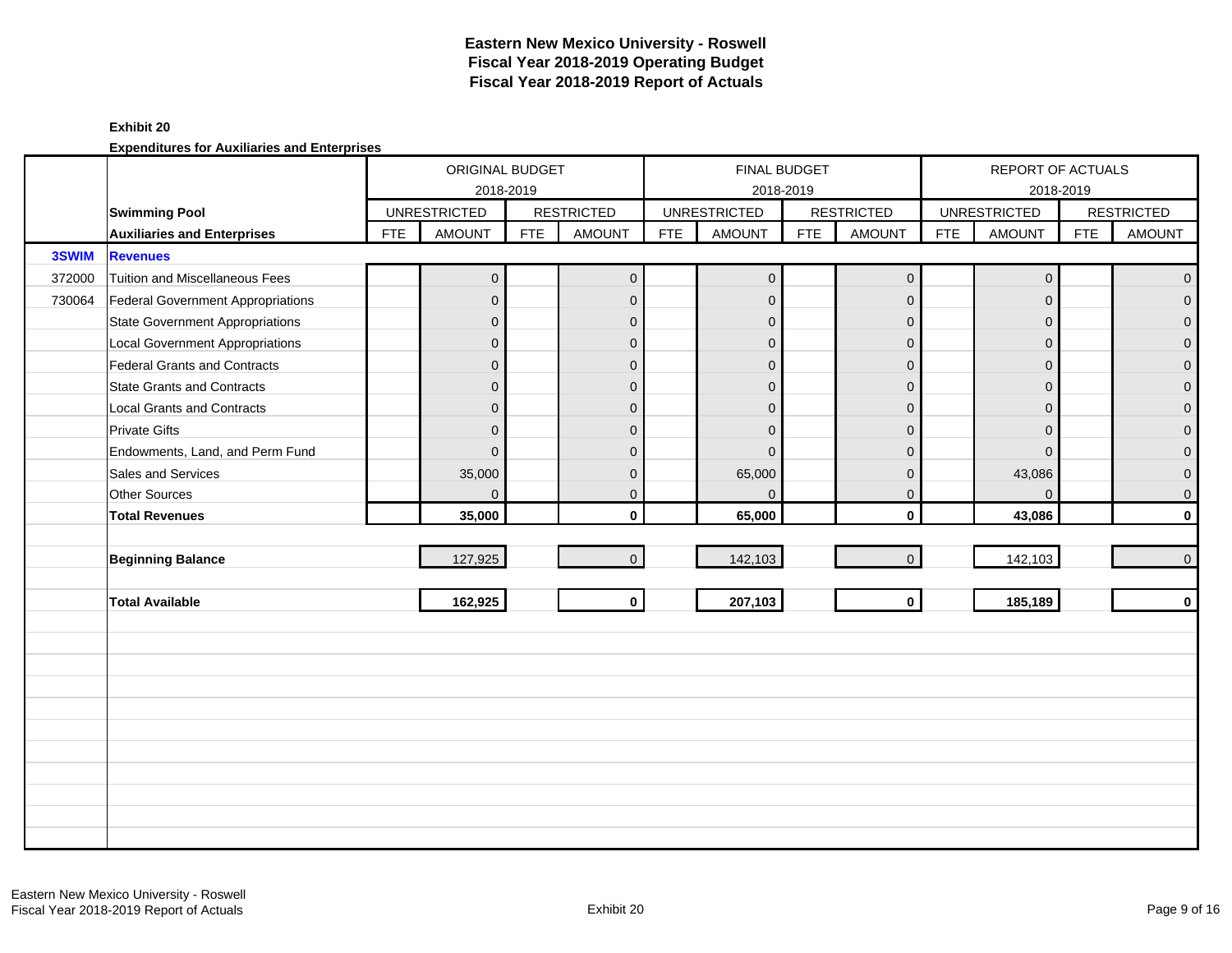#### **Exhibit 20**

|        |                                          |            | ORIGINAL BUDGET                  |            |                   |            | <b>FINAL BUDGET</b> |            |                   |            | REPORT OF ACTUALS   |            |                   |
|--------|------------------------------------------|------------|----------------------------------|------------|-------------------|------------|---------------------|------------|-------------------|------------|---------------------|------------|-------------------|
|        | <b>Swimming Pool</b>                     |            | 2018-2019<br><b>UNRESTRICTED</b> |            | <b>RESTRICTED</b> |            | <b>UNRESTRICTED</b> | 2018-2019  | <b>RESTRICTED</b> |            | <b>UNRESTRICTED</b> | 2018-2019  | <b>RESTRICTED</b> |
|        | <b>Auxiliaries and Enterprises</b>       | <b>FTE</b> | <b>AMOUNT</b>                    | <b>FTE</b> | <b>AMOUNT</b>     | <b>FTE</b> | <b>AMOUNT</b>       | <b>FTE</b> | <b>AMOUNT</b>     | <b>FTE</b> | <b>AMOUNT</b>       | <b>FTE</b> | <b>AMOUNT</b>     |
| 3SWIM  | <b>Revenues</b>                          |            |                                  |            |                   |            |                     |            |                   |            |                     |            |                   |
| 372000 | <b>Tuition and Miscellaneous Fees</b>    |            | $\overline{0}$                   |            | $\mathbf 0$       |            | $\mathbf{0}$        |            | $\mathbf 0$       |            | $\mathbf{0}$        |            | $\overline{0}$    |
| 730064 | <b>Federal Government Appropriations</b> |            | $\overline{0}$                   |            | $\mathbf{0}$      |            | $\mathbf 0$         |            | $\mathbf{0}$      |            | $\Omega$            |            | $\overline{0}$    |
|        | <b>State Government Appropriations</b>   |            | $\overline{0}$                   |            | $\mathbf{0}$      |            | $\mathbf 0$         |            | $\mathbf 0$       |            | $\Omega$            |            | $\overline{0}$    |
|        | <b>Local Government Appropriations</b>   |            | $\overline{0}$                   |            | $\mathbf 0$       |            | $\mathbf 0$         |            | $\mathbf{0}$      |            | $\mathbf{0}$        |            | $\mathbf 0$       |
|        | <b>Federal Grants and Contracts</b>      |            | $\overline{0}$                   |            | $\overline{0}$    |            | $\Omega$            |            | $\mathbf{0}$      |            | $\Omega$            |            | $\mathbf 0$       |
|        | <b>State Grants and Contracts</b>        |            | $\overline{0}$                   |            | $\Omega$          |            | $\Omega$            |            | $\mathbf{0}$      |            | $\Omega$            |            | $\overline{0}$    |
|        | <b>Local Grants and Contracts</b>        |            | $\overline{0}$                   |            | $\mathbf{0}$      |            | $\Omega$            |            | $\mathbf{0}$      |            | $\Omega$            |            | $\mathbf 0$       |
|        | <b>Private Gifts</b>                     |            | $\overline{0}$                   |            | $\mathbf{0}$      |            | $\mathbf 0$         |            | $\mathbf{0}$      |            | $\Omega$            |            | $\mathsf{O}^-$    |
|        | Endowments, Land, and Perm Fund          |            | $\overline{0}$                   |            | $\Omega$          |            | $\Omega$            |            | $\mathbf{0}$      |            | $\Omega$            |            | $\overline{0}$    |
|        | Sales and Services                       |            | 35,000                           |            | $\mathbf{0}$      |            | 65,000              |            | $\mathbf 0$       |            | 43,086              |            | $\pmb{0}$         |
|        | Other Sources                            |            | $\overline{0}$                   |            | $\mathbf{0}$      |            | $\Omega$            |            | $\mathbf 0$       |            | $\Omega$            |            | $\mathsf{O}^-$    |
|        | <b>Total Revenues</b>                    |            | 35,000                           |            | $\mathbf{0}$      |            | 65,000              |            | $\mathbf 0$       |            | 43,086              |            | $\mathbf{0}$      |
|        |                                          |            |                                  |            |                   |            |                     |            |                   |            |                     |            |                   |
|        | <b>Beginning Balance</b>                 |            | 127,925                          |            | $\Omega$          |            | 142,103             |            | $\overline{0}$    |            | 142,103             |            | $\overline{0}$    |
|        |                                          |            |                                  |            |                   |            |                     |            |                   |            |                     |            |                   |
|        | <b>Total Available</b>                   |            | 162,925                          |            | $\mathbf 0$       |            | 207,103             |            | $\mathbf{0}$      |            | 185,189             |            | $\mathbf{0}$      |
|        |                                          |            |                                  |            |                   |            |                     |            |                   |            |                     |            |                   |
|        |                                          |            |                                  |            |                   |            |                     |            |                   |            |                     |            |                   |
|        |                                          |            |                                  |            |                   |            |                     |            |                   |            |                     |            |                   |
|        |                                          |            |                                  |            |                   |            |                     |            |                   |            |                     |            |                   |
|        |                                          |            |                                  |            |                   |            |                     |            |                   |            |                     |            |                   |
|        |                                          |            |                                  |            |                   |            |                     |            |                   |            |                     |            |                   |
|        |                                          |            |                                  |            |                   |            |                     |            |                   |            |                     |            |                   |
|        |                                          |            |                                  |            |                   |            |                     |            |                   |            |                     |            |                   |
|        |                                          |            |                                  |            |                   |            |                     |            |                   |            |                     |            |                   |
|        |                                          |            |                                  |            |                   |            |                     |            |                   |            |                     |            |                   |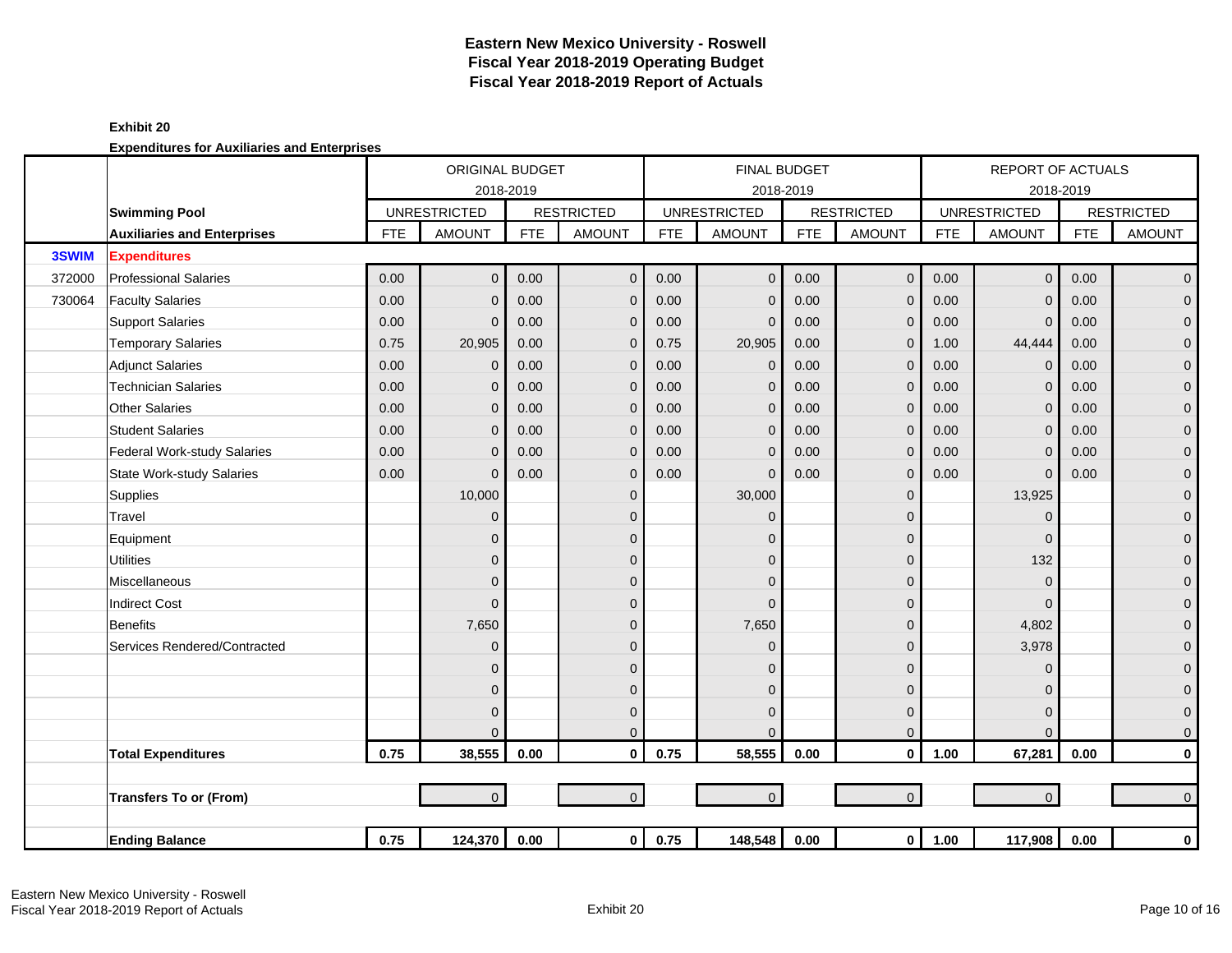|        |                                    |            | ORIGINAL BUDGET     |            |                   |            |                     | <b>FINAL BUDGET</b> |                   |            | <b>REPORT OF ACTUALS</b> |            |                   |
|--------|------------------------------------|------------|---------------------|------------|-------------------|------------|---------------------|---------------------|-------------------|------------|--------------------------|------------|-------------------|
|        |                                    |            | 2018-2019           |            |                   |            |                     | 2018-2019           |                   |            |                          | 2018-2019  |                   |
|        | <b>Swimming Pool</b>               |            | <b>UNRESTRICTED</b> |            | <b>RESTRICTED</b> |            | <b>UNRESTRICTED</b> |                     | <b>RESTRICTED</b> |            | <b>UNRESTRICTED</b>      |            | <b>RESTRICTED</b> |
|        | <b>Auxiliaries and Enterprises</b> | <b>FTE</b> | <b>AMOUNT</b>       | <b>FTE</b> | <b>AMOUNT</b>     | <b>FTE</b> | <b>AMOUNT</b>       | <b>FTE</b>          | <b>AMOUNT</b>     | <b>FTE</b> | <b>AMOUNT</b>            | <b>FTE</b> | <b>AMOUNT</b>     |
| 3SWIM  | <b>Expenditures</b>                |            |                     |            |                   |            |                     |                     |                   |            |                          |            |                   |
| 372000 | <b>Professional Salaries</b>       | 0.00       | $\overline{0}$      | 0.00       | $\mathbf{0}$      | 0.00       | $\overline{0}$      | 0.00                | $\mathbf 0$       | 0.00       | $\overline{0}$           | 0.00       | $\overline{0}$    |
| 730064 | <b>Faculty Salaries</b>            | 0.00       | 0                   | 0.00       | $\mathbf{0}$      | 0.00       | $\mathbf{0}$        | 0.00                | $\mathbf 0$       | 0.00       | $\mathbf{0}$             | 0.00       | $\mathbf 0$       |
|        | <b>Support Salaries</b>            | 0.00       | 0                   | 0.00       | $\mathbf{0}$      | 0.00       | $\mathbf{0}$        | 0.00                | $\mathbf 0$       | 0.00       | $\mathbf{0}$             | 0.00       | $\mathbf{O}$      |
|        | <b>Temporary Salaries</b>          | 0.75       | 20,905              | 0.00       | $\mathbf 0$       | 0.75       | 20,905              | 0.00                | $\mathbf{0}$      | 1.00       | 44,444                   | 0.00       | $\pmb{0}$         |
|        | <b>Adjunct Salaries</b>            | 0.00       | 0                   | 0.00       | $\mathbf 0$       | 0.00       | $\mathbf{0}$        | 0.00                | $\mathbf 0$       | 0.00       | $\Omega$                 | 0.00       | $\mathbf 0$       |
|        | <b>Technician Salaries</b>         | 0.00       | $\Omega$            | 0.00       | $\Omega$          | 0.00       | $\mathbf 0$         | 0.00                | $\mathbf{0}$      | 0.00       | $\Omega$                 | 0.00       | $\mathbf{O}$      |
|        | <b>Other Salaries</b>              | 0.00       | $\Omega$            | 0.00       | $\Omega$          | 0.00       | $\Omega$            | 0.00                | $\mathbf{0}$      | 0.00       | $\Omega$                 | 0.00       | $\pmb{0}$         |
|        | <b>Student Salaries</b>            | 0.00       | $\Omega$            | 0.00       | $\Omega$          | 0.00       | $\Omega$            | 0.00                | $\mathbf{0}$      | 0.00       | $\Omega$                 | 0.00       | $\overline{0}$    |
|        | <b>Federal Work-study Salaries</b> | 0.00       | 0                   | 0.00       | $\mathbf 0$       | 0.00       | $\mathbf{0}$        | 0.00                | $\mathbf{0}$      | 0.00       | $\Omega$                 | 0.00       | $\mathbf 0$       |
|        | <b>State Work-study Salaries</b>   | 0.00       | $\Omega$            | 0.00       | $\Omega$          | 0.00       | $\Omega$            | 0.00                | $\mathbf{0}$      | 0.00       | $\mathbf{0}$             | 0.00       | $\pmb{0}$         |
|        | Supplies                           |            | 10,000              |            | $\mathbf{0}$      |            | 30,000              |                     | $\mathbf 0$       |            | 13,925                   |            | $\mathbf{O}$      |
|        | Travel                             |            | 0                   |            | $\mathbf{0}$      |            | $\mathbf{0}$        |                     | 0                 |            | $\Omega$                 |            | $\mathbf 0$       |
|        | Equipment                          |            | 0                   |            | $\mathbf{0}$      |            | $\Omega$            |                     | 0                 |            | $\Omega$                 |            | $\pmb{0}$         |
|        | <b>Utilities</b>                   |            | 0                   |            | $\mathbf{0}$      |            | $\mathbf{0}$        |                     | 0                 |            | 132                      |            | $\mathbf 0$       |
|        | Miscellaneous                      |            | 0                   |            | $\mathbf{0}$      |            | $\mathbf{0}$        |                     | 0                 |            | $\mathbf{0}$             |            | $\mathbf 0$       |
|        | <b>Indirect Cost</b>               |            | 0                   |            | $\mathbf{0}$      |            | $\Omega$            |                     | 0                 |            | $\Omega$                 |            | $\pmb{0}$         |
|        | <b>Benefits</b>                    |            | 7,650               |            | $\Omega$          |            | 7,650               |                     | $\Omega$          |            | 4,802                    |            | $\pmb{0}$         |
|        | Services Rendered/Contracted       |            | 0                   |            | $\Omega$          |            | $\Omega$            |                     | 0                 |            | 3,978                    |            | $\mathbf 0$       |
|        |                                    |            | 0                   |            | $\Omega$          |            | $\Omega$            |                     | 0                 |            | $\Omega$                 |            | $\mathbf 0$       |
|        |                                    |            | $\Omega$            |            | $\Omega$          |            | $\Omega$            |                     | 0                 |            | $\Omega$                 |            | $\pmb{0}$         |
|        |                                    |            | 0                   |            | $\mathbf{0}$      |            | $\Omega$            |                     | $\mathbf 0$       |            | $\Omega$                 |            | $\mathbf 0$       |
|        |                                    |            |                     |            | $\mathbf{0}$      |            | $\Omega$            |                     | $\mathbf 0$       |            | $\Omega$                 |            | $\mathbf{O}$      |
|        | <b>Total Expenditures</b>          | 0.75       | 38,555              | 0.00       | $\mathbf{0}$      | 0.75       | 58,555              | 0.00                | $\mathbf 0$       | 1.00       | 67,281                   | 0.00       | $\mathbf 0$       |
|        |                                    |            |                     |            |                   |            |                     |                     |                   |            |                          |            |                   |
|        | <b>Transfers To or (From)</b>      |            | $\overline{0}$      |            | $\overline{0}$    |            | $\overline{0}$      |                     | $\mathbf 0$       |            | $\overline{0}$           |            | $\overline{0}$    |
|        |                                    |            |                     |            |                   |            |                     |                     |                   |            |                          |            |                   |
|        | <b>Ending Balance</b>              | 0.75       | 124,370             | 0.00       | $\mathbf{0}$      | 0.75       | 148,548             | 0.00                | $\mathbf 0$       | 1.00       | 117,908                  | 0.00       | $\mathbf 0$       |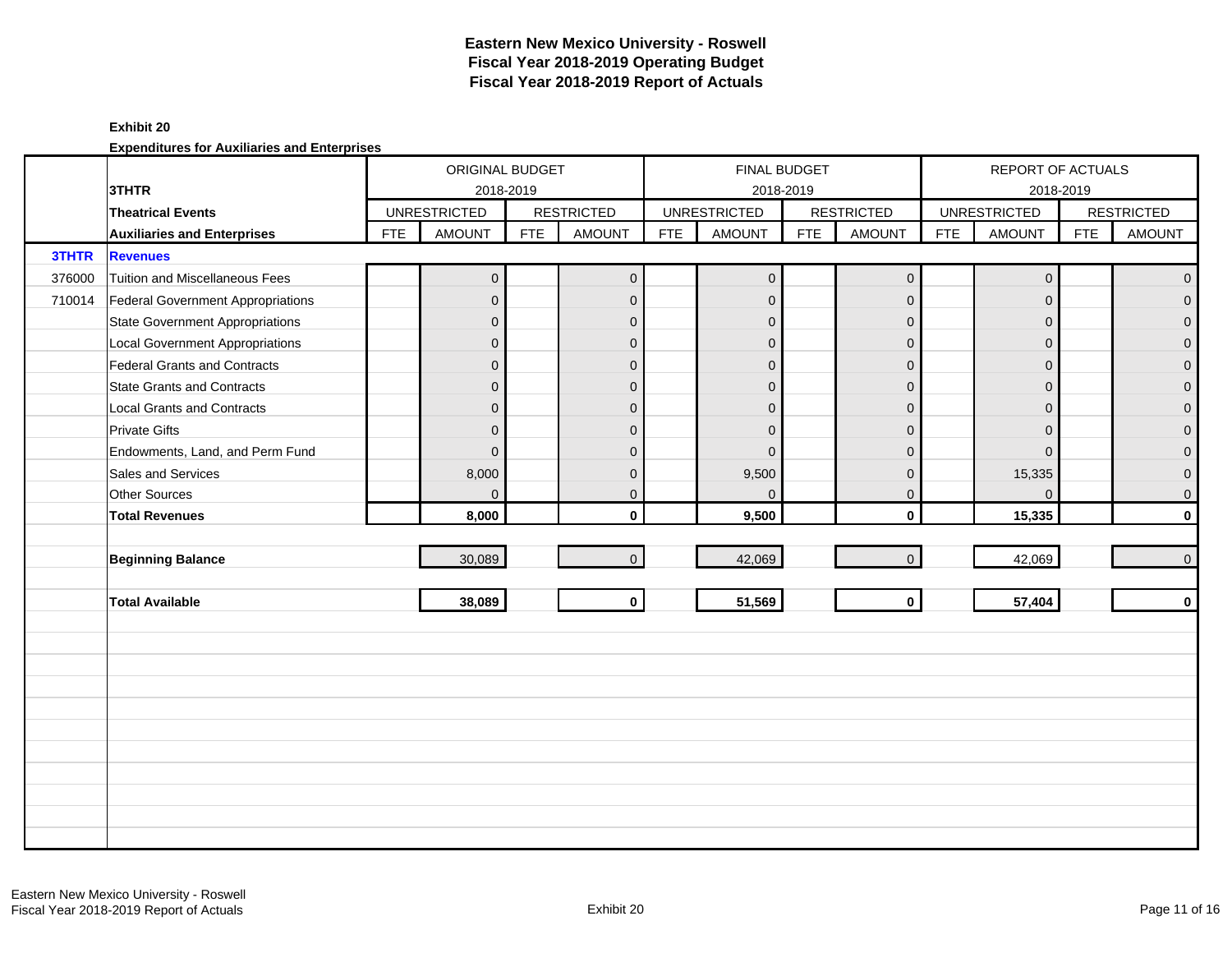#### **Exhibit 20**

|              |                                        |            | ORIGINAL BUDGET     |            |                   |            | <b>FINAL BUDGET</b> |            |                     |            | REPORT OF ACTUALS   |            |                   |
|--------------|----------------------------------------|------------|---------------------|------------|-------------------|------------|---------------------|------------|---------------------|------------|---------------------|------------|-------------------|
|              | 3THTR                                  |            | 2018-2019           |            |                   |            |                     | 2018-2019  |                     |            |                     | 2018-2019  |                   |
|              | <b>Theatrical Events</b>               |            | <b>UNRESTRICTED</b> |            | <b>RESTRICTED</b> |            | <b>UNRESTRICTED</b> |            | <b>RESTRICTED</b>   |            | <b>UNRESTRICTED</b> |            | <b>RESTRICTED</b> |
|              | <b>Auxiliaries and Enterprises</b>     | <b>FTE</b> | <b>AMOUNT</b>       | <b>FTE</b> | <b>AMOUNT</b>     | <b>FTE</b> | <b>AMOUNT</b>       | <b>FTE</b> | <b>AMOUNT</b>       | <b>FTE</b> | <b>AMOUNT</b>       | <b>FTE</b> | <b>AMOUNT</b>     |
| <b>3THTR</b> | <b>Revenues</b>                        |            |                     |            |                   |            |                     |            |                     |            |                     |            |                   |
| 376000       | Tuition and Miscellaneous Fees         |            | $\overline{0}$      |            | $\mathbf 0$       |            | $\mathbf{0}$        |            | $\mathsf{O}\xspace$ |            | $\mathbf 0$         |            | $\overline{0}$    |
| 710014       | Federal Government Appropriations      |            | $\overline{0}$      |            | $\mathbf{0}$      |            | $\mathbf 0$         |            | $\mathbf{0}$        |            | $\Omega$            |            | $\overline{0}$    |
|              | <b>State Government Appropriations</b> |            | $\overline{0}$      |            | $\mathbf{0}$      |            | $\mathbf{0}$        |            | $\mathbf{0}$        |            | $\Omega$            |            | $\overline{0}$    |
|              | <b>Local Government Appropriations</b> |            | $\overline{0}$      |            | $\mathbf{0}$      |            | $\Omega$            |            | $\mathbf{0}$        |            | $\Omega$            |            | $\pmb{0}$         |
|              | <b>Federal Grants and Contracts</b>    |            | $\overline{0}$      |            | $\mathbf{0}$      |            | $\overline{0}$      |            | $\mathbf{0}$        |            | $\Omega$            |            | $\mathbf 0$       |
|              | <b>State Grants and Contracts</b>      |            | $\overline{0}$      |            | $\mathbf{0}$      |            | $\Omega$            |            | $\mathbf{0}$        |            | $\Omega$            |            | $\overline{0}$    |
|              | <b>Local Grants and Contracts</b>      |            | $\overline{0}$      |            | $\mathbf 0$       |            | $\Omega$            |            | $\mathbf{0}$        |            | $\Omega$            |            | $\mathbf{O}$      |
|              | <b>Private Gifts</b>                   |            | $\overline{0}$      |            | $\mathbf{0}$      |            | $\Omega$            |            | $\mathbf 0$         |            | $\Omega$            |            | $\overline{0}$    |
|              | Endowments, Land, and Perm Fund        |            | $\mathbf{0}$        |            | $\mathbf{0}$      |            | $\Omega$            |            | $\mathbf{0}$        |            | $\Omega$            |            | $\overline{0}$    |
|              | Sales and Services                     |            | 8,000               |            | $\mathbf{0}$      |            | 9,500               |            | $\mathbf{0}$        |            | 15,335              |            | $\overline{0}$    |
|              | <b>Other Sources</b>                   |            | $\overline{0}$      |            | $\mathbf 0$       |            | $\mathbf 0$         |            | $\mathbf 0$         |            | $\Omega$            |            | $\overline{0}$    |
|              | <b>Total Revenues</b>                  |            | 8,000               |            | $\mathbf{0}$      |            | 9,500               |            | $\mathbf 0$         |            | 15,335              |            | $\mathbf{0}$      |
|              |                                        |            |                     |            |                   |            |                     |            |                     |            |                     |            |                   |
|              | <b>Beginning Balance</b>               |            | 30,089              |            | $\mathbf{0}$      |            | 42,069              |            | $\mathbf{0}$        |            | 42,069              |            | $\overline{0}$    |
|              |                                        |            |                     |            |                   |            |                     |            |                     |            |                     |            |                   |
|              | <b>Total Available</b>                 |            | 38,089              |            | $\mathbf 0$       |            | 51,569              |            | $\mathbf{0}$        |            | 57,404              |            | $\mathbf{0}$      |
|              |                                        |            |                     |            |                   |            |                     |            |                     |            |                     |            |                   |
|              |                                        |            |                     |            |                   |            |                     |            |                     |            |                     |            |                   |
|              |                                        |            |                     |            |                   |            |                     |            |                     |            |                     |            |                   |
|              |                                        |            |                     |            |                   |            |                     |            |                     |            |                     |            |                   |
|              |                                        |            |                     |            |                   |            |                     |            |                     |            |                     |            |                   |
|              |                                        |            |                     |            |                   |            |                     |            |                     |            |                     |            |                   |
|              |                                        |            |                     |            |                   |            |                     |            |                     |            |                     |            |                   |
|              |                                        |            |                     |            |                   |            |                     |            |                     |            |                     |            |                   |
|              |                                        |            |                     |            |                   |            |                     |            |                     |            |                     |            |                   |
|              |                                        |            |                     |            |                   |            |                     |            |                     |            |                     |            |                   |
|              |                                        |            |                     |            |                   |            |                     |            |                     |            |                     |            |                   |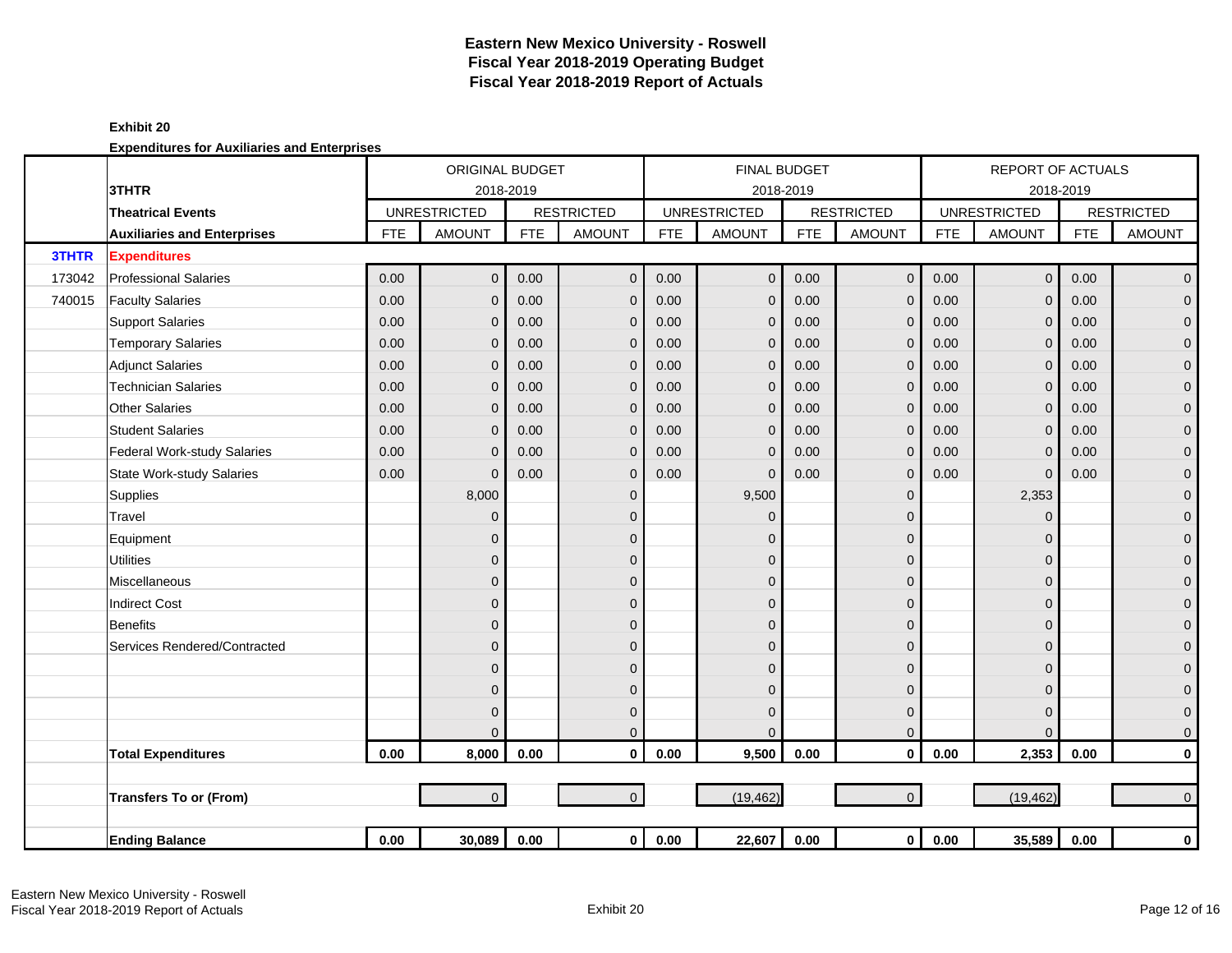|        |                                    |            | <b>ORIGINAL BUDGET</b> |            |                   |            | <b>FINAL BUDGET</b> |            |                   |            | <b>REPORT OF ACTUALS</b> |            |                     |
|--------|------------------------------------|------------|------------------------|------------|-------------------|------------|---------------------|------------|-------------------|------------|--------------------------|------------|---------------------|
|        | 3THTR                              |            | 2018-2019              |            |                   |            | 2018-2019           |            |                   |            | 2018-2019                |            |                     |
|        | <b>Theatrical Events</b>           |            | <b>UNRESTRICTED</b>    |            | <b>RESTRICTED</b> |            | <b>UNRESTRICTED</b> |            | <b>RESTRICTED</b> |            | <b>UNRESTRICTED</b>      |            | <b>RESTRICTED</b>   |
|        | <b>Auxiliaries and Enterprises</b> | <b>FTE</b> | <b>AMOUNT</b>          | <b>FTE</b> | <b>AMOUNT</b>     | <b>FTE</b> | <b>AMOUNT</b>       | <b>FTE</b> | <b>AMOUNT</b>     | <b>FTE</b> | <b>AMOUNT</b>            | <b>FTE</b> | <b>AMOUNT</b>       |
| 3THTR  | <b>Expenditures</b>                |            |                        |            |                   |            |                     |            |                   |            |                          |            |                     |
| 173042 | <b>Professional Salaries</b>       | 0.00       | $\overline{0}$         | 0.00       | $\mathbf{0}$      | 0.00       | $\overline{0}$      | 0.00       | $\mathbf{0}$      | 0.00       | $\mathbf{0}$             | 0.00       | $\overline{0}$      |
| 740015 | <b>Faculty Salaries</b>            | 0.00       | $\mathbf{0}$           | 0.00       | $\mathbf 0$       | 0.00       | $\mathbf{0}$        | 0.00       | $\mathbf 0$       | 0.00       | $\Omega$                 | 0.00       | $\mathbf{O}$        |
|        | <b>Support Salaries</b>            | 0.00       | $\Omega$               | 0.00       | $\mathbf 0$       | 0.00       | $\mathbf{0}$        | 0.00       | $\mathbf 0$       | 0.00       | $\Omega$                 | 0.00       | $\mathbf{O}$        |
|        | <b>Temporary Salaries</b>          | 0.00       | $\Omega$               | 0.00       | $\mathbf 0$       | 0.00       | $\mathbf{0}$        | 0.00       | $\mathbf{0}$      | 0.00       | $\Omega$                 | 0.00       | $\mathbf 0$         |
|        | <b>Adjunct Salaries</b>            | 0.00       | $\mathbf{0}$           | 0.00       | $\mathbf 0$       | 0.00       | $\mathbf{0}$        | 0.00       | $\mathbf{0}$      | 0.00       | $\Omega$                 | 0.00       | $\mathbf{O}$        |
|        | <b>Technician Salaries</b>         | 0.00       | $\Omega$               | 0.00       | $\mathbf 0$       | 0.00       | $\mathbf{0}$        | 0.00       | $\mathbf{0}$      | 0.00       | $\Omega$                 | 0.00       | $\mathbf{O}$        |
|        | <b>Other Salaries</b>              | 0.00       | $\Omega$               | 0.00       | $\mathbf 0$       | 0.00       | $\Omega$            | 0.00       | $\mathbf{0}$      | 0.00       | $\Omega$                 | 0.00       | $\mathbf 0$         |
|        | <b>Student Salaries</b>            | 0.00       | $\Omega$               | 0.00       | $\mathbf 0$       | 0.00       | $\mathbf{0}$        | 0.00       | $\mathbf 0$       | 0.00       | $\Omega$                 | 0.00       | $\mathbf 0$         |
|        | Federal Work-study Salaries        | 0.00       | $\Omega$               | 0.00       | $\mathbf 0$       | 0.00       | $\overline{0}$      | 0.00       | $\mathbf 0$       | 0.00       | $\mathbf 0$              | 0.00       | $\mathbf{O}$        |
|        | <b>State Work-study Salaries</b>   | 0.00       | $\Omega$               | 0.00       | $\mathbf 0$       | 0.00       | $\Omega$            | 0.00       | $\mathbf 0$       | 0.00       | $\mathbf{0}$             | 0.00       | $\pmb{0}$           |
|        | Supplies                           |            | 8,000                  |            | $\overline{0}$    |            | 9,500               |            | $\mathbf 0$       |            | 2,353                    |            | $\mathbf{O}$        |
|        | Travel                             |            | $\mathbf{0}$           |            | $\mathbf 0$       |            | $\mathbf{0}$        |            | $\mathbf 0$       |            | $\Omega$                 |            | $\mathbf{O}$        |
|        | Equipment                          |            | $\mathbf{0}$           |            | $\mathbf 0$       |            | $\Omega$            |            | $\mathbf 0$       |            | $\Omega$                 |            | $\mathbf 0$         |
|        | <b>Utilities</b>                   |            | $\mathbf{0}$           |            | $\mathbf 0$       |            | $\mathbf{0}$        |            | $\mathbf 0$       |            | $\Omega$                 |            | $\mathbf{0}$        |
|        | <b>Miscellaneous</b>               |            | $\overline{0}$         |            | $\mathbf 0$       |            | $\overline{0}$      |            | $\mathbf 0$       |            | $\Omega$                 |            | $\pmb{0}$           |
|        | <b>Indirect Cost</b>               |            | $\overline{0}$         |            | $\mathbf 0$       |            | $\mathbf{0}$        |            | $\mathbf 0$       |            | $\Omega$                 |            | $\mathbf 0$         |
|        | Benefits                           |            | $\mathbf{0}$           |            | $\mathbf 0$       |            | $\mathbf{0}$        |            | $\mathbf 0$       |            | $\Omega$                 |            | $\mathbf{0}$        |
|        | Services Rendered/Contracted       |            | $\mathbf 0$            |            | $\mathbf 0$       |            | $\mathbf{0}$        |            | $\mathbf 0$       |            | $\Omega$                 |            | 0                   |
|        |                                    |            | $\overline{0}$         |            | $\mathbf 0$       |            | $\mathbf{0}$        |            | $\mathbf 0$       |            | $\Omega$                 |            | $\mathsf{O}\xspace$ |
|        |                                    |            | $\mathbf{0}$           |            | $\mathbf 0$       |            | $\mathbf{0}$        |            | $\mathbf 0$       |            | $\Omega$                 |            | $\mathbf 0$         |
|        |                                    |            | $\mathbf{0}$           |            | $\mathbf 0$       |            | $\Omega$            |            | $\mathbf 0$       |            | $\Omega$                 |            | $\mathbf 0$         |
|        |                                    |            | $\Omega$               |            | $\mathbf 0$       |            | $\Omega$            |            | $\mathbf 0$       |            | $\Omega$                 |            | $\pmb{0}$           |
|        | <b>Total Expenditures</b>          | 0.00       | 8,000                  | 0.00       | $\mathbf 0$       | 0.00       | 9,500               | 0.00       | $\mathbf 0$       | 0.00       | 2,353                    | 0.00       | $\overline{0}$      |
|        |                                    |            |                        |            |                   |            |                     |            |                   |            |                          |            |                     |
|        | <b>Transfers To or (From)</b>      |            | $\overline{0}$         |            | $\mathbf{0}$      |            | (19, 462)           |            | $\mathbf{0}$      |            | (19, 462)                |            | $\overline{0}$      |
|        |                                    |            |                        |            |                   |            |                     |            |                   |            |                          |            |                     |
|        | <b>Ending Balance</b>              | 0.00       | 30,089                 | 0.00       | $\mathbf{0}$      | 0.00       | 22,607              | 0.00       | $\mathbf 0$       | $0.00\,$   | 35,589                   | 0.00       | $\mathbf{0}$        |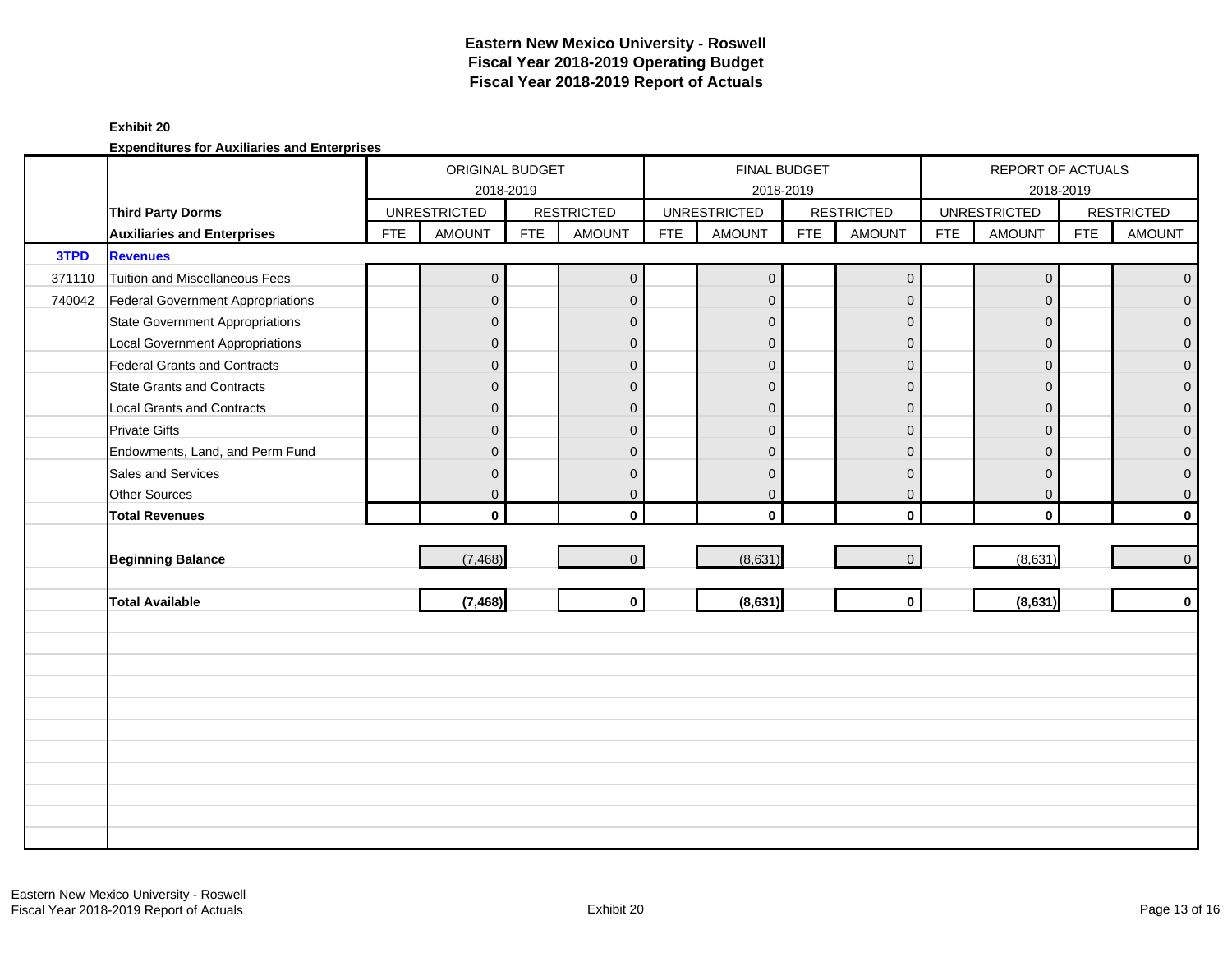### **Exhibit 20**

|        |                                          |            | ORIGINAL BUDGET<br>2018-2019 |            |                   |            | <b>FINAL BUDGET</b> | 2018-2019  |                   |            | REPORT OF ACTUALS   | 2018-2019  |                   |
|--------|------------------------------------------|------------|------------------------------|------------|-------------------|------------|---------------------|------------|-------------------|------------|---------------------|------------|-------------------|
|        | <b>Third Party Dorms</b>                 |            | <b>UNRESTRICTED</b>          |            | <b>RESTRICTED</b> |            | <b>UNRESTRICTED</b> |            | <b>RESTRICTED</b> |            | <b>UNRESTRICTED</b> |            | <b>RESTRICTED</b> |
|        | <b>Auxiliaries and Enterprises</b>       | <b>FTE</b> | <b>AMOUNT</b>                | <b>FTE</b> | <b>AMOUNT</b>     | <b>FTE</b> | <b>AMOUNT</b>       | <b>FTE</b> | <b>AMOUNT</b>     | <b>FTE</b> | <b>AMOUNT</b>       | <b>FTE</b> | <b>AMOUNT</b>     |
| 3TPD   | <b>Revenues</b>                          |            |                              |            |                   |            |                     |            |                   |            |                     |            |                   |
| 371110 | <b>Tuition and Miscellaneous Fees</b>    |            | $\overline{0}$               |            | $\overline{0}$    |            | $\overline{0}$      |            | $\mathbf{0}$      |            | $\overline{0}$      |            | $\overline{0}$    |
| 740042 | <b>Federal Government Appropriations</b> |            | $\overline{0}$               |            | $\mathbf{0}$      |            | $\mathbf{0}$        |            | $\mathbf{0}$      |            | $\Omega$            |            | $\overline{0}$    |
|        | <b>State Government Appropriations</b>   |            | $\overline{0}$               |            | $\mathbf{0}$      |            | $\overline{0}$      |            | $\mathbf{0}$      |            | $\Omega$            |            | $\overline{0}$    |
|        | <b>Local Government Appropriations</b>   |            | $\overline{0}$               |            | $\mathbf{0}$      |            | $\mathbf{0}$        |            | $\mathbf{0}$      |            | $\mathbf{0}$        |            | $\pmb{0}$         |
|        | <b>Federal Grants and Contracts</b>      |            | $\overline{0}$               |            | $\mathbf{0}$      |            | $\mathbf{0}$        |            | $\mathbf 0$       |            | $\Omega$            |            | $\pmb{0}$         |
|        | <b>State Grants and Contracts</b>        |            | $\overline{0}$               |            | $\Omega$          |            | $\Omega$            |            | $\mathbf{0}$      |            | $\Omega$            |            | $\mathbf{0}$      |
|        | <b>Local Grants and Contracts</b>        |            | $\overline{0}$               |            | $\mathbf{0}$      |            | $\Omega$            |            | $\mathbf{0}$      |            | $\Omega$            |            | $\pmb{0}$         |
|        | <b>Private Gifts</b>                     |            | $\overline{0}$               |            | $\mathbf{0}$      |            | $\Omega$            |            | $\mathbf{0}$      |            | $\Omega$            |            | $\mathsf{O}^-$    |
|        | Endowments, Land, and Perm Fund          |            | $\overline{0}$               |            | $\Omega$          |            | $\mathbf{0}$        |            | $\mathbf{0}$      |            | $\Omega$            |            | $\overline{0}$    |
|        | Sales and Services                       |            | $\mathsf{O}\xspace$          |            | $\mathbf{0}$      |            | $\mathbf{0}$        |            | $\mathbf 0$       |            | $\mathbf{0}$        |            | $\overline{0}$    |
|        | Other Sources                            |            | $\overline{0}$               |            | $\mathbf 0$       |            | $\mathbf 0$         |            | $\mathbf{0}$      |            | $\mathbf{0}$        |            | $\overline{0}$    |
|        | <b>Total Revenues</b>                    |            | $\mathbf{0}$                 |            | $\mathbf{0}$      |            | $\mathbf{0}$        |            | $\mathbf 0$       |            | $\mathbf 0$         |            | $\mathbf{0}$      |
|        |                                          |            |                              |            |                   |            |                     |            |                   |            |                     |            |                   |
|        | <b>Beginning Balance</b>                 |            | (7, 468)                     |            | $\overline{0}$    |            | (8,631)             |            | $\mathbf{0}$      |            | (8,631)             |            | $\overline{0}$    |
|        |                                          |            |                              |            |                   |            |                     |            |                   |            |                     |            |                   |
|        | <b>Total Available</b>                   |            | (7, 468)                     |            | $\mathbf 0$       |            | (8,631)             |            | $\mathbf{0}$      |            | (8,631)             |            | $\mathbf{0}$      |
|        |                                          |            |                              |            |                   |            |                     |            |                   |            |                     |            |                   |
|        |                                          |            |                              |            |                   |            |                     |            |                   |            |                     |            |                   |
|        |                                          |            |                              |            |                   |            |                     |            |                   |            |                     |            |                   |
|        |                                          |            |                              |            |                   |            |                     |            |                   |            |                     |            |                   |
|        |                                          |            |                              |            |                   |            |                     |            |                   |            |                     |            |                   |
|        |                                          |            |                              |            |                   |            |                     |            |                   |            |                     |            |                   |
|        |                                          |            |                              |            |                   |            |                     |            |                   |            |                     |            |                   |
|        |                                          |            |                              |            |                   |            |                     |            |                   |            |                     |            |                   |
|        |                                          |            |                              |            |                   |            |                     |            |                   |            |                     |            |                   |
|        |                                          |            |                              |            |                   |            |                     |            |                   |            |                     |            |                   |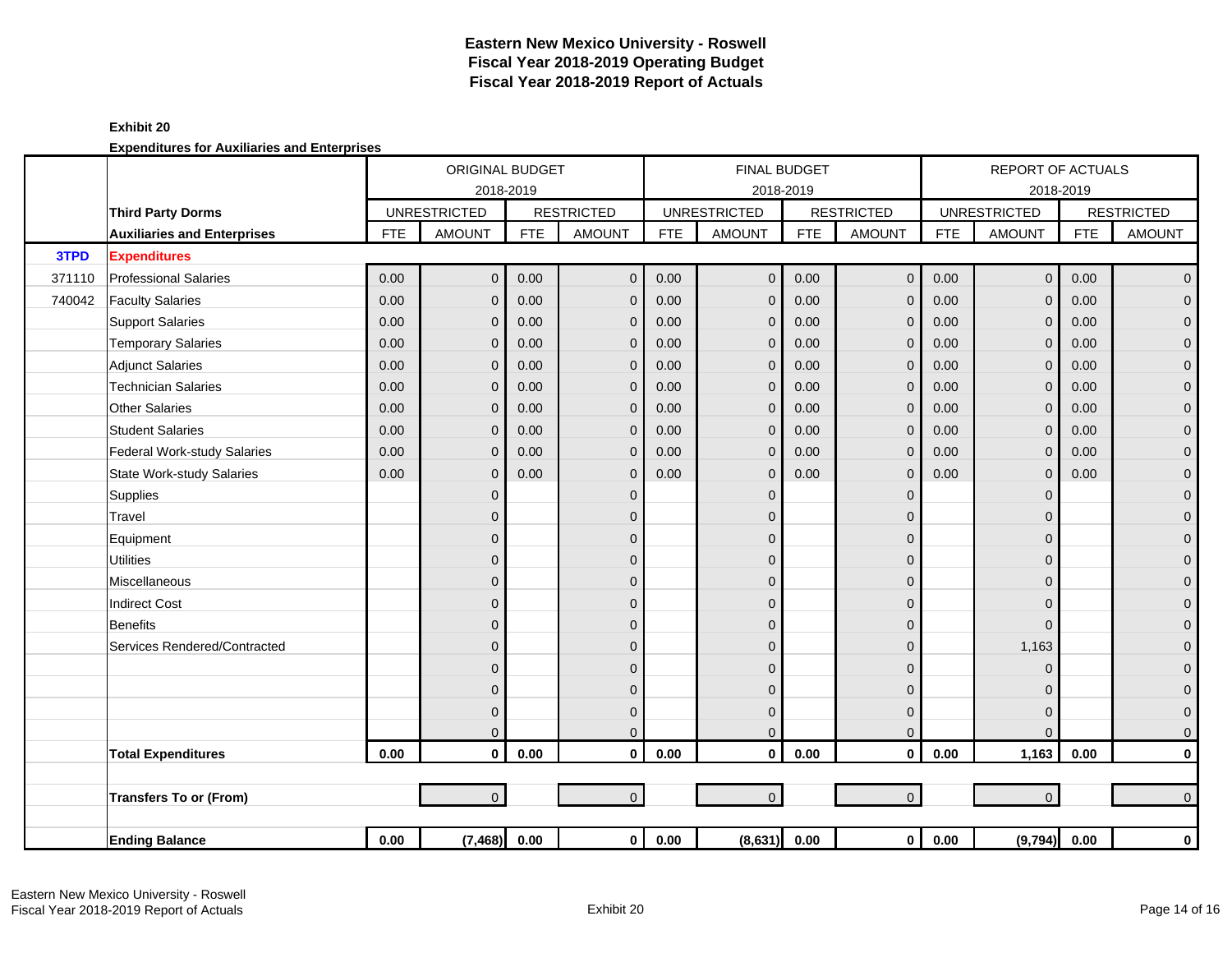|        |                                    |            | ORIGINAL BUDGET     |            |                   |            | <b>FINAL BUDGET</b> |            |                   |            | <b>REPORT OF ACTUALS</b> |            |                   |
|--------|------------------------------------|------------|---------------------|------------|-------------------|------------|---------------------|------------|-------------------|------------|--------------------------|------------|-------------------|
|        |                                    |            | 2018-2019           |            |                   |            | 2018-2019           |            |                   |            |                          | 2018-2019  |                   |
|        | <b>Third Party Dorms</b>           |            | <b>UNRESTRICTED</b> |            | <b>RESTRICTED</b> |            | <b>UNRESTRICTED</b> |            | <b>RESTRICTED</b> |            | <b>UNRESTRICTED</b>      |            | <b>RESTRICTED</b> |
|        | <b>Auxiliaries and Enterprises</b> | <b>FTE</b> | <b>AMOUNT</b>       | <b>FTE</b> | <b>AMOUNT</b>     | <b>FTE</b> | <b>AMOUNT</b>       | <b>FTE</b> | <b>AMOUNT</b>     | <b>FTE</b> | <b>AMOUNT</b>            | <b>FTE</b> | <b>AMOUNT</b>     |
| 3TPD   | <b>Expenditures</b>                |            |                     |            |                   |            |                     |            |                   |            |                          |            |                   |
| 371110 | <b>Professional Salaries</b>       | 0.00       | $\overline{0}$      | 0.00       | $\mathbf{0}$      | 0.00       | $\overline{0}$      | 0.00       | $\mathbf 0$       | 0.00       | $\mathsf{O}\xspace$      | 0.00       | $\overline{0}$    |
| 740042 | <b>Faculty Salaries</b>            | 0.00       | $\overline{0}$      | 0.00       | $\mathbf{0}$      | 0.00       | $\mathbf{0}$        | 0.00       | $\mathbf{0}$      | 0.00       | $\Omega$                 | 0.00       | $\overline{0}$    |
|        | <b>Support Salaries</b>            | 0.00       | $\mathbf{0}$        | 0.00       | $\mathbf{0}$      | 0.00       | $\mathbf 0$         | 0.00       | $\mathbf{0}$      | 0.00       | $\mathbf{0}$             | 0.00       | $\mathbf 0$       |
|        | <b>Temporary Salaries</b>          | 0.00       | $\mathbf{0}$        | 0.00       | $\mathbf{0}$      | 0.00       | $\Omega$            | 0.00       | $\mathbf{0}$      | 0.00       | $\Omega$                 | 0.00       | $\pmb{0}$         |
|        | <b>Adjunct Salaries</b>            | 0.00       | $\mathbf{0}$        | 0.00       | $\mathbf{0}$      | 0.00       | $\mathbf 0$         | 0.00       | $\mathbf{0}$      | 0.00       | $\Omega$                 | 0.00       | $\mathbf 0$       |
|        | <b>Technician Salaries</b>         | 0.00       | $\mathbf{0}$        | 0.00       | $\mathbf 0$       | 0.00       | $\mathbf 0$         | 0.00       | $\mathbf 0$       | 0.00       | $\mathbf{0}$             | 0.00       | $\mathbf 0$       |
|        | <b>Other Salaries</b>              | 0.00       | $\mathbf{0}$        | 0.00       | $\mathbf{0}$      | 0.00       | $\mathbf 0$         | 0.00       | $\mathbf 0$       | 0.00       | $\mathbf{0}$             | 0.00       | $\pmb{0}$         |
|        | <b>Student Salaries</b>            | 0.00       | $\Omega$            | 0.00       | $\Omega$          | 0.00       | $\Omega$            | 0.00       | $\Omega$          | 0.00       | $\Omega$                 | 0.00       | $\overline{0}$    |
|        | Federal Work-study Salaries        | 0.00       | $\mathbf{0}$        | 0.00       | $\mathbf{0}$      | 0.00       | $\overline{0}$      | 0.00       | $\mathbf{0}$      | 0.00       | $\mathbf{0}$             | 0.00       | $\mathbf 0$       |
|        | <b>State Work-study Salaries</b>   | 0.00       | $\mathbf{0}$        | 0.00       | $\mathbf{0}$      | 0.00       | $\Omega$            | 0.00       | $\mathbf{0}$      | 0.00       | $\Omega$                 | 0.00       | $\pmb{0}$         |
|        | Supplies                           |            | $\overline{0}$      |            | $\mathbf{0}$      |            | $\Omega$            |            | $\mathbf 0$       |            | $\Omega$                 |            | $\mathbf 0$       |
|        | Travel                             |            | $\overline{0}$      |            | $\mathbf{0}$      |            | $\mathbf{0}$        |            | $\Omega$          |            | $\Omega$                 |            | $\mathbf 0$       |
|        | Equipment                          |            | 0                   |            | $\mathbf{0}$      |            | $\Omega$            |            | $\mathbf{0}$      |            | $\Omega$                 |            | $\mathbf 0$       |
|        | <b>Utilities</b>                   |            | $\mathbf 0$         |            | $\mathbf{0}$      |            | $\mathbf{0}$        |            | $\mathbf 0$       |            | $\Omega$                 |            | $\mathbf 0$       |
|        | Miscellaneous                      |            | $\overline{0}$      |            | $\mathbf{0}$      |            | $\Omega$            |            | $\mathbf 0$       |            | $\Omega$                 |            | $\mathbf 0$       |
|        | <b>Indirect Cost</b>               |            | $\overline{0}$      |            | $\Omega$          |            | $\Omega$            |            | $\overline{0}$    |            | $\Omega$                 |            | $\mathbf 0$       |
|        | Benefits                           |            | $\overline{0}$      |            | $\Omega$          |            | $\Omega$            |            | $\mathbf{0}$      |            | $\Omega$                 |            | $\mathbf 0$       |
|        | Services Rendered/Contracted       |            | $\overline{0}$      |            | $\mathbf{0}$      |            | $\mathbf{0}$        |            | $\mathbf{0}$      |            | 1,163                    |            | $\mathbf 0$       |
|        |                                    |            | $\mathbf{0}$        |            | $\mathbf{0}$      |            | $\Omega$            |            | 0                 |            | $\Omega$                 |            | $\mathbf 0$       |
|        |                                    |            | $\mathbf 0$         |            | $\mathbf{0}$      |            | $\mathbf{0}$        |            | $\mathbf 0$       |            | $\Omega$                 |            | $\mathbf 0$       |
|        |                                    |            | $\mathbf{0}$        |            | $\mathbf{0}$      |            | $\mathbf 0$         |            | $\mathbf 0$       |            | $\Omega$                 |            | $\mathbf 0$       |
|        |                                    |            | $\Omega$            |            | $\overline{0}$    |            | $\Omega$            |            | $\mathbf{0}$      |            | $\Omega$                 |            | $\mathbf{O}$      |
|        | <b>Total Expenditures</b>          | 0.00       | $\mathbf{0}$        | 0.00       | $\mathbf{0}$      | 0.00       | $\mathbf 0$         | 0.00       | $\mathbf{0}$      | 0.00       | 1,163                    | 0.00       | $\mathbf 0$       |
|        |                                    |            |                     |            |                   |            |                     |            |                   |            |                          |            |                   |
|        | <b>Transfers To or (From)</b>      |            | $\overline{0}$      |            | $\overline{0}$    |            | $\Omega$            |            | $\mathbf 0$       |            | $\overline{0}$           |            | $\overline{0}$    |
|        |                                    |            |                     |            |                   |            |                     |            |                   |            |                          |            |                   |
|        | <b>Ending Balance</b>              | 0.00       | (7, 468)            | 0.00       | $\mathbf{0}$      | 0.00       | (8,631)             | 0.00       | $\mathbf 0$       | 0.00       | (9,794) 0.00             |            | $\mathbf 0$       |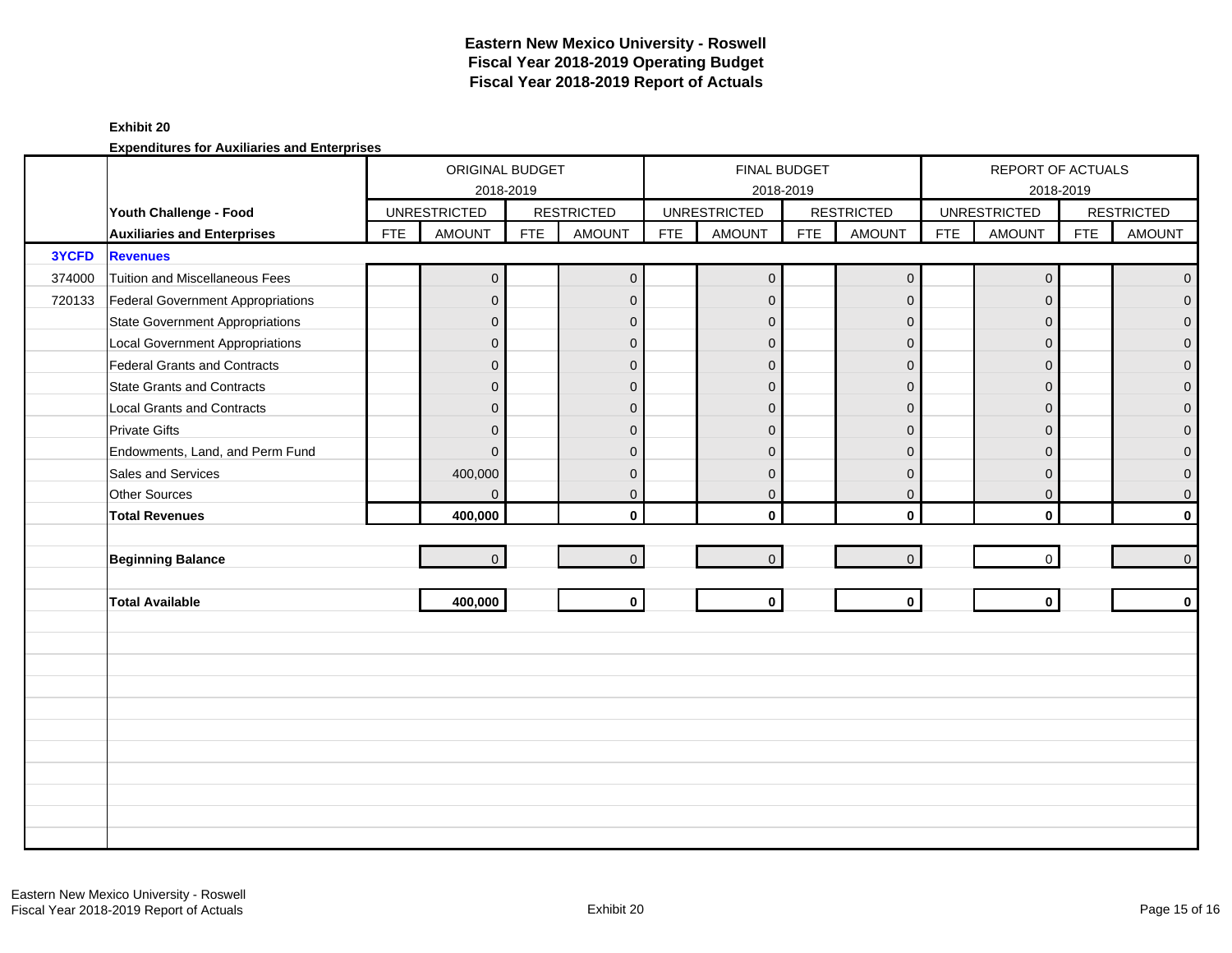#### **Exhibit 20**

|        |                                          |            | ORIGINAL BUDGET<br>2018-2019 |            |                   |            | <b>FINAL BUDGET</b> | 2018-2019  |                   |            | REPORT OF ACTUALS   | 2018-2019  |                   |
|--------|------------------------------------------|------------|------------------------------|------------|-------------------|------------|---------------------|------------|-------------------|------------|---------------------|------------|-------------------|
|        | Youth Challenge - Food                   |            | <b>UNRESTRICTED</b>          |            | <b>RESTRICTED</b> |            | <b>UNRESTRICTED</b> |            | <b>RESTRICTED</b> |            | <b>UNRESTRICTED</b> |            | <b>RESTRICTED</b> |
|        | <b>Auxiliaries and Enterprises</b>       | <b>FTE</b> | <b>AMOUNT</b>                | <b>FTE</b> | <b>AMOUNT</b>     | <b>FTE</b> | <b>AMOUNT</b>       | <b>FTE</b> | <b>AMOUNT</b>     | <b>FTE</b> | <b>AMOUNT</b>       | <b>FTE</b> | <b>AMOUNT</b>     |
| 3YCFD  | <b>Revenues</b>                          |            |                              |            |                   |            |                     |            |                   |            |                     |            |                   |
| 374000 | <b>Tuition and Miscellaneous Fees</b>    |            | $\overline{0}$               |            | $\overline{0}$    |            | $\overline{0}$      |            | $\mathbf{0}$      |            | $\mathbf{0}$        |            | $\overline{0}$    |
| 720133 | <b>Federal Government Appropriations</b> |            | $\overline{0}$               |            | $\mathbf{0}$      |            | $\mathbf{0}$        |            | $\mathbf{0}$      |            | $\Omega$            |            | $\overline{0}$    |
|        | <b>State Government Appropriations</b>   |            | $\overline{0}$               |            | $\mathbf{0}$      |            | $\mathbf{0}$        |            | $\mathbf{0}$      |            | $\Omega$            |            | $\overline{0}$    |
|        | <b>Local Government Appropriations</b>   |            | $\overline{0}$               |            | $\mathbf{0}$      |            | $\mathbf{0}$        |            | $\mathbf{0}$      |            | $\mathbf{0}$        |            | $\pmb{0}$         |
|        | <b>Federal Grants and Contracts</b>      |            | $\overline{0}$               |            | $\mathbf{0}$      |            | $\mathbf{0}$        |            | $\mathbf 0$       |            | $\Omega$            |            | $\pmb{0}$         |
|        | <b>State Grants and Contracts</b>        |            | $\overline{0}$               |            | $\Omega$          |            | $\Omega$            |            | $\mathbf{0}$      |            | $\Omega$            |            | $\mathbf{0}$      |
|        | <b>Local Grants and Contracts</b>        |            | $\overline{0}$               |            | $\mathbf{0}$      |            | $\Omega$            |            | $\mathbf{0}$      |            | $\Omega$            |            | $\mathbf 0$       |
|        | <b>Private Gifts</b>                     |            | $\overline{0}$               |            | $\mathbf{0}$      |            | $\Omega$            |            | $\mathbf{0}$      |            | $\Omega$            |            | $\mathbf 0$       |
|        | Endowments, Land, and Perm Fund          |            | $\overline{0}$               |            | $\Omega$          |            | $\mathbf{0}$        |            | $\mathbf{0}$      |            | $\Omega$            |            | $\mathbf 0$       |
|        | Sales and Services                       |            | 400,000                      |            | $\mathbf{0}$      |            | $\mathbf 0$         |            | $\mathbf{0}$      |            | $\mathbf{0}$        |            | $\overline{0}$    |
|        | Other Sources                            |            | $\overline{0}$               |            | $\mathbf{0}$      |            | $\mathbf 0$         |            | $\mathbf{0}$      |            | $\mathbf{0}$        |            | $\mathsf{O}^-$    |
|        | <b>Total Revenues</b>                    |            | 400,000                      |            | $\mathbf{0}$      |            | $\mathbf{0}$        |            | $\mathbf 0$       |            | $\mathbf{0}$        |            | $\mathbf{0}$      |
|        |                                          |            |                              |            |                   |            |                     |            |                   |            |                     |            |                   |
|        | <b>Beginning Balance</b>                 |            | $\overline{0}$               |            | $\mathbf{0}$      |            | $\overline{0}$      |            | $\mathbf{0}$      |            | $\mathbf 0$         |            | $\overline{0}$    |
|        |                                          |            |                              |            |                   |            | $\mathbf{0}$        |            | $\mathbf{0}$      |            | $\mathbf{0}$        |            | $\mathbf{0}$      |
|        | <b>Total Available</b>                   |            | 400,000                      |            | $\mathbf 0$       |            |                     |            |                   |            |                     |            |                   |
|        |                                          |            |                              |            |                   |            |                     |            |                   |            |                     |            |                   |
|        |                                          |            |                              |            |                   |            |                     |            |                   |            |                     |            |                   |
|        |                                          |            |                              |            |                   |            |                     |            |                   |            |                     |            |                   |
|        |                                          |            |                              |            |                   |            |                     |            |                   |            |                     |            |                   |
|        |                                          |            |                              |            |                   |            |                     |            |                   |            |                     |            |                   |
|        |                                          |            |                              |            |                   |            |                     |            |                   |            |                     |            |                   |
|        |                                          |            |                              |            |                   |            |                     |            |                   |            |                     |            |                   |
|        |                                          |            |                              |            |                   |            |                     |            |                   |            |                     |            |                   |
|        |                                          |            |                              |            |                   |            |                     |            |                   |            |                     |            |                   |
|        |                                          |            |                              |            |                   |            |                     |            |                   |            |                     |            |                   |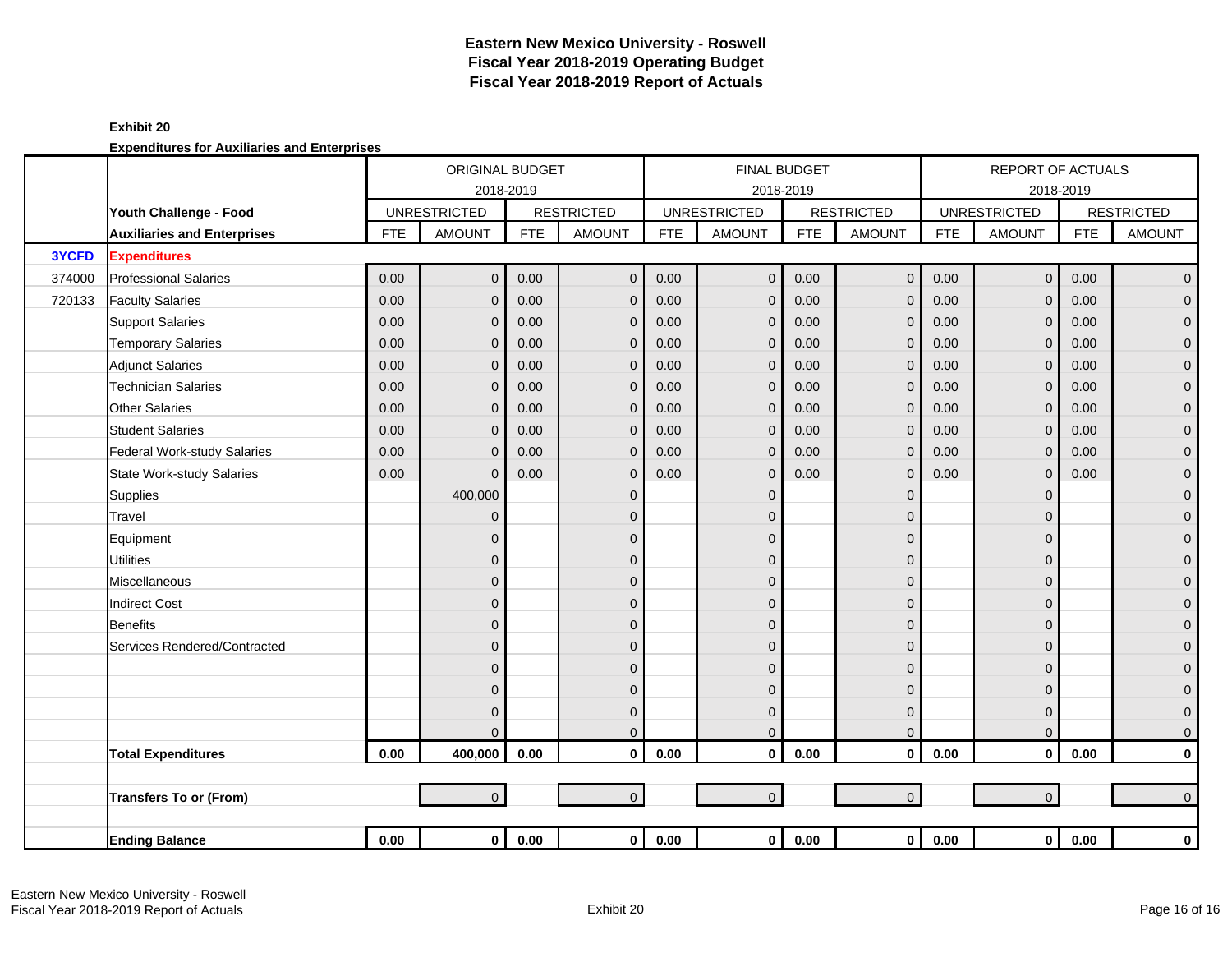|        |                                    |            | ORIGINAL BUDGET     |                |                   |            | <b>FINAL BUDGET</b>     |            |                   |            | <b>REPORT OF ACTUALS</b> |            |                     |
|--------|------------------------------------|------------|---------------------|----------------|-------------------|------------|-------------------------|------------|-------------------|------------|--------------------------|------------|---------------------|
|        |                                    |            | 2018-2019           |                |                   |            |                         | 2018-2019  |                   |            |                          | 2018-2019  |                     |
|        | Youth Challenge - Food             |            | <b>UNRESTRICTED</b> |                | <b>RESTRICTED</b> |            | <b>UNRESTRICTED</b>     |            | <b>RESTRICTED</b> |            | <b>UNRESTRICTED</b>      |            | <b>RESTRICTED</b>   |
|        | <b>Auxiliaries and Enterprises</b> | <b>FTE</b> | <b>AMOUNT</b>       | <b>FTE</b>     | <b>AMOUNT</b>     | <b>FTE</b> | <b>AMOUNT</b>           | <b>FTE</b> | <b>AMOUNT</b>     | <b>FTE</b> | <b>AMOUNT</b>            | <b>FTE</b> | <b>AMOUNT</b>       |
| 3YCFD  | <b>Expenditures</b>                |            |                     |                |                   |            |                         |            |                   |            |                          |            |                     |
| 374000 | <b>Professional Salaries</b>       | 0.00       | $\overline{0}$      | 0.00           | $\mathbf 0$       | 0.00       | $\mathbf 0$             | 0.00       | $\mathbf 0$       | 0.00       | $\mathbf 0$              | 0.00       | $\mathbf 0$         |
| 720133 | <b>Faculty Salaries</b>            | 0.00       | $\mathbf{0}$        | 0.00           | $\mathbf{0}$      | 0.00       | $\mathbf 0$             | 0.00       | $\mathbf{0}$      | 0.00       | $\Omega$                 | 0.00       | $\pmb{0}$           |
|        | <b>Support Salaries</b>            | 0.00       | $\overline{0}$      | 0.00           | $\mathbf{0}$      | 0.00       | $\mathbf{0}$            | 0.00       | $\mathbf{0}$      | 0.00       | $\Omega$                 | 0.00       | $\pmb{0}$           |
|        | <b>Temporary Salaries</b>          | 0.00       | $\mathbf{0}$        | 0.00           | $\mathbf{0}$      | 0.00       | $\mathbf{0}$            | 0.00       | $\mathbf{0}$      | 0.00       | $\Omega$                 | 0.00       | $\pmb{0}$           |
|        | <b>Adjunct Salaries</b>            | 0.00       | $\overline{0}$      | 0.00           | $\mathbf{0}$      | 0.00       | $\mathbf 0$             | 0.00       | $\mathbf{0}$      | 0.00       | $\Omega$                 | 0.00       | $\pmb{0}$           |
|        | <b>Technician Salaries</b>         | 0.00       | $\overline{0}$      | 0.00           | $\mathbf{0}$      | 0.00       | $\mathbf 0$             | 0.00       | $\mathbf 0$       | 0.00       | $\Omega$                 | 0.00       | $\pmb{0}$           |
|        | <b>Other Salaries</b>              | 0.00       | $\mathbf{0}$        | 0.00           | $\mathbf{0}$      | 0.00       | $\mathbf{0}$            | 0.00       | $\mathbf{0}$      | 0.00       | $\mathbf{0}$             | 0.00       | $\pmb{0}$           |
|        | <b>Student Salaries</b>            | 0.00       | $\Omega$            | 0.00           | $\Omega$          | 0.00       | $\Omega$                | 0.00       | $\mathbf{0}$      | 0.00       | $\Omega$                 | 0.00       | $\pmb{0}$           |
|        | Federal Work-study Salaries        | 0.00       | $\Omega$            | 0.00           | $\mathbf{0}$      | 0.00       | $\mathbf{0}$            | 0.00       | $\mathbf{0}$      | 0.00       | $\Omega$                 | 0.00       | $\mathsf{O}\xspace$ |
|        | <b>State Work-study Salaries</b>   | 0.00       | $\Omega$            | 0.00           | $\mathbf{0}$      | 0.00       | $\mathbf{0}$            | 0.00       | $\mathbf{0}$      | 0.00       | $\mathbf{0}$             | 0.00       | $\pmb{0}$           |
|        | Supplies                           |            | 400,000             |                | $\mathbf 0$       |            | $\Omega$                |            | $\mathbf{0}$      |            | $\Omega$                 |            | $\pmb{0}$           |
|        | Travel                             |            | $\overline{0}$      |                | $\Omega$          |            | $\Omega$                |            | $\mathbf{0}$      |            | $\Omega$                 |            | $\pmb{0}$           |
|        | Equipment                          |            | 0                   |                | $\mathbf{0}$      |            | $\Omega$                |            | $\mathbf{0}$      |            | $\Omega$                 |            | $\pmb{0}$           |
|        | <b>Utilities</b>                   |            | $\mathbf 0$         |                | $\mathbf{0}$      |            | $\mathbf{0}$            |            | $\mathbf 0$       |            | $\Omega$                 |            | $\pmb{0}$           |
|        | Miscellaneous                      |            | $\mathbf{0}$        |                | $\Omega$          |            | $\Omega$                |            | $\Omega$          |            | $\Omega$                 |            | $\mathsf{O}\xspace$ |
|        | <b>Indirect Cost</b>               |            | $\overline{0}$      |                | $\Omega$          |            | $\Omega$                |            | $\Omega$          |            | $\Omega$                 |            | $\boldsymbol{0}$    |
|        | Benefits                           |            | $\overline{0}$      |                | $\Omega$          |            | $\Omega$                |            | $\mathbf{0}$      |            | $\Omega$                 |            | $\pmb{0}$           |
|        | Services Rendered/Contracted       |            | $\overline{0}$      |                | $\Omega$          |            | $\Omega$                |            | $\Omega$          |            | $\Omega$                 |            | $\pmb{0}$           |
|        |                                    |            | 0                   |                | $\Omega$          |            | $\Omega$                |            | $\mathbf{0}$      |            | U                        |            | $\mathbf 0$         |
|        |                                    |            | $\overline{0}$      |                | $\mathbf{0}$      |            | $\Omega$                |            | $\mathbf 0$       |            | $\Omega$                 |            | $\pmb{0}$           |
|        |                                    |            | $\Omega$            |                | $\Omega$          |            | $\Omega$                |            | $\mathbf{0}$      |            | $\Omega$                 |            | $\boldsymbol{0}$    |
|        |                                    |            | $\Omega$            |                | $\Omega$          |            | $\Omega$                |            | $\mathbf{0}$      |            | $\Omega$                 |            | $\mathbf 0$         |
|        | <b>Total Expenditures</b>          | 0.00       | 400,000             | 0.00           | $\mathbf{0}$      | 0.00       | $\mathbf{0}$            | 0.00       | $\mathbf{0}$      | 0.00       | $\mathbf{0}$             | 0.00       | $\mathbf{0}$        |
|        |                                    |            |                     |                |                   |            |                         |            |                   |            |                          |            |                     |
|        | <b>Transfers To or (From)</b>      |            | $\overline{0}$      |                | $\mathbf{0}$      |            | $\mathbf{0}$            |            | $\mathbf 0$       |            | $\overline{0}$           |            | $\mathbf{0}$        |
|        |                                    |            |                     |                |                   |            |                         |            |                   |            |                          |            |                     |
|        | <b>Ending Balance</b>              | 0.00       |                     | $0 \big  0.00$ |                   | $0 \ 0.00$ | $\overline{\mathbf{0}}$ | 0.00       | $\mathbf{0}$      | 0.00       | $\overline{\mathbf{o}}$  | 0.00       | $\mathbf{0}$        |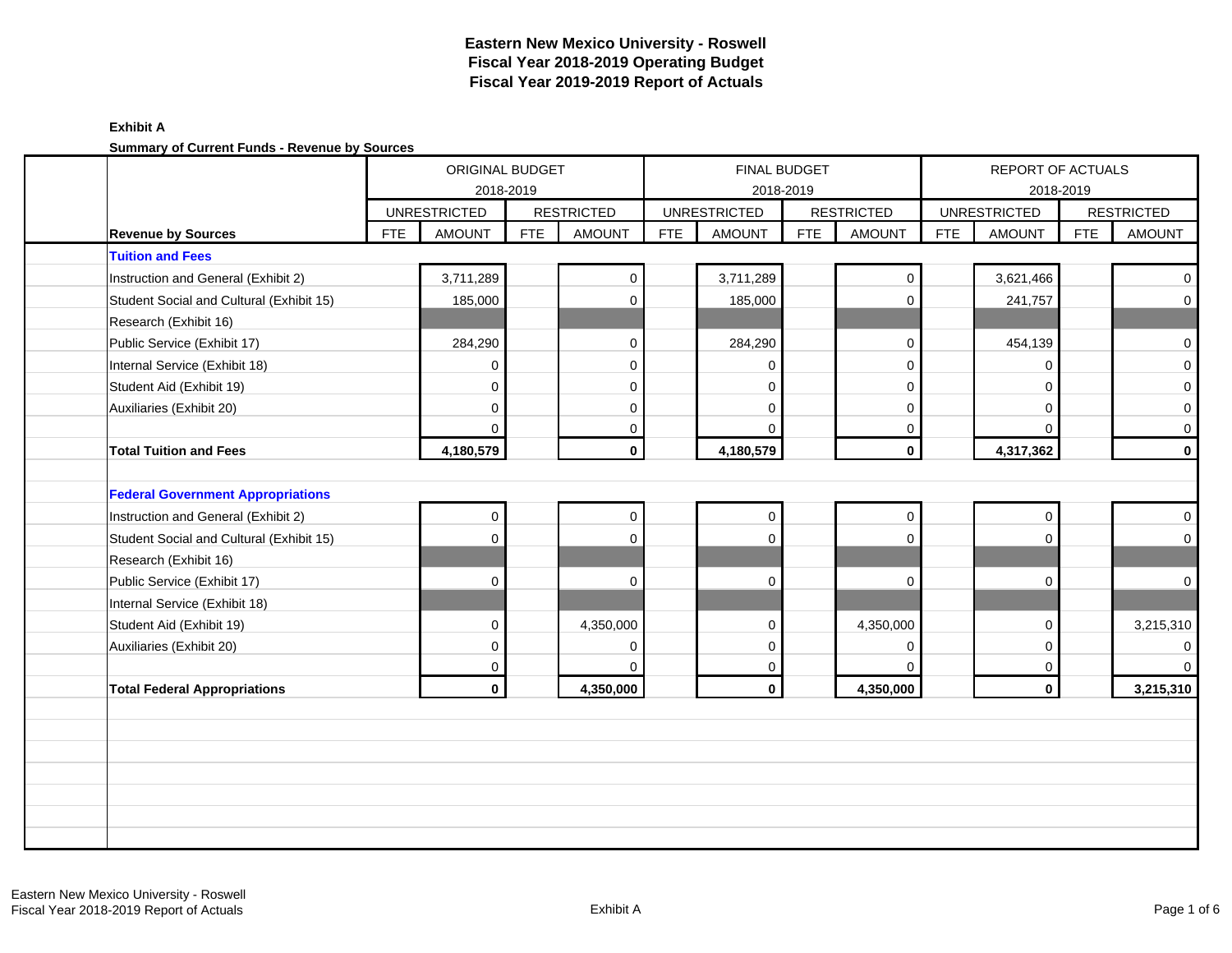#### **Exhibit A Summary of Current Funds - Revenue by Sources**

| Summary of Current Funds - Revenue by Sources |            | ORIGINAL BUDGET     |            |                   |            |                     | <b>FINAL BUDGET</b> |                   |            | REPORT OF ACTUALS   |            |                   |
|-----------------------------------------------|------------|---------------------|------------|-------------------|------------|---------------------|---------------------|-------------------|------------|---------------------|------------|-------------------|
|                                               |            |                     | 2018-2019  |                   |            |                     | 2018-2019           |                   |            |                     | 2018-2019  |                   |
|                                               |            | <b>UNRESTRICTED</b> |            | <b>RESTRICTED</b> |            | <b>UNRESTRICTED</b> |                     | <b>RESTRICTED</b> |            | <b>UNRESTRICTED</b> |            | <b>RESTRICTED</b> |
| <b>Revenue by Sources</b>                     | <b>FTE</b> | <b>AMOUNT</b>       | <b>FTE</b> | <b>AMOUNT</b>     | <b>FTE</b> | <b>AMOUNT</b>       | <b>FTE</b>          | <b>AMOUNT</b>     | <b>FTE</b> | <b>AMOUNT</b>       | <b>FTE</b> | <b>AMOUNT</b>     |
| <b>Tuition and Fees</b>                       |            |                     |            |                   |            |                     |                     |                   |            |                     |            |                   |
| Instruction and General (Exhibit 2)           |            | 3,711,289           |            | 0                 |            | 3,711,289           |                     | $\mathbf{0}$      |            | 3,621,466           |            | $\overline{0}$    |
| Student Social and Cultural (Exhibit 15)      |            | 185,000             |            | $\mathbf 0$       |            | 185,000             |                     | $\mathbf 0$       |            | 241,757             |            | $\overline{0}$    |
| Research (Exhibit 16)                         |            |                     |            |                   |            |                     |                     |                   |            |                     |            |                   |
| Public Service (Exhibit 17)                   |            | 284,290             |            | 0                 |            | 284,290             |                     | $\mathbf 0$       |            | 454,139             |            | $\overline{0}$    |
| Internal Service (Exhibit 18)                 |            | 0                   |            | $\mathbf 0$       |            |                     |                     | $\mathbf 0$       |            | O                   |            | $\mathbf{O}$      |
| Student Aid (Exhibit 19)                      |            | $\Omega$            |            | $\mathbf 0$       |            | $\Omega$            |                     | $\mathbf 0$       |            | $\Omega$            |            | $\overline{0}$    |
| Auxiliaries (Exhibit 20)                      |            | 0                   |            | $\mathbf 0$       |            | $\Omega$            |                     | $\mathbf 0$       |            | $\Omega$            |            | $\overline{0}$    |
|                                               |            | $\Omega$            |            | $\mathbf 0$       |            | $\Omega$            |                     | $\mathbf 0$       |            | $\Omega$            |            | $\overline{0}$    |
| <b>Total Tuition and Fees</b>                 |            | 4,180,579           |            | $\mathbf{0}$      |            | 4,180,579           |                     | $\mathbf 0$       |            | 4,317,362           |            | $\mathbf{0}$      |
|                                               |            |                     |            |                   |            |                     |                     |                   |            |                     |            |                   |
| <b>Federal Government Appropriations</b>      |            |                     |            |                   |            |                     |                     |                   |            |                     |            |                   |
| Instruction and General (Exhibit 2)           |            | 0                   |            | 0                 |            | $\mathbf 0$         |                     | $\pmb{0}$         |            | $\mathbf 0$         |            | $\overline{0}$    |
| Student Social and Cultural (Exhibit 15)      |            | 0                   |            | $\mathbf 0$       |            | $\Omega$            |                     | $\mathbf{0}$      |            | $\Omega$            |            | $\overline{0}$    |
| Research (Exhibit 16)                         |            |                     |            |                   |            |                     |                     |                   |            |                     |            |                   |
| Public Service (Exhibit 17)                   |            | 0                   |            | $\mathbf 0$       |            | $\mathbf 0$         |                     | $\mathbf 0$       |            | $\Omega$            |            | $\overline{0}$    |
| Internal Service (Exhibit 18)                 |            |                     |            |                   |            |                     |                     |                   |            |                     |            |                   |
| Student Aid (Exhibit 19)                      |            | $\Omega$            |            | 4,350,000         |            | $\Omega$            |                     | 4,350,000         |            | $\Omega$            |            | 3,215,310         |
| Auxiliaries (Exhibit 20)                      |            | 0                   |            | $\mathbf 0$       |            | $\Omega$            |                     | $\mathbf 0$       |            | $\Omega$            |            | $\overline{0}$    |
|                                               |            | 0                   |            | $\mathbf 0$       |            | 0                   |                     | $\mathbf 0$       |            | $\mathbf 0$         |            | $\overline{0}$    |
| <b>Total Federal Appropriations</b>           |            | $\mathbf{0}$        |            | 4,350,000         |            | $\mathbf{0}$        |                     | 4,350,000         |            | $\mathbf{0}$        |            | 3,215,310         |
|                                               |            |                     |            |                   |            |                     |                     |                   |            |                     |            |                   |
|                                               |            |                     |            |                   |            |                     |                     |                   |            |                     |            |                   |
|                                               |            |                     |            |                   |            |                     |                     |                   |            |                     |            |                   |
|                                               |            |                     |            |                   |            |                     |                     |                   |            |                     |            |                   |
|                                               |            |                     |            |                   |            |                     |                     |                   |            |                     |            |                   |
|                                               |            |                     |            |                   |            |                     |                     |                   |            |                     |            |                   |
|                                               |            |                     |            |                   |            |                     |                     |                   |            |                     |            |                   |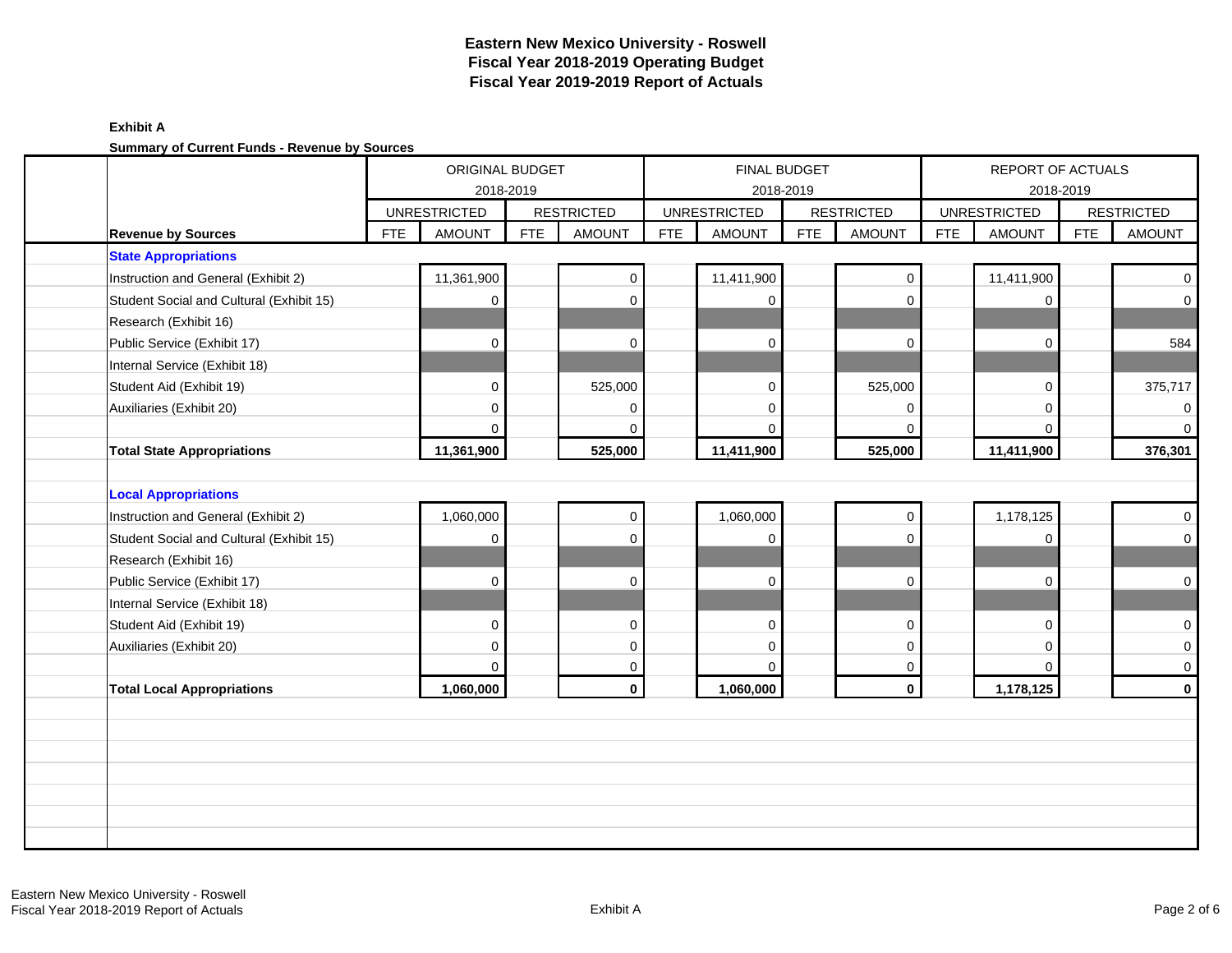#### **Exhibit A Summary of Current Funds - Revenue by Sources**

| Summary or Current Funds - Revenue by Sources |            |                     |            |                   |            |                     |                     |                   |            |                     |            |                   |
|-----------------------------------------------|------------|---------------------|------------|-------------------|------------|---------------------|---------------------|-------------------|------------|---------------------|------------|-------------------|
|                                               |            | ORIGINAL BUDGET     |            |                   |            |                     | <b>FINAL BUDGET</b> |                   |            | REPORT OF ACTUALS   |            |                   |
|                                               |            |                     | 2018-2019  |                   |            |                     | 2018-2019           |                   |            |                     | 2018-2019  |                   |
|                                               |            | <b>UNRESTRICTED</b> |            | <b>RESTRICTED</b> |            | <b>UNRESTRICTED</b> |                     | <b>RESTRICTED</b> |            | <b>UNRESTRICTED</b> |            | <b>RESTRICTED</b> |
| <b>Revenue by Sources</b>                     | <b>FTE</b> | <b>AMOUNT</b>       | <b>FTE</b> | <b>AMOUNT</b>     | <b>FTE</b> | <b>AMOUNT</b>       | <b>FTE</b>          | <b>AMOUNT</b>     | <b>FTE</b> | <b>AMOUNT</b>       | <b>FTE</b> | <b>AMOUNT</b>     |
| <b>State Appropriations</b>                   |            |                     |            |                   |            |                     |                     |                   |            |                     |            |                   |
| Instruction and General (Exhibit 2)           |            | 11,361,900          |            | 0                 |            | 11,411,900          |                     | $\mathbf 0$       |            | 11,411,900          |            | $\mathbf{0}$      |
| Student Social and Cultural (Exhibit 15)      |            | $\mathbf 0$         |            | 0                 |            | $\Omega$            |                     | $\Omega$          |            | $\Omega$            |            | $\overline{0}$    |
| Research (Exhibit 16)                         |            |                     |            |                   |            |                     |                     |                   |            |                     |            |                   |
| Public Service (Exhibit 17)                   |            | $\Omega$            |            | 0                 |            | $\mathbf 0$         |                     | $\mathbf 0$       |            | $\Omega$            |            | 584               |
| Internal Service (Exhibit 18)                 |            |                     |            |                   |            |                     |                     |                   |            |                     |            |                   |
| Student Aid (Exhibit 19)                      |            | $\Omega$            |            | 525,000           |            | $\Omega$            |                     | 525,000           |            | $\Omega$            |            | 375,717           |
| Auxiliaries (Exhibit 20)                      |            | $\Omega$            |            | 0                 |            | $\Omega$            |                     | $\Omega$          |            | $\Omega$            |            | $\mathbf 0$       |
|                                               |            | $\Omega$            |            | $\Omega$          |            |                     |                     | $\Omega$          |            | $\Omega$            |            | $\overline{0}$    |
| <b>Total State Appropriations</b>             |            | 11,361,900          |            | 525,000           |            | 11,411,900          |                     | 525,000           |            | 11,411,900          |            | 376,301           |
|                                               |            |                     |            |                   |            |                     |                     |                   |            |                     |            |                   |
| <b>Local Appropriations</b>                   |            |                     |            |                   |            |                     |                     |                   |            |                     |            |                   |
| Instruction and General (Exhibit 2)           |            | 1,060,000           |            | $\mathbf{0}$      |            | 1,060,000           |                     | $\mathbf 0$       |            | 1,178,125           |            | $\overline{0}$    |
| Student Social and Cultural (Exhibit 15)      |            | $\mathbf{0}$        |            | 0                 |            | $\mathbf 0$         |                     | $\Omega$          |            | $\Omega$            |            | $\overline{0}$    |
| Research (Exhibit 16)                         |            |                     |            |                   |            |                     |                     |                   |            |                     |            |                   |
| Public Service (Exhibit 17)                   |            | $\mathbf 0$         |            | 0                 |            | $\Omega$            |                     | $\mathbf 0$       |            | $\Omega$            |            | $\overline{0}$    |
| Internal Service (Exhibit 18)                 |            |                     |            |                   |            |                     |                     |                   |            |                     |            |                   |
| Student Aid (Exhibit 19)                      |            | $\Omega$            |            | $\Omega$          |            | $\Omega$            |                     | $\mathbf{0}$      |            | $\Omega$            |            | $\overline{0}$    |
| Auxiliaries (Exhibit 20)                      |            | $\Omega$            |            | $\mathbf 0$       |            | $\Omega$            |                     | $\mathbf 0$       |            | $\Omega$            |            | $\overline{0}$    |
|                                               |            | $\Omega$            |            | 0                 |            | $\Omega$            |                     | $\mathbf 0$       |            | $\Omega$            |            | $\overline{0}$    |
| <b>Total Local Appropriations</b>             |            | 1,060,000           |            | $\mathbf{0}$      |            | 1,060,000           |                     | $\mathbf 0$       |            | 1,178,125           |            | $\mathbf{0}$      |
|                                               |            |                     |            |                   |            |                     |                     |                   |            |                     |            |                   |
|                                               |            |                     |            |                   |            |                     |                     |                   |            |                     |            |                   |
|                                               |            |                     |            |                   |            |                     |                     |                   |            |                     |            |                   |
|                                               |            |                     |            |                   |            |                     |                     |                   |            |                     |            |                   |
|                                               |            |                     |            |                   |            |                     |                     |                   |            |                     |            |                   |
|                                               |            |                     |            |                   |            |                     |                     |                   |            |                     |            |                   |
|                                               |            |                     |            |                   |            |                     |                     |                   |            |                     |            |                   |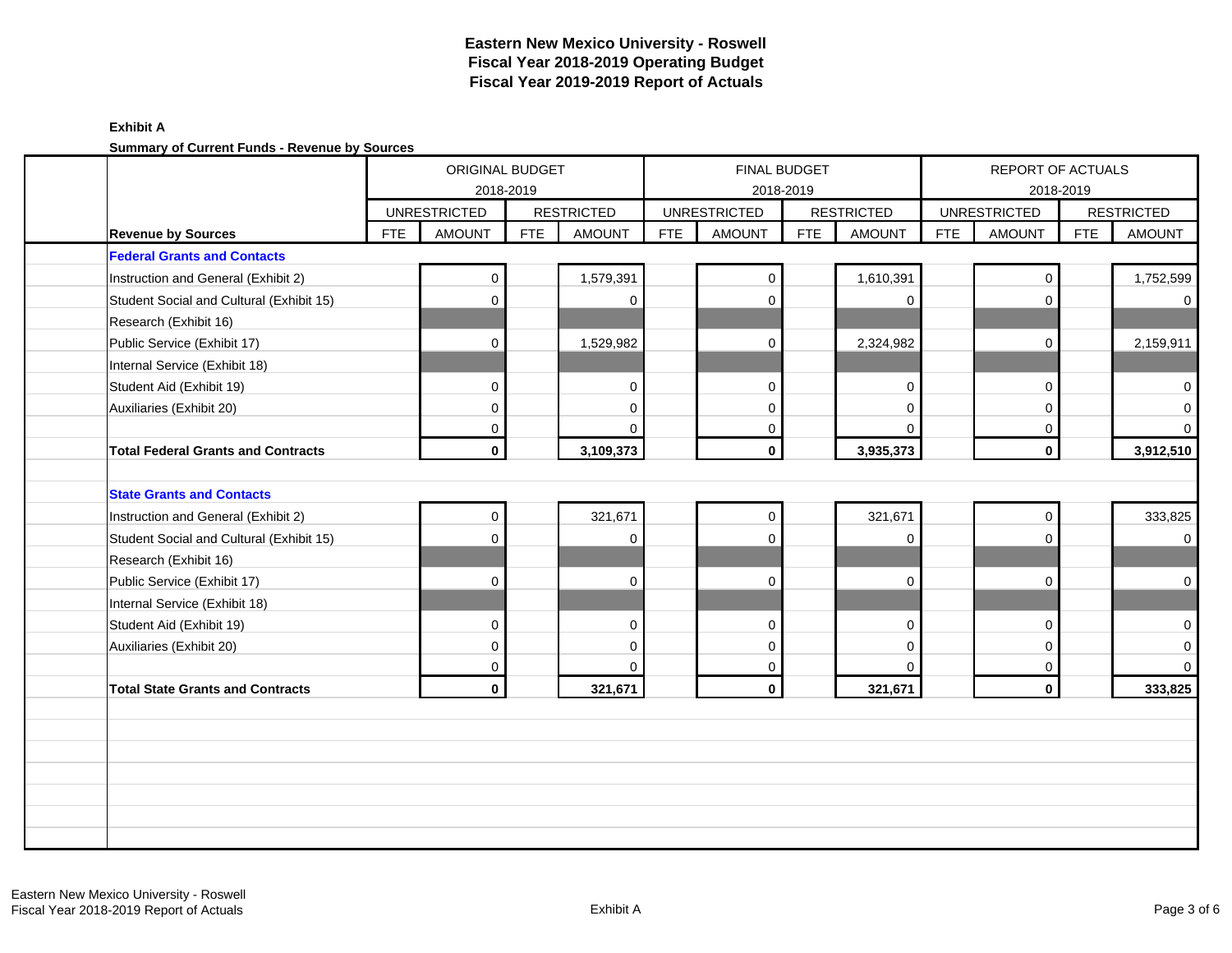#### **Exhibit A Summary of Current Funds - Revenue by Sources**

|                                           |            | ORIGINAL BUDGET     |            |                   |            |                     | <b>FINAL BUDGET</b> |                   |            | REPORT OF ACTUALS   |            |                   |
|-------------------------------------------|------------|---------------------|------------|-------------------|------------|---------------------|---------------------|-------------------|------------|---------------------|------------|-------------------|
|                                           |            | <b>UNRESTRICTED</b> | 2018-2019  | <b>RESTRICTED</b> |            | <b>UNRESTRICTED</b> | 2018-2019           | <b>RESTRICTED</b> |            | <b>UNRESTRICTED</b> | 2018-2019  | <b>RESTRICTED</b> |
| <b>Revenue by Sources</b>                 | <b>FTE</b> | <b>AMOUNT</b>       | <b>FTE</b> | <b>AMOUNT</b>     | <b>FTE</b> | <b>AMOUNT</b>       | <b>FTE</b>          | <b>AMOUNT</b>     | <b>FTE</b> | <b>AMOUNT</b>       | <b>FTE</b> | <b>AMOUNT</b>     |
| <b>Federal Grants and Contacts</b>        |            |                     |            |                   |            |                     |                     |                   |            |                     |            |                   |
|                                           |            | $\mathbf 0$         |            | 1,579,391         |            | $\mathbf 0$         |                     | 1,610,391         |            | 0                   |            | 1,752,599         |
| Instruction and General (Exhibit 2)       |            |                     |            |                   |            |                     |                     |                   |            |                     |            |                   |
| Student Social and Cultural (Exhibit 15)  |            | 0                   |            | $\Omega$          |            | $\mathbf 0$         |                     | $\mathbf 0$       |            | $\Omega$            |            | $\overline{0}$    |
| Research (Exhibit 16)                     |            |                     |            |                   |            |                     |                     |                   |            |                     |            |                   |
| Public Service (Exhibit 17)               |            | $\mathbf 0$         |            | 1,529,982         |            | $\mathbf 0$         |                     | 2,324,982         |            | 0                   |            | 2,159,911         |
| Internal Service (Exhibit 18)             |            |                     |            |                   |            |                     |                     |                   |            |                     |            |                   |
| Student Aid (Exhibit 19)                  |            | $\Omega$            |            | $\mathbf 0$       |            | $\Omega$            |                     | $\mathbf 0$       |            | 0                   |            | $\overline{0}$    |
| Auxiliaries (Exhibit 20)                  |            | 0                   |            | $\mathbf 0$       |            | $\Omega$            |                     | $\Omega$          |            | 0                   |            | $\overline{0}$    |
|                                           |            | 0                   |            | $\Omega$          |            | $\mathbf 0$         |                     | $\Omega$          |            | 0                   |            | $\overline{0}$    |
| <b>Total Federal Grants and Contracts</b> |            | $\mathbf{0}$        |            | 3,109,373         |            | $\mathbf 0$         |                     | 3,935,373         |            | $\mathbf{0}$        |            | 3,912,510         |
|                                           |            |                     |            |                   |            |                     |                     |                   |            |                     |            |                   |
| <b>State Grants and Contacts</b>          |            |                     |            |                   |            |                     |                     |                   |            |                     |            |                   |
| Instruction and General (Exhibit 2)       |            | 0                   |            | 321,671           |            | $\mathbf 0$         |                     | 321,671           |            | $\mathbf 0$         |            | 333,825           |
| Student Social and Cultural (Exhibit 15)  |            | 0                   |            | $\Omega$          |            | $\mathbf 0$         |                     | $\mathbf 0$       |            | 0                   |            | $\overline{0}$    |
| Research (Exhibit 16)                     |            |                     |            |                   |            |                     |                     |                   |            |                     |            |                   |
| Public Service (Exhibit 17)               |            | 0                   |            | $\Omega$          |            | $\mathbf 0$         |                     | $\mathbf 0$       |            | 0                   |            | $\overline{0}$    |
| Internal Service (Exhibit 18)             |            |                     |            |                   |            |                     |                     |                   |            |                     |            |                   |
| Student Aid (Exhibit 19)                  |            | $\Omega$            |            | $\Omega$          |            | $\Omega$            |                     | $\Omega$          |            | 0                   |            | $\overline{0}$    |
| Auxiliaries (Exhibit 20)                  |            | $\Omega$            |            | $\Omega$          |            | $\Omega$            |                     | $\Omega$          |            | $\Omega$            |            | $\overline{0}$    |
|                                           |            | 0                   |            | $\Omega$          |            | 0                   |                     | $\mathbf 0$       |            | $\mathbf 0$         |            | $\overline{0}$    |
| <b>Total State Grants and Contracts</b>   |            | $\mathbf{0}$        |            | 321,671           |            | $\mathbf 0$         |                     | 321,671           |            | $\mathbf{0}$        |            | 333,825           |
|                                           |            |                     |            |                   |            |                     |                     |                   |            |                     |            |                   |
|                                           |            |                     |            |                   |            |                     |                     |                   |            |                     |            |                   |
|                                           |            |                     |            |                   |            |                     |                     |                   |            |                     |            |                   |
|                                           |            |                     |            |                   |            |                     |                     |                   |            |                     |            |                   |
|                                           |            |                     |            |                   |            |                     |                     |                   |            |                     |            |                   |
|                                           |            |                     |            |                   |            |                     |                     |                   |            |                     |            |                   |
|                                           |            |                     |            |                   |            |                     |                     |                   |            |                     |            |                   |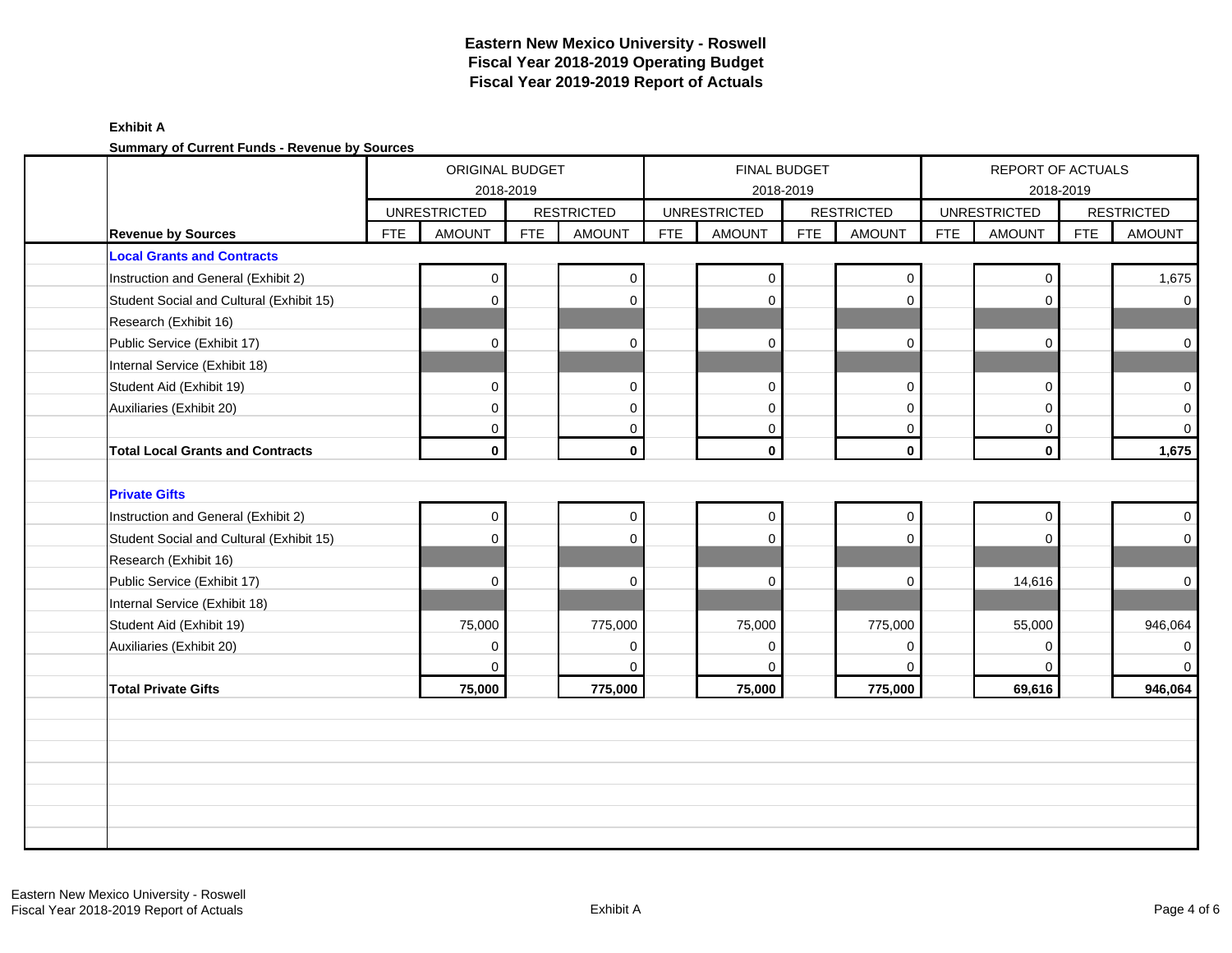### **Exhibit A Summary of Current Funds - Revenue by Sources**

|                                          |            | ORIGINAL BUDGET                      |            |                                    |            |                                      | <b>FINAL BUDGET</b> |                                    |            | REPORT OF ACTUALS                    |            |                                    |
|------------------------------------------|------------|--------------------------------------|------------|------------------------------------|------------|--------------------------------------|---------------------|------------------------------------|------------|--------------------------------------|------------|------------------------------------|
|                                          |            |                                      | 2018-2019  |                                    |            |                                      | 2018-2019           |                                    |            |                                      | 2018-2019  |                                    |
| <b>Revenue by Sources</b>                | <b>FTE</b> | <b>UNRESTRICTED</b><br><b>AMOUNT</b> | <b>FTE</b> | <b>RESTRICTED</b><br><b>AMOUNT</b> | <b>FTE</b> | <b>UNRESTRICTED</b><br><b>AMOUNT</b> | <b>FTE</b>          | <b>RESTRICTED</b><br><b>AMOUNT</b> | <b>FTE</b> | <b>UNRESTRICTED</b><br><b>AMOUNT</b> | <b>FTE</b> | <b>RESTRICTED</b><br><b>AMOUNT</b> |
| <b>Local Grants and Contracts</b>        |            |                                      |            |                                    |            |                                      |                     |                                    |            |                                      |            |                                    |
| Instruction and General (Exhibit 2)      |            | 0                                    |            | $\mathbf 0$                        |            | $\Omega$                             |                     | $\mathbf 0$                        |            | $\Omega$                             |            | 1,675                              |
| Student Social and Cultural (Exhibit 15) |            | 0                                    |            | $\Omega$                           |            | $\Omega$                             |                     | $\mathbf 0$                        |            | $\Omega$                             |            | $\mathbf 0$                        |
| Research (Exhibit 16)                    |            |                                      |            |                                    |            |                                      |                     |                                    |            |                                      |            |                                    |
| Public Service (Exhibit 17)              |            | 0                                    |            | $\mathbf 0$                        |            | $\mathbf 0$                          |                     | $\mathbf 0$                        |            | $\mathbf 0$                          |            | $\mathbf 0$                        |
| Internal Service (Exhibit 18)            |            |                                      |            |                                    |            |                                      |                     |                                    |            |                                      |            |                                    |
| Student Aid (Exhibit 19)                 |            | $\Omega$                             |            | $\Omega$                           |            | $\Omega$                             |                     | $\mathbf 0$                        |            | $\Omega$                             |            | $\overline{0}$                     |
| Auxiliaries (Exhibit 20)                 |            | 0                                    |            | $\mathbf 0$                        |            | $\mathbf 0$                          |                     | $\mathbf 0$                        |            | $\Omega$                             |            | $\overline{0}$                     |
|                                          |            | 0                                    |            | $\mathbf 0$                        |            | 0                                    |                     | 0                                  |            | 0                                    |            | $\mathbf 0$                        |
| <b>Total Local Grants and Contracts</b>  |            | $\mathbf{0}$                         |            | $\mathbf 0$                        |            | $\mathbf 0$                          |                     | $\mathbf 0$                        |            | $\mathbf 0$                          |            | 1,675                              |
|                                          |            |                                      |            |                                    |            |                                      |                     |                                    |            |                                      |            |                                    |
| <b>Private Gifts</b>                     |            |                                      |            |                                    |            |                                      |                     |                                    |            |                                      |            |                                    |
| Instruction and General (Exhibit 2)      |            | 0                                    |            | $\mathbf 0$                        |            | $\mathbf 0$                          |                     | $\mathsf{O}\xspace$                |            | $\mathbf 0$                          |            | $\overline{0}$                     |
| Student Social and Cultural (Exhibit 15) |            | $\Omega$                             |            | $\Omega$                           |            | $\Omega$                             |                     | $\mathbf 0$                        |            | $\Omega$                             |            | $\overline{0}$                     |
| Research (Exhibit 16)                    |            |                                      |            |                                    |            |                                      |                     |                                    |            |                                      |            |                                    |
| Public Service (Exhibit 17)              |            | $\Omega$                             |            | $\Omega$                           |            | $\Omega$                             |                     | $\mathbf 0$                        |            | 14,616                               |            | $\mathbf 0$                        |
| Internal Service (Exhibit 18)            |            |                                      |            |                                    |            |                                      |                     |                                    |            |                                      |            |                                    |
| Student Aid (Exhibit 19)                 |            | 75,000                               |            | 775,000                            |            | 75,000                               |                     | 775,000                            |            | 55,000                               |            | 946,064                            |
| Auxiliaries (Exhibit 20)                 |            | 0                                    |            | $\mathbf 0$                        |            | $\Omega$                             |                     | $\mathbf 0$                        |            | $\mathbf 0$                          |            | $\mathbf 0$                        |
|                                          |            | $\Omega$                             |            | $\mathbf 0$                        |            | $\Omega$                             |                     | $\mathbf 0$                        |            | $\Omega$                             |            | $\mathbf 0$                        |
| <b>Total Private Gifts</b>               |            | 75,000                               |            | 775,000                            |            | 75,000                               |                     | 775,000                            |            | 69,616                               |            | 946,064                            |
|                                          |            |                                      |            |                                    |            |                                      |                     |                                    |            |                                      |            |                                    |
|                                          |            |                                      |            |                                    |            |                                      |                     |                                    |            |                                      |            |                                    |
|                                          |            |                                      |            |                                    |            |                                      |                     |                                    |            |                                      |            |                                    |
|                                          |            |                                      |            |                                    |            |                                      |                     |                                    |            |                                      |            |                                    |
|                                          |            |                                      |            |                                    |            |                                      |                     |                                    |            |                                      |            |                                    |
|                                          |            |                                      |            |                                    |            |                                      |                     |                                    |            |                                      |            |                                    |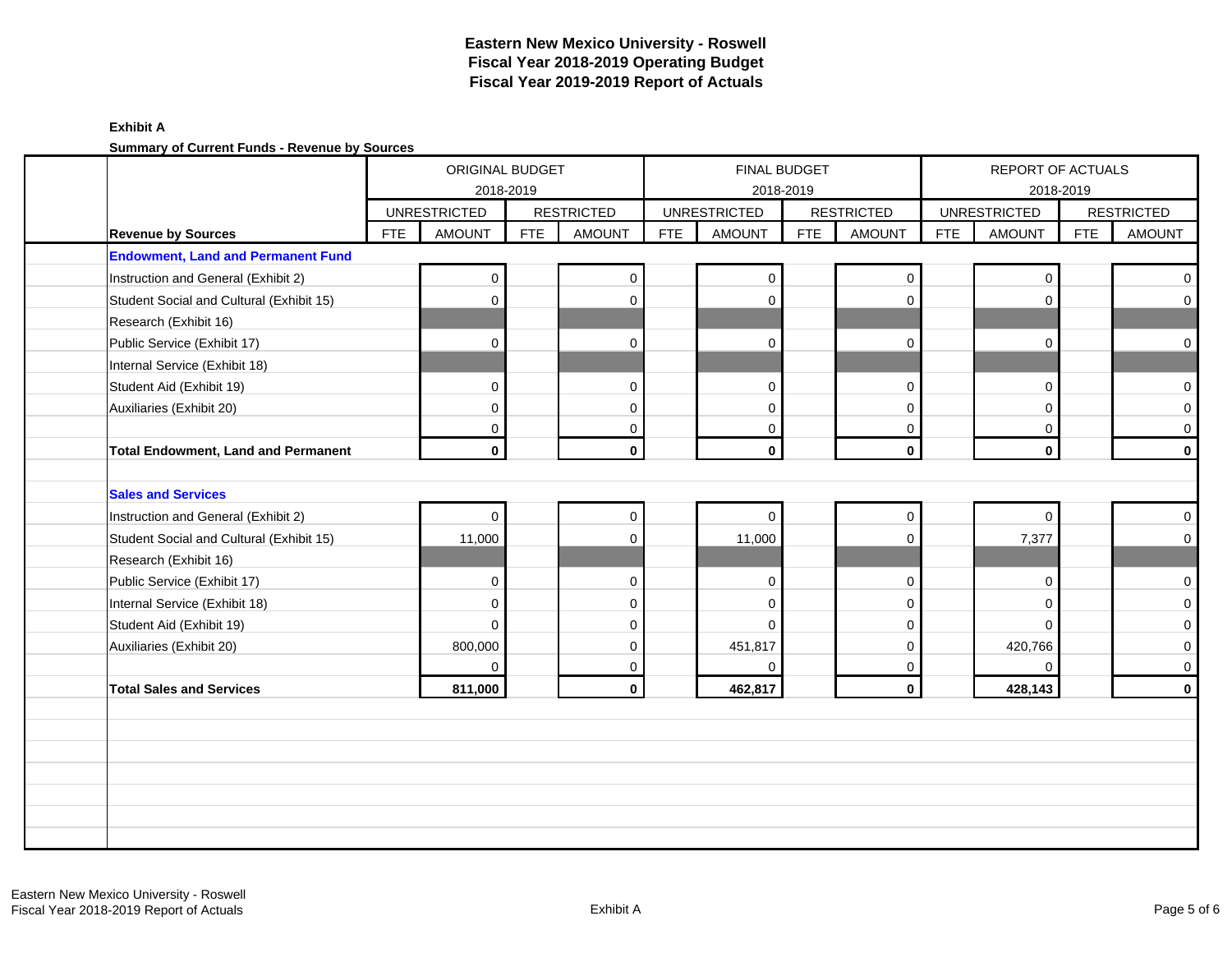#### **Exhibit A Summary of Current Funds - Revenue by Sources**

|                                            |            | ORIGINAL BUDGET<br>2018-2019 |            |                   |            |                     | <b>FINAL BUDGET</b><br>2018-2019 |                     |            | REPORT OF ACTUALS   | 2018-2019  |                   |
|--------------------------------------------|------------|------------------------------|------------|-------------------|------------|---------------------|----------------------------------|---------------------|------------|---------------------|------------|-------------------|
|                                            |            | <b>UNRESTRICTED</b>          |            | <b>RESTRICTED</b> |            | <b>UNRESTRICTED</b> |                                  | <b>RESTRICTED</b>   |            | <b>UNRESTRICTED</b> |            | <b>RESTRICTED</b> |
| <b>Revenue by Sources</b>                  | <b>FTE</b> | <b>AMOUNT</b>                | <b>FTE</b> | <b>AMOUNT</b>     | <b>FTE</b> | <b>AMOUNT</b>       | <b>FTE</b>                       | <b>AMOUNT</b>       | <b>FTE</b> | <b>AMOUNT</b>       | <b>FTE</b> | <b>AMOUNT</b>     |
| <b>Endowment, Land and Permanent Fund</b>  |            |                              |            |                   |            |                     |                                  |                     |            |                     |            |                   |
| Instruction and General (Exhibit 2)        |            | $\mathbf 0$                  |            | $\mathbf 0$       |            | $\mathbf 0$         |                                  | $\mathbf 0$         |            | 0                   |            | $\overline{0}$    |
| Student Social and Cultural (Exhibit 15)   |            | 0                            |            | $\mathbf 0$       |            | $\Omega$            |                                  | $\mathbf 0$         |            | $\Omega$            |            | $\overline{0}$    |
| Research (Exhibit 16)                      |            |                              |            |                   |            |                     |                                  |                     |            |                     |            |                   |
| Public Service (Exhibit 17)                |            | $\Omega$                     |            | $\mathbf 0$       |            | $\mathbf 0$         |                                  | $\mathbf 0$         |            | $\Omega$            |            | $\overline{0}$    |
| Internal Service (Exhibit 18)              |            |                              |            |                   |            |                     |                                  |                     |            |                     |            |                   |
| Student Aid (Exhibit 19)                   |            | 0                            |            | $\mathbf 0$       |            | $\Omega$            |                                  | $\mathbf 0$         |            | 0                   |            | $\overline{0}$    |
| Auxiliaries (Exhibit 20)                   |            | $\mathbf 0$                  |            | $\mathbf 0$       |            | $\Omega$            |                                  | $\mathbf 0$         |            | $\Omega$            |            | $\overline{0}$    |
|                                            |            | 0                            |            | $\mathbf 0$       |            | $\mathbf 0$         |                                  | $\mathbf 0$         |            | $\Omega$            |            | $\overline{0}$    |
| <b>Total Endowment, Land and Permanent</b> |            | $\mathbf 0$                  |            | $\mathbf{0}$      |            | $\mathbf 0$         |                                  | $\mathbf 0$         |            | $\mathbf{0}$        |            | $\mathbf{0}$      |
|                                            |            |                              |            |                   |            |                     |                                  |                     |            |                     |            |                   |
| <b>Sales and Services</b>                  |            |                              |            |                   |            |                     |                                  |                     |            |                     |            |                   |
| Instruction and General (Exhibit 2)        |            | $\Omega$                     |            | $\mathbf 0$       |            | $\Omega$            |                                  | $\mathsf{O}\xspace$ |            | $\Omega$            |            | $\overline{0}$    |
| Student Social and Cultural (Exhibit 15)   |            | 11,000                       |            | $\mathbf{0}$      |            | 11,000              |                                  | $\mathbf 0$         |            | 7,377               |            | $\overline{0}$    |
| Research (Exhibit 16)                      |            |                              |            |                   |            |                     |                                  |                     |            |                     |            |                   |
| Public Service (Exhibit 17)                |            | 0                            |            | 0                 |            | $\Omega$            |                                  | $\mathbf 0$         |            | $\mathbf 0$         |            | $\overline{0}$    |
| Internal Service (Exhibit 18)              |            | 0                            |            | $\mathbf 0$       |            | 0                   |                                  | $\mathbf 0$         |            | $\Omega$            |            | $\overline{0}$    |
| Student Aid (Exhibit 19)                   |            | $\Omega$                     |            | $\Omega$          |            | $\Omega$            |                                  | $\Omega$            |            | $\Omega$            |            | $\overline{0}$    |
| Auxiliaries (Exhibit 20)                   |            | 800,000                      |            | $\mathbf 0$       |            | 451,817             |                                  | $\mathbf 0$         |            | 420,766             |            | $\overline{0}$    |
|                                            |            | 0                            |            | 0                 |            | $\Omega$            |                                  | $\mathbf 0$         |            | $\Omega$            |            | $\overline{0}$    |
| <b>Total Sales and Services</b>            |            | 811,000                      |            | $\mathbf 0$       |            | 462,817             |                                  | $\mathbf 0$         |            | 428,143             |            | $\mathbf{0}$      |
|                                            |            |                              |            |                   |            |                     |                                  |                     |            |                     |            |                   |
|                                            |            |                              |            |                   |            |                     |                                  |                     |            |                     |            |                   |
|                                            |            |                              |            |                   |            |                     |                                  |                     |            |                     |            |                   |
|                                            |            |                              |            |                   |            |                     |                                  |                     |            |                     |            |                   |
|                                            |            |                              |            |                   |            |                     |                                  |                     |            |                     |            |                   |
|                                            |            |                              |            |                   |            |                     |                                  |                     |            |                     |            |                   |
|                                            |            |                              |            |                   |            |                     |                                  |                     |            |                     |            |                   |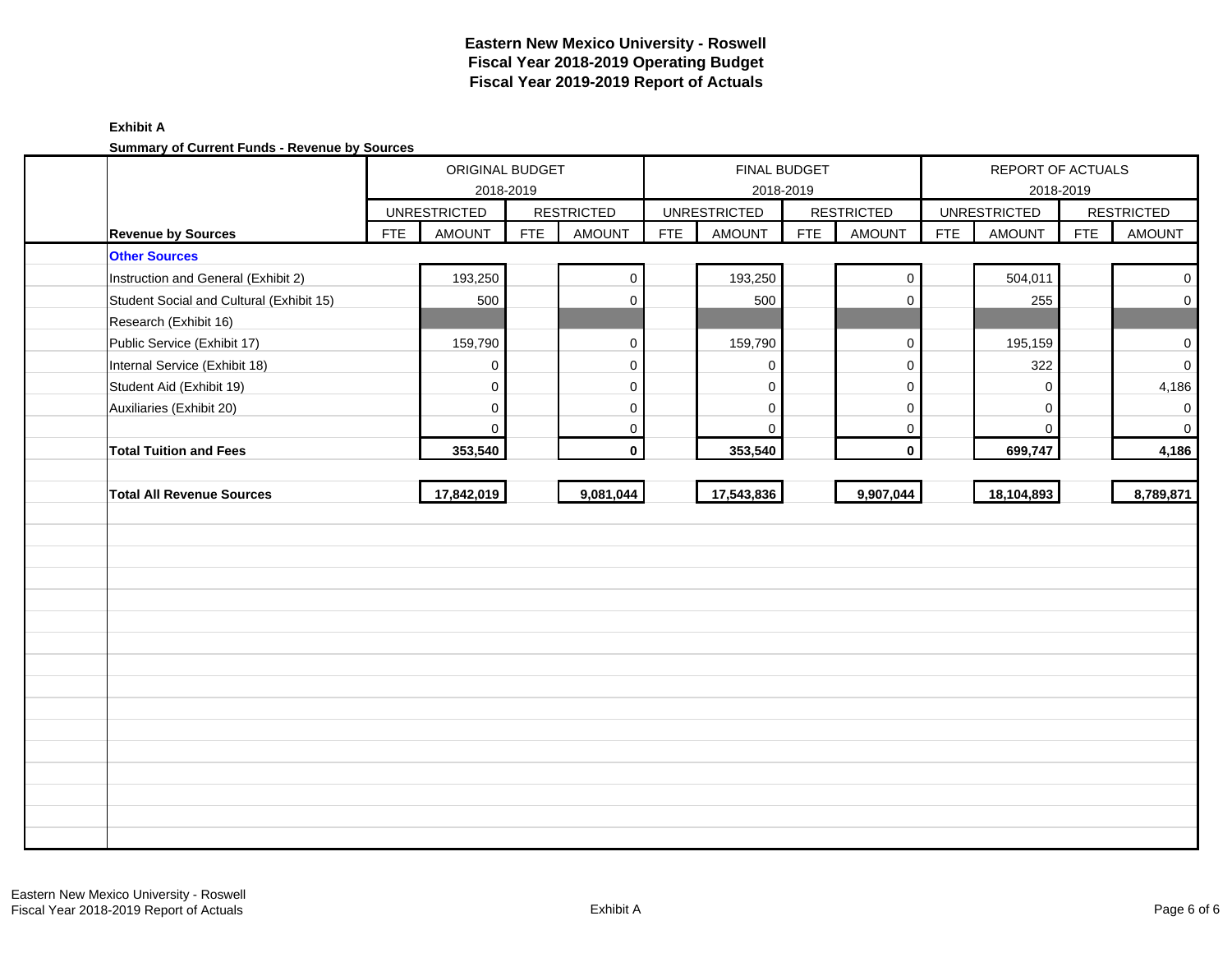### **Exhibit A Summary of Current Funds - Revenue by Sources**

| <b>During y Or Duricht Funds</b> - Revenue by Dources |            | ORIGINAL BUDGET<br>2018-2019 |            |                   |            |                     | FINAL BUDGET<br>2018-2019 |                   |            | REPORT OF ACTUALS   | 2018-2019  |                   |
|-------------------------------------------------------|------------|------------------------------|------------|-------------------|------------|---------------------|---------------------------|-------------------|------------|---------------------|------------|-------------------|
|                                                       |            | <b>UNRESTRICTED</b>          |            | <b>RESTRICTED</b> |            | <b>UNRESTRICTED</b> |                           | <b>RESTRICTED</b> |            | <b>UNRESTRICTED</b> |            | <b>RESTRICTED</b> |
| <b>Revenue by Sources</b>                             | <b>FTE</b> | <b>AMOUNT</b>                | <b>FTE</b> | <b>AMOUNT</b>     | <b>FTE</b> | <b>AMOUNT</b>       | <b>FTE</b>                | <b>AMOUNT</b>     | <b>FTE</b> | <b>AMOUNT</b>       | <b>FTE</b> | <b>AMOUNT</b>     |
| <b>Other Sources</b>                                  |            |                              |            |                   |            |                     |                           |                   |            |                     |            |                   |
| Instruction and General (Exhibit 2)                   |            | 193,250                      |            | $\mathbf 0$       |            | 193,250             |                           | $\mathsf 0$       |            | 504,011             |            | $\mathbf 0$       |
| Student Social and Cultural (Exhibit 15)              |            | 500                          |            | $\Omega$          |            | 500                 |                           | $\mathbf 0$       |            | 255                 |            | $\mathbf 0$       |
| Research (Exhibit 16)                                 |            |                              |            |                   |            |                     |                           |                   |            |                     |            |                   |
| Public Service (Exhibit 17)                           |            | 159,790                      |            | $\mathbf 0$       |            | 159,790             |                           | $\pmb{0}$         |            | 195,159             |            | $\mathbf 0$       |
| Internal Service (Exhibit 18)                         |            | $\mathbf 0$                  |            | $\Omega$          |            | $\Omega$            |                           | $\mathbf 0$       |            | 322                 |            | $\mathbf 0$       |
| Student Aid (Exhibit 19)                              |            | $\mathbf 0$                  |            | 0                 |            | $\Omega$            |                           | $\mathbf 0$       |            | 0                   |            | 4,186             |
| Auxiliaries (Exhibit 20)                              |            | $\mathbf 0$                  |            | 0                 |            | $\mathbf 0$         |                           | $\mathbf 0$       |            | $\Omega$            |            | $\mathbf 0$       |
|                                                       |            | $\mathbf{0}$                 |            | 0                 |            | $\Omega$            |                           | 0                 |            | $\Omega$            |            | $\mathbf 0$       |
| <b>Total Tuition and Fees</b>                         |            | 353,540                      |            | $\mathbf 0$       |            | 353,540             |                           | $\pmb{0}$         |            | 699,747             |            | 4,186             |
|                                                       |            |                              |            |                   |            |                     |                           |                   |            |                     |            |                   |
| <b>Total All Revenue Sources</b>                      |            | 17,842,019                   |            | 9,081,044         |            | 17,543,836          |                           | 9,907,044         |            | 18,104,893          |            | 8,789,871         |
|                                                       |            |                              |            |                   |            |                     |                           |                   |            |                     |            |                   |
|                                                       |            |                              |            |                   |            |                     |                           |                   |            |                     |            |                   |
|                                                       |            |                              |            |                   |            |                     |                           |                   |            |                     |            |                   |
|                                                       |            |                              |            |                   |            |                     |                           |                   |            |                     |            |                   |
|                                                       |            |                              |            |                   |            |                     |                           |                   |            |                     |            |                   |
|                                                       |            |                              |            |                   |            |                     |                           |                   |            |                     |            |                   |
|                                                       |            |                              |            |                   |            |                     |                           |                   |            |                     |            |                   |
|                                                       |            |                              |            |                   |            |                     |                           |                   |            |                     |            |                   |
|                                                       |            |                              |            |                   |            |                     |                           |                   |            |                     |            |                   |
|                                                       |            |                              |            |                   |            |                     |                           |                   |            |                     |            |                   |
|                                                       |            |                              |            |                   |            |                     |                           |                   |            |                     |            |                   |
|                                                       |            |                              |            |                   |            |                     |                           |                   |            |                     |            |                   |
|                                                       |            |                              |            |                   |            |                     |                           |                   |            |                     |            |                   |
|                                                       |            |                              |            |                   |            |                     |                           |                   |            |                     |            |                   |
|                                                       |            |                              |            |                   |            |                     |                           |                   |            |                     |            |                   |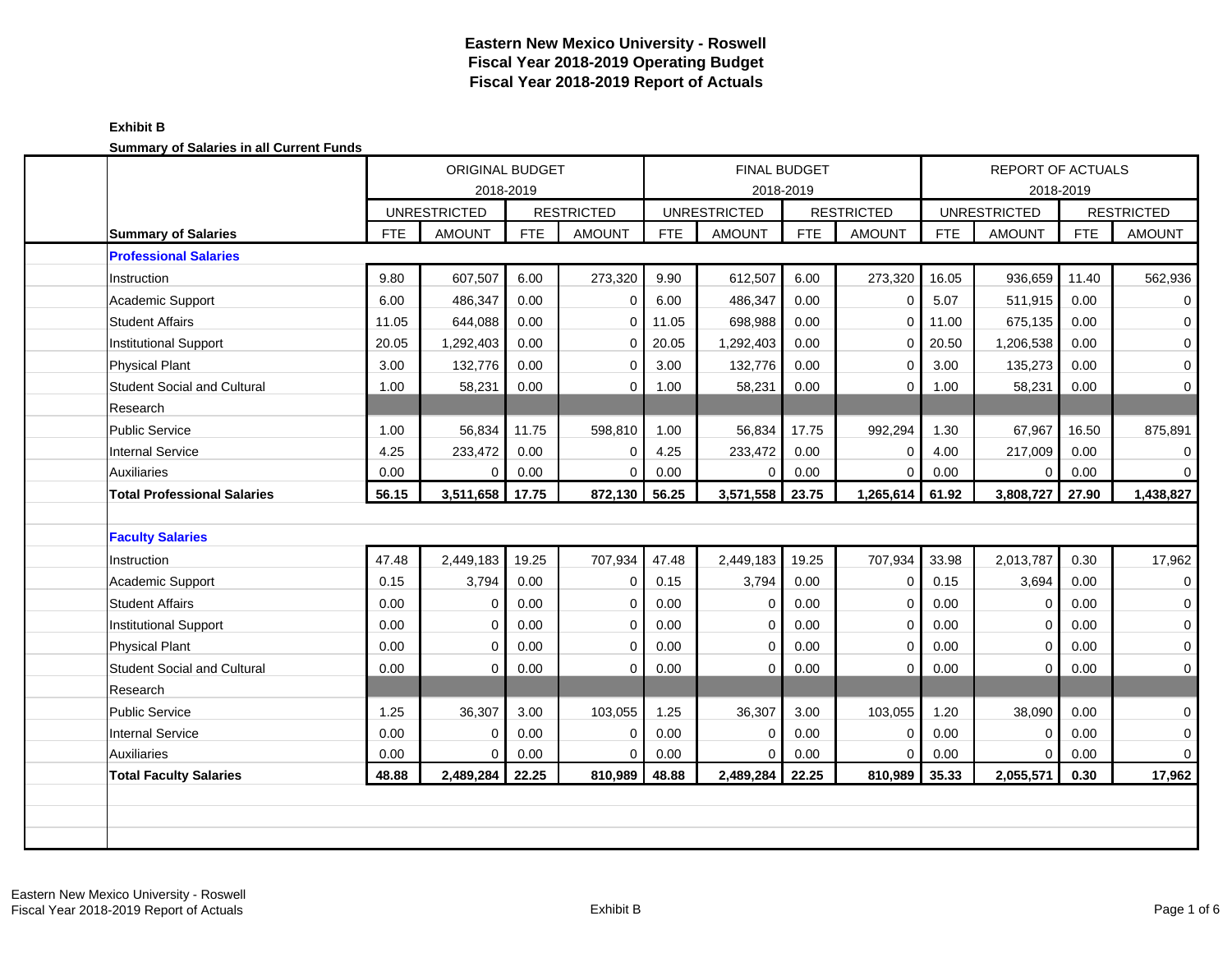| <u>odininary or odiance in an odirent rande</u> |            | <b>ORIGINAL BUDGET</b><br>2018-2019  |            |                   |            |                     | <b>FINAL BUDGET</b> |                   |            | <b>REPORT OF ACTUALS</b>             |            |                   |
|-------------------------------------------------|------------|--------------------------------------|------------|-------------------|------------|---------------------|---------------------|-------------------|------------|--------------------------------------|------------|-------------------|
|                                                 |            |                                      |            | <b>RESTRICTED</b> |            | <b>UNRESTRICTED</b> | 2018-2019           | <b>RESTRICTED</b> |            |                                      | 2018-2019  | <b>RESTRICTED</b> |
| <b>Summary of Salaries</b>                      | <b>FTE</b> | <b>UNRESTRICTED</b><br><b>AMOUNT</b> | <b>FTE</b> | <b>AMOUNT</b>     | <b>FTE</b> | <b>AMOUNT</b>       | <b>FTE</b>          | <b>AMOUNT</b>     | <b>FTE</b> | <b>UNRESTRICTED</b><br><b>AMOUNT</b> | <b>FTE</b> | <b>AMOUNT</b>     |
| <b>Professional Salaries</b>                    |            |                                      |            |                   |            |                     |                     |                   |            |                                      |            |                   |
| Instruction                                     | 9.80       | 607,507                              | 6.00       | 273,320           | 9.90       | 612,507             | 6.00                | 273,320           | 16.05      | 936,659                              | 11.40      | 562,936           |
| <b>Academic Support</b>                         | 6.00       | 486,347                              | 0.00       | $\mathbf 0$       | 6.00       | 486,347             | 0.00                | 0                 | 5.07       | 511,915                              | 0.00       | 0                 |
| <b>Student Affairs</b>                          | 11.05      | 644,088                              | 0.00       | $\mathbf 0$       | 11.05      | 698,988             | 0.00                | $\mathbf 0$       | 11.00      | 675,135                              | 0.00       | 0                 |
| <b>Institutional Support</b>                    | 20.05      | 1,292,403                            | 0.00       | $\mathbf 0$       | 20.05      | 1,292,403           | 0.00                | $\mathbf 0$       | 20.50      | 1,206,538                            | 0.00       | 0                 |
| <b>Physical Plant</b>                           | 3.00       | 132,776                              | 0.00       | $\mathbf 0$       | 3.00       | 132,776             | 0.00                | $\mathbf 0$       | 3.00       | 135,273                              | 0.00       | 0                 |
| <b>Student Social and Cultural</b>              | 1.00       | 58,231                               | 0.00       | $\mathbf 0$       | 1.00       | 58,231              | 0.00                | $\Omega$          | 1.00       | 58,231                               | 0.00       | $\mathbf 0$       |
| Research                                        |            |                                      |            |                   |            |                     |                     |                   |            |                                      |            |                   |
| <b>Public Service</b>                           | 1.00       | 56,834                               | 11.75      | 598,810           | 1.00       | 56,834              | 17.75               | 992,294           | 1.30       | 67,967                               | 16.50      | 875,891           |
| <b>Internal Service</b>                         | 4.25       | 233,472                              | 0.00       | $\Omega$          | 4.25       | 233,472             | 0.00                | $\mathbf 0$       | 4.00       | 217,009                              | 0.00       | 0                 |
| <b>Auxiliaries</b>                              | 0.00       | $\Omega$                             | 0.00       | $\mathbf 0$       | 0.00       | $\mathbf 0$         | 0.00                | $\mathbf 0$       | 0.00       | $\overline{0}$                       | 0.00       | 0                 |
| <b>Total Professional Salaries</b>              | 56.15      | 3,511,658                            | 17.75      | 872,130           | 56.25      | 3,571,558           | 23.75               | 1,265,614         | 61.92      | 3,808,727                            | 27.90      | 1,438,827         |
|                                                 |            |                                      |            |                   |            |                     |                     |                   |            |                                      |            |                   |
| <b>Faculty Salaries</b>                         |            |                                      |            |                   |            |                     |                     |                   |            |                                      |            |                   |
| Instruction                                     | 47.48      | 2,449,183                            | 19.25      | 707,934           | 47.48      | 2,449,183           | 19.25               | 707,934           | 33.98      | 2,013,787                            | 0.30       | 17,962            |
| Academic Support                                | 0.15       | 3,794                                | 0.00       | $\mathbf 0$       | 0.15       | 3,794               | 0.00                | 0                 | 0.15       | 3,694                                | 0.00       | 0                 |
| <b>Student Affairs</b>                          | 0.00       | 0                                    | 0.00       | $\mathbf 0$       | 0.00       | $\mathbf 0$         | 0.00                | $\mathbf 0$       | 0.00       | 0                                    | 0.00       | 0                 |
| <b>Institutional Support</b>                    | 0.00       | $\Omega$                             | 0.00       | $\mathbf 0$       | 0.00       | $\Omega$            | 0.00                | $\mathbf 0$       | 0.00       | $\mathbf 0$                          | 0.00       | 0                 |
| <b>Physical Plant</b>                           | 0.00       | $\Omega$                             | 0.00       | $\Omega$          | 0.00       | $\Omega$            | 0.00                | $\Omega$          | 0.00       | $\Omega$                             | 0.00       | 0                 |
| <b>Student Social and Cultural</b>              | 0.00       | $\Omega$                             | 0.00       | $\Omega$          | 0.00       | $\Omega$            | 0.00                | $\mathbf 0$       | 0.00       | $\mathbf 0$                          | 0.00       | $\mathbf 0$       |
| Research                                        |            |                                      |            |                   |            |                     |                     |                   |            |                                      |            |                   |
| <b>Public Service</b>                           | 1.25       | 36,307                               | 3.00       | 103,055           | 1.25       | 36,307              | 3.00                | 103,055           | 1.20       | 38,090                               | 0.00       | 0                 |
| <b>Internal Service</b>                         | 0.00       | $\Omega$                             | 0.00       | $\mathbf 0$       | 0.00       | $\Omega$            | 0.00                | $\mathbf 0$       | 0.00       | 0                                    | 0.00       | 0                 |
| <b>Auxiliaries</b>                              | 0.00       | $\Omega$                             | 0.00       | $\Omega$          | 0.00       | $\mathbf 0$         | 0.00                | $\mathbf 0$       | 0.00       | $\overline{0}$                       | 0.00       | 0                 |
| <b>Total Faculty Salaries</b>                   | 48.88      | 2,489,284                            | 22.25      | 810,989           | 48.88      | 2,489,284           | 22.25               | 810,989           | 35.33      | 2,055,571                            | 0.30       | 17,962            |
|                                                 |            |                                      |            |                   |            |                     |                     |                   |            |                                      |            |                   |
|                                                 |            |                                      |            |                   |            |                     |                     |                   |            |                                      |            |                   |
|                                                 |            |                                      |            |                   |            |                     |                     |                   |            |                                      |            |                   |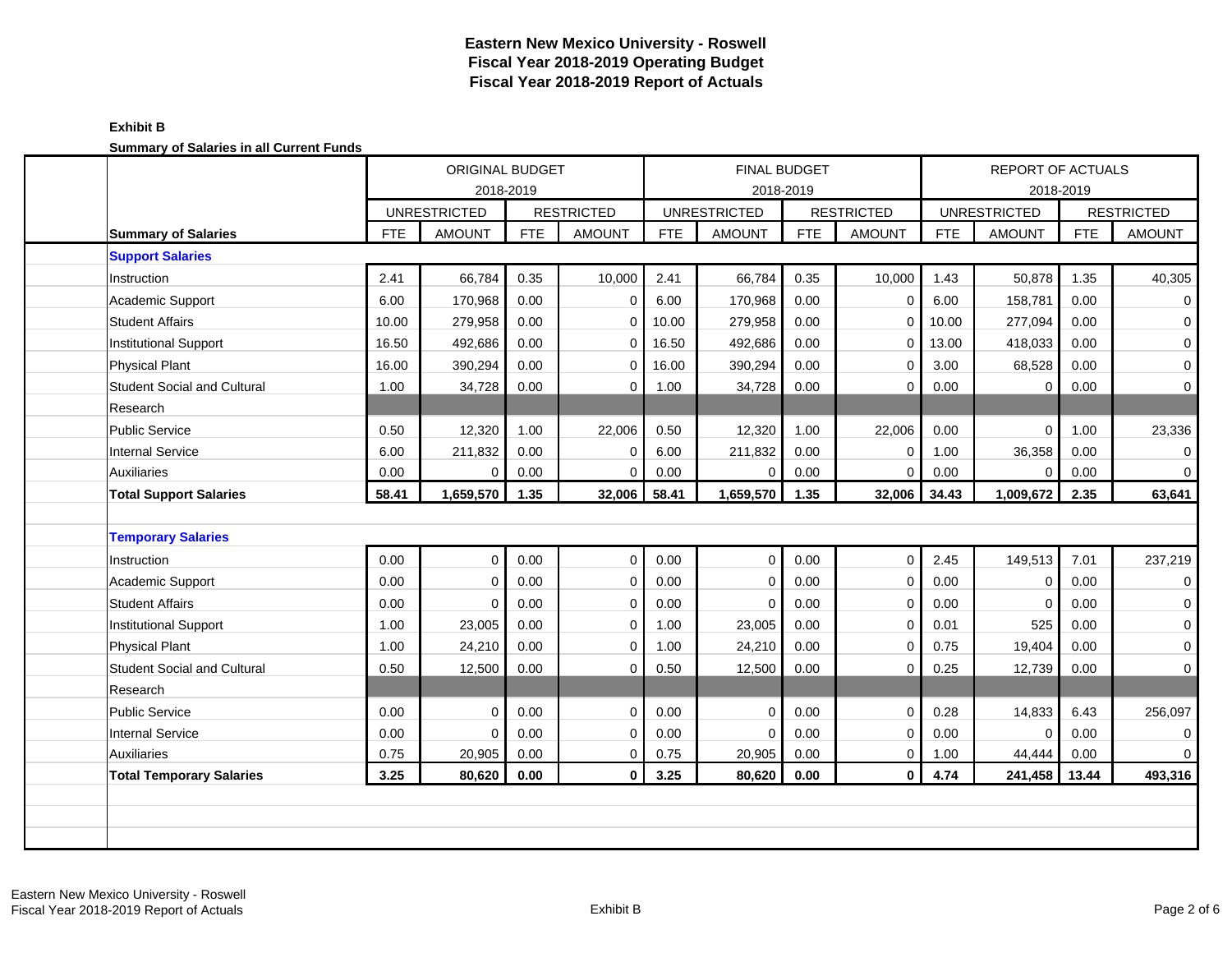|                                    |            | ORIGINAL BUDGET<br>2018-2019 |            |                   |            | FINAL BUDGET<br>2018-2019 |            |                   | <b>REPORT OF ACTUALS</b><br>2018-2019 |                     |            |                   |
|------------------------------------|------------|------------------------------|------------|-------------------|------------|---------------------------|------------|-------------------|---------------------------------------|---------------------|------------|-------------------|
|                                    |            | <b>UNRESTRICTED</b>          |            | <b>RESTRICTED</b> |            | <b>UNRESTRICTED</b>       |            | <b>RESTRICTED</b> |                                       | <b>UNRESTRICTED</b> |            | <b>RESTRICTED</b> |
| <b>Summary of Salaries</b>         | <b>FTE</b> | <b>AMOUNT</b>                | <b>FTE</b> | <b>AMOUNT</b>     | <b>FTE</b> | <b>AMOUNT</b>             | <b>FTE</b> | <b>AMOUNT</b>     | <b>FTE</b>                            | <b>AMOUNT</b>       | <b>FTE</b> | <b>AMOUNT</b>     |
| <b>Support Salaries</b>            |            |                              |            |                   |            |                           |            |                   |                                       |                     |            |                   |
| Instruction                        | 2.41       | 66,784                       | 0.35       | 10,000            | 2.41       | 66,784                    | 0.35       | 10,000            | 1.43                                  | 50,878              | 1.35       | 40,305            |
| Academic Support                   | 6.00       | 170,968                      | 0.00       | $\Omega$          | 6.00       | 170,968                   | 0.00       | $\mathbf 0$       | 6.00                                  | 158,781             | 0.00       | 0                 |
| <b>Student Affairs</b>             | 10.00      | 279,958                      | 0.00       | $\mathbf 0$       | 10.00      | 279,958                   | 0.00       | $\Omega$          | 10.00                                 | 277,094             | 0.00       | 0                 |
| <b>Institutional Support</b>       | 16.50      | 492,686                      | 0.00       | $\mathbf 0$       | 16.50      | 492,686                   | 0.00       | $\mathbf 0$       | 13.00                                 | 418,033             | 0.00       | 0                 |
| <b>Physical Plant</b>              | 16.00      | 390,294                      | 0.00       | $\mathbf 0$       | 16.00      | 390,294                   | 0.00       | $\Omega$          | 3.00                                  | 68,528              | 0.00       | 0                 |
| <b>Student Social and Cultural</b> | 1.00       | 34,728                       | 0.00       | $\mathbf 0$       | 1.00       | 34,728                    | 0.00       | $\mathbf 0$       | 0.00                                  | 0                   | 0.00       | 0                 |
| Research                           |            |                              |            |                   |            |                           |            |                   |                                       |                     |            |                   |
| <b>Public Service</b>              | 0.50       | 12,320                       | 1.00       | 22,006            | 0.50       | 12,320                    | 1.00       | 22,006            | 0.00                                  | $\overline{0}$      | 1.00       | 23,336            |
| <b>Internal Service</b>            | 6.00       | 211,832                      | 0.00       | 0                 | 6.00       | 211,832                   | 0.00       | 0                 | 1.00                                  | 36,358              | 0.00       | 0                 |
| <b>Auxiliaries</b>                 | 0.00       | 0                            | 0.00       | $\mathbf 0$       | 0.00       | 0                         | 0.00       | 0                 | 0.00                                  | $\mathbf 0$         | 0.00       | 0                 |
| <b>Total Support Salaries</b>      | 58.41      | 1,659,570                    | 1.35       | 32,006            | 58.41      | 1,659,570                 | 1.35       | 32,006            | 34.43                                 | 1,009,672           | 2.35       | 63,641            |
|                                    |            |                              |            |                   |            |                           |            |                   |                                       |                     |            |                   |
| <b>Temporary Salaries</b>          |            |                              |            |                   |            |                           |            |                   |                                       |                     |            |                   |
| Instruction                        | 0.00       | $\Omega$                     | 0.00       | $\mathbf 0$       | 0.00       | $\Omega$                  | 0.00       | $\Omega$          | 2.45                                  | 149,513             | 7.01       | 237,219           |
| <b>Academic Support</b>            | 0.00       | $\Omega$                     | 0.00       | $\mathbf 0$       | 0.00       | $\Omega$                  | 0.00       | $\mathbf 0$       | 0.00                                  | $\mathbf 0$         | 0.00       | 0                 |
| <b>Student Affairs</b>             | 0.00       | $\Omega$                     | 0.00       | $\mathbf 0$       | 0.00       | $\Omega$                  | 0.00       | $\Omega$          | 0.00                                  | $\Omega$            | 0.00       | 0                 |
| <b>Institutional Support</b>       | 1.00       | 23,005                       | 0.00       | $\mathbf 0$       | 1.00       | 23,005                    | 0.00       | $\mathbf 0$       | 0.01                                  | 525                 | 0.00       | 0                 |
| <b>Physical Plant</b>              | 1.00       | 24,210                       | 0.00       | $\mathbf 0$       | 1.00       | 24,210                    | 0.00       | $\Omega$          | 0.75                                  | 19,404              | 0.00       | 0                 |
| <b>Student Social and Cultural</b> | 0.50       | 12,500                       | 0.00       | $\mathbf 0$       | 0.50       | 12,500                    | 0.00       | $\mathbf 0$       | 0.25                                  | 12,739              | 0.00       | 0                 |
| Research                           |            |                              |            |                   |            |                           |            |                   |                                       |                     |            |                   |
| <b>Public Service</b>              | 0.00       | $\Omega$                     | 0.00       | $\mathbf 0$       | 0.00       | 0                         | 0.00       | $\mathbf 0$       | 0.28                                  | 14,833              | 6.43       | 256,097           |
| <b>Internal Service</b>            | 0.00       | $\Omega$                     | 0.00       | $\mathbf 0$       | 0.00       | $\Omega$                  | 0.00       | $\mathbf 0$       | 0.00                                  | $\mathbf 0$         | 0.00       | 0                 |
| <b>Auxiliaries</b>                 | 0.75       | 20,905                       | 0.00       | $\mathbf 0$       | 0.75       | 20,905                    | 0.00       | 0                 | 1.00                                  | 44,444              | 0.00       | 0                 |
| <b>Total Temporary Salaries</b>    | 3.25       | 80,620                       | 0.00       | $\mathbf 0$       | 3.25       | 80,620                    | 0.00       | $\mathbf 0$       | 4.74                                  | 241,458             | 13.44      | 493,316           |
|                                    |            |                              |            |                   |            |                           |            |                   |                                       |                     |            |                   |
|                                    |            |                              |            |                   |            |                           |            |                   |                                       |                     |            |                   |
|                                    |            |                              |            |                   |            |                           |            |                   |                                       |                     |            |                   |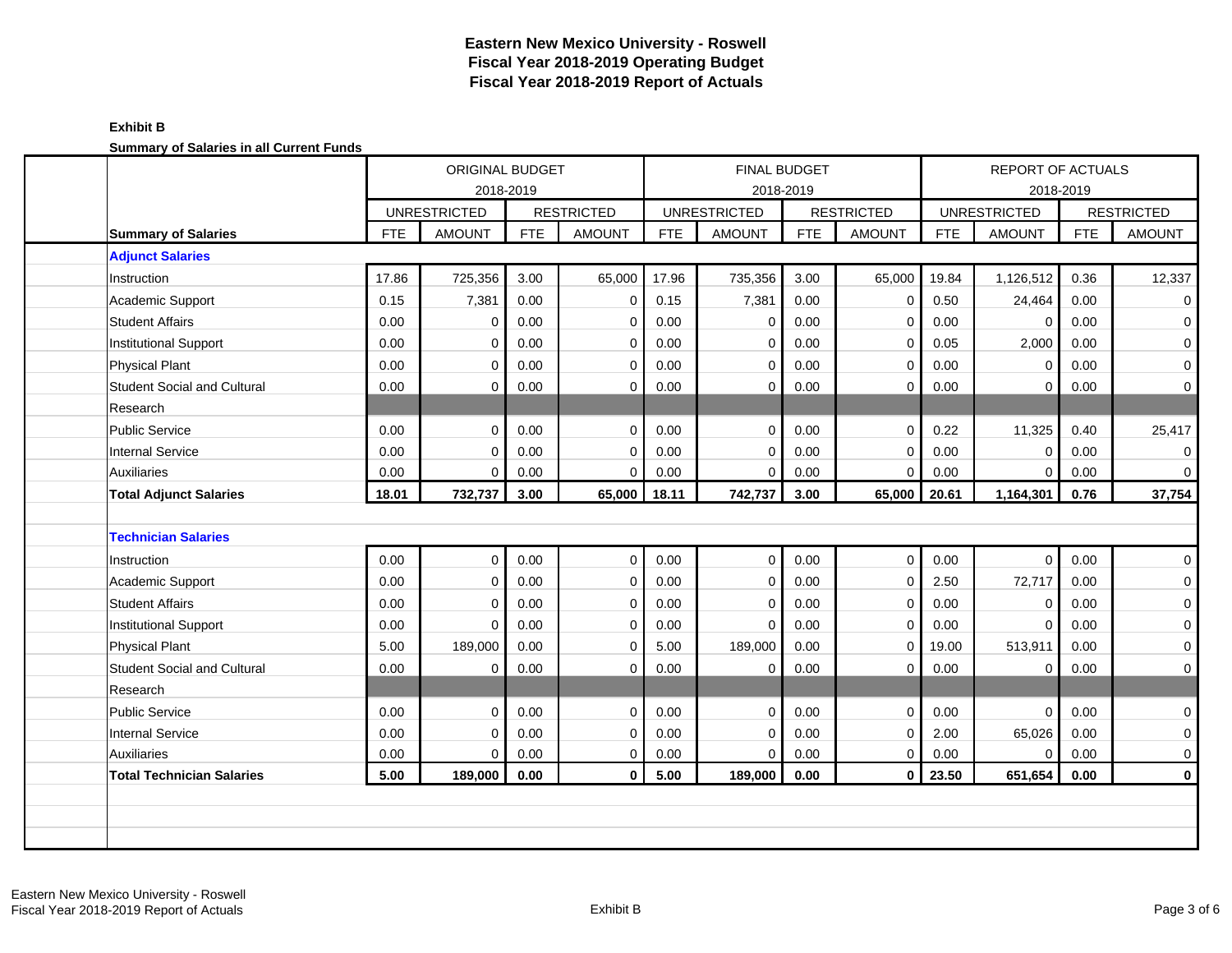| <u>odininal y or odiarios in all'oditone i anas</u> |            | <b>ORIGINAL BUDGET</b><br>2018-2019 |            |                   |            |                     | <b>FINAL BUDGET</b><br>2018-2019 |                   |            | REPORT OF ACTUALS<br>2018-2019 |            |                   |
|-----------------------------------------------------|------------|-------------------------------------|------------|-------------------|------------|---------------------|----------------------------------|-------------------|------------|--------------------------------|------------|-------------------|
|                                                     |            | <b>UNRESTRICTED</b>                 |            | <b>RESTRICTED</b> |            | <b>UNRESTRICTED</b> |                                  | <b>RESTRICTED</b> |            | <b>UNRESTRICTED</b>            |            | <b>RESTRICTED</b> |
| <b>Summary of Salaries</b>                          | <b>FTE</b> | <b>AMOUNT</b>                       | <b>FTE</b> | <b>AMOUNT</b>     | <b>FTE</b> | <b>AMOUNT</b>       | <b>FTE</b>                       | <b>AMOUNT</b>     | <b>FTE</b> | <b>AMOUNT</b>                  | <b>FTE</b> | <b>AMOUNT</b>     |
| <b>Adjunct Salaries</b>                             |            |                                     |            |                   |            |                     |                                  |                   |            |                                |            |                   |
| Instruction                                         | 17.86      | 725,356                             | 3.00       | 65,000            | 17.96      | 735,356             | 3.00                             | 65,000            | 19.84      | 1,126,512                      | 0.36       | 12,337            |
| Academic Support                                    | 0.15       | 7,381                               | 0.00       | $\mathbf 0$       | 0.15       | 7,381               | 0.00                             | $\mathbf 0$       | 0.50       | 24,464                         | 0.00       | 0                 |
| <b>Student Affairs</b>                              | 0.00       | $\Omega$                            | 0.00       | $\mathbf 0$       | 0.00       | $\mathbf 0$         | 0.00                             | 0                 | 0.00       | $\mathbf 0$                    | 0.00       | 0                 |
| <b>Institutional Support</b>                        | 0.00       | $\Omega$                            | 0.00       | $\mathbf 0$       | 0.00       | $\mathbf 0$         | 0.00                             | $\mathbf 0$       | 0.05       | 2,000                          | 0.00       | 0                 |
| <b>Physical Plant</b>                               | 0.00       | $\Omega$                            | 0.00       | $\mathbf 0$       | 0.00       | $\mathbf 0$         | 0.00                             | $\mathbf 0$       | 0.00       | $\mathbf 0$                    | 0.00       | 0                 |
| <b>Student Social and Cultural</b>                  | 0.00       | $\Omega$                            | 0.00       | $\mathbf 0$       | 0.00       | 0                   | 0.00                             | 0                 | 0.00       | 0                              | 0.00       | 0                 |
| Research                                            |            |                                     |            |                   |            |                     |                                  |                   |            |                                |            |                   |
| <b>Public Service</b>                               | 0.00       | $\Omega$                            | 0.00       | $\mathbf 0$       | 0.00       | $\mathbf 0$         | 0.00                             | $\mathbf 0$       | 0.22       | 11,325                         | 0.40       | 25,417            |
| <b>Internal Service</b>                             | 0.00       | $\Omega$                            | 0.00       | $\mathbf 0$       | 0.00       | $\mathbf 0$         | 0.00                             | 0                 | 0.00       | 0                              | 0.00       | 0                 |
| <b>Auxiliaries</b>                                  | 0.00       | $\Omega$                            | 0.00       | $\mathbf 0$       | 0.00       | $\mathbf 0$         | 0.00                             | $\mathbf 0$       | 0.00       | $\overline{0}$                 | 0.00       | 0                 |
| <b>Total Adjunct Salaries</b>                       | 18.01      | 732,737                             | 3.00       | 65,000            | 18.11      | 742,737             | 3.00                             | 65,000            | 20.61      | 1,164,301                      | 0.76       | 37,754            |
|                                                     |            |                                     |            |                   |            |                     |                                  |                   |            |                                |            |                   |
| <b>Technician Salaries</b>                          |            |                                     |            |                   |            |                     |                                  |                   |            |                                |            |                   |
| Instruction                                         | 0.00       | $\Omega$                            | 0.00       | $\mathbf 0$       | 0.00       | $\mathbf 0$         | 0.00                             | $\mathbf 0$       | 0.00       | $\mathbf 0$                    | 0.00       | 0                 |
| Academic Support                                    | 0.00       | $\Omega$                            | 0.00       | $\mathbf 0$       | 0.00       | 0                   | 0.00                             | $\mathbf 0$       | 2.50       | 72,717                         | 0.00       | 0                 |
| <b>Student Affairs</b>                              | 0.00       | $\Omega$                            | 0.00       | $\mathbf 0$       | 0.00       | $\mathbf 0$         | 0.00                             | $\mathbf 0$       | 0.00       | 0                              | 0.00       | 0                 |
| <b>Institutional Support</b>                        | 0.00       | 0                                   | 0.00       | $\mathbf 0$       | 0.00       | $\mathbf 0$         | 0.00                             | 0                 | 0.00       | $\mathbf 0$                    | 0.00       | 0                 |
| <b>Physical Plant</b>                               | 5.00       | 189,000                             | 0.00       | $\mathbf 0$       | 5.00       | 189,000             | 0.00                             | $\mathbf 0$       | 19.00      | 513,911                        | 0.00       | 0                 |
| <b>Student Social and Cultural</b>                  | 0.00       | 0                                   | 0.00       | $\mathbf 0$       | 0.00       | $\mathbf 0$         | 0.00                             | $\mathbf 0$       | 0.00       | 0                              | 0.00       | 0                 |
| Research                                            |            |                                     |            |                   |            |                     |                                  |                   |            |                                |            |                   |
| <b>Public Service</b>                               | 0.00       | $\Omega$                            | 0.00       | $\mathbf 0$       | 0.00       | $\mathbf 0$         | 0.00                             | $\mathbf 0$       | 0.00       | $\mathbf 0$                    | 0.00       | 0                 |
| <b>Internal Service</b>                             | 0.00       | $\Omega$                            | 0.00       | $\mathbf 0$       | 0.00       | $\mathbf 0$         | 0.00                             | $\mathbf 0$       | 2.00       | 65,026                         | 0.00       | 0                 |
| <b>Auxiliaries</b>                                  | 0.00       | $\Omega$                            | 0.00       | $\mathbf 0$       | 0.00       | $\mathbf 0$         | 0.00                             | 0                 | 0.00       | $\mathbf 0$                    | 0.00       | 0                 |
| <b>Total Technician Salaries</b>                    | 5.00       | 189,000                             | 0.00       | $\mathbf{0}$      | 5.00       | 189,000             | 0.00                             | $\mathbf{0}$      | 23.50      | 651,654                        | 0.00       | $\mathbf 0$       |
|                                                     |            |                                     |            |                   |            |                     |                                  |                   |            |                                |            |                   |
|                                                     |            |                                     |            |                   |            |                     |                                  |                   |            |                                |            |                   |
|                                                     |            |                                     |            |                   |            |                     |                                  |                   |            |                                |            |                   |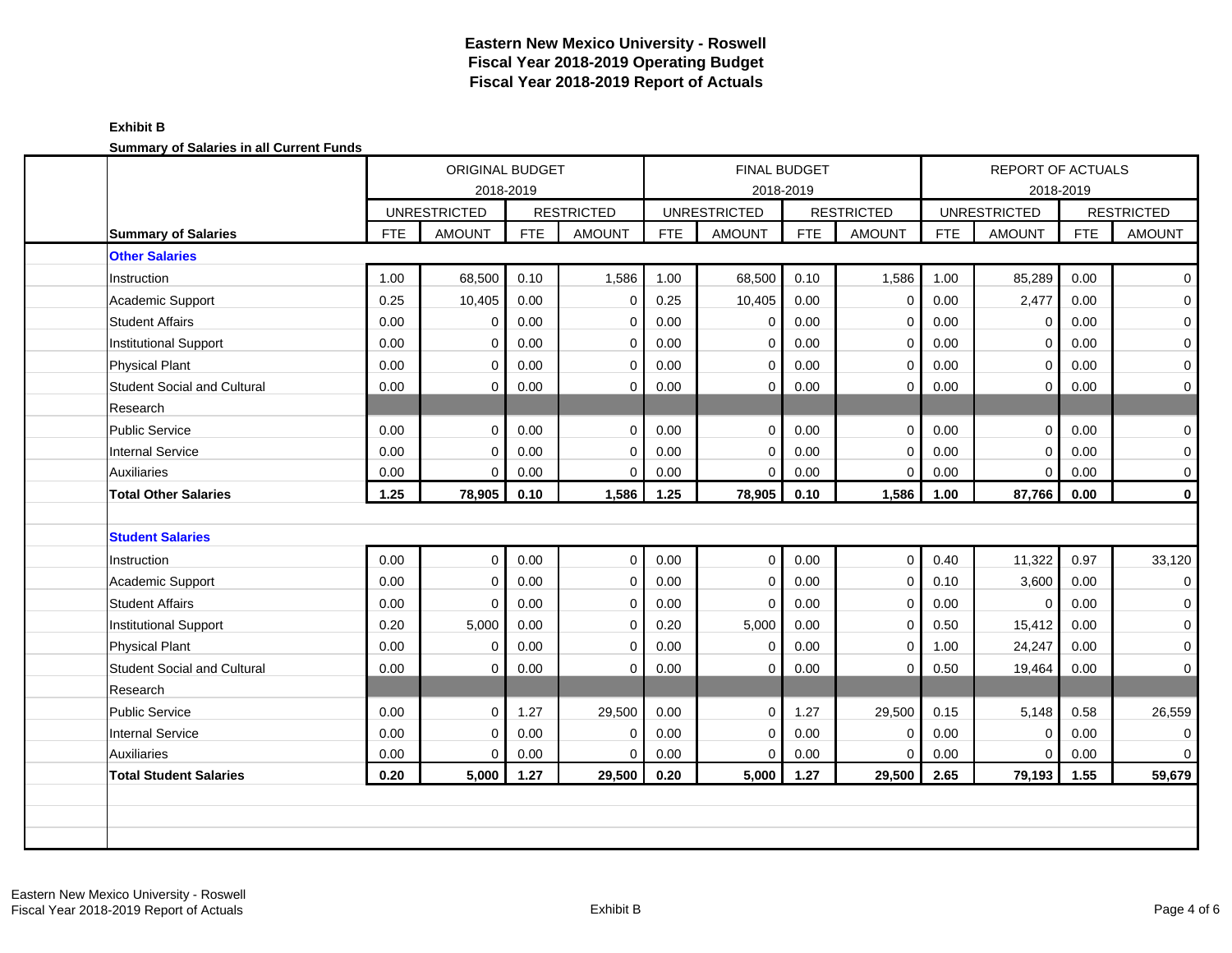|                                    |            | <b>ORIGINAL BUDGET</b><br>2018-2019 |            |                   |            |                     | <b>FINAL BUDGET</b> |                   |            | <b>REPORT OF ACTUALS</b>         |            |                   |
|------------------------------------|------------|-------------------------------------|------------|-------------------|------------|---------------------|---------------------|-------------------|------------|----------------------------------|------------|-------------------|
|                                    |            | <b>UNRESTRICTED</b>                 |            | <b>RESTRICTED</b> |            | <b>UNRESTRICTED</b> | 2018-2019           | <b>RESTRICTED</b> |            | 2018-2019<br><b>UNRESTRICTED</b> |            | <b>RESTRICTED</b> |
| <b>Summary of Salaries</b>         | <b>FTE</b> | <b>AMOUNT</b>                       | <b>FTE</b> | <b>AMOUNT</b>     | <b>FTE</b> | <b>AMOUNT</b>       | <b>FTE</b>          | <b>AMOUNT</b>     | <b>FTE</b> | <b>AMOUNT</b>                    | <b>FTE</b> | <b>AMOUNT</b>     |
| <b>Other Salaries</b>              |            |                                     |            |                   |            |                     |                     |                   |            |                                  |            |                   |
| Instruction                        | 1.00       | 68,500                              | 0.10       | 1,586             | 1.00       | 68,500              | 0.10                | 1,586             | 1.00       | 85,289                           | 0.00       | $\mathbf 0$       |
| Academic Support                   | 0.25       | 10,405                              | 0.00       | $\mathbf 0$       | 0.25       | 10,405              | 0.00                | $\mathbf 0$       | 0.00       | 2,477                            | 0.00       | 0                 |
| <b>Student Affairs</b>             | 0.00       | $\Omega$                            | 0.00       | $\mathbf 0$       | 0.00       | $\Omega$            | 0.00                | $\mathbf 0$       | 0.00       | $\mathbf 0$                      | 0.00       | 0                 |
| <b>Institutional Support</b>       | 0.00       | $\Omega$                            | 0.00       | $\mathbf 0$       | 0.00       | $\mathbf 0$         | 0.00                | $\mathbf 0$       | 0.00       | 0                                | 0.00       | $\pmb{0}$         |
| Physical Plant                     | 0.00       | $\Omega$                            | 0.00       | $\mathbf 0$       | 0.00       | $\mathbf 0$         | 0.00                | $\mathbf 0$       | 0.00       | 0                                | 0.00       | 0                 |
| <b>Student Social and Cultural</b> | 0.00       | $\Omega$                            | 0.00       | $\mathbf 0$       | 0.00       | $\Omega$            | 0.00                | $\Omega$          | 0.00       | $\mathbf 0$                      | 0.00       | 0                 |
| Research                           |            |                                     |            |                   |            |                     |                     |                   |            |                                  |            |                   |
| Public Service                     | 0.00       | $\Omega$                            | 0.00       | $\Omega$          | 0.00       | $\Omega$            | 0.00                | $\mathbf{0}$      | 0.00       | $\overline{0}$                   | 0.00       | $\mathbf{0}$      |
| Internal Service                   | 0.00       | $\Omega$                            | 0.00       | $\mathbf 0$       | 0.00       | $\Omega$            | 0.00                | $\mathbf 0$       | 0.00       | $\Omega$                         | 0.00       | 0                 |
| <b>Auxiliaries</b>                 | 0.00       | $\Omega$                            | 0.00       | $\mathbf 0$       | 0.00       | $\Omega$            | 0.00                | $\mathbf 0$       | 0.00       | $\overline{0}$                   | 0.00       | 0                 |
| <b>Total Other Salaries</b>        | 1.25       | 78,905                              | 0.10       | 1,586             | 1.25       | 78,905              | 0.10                | 1,586             | 1.00       | 87,766                           | 0.00       | $\mathbf 0$       |
|                                    |            |                                     |            |                   |            |                     |                     |                   |            |                                  |            |                   |
| <b>Student Salaries</b>            |            |                                     |            |                   |            |                     |                     |                   |            |                                  |            |                   |
| Instruction                        | 0.00       | $\Omega$                            | 0.00       | $\mathbf 0$       | 0.00       | $\mathbf 0$         | 0.00                | $\mathbf{0}$      | 0.40       | 11,322                           | 0.97       | 33,120            |
| Academic Support                   | 0.00       | $\Omega$                            | 0.00       | $\mathbf 0$       | 0.00       | $\mathbf 0$         | 0.00                | $\mathbf 0$       | 0.10       | 3,600                            | 0.00       | 0                 |
| <b>Student Affairs</b>             | 0.00       | $\Omega$                            | 0.00       | $\mathbf 0$       | 0.00       | $\mathbf 0$         | 0.00                | $\mathbf 0$       | 0.00       | 0                                | 0.00       | 0                 |
| <b>Institutional Support</b>       | 0.20       | 5,000                               | 0.00       | $\mathbf 0$       | 0.20       | 5,000               | 0.00                | $\Omega$          | 0.50       | 15,412                           | 0.00       | $\mathbf{0}$      |
| <b>Physical Plant</b>              | 0.00       | $\Omega$                            | 0.00       | $\Omega$          | 0.00       | $\Omega$            | 0.00                | $\Omega$          | 1.00       | 24,247                           | 0.00       | 0                 |
| <b>Student Social and Cultural</b> | 0.00       | $\Omega$                            | 0.00       | $\Omega$          | 0.00       | $\Omega$            | 0.00                | $\mathbf 0$       | 0.50       | 19,464                           | 0.00       | 0                 |
| Research                           |            |                                     |            |                   |            |                     |                     |                   |            |                                  |            |                   |
| <b>Public Service</b>              | 0.00       | $\Omega$                            | 1.27       | 29,500            | 0.00       | $\mathbf 0$         | 1.27                | 29,500            | 0.15       | 5,148                            | 0.58       | 26,559            |
| <b>Internal Service</b>            | 0.00       | $\Omega$                            | 0.00       | $\mathbf 0$       | 0.00       | $\Omega$            | 0.00                | $\mathbf 0$       | 0.00       | 0                                | 0.00       | 0                 |
| <b>Auxiliaries</b>                 | 0.00       | $\Omega$                            | 0.00       | $\mathbf 0$       | 0.00       | $\mathbf 0$         | 0.00                | $\mathbf 0$       | 0.00       | $\overline{0}$                   | 0.00       | $\mathbf{0}$      |
| <b>Total Student Salaries</b>      | 0.20       | 5,000                               | 1.27       | 29,500            | 0.20       | 5,000               | 1.27                | 29,500            | 2.65       | 79,193                           | 1.55       | 59,679            |
|                                    |            |                                     |            |                   |            |                     |                     |                   |            |                                  |            |                   |
|                                    |            |                                     |            |                   |            |                     |                     |                   |            |                                  |            |                   |
|                                    |            |                                     |            |                   |            |                     |                     |                   |            |                                  |            |                   |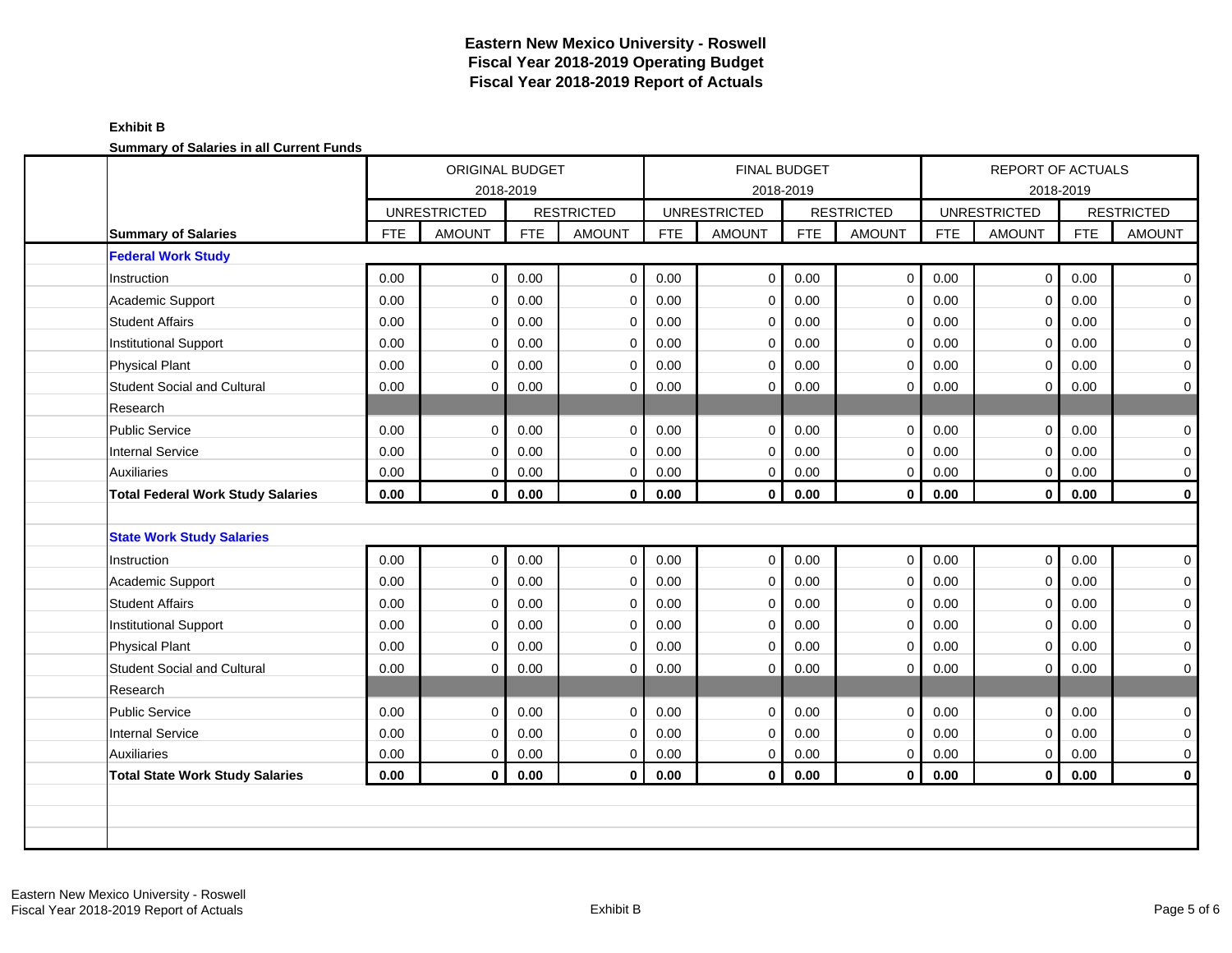| <u>cammary or calarics in all carrolly rands</u> | ORIGINAL BUDGET<br>2018-2019 |                     |            |                   |            |                     | FINAL BUDGET<br>2018-2019 |                   |            | <b>REPORT OF ACTUALS</b> | 2018-2019  |                   |
|--------------------------------------------------|------------------------------|---------------------|------------|-------------------|------------|---------------------|---------------------------|-------------------|------------|--------------------------|------------|-------------------|
|                                                  |                              | <b>UNRESTRICTED</b> |            | <b>RESTRICTED</b> |            | <b>UNRESTRICTED</b> |                           | <b>RESTRICTED</b> |            | <b>UNRESTRICTED</b>      |            | <b>RESTRICTED</b> |
| <b>Summary of Salaries</b>                       | <b>FTE</b>                   | <b>AMOUNT</b>       | <b>FTE</b> | <b>AMOUNT</b>     | <b>FTE</b> | <b>AMOUNT</b>       | <b>FTE</b>                | <b>AMOUNT</b>     | <b>FTE</b> | <b>AMOUNT</b>            | <b>FTE</b> | <b>AMOUNT</b>     |
| <b>Federal Work Study</b>                        |                              |                     |            |                   |            |                     |                           |                   |            |                          |            |                   |
| Instruction                                      | 0.00                         | $\mathbf 0$         | 0.00       | $\mathbf 0$       | 0.00       | $\mathbf 0$         | 0.00                      | $\mathbf 0$       | 0.00       | $\mathbf 0$              | 0.00       | $\mathbf 0$       |
| Academic Support                                 | 0.00                         | $\Omega$            | 0.00       | $\mathbf 0$       | 0.00       | $\mathbf 0$         | 0.00                      | 0                 | 0.00       | $\mathbf 0$              | 0.00       | $\mathbf 0$       |
| <b>Student Affairs</b>                           | 0.00                         | $\Omega$            | 0.00       | $\mathbf 0$       | 0.00       | $\mathbf 0$         | 0.00                      | 0                 | 0.00       | $\Omega$                 | 0.00       | $\mathbf 0$       |
| Institutional Support                            | 0.00                         | $\Omega$            | 0.00       | $\mathbf 0$       | 0.00       | 0                   | 0.00                      | 0                 | 0.00       | $\mathbf 0$              | 0.00       | $\mathbf 0$       |
| <b>Physical Plant</b>                            | 0.00                         | $\Omega$            | 0.00       | $\mathbf 0$       | 0.00       | 0                   | 0.00                      | 0                 | 0.00       | $\mathbf 0$              | 0.00       | $\mathbf 0$       |
| <b>Student Social and Cultural</b>               | 0.00                         | 0                   | 0.00       | $\mathbf 0$       | 0.00       | 0                   | 0.00                      | 0                 | 0.00       | 0                        | 0.00       | $\mathbf 0$       |
| Research                                         |                              |                     |            |                   |            |                     |                           |                   |            |                          |            |                   |
| <b>Public Service</b>                            | 0.00                         | $\Omega$            | 0.00       | $\mathbf 0$       | 0.00       | $\mathbf 0$         | 0.00                      | $\mathbf 0$       | 0.00       | $\mathbf 0$              | 0.00       | 0                 |
| <b>Internal Service</b>                          | 0.00                         | $\Omega$            | 0.00       | $\mathbf 0$       | 0.00       | $\mathbf 0$         | 0.00                      | 0                 | 0.00       | $\Omega$                 | 0.00       | 0                 |
| <b>Auxiliaries</b>                               | 0.00                         | $\mathbf 0$         | 0.00       | $\mathbf 0$       | 0.00       | $\mathbf 0$         | 0.00                      | 0                 | 0.00       | $\mathbf 0$              | 0.00       | 0                 |
| <b>Total Federal Work Study Salaries</b>         | 0.00                         | $\mathbf 0$         | 0.00       | $\mathbf 0$       | 0.00       | $\mathbf 0$         | 0.00                      | $\mathbf 0$       | 0.00       | $\mathbf{0}$             | 0.00       | $\pmb{0}$         |
|                                                  |                              |                     |            |                   |            |                     |                           |                   |            |                          |            |                   |
| <b>State Work Study Salaries</b>                 |                              |                     |            |                   |            |                     |                           |                   |            |                          |            |                   |
| Instruction                                      | 0.00                         | $\mathbf 0$         | 0.00       | $\mathbf 0$       | 0.00       | $\mathbf 0$         | 0.00                      | $\mathbf 0$       | 0.00       | $\mathbf 0$              | 0.00       | $\mathbf 0$       |
| Academic Support                                 | 0.00                         | $\Omega$            | 0.00       | $\mathbf 0$       | $0.00\,$   | 0                   | 0.00                      | 0                 | 0.00       | $\mathbf 0$              | 0.00       | $\mathbf 0$       |
| <b>Student Affairs</b>                           | 0.00                         | $\Omega$            | 0.00       | $\mathbf 0$       | 0.00       | $\mathbf 0$         | 0.00                      | $\mathbf 0$       | 0.00       | $\mathbf 0$              | 0.00       | 0                 |
| Institutional Support                            | 0.00                         | 0                   | 0.00       | $\mathbf 0$       | 0.00       | 0                   | 0.00                      | 0                 | 0.00       | 0                        | 0.00       | 0                 |
| <b>Physical Plant</b>                            | 0.00                         | $\Omega$            | 0.00       | $\mathbf 0$       | 0.00       | $\mathbf 0$         | 0.00                      | $\mathbf 0$       | 0.00       | $\Omega$                 | 0.00       | $\mathbf 0$       |
| <b>Student Social and Cultural</b>               | 0.00                         | $\Omega$            | 0.00       | $\mathbf 0$       | 0.00       | $\mathbf 0$         | 0.00                      | $\mathbf 0$       | 0.00       | $\mathbf 0$              | 0.00       | $\mathbf 0$       |
| Research                                         |                              |                     |            |                   |            |                     |                           |                   |            |                          |            |                   |
| <b>Public Service</b>                            | 0.00                         | $\Omega$            | 0.00       | $\mathbf 0$       | 0.00       | $\mathbf 0$         | 0.00                      | $\mathbf{0}$      | 0.00       | $\mathbf{0}$             | 0.00       | $\mathbf 0$       |
| <b>Internal Service</b>                          | 0.00                         | $\Omega$            | 0.00       | $\mathbf 0$       | 0.00       | $\mathbf 0$         | 0.00                      | $\mathbf 0$       | 0.00       | $\Omega$                 | 0.00       | 0                 |
| <b>Auxiliaries</b>                               | $0.00\,$                     | 0                   | 0.00       | $\mathbf 0$       | $0.00\,$   | 0                   | 0.00                      | 0                 | 0.00       | $\mathbf 0$              | 0.00       | 0                 |
| <b>Total State Work Study Salaries</b>           | 0.00                         | $\bf{0}$            | 0.00       | $\mathbf{0}$      | 0.00       | $\mathbf{0}$        | 0.00                      | $\mathbf{0}$      | 0.00       | $\mathbf 0$              | 0.00       | $\mathbf 0$       |
|                                                  |                              |                     |            |                   |            |                     |                           |                   |            |                          |            |                   |
|                                                  |                              |                     |            |                   |            |                     |                           |                   |            |                          |            |                   |
|                                                  |                              |                     |            |                   |            |                     |                           |                   |            |                          |            |                   |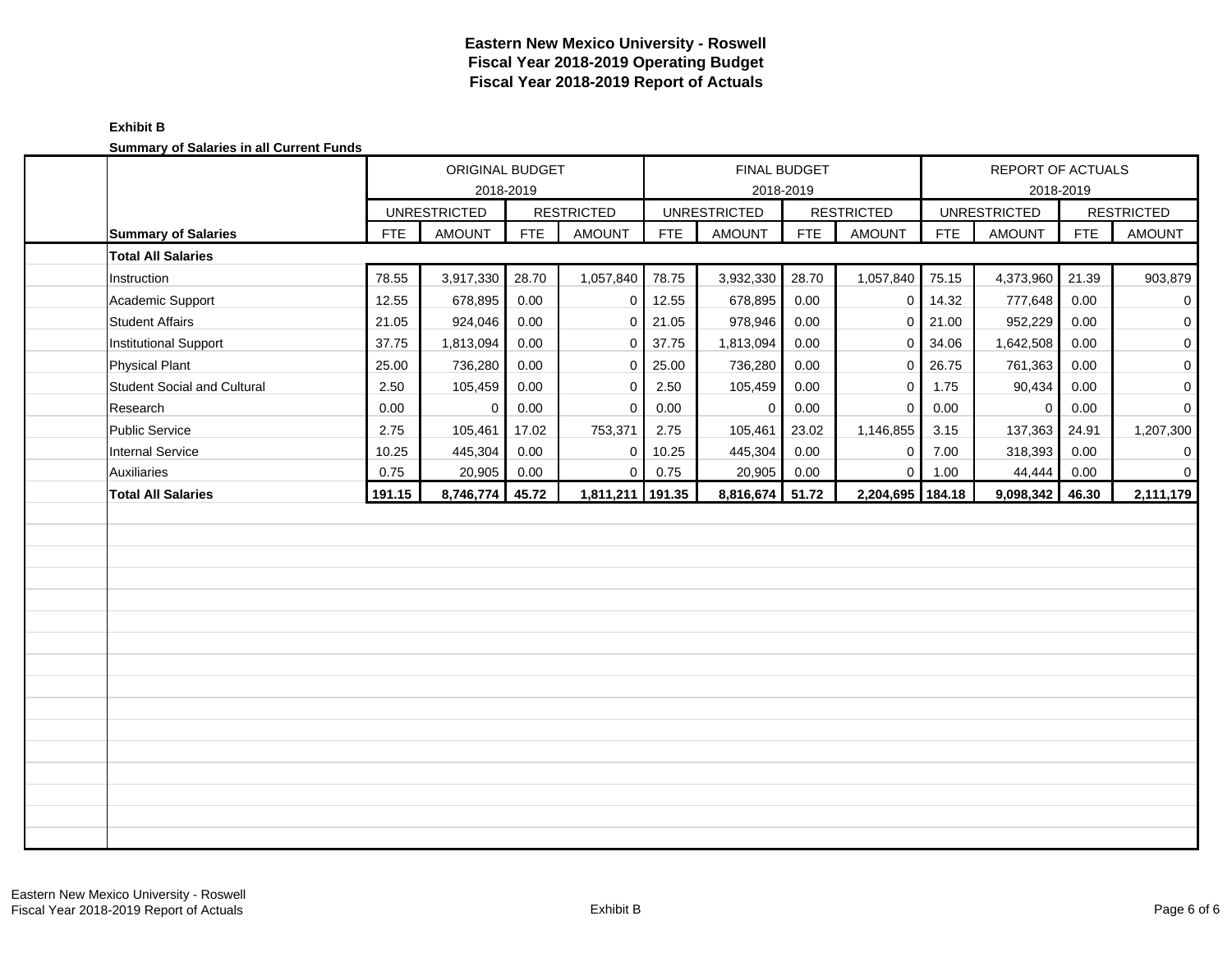| <b>Cammary or Calaries in all Carrent Fanas</b> | ORIGINAL BUDGET |                     |            |                   |            |                     | FINAL BUDGET |                   |            | REPORT OF ACTUALS   |            |                     |
|-------------------------------------------------|-----------------|---------------------|------------|-------------------|------------|---------------------|--------------|-------------------|------------|---------------------|------------|---------------------|
|                                                 |                 |                     | 2018-2019  |                   |            |                     | 2018-2019    |                   |            |                     | 2018-2019  |                     |
|                                                 |                 | <b>UNRESTRICTED</b> |            | <b>RESTRICTED</b> |            | <b>UNRESTRICTED</b> |              | <b>RESTRICTED</b> |            | <b>UNRESTRICTED</b> |            | <b>RESTRICTED</b>   |
| <b>Summary of Salaries</b>                      | FTE             | <b>AMOUNT</b>       | <b>FTE</b> | <b>AMOUNT</b>     | <b>FTE</b> | <b>AMOUNT</b>       | <b>FTE</b>   | <b>AMOUNT</b>     | <b>FTE</b> | <b>AMOUNT</b>       | <b>FTE</b> | <b>AMOUNT</b>       |
| <b>Total All Salaries</b>                       |                 |                     |            |                   |            |                     |              |                   |            |                     |            |                     |
| Instruction                                     | 78.55           | 3,917,330           | 28.70      | 1,057,840         | 78.75      | 3,932,330           | 28.70        | 1,057,840         | 75.15      | 4,373,960           | 21.39      | 903,879             |
| Academic Support                                | 12.55           | 678,895             | 0.00       | $\overline{0}$    | 12.55      | 678,895             | 0.00         | 0                 | 14.32      | 777,648             | 0.00       | $\overline{0}$      |
| <b>Student Affairs</b>                          | 21.05           | 924,046             | 0.00       | $\Omega$          | 21.05      | 978,946             | 0.00         | $\mathbf 0$       | 21.00      | 952,229             | 0.00       | $\mathsf{O}\xspace$ |
| <b>Institutional Support</b>                    | 37.75           | 1,813,094           | 0.00       | $\Omega$          | 37.75      | 1,813,094           | 0.00         | $\mathbf 0$       | 34.06      | 1,642,508           | 0.00       | $\mathsf{O}\,$      |
| <b>Physical Plant</b>                           | 25.00           | 736,280             | 0.00       | $\Omega$          | 25.00      | 736,280             | 0.00         | 0                 | 26.75      | 761,363             | 0.00       | $\overline{0}$      |
| <b>Student Social and Cultural</b>              | 2.50            | 105,459             | 0.00       | $\Omega$          | 2.50       | 105,459             | 0.00         | 0                 | 1.75       | 90,434              | 0.00       | $\mathsf{O}\xspace$ |
| Research                                        | 0.00            | $\mathbf 0$         | 0.00       | $\Omega$          | 0.00       | $\Omega$            | 0.00         | $\Omega$          | 0.00       | $\mathbf 0$         | 0.00       | $\mathsf{O}\xspace$ |
| <b>Public Service</b>                           | 2.75            | 105,461             | 17.02      | 753,371           | 2.75       | 105,461             | 23.02        | 1,146,855         | 3.15       | 137,363             | 24.91      | 1,207,300           |
| <b>Internal Service</b>                         | 10.25           | 445,304             | 0.00       | $\mathbf{0}$      | 10.25      | 445,304             | 0.00         | 0                 | 7.00       | 318,393             | 0.00       | $\overline{0}$      |
| Auxiliaries                                     | 0.75            | 20,905              | 0.00       | $\overline{0}$    | 0.75       | 20,905              | 0.00         | $\mathbf 0$       | 1.00       | 44,444              | 0.00       | $\overline{0}$      |
| <b>Total All Salaries</b>                       | 191.15          | 8,746,774           | 45.72      | 1,811,211 191.35  |            | 8,816,674           | 51.72        | 2,204,695 184.18  |            | 9,098,342           | 46.30      | 2,111,179           |
|                                                 |                 |                     |            |                   |            |                     |              |                   |            |                     |            |                     |
|                                                 |                 |                     |            |                   |            |                     |              |                   |            |                     |            |                     |
|                                                 |                 |                     |            |                   |            |                     |              |                   |            |                     |            |                     |
|                                                 |                 |                     |            |                   |            |                     |              |                   |            |                     |            |                     |
|                                                 |                 |                     |            |                   |            |                     |              |                   |            |                     |            |                     |
|                                                 |                 |                     |            |                   |            |                     |              |                   |            |                     |            |                     |
|                                                 |                 |                     |            |                   |            |                     |              |                   |            |                     |            |                     |
|                                                 |                 |                     |            |                   |            |                     |              |                   |            |                     |            |                     |
|                                                 |                 |                     |            |                   |            |                     |              |                   |            |                     |            |                     |
|                                                 |                 |                     |            |                   |            |                     |              |                   |            |                     |            |                     |
|                                                 |                 |                     |            |                   |            |                     |              |                   |            |                     |            |                     |
|                                                 |                 |                     |            |                   |            |                     |              |                   |            |                     |            |                     |
|                                                 |                 |                     |            |                   |            |                     |              |                   |            |                     |            |                     |
|                                                 |                 |                     |            |                   |            |                     |              |                   |            |                     |            |                     |
|                                                 |                 |                     |            |                   |            |                     |              |                   |            |                     |            |                     |
|                                                 |                 |                     |            |                   |            |                     |              |                   |            |                     |            |                     |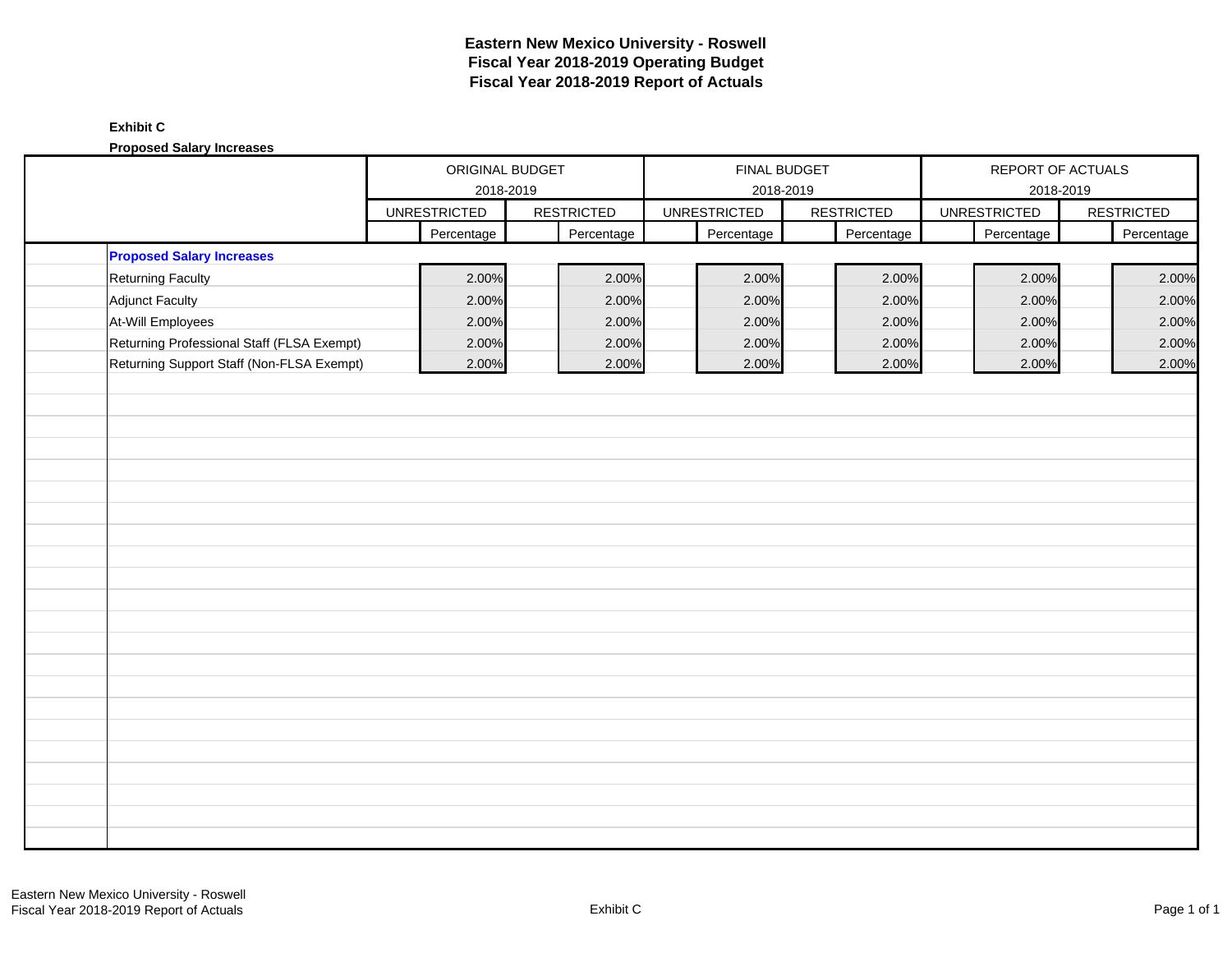# **Exhibit C**

**Proposed Salary Increases**

|                                            | ORIGINAL BUDGET<br>2018-2019 |  | FINAL BUDGET      |                     | REPORT OF ACTUALS |                     |                   |
|--------------------------------------------|------------------------------|--|-------------------|---------------------|-------------------|---------------------|-------------------|
|                                            |                              |  |                   | 2018-2019           |                   | 2018-2019           |                   |
|                                            | <b>UNRESTRICTED</b>          |  | <b>RESTRICTED</b> | <b>UNRESTRICTED</b> | <b>RESTRICTED</b> | <b>UNRESTRICTED</b> | <b>RESTRICTED</b> |
|                                            | Percentage                   |  | Percentage        | Percentage          | Percentage        | Percentage          | Percentage        |
| <b>Proposed Salary Increases</b>           |                              |  |                   |                     |                   |                     |                   |
| <b>Returning Faculty</b>                   | 2.00%                        |  | 2.00%             | 2.00%               | 2.00%             | 2.00%               | 2.00%             |
| <b>Adjunct Faculty</b>                     | 2.00%                        |  | 2.00%             | 2.00%               | 2.00%             | 2.00%               | 2.00%             |
| At-Will Employees                          | 2.00%                        |  | 2.00%             | 2.00%               | 2.00%             | 2.00%               | 2.00%             |
| Returning Professional Staff (FLSA Exempt) | 2.00%                        |  | 2.00%             | 2.00%               | 2.00%             | 2.00%               | 2.00%             |
| Returning Support Staff (Non-FLSA Exempt)  | 2.00%                        |  | 2.00%             | 2.00%               | 2.00%             | 2.00%               | 2.00%             |
|                                            |                              |  |                   |                     |                   |                     |                   |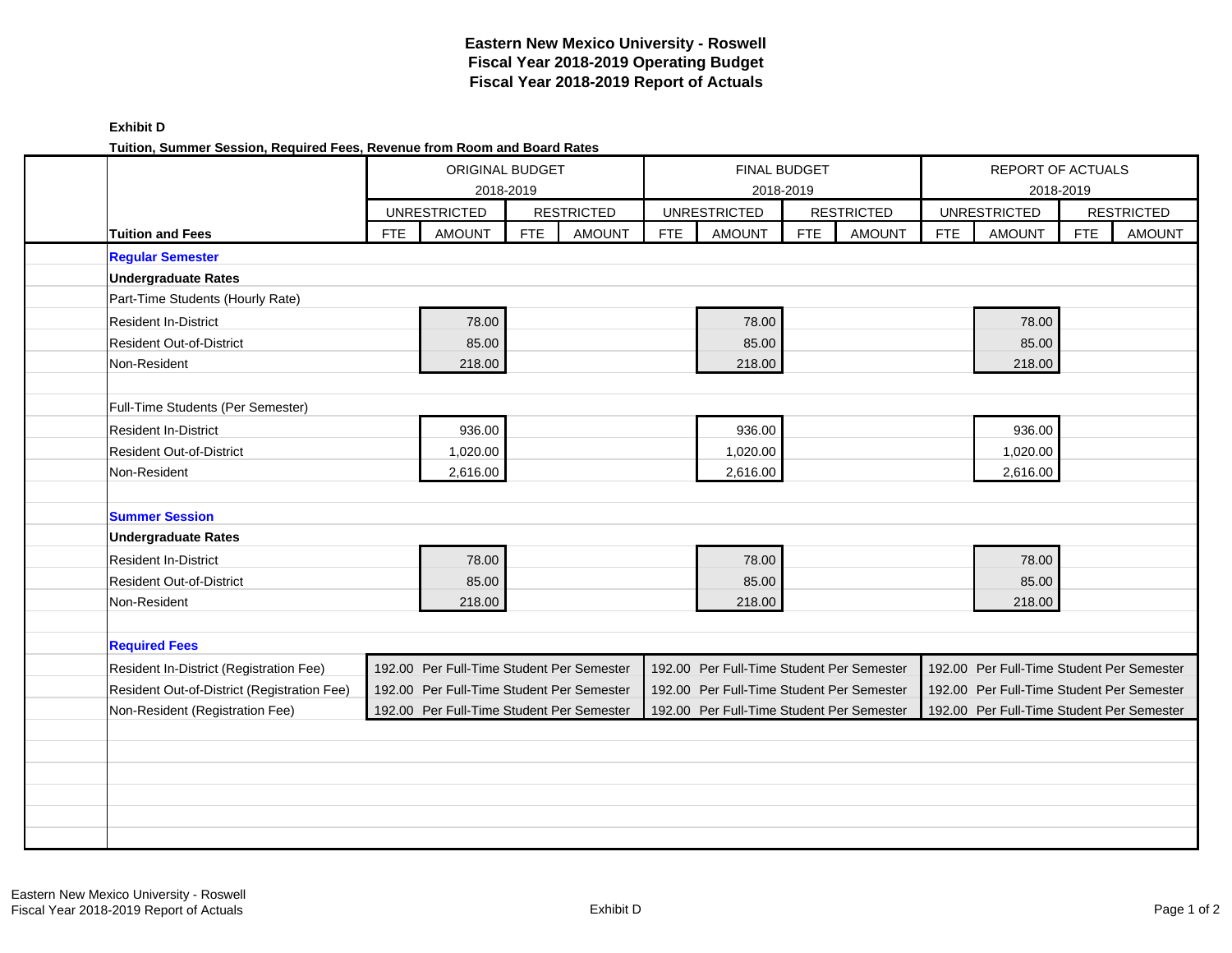|                                             | ORIGINAL BUDGET |                                           | <b>FINAL BUDGET</b> |                   |            |                                           | REPORT OF ACTUALS |                   |            |                                           |            |                   |
|---------------------------------------------|-----------------|-------------------------------------------|---------------------|-------------------|------------|-------------------------------------------|-------------------|-------------------|------------|-------------------------------------------|------------|-------------------|
|                                             |                 |                                           | 2018-2019           |                   |            |                                           | 2018-2019         |                   |            | 2018-2019                                 |            |                   |
|                                             |                 | <b>UNRESTRICTED</b>                       |                     | <b>RESTRICTED</b> |            | <b>UNRESTRICTED</b>                       |                   | <b>RESTRICTED</b> |            | <b>UNRESTRICTED</b>                       |            | <b>RESTRICTED</b> |
| <b>Tuition and Fees</b>                     | <b>FTE</b>      | <b>AMOUNT</b>                             | <b>FTE</b>          | <b>AMOUNT</b>     | <b>FTE</b> | <b>AMOUNT</b>                             | <b>FTE</b>        | <b>AMOUNT</b>     | <b>FTE</b> | <b>AMOUNT</b>                             | <b>FTE</b> | <b>AMOUNT</b>     |
| <b>Regular Semester</b>                     |                 |                                           |                     |                   |            |                                           |                   |                   |            |                                           |            |                   |
| <b>Undergraduate Rates</b>                  |                 |                                           |                     |                   |            |                                           |                   |                   |            |                                           |            |                   |
| Part-Time Students (Hourly Rate)            |                 |                                           |                     |                   |            |                                           |                   |                   |            |                                           |            |                   |
| <b>Resident In-District</b>                 |                 | 78.00                                     |                     |                   |            | 78.00                                     |                   |                   |            | 78.00                                     |            |                   |
| <b>Resident Out-of-District</b>             |                 | 85.00                                     |                     |                   |            | 85.00                                     |                   |                   |            | 85.00                                     |            |                   |
| Non-Resident                                |                 | 218.00                                    |                     |                   |            | 218.00                                    |                   |                   |            | 218.00                                    |            |                   |
|                                             |                 |                                           |                     |                   |            |                                           |                   |                   |            |                                           |            |                   |
| Full-Time Students (Per Semester)           |                 |                                           |                     |                   |            |                                           |                   |                   |            |                                           |            |                   |
| <b>Resident In-District</b>                 |                 | 936.00                                    |                     |                   |            | 936.00                                    |                   |                   |            | 936.00                                    |            |                   |
| <b>Resident Out-of-District</b>             |                 | 1,020.00                                  |                     |                   |            | 1,020.00                                  |                   |                   |            | 1,020.00                                  |            |                   |
| Non-Resident                                |                 | 2,616.00                                  |                     |                   |            | 2,616.00                                  |                   |                   |            | 2,616.00                                  |            |                   |
|                                             |                 |                                           |                     |                   |            |                                           |                   |                   |            |                                           |            |                   |
| <b>Summer Session</b>                       |                 |                                           |                     |                   |            |                                           |                   |                   |            |                                           |            |                   |
| <b>Undergraduate Rates</b>                  |                 |                                           |                     |                   |            |                                           |                   |                   |            |                                           |            |                   |
| <b>Resident In-District</b>                 |                 | 78.00                                     |                     |                   |            | 78.00                                     |                   |                   |            | 78.00                                     |            |                   |
| <b>Resident Out-of-District</b>             |                 | 85.00                                     |                     |                   |            | 85.00                                     |                   |                   |            | 85.00                                     |            |                   |
| Non-Resident                                |                 | 218.00                                    |                     |                   |            | 218.00                                    |                   |                   |            | 218.00                                    |            |                   |
|                                             |                 |                                           |                     |                   |            |                                           |                   |                   |            |                                           |            |                   |
| <b>Required Fees</b>                        |                 |                                           |                     |                   |            |                                           |                   |                   |            |                                           |            |                   |
| Resident In-District (Registration Fee)     |                 | 192.00 Per Full-Time Student Per Semester |                     |                   |            | 192.00 Per Full-Time Student Per Semester |                   |                   |            | 192.00 Per Full-Time Student Per Semester |            |                   |
| Resident Out-of-District (Registration Fee) |                 | 192.00 Per Full-Time Student Per Semester |                     |                   |            | 192.00 Per Full-Time Student Per Semester |                   |                   |            | 192.00 Per Full-Time Student Per Semester |            |                   |
| Non-Resident (Registration Fee)             |                 | 192.00 Per Full-Time Student Per Semester |                     |                   |            | 192.00 Per Full-Time Student Per Semester |                   |                   |            | 192.00 Per Full-Time Student Per Semester |            |                   |
|                                             |                 |                                           |                     |                   |            |                                           |                   |                   |            |                                           |            |                   |
|                                             |                 |                                           |                     |                   |            |                                           |                   |                   |            |                                           |            |                   |
|                                             |                 |                                           |                     |                   |            |                                           |                   |                   |            |                                           |            |                   |
|                                             |                 |                                           |                     |                   |            |                                           |                   |                   |            |                                           |            |                   |
|                                             |                 |                                           |                     |                   |            |                                           |                   |                   |            |                                           |            |                   |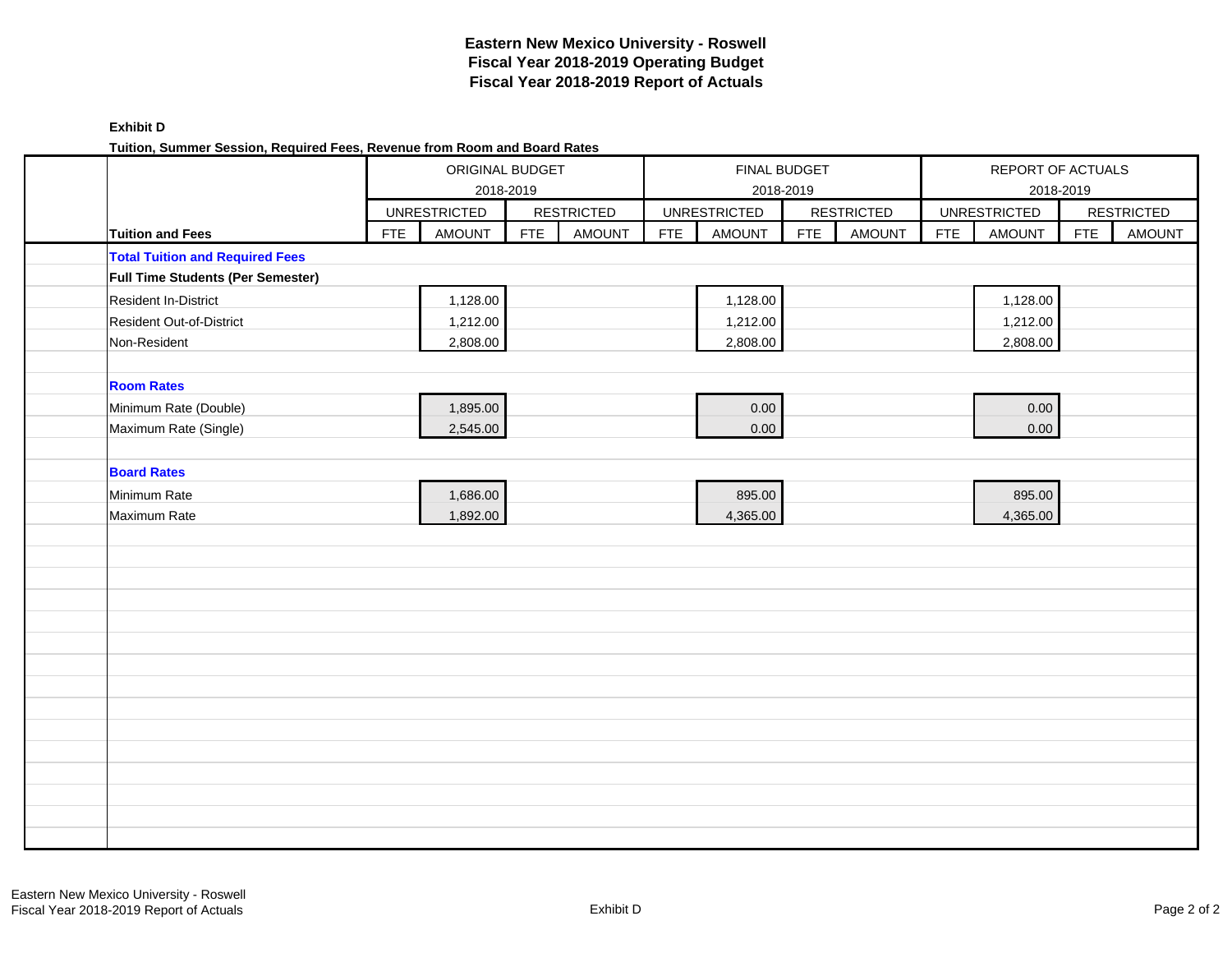| <b>Exhibit D</b>                                                          |
|---------------------------------------------------------------------------|
| Tuition, Summer Session, Required Fees, Revenue from Room and Board Rates |

| runun, Jummer Jession, Reyuneu i ees, Revenue hom Room and Doard Rates |            | ORIGINAL BUDGET     | 2018-2019  |                   |            | FINAL BUDGET<br>2018-2019 |            |                   |            |                     | REPORT OF ACTUALS<br>2018-2019 |                   |
|------------------------------------------------------------------------|------------|---------------------|------------|-------------------|------------|---------------------------|------------|-------------------|------------|---------------------|--------------------------------|-------------------|
|                                                                        |            | <b>UNRESTRICTED</b> |            | <b>RESTRICTED</b> |            | <b>UNRESTRICTED</b>       |            | <b>RESTRICTED</b> |            | <b>UNRESTRICTED</b> |                                | <b>RESTRICTED</b> |
| <b>Tuition and Fees</b>                                                | <b>FTE</b> | <b>AMOUNT</b>       | <b>FTE</b> | <b>AMOUNT</b>     | <b>FTE</b> | <b>AMOUNT</b>             | <b>FTE</b> | <b>AMOUNT</b>     | <b>FTE</b> | <b>AMOUNT</b>       | <b>FTE</b>                     | <b>AMOUNT</b>     |
| <b>Total Tuition and Required Fees</b>                                 |            |                     |            |                   |            |                           |            |                   |            |                     |                                |                   |
| <b>Full Time Students (Per Semester)</b>                               |            |                     |            |                   |            |                           |            |                   |            |                     |                                |                   |
| Resident In-District                                                   |            | 1,128.00            |            |                   |            | 1,128.00                  |            |                   |            | 1,128.00            |                                |                   |
| <b>Resident Out-of-District</b>                                        |            | 1,212.00            |            |                   |            | 1,212.00                  |            |                   |            | 1,212.00            |                                |                   |
| Non-Resident                                                           |            | 2,808.00            |            |                   |            | 2,808.00                  |            |                   |            | 2,808.00            |                                |                   |
|                                                                        |            |                     |            |                   |            |                           |            |                   |            |                     |                                |                   |
| <b>Room Rates</b>                                                      |            |                     |            |                   |            |                           |            |                   |            |                     |                                |                   |
| Minimum Rate (Double)                                                  |            | 1,895.00            |            |                   |            | 0.00                      |            |                   |            | 0.00                |                                |                   |
| Maximum Rate (Single)                                                  |            | 2,545.00            |            |                   |            | 0.00                      |            |                   |            | 0.00                |                                |                   |
|                                                                        |            |                     |            |                   |            |                           |            |                   |            |                     |                                |                   |
| <b>Board Rates</b>                                                     |            |                     |            |                   |            |                           |            |                   |            |                     |                                |                   |
| Minimum Rate                                                           |            | 1,686.00            |            |                   |            | 895.00                    |            |                   |            | 895.00              |                                |                   |
| Maximum Rate                                                           |            | 1,892.00            |            |                   |            | 4,365.00                  |            |                   |            | 4,365.00            |                                |                   |
|                                                                        |            |                     |            |                   |            |                           |            |                   |            |                     |                                |                   |
|                                                                        |            |                     |            |                   |            |                           |            |                   |            |                     |                                |                   |
|                                                                        |            |                     |            |                   |            |                           |            |                   |            |                     |                                |                   |
|                                                                        |            |                     |            |                   |            |                           |            |                   |            |                     |                                |                   |
|                                                                        |            |                     |            |                   |            |                           |            |                   |            |                     |                                |                   |
|                                                                        |            |                     |            |                   |            |                           |            |                   |            |                     |                                |                   |
|                                                                        |            |                     |            |                   |            |                           |            |                   |            |                     |                                |                   |
|                                                                        |            |                     |            |                   |            |                           |            |                   |            |                     |                                |                   |
|                                                                        |            |                     |            |                   |            |                           |            |                   |            |                     |                                |                   |
|                                                                        |            |                     |            |                   |            |                           |            |                   |            |                     |                                |                   |
|                                                                        |            |                     |            |                   |            |                           |            |                   |            |                     |                                |                   |
|                                                                        |            |                     |            |                   |            |                           |            |                   |            |                     |                                |                   |
|                                                                        |            |                     |            |                   |            |                           |            |                   |            |                     |                                |                   |
|                                                                        |            |                     |            |                   |            |                           |            |                   |            |                     |                                |                   |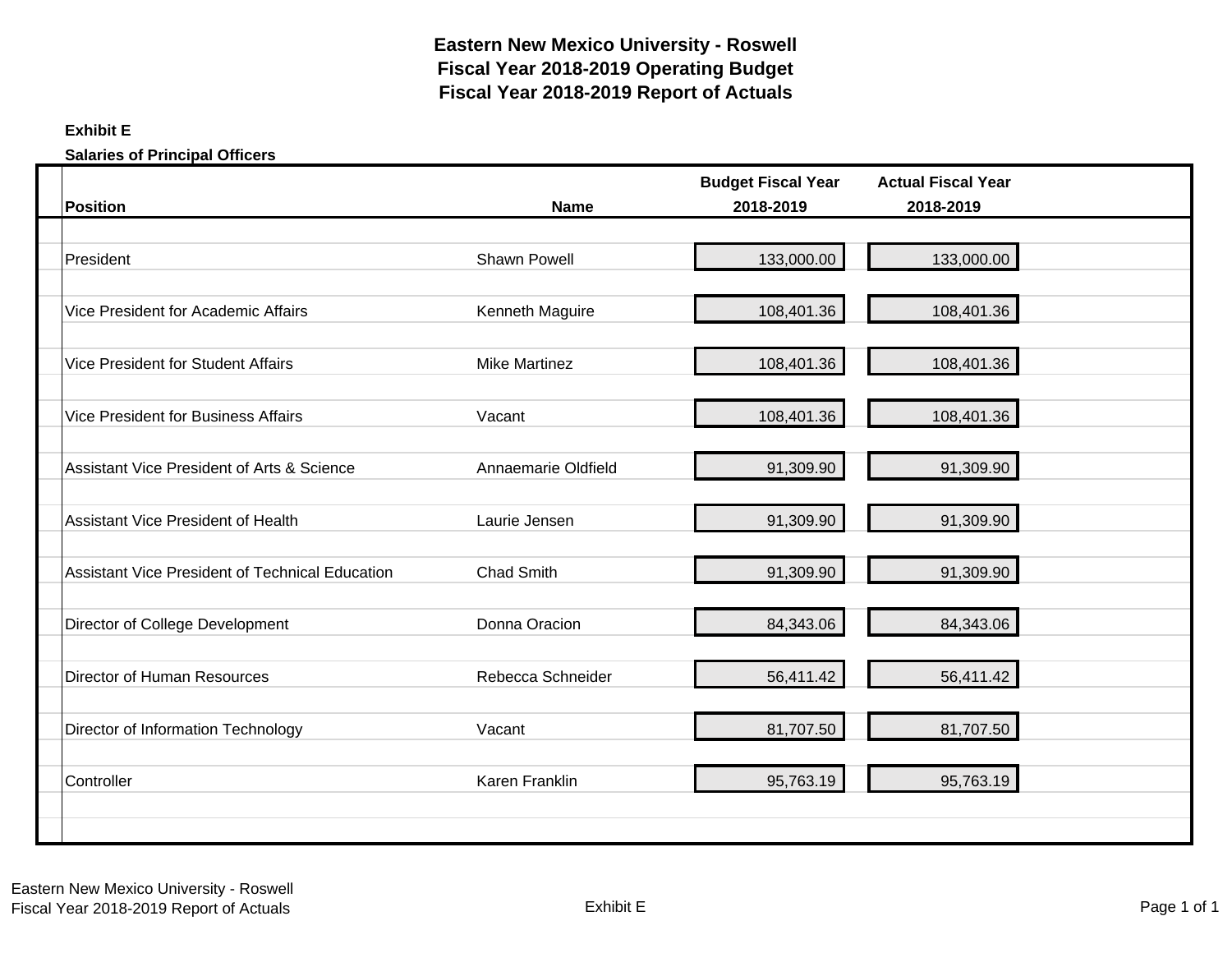# **Exhibit E**

**Salaries of Principal Officers**

| <b>Position</b>                                 | <b>Name</b>          | <b>Budget Fiscal Year</b><br>2018-2019 | <b>Actual Fiscal Year</b><br>2018-2019 |
|-------------------------------------------------|----------------------|----------------------------------------|----------------------------------------|
|                                                 |                      |                                        |                                        |
| President                                       | Shawn Powell         | 133,000.00                             | 133,000.00                             |
| Vice President for Academic Affairs             | Kenneth Maguire      | 108,401.36                             | 108,401.36                             |
| Vice President for Student Affairs              | <b>Mike Martinez</b> | 108,401.36                             | 108,401.36                             |
| <b>Vice President for Business Affairs</b>      | Vacant               | 108,401.36                             | 108,401.36                             |
| Assistant Vice President of Arts & Science      | Annaemarie Oldfield  | 91,309.90                              | 91,309.90                              |
| Assistant Vice President of Health              | Laurie Jensen        | 91,309.90                              | 91,309.90                              |
| Assistant Vice President of Technical Education | <b>Chad Smith</b>    | 91,309.90                              | 91,309.90                              |
| Director of College Development                 | Donna Oracion        | 84,343.06                              | 84,343.06                              |
| Director of Human Resources                     | Rebecca Schneider    | 56,411.42                              | 56,411.42                              |
| Director of Information Technology              | Vacant               | 81,707.50                              | 81,707.50                              |
| Controller                                      | Karen Franklin       | 95,763.19                              | 95,763.19                              |
|                                                 |                      |                                        |                                        |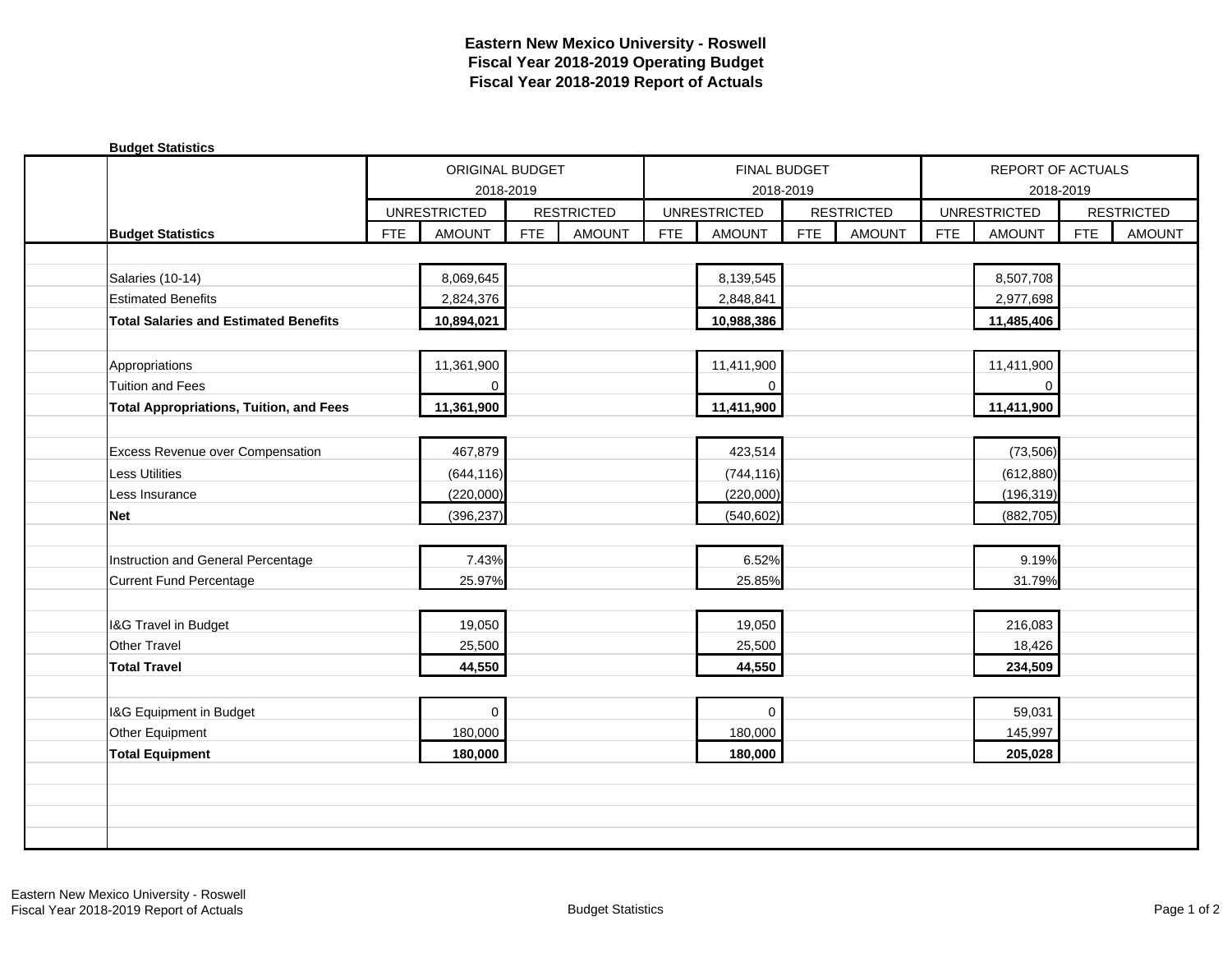| <b>Budget Statistics</b>                       |            |                     |            |                   |            |                     |            |                   |            |                     |            |                   |
|------------------------------------------------|------------|---------------------|------------|-------------------|------------|---------------------|------------|-------------------|------------|---------------------|------------|-------------------|
|                                                |            | ORIGINAL BUDGET     |            |                   |            | FINAL BUDGET        |            |                   |            | REPORT OF ACTUALS   |            |                   |
|                                                |            | 2018-2019           |            |                   |            | 2018-2019           |            |                   |            | 2018-2019           |            |                   |
|                                                |            | <b>UNRESTRICTED</b> |            | <b>RESTRICTED</b> |            | <b>UNRESTRICTED</b> |            | <b>RESTRICTED</b> |            | <b>UNRESTRICTED</b> |            | <b>RESTRICTED</b> |
| <b>Budget Statistics</b>                       | <b>FTE</b> | <b>AMOUNT</b>       | <b>FTE</b> | <b>AMOUNT</b>     | <b>FTE</b> | <b>AMOUNT</b>       | <b>FTE</b> | <b>AMOUNT</b>     | <b>FTE</b> | <b>AMOUNT</b>       | <b>FTE</b> | <b>AMOUNT</b>     |
|                                                |            |                     |            |                   |            |                     |            |                   |            |                     |            |                   |
| Salaries (10-14)                               |            | 8,069,645           |            |                   |            | 8,139,545           |            |                   |            | 8,507,708           |            |                   |
| <b>Estimated Benefits</b>                      |            | 2,824,376           |            |                   |            | 2,848,841           |            |                   |            | 2,977,698           |            |                   |
| <b>Total Salaries and Estimated Benefits</b>   |            | 10,894,021          |            |                   |            | 10,988,386          |            |                   |            | 11,485,406          |            |                   |
|                                                |            |                     |            |                   |            |                     |            |                   |            |                     |            |                   |
| Appropriations                                 |            | 11,361,900          |            |                   |            | 11,411,900          |            |                   |            | 11,411,900          |            |                   |
| <b>Tuition and Fees</b>                        |            | 0                   |            |                   |            | 0                   |            |                   |            | $\mathbf 0$         |            |                   |
| <b>Total Appropriations, Tuition, and Fees</b> |            | 11,361,900          |            |                   |            | 11,411,900          |            |                   |            | 11,411,900          |            |                   |
|                                                |            |                     |            |                   |            |                     |            |                   |            |                     |            |                   |
| <b>Excess Revenue over Compensation</b>        |            | 467,879             |            |                   |            | 423,514             |            |                   |            | (73, 506)           |            |                   |
| <b>Less Utilities</b>                          |            | (644, 116)          |            |                   |            | (744, 116)          |            |                   |            | (612, 880)          |            |                   |
| Less Insurance                                 |            | (220,000)           |            |                   |            | (220,000)           |            |                   |            | (196, 319)          |            |                   |
| <b>Net</b>                                     |            | (396, 237)          |            |                   |            | (540, 602)          |            |                   |            | (882, 705)          |            |                   |
|                                                |            |                     |            |                   |            |                     |            |                   |            |                     |            |                   |
| Instruction and General Percentage             |            | 7.43%               |            |                   |            | 6.52%               |            |                   |            | 9.19%               |            |                   |
| Current Fund Percentage                        |            | 25.97%              |            |                   |            | 25.85%              |            |                   |            | 31.79%              |            |                   |
|                                                |            |                     |            |                   |            |                     |            |                   |            |                     |            |                   |
| I&G Travel in Budget                           |            | 19,050              |            |                   |            | 19,050              |            |                   |            | 216,083             |            |                   |
| <b>Other Travel</b>                            |            | 25,500              |            |                   |            | 25,500              |            |                   |            | 18,426              |            |                   |
| <b>Total Travel</b>                            |            | 44,550              |            |                   |            | 44,550              |            |                   |            | 234,509             |            |                   |
|                                                |            |                     |            |                   |            |                     |            |                   |            |                     |            |                   |
| I&G Equipment in Budget                        |            | $\mathbf 0$         |            |                   |            | $\Omega$            |            |                   |            | 59,031              |            |                   |
| Other Equipment                                |            | 180,000             |            |                   |            | 180,000             |            |                   |            | 145,997             |            |                   |
| <b>Total Equipment</b>                         |            | 180,000             |            |                   |            | 180,000             |            |                   |            | 205,028             |            |                   |
|                                                |            |                     |            |                   |            |                     |            |                   |            |                     |            |                   |
|                                                |            |                     |            |                   |            |                     |            |                   |            |                     |            |                   |
|                                                |            |                     |            |                   |            |                     |            |                   |            |                     |            |                   |
|                                                |            |                     |            |                   |            |                     |            |                   |            |                     |            |                   |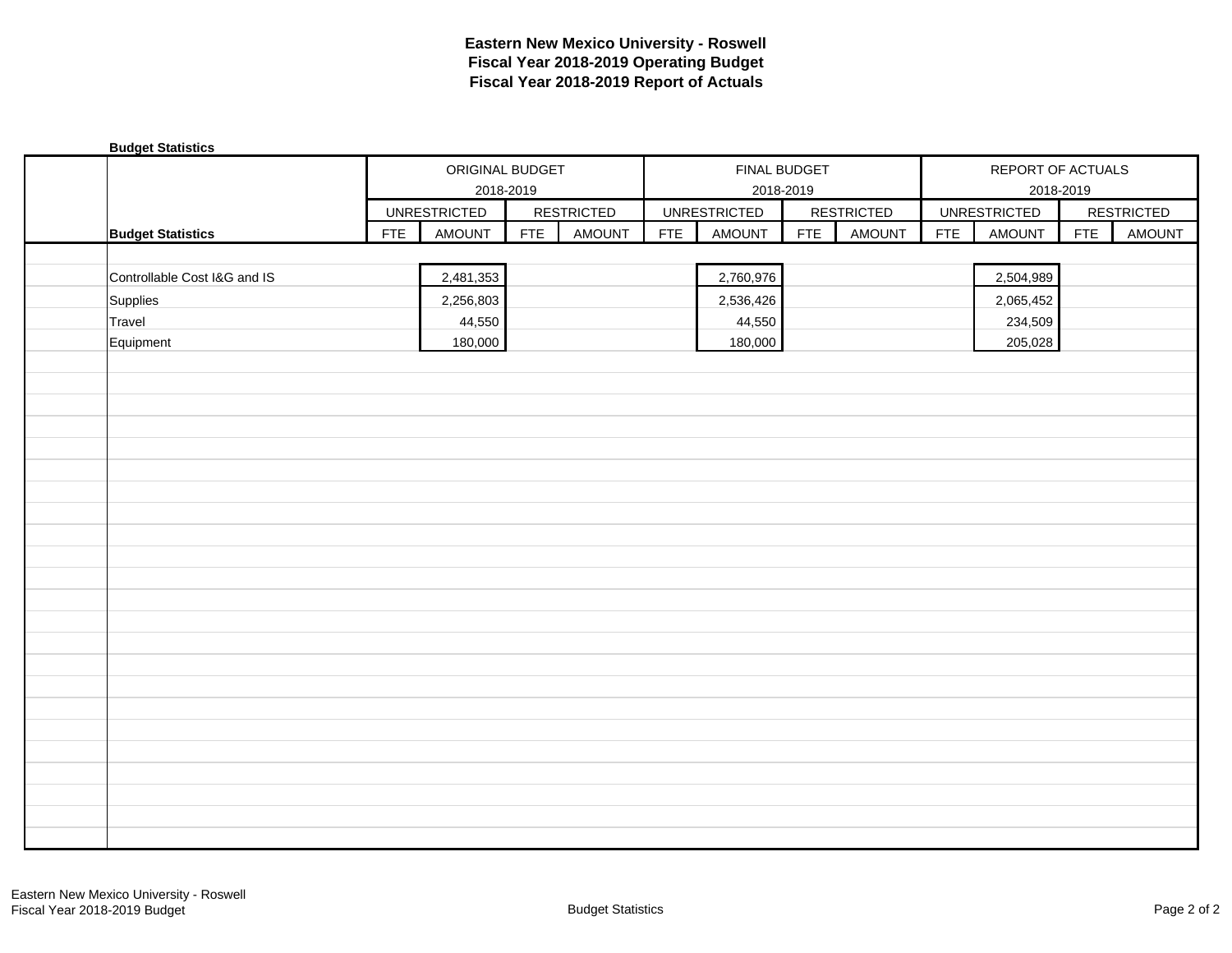| <b>Budget Statistics</b>     |            |                     |            |                   |            |                           |            |                   |            |                                |            |                   |
|------------------------------|------------|---------------------|------------|-------------------|------------|---------------------------|------------|-------------------|------------|--------------------------------|------------|-------------------|
|                              |            | ORIGINAL BUDGET     | 2018-2019  |                   |            | FINAL BUDGET<br>2018-2019 |            |                   |            | REPORT OF ACTUALS<br>2018-2019 |            |                   |
|                              |            | <b>UNRESTRICTED</b> |            | <b>RESTRICTED</b> |            | <b>UNRESTRICTED</b>       |            | <b>RESTRICTED</b> |            | <b>UNRESTRICTED</b>            |            | <b>RESTRICTED</b> |
| <b>Budget Statistics</b>     | <b>FTE</b> | <b>AMOUNT</b>       | <b>FTE</b> | <b>AMOUNT</b>     | <b>FTE</b> | AMOUNT                    | <b>FTE</b> | <b>AMOUNT</b>     | <b>FTE</b> | <b>AMOUNT</b>                  | <b>FTE</b> | <b>AMOUNT</b>     |
|                              |            |                     |            |                   |            |                           |            |                   |            |                                |            |                   |
| Controllable Cost I&G and IS |            | 2,481,353           |            |                   |            | 2,760,976                 |            |                   |            | 2,504,989                      |            |                   |
| Supplies                     |            | 2,256,803           |            |                   |            | 2,536,426                 |            |                   |            | 2,065,452                      |            |                   |
| Travel                       |            | 44,550              |            |                   |            | 44,550                    |            |                   |            | 234,509                        |            |                   |
| Equipment                    |            | 180,000             |            |                   |            | 180,000                   |            |                   |            | 205,028                        |            |                   |
|                              |            |                     |            |                   |            |                           |            |                   |            |                                |            |                   |
|                              |            |                     |            |                   |            |                           |            |                   |            |                                |            |                   |
|                              |            |                     |            |                   |            |                           |            |                   |            |                                |            |                   |
|                              |            |                     |            |                   |            |                           |            |                   |            |                                |            |                   |
|                              |            |                     |            |                   |            |                           |            |                   |            |                                |            |                   |
|                              |            |                     |            |                   |            |                           |            |                   |            |                                |            |                   |
|                              |            |                     |            |                   |            |                           |            |                   |            |                                |            |                   |
|                              |            |                     |            |                   |            |                           |            |                   |            |                                |            |                   |
|                              |            |                     |            |                   |            |                           |            |                   |            |                                |            |                   |
|                              |            |                     |            |                   |            |                           |            |                   |            |                                |            |                   |
|                              |            |                     |            |                   |            |                           |            |                   |            |                                |            |                   |
|                              |            |                     |            |                   |            |                           |            |                   |            |                                |            |                   |
|                              |            |                     |            |                   |            |                           |            |                   |            |                                |            |                   |
|                              |            |                     |            |                   |            |                           |            |                   |            |                                |            |                   |
|                              |            |                     |            |                   |            |                           |            |                   |            |                                |            |                   |
|                              |            |                     |            |                   |            |                           |            |                   |            |                                |            |                   |
|                              |            |                     |            |                   |            |                           |            |                   |            |                                |            |                   |
|                              |            |                     |            |                   |            |                           |            |                   |            |                                |            |                   |
|                              |            |                     |            |                   |            |                           |            |                   |            |                                |            |                   |
|                              |            |                     |            |                   |            |                           |            |                   |            |                                |            |                   |
|                              |            |                     |            |                   |            |                           |            |                   |            |                                |            |                   |
|                              |            |                     |            |                   |            |                           |            |                   |            |                                |            |                   |
|                              |            |                     |            |                   |            |                           |            |                   |            |                                |            |                   |
|                              |            |                     |            |                   |            |                           |            |                   |            |                                |            |                   |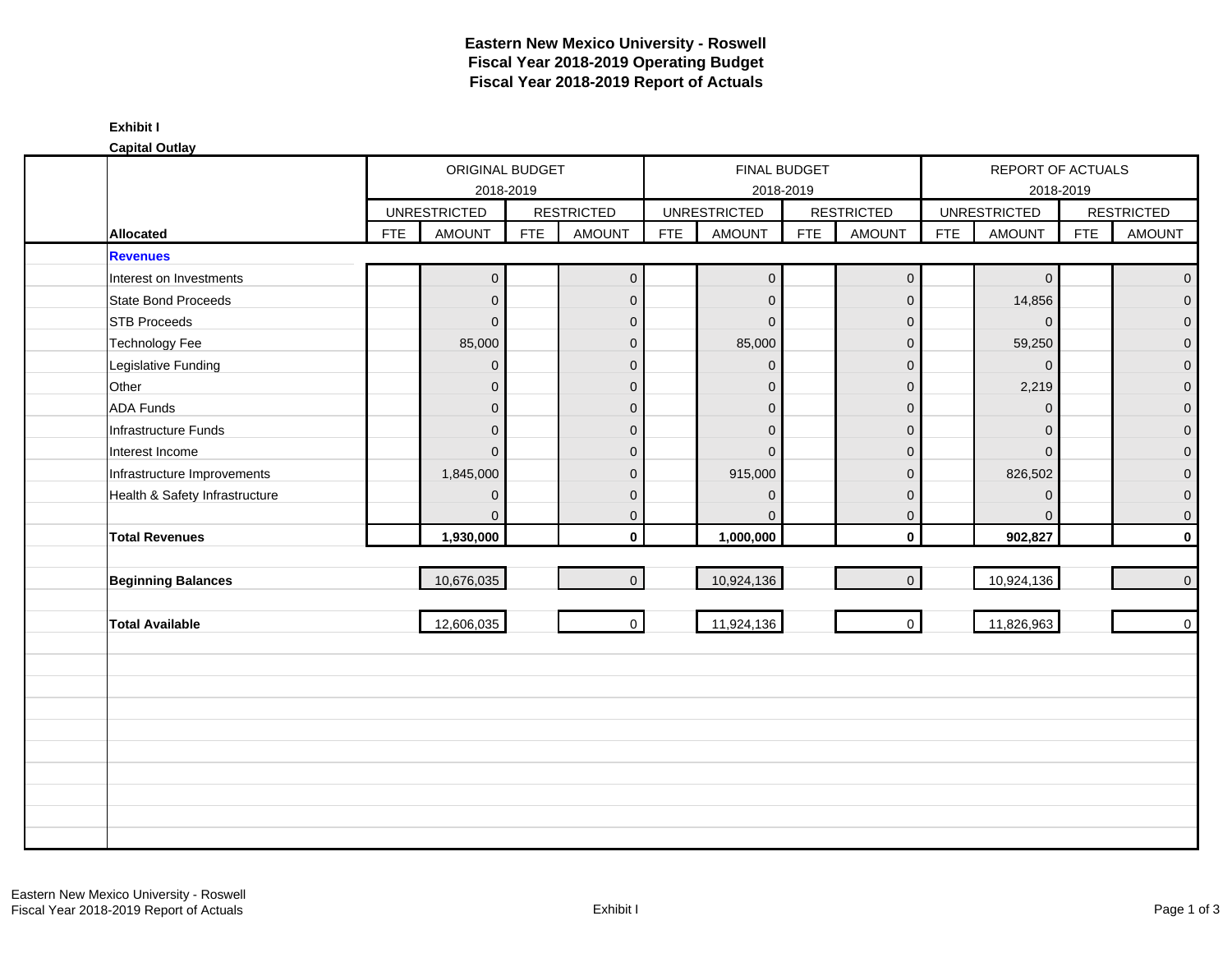|                                |            | ORIGINAL BUDGET     |            |                     |            | FINAL BUDGET        |            |                   |            | REPORT OF ACTUALS   |            |                     |
|--------------------------------|------------|---------------------|------------|---------------------|------------|---------------------|------------|-------------------|------------|---------------------|------------|---------------------|
|                                |            | 2018-2019           |            |                     |            | 2018-2019           |            |                   |            | 2018-2019           |            |                     |
|                                |            | <b>UNRESTRICTED</b> |            | <b>RESTRICTED</b>   |            | <b>UNRESTRICTED</b> |            | <b>RESTRICTED</b> |            | <b>UNRESTRICTED</b> |            | <b>RESTRICTED</b>   |
| <b>Allocated</b>               | <b>FTE</b> | <b>AMOUNT</b>       | <b>FTE</b> | <b>AMOUNT</b>       | <b>FTE</b> | <b>AMOUNT</b>       | <b>FTE</b> | <b>AMOUNT</b>     | <b>FTE</b> | <b>AMOUNT</b>       | <b>FTE</b> | <b>AMOUNT</b>       |
| <b>Revenues</b>                |            |                     |            |                     |            |                     |            |                   |            |                     |            |                     |
| Interest on Investments        |            | $\mathbf 0$         |            | $\mathsf{O}\xspace$ |            | $\mathbf 0$         |            | $\mathbf 0$       |            | $\mathsf{O}\xspace$ |            | $\mathbf 0$         |
| State Bond Proceeds            |            | $\pmb{0}$           |            | $\pmb{0}$           |            | $\mathbf 0$         |            | $\mathbf 0$       |            | 14,856              |            | $\mathsf{O}\xspace$ |
| <b>STB Proceeds</b>            |            | $\boldsymbol{0}$    |            | $\pmb{0}$           |            | $\mathbf{0}$        |            | $\mathbf 0$       |            | $\overline{0}$      |            | $\mathbf 0$         |
| <b>Technology Fee</b>          |            | 85,000              |            | $\pmb{0}$           |            | 85,000              |            | $\pmb{0}$         |            | 59,250              |            | $\mathbf{0}$        |
| Legislative Funding            |            | $\mathbf 0$         |            | $\pmb{0}$           |            | $\Omega$            |            | $\mathbf 0$       |            | $\mathbf{0}$        |            | $\mathbf 0$         |
| Other                          |            | $\mathbf 0$         |            | $\pmb{0}$           |            | $\Omega$            |            | $\pmb{0}$         |            | 2,219               |            | $\mathbf 0$         |
| <b>ADA Funds</b>               |            | $\mathbf{0}$        |            | $\pmb{0}$           |            | $\mathbf{0}$        |            | $\mathbf{0}$      |            | $\mathbf{0}$        |            | $\overline{0}$      |
| Infrastructure Funds           |            | $\overline{0}$      |            | $\mathbf{0}$        |            | $\mathbf{0}$        |            | $\mathbf 0$       |            | $\Omega$            |            | $\mathbf{0}$        |
| Interest Income                |            | $\Omega$            |            | $\mathbf{0}$        |            | $\Omega$            |            | $\mathbf{0}$      |            | $\mathbf{0}$        |            | $\mathbf{0}$        |
| Infrastructure Improvements    |            | 1,845,000           |            | $\overline{0}$      |            | 915,000             |            | $\mathbf 0$       |            | 826,502             |            | $\mathbf{0}$        |
| Health & Safety Infrastructure |            | $\mathbf{0}$        |            | $\mathbf 0$         |            | $\Omega$            |            | $\mathbf 0$       |            | $\overline{0}$      |            | $\mathbf 0$         |
|                                |            | $\overline{0}$      |            | $\mathbf 0$         |            | $\Omega$            |            | $\mathbf 0$       |            | $\Omega$            |            | $\mathbf 0$         |
| <b>Total Revenues</b>          |            | 1,930,000           |            | $\mathbf 0$         |            | 1,000,000           |            | $\mathbf 0$       |            | 902,827             |            | $\mathbf 0$         |
|                                |            |                     |            |                     |            |                     |            |                   |            |                     |            |                     |
| <b>Beginning Balances</b>      |            | 10,676,035          |            | $\mathbf{0}$        |            | 10,924,136          |            | $\mathbf{0}$      |            | 10,924,136          |            | $\mathbf 0$         |
| <b>Total Available</b>         |            | 12,606,035          |            | $\overline{0}$      |            | 11,924,136          |            | $\mathbf 0$       |            | 11,826,963          |            | $\mathbf 0$         |
|                                |            |                     |            |                     |            |                     |            |                   |            |                     |            |                     |
|                                |            |                     |            |                     |            |                     |            |                   |            |                     |            |                     |
|                                |            |                     |            |                     |            |                     |            |                   |            |                     |            |                     |
|                                |            |                     |            |                     |            |                     |            |                   |            |                     |            |                     |
|                                |            |                     |            |                     |            |                     |            |                   |            |                     |            |                     |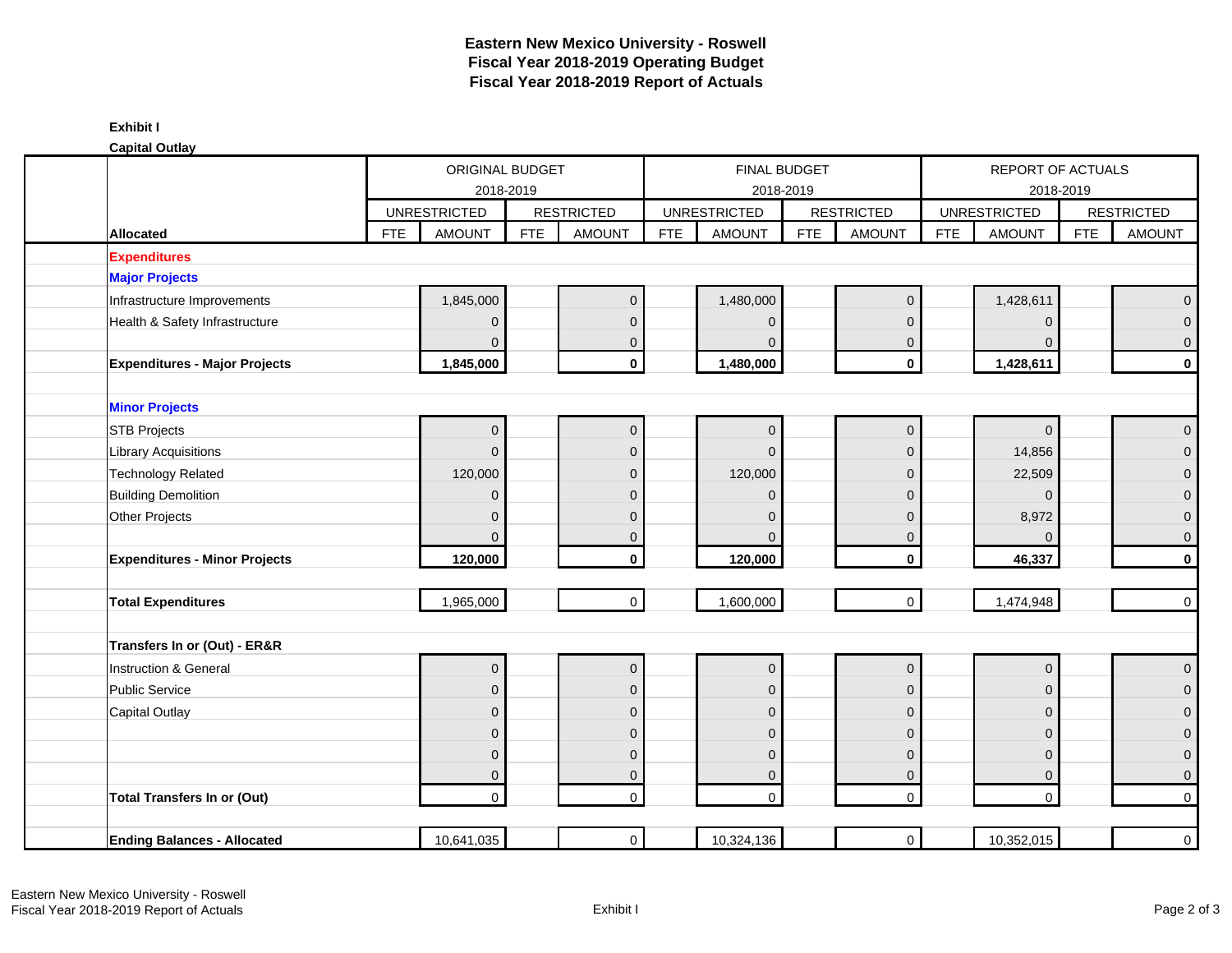**Capital Outlay**

| oupnur ounu                                    |                             |                                       |                 |                             |            |                                  |            |                     |                                |                               |            |                                       |  |
|------------------------------------------------|-----------------------------|---------------------------------------|-----------------|-----------------------------|------------|----------------------------------|------------|---------------------|--------------------------------|-------------------------------|------------|---------------------------------------|--|
|                                                |                             | 2018-2019                             | ORIGINAL BUDGET |                             |            | <b>FINAL BUDGET</b><br>2018-2019 |            |                     | REPORT OF ACTUALS<br>2018-2019 |                               |            |                                       |  |
|                                                | <b>UNRESTRICTED</b>         |                                       |                 | <b>RESTRICTED</b>           |            | <b>UNRESTRICTED</b>              |            | <b>RESTRICTED</b>   |                                | <b>UNRESTRICTED</b>           |            | <b>RESTRICTED</b>                     |  |
| Allocated                                      | <b>FTE</b><br><b>AMOUNT</b> |                                       | <b>FTE</b>      | AMOUNT                      | <b>FTE</b> | <b>AMOUNT</b>                    | <b>FTE</b> | <b>AMOUNT</b>       | <b>FTE</b>                     | <b>AMOUNT</b>                 | <b>FTE</b> | <b>AMOUNT</b>                         |  |
| <b>Expenditures</b>                            |                             |                                       |                 |                             |            |                                  |            |                     |                                |                               |            |                                       |  |
| <b>Major Projects</b>                          |                             |                                       |                 |                             |            |                                  |            |                     |                                |                               |            |                                       |  |
| Infrastructure Improvements                    | 1,845,000                   |                                       |                 | $\overline{0}$              |            | 1,480,000                        |            | $\mathbf 0$         |                                | 1,428,611                     |            | $\overline{0}$                        |  |
| Health & Safety Infrastructure                 |                             | $\overline{0}$                        |                 | $\mathbf{0}$                |            | $\Omega$                         |            | $\mathbf{0}$        |                                | $\mathbf{0}$                  |            | $\overline{0}$                        |  |
|                                                |                             | $\Omega$                              |                 | $\mathbf{0}$                |            | $\Omega$                         |            | 0                   |                                | $\Omega$                      |            | $\mathsf{O}\xspace$                   |  |
| <b>Expenditures - Major Projects</b>           | 1,845,000                   |                                       |                 | $\mathbf{0}$                |            | 1,480,000                        |            | $\mathbf 0$         |                                | 1,428,611                     |            | $\mathbf 0$                           |  |
|                                                |                             |                                       |                 |                             |            |                                  |            |                     |                                |                               |            |                                       |  |
| <b>Minor Projects</b>                          |                             |                                       |                 |                             |            |                                  |            |                     |                                |                               |            |                                       |  |
| <b>STB Projects</b>                            |                             | $\mathsf{O}\xspace$                   |                 | $\mathbf 0$                 |            | $\mathbf 0$                      |            | $\pmb{0}$           |                                | $\mathbf{0}$                  |            | $\mathsf{O}\xspace$                   |  |
| <b>Library Acquisitions</b>                    |                             | $\overline{0}$                        |                 | $\mathbf{0}$                |            | $\mathbf 0$                      |            | $\mathbf{0}$        |                                | 14,856                        |            | $\mathsf{O}\xspace$                   |  |
| <b>Technology Related</b>                      | 120,000                     |                                       |                 | $\mathbf{0}$                |            | 120,000                          |            | $\mathbf{0}$        |                                | 22,509                        |            | $\overline{0}$                        |  |
| <b>Building Demolition</b>                     |                             | $\overline{0}$                        |                 | $\mathbf{0}$                |            | $\Omega$                         |            | $\Omega$            |                                | $\Omega$                      |            | $\pmb{0}$                             |  |
| <b>Other Projects</b>                          |                             | $\mathbf{0}$                          |                 | $\Omega$                    |            | $\Omega$                         |            | $\mathbf{0}$        |                                | 8,972                         |            | $\overline{0}$                        |  |
|                                                |                             | $\Omega$                              |                 | $\overline{0}$              |            | $\Omega$                         |            | $\mathbf 0$         |                                | $\Omega$                      |            | $\mathsf{O}\xspace$                   |  |
| <b>Expenditures - Minor Projects</b>           | 120,000                     |                                       |                 | $\mathbf 0$                 |            | 120,000                          |            | $\mathbf 0$         |                                | 46,337                        |            | $\mathbf 0$                           |  |
| <b>Total Expenditures</b>                      | 1,965,000                   |                                       |                 | $\overline{0}$              |            | 1,600,000                        |            | $\mathbf{0}$        |                                | 1,474,948                     |            | $\overline{0}$                        |  |
| Transfers In or (Out) - ER&R                   |                             |                                       |                 |                             |            |                                  |            |                     |                                |                               |            |                                       |  |
|                                                |                             |                                       |                 |                             |            |                                  |            | $\mathsf{O}\xspace$ |                                |                               |            |                                       |  |
| Instruction & General<br><b>Public Service</b> |                             | $\mathsf{O}\xspace$<br>$\overline{0}$ |                 | $\mathbf 0$<br>$\mathbf{0}$ |            | $\mathbf 0$                      |            | $\mathbf{0}$        |                                | $\mathbf 0$<br>$\overline{0}$ |            | $\overline{0}$<br>$\overline{0}$      |  |
|                                                |                             | $\overline{0}$                        |                 | $\mathbf{0}$                |            | $\mathbf 0$<br>$\mathbf 0$       |            | $\overline{0}$      |                                | $\mathbf{0}$                  |            | $\overline{0}$                        |  |
| Capital Outlay                                 |                             | $\mathbf 0$                           |                 | $\mathbf{0}$                |            | $\mathbf 0$                      |            | $\mathbf{0}$        |                                | $\Omega$                      |            | $\pmb{0}$                             |  |
|                                                |                             | $\mathbf 0$                           |                 | $\mathbf{0}$                |            | $\mathbf 0$                      |            |                     |                                | $\mathbf{0}$                  |            |                                       |  |
|                                                |                             | $\overline{0}$                        |                 | $\overline{0}$              |            | $\mathbf 0$                      |            | 0<br>$\mathbf 0$    |                                | $\overline{0}$                |            | $\overline{0}$<br>$\mathsf{O}\xspace$ |  |
| <b>Total Transfers In or (Out)</b>             |                             | $\overline{0}$                        |                 | $\overline{0}$              |            | $\overline{0}$                   |            | $\mathbf 0$         |                                | $\Omega$                      |            | $\overline{0}$                        |  |
|                                                |                             |                                       |                 |                             |            |                                  |            |                     |                                |                               |            |                                       |  |
| <b>Ending Balances - Allocated</b>             | 10,641,035                  |                                       |                 | $\overline{0}$              |            | 10,324,136                       |            | $\mathsf{O}\xspace$ |                                | 10,352,015                    |            | $\overline{0}$                        |  |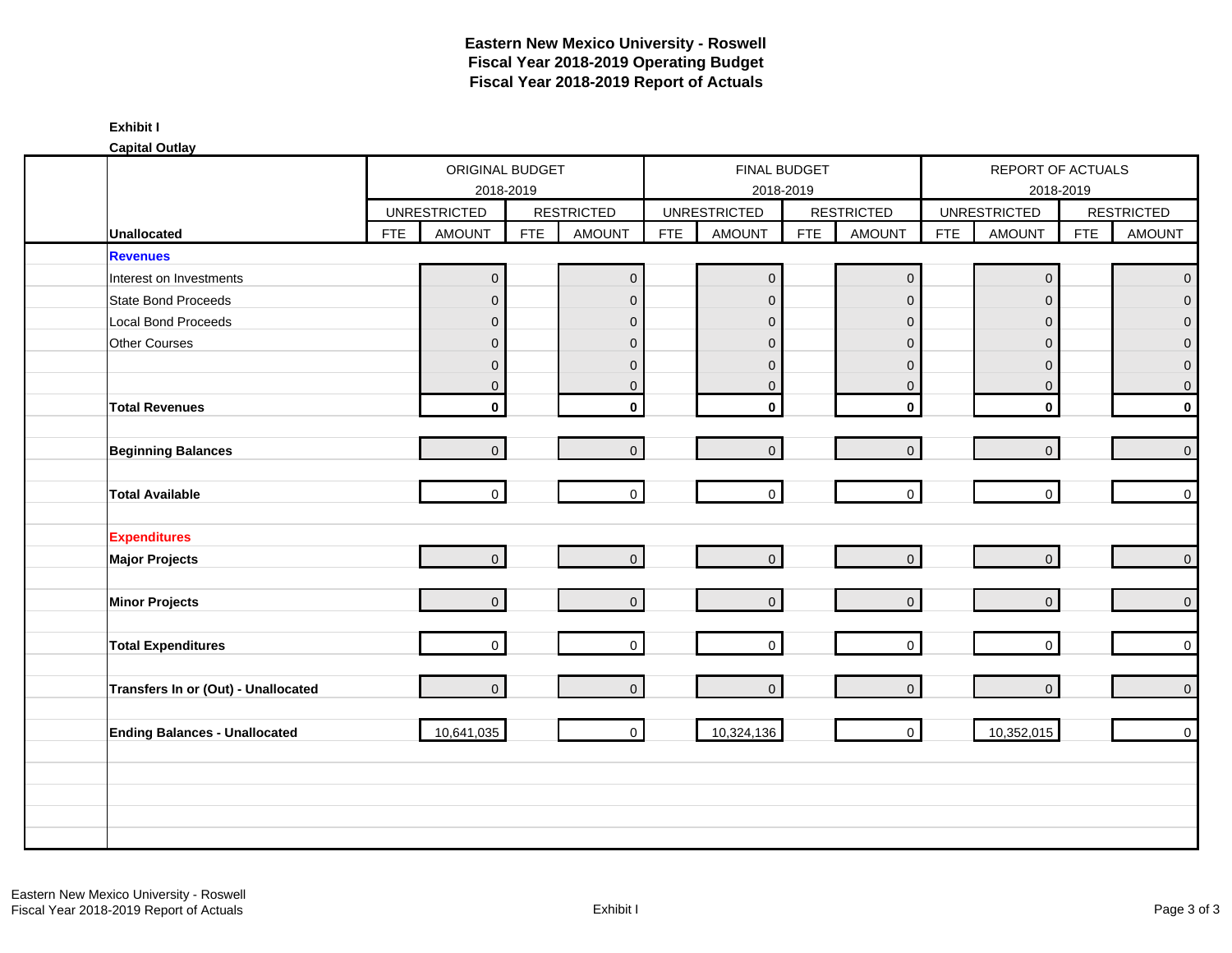|                                      |            | ORIGINAL BUDGET                      |            |                                    |            |                                      | FINAL BUDGET |                                    |            | REPORT OF ACTUALS                    |            |                                    |
|--------------------------------------|------------|--------------------------------------|------------|------------------------------------|------------|--------------------------------------|--------------|------------------------------------|------------|--------------------------------------|------------|------------------------------------|
|                                      |            | 2018-2019                            |            |                                    |            | 2018-2019                            |              |                                    |            | 2018-2019                            |            |                                    |
| <b>Unallocated</b>                   | <b>FTE</b> | <b>UNRESTRICTED</b><br><b>AMOUNT</b> | <b>FTE</b> | <b>RESTRICTED</b><br><b>AMOUNT</b> | <b>FTE</b> | <b>UNRESTRICTED</b><br><b>AMOUNT</b> | <b>FTE</b>   | <b>RESTRICTED</b><br><b>AMOUNT</b> | <b>FTE</b> | <b>UNRESTRICTED</b><br><b>AMOUNT</b> | <b>FTE</b> | <b>RESTRICTED</b><br><b>AMOUNT</b> |
| <b>Revenues</b>                      |            |                                      |            |                                    |            |                                      |              |                                    |            |                                      |            |                                    |
| Interest on Investments              |            | $\mathsf{O}\xspace$                  |            | $\mathsf{O}\xspace$                |            | $\overline{0}$                       |              | $\mathsf{O}\xspace$                |            | $\mathbf 0$                          |            | $\mathbf{0}$                       |
| State Bond Proceeds                  |            | $\mathsf{O}\xspace$                  |            | $\mathbf 0$                        |            | $\overline{0}$                       |              | $\mathbf 0$                        |            | $\mathbf{0}$                         |            | $\mathbf 0$                        |
| Local Bond Proceeds                  |            | $\mathbf 0$                          |            | $\mathbf 0$                        |            | $\overline{0}$                       |              | $\mathbf 0$                        |            | $\mathbf{0}$                         |            | $\Omega$                           |
| Other Courses                        |            | $\mathsf{O}\xspace$                  |            | $\mathsf{O}\xspace$                |            | $\overline{0}$                       |              | $\mathbf 0$                        |            | $\Omega$                             |            | $\Omega$                           |
|                                      |            | $\mathsf{O}\xspace$                  |            | $\mathbf{0}$                       |            | $\mathbf{0}$                         |              | $\mathbf{0}$                       |            | $\mathbf 0$                          |            | $\mathbf 0$                        |
|                                      |            | $\mathbf 0$                          |            | $\mathbf{0}$                       |            | $\mathbf 0$                          |              | $\mathbf 0$                        |            | $\mathbf 0$                          |            | $\mathbf 0$                        |
| <b>Total Revenues</b>                |            | $\mathbf 0$                          |            | $\mathbf 0$                        |            | $\mathbf 0$                          |              | $\mathbf 0$                        |            | $\mathbf 0$                          |            | $\pmb{0}$                          |
| <b>Beginning Balances</b>            |            | $\overline{0}$                       |            | $\overline{0}$                     |            | $\overline{0}$                       |              | $\mathbf{0}$                       |            | $\mathsf{O}\xspace$                  |            | $\mathbf 0$                        |
| <b>Total Available</b>               |            | $\overline{0}$                       |            | $\mathbf{0}$                       |            | $\overline{0}$                       |              | $\overline{0}$                     |            | $\overline{0}$                       |            | $\mathbf 0$                        |
| <b>Expenditures</b>                  |            |                                      |            |                                    |            |                                      |              |                                    |            |                                      |            |                                    |
| <b>Major Projects</b>                |            | $\overline{0}$                       |            | $\overline{0}$                     |            | $\overline{0}$                       |              | $\overline{0}$                     |            | $\overline{0}$                       |            | $\mathsf{O}\xspace$                |
| <b>Minor Projects</b>                |            | $\overline{0}$                       |            | $\overline{0}$                     |            | $\overline{0}$                       |              | $\mathbf 0$                        |            | $\mathbf{0}$                         |            | $\mathsf{O}\xspace$                |
| <b>Total Expenditures</b>            |            | $\overline{0}$                       |            | $\mathbf 0$                        |            | $\overline{0}$                       |              | $\overline{0}$                     |            | $\mathbf 0$                          |            | $\mathsf 0$                        |
| Transfers In or (Out) - Unallocated  |            | $\overline{0}$                       |            | $\Omega$                           |            | $\overline{0}$                       |              | $\Omega$                           |            | $\overline{0}$                       |            | $\mathbf{0}$                       |
| <b>Ending Balances - Unallocated</b> |            | 10,641,035                           |            | $\mathbf 0$                        |            | 10,324,136                           |              | $\overline{0}$                     |            | 10,352,015                           |            | $\mathsf{O}\xspace$                |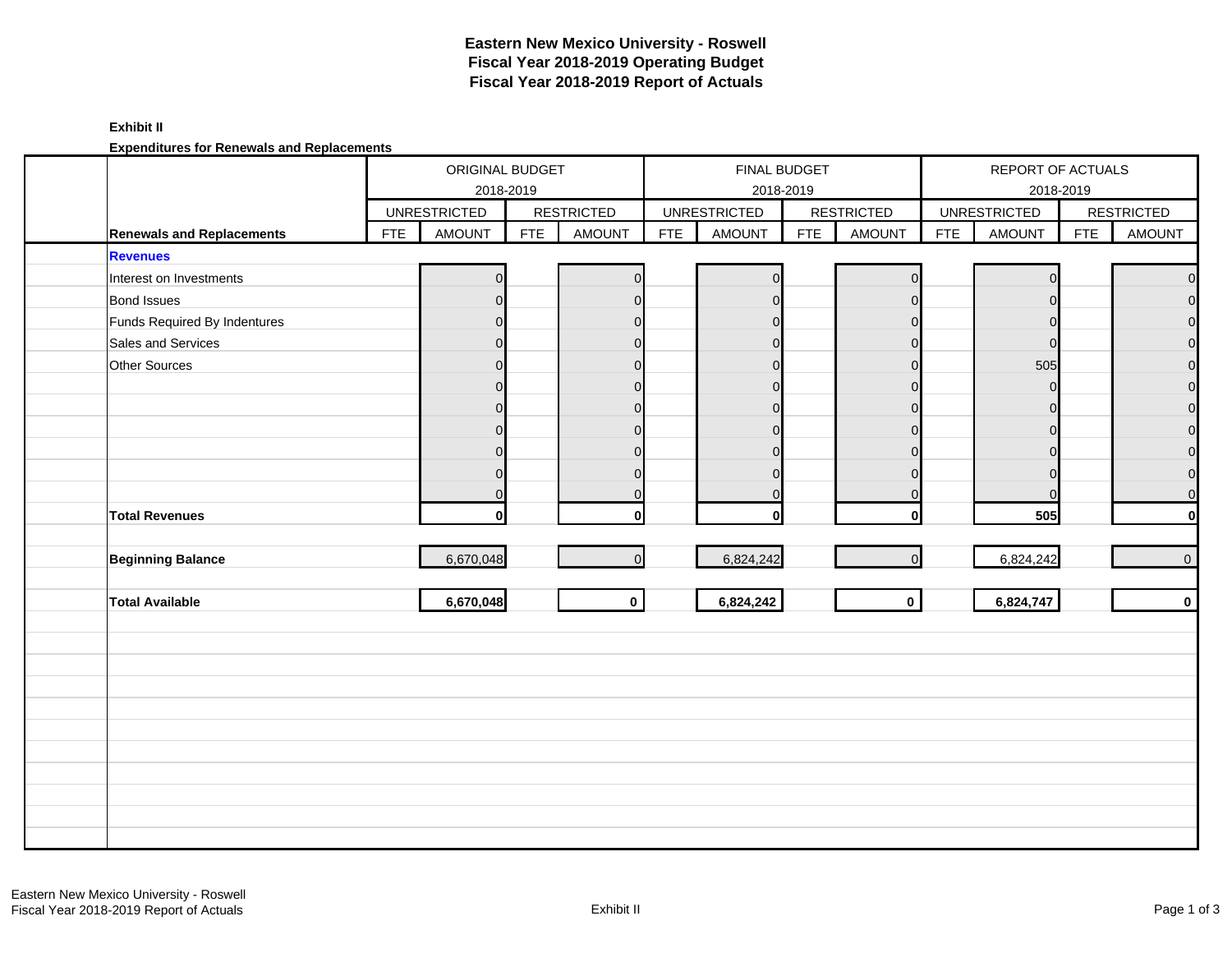### **Exhibit II**

**Expenditures for Renewals and Replacements**

|                                  |            | ORIGINAL BUDGET     | 2018-2019  |                   | FINAL BUDGET<br>2018-2019 |                     |            |                   | REPORT OF ACTUALS<br>2018-2019 |                     |            |                   |
|----------------------------------|------------|---------------------|------------|-------------------|---------------------------|---------------------|------------|-------------------|--------------------------------|---------------------|------------|-------------------|
|                                  |            | <b>UNRESTRICTED</b> |            | <b>RESTRICTED</b> |                           | <b>UNRESTRICTED</b> |            | <b>RESTRICTED</b> |                                | <b>UNRESTRICTED</b> |            | <b>RESTRICTED</b> |
| <b>Renewals and Replacements</b> | <b>FTE</b> | <b>AMOUNT</b>       | <b>FTE</b> | <b>AMOUNT</b>     | <b>FTE</b>                | <b>AMOUNT</b>       | <b>FTE</b> | <b>AMOUNT</b>     | <b>FTE</b>                     | <b>AMOUNT</b>       | <b>FTE</b> | AMOUNT            |
| <b>Revenues</b>                  |            |                     |            |                   |                           |                     |            |                   |                                |                     |            |                   |
| Interest on Investments          |            | O                   |            |                   |                           | O                   |            | $\Omega$          |                                |                     |            | $\mathbf 0$       |
| <b>Bond Issues</b>               |            | $\Omega$            |            | $\Omega$          |                           | 0                   |            | $\Omega$          |                                | $\Omega$            |            | $\mathbf 0$       |
| Funds Required By Indentures     |            | ∩                   |            | O                 |                           | O                   |            | $\Omega$          |                                | $\Omega$            |            | $\mathbf 0$       |
| Sales and Services               |            | $\Omega$            |            | $\Omega$          |                           | $\Omega$            |            | $\Omega$          |                                | $\Omega$            |            | $\mathbf 0$       |
| Other Sources                    |            | $\Omega$            |            | $\Omega$          |                           | 0                   |            | $\Omega$          |                                | 505                 |            | $\overline{O}$    |
|                                  |            | $\Omega$            |            | $\Omega$          |                           | U                   |            | $\Omega$          |                                |                     |            | $\mathbf 0$       |
|                                  |            | $\Omega$            |            | $\Omega$          |                           | 0                   |            | $\Omega$          |                                |                     |            | $\mathbf 0$       |
|                                  |            | $\Omega$            |            | $\Omega$          |                           | $\Omega$            |            | $\Omega$          |                                | $\Omega$            |            | $\mathsf{O}$      |
|                                  |            | $\Omega$            |            | ∩                 |                           | U                   |            | $\Omega$          |                                |                     |            | $\mathbf 0$       |
|                                  |            | $\Omega$            |            | $\Omega$          |                           | 0                   |            | $\Omega$          |                                | $\Omega$            |            | $\mathbf 0$       |
|                                  |            | $\Omega$            |            | $\Omega$          |                           | 0                   |            | $\Omega$          |                                |                     |            | $\mathbf 0$       |
| <b>Total Revenues</b>            |            | 0l                  |            | $\mathbf{0}$      |                           | 0l                  |            | $\mathbf{0}$      |                                | 505                 |            | $\mathbf{0}$      |
| <b>Beginning Balance</b>         |            | 6,670,048           |            | $\overline{0}$    |                           | 6,824,242           |            | $\Omega$          |                                | 6,824,242           |            | $\overline{0}$    |
|                                  |            |                     |            |                   |                           |                     |            |                   |                                |                     |            |                   |
| <b>Total Available</b>           |            | 6,670,048           |            | $\mathbf{0}$      |                           | 6,824,242           |            | $\mathbf{0}$      |                                | 6,824,747           |            | $\mathbf{0}$      |
|                                  |            |                     |            |                   |                           |                     |            |                   |                                |                     |            |                   |
|                                  |            |                     |            |                   |                           |                     |            |                   |                                |                     |            |                   |
|                                  |            |                     |            |                   |                           |                     |            |                   |                                |                     |            |                   |
|                                  |            |                     |            |                   |                           |                     |            |                   |                                |                     |            |                   |
|                                  |            |                     |            |                   |                           |                     |            |                   |                                |                     |            |                   |
|                                  |            |                     |            |                   |                           |                     |            |                   |                                |                     |            |                   |
|                                  |            |                     |            |                   |                           |                     |            |                   |                                |                     |            |                   |
|                                  |            |                     |            |                   |                           |                     |            |                   |                                |                     |            |                   |
|                                  |            |                     |            |                   |                           |                     |            |                   |                                |                     |            |                   |
|                                  |            |                     |            |                   |                           |                     |            |                   |                                |                     |            |                   |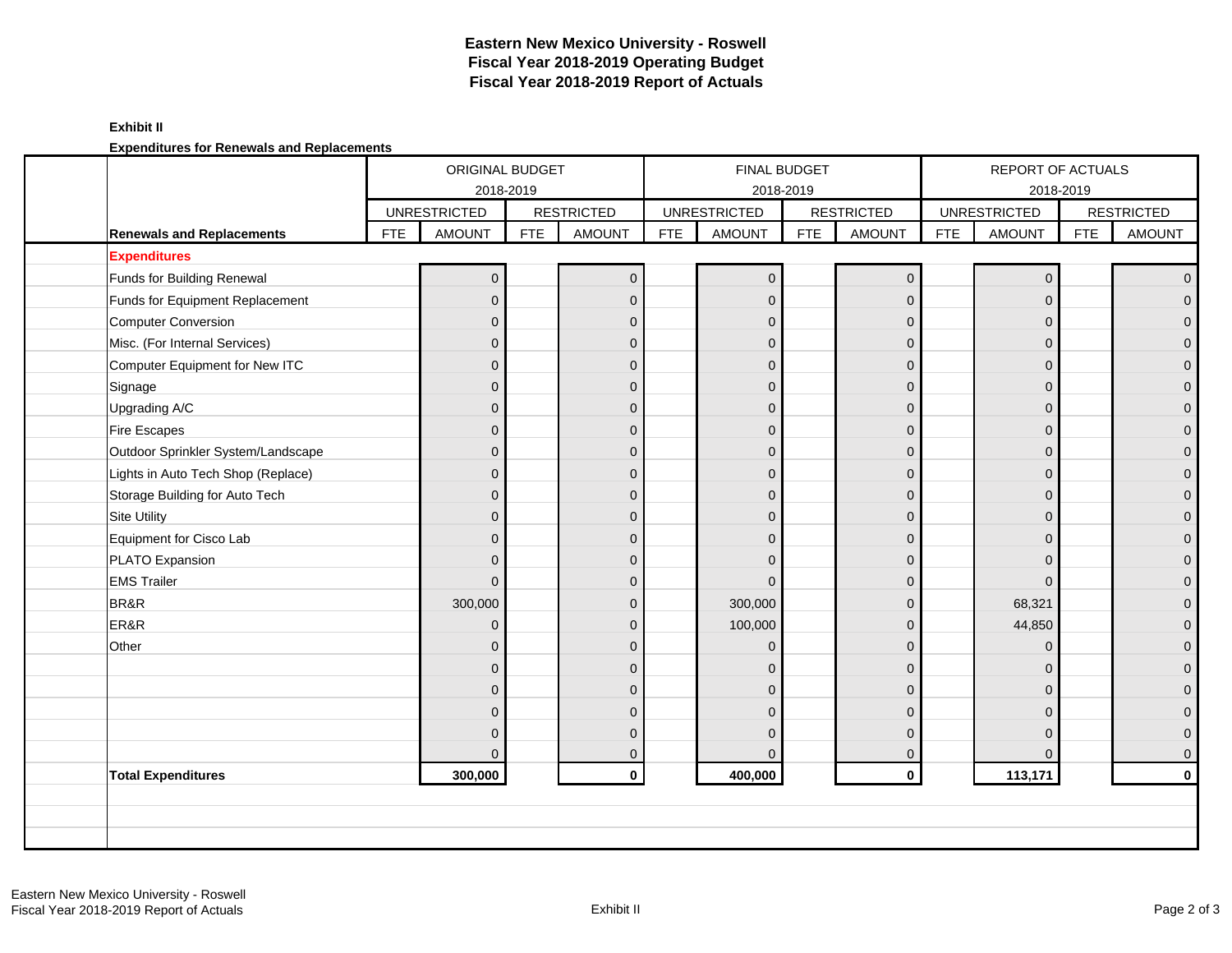### **Exhibit II**

**Expenditures for Renewals and Replacements**

|                                    |            | ORIGINAL BUDGET     |            |                   | FINAL BUDGET |                     |            |                   | REPORT OF ACTUALS |                     |            |                   |
|------------------------------------|------------|---------------------|------------|-------------------|--------------|---------------------|------------|-------------------|-------------------|---------------------|------------|-------------------|
|                                    |            | 2018-2019           |            |                   |              |                     | 2018-2019  |                   |                   | 2018-2019           |            |                   |
|                                    |            | <b>UNRESTRICTED</b> |            | <b>RESTRICTED</b> |              | <b>UNRESTRICTED</b> |            | <b>RESTRICTED</b> |                   | <b>UNRESTRICTED</b> |            | <b>RESTRICTED</b> |
| <b>Renewals and Replacements</b>   | <b>FTE</b> | <b>AMOUNT</b>       | <b>FTE</b> | <b>AMOUNT</b>     | <b>FTE</b>   | <b>AMOUNT</b>       | <b>FTE</b> | <b>AMOUNT</b>     | <b>FTE</b>        | <b>AMOUNT</b>       | <b>FTE</b> | <b>AMOUNT</b>     |
| <b>Expenditures</b>                |            |                     |            |                   |              |                     |            |                   |                   |                     |            |                   |
| Funds for Building Renewal         |            | $\overline{0}$      |            | $\mathbf{0}$      |              | $\mathbf{0}$        |            | $\mathbf 0$       |                   | $\Omega$            |            | $\overline{0}$    |
| Funds for Equipment Replacement    |            | $\overline{0}$      |            | $\mathbf{0}$      |              | $\overline{0}$      |            | $\mathbf 0$       |                   | $\Omega$            |            | $\overline{0}$    |
| <b>Computer Conversion</b>         |            | $\mathbf{0}$        |            | $\mathbf{0}$      |              | $\Omega$            |            | $\mathbf 0$       |                   | $\Omega$            |            | $\overline{0}$    |
| Misc. (For Internal Services)      |            | $\overline{0}$      |            | $\Omega$          |              | $\Omega$            |            | $\mathbf{0}$      |                   | $\Omega$            |            | $\mathbf{0}$      |
| Computer Equipment for New ITC     |            | $\overline{0}$      |            | $\Omega$          |              | $\Omega$            |            | $\mathbf{0}$      |                   | $\Omega$            |            | $\mathbf{0}$      |
| Signage                            |            | $\overline{0}$      |            | $\Omega$          |              | $\Omega$            |            | $\mathbf{0}$      |                   | $\Omega$            |            | $\overline{0}$    |
| Upgrading A/C                      |            | $\mathbf{0}$        |            | $\mathbf{0}$      |              | $\Omega$            |            | $\mathbf 0$       |                   | $\Omega$            |            | $\mathbf{0}$      |
| <b>Fire Escapes</b>                |            | $\overline{0}$      |            | $\Omega$          |              | $\Omega$            |            | $\mathbf 0$       |                   | $\Omega$            |            | $\mathbf{0}$      |
| Outdoor Sprinkler System/Landscape |            | $\overline{0}$      |            | $\Omega$          |              | $\Omega$            |            | $\mathbf 0$       |                   | $\Omega$            |            | $\mathbf{0}$      |
| Lights in Auto Tech Shop (Replace) |            | $\overline{0}$      |            | $\mathbf{0}$      |              | $\Omega$            |            | $\mathbf 0$       |                   | $\Omega$            |            | $\mathbf{O}$      |
| Storage Building for Auto Tech     |            | $\overline{0}$      |            | $\Omega$          |              | $\mathbf{0}$        |            | $\mathbf 0$       |                   | $\Omega$            |            | $\mathbf{O}$      |
| Site Utility                       |            | $\Omega$            |            | $\Omega$          |              | $\Omega$            |            | $\mathbf{0}$      |                   | $\Omega$            |            | $\overline{0}$    |
| Equipment for Cisco Lab            |            | $\overline{0}$      |            | $\Omega$          |              | $\Omega$            |            | $\mathbf 0$       |                   | $\Omega$            |            | $\mathbf{O}$      |
| PLATO Expansion                    |            | $\overline{0}$      |            | $\mathbf{0}$      |              | $\Omega$            |            | $\mathbf 0$       |                   | $\Omega$            |            | $\mathbf 0$       |
| <b>EMS Trailer</b>                 |            | $\mathbf{0}$        |            | $\mathbf 0$       |              | $\Omega$            |            | $\mathbf 0$       |                   | $\Omega$            |            | $\mathbf 0$       |
| BR&R                               |            | 300,000             |            | $\Omega$          |              | 300,000             |            | $\mathbf{0}$      |                   | 68,321              |            | $\mathbf{0}$      |
| ER&R                               |            | $\mathbf{0}$        |            | $\Omega$          |              | 100,000             |            | $\mathbf{0}$      |                   | 44,850              |            | $\mathbf{0}$      |
| Other                              |            | $\mathbf{0}$        |            | $\Omega$          |              | $\Omega$            |            | $\mathbf{0}$      |                   | $\Omega$            |            | $\mathbf{0}$      |
|                                    |            | $\mathbf{0}$        |            | $\mathbf{0}$      |              | $\Omega$            |            | $\mathbf 0$       |                   | $\Omega$            |            | $\mathbf{O}$      |
|                                    |            | $\overline{0}$      |            | $\Omega$          |              | $\Omega$            |            | $\mathbf{0}$      |                   | $\Omega$            |            | $\mathbf{0}$      |
|                                    |            | $\overline{0}$      |            | $\Omega$          |              | $\Omega$            |            | $\mathbf{0}$      |                   | $\Omega$            |            | $\overline{0}$    |
|                                    |            | $\overline{0}$      |            | $\mathbf{0}$      |              | $\Omega$            |            | $\mathbf 0$       |                   | $\Omega$            |            | $\mathbf 0$       |
|                                    |            | $\overline{0}$      |            | $\mathbf 0$       |              | $\Omega$            |            | $\mathbf 0$       |                   | $\Omega$            |            | $\overline{0}$    |
| <b>Total Expenditures</b>          |            | 300,000             |            | $\mathbf{0}$      |              | 400,000             |            | $\mathbf 0$       |                   | 113,171             |            | $\mathbf 0$       |
|                                    |            |                     |            |                   |              |                     |            |                   |                   |                     |            |                   |
|                                    |            |                     |            |                   |              |                     |            |                   |                   |                     |            |                   |
|                                    |            |                     |            |                   |              |                     |            |                   |                   |                     |            |                   |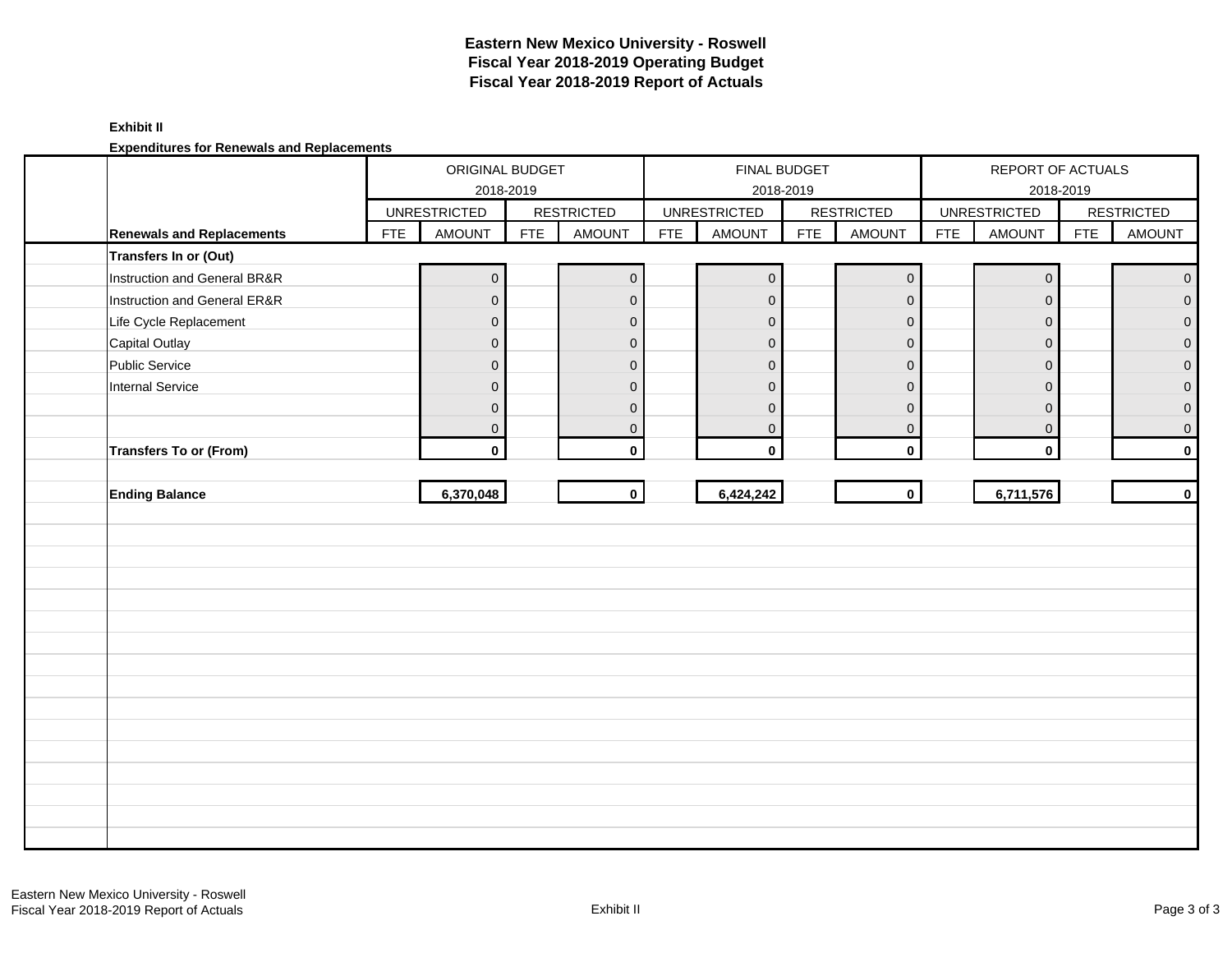### **Exhibit II**

**Expenditures for Renewals and Replacements**

|                                  |            | ORIGINAL BUDGET<br>2018-2019 |            |                     | FINAL BUDGET<br>2018-2019 |                     |            |                   | REPORT OF ACTUALS<br>2018-2019 |                     |            |                     |
|----------------------------------|------------|------------------------------|------------|---------------------|---------------------------|---------------------|------------|-------------------|--------------------------------|---------------------|------------|---------------------|
|                                  |            | <b>UNRESTRICTED</b>          |            | <b>RESTRICTED</b>   |                           | <b>UNRESTRICTED</b> |            | <b>RESTRICTED</b> |                                | <b>UNRESTRICTED</b> |            | <b>RESTRICTED</b>   |
| <b>Renewals and Replacements</b> | <b>FTE</b> | AMOUNT                       | <b>FTE</b> | AMOUNT              | <b>FTE</b>                | <b>AMOUNT</b>       | <b>FTE</b> | AMOUNT            | <b>FTE</b>                     | <b>AMOUNT</b>       | <b>FTE</b> | AMOUNT              |
| Transfers In or (Out)            |            |                              |            |                     |                           |                     |            |                   |                                |                     |            |                     |
| Instruction and General BR&R     |            | $\mathbf 0$                  |            | $\mathsf{O}\xspace$ |                           | $\overline{0}$      |            | $\pmb{0}$         |                                | $\mathbf 0$         |            | $\mathsf{O}\xspace$ |
| Instruction and General ER&R     |            | $\mathbf 0$                  |            | $\pmb{0}$           |                           | $\mathbf{0}$        |            | $\pmb{0}$         |                                | $\mathbf{0}$        |            | $\overline{0}$      |
| Life Cycle Replacement           |            | $\overline{0}$               |            | $\mathbf 0$         |                           | $\mathbf 0$         |            | $\mathbf 0$       |                                | $\mathbf 0$         |            | $\mathbf{0}$        |
| <b>Capital Outlay</b>            |            | $\mathbf 0$                  |            | $\mathbf 0$         |                           | $\mathbf 0$         |            | $\pmb{0}$         |                                | $\mathbf 0$         |            | $\overline{0}$      |
| Public Service                   |            | $\mathsf{O}\xspace$          |            | $\pmb{0}$           |                           | $\mathbf 0$         |            | $\mathbf 0$       |                                | $\mathbf{0}$        |            | $\mathbf{O}$        |
| <b>Internal Service</b>          |            | $\mathbf 0$                  |            | $\mathbf{0}$        |                           | $\mathbf 0$         |            | $\mathbf 0$       |                                | $\mathbf 0$         |            | $\overline{0}$      |
|                                  |            | $\mathbf 0$                  |            | $\mathbf 0$         |                           | $\mathbf{0}$        |            | $\mathbf 0$       |                                | 0                   |            | $\overline{0}$      |
|                                  |            | $\mathbf 0$                  |            | $\mathbf 0$         |                           | $\mathbf 0$         |            | $\pmb{0}$         |                                | $\mathbf 0$         |            | $\mathbf 0$         |
| <b>Transfers To or (From)</b>    |            | $\mathbf 0$                  |            | $\mathbf 0$         |                           | $\mathbf 0$         |            | $\mathbf 0$       |                                | $\mathbf 0$         |            | $\mathbf 0$         |
|                                  |            |                              |            |                     |                           |                     |            |                   |                                |                     |            |                     |
| <b>Ending Balance</b>            |            | 6,370,048                    |            | $\mathbf{0}$        |                           | 6,424,242           |            | $\mathbf 0$       |                                | 6,711,576           |            | $\mathbf 0$         |
|                                  |            |                              |            |                     |                           |                     |            |                   |                                |                     |            |                     |
|                                  |            |                              |            |                     |                           |                     |            |                   |                                |                     |            |                     |
|                                  |            |                              |            |                     |                           |                     |            |                   |                                |                     |            |                     |
|                                  |            |                              |            |                     |                           |                     |            |                   |                                |                     |            |                     |
|                                  |            |                              |            |                     |                           |                     |            |                   |                                |                     |            |                     |
|                                  |            |                              |            |                     |                           |                     |            |                   |                                |                     |            |                     |
|                                  |            |                              |            |                     |                           |                     |            |                   |                                |                     |            |                     |
|                                  |            |                              |            |                     |                           |                     |            |                   |                                |                     |            |                     |
|                                  |            |                              |            |                     |                           |                     |            |                   |                                |                     |            |                     |
|                                  |            |                              |            |                     |                           |                     |            |                   |                                |                     |            |                     |
|                                  |            |                              |            |                     |                           |                     |            |                   |                                |                     |            |                     |
|                                  |            |                              |            |                     |                           |                     |            |                   |                                |                     |            |                     |
|                                  |            |                              |            |                     |                           |                     |            |                   |                                |                     |            |                     |
|                                  |            |                              |            |                     |                           |                     |            |                   |                                |                     |            |                     |
|                                  |            |                              |            |                     |                           |                     |            |                   |                                |                     |            |                     |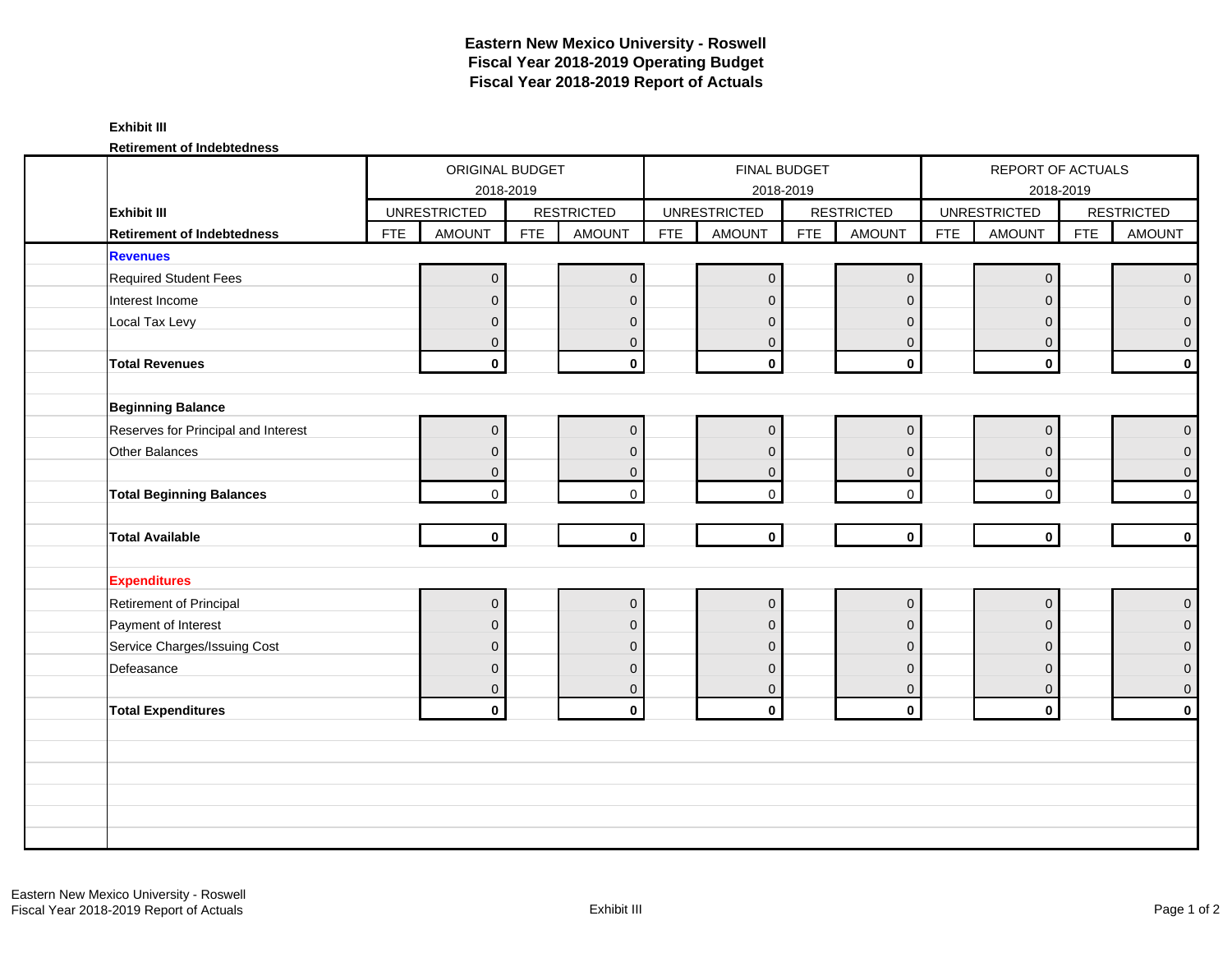### **Exhibit III**

**Retirement of Indebtedness**

|                                     |            | ORIGINAL BUDGET     |            |                     | FINAL BUDGET<br>2018-2019 |                     |            |                         | REPORT OF ACTUALS<br>2018-2019 |                     |            |                   |
|-------------------------------------|------------|---------------------|------------|---------------------|---------------------------|---------------------|------------|-------------------------|--------------------------------|---------------------|------------|-------------------|
|                                     |            |                     | 2018-2019  |                     |                           |                     |            |                         |                                |                     |            |                   |
| <b>Exhibit III</b>                  |            | <b>UNRESTRICTED</b> |            | <b>RESTRICTED</b>   |                           | <b>UNRESTRICTED</b> |            | <b>RESTRICTED</b>       |                                | <b>UNRESTRICTED</b> |            | <b>RESTRICTED</b> |
| <b>Retirement of Indebtedness</b>   | <b>FTE</b> | <b>AMOUNT</b>       | <b>FTE</b> | <b>AMOUNT</b>       | <b>FTE</b>                | <b>AMOUNT</b>       | <b>FTE</b> | <b>AMOUNT</b>           | <b>FTE</b>                     | <b>AMOUNT</b>       | <b>FTE</b> | AMOUNT            |
| <b>Revenues</b>                     |            |                     |            |                     |                           |                     |            |                         |                                |                     |            |                   |
| <b>Required Student Fees</b>        |            | $\overline{0}$      |            | $\mathbf 0$         |                           | $\mathbf{0}$        |            | $\mathbf 0$             |                                | $\mathbf{0}$        |            | $\overline{0}$    |
| Interest Income                     |            | $\overline{0}$      |            | $\mathbf{0}$        |                           | $\mathbf{0}$        |            | $\overline{0}$          |                                | $\Omega$            |            | $\overline{0}$    |
| Local Tax Levy                      |            | $\mathbf{0}$        |            | $\mathbf 0$         |                           | $\mathbf{0}$        |            | $\mathbf{0}$            |                                | $\overline{0}$      |            | $\overline{0}$    |
|                                     |            | $\mathbf{0}$        |            | $\mathbf 0$         |                           | $\mathbf{0}$        |            | $\mathbf{0}$            |                                | $\mathbf{0}$        |            | $\overline{0}$    |
| <b>Total Revenues</b>               |            | $\mathbf{0}$        |            | $\mathbf 0$         |                           | $\mathbf 0$         |            | $\mathbf 0$             |                                | $\mathbf 0$         |            | $\mathbf{0}$      |
|                                     |            |                     |            |                     |                           |                     |            |                         |                                |                     |            |                   |
| <b>Beginning Balance</b>            |            |                     |            |                     |                           |                     |            |                         |                                |                     |            |                   |
| Reserves for Principal and Interest |            | $\overline{0}$      |            | $\mathbf 0$         |                           | $\mathbf 0$         |            | $\overline{0}$          |                                | $\mathbf 0$         |            | $\overline{0}$    |
| Other Balances                      |            | $\overline{0}$      |            | $\mathbf 0$         |                           | $\mathbf 0$         |            | $\mathbf{0}$            |                                | $\mathbf 0$         |            | $\overline{0}$    |
|                                     |            | $\mathbf 0$         |            | $\mathbf 0$         |                           | $\mathbf{0}$        |            | $\mathbf 0$             |                                | $\mathbf{0}$        |            | $\overline{0}$    |
| <b>Total Beginning Balances</b>     |            | $\mathbf{0}$        |            | $\mathbf 0$         |                           | $\Omega$            |            | $\mathbf 0$             |                                | $\Omega$            |            | $\overline{0}$    |
|                                     |            |                     |            |                     |                           |                     |            |                         |                                |                     |            |                   |
| <b>Total Available</b>              |            | $\mathbf 0$         |            | $\mathbf 0$         |                           | $\mathbf 0$         |            | $\mathbf 0$             |                                | $\mathbf{0}$        |            | $\mathbf{0}$      |
|                                     |            |                     |            |                     |                           |                     |            |                         |                                |                     |            |                   |
| <b>Expenditures</b>                 |            |                     |            |                     |                           |                     |            |                         |                                |                     |            |                   |
| Retirement of Principal             |            | $\pmb{0}$           |            | $\mathsf{O}\xspace$ |                           | $\pmb{0}$           |            | $\mathbf 0$             |                                | $\mathbf 0$         |            | $\overline{0}$    |
| Payment of Interest                 |            | $\overline{0}$      |            | $\mathbf{0}$        |                           | $\mathbf{0}$        |            | $\overline{0}$          |                                | $\mathbf{0}$        |            | $\overline{0}$    |
| Service Charges/Issuing Cost        |            | $\overline{0}$      |            | $\mathbf{0}$        |                           | $\mathbf{0}$        |            | $\mathbf{0}$            |                                | $\Omega$            |            | $\overline{0}$    |
| Defeasance                          |            | $\mathbf{0}$        |            | $\mathbf 0$         |                           | $\mathbf{0}$        |            | $\mathbf 0$             |                                | $\mathbf{0}$        |            | $\overline{0}$    |
|                                     |            | $\mathbf{0}$        |            | $\mathbf{0}$        |                           | $\mathbf 0$         |            | $\mathbf{0}$            |                                | $\mathbf{0}$        |            | $\overline{0}$    |
| <b>Total Expenditures</b>           |            | $\mathbf 0$         |            | $\mathbf 0$         |                           | $\mathbf 0$         |            | $\overline{\mathbf{0}}$ |                                | $\mathbf 0$         |            | $\mathbf{0}$      |
|                                     |            |                     |            |                     |                           |                     |            |                         |                                |                     |            |                   |
|                                     |            |                     |            |                     |                           |                     |            |                         |                                |                     |            |                   |
|                                     |            |                     |            |                     |                           |                     |            |                         |                                |                     |            |                   |
|                                     |            |                     |            |                     |                           |                     |            |                         |                                |                     |            |                   |
|                                     |            |                     |            |                     |                           |                     |            |                         |                                |                     |            |                   |
|                                     |            |                     |            |                     |                           |                     |            |                         |                                |                     |            |                   |